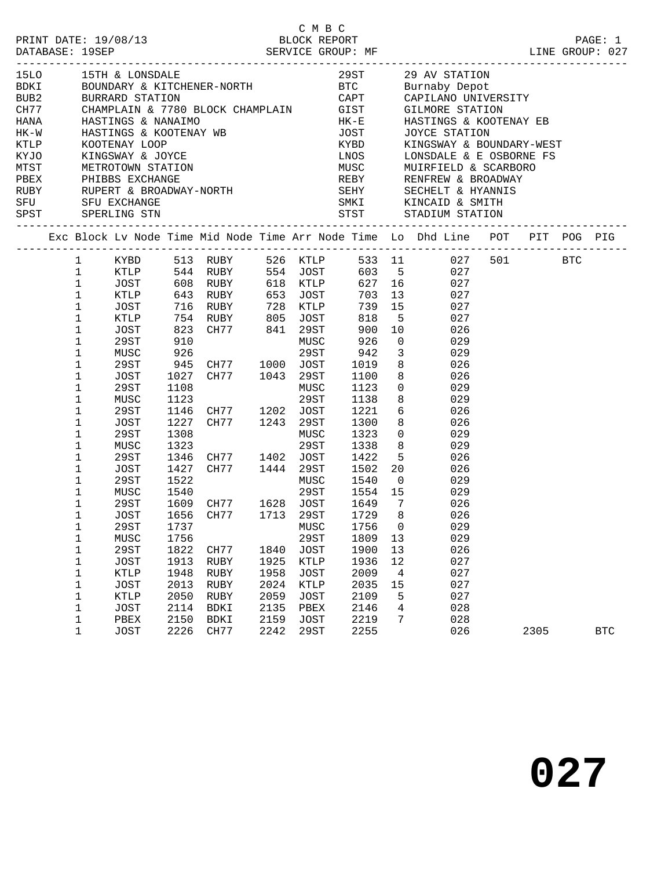| 15LO<br><b>BDKI</b><br>BUB2 |  |                             |             |      |                                                                                                                                            |      |      |         |                | KINGSWAY & BOUNDARY-WEST<br>LONSDALE & E OSBORNE FS                                                                |      |            |
|-----------------------------|--|-----------------------------|-------------|------|--------------------------------------------------------------------------------------------------------------------------------------------|------|------|---------|----------------|--------------------------------------------------------------------------------------------------------------------|------|------------|
|                             |  |                             |             |      |                                                                                                                                            |      |      |         |                | Exc Block Lv Node Time Mid Node Time Arr Node Time Lo Dhd Line POT PIT POG PIG                                     |      |            |
|                             |  | $\mathbf{1}$<br>$\mathbf 1$ |             |      |                                                                                                                                            |      |      |         |                | KYBD 513 RUBY 526 KTLP 533 11 027 501 BTC<br>KTLP 544 RUBY 554 JOST 603 5 027<br>JOST 608 RUBY 618 KTLP 627 16 027 |      |            |
|                             |  | $\mathbf{1}$                |             |      |                                                                                                                                            |      |      |         |                |                                                                                                                    |      |            |
|                             |  | $\mathbf 1$                 |             |      | KTLP 643 RUBY 653 JOST                                                                                                                     |      |      |         |                | 703 13<br>027                                                                                                      |      |            |
|                             |  | $\mathbf 1$                 | JOST        |      |                                                                                                                                            |      |      |         |                | 027                                                                                                                |      |            |
|                             |  | $\mathbf 1$                 | KTLP        |      |                                                                                                                                            |      |      |         | 5 <sub>5</sub> | 027                                                                                                                |      |            |
|                             |  | 1                           | JOST        |      | 716 RUBY       728   KTLP        739   15<br>754   RUBY        805   JOST        818     5<br>823   CH77        841   29ST        900   10 |      |      |         |                | 026                                                                                                                |      |            |
|                             |  | $\mathbf 1$                 | 29ST        | 910  |                                                                                                                                            |      | MUSC | 926     | $\overline{0}$ | 029                                                                                                                |      |            |
|                             |  | 1                           | MUSC        | 926  |                                                                                                                                            |      | 29ST | 942     | $\overline{3}$ | 029                                                                                                                |      |            |
|                             |  | $\mathbf 1$                 | 29ST        |      |                                                                                                                                            |      |      | 1019    |                | 026                                                                                                                |      |            |
|                             |  | 1                           | JOST        |      | 945 CH77 1000 JOST<br>1027 CH77 1043 29ST                                                                                                  |      |      | 1100    |                | $\begin{array}{c} 8 \\ 8 \end{array}$<br>026                                                                       |      |            |
|                             |  | $\mathbf 1$                 | 29ST        | 1108 |                                                                                                                                            |      | MUSC | 1123    |                | $\overline{0}$<br>029                                                                                              |      |            |
|                             |  | 1                           | MUSC        | 1123 |                                                                                                                                            |      | 29ST | 1138    |                | 8<br>029                                                                                                           |      |            |
|                             |  | $\mathbf 1$                 | 29ST        |      |                                                                                                                                            |      |      | 1221    |                | $rac{c}{6}$<br>026                                                                                                 |      |            |
|                             |  | $\mathbf 1$                 | JOST        |      | 1146 CH77 1202 JOST<br>1227 CH77 1243 29ST                                                                                                 |      |      | 1300    | 8              | 026                                                                                                                |      |            |
|                             |  | 1                           | 29ST        | 1308 | $\sum_{i=1}^{n}$                                                                                                                           |      | MUSC | 1323    |                | $\overline{0}$<br>029                                                                                              |      |            |
|                             |  | 1                           | MUSC        | 1323 |                                                                                                                                            |      | 29ST | 1338    |                | 8<br>029                                                                                                           |      |            |
|                             |  | $\mathbf 1$                 | 29ST        |      |                                                                                                                                            |      |      | 1422    |                | 026                                                                                                                |      |            |
|                             |  | $\mathbf 1$                 | JOST        |      | 1346 CH77 1402 JOST<br>1427 CH77 1444 29ST                                                                                                 |      |      | 1502    |                | $\frac{5}{20}$<br>026                                                                                              |      |            |
|                             |  | 1                           | 29ST        | 1522 |                                                                                                                                            |      | MUSC | 1540    |                | $\overline{0}$<br>029                                                                                              |      |            |
|                             |  | $\mathbf 1$                 | MUSC        | 1540 |                                                                                                                                            |      | 29ST | 1554 15 |                | 029                                                                                                                |      |            |
|                             |  | $\mathbf 1$                 | 29ST        |      |                                                                                                                                            |      |      | 1649 7  |                | 026                                                                                                                |      |            |
|                             |  | $\mathbf 1$                 | JOST        |      | 1609 CH77     1628   JOST<br>1656   CH77       1713    29ST                                                                                |      |      | 1729 8  |                | 026                                                                                                                |      |            |
|                             |  | 1                           | 29ST        |      | 1737 MUSC 1756 0                                                                                                                           |      |      |         |                | 029                                                                                                                |      |            |
|                             |  | 1                           | MUSC        | 1756 |                                                                                                                                            |      | 29ST | 1809    | 13             | 029                                                                                                                |      |            |
|                             |  | $\mathbf 1$                 | 29ST        | 1822 | CH77                                                                                                                                       | 1840 | JOST | 1900    | 13             | 026                                                                                                                |      |            |
|                             |  | $\mathbf 1$                 | JOST        | 1913 | RUBY                                                                                                                                       | 1925 | KTLP | 1936    | 12             | 027                                                                                                                |      |            |
|                             |  | 1                           | KTLP        | 1948 | RUBY                                                                                                                                       | 1958 | JOST | 2009    | 4              | 027                                                                                                                |      |            |
|                             |  | $\mathbf 1$                 | JOST        | 2013 | RUBY                                                                                                                                       | 2024 | KTLP | 2035    | 15             | 027                                                                                                                |      |            |
|                             |  | 1                           | KTLP        | 2050 | RUBY                                                                                                                                       | 2059 | JOST | 2109    | 5              | 027                                                                                                                |      |            |
|                             |  | $\mathbf 1$                 | JOST        | 2114 | BDKI                                                                                                                                       | 2135 | PBEX | 2146    | 4              | 028                                                                                                                |      |            |
|                             |  | $\mathbf 1$                 | PBEX        | 2150 | BDKI                                                                                                                                       | 2159 | JOST | 2219    | 7              | 028                                                                                                                |      |            |
|                             |  | $\mathbf 1$                 | <b>JOST</b> | 2226 | CH77                                                                                                                                       | 2242 | 29ST | 2255    |                | 026                                                                                                                | 2305 | <b>BTC</b> |

**027**

C M B C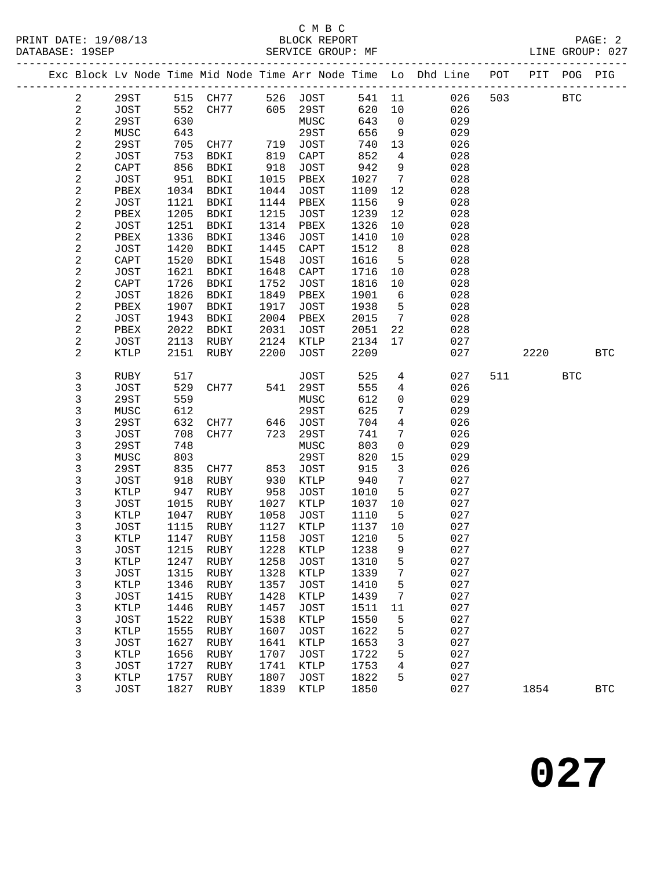#### C M B C<br>BLOCK REPORT SERVICE GROUP: MF

|  |                         |             |              |                |              |                 |              |                 | Exc Block Lv Node Time Mid Node Time Arr Node Time Lo Dhd Line POT |     | PIT  | POG PIG    |              |
|--|-------------------------|-------------|--------------|----------------|--------------|-----------------|--------------|-----------------|--------------------------------------------------------------------|-----|------|------------|--------------|
|  | $\overline{a}$          | 29ST        |              | 515 CH77       |              | 526 JOST        | 541 11       |                 | 026                                                                | 503 |      | <b>BTC</b> |              |
|  | $\sqrt{2}$              | JOST        | 552          | CH77           | 605          | 29ST            | 620          | 10              | 026                                                                |     |      |            |              |
|  | $\sqrt{2}$              | 29ST        | 630          |                |              | MUSC            | 643          | $\overline{0}$  | 029                                                                |     |      |            |              |
|  | $\mathbf 2$             | MUSC        | 643          |                |              | 29ST            | 656          | 9               | 029                                                                |     |      |            |              |
|  | $\sqrt{2}$              | 29ST        | 705          | CH77           | 719          | JOST            | 740          | 13              | 026                                                                |     |      |            |              |
|  | $\overline{\mathbf{c}}$ | <b>JOST</b> | 753          | BDKI           | 819          | $\texttt{CAPT}$ | 852          | $\overline{4}$  | 028                                                                |     |      |            |              |
|  | $\overline{\mathbf{c}}$ | CAPT        | 856          | BDKI           | 918          | JOST            | 942          | 9               | 028                                                                |     |      |            |              |
|  | $\sqrt{2}$              | <b>JOST</b> | 951          | BDKI           | 1015         | PBEX            | 1027         | $7\phantom{.0}$ | 028                                                                |     |      |            |              |
|  | $\sqrt{2}$              | PBEX        | 1034         | BDKI           | 1044         | JOST            | 1109         | 12              | 028                                                                |     |      |            |              |
|  | $\sqrt{2}$              | <b>JOST</b> | 1121         | BDKI           | 1144         | PBEX            | 1156         | 9               | 028                                                                |     |      |            |              |
|  | $\sqrt{2}$              | PBEX        | 1205         | <b>BDKI</b>    | 1215         | JOST            | 1239         | 12              | 028                                                                |     |      |            |              |
|  | $\sqrt{2}$              | JOST        | 1251         | BDKI           | 1314         | PBEX            | 1326         | 10              | 028                                                                |     |      |            |              |
|  | $\sqrt{2}$              | PBEX        | 1336         | BDKI           | 1346         | JOST            | 1410         | 10              | 028                                                                |     |      |            |              |
|  | $\sqrt{2}$              | <b>JOST</b> | 1420         | BDKI           | 1445         | CAPT            | 1512         | 8               | 028                                                                |     |      |            |              |
|  | $\overline{\mathbf{c}}$ | CAPT        | 1520         | BDKI           | 1548         | JOST            | 1616         | 5               | 028                                                                |     |      |            |              |
|  | $\sqrt{2}$              | <b>JOST</b> | 1621         | BDKI           | 1648         | CAPT            | 1716         | 10              | 028                                                                |     |      |            |              |
|  | $\frac{2}{2}$           | CAPT        | 1726         | BDKI           | 1752         | JOST            | 1816         | 10              | 028                                                                |     |      |            |              |
|  |                         | JOST        | 1826         | BDKI           | 1849         | PBEX            | 1901         | 6               | 028                                                                |     |      |            |              |
|  | $\overline{\mathbf{c}}$ | PBEX        | 1907         | BDKI           | 1917         | JOST            | 1938         | 5               | 028                                                                |     |      |            |              |
|  | $\sqrt{2}$              | JOST        | 1943         | BDKI           | 2004         | PBEX            | 2015         | $7\overline{ }$ | 028                                                                |     |      |            |              |
|  | $\sqrt{2}$              | PBEX        | 2022         | BDKI           | 2031         | JOST            | 2051         | 22              | 028                                                                |     |      |            |              |
|  | $\sqrt{2}$              | JOST        | 2113         | RUBY           | 2124         | KTLP            | 2134         | 17              | 027                                                                |     |      |            |              |
|  | 2                       | KTLP        | 2151         | RUBY           | 2200         | JOST            | 2209         |                 | 027                                                                |     | 2220 |            | <b>BTC</b>   |
|  | 3                       | RUBY        | 517          |                |              | <b>JOST</b>     | 525          | $\overline{4}$  | 027                                                                | 511 |      | <b>BTC</b> |              |
|  | $\mathsf 3$             | JOST        | 529          | CH77           | 541          | 29ST            | 555          | $\overline{4}$  | 026                                                                |     |      |            |              |
|  | 3                       | 29ST        | 559          |                |              | MUSC            | 612          | $\mathsf{O}$    | 029                                                                |     |      |            |              |
|  | 3                       | MUSC        | 612          |                |              | 29ST            | 625          | $7\phantom{.0}$ | 029                                                                |     |      |            |              |
|  | 3                       | 29ST        | 632          | CH77           | 646          | JOST            | 704          | $\overline{4}$  | 026                                                                |     |      |            |              |
|  | 3                       | JOST        | 708          | CH77           | 723          | 29ST            | 741          | 7               | 026                                                                |     |      |            |              |
|  | 3                       | 29ST        | 748          |                |              | MUSC            | 803          | $\mathsf{O}$    | 029                                                                |     |      |            |              |
|  | 3                       | MUSC        | 803          |                |              | 29ST            | 820          | 15              | 029                                                                |     |      |            |              |
|  | 3                       | 29ST        | 835          | CH77           | 853          | JOST            | 915          | $\mathbf{3}$    | 026                                                                |     |      |            |              |
|  | 3                       | JOST        | 918          | RUBY           | 930          | KTLP            | 940          | $7\phantom{.0}$ | 027                                                                |     |      |            |              |
|  | 3                       | KTLP        | 947          | RUBY           | 958          | JOST            | 1010         | 5               | 027                                                                |     |      |            |              |
|  | 3                       | <b>JOST</b> | 1015         | RUBY           | 1027         | KTLP            | 1037         | 10              | 027                                                                |     |      |            |              |
|  | 3                       | KTLP        | 1047         | RUBY           | 1058         | <b>JOST</b>     | 1110         | 5               | 027                                                                |     |      |            |              |
|  | 3                       | <b>JOST</b> | 1115         | RUBY           | 1127         | KTLP            | 1137         | 10              | 027                                                                |     |      |            |              |
|  | 3                       | <b>KTLP</b> | 1147         | RUBY           | 1158         | JOST            | 1210         | 5               | 027                                                                |     |      |            |              |
|  | 3                       | JOST        |              | 1215 RUBY 1228 |              | $\texttt{KTLP}$ | 1238 9       |                 | 027                                                                |     |      |            |              |
|  | 3                       | KTLP        | 1247         | RUBY           | 1258         | JOST            | 1310         | 5               | 027                                                                |     |      |            |              |
|  | 3                       | <b>JOST</b> | 1315         | RUBY           | 1328         | KTLP            | 1339         | 7               | 027                                                                |     |      |            |              |
|  | $\mathsf 3$             | KTLP        | 1346         | RUBY           | 1357         | JOST            | 1410         | 5               | 027                                                                |     |      |            |              |
|  | 3                       | <b>JOST</b> | 1415         | RUBY           | 1428         | KTLP            | 1439         | 7               | 027                                                                |     |      |            |              |
|  | $\mathsf 3$             | KTLP        | 1446         | RUBY           | 1457         | JOST            | 1511         | 11              | 027                                                                |     |      |            |              |
|  | 3                       | <b>JOST</b> | 1522         | RUBY           | 1538         | KTLP            | 1550         | 5               | 027                                                                |     |      |            |              |
|  | 3                       | KTLP        | 1555         | RUBY           | 1607         | JOST            | 1622         | 5               | 027                                                                |     |      |            |              |
|  | 3                       | JOST        | 1627         | RUBY           | 1641         | KTLP            | 1653         | 3               | 027                                                                |     |      |            |              |
|  | 3                       | KTLP        | 1656         | RUBY           | 1707         | JOST            | 1722         | 5               | 027                                                                |     |      |            |              |
|  | 3<br>3                  | <b>JOST</b> | 1727         | RUBY           | 1741         | KTLP            | 1753         | 4<br>5          | 027<br>027                                                         |     |      |            |              |
|  | 3                       | KTLP        | 1757<br>1827 | RUBY<br>RUBY   | 1807<br>1839 | JOST<br>KTLP    | 1822<br>1850 |                 | 027                                                                |     |      |            |              |
|  |                         | <b>JOST</b> |              |                |              |                 |              |                 |                                                                    |     | 1854 |            | $_{\rm BTC}$ |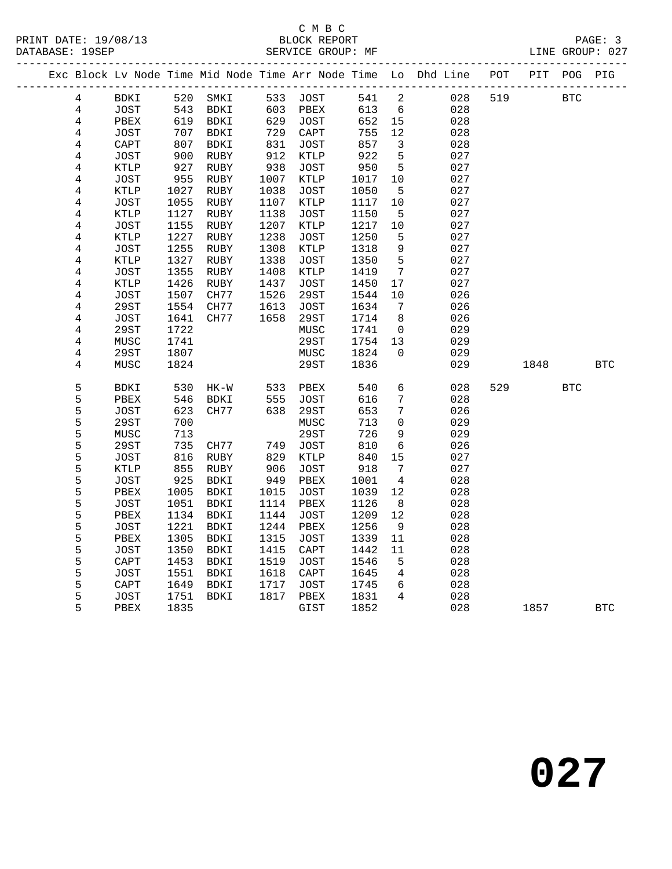### C M B C<br>BLOCK REPORT

|  | PAGE: 3         |  |
|--|-----------------|--|
|  | LINE GROUP: 027 |  |

|  |                |             |      | ________________ |      |                 |      |                  | Exc Block Lv Node Time Mid Node Time Arr Node Time Lo Dhd Line | POT |      | PIT POG PIG  |            |
|--|----------------|-------------|------|------------------|------|-----------------|------|------------------|----------------------------------------------------------------|-----|------|--------------|------------|
|  | 4              | BDKI        | 520  | SMKI             | 533  | JOST            | 541  | $\overline{a}$   | 028                                                            | 519 |      | $_{\rm BTC}$ |            |
|  | $\overline{4}$ | JOST        | 543  | BDKI             | 603  | PBEX            | 613  | $6\overline{6}$  | 028                                                            |     |      |              |            |
|  | $\overline{4}$ | PBEX        | 619  | BDKI             | 629  | JOST            | 652  | 15               | 028                                                            |     |      |              |            |
|  | $\overline{4}$ | JOST        | 707  | BDKI             | 729  | CAPT            | 755  | $12$             | 028                                                            |     |      |              |            |
|  | $\overline{4}$ | CAPT        | 807  | BDKI             | 831  | JOST            | 857  | $\mathbf{3}$     | 028                                                            |     |      |              |            |
|  | $\overline{4}$ | <b>JOST</b> | 900  | ${\tt RUBY}$     | 912  | <b>KTLP</b>     | 922  | $\overline{5}$   | 027                                                            |     |      |              |            |
|  | 4              | <b>KTLP</b> | 927  | ${\tt RUBY}$     | 938  | JOST            | 950  | $5\overline{)}$  | 027                                                            |     |      |              |            |
|  | $\,4$          | JOST        | 955  | RUBY             | 1007 | <b>KTLP</b>     | 1017 | 10               | 027                                                            |     |      |              |            |
|  | $\overline{4}$ | KTLP        | 1027 | RUBY             | 1038 | <b>JOST</b>     | 1050 | 5                | 027                                                            |     |      |              |            |
|  | $\overline{4}$ | <b>JOST</b> | 1055 | RUBY             | 1107 | <b>KTLP</b>     | 1117 | $10$             | 027                                                            |     |      |              |            |
|  | $\overline{4}$ | <b>KTLP</b> | 1127 | <b>RUBY</b>      | 1138 | JOST            | 1150 | $\mathsf S$      | 027                                                            |     |      |              |            |
|  | $\overline{4}$ | JOST        | 1155 | RUBY             | 1207 | KTLP            | 1217 | $10$             | 027                                                            |     |      |              |            |
|  | 4              | <b>KTLP</b> | 1227 | RUBY             | 1238 | JOST            | 1250 | $5\phantom{.0}$  | 027                                                            |     |      |              |            |
|  | $\overline{4}$ | <b>JOST</b> | 1255 | RUBY             | 1308 | $\texttt{KTLP}$ | 1318 | $\mathsf 9$      | 027                                                            |     |      |              |            |
|  | $\overline{4}$ | <b>KTLP</b> | 1327 | RUBY             | 1338 | JOST            | 1350 | 5                | 027                                                            |     |      |              |            |
|  | $\overline{4}$ | <b>JOST</b> | 1355 | ${\tt RUBY}$     | 1408 | <b>KTLP</b>     | 1419 | $\boldsymbol{7}$ | 027                                                            |     |      |              |            |
|  | $\overline{4}$ | KTLP        | 1426 | RUBY             | 1437 | JOST            | 1450 | 17               | 027                                                            |     |      |              |            |
|  | 4              | <b>JOST</b> | 1507 | CH77             | 1526 | 29ST            | 1544 | 10               | 026                                                            |     |      |              |            |
|  | 4              | <b>29ST</b> | 1554 | CH77             | 1613 | JOST            | 1634 | $7\overline{ }$  | 026                                                            |     |      |              |            |
|  | $\overline{4}$ | JOST        | 1641 | CH77             | 1658 | 29ST            | 1714 | 8                | 026                                                            |     |      |              |            |
|  | $\overline{4}$ | 29ST        | 1722 |                  |      | MUSC            | 1741 | $\overline{0}$   | 029                                                            |     |      |              |            |
|  | $\overline{4}$ | MUSC        | 1741 |                  |      | 29ST            | 1754 | 13               | 029                                                            |     |      |              |            |
|  | 4              | 29ST        | 1807 |                  |      | MUSC            | 1824 | $\mathbf 0$      | 029                                                            |     |      |              |            |
|  | $\overline{4}$ | MUSC        | 1824 |                  |      | 29ST            | 1836 |                  | 029                                                            |     | 1848 |              | <b>BTC</b> |
|  | 5              | BDKI        | 530  | $HK-W$           | 533  | PBEX            | 540  | 6                | 028                                                            | 529 |      | <b>BTC</b>   |            |
|  | 5              | PBEX        | 546  | BDKI             | 555  | JOST            | 616  | $7\phantom{.}$   | 028                                                            |     |      |              |            |
|  |                | JOST        | 623  | CH77             | 638  | <b>29ST</b>     | 653  | $\sqrt{7}$       | 026                                                            |     |      |              |            |
|  | 5<br>5<br>5    | 29ST        | 700  |                  |      | MUSC            | 713  | 0                | 029                                                            |     |      |              |            |
|  |                | MUSC        | 713  |                  |      | <b>29ST</b>     | 726  | $\mathsf 9$      | 029                                                            |     |      |              |            |
|  | 5              | <b>29ST</b> | 735  | CH77             | 749  | JOST            | 810  | $\sqrt{6}$       | 026                                                            |     |      |              |            |
|  | 5              | JOST        | 816  | RUBY             | 829  | KTLP            | 840  | 15               | 027                                                            |     |      |              |            |
|  | 5              | KTLP        | 855  | RUBY             | 906  | JOST            | 918  | 7                | 027                                                            |     |      |              |            |
|  | 5              | JOST        | 925  | <b>BDKI</b>      | 949  | PBEX            | 1001 | $\overline{4}$   | 028                                                            |     |      |              |            |
|  |                | PBEX        | 1005 | BDKI             | 1015 | JOST            | 1039 | 12               | 028                                                            |     |      |              |            |
|  |                | JOST        | 1051 | BDKI             | 1114 | PBEX            | 1126 | 8                | 028                                                            |     |      |              |            |
|  |                | PBEX        | 1134 | BDKI             | 1144 | <b>JOST</b>     | 1209 | 12               | 028                                                            |     |      |              |            |
|  |                | JOST        | 1221 | BDKI             | 1244 | PBEX            | 1256 | - 9              | 028                                                            |     |      |              |            |
|  |                | PBEX        | 1305 | BDKI             | 1315 | JOST            | 1339 | 11               | 028                                                            |     |      |              |            |
|  |                | JOST        | 1350 | BDKI             | 1415 | CAPT            | 1442 | 11               | 028                                                            |     |      |              |            |
|  |                | CAPT        | 1453 | BDKI             | 1519 | <b>JOST</b>     | 1546 | $5\phantom{.0}$  | 028                                                            |     |      |              |            |
|  | 55555555       | JOST        | 1551 | BDKI             | 1618 | CAPT            | 1645 | $\overline{4}$   | 028                                                            |     |      |              |            |
|  | 5              | CAPT        | 1649 | BDKI             | 1717 | JOST            | 1745 | 6                | 028                                                            |     |      |              |            |
|  | 5              | JOST        | 1751 | BDKI             | 1817 | PBEX            | 1831 | $\overline{4}$   | 028                                                            |     |      |              |            |
|  | 5              | PBEX        | 1835 |                  |      | GIST            | 1852 |                  | 028                                                            |     | 1857 |              | <b>BTC</b> |
|  |                |             |      |                  |      |                 |      |                  |                                                                |     |      |              |            |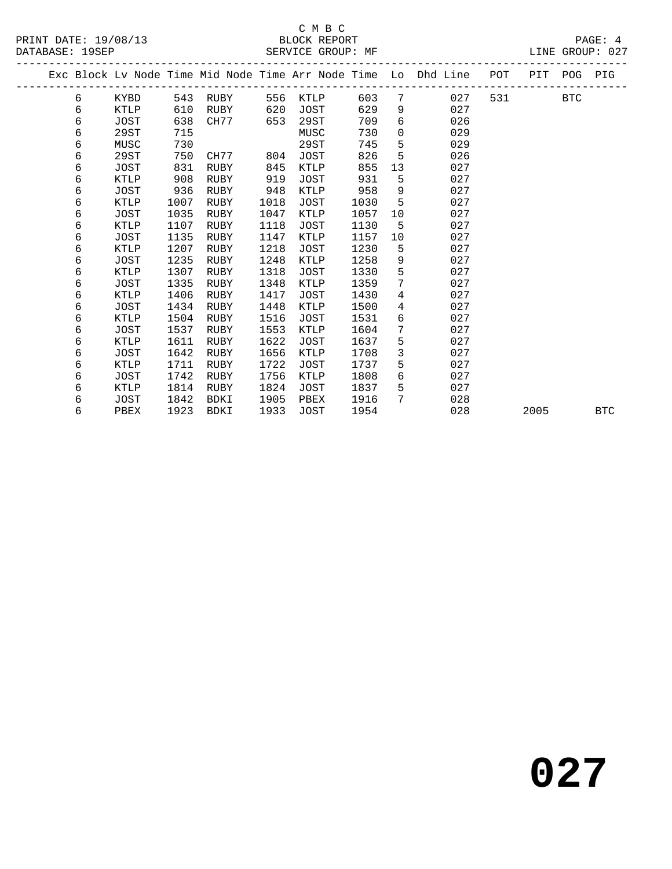### C M B C

DATABASE: 19SEP SERVICE GROUP: MF LINE GROUP: 027

|  |   |             |      |             |      |             |      |                 | Exc Block Lv Node Time Mid Node Time Arr Node Time Lo Dhd Line POT PIT POG PIG |     |      |            |            |
|--|---|-------------|------|-------------|------|-------------|------|-----------------|--------------------------------------------------------------------------------|-----|------|------------|------------|
|  | 6 | KYBD        | 543  | RUBY        | 556  | KTLP        | 603  | $7^{\circ}$     | 027                                                                            | 531 |      | <b>BTC</b> |            |
|  | 6 | KTLP        | 610  | RUBY        | 620  | JOST        | 629  | 9               | 027                                                                            |     |      |            |            |
|  | б | JOST        | 638  | CH77        | 653  | 29ST        | 709  | 6               | 026                                                                            |     |      |            |            |
|  | 6 | 29ST        | 715  |             |      | MUSC        | 730  | $\overline{0}$  | 029                                                                            |     |      |            |            |
|  | б | MUSC        | 730  |             |      | 29ST        | 745  | 5               | 029                                                                            |     |      |            |            |
|  | 6 | 29ST        | 750  | CH77        | 804  | <b>JOST</b> | 826  | 5               | 026                                                                            |     |      |            |            |
|  | б | JOST        | 831  | RUBY        | 845  | KTLP        | 855  | 13              | 027                                                                            |     |      |            |            |
|  | 6 | KTLP        | 908  | RUBY        | 919  | <b>JOST</b> | 931  | 5               | 027                                                                            |     |      |            |            |
|  | 6 | JOST        | 936  | RUBY        | 948  | KTLP        | 958  | 9               | 027                                                                            |     |      |            |            |
|  | 6 | KTLP        | 1007 | RUBY        | 1018 | <b>JOST</b> | 1030 | 5               | 027                                                                            |     |      |            |            |
|  | б | JOST        | 1035 | RUBY        | 1047 | KTLP        | 1057 | 10              | 027                                                                            |     |      |            |            |
|  | 6 | <b>KTLP</b> | 1107 | RUBY        | 1118 | <b>JOST</b> | 1130 | 5               | 027                                                                            |     |      |            |            |
|  | 6 | JOST        | 1135 | RUBY        | 1147 | KTLP        | 1157 | 10              | 027                                                                            |     |      |            |            |
|  | 6 | <b>KTLP</b> | 1207 | RUBY        | 1218 | JOST        | 1230 | 5               | 027                                                                            |     |      |            |            |
|  | 6 | JOST        | 1235 | RUBY        | 1248 | <b>KTLP</b> | 1258 | 9               | 027                                                                            |     |      |            |            |
|  | б | KTLP        | 1307 | RUBY        | 1318 | <b>JOST</b> | 1330 | 5               | 027                                                                            |     |      |            |            |
|  | б | JOST        | 1335 | RUBY        | 1348 | KTLP        | 1359 | $7\phantom{.}$  | 027                                                                            |     |      |            |            |
|  | 6 | KTLP        | 1406 | RUBY        | 1417 | <b>JOST</b> | 1430 | $\overline{4}$  | 027                                                                            |     |      |            |            |
|  | 6 | JOST        | 1434 | RUBY        | 1448 | KTLP        | 1500 | $4\overline{ }$ | 027                                                                            |     |      |            |            |
|  | 6 | <b>KTLP</b> | 1504 | RUBY        | 1516 | <b>JOST</b> | 1531 | 6               | 027                                                                            |     |      |            |            |
|  | 6 | JOST        | 1537 | RUBY        | 1553 | KTLP        | 1604 | 7               | 027                                                                            |     |      |            |            |
|  | б | KTLP        | 1611 | RUBY        | 1622 | <b>JOST</b> | 1637 | 5               | 027                                                                            |     |      |            |            |
|  | 6 | JOST        | 1642 | RUBY        | 1656 | KTLP        | 1708 | $\mathfrak{Z}$  | 027                                                                            |     |      |            |            |
|  | 6 | <b>KTLP</b> | 1711 | <b>RUBY</b> | 1722 | <b>JOST</b> | 1737 | 5               | 027                                                                            |     |      |            |            |
|  | 6 | JOST        | 1742 | RUBY        | 1756 | KTLP        | 1808 | 6               | 027                                                                            |     |      |            |            |
|  | 6 | <b>KTLP</b> | 1814 | RUBY        | 1824 | JOST        | 1837 | 5               | 027                                                                            |     |      |            |            |
|  | 6 | JOST        | 1842 | BDKI        | 1905 | PBEX        | 1916 | $7^{\circ}$     | 028                                                                            |     |      |            |            |
|  | б | PBEX        | 1923 | BDKI        | 1933 | <b>JOST</b> | 1954 |                 | 028                                                                            |     | 2005 |            | <b>BTC</b> |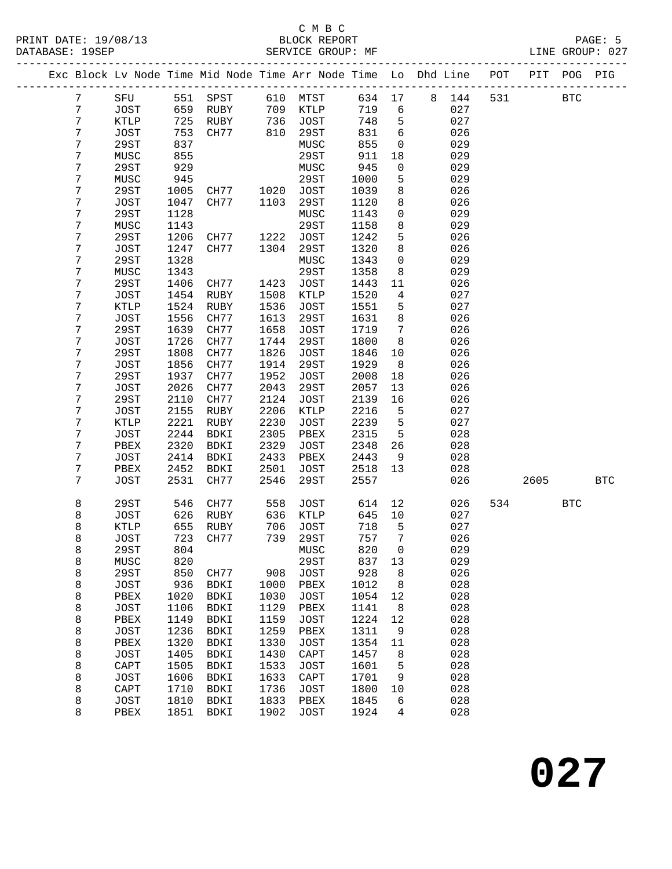### C M B C<br>BLOCK REPORT

|                  |               |      |              |      |                 |       |                 | Exc Block Lv Node Time Mid Node Time Arr Node Time Lo Dhd Line | POT | PIT POG |            | PIG        |
|------------------|---------------|------|--------------|------|-----------------|-------|-----------------|----------------------------------------------------------------|-----|---------|------------|------------|
| $7\phantom{.}$   | SFU           |      | 551 SPST     |      | 610 MTST        |       |                 | 634 17 8 144                                                   | 531 |         | <b>BTC</b> |            |
| $7\phantom{.}$   | JOST          |      | 659 RUBY     | 709  | KTLP            | 719   | $6\overline{6}$ | 027                                                            |     |         |            |            |
| $\sqrt{ }$       | KTLP          | 725  | RUBY         | 736  | JOST            | 748   | $5^{\circ}$     | 027                                                            |     |         |            |            |
| $\boldsymbol{7}$ | JOST          | 753  | CH77         | 810  | 29ST            | 831   | 6               | 026                                                            |     |         |            |            |
| $\boldsymbol{7}$ | 29ST          | 837  |              |      | MUSC            | 855   | $\overline{0}$  | 029                                                            |     |         |            |            |
| $\boldsymbol{7}$ | MUSC          | 855  |              |      | 29ST            | 911   | 18              | 029                                                            |     |         |            |            |
| $\sqrt{ }$       | 29ST          | 929  |              |      | MUSC            | 945   | $\overline{0}$  | 029                                                            |     |         |            |            |
| $\boldsymbol{7}$ | MUSC          | 945  |              |      | 29ST            | 1000  | 5               | 029                                                            |     |         |            |            |
| $\boldsymbol{7}$ | 29ST          | 1005 | CH77<br>CH77 | 1020 | JOST            | 1039  | 8               | 026                                                            |     |         |            |            |
| $\boldsymbol{7}$ | JOST          | 1047 | CH77         | 1103 | 29ST            | 1120  | 8               | 026                                                            |     |         |            |            |
| $\boldsymbol{7}$ | 29ST          | 1128 |              |      | MUSC            | 1143  | $\mathsf{O}$    | 029                                                            |     |         |            |            |
| 7                | MUSC          | 1143 |              |      | 29ST            | 1158  | 8               | 029                                                            |     |         |            |            |
| 7                | 29ST          | 1206 | CH77         | 1222 | JOST            | 1242  | 5               | 026                                                            |     |         |            |            |
| $\boldsymbol{7}$ | JOST          | 1247 | CH77         | 1304 | 29ST            | 1320  | 8               | 026                                                            |     |         |            |            |
| $\boldsymbol{7}$ | 29ST          | 1328 |              |      | MUSC            | 1343  | $\overline{0}$  | 029                                                            |     |         |            |            |
| 7                | MUSC          | 1343 |              |      | 29ST            | 1358  | 8               | 029                                                            |     |         |            |            |
| $\boldsymbol{7}$ | 29ST          | 1406 | CH77         | 1423 | JOST            | 1443  | 11              | 026                                                            |     |         |            |            |
| $\boldsymbol{7}$ | JOST          | 1454 | RUBY         | 1508 | $\texttt{KTLP}$ | 1520  | $\overline{4}$  | 027                                                            |     |         |            |            |
| $\boldsymbol{7}$ | KTLP          | 1524 | RUBY         | 1536 | JOST            | 1551  | 5               | 027                                                            |     |         |            |            |
| $\boldsymbol{7}$ | JOST          | 1556 | CH77         | 1613 | 29ST            | 1631  | 8               | 026                                                            |     |         |            |            |
| $\boldsymbol{7}$ | 29ST          | 1639 | CH77         | 1658 | JOST            | 1719  | $\overline{7}$  | 026                                                            |     |         |            |            |
| $\boldsymbol{7}$ | JOST          | 1726 | CH77         | 1744 | 29ST            | 1800  | 8               | 026                                                            |     |         |            |            |
| $\boldsymbol{7}$ | 29ST          | 1808 | CH77         | 1826 | JOST            | 1846  | 10              | 026                                                            |     |         |            |            |
| $\boldsymbol{7}$ | JOST          | 1856 | CH77         | 1914 | 29ST            | 1929  | 8               | 026                                                            |     |         |            |            |
| $\boldsymbol{7}$ | 29ST          | 1937 | CH77         | 1952 | JOST            | 2008  | 18              | 026                                                            |     |         |            |            |
| 7                | JOST          | 2026 | CH77         | 2043 | 29ST            | 2057  | 13              | 026                                                            |     |         |            |            |
| $\boldsymbol{7}$ | 29ST          | 2110 | CH77         | 2124 | JOST            | 2139  | 16              | 026                                                            |     |         |            |            |
| $\sqrt{ }$       | JOST          | 2155 | RUBY         | 2206 | KTLP            | 2216  | $5^{\circ}$     | 027                                                            |     |         |            |            |
| 7                | KTLP          | 2221 | RUBY         | 2230 | JOST            | 2239  | 5               | 027                                                            |     |         |            |            |
| 7                | $_{\rm JOST}$ | 2244 | BDKI         | 2305 | PBEX            | 2315  | $5^{\circ}$     | 028                                                            |     |         |            |            |
| $\boldsymbol{7}$ | PBEX          | 2320 | BDKI         | 2329 | JOST            | 2348  | 26              | 028                                                            |     |         |            |            |
| $\boldsymbol{7}$ | JOST          | 2414 | BDKI         | 2433 | PBEX            | 2443  | 9               | 028                                                            |     |         |            |            |
| 7                | PBEX          | 2452 | BDKI         | 2501 | JOST            | 2518  | 13              | 028                                                            |     |         |            |            |
| $\overline{7}$   | JOST          | 2531 | CH77         | 2546 | 29ST            | 2557  |                 | 026                                                            |     | 2605    |            | <b>BTC</b> |
| 8                | 29ST          | 546  | CH77         | 558  | JOST            | 614   | 12              | 026                                                            | 534 |         | <b>BTC</b> |            |
| 8                | <b>JOST</b>   | 626  | RUBY         | 636  | KTLP            | 645   | 10              | 027                                                            |     |         |            |            |
| 8                | KTLP          | 655  | RUBY         | 706  | JOST            | 718   | $5^{\circ}$     | 027                                                            |     |         |            |            |
| 8                | <b>JOST</b>   | 723  | CH77         | 739  | 29ST            | 757   | $7\phantom{.0}$ | 026                                                            |     |         |            |            |
| 8                | 29ST          |      | 804 MUSC     |      |                 | 820 0 |                 | 029                                                            |     |         |            |            |
| 8                | MUSC          | 820  |              |      | 29ST            | 837   | 13              | 029                                                            |     |         |            |            |
| 8                | 29ST          | 850  | CH77         |      | 908 JOST        | 928   | 8               | 026                                                            |     |         |            |            |
| 8                | <b>JOST</b>   | 936  | BDKI         | 1000 | PBEX            | 1012  | 8               | 028                                                            |     |         |            |            |
| 8                | PBEX          | 1020 | BDKI         | 1030 | JOST            | 1054  | 12              | 028                                                            |     |         |            |            |
| 8                | JOST          | 1106 | BDKI         | 1129 | PBEX            | 1141  | 8               | 028                                                            |     |         |            |            |
| 8                | PBEX          | 1149 | BDKI         | 1159 | JOST            | 1224  | 12              | 028                                                            |     |         |            |            |
| 8                | <b>JOST</b>   | 1236 | BDKI         | 1259 | PBEX            | 1311  | 9               | 028                                                            |     |         |            |            |
| 8                | PBEX          | 1320 | BDKI         | 1330 | JOST            | 1354  | 11              | 028                                                            |     |         |            |            |
| 8                | <b>JOST</b>   | 1405 | BDKI         | 1430 | CAPT            | 1457  | 8               | 028                                                            |     |         |            |            |
| 8                | CAPT          | 1505 | BDKI         | 1533 | JOST            | 1601  | 5               | 028                                                            |     |         |            |            |
| 8                | <b>JOST</b>   | 1606 | BDKI         | 1633 | CAPT            | 1701  | 9               | 028                                                            |     |         |            |            |
| 8                | CAPT          | 1710 | BDKI         | 1736 | JOST            | 1800  | 10              | 028                                                            |     |         |            |            |
| 8                | <b>JOST</b>   | 1810 | BDKI         | 1833 | PBEX            | 1845  | 6               | 028                                                            |     |         |            |            |
| 8                | PBEX          | 1851 | BDKI         | 1902 | JOST            | 1924  | 4               | 028                                                            |     |         |            |            |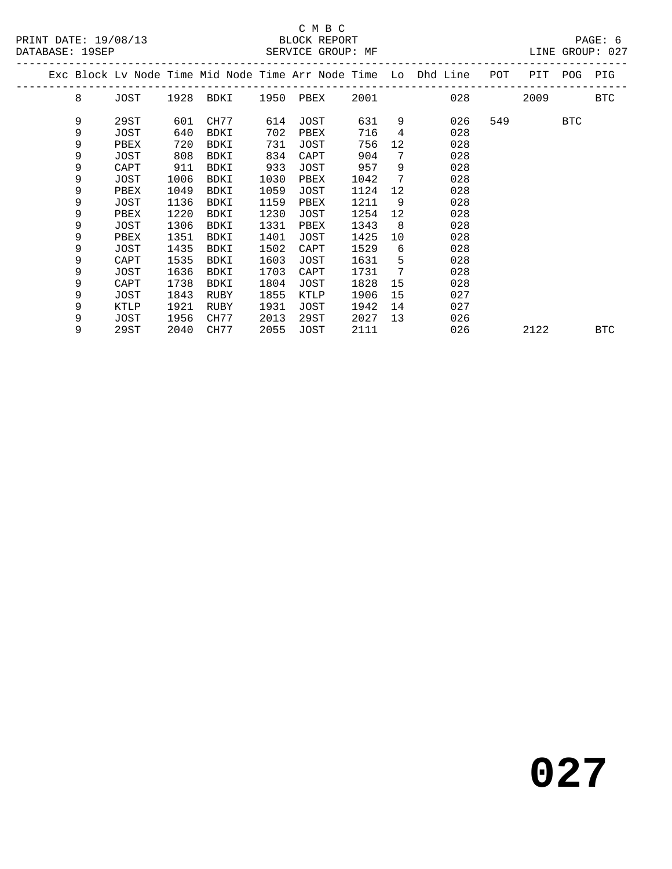#### C M B C<br>BLOCK REPORT SERVICE GROUP: MF

| DAIADAOE · IJOEF |   |      |      |             |      | DERVICE GROUP. MF |      |                |                                                                |     |      |     | DINE GROUP . 047 |
|------------------|---|------|------|-------------|------|-------------------|------|----------------|----------------------------------------------------------------|-----|------|-----|------------------|
|                  |   |      |      |             |      |                   |      |                | Exc Block Lv Node Time Mid Node Time Arr Node Time Lo Dhd Line | POT | PIT  | POG | PIG              |
|                  | 8 | JOST |      | 1928 BDKI   |      | 1950 PBEX         | 2001 |                | 028                                                            |     | 2009 |     | BTC              |
|                  | 9 | 29ST | 601  | CH77        | 614  | JOST              | 631  | 9              | 026                                                            | 549 |      | BTC |                  |
|                  | 9 | JOST | 640  | BDKI        | 702  | PBEX              | 716  | $\overline{4}$ | 028                                                            |     |      |     |                  |
|                  | 9 | PBEX | 720  | BDKI        | 731  | JOST              | 756  | 12             | 028                                                            |     |      |     |                  |
|                  | 9 | JOST | 808  | BDKI        | 834  | CAPT              | 904  | 7              | 028                                                            |     |      |     |                  |
|                  | 9 | CAPT | 911  | BDKI        | 933  | JOST              | 957  | 9              | 028                                                            |     |      |     |                  |
|                  | 9 | JOST | 1006 | BDKI        | 1030 | PBEX              | 1042 | 7              | 028                                                            |     |      |     |                  |
|                  | 9 | PBEX | 1049 | <b>BDKI</b> | 1059 | JOST              | 1124 | 12             | 028                                                            |     |      |     |                  |
|                  | 9 | JOST | 1136 | BDKI        | 1159 | PBEX              | 1211 | 9              | 028                                                            |     |      |     |                  |
|                  | 9 | PBEX | 1220 | BDKI        | 1230 | JOST              | 1254 | 12             | 028                                                            |     |      |     |                  |
|                  | 9 | JOST | 1306 | BDKI        | 1331 | PBEX              | 1343 | - 8            | 028                                                            |     |      |     |                  |
|                  | 9 | PBEX | 1351 | BDKI        | 1401 | JOST              | 1425 | 10             | 028                                                            |     |      |     |                  |
|                  | 9 | JOST | 1435 | BDKI        | 1502 | CAPT              | 1529 | 6              | 028                                                            |     |      |     |                  |
|                  | 9 | CAPT | 1535 | BDKI        | 1603 | JOST              | 1631 | 5              | 028                                                            |     |      |     |                  |
|                  | 9 | JOST | 1636 | BDKI        | 1703 | CAPT              | 1731 | 7              | 028                                                            |     |      |     |                  |
|                  | 9 | CAPT | 1738 | BDKI        | 1804 | JOST              | 1828 | 15             | 028                                                            |     |      |     |                  |
|                  | 9 | JOST | 1843 | RUBY        | 1855 | KTLP              | 1906 | 15             | 027                                                            |     |      |     |                  |
|                  | 9 | KTLP | 1921 | RUBY        | 1931 | JOST              | 1942 | 14             | 027                                                            |     |      |     |                  |
|                  | 9 | JOST | 1956 | CH77        | 2013 | 29ST              | 2027 | 13             | 026                                                            |     |      |     |                  |
|                  | 9 | 29ST | 2040 | CH77        | 2055 | JOST              | 2111 |                | 026                                                            |     | 2122 |     | <b>BTC</b>       |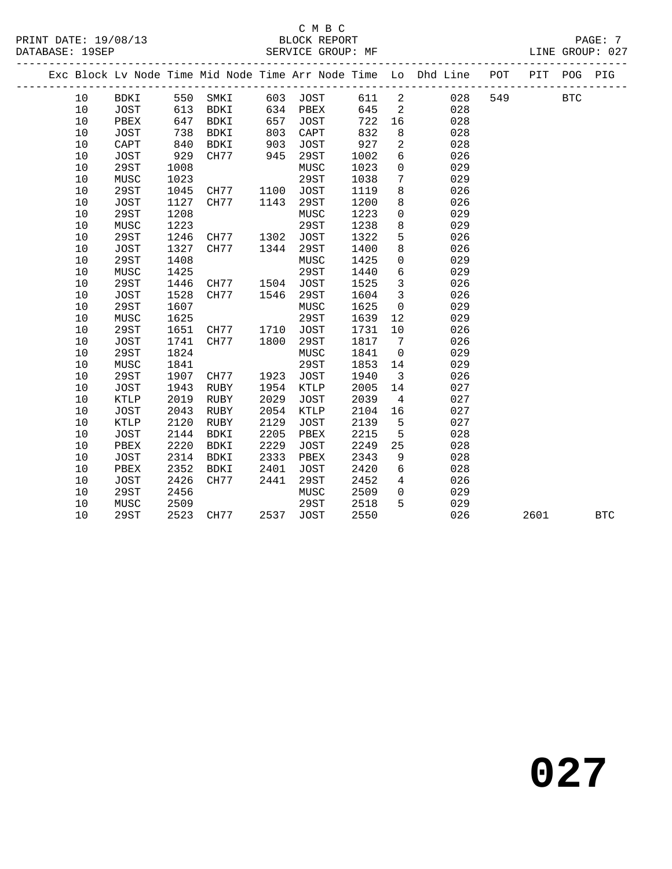PRINT DATE: 19/08/13 BLOCK REPORT PAGE: 7 DATABASE: 19SEP SERVICE GROUP: MF

### C M B C<br>BLOCK REPORT

 10 29ST 1208 MUSC 1223 0 029 10 MUSC 1223 29ST 1238 8 029 10 29ST 1246 CH77 1302 JOST 1322 5 026 10 JOST 1327 CH77 1344 29ST 1400 8 026 10 29ST 1408 MUSC 1425 0 029 10 MUSC 1425 29ST 1440 6 029 10 29ST 1446 CH77 1504 JOST 1525 3 026 10 JOST 1528 CH77 1546 29ST 1604 3 026 10 29ST 1607 MUSC 1625 0 029 10 MUSC 1625 29ST 1639 12 029 10 29ST 1651 CH77 1710 JOST 1731 10 026 10 JOST 1741 CH77 1800 29ST 1817 7 026 10 29ST 1824 MUSC 1841 0 029 10 MUSC 1841 29ST 1853 14 029 10 29ST 1907 CH77 1923 JOST 1940 3 026 10 JOST 1943 RUBY 1954 KTLP 2005 14 027 10 KTLP 2019 RUBY 2029 JOST 2039 4 027 10 JOST 2043 RUBY 2054 KTLP 2104 16 027 10 KTLP 2120 RUBY 2129 JOST 2139 5 027 10 JOST 2144 BDKI 2205 PBEX 2215 5 028 10 PBEX 2220 BDKI 2229 JOST 2249 25 028 10 JOST 2314 BDKI 2333 PBEX 2343 9 028 10 PBEX 2352 BDKI 2401 JOST 2420 6 028 10 JOST 2426 CH77 2441 29ST 2452 4 026 10 29ST 2456 MUSC 2509 0 029 10 MUSC 2509 29ST 2518 5 029

|  |    |      |      |      |      |      |      |          | Exc Block Ly Node Time Mid Node Time Arr Node Time Lo Dhd Line | POT | PIT | POG-       | PIG |  |
|--|----|------|------|------|------|------|------|----------|----------------------------------------------------------------|-----|-----|------------|-----|--|
|  | 10 | BDKI | 550  | SMKI | 603  | JOST | 611  | 2        | 028                                                            | 549 |     | <b>BTC</b> |     |  |
|  | 10 | JOST | 613  | BDKI | 634  | PBEX | 645  | 2        | 028                                                            |     |     |            |     |  |
|  | 10 | PBEX | 647  | BDKI | 657  | JOST | 722  | 16       | 028                                                            |     |     |            |     |  |
|  | 10 | JOST | 738  | BDKI | 803  | CAPT | 832  | 8        | 028                                                            |     |     |            |     |  |
|  | 10 | CAPT | 840  | BDKI | 903  | JOST | 927  | 2        | 028                                                            |     |     |            |     |  |
|  | 10 | JOST | 929  | CH77 | 945  | 29ST | 1002 | 6        | 026                                                            |     |     |            |     |  |
|  | 10 | 29ST | 1008 |      |      | MUSC | 1023 | $\Omega$ | 029                                                            |     |     |            |     |  |
|  | 10 | MUSC | 1023 |      |      | 29ST | 1038 | 7        | 029                                                            |     |     |            |     |  |
|  | 10 | 29ST | 1045 | CH77 | 1100 | JOST | 1119 | 8        | 026                                                            |     |     |            |     |  |
|  | 10 | JOST | 1127 | CH77 | 1143 | 29ST | 1200 | 8        | 026                                                            |     |     |            |     |  |
|  |    |      |      |      |      |      |      |          |                                                                |     |     |            |     |  |

10 29ST 2523 CH77 2537 JOST 2550 026 2601 BTC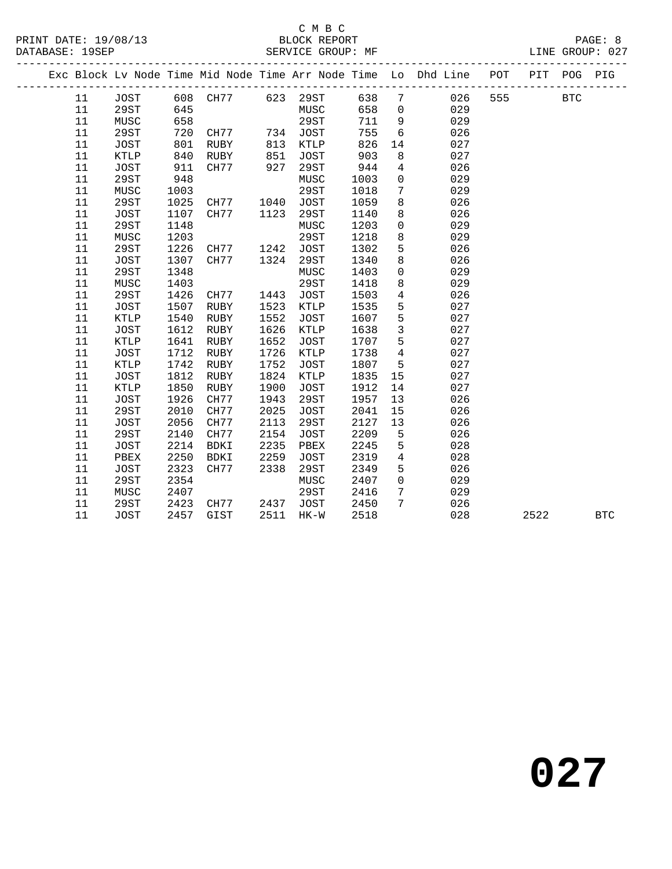### C M B C

| PRINT DATE: 19/08/13 | BLOCK REPORT | <b>PAGE</b> |       |
|----------------------|--------------|-------------|-------|
|                      |              |             | - - - |

DATABASE: 19SEP SERVICE GROUP: MF SERVICE GROUP: 027 --------------------------------------------------------------------------------------------- Exc Block Lv Node Time Mid Node Time Arr Node Time Lo Dhd Line POT PIT POG PIG --------------------------------------------------------------------------------------------- 11 JOST 608 CH77 623 29ST 638 7 026 555 BTC

| --     | ----        | ---  |      |      | ----        | ---  |                 |     |      |            |
|--------|-------------|------|------|------|-------------|------|-----------------|-----|------|------------|
| 11     | 29ST        | 645  |      |      | MUSC        | 658  | $\overline{0}$  | 029 |      |            |
| 11     | MUSC        | 658  |      |      | 29ST        | 711  | 9               | 029 |      |            |
| 11     | 29ST        | 720  | CH77 |      | 734 JOST    | 755  | 6               | 026 |      |            |
| 11     | JOST        | 801  | RUBY | 813  | KTLP        | 826  | 14              | 027 |      |            |
| 11     | KTLP        | 840  | RUBY | 851  | JOST        | 903  | 8               | 027 |      |            |
| 11     | JOST        | 911  | CH77 | 927  | 29ST        | 944  | $\overline{4}$  | 026 |      |            |
| 11     | 29ST        | 948  |      |      | MUSC        | 1003 | $\overline{0}$  | 029 |      |            |
| 11     | MUSC        | 1003 |      |      | 29ST        | 1018 | $7\phantom{.}$  | 029 |      |            |
| 11     | 29ST        | 1025 | CH77 | 1040 | JOST        | 1059 | 8               | 026 |      |            |
| 11     | JOST        | 1107 | CH77 | 1123 | 29ST        | 1140 | 8               | 026 |      |            |
| 11     | 29ST        | 1148 |      |      | MUSC        | 1203 | $\overline{0}$  | 029 |      |            |
| 11     | MUSC        | 1203 |      |      | 29ST        | 1218 | 8               | 029 |      |            |
| 11     | 29ST        | 1226 | CH77 | 1242 | JOST        | 1302 | 5               | 026 |      |            |
| 11     | JOST        | 1307 | CH77 | 1324 | 29ST        | 1340 | 8               | 026 |      |            |
| 11     | 29ST        | 1348 |      |      | MUSC        | 1403 | $\mathsf{O}$    | 029 |      |            |
| 11     | MUSC        | 1403 |      |      | 29ST        | 1418 | 8               | 029 |      |            |
| 11     | 29ST        | 1426 | CH77 | 1443 | JOST        | 1503 | $\overline{4}$  | 026 |      |            |
| 11     | JOST        | 1507 | RUBY | 1523 | KTLP        | 1535 | 5               | 027 |      |            |
| 11     | KTLP        | 1540 | RUBY | 1552 | JOST        | 1607 | 5               | 027 |      |            |
| $11\,$ | JOST        | 1612 | RUBY | 1626 | KTLP        | 1638 | $\mathbf{3}$    | 027 |      |            |
| 11     | KTLP        | 1641 | RUBY | 1652 | <b>JOST</b> | 1707 | 5               | 027 |      |            |
| $11\,$ | JOST        | 1712 | RUBY | 1726 | KTLP        | 1738 | $4\overline{4}$ | 027 |      |            |
| 11     | KTLP        | 1742 | RUBY | 1752 | JOST        | 1807 | $5\overline{)}$ | 027 |      |            |
| 11     | JOST        | 1812 | RUBY | 1824 | KTLP        | 1835 | 15              | 027 |      |            |
| 11     | KTLP        | 1850 | RUBY | 1900 | JOST        | 1912 | 14              | 027 |      |            |
| 11     | JOST        | 1926 | CH77 | 1943 | 29ST        | 1957 | 13              | 026 |      |            |
| 11     | 29ST        | 2010 | CH77 | 2025 | JOST        | 2041 | 15              | 026 |      |            |
| 11     | JOST        | 2056 | CH77 | 2113 | 29ST        | 2127 | 13              | 026 |      |            |
| 11     | 29ST        | 2140 | CH77 | 2154 | JOST        | 2209 | 5               | 026 |      |            |
| 11     | JOST        | 2214 | BDKI | 2235 | PBEX        | 2245 | 5               | 028 |      |            |
| 11     | PBEX        | 2250 | BDKI | 2259 | <b>JOST</b> | 2319 | $\overline{4}$  | 028 |      |            |
| 11     | JOST        | 2323 | CH77 | 2338 | 29ST        | 2349 | 5               | 026 |      |            |
| 11     | 29ST        | 2354 |      |      | MUSC        | 2407 | $\overline{0}$  | 029 |      |            |
| 11     | MUSC        | 2407 |      |      | 29ST        | 2416 | $7\phantom{.0}$ | 029 |      |            |
| 11     | 29ST        | 2423 | CH77 | 2437 | JOST        | 2450 | $7\phantom{.0}$ | 026 |      |            |
| 11     | <b>JOST</b> | 2457 | GIST |      | 2511 HK-W   | 2518 |                 | 028 | 2522 | <b>BTC</b> |
|        |             |      |      |      |             |      |                 |     |      |            |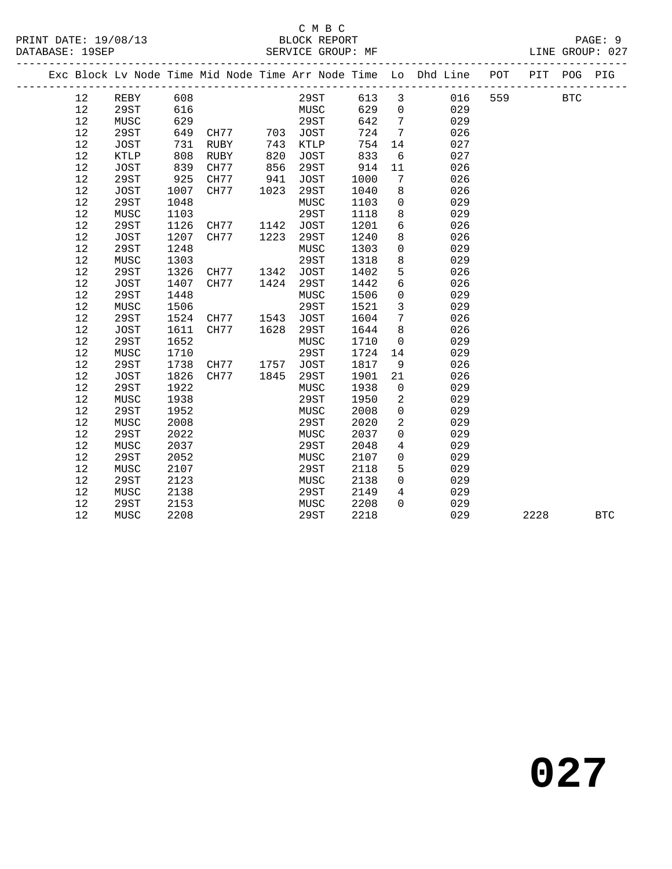### C M B C<br>BLOCK REPORT DHUCK KLASSEE<br>SERVICE GROUP: MF

|  |    |             |      |      |      |             |      |                 | Exc Block Lv Node Time Mid Node Time Arr Node Time Lo Dhd Line POT |     | PIT  | POG          | PIG          |
|--|----|-------------|------|------|------|-------------|------|-----------------|--------------------------------------------------------------------|-----|------|--------------|--------------|
|  | 12 | REBY        | 608  |      |      | 29ST        | 613  | $\mathbf{3}$    | 016                                                                | 559 |      | $_{\rm BTC}$ |              |
|  | 12 | 29ST        | 616  |      |      | MUSC        | 629  | $\mathsf{O}$    | 029                                                                |     |      |              |              |
|  | 12 | MUSC        | 629  |      |      | 29ST        | 642  | $7\phantom{.0}$ | 029                                                                |     |      |              |              |
|  | 12 | 29ST        | 649  | CH77 | 703  | JOST        | 724  | $7\phantom{.0}$ | 026                                                                |     |      |              |              |
|  | 12 | <b>JOST</b> | 731  | RUBY | 743  | <b>KTLP</b> | 754  | 14              | 027                                                                |     |      |              |              |
|  | 12 | KTLP        | 808  | RUBY | 820  | <b>JOST</b> | 833  | 6               | 027                                                                |     |      |              |              |
|  | 12 | JOST        | 839  | CH77 | 856  | 29ST        | 914  | 11              | 026                                                                |     |      |              |              |
|  | 12 | 29ST        | 925  | CH77 | 941  | JOST        | 1000 | $7\phantom{.0}$ | 026                                                                |     |      |              |              |
|  | 12 | JOST        | 1007 | CH77 | 1023 | 29ST        | 1040 | 8               | 026                                                                |     |      |              |              |
|  | 12 | 29ST        | 1048 |      |      | MUSC        | 1103 | $\mathbf 0$     | 029                                                                |     |      |              |              |
|  | 12 | MUSC        | 1103 |      |      | <b>29ST</b> | 1118 | 8               | 029                                                                |     |      |              |              |
|  | 12 | 29ST        | 1126 | CH77 | 1142 | <b>JOST</b> | 1201 | 6               | 026                                                                |     |      |              |              |
|  | 12 | JOST        | 1207 | CH77 | 1223 | 29ST        | 1240 | 8               | 026                                                                |     |      |              |              |
|  | 12 | 29ST        | 1248 |      |      | MUSC        | 1303 | $\mathbf 0$     | 029                                                                |     |      |              |              |
|  | 12 | MUSC        | 1303 |      |      | 29ST        | 1318 | 8               | 029                                                                |     |      |              |              |
|  | 12 | 29ST        | 1326 | CH77 | 1342 | <b>JOST</b> | 1402 | $5\phantom{.0}$ | 026                                                                |     |      |              |              |
|  | 12 | JOST        | 1407 | CH77 | 1424 | 29ST        | 1442 | $6\overline{6}$ | 026                                                                |     |      |              |              |
|  | 12 | 29ST        | 1448 |      |      | MUSC        | 1506 | $\mathbf 0$     | 029                                                                |     |      |              |              |
|  | 12 | MUSC        | 1506 |      |      | 29ST        | 1521 | 3               | 029                                                                |     |      |              |              |
|  | 12 | 29ST        | 1524 | CH77 | 1543 | JOST        | 1604 | $7\phantom{.0}$ | 026                                                                |     |      |              |              |
|  | 12 | <b>JOST</b> | 1611 | CH77 | 1628 | 29ST        | 1644 | 8               | 026                                                                |     |      |              |              |
|  | 12 | 29ST        | 1652 |      |      | MUSC        | 1710 | $\mathbf 0$     | 029                                                                |     |      |              |              |
|  | 12 | MUSC        | 1710 |      |      | 29ST        | 1724 | 14              | 029                                                                |     |      |              |              |
|  | 12 | 29ST        | 1738 | CH77 | 1757 | <b>JOST</b> | 1817 | 9               | 026                                                                |     |      |              |              |
|  | 12 | JOST        | 1826 | CH77 | 1845 | 29ST        | 1901 | 21              | 026                                                                |     |      |              |              |
|  | 12 | 29ST        | 1922 |      |      | MUSC        | 1938 | $\mathbf 0$     | 029                                                                |     |      |              |              |
|  | 12 | MUSC        | 1938 |      |      | <b>29ST</b> | 1950 | 2               | 029                                                                |     |      |              |              |
|  | 12 | 29ST        | 1952 |      |      | MUSC        | 2008 | $\mathbf 0$     | 029                                                                |     |      |              |              |
|  | 12 | MUSC        | 2008 |      |      | <b>29ST</b> | 2020 | 2               | 029                                                                |     |      |              |              |
|  | 12 | 29ST        | 2022 |      |      | MUSC        | 2037 | $\Omega$        | 029                                                                |     |      |              |              |
|  | 12 | MUSC        | 2037 |      |      | 29ST        | 2048 | $\overline{4}$  | 029                                                                |     |      |              |              |
|  | 12 | 29ST        | 2052 |      |      | MUSC        | 2107 | 0               | 029                                                                |     |      |              |              |
|  | 12 | MUSC        | 2107 |      |      | 29ST        | 2118 | 5               | 029                                                                |     |      |              |              |
|  | 12 | 29ST        | 2123 |      |      | MUSC        | 2138 | $\mathbf 0$     | 029                                                                |     |      |              |              |
|  | 12 | MUSC        | 2138 |      |      | 29ST        | 2149 | $\overline{4}$  | 029                                                                |     |      |              |              |
|  | 12 | 29ST        | 2153 |      |      | MUSC        | 2208 | $\Omega$        | 029                                                                |     |      |              |              |
|  | 12 | MUSC        | 2208 |      |      | 29ST        | 2218 |                 | 029                                                                |     | 2228 |              | $_{\rm BTC}$ |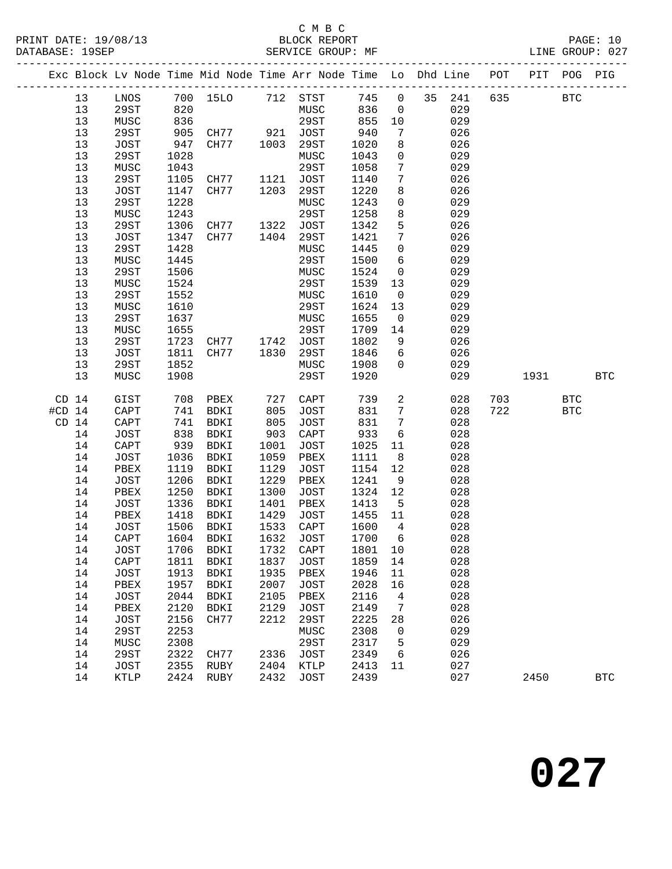### C M B C<br>BLOCK REPORT

| PAGE.           | - 11 |
|-----------------|------|
| LINE GROUP: 027 |      |

|                  |         |                              |      |                       |      |                        |         |                 | Exc Block Lv Node Time Mid Node Time Arr Node Time Lo Dhd Line POT PIT POG PIG |     |            |              |            |
|------------------|---------|------------------------------|------|-----------------------|------|------------------------|---------|-----------------|--------------------------------------------------------------------------------|-----|------------|--------------|------------|
|                  | 13      |                              |      |                       |      | LNOS 700 15LO 712 STST |         |                 | 745 0 35 241 635                                                               |     |            | $_{\rm BTC}$ |            |
|                  | 13      | 29ST                         | 820  |                       |      | MUSC                   | 836     | $\overline{0}$  | 029                                                                            |     |            |              |            |
|                  | 13      | MUSC                         | 836  |                       |      | 29ST                   | 855     | 10              | 029                                                                            |     |            |              |            |
|                  | 13      | 29ST                         | 905  |                       |      | JOST                   | 940     | 7               | 026                                                                            |     |            |              |            |
|                  | 13      | JOST                         | 947  | CH77 921<br>CH77 1003 |      | 29ST                   | 1020    | 8               | 026                                                                            |     |            |              |            |
|                  | 13      | 29ST                         | 1028 |                       |      | MUSC                   | 1043    | $\overline{0}$  | 029                                                                            |     |            |              |            |
|                  | $13$    | MUSC                         | 1043 |                       |      | 29ST                   | 1058    | $7\phantom{.0}$ | 029                                                                            |     |            |              |            |
|                  | $13$    | 29ST                         | 1105 | CH77                  | 1121 | JOST                   | 1140    | $7\phantom{.0}$ | 026                                                                            |     |            |              |            |
|                  | 13      | JOST                         | 1147 | CH77                  | 1203 | 29ST                   | 1220    | 8               | 026                                                                            |     |            |              |            |
|                  | 13      | 29ST                         | 1228 |                       |      | MUSC                   | 1243    | $\overline{0}$  | 029                                                                            |     |            |              |            |
|                  | $13$    | MUSC                         | 1243 |                       |      | 29ST                   | 1258    | 8               | 029                                                                            |     |            |              |            |
|                  | $13$    | 29ST                         | 1306 | CH77 1322             |      | JOST                   | 1342    | 5               | 026                                                                            |     |            |              |            |
|                  | 13      | JOST                         | 1347 | CH77                  | 1404 | 29ST                   | 1421    | $7\overline{ }$ | 026                                                                            |     |            |              |            |
|                  | 13      | 29ST                         | 1428 |                       |      | MUSC                   | 1445    | $\overline{0}$  | 029                                                                            |     |            |              |            |
|                  | $13$    | MUSC                         | 1445 |                       |      | 29ST                   | 1500    | $6\overline{6}$ | 029                                                                            |     |            |              |            |
|                  | $13$    | 29ST                         | 1506 |                       |      | MUSC                   | 1524    | $\overline{0}$  | 029                                                                            |     |            |              |            |
|                  | $13$    | MUSC                         | 1524 |                       |      | 29ST                   | 1539    | 13              | 029                                                                            |     |            |              |            |
|                  | 13      | 29ST                         | 1552 |                       |      | MUSC                   | 1610    | $\overline{0}$  | 029                                                                            |     |            |              |            |
|                  | 13      | MUSC                         | 1610 |                       |      | 29ST                   | 1624    | 13              | 029                                                                            |     |            |              |            |
|                  | $13$    | 29ST                         | 1637 |                       |      | MUSC                   | 1655    | $\overline{0}$  | 029                                                                            |     |            |              |            |
|                  | $13$    | MUSC                         | 1655 |                       |      | 29ST                   | 1709    | 14              | 029                                                                            |     |            |              |            |
|                  | 13      | 29ST                         | 1723 | CH77                  |      | 1742 JOST              | 1802    | 9               | 026                                                                            |     |            |              |            |
|                  | 13      | JOST                         | 1811 | CH77                  | 1830 | 29ST                   | 1846    | 6               | 026                                                                            |     |            |              |            |
|                  | $13$    | 29ST                         | 1852 |                       |      | MUSC                   | 1908    | $\overline{0}$  | 029                                                                            |     |            |              |            |
|                  | 13      | MUSC                         | 1908 |                       |      | 29ST                   | 1920    |                 | 029                                                                            |     | 1931 BTC   |              |            |
| CD <sub>14</sub> |         | GIST                         |      | 708 PBEX              | 727  | CAPT                   | 739     | $\overline{a}$  | 028                                                                            | 703 | <b>BTC</b> |              |            |
| $#CD$ 14         |         | CAPT                         | 741  | BDKI                  | 805  | JOST                   | 831     | $7\overline{ }$ | 028                                                                            | 722 | <b>BTC</b> |              |            |
| CD <sub>14</sub> |         | CAPT                         | 741  | BDKI                  | 805  | JOST                   | 831     | $7\overline{ }$ | 028                                                                            |     |            |              |            |
|                  | 14      | JOST                         | 838  | BDKI                  | 903  | CAPT                   | 933     | 6               | 028                                                                            |     |            |              |            |
|                  | 14      | $\mathop{\rm CAPT}\nolimits$ | 939  | BDKI                  | 1001 | JOST                   | 1025    | 11              | 028                                                                            |     |            |              |            |
|                  | 14      | JOST                         | 1036 | BDKI                  | 1059 | PBEX                   | 1111    | 8 <sup>8</sup>  | 028                                                                            |     |            |              |            |
|                  | 14      | PBEX                         | 1119 | BDKI                  | 1129 | JOST                   | 1154    | 12              | 028                                                                            |     |            |              |            |
|                  | 14      | JOST                         | 1206 | BDKI                  | 1229 | PBEX                   | 1241    | 9               | 028                                                                            |     |            |              |            |
|                  | 14      | PBEX                         | 1250 | BDKI                  | 1300 | JOST                   | 1324    | 12              | 028                                                                            |     |            |              |            |
|                  | 14      | JOST                         | 1336 | BDKI                  | 1401 | PBEX                   | 1413    | $5^{\circ}$     | 028                                                                            |     |            |              |            |
|                  | 14      | PBEX                         | 1418 | BDKI                  | 1429 | JOST                   | 1455    | 11              | 028                                                                            |     |            |              |            |
|                  | 14      | JOST                         | 1506 | BDKI                  | 1533 | CAPT                   | 1600    | $\overline{4}$  | 028                                                                            |     |            |              |            |
|                  | 14      | CAPT                         |      | 1604 BDKI             | 1632 | <b>JOST</b>            | 1700    | 6               | 028                                                                            |     |            |              |            |
|                  | 14 JOST |                              |      | 1706 BDKI 1732 CAPT   |      |                        | 1801 10 |                 | 028                                                                            |     |            |              |            |
|                  | 14      | CAPT                         | 1811 | BDKI                  | 1837 | JOST                   | 1859    | 14              | 028                                                                            |     |            |              |            |
|                  | 14      | JOST                         | 1913 | BDKI                  | 1935 | PBEX                   | 1946    | 11              | 028                                                                            |     |            |              |            |
|                  | 14      | PBEX                         | 1957 | BDKI                  | 2007 | JOST                   | 2028    | 16              | 028                                                                            |     |            |              |            |
|                  | 14      | JOST                         | 2044 | BDKI                  | 2105 | PBEX                   | 2116    | 4               | 028                                                                            |     |            |              |            |
|                  | 14      | PBEX                         | 2120 | BDKI                  | 2129 | <b>JOST</b>            | 2149    | 7               | 028                                                                            |     |            |              |            |
|                  | 14      | <b>JOST</b>                  | 2156 | CH77                  | 2212 | <b>29ST</b>            | 2225    | 28              | 026                                                                            |     |            |              |            |
|                  | 14      | 29ST                         | 2253 |                       |      | MUSC                   | 2308    | $\mathbf 0$     | 029                                                                            |     |            |              |            |
|                  | 14      | MUSC                         | 2308 |                       |      | 29ST                   | 2317    | 5               | 029                                                                            |     |            |              |            |
|                  | 14      | 29ST                         | 2322 | CH77                  | 2336 | JOST                   | 2349    | 6               | 026                                                                            |     |            |              |            |
|                  | 14      | JOST                         | 2355 | RUBY                  | 2404 | KTLP                   | 2413    | 11              | 027                                                                            |     |            |              |            |
|                  | 14      | KTLP                         | 2424 | RUBY                  | 2432 | JOST                   | 2439    |                 | 027                                                                            |     | 2450       |              | <b>BTC</b> |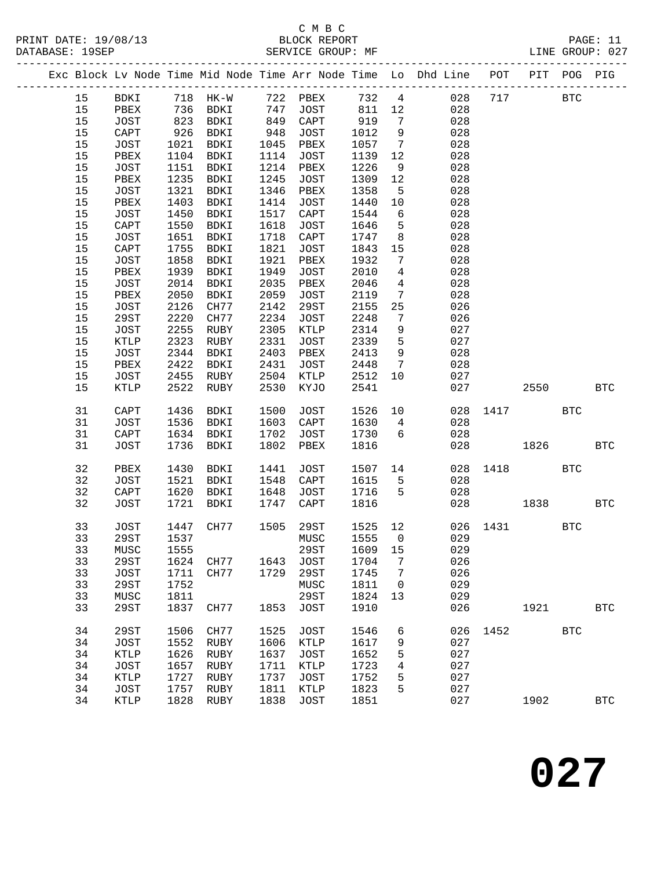### C M B C<br>BLOCK REPORT

| PRINT DATE: 19/08/13 |                   | BLOCK REPORT |  | PAGE: 11        |  |
|----------------------|-------------------|--------------|--|-----------------|--|
| DATABASE: 19SEP      | SERVICE GROUP: MF |              |  | LINE GROUP: 027 |  |
|                      |                   |              |  |                 |  |

|      |             |      |      |      |                                                               |         |                              | Exc Block Lv Node Time Mid Node Time Arr Node Time Lo Dhd Line POT |      | PIT        | POG        | PIG                  |
|------|-------------|------|------|------|---------------------------------------------------------------|---------|------------------------------|--------------------------------------------------------------------|------|------------|------------|----------------------|
| 15   |             |      |      |      | BDKI 718 HK-W 722 PBEX 732 4<br>PBEX 736 BDKI 747 JOST 811 12 |         |                              | 028                                                                | 717  |            | <b>BTC</b> |                      |
| 15   |             |      |      |      |                                                               |         |                              | 028                                                                |      |            |            |                      |
| 15   | JOST        | 823  | BDKI |      | $849$ CAPT                                                    | 919     | $\overline{7}$               | 028                                                                |      |            |            |                      |
| 15   | CAPT        | 926  | BDKI | 948  | JOST                                                          | 1012    | 9                            | 028                                                                |      |            |            |                      |
| 15   | JOST        | 1021 | BDKI | 1045 | PBEX                                                          | 1057    | $\overline{7}$               | 028                                                                |      |            |            |                      |
| 15   | PBEX        | 1104 | BDKI | 1114 | JOST                                                          | 1139    | 12                           | 028                                                                |      |            |            |                      |
| $15$ | JOST        | 1151 | BDKI | 1214 | PBEX                                                          | 1226    | 9                            | 028                                                                |      |            |            |                      |
| 15   | PBEX        | 1235 | BDKI | 1245 | JOST                                                          | 1309    | 12                           | 028                                                                |      |            |            |                      |
| 15   | JOST        | 1321 | BDKI | 1346 | PBEX                                                          | 1358    | $5^{\circ}$                  | 028                                                                |      |            |            |                      |
| 15   | PBEX        | 1403 | BDKI | 1414 | JOST                                                          | 1440    | 10                           | 028                                                                |      |            |            |                      |
| $15$ | JOST        | 1450 | BDKI | 1517 | CAPT                                                          | 1544    | 6                            | 028                                                                |      |            |            |                      |
| 15   | CAPT        | 1550 | BDKI | 1618 | JOST                                                          | 1646    | $5^{\circ}$                  | 028                                                                |      |            |            |                      |
| 15   | JOST        | 1651 | BDKI | 1718 | CAPT                                                          | 1747    | 8                            | 028                                                                |      |            |            |                      |
| 15   | CAPT        | 1755 | BDKI | 1821 | JOST                                                          | 1843    | 15                           | 028                                                                |      |            |            |                      |
| 15   | JOST        | 1858 | BDKI | 1921 | PBEX                                                          | 1932    | $7\overline{ }$              | 028                                                                |      |            |            |                      |
| $15$ | PBEX        | 1939 | BDKI | 1949 | JOST                                                          | 2010    | $4\overline{4}$              | 028                                                                |      |            |            |                      |
| $15$ | JOST        | 2014 | BDKI | 2035 | PBEX                                                          | 2046    | $\overline{4}$               | 028                                                                |      |            |            |                      |
| 15   | PBEX        | 2050 | BDKI | 2059 | JOST                                                          | 2119    | $7\overline{ }$              | 028                                                                |      |            |            |                      |
| 15   | JOST        | 2126 | CH77 | 2142 | 29ST                                                          | 2155    | 25                           | 026                                                                |      |            |            |                      |
| 15   | 29ST        | 2220 | CH77 | 2234 | JOST                                                          | 2248    | $7\phantom{.0}\phantom{.0}7$ | 026                                                                |      |            |            |                      |
| $15$ | JOST        | 2255 | RUBY | 2305 | KTLP                                                          | 2314    | 9                            | 027                                                                |      |            |            |                      |
| 15   | KTLP        | 2323 | RUBY | 2331 | JOST                                                          | 2339    | $5^{\circ}$                  | 027                                                                |      |            |            |                      |
| 15   | JOST        | 2344 | BDKI | 2403 | PBEX                                                          | 2413    | 9                            | 028                                                                |      |            |            |                      |
| 15   | PBEX        | 2422 | BDKI | 2431 | JOST                                                          | 2448    | $\overline{7}$               | 028                                                                |      |            |            |                      |
| 15   | JOST        | 2455 | RUBY | 2504 | KTLP                                                          | 2512    | 10                           | 027                                                                |      |            |            |                      |
| 15   | KTLP        | 2522 | RUBY | 2530 | KYJO                                                          | 2541    |                              | 027                                                                |      | 2550       |            | <b>BTC</b>           |
| 31   | CAPT        | 1436 | BDKI | 1500 | JOST                                                          | 1526    | 10                           | 028                                                                | 1417 | <b>BTC</b> |            |                      |
| 31   | JOST        | 1536 | BDKI | 1603 | CAPT                                                          | 1630    | $\overline{4}$               | 028                                                                |      |            |            |                      |
| 31   | CAPT        | 1634 | BDKI | 1702 | JOST                                                          | 1730    | 6                            | 028                                                                |      |            |            |                      |
| 31   | <b>JOST</b> | 1736 | BDKI | 1802 | PBEX                                                          | 1816    |                              | 028                                                                |      | 1826       |            | <b>BTC</b>           |
|      |             |      |      |      |                                                               |         |                              |                                                                    |      |            |            |                      |
| 32   | PBEX        | 1430 | BDKI | 1441 | JOST                                                          | 1507 14 |                              | 028                                                                | 1418 |            | <b>BTC</b> |                      |
| 32   | JOST        | 1521 | BDKI | 1548 | ${\tt CAPT}$                                                  | 1615    | 5                            | 028                                                                |      |            |            |                      |
| 32   | CAPT        | 1620 | BDKI | 1648 | JOST                                                          | 1716    | $5^{\circ}$                  | 028                                                                |      |            |            |                      |
| 32   | JOST        | 1721 | BDKI | 1747 | CAPT                                                          | 1816    |                              | 028                                                                |      | 1838       |            | <b>BTC</b>           |
|      |             |      |      |      |                                                               |         |                              |                                                                    |      |            |            |                      |
| 33   | JOST        | 1447 | CH77 | 1505 | 29ST                                                          | 1525    | 12                           | 026                                                                | 1431 |            | <b>BTC</b> |                      |
| 33   | 29ST        | 1537 |      |      | MUSC                                                          | 1555    | $\overline{0}$               | 029                                                                |      |            |            |                      |
| 33   | MUSC 1555   |      |      |      | 29ST                                                          | 1609 15 |                              | 029                                                                |      |            |            |                      |
| 33   | 29ST        | 1624 | CH77 | 1643 | JOST                                                          | 1704    | 7                            | 026                                                                |      |            |            |                      |
| 33   | JOST        | 1711 | CH77 | 1729 | 29ST                                                          | 1745    | 7                            | 026                                                                |      |            |            |                      |
| 33   | 29ST        | 1752 |      |      | MUSC                                                          | 1811    | $\overline{0}$               | 029                                                                |      |            |            |                      |
| 33   | MUSC        | 1811 |      |      | 29ST                                                          | 1824    | 13                           | 029                                                                |      |            |            |                      |
| 33   | 29ST        | 1837 | CH77 | 1853 | JOST                                                          | 1910    |                              | 026                                                                |      | 1921       |            | <b>BTC</b>           |
| 34   | 29ST        | 1506 | CH77 | 1525 | <b>JOST</b>                                                   | 1546    | 6                            | 026                                                                | 1452 |            | <b>BTC</b> |                      |
| 34   | <b>JOST</b> | 1552 | RUBY | 1606 | KTLP                                                          | 1617    | 9                            | 027                                                                |      |            |            |                      |
| 34   | KTLP        | 1626 | RUBY | 1637 | <b>JOST</b>                                                   | 1652    | 5                            | 027                                                                |      |            |            |                      |
| 34   | <b>JOST</b> | 1657 | RUBY | 1711 | KTLP                                                          | 1723    | 4                            | 027                                                                |      |            |            |                      |
| 34   | KTLP        | 1727 | RUBY | 1737 | <b>JOST</b>                                                   | 1752    | 5                            | 027                                                                |      |            |            |                      |
| 34   | <b>JOST</b> | 1757 | RUBY | 1811 | KTLP                                                          | 1823    | 5                            | 027                                                                |      |            |            |                      |
| 34   | KTLP        | 1828 | RUBY | 1838 | JOST                                                          | 1851    |                              | 027                                                                |      | 1902       |            | $\operatorname{BTC}$ |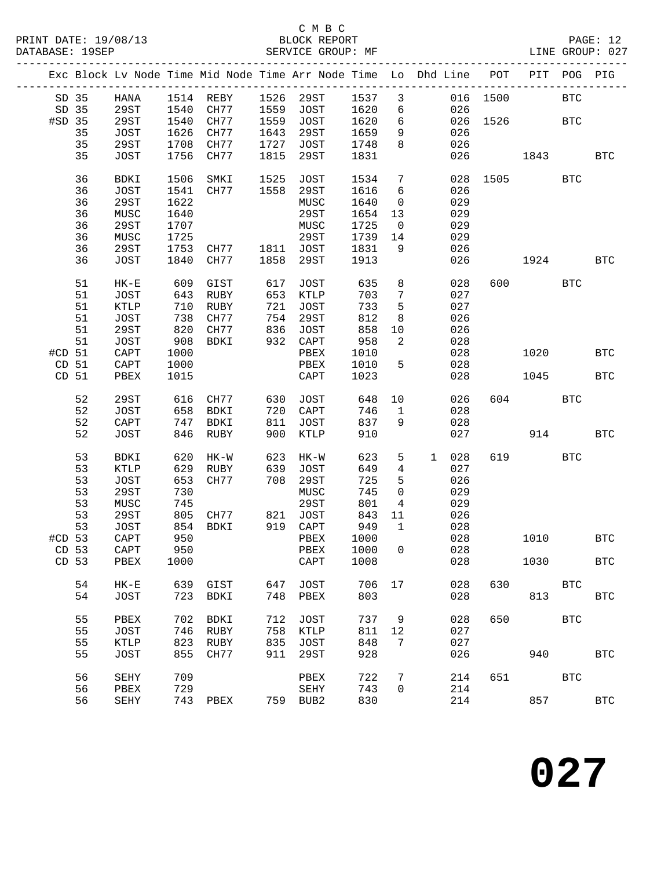#### C M B C<br>BLOCK REPORT SERVICE GROUP: MF

|                  |    |                 |      |             |      |              |        |                 | Exc Block Lv Node Time Mid Node Time Arr Node Time Lo Dhd Line | POT  | PIT        | POG        | PIG          |
|------------------|----|-----------------|------|-------------|------|--------------|--------|-----------------|----------------------------------------------------------------|------|------------|------------|--------------|
| SD 35            |    | HANA            |      | 1514 REBY   |      | 1526 29ST    | 1537 3 |                 | 016                                                            | 1500 |            | <b>BTC</b> |              |
| SD 35            |    | 29ST            | 1540 | CH77        | 1559 | JOST         | 1620   | $6\overline{6}$ | 026                                                            |      |            |            |              |
| #SD 35           |    | 29ST            | 1540 | CH77        | 1559 | JOST         | 1620   | $6\overline{6}$ | 026                                                            | 1526 |            | <b>BTC</b> |              |
|                  | 35 | JOST            | 1626 | CH77        | 1643 | 29ST         | 1659   | 9               | 026                                                            |      |            |            |              |
|                  | 35 | 29ST            | 1708 | CH77        | 1727 | JOST         | 1748   | 8               | 026                                                            |      |            |            |              |
|                  | 35 | JOST            | 1756 | CH77        | 1815 | <b>29ST</b>  | 1831   |                 | 026                                                            |      | 1843       |            | BTC          |
|                  |    |                 |      |             |      |              |        |                 |                                                                |      |            |            |              |
|                  | 36 | BDKI            | 1506 | SMKI        | 1525 | <b>JOST</b>  | 1534   | 7               | 028                                                            | 1505 |            | <b>BTC</b> |              |
|                  | 36 | <b>JOST</b>     | 1541 | CH77        | 1558 | 29ST         | 1616   | 6               | 026                                                            |      |            |            |              |
|                  | 36 | 29ST            | 1622 |             |      | MUSC         | 1640   | $\overline{0}$  | 029                                                            |      |            |            |              |
|                  | 36 | MUSC            | 1640 |             |      | <b>29ST</b>  | 1654   | 13              | 029                                                            |      |            |            |              |
|                  | 36 | 29ST            | 1707 |             |      | MUSC         | 1725   | $\overline{0}$  | 029                                                            |      |            |            |              |
|                  | 36 | MUSC            | 1725 |             |      | 29ST         | 1739   | 14              | 029                                                            |      |            |            |              |
|                  | 36 | 29ST            | 1753 | CH77        |      | 1811 JOST    | 1831   | 9               | 026                                                            |      |            |            |              |
|                  | 36 | JOST            | 1840 | CH77        | 1858 | <b>29ST</b>  | 1913   |                 | 026                                                            |      | 1924       |            | <b>BTC</b>   |
|                  |    |                 |      |             |      |              |        |                 |                                                                |      |            |            |              |
|                  | 51 | $HK-E$          | 609  | GIST        | 617  | <b>JOST</b>  | 635    | 8               | 028                                                            | 600  |            | <b>BTC</b> |              |
|                  | 51 | JOST            | 643  | RUBY        | 653  | KTLP         | 703    | $\sqrt{ }$      | 027                                                            |      |            |            |              |
|                  | 51 | KTLP            | 710  | <b>RUBY</b> | 721  | JOST         | 733    | $\mathsf S$     | 027                                                            |      |            |            |              |
|                  | 51 | JOST            | 738  | CH77        | 754  | 29ST         | 812    | $\,8\,$         | 026                                                            |      |            |            |              |
|                  | 51 | 29ST            | 820  | CH77        | 836  | JOST         | 858    | 10              | 026                                                            |      |            |            |              |
|                  | 51 | JOST            | 908  | BDKI        | 932  | CAPT         | 958    | $\overline{a}$  | 028                                                            |      |            |            |              |
| #CD 51           |    | $\texttt{CAPT}$ | 1000 |             |      | PBEX         | 1010   |                 | 028                                                            |      | 1020       |            | <b>BTC</b>   |
| CD <sub>51</sub> |    | CAPT            | 1000 |             |      | PBEX         | 1010   | 5               | 028                                                            |      |            |            |              |
| CD <sub>51</sub> |    | PBEX            | 1015 |             |      | CAPT         | 1023   |                 | 028                                                            |      | 1045       |            | <b>BTC</b>   |
|                  |    |                 |      |             |      |              |        |                 |                                                                |      |            |            |              |
|                  | 52 | 29ST            | 616  | CH77        | 630  | JOST         | 648    | 10              | 026                                                            | 604  | <b>BTC</b> |            |              |
|                  | 52 | JOST            | 658  | <b>BDKI</b> | 720  | CAPT         | 746    | $\mathbf{1}$    | 028                                                            |      |            |            |              |
|                  | 52 | CAPT            | 747  | BDKI        | 811  | <b>JOST</b>  | 837    | 9               | 028                                                            |      |            |            |              |
|                  | 52 | <b>JOST</b>     | 846  | RUBY        | 900  | KTLP         | 910    |                 | 027                                                            |      | 914        |            | <b>BTC</b>   |
|                  |    |                 |      |             |      |              |        |                 |                                                                |      |            |            |              |
|                  | 53 | BDKI            | 620  | $HK-W$      | 623  | HK-W         | 623    | 5               | 028<br>$\mathbf{1}$                                            | 619  |            | <b>BTC</b> |              |
|                  | 53 | KTLP            | 629  | RUBY        | 639  | <b>JOST</b>  | 649    | $\overline{4}$  | 027                                                            |      |            |            |              |
|                  | 53 | JOST            | 653  | CH77        | 708  | 29ST         | 725    | 5               | 026                                                            |      |            |            |              |
|                  | 53 | 29ST            | 730  |             |      | MUSC         | 745    | $\mathbf 0$     | 029                                                            |      |            |            |              |
|                  | 53 | MUSC            | 745  |             |      | <b>29ST</b>  | 801    | $\overline{4}$  | 029                                                            |      |            |            |              |
|                  | 53 | 29ST            | 805  | CH77        | 821  | JOST         | 843    | 11              | 026                                                            |      |            |            |              |
|                  | 53 | JOST            | 854  | BDKI        | 919  | ${\tt CAPT}$ | 949    | $\mathbf{1}$    | 028                                                            |      |            |            |              |
| #CD 53           |    | CAPT            | 950  |             |      | PBEX         | 1000   |                 | 028                                                            |      | 1010       |            | BTC          |
| CD <sub>53</sub> |    | CAPT            | 950  |             |      | PBEX 1000 0  |        |                 | 028                                                            |      |            |            |              |
| CD 53            |    | PBEX            | 1000 |             |      | CAPT         | 1008   |                 | 028                                                            |      | 1030       |            | $_{\rm BTC}$ |
|                  |    |                 |      |             |      |              |        |                 |                                                                |      |            |            |              |
|                  | 54 | $HK - E$        | 639  | GIST        | 647  | JOST         | 706    | 17              | 028                                                            | 630  |            | <b>BTC</b> |              |
|                  | 54 | JOST            | 723  | BDKI        | 748  | PBEX         | 803    |                 | 028                                                            |      | 813        |            | <b>BTC</b>   |
|                  |    |                 |      |             |      |              |        |                 |                                                                |      |            |            |              |
|                  | 55 | PBEX            | 702  | <b>BDKI</b> | 712  | JOST         | 737    | 9               | 028                                                            | 650  |            | <b>BTC</b> |              |
|                  | 55 | <b>JOST</b>     | 746  | RUBY        | 758  | KTLP         | 811    | 12              | 027                                                            |      |            |            |              |
|                  | 55 | KTLP            | 823  | RUBY        | 835  | JOST         | 848    | 7               | 027                                                            |      |            |            |              |
|                  | 55 | <b>JOST</b>     | 855  | CH77        | 911  | 29ST         | 928    |                 | 026                                                            |      | 940        |            | <b>BTC</b>   |
|                  | 56 | SEHY            | 709  |             |      | PBEX         | 722    | 7               | 214                                                            | 651  |            | <b>BTC</b> |              |
|                  | 56 | PBEX            | 729  |             |      | SEHY         | 743    | $\mathbf{0}$    | 214                                                            |      |            |            |              |
|                  | 56 | SEHY            |      | 743 PBEX    |      | 759 BUB2     | 830    |                 | 214                                                            |      | 857        |            | <b>BTC</b>   |
|                  |    |                 |      |             |      |              |        |                 |                                                                |      |            |            |              |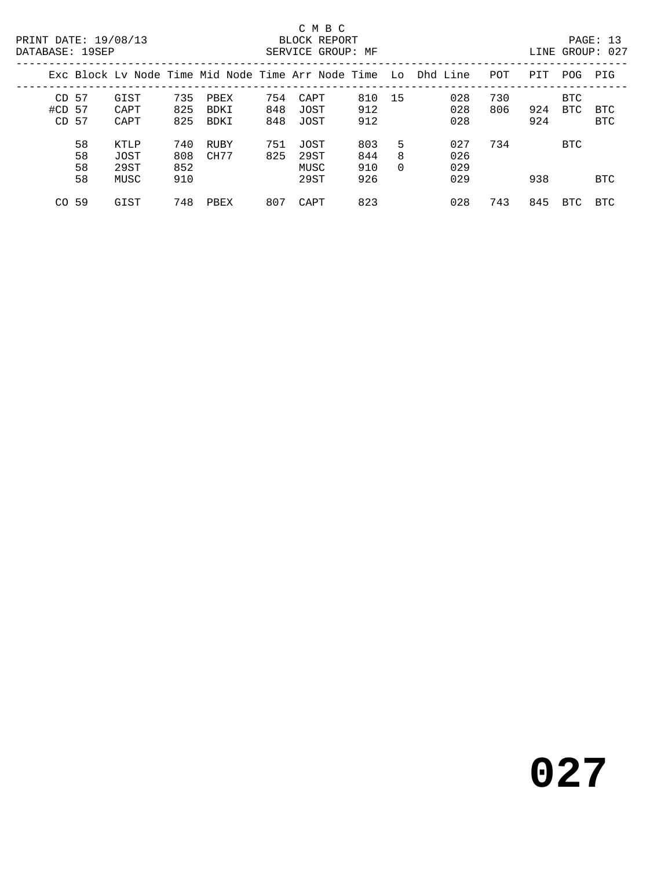### C M B C<br>BLOCK REPORT

LINE GROUP: 027

|                  |     |      |     |             |     |      |     |          | Exc Block Ly Node Time Mid Node Time Arr Node Time Lo Dhd Line | POT | PIT | POG        | PIG        |
|------------------|-----|------|-----|-------------|-----|------|-----|----------|----------------------------------------------------------------|-----|-----|------------|------------|
| CD <sub>57</sub> |     | GIST | 735 | PBEX        | 754 | CAPT | 810 | -15      | 028                                                            | 730 |     | BTC.       |            |
| #CD 57           |     | CAPT | 825 | <b>BDKI</b> | 848 | JOST | 912 |          | 028                                                            | 806 | 924 | BTC        | <b>BTC</b> |
| CD.              | -57 | CAPT | 825 | <b>BDKI</b> | 848 | JOST | 912 |          | 028                                                            |     | 924 |            | <b>BTC</b> |
|                  | 58  | KTLP | 740 | RUBY        | 751 | JOST | 803 | 5        | 027                                                            | 734 |     | <b>BTC</b> |            |
|                  | 58  | JOST | 808 | CH77        | 825 | 29ST | 844 | 8        | 026                                                            |     |     |            |            |
|                  | 58  | 29ST | 852 |             |     | MUSC | 910 | $\Omega$ | 029                                                            |     |     |            |            |
|                  | 58  | MUSC | 910 |             |     | 29ST | 926 |          | 029                                                            |     | 938 |            | <b>BTC</b> |
| CO.              | -59 | GIST | 748 | PBEX        | 807 | CAPT | 823 |          | 028                                                            | 743 | 845 | BTC        | BTC        |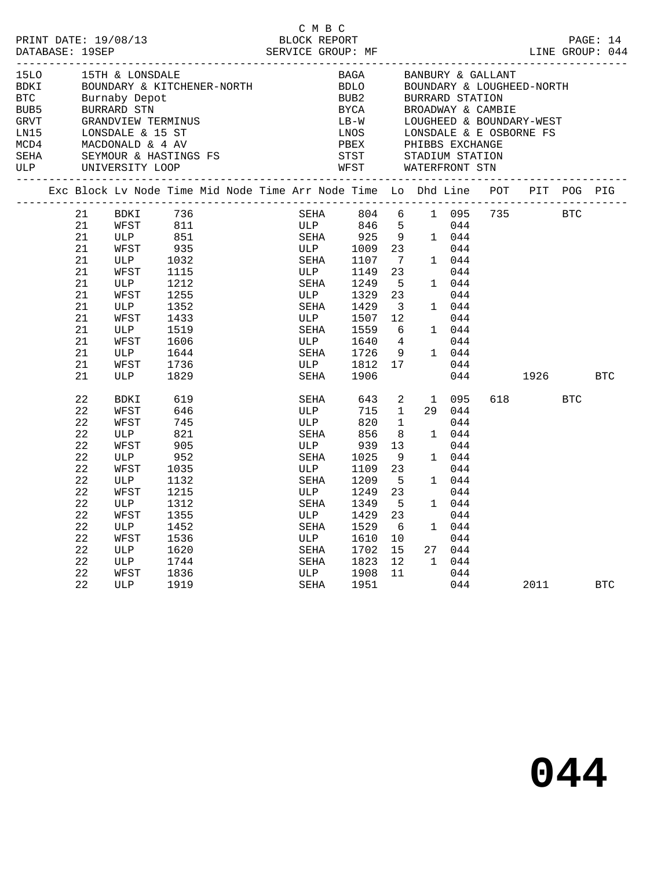| PRINT DATE: 19/08/13<br>DATABASE: 19SEP                                           |                                                                                                    |                                                                                                                                                                                         |                                                                                                                                | BLOCK REPORT |                                                                                                                              | C M B C     |                                                                                                                                       |                                                                                                                               |                                                                                                                                         |                                                                                                                                                                                        | LINE GROUP: 044           |            | PAGE: 14   |
|-----------------------------------------------------------------------------------|----------------------------------------------------------------------------------------------------|-----------------------------------------------------------------------------------------------------------------------------------------------------------------------------------------|--------------------------------------------------------------------------------------------------------------------------------|--------------|------------------------------------------------------------------------------------------------------------------------------|-------------|---------------------------------------------------------------------------------------------------------------------------------------|-------------------------------------------------------------------------------------------------------------------------------|-----------------------------------------------------------------------------------------------------------------------------------------|----------------------------------------------------------------------------------------------------------------------------------------------------------------------------------------|---------------------------|------------|------------|
| 15LO<br>BDKI<br><b>BTC</b><br>BUB5<br>${\tt GRVT}$<br>LNI5<br>MCD4<br>SEHA<br>ULP |                                                                                                    | 15TH & LONSDALE<br>BOUNDARY & KITCHENER-NORTH<br>Burnaby Depot<br>BURRARD STN<br>GRANDVIEW TERMINUS<br>LONSDALE & 15 ST<br>MACDONALD & 4 AV<br>SEYMOUR & HASTINGS FS<br>UNIVERSITY LOOP |                                                                                                                                |              |                                                                                                                              |             | BUB2<br>BYCA<br>$LB-W$<br>LNOS<br>PBEX PHIBBS EXCHANGE<br>STST STADIUM STATION<br>STST<br>WFST                                        |                                                                                                                               | BURRARD STATION<br>STADIUM STATION<br>WATERFRONT STN                                                                                    | BAGA BANBURY & GALLANT<br>BDLO BOUNDARY & LOUGHET<br>BOUNDARY & LOUGHEED-NORTH<br>BROADWAY & CAMBIE<br>LOUGHEED & BOUNDARY-WEST<br>LOUGHEED & BOUNDARY-WEST<br>LONSDALE & E OSBORNE FS |                           |            |            |
|                                                                                   |                                                                                                    | Exc Block Lv Node Time Mid Node Time Arr Node Time Lo Dhd Line                                                                                                                          |                                                                                                                                |              |                                                                                                                              |             |                                                                                                                                       |                                                                                                                               |                                                                                                                                         | POT                                                                                                                                                                                    | PIT                       | POG PIG    |            |
|                                                                                   | 21<br>21<br>21<br>21<br>21<br>21<br>21<br>21<br>21<br>21<br>21<br>21<br>21<br>21<br>21             | BDKI<br>WFST<br>ULP<br>WFST<br>ULP<br>WFST<br>ULP<br>WFST<br>ULP<br>WFST<br>ULP<br>WFST<br>ULP<br>WFST<br>ULP                                                                           | 736<br>811<br>851<br>935<br>1032<br>1115<br>1212<br>1255<br>1352<br>1433<br>1519<br>1606<br>1644<br>1736<br>1829               |              | ULP<br>SEHA<br>ULP<br>SEHA<br>ULP<br>SEHA<br>ULP<br>SEHA<br>ULP<br>SEHA<br>ULP<br>SEHA<br>SEHA                               | SEHA<br>ULP | 804 6<br>846 5<br>925 9 1 044<br>1009 23<br>1107<br>1149<br>1249<br>1329<br>1429<br>1507<br>1559<br>1640 4<br>1726<br>1812 17<br>1906 | $\overline{7}$<br>23<br>5<br>23<br>$\overline{\mathbf{3}}$<br>12<br>6<br>9                                                    | 044<br>044<br>1 044<br>044<br>1 044<br>044<br>1 044<br>044<br>1 044<br>044<br>1 044<br>044<br>044                                       | 1 095 735                                                                                                                                                                              | <b>BTC</b><br>1926 — 1926 |            | <b>BTC</b> |
|                                                                                   | 22<br>22<br>22<br>22<br>22<br>22<br>22<br>22<br>22<br>22<br>22<br>22<br>22<br>22<br>22<br>22<br>22 | BDKI<br>WFST<br>WFST<br>ULP<br>WFST<br>ULP<br>WFST<br>ULP<br>WFST<br>ULP<br>WFST<br>ULP<br>WFST<br>ULP<br>ULP<br>WFST<br>ULP                                                            | 619<br>646<br>745<br>821<br>905<br>952<br>1035<br>1132<br>1215<br>1312<br>1355<br>1452<br>1536<br>1620<br>1744<br>1836<br>1919 |              | SEHA<br>ULP<br>ULP<br>SEHA<br>ULP<br>SEHA<br>ULP<br>SEHA<br>ULP<br>SEHA<br>ULP<br>SEHA<br>ULP<br>SEHA<br>SEHA<br>ULP<br>SEHA |             | 643<br>715<br>820<br>856<br>939<br>1025<br>1109<br>1209<br>1249<br>1349<br>1429<br>1529<br>1610<br>1702<br>1823<br>1908<br>1951       | 2<br>$\mathbf{1}$<br>$\overline{1}$<br>8<br>13<br>- 9<br>23<br>5<br>23<br>5<br>23<br>- 6<br>10 <sup>°</sup><br>15<br>12<br>11 | 1 095<br>29 044<br>044<br>1 044<br>044<br>1 044<br>044<br>1 044<br>044<br>1 044<br>044<br>1 044<br>044<br>27 044<br>1 044<br>044<br>044 | 618                                                                                                                                                                                    | 2011                      | <b>BTC</b> | <b>BTC</b> |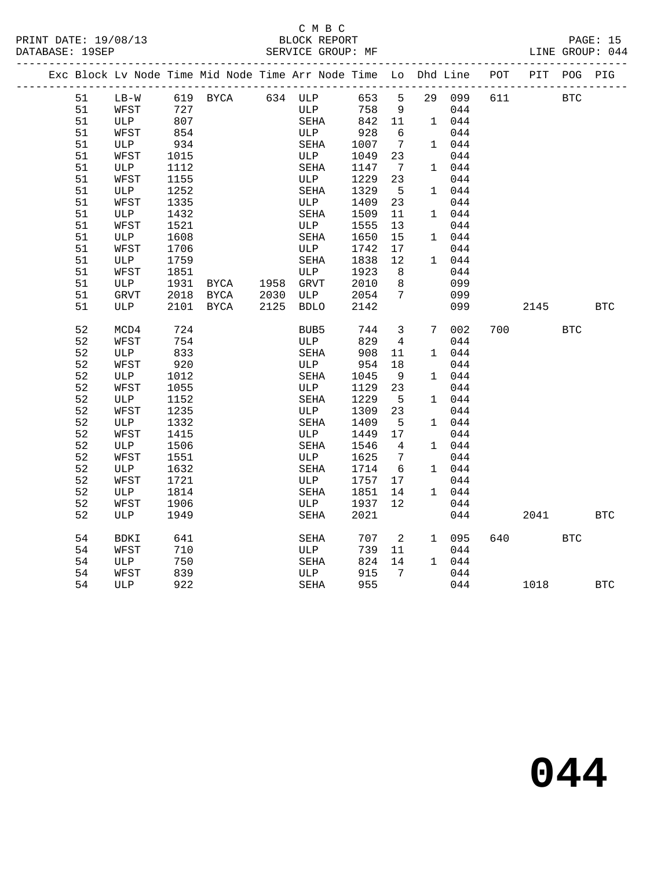#### C M B C<br>BLOCK REPOI SERVICE GROUP: MF

| PRINT DATE: 19/08/13 | BLOCK REPORT           | PAGE:           |  |
|----------------------|------------------------|-----------------|--|
| DATABASE: 19SEP      | SERVICE GROUP: 1<br>МF | LINE GROUP: 044 |  |

|  |    | Exc Block Lv Node Time Mid Node Time Arr Node Time Lo Dhd Line POT |                 |      |           |             |     |         |                |               |     |            | PIT POG PIG |            |
|--|----|--------------------------------------------------------------------|-----------------|------|-----------|-------------|-----|---------|----------------|---------------|-----|------------|-------------|------------|
|  | 51 | LB-W 619 BYCA 634 ULP 653 5                                        |                 |      |           |             |     |         |                | 29 099        | 611 | <b>BTC</b> |             |            |
|  | 51 | WFST                                                               | 727             |      |           | ULP         |     | 758     | 9              | 044           |     |            |             |            |
|  | 51 | ULP                                                                | $\frac{1}{807}$ |      |           | SEHA        |     | 842 11  |                | 1 044         |     |            |             |            |
|  | 51 | WFST                                                               | 854             |      |           | ULP         |     | 928     | 6              | 044           |     |            |             |            |
|  | 51 | ULP                                                                | 934             |      |           | SEHA        |     | 1007 7  |                | 1 044         |     |            |             |            |
|  | 51 | WFST                                                               | 1015            |      |           | ULP         |     | 1049    | 23             | 044           |     |            |             |            |
|  | 51 | ULP                                                                | 1112            |      |           | SEHA        |     | 1147    | $\overline{7}$ | 1 044         |     |            |             |            |
|  | 51 | WFST                                                               | 1155            |      |           | ULP         |     | 1229    | 23             | 044           |     |            |             |            |
|  | 51 | ULP                                                                | 1252            |      |           | SEHA        |     | 1329    | 5              | 1 044         |     |            |             |            |
|  | 51 | WFST                                                               | 1335            |      |           | ULP         |     | 1409    | 23             | 044           |     |            |             |            |
|  | 51 | ULP                                                                | 1432            |      |           | SEHA        |     | 1509    | 11             | 1 044         |     |            |             |            |
|  | 51 | WFST                                                               | 1521            |      |           | ULP         |     | 1555    | 13             | 044           |     |            |             |            |
|  | 51 | ULP                                                                | 1608            |      |           | SEHA        |     | 1650    | 15             | 1 044         |     |            |             |            |
|  | 51 | WFST                                                               | 1706            |      |           | ULP         |     | 1742    | 17             | 044           |     |            |             |            |
|  | 51 | ULP                                                                | 1759            |      |           | SEHA        |     | 1838    | 12             | 1 044         |     |            |             |            |
|  | 51 | WFST                                                               | 1851            |      |           | ULP         |     | 1923 8  |                | 044           |     |            |             |            |
|  | 51 | ULP                                                                | 1931            | BYCA | 1958 GRVT |             |     | 2010    | 8 <sup>8</sup> | 099           |     |            |             |            |
|  | 51 | GRVT                                                               | 2018            | BYCA | 2030      | ULP         |     | 2054 7  |                | 099           |     |            |             |            |
|  | 51 | ULP                                                                | 2101 BYCA       |      | 2125      | <b>BDLO</b> |     | 2142    |                | 099           |     | 2145       |             | <b>BTC</b> |
|  |    |                                                                    |                 |      |           |             |     |         |                |               |     |            |             |            |
|  | 52 | MCD4                                                               | 724             |      |           | BUB5        |     | 744 3   |                | 7 002         |     | 700 — 200  | <b>BTC</b>  |            |
|  | 52 | WFST                                                               | 754             |      |           | ULP         |     | 829     | $\overline{4}$ | 044           |     |            |             |            |
|  | 52 | ULP                                                                | 833             |      |           | SEHA        |     | 908     | 11             | 1 044         |     |            |             |            |
|  | 52 | WFST                                                               | 920             |      |           | ULP         |     | 954     | 18             | 044           |     |            |             |            |
|  | 52 | ULP                                                                | 1012            |      |           | SEHA        |     | 1045    | - 9            | 1 044         |     |            |             |            |
|  | 52 | WFST                                                               | 1055            |      |           | ULP         |     | 1129    | 23             | 044           |     |            |             |            |
|  | 52 | ULP                                                                | 1152            |      |           | SEHA        |     | 1229    | $-5$           | 1 044         |     |            |             |            |
|  | 52 | WFST                                                               | 1235            |      |           | ULP         |     | 1309    | 23             | 044           |     |            |             |            |
|  | 52 | ULP                                                                | 1332            |      |           | SEHA        |     | 1409    | $5^{\circ}$    | 1 044         |     |            |             |            |
|  | 52 | WFST                                                               | 1415            |      |           | ULP         |     | 1449 17 |                | 044           |     |            |             |            |
|  | 52 | ULP                                                                | 1506            |      |           | SEHA        |     | 1546    | $\overline{4}$ | 1 044         |     |            |             |            |
|  | 52 | WFST                                                               | 1551            |      |           | ULP         |     | 1625    | $\overline{7}$ | 044           |     |            |             |            |
|  | 52 | ULP                                                                | 1632            |      |           | SEHA        |     | 1714    | 6              | 1 044         |     |            |             |            |
|  | 52 | WFST                                                               | 1721            |      |           | ULP         |     | 1757    | 17             | 044           |     |            |             |            |
|  | 52 | ULP                                                                | 1814            |      |           | SEHA        |     | 1851    | 14             | 1 044         |     |            |             |            |
|  | 52 | WFST                                                               | 1906            |      |           |             | ULP | 1937    | 12             | 044           |     |            |             |            |
|  | 52 | ULP                                                                | 1949            |      |           | SEHA        |     | 2021    |                | 044           |     | 2041       |             | BTC        |
|  |    |                                                                    |                 |      |           |             |     |         |                |               |     |            |             |            |
|  | 54 | BDKI                                                               | 641             |      |           | SEHA        |     | 707 2   |                | 1 095         | 640 | <b>BTC</b> |             |            |
|  | 54 | WFST                                                               | 710             |      |           | ULP         |     | 739     | 11             | 044           |     |            |             |            |
|  | 54 | ULP                                                                | 750             |      |           | SEHA        |     | 824     | 14             | $1 \quad 044$ |     |            |             |            |
|  | 54 | WFST                                                               | 839             |      |           | ULP         |     | 915 7   |                | 044           |     |            |             |            |
|  | 54 | ULP                                                                | 922             |      |           | SEHA        |     | 955     |                | 044           |     | 1018       |             | <b>BTC</b> |
|  |    |                                                                    |                 |      |           |             |     |         |                |               |     |            |             |            |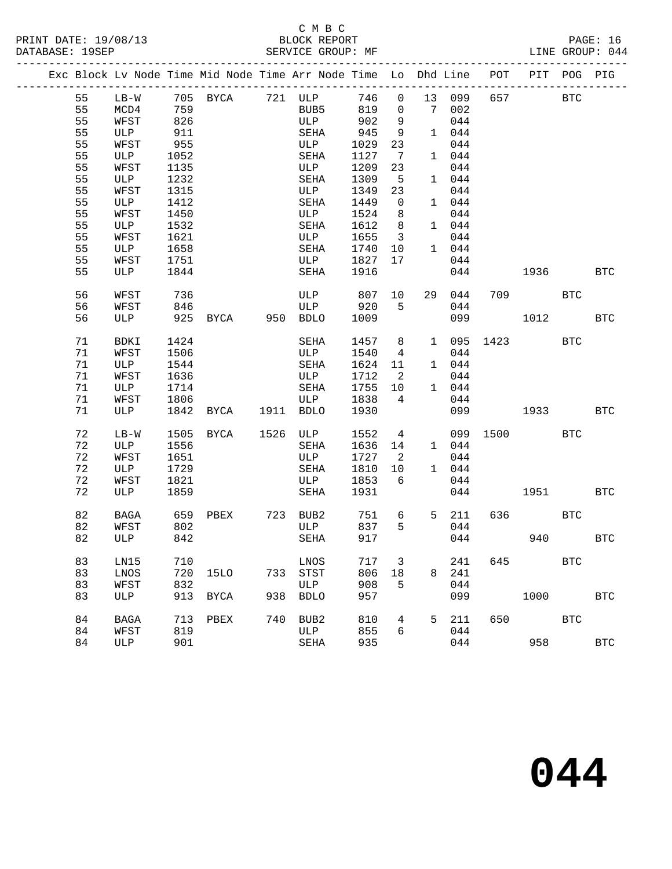### C M B C

|                 | PRINT DATE: 19/08/13 | BLOCK REPORT      | PAGE: 16        |  |
|-----------------|----------------------|-------------------|-----------------|--|
| DATABASE: 19SEP |                      | SERVICE GROUP: MF | LINE GROUP: 044 |  |

|  |    |             |           |             |     | Exc Block Lv Node Time Mid Node Time Arr Node Time Lo Dhd Line |         |                            |   |        | POT      | PIT POG     |            | PIG          |
|--|----|-------------|-----------|-------------|-----|----------------------------------------------------------------|---------|----------------------------|---|--------|----------|-------------|------------|--------------|
|  | 55 |             |           |             |     | LB-W 705 BYCA 721 ULP                                          | 746 0   |                            |   | 13 099 | 657      |             | <b>BTC</b> |              |
|  | 55 | MCD4        | 759       |             |     | BUB5                                                           | 819     | $\overline{0}$             |   | 7 002  |          |             |            |              |
|  | 55 | WFST        | 826       |             |     | ULP                                                            | 902     | 9                          |   | 044    |          |             |            |              |
|  | 55 | ULP         | 911       |             |     | SEHA                                                           | 945     | 9                          |   | 1 044  |          |             |            |              |
|  | 55 | WFST        | 955       |             |     | ULP                                                            | 1029    | 23                         |   | 044    |          |             |            |              |
|  | 55 | ULP         | 1052      |             |     | SEHA                                                           | 1127    | $\overline{7}$             |   | 1 044  |          |             |            |              |
|  | 55 | WFST        | 1135      |             |     | ULP                                                            | 1209    | 23                         |   | 044    |          |             |            |              |
|  | 55 | ULP         | 1232      |             |     | SEHA                                                           | 1309    | 5                          |   | 1 044  |          |             |            |              |
|  | 55 | WFST        | 1315      |             |     | ULP                                                            | 1349    | 23                         |   | 044    |          |             |            |              |
|  | 55 | ULP         | 1412      |             |     | SEHA                                                           | 1449    | $\overline{0}$             |   | 1 044  |          |             |            |              |
|  | 55 | WFST        | 1450      |             |     | ULP                                                            | 1524    | 8 <sup>8</sup>             |   | 044    |          |             |            |              |
|  | 55 | ULP         | 1532      |             |     | SEHA                                                           | 1612    | 8 <sup>8</sup>             |   | 1 044  |          |             |            |              |
|  | 55 | WFST        | 1621      |             |     | ULP                                                            | 1655    | $\overline{\mathbf{3}}$    |   | 044    |          |             |            |              |
|  | 55 | ULP         | 1658      |             |     | SEHA                                                           | 1740    | 10                         |   | 1 044  |          |             |            |              |
|  | 55 | WFST        | 1751      |             |     | ULP                                                            | 1827    | 17                         |   | 044    |          |             |            |              |
|  | 55 | ULP         | 1844      |             |     | SEHA                                                           | 1916    |                            |   | 044    |          | 1936 1990   |            | <b>BTC</b>   |
|  |    |             |           |             |     |                                                                |         |                            |   |        |          |             |            |              |
|  | 56 | WFST        | 736       |             |     | ULP                                                            | 807 10  |                            |   | 29 044 | 709      | <b>BTC</b>  |            |              |
|  | 56 | WFST        | 846       |             |     | ULP                                                            | 920     | 5                          |   | 044    |          |             |            |              |
|  | 56 | ULP         |           |             |     | 925 BYCA 950 BDLO                                              | 1009    |                            |   | 099    |          | 1012        |            | <b>BTC</b>   |
|  | 71 | BDKI        | 1424      |             |     | SEHA                                                           | 1457 8  |                            |   | 1 095  | 1423     | <b>BTC</b>  |            |              |
|  | 71 | WFST        | 1506      |             |     | ULP                                                            | 1540    | $\overline{4}$             |   | 044    |          |             |            |              |
|  | 71 | ULP         | 1544      |             |     | SEHA                                                           | 1624    | 11                         |   | 1 044  |          |             |            |              |
|  | 71 | WFST        | 1636      |             |     | ULP                                                            | 1712 2  |                            |   | 044    |          |             |            |              |
|  | 71 | ULP         | 1714      |             |     | SEHA                                                           | 1755 10 |                            |   | 1 044  |          |             |            |              |
|  | 71 | WFST        | 1806      |             |     | ULP                                                            | 1838 4  |                            |   | 044    |          |             |            |              |
|  | 71 | ULP         | 1842 BYCA |             |     | 1911 BDLO                                                      | 1930    |                            |   | 099    |          | 1933 — 1933 |            | <b>BTC</b>   |
|  |    |             |           |             |     |                                                                |         |                            |   |        |          |             |            |              |
|  | 72 | $LB-W$      | 1505 BYCA |             |     | 1526 ULP                                                       | 1552    | $\overline{4}$             |   |        | 099 1500 | <b>BTC</b>  |            |              |
|  | 72 | ULP         | 1556      |             |     | SEHA                                                           | 1636    | 14                         |   | 1 044  |          |             |            |              |
|  | 72 | WFST        | 1651      |             |     | ULP                                                            | 1727    | $\overline{\phantom{0}}^2$ |   | 044    |          |             |            |              |
|  | 72 | ULP         | 1729      |             |     | SEHA                                                           | 1810    | 10                         |   | 1 044  |          |             |            |              |
|  | 72 | WFST        | 1821      |             |     | ULP                                                            | 1853    | 6                          |   | 044    |          |             |            |              |
|  | 72 | ULP         | 1859      |             |     | SEHA                                                           | 1931    |                            |   | 044    |          | 1951        |            | BTC          |
|  | 82 | BAGA        |           |             |     | 659 PBEX 723 BUB2                                              | 751     | 6                          |   | 5 211  |          | 636 BTC     |            |              |
|  | 82 | WFST        | 802       |             |     | ULP                                                            | 837     | $5^{\circ}$                |   | 044    |          |             |            |              |
|  | 82 | ULP         | 842       |             |     | SEHA                                                           | 917     |                            |   | 044    |          | 940         |            | BTC          |
|  |    |             |           |             |     |                                                                |         |                            |   |        |          |             |            |              |
|  | 83 | LN15        | 710       |             |     | LNOS                                                           | 717     | 3                          |   | 241    | 645      |             | <b>BTC</b> |              |
|  | 83 | LNOS        | 720       | 15LO        | 733 | STST                                                           | 806     | 18                         | 8 | 241    |          |             |            |              |
|  | 83 | WFST        | 832       |             |     | ULP                                                            | 908     | 5                          |   | 044    |          |             |            |              |
|  | 83 | ULP         | 913       | <b>BYCA</b> | 938 | <b>BDLO</b>                                                    | 957     |                            |   | 099    |          | 1000        |            | $_{\rm BTC}$ |
|  | 84 | <b>BAGA</b> | 713       | PBEX        | 740 | BUB2                                                           | 810     | 4                          | 5 | 211    | 650      |             | <b>BTC</b> |              |
|  | 84 | WFST        | 819       |             |     | ULP                                                            | 855     | 6                          |   | 044    |          |             |            |              |
|  | 84 | ULP         | 901       |             |     | SEHA                                                           | 935     |                            |   | 044    |          | 958         |            | $_{\rm BTC}$ |
|  |    |             |           |             |     |                                                                |         |                            |   |        |          |             |            |              |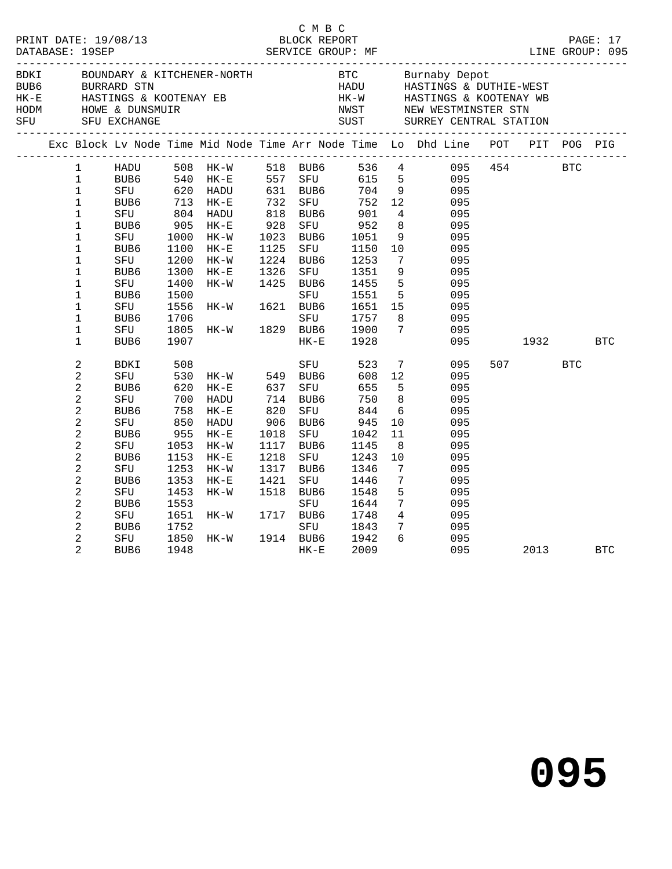|                                                                                                                                                                                                                                                                                           |                                                                                                                                                                          |                                                                                                                               |                                                                                                                             |                                                                                  |                                                                                                                                             |                                                                                                                                |                                                                                                                                                                   | C M B C<br>PRINT DATE: 19/08/13 BLOCK REPORT PAGE: 17<br>DATABASE: 19SEP SERVICE GROUP: MF LINE GROUP: 095                                                                                                                                   |                 |            |
|-------------------------------------------------------------------------------------------------------------------------------------------------------------------------------------------------------------------------------------------------------------------------------------------|--------------------------------------------------------------------------------------------------------------------------------------------------------------------------|-------------------------------------------------------------------------------------------------------------------------------|-----------------------------------------------------------------------------------------------------------------------------|----------------------------------------------------------------------------------|---------------------------------------------------------------------------------------------------------------------------------------------|--------------------------------------------------------------------------------------------------------------------------------|-------------------------------------------------------------------------------------------------------------------------------------------------------------------|----------------------------------------------------------------------------------------------------------------------------------------------------------------------------------------------------------------------------------------------|-----------------|------------|
|                                                                                                                                                                                                                                                                                           |                                                                                                                                                                          |                                                                                                                               |                                                                                                                             |                                                                                  |                                                                                                                                             |                                                                                                                                |                                                                                                                                                                   | BOWN BOUNDARY & KITCHENER-NORTH<br>BOWN BOUNDARY & KITCHENER-NORTH<br>BOUNDARY & KITCHENER-NORTH<br>HADU HASTINGS & DUTHIE-WEST<br>HADU HASTINGS & NOOTENAY WE<br>HADU HASTINGS & KOOTENAY WE<br>HADU HASTINGS & KOOTENAY WE<br>HADU HASTING |                 |            |
|                                                                                                                                                                                                                                                                                           |                                                                                                                                                                          |                                                                                                                               |                                                                                                                             |                                                                                  |                                                                                                                                             |                                                                                                                                |                                                                                                                                                                   | Exc Block Lv Node Time Mid Node Time Arr Node Time Lo Dhd Line POT PIT POG PIG                                                                                                                                                               |                 |            |
| $\mathbf{1}$<br>$\mathbf{1}$<br>$\mathbf 1$<br>$\mathbf 1$<br>$\mathbf 1$<br>$\mathbf 1$<br>$\mathbf 1$<br>$\mathbf 1$<br>$\mathbf 1$<br>1<br>$\mathbf 1$<br>$\mathbf 1$<br>$\mathbf 1$<br>1<br>$\mathbf 1$<br>$\mathbf 1$                                                                | HADU 508 HK-W<br>BUB6 540 HK-E<br>SFU 620 HADU<br>BUB6<br>BUB6<br>SFU<br>BUB6<br>SFU<br>BUB6<br>SFU<br>BUB6<br>${\tt SFU}$<br>BUB6<br>SFU<br>BUB6<br>${\tt SFU}$<br>BUB6 | 713<br>804<br>905<br>1000<br>1100<br>1200<br>1300<br>1400<br>1500<br>1556<br>1706<br>1805<br>1907                             | $HK-E$<br>HADU<br>HK-E<br>$HK-W$<br>$HK-E$<br>$HK-W$<br>$HK-E$<br>HK-W<br>HK-W<br>HK-W                                      | 732<br>818<br>928<br>1023<br>1125<br>1224<br>1326<br>1425<br>1621<br>1829        | 518 BUB6<br>557 SFU<br>631 BUB6<br>SFU<br>BUB6<br>BUB6<br>SFU<br>BUB6<br>SFU<br>BUB6<br>SFU<br>BUB6<br>SFU<br>BUB6<br>SFU<br>BUB6<br>$HK-E$ | 752<br>901<br>952<br>1051<br>1150<br>1253<br>1351<br>1455<br>1551<br>1651 15<br>1757<br>1900<br>1928                           | 12 <sup>°</sup><br>$4\overline{4}$<br>8<br>10<br>$7\overline{ }$<br>9<br>$5^{\circ}$<br>5 <sup>5</sup><br>8<br>$7\overline{ }$                                    | 536 4 095 454 BTC<br>615 5<br>704 9<br>095<br>095<br>095<br>095<br>095<br>$\frac{1}{9}$<br>095<br>095<br>095<br>095<br>095<br>095<br>095<br>095<br>095<br>095                                                                                | 1932   1932     | <b>BTC</b> |
| 2<br>2<br>$\overline{a}$<br>$\overline{\mathbf{c}}$<br>$\overline{c}$<br>$\overline{a}$<br>$\overline{a}$<br>$\overline{c}$<br>$\overline{\mathbf{c}}$<br>$\overline{c}$<br>$\overline{c}$<br>$\overline{c}$<br>2<br>$\overline{c}$<br>$\overline{c}$<br>$\overline{a}$<br>$\overline{2}$ | BDKI<br>SFU<br>BUB6<br>SFU<br>BUB6<br>SFU<br>BUB6<br>SFU<br>BUB <sub>6</sub><br>${\tt SFU}$<br>BUB6<br>SFU<br>BUB6<br>${\tt SFU}$<br>BUB6<br>SFU<br>BUB <sub>6</sub>     | 508<br>530<br>620<br>700<br>758<br>850<br>955<br>1053<br>1153<br>1253<br>1353<br>1453<br>1553<br>1651<br>1752<br>1850<br>1948 | $HK-W$ 549 BUB6<br>$HK-E$<br>HADU<br>$HK-E$<br>HADU<br>$HK-E$<br>$HK-W$<br>$HK-E$<br>HK-W<br>$HK-E$<br>HK-W<br>HK-W<br>HK-W | 637<br>714<br>820<br>906<br>1018<br>1117<br>1218<br>1317<br>1421<br>1518<br>1717 | SFU<br>SFU<br>BUB6<br>SFU<br>BUB6<br>SFU<br>BUB6<br>SFU<br>BUB6<br>SFU<br>BUB6<br>SFU<br>BUB6<br>SFU<br>1914 BUB6<br>$HK-E$                 | 523<br>608<br>655<br>750<br>844<br>945<br>1042<br>1145<br>1243<br>1346<br>1446<br>1548<br>1644<br>1748<br>1843<br>1942<br>2009 | $7\overline{ }$<br>12<br>5<br>8<br>6<br>10<br>11<br>- 8<br>10<br>$7\phantom{.0}\,$<br>$7\phantom{.0}$<br>5<br>$7\overline{ }$<br>$\overline{4}$<br>7 <sup>7</sup> | 095<br>095<br>095<br>095<br>095<br>095<br>095<br>095<br>095<br>095<br>095<br>095<br>095<br>095<br>095<br>$6\overline{6}$<br>095<br>095                                                                                                       | 507 BTC<br>2013 | <b>BTC</b> |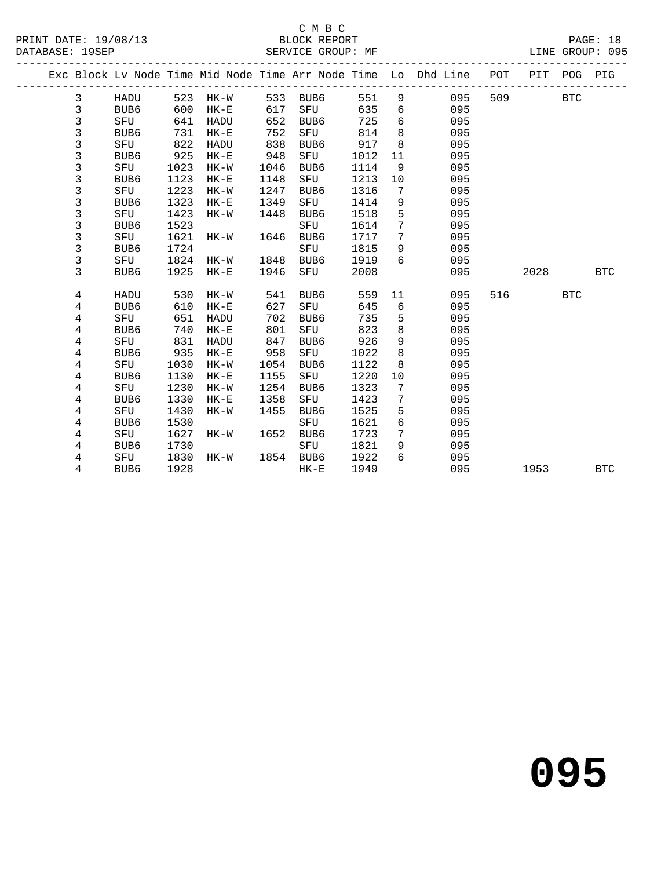#### C M B C<br>BLOCK REPORT SERVICE GROUP: MF

|  |                         |                  |      |        |      |                  |      |                 | Exc Block Lv Node Time Mid Node Time Arr Node Time Lo Dhd Line | POT | PIT  | POG        | PIG        |
|--|-------------------------|------------------|------|--------|------|------------------|------|-----------------|----------------------------------------------------------------|-----|------|------------|------------|
|  | 3                       | HADU             | 523  | HK-W   | 533  | BUB6             | 551  | 9               | 095                                                            | 509 |      | <b>BTC</b> |            |
|  | 3                       | BUB6             | 600  | $HK-E$ | 617  | SFU              | 635  | 6               | 095                                                            |     |      |            |            |
|  | 3                       | SFU              | 641  | HADU   | 652  | BUB6             | 725  | $6\overline{6}$ | 095                                                            |     |      |            |            |
|  | 3                       | BUB6             | 731  | $HK-E$ | 752  | SFU              | 814  | 8               | 095                                                            |     |      |            |            |
|  | 3                       | SFU              | 822  | HADU   | 838  | BUB6             | 917  | 8               | 095                                                            |     |      |            |            |
|  | 3                       | BUB6             | 925  | $HK-E$ | 948  | SFU              | 1012 | 11              | 095                                                            |     |      |            |            |
|  | 3                       | SFU              | 1023 | $HK-W$ | 1046 | BUB6             | 1114 | 9               | 095                                                            |     |      |            |            |
|  | 3                       | BUB6             | 1123 | $HK-E$ | 1148 | SFU              | 1213 | 10              | 095                                                            |     |      |            |            |
|  | 3                       | SFU              | 1223 | $HK-W$ | 1247 | BUB6             | 1316 | 7               | 095                                                            |     |      |            |            |
|  | $\mathsf{3}$            | BUB6             | 1323 | $HK-E$ | 1349 | SFU              | 1414 | 9               | 095                                                            |     |      |            |            |
|  | $\mathsf{3}$            | SFU              | 1423 | $HK-W$ | 1448 | BUB6             | 1518 | 5               | 095                                                            |     |      |            |            |
|  | $\overline{3}$          | BUB6             | 1523 |        |      | SFU              | 1614 | 7               | 095                                                            |     |      |            |            |
|  | 3                       | SFU              | 1621 | HK-W   | 1646 | BUB6             | 1717 | $7\phantom{.0}$ | 095                                                            |     |      |            |            |
|  | $\mathsf{3}$            | BUB6             | 1724 |        |      | SFU              | 1815 | 9               | 095                                                            |     |      |            |            |
|  | 3                       | SFU              | 1824 | HK-W   | 1848 | BUB <sub>6</sub> | 1919 | 6               | 095                                                            |     |      |            |            |
|  | 3                       | BUB <sub>6</sub> | 1925 | $HK-E$ | 1946 | SFU              | 2008 |                 | 095                                                            |     | 2028 |            | <b>BTC</b> |
|  | 4                       | HADU             | 530  | HK-W   | 541  | BUB6             | 559  | 11              | 095                                                            | 516 |      | <b>BTC</b> |            |
|  | 4                       | BUB6             | 610  | $HK-E$ | 627  | SFU              | 645  | 6               | 095                                                            |     |      |            |            |
|  | 4                       | SFU              | 651  | HADU   | 702  | BUB6             | 735  | 5               | 095                                                            |     |      |            |            |
|  | 4                       | BUB6             | 740  | $HK-E$ | 801  | SFU              | 823  | 8               | 095                                                            |     |      |            |            |
|  | 4                       | SFU              | 831  | HADU   | 847  | BUB6             | 926  | 9               | 095                                                            |     |      |            |            |
|  | 4                       | BUB6             | 935  | $HK-E$ | 958  | SFU              | 1022 | 8               | 095                                                            |     |      |            |            |
|  | 4                       | SFU              | 1030 | HK-W   | 1054 | BUB6             | 1122 | 8               | 095                                                            |     |      |            |            |
|  | $\overline{\mathbf{4}}$ | BUB6             | 1130 | $HK-E$ | 1155 | SFU              | 1220 | 10              | 095                                                            |     |      |            |            |
|  | 4                       | SFU              | 1230 | $HK-W$ | 1254 | BUB6             | 1323 | 7               | 095                                                            |     |      |            |            |
|  | 4                       | BUB6             | 1330 | $HK-E$ | 1358 | SFU              | 1423 | 7               | 095                                                            |     |      |            |            |
|  | 4                       | SFU              | 1430 | HK-W   | 1455 | BUB6             | 1525 | 5               | 095                                                            |     |      |            |            |
|  | $\,4$                   | BUB6             | 1530 |        |      | SFU              | 1621 | 6               | 095                                                            |     |      |            |            |
|  | $\overline{4}$          | SFU              | 1627 | HK-W   | 1652 | BUB6             | 1723 | $7\phantom{.0}$ | 095                                                            |     |      |            |            |
|  | $\overline{4}$          | BUB6             | 1730 |        |      | SFU              | 1821 | 9               | 095                                                            |     |      |            |            |
|  | 4                       | SFU              | 1830 | HK-W   | 1854 | BUB6             | 1922 | 6               | 095                                                            |     |      |            |            |
|  | 4                       | BUB6             | 1928 |        |      | $HK-E$           | 1949 |                 | 095                                                            |     | 1953 |            | <b>BTC</b> |
|  |                         |                  |      |        |      |                  |      |                 |                                                                |     |      |            |            |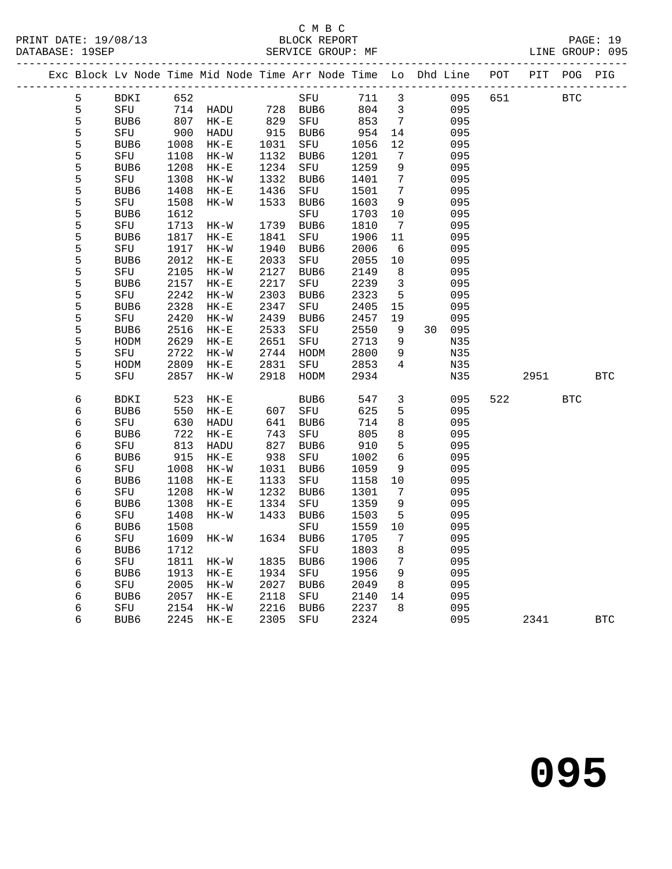#### C M B C<br>BLOCK REPOP SERVICE GROUP: MF

| PRINT DATE: 19/08/13 | BLOCK REPORT      | PAGE: 19        |  |
|----------------------|-------------------|-----------------|--|
| DATABASE: 19SEP      | SERVICE GROUP: MF | LINE GROUP: 095 |  |

|  |               |             |                 | ______________________ |                     |      |      |                 | Exc Block Lv Node Time Mid Node Time Arr Node Time Lo Dhd Line POT PIT POG PIG |     |      |            |            |
|--|---------------|-------------|-----------------|------------------------|---------------------|------|------|-----------------|--------------------------------------------------------------------------------|-----|------|------------|------------|
|  | 5             | BDKI        | 652             |                        |                     | SFU  | 711  | 3               | 095                                                                            | 651 |      | <b>BTC</b> |            |
|  | 5             | SFU         | 714             | HADU                   | 728                 | BUB6 | 804  | 3               | 095                                                                            |     |      |            |            |
|  | 5             | BUB6        | 807             | $HK-E$                 | $82.$<br>915<br>031 | SFU  | 853  | $7\overline{ }$ | 095                                                                            |     |      |            |            |
|  | 5             | SFU         | $\frac{6}{900}$ | HADU                   |                     | BUB6 | 954  | 14              | 095                                                                            |     |      |            |            |
|  |               | BUB6        | 1008            | $HK-E$                 | 1031                | SFU  | 1056 | 12              | 095                                                                            |     |      |            |            |
|  |               | SFU         | 1108            | $HK-W$                 | 1132                | BUB6 | 1201 | $7\phantom{.0}$ | 095                                                                            |     |      |            |            |
|  |               | BUB6        | 1208            | $HK-E$                 | 1234                | SFU  | 1259 | 9               | 095                                                                            |     |      |            |            |
|  | 55555         | SFU         | 1308            | HK-W                   | 1332                | BUB6 | 1401 | $7\phantom{.0}$ | 095                                                                            |     |      |            |            |
|  |               | BUB6        | 1408            | $HK-E$                 | 1436                | SFU  | 1501 | 7               | 095                                                                            |     |      |            |            |
|  | $\frac{5}{5}$ | ${\rm SFU}$ | 1508            | $HK-W$                 | 1533                | BUB6 | 1603 | 9               | 095                                                                            |     |      |            |            |
|  |               | BUB6        | 1612            |                        |                     | SFU  | 1703 | 10              | 095                                                                            |     |      |            |            |
|  | 5             | SFU         | 1713            | HK-W                   | 1739                | BUB6 | 1810 | $7\phantom{.0}$ | 095                                                                            |     |      |            |            |
|  | 5             | BUB6        | 1817            | $HK-E$                 | 1841                | SFU  | 1906 | 11              | 095                                                                            |     |      |            |            |
|  | 5             | ${\rm SFU}$ | 1917            | $HK-W$                 | 1940                | BUB6 | 2006 | 6               | 095                                                                            |     |      |            |            |
|  | 5             | BUB6        | 2012            | $HK-E$                 | 2033                | SFU  | 2055 | $10$            | 095                                                                            |     |      |            |            |
|  | 5             | SFU         | 2105            | $HK-W$                 | 2127                | BUB6 | 2149 | 8               | 095                                                                            |     |      |            |            |
|  | 5             | BUB6        | 2157            | $HK-E$                 | 2217                | SFU  | 2239 | $\overline{3}$  | 095                                                                            |     |      |            |            |
|  | 5             | SFU         | 2242            | $HK - W$               | 2303                | BUB6 | 2323 | - 5             | 095                                                                            |     |      |            |            |
|  | 5             | BUB6        | 2328            | $HK-E$                 | 2347                | SFU  | 2405 | 15              | 095                                                                            |     |      |            |            |
|  | 5             | SFU         | 2420            | $HK-W$                 | 2439                | BUB6 | 2457 | 19              | 095                                                                            |     |      |            |            |
|  | 5             | BUB6        | 2516            | $HK-E$                 | 2533                | SFU  | 2550 | 9               | 30 095                                                                         |     |      |            |            |
|  | 5             | HODM        | 2629            | $HK-E$                 | 2651                | SFU  | 2713 | 9               | N35                                                                            |     |      |            |            |
|  | 5             | SFU         | 2722            | HK-W                   | 2744                | HODM | 2800 | 9               | N35                                                                            |     |      |            |            |
|  | 5             | HODM        | 2809            | $HK-E$                 | 2831                | SFU  | 2853 | $\overline{4}$  | N35                                                                            |     |      |            |            |
|  | 5             | SFU         | 2857            | $HK-W$                 | 2918                | HODM | 2934 |                 | N35                                                                            |     | 2951 |            | <b>BTC</b> |
|  | $\epsilon$    | BDKI        | 523             | $HK-E$                 |                     | BUB6 | 547  | $\mathbf{3}$    | 095                                                                            | 522 |      | <b>BTC</b> |            |
|  | 6             | BUB6        | 550             | $HK-E$                 |                     | SFU  | 625  | 5               | 095                                                                            |     |      |            |            |
|  | $\epsilon$    | SFU         | 630             | HADU                   | 607<br>641          | BUB6 | 714  | $\,8\,$         | 095                                                                            |     |      |            |            |
|  | $\epsilon$    | BUB6        | 722             | $HK-E$                 | 743                 | SFU  | 805  | 8               | 095                                                                            |     |      |            |            |
|  | $\sqrt{6}$    | SFU         | 813             | HADU                   | 827                 | BUB6 | 910  | 5               | 095                                                                            |     |      |            |            |
|  | $\epsilon$    | BUB6        | 915             | $HK-E$                 | 938                 | SFU  | 1002 | $6\overline{6}$ | 095                                                                            |     |      |            |            |
|  | $\epsilon$    | SFU         | 1008            | HK-W                   | 1031                | BUB6 | 1059 | 9               | 095                                                                            |     |      |            |            |
|  | $\epsilon$    | BUB6        | 1108            | $HK-E$                 | 1133                | SFU  | 1158 | 10              | 095                                                                            |     |      |            |            |
|  | $\sqrt{6}$    | ${\rm SFU}$ | 1208            | $HK-W$                 | 1232                | BUB6 | 1301 | $7\phantom{.0}$ | 095                                                                            |     |      |            |            |
|  | $\sqrt{6}$    | BUB6        | 1308            | $HK-E$                 | 1334                | SFU  | 1359 | 9               | 095                                                                            |     |      |            |            |
|  | $\sqrt{6}$    | ${\tt SFU}$ | 1408            | $HK-W$                 | 1433                | BUB6 | 1503 | 5               | 095                                                                            |     |      |            |            |
|  | $\epsilon$    | BUB6        | 1508            |                        |                     | SFU  | 1559 | $10$            | 095                                                                            |     |      |            |            |
|  | $\sqrt{6}$    | SFU         | 1609            | HK-W                   | 1634                | BUB6 | 1705 | $7\phantom{.0}$ | 095                                                                            |     |      |            |            |
|  | $\sqrt{6}$    | BUB6        | 1712            |                        |                     | SFU  | 1803 | 8               | 095                                                                            |     |      |            |            |
|  | $\epsilon$    | SFU         | 1811            | $HK-W$                 | 1835                | BUB6 | 1906 | 7               | 095                                                                            |     |      |            |            |
|  | 6             | BUB6        | 1913            | $HK-E$                 | 1934                | SFU  | 1956 | 9               | 095                                                                            |     |      |            |            |
|  | 6             | SFU         | 2005            | $HK-W$                 | 2027                | BUB6 | 2049 | 8               | 095                                                                            |     |      |            |            |
|  | $\epsilon$    | BUB6        | 2057            | $HK-E$                 | 2118                | SFU  | 2140 | 14              | 095                                                                            |     |      |            |            |
|  | $\epsilon$    | SFU         | 2154            | $HK-W$                 | 2216                | BUB6 | 2237 | 8               | 095                                                                            |     |      |            |            |
|  | 6             | BUB6        | 2245            | $HK-E$                 | 2305                | SFU  | 2324 |                 | 095                                                                            |     | 2341 |            | <b>BTC</b> |
|  |               |             |                 |                        |                     |      |      |                 |                                                                                |     |      |            |            |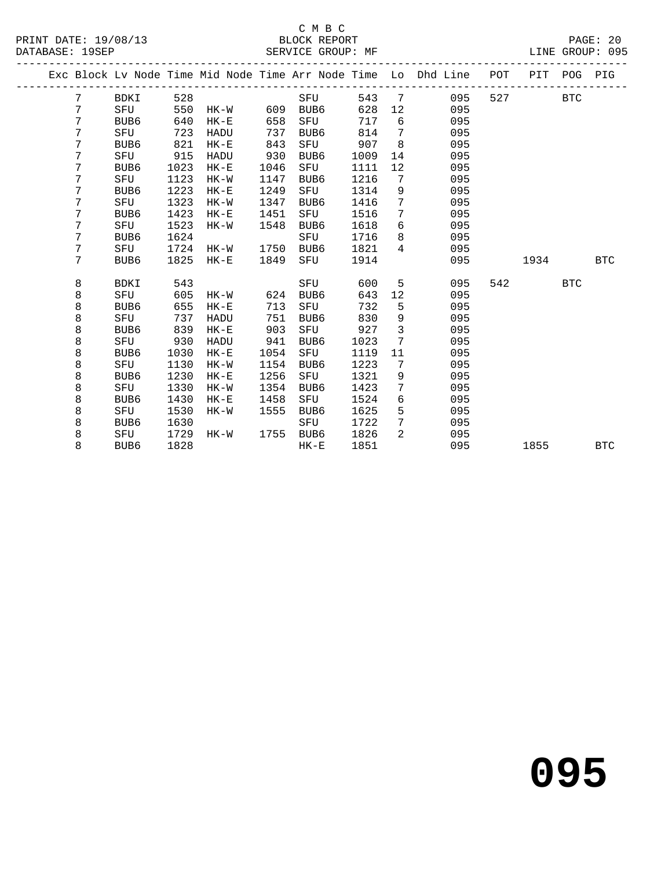#### C M B C<br>BLOCK REPORT SERVICE GROUP: MF

|  |         |                  |      |             |      |        |      |                 | Exc Block Lv Node Time Mid Node Time Arr Node Time Lo Dhd Line | POT | PIT  | POG        | PIG        |
|--|---------|------------------|------|-------------|------|--------|------|-----------------|----------------------------------------------------------------|-----|------|------------|------------|
|  | 7       | BDKI             | 528  |             |      | SFU    | 543  | 7               | 095                                                            | 527 |      | <b>BTC</b> |            |
|  | 7       | SFU              | 550  | HK-W        | 609  | BUB6   | 628  | 12              | 095                                                            |     |      |            |            |
|  | 7       | BUB <sub>6</sub> | 640  | $HK-E$      | 658  | SFU    | 717  | 6               | 095                                                            |     |      |            |            |
|  | 7       | SFU              | 723  | HADU        | 737  | BUB6   | 814  | 7               | 095                                                            |     |      |            |            |
|  | 7       | BUB6             | 821  | $HK - E$    | 843  | SFU    | 907  | 8               | 095                                                            |     |      |            |            |
|  | 7       | SFU              | 915  | HADU        | 930  | BUB6   | 1009 | 14              | 095                                                            |     |      |            |            |
|  | 7       | BUB6             | 1023 | $HK - E$    | 1046 | SFU    | 1111 | 12              | 095                                                            |     |      |            |            |
|  | 7       | SFU              | 1123 | $HK-W$      | 1147 | BUB6   | 1216 | $7\phantom{.0}$ | 095                                                            |     |      |            |            |
|  | 7       | BUB6             | 1223 | $HK - E$    | 1249 | SFU    | 1314 | 9               | 095                                                            |     |      |            |            |
|  | 7       | SFU              | 1323 | $HK-W$      | 1347 | BUB6   | 1416 | $7\phantom{.0}$ | 095                                                            |     |      |            |            |
|  | 7       | BUB6             | 1423 | $HK - E$    | 1451 | SFU    | 1516 | $7\phantom{.0}$ | 095                                                            |     |      |            |            |
|  | 7       | SFU              | 1523 | $HK-W$      | 1548 | BUB6   | 1618 | 6               | 095                                                            |     |      |            |            |
|  | 7       | BUB6             | 1624 |             |      | SFU    | 1716 | 8               | 095                                                            |     |      |            |            |
|  | 7       | SFU              | 1724 | HK-W        | 1750 | BUB6   | 1821 | $\overline{4}$  | 095                                                            |     |      |            |            |
|  | 7       | BUB6             | 1825 | $HK-E$      | 1849 | SFU    | 1914 |                 | 095                                                            |     | 1934 |            | <b>BTC</b> |
|  | 8       | <b>BDKI</b>      | 543  |             |      | SFU    | 600  | 5               | 095                                                            | 542 |      | <b>BTC</b> |            |
|  | 8       | SFU              | 605  | $HK-W$      | 624  | BUB6   | 643  | 12              | 095                                                            |     |      |            |            |
|  | 8       | BUB6             | 655  | $HK-E$      | 713  | SFU    | 732  | 5               | 095                                                            |     |      |            |            |
|  | 8       | SFU              | 737  | <b>HADU</b> | 751  | BUB6   | 830  | 9               | 095                                                            |     |      |            |            |
|  | $\,8\,$ | BUB6             | 839  | $HK - E$    | 903  | SFU    | 927  | $\mathbf{3}$    | 095                                                            |     |      |            |            |
|  | 8       | SFU              | 930  | HADU        | 941  | BUB6   | 1023 | $7\overline{ }$ | 095                                                            |     |      |            |            |
|  | 8       | BUB <sub>6</sub> | 1030 | $HK - E$    | 1054 | SFU    | 1119 | 11              | 095                                                            |     |      |            |            |
|  | 8       | SFU              | 1130 | $HK-W$      | 1154 | BUB6   | 1223 | 7               | 095                                                            |     |      |            |            |
|  | 8       | BUB6             | 1230 | $HK-E$      | 1256 | SFU    | 1321 | 9               | 095                                                            |     |      |            |            |
|  | $\,8\,$ | SFU              | 1330 | $HK-W$      | 1354 | BUB6   | 1423 | $7\phantom{.0}$ | 095                                                            |     |      |            |            |
|  | $\,8\,$ | BUB <sub>6</sub> | 1430 | $HK-E$      | 1458 | SFU    | 1524 | 6               | 095                                                            |     |      |            |            |
|  | 8       | SFU              | 1530 | $HK-W$      | 1555 | BUB6   | 1625 | 5               | 095                                                            |     |      |            |            |
|  | 8       | BUB <sub>6</sub> | 1630 |             |      | SFU    | 1722 | $7\phantom{.0}$ | 095                                                            |     |      |            |            |
|  | 8       | SFU              | 1729 | HK-W        | 1755 | BUB6   | 1826 | $\overline{2}$  | 095                                                            |     |      |            |            |
|  | 8       | BUB6             | 1828 |             |      | $HK-E$ | 1851 |                 | 095                                                            |     | 1855 |            | <b>BTC</b> |
|  |         |                  |      |             |      |        |      |                 |                                                                |     |      |            |            |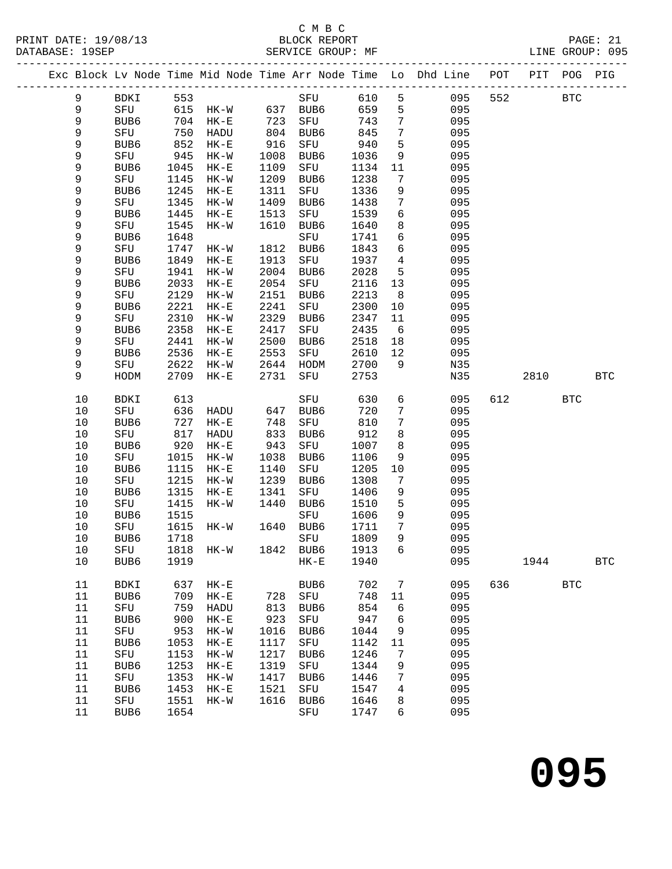#### C M B C<br>BLOCK REPORT SERVICE GROUP: MF

|             |             |              |                  |              |                  |              |                 | Exc Block Lv Node Time Mid Node Time Arr Node Time Lo Dhd Line POT PIT POG PIG |     |      |              |                      |
|-------------|-------------|--------------|------------------|--------------|------------------|--------------|-----------------|--------------------------------------------------------------------------------|-----|------|--------------|----------------------|
| 9           | BDKI        | 553          |                  |              | SFU              | 610          | 5               | 095                                                                            | 552 |      | <b>BTC</b>   |                      |
| 9           | SFU         |              | 615 HK-W         |              | 637 BUB6         | 659          | 5 <sub>5</sub>  | 095                                                                            |     |      |              |                      |
| 9           | BUB6        | 704          | $HK-E$           | 723<br>804   | SFU              | 743          | $7\phantom{.0}$ | 095                                                                            |     |      |              |                      |
| 9           | SFU         | 750          | HADU             | 804          | BUB6             | 845          | $7\phantom{.0}$ | 095                                                                            |     |      |              |                      |
| $\mathsf 9$ | BUB6        | 852          | $HK-E$           | 916          | SFU              | 940          | 5               | 095                                                                            |     |      |              |                      |
| 9           | SFU         | 945          | HK-W             | 1008         | BUB6             | 1036         | 9               | 095                                                                            |     |      |              |                      |
| 9           | BUB6        | 1045         | $HK-E$           | 1109         | SFU              | 1134         | 11              | 095                                                                            |     |      |              |                      |
| 9           | SFU         | 1145         | $HK-W$           | 1209         | BUB6             | 1238         | $7\phantom{.0}$ | 095                                                                            |     |      |              |                      |
| 9           | BUB6        | 1245         | $HK-E$           | 1311         | SFU              | 1336         | 9               | 095                                                                            |     |      |              |                      |
| 9           | SFU         | 1345         | $HK-W$           | 1409         | BUB6             | 1438         | 7               | 095                                                                            |     |      |              |                      |
| 9           | BUB6        | 1445         | $HK-E$           | 1513         | SFU              | 1539         | 6               | 095                                                                            |     |      |              |                      |
| 9           | SFU         | 1545         | $HK-W$           | 1610         | BUB6             | 1640         | 8               | 095                                                                            |     |      |              |                      |
| 9           | BUB6        | 1648         |                  |              | SFU              | 1741         | 6               | 095                                                                            |     |      |              |                      |
| 9           | SFU         | 1747         | $HK-W$           | 1812         | BUB6             | 1843         | 6               | 095                                                                            |     |      |              |                      |
| 9           | BUB6        | 1849         | $HK-E$           | 1913         | SFU              | 1937         | $\overline{4}$  | 095                                                                            |     |      |              |                      |
| 9           | ${\tt SFU}$ | 1941         | $HK-W$           | 2004         | BUB6             | 2028         | 5               | 095                                                                            |     |      |              |                      |
| 9           | BUB6        | 2033         | $HK-E$           | 2054         | SFU              | 2116         | 13              | 095                                                                            |     |      |              |                      |
| 9           | SFU         | 2129         | $HK-W$           | 2151         | BUB6             | 2213         | 8               | 095                                                                            |     |      |              |                      |
| 9<br>9      | BUB6        | 2221<br>2310 | $HK-E$           | 2241         | SFU              | 2300         | 10              | 095                                                                            |     |      |              |                      |
|             | SFU         |              | $HK-W$           | 2329         | BUB6             | 2347         | 11              | 095                                                                            |     |      |              |                      |
| 9<br>9      | BUB6        | 2358         | $HK-E$           | 2417<br>2500 | SFU              | 2435<br>2518 | 6               | 095<br>095                                                                     |     |      |              |                      |
| $\mathsf 9$ | SFU         | 2441<br>2536 | $HK-W$           | 2553         | BUB6             | 2610         | 18<br>12        |                                                                                |     |      |              |                      |
| 9           | BUB6<br>SFU | 2622         | $HK-E$<br>$HK-W$ | 2644         | SFU<br>HODM      | 2700         | 9               | 095<br>N35                                                                     |     |      |              |                      |
| 9           | HODM        | 2709         | $HK-E$           | 2731         | SFU              | 2753         |                 | N35                                                                            |     | 2810 |              | <b>BTC</b>           |
|             |             |              |                  |              |                  |              |                 |                                                                                |     |      |              |                      |
| 10          | BDKI        | 613          |                  |              | SFU              | 630          | 6               | 095                                                                            | 612 |      | <b>BTC</b>   |                      |
| $10$        | SFU         | 636          | HADU             | 647          | BUB6             | 720          | $7\phantom{.0}$ | 095                                                                            |     |      |              |                      |
| $10$        | BUB6        | 727          | $HK-E$           | 748          | SFU              | 810          | $7\phantom{.0}$ | 095                                                                            |     |      |              |                      |
| 10          | SFU         | 817          | HADU             | 833          | BUB6             | 912          | 8               | 095                                                                            |     |      |              |                      |
| 10          | BUB6        | 920          | $HK-E$           | 943          | SFU              | 1007         | 8               | 095                                                                            |     |      |              |                      |
| $10$        | SFU         | 1015         | $HK-W$           | 1038         | BUB6             | 1106         | 9               | 095                                                                            |     |      |              |                      |
| $10$        | BUB6        | 1115         | $HK-E$           | 1140         | SFU              | 1205         | 10              | 095                                                                            |     |      |              |                      |
| $10$        | SFU         | 1215         | $HK-W$           | 1239         | BUB6             | 1308         | $7\phantom{.0}$ | 095                                                                            |     |      |              |                      |
| 10          | BUB6        | 1315         | $HK-E$           | 1341         | SFU              | 1406         | 9               | 095                                                                            |     |      |              |                      |
| $10$        | SFU         | 1415         | $HK-W$           | 1440         | BUB6             | 1510         | 5               | 095                                                                            |     |      |              |                      |
| $10$        | BUB6        | 1515         |                  |              | SFU              | 1606         | 9               | 095                                                                            |     |      |              |                      |
| 10          | SFU         | 1615         | HK-W             |              | 1640 BUB6        | 1711         | $7\overline{ }$ | 095                                                                            |     |      |              |                      |
| 10          | BUB6        | 1718         |                  |              | SFU              | 1809         | 9               | 095                                                                            |     |      |              |                      |
| 10          | SFU         |              | 1818 HK-W        |              | 1842 BUB6 1913 6 |              |                 | 095                                                                            |     |      |              |                      |
| 10          | BUB6        | 1919         |                  |              | $HK-E$           | 1940         |                 | 095                                                                            |     | 1944 |              | $\operatorname{BTC}$ |
| $11\,$      | BDKI        | 637          | $HK-E$           |              | BUB6             | 702          | 7               | 095                                                                            | 636 |      | $_{\rm BTC}$ |                      |
| $11\,$      | BUB6        | 709          | $HK-E$           | 728          | SFU              | 748          | 11              | 095                                                                            |     |      |              |                      |
| $11\,$      | SFU         | 759          | HADU             | 813          | BUB6             | 854          | 6               | 095                                                                            |     |      |              |                      |
| $11\,$      | BUB6        | 900          | $HK-E$           | 923          | ${\tt SFU}$      | 947          | 6               | 095                                                                            |     |      |              |                      |
| 11          | SFU         | 953          | $HK-W$           | 1016         | BUB6             | 1044         | 9               | 095                                                                            |     |      |              |                      |
| $11\,$      | BUB6        | 1053         | $HK-E$           | 1117         | SFU              | 1142         | 11              | 095                                                                            |     |      |              |                      |
| 11          | SFU         | 1153         | $HK-W$           | 1217         | BUB <sub>6</sub> | 1246         | 7               | 095                                                                            |     |      |              |                      |
| 11          | BUB6        | 1253         | $HK-E$           | 1319         | SFU              | 1344         | 9               | 095                                                                            |     |      |              |                      |
| 11          | SFU         | 1353         | $HK-W$           | 1417         | BUB6             | 1446         | 7               | 095                                                                            |     |      |              |                      |
| $11\,$      | BUB6        | 1453         | $HK-E$           | 1521         | SFU              | 1547         | 4               | 095                                                                            |     |      |              |                      |
| 11          | SFU         | 1551         | $HK-W$           | 1616         | BUB6             | 1646         | 8               | 095                                                                            |     |      |              |                      |
| 11          | BUB6        | 1654         |                  |              | SFU              | 1747         | 6               | 095                                                                            |     |      |              |                      |
|             |             |              |                  |              |                  |              |                 |                                                                                |     |      |              |                      |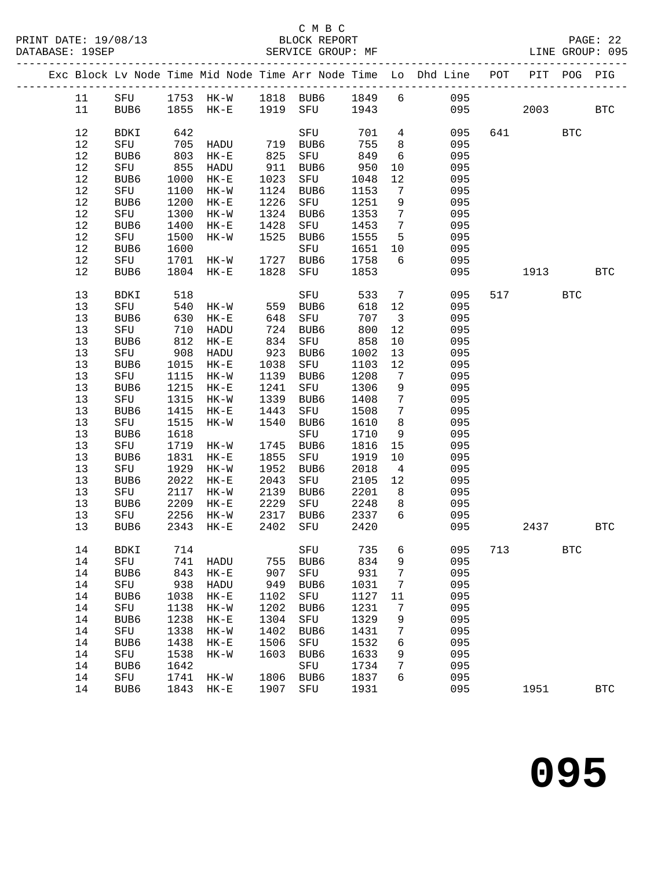#### C M B C<br>BLOCK REPORT SERVICE GROUP: MF

|  |          |                  |              |                  |              |                     |              |                                    | Exc Block Lv Node Time Mid Node Time Arr Node Time Lo Dhd Line POT |     |                                                                                                                                                                                                                                 | PIT POG PIG  |              |
|--|----------|------------------|--------------|------------------|--------------|---------------------|--------------|------------------------------------|--------------------------------------------------------------------|-----|---------------------------------------------------------------------------------------------------------------------------------------------------------------------------------------------------------------------------------|--------------|--------------|
|  | 11       |                  |              |                  |              |                     |              |                                    | SFU 1753 HK-W 1818 BUB6 1849 6 095                                 |     |                                                                                                                                                                                                                                 |              |              |
|  | 11       | BUB6             |              | 1855 HK-E        |              | 1919 SFU 1943       |              |                                    | 095                                                                |     | 2003 — 2003 — 2004 — 2005 — 2006 — 2006 — 2006 — 2006 — 2006 — 2006 — 2006 — 2006 — 2006 — 2006 — 2006 — 2006 — 2006 — 2006 — 2006 — 2006 — 2006 — 2006 — 2006 — 2006 — 2006 — 2006 — 2006 — 2006 — 2006 — 2006 — 2006 — 2006 — |              | <b>BTC</b>   |
|  |          |                  |              |                  |              |                     |              |                                    |                                                                    |     |                                                                                                                                                                                                                                 |              |              |
|  | 12       | BDKI             | 642          |                  |              | SFU                 | 701          | $4\overline{4}$                    | 095                                                                |     | 641                                                                                                                                                                                                                             | <b>BTC</b>   |              |
|  | $12$     | SFU              | 705          | HADU             |              |                     | 755          | 8 <sup>8</sup>                     | 095                                                                |     |                                                                                                                                                                                                                                 |              |              |
|  | $12\,$   | BUB6             | 803          | $HK-E$           |              | 719 BUB6<br>825 SFU | 849          | 6                                  | 095                                                                |     |                                                                                                                                                                                                                                 |              |              |
|  | $12$     | SFU              | 855          | HADU             | 911          | BUB6                | 950          | 10                                 | 095                                                                |     |                                                                                                                                                                                                                                 |              |              |
|  | $12$     | BUB6             | 1000         | $HK-E$           | 1023         | SFU                 | 1048         | 12                                 | 095                                                                |     |                                                                                                                                                                                                                                 |              |              |
|  | $12$     | SFU              | 1100         | $HK-W$           | 1124         | BUB6                | 1153         | 7                                  | 095                                                                |     |                                                                                                                                                                                                                                 |              |              |
|  | $12$     | BUB6             | 1200         | $HK-E$           | 1226         | SFU                 | 1251         | 9                                  | 095                                                                |     |                                                                                                                                                                                                                                 |              |              |
|  | $12$     | SFU              | 1300         | $HK-W$           | 1324         | BUB6                | 1353         | $\overline{7}$                     | 095                                                                |     |                                                                                                                                                                                                                                 |              |              |
|  | $12$     | BUB6             | 1400         | $HK-E$           | 1428         | SFU                 | 1453         | $\overline{7}$                     | 095                                                                |     |                                                                                                                                                                                                                                 |              |              |
|  | $12$     | SFU              | 1500         | $HK-W$           | 1525         | BUB6                | 1555         | $5^{\circ}$                        | 095                                                                |     |                                                                                                                                                                                                                                 |              |              |
|  | $12$     | BUB6             | 1600         |                  |              | SFU                 | 1651         | 10                                 | 095                                                                |     |                                                                                                                                                                                                                                 |              |              |
|  | $12$     | SFU              | 1701         | $HK-W$           | 1727         | BUB6                | 1758         | 6                                  | 095                                                                |     |                                                                                                                                                                                                                                 |              |              |
|  | 12       | BUB6             | 1804         | $HK-E$           | 1828         | SFU                 | 1853         |                                    | 095                                                                |     | 1913                                                                                                                                                                                                                            |              | $_{\rm BTC}$ |
|  |          |                  |              |                  |              |                     |              |                                    |                                                                    |     |                                                                                                                                                                                                                                 |              |              |
|  | 13       | BDKI             | 518          |                  |              | SFU                 | 533          | $\overline{7}$                     | 095                                                                |     | 517 — 17                                                                                                                                                                                                                        | <b>BTC</b>   |              |
|  | 13       | SFU              | 540          | $HK-W$           |              | 559 BUB6            | 618          | 12                                 | 095                                                                |     |                                                                                                                                                                                                                                 |              |              |
|  | $13$     | BUB6             | 630          | $HK-E$           | 648          | SFU                 | 707          | $\overline{\mathbf{3}}$            | 095                                                                |     |                                                                                                                                                                                                                                 |              |              |
|  | 13       | SFU              | 710          | HADU             | 724          | BUB6                | 800          | 12                                 | 095                                                                |     |                                                                                                                                                                                                                                 |              |              |
|  | $13$     | BUB6             | 812          | $HK-E$           | 834          | SFU                 | 858          | 10                                 | 095                                                                |     |                                                                                                                                                                                                                                 |              |              |
|  | 13       | SFU              | 908          | HADU             | 923          | BUB6                | 1002         | 13                                 | 095                                                                |     |                                                                                                                                                                                                                                 |              |              |
|  | $13$     | BUB6             | 1015         | $HK-E$           | 1038         | SFU                 | 1103         | 12                                 | 095                                                                |     |                                                                                                                                                                                                                                 |              |              |
|  | $13$     | SFU              | 1115         | $HK-W$           | 1139         | BUB6                | 1208         | $\overline{7}$                     | 095                                                                |     |                                                                                                                                                                                                                                 |              |              |
|  | $13$     | BUB6             | 1215         | $HK-E$           | 1241         | SFU                 | 1306         | 9                                  | 095                                                                |     |                                                                                                                                                                                                                                 |              |              |
|  | 13<br>13 | SFU<br>BUB6      | 1315<br>1415 | $HK-W$           | 1339         | BUB6                | 1408<br>1508 | $7\overline{ }$<br>$7\overline{ }$ | 095<br>095                                                         |     |                                                                                                                                                                                                                                 |              |              |
|  | $13$     | SFU              | 1515         | $HK-E$<br>$HK-W$ | 1443<br>1540 | SFU<br>BUB6         | 1610         | 8 <sup>8</sup>                     | 095                                                                |     |                                                                                                                                                                                                                                 |              |              |
|  | $13$     | BUB6             | 1618         |                  |              | SFU                 | 1710         | 9                                  | 095                                                                |     |                                                                                                                                                                                                                                 |              |              |
|  | 13       | SFU              | 1719         | HK-W             | 1745         | BUB6                | 1816         | 15                                 | 095                                                                |     |                                                                                                                                                                                                                                 |              |              |
|  | $13$     | BUB6             | 1831         | $HK-E$           | 1855         | SFU                 | 1919         | 10                                 | 095                                                                |     |                                                                                                                                                                                                                                 |              |              |
|  | $13$     | SFU              | 1929         | $HK-W$           | 1952         | BUB6                | 2018         | $\overline{4}$                     | 095                                                                |     |                                                                                                                                                                                                                                 |              |              |
|  | $13$     | BUB6             | 2022         | $HK-E$           | 2043         | SFU                 | 2105         | 12                                 | 095                                                                |     |                                                                                                                                                                                                                                 |              |              |
|  | 13       | SFU              | 2117         | $HK-W$           | 2139         | BUB6                | 2201         | 8 <sup>8</sup>                     | 095                                                                |     |                                                                                                                                                                                                                                 |              |              |
|  | 13       | BUB6             | 2209         | $HK-E$           | 2229         | SFU                 | 2248         | 8 <sup>8</sup>                     | 095                                                                |     |                                                                                                                                                                                                                                 |              |              |
|  | 13       | SFU              | 2256         | HK-W             | 2317         | BUB6                | 2337 6       |                                    | 095                                                                |     |                                                                                                                                                                                                                                 |              |              |
|  | 13       | BUB6             | 2343         | $HK-E$           | 2402         | SFU                 | 2420         |                                    | 095                                                                |     | 2437                                                                                                                                                                                                                            | <b>BTC</b>   |              |
|  | 14       | BDKI 714         |              |                  |              |                     |              |                                    | SFU 735 6 095                                                      | 713 |                                                                                                                                                                                                                                 | $_{\rm BTC}$ |              |
|  | 14       | SFU              | 741          | HADU             | 755          | BUB6                | 834          | 9                                  | 095                                                                |     |                                                                                                                                                                                                                                 |              |              |
|  | 14       | BUB6             | 843          | $HK-E$           | 907          | SFU                 | 931          | 7                                  | 095                                                                |     |                                                                                                                                                                                                                                 |              |              |
|  | 14       | SFU              | 938          | HADU             | 949          | BUB6                | 1031         | 7                                  | 095                                                                |     |                                                                                                                                                                                                                                 |              |              |
|  | 14       | BUB6             | 1038         | $HK-E$           | 1102         | SFU                 | 1127         | 11                                 | 095                                                                |     |                                                                                                                                                                                                                                 |              |              |
|  | 14       | SFU              | 1138         | $HK-W$           | 1202         | BUB6                | 1231         | 7                                  | 095                                                                |     |                                                                                                                                                                                                                                 |              |              |
|  | 14       | BUB6             | 1238         | $HK-E$           | 1304         | SFU                 | 1329         | 9                                  | 095                                                                |     |                                                                                                                                                                                                                                 |              |              |
|  | 14       | ${\tt SFU}$      | 1338         | $HK-W$           | 1402         | BUB6                | 1431         | 7                                  | 095                                                                |     |                                                                                                                                                                                                                                 |              |              |
|  | 14       | BUB6             | 1438         | $HK-E$           | 1506         | SFU                 | 1532         | 6                                  | 095                                                                |     |                                                                                                                                                                                                                                 |              |              |
|  | 14       | SFU              | 1538         | $HK-W$           | 1603         | BUB6                | 1633         | 9                                  | 095                                                                |     |                                                                                                                                                                                                                                 |              |              |
|  | 14       | BUB <sub>6</sub> | 1642         |                  |              | SFU                 | 1734         | 7                                  | 095                                                                |     |                                                                                                                                                                                                                                 |              |              |
|  | 14       | SFU              | 1741         | $HK-W$           | 1806         | BUB6                | 1837         | 6                                  | 095                                                                |     |                                                                                                                                                                                                                                 |              |              |
|  | 14       | BUB6             | 1843         | $HK-E$           | 1907         | SFU                 | 1931         |                                    | 095                                                                |     | 1951                                                                                                                                                                                                                            |              | <b>BTC</b>   |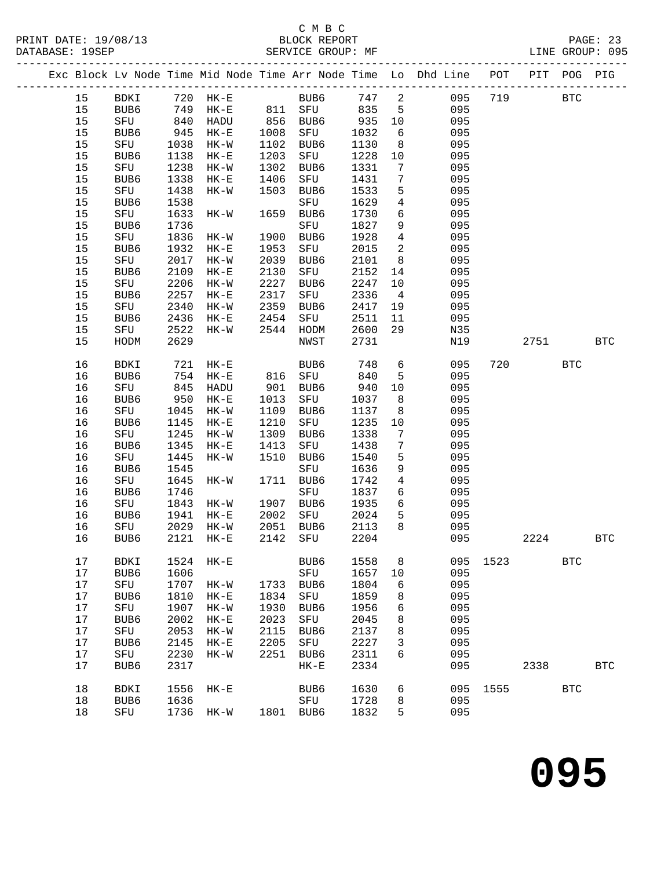## C M B C<br>BLOCK REPORT<br>SERVICE GROUP: MF

| PAGE. |               |
|-------|---------------|
|       | $\sim$ $\sim$ |

|        |               |      |           |              |                             |      |                         | Exc Block Lv Node Time Mid Node Time Arr Node Time Lo Dhd Line POT PIT POG PIG |             |      |            |            |
|--------|---------------|------|-----------|--------------|-----------------------------|------|-------------------------|--------------------------------------------------------------------------------|-------------|------|------------|------------|
| 15     | BDKI 720 HK-E |      |           |              | BUB6 747 2                  |      |                         |                                                                                | 095 719 BTC |      |            |            |
| 15     |               |      |           |              | BUB6 749 HK-E 811 SFU 835 5 |      |                         | 095                                                                            |             |      |            |            |
| 15     | SFU           | 840  | HADU      |              | 856 BUB6 935                |      | 10                      | 095                                                                            |             |      |            |            |
| 15     | BUB6          | 945  | $HK-E$    | 1008<br>1102 | SFU                         | 1032 | 6                       | 095                                                                            |             |      |            |            |
| 15     | SFU           | 1038 | $HK-W$    | 1102         | BUB6                        | 1130 | 8 <sup>8</sup>          | 095                                                                            |             |      |            |            |
| 15     | BUB6          | 1138 | $HK-E$    | 1203         | SFU                         | 1228 | 10                      | 095                                                                            |             |      |            |            |
| 15     | SFU           | 1238 | HK-W      | 1302         | BUB6                        | 1331 | 7                       | 095                                                                            |             |      |            |            |
| 15     | BUB6          | 1338 | $HK-E$    | 1406         | SFU                         | 1431 | $7\overline{ }$         | 095                                                                            |             |      |            |            |
| 15     | SFU           | 1438 | $HK-W$    | 1503         | BUB6                        | 1533 | 5                       | 095                                                                            |             |      |            |            |
| 15     | BUB6          | 1538 |           |              | SFU                         | 1629 | $\overline{4}$          | 095                                                                            |             |      |            |            |
| 15     | SFU           | 1633 | HK-W      | 1659         | BUB6                        | 1730 | 6                       | 095                                                                            |             |      |            |            |
| 15     | BUB6          | 1736 |           |              | SFU                         | 1827 | 9                       | 095                                                                            |             |      |            |            |
| 15     | SFU           | 1836 | HK-W      | 1900         | BUB6                        | 1928 | $\overline{4}$          | 095                                                                            |             |      |            |            |
| 15     | BUB6          | 1932 | $HK-E$    | 1953         | SFU                         | 2015 | $\overline{\mathbf{c}}$ | 095                                                                            |             |      |            |            |
| 15     | SFU           | 2017 | $HK-W$    | 2039         | BUB6                        | 2101 | 8 <sup>8</sup>          | 095                                                                            |             |      |            |            |
| $15$   | BUB6          | 2109 | $HK-E$    | 2130         | SFU                         | 2152 | 14                      | 095                                                                            |             |      |            |            |
| 15     | SFU           | 2206 | $HK-W$    | 2227         | BUB6                        | 2247 | 10                      | 095                                                                            |             |      |            |            |
| 15     | BUB6          | 2257 | $HK-E$    | 2317         | SFU                         | 2336 | $\overline{4}$          | 095                                                                            |             |      |            |            |
| 15     | SFU           | 2340 | $HK-W$    | 2359         | BUB6                        | 2417 | 19                      | 095                                                                            |             |      |            |            |
| $15$   | BUB6          | 2436 | $HK-E$    | 2454         | SFU                         | 2511 | 11                      | 095                                                                            |             |      |            |            |
| 15     | SFU           | 2522 | HK-W      | 2544         | HODM                        | 2600 | 29                      | N35                                                                            |             |      |            |            |
| 15     | HODM          | 2629 |           |              | NWST                        | 2731 |                         | N19                                                                            |             | 2751 |            | <b>BTC</b> |
|        |               |      |           |              |                             |      |                         |                                                                                |             |      |            |            |
| 16     | BDKI          | 721  | $HK-E$    |              | BUB6                        | 748  | $6\overline{6}$         | 095                                                                            | 720         |      | <b>BTC</b> |            |
| 16     | BUB6          | 754  | HK-E      | 816          | SFU                         | 840  | 5                       | 095                                                                            |             |      |            |            |
| 16     | SFU           | 845  | HADU      | 901          | BUB6                        | 940  | 10                      | 095                                                                            |             |      |            |            |
| 16     | BUB6          | 950  | HK-E      | 1013         | SFU                         | 1037 | 8 <sup>8</sup>          | 095                                                                            |             |      |            |            |
| 16     | SFU           | 1045 | HK-W      | 1109         | BUB6                        | 1137 | 8                       | 095                                                                            |             |      |            |            |
| 16     | BUB6          | 1145 | $HK-E$    | 1210         | SFU                         | 1235 | 10                      | 095                                                                            |             |      |            |            |
| 16     | SFU           | 1245 | HK-W      | 1309         | BUB6                        | 1338 | $\overline{7}$          | 095                                                                            |             |      |            |            |
| 16     | BUB6          | 1345 | $HK-E$    | 1413         | SFU                         | 1438 | $7\phantom{.0}$         | 095                                                                            |             |      |            |            |
| 16     | SFU           | 1445 | $HK-W$    | 1510         | BUB6                        | 1540 | 5                       | 095                                                                            |             |      |            |            |
| 16     | BUB6          | 1545 |           |              | SFU                         | 1636 | 9                       | 095                                                                            |             |      |            |            |
| 16     | SFU           | 1645 | HK-W      |              | 1711 BUB6                   | 1742 | $\overline{4}$          | 095                                                                            |             |      |            |            |
| 16     | BUB6          | 1746 |           |              | SFU                         | 1837 | 6                       | 095                                                                            |             |      |            |            |
| 16     | SFU           | 1843 | HK-W      | 1907         | BUB6                        | 1935 | $6\overline{6}$         | 095                                                                            |             |      |            |            |
| 16     | BUB6          | 1941 | $HK-E$    | 2002         | SFU                         | 2024 | $5^{\circ}$             | 095                                                                            |             |      |            |            |
| 16     | SFU           |      | 2029 HK-W |              | 2051 BUB6                   | 2113 | 8                       | 095                                                                            |             |      |            |            |
|        | 16 BUB6       |      |           |              |                             |      |                         | 2121 HK-E 2142 SFU 2204 095                                                    |             | 2224 |            | <b>BTC</b> |
|        |               |      |           |              |                             |      |                         |                                                                                |             |      |            |            |
| 17     | <b>BDKI</b>   | 1524 | $HK-E$    |              | BUB6                        | 1558 | 8                       | 095                                                                            | 1523        |      | <b>BTC</b> |            |
| 17     | BUB6          | 1606 |           |              | SFU                         | 1657 | 10                      | 095                                                                            |             |      |            |            |
| $17$   | SFU           | 1707 | $HK-W$    | 1733         | BUB6                        | 1804 | 6                       | 095                                                                            |             |      |            |            |
| 17     | BUB6          | 1810 | $HK-E$    | 1834         | SFU                         | 1859 | 8                       | 095                                                                            |             |      |            |            |
| $17\,$ | SFU           | 1907 | $HK-W$    | 1930         | BUB6                        | 1956 | 6                       | 095                                                                            |             |      |            |            |
| $17$   | BUB6          | 2002 | $HK-E$    | 2023         | SFU                         | 2045 | 8                       | 095                                                                            |             |      |            |            |
| $17$   | SFU           | 2053 | $HK-W$    | 2115         | BUB6                        | 2137 | 8                       | 095                                                                            |             |      |            |            |
| 17     | BUB6          | 2145 | $HK-E$    | 2205         | SFU                         | 2227 | 3                       | 095                                                                            |             |      |            |            |
| $17$   | SFU           | 2230 | $HK-W$    | 2251         | BUB6                        | 2311 | 6                       | 095                                                                            |             |      |            |            |
| $17$   | BUB6          | 2317 |           |              | $HK-E$                      | 2334 |                         | 095                                                                            |             | 2338 |            | <b>BTC</b> |
|        |               |      |           |              |                             |      |                         |                                                                                |             |      |            |            |
| 18     | <b>BDKI</b>   | 1556 | $HK-E$    |              | BUB6                        | 1630 | 6                       | 095                                                                            | 1555        |      | <b>BTC</b> |            |
| 18     | BUB6          | 1636 |           |              | SFU                         | 1728 | 8                       | 095                                                                            |             |      |            |            |
| 18     | SFU           | 1736 | HK-W      |              | 1801 BUB6                   | 1832 | 5                       | 095                                                                            |             |      |            |            |
|        |               |      |           |              |                             |      |                         |                                                                                |             |      |            |            |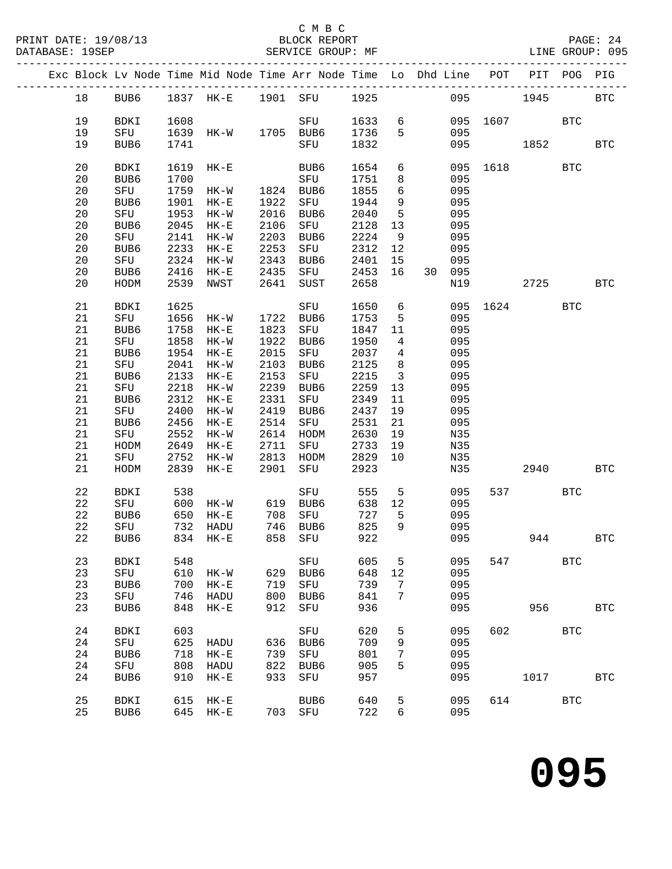### C M B C<br>BLOCK REPORT

|             |             |      |                |      |             |      |                         | Exc Block Lv Node Time Mid Node Time Arr Node Time Lo Dhd Line | POT  | PIT                    | POG.       | PIG          |
|-------------|-------------|------|----------------|------|-------------|------|-------------------------|----------------------------------------------------------------|------|------------------------|------------|--------------|
| 18          | BUB6        |      | 1837 HK-E      |      | 1901 SFU    | 1925 |                         | 095                                                            |      | 1945                   |            | $_{\rm BTC}$ |
| 19          | <b>BDKI</b> | 1608 |                |      | SFU         | 1633 | 6                       | 095                                                            | 1607 |                        | <b>BTC</b> |              |
| 19          | SFU         | 1639 | HK-W 1705 BUB6 |      |             | 1736 | $5^{\circ}$             | 095                                                            |      |                        |            |              |
| 19          | BUB6        | 1741 |                |      | SFU         | 1832 |                         | 095                                                            |      | 1852                   |            | <b>BTC</b>   |
|             |             |      |                |      |             |      |                         |                                                                |      |                        |            |              |
| 20          | <b>BDKI</b> | 1619 | $HK-E$         |      | BUB6        | 1654 | 6                       | 095                                                            |      | 1618                   | <b>BTC</b> |              |
| 20          | BUB6        | 1700 |                |      | SFU         | 1751 | 8                       | 095                                                            |      |                        |            |              |
| 20          | SFU         | 1759 | $HK-W$         | 1824 | BUB6        | 1855 | $6\overline{6}$         | 095                                                            |      |                        |            |              |
| 20          | BUB6        | 1901 | $HK-E$         | 1922 | SFU         | 1944 | 9                       | 095                                                            |      |                        |            |              |
| 20          | SFU         | 1953 | $HK-W$         | 2016 | BUB6        | 2040 | $5^{\circ}$             | 095                                                            |      |                        |            |              |
| 20          | BUB6        | 2045 | $HK-E$         | 2106 | SFU         | 2128 | 13                      | 095                                                            |      |                        |            |              |
| 20          | SFU         | 2141 | $HK-W$         | 2203 | BUB6        | 2224 | 9                       | 095                                                            |      |                        |            |              |
|             |             | 2233 |                |      |             |      |                         | 095                                                            |      |                        |            |              |
| 20          | BUB6        |      | $HK-E$         | 2253 | SFU         | 2312 | 12                      |                                                                |      |                        |            |              |
| 20          | SFU         | 2324 | $HK-W$         | 2343 | BUB6        | 2401 | 15                      | 095                                                            |      |                        |            |              |
| 20          | BUB6        | 2416 | $HK-E$         | 2435 | SFU         | 2453 | 16                      | 30 095                                                         |      |                        |            |              |
| 20          | HODM        | 2539 | NWST           | 2641 | SUST        | 2658 |                         | N19                                                            |      | 2725                   |            | <b>BTC</b>   |
| 21          | BDKI        | 1625 |                |      | SFU         | 1650 | $6\overline{6}$         | 095                                                            | 1624 |                        | <b>BTC</b> |              |
| 21          | SFU         | 1656 | HK-W           | 1722 | BUB6        | 1753 | 5                       | 095                                                            |      |                        |            |              |
| 21          | BUB6        | 1758 | $HK-E$         | 1823 | SFU         | 1847 | 11                      | 095                                                            |      |                        |            |              |
| 21          | SFU         | 1858 | $HK-W$         | 1922 | BUB6        | 1950 | $\overline{4}$          | 095                                                            |      |                        |            |              |
| $21\,$      | BUB6        | 1954 | $HK-E$         | 2015 | SFU         | 2037 | $\overline{4}$          | 095                                                            |      |                        |            |              |
| 21          | SFU         | 2041 | $HK-W$         | 2103 | BUB6        | 2125 | 8                       | 095                                                            |      |                        |            |              |
| $21\,$      | BUB6        | 2133 | $HK-E$         | 2153 | ${\rm SFU}$ | 2215 | $\overline{\mathbf{3}}$ | 095                                                            |      |                        |            |              |
| $21\,$      | SFU         | 2218 | $HK-W$         | 2239 | BUB6        | 2259 | 13                      | 095                                                            |      |                        |            |              |
|             |             |      |                |      |             |      |                         |                                                                |      |                        |            |              |
| $21\,$      | BUB6        | 2312 | $HK-E$         | 2331 | SFU         | 2349 | 11                      | 095                                                            |      |                        |            |              |
| 21          | SFU         | 2400 | HK-W           | 2419 | BUB6        | 2437 | 19                      | 095                                                            |      |                        |            |              |
| $21\,$      | BUB6        | 2456 | $HK-E$         | 2514 | SFU         | 2531 | 21                      | 095                                                            |      |                        |            |              |
| 21          | SFU         | 2552 | HK-W           | 2614 | HODM        | 2630 | 19                      | N35                                                            |      |                        |            |              |
| 21          | HODM        | 2649 | $HK-E$         | 2711 | SFU         | 2733 | 19                      | N35                                                            |      |                        |            |              |
| 21          | SFU         | 2752 | HK-W           | 2813 | HODM        | 2829 | 10                      | N35                                                            |      |                        |            |              |
| 21          | HODM        | 2839 | $HK-E$         | 2901 | SFU         | 2923 |                         | N35                                                            |      | 2940                   |            | <b>BTC</b>   |
| 22          | BDKI        | 538  |                |      | SFU         | 555  | $5^{\circ}$             | 095                                                            |      | 537 and $\overline{a}$ | BTC        |              |
| 22          | SFU         | 600  | $HK-W$         |      | 619 BUB6    | 638  | 12                      | 095                                                            |      |                        |            |              |
| 22          | BUB6        | 650  | $HK-E$         | 708  | SFU         | 727  | $5^{\circ}$             | 095                                                            |      |                        |            |              |
| $2\sqrt{2}$ | SFU         | 732  | HADU           | 746  | BUB6        | 825  | 9                       | 095                                                            |      |                        |            |              |
| 22          | BUB6        | 834  | $HK-E$         | 858  | SFU         | 922  |                         | 095                                                            |      | 944                    |            | <b>BTC</b>   |
|             |             |      |                |      |             |      |                         |                                                                |      |                        |            |              |
| 23          | <b>BDKI</b> | 548  |                |      | SFU         | 605  | 5                       | 095                                                            | 547  |                        | <b>BTC</b> |              |
| 23          | SFU         | 610  | $HK-W$         | 629  | BUB6        | 648  | 12                      | 095                                                            |      |                        |            |              |
| 23          | BUB6        | 700  | $HK-E$         | 719  | ${\tt SFU}$ | 739  | 7                       | 095                                                            |      |                        |            |              |
| 23          | SFU         | 746  | HADU           | 800  | BUB6        | 841  | 7                       | 095                                                            |      |                        |            |              |
| 23          | BUB6        | 848  | $HK-E$         | 912  | ${\tt SFU}$ | 936  |                         | 095                                                            |      | 956                    |            | <b>BTC</b>   |
| 24          | <b>BDKI</b> | 603  |                |      | SFU         | 620  |                         | 095                                                            | 602  |                        | <b>BTC</b> |              |
|             |             | 625  |                |      |             | 709  | 5                       | 095                                                            |      |                        |            |              |
| 24          | SFU         |      | HADU           | 636  | BUB6        |      | 9                       |                                                                |      |                        |            |              |
| 24          | BUB6        | 718  | $HK-E$         | 739  | SFU         | 801  | 7                       | 095                                                            |      |                        |            |              |
| 24          | SFU         | 808  | HADU           | 822  | BUB6        | 905  | 5                       | 095                                                            |      |                        |            |              |
| 24          | BUB6        | 910  | $HK-E$         | 933  | SFU         | 957  |                         | 095                                                            |      | 1017                   |            | <b>BTC</b>   |
| 25          | <b>BDKI</b> | 615  | $HK-E$         |      | BUB6        | 640  | 5                       | 095                                                            | 614  |                        | <b>BTC</b> |              |
| 25          | BUB6        | 645  | $HK-E$         | 703  | SFU         | 722  | 6                       | 095                                                            |      |                        |            |              |
|             |             |      |                |      |             |      |                         |                                                                |      |                        |            |              |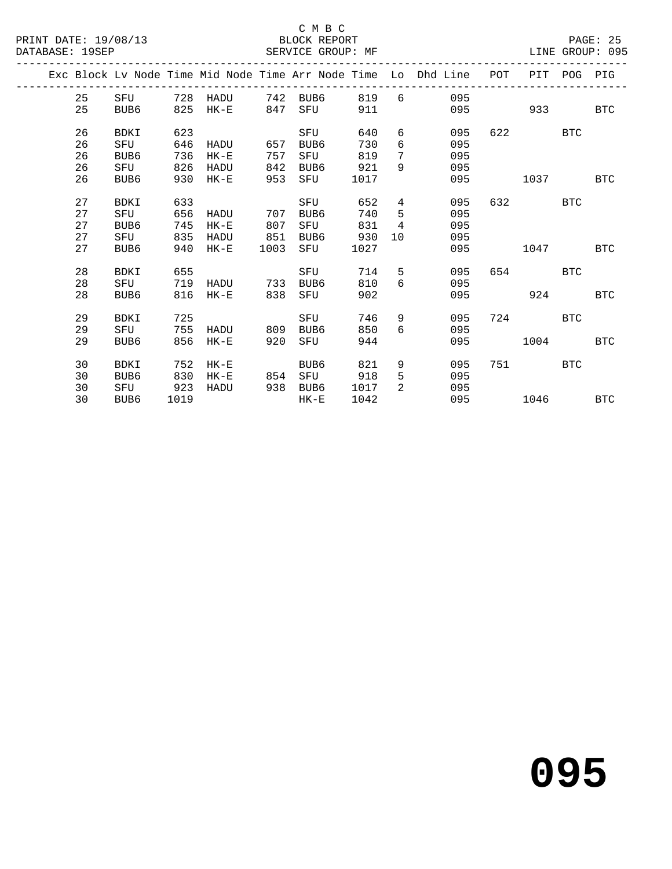#### C M B C<br>BLOCK REPORT SERVICE GROUP: MF

|  |    |                  |      |             |      |                  |      |                | Exc Block Ly Node Time Mid Node Time Arr Node Time Lo Dhd Line | POT | PIT  | POG        | PIG        |
|--|----|------------------|------|-------------|------|------------------|------|----------------|----------------------------------------------------------------|-----|------|------------|------------|
|  | 25 | SFU              | 728  | HADU        | 742  | BUB6             | 819  | 6              | 095                                                            |     |      |            |            |
|  | 25 | BUB6             | 825  | $HK-E$      | 847  | SFU              | 911  |                | 095                                                            |     | 933  |            | <b>BTC</b> |
|  | 26 | <b>BDKI</b>      | 623  |             |      | SFU              | 640  | 6              | 095                                                            | 622 |      | <b>BTC</b> |            |
|  | 26 | SFU              | 646  | HADU        | 657  | BUB <sub>6</sub> | 730  | 6              | 095                                                            |     |      |            |            |
|  | 26 | BUB6             | 736  | $HK-E$      | 757  | SFU              | 819  | 7              | 095                                                            |     |      |            |            |
|  | 26 | SFU              | 826  | <b>HADU</b> | 842  | BUB6             | 921  | 9              | 095                                                            |     |      |            |            |
|  | 26 | BUB6             | 930  | $HK-E$      | 953  | SFU              | 1017 |                | 095                                                            |     | 1037 |            | <b>BTC</b> |
|  |    |                  |      |             |      |                  |      |                |                                                                |     |      |            |            |
|  | 27 | <b>BDKI</b>      | 633  |             |      | SFU              | 652  | 4              | 095                                                            | 632 |      | BTC        |            |
|  | 27 | SFU              | 656  | HADU        | 707  | BUB6             | 740  | 5              | 095                                                            |     |      |            |            |
|  | 27 | BUB6             | 745  | $HK-E$      | 807  | SFU              | 831  | $\overline{4}$ | 095                                                            |     |      |            |            |
|  | 27 | SFU              | 835  | HADU        | 851  | BUB6             | 930  | 10             | 095                                                            |     |      |            |            |
|  | 27 | BUB <sub>6</sub> | 940  | $HK-E$      | 1003 | SFU              | 1027 |                | 095                                                            |     | 1047 |            | BTC        |
|  |    |                  |      |             |      |                  |      |                |                                                                |     |      |            |            |
|  | 28 | <b>BDKI</b>      | 655  |             |      | SFU              | 714  | 5              | 095                                                            | 654 |      | <b>BTC</b> |            |
|  | 28 | SFU              | 719  | HADU        | 733  | BUB6             | 810  | 6              | 095                                                            |     |      |            |            |
|  | 28 | BUB6             | 816  | $HK-E$      | 838  | SFU              | 902  |                | 095                                                            |     | 924  |            | <b>BTC</b> |
|  |    |                  |      |             |      |                  |      |                |                                                                |     |      |            |            |
|  | 29 | <b>BDKI</b>      | 725  |             |      | SFU              | 746  | 9              | 095                                                            | 724 |      | <b>BTC</b> |            |
|  | 29 | SFU              | 755  | HADU        | 809  | BUB6             | 850  | 6              | 095                                                            |     |      |            |            |
|  | 29 | BUB6             | 856  | $HK-E$      | 920  | SFU              | 944  |                | 095                                                            |     | 1004 |            | BTC        |
|  | 30 | BDKI             | 752  | $HK-E$      |      | BUB6             | 821  | 9              | 095                                                            | 751 |      | <b>BTC</b> |            |
|  | 30 | BUB6             | 830  | $HK-E$      | 854  | SFU              | 918  | 5              | 095                                                            |     |      |            |            |
|  | 30 | SFU              | 923  | HADU        | 938  | BUB6             | 1017 | 2              | 095                                                            |     |      |            |            |
|  |    |                  |      |             |      |                  |      |                |                                                                |     |      |            |            |
|  | 30 | BUB <sub>6</sub> | 1019 |             |      | $HK-E$           | 1042 |                | 095                                                            |     | 1046 |            | <b>BTC</b> |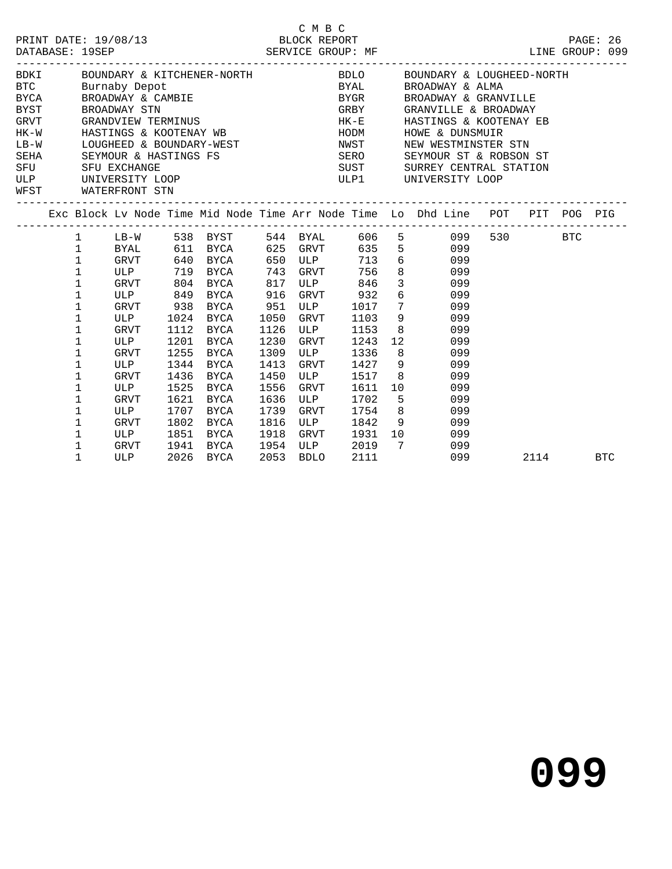|             |              |                     |      | PRINT DATE: 19/08/13 BLOCK REPORT PAGE: 26<br>DATABASE: 19SEP SERVICE GROUP: MF LINE GROUP: 099                                                                                                                                      |      |                     |         |                |                 |     |                        |         |            |
|-------------|--------------|---------------------|------|--------------------------------------------------------------------------------------------------------------------------------------------------------------------------------------------------------------------------------------|------|---------------------|---------|----------------|-----------------|-----|------------------------|---------|------------|
| <b>BDKI</b> |              |                     |      | BOUNDARY & KITCHENER-NORTH BDLO BOUNDARY & LOUGHEED-NORTH                                                                                                                                                                            |      |                     |         |                |                 |     |                        |         |            |
| <b>BTC</b>  |              |                     |      |                                                                                                                                                                                                                                      |      |                     |         |                | BROADWAY & ALMA |     |                        |         |            |
| <b>BYCA</b> |              |                     |      | Burnaby Depot<br>Burnaby Depot<br>BROADWAY & CAMBIE<br>BROADWAY STN GREY<br>GRANDVIEW TERMINUS<br>HASTINGS & KOOTENAY WB HODM<br>HODM<br>HODM<br>HODM                                                                                |      |                     |         |                |                 |     | BROADWAY & GRANVILLE   |         |            |
| <b>BYST</b> |              |                     |      |                                                                                                                                                                                                                                      |      |                     |         |                |                 |     | GRANVILLE & BROADWAY   |         |            |
| GRVT        |              |                     |      |                                                                                                                                                                                                                                      |      |                     |         |                |                 |     | HASTINGS & KOOTENAY EB |         |            |
| $HK-W$      |              |                     |      |                                                                                                                                                                                                                                      |      |                     |         |                | HOWE & DUNSMUIR |     |                        |         |            |
|             |              |                     |      |                                                                                                                                                                                                                                      |      |                     |         |                |                 |     |                        |         |            |
|             |              |                     |      |                                                                                                                                                                                                                                      |      |                     |         |                |                 |     |                        |         |            |
|             |              |                     |      | LB-W LOUGHEED & BOUNDARY-WEST NEST NEST NEW WESTMINSTER STN SEN SEYMOUR & HASTINGS FS<br>SERA SEYMOUR & HASTINGS FS SERO SEYMOUR ST & ROBSON ST<br>SFU SFU EXCHANGE SERO SUST SURREY CENTRAL STATION<br>ULPI UNIVERSITY LOOP ULPI UN |      |                     |         |                |                 |     |                        |         |            |
|             |              |                     |      |                                                                                                                                                                                                                                      |      |                     |         |                |                 |     |                        |         |            |
|             |              | WFST WATERFRONT STN |      |                                                                                                                                                                                                                                      |      |                     |         |                |                 |     |                        |         |            |
|             |              |                     |      | Exc Block Lv Node Time Mid Node Time Arr Node Time Lo Dhd Line POT PIT POG PIG                                                                                                                                                       |      |                     |         |                |                 |     |                        |         |            |
|             | 1            |                     |      | LB-W 538 BYST 544 BYAL 606 5 099                                                                                                                                                                                                     |      |                     |         |                |                 |     |                        | 530 BTC |            |
|             | $\mathbf{1}$ | BYAL 611 BYCA       |      |                                                                                                                                                                                                                                      |      | 625 GRVT            | 635 5   |                |                 | 099 |                        |         |            |
|             | $\mathbf 1$  | GRVT                |      | 640 BYCA                                                                                                                                                                                                                             |      | 650 ULP<br>743 GRVT | 713 6   |                |                 | 099 |                        |         |            |
|             | $\mathbf{1}$ | ULP                 |      | 719 BYCA                                                                                                                                                                                                                             |      |                     | $756$ 8 |                |                 | 099 |                        |         |            |
|             | $\mathbf{1}$ | GRVT                |      | 804 BYCA                                                                                                                                                                                                                             |      | 817 ULP<br>916 GRVT | $846$ 3 |                |                 | 099 |                        |         |            |
|             | $\mathbf 1$  | ULP                 |      | 849 BYCA                                                                                                                                                                                                                             |      | GRVT                | 932     |                | $6\overline{6}$ | 099 |                        |         |            |
|             | $\mathbf 1$  | GRVT                | 938  | BYCA                                                                                                                                                                                                                                 |      | 951 ULP             | 1017 7  |                |                 | 099 |                        |         |            |
|             | $\mathbf 1$  | ULP                 |      | 1024 BYCA                                                                                                                                                                                                                            | 1050 | GRVT                | 1103    | 9              |                 | 099 |                        |         |            |
|             | $\mathbf{1}$ | GRVT                | 1112 | BYCA                                                                                                                                                                                                                                 | 1126 | ULP                 | 1153    | 8 <sup>8</sup> |                 | 099 |                        |         |            |
|             | $\mathbf 1$  | <b>ULP</b>          | 1201 | BYCA                                                                                                                                                                                                                                 | 1230 | GRVT                | 1243    | 12             |                 | 099 |                        |         |            |
|             | 1            | GRVT                | 1255 | BYCA                                                                                                                                                                                                                                 | 1309 | ULP                 | 1336    | 8 <sup>1</sup> |                 | 099 |                        |         |            |
|             | $\mathbf 1$  | ULP                 |      | 1344 BYCA                                                                                                                                                                                                                            | 1413 | GRVT                | 1427    | 9              |                 | 099 |                        |         |            |
|             | $\mathbf 1$  | GRVT                | 1436 | BYCA                                                                                                                                                                                                                                 | 1450 | ULP                 | 1517    | 8 <sup>1</sup> |                 | 099 |                        |         |            |
|             | $\mathbf 1$  | ULP                 | 1525 | BYCA                                                                                                                                                                                                                                 | 1556 | GRVT                | 1611    | 10             |                 | 099 |                        |         |            |
|             | $\mathbf 1$  | GRVT                | 1621 | BYCA                                                                                                                                                                                                                                 | 1636 | ULP                 | 1702    | 5 <sub>5</sub> |                 | 099 |                        |         |            |
|             | 1            | ULP                 | 1707 | BYCA                                                                                                                                                                                                                                 | 1739 | GRVT                | 1754 8  |                |                 | 099 |                        |         |            |
|             | 1            | GRVT                | 1802 | BYCA                                                                                                                                                                                                                                 | 1816 | ULP                 | 1842 9  |                |                 | 099 |                        |         |            |
|             | $\mathbf 1$  | ULP                 | 1851 | BYCA                                                                                                                                                                                                                                 | 1918 | GRVT                | 1931 10 |                |                 | 099 |                        |         |            |
|             | 1            | GRVT                | 1941 | BYCA                                                                                                                                                                                                                                 | 1954 | ULP                 | 2019 7  |                |                 | 099 |                        |         |            |
|             | $\mathbf{1}$ | ULP                 | 2026 | BYCA                                                                                                                                                                                                                                 | 2053 | BDLO                | 2111    |                |                 | 099 |                        | 2114    | <b>BTC</b> |

C M B C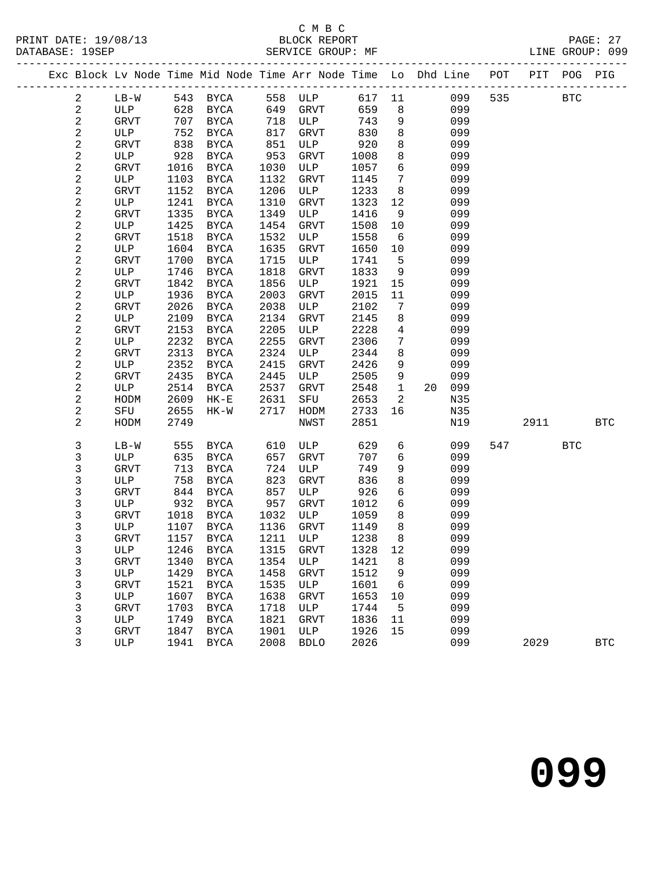### C M B C<br>BLOCK REPORT

PRINT DATE: 19/08/13 BLOCK REPORT PAGE: 27

SERVICE GROUP: MF

|                         |              |      |             |      | --------------------------------- |      |                 | Exc Block Lv Node Time Mid Node Time Arr Node Time Lo Dhd Line POT |     |      | PIT POG PIG |              |
|-------------------------|--------------|------|-------------|------|-----------------------------------|------|-----------------|--------------------------------------------------------------------|-----|------|-------------|--------------|
| 2                       | $LB-W$       |      | 543 BYCA    |      | 558 ULP                           |      |                 | 617 11<br>099                                                      | 535 |      | <b>BTC</b>  |              |
| $\overline{c}$          | ULP          | 628  | BYCA        | 649  | GRVT                              | 659  | 8               | 099                                                                |     |      |             |              |
| $\mathbf{2}$            | GRVT         | 707  | BYCA        | 718  | ULP                               | 743  | 9               | 099                                                                |     |      |             |              |
| $\sqrt{2}$              | ULP          | 752  | BYCA        | 817  | GRVT                              | 830  | 8               | 099                                                                |     |      |             |              |
| $\overline{\mathbf{c}}$ | GRVT         | 838  | <b>BYCA</b> | 851  | ULP                               | 920  | 8               | 099                                                                |     |      |             |              |
| $\overline{c}$          | ULP          | 928  | BYCA        | 953  | GRVT                              | 1008 | 8               | 099                                                                |     |      |             |              |
| $\overline{\mathbf{c}}$ | GRVT         | 1016 | <b>BYCA</b> | 1030 | ULP                               | 1057 | 6               | 099                                                                |     |      |             |              |
| $\overline{c}$          | ULP          | 1103 | BYCA        | 1132 | GRVT                              | 1145 | $7\phantom{.0}$ | 099                                                                |     |      |             |              |
| $\mathbf 2$             | <b>GRVT</b>  | 1152 | <b>BYCA</b> | 1206 | ULP                               | 1233 | 8               | 099                                                                |     |      |             |              |
| $\overline{c}$          | ULP          | 1241 | BYCA        | 1310 | GRVT                              | 1323 | 12              | 099                                                                |     |      |             |              |
| $\boldsymbol{2}$        | GRVT         | 1335 | BYCA        | 1349 | ULP                               | 1416 | 9               | 099                                                                |     |      |             |              |
| 2                       | ULP          | 1425 | BYCA        | 1454 | GRVT                              | 1508 | 10              | 099                                                                |     |      |             |              |
| 2                       | GRVT         | 1518 | <b>BYCA</b> | 1532 | ULP                               | 1558 | 6               | 099                                                                |     |      |             |              |
| $\overline{c}$          | ULP          | 1604 | BYCA        | 1635 | GRVT                              | 1650 | 10              | 099                                                                |     |      |             |              |
| $\mathbf 2$             | GRVT         | 1700 | <b>BYCA</b> | 1715 | ULP                               | 1741 | 5               | 099                                                                |     |      |             |              |
| 2                       | ULP          | 1746 | BYCA        | 1818 | GRVT                              | 1833 | 9               | 099                                                                |     |      |             |              |
| 2                       | <b>GRVT</b>  | 1842 | BYCA        | 1856 | ULP                               | 1921 | 15              | 099                                                                |     |      |             |              |
| $\overline{a}$          | ULP          | 1936 | BYCA        | 2003 | GRVT                              | 2015 | 11              | 099                                                                |     |      |             |              |
| 2                       | GRVT         | 2026 | BYCA        | 2038 | ULP                               | 2102 | $7\phantom{.0}$ | 099                                                                |     |      |             |              |
| $\mathbf{2}$            | ULP          | 2109 | BYCA        | 2134 | GRVT                              | 2145 | 8               | 099                                                                |     |      |             |              |
| 2                       | GRVT         | 2153 | <b>BYCA</b> | 2205 | ULP                               | 2228 | $\overline{4}$  | 099                                                                |     |      |             |              |
| 2                       | ULP          | 2232 | <b>BYCA</b> | 2255 | GRVT                              | 2306 | $7\phantom{.0}$ | 099                                                                |     |      |             |              |
| 2                       | GRVT         | 2313 | <b>BYCA</b> | 2324 | ULP                               | 2344 | 8               | 099                                                                |     |      |             |              |
| 2                       | ULP          | 2352 | BYCA        | 2415 | GRVT                              | 2426 | 9               | 099                                                                |     |      |             |              |
| 2                       | GRVT         | 2435 | BYCA        | 2445 | ULP                               | 2505 | 9               | 099                                                                |     |      |             |              |
| $\overline{\mathbf{c}}$ | ULP          | 2514 | BYCA        | 2537 | GRVT                              | 2548 | $\mathbf{1}$    | 099<br>20                                                          |     |      |             |              |
| 2                       | HODM         | 2609 | $HK-E$      | 2631 | SFU                               | 2653 | $\overline{2}$  | N35                                                                |     |      |             |              |
| 2                       | SFU          | 2655 | $HK-W$      | 2717 | HODM                              | 2733 | 16              | N35                                                                |     |      |             |              |
| $\overline{c}$          | HODM         | 2749 |             |      | NWST                              | 2851 |                 | N19                                                                |     | 2911 |             | <b>BTC</b>   |
| 3                       | $LB-W$       | 555  | BYCA        | 610  | ULP                               | 629  | 6               | 099                                                                | 547 |      | <b>BTC</b>  |              |
| 3                       | ULP          | 635  | <b>BYCA</b> | 657  | GRVT                              | 707  | 6               | 099                                                                |     |      |             |              |
| 3                       | <b>GRVT</b>  | 713  | BYCA        | 724  | ULP                               | 749  | 9               | 099                                                                |     |      |             |              |
| 3                       | ULP          | 758  | <b>BYCA</b> | 823  | GRVT                              | 836  | 8               | 099                                                                |     |      |             |              |
| 3                       | <b>GRVT</b>  | 844  | BYCA        | 857  | ULP                               | 926  | 6               | 099                                                                |     |      |             |              |
| 3                       | ULP          | 932  | BYCA        | 957  | GRVT                              | 1012 | 6               | 099                                                                |     |      |             |              |
| 3                       | GRVT         | 1018 | BYCA        | 1032 | ULP                               | 1059 | 8               | 099                                                                |     |      |             |              |
| 3                       | ULP          | 1107 | BYCA        | 1136 | GRVT                              | 1149 | 8               | 099                                                                |     |      |             |              |
| 3                       | <b>GRVT</b>  | 1157 | <b>BYCA</b> | 1211 | ULP                               | 1238 | 8               | 099                                                                |     |      |             |              |
| 3                       | $_{\rm ULP}$ |      | 1246 BYCA   |      | 1315 GRVT 1328 12                 |      |                 | 099                                                                |     |      |             |              |
| 3                       | GRVT         | 1340 | BYCA        | 1354 | ULP                               | 1421 | - 8             | 099                                                                |     |      |             |              |
| 3                       | ULP          | 1429 | BYCA        | 1458 | GRVT                              | 1512 | 9               | 099                                                                |     |      |             |              |
| 3                       | GRVT         | 1521 | BYCA        | 1535 | ULP                               | 1601 | 6               | 099                                                                |     |      |             |              |
| 3                       | ULP          | 1607 | BYCA        | 1638 | GRVT                              | 1653 | 10              | 099                                                                |     |      |             |              |
| 3                       | GRVT         | 1703 | <b>BYCA</b> | 1718 | ULP                               | 1744 | 5               | 099                                                                |     |      |             |              |
| 3                       | ULP          | 1749 | <b>BYCA</b> | 1821 | GRVT                              | 1836 | 11              | 099                                                                |     |      |             |              |
| 3                       | <b>GRVT</b>  | 1847 | BYCA        | 1901 | ULP                               | 1926 | 15              | 099                                                                |     |      |             |              |
| 3                       | ULP          | 1941 | <b>BYCA</b> | 2008 | <b>BDLO</b>                       | 2026 |                 | 099                                                                |     | 2029 |             | $_{\rm BTC}$ |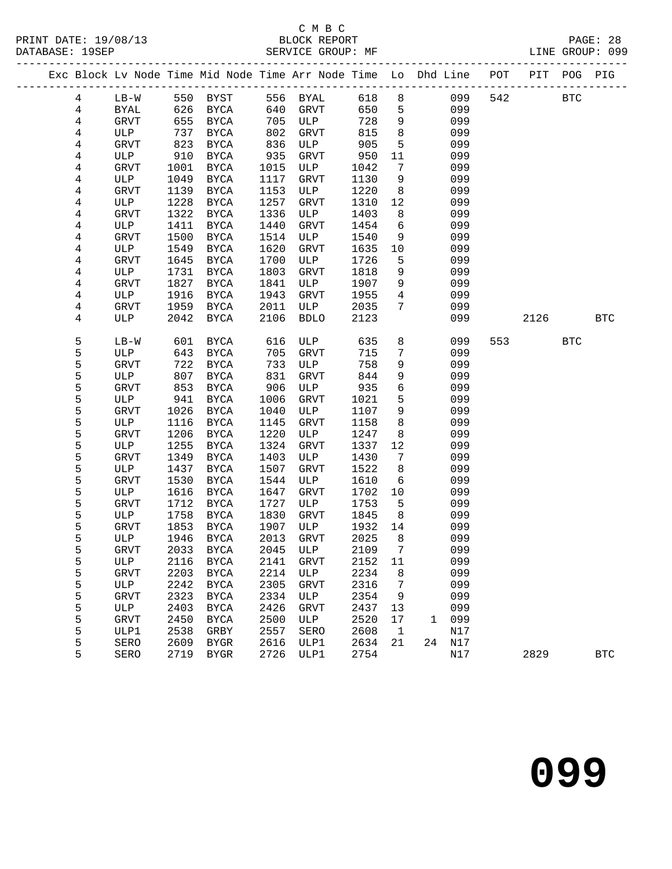### C M B C<br>BLOCK BEPORT

 5 ULP 1758 BYCA 1830 GRVT 1845 8 099 5 GRVT 1853 BYCA 1907 ULP 1932 14 099

 5 ULP 2242 BYCA 2305 GRVT 2316 7 099 5 GRVT 2323 BYCA 2334 ULP 2354 9 099

5 ULP1 2538 GRBY 2557 SERO 2608 1 N17

5 ULP 1758 BYCA 1830 GRVT 1845 8 099<br>5 GRVT 1853 BYCA 1907 ULP 1932 14 099<br>5 ULP 1946 BYCA 2013 GRVT 2025 8 099

 5 GRVT 2033 BYCA 2045 ULP 2109 7 099 5 ULP 2116 BYCA 2141 GRVT 2152 11 099 5 GRVT 2203 BYCA 2214 ULP 2234 8 099

 5 ULP 2403 BYCA 2426 GRVT 2437 13 099 5 GRVT 2450 BYCA 2500 ULP 2520 17 1 099

5 SERO 2609 BYGR 2616 ULP1 2634 21 24 N17

**099**

| PRINT DATE: 19/08/13<br>DATABASE: 19SEP |                 |             |      | 13<br>BLOCK REPORT SERVICE CROSS<br>------------------------- |      | SERVICE GROUP: MF |      |                 | PAGE: 28<br>LINE GROUP: 099                                                    |          |  |
|-----------------------------------------|-----------------|-------------|------|---------------------------------------------------------------|------|-------------------|------|-----------------|--------------------------------------------------------------------------------|----------|--|
|                                         |                 |             |      |                                                               |      |                   |      |                 | Exc Block Lv Node Time Mid Node Time Arr Node Time Lo Dhd Line POT PIT POG PIG |          |  |
|                                         | $4\overline{ }$ | $LB-W$      |      | 550 BYST<br>626 BYCA                                          |      | 556 BYAL          |      |                 |                                                                                | 542 BTC  |  |
|                                         | $\overline{4}$  | BYAL        |      |                                                               |      | 640 GRVT          |      |                 |                                                                                |          |  |
|                                         | $\overline{4}$  | GRVT        |      | 655 BYCA                                                      | 705  | ULP               | 728  | 9               | 099                                                                            |          |  |
|                                         | 4               | ULP         | 737  | BYCA                                                          | 802  | GRVT              | 815  | 8               | 099                                                                            |          |  |
|                                         | 4               | GRVT        | 823  | BYCA                                                          | 836  | ULP               | 905  | $5\overline{)}$ | 099                                                                            |          |  |
|                                         | 4               | ULP         | 910  | BYCA                                                          | 935  | GRVT              | 950  | 11              | 099                                                                            |          |  |
|                                         | 4               | <b>GRVT</b> | 1001 | <b>BYCA</b>                                                   | 1015 | ULP               | 1042 | $7\overline{ }$ | 099                                                                            |          |  |
|                                         | 4               | ULP         | 1049 | BYCA                                                          | 1117 | GRVT              | 1130 | 9               | 099                                                                            |          |  |
|                                         | 4               | <b>GRVT</b> | 1139 | <b>BYCA</b>                                                   | 1153 | ULP               | 1220 | 8               | 099                                                                            |          |  |
|                                         | 4               | ULP         | 1228 | <b>BYCA</b>                                                   | 1257 | <b>GRVT</b>       | 1310 | 12              | 099                                                                            |          |  |
|                                         | 4               | <b>GRVT</b> | 1322 | <b>BYCA</b>                                                   | 1336 | ULP               | 1403 | 8               | 099                                                                            |          |  |
|                                         | 4               | ULP         | 1411 | BYCA                                                          | 1440 | <b>GRVT</b>       | 1454 | 6               | 099                                                                            |          |  |
|                                         | 4               | <b>GRVT</b> | 1500 | BYCA                                                          | 1514 | ULP               | 1540 | 9               | 099                                                                            |          |  |
|                                         | 4               | ULP         | 1549 | <b>BYCA</b>                                                   | 1620 | <b>GRVT</b>       | 1635 | 10              | 099                                                                            |          |  |
|                                         | $\overline{4}$  | <b>GRVT</b> | 1645 | <b>BYCA</b>                                                   | 1700 | ULP               | 1726 | 5               | 099                                                                            |          |  |
|                                         | 4               | ULP         | 1731 | BYCA                                                          | 1803 | GRVT              | 1818 | 9               | 099                                                                            |          |  |
|                                         | 4               | <b>GRVT</b> | 1827 | <b>BYCA</b>                                                   | 1841 | ULP               | 1907 | 9               | 099                                                                            |          |  |
|                                         | 4               | ULP         | 1916 | BYCA                                                          | 1943 | <b>GRVT</b>       | 1955 | $\overline{4}$  | 099                                                                            |          |  |
|                                         | $\overline{4}$  | <b>GRVT</b> | 1959 | BYCA                                                          | 2011 | ULP               | 2035 | $7\phantom{.0}$ | 099                                                                            |          |  |
|                                         | 4               | ULP         | 2042 | BYCA                                                          | 2106 | <b>BDLO</b>       | 2123 |                 | 099                                                                            | 2126 BTC |  |
|                                         | 5               | $LB-W$      | 601  | BYCA                                                          | 616  | ULP               | 635  | 8               | 099                                                                            | 553 BTC  |  |
|                                         | 5               | ULP         | 643  | BYCA                                                          | 705  | GRVT              | 715  | $7\phantom{.0}$ | 099                                                                            |          |  |
|                                         | 5               | GRVT        | 722  | <b>BYCA</b>                                                   | 733  | ULP               | 758  | 9               | 099                                                                            |          |  |
|                                         | 5               | ULP         | 807  | BYCA                                                          | 831  | <b>GRVT</b>       | 844  | 9               | 099                                                                            |          |  |
|                                         | 5               | GRVT        | 853  | BYCA                                                          | 906  | ULP               | 935  | 6               | 099                                                                            |          |  |
|                                         | 5               | ULP         | 941  | BYCA                                                          | 1006 | <b>GRVT</b>       | 1021 | 5               | 099                                                                            |          |  |
|                                         | 5               | <b>GRVT</b> | 1026 | <b>BYCA</b>                                                   | 1040 | ULP               | 1107 | 9               | 099                                                                            |          |  |
|                                         | 5               | ULP         | 1116 | <b>BYCA</b>                                                   | 1145 | GRVT              | 1158 | 8               | 099                                                                            |          |  |
|                                         | 5               | GRVT        | 1206 | BYCA                                                          | 1220 | ULP               | 1247 | 8               | 099                                                                            |          |  |
|                                         | 5               | ULP         | 1255 | <b>BYCA</b>                                                   | 1324 | <b>GRVT</b>       | 1337 | 12              | 099                                                                            |          |  |
|                                         | 5               | <b>GRVT</b> | 1349 | <b>BYCA</b>                                                   | 1403 | ULP               | 1430 | $7\phantom{.0}$ | 099                                                                            |          |  |
|                                         | 5               | ULP         | 1437 | BYCA                                                          | 1507 | GRVT              | 1522 | 8               | 099                                                                            |          |  |
|                                         | 5               | <b>GRVT</b> | 1530 | BYCA                                                          | 1544 | ULP               | 1610 | 6               | 099                                                                            |          |  |
|                                         | 5               | ULP         | 1616 | BYCA                                                          | 1647 | <b>GRVT</b>       | 1702 | 10              | 099                                                                            |          |  |
|                                         | 5               | <b>GRVT</b> | 1712 | BYCA                                                          | 1727 | ULP               | 1753 | 5               | 099                                                                            |          |  |
|                                         | 5               | <b>ULP</b>  | 1758 | <b>BYCA</b>                                                   | 1830 | <b>GRVT</b>       | 1845 | 8               | 099                                                                            |          |  |

5 SERO 2719 BYGR 2726 ULP1 2754 N17 2829 BTC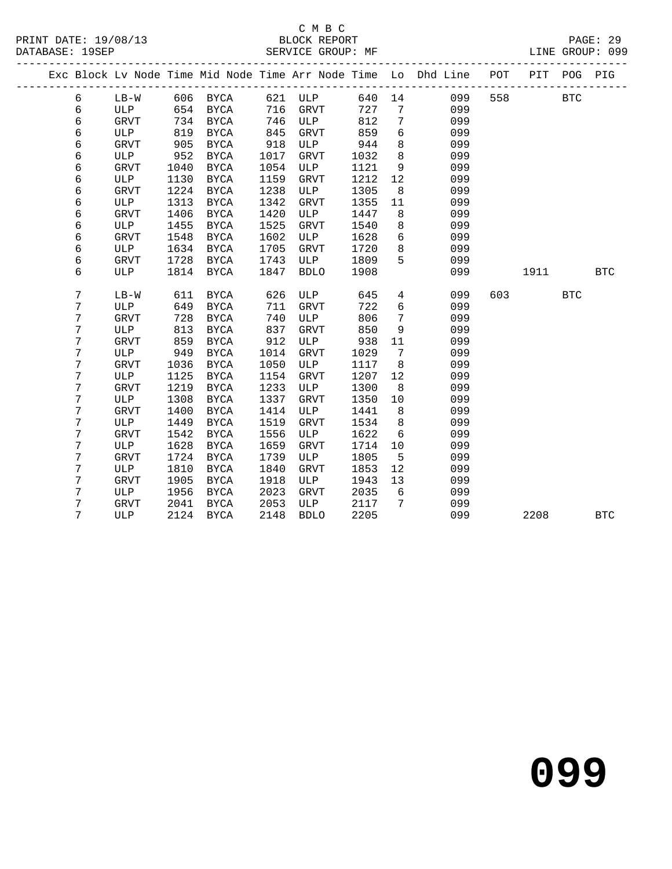### C M B C

|  | DATABASE: 19SEP | -------------------- |      |             |      | SERVICE GROUP: MF |        |                 | LINE GROUP: 099                                                                |          |            |
|--|-----------------|----------------------|------|-------------|------|-------------------|--------|-----------------|--------------------------------------------------------------------------------|----------|------------|
|  |                 |                      |      |             |      |                   |        |                 | Exc Block Lv Node Time Mid Node Time Arr Node Time Lo Dhd Line POT PIT POG PIG |          |            |
|  | 6               |                      |      |             |      |                   |        |                 | LB-W 606 BYCA 621 ULP 640 14 099<br>ULP 654 BYCA 716 GRVT 727 7 099            | 558 BTC  |            |
|  | $\epsilon$      |                      |      |             |      |                   |        |                 |                                                                                |          |            |
|  | $\epsilon$      | GRVT                 |      | 734 BYCA    |      | 746 ULP           | 812    | $7\overline{ }$ | 099                                                                            |          |            |
|  | $\epsilon$      | ULP                  | 819  | BYCA        | 845  | GRVT 859          |        | $6\overline{6}$ | 099                                                                            |          |            |
|  | $\epsilon$      | GRVT                 | 905  | BYCA        | 918  | ULP               | 944    | 8 <sup>8</sup>  | 099                                                                            |          |            |
|  | $\epsilon$      | ULP                  | 952  | BYCA        | 1017 | GRVT              | 1032   | 8 <sup>8</sup>  | 099                                                                            |          |            |
|  | $\epsilon$      | GRVT                 | 1040 | BYCA        | 1054 | ULP               | 1121 9 |                 | 099                                                                            |          |            |
|  | $\epsilon$      | ULP                  | 1130 | BYCA        | 1159 | GRVT              | 1212   | 12              | 099                                                                            |          |            |
|  | $\epsilon$      | <b>GRVT</b>          | 1224 | BYCA        | 1238 | ULP               | 1305   | 8 <sup>8</sup>  | 099                                                                            |          |            |
|  | $\epsilon$      | ULP                  | 1313 | BYCA        | 1342 | GRVT              | 1355   | 11              | 099                                                                            |          |            |
|  | $\epsilon$      | GRVT                 | 1406 | BYCA        | 1420 | ULP               | 1447   | 8               | 099                                                                            |          |            |
|  | $\epsilon$      | ULP                  | 1455 | BYCA        | 1525 | GRVT              | 1540   | 8 <sup>8</sup>  | 099                                                                            |          |            |
|  | $\epsilon$      | GRVT                 | 1548 | BYCA        | 1602 | ULP               | 1628   | $6\overline{6}$ | 099                                                                            |          |            |
|  | $\epsilon$      | ULP                  | 1634 | BYCA        | 1705 | GRVT              | 1720   | 8 <sup>8</sup>  | 099                                                                            |          |            |
|  | $\epsilon$      | GRVT                 | 1728 | BYCA        | 1743 | ULP               | 1809 5 |                 | 099                                                                            |          |            |
|  | 6               | ULP                  |      | 1814 BYCA   | 1847 | <b>BDLO</b>       | 1908   |                 | 099                                                                            | 1911 BTC |            |
|  | 7               | $LB-W$               | 611  | BYCA        | 626  | ULP               | 645    | $4\overline{ }$ | 099                                                                            | 603 BTC  |            |
|  | 7               | ULP                  | 649  | BYCA        | 711  | GRVT              | 722    | 6               | 099                                                                            |          |            |
|  | 7               | <b>GRVT</b>          | 728  | BYCA        | 740  | ULP               | 806    | 7               | 099                                                                            |          |            |
|  | 7               | ULP                  | 813  | BYCA        | 837  | GRVT              | 850    | 9               | 099                                                                            |          |            |
|  | 7               | <b>GRVT</b>          | 859  | BYCA        | 912  | ULP               | 938    | 11              | 099                                                                            |          |            |
|  | 7               | ULP                  | 949  | <b>BYCA</b> | 1014 | GRVT              | 1029   | $7\overline{ }$ | 099                                                                            |          |            |
|  | 7               | GRVT                 | 1036 | BYCA        | 1050 | ULP               | 1117   | 8 <sup>8</sup>  | 099                                                                            |          |            |
|  | 7               | ULP                  | 1125 | BYCA        | 1154 | GRVT              | 1207   | 12              | 099                                                                            |          |            |
|  | 7               | GRVT                 | 1219 | BYCA        | 1233 | ULP               | 1300   | 8 <sup>8</sup>  | 099                                                                            |          |            |
|  | 7               | ULP                  | 1308 | BYCA        | 1337 | GRVT              | 1350   | 10              | 099                                                                            |          |            |
|  | 7               | GRVT                 | 1400 | BYCA        | 1414 | ULP               | 1441   | 8 <sup>8</sup>  | 099                                                                            |          |            |
|  | 7               | ULP                  | 1449 | BYCA        | 1519 | GRVT              | 1534   | 8 <sup>8</sup>  | 099                                                                            |          |            |
|  | 7               | GRVT                 | 1542 | BYCA        | 1556 | ULP               | 1622   | $6\overline{6}$ | 099                                                                            |          |            |
|  | 7               | ULP                  | 1628 | BYCA        | 1659 | GRVT              | 1714   | 10              | 099                                                                            |          |            |
|  | 7               | <b>GRVT</b>          | 1724 | BYCA        | 1739 | ULP               | 1805   | 5 <sup>5</sup>  | 099                                                                            |          |            |
|  | 7               | ULP                  | 1810 | BYCA        | 1840 | GRVT              | 1853   | 12              | 099                                                                            |          |            |
|  | 7               | <b>GRVT</b>          | 1905 | BYCA        | 1918 | ULP               | 1943   | 13              | 099                                                                            |          |            |
|  | 7               | ULP                  | 1956 | BYCA        | 2023 | GRVT              | 2035   | 6               | 099                                                                            |          |            |
|  | 7               | GRVT                 | 2041 | BYCA        | 2053 | ULP               | 2117   | $\overline{7}$  | 099                                                                            |          |            |
|  | 7               | ULP                  |      | 2124 BYCA   | 2148 | <b>BDLO</b>       | 2205   |                 | 099                                                                            | 2208     | <b>BTC</b> |
|  |                 |                      |      |             |      |                   |        |                 |                                                                                |          |            |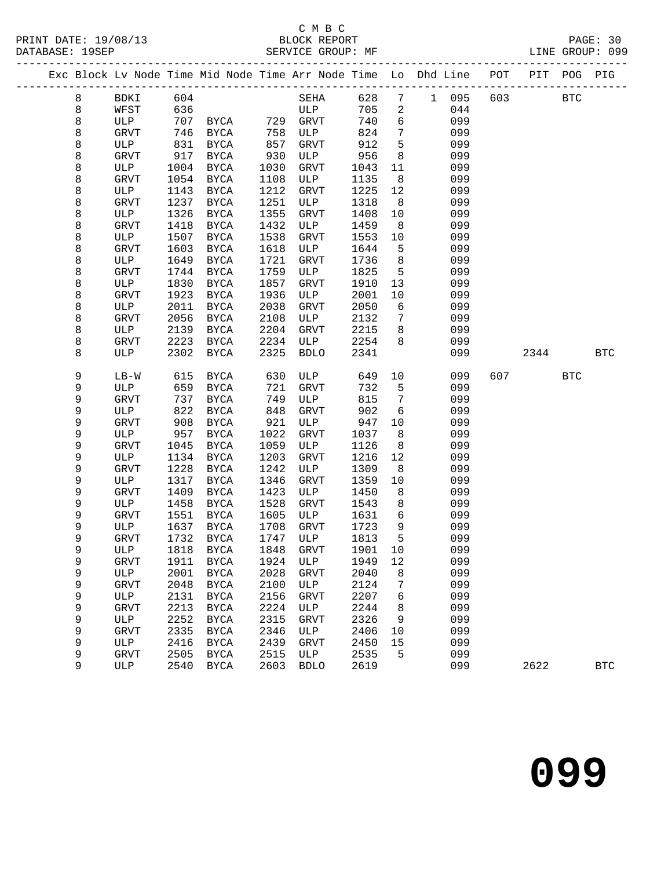#### C M B C<br>BLOCK REPORT SERVICE GROUP: MF

| PRINT DATE: 19/08/13 | BLOCK REPORT      | PAGE:           |  |
|----------------------|-------------------|-----------------|--|
| DATABASE: 19SEP      | SERVICE GROUP: MF | LINE GROUP: 099 |  |

|  |         |             |              |               |              |                             |              |                 | Exc Block Lv Node Time Mid Node Time Arr Node Time Lo Dhd Line POT |     |      | PIT POG PIG  |            |
|--|---------|-------------|--------------|---------------|--------------|-----------------------------|--------------|-----------------|--------------------------------------------------------------------|-----|------|--------------|------------|
|  | 8       | BDKI        | 604          |               |              | SEHA                        | 628          |                 | 7 1 095                                                            | 603 |      | $_{\rm BTC}$ |            |
|  | $\,8\,$ | WFST        | 636          |               |              | ULP                         | 705          | $\overline{2}$  | 044                                                                |     |      |              |            |
|  | 8       | ULP         | 707          | <b>BYCA</b>   |              | 729 GRVT                    | 740          | 6               | 099                                                                |     |      |              |            |
|  | 8       | GRVT        | 746          | BYCA          | 758          | ULP                         | 824          | 7               | 099                                                                |     |      |              |            |
|  | 8       | ULP         | 831          | BYCA          | 857          | GRVT                        | 912          | 5               | 099                                                                |     |      |              |            |
|  | 8       | <b>GRVT</b> | 917          | BYCA          | 930          | ULP                         | 956          | 8               | 099                                                                |     |      |              |            |
|  | 8       | ULP         | 1004         | <b>BYCA</b>   | 1030         | GRVT                        | 1043         | 11              | 099                                                                |     |      |              |            |
|  | 8       | GRVT        | 1054         | BYCA          | 1108         | ULP                         | 1135         | 8               | 099                                                                |     |      |              |            |
|  | 8       | ULP         | 1143         | BYCA          | 1212         | GRVT                        | 1225         | 12              | 099                                                                |     |      |              |            |
|  | 8       | GRVT        | 1237         | $_{\rm BYCA}$ | 1251         | ULP                         | 1318         | 8               | 099                                                                |     |      |              |            |
|  | 8       | ULP         | 1326         | <b>BYCA</b>   | 1355         | GRVT                        | 1408         | 10              | 099                                                                |     |      |              |            |
|  | 8       | GRVT        | 1418         | BYCA          | 1432         | ULP                         | 1459         | 8               | 099                                                                |     |      |              |            |
|  | 8       | ULP         | 1507         | BYCA          | 1538         | GRVT                        | 1553         | 10              | 099                                                                |     |      |              |            |
|  | 8       | GRVT        | 1603         | BYCA          | 1618         | ULP                         | 1644         | 5               | 099                                                                |     |      |              |            |
|  | 8       | ULP         | 1649         | <b>BYCA</b>   | 1721         | GRVT                        | 1736         | 8               | 099                                                                |     |      |              |            |
|  | 8       | GRVT        | 1744         | <b>BYCA</b>   | 1759         | ULP                         | 1825         | 5               | 099                                                                |     |      |              |            |
|  | 8       | ULP         | 1830         | <b>BYCA</b>   | 1857         | GRVT                        | 1910         | 13              | 099                                                                |     |      |              |            |
|  | 8       | GRVT        | 1923         | $_{\rm BYCA}$ | 1936         | ULP                         | 2001         | 10              | 099                                                                |     |      |              |            |
|  | 8       | ULP         | 2011         | BYCA          | 2038         | GRVT                        | 2050         | 6               | 099                                                                |     |      |              |            |
|  | 8       | GRVT        | 2056         | $_{\rm BYCA}$ | 2108         | ULP                         | 2132         | $7\phantom{.0}$ | 099                                                                |     |      |              |            |
|  | 8       | ULP         | 2139         | BYCA          | 2204         | GRVT                        | 2215         | 8               | 099                                                                |     |      |              |            |
|  | 8       | GRVT        | 2223         | BYCA          | 2234         | ULP                         | 2254         | 8               | 099                                                                |     |      |              |            |
|  | 8       | ULP         | 2302         | <b>BYCA</b>   | 2325         | <b>BDLO</b>                 | 2341         |                 | 099                                                                |     | 2344 |              | <b>BTC</b> |
|  |         |             |              |               |              |                             |              |                 |                                                                    |     |      |              |            |
|  | 9       | $LB-W$      | 615          | BYCA          | 630          | ULP                         | 649          | 10              | 099                                                                | 607 |      | <b>BTC</b>   |            |
|  | 9       | ULP         | 659          | BYCA          | 721          | GRVT                        | 732          | 5               | 099                                                                |     |      |              |            |
|  | 9       | <b>GRVT</b> | 737          | BYCA          | 749          | ULP                         | 815          | $7\phantom{.0}$ | 099                                                                |     |      |              |            |
|  | 9       | ULP         | 822          | BYCA          | 848          | GRVT                        | 902          | 6               | 099                                                                |     |      |              |            |
|  | 9       | <b>GRVT</b> | 908          | BYCA          | 921          | ULP                         | 947          | 10              | 099                                                                |     |      |              |            |
|  | 9       | ULP         | 957          | BYCA          | 1022         | GRVT                        | 1037         | 8               | 099                                                                |     |      |              |            |
|  | 9       | GRVT        | 1045         | BYCA          | 1059         | ULP                         | 1126         | 8               | 099                                                                |     |      |              |            |
|  | 9       | ULP         | 1134         | BYCA          | 1203         | GRVT                        | 1216         | 12              | 099                                                                |     |      |              |            |
|  | 9       | GRVT        | 1228         | BYCA          | 1242         | ULP                         | 1309         | 8               | 099                                                                |     |      |              |            |
|  | 9<br>9  | ULP         | 1317<br>1409 | BYCA          | 1346<br>1423 | GRVT                        | 1359         | 10<br>8         | 099                                                                |     |      |              |            |
|  | 9       | GRVT<br>ULP | 1458         | BYCA<br>BYCA  | 1528         | ULP<br>GRVT                 | 1450<br>1543 | 8               | 099<br>099                                                         |     |      |              |            |
|  | 9       | GRVT        | 1551         | BYCA          | 1605         | ULP                         | 1631         | 6               | 099                                                                |     |      |              |            |
|  | 9       | ULP         | 1637         | BYCA          | 1708         | GRVT                        | 1723         | 9               | 099                                                                |     |      |              |            |
|  | 9       | GRVT        | 1732         | <b>BYCA</b>   | 1747         | ULP                         | 1813         | 5               | 099                                                                |     |      |              |            |
|  | 9       | ULP         |              |               |              | 1818 BYCA 1848 GRVT 1901 10 |              |                 | 099                                                                |     |      |              |            |
|  | 9       | <b>GRVT</b> | 1911         | BYCA          | 1924         | ULP                         | 1949         | 12              | 099                                                                |     |      |              |            |
|  | 9       | ULP         | 2001         | BYCA          | 2028         | <b>GRVT</b>                 | 2040         | 8               | 099                                                                |     |      |              |            |
|  | 9       | GRVT        | 2048         | BYCA          | 2100         | ULP                         | 2124         | 7               | 099                                                                |     |      |              |            |
|  | 9       | ULP         | 2131         | <b>BYCA</b>   | 2156         | GRVT                        | 2207         | 6               | 099                                                                |     |      |              |            |
|  | 9       | GRVT        | 2213         | <b>BYCA</b>   | 2224         | ULP                         | 2244         | 8               | 099                                                                |     |      |              |            |
|  | 9       | ULP         | 2252         | <b>BYCA</b>   | 2315         | <b>GRVT</b>                 | 2326         | 9               | 099                                                                |     |      |              |            |
|  | 9       | <b>GRVT</b> | 2335         | <b>BYCA</b>   | 2346         | ULP                         | 2406         | 10              | 099                                                                |     |      |              |            |
|  | 9       | ULP         | 2416         | <b>BYCA</b>   | 2439         | GRVT                        | 2450         | 15              | 099                                                                |     |      |              |            |
|  | 9       | GRVT        | 2505         | <b>BYCA</b>   | 2515         | ULP                         | 2535         | 5               | 099                                                                |     |      |              |            |
|  | 9       | ULP         | 2540         | BYCA          | 2603         | <b>BDLO</b>                 | 2619         |                 | 099                                                                |     | 2622 |              | <b>BTC</b> |
|  |         |             |              |               |              |                             |              |                 |                                                                    |     |      |              |            |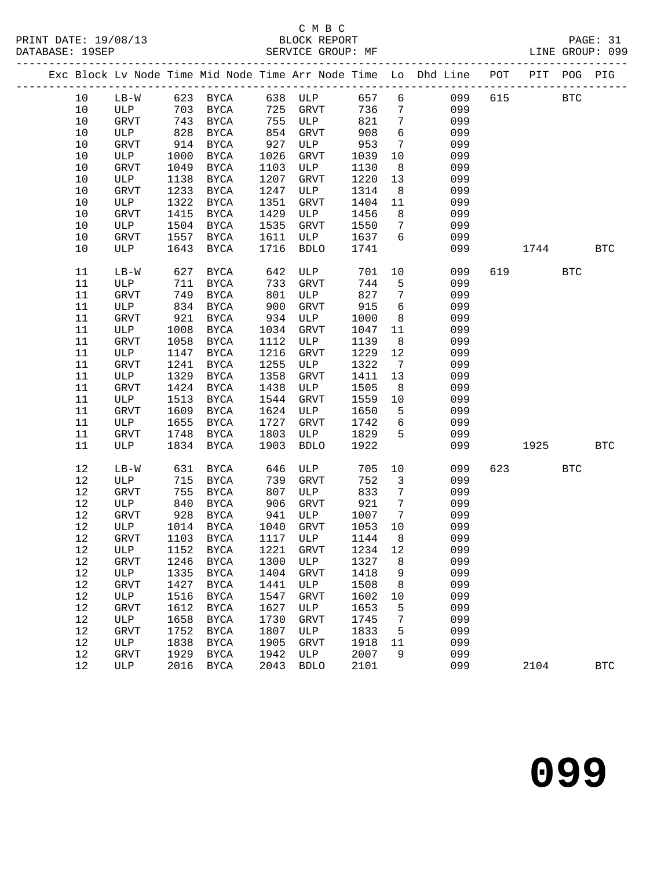### C M B C<br>BLOCK REPORT

| Exc Block Lv Node Time Mid Node Time Arr Node Time Lo Dhd Line POT PIT POG PIG          |            |
|-----------------------------------------------------------------------------------------|------------|
|                                                                                         |            |
| 10 LB-W 623 BYCA 638 ULP 657 6<br>615 BTC<br>099                                        |            |
| 725 GRVT<br>ULP 703<br>$7\overline{ }$<br>10<br>736<br>099<br>BYCA                      |            |
| 755<br>821<br>$\overline{7}$<br>10<br>GRVT 743<br>BYCA<br><b>ULP</b><br>099             |            |
| $6\overline{6}$<br>908<br>828<br>854<br>927<br>099<br>10<br>ULP<br>BYCA<br>GRVT         |            |
| ULP<br>$7\overline{ }$<br>953<br>099<br>10<br>GRVT<br>914<br>BYCA                       |            |
| 1026<br>1039<br>099<br>10<br>ULP<br>1000<br><b>BYCA</b><br>GRVT<br>10                   |            |
| 10<br>GRVT<br>1049<br>BYCA<br>1103<br>ULP<br>1130<br>8 <sup>8</sup><br>099              |            |
| 1207<br>1220<br>13<br>099<br>10<br>ULP<br>1138<br><b>GRVT</b><br>BYCA                   |            |
| 1233<br>1247<br>8 <sup>8</sup><br>099<br>10<br>GRVT<br><b>BYCA</b><br>ULP<br>1314       |            |
| 1322<br>10<br>ULP<br><b>BYCA</b><br>1351<br>GRVT<br>1404<br>11<br>099                   |            |
| 1429<br>8<br>10<br>GRVT<br>1415<br><b>BYCA</b><br>ULP<br>1456<br>099                    |            |
| 1535<br>$7\phantom{.0}$<br>099<br>10<br>ULP<br>1504<br><b>BYCA</b><br>GRVT<br>1550      |            |
| 6<br>1637<br>10<br>GRVT<br>1557<br><b>BYCA</b><br>1611<br>ULP<br>099                    |            |
| 1741<br>10<br>ULP<br>1643<br><b>BYCA</b><br>1716<br><b>BDLO</b><br>099<br>1744          | <b>BTC</b> |
| 11<br>627<br>BYCA<br>642<br>ULP<br>701<br>10<br>099<br>619<br>$LB-W$                    | <b>BTC</b> |
| 733<br>744<br>5<br>099<br>11<br>ULP<br>711<br>BYCA<br>GRVT                              |            |
| 11<br>749<br>801<br>ULP<br>827<br>$7\phantom{.0}$<br>099<br>GRVT<br>BYCA                |            |
| 6<br>900<br>915<br>11<br>ULP<br>834<br>BYCA<br>GRVT<br>099                              |            |
| 921<br>934<br>ULP<br>1000<br>8<br>11<br>GRVT<br><b>BYCA</b><br>099                      |            |
| 11<br>ULP<br>1008<br>1034<br>GRVT<br>11<br>099<br>BYCA<br>1047                          |            |
| 11<br>1058<br>1112<br>1139<br>8<br>099<br>GRVT<br><b>BYCA</b><br>ULP                    |            |
| 11<br>1147<br>1216<br>1229<br>12<br>099<br>ULP<br><b>BYCA</b><br>GRVT                   |            |
| 1241<br>1255<br>1322<br>099<br>11<br>GRVT<br><b>BYCA</b><br>ULP<br>$\overline{7}$       |            |
| 1329<br>1358<br>13<br>099<br>11<br>ULP<br><b>BYCA</b><br>GRVT<br>1411                   |            |
| 11<br>1438<br>8 <sup>8</sup><br>GRVT<br>1424<br><b>BYCA</b><br>ULP<br>1505<br>099       |            |
| 1559<br>11<br>ULP<br>1513<br><b>BYCA</b><br>1544<br>GRVT<br>10<br>099                   |            |
| 1624<br>5<br>11<br>GRVT<br>1609<br><b>BYCA</b><br>ULP<br>1650<br>099                    |            |
| 1727<br>6<br>1655<br>1742<br>099<br>11<br>ULP<br><b>BYCA</b><br>GRVT                    |            |
| 5<br>1829<br>11<br>1748<br>BYCA<br>1803<br>ULP<br>099<br>GRVT                           |            |
| 1834<br>1903<br>1922<br>11<br>ULP<br>BYCA<br><b>BDLO</b><br>099<br>1925 — 1925          | <b>BTC</b> |
| 12<br>705<br>10<br>623 and the set of $\sim$<br>$LB-W$<br>631<br>BYCA<br>ULP<br>099     | <b>BTC</b> |
| 646<br>739<br>752<br>$\overline{\mathbf{3}}$<br>12<br>715<br>099<br>ULP<br>BYCA<br>GRVT |            |
| 807<br>833<br>12<br>755<br>$\overline{7}$<br>GRVT<br>BYCA<br>ULP<br>099                 |            |
| $\overline{7}$<br>906<br>921<br>12<br>ULP<br>840<br>BYCA<br>GRVT<br>099                 |            |
| 12<br>941<br>ULP<br>1007<br>$\overline{7}$<br>GRVT<br>928<br><b>BYCA</b><br>099         |            |
| 12 ULP 1014 BYCA 1040 GRVT 1053 10<br>099                                               |            |
| 12<br>1117<br>1144<br>8<br>099<br>GRVT<br>1103<br><b>BYCA</b><br>ULP                    |            |
| 12<br>1221<br>1234<br>099<br>ULP<br>1152<br><b>BYCA</b><br><b>GRVT</b><br>12            |            |
| 12<br>1300<br>1327<br>099<br>GRVT<br>1246<br><b>BYCA</b><br>ULP<br>8                    |            |
| 12<br>1335<br>1404<br>1418<br>9<br>099<br>ULP<br><b>BYCA</b><br><b>GRVT</b>             |            |
| 12<br>1427<br>1441<br>1508<br>099<br><b>GRVT</b><br><b>BYCA</b><br>ULP<br>8             |            |
| 12<br>1547<br>099<br>ULP<br>1516<br><b>BYCA</b><br><b>GRVT</b><br>1602<br>10            |            |
| 12<br>1612<br>1627<br>099<br><b>GRVT</b><br><b>BYCA</b><br>$_{\rm ULP}$<br>1653<br>5    |            |
| 12<br>1658<br>1730<br>GRVT<br>1745<br>7<br>099<br>ULP<br><b>BYCA</b>                    |            |
| 12<br>1752<br>1807<br>1833<br>099<br><b>GRVT</b><br><b>BYCA</b><br>ULP<br>5             |            |
| 12<br>1905<br>099<br>ULP<br>1838<br><b>BYCA</b><br><b>GRVT</b><br>1918<br>11            |            |
| 12<br>1929<br>1942<br>2007<br>099<br><b>GRVT</b><br><b>BYCA</b><br>ULP<br>9             |            |
| $12$<br>2016<br>2043<br>2101<br>099<br><b>ULP</b><br><b>BYCA</b><br><b>BDLO</b><br>2104 | <b>BTC</b> |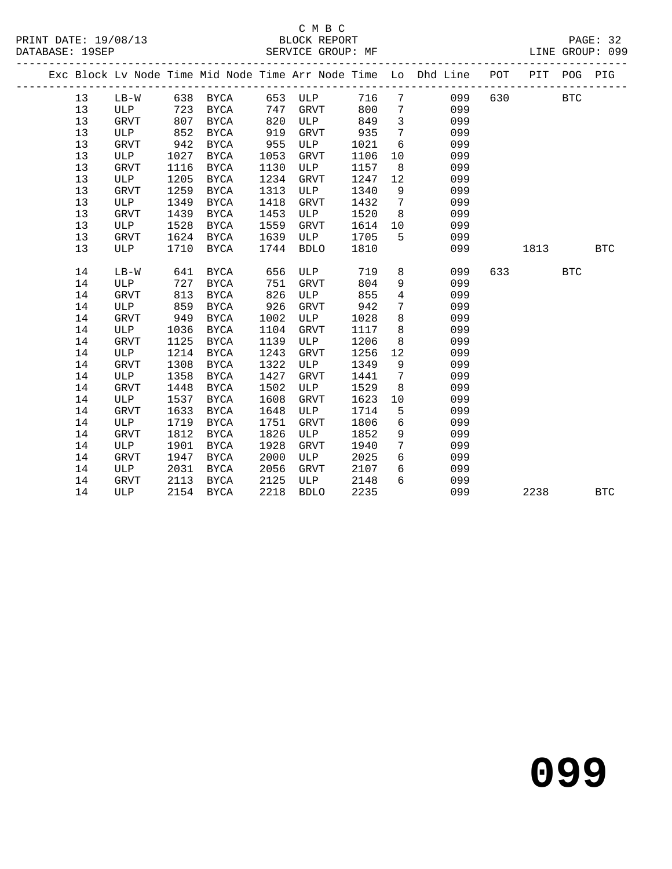### C M B C<br>BLOCK REPORT

| PRINT DATE: 19/08/13<br>DATABASE: 19SEP<br>----------- |    |             |      | The SERVICE GROUP: ME SERVICE GROUP: ME |      |             |      |                 |                                                                                |     | PAGE: 32<br>LINE GROUP: 099 |            |            |
|--------------------------------------------------------|----|-------------|------|-----------------------------------------|------|-------------|------|-----------------|--------------------------------------------------------------------------------|-----|-----------------------------|------------|------------|
|                                                        |    |             |      |                                         |      |             |      |                 | Exc Block Lv Node Time Mid Node Time Arr Node Time Lo Dhd Line POT PIT POG PIG |     |                             |            |            |
|                                                        | 13 | LB-W        |      | 638 BYCA                                | 653  | ULP         | 716  | $7\overline{ }$ | 099                                                                            | 630 |                             | <b>BTC</b> |            |
|                                                        | 13 | ULP         | 723  | BYCA                                    | 747  | GRVT        | 800  | $7\overline{ }$ | 099                                                                            |     |                             |            |            |
|                                                        | 13 | GRVT        | 807  | <b>BYCA</b>                             | 820  | ULP         | 849  | $\overline{3}$  | 099                                                                            |     |                             |            |            |
|                                                        | 13 | ULP         | 852  | <b>BYCA</b>                             | 919  | GRVT        | 935  | $7\overline{ }$ | 099                                                                            |     |                             |            |            |
|                                                        | 13 | <b>GRVT</b> | 942  | <b>BYCA</b>                             | 955  | ULP         | 1021 | 6               | 099                                                                            |     |                             |            |            |
|                                                        | 13 | <b>ULP</b>  | 1027 | <b>BYCA</b>                             | 1053 | <b>GRVT</b> | 1106 | 10              | 099                                                                            |     |                             |            |            |
|                                                        | 13 | GRVT        | 1116 | <b>BYCA</b>                             | 1130 | ULP         | 1157 | 8               | 099                                                                            |     |                             |            |            |
|                                                        | 13 | ULP         | 1205 | BYCA                                    | 1234 | GRVT        | 1247 | 12              | 099                                                                            |     |                             |            |            |
|                                                        | 13 | <b>GRVT</b> | 1259 | <b>BYCA</b>                             | 1313 | ULP         | 1340 | 9               | 099                                                                            |     |                             |            |            |
|                                                        | 13 | ULP         | 1349 | <b>BYCA</b>                             | 1418 | <b>GRVT</b> | 1432 | $7\overline{ }$ | 099                                                                            |     |                             |            |            |
|                                                        | 13 | GRVT        | 1439 | BYCA                                    | 1453 | ULP         | 1520 | 8               | 099                                                                            |     |                             |            |            |
|                                                        | 13 | ULP         | 1528 | BYCA                                    | 1559 | <b>GRVT</b> | 1614 | 10              | 099                                                                            |     |                             |            |            |
|                                                        | 13 | GRVT        | 1624 | BYCA                                    | 1639 | ULP         | 1705 | 5               | 099                                                                            |     |                             |            |            |
|                                                        | 13 | ULP         | 1710 | <b>BYCA</b>                             | 1744 | <b>BDLO</b> | 1810 |                 | 099                                                                            |     | 1813                        |            | <b>BTC</b> |
|                                                        | 14 | $LB-W$      | 641  | BYCA                                    | 656  | ULP         | 719  |                 | 8<br>099                                                                       | 633 |                             | <b>BTC</b> |            |
|                                                        | 14 | ULP         | 727  | <b>BYCA</b>                             | 751  | GRVT        | 804  | 9               | 099                                                                            |     |                             |            |            |
|                                                        | 14 | GRVT        | 813  | <b>BYCA</b>                             | 826  | ULP         | 855  | $4\overline{ }$ | 099                                                                            |     |                             |            |            |
|                                                        | 14 | ULP         | 859  | <b>BYCA</b>                             | 926  | GRVT        | 942  | $7\phantom{.0}$ | 099                                                                            |     |                             |            |            |
|                                                        | 14 | GRVT        | 949  | <b>BYCA</b>                             | 1002 | ULP         | 1028 | 8               | 099                                                                            |     |                             |            |            |
|                                                        | 14 | ULP         | 1036 | <b>BYCA</b>                             | 1104 | GRVT        | 1117 | 8               | 099                                                                            |     |                             |            |            |
|                                                        | 14 | GRVT        | 1125 | <b>BYCA</b>                             | 1139 | ULP         | 1206 | 8               | 099                                                                            |     |                             |            |            |
|                                                        | 14 | ULP         | 1214 | <b>BYCA</b>                             | 1243 | <b>GRVT</b> | 1256 | 12              | 099                                                                            |     |                             |            |            |
|                                                        | 14 | <b>GRVT</b> | 1308 | <b>BYCA</b>                             | 1322 | ULP         | 1349 | 9               | 099                                                                            |     |                             |            |            |
|                                                        | 14 | ULP         | 1358 | <b>BYCA</b>                             | 1427 | <b>GRVT</b> | 1441 | $7\phantom{.0}$ | 099                                                                            |     |                             |            |            |
|                                                        | 14 | <b>GRVT</b> | 1448 | <b>BYCA</b>                             | 1502 | ULP         | 1529 | 8               | 099                                                                            |     |                             |            |            |
|                                                        | 14 | ULP         | 1537 | <b>BYCA</b>                             | 1608 | <b>GRVT</b> | 1623 | 10              | 099                                                                            |     |                             |            |            |
|                                                        | 14 | <b>GRVT</b> | 1633 | <b>BYCA</b>                             | 1648 | ULP         | 1714 | 5               | 099                                                                            |     |                             |            |            |
|                                                        | 14 | ULP         | 1719 | <b>BYCA</b>                             | 1751 | <b>GRVT</b> | 1806 | 6               | 099                                                                            |     |                             |            |            |
|                                                        | 14 | <b>GRVT</b> | 1812 | <b>BYCA</b>                             | 1826 | ULP         | 1852 | 9               | 099                                                                            |     |                             |            |            |
|                                                        | 14 | ULP         | 1901 | <b>BYCA</b>                             | 1928 | <b>GRVT</b> | 1940 | $7\phantom{.0}$ | 099                                                                            |     |                             |            |            |
|                                                        | 14 | GRVT        | 1947 | BYCA                                    | 2000 | ULP         | 2025 | 6               | 099                                                                            |     |                             |            |            |
|                                                        | 14 | ULP         | 2031 | <b>BYCA</b>                             | 2056 | <b>GRVT</b> | 2107 | 6               | 099                                                                            |     |                             |            |            |

14 GRVT 2113 BYCA 2125 ULP 2148 6 099

14 ULP 2154 BYCA 2218 BDLO 2235 099 2238 BTC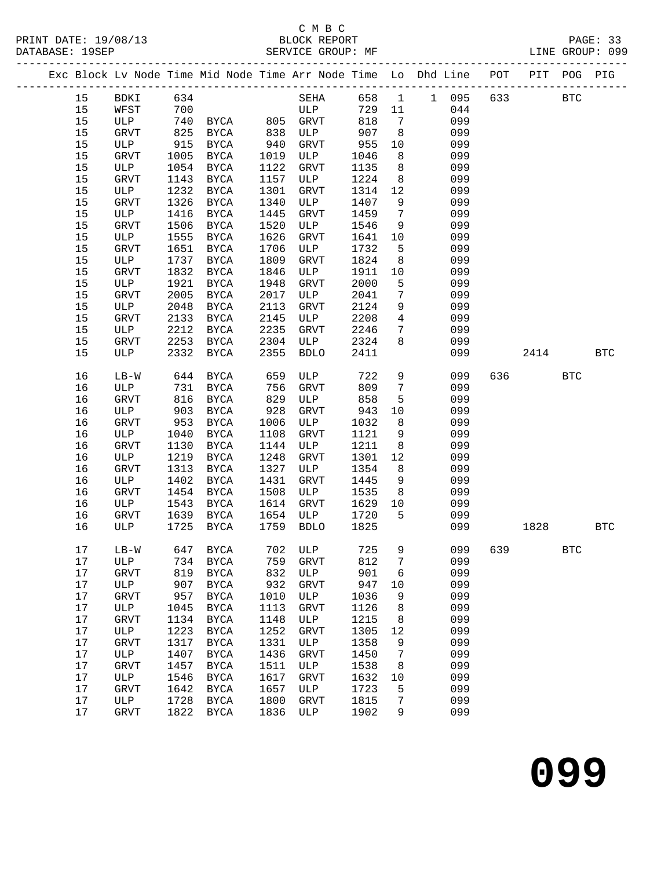#### C M B C<br>BLOCK REPORT SERVICE GROUP: MF

| PRINT DATE: 19/08/13 | BLOCK REPORT           | $\mathtt{PAGE}$ : |  |
|----------------------|------------------------|-------------------|--|
| DATABASE: 19SEP      | SERVICE GROUP: .<br>МF | LINE GROUP: 099   |  |

|      |              |      |                           |      |             |        |                 | Exc Block Lv Node Time Mid Node Time Arr Node Time Lo Dhd Line POT PIT POG PIG |         |      |            |            |
|------|--------------|------|---------------------------|------|-------------|--------|-----------------|--------------------------------------------------------------------------------|---------|------|------------|------------|
| 15   | BDKI 634     |      |                           |      |             |        |                 | SEHA 658 1 1 095                                                               | 633     |      | <b>BTC</b> |            |
| 15   | WFST         | 700  |                           |      | ULP         | 729 11 |                 | 044                                                                            |         |      |            |            |
| 15   | ULP          |      | 740 BYCA 805 GRVT         |      |             | 818    | $\overline{7}$  | 099                                                                            |         |      |            |            |
| 15   | GRVT         | 825  | BYCA                      | 838  | ULP         | 907    | 8               | 099                                                                            |         |      |            |            |
| 15   | ULP          | 915  | BYCA                      | 940  | GRVT        | 955    | 10              | 099                                                                            |         |      |            |            |
| 15   | GRVT         | 1005 | BYCA                      | 1019 | ULP         | 1046   | 8 <sup>8</sup>  | 099                                                                            |         |      |            |            |
| 15   | ULP          | 1054 | BYCA                      | 1122 | GRVT        | 1135   | 8 <sup>8</sup>  | 099                                                                            |         |      |            |            |
| 15   | GRVT         | 1143 | BYCA                      | 1157 | ULP         | 1224   | 8 <sup>8</sup>  | 099                                                                            |         |      |            |            |
| 15   | ULP          | 1232 | BYCA                      | 1301 | GRVT        | 1314   | 12              | 099                                                                            |         |      |            |            |
| 15   | GRVT         | 1326 | <b>BYCA</b>               | 1340 | ULP         | 1407   | 9               | 099                                                                            |         |      |            |            |
| 15   | ULP          | 1416 | BYCA                      | 1445 | GRVT        | 1459   | $7\overline{ }$ | 099                                                                            |         |      |            |            |
| 15   | GRVT         | 1506 | BYCA                      | 1520 | ULP         | 1546   | 9               | 099                                                                            |         |      |            |            |
| 15   | ULP          | 1555 | BYCA                      | 1626 | GRVT        | 1641   | 10              | 099                                                                            |         |      |            |            |
| 15   | GRVT         | 1651 | <b>BYCA</b>               | 1706 | ULP         | 1732   | $5\overline{)}$ | 099                                                                            |         |      |            |            |
| $15$ | ULP          | 1737 | BYCA                      | 1809 | GRVT        | 1824   | 8 <sup>8</sup>  | 099                                                                            |         |      |            |            |
| 15   | GRVT         | 1832 | BYCA                      | 1846 | ULP         | 1911   | 10              | 099                                                                            |         |      |            |            |
| 15   | ULP          | 1921 | <b>BYCA</b>               | 1948 | GRVT        | 2000   | 5               | 099                                                                            |         |      |            |            |
| 15   | GRVT         | 2005 | BYCA                      | 2017 | ULP         | 2041   | $7\phantom{.0}$ | 099                                                                            |         |      |            |            |
| 15   | ULP          | 2048 | BYCA                      | 2113 | GRVT        | 2124   | 9               | 099                                                                            |         |      |            |            |
| 15   | GRVT         | 2133 | <b>BYCA</b>               | 2145 | ULP         | 2208   | $\overline{4}$  | 099                                                                            |         |      |            |            |
| 15   | ULP          | 2212 | BYCA                      | 2235 | GRVT        | 2246   | $7\overline{ }$ | 099                                                                            |         |      |            |            |
| 15   | GRVT         | 2253 | BYCA                      | 2304 | ULP         | 2324   | 8               | 099                                                                            |         |      |            |            |
| 15   | ULP          | 2332 | BYCA                      | 2355 | <b>BDLO</b> | 2411   |                 | 099                                                                            |         | 2414 |            | <b>BTC</b> |
| 16   | $LB-W$       | 644  | BYCA                      | 659  | ULP         | 722    | 9               | 099                                                                            | 636     |      | <b>BTC</b> |            |
| 16   | ULP          | 731  | BYCA                      | 756  | GRVT        | 809    | $7\phantom{.0}$ | 099                                                                            |         |      |            |            |
| 16   | GRVT         | 816  | BYCA                      | 829  | ULP         | 858    | 5               | 099                                                                            |         |      |            |            |
| 16   | ULP          | 903  | BYCA                      | 928  | GRVT        | 943    | 10              | 099                                                                            |         |      |            |            |
| 16   | GRVT         | 953  | BYCA                      | 1006 | ULP         | 1032   | 8               | 099                                                                            |         |      |            |            |
| 16   | ULP          | 1040 | BYCA                      | 1108 | GRVT        | 1121   | 9               | 099                                                                            |         |      |            |            |
| 16   | GRVT         | 1130 | <b>BYCA</b>               | 1144 | ULP         | 1211   | 8               | 099                                                                            |         |      |            |            |
| 16   | ULP          | 1219 | BYCA                      | 1248 | GRVT        | 1301   | 12              | 099                                                                            |         |      |            |            |
| 16   | GRVT         | 1313 | BYCA                      | 1327 | ULP         | 1354   | 8               | 099                                                                            |         |      |            |            |
| 16   | ULP          | 1402 | BYCA                      | 1431 | GRVT        | 1445   | 9               | 099                                                                            |         |      |            |            |
| 16   | GRVT         | 1454 | BYCA                      | 1508 | ULP         | 1535   | 8 <sup>8</sup>  | 099                                                                            |         |      |            |            |
| 16   | ULP          | 1543 | BYCA                      | 1614 | GRVT        | 1629   | 10              | 099                                                                            |         |      |            |            |
| 16   | GRVT         | 1639 | BYCA                      | 1654 | ULP         | 1720   | 5               | 099                                                                            |         |      |            |            |
| 16   | ULP          | 1725 | BYCA                      | 1759 | <b>BDLO</b> | 1825   |                 | 099                                                                            |         | 1828 |            | <b>BTC</b> |
| 17   |              |      | LB-W 647 BYCA 702 ULP 725 |      |             |        |                 | $9 \left( \frac{1}{2} \right)$                                                 | 099 639 |      | <b>BTC</b> |            |
| 17   | ULP          | 734  | BYCA                      | 759  | <b>GRVT</b> | 812    | 7               | 099                                                                            |         |      |            |            |
| $17$ | GRVT         | 819  | <b>BYCA</b>               | 832  | ULP         | 901    | 6               | 099                                                                            |         |      |            |            |
| $17$ | ULP          | 907  | <b>BYCA</b>               | 932  | GRVT        | 947    | 10              | 099                                                                            |         |      |            |            |
| $17$ | GRVT         | 957  | <b>BYCA</b>               | 1010 | ULP         | 1036   | 9               | 099                                                                            |         |      |            |            |
| 17   | ULP          | 1045 | <b>BYCA</b>               | 1113 | GRVT        | 1126   | 8               | 099                                                                            |         |      |            |            |
| $17$ | <b>GRVT</b>  | 1134 | <b>BYCA</b>               | 1148 | ULP         | 1215   | 8               | 099                                                                            |         |      |            |            |
| $17$ | $_{\rm ULP}$ | 1223 | BYCA                      | 1252 | GRVT        | 1305   | 12              | 099                                                                            |         |      |            |            |
| $17$ | GRVT         | 1317 | <b>BYCA</b>               | 1331 | ULP         | 1358   | $\,9$           | 099                                                                            |         |      |            |            |
| $17$ | ULP          | 1407 | <b>BYCA</b>               | 1436 | <b>GRVT</b> | 1450   | 7               | 099                                                                            |         |      |            |            |
| $17$ | GRVT         | 1457 | <b>BYCA</b>               | 1511 | ULP         | 1538   | 8               | 099                                                                            |         |      |            |            |
| $17$ | ULP          | 1546 | BYCA                      | 1617 | GRVT        | 1632   | 10              | 099                                                                            |         |      |            |            |
| $17$ | GRVT         | 1642 | <b>BYCA</b>               | 1657 | ULP         | 1723   | 5               | 099                                                                            |         |      |            |            |
| 17   | ULP          | 1728 | <b>BYCA</b>               | 1800 | GRVT        | 1815   | 7               | 099                                                                            |         |      |            |            |
| 17   | <b>GRVT</b>  | 1822 | <b>BYCA</b>               | 1836 | ULP         | 1902   | 9               | 099                                                                            |         |      |            |            |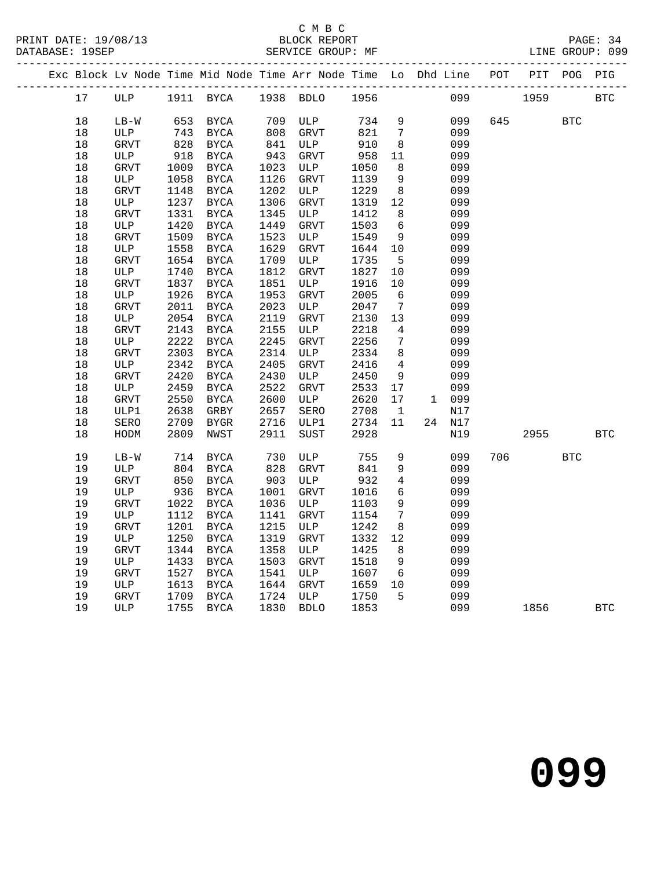|                      | C M B C           |                 |
|----------------------|-------------------|-----------------|
| PRINT DATE: 19/08/13 | BLOCK REPORT      | PAGE: 34        |
| DATABASE: 19SEP      | SERVICE GROUP: MF | LINE GROUP: 099 |

| PAGE. |
|-------|
|       |

|  |        | Exc Block Lv Node Time Mid Node Time Arr Node Time Lo Dhd Line POT PIT POG PIG |      |               |      |              |                |                 |        |           |      |            |            |
|--|--------|--------------------------------------------------------------------------------|------|---------------|------|--------------|----------------|-----------------|--------|-----------|------|------------|------------|
|  | 17     | ULP 1911 BYCA                                                                  |      |               |      |              | 1938 BDLO 1956 |                 |        | 099 — 100 | 1959 |            | <b>BTC</b> |
|  | 18     | $LB-W$                                                                         | 653  | BYCA          | 709  | ULP          | 734            | 9               | 099    | 645       |      | <b>BTC</b> |            |
|  | $18\,$ | ULP                                                                            | 743  | <b>BYCA</b>   | 808  | <b>GRVT</b>  | 821            | $7\overline{ }$ | 099    |           |      |            |            |
|  | 18     | GRVT                                                                           | 828  | BYCA          | 841  | ULP          | 910            | 8               | 099    |           |      |            |            |
|  | 18     | ULP                                                                            | 918  | BYCA          | 943  | GRVT         | 958            | 11              | 099    |           |      |            |            |
|  | 18     | GRVT                                                                           | 1009 | BYCA          | 1023 | ULP          | 1050           | 8               | 099    |           |      |            |            |
|  | $18\,$ | ULP                                                                            | 1058 | $_{\rm BYCA}$ | 1126 | <b>GRVT</b>  | 1139           | 9               | 099    |           |      |            |            |
|  | 18     | GRVT                                                                           | 1148 | BYCA          | 1202 | ULP          | 1229           | 8               | 099    |           |      |            |            |
|  | 18     | ULP                                                                            | 1237 | BYCA          | 1306 | GRVT         | 1319           | 12              | 099    |           |      |            |            |
|  | 18     | GRVT                                                                           | 1331 | BYCA          | 1345 | ULP          | 1412           | 8               | 099    |           |      |            |            |
|  | 18     | ULP                                                                            | 1420 | $_{\rm BYCA}$ | 1449 | GRVT         | 1503           | 6               | 099    |           |      |            |            |
|  | $18$   | <b>GRVT</b>                                                                    | 1509 | BYCA          | 1523 | ULP          | 1549           | 9               | 099    |           |      |            |            |
|  | $18$   | ULP                                                                            | 1558 | BYCA          | 1629 | <b>GRVT</b>  | 1644           | 10              | 099    |           |      |            |            |
|  | 18     | <b>GRVT</b>                                                                    | 1654 | BYCA          | 1709 | ULP          | 1735           | 5               | 099    |           |      |            |            |
|  | 18     | ULP                                                                            | 1740 | BYCA          | 1812 | <b>GRVT</b>  | 1827           | 10              | 099    |           |      |            |            |
|  | $18\,$ | GRVT                                                                           | 1837 | $_{\rm BYCA}$ | 1851 | ULP          | 1916           | 10              | 099    |           |      |            |            |
|  | $18\,$ | ULP                                                                            | 1926 | BYCA          | 1953 | GRVT         | 2005           | 6               | 099    |           |      |            |            |
|  | 18     | GRVT                                                                           | 2011 | <b>BYCA</b>   | 2023 | ULP          | 2047           | $7\overline{ }$ | 099    |           |      |            |            |
|  | $18$   | ULP                                                                            | 2054 | BYCA          | 2119 | GRVT         | 2130           | 13              | 099    |           |      |            |            |
|  | 18     | <b>GRVT</b>                                                                    | 2143 | BYCA          | 2155 | ULP          | 2218           | $\overline{4}$  | 099    |           |      |            |            |
|  | $18\,$ | ULP                                                                            | 2222 | <b>BYCA</b>   | 2245 | ${\tt GRVT}$ | 2256           | $\overline{7}$  | 099    |           |      |            |            |
|  | $18\,$ | GRVT                                                                           | 2303 | BYCA          | 2314 | ULP          | 2334           | 8               | 099    |           |      |            |            |
|  | 18     | $_{\rm ULP}$                                                                   | 2342 | <b>BYCA</b>   | 2405 | GRVT         | 2416           | $\overline{4}$  | 099    |           |      |            |            |
|  | 18     | GRVT                                                                           | 2420 | BYCA          | 2430 | ULP          | 2450           | 9               | 099    |           |      |            |            |
|  | $18\,$ | ULP                                                                            | 2459 | $_{\rm BYCA}$ | 2522 | <b>GRVT</b>  | 2533           | 17              | 099    |           |      |            |            |
|  | $18\,$ | <b>GRVT</b>                                                                    | 2550 | <b>BYCA</b>   | 2600 | ULP          | 2620           | 17              | 1 099  |           |      |            |            |
|  | $18\,$ | ULP1                                                                           | 2638 | GRBY          | 2657 | SERO         | 2708           | $\mathbf{1}$    | N17    |           |      |            |            |
|  | $18\,$ | SERO                                                                           | 2709 | BYGR          | 2716 | ULP1         | 2734           | 11              | 24 N17 |           |      |            |            |
|  | 18     | HODM                                                                           | 2809 | NWST          | 2911 | SUST         | 2928           |                 | N19    |           | 2955 |            | <b>BTC</b> |
|  | 19     | $LB-W$                                                                         | 714  | $_{\rm BYCA}$ | 730  | ULP          | 755            | 9               | 099    | 706       |      | <b>BTC</b> |            |
|  | 19     | ULP                                                                            | 804  | $_{\rm BYCA}$ | 828  | GRVT         | 841            | 9               | 099    |           |      |            |            |
|  | 19     | <b>GRVT</b>                                                                    | 850  | BYCA          | 903  | ULP          | 932            | $\overline{4}$  | 099    |           |      |            |            |
|  | 19     | ULP                                                                            | 936  | <b>BYCA</b>   | 1001 | <b>GRVT</b>  | 1016           | 6               | 099    |           |      |            |            |
|  | 19     | GRVT                                                                           | 1022 | BYCA          | 1036 | ULP          | 1103           | 9               | 099    |           |      |            |            |
|  | 19     | ULP                                                                            | 1112 | <b>BYCA</b>   | 1141 | <b>GRVT</b>  | 1154           | $7\phantom{.0}$ | 099    |           |      |            |            |
|  | 19     | <b>GRVT</b>                                                                    | 1201 | <b>BYCA</b>   | 1215 | ULP          | 1242           | 8               | 099    |           |      |            |            |
|  | 19     | ULP                                                                            | 1250 | BYCA          | 1319 | GRVT         | 1332           | $12$            | 099    |           |      |            |            |
|  | 19     | <b>GRVT</b>                                                                    | 1344 | BYCA          | 1358 | ULP          | 1425           | 8               | 099    |           |      |            |            |
|  | 19     | ULP                                                                            | 1433 | $_{\rm BYCA}$ | 1503 | <b>GRVT</b>  | 1518           | 9               | 099    |           |      |            |            |
|  | 19     | GRVT                                                                           | 1527 | $_{\rm BYCA}$ | 1541 | ULP          | 1607           | 6               | 099    |           |      |            |            |
|  | 19     | ULP                                                                            | 1613 | BYCA          | 1644 | GRVT         | 1659           | 10              | 099    |           |      |            |            |
|  | 19     | <b>GRVT</b>                                                                    | 1709 | <b>BYCA</b>   | 1724 | ULP          | 1750           | 5               | 099    |           |      |            |            |
|  | 19     | ULP                                                                            | 1755 | BYCA          | 1830 | <b>BDLO</b>  | 1853           |                 | 099    |           | 1856 |            | <b>BTC</b> |
|  |        |                                                                                |      |               |      |              |                |                 |        |           |      |            |            |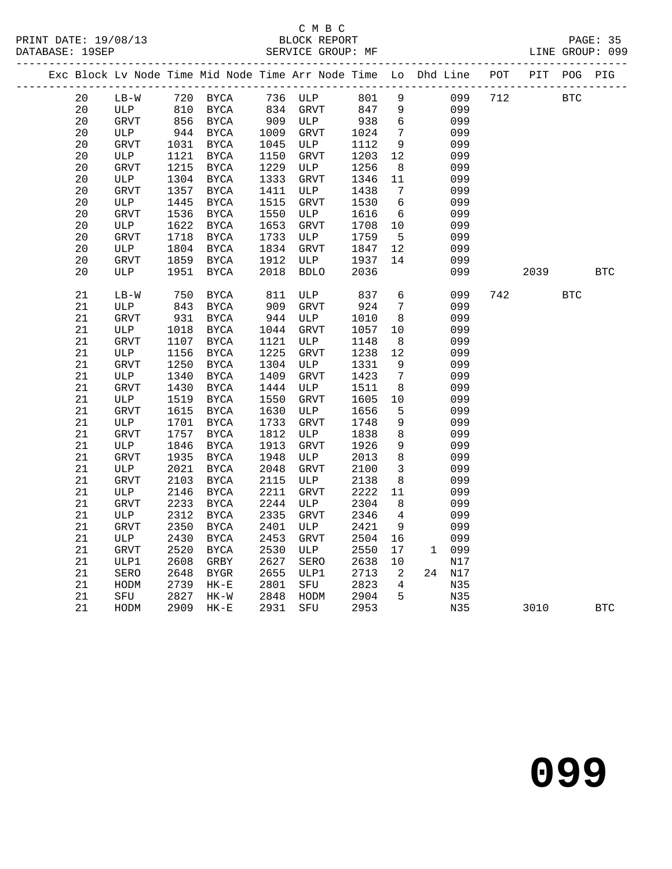### C M B C

|  | DATABASE: 19SEP |              |      |               |      | SERVICE GROUP: MF                                              |      |                 |              |     |     |      |            | LINE GROUP: 099 |
|--|-----------------|--------------|------|---------------|------|----------------------------------------------------------------|------|-----------------|--------------|-----|-----|------|------------|-----------------|
|  |                 |              |      |               |      | Exc Block Lv Node Time Mid Node Time Arr Node Time Lo Dhd Line |      |                 |              |     | POT | PIT  | POG PIG    |                 |
|  | 20              | $LB-W$       | 720  | BYCA          | 736  | ULP                                                            | 801  | $\mathsf 9$     |              | 099 | 712 |      | <b>BTC</b> |                 |
|  | 20              | ULP          | 810  | <b>BYCA</b>   | 834  | <b>GRVT</b>                                                    | 847  | 9               |              | 099 |     |      |            |                 |
|  | 20              | GRVT         | 856  | <b>BYCA</b>   | 909  | ULP                                                            | 938  | 6               |              | 099 |     |      |            |                 |
|  | 20              | ULP          | 944  | BYCA          | 1009 | GRVT                                                           | 1024 | $7\phantom{.0}$ |              | 099 |     |      |            |                 |
|  | 20              | GRVT         | 1031 | BYCA          | 1045 | ULP                                                            | 1112 | 9               |              | 099 |     |      |            |                 |
|  | 20              | ULP          | 1121 | BYCA          | 1150 | <b>GRVT</b>                                                    | 1203 | 12              |              | 099 |     |      |            |                 |
|  | 20              | ${\tt GRVT}$ | 1215 | <b>BYCA</b>   | 1229 | ULP                                                            | 1256 | 8               |              | 099 |     |      |            |                 |
|  | 20              | ULP          | 1304 | BYCA          | 1333 | GRVT                                                           | 1346 | 11              |              | 099 |     |      |            |                 |
|  | 20              | <b>GRVT</b>  | 1357 | <b>BYCA</b>   | 1411 | ULP                                                            | 1438 | 7               |              | 099 |     |      |            |                 |
|  | 20              | ULP          | 1445 | <b>BYCA</b>   | 1515 | GRVT                                                           | 1530 | 6               |              | 099 |     |      |            |                 |
|  | 20              | GRVT         | 1536 | <b>BYCA</b>   | 1550 | ULP                                                            | 1616 | 6               |              | 099 |     |      |            |                 |
|  | 20              | ULP          | 1622 | <b>BYCA</b>   | 1653 | GRVT                                                           | 1708 | 10              |              | 099 |     |      |            |                 |
|  | 20              | <b>GRVT</b>  | 1718 | <b>BYCA</b>   | 1733 | ULP                                                            | 1759 | 5               |              | 099 |     |      |            |                 |
|  | 20              | ULP          | 1804 | BYCA          | 1834 | GRVT                                                           | 1847 | 12              |              | 099 |     |      |            |                 |
|  | 20              | GRVT         | 1859 | <b>BYCA</b>   | 1912 | ULP                                                            | 1937 | 14              |              | 099 |     |      |            |                 |
|  | 20              | ULP          | 1951 | BYCA          | 2018 | <b>BDLO</b>                                                    | 2036 |                 |              | 099 |     | 2039 |            | <b>BTC</b>      |
|  | 21              | $LB-W$       | 750  | <b>BYCA</b>   | 811  | ULP                                                            | 837  | 6               |              | 099 | 742 |      | <b>BTC</b> |                 |
|  | 21              | ULP          | 843  | <b>BYCA</b>   | 909  | <b>GRVT</b>                                                    | 924  | 7               |              | 099 |     |      |            |                 |
|  | 21              | GRVT         | 931  | BYCA          | 944  | ULP                                                            | 1010 | 8               |              | 099 |     |      |            |                 |
|  | 21              | ULP          | 1018 | <b>BYCA</b>   | 1044 | <b>GRVT</b>                                                    | 1057 | 10              |              | 099 |     |      |            |                 |
|  | 21              | <b>GRVT</b>  | 1107 | <b>BYCA</b>   | 1121 | ULP                                                            | 1148 | 8               |              | 099 |     |      |            |                 |
|  | 21              | ULP          | 1156 | $_{\rm BYCA}$ | 1225 | GRVT                                                           | 1238 | $12$            |              | 099 |     |      |            |                 |
|  | 21              | GRVT         | 1250 | <b>BYCA</b>   | 1304 | ULP                                                            | 1331 | 9               |              | 099 |     |      |            |                 |
|  | 21              | ULP          | 1340 | <b>BYCA</b>   | 1409 | GRVT                                                           | 1423 | 7               |              | 099 |     |      |            |                 |
|  | $21\,$          | <b>GRVT</b>  | 1430 | BYCA          | 1444 | ULP                                                            | 1511 | 8               |              | 099 |     |      |            |                 |
|  | 21              | ULP          | 1519 | <b>BYCA</b>   | 1550 | GRVT                                                           | 1605 | 10              |              | 099 |     |      |            |                 |
|  | 21              | <b>GRVT</b>  | 1615 | <b>BYCA</b>   | 1630 | ULP                                                            | 1656 | 5               |              | 099 |     |      |            |                 |
|  | 21              | ULP          | 1701 | <b>BYCA</b>   | 1733 | GRVT                                                           | 1748 | 9               |              | 099 |     |      |            |                 |
|  | 21              | GRVT         | 1757 | <b>BYCA</b>   | 1812 | ULP                                                            | 1838 | 8               |              | 099 |     |      |            |                 |
|  | 21              | ULP          | 1846 | <b>BYCA</b>   | 1913 | ${\tt GRVT}$                                                   | 1926 | 9               |              | 099 |     |      |            |                 |
|  | 21              | GRVT         | 1935 | <b>BYCA</b>   | 1948 | ULP                                                            | 2013 | 8               |              | 099 |     |      |            |                 |
|  | 21              | ULP          | 2021 | BYCA          | 2048 | GRVT                                                           | 2100 | 3               |              | 099 |     |      |            |                 |
|  | 21              | <b>GRVT</b>  | 2103 | <b>BYCA</b>   | 2115 | ULP                                                            | 2138 | 8               |              | 099 |     |      |            |                 |
|  | 21              | ULP          | 2146 | BYCA          | 2211 | GRVT                                                           | 2222 | 11              |              | 099 |     |      |            |                 |
|  | 21              | GRVT         | 2233 | <b>BYCA</b>   | 2244 | ULP                                                            | 2304 | 8               |              | 099 |     |      |            |                 |
|  | 21              | ULP          | 2312 | $_{\rm BYCA}$ | 2335 | GRVT                                                           | 2346 | $\overline{4}$  |              | 099 |     |      |            |                 |
|  | 21              | <b>GRVT</b>  | 2350 | <b>BYCA</b>   | 2401 | ULP                                                            | 2421 | 9               |              | 099 |     |      |            |                 |
|  | 21              | $_{\rm ULP}$ | 2430 | <b>BYCA</b>   | 2453 | GRVT                                                           | 2504 | 16              |              | 099 |     |      |            |                 |
|  | 21              | GRVT         | 2520 | <b>BYCA</b>   | 2530 | ULP                                                            | 2550 | 17              | $\mathbf{1}$ | 099 |     |      |            |                 |
|  | 21              | ULP1         | 2608 | GRBY          | 2627 | SERO                                                           | 2638 | 10              |              | N17 |     |      |            |                 |
|  | 21              | SERO         | 2648 | <b>BYGR</b>   | 2655 | ULP1                                                           | 2713 | 2               | 24           | N17 |     |      |            |                 |
|  | 21              | HODM         | 2739 | $HK-E$        | 2801 | SFU                                                            | 2823 | 4               |              | N35 |     |      |            |                 |
|  | 21              | SFU          | 2827 | $HK-W$        | 2848 | HODM                                                           | 2904 | 5               |              | N35 |     |      |            |                 |
|  | 21              | HODM         | 2909 | $HK - E$      | 2931 | SFU                                                            | 2953 |                 |              | N35 |     | 3010 |            | <b>BTC</b>      |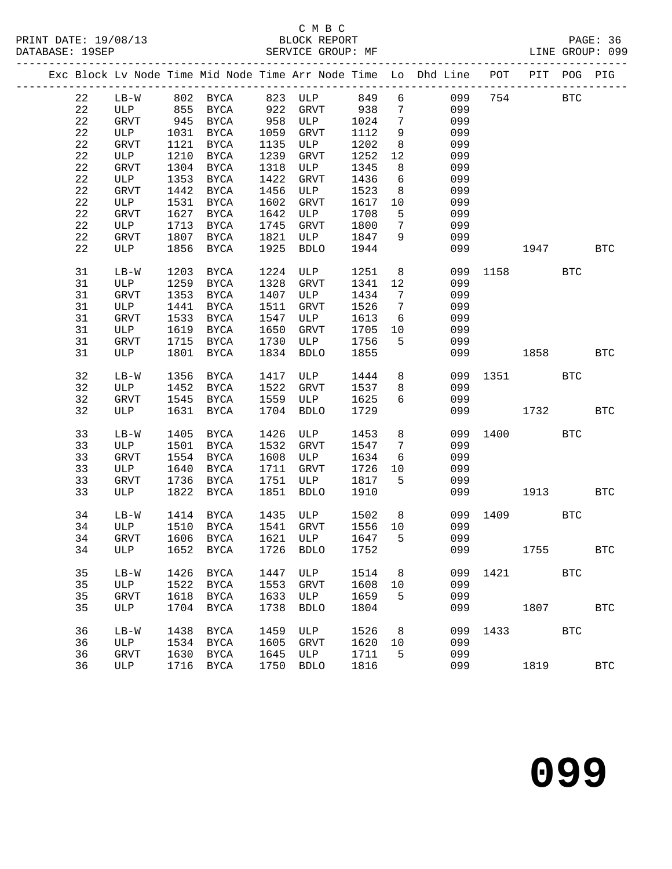#### C M B C<br>BLOCK REPORT SERVICE GROUP: MF

|  |             |               |              |                     |              |                                 |              |                              | Exc Block Lv Node Time Mid Node Time Arr Node Time Lo Dhd Line POT |      | PIT         | POG PIG    |              |
|--|-------------|---------------|--------------|---------------------|--------------|---------------------------------|--------------|------------------------------|--------------------------------------------------------------------|------|-------------|------------|--------------|
|  | 22          | $LB-W$        |              | 802 BYCA            |              | 823 ULP 849                     |              |                              | $6\overline{6}$<br>099                                             |      | 754         | <b>BTC</b> |              |
|  | 22          | ULP           | 855          | BYCA                |              | GRVT                            | 938          | $7\overline{ }$              | 099                                                                |      |             |            |              |
|  | 22          | GRVT          | 945          | BYCA                | 922<br>958   | ULP                             | 1024         | $7\phantom{.0}$              | 099                                                                |      |             |            |              |
|  | 22          | ULP           | 1031         | <b>BYCA</b>         | 1059         | GRVT                            | 1112         | 9                            | 099                                                                |      |             |            |              |
|  | 22          | GRVT          | 1121         | BYCA                | 1135         | ULP                             | 1202         | 8                            | 099                                                                |      |             |            |              |
|  | $2\sqrt{2}$ | ULP           | 1210         | <b>BYCA</b>         | 1239         | GRVT                            | 1252         | 12                           | 099                                                                |      |             |            |              |
|  | 22          | GRVT          | 1304         | <b>BYCA</b>         | 1318         | ULP                             | 1345         | 8                            | 099                                                                |      |             |            |              |
|  | $2\sqrt{2}$ | ULP           | 1353         | BYCA                | 1422         | GRVT                            | 1436         | $6\overline{6}$              | 099                                                                |      |             |            |              |
|  | $2\sqrt{2}$ | GRVT          | 1442         | BYCA                | 1456         | ULP                             | 1523         | 8                            | 099                                                                |      |             |            |              |
|  | $2\sqrt{2}$ | ULP           | 1531         | <b>BYCA</b>         | 1602         | GRVT                            | 1617         | 10                           | 099                                                                |      |             |            |              |
|  | 22          | ${\tt GRVT}$  | 1627         | BYCA                | 1642         | ULP                             | 1708         | 5                            | 099                                                                |      |             |            |              |
|  | $2\sqrt{2}$ | ULP           | 1713         | BYCA                | 1745         | GRVT                            | 1800         | $7\phantom{.0}$              | 099                                                                |      |             |            |              |
|  | $2\sqrt{2}$ | GRVT          | 1807         | BYCA                | 1821         | ULP                             | 1847         | 9                            | 099                                                                |      |             |            |              |
|  | 22          | ULP           | 1856         | BYCA                | 1925         | <b>BDLO</b>                     | 1944         |                              | 099                                                                |      | 1947        |            | <b>BTC</b>   |
|  |             |               |              |                     |              |                                 |              |                              |                                                                    |      |             |            |              |
|  | 31<br>31    | $LB-W$<br>ULP | 1203<br>1259 | <b>BYCA</b>         | 1224<br>1328 | ULP<br>GRVT                     | 1251         | 8<br>12                      | 099<br>099                                                         |      | 1158 BTC    |            |              |
|  | 31          | <b>GRVT</b>   | 1353         | BYCA<br><b>BYCA</b> | 1407         |                                 | 1341<br>1434 | $7\phantom{.0}\phantom{.0}7$ | 099                                                                |      |             |            |              |
|  | 31          |               | 1441         |                     |              | ULP<br>GRVT                     | 1526         | $7\overline{ }$              | 099                                                                |      |             |            |              |
|  | 31          | ULP           | 1533         | BYCA                | 1511<br>1547 |                                 |              | 6                            | 099                                                                |      |             |            |              |
|  |             | GRVT          |              | BYCA                |              | ULP                             | 1613         |                              |                                                                    |      |             |            |              |
|  | 31          | ULP<br>GRVT   | 1619<br>1715 | BYCA                | 1650         | GRVT<br>ULP                     | 1705<br>1756 | 10<br>5                      | 099<br>099                                                         |      |             |            |              |
|  | 31<br>31    | ULP           | 1801         | BYCA<br>BYCA        | 1730<br>1834 | <b>BDLO</b>                     | 1855         |                              | 099                                                                |      | 1858   1900 |            | BTC          |
|  |             |               |              |                     |              |                                 |              |                              |                                                                    |      |             |            |              |
|  | 32          | $LB-W$        | 1356         | BYCA                | 1417         | ULP                             | 1444         | 8                            | 099                                                                |      | 1351 139    | <b>BTC</b> |              |
|  | 32          | ULP           | 1452         | BYCA                | 1522         | GRVT                            | 1537         | 8                            | 099                                                                |      |             |            |              |
|  | 32          | GRVT          | 1545         | BYCA                | 1559         | ULP                             | 1625         | 6                            | 099                                                                |      |             |            |              |
|  | 32          | ULP           | 1631         | BYCA                | 1704         | <b>BDLO</b>                     | 1729         |                              | 099                                                                |      | 1732        |            | <b>BTC</b>   |
|  |             |               |              |                     |              |                                 |              |                              |                                                                    |      |             |            |              |
|  | 33          | $LB-W$        | 1405         | <b>BYCA</b>         | 1426         | ULP                             | 1453         | 8                            | 099                                                                | 1400 | <b>BTC</b>  |            |              |
|  | 33          | ULP           | 1501         | <b>BYCA</b>         | 1532         | GRVT                            | 1547         | $7\phantom{.0}$              | 099                                                                |      |             |            |              |
|  | 33          | GRVT          | 1554         | BYCA                | 1608         | ULP                             | 1634         | 6                            | 099                                                                |      |             |            |              |
|  | 33          | ULP           | 1640         | BYCA                | 1711         | GRVT                            | 1726         | 10                           | 099                                                                |      |             |            |              |
|  | 33          | GRVT          | 1736         | BYCA                | 1751         | ULP                             | 1817         | 5                            | 099                                                                |      |             |            |              |
|  | 33          | ULP           | 1822         | BYCA                | 1851         | <b>BDLO</b>                     | 1910         |                              | 099                                                                |      | 1913        |            | <b>BTC</b>   |
|  | 34          | $LB-W$        | 1414         | BYCA                | 1435         | ULP                             | 1502         | 8 <sup>8</sup>               | 099                                                                | 1409 | <b>BTC</b>  |            |              |
|  | 34          | ULP           | 1510         | BYCA                | 1541         | GRVT                            | 1556         | 10                           | 099                                                                |      |             |            |              |
|  | 34          | GRVT          |              | 1606 BYCA           | 1621         | ULP                             | 1647         | $5^{\circ}$                  | 099                                                                |      |             |            |              |
|  |             |               |              |                     |              | 34 ULP 1652 BYCA 1726 BDLO 1752 |              |                              | 099                                                                |      | 1755        |            | $_{\rm BTC}$ |
|  |             |               |              |                     |              |                                 |              |                              |                                                                    |      |             |            |              |
|  | 35          | $LB-W$        | 1426         | BYCA                | 1447         | ULP                             | 1514         | - 8                          | 099                                                                | 1421 |             | <b>BTC</b> |              |
|  | 35          | ULP           | 1522         | <b>BYCA</b>         | 1553         | <b>GRVT</b>                     | 1608         | 10                           | 099                                                                |      |             |            |              |
|  | 35          | <b>GRVT</b>   | 1618         | <b>BYCA</b>         | 1633         | ULP                             | 1659         | 5                            | 099                                                                |      |             |            |              |
|  | 35          | ULP           | 1704         | <b>BYCA</b>         | 1738         | <b>BDLO</b>                     | 1804         |                              | 099                                                                |      | 1807        |            | <b>BTC</b>   |
|  | 36          | $LB-W$        | 1438         | <b>BYCA</b>         | 1459         | ULP                             | 1526         | 8                            | 099                                                                | 1433 |             | <b>BTC</b> |              |
|  | 36          | ULP           | 1534         | BYCA                | 1605         | GRVT                            | 1620         | 10                           | 099                                                                |      |             |            |              |
|  | 36          | GRVT          | 1630         | <b>BYCA</b>         | 1645         | ULP                             | 1711         | 5                            | 099                                                                |      |             |            |              |
|  | 36          | ULP           | 1716         | BYCA                | 1750         | <b>BDLO</b>                     | 1816         |                              | 099                                                                |      | 1819        |            | <b>BTC</b>   |
|  |             |               |              |                     |              |                                 |              |                              |                                                                    |      |             |            |              |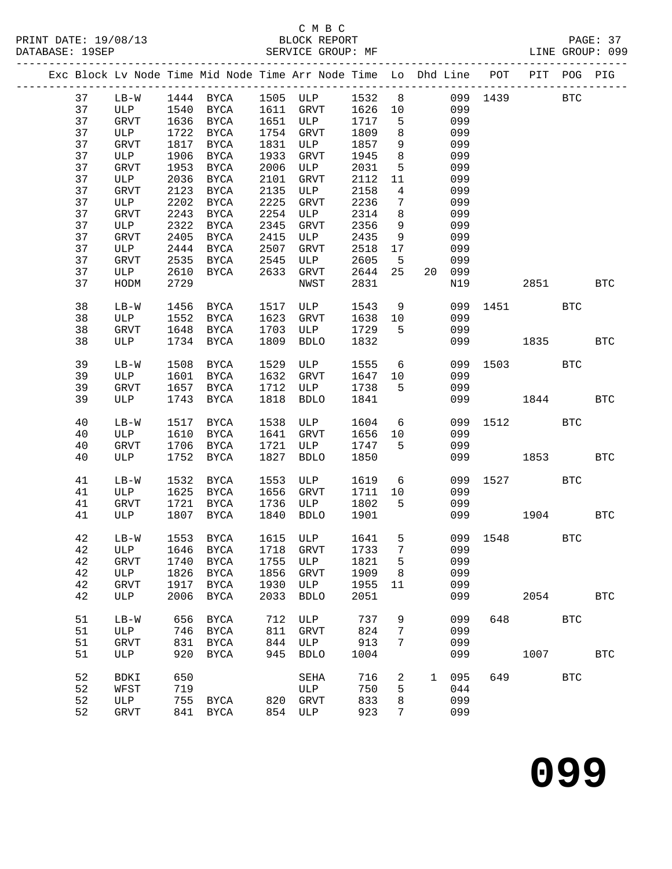# C M B C<br>BLOCK REPORT

| PRINT DATE: 19/08/13<br>DATABASE: 19SEP |                                                                                | BLOCK REPORT<br>SERVICE GROUP: MF |  | LINE GROUP: 099 | PAGE: 37 |
|-----------------------------------------|--------------------------------------------------------------------------------|-----------------------------------|--|-----------------|----------|
|                                         | Exc Block Ly Node Time Mid Node Time Arr Node Time Lo Dhd Line POT PIT POG PIG |                                   |  |                 |          |

|  |      |              |      |             |      | Exc Block Lv Node Time Mid Node Time Arr Node Time Lo Dhd Line |      |                |    |       | POT  | PIT        | POG                  | PIG          |
|--|------|--------------|------|-------------|------|----------------------------------------------------------------|------|----------------|----|-------|------|------------|----------------------|--------------|
|  | 37   | $LB-W$       |      | 1444 BYCA   |      | 1505 ULP                                                       | 1532 | 8              |    | 099   | 1439 |            | $\operatorname{BTC}$ |              |
|  | 37   | ULP          | 1540 | <b>BYCA</b> | 1611 | GRVT                                                           | 1626 | 10             |    | 099   |      |            |                      |              |
|  | 37   | GRVT         | 1636 | BYCA        | 1651 | ULP                                                            | 1717 | 5              |    | 099   |      |            |                      |              |
|  | 37   | ULP          | 1722 | BYCA        | 1754 | <b>GRVT</b>                                                    | 1809 | 8              |    | 099   |      |            |                      |              |
|  | 37   | GRVT         | 1817 | <b>BYCA</b> | 1831 | ULP                                                            | 1857 | 9              |    | 099   |      |            |                      |              |
|  | 37   | ULP          | 1906 | <b>BYCA</b> | 1933 | <b>GRVT</b>                                                    | 1945 | $\,8\,$        |    | 099   |      |            |                      |              |
|  | $37$ | GRVT         | 1953 | <b>BYCA</b> | 2006 | ULP                                                            | 2031 | 5              |    | 099   |      |            |                      |              |
|  | 37   | ULP          | 2036 | BYCA        | 2101 | <b>GRVT</b>                                                    | 2112 | 11             |    | 099   |      |            |                      |              |
|  | 37   | <b>GRVT</b>  | 2123 | <b>BYCA</b> | 2135 | ULP                                                            | 2158 | $\overline{4}$ |    | 099   |      |            |                      |              |
|  | 37   | ULP          | 2202 | <b>BYCA</b> | 2225 | <b>GRVT</b>                                                    | 2236 | 7              |    | 099   |      |            |                      |              |
|  | $37$ | GRVT         | 2243 | BYCA        | 2254 | ULP                                                            | 2314 | 8              |    | 099   |      |            |                      |              |
|  | 37   | ULP          | 2322 | BYCA        | 2345 | <b>GRVT</b>                                                    | 2356 | 9              |    | 099   |      |            |                      |              |
|  | 37   | <b>GRVT</b>  | 2405 | BYCA        | 2415 | ULP                                                            | 2435 | 9              |    | 099   |      |            |                      |              |
|  | 37   | ULP          | 2444 | BYCA        | 2507 | <b>GRVT</b>                                                    | 2518 | 17             |    | 099   |      |            |                      |              |
|  | 37   | GRVT         | 2535 | BYCA        | 2545 | ULP                                                            | 2605 | 5              |    | 099   |      |            |                      |              |
|  | 37   | ULP          | 2610 | <b>BYCA</b> | 2633 | GRVT                                                           | 2644 | 25             | 20 | 099   |      |            |                      |              |
|  | 37   | ${\tt HODM}$ | 2729 |             |      | NWST                                                           | 2831 |                |    | N19   |      | 2851       |                      | <b>BTC</b>   |
|  |      |              |      |             |      |                                                                |      |                |    |       |      |            |                      |              |
|  | 38   | $LB-W$       | 1456 | BYCA        | 1517 | ULP                                                            | 1543 | 9              |    | 099   | 1451 |            | <b>BTC</b>           |              |
|  | 38   | ULP          | 1552 | BYCA        | 1623 | <b>GRVT</b>                                                    | 1638 | 10             |    | 099   |      |            |                      |              |
|  | 38   | GRVT         | 1648 | BYCA        | 1703 | ULP                                                            | 1729 | 5              |    | 099   |      |            |                      |              |
|  | 38   | ULP          | 1734 | <b>BYCA</b> | 1809 | <b>BDLO</b>                                                    | 1832 |                |    | 099   |      | 1835       |                      | <b>BTC</b>   |
|  |      |              |      |             |      |                                                                |      |                |    |       |      |            |                      |              |
|  | 39   | $LB-W$       | 1508 | <b>BYCA</b> | 1529 | ULP                                                            | 1555 | 6              |    | 099   | 1503 |            | <b>BTC</b>           |              |
|  | 39   | ULP          | 1601 | BYCA        | 1632 | <b>GRVT</b>                                                    | 1647 | 10             |    | 099   |      |            |                      |              |
|  | 39   | GRVT         | 1657 | BYCA        | 1712 | ULP                                                            | 1738 | 5              |    | 099   |      |            |                      |              |
|  | 39   | ULP          | 1743 | BYCA        | 1818 | <b>BDLO</b>                                                    | 1841 |                |    | 099   |      | 1844       |                      | $_{\rm BTC}$ |
|  |      |              |      |             |      |                                                                |      |                |    |       |      |            |                      |              |
|  | 40   | $LB-W$       | 1517 | BYCA        | 1538 | ULP                                                            | 1604 | 6              |    | 099   | 1512 |            | $_{\rm BTC}$         |              |
|  | 40   | ULP          | 1610 | <b>BYCA</b> | 1641 | <b>GRVT</b>                                                    | 1656 | 10             |    | 099   |      |            |                      |              |
|  | 40   | <b>GRVT</b>  | 1706 | <b>BYCA</b> | 1721 | ULP                                                            | 1747 | 5              |    | 099   |      |            |                      |              |
|  | 40   | ULP          | 1752 | <b>BYCA</b> | 1827 | <b>BDLO</b>                                                    | 1850 |                |    | 099   |      | 1853       |                      | $_{\rm BTC}$ |
|  | 41   | $LB-W$       | 1532 | <b>BYCA</b> | 1553 | ULP                                                            | 1619 | 6              |    | 099   | 1527 |            | <b>BTC</b>           |              |
|  | 41   | ULP          | 1625 | BYCA        | 1656 | GRVT                                                           | 1711 | 10             |    | 099   |      |            |                      |              |
|  | 41   | GRVT         | 1721 | BYCA        | 1736 | ULP                                                            | 1802 | 5              |    | 099   |      |            |                      |              |
|  | 41   | ULP          | 1807 | BYCA        | 1840 | <b>BDLO</b>                                                    | 1901 |                |    | 099   |      | 1904       |                      | <b>BTC</b>   |
|  |      |              |      |             |      |                                                                |      |                |    |       |      |            |                      |              |
|  | 42   | $LB-W$       | 1553 | BYCA        | 1615 | ULP                                                            | 1641 | 5              |    | 099   | 1548 |            | <b>BTC</b>           |              |
|  | 42   | ULP          | 1646 | BYCA        | 1718 | <b>GRVT</b>                                                    | 1733 | 7              |    | 099   |      |            |                      |              |
|  | 42   | GRVT         |      | 1740 BYCA   |      | 1755 ULP                                                       | 1821 | 5              |    | 099   |      |            |                      |              |
|  | 42   | ULP          | 1826 | BYCA        | 1856 | GRVT                                                           | 1909 | 8              |    | 099   |      |            |                      |              |
|  | 42   | GRVT         | 1917 | BYCA        | 1930 | ULP                                                            | 1955 | 11             |    | 099   |      |            |                      |              |
|  | 42   | ULP          | 2006 | BYCA        |      | 2033 BDLO                                                      | 2051 |                |    | 099   |      | 2054       |                      | <b>BTC</b>   |
|  |      |              |      |             |      |                                                                |      |                |    |       |      |            |                      |              |
|  | 51   | $LB-W$       | 656  | BYCA        |      | 712 ULP                                                        | 737  | 9              |    | 099   | 648  |            | BTC                  |              |
|  | 51   | ULP          | 746  | BYCA        |      | 811 GRVT                                                       | 824  | 7              |    | 099   |      |            |                      |              |
|  | 51   | GRVT         | 831  | BYCA        |      | 844 ULP                                                        | 913  | 7              |    | 099   |      |            |                      |              |
|  | 51   | ULP          | 920  | BYCA        |      | 945 BDLO                                                       | 1004 |                |    | 099   |      | 1007       |                      | <b>BTC</b>   |
|  |      |              |      |             |      |                                                                |      |                |    |       |      |            |                      |              |
|  | 52   | <b>BDKI</b>  | 650  |             |      | SEHA                                                           | 716  | $\overline{a}$ |    | 1 095 | 649  | <b>BTC</b> |                      |              |
|  | 52   | WFST         | 719  |             |      | ULP                                                            | 750  | 5              |    | 044   |      |            |                      |              |
|  | 52   | ULP          | 755  | BYCA        |      | 820 GRVT                                                       | 833  | 8              |    | 099   |      |            |                      |              |
|  | 52   | GRVT         | 841  | BYCA        |      | 854 ULP                                                        | 923  | $7\phantom{.}$ |    | 099   |      |            |                      |              |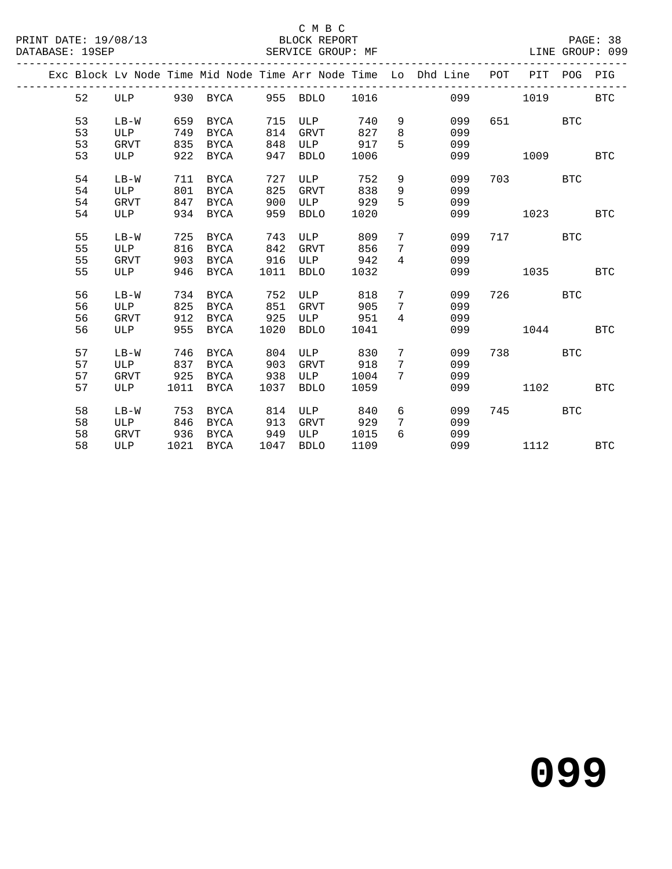#### C M B C<br>BLOCK REPORT

|  |    |             |      |             |      |             |      |                | Exc Block Lv Node Time Mid Node Time Arr Node Time Lo Dhd Line | POT | PIT  | POG        | PIG        |
|--|----|-------------|------|-------------|------|-------------|------|----------------|----------------------------------------------------------------|-----|------|------------|------------|
|  | 52 | ULP         |      | 930 BYCA    | 955  | BDLO        | 1016 |                | 099                                                            |     | 1019 |            | <b>BTC</b> |
|  | 53 | $LB-W$      | 659  | BYCA        | 715  | ULP         | 740  | 9              | 099                                                            | 651 |      | <b>BTC</b> |            |
|  | 53 | ULP         | 749  | <b>BYCA</b> | 814  | <b>GRVT</b> | 827  | 8              | 099                                                            |     |      |            |            |
|  | 53 | <b>GRVT</b> | 835  | <b>BYCA</b> | 848  | ULP         | 917  | 5              | 099                                                            |     |      |            |            |
|  | 53 | ULP         | 922  | <b>BYCA</b> | 947  | <b>BDLO</b> | 1006 |                | 099                                                            |     | 1009 |            | <b>BTC</b> |
|  | 54 | $LB-W$      | 711  | <b>BYCA</b> | 727  | ULP         | 752  | 9              | 099                                                            | 703 |      | <b>BTC</b> |            |
|  | 54 | <b>ULP</b>  | 801  | <b>BYCA</b> | 825  | <b>GRVT</b> | 838  | 9              | 099                                                            |     |      |            |            |
|  | 54 | <b>GRVT</b> | 847  | <b>BYCA</b> | 900  | ULP         | 929  | 5              | 099                                                            |     |      |            |            |
|  | 54 | ULP         | 934  | <b>BYCA</b> | 959  | <b>BDLO</b> | 1020 |                | 099                                                            |     | 1023 |            | <b>BTC</b> |
|  | 55 | $LB-W$      | 725  | <b>BYCA</b> | 743  | ULP         | 809  | 7              | 099                                                            | 717 |      | <b>BTC</b> |            |
|  | 55 | ULP         | 816  | <b>BYCA</b> | 842  | <b>GRVT</b> | 856  | 7              | 099                                                            |     |      |            |            |
|  | 55 | <b>GRVT</b> | 903  | BYCA        | 916  | ULP         | 942  | $\overline{4}$ | 099                                                            |     |      |            |            |
|  | 55 | ULP         | 946  | BYCA        | 1011 | <b>BDLO</b> | 1032 |                | 099                                                            |     | 1035 |            | <b>BTC</b> |
|  | 56 | $LB-W$      | 734  | <b>BYCA</b> | 752  | ULP         | 818  | $7\phantom{.}$ | 099                                                            | 726 |      | <b>BTC</b> |            |
|  | 56 | ULP         | 825  | <b>BYCA</b> | 851  | <b>GRVT</b> | 905  | 7              | 099                                                            |     |      |            |            |
|  | 56 | <b>GRVT</b> | 912  | <b>BYCA</b> | 925  | ULP         | 951  | $\overline{4}$ | 099                                                            |     |      |            |            |
|  | 56 | ULP         | 955  | <b>BYCA</b> | 1020 | <b>BDLO</b> | 1041 |                | 099                                                            |     | 1044 |            | <b>BTC</b> |
|  | 57 | $LB-W$      | 746  | <b>BYCA</b> | 804  | ULP         | 830  | 7              | 099                                                            | 738 |      | <b>BTC</b> |            |
|  | 57 | ULP         | 837  | <b>BYCA</b> | 903  | <b>GRVT</b> | 918  | 7              | 099                                                            |     |      |            |            |
|  | 57 | GRVT        | 925  | <b>BYCA</b> | 938  | ULP         | 1004 | 7              | 099                                                            |     |      |            |            |
|  | 57 | ULP         | 1011 | BYCA        | 1037 | <b>BDLO</b> | 1059 |                | 099                                                            |     | 1102 |            | <b>BTC</b> |
|  | 58 | $LB-W$      | 753  | <b>BYCA</b> | 814  | ULP         | 840  | 6              | 099                                                            | 745 |      | <b>BTC</b> |            |
|  | 58 | <b>ULP</b>  | 846  | <b>BYCA</b> | 913  | <b>GRVT</b> | 929  | 7              | 099                                                            |     |      |            |            |
|  | 58 | GRVT        | 936  | BYCA        | 949  | ULP         | 1015 | 6              | 099                                                            |     |      |            |            |
|  | 58 | ULP         | 1021 | <b>BYCA</b> | 1047 | <b>BDLO</b> | 1109 |                | 099                                                            |     | 1112 |            | <b>BTC</b> |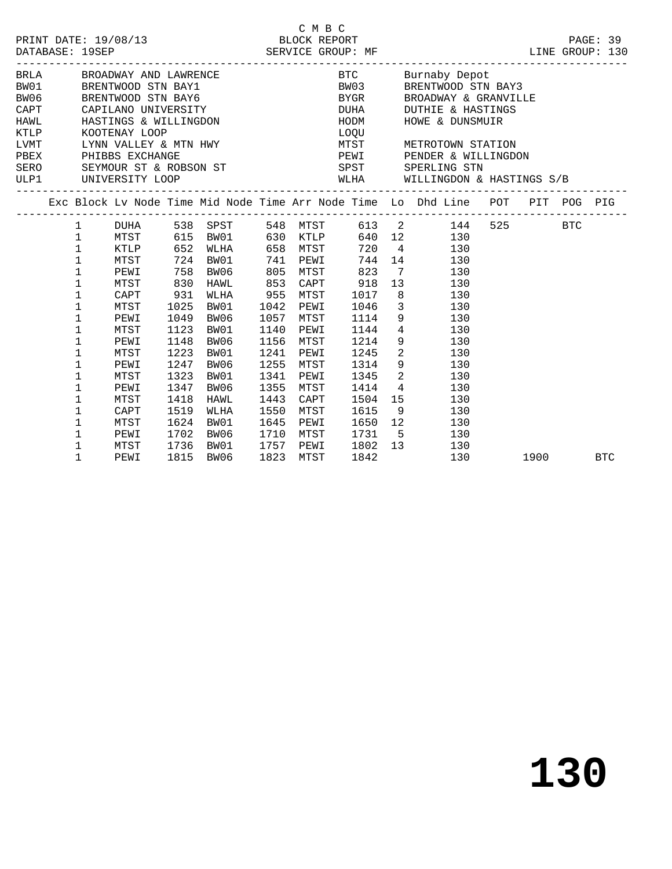| PRINT DATE: 19/08/13 | BLOCK REPORT      |
|----------------------|-------------------|
| DATABASE: 19SEP      | SERVICE GROUP: MF |

---------------------------------------------------------------------------------------------

| BRLA<br>BW01<br>BW06<br>CAPT<br>HAWL<br>KTLP<br>LVMT<br>PBEX<br>SERO |             | BROADWAY AND LAWRENCE<br>BRENTWOOD STN BAY1<br>BRENTWOOD STN BAY6<br>KOOTENAY LOOP<br>PHIBBS EXCHANGE |              | CAPILANO UNIVERSITY<br>HASTINGS & WILLINGDON<br>LYNN VALLEY & MTN HWY<br>SEYMOUR ST & ROBSON ST |              |              | BTC<br>BW03<br>BYGR<br>DUHA<br>HODM<br>LOQU<br>MTST<br>PEWI<br>SPST |                 | Burnaby Depot<br>BRENTWOOD STN BAY3<br>BROADWAY & GRANVILLE<br><b>DUTHIE &amp; HASTINGS</b><br>HOWE & DUNSMUIR<br>METROTOWN STATION<br>PENDER & WILLINGDON<br>SPERLING STN |     |                                                                                                                                                                                                                                 |            |
|----------------------------------------------------------------------|-------------|-------------------------------------------------------------------------------------------------------|--------------|-------------------------------------------------------------------------------------------------|--------------|--------------|---------------------------------------------------------------------|-----------------|----------------------------------------------------------------------------------------------------------------------------------------------------------------------------|-----|---------------------------------------------------------------------------------------------------------------------------------------------------------------------------------------------------------------------------------|------------|
| ULP1                                                                 |             | UNIVERSITY LOOP                                                                                       |              |                                                                                                 |              |              | WLHA                                                                |                 | WILLINGDON & HASTINGS S/B                                                                                                                                                  |     |                                                                                                                                                                                                                                 |            |
|                                                                      |             |                                                                                                       |              |                                                                                                 |              |              |                                                                     |                 | Exc Block Lv Node Time Mid Node Time Arr Node Time Lo Dhd Line POT PIT POG PIG                                                                                             |     |                                                                                                                                                                                                                                 |            |
|                                                                      | 1           | DUHA                                                                                                  |              | 538 SPST                                                                                        |              | 548 MTST     |                                                                     |                 | 613 2<br>144                                                                                                                                                               | 525 | BTC                                                                                                                                                                                                                             |            |
|                                                                      | 1           | MTST                                                                                                  |              | 615 BW01                                                                                        |              | 630 KTLP     |                                                                     |                 | 640 12<br>130                                                                                                                                                              |     |                                                                                                                                                                                                                                 |            |
|                                                                      | 1           | 652<br>KTLP<br>WLHA                                                                                   |              |                                                                                                 |              | 658 MTST     | 720 4                                                               |                 | 130                                                                                                                                                                        |     |                                                                                                                                                                                                                                 |            |
|                                                                      | $\mathbf 1$ | 724<br>MTST<br>BW01                                                                                   |              |                                                                                                 |              | PEWI         | 744                                                                 | 14              | 130                                                                                                                                                                        |     |                                                                                                                                                                                                                                 |            |
|                                                                      | $\mathbf 1$ | 758<br>BW06<br>PEWI                                                                                   |              |                                                                                                 |              | MTST         | 823                                                                 | $7\overline{ }$ | 130                                                                                                                                                                        |     |                                                                                                                                                                                                                                 |            |
|                                                                      | 1           | MTST                                                                                                  | 830          | HAWL                                                                                            | 853          | CAPT         | 918                                                                 | 13 <sup>7</sup> | 130                                                                                                                                                                        |     |                                                                                                                                                                                                                                 |            |
|                                                                      | 1           | CAPT                                                                                                  | 931          | WLHA                                                                                            | 955          | MTST         | 1017                                                                | 8               | 130                                                                                                                                                                        |     |                                                                                                                                                                                                                                 |            |
|                                                                      | 1           | MTST                                                                                                  | 1025         | BW01                                                                                            | 1042         | PEWI         | 1046                                                                | $\overline{3}$  | 130                                                                                                                                                                        |     |                                                                                                                                                                                                                                 |            |
|                                                                      | $\mathbf 1$ | PEWI                                                                                                  | 1049         | BW06                                                                                            | 1057         | MTST         | 1114                                                                | 9               | 130                                                                                                                                                                        |     |                                                                                                                                                                                                                                 |            |
|                                                                      | 1           | MTST                                                                                                  | 1123         | BW01                                                                                            | 1140         | PEWI         | 1144                                                                |                 | $4\overline{ }$<br>130                                                                                                                                                     |     |                                                                                                                                                                                                                                 |            |
|                                                                      | 1           | PEWI                                                                                                  | 1148         | BW06                                                                                            | 1156         | MTST         | 1214                                                                |                 | $9 \quad \Box$<br>130                                                                                                                                                      |     |                                                                                                                                                                                                                                 |            |
|                                                                      | 1           | MTST                                                                                                  | 1223         | BW01                                                                                            | 1241         | PEWI         | 1245                                                                | $\overline{a}$  | 130                                                                                                                                                                        |     |                                                                                                                                                                                                                                 |            |
|                                                                      | 1           | PEWI                                                                                                  | 1247         | BW06                                                                                            | 1255         | MTST         | 1314                                                                | 9               | 130                                                                                                                                                                        |     |                                                                                                                                                                                                                                 |            |
|                                                                      | 1           | MTST                                                                                                  | 1323         | BW01                                                                                            | 1341         | PEWI         | 1345                                                                | $\overline{a}$  | 130                                                                                                                                                                        |     |                                                                                                                                                                                                                                 |            |
|                                                                      | 1           | PEWI                                                                                                  | 1347         | BW06                                                                                            | 1355         | MTST         | 1414                                                                | $\overline{4}$  | 130                                                                                                                                                                        |     |                                                                                                                                                                                                                                 |            |
|                                                                      | 1           | MTST                                                                                                  | 1418         | HAWL                                                                                            | 1443         | CAPT         | 1504                                                                | 15              | 130                                                                                                                                                                        |     |                                                                                                                                                                                                                                 |            |
|                                                                      | 1           | CAPT                                                                                                  | 1519         | WLHA                                                                                            | 1550         | MTST         | 1615                                                                | 9               | 130                                                                                                                                                                        |     |                                                                                                                                                                                                                                 |            |
|                                                                      | 1           | MTST                                                                                                  | 1624         | BW01                                                                                            | 1645         | PEWI         | 1650                                                                | 12<br>5         | 130                                                                                                                                                                        |     |                                                                                                                                                                                                                                 |            |
|                                                                      | 1<br>1      | PEWI<br>MTST                                                                                          | 1702<br>1736 | BW06<br>BW01                                                                                    | 1710<br>1757 | MTST<br>PEWI | 1731<br>1802                                                        | 13              | 130<br>130                                                                                                                                                                 |     |                                                                                                                                                                                                                                 |            |
|                                                                      | 1           | PEWI                                                                                                  | 1815         | BW06                                                                                            | 1823         | MTST         | 1842                                                                |                 | 130                                                                                                                                                                        |     | 1900 - 1900 - 1910 - 1920 - 1930 - 1930 - 1930 - 1930 - 1930 - 1930 - 1930 - 1930 - 1930 - 1930 - 1930 - 1930 - 1930 - 1930 - 1930 - 1930 - 1930 - 1930 - 1930 - 1930 - 1930 - 1930 - 1930 - 1930 - 1930 - 1930 - 1930 - 1930 - | <b>BTC</b> |
|                                                                      |             |                                                                                                       |              |                                                                                                 |              |              |                                                                     |                 |                                                                                                                                                                            |     |                                                                                                                                                                                                                                 |            |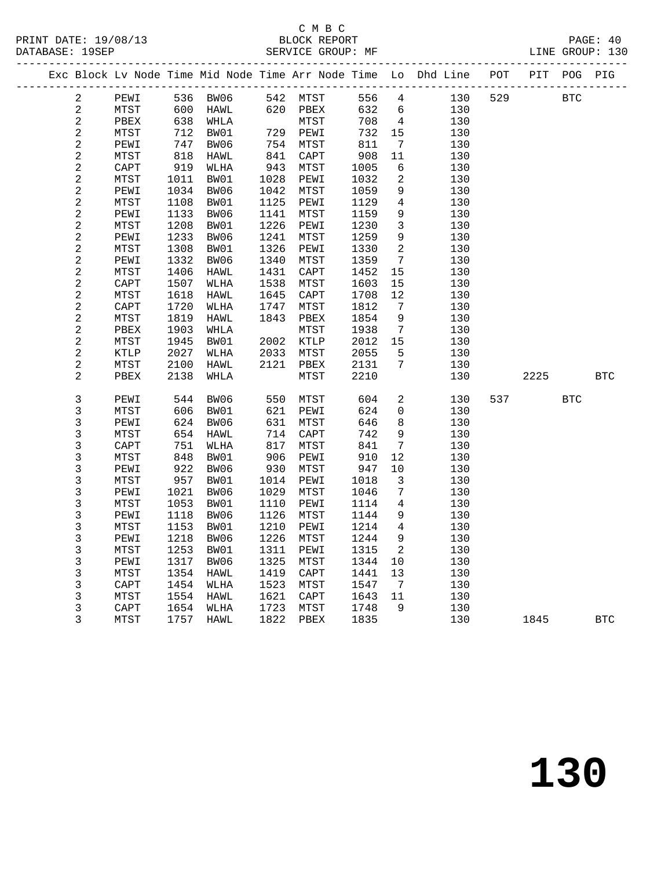### C M B C<br>BLOCK REPORT

SERVICE GROUP: MF

|  |                         |              |            |              |            |              |            |                              | Exc Block Lv Node Time Mid Node Time Arr Node Time Lo Dhd Line POT PIT POG PIG |     |      |            |            |
|--|-------------------------|--------------|------------|--------------|------------|--------------|------------|------------------------------|--------------------------------------------------------------------------------|-----|------|------------|------------|
|  | 2                       | PEWI         |            | 536 BW06     |            | 542 MTST     | 556 4      |                              | 130                                                                            | 529 |      | <b>BTC</b> |            |
|  | $\sqrt{2}$              | MTST         | 600        | HAWL         | 620        | PBEX         | 632        | 6                            | 130                                                                            |     |      |            |            |
|  | $\sqrt{2}$              | PBEX         | 638        | WHLA         |            | MTST         | 708        | $\overline{4}$               | 130                                                                            |     |      |            |            |
|  | $\sqrt{2}$              | MTST         | 712        | BW01         |            | 729 PEWI     | 732        | 15                           | 130                                                                            |     |      |            |            |
|  | $\sqrt{2}$              | PEWI         | 747        | BW06         | 754        | MTST         | 811        | $7\phantom{.0}\,$            | 130                                                                            |     |      |            |            |
|  | $\sqrt{2}$              | MTST         | 818        | HAWL         | 841        | CAPT         | 908        | 11                           | 130                                                                            |     |      |            |            |
|  | $\overline{c}$          | CAPT         | 919        | WLHA         | 943        | MTST         | 1005       | 6                            | 130                                                                            |     |      |            |            |
|  | $\overline{\mathbf{c}}$ | MTST         | 1011       | BW01         | 1028       | PEWI         | 1032       | 2                            | 130                                                                            |     |      |            |            |
|  | $\overline{\mathbf{c}}$ | PEWI         | 1034       | BW06         | 1042       | MTST         | 1059       | 9                            | 130                                                                            |     |      |            |            |
|  | $\overline{\mathbf{c}}$ | MTST         | 1108       | BW01         | 1125       | PEWI         | 1129       | $\overline{4}$               | 130                                                                            |     |      |            |            |
|  | $\frac{2}{2}$           | PEWI         | 1133       | BW06         | 1141       | MTST         | 1159       | 9                            | 130                                                                            |     |      |            |            |
|  |                         | ${\tt MTST}$ | 1208       | BW01         | 1226       | PEWI         | 1230       | $\mathbf{3}$                 | 130                                                                            |     |      |            |            |
|  | $\overline{\mathbf{c}}$ | PEWI         | 1233       | BW06         | 1241       | MTST         | 1259       | $\overline{9}$               | 130                                                                            |     |      |            |            |
|  | $\overline{a}$          | MTST         | 1308       | BW01         | 1326       | PEWI         | 1330       | $\overline{a}$               | 130                                                                            |     |      |            |            |
|  | $\overline{\mathbf{c}}$ | PEWI         | 1332       | BW06         | 1340       | MTST         | 1359       | $7\overline{ }$              | 130                                                                            |     |      |            |            |
|  | $\sqrt{2}$              | MTST         | 1406       | HAWL         | 1431       | CAPT         | 1452       | 15                           | 130                                                                            |     |      |            |            |
|  | $\sqrt{2}$              | CAPT         | 1507       | WLHA         | 1538       | MTST         | 1603       | 15                           | 130                                                                            |     |      |            |            |
|  | $\sqrt{2}$              | MTST         | 1618       | HAWL         | 1645       | CAPT         | 1708       | 12                           | 130                                                                            |     |      |            |            |
|  | $\sqrt{2}$              | CAPT         | 1720       | WLHA         | 1747       | MTST         | 1812       | 7                            | 130                                                                            |     |      |            |            |
|  | $\sqrt{2}$              | MTST         | 1819       | HAWL         | 1843       | PBEX         | 1854       | 9                            | 130                                                                            |     |      |            |            |
|  | $\sqrt{2}$              | PBEX         | 1903       | WHLA         |            | MTST         | 1938       | $7\overline{ }$              | 130                                                                            |     |      |            |            |
|  | $\sqrt{2}$              | MTST         | 1945       | BW01         | 2002       | KTLP         | 2012       | 15                           | 130                                                                            |     |      |            |            |
|  | $\sqrt{2}$              | KTLP         | 2027       | WLHA         | 2033       | MTST         | 2055       | 5                            | 130                                                                            |     |      |            |            |
|  | $\sqrt{2}$              | MTST         | 2100       | HAWL         | 2121       | PBEX         | 2131       | $7\overline{ }$              | 130                                                                            |     |      |            |            |
|  | $\overline{a}$          | ${\tt PBEX}$ | 2138       | WHLA         |            | MTST         | 2210       |                              | 130                                                                            |     | 2225 |            | <b>BTC</b> |
|  |                         |              |            |              |            |              |            |                              |                                                                                |     |      |            |            |
|  | $\mathsf 3$             | PEWI         | 544        | BW06         | 550        | MTST         | 604        | $\overline{a}$               | 130                                                                            | 537 |      | <b>BTC</b> |            |
|  | $\mathfrak{Z}$          | MTST         | 606        | BW01         | 621        | PEWI         | 624        | $\mathbf 0$                  | 130                                                                            |     |      |            |            |
|  | 3<br>$\mathsf 3$        | PEWI         | 624        | BW06         | 631<br>714 | MTST         | 646        | 8<br>9                       | 130<br>130                                                                     |     |      |            |            |
|  | 3                       | MTST<br>CAPT | 654<br>751 | HAWL<br>WLHA | 817        | CAPT<br>MTST | 742<br>841 | $7\phantom{.0}$              | 130                                                                            |     |      |            |            |
|  | 3                       |              | 848        |              | 906        | PEWI         | 910        | $12$                         | 130                                                                            |     |      |            |            |
|  | $\mathfrak{Z}$          | MTST<br>PEWI | 922        | BW01<br>BW06 | 930        | MTST         | 947        | $10 \,$                      | 130                                                                            |     |      |            |            |
|  | $\mathsf 3$             | MTST         | 957        | BW01         | 1014       | PEWI         | 1018       | $\mathbf{3}$                 | 130                                                                            |     |      |            |            |
|  | $\mathsf 3$             | PEWI         | 1021       | BW06         | 1029       | MTST         | 1046       | $7\phantom{.0}$              | 130                                                                            |     |      |            |            |
|  | $\mathsf 3$             | MTST         | 1053       | BW01         | 1110       | PEWI         | 1114       | $\overline{4}$               | 130                                                                            |     |      |            |            |
|  | $\mathsf 3$             | PEWI         | 1118       | BW06         | 1126       | MTST         | 1144       | 9                            | 130                                                                            |     |      |            |            |
|  | $\mathsf 3$             | MTST         | 1153       | BW01         | 1210       | PEWI         | 1214       | $\overline{4}$               | 130                                                                            |     |      |            |            |
|  | 3                       | PEWI         | 1218       | BW06         | 1226       | MTST         | 1244       | $\overline{9}$               | 130                                                                            |     |      |            |            |
|  | 3                       | MTST         | 1253       | BW01         | 1311       | PEWI         | 1315       | 2                            | 130                                                                            |     |      |            |            |
|  | $\mathsf 3$             | PEWI         | 1317       | BW06         | 1325       | MTST         | 1344       | 10                           | 130                                                                            |     |      |            |            |
|  | $\mathsf 3$             | MTST         | 1354       | HAWL         | 1419       | CAPT         | 1441       | 13                           | 130                                                                            |     |      |            |            |
|  | $\mathfrak{Z}$          | CAPT         | 1454       | WLHA         | 1523       | MTST         | 1547       | $7\phantom{.0}\phantom{.0}7$ | 130                                                                            |     |      |            |            |
|  | $\mathfrak{Z}$          | MTST         | 1554       | HAWL         | 1621       | CAPT         | 1643       | 11                           | 130                                                                            |     |      |            |            |
|  | $\mathfrak{Z}$          | CAPT         | 1654       | WLHA         | 1723       | MTST         | 1748       | 9                            | 130                                                                            |     |      |            |            |
|  | 3                       | MTST         | 1757       | HAWL         | 1822       | PBEX         | 1835       |                              | 130                                                                            |     | 1845 |            | <b>BTC</b> |
|  |                         |              |            |              |            |              |            |                              |                                                                                |     |      |            |            |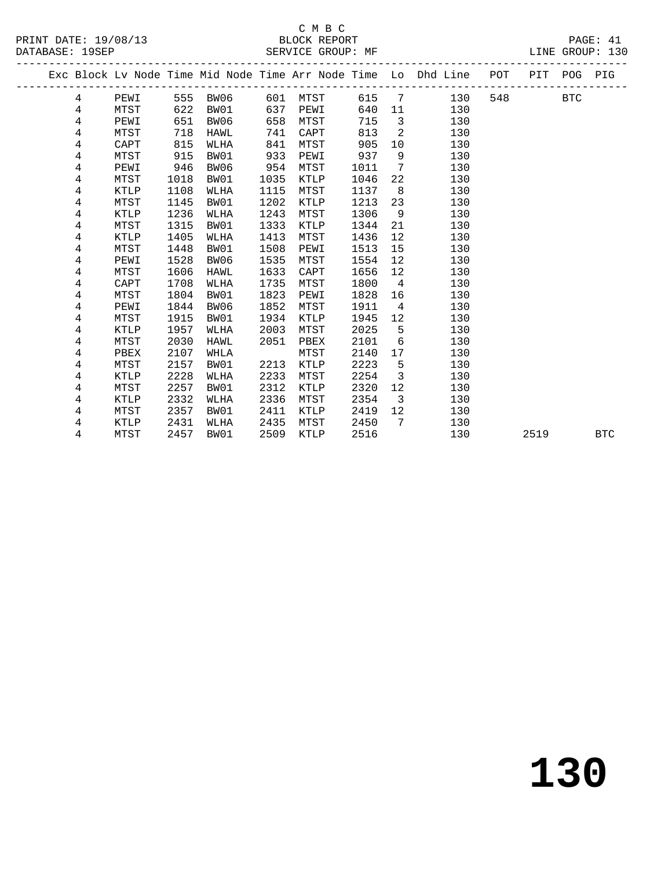# SERVICE GROUP: MF

|                      | C M B C           |                 |
|----------------------|-------------------|-----------------|
| PRINT DATE: 19/08/13 | BLOCK REPORT      | PAGE: 41        |
| DATABASE: 19SEP      | SERVICE GROUP: MF | LINE GROUP: 130 |

|  |   |             |      |             |      |          |      |                 | Exc Block Lv Node Time Mid Node Time Arr Node Time Lo Dhd Line POT |     | PIT POG |            | PIG        |
|--|---|-------------|------|-------------|------|----------|------|-----------------|--------------------------------------------------------------------|-----|---------|------------|------------|
|  | 4 | PEWI        |      | 555 BW06    |      | 601 MTST | 615  | 7               | 130                                                                | 548 |         | <b>BTC</b> |            |
|  | 4 | MTST        | 622  | BW01        | 637  | PEWI     | 640  | 11              | 130                                                                |     |         |            |            |
|  | 4 | PEWI        | 651  | BW06        | 658  | MTST     | 715  | $\overline{3}$  | 130                                                                |     |         |            |            |
|  | 4 | MTST        | 718  | HAWL        | 741  | CAPT     | 813  | $\overline{a}$  | 130                                                                |     |         |            |            |
|  | 4 | CAPT        | 815  | WLHA        | 841  | MTST     | 905  | 10 <sup>°</sup> | 130                                                                |     |         |            |            |
|  | 4 | MTST        | 915  | BW01        | 933  | PEWI     | 937  | 9               | 130                                                                |     |         |            |            |
|  | 4 | PEWI        | 946  | BW06        | 954  | MTST     | 1011 | $7\overline{ }$ | 130                                                                |     |         |            |            |
|  | 4 | MTST        | 1018 | BW01        | 1035 | KTLP     | 1046 | 22              | 130                                                                |     |         |            |            |
|  | 4 | KTLP        | 1108 | WLHA        | 1115 | MTST     | 1137 | 8 <sup>8</sup>  | 130                                                                |     |         |            |            |
|  | 4 | MTST        | 1145 | BW01        | 1202 | KTLP     | 1213 | 23              | 130                                                                |     |         |            |            |
|  | 4 | <b>KTLP</b> | 1236 | WLHA        | 1243 | MTST     | 1306 | 9               | 130                                                                |     |         |            |            |
|  | 4 | MTST        | 1315 | BW01        | 1333 | KTLP     | 1344 | 21              | 130                                                                |     |         |            |            |
|  | 4 | KTLP        | 1405 | WLHA        | 1413 | MTST     | 1436 | 12              | 130                                                                |     |         |            |            |
|  | 4 | MTST        | 1448 | BW01        | 1508 | PEWI     | 1513 | 15              | 130                                                                |     |         |            |            |
|  | 4 | PEWI        | 1528 | BW06        | 1535 | MTST     | 1554 | 12              | 130                                                                |     |         |            |            |
|  | 4 | MTST        | 1606 | <b>HAWL</b> | 1633 | CAPT     | 1656 | 12              | 130                                                                |     |         |            |            |
|  | 4 | CAPT        | 1708 | WLHA        | 1735 | MTST     | 1800 | $\overline{4}$  | 130                                                                |     |         |            |            |
|  | 4 | MTST        | 1804 | BW01        | 1823 | PEWI     | 1828 | 16              | 130                                                                |     |         |            |            |
|  | 4 | PEWI        | 1844 | BW06        | 1852 | MTST     | 1911 | $\overline{4}$  | 130                                                                |     |         |            |            |
|  | 4 | MTST        | 1915 | BW01        | 1934 | KTLP     | 1945 | 12              | 130                                                                |     |         |            |            |
|  | 4 | <b>KTLP</b> | 1957 | WLHA        | 2003 | MTST     | 2025 | 5               | 130                                                                |     |         |            |            |
|  | 4 | MTST        | 2030 | HAWL        | 2051 | PBEX     | 2101 | 6               | 130                                                                |     |         |            |            |
|  | 4 | PBEX        | 2107 | WHLA        |      | MTST     | 2140 | 17              | 130                                                                |     |         |            |            |
|  | 4 | MTST        | 2157 | BW01        | 2213 | KTLP     | 2223 | 5               | 130                                                                |     |         |            |            |
|  | 4 | KTLP        | 2228 | WLHA        | 2233 | MTST     | 2254 | 3               | 130                                                                |     |         |            |            |
|  | 4 | MTST        | 2257 | BW01        | 2312 | KTLP     | 2320 | 12              | 130                                                                |     |         |            |            |
|  | 4 | KTLP        | 2332 | WLHA        | 2336 | MTST     | 2354 | $\overline{3}$  | 130                                                                |     |         |            |            |
|  | 4 | MTST        | 2357 | BW01        | 2411 | KTLP     | 2419 | 12              | 130                                                                |     |         |            |            |
|  | 4 | KTLP        | 2431 | WLHA        | 2435 | MTST     | 2450 | 7               | 130                                                                |     |         |            |            |
|  | 4 | MTST        | 2457 | BW01        | 2509 | KTLP     | 2516 |                 | 130                                                                |     | 2519    |            | <b>BTC</b> |
|  |   |             |      |             |      |          |      |                 |                                                                    |     |         |            |            |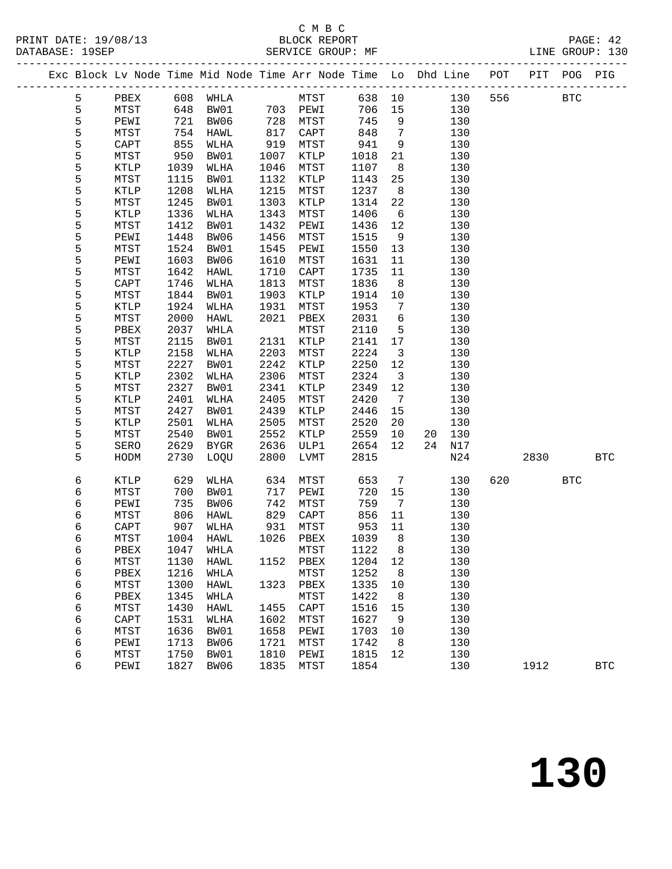|  | 111111 DAID 1990 19<br>DATABASE: 19SEP |              |                      |     |               | PPOCIS KPI ORI | SERVICE GROUP: MF |                                                                                |         |      | $\pm$ $\sim$ $\pm$ $\sim$<br>LINE GROUP: 130 |
|--|----------------------------------------|--------------|----------------------|-----|---------------|----------------|-------------------|--------------------------------------------------------------------------------|---------|------|----------------------------------------------|
|  |                                        |              |                      |     |               |                |                   | Exc Block Lv Node Time Mid Node Time Arr Node Time Lo Dhd Line POT PIT POG PIG |         |      |                                              |
|  | h                                      | PBEX<br>MTST | 608 WHLA<br>648 BW01 | 703 | MTST<br>PF.WT |                | 638 10<br>706 15  | 130                                                                            | 130 556 | BTC. |                                              |

| 5                          | PEWI            | 721  | BW06            | 728  | MTST            | 745  | 9               |    | 130   |     |      |                      |            |
|----------------------------|-----------------|------|-----------------|------|-----------------|------|-----------------|----|-------|-----|------|----------------------|------------|
| 5                          | MTST            | 754  | HAWL            | 817  | CAPT            | 848  | $\overline{7}$  |    | 130   |     |      |                      |            |
|                            | $\texttt{CAPT}$ | 855  | WLHA            | 919  | MTST            | 941  | 9               |    | 130   |     |      |                      |            |
|                            | ${\tt MTST}$    | 950  | BW01            | 1007 | $\texttt{KTLP}$ | 1018 | 21              |    | 130   |     |      |                      |            |
|                            | <b>KTLP</b>     | 1039 | WLHA            | 1046 | MTST            | 1107 | $\,8\,$         |    | 130   |     |      |                      |            |
|                            | ${\tt MTST}$    | 1115 | BW01            | 1132 | $\texttt{KTLP}$ | 1143 | 25              |    | 130   |     |      |                      |            |
|                            | $\texttt{KTLP}$ | 1208 | <b>WLHA</b>     | 1215 | ${\tt MTST}$    | 1237 | $\,8\,$         |    | 130   |     |      |                      |            |
|                            | MTST            | 1245 | BW01            | 1303 | <b>KTLP</b>     | 1314 | 22              |    | 130   |     |      |                      |            |
|                            | $\texttt{KTLP}$ | 1336 | WLHA            | 1343 | MTST            | 1406 | 6               |    | 130   |     |      |                      |            |
|                            | MTST            | 1412 | BW01            | 1432 | PEWI            | 1436 | 12              |    | 130   |     |      |                      |            |
|                            | PEWI            | 1448 | BW06            | 1456 | MTST            | 1515 | 9               |    | 130   |     |      |                      |            |
|                            | MTST            | 1524 | BW01            | 1545 | PEWI            | 1550 | $13$            |    | 130   |     |      |                      |            |
|                            | PEWI            | 1603 | BW06            | 1610 | MTST            | 1631 | 11              |    | 130   |     |      |                      |            |
|                            | MTST            | 1642 | HAWL            | 1710 | CAPT            | 1735 | 11              |    | 130   |     |      |                      |            |
|                            | CAPT            | 1746 | WLHA            | 1813 | ${\tt MTST}$    | 1836 | 8               |    | 130   |     |      |                      |            |
|                            | MTST            | 1844 | BW01            | 1903 | <b>KTLP</b>     | 1914 | $10$            |    | 130   |     |      |                      |            |
|                            | <b>KTLP</b>     | 1924 | WLHA            | 1931 | MTST            | 1953 | $\sqrt{ }$      |    | 130   |     |      |                      |            |
|                            | ${\tt MTST}$    | 2000 | HAWL            | 2021 | PBEX            | 2031 | 6               |    | 130   |     |      |                      |            |
|                            | ${\tt PBEX}$    | 2037 | WHLA            |      | MTST            | 2110 | 5               |    | 130   |     |      |                      |            |
|                            | MTST            | 2115 | BW01            | 2131 | <b>KTLP</b>     | 2141 | 17              |    | 130   |     |      |                      |            |
|                            | $\texttt{KTLP}$ | 2158 | $\texttt{WLHA}$ | 2203 | MTST            | 2224 | $\mathbf{3}$    |    | 130   |     |      |                      |            |
| 55555555555555555555555555 | MTST            | 2227 | BW01            | 2242 | <b>KTLP</b>     | 2250 | $12$            |    | 130   |     |      |                      |            |
|                            | $\texttt{KTLP}$ | 2302 | WLHA            | 2306 | MTST            | 2324 | 3               |    | 130   |     |      |                      |            |
|                            | ${\tt MTST}$    | 2327 | BW01            | 2341 | $\texttt{KTLP}$ | 2349 | 12              |    | 130   |     |      |                      |            |
|                            | KTLP            | 2401 | WLHA            | 2405 | MTST            | 2420 | $7\phantom{.0}$ |    | 130   |     |      |                      |            |
|                            | MTST            | 2427 | BW01            | 2439 | <b>KTLP</b>     | 2446 | 15              |    | 130   |     |      |                      |            |
|                            | $\texttt{KTLP}$ | 2501 | WLHA            | 2505 | MTST            | 2520 | 20              |    | 130   |     |      |                      |            |
|                            | MTST            | 2540 | BW01            | 2552 | <b>KTLP</b>     | 2559 | $10$            | 20 | 130   |     |      |                      |            |
|                            | SERO            | 2629 | <b>BYGR</b>     | 2636 | ULP1            | 2654 | 12              | 24 | $N17$ |     |      |                      |            |
|                            | ${\tt HODM}$    | 2730 | LOQU            | 2800 | ${\rm LVMT}$    | 2815 |                 |    | $N24$ |     | 2830 |                      | <b>BTC</b> |
|                            |                 |      |                 |      |                 |      |                 |    |       |     |      |                      |            |
| 6                          | KTLP            | 629  | WLHA            | 634  | MTST            | 653  | 7               |    | 130   | 620 |      | $\operatorname{BTC}$ |            |
| 6                          | ${\tt MTST}$    | 700  | BW01            | 717  | PEWI            | 720  | 15              |    | 130   |     |      |                      |            |
| 6<br>6<br>6                | PEWI            | 735  | BW06            | 742  | MTST            | 759  | $\sqrt{7}$      |    | 130   |     |      |                      |            |
|                            | MTST            | 806  | HAWL            | 829  | CAPT            | 856  | $11\,$          |    | 130   |     |      |                      |            |
|                            | $\texttt{CAPT}$ | 907  | WLHA            | 931  | MTST            | 953  | 11              |    | 130   |     |      |                      |            |
| 6                          | ${\tt MTST}$    | 1004 | HAWL            | 1026 | PBEX            | 1039 | $\,8\,$         |    | 130   |     |      |                      |            |
| 6                          | ${\tt PBEX}$    | 1047 | WHLA            |      | MTST            | 1122 | 8               |    | 130   |     |      |                      |            |
| 6                          | ${\tt MTST}$    | 1130 | HAWL            | 1152 | ${\tt PBEX}$    | 1204 | 12              |    | 130   |     |      |                      |            |
| 6                          | ${\tt PBEX}$    | 1216 | WHLA            |      | MTST            | 1252 | 8               |    | 130   |     |      |                      |            |
| 6                          | ${\tt MTST}$    | 1300 | HAWL            | 1323 | ${\tt PBEX}$    | 1335 | $10$            |    | 130   |     |      |                      |            |
| б<br>б                     | PBEX            | 1345 | WHLA            |      | MTST            | 1422 | $\,8\,$         |    | 130   |     |      |                      |            |
|                            | MTST            | 1430 | HAWL            | 1455 | CAPT            | 1516 | 15              |    | 130   |     |      |                      |            |
| 6                          | CAPT            | 1531 | WLHA            | 1602 | MTST            | 1627 | 9               |    | 130   |     |      |                      |            |
| 6                          | MTST            | 1636 | BW01            | 1658 | PEWI            | 1703 | $10$            |    | 130   |     |      |                      |            |
| 6                          | PEWI            | 1713 | BW06            | 1721 | MTST            | 1742 | 8               |    | 130   |     |      |                      |            |
| 6                          | MTST            | 1750 | BW01            | 1810 | PEWI            | 1815 | 12              |    | 130   |     |      |                      |            |
| 6                          | PEWI            | 1827 | BW06            | 1835 | MTST            | 1854 |                 |    | 130   |     | 1912 |                      | <b>BTC</b> |
|                            |                 |      |                 |      |                 |      |                 |    |       |     |      |                      |            |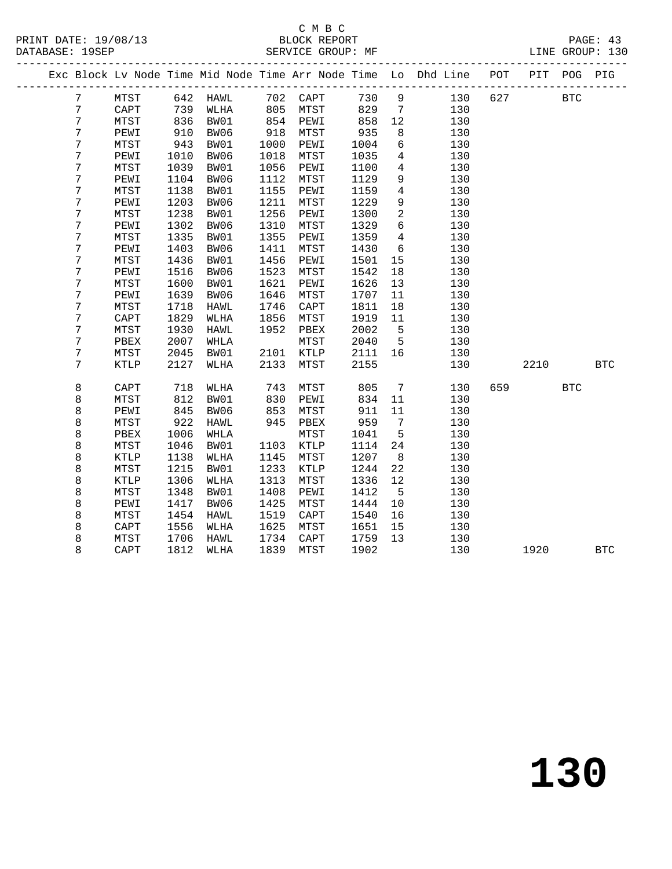### C M B C<br>BLOCK REPORT

SERVICE GROUP: MF

|                |      |            |          |            |                      |      |                 | Exc Block Lv Node Time Mid Node Time Arr Node Time Lo Dhd Line | POT | PIT  | POG        | PIG        |
|----------------|------|------------|----------|------------|----------------------|------|-----------------|----------------------------------------------------------------|-----|------|------------|------------|
| 7              | MTST |            | 642 HAWL |            | 702 CAPT<br>805 MTST | 730  | $\overline{9}$  | 130                                                            | 627 |      | <b>BTC</b> |            |
| $\overline{7}$ | CAPT | 739        | WLHA     |            |                      | 829  | $\overline{7}$  | 130                                                            |     |      |            |            |
| 7              | MTST | 836        | BW01     | 854        | PEWI                 | 858  | 12              | 130                                                            |     |      |            |            |
| 7              | PEWI | 910<br>943 | BW06     | 918        | MTST                 | 935  | 8               | 130                                                            |     |      |            |            |
| 7              | MTST |            | BW01     | 1000       | PEWI                 | 1004 | $6\overline{6}$ | 130                                                            |     |      |            |            |
| 7              | PEWI | 1010       | BW06     | 1018       | MTST                 | 1035 | $\overline{4}$  | 130                                                            |     |      |            |            |
| 7              | MTST | 1039       | BW01     | 1056       | PEWI                 | 1100 | $\overline{4}$  | 130                                                            |     |      |            |            |
| 7              | PEWI | 1104       | BW06     | 1112       | MTST                 | 1129 | 9               | 130                                                            |     |      |            |            |
| 7              | MTST | 1138       | BW01     | 1155       | PEWI                 | 1159 | $\overline{4}$  | 130                                                            |     |      |            |            |
| 7              | PEWI | 1203       | BW06     | 1211       | MTST                 | 1229 | 9               | 130                                                            |     |      |            |            |
| 7              | MTST | 1238       | BW01     | 1256       | PEWI                 | 1300 | $\overline{a}$  | 130                                                            |     |      |            |            |
| 7              | PEWI | 1302       | BW06     | 1310       | MTST                 | 1329 | 6               | 130                                                            |     |      |            |            |
| 7              | MTST | 1335       | BW01     | 1355       | PEWI                 | 1359 | $4\overline{4}$ | 130                                                            |     |      |            |            |
| 7              | PEWI | 1403       | BW06     | 1411       | MTST                 | 1430 | 6               | 130                                                            |     |      |            |            |
| 7              | MTST | 1436       | BW01     | 1456       | PEWI                 | 1501 | 15              | 130                                                            |     |      |            |            |
| 7              | PEWI | 1516       | BW06     | 1523       | MTST                 | 1542 | 18              | 130                                                            |     |      |            |            |
| 7              | MTST | 1600       | BW01     | 1621       | PEWI                 | 1626 | 13              | 130                                                            |     |      |            |            |
| 7              | PEWI | 1639       | BW06     | 1646       | MTST                 | 1707 | 11              | 130                                                            |     |      |            |            |
| 7              | MTST | 1718       | HAWL     | 1746       | $\texttt{CAPT}$      | 1811 | 18              | 130                                                            |     |      |            |            |
| 7              | CAPT | 1829       | WLHA     | 1856       | MTST                 | 1919 | 11              | 130                                                            |     |      |            |            |
| 7              | MTST | 1930       | HAWL     | 1952       | PBEX                 | 2002 | $5^{\circ}$     | 130                                                            |     |      |            |            |
| 7              | PBEX | 2007       | WHLA     |            | MTST                 | 2040 | $5^{\circ}$     | 130                                                            |     |      |            |            |
| 7              | MTST | 2045       | BW01     | 2101       | KTLP                 | 2111 | 16              | 130                                                            |     |      |            |            |
| 7              | KTLP | 2127       | WLHA     | 2133       | MTST                 | 2155 |                 | 130                                                            |     | 2210 |            | BTC        |
| 8              | CAPT | 718        | WLHA     | 743        | MTST                 | 805  | $7\overline{ }$ | 130                                                            | 659 |      | <b>BTC</b> |            |
| 8              | MTST | 812        | BW01     | 830        | PEWI                 | 834  | 11              | 130                                                            |     |      |            |            |
| 8              | PEWI | 845        | BW06     | 853<br>945 | MTST                 | 911  | 11              | 130                                                            |     |      |            |            |
| 8              | MTST | 922        | HAWL     |            | PBEX                 | 959  | $7\overline{ }$ | 130                                                            |     |      |            |            |
| 8              | PBEX | 1006       | WHLA     |            | MTST                 | 1041 | $5^{\circ}$     | 130                                                            |     |      |            |            |
| 8              | MTST | 1046       | BW01     | 1103       | KTLP                 | 1114 | 24              | 130                                                            |     |      |            |            |
| 8              | KTLP | 1138       | WLHA     | 1145       | MTST                 | 1207 | 8 <sup>8</sup>  | 130                                                            |     |      |            |            |
| 8              | MTST | 1215       | BW01     | 1233       | KTLP                 | 1244 | 22              | 130                                                            |     |      |            |            |
| 8              | KTLP | 1306       | WLHA     | 1313       | MTST                 | 1336 | 12              | 130                                                            |     |      |            |            |
| 8              | MTST | 1348       | BW01     | 1408       | PEWI                 | 1412 | $5\overline{5}$ | 130                                                            |     |      |            |            |
| 8              | PEWI | 1417       | BW06     | 1425       | ${\tt MTST}$         | 1444 | 10              | 130                                                            |     |      |            |            |
| 8              | MTST | 1454       | HAWL     | 1519       | CAPT                 | 1540 | 16              | 130                                                            |     |      |            |            |
| 8              | CAPT | 1556       | WLHA     | 1625       | MTST                 | 1651 | 15              | 130                                                            |     |      |            |            |
| 8              | MTST | 1706       | HAWL     | 1734       | $\texttt{CAPT}$      | 1759 | 13              | 130                                                            |     |      |            |            |
| 8              | CAPT | 1812       | WLHA     | 1839       | MTST                 | 1902 |                 | 130                                                            |     | 1920 |            | <b>BTC</b> |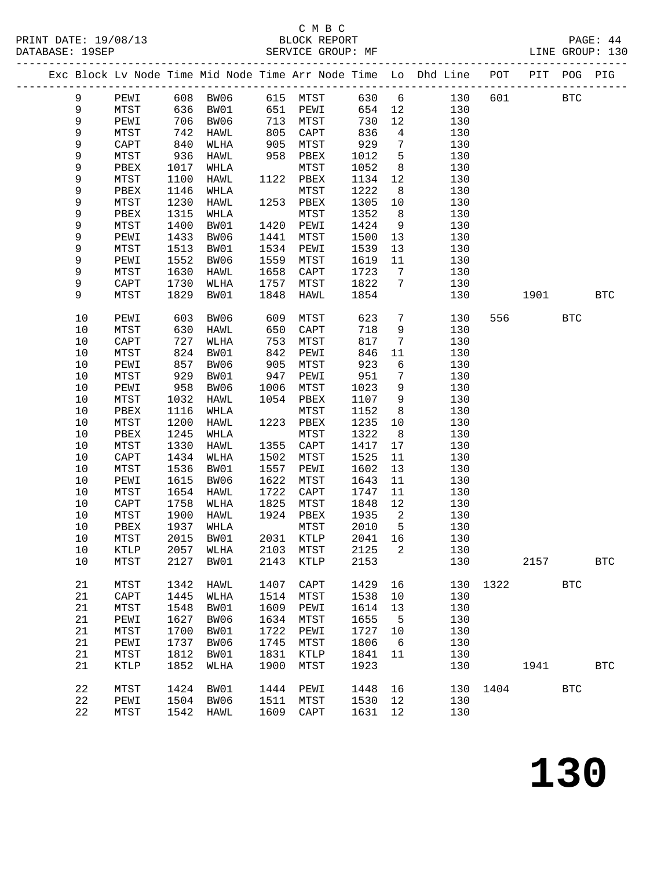# C M B C<br>BLOCK REPORT<br>SERVICE GROUP: MF

|             |              |              |                              |            |                   |              |                         | Exc Block Lv Node Time Mid Node Time Arr Node Time Lo Dhd Line POT PIT POG PIG |              |      |            |            |
|-------------|--------------|--------------|------------------------------|------------|-------------------|--------------|-------------------------|--------------------------------------------------------------------------------|--------------|------|------------|------------|
| 9           |              |              | PEWI 608 BW06 615 MTST 630 6 |            |                   |              |                         |                                                                                | 130 601 BTC  |      |            |            |
| 9           | <b>MTST</b>  |              | 636 BW01                     |            | 651 PEWI 654 12   |              |                         | 130                                                                            |              |      |            |            |
| 9           | PEWI         |              | 706 BW06                     |            | 713 MTST          | 730          | 12                      | 130                                                                            |              |      |            |            |
| $\mathsf 9$ | MTST         | 742          | HAWL                         | 805<br>905 | CAPT              | $830$<br>929 | $\overline{4}$          | 130                                                                            |              |      |            |            |
| 9           | CAPT         | 840          | WLHA                         |            | MTST              |              | $7\overline{ }$         | 130                                                                            |              |      |            |            |
| $\mathsf 9$ | MTST         | 936          | HAWL                         | 958        | PBEX              | 1012         | 5                       | 130                                                                            |              |      |            |            |
| 9           | PBEX         | 1017         | WHLA                         |            | MTST              | 1052         | 8 <sup>8</sup>          | 130                                                                            |              |      |            |            |
| 9           | MTST         | 1100         | HAWL                         |            | 1122 PBEX         | 1134         | 12                      | 130                                                                            |              |      |            |            |
| 9           | PBEX         | 1146         | WHLA                         |            | MTST              | 1222         | 8 <sup>8</sup>          | 130                                                                            |              |      |            |            |
| 9           | MTST         | 1230         | HAWL                         |            | 1253 PBEX         | 1305         | 10                      | 130                                                                            |              |      |            |            |
| 9           | PBEX         | 1315         | WHLA                         |            | MTST              | 1352         | 8 <sup>8</sup>          | 130                                                                            |              |      |            |            |
| $\mathsf 9$ | MTST         | 1400         | BW01                         | 1420       | PEWI              | 1424         | 9                       | 130                                                                            |              |      |            |            |
| 9           | PEWI         | 1433         | BW06                         | 1441       | MTST              | 1500         | 13                      | 130                                                                            |              |      |            |            |
| 9           | MTST         | 1513         | BW01                         | 1534       | PEWI              | 1539         | 13                      | 130                                                                            |              |      |            |            |
| 9           | PEWI         | 1552         | BW06                         | 1559       | MTST              | 1619         | 11                      | 130                                                                            |              |      |            |            |
| 9           | MTST         | 1630         | HAWL                         | 1658       | CAPT              | 1723         | $\overline{7}$          | 130                                                                            |              |      |            |            |
| 9           | CAPT         | 1730         | WLHA                         |            | 1757 MTST         | 1822         | $7\phantom{.0}$         | 130                                                                            |              |      |            |            |
| 9           | MTST         | 1829         | BW01                         | 1848       | HAWL              | 1854         |                         | 130                                                                            |              | 1901 | <b>BTC</b> |            |
| 10          | PEWI         | 603          | BW06                         | 609        | MTST              | 623          | $7\overline{ }$         | 130                                                                            | 556          |      | <b>BTC</b> |            |
| $10$        | MTST         | 630          | HAWL                         | 650        | CAPT              | 718          | 9                       | 130                                                                            |              |      |            |            |
| $10$        | CAPT         | 727          | WLHA                         | 753        | MTST              | 817          | $7\phantom{.0}$         | 130                                                                            |              |      |            |            |
| 10          | MTST         | 824          | BW01                         | 842        | PEWI              | 846          | 11                      | 130                                                                            |              |      |            |            |
| 10          | PEWI         | 857          | BW06                         | 905        | MTST              | 923          | 6                       | 130                                                                            |              |      |            |            |
| $10$        | MTST         | 929          | BW01                         | 947        | PEWI              | 951          | $7\phantom{.0}$         | 130                                                                            |              |      |            |            |
| 10          | PEWI         | 958          | BW06                         | 1006       | MTST              | 1023         | 9                       | 130                                                                            |              |      |            |            |
| 10          | MTST         | 1032         | HAWL                         | 1054       | PBEX              | 1107         | 9                       | 130                                                                            |              |      |            |            |
| 10<br>$10$  | PBEX         | 1116<br>1200 | WHLA                         | 1223       | MTST              | 1152<br>1235 | 8                       | 130<br>130                                                                     |              |      |            |            |
| $10$        | MTST         | 1245         | HAWL                         |            | PBEX              | 1322         | 10<br>8 <sup>8</sup>    |                                                                                |              |      |            |            |
| 10          | PBEX<br>MTST | 1330         | WHLA<br>HAWL                 | 1355       | MTST<br>CAPT      | 1417         | 17                      | 130<br>130                                                                     |              |      |            |            |
| 10          | CAPT         | 1434         | WLHA                         | 1502       | MTST              | 1525         | 11                      | 130                                                                            |              |      |            |            |
| $10$        | MTST         | 1536         | BW01                         | 1557       | PEWI              | 1602         | 13                      | 130                                                                            |              |      |            |            |
| $10$        | PEWI         | 1615         | BW06                         | 1622       | MTST              | 1643         | 11                      | 130                                                                            |              |      |            |            |
| 10          | MTST         | 1654         | HAWL                         | 1722       | CAPT              | 1747         | 11                      | 130                                                                            |              |      |            |            |
| 10          | CAPT         | 1758         | WLHA                         | 1825       | MTST              | 1848         | 12                      | 130                                                                            |              |      |            |            |
| $10$        | MTST         | 1900         | HAWL                         | 1924       | PBEX              | 1935         | $\overline{\mathbf{c}}$ | 130                                                                            |              |      |            |            |
| 10          | PBEX         | 1937         | WHLA                         |            | MTST              | 2010         | $5^{\circ}$             | 130                                                                            |              |      |            |            |
| 10          |              |              | MTST 2015 BW01               |            | 2031 KTLP 2041 16 |              |                         | 130                                                                            |              |      |            |            |
| 10          | KTLP         | 2057         | WLHA                         | 2103       | MTST              | 2125         | 2                       | 130                                                                            |              |      |            |            |
| $10$        | MTST         | 2127         | BW01                         | 2143       | KTLP              | 2153         |                         | 130                                                                            |              | 2157 |            | <b>BTC</b> |
| 21          | MTST         | 1342         | HAWL                         | 1407       | CAPT              | 1429         | 16                      |                                                                                | 130 1322 BTC |      |            |            |
| 21          | CAPT         | 1445         | WLHA                         | 1514       | MTST              | 1538         | 10                      | 130                                                                            |              |      |            |            |
| 21          | MTST         | 1548         | BW01                         | 1609       | PEWI              | 1614         | 13                      | 130                                                                            |              |      |            |            |
| 21          | PEWI         | 1627         | BW06                         | 1634       | MTST              | 1655         | $5^{\circ}$             | 130                                                                            |              |      |            |            |
| 21          | MTST         | 1700         | BW01                         | 1722       | PEWI              | 1727         | 10                      | 130                                                                            |              |      |            |            |
| 21          | PEWI         | 1737         | BW06                         | 1745       | MTST              | 1806         | 6                       | 130                                                                            |              |      |            |            |
| 21          | MTST         | 1812         | BW01                         | 1831       | KTLP              | 1841         | 11                      | 130                                                                            |              |      |            |            |
| 21          | KTLP         | 1852         | WLHA                         | 1900       | MTST              | 1923         |                         | 130                                                                            |              | 1941 |            | <b>BTC</b> |
| 22          | MTST         | 1424         | BW01                         | 1444       | PEWI              | 1448         | 16                      |                                                                                | 130 1404     |      | <b>BTC</b> |            |
| 22          | PEWI         |              | 1504 BW06                    | 1511       | MTST              | 1530         | 12                      | 130                                                                            |              |      |            |            |
| 22          | MTST         |              | 1542 HAWL                    |            | 1609 CAPT         | 1631         | 12                      | 130                                                                            |              |      |            |            |
|             |              |              |                              |            |                   |              |                         |                                                                                |              |      |            |            |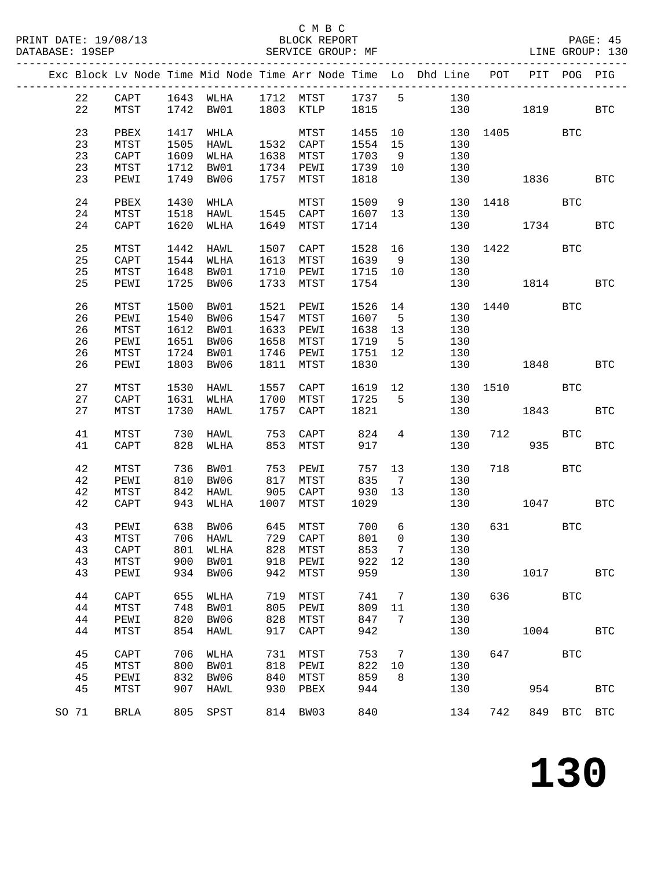#### C M B C<br>BLOCK REPORT SERVICE GROUP: MF

|       |          |                              |              |                           |            |                                    |         |                 | Exc Block Lv Node Time Mid Node Time Arr Node Time Lo Dhd Line | POT          | PIT        | POG.        | PIG        |
|-------|----------|------------------------------|--------------|---------------------------|------------|------------------------------------|---------|-----------------|----------------------------------------------------------------|--------------|------------|-------------|------------|
|       | 22       | CAPT                         |              | 1643 WLHA                 |            |                                    |         |                 | 130                                                            |              |            |             |            |
|       | 22       | MTST                         |              | 1742 BW01                 |            | 1712 MTST 1737 5<br>1803 KTLP 1815 |         |                 |                                                                | 130          | 1819       |             | BTC        |
|       |          |                              |              |                           |            |                                    |         |                 |                                                                |              |            |             |            |
|       | 23       | PBEX                         | 1417         | WHLA                      |            | MTST                               | 1455    | 10              |                                                                | 130 1405 BTC |            |             |            |
|       | 23       | MTST                         | 1505         | HAWL                      |            | 1532 CAPT                          | 1554 15 |                 | 130                                                            |              |            |             |            |
|       | 23       | $\mathop{\rm CAPT}\nolimits$ | 1609         | WLHA                      |            | 1638 MTST                          | 1703    | $\overline{9}$  | 130                                                            |              |            |             |            |
|       | 23       | MTST                         | 1712         | BW01                      |            | 1734 PEWI                          | 1739 10 |                 | 130                                                            |              |            |             |            |
|       | 23       | PEWI                         | 1749         | BW06                      |            | 1757 MTST                          | 1818    |                 | 130                                                            |              | 1836 BTC   |             |            |
|       |          |                              |              |                           |            |                                    |         |                 |                                                                |              |            |             |            |
|       | 24       | PBEX                         | 1430         | WHLA                      |            | MTST                               | 1509 9  |                 |                                                                | 130 1418 BTC |            |             |            |
|       | 24       | MTST                         | 1518         | HAWL                      |            | 1545 CAPT                          | 1607 13 |                 | 130                                                            |              |            |             |            |
|       | 24       | CAPT                         | 1620         | WLHA                      | 1649       | MTST                               | 1714    |                 | 130                                                            |              | 1734       |             | BTC        |
|       |          |                              |              |                           |            |                                    |         |                 |                                                                |              |            |             |            |
|       | 25       | MTST                         | 1442         | HAWL                      | 1507       | CAPT                               | 1528    | 16              | 130                                                            |              | 1422 BTC   |             |            |
|       | 25       | $\mathop{\rm CAPT}\nolimits$ | 1544         | WLHA                      | 1613       | MTST                               | 1639 9  |                 | 130                                                            |              |            |             |            |
|       | 25       | MTST                         | 1648         | BW01                      | 1710       | PEWI                               | 1715 10 |                 | 130                                                            |              |            |             |            |
|       | 25       | PEWI                         | 1725         | BW06                      | 1733       | MTST                               | 1754    |                 | 130                                                            |              | 1814       |             | <b>BTC</b> |
|       |          |                              |              |                           |            |                                    |         |                 |                                                                |              |            |             |            |
|       | 26       | MTST                         | 1500         | BW01                      | 1521       | PEWI                               | 1526    | 14              |                                                                | 130 1440 BTC |            |             |            |
|       | 26       | PEWI                         | 1540         | BW06                      | 1547       | MTST                               | 1607    | $\overline{5}$  | 130                                                            |              |            |             |            |
|       | 26       | MTST                         | 1612         | BW01                      | 1633       | PEWI                               | 1638 13 |                 | 130                                                            |              |            |             |            |
|       | 26       | PEWI                         | 1651         | BW06                      | 1658       | MTST                               | 1719 5  |                 | 130                                                            |              |            |             |            |
|       | 26       | MTST                         | 1724         | BW01                      | 1746       | PEWI                               | 1751 12 |                 | 130                                                            |              |            |             |            |
|       | 26       | PEWI                         | 1803         | BW06                      |            | 1811 MTST                          | 1830    |                 | 130                                                            |              | 1848       | <b>BTC</b>  |            |
|       |          |                              |              |                           |            |                                    |         |                 |                                                                | 130 1510 BTC |            |             |            |
|       | 27       | MTST                         | 1530         | HAWL                      |            | 1557 CAPT                          | 1619 12 |                 |                                                                |              |            |             |            |
|       | 27<br>27 | CAPT<br>MTST                 | 1631<br>1730 | WLHA                      |            | 1700 MTST<br>1757 CAPT             | 1725 5  |                 | 130                                                            |              |            |             | <b>BTC</b> |
|       |          |                              |              | HAWL                      |            |                                    | 1821    |                 | 130                                                            |              | 1843       |             |            |
|       | 41       | MTST                         | 730          | HAWL                      | 753        | CAPT                               | 824     | $\overline{4}$  | 130                                                            | 712          |            | BTC         |            |
|       | 41       | CAPT                         | 828          | WLHA                      | 853        | MTST                               | 917     |                 | 130                                                            |              | 935        |             | <b>BTC</b> |
|       |          |                              |              |                           |            |                                    |         |                 |                                                                |              |            |             |            |
|       | 42       | MTST                         | 736          | BW01                      | 753        | PEWI                               | 757     | 13              | 130                                                            |              | 718 BTC    |             |            |
|       | $4\,2$   | PEWI                         | 810          | BW06                      |            | MTST                               | 835     | $\overline{7}$  | 130                                                            |              |            |             |            |
|       | 42       | MTST                         | 842          | HAWL                      | 817<br>905 | CAPT                               | 930     | 13              | 130                                                            |              |            |             |            |
|       | 42       | CAPT                         | 943          | WLHA                      |            | 1007 MTST                          | 1029    |                 | 130                                                            |              | 1047 BTC   |             |            |
|       |          |                              |              |                           |            |                                    |         |                 |                                                                |              |            |             |            |
|       | 43       | PEWI                         | 638          | BW06                      |            |                                    | 700     | $6\overline{6}$ | 130                                                            |              | 631 BTC    |             |            |
|       | 43       | MTST                         |              | 706 HAWL                  |            | 645 MTST<br>729 CAPT               | 801     | $\overline{0}$  | 130                                                            |              |            |             |            |
|       |          |                              |              | 43 CAPT 801 WLHA 828 MTST |            |                                    | 853 7   |                 | 130                                                            |              |            |             |            |
|       | 43       | MTST                         | 900          | BW01                      | 918        | PEWI                               | 922 12  |                 | 130                                                            |              |            |             |            |
|       | 43       | PEWI                         | 934          | BW06                      | 942        | MTST                               | 959     |                 | 130                                                            |              | 1017       |             | <b>BTC</b> |
|       |          |                              |              |                           |            |                                    |         |                 |                                                                |              |            |             |            |
|       | 44       | CAPT                         | 655          | WLHA                      | 719        | MTST                               | 741     | $\overline{7}$  | 130                                                            |              | 636 BTC    |             |            |
|       | 44       | MTST                         | 748          | BW01                      | 805        | PEWI                               | 809     | 11              | 130                                                            |              |            |             |            |
|       | 44       | PEWI                         | 820          | BW06                      | 828        | MTST                               | 847     | 7               | 130                                                            |              |            |             |            |
|       | 44       | MTST                         | 854          | HAWL                      | 917        | CAPT                               | 942     |                 | 130                                                            |              | 1004       |             | <b>BTC</b> |
|       |          |                              |              |                           |            |                                    |         |                 |                                                                |              |            |             |            |
|       | 45       | CAPT                         | 706          | WLHA                      | 731        | MTST                               | 753     | $\overline{7}$  | 130                                                            | 647          | <b>BTC</b> |             |            |
|       | 45       | MTST                         | 800          | BW01                      | 818        | PEWI                               | 822     | 10              | 130                                                            |              |            |             |            |
|       | 45       | PEWI                         | 832          | BW06                      | 840        | MTST                               | 859     | - 8             | 130                                                            |              |            |             |            |
|       | 45       | MTST                         | 907          | HAWL                      | 930        | PBEX                               | 944     |                 | 130                                                            |              | 954        |             | <b>BTC</b> |
|       |          |                              |              |                           |            |                                    |         |                 |                                                                |              |            |             |            |
| SO 71 |          | BRLA                         | 805          | SPST                      |            | 814 BW03                           | 840     |                 | 134                                                            | 742          |            | 849 BTC BTC |            |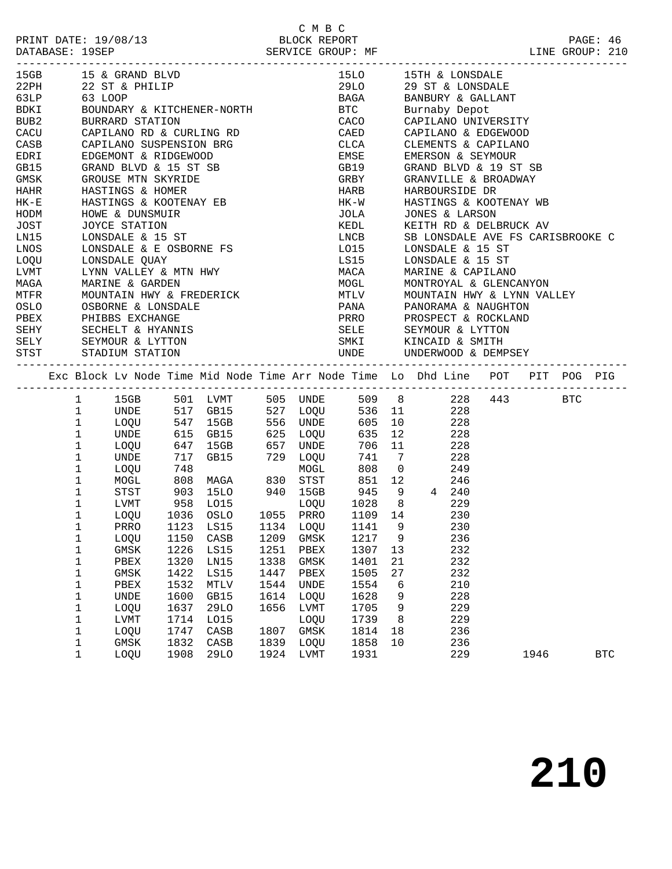|          | 15GB 15 & GRAND BLVD                         |                                                                                                                                                                                                                       |                      |      |      |                      |    | 15LO 15TH & LONSDALE                                                                                                                                                                                                                             |         |  |  |
|----------|----------------------------------------------|-----------------------------------------------------------------------------------------------------------------------------------------------------------------------------------------------------------------------|----------------------|------|------|----------------------|----|--------------------------------------------------------------------------------------------------------------------------------------------------------------------------------------------------------------------------------------------------|---------|--|--|
|          | 22PH 22 ST & PHILIP                          |                                                                                                                                                                                                                       |                      |      |      |                      |    | 29LO 29 ST & LONSDALE                                                                                                                                                                                                                            |         |  |  |
|          | <b>b</b> <i>SLP</i> 63 LOOP<br>BDKI BOUNDARY |                                                                                                                                                                                                                       |                      |      |      |                      |    |                                                                                                                                                                                                                                                  |         |  |  |
|          |                                              |                                                                                                                                                                                                                       |                      |      |      |                      |    |                                                                                                                                                                                                                                                  |         |  |  |
| BUB2     | BURRARD STATION                              |                                                                                                                                                                                                                       |                      |      |      |                      |    | CACO CAPILANO UNIVERSITY                                                                                                                                                                                                                         |         |  |  |
|          |                                              | CACU CAPILANO RD & CURLING RD                                                                                                                                                                                         |                      |      |      |                      |    | CAED CAPILANO & EDGEWOOD                                                                                                                                                                                                                         |         |  |  |
| CASB     |                                              | CAPILANO SUSPENSION BRG<br>EDGEMONT & RIDGEWOOD<br>GRAND BLVD & 15 ST SB                                                                                                                                              |                      |      |      | CLCA                 |    |                                                                                                                                                                                                                                                  |         |  |  |
| EDRI     |                                              |                                                                                                                                                                                                                       |                      |      |      | EMSE                 |    | CLEMENTS & CAPILANO<br>EMERSON & SEYMOUR<br>EMERSON & SEYMOUR                                                                                                                                                                                    |         |  |  |
| GB15     |                                              |                                                                                                                                                                                                                       |                      |      |      |                      |    | GB19 GRAND BLVD & 19 ST SB                                                                                                                                                                                                                       |         |  |  |
| GMSK     |                                              | GROUSE MTN SKYRIDE                                                                                                                                                                                                    |                      |      |      | GRBY                 |    | GRANVILLE & BROADWAY                                                                                                                                                                                                                             |         |  |  |
| HAHR     |                                              |                                                                                                                                                                                                                       |                      |      |      |                      |    |                                                                                                                                                                                                                                                  |         |  |  |
| $HK - E$ |                                              | HASTINGS & HOMER<br>HASTINGS & KOOTENAY EB                                                                                                                                                                            |                      |      |      |                      |    |                                                                                                                                                                                                                                                  |         |  |  |
|          | HODM HOWE & DUNSMUIR                         |                                                                                                                                                                                                                       |                      |      |      |                      |    | HARB           HARBOURSIDE  DR<br>HK-W          HASTINGS  &  KOOTENAY  WB<br>JOLA          JONES  &  LARSON                                                                                                                                      |         |  |  |
| JOST     |                                              |                                                                                                                                                                                                                       |                      |      |      | KEDL                 |    | KEITH RD & DELBRUCK AV                                                                                                                                                                                                                           |         |  |  |
| LNI5     |                                              |                                                                                                                                                                                                                       |                      |      |      |                      |    | SB LONSDALE AVE FS CARISBROOKE C                                                                                                                                                                                                                 |         |  |  |
| LNOS     |                                              | LOW SIATION<br>LONSDALE & 15 ST<br>LONSDALE & E OSBOBATT -<br>LONSDALE & E OSBOBATT -                                                                                                                                 |                      |      |      | LNCB<br>LO15<br>L015 |    | LONSDALE & 15 ST                                                                                                                                                                                                                                 |         |  |  |
| LOQU     |                                              | LONSDALE & E OSBORNE FS<br>LONSDALE QUAY                                                                                                                                                                              |                      |      |      |                      |    | LS15 LONSDALE & 15 ST                                                                                                                                                                                                                            |         |  |  |
|          |                                              |                                                                                                                                                                                                                       |                      |      |      |                      |    |                                                                                                                                                                                                                                                  |         |  |  |
|          |                                              |                                                                                                                                                                                                                       |                      |      |      |                      |    |                                                                                                                                                                                                                                                  |         |  |  |
|          |                                              |                                                                                                                                                                                                                       |                      |      |      |                      |    |                                                                                                                                                                                                                                                  |         |  |  |
|          |                                              | LOW MACA MARINE A LOWORD WARTINE & CAPILANO<br>MAGA MARINE & GARDEN MOGL MONTROYAL & GLENCANYON<br>MTFR MOUNTAIN HWY & FREDERICK MULLY MOUNTAIN HWY & LYNN VALLEY<br>OSLO OSBORNE & LONSDALE PANA PANORAMA & NAUGHTON |                      |      |      |                      |    |                                                                                                                                                                                                                                                  |         |  |  |
|          | PBEX PHIBBS EXCHANGE                         |                                                                                                                                                                                                                       |                      |      |      |                      |    | PRRO PROSPECT & ROCKLAND                                                                                                                                                                                                                         |         |  |  |
|          |                                              |                                                                                                                                                                                                                       |                      |      |      |                      |    |                                                                                                                                                                                                                                                  |         |  |  |
|          |                                              |                                                                                                                                                                                                                       |                      |      |      |                      |    |                                                                                                                                                                                                                                                  |         |  |  |
|          |                                              | SEHY SECHELT & HYANNIS<br>SELY SEYMOUR & LYTTON<br>STST STADIUM STATION                                                                                                                                               |                      |      |      |                      |    | SELE SEYMOUR & LYTTON<br>SMKI         KINCAID & SMITH<br>UNDE        UNDERWOOD & DEMPSEY                                                                                                                                                         |         |  |  |
|          |                                              |                                                                                                                                                                                                                       |                      |      |      |                      |    |                                                                                                                                                                                                                                                  |         |  |  |
|          |                                              | Exc Block Lv Node Time Mid Node Time Arr Node Time Lo Dhd Line POT PIT POG PIG                                                                                                                                        |                      |      |      |                      |    |                                                                                                                                                                                                                                                  |         |  |  |
|          |                                              | 1 15GB 501 LVMT 505 UNDE                                                                                                                                                                                              |                      |      |      |                      |    | 509 8 228                                                                                                                                                                                                                                        | 443 BTC |  |  |
|          | $\mathbf{1}$                                 |                                                                                                                                                                                                                       |                      |      |      |                      |    |                                                                                                                                                                                                                                                  |         |  |  |
|          |                                              |                                                                                                                                                                                                                       |                      |      |      |                      |    |                                                                                                                                                                                                                                                  |         |  |  |
|          | $\mathbf{1}$                                 |                                                                                                                                                                                                                       |                      |      |      |                      |    |                                                                                                                                                                                                                                                  |         |  |  |
|          | $\mathbf 1$                                  |                                                                                                                                                                                                                       |                      |      |      |                      |    |                                                                                                                                                                                                                                                  |         |  |  |
|          | $1\,$                                        |                                                                                                                                                                                                                       |                      |      |      |                      |    |                                                                                                                                                                                                                                                  |         |  |  |
|          | $\mathbf 1$                                  |                                                                                                                                                                                                                       |                      |      |      |                      |    |                                                                                                                                                                                                                                                  |         |  |  |
|          | $\mathbf 1$                                  |                                                                                                                                                                                                                       |                      |      |      |                      |    |                                                                                                                                                                                                                                                  |         |  |  |
|          | $\mathbf 1$                                  |                                                                                                                                                                                                                       |                      |      |      |                      |    |                                                                                                                                                                                                                                                  |         |  |  |
|          | $\mathbf 1$                                  |                                                                                                                                                                                                                       |                      |      |      |                      |    |                                                                                                                                                                                                                                                  |         |  |  |
|          | $\mathbf 1$<br>LVMT                          |                                                                                                                                                                                                                       | 958 LO15 LOQU 1028 8 |      |      |                      |    | 15GB 501 LVMT 505 UNDE 509 8<br>UNDE 517 GB15 527 LOQU 536 11 228<br>LOQU 547 15GB 556 UNDE 605 10 228<br>UNDE 615 GB15 625 LOQU 635 12 228<br>LOQU 647 15GB 657 UNDE 706 11 228<br>UNDE 717 GB15 729 LOQU 741 7 228<br>UNDE 717 GB15 729<br>229 |         |  |  |
|          | $\mathbf 1$                                  |                                                                                                                                                                                                                       |                      |      |      |                      |    |                                                                                                                                                                                                                                                  |         |  |  |
|          | 1<br>PRRO                                    | LOQU 1036 OSLO 1055 PRRO 1109 14 230                                                                                                                                                                                  |                      |      |      |                      |    |                                                                                                                                                                                                                                                  |         |  |  |
|          | $\mathbf 1$<br>LOQU                          | 1123 LS15<br>1150 CASB                                                                                                                                                                                                |                      |      |      |                      |    | 1134  LOQU      1141     9                230<br>1209   GMSK       1217     9               236                                                                                                                                                  |         |  |  |
|          | 1                                            |                                                                                                                                                                                                                       |                      |      |      |                      |    |                                                                                                                                                                                                                                                  |         |  |  |
|          | 1<br>PBEX                                    | GMSK 1226 LS15 1251 PBEX 1307 13 232<br>1320                                                                                                                                                                          | LN15                 | 1338 | GMSK | 1401                 | 21 | 232                                                                                                                                                                                                                                              |         |  |  |
|          | GMSK<br>1                                    | 1422                                                                                                                                                                                                                  | LS15                 | 1447 | PBEX | 1505                 | 27 | 232                                                                                                                                                                                                                                              |         |  |  |
|          | $\mathbf 1$<br>PBEX                          | 1532                                                                                                                                                                                                                  | MTLV                 | 1544 | UNDE | 1554                 | 6  | 210                                                                                                                                                                                                                                              |         |  |  |
|          | 1<br>UNDE                                    | 1600                                                                                                                                                                                                                  | GB15                 | 1614 | LOQU | 1628                 | 9  | 228                                                                                                                                                                                                                                              |         |  |  |
|          | $\mathbf 1$<br>LOQU                          | 1637                                                                                                                                                                                                                  | 29LO                 | 1656 | LVMT | 1705                 | 9  | 229                                                                                                                                                                                                                                              |         |  |  |
|          | 1<br>LVMT                                    | 1714                                                                                                                                                                                                                  | L015                 |      | LOQU | 1739                 | 8  | 229                                                                                                                                                                                                                                              |         |  |  |
|          | $\mathbf 1$<br>LOQU                          | 1747                                                                                                                                                                                                                  | CASB                 | 1807 | GMSK | 1814                 | 18 | 236                                                                                                                                                                                                                                              |         |  |  |
|          | 1<br>GMSK                                    | 1832                                                                                                                                                                                                                  | CASB                 | 1839 | LOQU | 1858                 | 10 | 236                                                                                                                                                                                                                                              |         |  |  |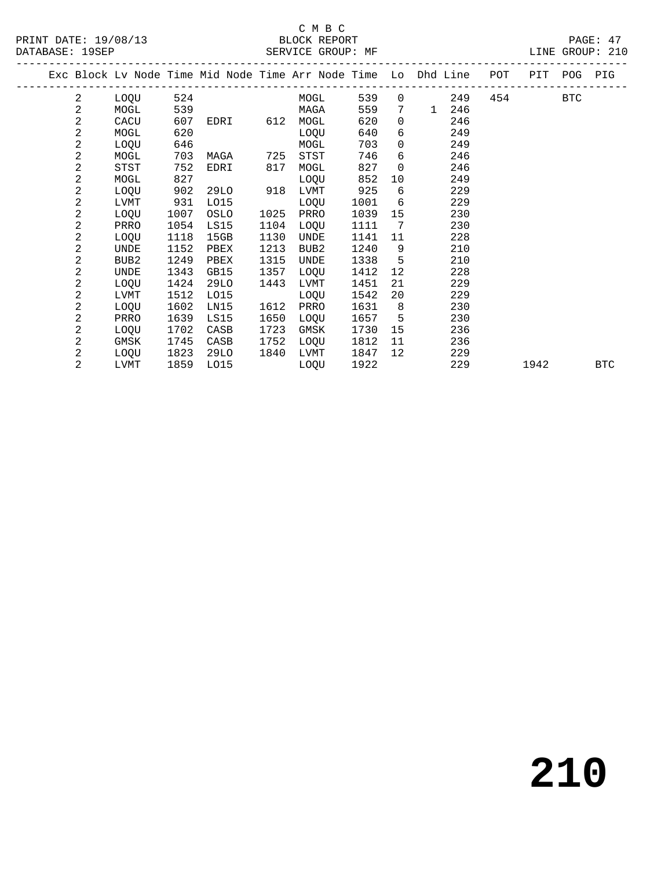### C M B C<br>BLOCK REPORT

SERVICE GROUP: MF

|  |                | Exc Block Lv Node Time Mid Node Time Arr Node Time Lo Dhd Line<br>-------------------------- |      |      |          |      |      |      |                              |              |     | POT PIT POG PIG |      |     |            |
|--|----------------|----------------------------------------------------------------------------------------------|------|------|----------|------|------|------|------------------------------|--------------|-----|-----------------|------|-----|------------|
|  | 2              | LOQU                                                                                         | 524  |      |          |      | MOGL | 539  |                              | $\Omega$     | 249 | 454             |      | BTC |            |
|  | $\mathbf{2}$   | MOGL                                                                                         | 539  |      |          | MAGA |      | 559  | 7 <sup>7</sup>               | $\mathbf{1}$ | 246 |                 |      |     |            |
|  | $\sqrt{2}$     | CACU                                                                                         | 607  |      | EDRI 612 | MOGL |      | 620  | $\Omega$                     |              | 246 |                 |      |     |            |
|  | 2              | MOGL                                                                                         | 620  |      |          | LOQU |      | 640  | 6                            |              | 249 |                 |      |     |            |
|  | 2              | LOOU                                                                                         | 646  |      |          | MOGL |      | 703  | $\overline{0}$               |              | 249 |                 |      |     |            |
|  | $\overline{c}$ | MOGL                                                                                         | 703  | MAGA | 725      | STST |      | 746  | 6                            |              | 246 |                 |      |     |            |
|  | 2              | STST                                                                                         | 752  | EDRI | 817      | MOGL |      | 827  | $\Omega$                     |              | 246 |                 |      |     |            |
|  | $\overline{c}$ | MOGL                                                                                         | 827  |      |          | LOQU |      | 852  | 10                           |              | 249 |                 |      |     |            |
|  | 2              | LOQU                                                                                         | 902  | 29LO | 918      | LVMT |      | 925  | 6                            |              | 229 |                 |      |     |            |
|  | 2              | LVMT                                                                                         | 931  | L015 |          | LOQU |      | 1001 | 6                            |              | 229 |                 |      |     |            |
|  | $\mathbf{2}$   | LOQU                                                                                         | 1007 | OSLO | 1025     | PRRO |      | 1039 | 15                           |              | 230 |                 |      |     |            |
|  | $\overline{a}$ | PRRO                                                                                         | 1054 | LS15 | 1104     | LOQU |      | 1111 | $7\phantom{.0}\phantom{.0}7$ |              | 230 |                 |      |     |            |
|  | 2              | LOQU                                                                                         | 1118 | 15GB | 1130     | UNDE |      | 1141 | 11                           |              | 228 |                 |      |     |            |
|  | 2              | UNDE                                                                                         | 1152 | PBEX | 1213     | BUB2 |      | 1240 | 9                            |              | 210 |                 |      |     |            |
|  | $\overline{c}$ | BUB2                                                                                         | 1249 | PBEX | 1315     | UNDE |      | 1338 | $5^{\circ}$                  |              | 210 |                 |      |     |            |
|  | $\overline{c}$ | UNDE                                                                                         | 1343 | GB15 | 1357     | LOQU |      | 1412 | 12                           |              | 228 |                 |      |     |            |
|  | $\overline{a}$ | LOQU                                                                                         | 1424 | 29LO | 1443     | LVMT |      | 1451 | 21                           |              | 229 |                 |      |     |            |
|  | 2              | LVMT                                                                                         | 1512 | L015 |          | LOQU |      | 1542 | 20                           |              | 229 |                 |      |     |            |
|  | 2              | LOQU                                                                                         | 1602 | LN15 | 1612     | PRRO |      | 1631 | 8 <sup>8</sup>               |              | 230 |                 |      |     |            |
|  | 2              | PRRO                                                                                         | 1639 | LS15 | 1650     | LOQU |      | 1657 | 5                            |              | 230 |                 |      |     |            |
|  | 2              | LOQU                                                                                         | 1702 | CASB | 1723     | GMSK |      | 1730 | 15                           |              | 236 |                 |      |     |            |
|  | 2              | GMSK                                                                                         | 1745 | CASB | 1752     | LOQU |      | 1812 | 11                           |              | 236 |                 |      |     |            |
|  | 2              | LOQU                                                                                         | 1823 | 29LO | 1840     | LVMT |      | 1847 | 12                           |              | 229 |                 |      |     |            |
|  | 2              | LVMT                                                                                         | 1859 | L015 |          | LOQU |      | 1922 |                              |              | 229 |                 | 1942 |     | <b>BTC</b> |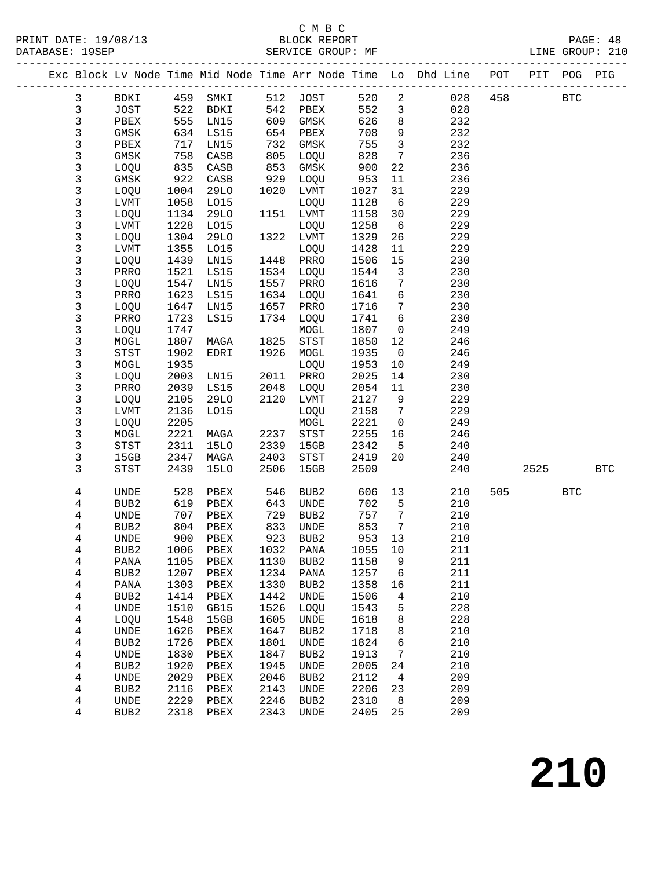|                   |                          |              |                          |              |              |              |                                    | Exc Block Lv Node Time Mid Node Time Arr Node Time Lo Dhd Line POT PIT POG PIG |     |            |            |            |
|-------------------|--------------------------|--------------|--------------------------|--------------|--------------|--------------|------------------------------------|--------------------------------------------------------------------------------|-----|------------|------------|------------|
| $\mathbf{3}$      | BDKI 459 SMKI            |              |                          |              | 512 JOST     | 520 2        |                                    | 028                                                                            | 458 | <b>BTC</b> |            |            |
| $\mathsf{3}$      | JOST                     | 522          | BDKI                     | 542          | PBEX         | 552          | $\mathbf{3}$                       | 028                                                                            |     |            |            |            |
| $\mathsf{3}$      | PBEX                     | 555          | LN15                     | 609          | GMSK         | 626          | 8                                  | 232                                                                            |     |            |            |            |
| $\mathsf{3}$      | GMSK                     | 634          | LS15                     | 654          | PBEX         | 708          | 9                                  | 232                                                                            |     |            |            |            |
| $\mathsf 3$       | PBEX                     | 717          | LN15                     | 732          | GMSK         | 755          | $\overline{3}$                     | 232                                                                            |     |            |            |            |
| 3                 | GMSK                     | 758          | CASB                     | 805          | LOQU         | 828          | $7\phantom{.0}$                    | 236                                                                            |     |            |            |            |
| 3                 | LOQU                     | 835          | CASB                     | 853          | GMSK         | 900          | 22                                 | 236                                                                            |     |            |            |            |
| $\mathfrak{Z}$    | GMSK                     | 922          | CASB                     | 929          | LOQU         | 953          | 11                                 | 236                                                                            |     |            |            |            |
| $\mathfrak{Z}$    | LOQU                     | 1004         | 29LO                     | 1020         | LVMT         | 1027         | 31                                 | 229                                                                            |     |            |            |            |
| $\mathsf 3$       | LVMT                     | 1058         | L015                     |              | LOQU         | 1128         | $6\overline{6}$                    | 229                                                                            |     |            |            |            |
| $\mathsf{3}$      | LOQU                     | 1134         | 29LO                     |              | 1151 LVMT    | 1158         | 30                                 | 229                                                                            |     |            |            |            |
| $\mathfrak{Z}$    | LVMT                     | 1228         | L015                     |              | LOQU         | 1258         | 6                                  | 229                                                                            |     |            |            |            |
| $\mathsf{3}$      | LOQU                     | 1304         | 29LO                     | 1322         | LVMT         | 1329         | 26                                 | 229                                                                            |     |            |            |            |
| $\mathsf 3$       | LVMT                     | 1355         | L015                     |              | LOQU         | 1428         | 11                                 | 229                                                                            |     |            |            |            |
| $\mathsf 3$       | LOQU                     | 1439         | LN15                     | 1448         | PRRO         | 1506         | 15                                 | 230                                                                            |     |            |            |            |
| $\mathsf{3}$      | PRRO                     | 1521         | LS15                     | 1534         | LOQU         | 1544         | $\mathbf{3}$                       | 230                                                                            |     |            |            |            |
| $\mathsf{3}$      | LOQU                     | 1547<br>1623 | LN15                     | 1557         | PRRO         | 1616         | $7\phantom{.0}$<br>$6\overline{6}$ | 230<br>230                                                                     |     |            |            |            |
| 3<br>$\mathsf{3}$ | PRRO<br>LOQU             | 1647         | LS15<br>LN15             | 1634<br>1657 | LOQU<br>PRRO | 1641<br>1716 | $7\overline{ }$                    | 230                                                                            |     |            |            |            |
| 3                 | PRRO                     | 1723         | LS15                     | 1734         | LOQU         | 1741         | 6                                  | 230                                                                            |     |            |            |            |
| $\mathsf{3}$      | LOQU                     | 1747         |                          |              | MOGL         | 1807         | $\mathbf 0$                        | 249                                                                            |     |            |            |            |
| 3                 | MOGL                     | 1807         | MAGA                     | 1825         | STST         | 1850         | 12                                 | 246                                                                            |     |            |            |            |
| 3                 | STST                     | 1902         | EDRI                     | 1926         | MOGL         | 1935         | $\overline{0}$                     | 246                                                                            |     |            |            |            |
| 3                 | MOGL                     | 1935         |                          |              | LOQU         | 1953         | 10                                 | 249                                                                            |     |            |            |            |
| $\mathsf{3}$      | LOQU                     | 2003         | LN15                     | 2011         | PRRO         | 2025         | 14                                 | 230                                                                            |     |            |            |            |
| 3                 | PRRO                     | 2039         | LS15                     | 2048         | LOQU         | 2054         | 11                                 | 230                                                                            |     |            |            |            |
| 3                 | LOQU                     | 2105         | 29LO                     | 2120         | LVMT         | 2127         | 9                                  | 229                                                                            |     |            |            |            |
| 3                 | LVMT                     | 2136         | L015                     |              | LOQU         | 2158         | $\overline{7}$                     | 229                                                                            |     |            |            |            |
| $\mathsf 3$       | LOQU                     | 2205         |                          |              | $\tt MOGL$   | 2221         | $\overline{0}$                     | 249                                                                            |     |            |            |            |
| $\mathsf{3}$      | MOGL                     | 2221         | MAGA                     | 2237         | STST         | 2255         | 16                                 | 246                                                                            |     |            |            |            |
| 3                 | STST                     | 2311         | <b>15LO</b>              | 2339         | 15GB         | 2342         | $5\overline{)}$                    | 240                                                                            |     |            |            |            |
| 3                 | 15GB                     | 2347         | MAGA                     | 2403         | STST         | 2419         | 20                                 | 240                                                                            |     |            |            |            |
| 3                 | STST                     | 2439         | 15LO                     | 2506         | 15GB         | 2509         |                                    | 240                                                                            |     | 2525       |            | <b>BTC</b> |
| 4                 | <b>UNDE</b>              | 528          | PBEX                     | 546          | BUB2         | 606          | 13                                 | 210                                                                            | 505 |            | <b>BTC</b> |            |
| 4                 | BUB2                     | 619          | PBEX                     | 643          | UNDE         | 702          | 5                                  | 210                                                                            |     |            |            |            |
| 4                 | UNDE                     | 707          | PBEX                     | 729          | BUB2         | 757          | $\overline{7}$                     | 210                                                                            |     |            |            |            |
| $\overline{4}$    | BUB2                     | 804          | PBEX                     | 833          | UNDE         | 853          | $7\overline{ }$                    | 210                                                                            |     |            |            |            |
| 4                 | UNDE                     | 900          | PBEX                     | 923          | BUB2         | 953          | 13                                 | 210                                                                            |     |            |            |            |
| 4                 |                          |              | BUB2 1006 PBEX 1032 PANA |              |              | 1055 10      |                                    | 211                                                                            |     |            |            |            |
| 4                 | PANA                     | 1105         | PBEX                     | 1130         | BUB2         | 1158         | 9                                  | 211                                                                            |     |            |            |            |
| 4                 | BUB <sub>2</sub>         | 1207         | PBEX                     | 1234         | PANA         | 1257         | 6                                  | 211                                                                            |     |            |            |            |
| 4                 | PANA                     | 1303         | PBEX                     | 1330         | BUB2         | 1358         | 16                                 | 211                                                                            |     |            |            |            |
| 4                 | BUB <sub>2</sub>         | 1414         | PBEX                     | 1442         | UNDE         | 1506         | 4                                  | 210                                                                            |     |            |            |            |
| 4                 | UNDE                     | 1510         | GB15                     | 1526         | LOQU         | 1543         | 5                                  | 228                                                                            |     |            |            |            |
| 4                 | LOQU                     | 1548         | 15GB                     | 1605         | UNDE         | 1618         | 8                                  | 228                                                                            |     |            |            |            |
| 4                 | UNDE                     | 1626         | PBEX                     | 1647         | BUB2         | 1718         | 8                                  | 210                                                                            |     |            |            |            |
| 4                 | BUB <sub>2</sub>         | 1726         | PBEX                     | 1801         | UNDE         | 1824         | 6                                  | 210                                                                            |     |            |            |            |
| 4<br>4            | UNDE<br>BUB <sub>2</sub> | 1830<br>1920 | PBEX                     | 1847<br>1945 | BUB2<br>UNDE | 1913<br>2005 | 7<br>24                            | 210<br>210                                                                     |     |            |            |            |
| 4                 | UNDE                     | 2029         | PBEX<br>${\tt PBEX}$     | 2046         | BUB2         | 2112         | $\overline{4}$                     | 209                                                                            |     |            |            |            |
| 4                 | BUB <sub>2</sub>         | 2116         | PBEX                     | 2143         | UNDE         | 2206         | 23                                 | 209                                                                            |     |            |            |            |
| 4                 | UNDE                     | 2229         | PBEX                     | 2246         | BUB2         | 2310         | 8                                  | 209                                                                            |     |            |            |            |
| 4                 | BUB <sub>2</sub>         | 2318         | PBEX                     | 2343         | UNDE         | 2405         | 25                                 | 209                                                                            |     |            |            |            |
|                   |                          |              |                          |              |              |              |                                    |                                                                                |     |            |            |            |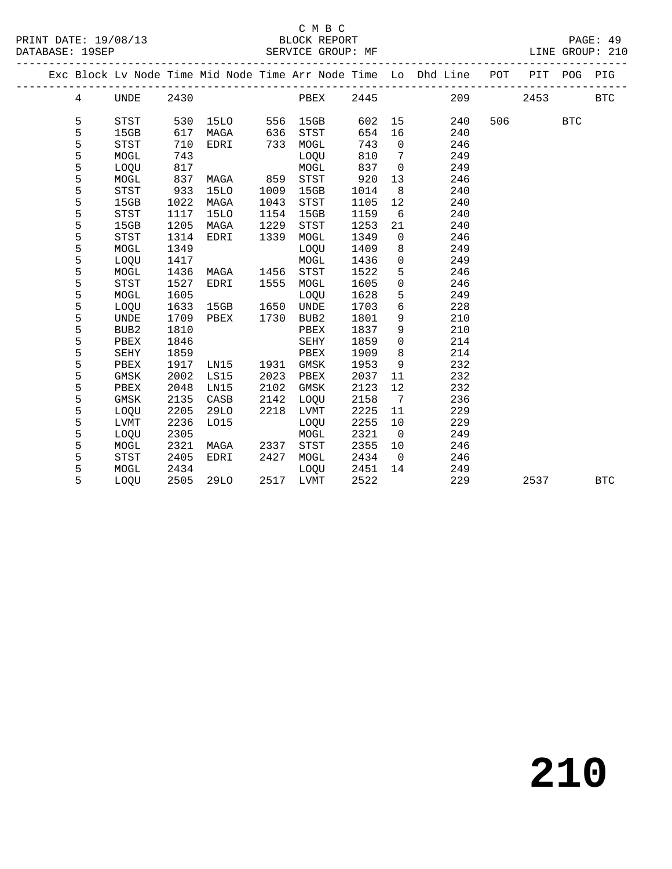|  |   |             |      |             |      |           |      |                         | Exc Block Lv Node Time Mid Node Time Arr Node Time Lo Dhd Line POT PIT POG PIG |         |            |            |
|--|---|-------------|------|-------------|------|-----------|------|-------------------------|--------------------------------------------------------------------------------|---------|------------|------------|
|  | 4 | UNDE 2430   |      |             |      |           |      |                         | <b>PBEX</b> 2445 209                                                           | 2453    |            | BTC        |
|  | 5 | STST        | 530  | 15LO 556    |      | 15GB      |      |                         | 602 15<br>240                                                                  | 506 700 | <b>BTC</b> |            |
|  | 5 | 15GB        | 617  | MAGA        | 636  | STST      | 654  | 16                      | 240                                                                            |         |            |            |
|  | 5 | STST        | 710  | EDRI        | 733  | MOGL      | 743  | $\overline{0}$          | 246                                                                            |         |            |            |
|  | 5 | MOGL        | 743  |             |      | LOQU      | 810  | $\overline{7}$          | 249                                                                            |         |            |            |
|  | 5 | LOQU        | 817  |             |      | MOGL      | 837  | $\overline{0}$          | 249                                                                            |         |            |            |
|  | 5 | MOGL        | 837  | MAGA 859    |      | STST      | 920  | 13                      | 246                                                                            |         |            |            |
|  | 5 | STST        | 933  | 15LO        | 1009 | 15GB      | 1014 | 8 <sup>8</sup>          | 240                                                                            |         |            |            |
|  | 5 | 15GB        | 1022 | MAGA        | 1043 | STST      | 1105 | 12                      | 240                                                                            |         |            |            |
|  | 5 | <b>STST</b> | 1117 | <b>15LO</b> | 1154 | 15GB      | 1159 | 6                       | 240                                                                            |         |            |            |
|  | 5 | 15GB        | 1205 | MAGA        | 1229 | STST      | 1253 | 21                      | 240                                                                            |         |            |            |
|  | 5 | <b>STST</b> | 1314 | EDRI        | 1339 | MOGL      | 1349 | $\overline{0}$          | 246                                                                            |         |            |            |
|  | 5 | MOGL        | 1349 |             |      | LOQU      | 1409 | 8                       | 249                                                                            |         |            |            |
|  | 5 | LOQU        | 1417 |             |      | MOGL      | 1436 | $\overline{0}$          | 249                                                                            |         |            |            |
|  | 5 | MOGL        | 1436 | MAGA        | 1456 | STST      | 1522 | 5                       | 246                                                                            |         |            |            |
|  | 5 | <b>STST</b> | 1527 | EDRI        | 1555 | MOGL      | 1605 | $\mathbf 0$             | 246                                                                            |         |            |            |
|  | 5 | MOGL        | 1605 |             |      | LOQU      | 1628 | 5                       | 249                                                                            |         |            |            |
|  | 5 | LOQU        | 1633 | 15GB 1650   |      | UNDE      | 1703 | 6                       | 228                                                                            |         |            |            |
|  | 5 | UNDE        | 1709 | PBEX        | 1730 | BUB2      | 1801 | 9                       | 210                                                                            |         |            |            |
|  | 5 | BUB2        | 1810 |             |      | PBEX      | 1837 | 9                       | 210                                                                            |         |            |            |
|  | 5 | PBEX        | 1846 |             |      | SEHY      | 1859 | $\overline{0}$          | 214                                                                            |         |            |            |
|  | 5 | SEHY        | 1859 |             |      | PBEX      | 1909 | 8                       | 214                                                                            |         |            |            |
|  | 5 | PBEX        | 1917 | LN15        |      | 1931 GMSK | 1953 | 9                       | 232                                                                            |         |            |            |
|  | 5 | GMSK        | 2002 | LS15        | 2023 | PBEX      | 2037 | 11                      | 232                                                                            |         |            |            |
|  | 5 | PBEX        | 2048 | LN15        | 2102 | GMSK      | 2123 | 12                      | 232                                                                            |         |            |            |
|  | 5 | GMSK        | 2135 | CASB        | 2142 | LOQU      | 2158 | $\overline{7}$          | 236                                                                            |         |            |            |
|  | 5 | LOQU        | 2205 | 29LO        | 2218 | LVMT      | 2225 | 11                      | 229                                                                            |         |            |            |
|  | 5 | LVMT        | 2236 | L015        |      | LOQU      | 2255 | 10                      | 229                                                                            |         |            |            |
|  | 5 | LOQU        | 2305 |             |      | MOGL      | 2321 | $\overline{\mathbf{0}}$ | 249                                                                            |         |            |            |
|  | 5 | MOGL        | 2321 | MAGA        | 2337 | STST      | 2355 | 10                      | 246                                                                            |         |            |            |
|  | 5 | <b>STST</b> | 2405 | EDRI        | 2427 | MOGL      | 2434 | $\overline{0}$          | 246                                                                            |         |            |            |
|  | 5 | MOGL        | 2434 |             |      | LOQU      | 2451 | 14                      | 249                                                                            |         |            |            |
|  | 5 | LOOU        | 2505 | 29LO        |      | 2517 LVMT | 2522 |                         | 229                                                                            | 2537    |            | <b>BTC</b> |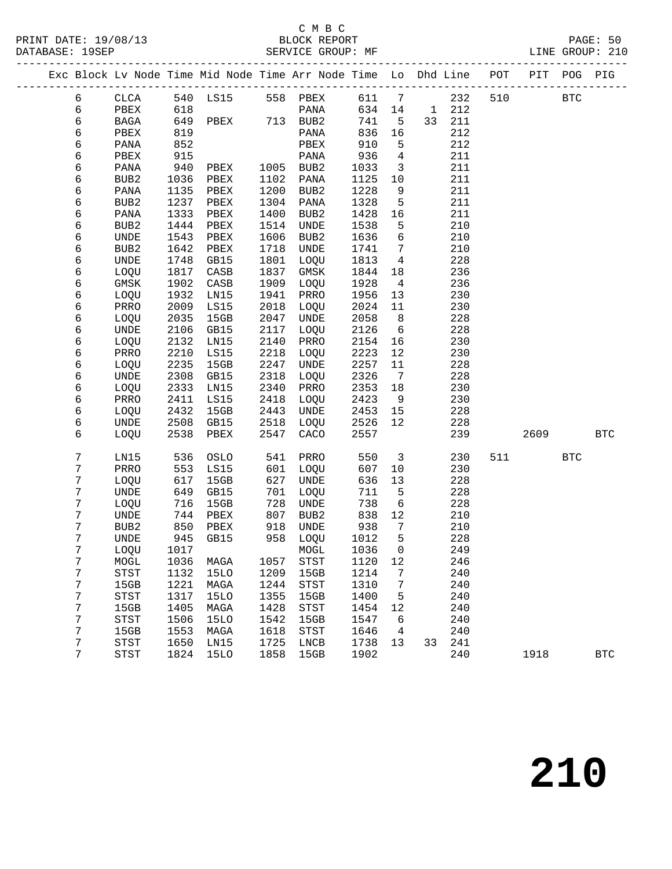| Exc Block Lv Node Time Mid Node Time Arr Node Time Lo Dhd Line |                                       |      |              |      |                                       |       |                         |    |     | POT |      | PIT POG PIG  |              |
|----------------------------------------------------------------|---------------------------------------|------|--------------|------|---------------------------------------|-------|-------------------------|----|-----|-----|------|--------------|--------------|
| б                                                              | CLCA                                  |      |              |      | 540 LS15 558 PBEX                     | 611 7 |                         |    | 232 | 510 |      | $_{\rm BTC}$ |              |
| 6                                                              | PBEX                                  | 618  |              |      | PANA                                  | 634   | 14                      | 1  | 212 |     |      |              |              |
| 6                                                              | BAGA                                  |      | 649 PBEX     |      | 713 BUB2                              | 741   | $5^{\circ}$             | 33 | 211 |     |      |              |              |
| 6                                                              | PBEX                                  | 819  |              |      | PANA                                  | 836   | 16                      |    | 212 |     |      |              |              |
| 6                                                              | PANA                                  | 852  |              |      | ${\tt PBEX}$                          | 910   | 5                       |    | 212 |     |      |              |              |
| 6                                                              | PBEX                                  | 915  |              |      | PANA                                  | 936   | $\overline{4}$          |    | 211 |     |      |              |              |
| 6                                                              | PANA                                  | 940  | PBEX         | 1005 | BUB2                                  | 1033  | $\overline{\mathbf{3}}$ |    | 211 |     |      |              |              |
| 6                                                              | BUB2                                  | 1036 | PBEX         | 1102 | PANA                                  | 1125  | 10                      |    | 211 |     |      |              |              |
| 6                                                              | PANA                                  | 1135 | PBEX         | 1200 | BUB2                                  | 1228  | 9                       |    | 211 |     |      |              |              |
| 6                                                              | BUB2                                  | 1237 | PBEX         | 1304 | PANA                                  | 1328  | 5                       |    | 211 |     |      |              |              |
| 6                                                              | PANA                                  | 1333 | PBEX         | 1400 | BUB <sub>2</sub>                      | 1428  | 16                      |    | 211 |     |      |              |              |
| 6                                                              | BUB2                                  | 1444 | ${\tt PBEX}$ | 1514 | UNDE                                  | 1538  | 5                       |    | 210 |     |      |              |              |
| 6                                                              | UNDE                                  | 1543 | ${\tt PBEX}$ | 1606 | BUB2                                  | 1636  | $\epsilon$              |    | 210 |     |      |              |              |
| 6                                                              | BUB <sub>2</sub>                      | 1642 | ${\tt PBEX}$ | 1718 | UNDE                                  | 1741  | $7\overline{ }$         |    | 210 |     |      |              |              |
| б                                                              | <b>UNDE</b>                           | 1748 | GB15         | 1801 | LOQU                                  | 1813  | $\overline{4}$          |    | 228 |     |      |              |              |
| 6                                                              | LOQU                                  | 1817 | CASB         | 1837 | GMSK                                  | 1844  | 18                      |    | 236 |     |      |              |              |
| б                                                              | GMSK                                  | 1902 | CASB         | 1909 | LOQU                                  | 1928  | $\overline{4}$          |    | 236 |     |      |              |              |
| 6                                                              | LOQU                                  | 1932 | LN15         | 1941 | PRRO                                  | 1956  | 13                      |    | 230 |     |      |              |              |
| 6                                                              | PRRO                                  | 2009 | LS15         | 2018 | LOQU                                  | 2024  | 11                      |    | 230 |     |      |              |              |
| 6                                                              | LOQU                                  | 2035 | 15GB         | 2047 | UNDE                                  | 2058  | 8 <sup>8</sup>          |    | 228 |     |      |              |              |
| 6                                                              | UNDE                                  | 2106 | GB15         | 2117 | LOQU                                  | 2126  | $6\overline{6}$         |    | 228 |     |      |              |              |
| б                                                              | LOQU                                  | 2132 | LN15         | 2140 | PRRO                                  | 2154  | 16                      |    | 230 |     |      |              |              |
| 6                                                              | PRRO                                  | 2210 | LS15         | 2218 | LOQU                                  | 2223  | 12                      |    | 230 |     |      |              |              |
| б                                                              | LOQU                                  | 2235 | 15GB         | 2247 | UNDE                                  | 2257  | 11                      |    | 228 |     |      |              |              |
| 6                                                              | UNDE                                  | 2308 | GB15         | 2318 | LOQU                                  | 2326  | $\overline{7}$          |    | 228 |     |      |              |              |
| б                                                              | LOQU                                  | 2333 | LN15         | 2340 | PRRO                                  | 2353  | 18                      |    | 230 |     |      |              |              |
| 6                                                              | PRRO                                  | 2411 | LS15         | 2418 | LOQU                                  | 2423  | 9                       |    | 230 |     |      |              |              |
| 6                                                              | LOQU                                  | 2432 | 15GB         | 2443 | UNDE                                  | 2453  | 15                      |    | 228 |     |      |              |              |
| 6                                                              | UNDE                                  | 2508 | GB15         | 2518 | LOQU                                  | 2526  | 12                      |    | 228 |     |      |              |              |
| 6                                                              | LOQU                                  | 2538 | PBEX         | 2547 | CACO                                  | 2557  |                         |    | 239 |     | 2609 |              | <b>BTC</b>   |
| 7                                                              | LN15                                  | 536  | OSLO         | 541  | PRRO                                  | 550   | $\overline{3}$          |    | 230 | 511 |      | <b>BTC</b>   |              |
| 7                                                              | PRRO                                  | 553  | LS15         | 601  | LOQU                                  | 607   | 10                      |    | 230 |     |      |              |              |
| 7                                                              | LOQU                                  | 617  | 15GB         | 627  | UNDE                                  | 636   | 13                      |    | 228 |     |      |              |              |
| 7                                                              | UNDE                                  | 649  | GB15         | 701  | LOQU                                  | 711   | $5^{\circ}$             |    | 228 |     |      |              |              |
| 7                                                              | LOQU                                  | 716  | 15GB         | 728  | UNDE                                  | 738   | 6                       |    | 228 |     |      |              |              |
| 7                                                              | UNDE                                  | 744  | PBEX         | 807  | BUB2                                  | 838   | 12                      |    | 210 |     |      |              |              |
| 7                                                              | BUB2                                  | 850  | PBEX         | 918  | UNDE                                  | 938   | $7\phantom{.0}$         |    | 210 |     |      |              |              |
| 7                                                              | UNDE                                  | 945  | GB15         | 958  | LOQU                                  | 1012  | 5                       |    | 228 |     |      |              |              |
| 7                                                              | LOQU                                  | 1017 |              |      | MOGL 1036 0                           |       |                         |    | 249 |     |      |              |              |
| 7                                                              | MOGL                                  | 1036 | MAGA         | 1057 | <b>STST</b>                           | 1120  | 12                      |    | 246 |     |      |              |              |
| $7\phantom{.0}$                                                | <b>STST</b>                           | 1132 | 15LO         | 1209 | 15GB                                  | 1214  | 7                       |    | 240 |     |      |              |              |
| $\sqrt{ }$                                                     | 15GB                                  | 1221 | MAGA         | 1244 | STST                                  | 1310  | 7                       |    | 240 |     |      |              |              |
| 7                                                              | STST                                  | 1317 | <b>15LO</b>  | 1355 | 15GB                                  | 1400  | 5                       |    | 240 |     |      |              |              |
| 7                                                              | 15GB                                  | 1405 | MAGA         | 1428 | $_{\footnotesize{\textnormal{STST}}}$ | 1454  | 12                      |    | 240 |     |      |              |              |
| 7                                                              | $_{\footnotesize{\textnormal{STST}}}$ | 1506 | <b>15LO</b>  | 1542 | 15GB                                  | 1547  | 6                       |    | 240 |     |      |              |              |
| 7                                                              | 15GB                                  | 1553 | MAGA         | 1618 | $_{\footnotesize{\textnormal{STST}}}$ | 1646  | $\overline{4}$          |    | 240 |     |      |              |              |
| 7                                                              | STST                                  | 1650 | LN15         | 1725 | LNCB                                  | 1738  | 13                      | 33 | 241 |     |      |              |              |
| 7                                                              | STST                                  | 1824 | 15LO         | 1858 | 15GB                                  | 1902  |                         |    | 240 |     | 1918 |              | $_{\rm BTC}$ |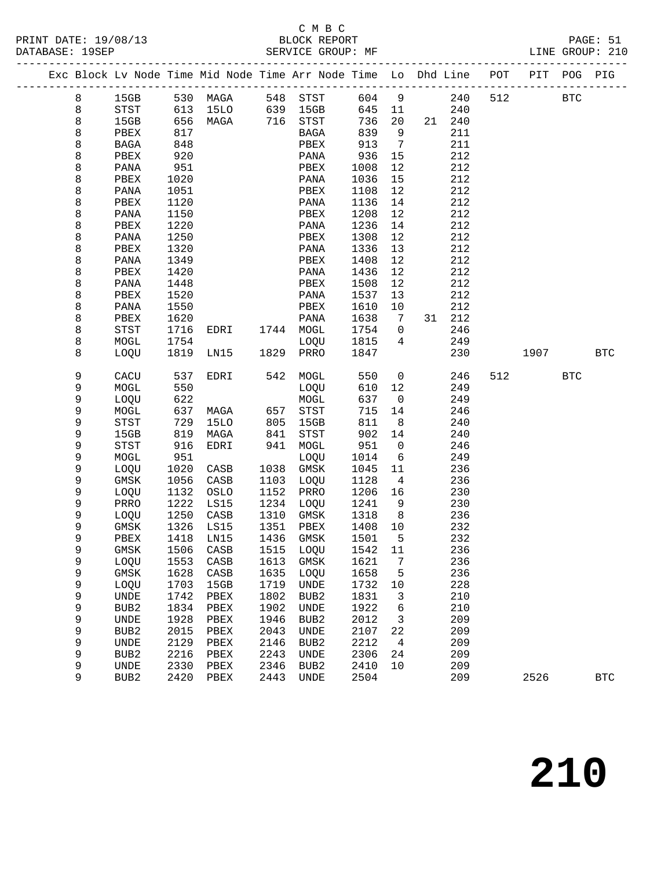|  |             |                  |      |              |      | Exc Block Lv Node Time Mid Node Time Arr Node Time Lo Dhd Line POT PIT POG PIG |        |                 |        |     |      |            |            |
|--|-------------|------------------|------|--------------|------|--------------------------------------------------------------------------------|--------|-----------------|--------|-----|------|------------|------------|
|  | 8           |                  |      |              |      | 15GB 530 MAGA 548 STST                                                         | 604 9  |                 | 240    | 512 |      | <b>BTC</b> |            |
|  | $\,8\,$     | STST             | 613  | 15LO         |      | 639 15GB                                                                       | 645 11 |                 | 240    |     |      |            |            |
|  | 8           | 15GB             | 656  | MAGA         |      | 716 STST                                                                       | 736    | 20              | 21 240 |     |      |            |            |
|  | 8           | PBEX             | 817  |              |      | BAGA                                                                           | 839    | 9               | 211    |     |      |            |            |
|  | 8           | BAGA             | 848  |              |      | PBEX                                                                           | 913    | $7\overline{ }$ | 211    |     |      |            |            |
|  | $\,8\,$     | PBEX             | 920  |              |      | PANA                                                                           | 936    | 15              | 212    |     |      |            |            |
|  | 8           | PANA             | 951  |              |      | PBEX                                                                           | 1008   | 12              | 212    |     |      |            |            |
|  | 8           | PBEX             | 1020 |              |      | PANA                                                                           | 1036   | 15              | 212    |     |      |            |            |
|  | $\,8\,$     | PANA             | 1051 |              |      | PBEX                                                                           | 1108   | 12              | 212    |     |      |            |            |
|  | 8           | PBEX             | 1120 |              |      | PANA                                                                           | 1136   | 14              | 212    |     |      |            |            |
|  | 8           | PANA             | 1150 |              |      | PBEX                                                                           | 1208   | 12              | 212    |     |      |            |            |
|  | 8           | PBEX             | 1220 |              |      | PANA                                                                           | 1236   | 14              | 212    |     |      |            |            |
|  | 8           | PANA             | 1250 |              |      | PBEX                                                                           | 1308   | 12              | 212    |     |      |            |            |
|  | 8           | PBEX             | 1320 |              |      | PANA                                                                           | 1336   | 13              | 212    |     |      |            |            |
|  | 8           | PANA             | 1349 |              |      | PBEX                                                                           | 1408   | 12              | 212    |     |      |            |            |
|  | 8           | PBEX             | 1420 |              |      | PANA                                                                           | 1436   | 12              | 212    |     |      |            |            |
|  | 8           | PANA             | 1448 |              |      | PBEX                                                                           | 1508   | 12              | 212    |     |      |            |            |
|  | 8           | PBEX             | 1520 |              |      | PANA                                                                           | 1537   | 13              | 212    |     |      |            |            |
|  | 8           | PANA             | 1550 |              |      | PBEX                                                                           | 1610   | 10              | 212    |     |      |            |            |
|  | 8           | PBEX             | 1620 |              |      | PANA                                                                           | 1638   | $\overline{7}$  | 31 212 |     |      |            |            |
|  | $\,8\,$     | STST             | 1716 | EDRI         |      | 1744 MOGL                                                                      | 1754   | $\overline{0}$  | 246    |     |      |            |            |
|  | 8           | MOGL             | 1754 |              |      | LOQU                                                                           | 1815   | $\overline{4}$  | 249    |     |      |            |            |
|  | 8           | LOQU             | 1819 | LN15         |      | 1829 PRRO                                                                      | 1847   |                 | 230    |     | 1907 | <b>BTC</b> |            |
|  |             |                  |      |              |      |                                                                                |        |                 |        |     |      |            |            |
|  | 9           | CACU             | 537  | EDRI         |      | 542 MOGL                                                                       | 550    | $\overline{0}$  | 246    | 512 |      | BTC        |            |
|  | 9           | MOGL             | 550  |              |      | LOQU                                                                           | 610    | 12              | 249    |     |      |            |            |
|  | 9           | LOQU             | 622  |              |      | MOGL                                                                           | 637    | $\overline{0}$  | 249    |     |      |            |            |
|  | 9           | MOGL             | 637  | MAGA         |      | 657 STST                                                                       | 715    | 14              | 246    |     |      |            |            |
|  | 9           | STST             | 729  | 15LO         | 805  | 15GB                                                                           | 811    | 8               | 240    |     |      |            |            |
|  | 9           | 15GB             | 819  | MAGA         | 841  | STST                                                                           | 902    | 14              | 240    |     |      |            |            |
|  | 9           | STST             | 916  | EDRI         |      | 941 MOGL                                                                       | 951    | $\overline{0}$  | 246    |     |      |            |            |
|  | $\mathsf 9$ | MOGL             | 951  |              |      | LOQU                                                                           | 1014   | 6               | 249    |     |      |            |            |
|  | 9           | LOQU             | 1020 | CASB         | 1038 | GMSK                                                                           | 1045   | 11              | 236    |     |      |            |            |
|  | 9           | GMSK             | 1056 | CASB         | 1103 | LOQU                                                                           | 1128   | $\overline{4}$  | 236    |     |      |            |            |
|  | 9           | LOQU             | 1132 | OSLO         | 1152 | PRRO                                                                           | 1206   | 16              | 230    |     |      |            |            |
|  | 9           | PRRO             | 1222 | LS15         | 1234 | LOQU                                                                           | 1241   | 9               | 230    |     |      |            |            |
|  | 9           | LOQU             | 1250 | CASB         | 1310 | GMSK                                                                           | 1318   | 8 <sup>8</sup>  | 236    |     |      |            |            |
|  | 9           | GMSK             | 1326 | LS15         | 1351 | PBEX                                                                           | 1408   | 10              | 232    |     |      |            |            |
|  | 9           | PBEX             | 1418 | LN15         | 1436 | GMSK                                                                           | 1501   | $5^{\circ}$     | 232    |     |      |            |            |
|  | 9           | GMSK 1506 CASB   |      |              |      | 1515 LOQU 1542 11                                                              |        |                 | 236    |     |      |            |            |
|  | 9           | LOQU             | 1553 | CASB         | 1613 | GMSK                                                                           | 1621   | $\overline{7}$  | 236    |     |      |            |            |
|  | 9           | GMSK             | 1628 | CASB         | 1635 | LOQU                                                                           | 1658   | 5               | 236    |     |      |            |            |
|  | 9           | LOQU             | 1703 | 15GB         | 1719 | UNDE                                                                           | 1732   | 10              | 228    |     |      |            |            |
|  | 9           | UNDE             | 1742 | PBEX         | 1802 | BUB2                                                                           | 1831   | 3               | 210    |     |      |            |            |
|  | 9           | BUB2             | 1834 | ${\tt PBEX}$ | 1902 | UNDE                                                                           | 1922   | 6               | 210    |     |      |            |            |
|  | 9           | UNDE             | 1928 | PBEX         | 1946 | BUB2                                                                           | 2012   | $\mathbf{3}$    | 209    |     |      |            |            |
|  | 9           | BUB2             | 2015 | PBEX         | 2043 | UNDE                                                                           | 2107   | 22              | 209    |     |      |            |            |
|  | 9           | UNDE             | 2129 | PBEX         | 2146 | BUB2                                                                           | 2212   | $\overline{4}$  | 209    |     |      |            |            |
|  | 9           | BUB <sub>2</sub> | 2216 | PBEX         | 2243 | UNDE                                                                           | 2306   | 24              | 209    |     |      |            |            |
|  | 9           | UNDE             | 2330 | ${\tt PBEX}$ | 2346 | BUB2                                                                           | 2410   | 10              | 209    |     |      |            |            |
|  | 9           | BUB2             | 2420 | PBEX         | 2443 | UNDE                                                                           | 2504   |                 | 209    |     | 2526 |            | <b>BTC</b> |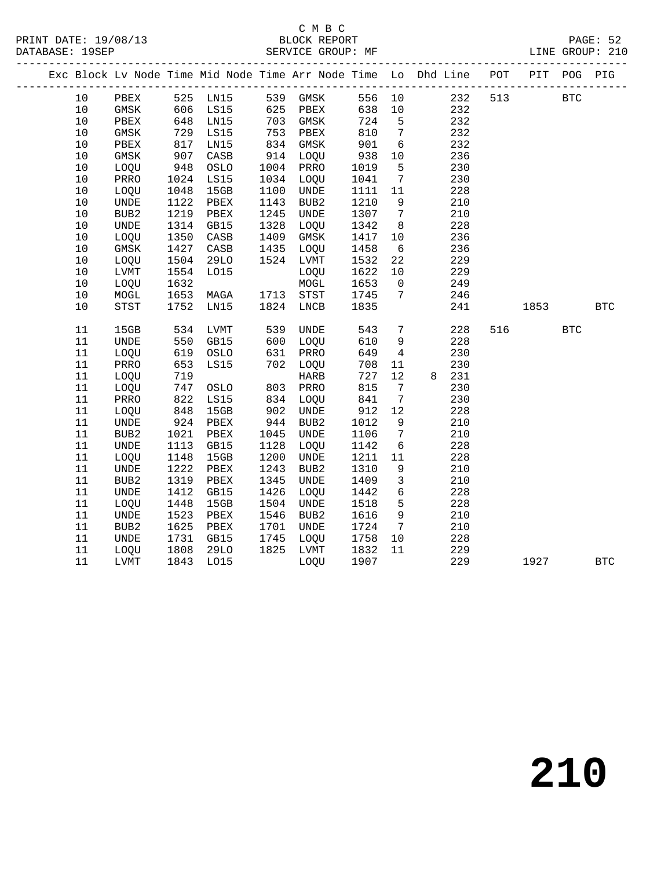#### C M B C<br>BLOCK REPORT SERVICE GROUP: MF

|  |          |               |            |                 |            |                                  |              |                       | Exc Block Lv Node Time Mid Node Time Arr Node Time Lo Dhd Line POT PIT POG PIG |     |      |              |            |
|--|----------|---------------|------------|-----------------|------------|----------------------------------|--------------|-----------------------|--------------------------------------------------------------------------------|-----|------|--------------|------------|
|  | 10       | PBEX 525 LN15 |            |                 |            | 539 GMSK<br>625 PBEX<br>703 GMSK |              |                       | 556 10 232                                                                     | 513 |      | <b>BTC</b>   |            |
|  | 10       | GMSK          | 606        | <b>LS15</b>     |            |                                  | 638 10       |                       | 232                                                                            |     |      |              |            |
|  | 10       | PBEX          | 648        | LN15            |            |                                  | 724          | $5^{\circ}$           | 232                                                                            |     |      |              |            |
|  | 10       | GMSK          | 729        | LS15            | 753        | PBEX                             | 810          | $\overline{7}$        | 232                                                                            |     |      |              |            |
|  | $10$     | PBEX          | 817        | LN15            | 834        | GMSK                             | 901          | $6\overline{6}$       | 232                                                                            |     |      |              |            |
|  | 10       | GMSK          | 907        | $\mathtt{CASB}$ | 914        | LOQU                             | 938          | 10                    | 236                                                                            |     |      |              |            |
|  | 10       | LOQU          | 948        | OSLO            | 1004       | PRRO                             | 1019         | 5                     | 230                                                                            |     |      |              |            |
|  | $10$     | PRRO          | 1024       | LS15            | 1034       | LOQU                             | 1041         | $7\overline{ }$       | 230                                                                            |     |      |              |            |
|  | 10       | LOQU          | 1048       | 15GB            | 1100       | <b>UNDE</b>                      | 1111         | 11                    | 228                                                                            |     |      |              |            |
|  | 10       | <b>UNDE</b>   | 1122       | PBEX            | 1143       | BUB <sub>2</sub>                 | 1210         | 9                     | 210                                                                            |     |      |              |            |
|  | $10$     | BUB2          | 1219       | PBEX            | 1245       | <b>UNDE</b>                      | 1307         | $7\overline{ }$       | 210                                                                            |     |      |              |            |
|  | $10$     | <b>UNDE</b>   | 1314       | GB15            | 1328       | LOQU                             | 1342         | 8                     | 228                                                                            |     |      |              |            |
|  | $10$     | LOQU          | 1350       | CASB            | 1409       | GMSK                             | 1417         | 10                    | 236                                                                            |     |      |              |            |
|  | 10       | GMSK          | 1427       | CASB            | 1435       | LOQU                             | 1458         | $6\overline{6}$       | 236                                                                            |     |      |              |            |
|  | 10       | LOQU          | 1504       | 29LO            | 1524       | LVMT                             | 1532         | 22                    | 229                                                                            |     |      |              |            |
|  | 10       | LVMT          | 1554       | L015            |            | LOQU                             | 1622         | 10                    | 229                                                                            |     |      |              |            |
|  | 10       | LOQU          | 1632       |                 |            | $\tt MOGL$                       | 1653         | $\mathbf 0$           | 249                                                                            |     |      |              |            |
|  | 10       | MOGL          | 1653       | MAGA            | 1713       | STST                             | 1745         | $7\phantom{.0}$       | 246                                                                            |     |      |              |            |
|  | 10       | STST          | 1752       | LN15            | 1824       | LNCB                             | 1835         |                       | 241                                                                            |     | 1853 |              | <b>BTC</b> |
|  |          |               |            |                 |            |                                  |              |                       |                                                                                |     |      |              |            |
|  | 11       | 15GB          | 534        | LVMT            | 539<br>600 | UNDE                             | 543          | $7\overline{ }$       | 228                                                                            |     | 516  | $_{\rm BTC}$ |            |
|  | 11       | UNDE          | 550        | GB15            |            | LOQU                             | 610          | 9                     | 228                                                                            |     |      |              |            |
|  | 11       | LOQU          | 619        | OSLO            | 631        | PRRO                             | 649          | $\overline{4}$        | 230                                                                            |     |      |              |            |
|  | 11       | PRRO          | 653        | LS15            | 702        | LOQU                             | 708          | 11                    | 230                                                                            |     |      |              |            |
|  | 11       | LOQU          | 719        |                 |            | <b>HARB</b>                      | 727<br>815   | 12                    | 8 231                                                                          |     |      |              |            |
|  | 11<br>11 | LOQU<br>PRRO  | 747<br>822 | OSLO<br>LS15    | 803<br>834 | PRRO                             |              | 7                     | 230<br>230                                                                     |     |      |              |            |
|  | 11       |               | 848        | 15GB            | 902        | LOQU<br><b>UNDE</b>              | 841<br>912   | $7\overline{ }$<br>12 | 228                                                                            |     |      |              |            |
|  | 11       | LOQU          | 924        |                 | 944        | BUB2                             |              | 9                     |                                                                                |     |      |              |            |
|  | 11       | UNDE<br>BUB2  | 1021       | PBEX<br>PBEX    | 1045       | <b>UNDE</b>                      | 1012<br>1106 | $7\overline{ }$       | 210<br>210                                                                     |     |      |              |            |
|  | 11       | <b>UNDE</b>   | 1113       | GB15            | 1128       | LOQU                             | 1142         | 6                     | 228                                                                            |     |      |              |            |
|  | 11       | LOQU          | 1148       | 15GB            | 1200       | <b>UNDE</b>                      | 1211         | 11                    | 228                                                                            |     |      |              |            |
|  | 11       | UNDE          | 1222       | PBEX            | 1243       | BUB2                             | 1310         | 9                     | 210                                                                            |     |      |              |            |
|  | 11       | BUB2          | 1319       | PBEX            | 1345       | <b>UNDE</b>                      | 1409         | $\mathbf{3}$          | 210                                                                            |     |      |              |            |
|  | 11       | <b>UNDE</b>   | 1412       | GB15            | 1426       | LOQU                             | 1442         | $6\overline{6}$       | 228                                                                            |     |      |              |            |
|  | 11       | LOQU          | 1448       | 15GB            | 1504       | <b>UNDE</b>                      | 1518         | 5 <sup>5</sup>        | 228                                                                            |     |      |              |            |
|  | 11       | UNDE          | 1523       | PBEX            | 1546       | BUB2                             | 1616         | 9                     | 210                                                                            |     |      |              |            |
|  | $11\,$   | BUB2          | 1625       | PBEX            | 1701       | <b>UNDE</b>                      | 1724         | $7\overline{ }$       | 210                                                                            |     |      |              |            |
|  | 11       | <b>UNDE</b>   | 1731       | GB15            | 1745       | LOQU                             | 1758         | 10                    | 228                                                                            |     |      |              |            |
|  | 11       |               | 1808       |                 | 1825       | LVMT                             | 1832         | 11                    | 229                                                                            |     |      |              |            |
|  | 11       | LOQU          | 1843       | 29LO            |            |                                  | 1907         |                       | 229                                                                            |     | 1927 |              |            |
|  |          | LVMT          |            | L015            |            | LOQU                             |              |                       |                                                                                |     |      |              | <b>BTC</b> |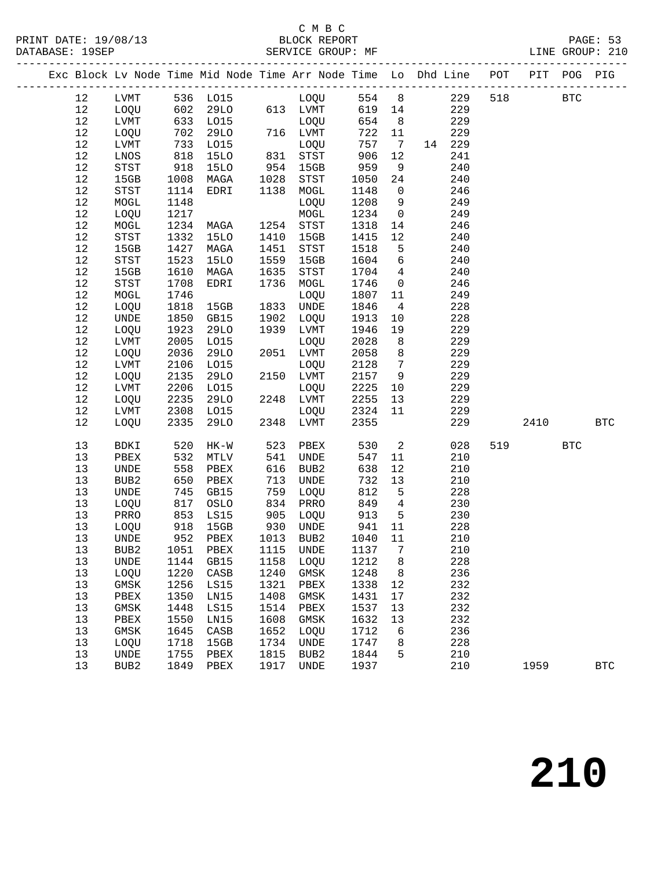### C M B C<br>BLOCK REPORT

|  |        |                            |      |                      |              |                                                           |            |                               | Exc Block Lv Node Time Mid Node Time Arr Node Time Lo Dhd Line POT PIT POG PIG |     |            |            |              |
|--|--------|----------------------------|------|----------------------|--------------|-----------------------------------------------------------|------------|-------------------------------|--------------------------------------------------------------------------------|-----|------------|------------|--------------|
|  | 12     |                            |      |                      |              | LVMT 536 LO15 LOQU 554 8<br>LOQU 602 29LO 613 LVMT 619 14 |            |                               | 229                                                                            | 518 | <b>BTC</b> |            |              |
|  | 12     |                            |      |                      |              |                                                           |            |                               | 229                                                                            |     |            |            |              |
|  | 12     | LVMT                       |      | 633 LO15             |              | LOQU                                                      | 654        | 8 <sup>8</sup>                | 229                                                                            |     |            |            |              |
|  | $12$   | LOQU                       | 702  | 29LO                 |              | 716 LVMT                                                  | 722        | 11                            | 229                                                                            |     |            |            |              |
|  | $12$   | LVMT                       | 733  | L015                 |              | LOQU                                                      | 757        | $7\overline{ }$               | 14 229                                                                         |     |            |            |              |
|  | 12     | LNOS                       | 618  | <b>15LO</b>          |              | $831$ STST                                                | 906        | 12                            | 241                                                                            |     |            |            |              |
|  | 12     | STST                       | 918  | <b>15LO</b>          |              | 954 15GB                                                  | 959        | 9                             | 240                                                                            |     |            |            |              |
|  | $1\,2$ | 15GB                       | 1008 | MAGA                 | 1028         | STST                                                      | 1050       | 24                            | 240                                                                            |     |            |            |              |
|  | $12\,$ | STST                       | 1114 | EDRI                 | 1138         | MOGL                                                      | 1148       | $\overline{0}$                | 246                                                                            |     |            |            |              |
|  | 12     | MOGL                       | 1148 |                      |              | LOQU                                                      | 1208       | 9                             | 249                                                                            |     |            |            |              |
|  | 12     | LOQU                       | 1217 |                      |              | MOGL                                                      | 1234       | $\overline{0}$                | 249                                                                            |     |            |            |              |
|  | $1\,2$ | MOGL                       | 1234 | MAGA                 |              | 1254 STST                                                 | 1318       | 14                            | 246                                                                            |     |            |            |              |
|  | $12\,$ | $_{\footnotesize\rm STST}$ | 1332 | 15LO                 | 1410         | 15GB                                                      | 1415       | 12                            | 240                                                                            |     |            |            |              |
|  | 12     | 15GB                       | 1427 | MAGA                 | 1451         | STST                                                      | 1518       | $5\overline{)}$               | 240                                                                            |     |            |            |              |
|  | $1\,2$ | STST                       | 1523 | 15LO                 | 1559         | 15GB                                                      | 1604       | $6\overline{6}$               | 240                                                                            |     |            |            |              |
|  | $1\,2$ | 15GB                       | 1610 | MAGA                 | 1635         | STST                                                      | 1704       | $\overline{4}$                | 240                                                                            |     |            |            |              |
|  | $1\,2$ | STST                       | 1708 | EDRI                 | 1736         | MOGL                                                      | 1746       | $\overline{0}$                | 246                                                                            |     |            |            |              |
|  | 12     | MOGL                       | 1746 |                      |              | LOQU                                                      | 1807       | 11                            | 249                                                                            |     |            |            |              |
|  | 12     | LOQU                       | 1818 | 15GB                 |              | 1833 UNDE                                                 | 1846       | $\overline{4}$                | 228                                                                            |     |            |            |              |
|  | 12     | UNDE                       | 1850 | GB15                 | 1902         | LOQU                                                      | 1913       | 10                            | 228                                                                            |     |            |            |              |
|  | $1\,2$ | LOQU                       | 1923 | <b>29LO</b>          | 1939         | LVMT                                                      | 1946       | 19                            | 229                                                                            |     |            |            |              |
|  | $12$   | LVMT                       | 2005 | L015                 |              | LOQU                                                      | 2028       | 8 <sup>8</sup>                | 229                                                                            |     |            |            |              |
|  | 12     | LOQU                       | 2036 | <b>29LO</b>          |              | 2051 LVMT                                                 | 2058       | 8 <sup>8</sup>                | 229                                                                            |     |            |            |              |
|  | $1\,2$ | LVMT                       | 2106 | L015                 |              | LOQU                                                      | 2128       | $7\overline{ }$               | 229                                                                            |     |            |            |              |
|  | 12     | LOQU                       | 2135 | <b>29LO</b>          |              | 2150 LVMT                                                 | 2157 9     |                               | 229                                                                            |     |            |            |              |
|  | 12     | $_{\rm LVMT}$              | 2206 | L015                 |              | LOQU                                                      | 2225       | 10                            | 229                                                                            |     |            |            |              |
|  | 12     | LOQU                       | 2235 | 29LO                 |              | 2248 LVMT                                                 | 2255       | 13                            | 229                                                                            |     |            |            |              |
|  | 12     | LVMT                       | 2308 | L015                 |              | LOQU                                                      | 2324       | 11                            | 229                                                                            |     |            |            |              |
|  | 12     | LOQU                       | 2335 | 29LO                 |              | 2348 LVMT                                                 | 2355       |                               | 229                                                                            |     | 2410       |            | <b>BTC</b>   |
|  |        |                            |      |                      |              |                                                           |            |                               |                                                                                |     |            |            |              |
|  | 13     | BDKI                       | 520  | HK-W                 | 523          | PBEX                                                      | 530        | $\overline{2}$                | 028                                                                            | 519 |            | <b>BTC</b> |              |
|  | 13     | PBEX                       | 532  | MTLV                 | 541          | UNDE                                                      | 547        | 11                            | 210                                                                            |     |            |            |              |
|  | 13     | UNDE                       | 558  | PBEX                 | 616          | BUB2                                                      | 638        | 12                            | 210                                                                            |     |            |            |              |
|  | 13     | BUB2                       | 650  | PBEX                 | 713          | UNDE                                                      | 732        | 13                            | 210                                                                            |     |            |            |              |
|  | 13     | UNDE                       | 745  | GB15                 | 759<br>834   | LOQU                                                      | 812<br>849 | $5^{\circ}$<br>$\overline{4}$ | 228                                                                            |     |            |            |              |
|  | 13     | LOQU                       | 817  | OSLO                 |              | PRRO                                                      |            | $5^{\circ}$                   | 230                                                                            |     |            |            |              |
|  | 13     | PRRO                       | 853  | LS15                 | 905          | LOQU                                                      | 913        |                               | 230                                                                            |     |            |            |              |
|  | 13     | LOQU                       |      | 918 15GB<br>952 PBEX | $930$ $1013$ | UNDE                                                      | 941        | 11                            | 228                                                                            |     |            |            |              |
|  | 13     | UNDE                       |      |                      |              | 1013 BUB2                                                 | 1040       | 11                            | 210                                                                            |     |            |            |              |
|  | 13     |                            |      |                      |              | BUB2 1051 PBEX 1115 UNDE 1137 7                           |            |                               | 210                                                                            |     |            |            |              |
|  | 13     | UNDE                       | 1144 | GB15                 | 1158         | LOQU                                                      | 1212       | 8                             | 228                                                                            |     |            |            |              |
|  | 13     | LOQU                       | 1220 | CASB                 | 1240         | GMSK                                                      | 1248       | 8                             | 236                                                                            |     |            |            |              |
|  | 13     | GMSK                       | 1256 | LS15                 | 1321         | PBEX                                                      | 1338       | 12                            | 232                                                                            |     |            |            |              |
|  | 13     | PBEX                       | 1350 | LN15                 | 1408         | GMSK                                                      | 1431       | 17                            | 232                                                                            |     |            |            |              |
|  | 13     | GMSK                       | 1448 | <b>LS15</b>          | 1514         | PBEX                                                      | 1537       | 13                            | 232                                                                            |     |            |            |              |
|  | 13     | PBEX                       | 1550 | LN15                 | 1608         | GMSK                                                      | 1632       | 13                            | 232                                                                            |     |            |            |              |
|  | 13     | GMSK                       | 1645 | CASB                 | 1652         | LOQU                                                      | 1712       | 6                             | 236                                                                            |     |            |            |              |
|  | 13     | LOQU                       | 1718 | 15GB                 | 1734         | UNDE                                                      | 1747       | 8                             | 228                                                                            |     |            |            |              |
|  | 13     | <b>UNDE</b>                | 1755 | PBEX                 | 1815         | BUB2                                                      | 1844       | 5                             | 210                                                                            |     |            |            |              |
|  | 13     | BUB <sub>2</sub>           | 1849 | PBEX                 | 1917         | UNDE                                                      | 1937       |                               | 210                                                                            |     | 1959       |            | $_{\rm BTC}$ |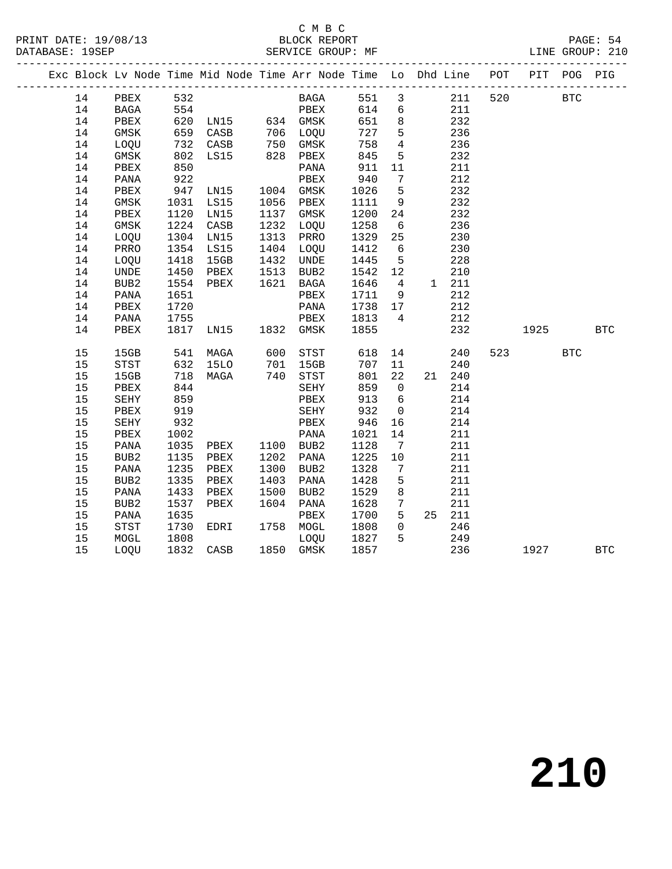## C M B C<br>BLOCK REPORT

|  |    |                  |            |                      |      | Exc Block Lv Node Time Mid Node Time Arr Node Time Lo Dhd Line POT PIT POG PIG |                     |                 |                                            |         |                          |            |            |
|--|----|------------------|------------|----------------------|------|--------------------------------------------------------------------------------|---------------------|-----------------|--------------------------------------------|---------|--------------------------|------------|------------|
|  | 14 | PBEX 532         |            |                      |      | BAGA 551 3                                                                     |                     |                 |                                            | 211 520 | <b>BTC</b>               |            |            |
|  | 14 | BAGA 554         |            |                      |      | PBEX                                                                           |                     |                 | 614 6                                      | 211     |                          |            |            |
|  | 14 | PBEX             |            |                      |      | 620 LN15 634 GMSK 651 8                                                        |                     |                 |                                            | 232     |                          |            |            |
|  | 14 | GMSK             |            |                      |      |                                                                                | 727 5               |                 |                                            | 236     |                          |            |            |
|  | 14 | LOQU             |            | 659 CASB<br>732 CASB |      | 706 LOQU<br>750 GMSK<br>828 PBEX                                               | 758                 | $\overline{4}$  |                                            | 236     |                          |            |            |
|  | 14 | GMSK             |            | 802 LS15             |      |                                                                                | 845                 | 5 <sup>5</sup>  |                                            | 232     |                          |            |            |
|  | 14 | PBEX             | 850        |                      |      | PANA                                                                           | 911                 | 11              |                                            | 211     |                          |            |            |
|  | 14 | PANA             | 922<br>947 |                      |      | PBEX                                                                           | 940                 | $7\overline{ }$ |                                            | 212     |                          |            |            |
|  | 14 | PBEX             |            | LNI5                 |      | 1004 GMSK                                                                      | $1026$ 5            |                 |                                            | 232     |                          |            |            |
|  | 14 | GMSK             |            | 1031 LS15            |      | 1056 PBEX                                                                      | 1111 9              |                 |                                            | 232     |                          |            |            |
|  | 14 | PBEX             | 1120       | LN15                 |      | 1137 GMSK                                                                      | 1200 24             |                 |                                            | 232     |                          |            |            |
|  | 14 | GMSK             |            | 1224 CASB            |      | 1232 LOQU                                                                      | 1258                | 6               |                                            | 236     |                          |            |            |
|  | 14 | LOQU             |            | 1304 LN15            |      | 1313 PRRO                                                                      | $\frac{1}{1329}$ 25 |                 |                                            | 230     |                          |            |            |
|  | 14 | PRRO             |            | 1354 LS15            |      | 1404 LOQU                                                                      | 1412                | 6               |                                            | 230     |                          |            |            |
|  | 14 | LOQU             | 1418       | 15GB                 |      | 1432 UNDE<br>1513 BUB2<br>1621 BAGA                                            | 1445 5              |                 |                                            | 228     |                          |            |            |
|  | 14 | UNDE             |            | 1450 PBEX            |      |                                                                                |                     |                 | 1542    12    210<br>1646    4    1    211 |         |                          |            |            |
|  | 14 | BUB2             |            | 1554 PBEX            |      |                                                                                |                     |                 |                                            |         |                          |            |            |
|  | 14 | PANA             | 1651       |                      |      | PBEX                                                                           | 1711 9              |                 |                                            | 212     |                          |            |            |
|  | 14 | PBEX             | 1720       |                      |      | PANA                                                                           | 1738 17             |                 |                                            | 212     |                          |            |            |
|  | 14 | PANA             | 1755       |                      |      | PBEX                                                                           | 1813 4              |                 |                                            | 212     |                          |            |            |
|  | 14 | PBEX             |            | 1817 LN15 1832 GMSK  |      |                                                                                | 1855                |                 |                                            | 232     | 1925                     |            | <b>BTC</b> |
|  | 15 | 15GB             |            |                      |      |                                                                                |                     |                 |                                            | 240     | 523 and $\overline{523}$ | <b>BTC</b> |            |
|  | 15 | STST             |            |                      |      |                                                                                |                     |                 |                                            | 240     |                          |            |            |
|  | 15 | 15GB             |            | 718 MAGA             |      | 740 STST                                                                       | 801 22              |                 | 21 240                                     |         |                          |            |            |
|  | 15 | PBEX             | 844        |                      |      | SEHY                                                                           | 859                 | $\overline{0}$  |                                            | 214     |                          |            |            |
|  | 15 | SEHY             | 859<br>919 |                      |      | PBEX                                                                           | 913 6<br>913<br>932 |                 |                                            | 214     |                          |            |            |
|  | 15 | PBEX             |            |                      |      | SEHY                                                                           |                     | $\overline{0}$  |                                            | 214     |                          |            |            |
|  | 15 | SEHY             | 932        |                      |      | PBEX                                                                           | 946 16              |                 |                                            | 214     |                          |            |            |
|  | 15 | PBEX             | 1002       |                      |      |                                                                                | 1021                | 14              |                                            | 211     |                          |            |            |
|  | 15 | PANA             |            |                      |      |                                                                                | 1128                | $\overline{7}$  |                                            | 211     |                          |            |            |
|  | 15 | BUB2             |            |                      |      |                                                                                | 1225 10             |                 |                                            | 211     |                          |            |            |
|  | 15 | PANA             |            | 1235 PBEX            |      | 1300 BUB2                                                                      | 1328                | $\overline{7}$  |                                            | 211     |                          |            |            |
|  | 15 | BUB <sub>2</sub> | 1335       | PBEX                 | 1403 | PANA                                                                           | 1428                | $5^{\circ}$     |                                            | 211     |                          |            |            |
|  | 15 | PANA             | 1433       | PBEX                 | 1500 | BUB2                                                                           | 1529 8              |                 |                                            | 211     |                          |            |            |
|  | 15 | BUB2             | 1537       | PBEX                 |      | 1604 PANA                                                                      | 1628 7              |                 |                                            | 211     |                          |            |            |
|  | 15 | PANA             | 1635       |                      |      | PBEX                                                                           | 1700 5              |                 | 25 211                                     |         |                          |            |            |
|  | 15 | STST             | 1730       | EDRI                 |      | 1758 MOGL                                                                      | 1808                | $\overline{0}$  |                                            | 246     |                          |            |            |
|  | 15 | MOGL             | 1808       |                      |      | LOQU                                                                           | 1827 5              |                 |                                            | 249     |                          |            |            |
|  | 15 | LOQU             |            | 1832 CASB            |      | 1850 GMSK                                                                      | 1857                |                 |                                            | 236     | 1927 BTC                 |            |            |
|  |    |                  |            |                      |      |                                                                                |                     |                 |                                            |         |                          |            |            |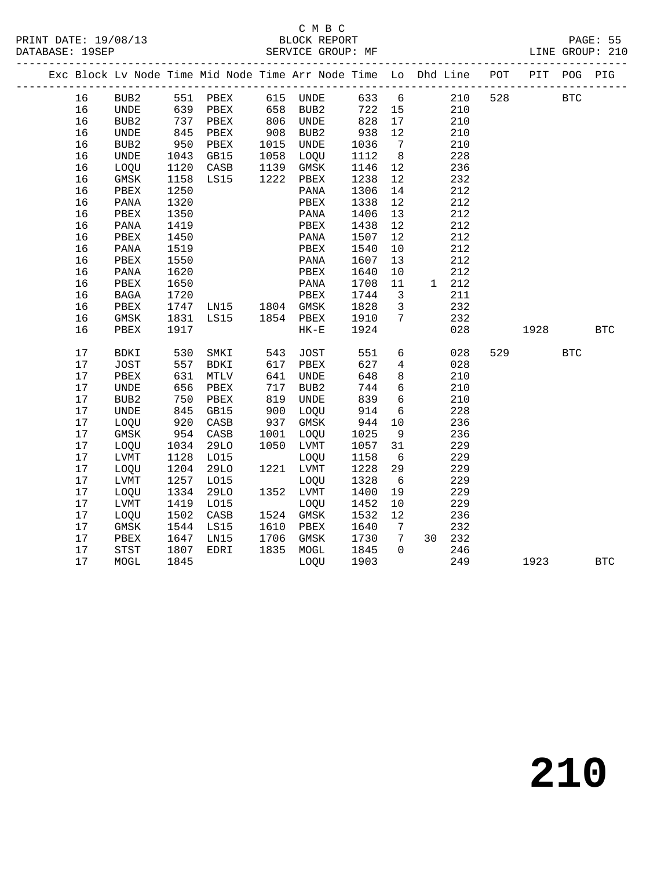PRINT DATE: 19/08/13 BLOCK REPORT PAGE: 55 DATABASE: 19SEP

# C M B C<br>BLOCK REPORT

|  |      |                  |      | --------------------- |             | Exc Block Lv Node Time Mid Node Time Arr Node Time Lo Dhd Line POT PIT POG PIG |      |                              |       | ----------------------------- |      |            |            |
|--|------|------------------|------|-----------------------|-------------|--------------------------------------------------------------------------------|------|------------------------------|-------|-------------------------------|------|------------|------------|
|  | 16   | BUB2             |      | 551 PBEX              |             | 615 UNDE                                                                       |      |                              | 633 6 | 210<br>528                    |      | <b>BTC</b> |            |
|  | 16   | UNDE             | 639  | PBEX                  | 658         | BUB2                                                                           | 722  | 15                           |       | 210                           |      |            |            |
|  | 16   | BUB2             | 737  | PBEX                  | 806         | UNDE                                                                           | 828  | 17                           |       | 210                           |      |            |            |
|  | 16   | UNDE             | 845  | PBEX                  | 908<br>1015 | BUB2                                                                           | 938  | 12                           |       | 210                           |      |            |            |
|  | 16   | BUB <sub>2</sub> | 950  | PBEX                  |             | UNDE                                                                           | 1036 | $7\overline{ }$              |       | 210                           |      |            |            |
|  | 16   | UNDE             | 1043 | GB15                  | 1058        | LOQU                                                                           | 1112 | 8 <sup>8</sup>               |       | 228                           |      |            |            |
|  | 16   | LOQU             | 1120 | CASB                  | 1139        | GMSK                                                                           | 1146 | 12                           |       | 236                           |      |            |            |
|  | 16   | $\rm{GMSK}$      | 1158 | LS15                  | 1222        | PBEX                                                                           | 1238 | 12                           |       | 232                           |      |            |            |
|  | 16   | PBEX             | 1250 |                       |             | PANA                                                                           | 1306 | 14                           |       | 212                           |      |            |            |
|  | 16   | PANA             | 1320 |                       |             | PBEX                                                                           | 1338 | 12                           |       | 212                           |      |            |            |
|  | 16   | PBEX             | 1350 |                       |             | PANA                                                                           | 1406 | 13                           |       | 212                           |      |            |            |
|  | 16   | PANA             | 1419 |                       |             | PBEX                                                                           | 1438 | 12                           |       | 212                           |      |            |            |
|  | 16   | PBEX             | 1450 |                       |             | PANA                                                                           | 1507 | 12                           |       | 212                           |      |            |            |
|  | 16   | PANA             | 1519 |                       |             | PBEX                                                                           | 1540 | 10                           |       | 212                           |      |            |            |
|  | 16   | PBEX             | 1550 |                       |             | PANA                                                                           | 1607 | 13                           |       | 212                           |      |            |            |
|  | 16   | PANA             | 1620 |                       |             | PBEX                                                                           | 1640 | 10                           |       | 212                           |      |            |            |
|  | 16   | PBEX             | 1650 |                       |             | PANA                                                                           | 1708 | 11                           | 1 212 |                               |      |            |            |
|  | 16   | <b>BAGA</b>      | 1720 |                       |             | PBEX                                                                           | 1744 | $\overline{\mathbf{3}}$      |       | 211                           |      |            |            |
|  | 16   | PBEX             | 1747 | LN15 1804 GMSK        |             |                                                                                | 1828 | $\overline{3}$               |       | 232                           |      |            |            |
|  | 16   | GMSK             | 1831 | LS15                  | 1854        | PBEX                                                                           | 1910 | $7\overline{ }$              |       | 232                           |      |            |            |
|  | 16   | PBEX             | 1917 |                       |             | $HK-E$                                                                         | 1924 |                              |       | 028                           | 1928 |            | <b>BTC</b> |
|  | 17   | BDKI             | 530  | SMKI                  | 543         | JOST                                                                           | 551  | 6                            |       | 028<br>529                    |      | <b>BTC</b> |            |
|  | 17   | JOST             | 557  | BDKI                  | 617         | PBEX                                                                           | 627  | $\overline{4}$               |       | 028                           |      |            |            |
|  | $17$ | PBEX             | 631  | MTLV                  | 641         | UNDE                                                                           | 648  | 8                            |       | 210                           |      |            |            |
|  | 17   | <b>UNDE</b>      | 656  | PBEX                  | 717         | BUB2                                                                           | 744  | $6\overline{6}$              |       | 210                           |      |            |            |
|  | 17   | BUB <sub>2</sub> | 750  | PBEX                  | 819         | <b>UNDE</b>                                                                    | 839  | $6\overline{6}$              |       | 210                           |      |            |            |
|  | 17   | <b>UNDE</b>      | 845  | GB15                  | 900         | LOQU                                                                           | 914  | 6                            |       | 228                           |      |            |            |
|  | 17   | LOQU             | 920  | CASB                  | 937         | GMSK                                                                           | 944  | 10                           |       | 236                           |      |            |            |
|  | $17$ | GMSK             | 954  | CASB                  | 1001        | LOQU                                                                           | 1025 | 9                            |       | 236                           |      |            |            |
|  | 17   | LOQU             | 1034 | 29LO                  | 1050        | LVMT                                                                           | 1057 | 31                           |       | 229                           |      |            |            |
|  | $17$ | LVMT             | 1128 | LO15                  |             | LOQU                                                                           | 1158 | 6                            |       | 229                           |      |            |            |
|  | 17   | LOQU             | 1204 | 29LO                  | 1221        | LVMT                                                                           | 1228 | 29                           |       | 229                           |      |            |            |
|  | $17$ | LVMT             | 1257 | L015                  |             | LOQU                                                                           | 1328 | - 6                          |       | 229                           |      |            |            |
|  | 17   | LOQU             | 1334 | <b>29LO</b>           | 1352        | LVMT                                                                           | 1400 | 19                           |       | 229                           |      |            |            |
|  | 17   | LVMT             | 1419 | L015                  |             | LOQU                                                                           | 1452 | 10                           |       | 229                           |      |            |            |
|  | $17$ | LOQU             | 1502 | CASB                  | 1524        | GMSK                                                                           | 1532 | 12                           |       | 236                           |      |            |            |
|  | 17   | GMSK             | 1544 | LS15                  | 1610        | PBEX                                                                           | 1640 | $7\phantom{.0}\phantom{.0}7$ |       | 232                           |      |            |            |
|  | 17   | PBEX             | 1647 | LN15                  | 1706        | GMSK                                                                           | 1730 | $7\overline{ }$              | 30    | 232                           |      |            |            |

17 MOGL 1845 LOQU 1903 249 1923 BTC

17 STST 1807 EDRI 1835 MOGL 1845 0 246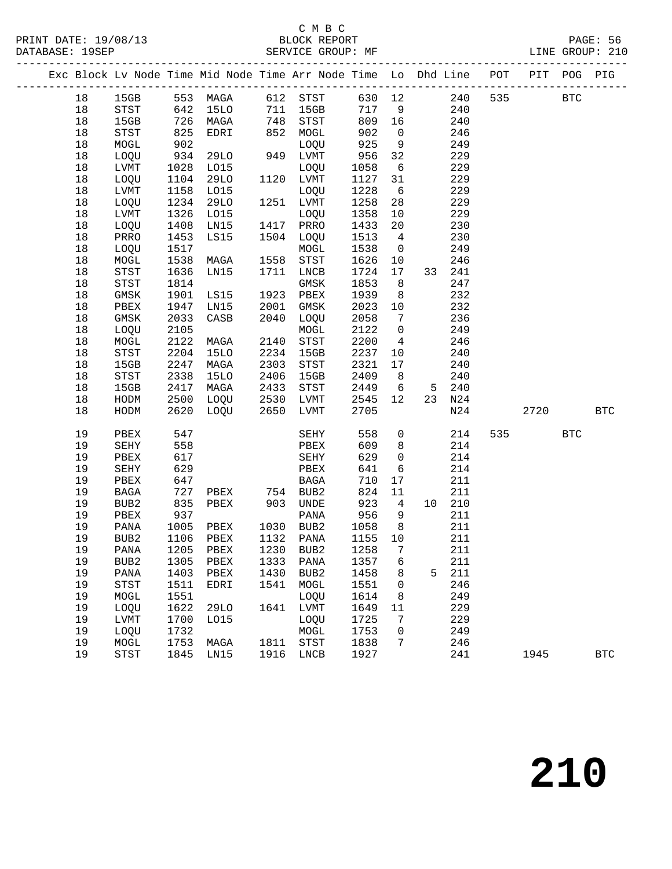#### C M B C<br>BLOCK REPORT

SERVICE GROUP: MF

PRINT DATE: 19/08/13 BLOCK REPORT PAGE: 56

|  |        |                            |      |             |      | Exc Block Lv Node Time Mid Node Time Arr Node Time Lo Dhd Line POT PIT POG PIG |          |                 |       |        |     |            |                      |
|--|--------|----------------------------|------|-------------|------|--------------------------------------------------------------------------------|----------|-----------------|-------|--------|-----|------------|----------------------|
|  | 18     |                            |      |             |      | 15GB 553 MAGA 612 STST 630 12 240                                              |          |                 |       |        |     | 535 BTC    |                      |
|  | 18     | STST                       |      | 642 15LO    |      | $711$ 15GB                                                                     |          |                 | 717 9 | 240    |     |            |                      |
|  | 18     | 15GB                       |      | 726 MAGA    |      | 748 STST                                                                       | 809 16   |                 |       | 240    |     |            |                      |
|  | 18     | STST                       | 825  | EDRI        | 852  | MOGL                                                                           | 902      | $\overline{0}$  |       | 246    |     |            |                      |
|  | 18     | MOGL                       | 902  |             |      | LOQU                                                                           | 925      | 9               |       | 249    |     |            |                      |
|  | 18     | LOQU                       | 934  | 29LO        |      | 949 LVMT                                                                       | 956      | 32              |       | 229    |     |            |                      |
|  | 18     | LVMT                       | 1028 | L015        |      | LOQU                                                                           | 1058     | $6\overline{6}$ |       | 229    |     |            |                      |
|  | 18     | LOQU                       | 1104 | 29LO        |      | 1120 LVMT                                                                      | 1127     | 31              |       | 229    |     |            |                      |
|  | 18     | LVMT                       | 1158 | LO15        |      | LOQU                                                                           | 1228     | 6               |       | 229    |     |            |                      |
|  | 18     | LOQU                       | 1234 | 29LO        |      | 1251 LVMT                                                                      | 1258     | 28              |       | 229    |     |            |                      |
|  | 18     | LVMT                       | 1326 | L015        |      | LOQU                                                                           | 1358     | 10              |       | 229    |     |            |                      |
|  | 18     | LOQU                       | 1408 | LN15        |      | 1417 PRRO                                                                      | 1433     | 20              |       | 230    |     |            |                      |
|  | 18     | PRRO                       | 1453 | LS15        |      | 1504 LOQU                                                                      | 1513     | $\overline{4}$  |       | 230    |     |            |                      |
|  | 18     | LOQU                       | 1517 |             |      | MOGL                                                                           | 1538     | $\overline{0}$  |       | 249    |     |            |                      |
|  | $18\,$ | MOGL                       | 1538 | MAGA        | 1558 | STST                                                                           | 1626     | 10              |       | 246    |     |            |                      |
|  | 18     | STST                       | 1636 | LN15        |      | 1711 LNCB                                                                      | 1724     | 17              |       | 33 241 |     |            |                      |
|  | $18\,$ | STST                       | 1814 |             |      | GMSK                                                                           | 1853     | 8 <sup>8</sup>  |       | 247    |     |            |                      |
|  | $18\,$ | GMSK                       | 1901 | LS15        |      | 1923 PBEX                                                                      | 1939     | 8 <sup>8</sup>  |       | 232    |     |            |                      |
|  | $18\,$ | PBEX                       | 1947 | LN15        | 2001 | GMSK                                                                           | 2023 10  |                 |       | 232    |     |            |                      |
|  | 18     | GMSK                       | 2033 | CASB        | 2040 | LOQU                                                                           | 2058     | $\overline{7}$  |       | 236    |     |            |                      |
|  | $18\,$ | LOQU                       | 2105 |             |      | MOGL                                                                           | 2122     | $\overline{0}$  |       | 249    |     |            |                      |
|  | $18\,$ | MOGL                       | 2122 | MAGA        |      | 2140 STST                                                                      | 2200     | $\overline{4}$  |       | 246    |     |            |                      |
|  | 18     | $_{\footnotesize\rm STST}$ | 2204 | <b>15LO</b> | 2234 | 15GB                                                                           | 2237     | 10              |       | 240    |     |            |                      |
|  | $18\,$ | 15GB                       | 2247 | MAGA        | 2303 | STST                                                                           | 2321     | 17              |       | 240    |     |            |                      |
|  | $18\,$ | STST                       | 2338 | 15LO        | 2406 | 15GB                                                                           | 2409 8   |                 |       | 240    |     |            |                      |
|  | $18\,$ | 15GB                       | 2417 | MAGA        |      |                                                                                | 2449 6 5 |                 |       | 240    |     |            |                      |
|  | 18     | HODM                       | 2500 | LOQU        |      | 2406 15GB<br>2433 STST<br>2530 LVMT                                            | 2545 12  |                 |       | 23 N24 |     |            |                      |
|  | 18     | HODM                       |      | 2620 LOQU   |      | 2650 LVMT                                                                      | 2705     |                 |       | N24    |     | 2720       | <b>BTC</b>           |
|  | 19     | PBEX                       | 547  |             |      | SEHY                                                                           | 558      | $\overline{0}$  |       | 214    | 535 | <b>BTC</b> |                      |
|  | 19     | SEHY                       | 558  |             |      | PBEX                                                                           | 609      | 8 <sup>8</sup>  |       | 214    |     |            |                      |
|  | 19     | PBEX                       | 617  |             |      | SEHY                                                                           | 629      | $\overline{0}$  |       | 214    |     |            |                      |
|  | 19     | SEHY                       | 629  |             |      | PBEX                                                                           | 641      | $6\overline{6}$ |       | 214    |     |            |                      |
|  | 19     | PBEX                       | 647  |             |      |                                                                                | 710      | 17              |       | 211    |     |            |                      |
|  | 19     | BAGA                       | 727  |             |      |                                                                                | 824      | 11              |       | 211    |     |            |                      |
|  | 19     | BUB2                       | 835  | PBEX        |      | 903 UNDE                                                                       | 923      | $\overline{4}$  |       | 10 210 |     |            |                      |
|  | 19     | PBEX                       | 937  |             |      | PANA                                                                           | 956      | 9               |       | 211    |     |            |                      |
|  | 19     | PANA                       | 1005 | PBEX        |      | 1030 BUB2                                                                      | 1058     | 8 <sup>8</sup>  |       | 211    |     |            |                      |
|  | 19     | BUB2                       |      | 1106 PBEX   |      | 1132 PANA                                                                      | 1155 10  |                 |       | 211    |     |            |                      |
|  | 19     |                            |      |             |      | PANA 1205 PBEX 1230 BUB2 1258 7                                                |          |                 | 211   |        |     |            |                      |
|  | 19     | BUB2                       | 1305 | PBEX        | 1333 | PANA                                                                           | 1357     | 6               |       | 211    |     |            |                      |
|  | 19     | PANA                       | 1403 | PBEX        | 1430 | BUB2                                                                           | 1458     | 8               | 5     | 211    |     |            |                      |
|  | 19     | <b>STST</b>                | 1511 | EDRI        | 1541 | MOGL                                                                           | 1551     | $\mathbf 0$     |       | 246    |     |            |                      |
|  | 19     | MOGL                       | 1551 |             |      | LOQU                                                                           | 1614     | 8               |       | 249    |     |            |                      |
|  | 19     | LOQU                       | 1622 | 29LO        | 1641 | LVMT                                                                           | 1649     | 11              |       | 229    |     |            |                      |
|  | 19     | LVMT                       | 1700 | L015        |      | LOQU                                                                           | 1725     | 7               |       | 229    |     |            |                      |
|  | 19     | LOQU                       | 1732 |             |      | MOGL                                                                           | 1753     | 0               |       | 249    |     |            |                      |
|  | 19     | MOGL                       | 1753 | MAGA        |      | 1811 STST                                                                      | 1838     | 7               |       | 246    |     |            |                      |
|  | 19     | STST                       | 1845 | LN15        |      | 1916 LNCB                                                                      | 1927     |                 |       | 241    |     | 1945       | $\operatorname{BTC}$ |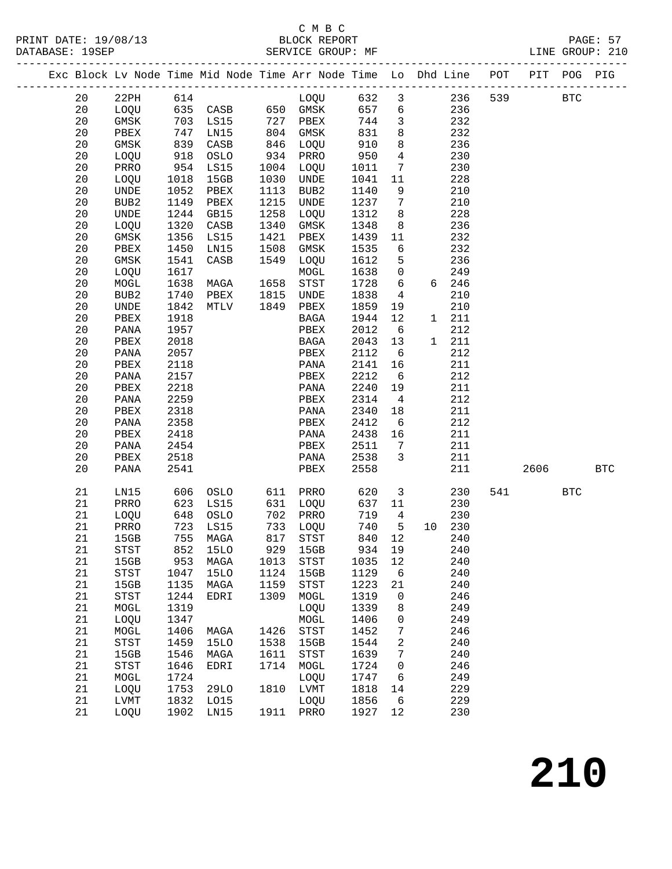### C M B C<br>BLOCK REPORT

PRINT DATE: 19/08/13 BLOCK REPORT PAGE: 57 DATABASE: 19SEP SERVICE GROUP: MF SERVICE GROUP: 210 --------------------------------------------------------------------------------------------- Exc Block Lv Node Time Mid Node Time Arr Node Time Lo Dhd Line POT PIT POG PIG --------------------------------------------------------------------------------------------- 20 22PH 614 LOQU 632 3 236 539 BTC 20 LOQU 635 CASB 650 GMSK 657 6 236 20 GMSK 703 LS15 727 PBEX 744 3 232 20 PBEX 747 LN15 804 GMSK 831 8 232 20 GMSK 839 CASB 846 LOQU 910 8 236 20 LOQU 918 OSLO 934 PRRO 950 4 230 20 PRRO 954 LS15 1004 LOQU 1011 7 230 20 LOQU 1018 15GB 1030 UNDE 1041 11 228 20 UNDE 1052 PBEX 1113 BUB2 1140 9 210 20 BUB2 1149 PBEX 1215 UNDE 1237 7 210 20 UNDE 1244 GB15 1258 LOQU 1312 8 228 20 LOQU 1320 CASB 1340 GMSK 1348 8 236 20 GMSK 1356 LS15 1421 PBEX 1439 11 232 20 PBEX 1450 LN15 1508 GMSK 1535 6 232 20 GMSK 1541 CASB 1549 LOQU 1612 5 236 20 LOQU 1617 MOGL 1638 0 249 20 MOGL 1638 MAGA 1658 STST 1728 6 6 246 20 BUB2 1740 PBEX 1815 UNDE 1838 4 210 20 UNDE 1842 MTLV 1849 PBEX 1859 19 210 20 PBEX 1918 BAGA 1944 12 1 211 20 PANA 1957 PBEX 2012 6 212 20 PBEX 2018 BAGA 2043 13 1 211 20 PANA 2057 PBEX 2112 6 212 20 PBEX 2118 PANA 2141 16 211 20 PANA 2157 PBEX 2212 6 212 20 PBEX 2218 PANA 2240 19 211 20 PANA 2259 PBEX 2314 4 212 20 PBEX 2318 PANA 2340 18 211 20 PANA 2358 PBEX 2412 6 212 20 PBEX 2418 PANA 2438 16 211 20 PANA 2454 PBEX 2511 7 211 20 PBEX 2518 PANA 2538 3 211 20 PANA 2541 PBEX 2558 211 2606 BTC 21 LN15 606 OSLO 611 PRRO 620 3 230 541 BTC 21 PRRO 623 LS15 631 LOQU 637 11 230 21 LOQU 648 OSLO 702 PRRO 719 4 230 21 PRRO 723 LS15 733 LOQU 740 5 10 230 21 15GB 755 MAGA 817 STST 840 12 240 21 STST 852 15LO 929 15GB 934 19 240 21 15GB 953 MAGA 1013 STST 1035 12 240

 21 STST 1047 15LO 1124 15GB 1129 6 240 21 15GB 1135 MAGA 1159 STST 1223 21 240 21 STST 1244 EDRI 1309 MOGL 1319 0 246 21 MOGL 1319 LOQU 1339 8 249 21 LOQU 1347 MOGL 1406 0 249 21 MOGL 1406 MAGA 1426 STST 1452 7 246 21 STST 1459 15LO 1538 15GB 1544 2 240 21 15GB 1546 MAGA 1611 STST 1639 7 240 21 STST 1646 EDRI 1714 MOGL 1724 0 246 21 MOGL 1724 LOQU 1747 6 249 21 LOQU 1753 29LO 1810 LVMT 1818 14 229 21 LVMT 1832 LO15 LOQU 1856 6 229 21 LOQU 1902 LN15 1911 PRRO 1927 12 230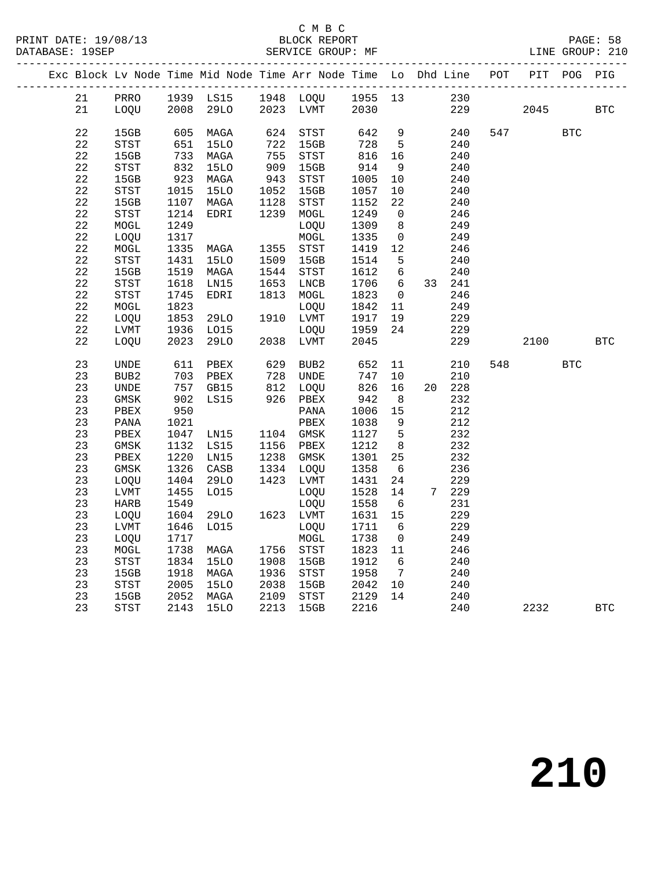#### C M B C<br>BLOCK REPORT SERVICE GROUP: MF

|  |             |                                       |              |              |                 |                                                                   |                                                    |                                   | Exc Block Lv Node Time Mid Node Time Arr Node Time Lo Dhd Line POT |     |      | PIT POG PIG |            |
|--|-------------|---------------------------------------|--------------|--------------|-----------------|-------------------------------------------------------------------|----------------------------------------------------|-----------------------------------|--------------------------------------------------------------------|-----|------|-------------|------------|
|  | 21          |                                       |              |              |                 |                                                                   |                                                    |                                   | 230                                                                |     |      |             |            |
|  | 21          |                                       |              |              |                 | PRRO 1939 LS15 1948 LOQU 1955 13<br>LOQU 2008 29LO 2023 LVMT 2030 |                                                    |                                   |                                                                    | 229 | 2045 |             | <b>BTC</b> |
|  |             |                                       |              |              |                 |                                                                   |                                                    |                                   |                                                                    |     |      |             |            |
|  | 22          | 15GB                                  |              | 605 MAGA     |                 | 624 STST                                                          | 642                                                | 9                                 | 240                                                                |     | 547  | <b>BTC</b>  |            |
|  | $2\sqrt{2}$ | STST                                  | 651          | 15LO         | $722\n755\n909$ | 15GB                                                              | $\frac{728}{11}$                                   | $5^{\circ}$                       | 240                                                                |     |      |             |            |
|  | 22          | 15GB                                  | 733          | MAGA         |                 | STST                                                              | 816                                                | 16                                | 240                                                                |     |      |             |            |
|  | $2\sqrt{2}$ | $_{\footnotesize\rm STST}$            | 832          | 15LO         |                 | 15GB                                                              | 914                                                | 9                                 | 240                                                                |     |      |             |            |
|  | 22          | 15GB                                  | 923          | MAGA         | 943<br>1052     | STST                                                              | 1005                                               | 10                                | 240                                                                |     |      |             |            |
|  | 22          | STST                                  | 1015         | <b>15LO</b>  |                 | 15GB                                                              | 1057                                               | 10                                | 240                                                                |     |      |             |            |
|  | $2\sqrt{2}$ | 15GB                                  | 1107         | MAGA         | 1128            | STST                                                              | 1152                                               | 22                                | 240                                                                |     |      |             |            |
|  | 22          | STST                                  | 1214         | EDRI         |                 | 1239 MOGL                                                         | 1249                                               | $\overline{0}$                    | 246                                                                |     |      |             |            |
|  | 22          | MOGL                                  | 1249         |              |                 | LOQU                                                              | 1309                                               | 8 <sup>8</sup>                    | 249                                                                |     |      |             |            |
|  | $2\sqrt{2}$ | LOQU                                  | 1317         |              |                 | MOGL                                                              | 1335                                               | $\overline{0}$                    | 249                                                                |     |      |             |            |
|  | $2\sqrt{2}$ | MOGL                                  | 1335         | MAGA         |                 | 1355 STST                                                         | 1419                                               | 12                                | 246                                                                |     |      |             |            |
|  | $2\sqrt{2}$ | <b>STST</b>                           | 1431         | <b>15LO</b>  | 1509            | 15GB                                                              | 1514                                               | $5\overline{)}$                   | 240                                                                |     |      |             |            |
|  | 22<br>22    | 15GB                                  | 1519         | MAGA         | 1544            | STST                                                              | 1612                                               | $6\overline{6}$                   | 240                                                                |     |      |             |            |
|  | 22          | STST<br>STST                          | 1618<br>1745 | LN15<br>EDRI | 1653            | LNCB<br>1813 MOGL                                                 | 1706<br>1823                                       | $6\overline{6}$<br>$\overline{0}$ | 33 241<br>246                                                      |     |      |             |            |
|  | 22          | MOGL                                  | 1823         |              |                 | LOQU                                                              | 1842                                               | 11                                | 249                                                                |     |      |             |            |
|  | 22          | LOQU                                  | 1853         | 29LO         |                 | 1910 LVMT                                                         | 1917                                               | 19                                | 229                                                                |     |      |             |            |
|  | $2\sqrt{2}$ | LVMT                                  |              | LO15         |                 | LOQU                                                              | 1959                                               | 24                                | 229                                                                |     |      |             |            |
|  | 22          | LOQU                                  | 1936<br>2023 | 29LO         | 2038            | 2038 LVMT                                                         | 2045                                               |                                   | 229                                                                |     | 2100 |             | BTC        |
|  |             |                                       |              |              |                 |                                                                   |                                                    |                                   |                                                                    |     |      |             |            |
|  | 23          | UNDE                                  | 611          | PBEX         | 629             | BUB2                                                              | 652                                                |                                   | 11<br>210                                                          | 548 |      | <b>BTC</b>  |            |
|  | 23          | BUB2                                  | 703          | PBEX         |                 | 728 UNDE<br>812 LOQU<br>926 PBEX                                  | $\begin{array}{c} 74 \text{ /} \\ 826 \end{array}$ | 10                                | 210                                                                |     |      |             |            |
|  | 23          | UNDE                                  |              | 757 GB15     |                 |                                                                   |                                                    | 16                                | 20 228                                                             |     |      |             |            |
|  | 23          | GMSK                                  | 902          | LS15         |                 |                                                                   | 942                                                | 8                                 | 232                                                                |     |      |             |            |
|  | 23          | PBEX                                  | 950          |              |                 | PANA                                                              | 1006                                               | 15                                | 212                                                                |     |      |             |            |
|  | 23          | PANA                                  | 1021         |              |                 | PBEX                                                              | 1038                                               | 9                                 | 212                                                                |     |      |             |            |
|  | 23          | PBEX                                  | 1047         | LN15         |                 | 1104 GMSK<br>1156 PBEX                                            | 1127                                               | $5^{\circ}$                       | 232                                                                |     |      |             |            |
|  | 23          | GMSK                                  | 1132         | LS15         |                 | 1156 PBEX                                                         | 1212                                               | 8 <sup>8</sup>                    | 232                                                                |     |      |             |            |
|  | 23          | PBEX                                  | 1220         | LN15         | 1238            | GMSK                                                              | 1301                                               | 25                                | 232                                                                |     |      |             |            |
|  | 23          | GMSK                                  | 1326         | CASB         |                 | 1334 LOQU                                                         | 1358                                               | $6\overline{6}$                   | 236                                                                |     |      |             |            |
|  | 23          | LOQU                                  | 1404         | 29LO         |                 | 1423 LVMT                                                         | 1431                                               | 24                                | 229                                                                |     |      |             |            |
|  | 23          | ${\rm LVMT}$                          | 1455         | L015         |                 | LOQU                                                              | 1528                                               | 14                                | 7 229                                                              |     |      |             |            |
|  | 23          | HARB                                  | 1549         |              |                 | LOQU                                                              | 1558                                               | $6\overline{6}$                   | 231                                                                |     |      |             |            |
|  | 23          | LOQU                                  | 1604         | 29LO         |                 | 1623 LVMT                                                         | 1631                                               | 15                                | 229                                                                |     |      |             |            |
|  | 23<br>23    | LVMT                                  | 1646         | LO15         |                 | LOQU                                                              | 1711                                               | $6\overline{6}$                   | 229                                                                |     |      |             |            |
|  |             | LOQU                                  | 1717<br>1738 |              |                 | MOGL<br>1756 STST                                                 | 1738<br>1823                                       | $\overline{0}$<br>11              | 249                                                                |     |      |             |            |
|  | 23<br>23    | MOGL<br>STST                          | 1834         | MAGA         |                 | 15GB                                                              | 1912                                               |                                   | 246                                                                |     |      |             |            |
|  | 23          | 15GB                                  | 1918         | 15LO<br>MAGA | 1908<br>1936    | STST                                                              | 1958                                               | 6<br>$\overline{7}$               | 240<br>240                                                         |     |      |             |            |
|  | 23          | $_{\footnotesize{\textnormal{STST}}}$ |              | 15LO         | 2038            | 15GB                                                              | 2042                                               | 10                                | 240                                                                |     |      |             |            |
|  | 23          | 15GB                                  | 2005<br>2052 | MAGA         |                 | 2109 STST                                                         | 2129                                               | 14                                | 240                                                                |     |      |             |            |
|  | 23          | <b>STST</b>                           |              | 2143 15LO    | 2213            | 15GB                                                              | 2216                                               |                                   | 240                                                                |     | 2232 |             | <b>BTC</b> |
|  |             |                                       |              |              |                 |                                                                   |                                                    |                                   |                                                                    |     |      |             |            |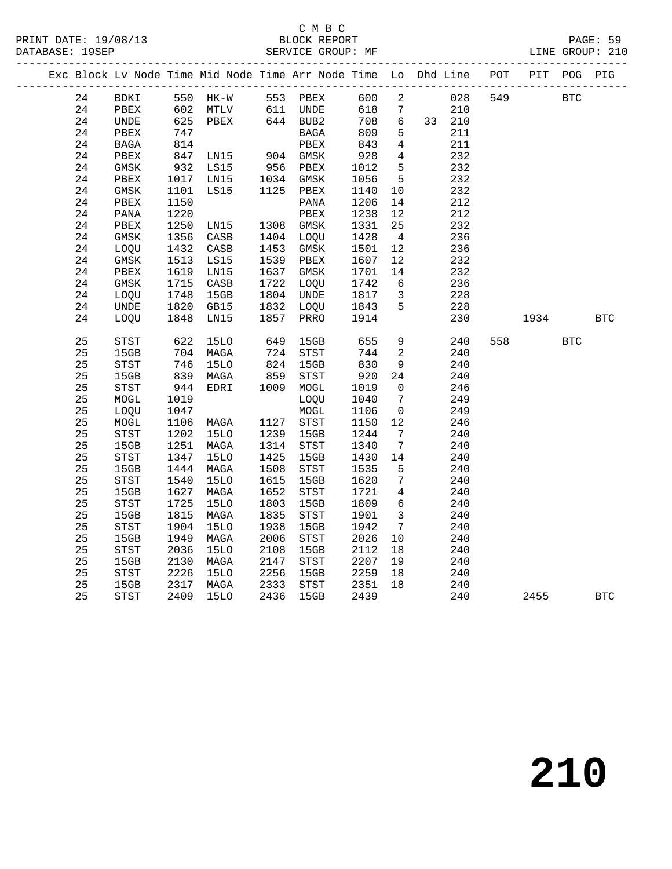|  |    |             |                 |                                  |            |                            |            |                         | Exc Block Lv Node Time Mid Node Time Arr Node Time Lo Dhd Line POT PIT POG PIG |         |            |            |            |
|--|----|-------------|-----------------|----------------------------------|------------|----------------------------|------------|-------------------------|--------------------------------------------------------------------------------|---------|------------|------------|------------|
|  | 24 |             |                 |                                  |            | BDKI 550 HK-W 553 PBEX 600 |            | $\overline{a}$          |                                                                                | 028 549 | <b>BTC</b> |            |            |
|  | 24 | PBEX        |                 | 602 MTLV                         |            | 611 UNDE<br>644 BUB2       | 618 7      |                         | 210                                                                            |         |            |            |            |
|  | 24 | UNDE        |                 | $625$ PBEX                       |            |                            | 708        | $6\overline{6}$         | 33 210                                                                         |         |            |            |            |
|  | 24 | PBEX        | $\frac{1}{814}$ |                                  |            | BAGA                       | 809        | $5^{\circ}$             | 211                                                                            |         |            |            |            |
|  | 24 | BAGA        |                 |                                  |            | PBEX                       | $80\nu$    | $\overline{4}$          | 211                                                                            |         |            |            |            |
|  | 24 | PBEX        | 847             | LN15 904 GMSK<br>LS15 956 PBEX   |            |                            | 928        | $\overline{4}$          | 232                                                                            |         |            |            |            |
|  | 24 | GMSK        | 932             | LS15                             |            |                            | 1012       | $5^{\circ}$             | 232                                                                            |         |            |            |            |
|  | 24 | PBEX        |                 | 1017 LN15                        |            | 1034 GMSK                  | 1056       | 5                       | 232                                                                            |         |            |            |            |
|  | 24 | GMSK        | 1101            | LS15                             |            | 1125 PBEX                  | 1140       | 10                      | 232                                                                            |         |            |            |            |
|  | 24 | PBEX        | 1150            |                                  |            | PANA                       | 1206       | 14                      | 212                                                                            |         |            |            |            |
|  | 24 | PANA        | 1220            |                                  |            | PBEX                       | 1238       | 12                      | 212                                                                            |         |            |            |            |
|  | 24 | PBEX        | 1250            |                                  |            | 1308 GMSK                  | 1331       | 25                      | 232                                                                            |         |            |            |            |
|  | 24 | GMSK        | 1356            | LN15<br>CASB<br>C <sup>ACT</sup> |            | 1404 LOQU                  | 1428       | $\overline{4}$          | 236                                                                            |         |            |            |            |
|  | 24 | LOQU        | 1432            | CASB                             | 1453       | GMSK                       | 1501       | 12                      | 236                                                                            |         |            |            |            |
|  | 24 | GMSK        | 1513            | LS15                             |            | 1539 PBEX                  | 1607       | 12                      | 232                                                                            |         |            |            |            |
|  | 24 | PBEX        | 1619            | LN15                             |            | 1637 GMSK                  | 1701       | 14                      | 232                                                                            |         |            |            |            |
|  | 24 | GMSK        | 1715            | CASB                             | 1722       | LOQU                       | 1742       | $6\overline{6}$         | 236                                                                            |         |            |            |            |
|  | 24 | LOOU        | 1748            | 15GB                             |            | 1804 UNDE                  | 1817       | $\overline{\mathbf{3}}$ | 228                                                                            |         |            |            |            |
|  | 24 | UNDE        |                 | 1820 GB15<br>1848 LN15           |            | 1832 LOQU<br>1857 PRRO     | 1843       | 5 <sup>5</sup>          | 228                                                                            |         |            |            |            |
|  | 24 | LOOU        |                 |                                  |            |                            | 1914       |                         | 230                                                                            |         | 1934       |            | <b>BTC</b> |
|  | 25 | STST        | 622             | 15LO                             | 649        | 15GB                       | 655        | 9                       | 240                                                                            | 558     |            | <b>BTC</b> |            |
|  | 25 | 15GB        |                 | 704 MAGA                         |            | 724 STST                   | 744        | $\overline{\mathbf{c}}$ | 240                                                                            |         |            |            |            |
|  | 25 | STST        |                 | - 745<br>839 MAGA<br>דַאַחיי     | 824<br>859 | 15GB                       | 830<br>920 | 9                       | 240                                                                            |         |            |            |            |
|  | 25 | 15GB        |                 |                                  |            | STST                       |            | 24                      | 240                                                                            |         |            |            |            |
|  | 25 | STST        | 944             | EDRI                             |            | 1009 MOGL                  | 1019       | $\overline{0}$          | 246                                                                            |         |            |            |            |
|  | 25 | MOGL        | 1019            |                                  |            | LOOU                       | 1040       | $\overline{7}$          | 249                                                                            |         |            |            |            |
|  | 25 | LOQU        | 1047            |                                  |            | MOGL                       | 1106       | $\overline{0}$          | 249                                                                            |         |            |            |            |
|  | 25 | MOGL        |                 | 1106 MAGA                        |            | 1127 STST                  | 1150       | 12                      | 246                                                                            |         |            |            |            |
|  | 25 | STST        |                 | 1202 15LO                        | 1239       | 15GB                       | 1244       | $\overline{7}$          | 240                                                                            |         |            |            |            |
|  | 25 | 15GB        | 1251            | MAGA                             | 1314       | STST                       | 1340       | $7\overline{ }$         | 240                                                                            |         |            |            |            |
|  | 25 | STST        | 1347            | <b>15LO</b>                      | 1425       | 15GB                       | 1430       | 14                      | 240                                                                            |         |            |            |            |
|  | 25 | 15GB        |                 | 1444 MAGA                        | 1508       | STST                       | 1535       | $5^{\circ}$             | 240                                                                            |         |            |            |            |
|  | 25 | <b>STST</b> | 1540            | <b>15LO</b>                      | 1615       | 15GB                       | 1620       | $\overline{7}$          | 240                                                                            |         |            |            |            |
|  | 25 | 15GB        | 1627            | MAGA                             | 1652       | STST                       | 1721       | $\overline{4}$          | 240                                                                            |         |            |            |            |
|  | 25 | STST        | 1725            | <b>15LO</b>                      | 1803       | 15GB                       | 1809       | $6\overline{6}$         | 240                                                                            |         |            |            |            |
|  | 25 | 15GB        | 1815            | MAGA                             | 1835       | STST                       | 1901       | $\overline{\mathbf{3}}$ | 240                                                                            |         |            |            |            |
|  | 25 | STST        | 1904            | 15LO                             | 1938       | 15GB                       | 1942       | $7\overline{ }$         | 240                                                                            |         |            |            |            |
|  | 25 | 15GB        | 1949            | MAGA                             | 2006       | STST                       | 2026       | 10                      | 240                                                                            |         |            |            |            |
|  | 25 | STST        | 2036            | 15LO                             | 2108       | 15GB                       | 2112       | 18                      | 240                                                                            |         |            |            |            |
|  | 25 | 15GB        | 2130            | MAGA                             | 2147       | STST                       | 2207       | 19                      | 240                                                                            |         |            |            |            |
|  | 25 | STST        | 2226            | 15LO                             | 2256       | 15GB                       | 2259       | 18                      | 240                                                                            |         |            |            |            |
|  | 25 | 15GB        |                 | 2317 MAGA                        | 2333       | STST                       | 2351       | 18                      | 240                                                                            |         |            |            |            |
|  | 25 | <b>STST</b> | 2409            | <b>15LO</b>                      | 2436       | 15GB                       | 2439       |                         | 240                                                                            |         | 2455       |            | <b>BTC</b> |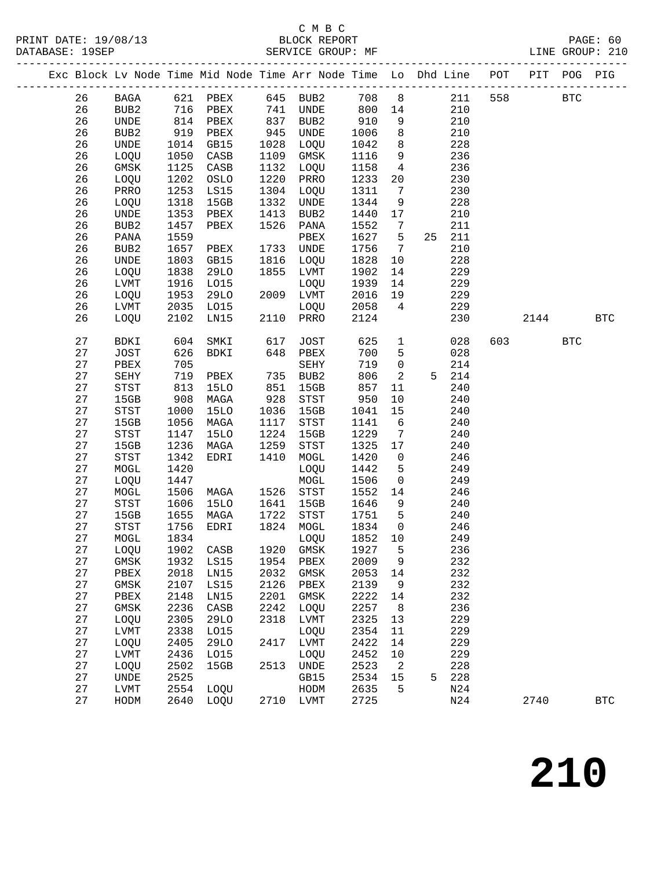#### C M B C<br>BLOCK REPORT DATABASE: 19SEP SERVICE GROUP: MF LINE GROUP: 210

|  |        |                                       |      | Exc Block Lv Node Time Mid Node Time Arr Node Time Lo Dhd Line POT PIT |      |                                       |      |                 |    | -------------------- |     |      | POG        | PIG        |
|--|--------|---------------------------------------|------|------------------------------------------------------------------------|------|---------------------------------------|------|-----------------|----|----------------------|-----|------|------------|------------|
|  | 26     | BAGA                                  | 621  | PBEX                                                                   |      | 645 BUB2                              | 708  | 8 <sup>8</sup>  |    | 211                  | 558 |      | <b>BTC</b> |            |
|  | 26     | BUB2                                  | 716  | PBEX                                                                   | 741  | <b>UNDE</b>                           | 800  | 14              |    | 210                  |     |      |            |            |
|  | 26     | UNDE                                  | 814  | PBEX                                                                   | 837  | BUB2                                  | 910  | 9               |    | 210                  |     |      |            |            |
|  | 26     | BUB <sub>2</sub>                      | 919  | PBEX                                                                   | 945  | UNDE                                  | 1006 | 8               |    | 210                  |     |      |            |            |
|  | 26     | UNDE                                  | 1014 | GB15                                                                   | 1028 | LOQU                                  | 1042 | 8               |    | 228                  |     |      |            |            |
|  | 26     | LOQU                                  | 1050 | CASB                                                                   | 1109 | GMSK                                  | 1116 | 9               |    | 236                  |     |      |            |            |
|  | 26     | GMSK                                  | 1125 | CASB                                                                   | 1132 | LOQU                                  | 1158 | $\overline{4}$  |    | 236                  |     |      |            |            |
|  | 26     | LOQU                                  | 1202 | OSLO                                                                   | 1220 | PRRO                                  | 1233 | 20              |    | 230                  |     |      |            |            |
|  | 26     | PRRO                                  | 1253 | LS15                                                                   | 1304 | LOQU                                  | 1311 | $7\overline{ }$ |    | 230                  |     |      |            |            |
|  | 26     | LOQU                                  | 1318 | 15GB                                                                   | 1332 | UNDE                                  | 1344 | 9               |    | 228                  |     |      |            |            |
|  | 26     | $\ensuremath{\mathsf{UNDE}}$          | 1353 | PBEX                                                                   | 1413 | BUB2                                  | 1440 | 17              |    | 210                  |     |      |            |            |
|  | 26     | BUB2                                  | 1457 | PBEX                                                                   | 1526 | PANA                                  | 1552 | $7\phantom{.0}$ |    | 211                  |     |      |            |            |
|  | 26     | PANA                                  | 1559 |                                                                        |      | PBEX                                  | 1627 | 5               | 25 | 211                  |     |      |            |            |
|  | 26     | BUB2                                  | 1657 | PBEX                                                                   | 1733 | UNDE                                  | 1756 | $7\overline{ }$ |    | 210                  |     |      |            |            |
|  | 26     | <b>UNDE</b>                           | 1803 | GB15                                                                   | 1816 | LOQU                                  | 1828 | 10              |    | 228                  |     |      |            |            |
|  | 26     | LOQU                                  | 1838 | 29LO                                                                   | 1855 | LVMT                                  | 1902 | 14              |    | 229                  |     |      |            |            |
|  | 26     | LVMT                                  | 1916 | L015                                                                   |      | LOQU                                  | 1939 | 14              |    | 229                  |     |      |            |            |
|  | 26     | LOQU                                  | 1953 | 29LO                                                                   | 2009 | LVMT                                  | 2016 | 19              |    | 229                  |     |      |            |            |
|  | 26     | LVMT                                  | 2035 | L015                                                                   |      | LOQU                                  | 2058 | $\overline{4}$  |    | 229                  |     |      |            |            |
|  | 26     | LOQU                                  | 2102 | LN15                                                                   | 2110 | PRRO                                  | 2124 |                 |    | 230                  |     | 2144 |            | <b>BTC</b> |
|  | 27     | BDKI                                  | 604  | SMKI                                                                   | 617  | JOST                                  | 625  | $\mathbf{1}$    |    | 028                  | 603 |      | <b>BTC</b> |            |
|  | 27     | JOST                                  | 626  | BDKI                                                                   | 648  | PBEX                                  | 700  | 5               |    | 028                  |     |      |            |            |
|  | 27     | PBEX                                  | 705  |                                                                        |      | SEHY                                  | 719  | $\mathsf{O}$    |    | 214                  |     |      |            |            |
|  | 27     | SEHY                                  | 719  | PBEX                                                                   | 735  | BUB2                                  | 806  | $\overline{a}$  | 5  | 214                  |     |      |            |            |
|  | 27     | $_{\footnotesize{\textnormal{STST}}}$ | 813  | <b>15LO</b>                                                            | 851  | 15GB                                  | 857  | 11              |    | 240                  |     |      |            |            |
|  | 27     | 15GB                                  | 908  | MAGA                                                                   | 928  | STST                                  | 950  | 10              |    | 240                  |     |      |            |            |
|  | 27     | STST                                  | 1000 | 15LO                                                                   | 1036 | 15GB                                  | 1041 | 15              |    | 240                  |     |      |            |            |
|  | 27     | 15GB                                  | 1056 | MAGA                                                                   | 1117 | STST                                  | 1141 | 6               |    | 240                  |     |      |            |            |
|  | 27     | $_{\footnotesize{\textnormal{STST}}}$ | 1147 | 15LO                                                                   | 1224 | 15GB                                  | 1229 | $\overline{7}$  |    | 240                  |     |      |            |            |
|  | 27     | 15GB                                  | 1236 | MAGA                                                                   | 1259 | STST                                  | 1325 | 17              |    | 240                  |     |      |            |            |
|  | 27     | STST                                  | 1342 | EDRI                                                                   | 1410 | MOGL                                  | 1420 | $\overline{0}$  |    | 246                  |     |      |            |            |
|  | $2\,7$ | $\tt MOGL$                            | 1420 |                                                                        |      | LOQU                                  | 1442 | 5               |    | 249                  |     |      |            |            |
|  | 27     | LOQU                                  | 1447 |                                                                        |      | $\tt MOGL$                            | 1506 | $\mathsf{O}$    |    | 249                  |     |      |            |            |
|  | 27     | ${\tt MOGL}$                          | 1506 | MAGA                                                                   | 1526 | $_{\footnotesize{\textnormal{STST}}}$ | 1552 | 14              |    | 246                  |     |      |            |            |
|  | 27     | STST                                  | 1606 | <b>15LO</b>                                                            | 1641 | 15GB                                  | 1646 | 9               |    | 240                  |     |      |            |            |
|  | 27     | 15GB                                  | 1655 | MAGA                                                                   | 1722 | $_{\footnotesize{\textnormal{STST}}}$ | 1751 | $5^{\circ}$     |    | 240                  |     |      |            |            |
|  | 27     | <b>STST</b>                           | 1756 | EDRI                                                                   | 1824 | MOGL                                  | 1834 | $\overline{0}$  |    | 246                  |     |      |            |            |
|  | 27     | MOGL                                  | 1834 |                                                                        |      | LOQU                                  | 1852 | 10              |    | 249                  |     |      |            |            |
|  | 27     | LOQU                                  | 1902 | CASB                                                                   | 1920 | $\rm{GMSK}$                           | 1927 | 5               |    | 236                  |     |      |            |            |
|  | 27     | GMSK                                  | 1932 | LS15                                                                   | 1954 | PBEX                                  | 2009 | 9               |    | 232                  |     |      |            |            |
|  | 27     | PBEX                                  | 2018 | LN15                                                                   | 2032 | GMSK                                  | 2053 | 14              |    | 232                  |     |      |            |            |
|  | 27     | GMSK                                  | 2107 | LS15                                                                   | 2126 | PBEX                                  | 2139 | 9               |    | 232                  |     |      |            |            |
|  | 27     | PBEX                                  | 2148 | LN15                                                                   | 2201 | GMSK                                  | 2222 | 14              |    | 232                  |     |      |            |            |
|  | 27     | GMSK                                  | 2236 | CASB                                                                   | 2242 | LOQU                                  | 2257 | 8               |    | 236                  |     |      |            |            |
|  | 27     | LOQU                                  | 2305 | <b>29LO</b>                                                            | 2318 | LVMT                                  | 2325 | 13              |    | 229                  |     |      |            |            |
|  | 27     | ${\rm LVMT}$                          | 2338 | L015                                                                   |      | LOQU                                  | 2354 | 11              |    | 229                  |     |      |            |            |
|  | 27     | LOQU                                  | 2405 | <b>29LO</b>                                                            | 2417 | LVMT                                  | 2422 | 14              |    | 229                  |     |      |            |            |
|  | 27     | LVMT                                  | 2436 | L015                                                                   |      | LOQU                                  | 2452 | 10              |    | 229                  |     |      |            |            |
|  | 27     | LOQU                                  | 2502 | 15GB                                                                   | 2513 | UNDE                                  | 2523 | 2               |    | 228                  |     |      |            |            |
|  | 27     | <b>UNDE</b>                           | 2525 |                                                                        |      | GB15                                  | 2534 | 15              | 5  | 228                  |     |      |            |            |
|  | 27     | LVMT                                  | 2554 | LOQU                                                                   |      | HODM                                  | 2635 | 5               |    | N24                  |     |      |            |            |
|  | 27     | HODM                                  | 2640 | LOQU                                                                   | 2710 | LVMT                                  | 2725 |                 |    | N24                  |     | 2740 |            | <b>BTC</b> |
|  |        |                                       |      |                                                                        |      |                                       |      |                 |    |                      |     |      |            |            |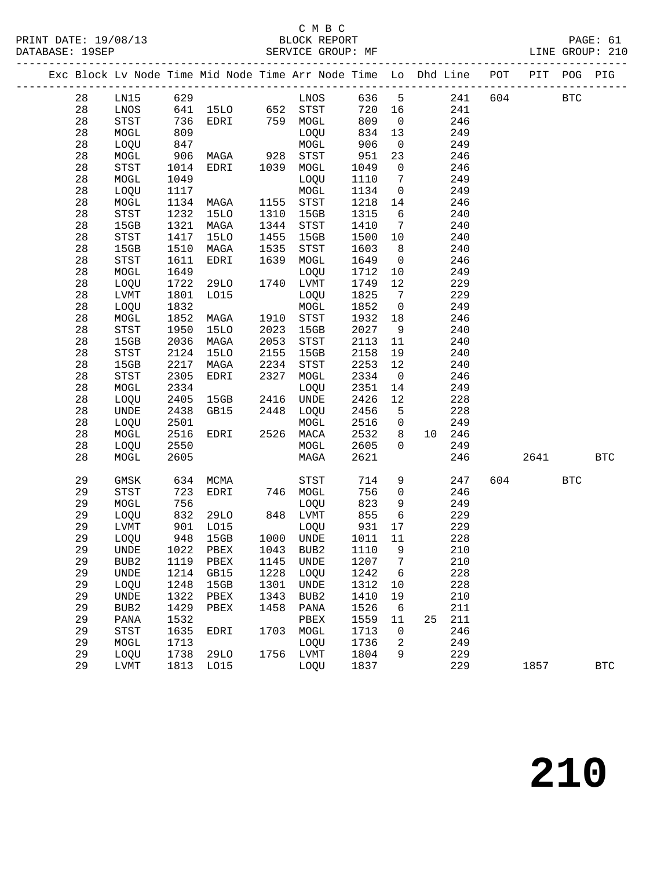#### C M B C<br>BLOCK REPORT

|  |    |                              |      | Exc Block Lv Node Time Mid Node Time Arr Node Time Lo Dhd Line POT PIT POG PIG |             |                            |         |                 |        |     |     |          |            |            |
|--|----|------------------------------|------|--------------------------------------------------------------------------------|-------------|----------------------------|---------|-----------------|--------|-----|-----|----------|------------|------------|
|  | 28 | LN15 629                     |      | --<br>641 1510 652 STST<br>736 EDRI 759 MOGL<br>809                            |             | LNOS 636 5 241             |         |                 |        |     |     | 604      | <b>BTC</b> |            |
|  | 28 | LNOS                         |      |                                                                                |             |                            | 720 16  |                 |        | 241 |     |          |            |            |
|  | 28 | STST                         |      |                                                                                |             |                            | 809     | $\overline{0}$  |        | 246 |     |          |            |            |
|  | 28 | MOGL                         |      |                                                                                |             |                            | 834 13  |                 |        | 249 |     |          |            |            |
|  | 28 | LOQU                         | 847  |                                                                                |             | MOGL                       | 906     | $\overline{0}$  |        | 249 |     |          |            |            |
|  | 28 | MOGL                         | 906  | MAGA                                                                           | 928<br>1039 | STST                       | 951     | 23              |        | 246 |     |          |            |            |
|  | 28 | STST                         | 1014 | EDRI                                                                           | 1039        | MOGL                       | 1049    | $\overline{0}$  |        | 246 |     |          |            |            |
|  | 28 | MOGL                         | 1049 |                                                                                |             | LOQU                       | 1110    | $\overline{7}$  |        | 249 |     |          |            |            |
|  | 28 | LOQU                         | 1117 |                                                                                |             | MOGL                       | 1134    | $\overline{0}$  |        | 249 |     |          |            |            |
|  | 28 | MOGL                         | 1134 | MAGA                                                                           | 1155        | STST                       | 1218    | 14              |        | 246 |     |          |            |            |
|  | 28 | $_{\footnotesize\rm STST}$   | 1232 | 15LO                                                                           | 1310        | 15GB                       | 1315    | 6               |        | 240 |     |          |            |            |
|  | 28 | 15GB                         | 1321 | MAGA                                                                           | 1344        | STST                       | 1410    | $\overline{7}$  |        | 240 |     |          |            |            |
|  | 28 | STST                         | 1417 | 15LO                                                                           | 1455        | 15GB                       | 1500    | 10              |        | 240 |     |          |            |            |
|  | 28 | 15GB                         | 1510 | MAGA                                                                           | 1535        | STST                       | 1603    | 8 <sup>8</sup>  |        | 240 |     |          |            |            |
|  | 28 | STST                         | 1611 | EDRI                                                                           | 1639        | MOGL                       | 1649    | $\overline{0}$  |        | 246 |     |          |            |            |
|  | 28 | MOGL                         | 1649 |                                                                                |             | LOQU                       | 1712    | 10              |        | 249 |     |          |            |            |
|  | 28 | LOQU                         | 1722 | 29LO                                                                           |             | 1740 LVMT                  | 1749    | 12              |        | 229 |     |          |            |            |
|  | 28 | LVMT                         | 1801 | L015                                                                           |             | LOQU                       | 1825    | $\overline{7}$  |        | 229 |     |          |            |            |
|  | 28 | LOQU                         | 1832 |                                                                                |             | MOGL                       | 1852    | $\overline{0}$  |        | 249 |     |          |            |            |
|  | 28 | MOGL                         | 1852 | MAGA                                                                           |             | 1910 STST                  | 1932 18 |                 |        | 246 |     |          |            |            |
|  | 28 | STST                         | 1950 | 15LO                                                                           | 2023        | 15GB                       | 2027    | 9               |        | 240 |     |          |            |            |
|  | 28 | 15GB                         | 2036 | MAGA                                                                           | 2053        | $_{\footnotesize\rm STST}$ | 2113    | 11              |        | 240 |     |          |            |            |
|  | 28 | STST                         | 2124 | 15LO                                                                           | 2155        | 15GB                       | 2158    | 19              |        | 240 |     |          |            |            |
|  | 28 | 15GB                         | 2217 | MAGA                                                                           | 2234        | STST                       | 2253    | 12              |        | 240 |     |          |            |            |
|  | 28 | STST                         | 2305 | EDRI                                                                           | 2327        | MOGL                       | 2334    | $\overline{0}$  |        | 246 |     |          |            |            |
|  | 28 | MOGL                         | 2334 |                                                                                |             | LOQU                       | 2351    | 14              |        | 249 |     |          |            |            |
|  | 28 | LOQU                         | 2405 | 15GB                                                                           | 2416        | UNDE                       | 2426    | 12              |        | 228 |     |          |            |            |
|  | 28 | UNDE                         | 2438 | GB15                                                                           |             | 2448 LOQU                  | 2456    | $5^{\circ}$     |        | 228 |     |          |            |            |
|  | 28 | LOQU                         | 2501 |                                                                                |             | MOGL                       | 2516    | $\overline{0}$  |        | 249 |     |          |            |            |
|  | 28 | MOGL                         | 2516 | EDRI                                                                           | 2526        | MACA                       | 2532    | 8               | 10 246 |     |     |          |            |            |
|  | 28 | LOQU                         | 2550 |                                                                                |             | MOGL                       | 2605    | $\overline{0}$  |        | 249 |     |          |            |            |
|  | 28 | MOGL                         | 2605 |                                                                                |             | MAGA                       | 2621    |                 |        | 246 |     | 2641 200 |            | <b>BTC</b> |
|  | 29 | GMSK                         | 634  | MCMA                                                                           |             | STST                       | 714     | 9               |        | 247 | 604 |          | <b>BTC</b> |            |
|  | 29 | STST                         | 723  | EDRI                                                                           |             | 746 MOGL                   | 756     | $\overline{0}$  |        | 246 |     |          |            |            |
|  | 29 | MOGL                         | 756  |                                                                                |             | LOQU                       | 823     | 9               |        | 249 |     |          |            |            |
|  | 29 | LOQU                         | 832  | 29LO                                                                           |             | 848 LVMT                   | 855     | $6\overline{6}$ |        | 229 |     |          |            |            |
|  | 29 | ${\rm LVMT}$                 | 901  | LO15                                                                           | 1000        | LOQU                       | 931     | 17              |        | 229 |     |          |            |            |
|  | 29 | LOQU                         | 948  | 15GB                                                                           |             | 1000 UNDE                  | 1011    | 11              |        | 228 |     |          |            |            |
|  | 29 |                              |      | UNDE 1022 PBEX 1043 BUB2 1110 9                                                |             |                            |         |                 | 210    |     |     |          |            |            |
|  | 29 | BUB2                         | 1119 | PBEX                                                                           | 1145        | UNDE                       | 1207    | 7               |        | 210 |     |          |            |            |
|  | 29 | $\ensuremath{\mathsf{UNDE}}$ | 1214 | GB15                                                                           | 1228        | LOQU                       | 1242    | 6               |        | 228 |     |          |            |            |
|  | 29 | LOQU                         | 1248 | 15GB                                                                           | 1301        | UNDE                       | 1312    | 10              |        | 228 |     |          |            |            |
|  | 29 | $\ensuremath{\mathsf{UNDE}}$ | 1322 | PBEX                                                                           | 1343        | BUB2                       | 1410    | 19              |        | 210 |     |          |            |            |
|  | 29 | BUB2                         | 1429 | PBEX                                                                           | 1458        | PANA                       | 1526    | 6               |        | 211 |     |          |            |            |
|  | 29 | PANA                         | 1532 |                                                                                |             | PBEX                       | 1559    | 11              | 25     | 211 |     |          |            |            |
|  | 29 | <b>STST</b>                  | 1635 | EDRI                                                                           | 1703        | MOGL                       | 1713    | 0               |        | 246 |     |          |            |            |
|  | 29 | MOGL                         | 1713 |                                                                                |             | LOQU                       | 1736    | 2               |        | 249 |     |          |            |            |
|  | 29 | LOQU                         | 1738 | <b>29LO</b>                                                                    | 1756        | LVMT                       | 1804    | 9               |        | 229 |     |          |            |            |

29 LVMT 1813 LO15 LOQU 1837 229 1857 BTC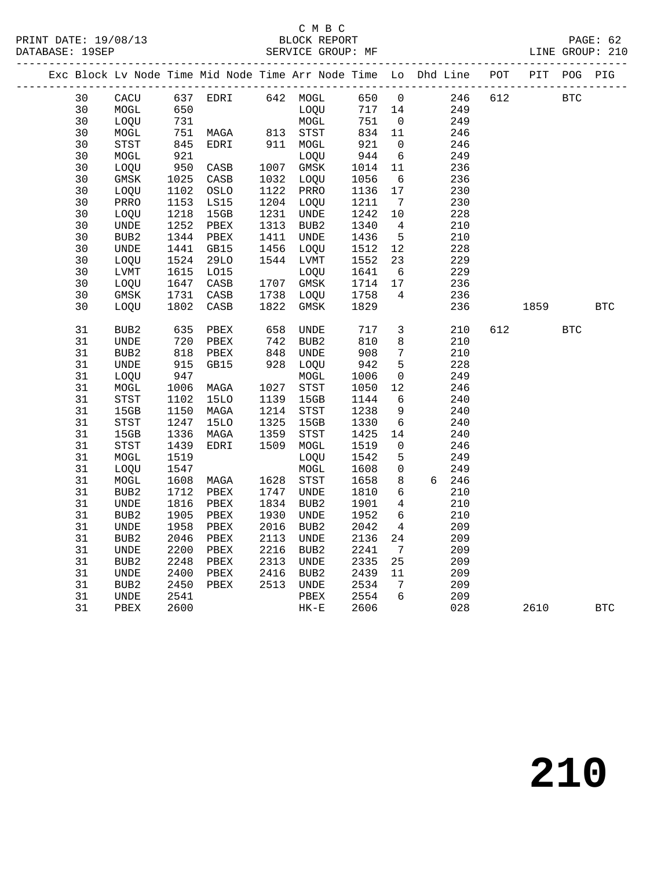#### C M B C<br>BLOCK REPORT SERVICE GROUP: MF

|  |    |                              |                   |                 |                          |                  |         |                              | Exc Block Lv Node Time Mid Node Time Arr Node Time Lo Dhd Line POT PIT POG PIG |     |      |            |            |
|--|----|------------------------------|-------------------|-----------------|--------------------------|------------------|---------|------------------------------|--------------------------------------------------------------------------------|-----|------|------------|------------|
|  | 30 | CACU                         |                   |                 |                          |                  |         |                              | 246 612<br>249                                                                 |     |      | <b>BTC</b> |            |
|  | 30 | MOGL                         | 650               |                 |                          | LOQU             | 717 14  |                              |                                                                                |     |      |            |            |
|  | 30 | LOQU                         | 731<br>751<br>845 |                 |                          | MOGL<br>813 STST | 751     | $\overline{0}$               | 249                                                                            |     |      |            |            |
|  | 30 | MOGL                         |                   | MAGA            |                          |                  | 834 11  |                              | 246                                                                            |     |      |            |            |
|  | 30 | STST                         |                   | EDRI            |                          | 911 MOGL         | 921     | $\overline{0}$               | 246                                                                            |     |      |            |            |
|  | 30 | MOGL                         | 921               |                 |                          | LOQU             | 944     | 6                            | 249                                                                            |     |      |            |            |
|  | 30 | LOQU                         | 950               | CASB            |                          | 1007 GMSK        | 1014    | 11                           | 236                                                                            |     |      |            |            |
|  | 30 | GMSK                         | 1025<br>1102      | CASB            |                          | 1032 LOQU        | 1056    | $6\overline{6}$              | 236                                                                            |     |      |            |            |
|  | 30 | LOQU                         |                   | OSLO            | 1122                     | PRRO             | 1136    | 17                           | 230                                                                            |     |      |            |            |
|  | 30 | PRRO                         | 1153              | LS15            | 1204                     | LOQU             | 1211    | $7\overline{ }$              | 230                                                                            |     |      |            |            |
|  | 30 | LOQU                         | 1218              | 15GB            | 1231                     | UNDE             | 1242    | 10                           | 228                                                                            |     |      |            |            |
|  | 30 | $\ensuremath{\mathsf{UNDE}}$ | 1252              | PBEX            | 1313                     | BUB2             | 1340    | $\overline{4}$               | 210                                                                            |     |      |            |            |
|  | 30 | BUB2                         | 1344              | PBEX            | 1411                     | UNDE             | 1436    | $5^{\circ}$                  | 210                                                                            |     |      |            |            |
|  | 30 | UNDE                         | 1441              | GB15            | 1456                     | LOQU             | 1512    | 12                           | 228                                                                            |     |      |            |            |
|  | 30 | LOQU                         | 1524              | 29LO            |                          | 1544 LVMT        | 1552    | 23                           | 229                                                                            |     |      |            |            |
|  | 30 | LVMT                         | 1615              | LO15            |                          | LOOU             | 1641    | 6                            | 229                                                                            |     |      |            |            |
|  | 30 | LOQU                         | 1647              | CASB            |                          | 1707 GMSK        | 1714 17 |                              | 236                                                                            |     |      |            |            |
|  | 30 | GMSK                         | 1731              | CASB            |                          | 1738 LOQU        | 1758    | $\overline{4}$               | 236                                                                            |     |      |            |            |
|  | 30 | LOQU                         | 1802              | $\mathtt{CASB}$ | 1822                     | GMSK             | 1829    |                              | 236                                                                            |     | 1859 |            | <b>BTC</b> |
|  | 31 | BUB2                         | 635<br>720        | PBEX            | 658<br>742<br>848<br>928 | UNDE             | $717$   | $\mathbf{3}$                 | 210                                                                            | 612 |      | <b>BTC</b> |            |
|  | 31 | UNDE                         |                   | PBEX            |                          | BUB2             | 810     | 8                            | 210                                                                            |     |      |            |            |
|  | 31 | BUB2                         | 818               | PBEX            |                          | <b>UNDE</b>      | 908     | $7\phantom{.0}$              | 210                                                                            |     |      |            |            |
|  | 31 | UNDE                         | 915               | GB15            | 928                      | LOQU             | 942     | 5                            | 228                                                                            |     |      |            |            |
|  | 31 | LOQU                         | 947               |                 |                          | $\tt MOGL$       | 1006    | $\overline{0}$               | 249                                                                            |     |      |            |            |
|  | 31 | MOGL                         | 1006              | MAGA            |                          | 1027 STST        | 1050    | 12                           | 246                                                                            |     |      |            |            |
|  | 31 | STST                         | 1102              | 15LO            | 1139                     | 15GB             | 1144    | 6                            | 240                                                                            |     |      |            |            |
|  | 31 | 15GB                         | 1150              | MAGA            | 1214                     | STST             | 1238    | 9                            | 240                                                                            |     |      |            |            |
|  | 31 | STST                         | 1247              | <b>15LO</b>     | 1325                     | 15GB             | 1330    | $6\overline{6}$              | 240                                                                            |     |      |            |            |
|  | 31 | 15GB                         | 1336              | MAGA            | 1359                     | STST             | 1425    | 14                           | 240                                                                            |     |      |            |            |
|  | 31 | STST                         | 1439              | EDRI            | 1509                     | MOGL             | 1519    | $\overline{0}$               | 246                                                                            |     |      |            |            |
|  | 31 | MOGL                         | 1519              |                 |                          | LOQU             | 1542    | 5                            | 249                                                                            |     |      |            |            |
|  | 31 | LOQU                         | 1547              |                 |                          | MOGL             | 1608    | $\overline{0}$               | 249                                                                            |     |      |            |            |
|  | 31 | MOGL                         | 1608              | MAGA            | 1628                     | STST             | 1658    | 8                            | 6 246                                                                          |     |      |            |            |
|  | 31 | BUB2                         | 1712              | PBEX            | 1747                     | UNDE             | 1810    | $6\overline{6}$              | 210                                                                            |     |      |            |            |
|  | 31 | UNDE                         | 1816              | PBEX            | 1834                     | BUB <sub>2</sub> | 1901    | $\overline{4}$               | 210                                                                            |     |      |            |            |
|  | 31 | BUB <sub>2</sub>             | 1905              | PBEX            | 1930                     | UNDE             | 1952    | 6                            | 210                                                                            |     |      |            |            |
|  | 31 | <b>UNDE</b>                  | 1958              | PBEX            | 2016                     | BUB2             | 2042    | $4\overline{ }$              | 209                                                                            |     |      |            |            |
|  | 31 | BUB <sub>2</sub>             | 2046              | PBEX            | 2113                     | UNDE             | 2136    | 24                           | 209                                                                            |     |      |            |            |
|  | 31 | UNDE                         | 2200              | PBEX            | 2216                     | BUB2             | 2241    | $7\overline{ }$              | 209                                                                            |     |      |            |            |
|  | 31 | BUB2                         | 2248              | PBEX            | 2313                     | UNDE             | 2335    | 25                           | 209                                                                            |     |      |            |            |
|  | 31 | UNDE                         | 2400              | PBEX            | 2416                     | BUB <sub>2</sub> | 2439    | 11                           | 209                                                                            |     |      |            |            |
|  | 31 | BUB2                         | 2450              | PBEX            | 2513                     | UNDE             | 2534    | $7\phantom{.0}\phantom{.0}7$ | 209                                                                            |     |      |            |            |
|  | 31 | UNDE                         | 2541              |                 |                          | PBEX             | 2554    | $6\overline{6}$              | 209                                                                            |     |      |            |            |
|  | 31 | PBEX                         | 2600              |                 |                          | $HK-E$           | 2606    |                              | 028                                                                            |     | 2610 |            | <b>BTC</b> |
|  |    |                              |                   |                 |                          |                  |         |                              |                                                                                |     |      |            |            |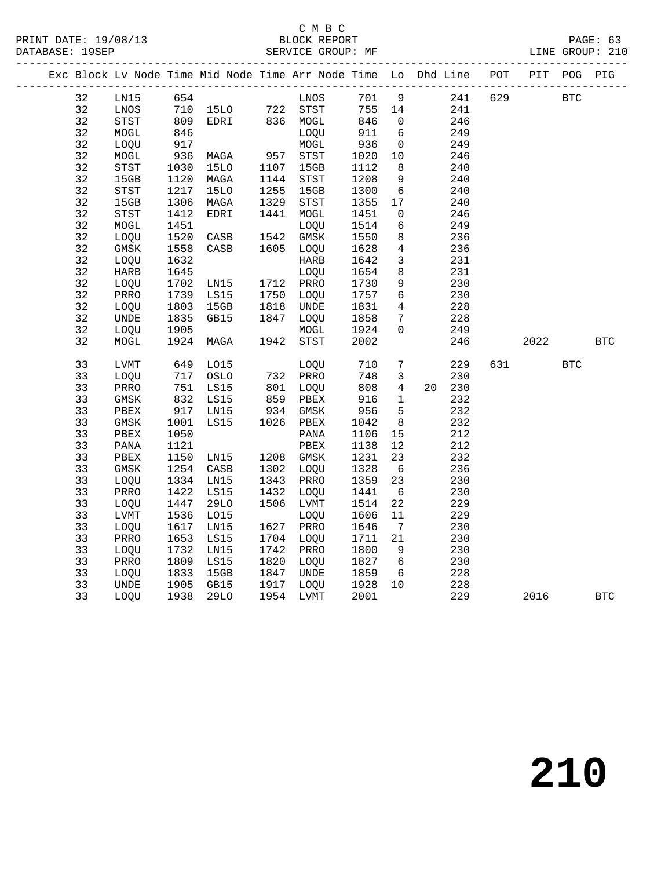### C M B C<br>BLOCK REPORT

SERVICE GROUP: MF

|  |    |                            |      |                                                    |      |                              |        |                 | Exc Block Lv Node Time Mid Node Time Arr Node Time Lo Dhd Line POT PIT POG PIG |         |            |            |            |
|--|----|----------------------------|------|----------------------------------------------------|------|------------------------------|--------|-----------------|--------------------------------------------------------------------------------|---------|------------|------------|------------|
|  | 32 | LNI5                       | 654  |                                                    |      | LNOS<br>STST                 | 701 9  |                 |                                                                                | 241 629 | <b>BTC</b> |            |            |
|  | 32 | LNOS                       |      |                                                    |      |                              | 755 14 |                 | 241                                                                            |         |            |            |            |
|  | 32 | STST                       | 809  | 554 LNOS<br>710 15LO 722 STST<br>809 EDRI 836 MOGL |      |                              | 846    | $\overline{0}$  | 246                                                                            |         |            |            |            |
|  | 32 | MOGL                       | 846  |                                                    |      | LOQU                         | 911    | $6\overline{6}$ | 249                                                                            |         |            |            |            |
|  | 32 | LOQU                       | 917  |                                                    |      |                              | 936    | $\overline{0}$  | 249                                                                            |         |            |            |            |
|  | 32 | MOGL                       | 936  | MAGA                                               |      |                              | 1020   | 10              | 246                                                                            |         |            |            |            |
|  | 32 | STST                       | 1030 | 15LO                                               |      | MOGL<br>957 STST<br>1107 15  | 1112   | 8 <sup>8</sup>  | 240                                                                            |         |            |            |            |
|  | 32 | 15GB                       | 1120 | MAGA                                               | 1144 | STST                         | 1208   | 9               | 240                                                                            |         |            |            |            |
|  | 32 | $_{\footnotesize\rm STST}$ | 1217 | <b>15LO</b>                                        | 1255 | 15GB                         | 1300   | $6\overline{6}$ | 240                                                                            |         |            |            |            |
|  | 32 | 15GB                       | 1306 | MAGA                                               | 1329 | STST                         | 1355   | 17              | 240                                                                            |         |            |            |            |
|  | 32 | STST                       | 1412 | EDRI                                               | 1441 | MOGL                         | 1451   | $\overline{0}$  | 246                                                                            |         |            |            |            |
|  | 32 | MOGL                       | 1451 |                                                    |      | LOQU                         | 1514   | 6               | 249                                                                            |         |            |            |            |
|  | 32 | LOQU                       | 1520 | CASB                                               | 1542 | GMSK                         | 1550   | 8               | 236                                                                            |         |            |            |            |
|  | 32 | GMSK                       | 1558 | CASB                                               |      | 1605 LOQU                    | 1628   | $\overline{4}$  | 236                                                                            |         |            |            |            |
|  | 32 | LOQU                       | 1632 |                                                    |      | <b>HARB</b>                  | 1642   | $\overline{3}$  | 231                                                                            |         |            |            |            |
|  | 32 | HARB                       | 1645 |                                                    |      | LOQU                         | 1654   | 8               | 231                                                                            |         |            |            |            |
|  | 32 | LOQU                       | 1702 | LN15                                               |      | 1712 PRRO                    | 1730   | 9               | 230                                                                            |         |            |            |            |
|  | 32 | PRRO                       | 1739 | LS15                                               |      | 1750 LOQU                    | 1757   | $6\overline{6}$ | 230                                                                            |         |            |            |            |
|  | 32 | LOQU                       | 1803 | 15GB                                               | 1818 | UNDE                         | 1831   | $4\overline{4}$ | 228                                                                            |         |            |            |            |
|  | 32 | UNDE                       | 1835 | GB15                                               |      | 1847 LOQU                    | 1858   | $7\overline{ }$ | 228                                                                            |         |            |            |            |
|  | 32 | LOQU                       | 1905 |                                                    |      | MOGL                         | 1924   | $\mathbf{0}$    | 249                                                                            |         |            |            |            |
|  | 32 | MOGL                       | 1924 | MAGA                                               | 1942 | STST                         | 2002   |                 | 246                                                                            |         | 2022       |            | <b>BTC</b> |
|  |    |                            |      |                                                    |      |                              |        |                 |                                                                                |         |            |            |            |
|  | 33 | <b>LVMT</b>                | 649  | LO15                                               |      | LOQU<br>732 PRRO<br>801 LOQU | 710    | $7\overline{ }$ | 229                                                                            | 631     |            | <b>BTC</b> |            |
|  | 33 | LOQU                       | 717  | OSLO                                               |      |                              | 748    | $\overline{3}$  | 230                                                                            |         |            |            |            |
|  | 33 | PRRO                       | 751  | LS15                                               |      |                              | 808    | $4\overline{ }$ | 20 230                                                                         |         |            |            |            |
|  | 33 | GMSK                       | 832  | LS15                                               |      |                              | 916    | $\mathbf{1}$    | 232                                                                            |         |            |            |            |
|  | 33 | PBEX                       | 917  | LN15                                               |      | 859 PBEX<br>934 GMSK         | $-956$ | $5\overline{)}$ | 232                                                                            |         |            |            |            |
|  | 33 | GMSK                       | 1001 | LS15                                               |      | 1026 PBEX                    | 1042   | 8               | 232                                                                            |         |            |            |            |
|  | 33 | PBEX                       | 1050 |                                                    |      | PANA                         | 1106   | 15              | 212                                                                            |         |            |            |            |
|  | 33 | PANA                       | 1121 |                                                    |      | PBEX                         | 1138   | 12              | 212                                                                            |         |            |            |            |
|  | 33 | PBEX                       | 1150 | LNI5                                               |      | 1208 GMSK                    | 1231   | 23              | 232                                                                            |         |            |            |            |
|  | 33 | GMSK                       | 1254 | CASB                                               |      | 1302 LOQU                    | 1328   | 6               | 236                                                                            |         |            |            |            |
|  | 33 | LOQU                       | 1334 | LN15                                               | 1343 | PRRO                         | 1359   | 23              | 230                                                                            |         |            |            |            |
|  | 33 | PRRO                       | 1422 | LS15                                               | 1432 | LOQU                         | 1441   | $6\overline{6}$ | 230                                                                            |         |            |            |            |
|  | 33 | LOQU                       | 1447 | 29LO                                               |      | 1506 LVMT                    | 1514   | 22              | 229                                                                            |         |            |            |            |
|  | 33 | LVMT                       | 1536 | LO15                                               |      | LOQU                         | 1606   | 11              | 229                                                                            |         |            |            |            |
|  | 33 | LOQU                       | 1617 | LN15                                               |      | 1627 PRRO                    | 1646   | $7\overline{ }$ | 230                                                                            |         |            |            |            |
|  | 33 | PRRO                       | 1653 | LS15                                               |      | 1704 LOQU                    | 1711   | 21              | 230                                                                            |         |            |            |            |
|  | 33 | LOOU                       | 1732 | LN15                                               | 1742 | PRRO                         | 1800   | 9               | 230                                                                            |         |            |            |            |
|  | 33 | PRRO                       | 1809 | LS15                                               |      | 1820 LOQU                    | 1827 6 |                 | 230                                                                            |         |            |            |            |
|  | 33 | LOQU                       | 1833 | 15GB                                               |      | 1847 UNDE                    | 1859   | 6               | 228                                                                            |         |            |            |            |
|  | 33 | UNDE                       | 1905 | GB15                                               |      | 1917 Luqu<br>1954 LVMT       | 1928   | 10              | 228                                                                            |         |            |            |            |
|  | 33 | LOQU                       |      | 1938 29LO                                          |      |                              | 2001   |                 | 229                                                                            |         | 2016       |            | <b>BTC</b> |
|  |    |                            |      |                                                    |      |                              |        |                 |                                                                                |         |            |            |            |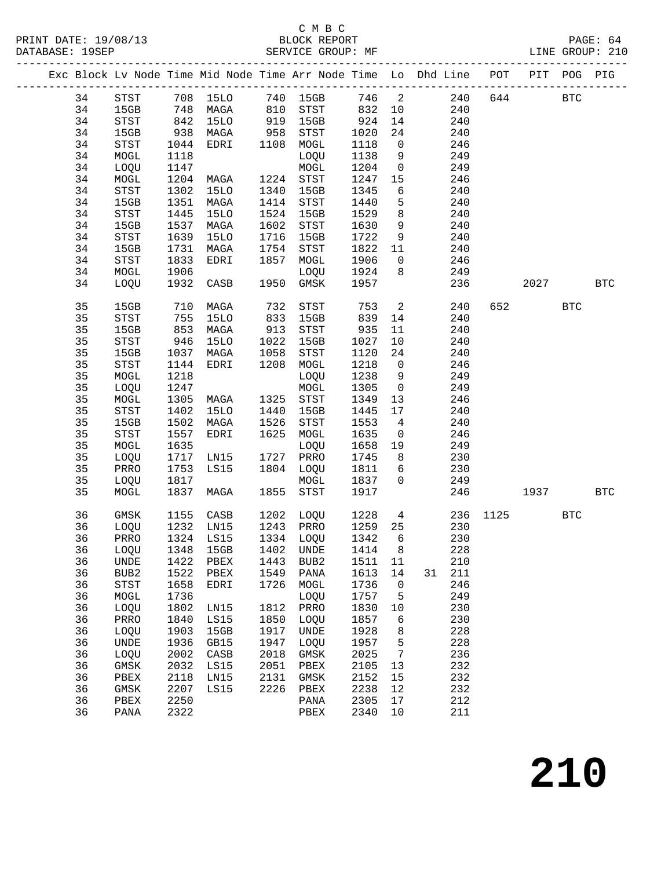#### C M B C<br>BLOCK REPORT SERVICE GROUP: MF

|          |              |              |              |              | Exc Block Lv Node Time Mid Node Time Arr Node Time Lo Dhd Line POT PIT POG PIG |              |                          |                        |      |            |            |     |
|----------|--------------|--------------|--------------|--------------|--------------------------------------------------------------------------------|--------------|--------------------------|------------------------|------|------------|------------|-----|
| 34       |              |              |              |              | STST 708 15LO 740 15GB 746 2 240<br>15GB 748 MAGA 810 STST 832 10 240          |              |                          |                        |      | 644        | <b>BTC</b> |     |
| 34       |              |              | 748 MAGA     |              |                                                                                |              |                          |                        |      |            |            |     |
| 34       | STST         |              | 842 15LO     |              | 919 15GB                                                                       | 924          | 14                       | 240                    |      |            |            |     |
| 34       | 15GB         | 938          | MAGA         | 958          | STST                                                                           | 1020         | 24                       | 240                    |      |            |            |     |
| 34       | STST         | 1044         | EDRI         | 1108         | MOGL                                                                           | 1118         | $\overline{0}$           | 246                    |      |            |            |     |
| 34       | MOGL         | 1118         |              |              | LOQU                                                                           | 1138         |                          | 9<br>249               |      |            |            |     |
| 34       | LOQU         | 1147         |              |              | $\tt MOGL$                                                                     | 1204         | $\overline{0}$           | 249                    |      |            |            |     |
| 34       | MOGL         | 1204         | MAGA         |              | 1224 STST                                                                      | 1247         | 15                       | 246                    |      |            |            |     |
| 34       | STST         | 1302         | 15LO         | 1340         | 15GB                                                                           | 1345         | 6                        | 240                    |      |            |            |     |
| 34       | 15GB         | 1351         | MAGA         | 1414         | STST                                                                           | 1440         | 5 <sub>5</sub>           | 240                    |      |            |            |     |
| 34       | STST         | 1445         | 15LO         | 1524         | 15GB                                                                           | 1529         | 8 <sup>8</sup>           | 240                    |      |            |            |     |
| 34       | 15GB         | 1537         | MAGA         | 1602         | STST                                                                           | 1630         | 9                        | 240                    |      |            |            |     |
| 34       | STST         | 1639         | 15LO         | 1716         | 15GB                                                                           | 1722         | 9                        | 240                    |      |            |            |     |
| 34       | 15GB         | 1731         | MAGA         | 1754         | STST                                                                           | 1822         | 11                       | 240                    |      |            |            |     |
| 34       | STST         | 1833         | EDRI         | 1857         | MOGL                                                                           | 1906         | $\overline{0}$           | 246                    |      |            |            |     |
| 34       | MOGL         | 1906         |              |              | LOQU                                                                           | 1924         | 8 <sup>8</sup>           | 249                    |      |            |            |     |
| 34       | LOQU         | 1932         | CASB         |              | 1950 GMSK                                                                      | 1957         |                          | 236                    |      | 2027       |            | BTC |
| 35       | 15GB         | 710          | MAGA         | 732          | STST                                                                           | 753          | $\overline{\mathbf{c}}$  | 240                    | 652  |            | <b>BTC</b> |     |
| 35       | STST         | 755          | 15LO         | 833          | 15GB                                                                           | 839          | 14                       | 240                    |      |            |            |     |
| 35       | 15GB         | 853          | MAGA         | 913          | STST                                                                           | 935          | 11                       | 240                    |      |            |            |     |
| 35       | STST         | 946          | <b>15LO</b>  | 1022         | 15GB                                                                           | 1027         | 10                       | 240                    |      |            |            |     |
| 35       | 15GB         | 1037         | MAGA         | 1058         | STST                                                                           | 1120         | 24                       | 240                    |      |            |            |     |
| 35       | STST         | 1144         | EDRI         | 1208         | MOGL                                                                           | 1218         | $\overline{0}$           | 246                    |      |            |            |     |
| 35       | MOGL         | 1218         |              |              | LOQU                                                                           | 1238         | 9                        | 249                    |      |            |            |     |
| 35       | LOQU         | 1247         |              |              | MOGL                                                                           | 1305         | $\overline{0}$           | 249                    |      |            |            |     |
| 35       | MOGL         | 1305         | MAGA         |              | 1325 STST                                                                      | 1349         | 13                       | 246                    |      |            |            |     |
| 35       | STST         | 1402         | 15LO         | 1440         | 15GB                                                                           | 1445         | 17                       | 240                    |      |            |            |     |
| 35       | 15GB         | 1502         | MAGA         | 1526         | STST                                                                           | 1553         | $\overline{4}$           | 240                    |      |            |            |     |
| 35       | STST         | 1557         | EDRI         | 1625         | MOGL                                                                           | 1635         | $\overline{0}$           | 246                    |      |            |            |     |
| 35       | MOGL         | 1635         |              |              | LOQU                                                                           | 1658         | 19                       | 249                    |      |            |            |     |
| 35       | LOQU         |              | 1717 LN15    |              | 1727 PRRO                                                                      | 1745         | 8 <sup>8</sup>           | 230                    |      |            |            |     |
| 35       | PRRO         | 1753         | LS15         |              | 1804 LOQU                                                                      | 1811         | 6                        | 230                    |      |            |            |     |
| 35       | LOQU         | 1817         |              |              | MOGL                                                                           | 1837         | $\overline{0}$           | 249                    |      |            |            |     |
| 35       | MOGL         | 1837         | MAGA         | 1855         | STST                                                                           | 1917         |                          | 246                    |      | 1937 BTC   |            |     |
| 36       | GMSK         | 1155         | CASB         | 1202         | LOQU                                                                           | 1228         |                          | $4\overline{ }$<br>236 | 1125 | <b>BTC</b> |            |     |
| 36       | LOQU         | 1232         | LN15         | 1243         | PRRO                                                                           | 1259 25      |                          | 230                    |      |            |            |     |
| 36       | PRRO         |              | 1324 LS15    |              | 1334 LOQU                                                                      | 1342         | 6                        | 230                    |      |            |            |     |
|          |              |              |              |              | 36 LOQU 1348 15GB 1402 UNDE 1414 8                                             |              |                          | 228                    |      |            |            |     |
| 36       | UNDE         | 1422         | PBEX         | 1443         | BUB2                                                                           | 1511         | 11                       | 210                    |      |            |            |     |
| 36       | BUB2         | 1522         | PBEX         | 1549         | PANA                                                                           | 1613         | 14                       | 211<br>31              |      |            |            |     |
| 36       | STST         | 1658         | EDRI         | 1726         | MOGL                                                                           | 1736         | $\overline{\phantom{0}}$ | 246                    |      |            |            |     |
| 36       | MOGL         | 1736         |              |              | LOQU                                                                           | 1757         | 5                        | 249                    |      |            |            |     |
| 36       | LOQU         | 1802         | LN15         | 1812         | PRRO                                                                           | 1830         | 10                       | 230                    |      |            |            |     |
| 36       | PRRO         | 1840         | LS15         | 1850         | LOQU                                                                           | 1857         | 6                        | 230                    |      |            |            |     |
| 36       | LOQU         | 1903         | 15GB         | 1917         | UNDE                                                                           | 1928         | 8                        | 228                    |      |            |            |     |
| 36       | UNDE         | 1936         | GB15         | 1947         | LOQU                                                                           | 1957         | $5^{\circ}$              | 228                    |      |            |            |     |
| 36       | LOQU         | 2002         | CASB         | 2018         | GMSK                                                                           | 2025         | $7\phantom{.0}$          | 236                    |      |            |            |     |
| 36<br>36 | GMSK         | 2032         | LS15         | 2051         | PBEX                                                                           | 2105<br>2152 | 13                       | 232<br>232             |      |            |            |     |
| 36       | PBEX<br>GMSK | 2118<br>2207 | LN15<br>LS15 | 2131<br>2226 | GMSK                                                                           | 2238         | 15<br>12                 | 232                    |      |            |            |     |
| 36       | PBEX         | 2250         |              |              | PBEX<br>PANA                                                                   | 2305         | 17                       | 212                    |      |            |            |     |
| 36       |              | 2322         |              |              |                                                                                | 2340         | 10                       | 211                    |      |            |            |     |
|          | PANA         |              |              |              | PBEX                                                                           |              |                          |                        |      |            |            |     |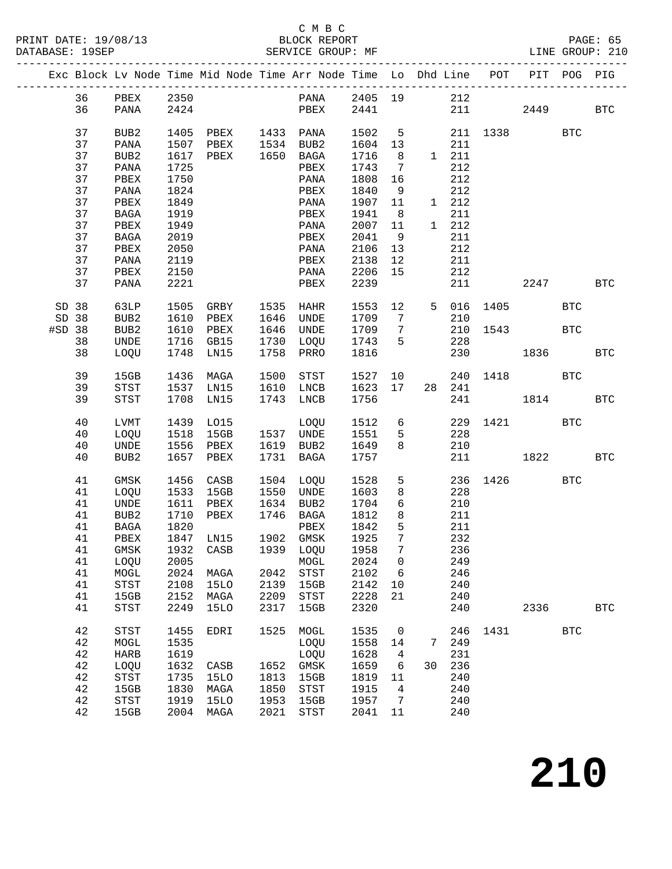#### C M B C<br>BLOCK REPORT SERVICE GROUP: MF

|          |                  |              |                     |              | Exc Block Lv Node Time Mid Node Time Arr Node Time Lo Dhd Line POT PIT POG PIG |                 |                      |               |                |                        |          |            |            |
|----------|------------------|--------------|---------------------|--------------|--------------------------------------------------------------------------------|-----------------|----------------------|---------------|----------------|------------------------|----------|------------|------------|
|          | 36 PBEX 2350     |              |                     |              | PANA 2405 19 212                                                               |                 |                      |               |                |                        |          |            |            |
| 36       | PANA 2424        |              |                     |              | PBEX 2441                                                                      |                 |                      |               |                | 211                    | 2449     |            | <b>BTC</b> |
|          |                  |              |                     |              |                                                                                |                 |                      |               |                |                        |          |            |            |
| 37       | BUB2             |              | 1405 PBEX 1433 PANA |              |                                                                                | 1502 5          |                      |               |                | 211 1338 BTC           |          |            |            |
| 37       | PANA             |              | 1507 PBEX           |              | 1534 BUB2<br>1650 BAGA                                                         | 1604 13         |                      |               | 211            |                        |          |            |            |
| 37       | BUB2             |              | 1617 PBEX           |              |                                                                                | 1716 8          |                      | $1 \quad 211$ |                |                        |          |            |            |
| 37       | PANA             | 1725         |                     |              | PBEX                                                                           | 1743 7          |                      |               | 212            |                        |          |            |            |
| 37       | PBEX             | 1750         |                     |              | PANA                                                                           | 1808            | 16                   |               | 212            |                        |          |            |            |
| 37       | PANA             | 1824         |                     |              | PBEX                                                                           | 1840            | $\overline{9}$       |               | 212            |                        |          |            |            |
| 37<br>37 | PBEX             | 1849<br>1919 |                     |              | PANA<br>PBEX                                                                   | 1907 11<br>1941 |                      |               | $1 212$<br>211 |                        |          |            |            |
| 37       | BAGA<br>PBEX     | 1949         |                     |              | PANA                                                                           | 2007            | 8 <sup>8</sup><br>11 |               | 1 212          |                        |          |            |            |
| 37       | BAGA             | 2019         |                     |              | PBEX                                                                           | 2041            | $\overline{9}$       |               | 211            |                        |          |            |            |
| 37       | PBEX             | 2050         |                     |              | PANA                                                                           | 2106 13         |                      |               | 212            |                        |          |            |            |
| 37       | PANA             | 2119         |                     |              | PBEX                                                                           | 2138 12         |                      |               | 211            |                        |          |            |            |
| 37       | PBEX             | 2150         |                     |              | PANA                                                                           | 2206            | 15                   |               | 212            |                        |          |            |            |
| 37       | PANA             | 2221         |                     |              | PBEX                                                                           | 2239            |                      |               |                | 211                    | 2247 BTC |            |            |
|          |                  |              |                     |              |                                                                                |                 |                      |               |                |                        |          |            |            |
| SD 38    | 63LP 1505 GRBY   |              |                     |              | 1535 HAHR                                                                      |                 |                      |               |                | 1553 12 5 016 1405 BTC |          |            |            |
| SD 38    | BUB2             |              | 1610 PBEX           |              | 1646 UNDE                                                                      | 1709 7          |                      |               | 210            |                        |          |            |            |
| #SD 38   | BUB2             | 1610         | PBEX                |              | 1646 UNDE                                                                      | 1709 7          |                      |               | 210            |                        | 1543 BTC |            |            |
| 38<br>38 | UNDE<br>LOQU     | 1748         | 1716 GB15<br>LN15   |              | 1730 LOQU<br>1758 PRRO                                                         | 1743 5<br>1816  |                      |               | 228<br>230     |                        | 1836     |            | <b>BTC</b> |
|          |                  |              |                     |              |                                                                                |                 |                      |               |                |                        |          |            |            |
| 39       | 15GB             |              | 1436 MAGA           | 1500         | STST                                                                           | 1527            |                      | 10            |                | 240 1418 BTC           |          |            |            |
| 39       | STST             |              | 1537 LN15           |              | 1610 LNCB                                                                      | 1623 17         |                      | 28            | 241            |                        |          |            |            |
| 39       | <b>STST</b>      | 1708         | LN15                |              | 1743 LNCB                                                                      | 1756            |                      |               | 241            |                        | 1814 BTC |            |            |
| 40       | LVMT             |              | 1439 LO15           |              |                                                                                | 1512 6          |                      |               | 229            | 1421 BTC               |          |            |            |
| 40       | LOQU             | 1518         | 15GB                |              | LOQU<br>1537 UNDE                                                              | 1551 5          |                      |               | 228            |                        |          |            |            |
| 40       | UNDE             |              | 1556 PBEX           | 1537<br>1619 | 1619 BUB2                                                                      | 1649            | 8                    |               | 210            |                        |          |            |            |
| 40       | BUB <sub>2</sub> |              | 1657 PBEX           |              | 1731 BAGA                                                                      | 1757            |                      |               |                | 211                    | 1822     |            | <b>BTC</b> |
|          |                  |              |                     |              |                                                                                |                 |                      |               |                |                        |          |            |            |
| 41       | GMSK             |              | 1456 CASB           |              | 1504 LOQU                                                                      | 1528            | $5^{\circ}$          |               |                | 236 1426 BTC           |          |            |            |
| 41       | LOQU             |              | 1533 15GB           |              | 1550 UNDE                                                                      | 1603            | 8                    |               | 228            |                        |          |            |            |
| 41       | UNDE             | 1611         | $\mathtt{PBEX}$     |              | 1634 BUB2                                                                      | 1704            | $6\overline{6}$      |               | 210            |                        |          |            |            |
| 41<br>41 | BUB2             | 1710<br>1820 | PBEX                |              | 1746 BAGA                                                                      | 1812<br>1842    | 8<br>$5^{\circ}$     |               | 211<br>211     |                        |          |            |            |
| 41       | BAGA<br>PBEX     | 1847         | LN15                |              | PBEX<br>1902 GMSK                                                              | -<br>1925       | $7\overline{ }$      |               | 232            |                        |          |            |            |
|          |                  |              |                     |              | 41 GMSK 1932 CASB 1939 LOQU 1958 7 236                                         |                 |                      |               |                |                        |          |            |            |
| 41       | LOQU             | 2005         |                     |              | MOGL                                                                           | 2024 0          |                      |               | 249            |                        |          |            |            |
| 41       | MOGL             | 2024         | MAGA                |              | 2042 STST                                                                      | 2102 6          |                      |               | 246            |                        |          |            |            |
| 41       | STST             | 2108         | 15LO                |              | 2139 15GB                                                                      | 2142            | 10                   |               | 240            |                        |          |            |            |
| 41       | 15GB             | 2152         | MAGA                |              | 2209 STST                                                                      | 2228            | 21                   |               | 240            |                        |          |            |            |
| 41       | STST             | 2249         | 15LO                | 2317         | 15GB                                                                           | 2320            |                      |               | 240            |                        | 2336     |            | <b>BTC</b> |
| 42       | STST             | 1455         | EDRI                |              | 1525 MOGL                                                                      | 1535            | $\overline{0}$       |               |                | 246 1431               |          | <b>BTC</b> |            |
| 42       | MOGL             | 1535         |                     |              | LOQU                                                                           | 1558 14         |                      |               | 7 249          |                        |          |            |            |
| 42       | HARB             | 1619         |                     |              | LOQU                                                                           | 1628            | $\overline{4}$       |               | 231            |                        |          |            |            |
| 42       | LOQU             | 1632         | CASB                |              | 1652 GMSK                                                                      | 1659            | 6                    | 30            | 236            |                        |          |            |            |
| 42       | STST             | 1735         | 15LO                |              | 1813 15GB                                                                      | 1819            | 11                   |               | 240            |                        |          |            |            |
| 42       | 15GB             | 1830         | MAGA                | 1850         | STST                                                                           | 1915            | $\overline{4}$       |               | 240            |                        |          |            |            |
| 42       | STST             | 1919         | <b>15LO</b>         | 1953         | 15GB                                                                           | 1957            | $\overline{7}$       |               | 240            |                        |          |            |            |
| 42       | 15GB             | 2004         | MAGA                | 2021         | STST                                                                           | 2041            | 11                   |               | 240            |                        |          |            |            |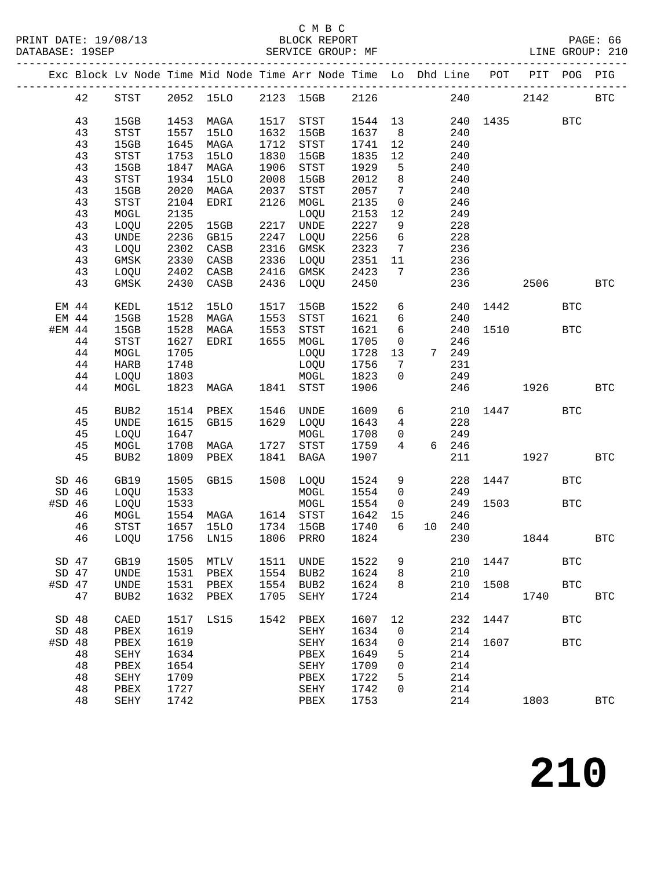### C M B C<br>BLOCK REPORT

|          |          |                                       |              |             |      | Exc Block Lv Node Time Mid Node Time Arr Node Time Lo Dhd Line |              |                              |            | POT  | PIT        | POG        | PIG          |
|----------|----------|---------------------------------------|--------------|-------------|------|----------------------------------------------------------------|--------------|------------------------------|------------|------|------------|------------|--------------|
|          | 42       | STST                                  |              | 2052 15LO   |      | 2123 15GB                                                      | 2126         |                              | 240        |      | 2142       |            | $_{\rm BTC}$ |
|          | 43       | 15GB                                  | 1453         | MAGA        | 1517 | STST                                                           | 1544 13      |                              | 240        | 1435 |            | <b>BTC</b> |              |
|          | 43       | STST                                  | 1557         | 15LO        | 1632 | 15GB                                                           | 1637         | 8 <sup>8</sup>               | 240        |      |            |            |              |
|          | 43       | 15GB                                  | 1645         | MAGA        | 1712 | STST                                                           | 1741         | $12$                         | 240        |      |            |            |              |
|          | 43       | STST                                  | 1753         | <b>15LO</b> | 1830 | 15GB                                                           | 1835         | $12$                         | 240        |      |            |            |              |
|          | 43       | 15GB                                  | 1847         | MAGA        | 1906 | STST                                                           | 1929         | 5                            | 240        |      |            |            |              |
|          | 43       | STST                                  | 1934         | <b>15LO</b> | 2008 | 15GB                                                           | 2012         | $\,8\,$                      | 240        |      |            |            |              |
|          | 43       | 15GB                                  | 2020         | MAGA        | 2037 | STST                                                           | 2057         | $\overline{7}$               | 240        |      |            |            |              |
|          | 43       | STST                                  | 2104         | EDRI        | 2126 | MOGL                                                           | 2135         | $\overline{0}$               | 246        |      |            |            |              |
|          | 43       | MOGL                                  | 2135         |             |      | LOQU                                                           | 2153         | 12                           | 249        |      |            |            |              |
|          | 43       | LOQU                                  | 2205         | 15GB        |      | 2217 UNDE                                                      | 2227         | 9                            | 228        |      |            |            |              |
|          | 43       | <b>UNDE</b>                           | 2236         | GB15        | 2247 | LOQU                                                           | 2256         | 6                            | 228        |      |            |            |              |
|          | 43       | LOQU                                  | 2302         | CASB        | 2316 | GMSK                                                           | 2323         | $7\overline{ }$              | 236        |      |            |            |              |
|          | 43       | GMSK                                  | 2330         | CASB        | 2336 | LOQU                                                           | 2351         | 11                           | 236        |      |            |            |              |
|          | 43       | LOQU                                  | 2402         | CASB        | 2416 | GMSK                                                           | 2423         | $7\phantom{.0}\phantom{.0}7$ | 236        |      |            |            |              |
|          | 43       | GMSK                                  | 2430         | CASB        |      | 2436 LOQU                                                      | 2450         |                              | 236        |      | 2506       |            | <b>BTC</b>   |
| EM 44    |          | KEDL                                  | 1512         | <b>15LO</b> | 1517 | 15GB                                                           | 1522         | $6\overline{6}$              | 240        | 1442 |            | <b>BTC</b> |              |
| EM 44    |          | 15GB                                  | 1528         | MAGA        | 1553 | STST                                                           | 1621         | $6\overline{6}$              | 240        |      |            |            |              |
| #EM 44   |          | 15GB                                  | 1528         | MAGA        | 1553 | STST                                                           | 1621         | 6                            | 240        | 1510 |            | <b>BTC</b> |              |
|          | $4\,4$   | $_{\footnotesize{\textnormal{STST}}}$ | 1627         | EDRI        | 1655 | MOGL                                                           | 1705         | $\overline{0}$               | 246        |      |            |            |              |
|          | 44       | MOGL                                  | 1705         |             |      | LOQU                                                           | 1728         | 13                           | 7 249      |      |            |            |              |
|          | $4\,4$   | HARB                                  | 1748         |             |      | LOQU                                                           | 1756         | $\overline{7}$               | 231        |      |            |            |              |
|          | 44       | LOQU                                  | 1803         |             |      | MOGL                                                           | 1823         | $\mathbf 0$                  | 249        |      |            |            |              |
|          | 44       | MOGL                                  | 1823         | MAGA        | 1841 | STST                                                           | 1906         |                              | 246        |      | 1926       |            | <b>BTC</b>   |
|          | 45       | BUB2                                  | 1514         | PBEX        | 1546 | UNDE                                                           | 1609         | 6                            | 210        | 1447 |            | <b>BTC</b> |              |
|          | 45       | UNDE                                  | 1615         | GB15        | 1629 | LOQU                                                           | 1643         | $4\overline{ }$              | 228        |      |            |            |              |
|          | 45       | LOQU                                  | 1647         |             |      | MOGL                                                           | 1708         | $\overline{0}$               | 249        |      |            |            |              |
|          | 45       | MOGL                                  | 1708         | MAGA        | 1727 | STST                                                           | 1759         | $4\overline{ }$              | 6 246      |      |            |            |              |
|          | 45       | BUB2                                  | 1809         | PBEX        | 1841 | BAGA                                                           | 1907         |                              | 211        |      | 1927       |            | <b>BTC</b>   |
|          | $SD$ 46  | GB19                                  | 1505         | GB15        |      | 1508 LOQU                                                      | 1524         | 9                            | 228        | 1447 |            | <b>BTC</b> |              |
| $SD$ 46  |          | LOQU                                  | 1533         |             |      | MOGL                                                           | 1554         | $\overline{0}$               | 249        |      |            |            |              |
| $#SD$ 46 |          | LOQU                                  | 1533         |             |      | MOGL                                                           | 1554         | $\overline{0}$               | 249        | 1503 | <b>BTC</b> |            |              |
|          | 46       | MOGL                                  | 1554         | MAGA        |      | 1614 STST                                                      | 1642         | 15                           | 246        |      |            |            |              |
|          | 46       | STST                                  | 1657         | 15LO        | 1734 | 15GB                                                           | 1740         | 6                            | 10 240     |      |            |            |              |
|          | 46       | LOQU                                  | 1756         | LN15        | 1806 | PRRO                                                           | 1824         |                              | 230        |      | 1844       |            | <b>BTC</b>   |
| SD 47    |          | GB19                                  | 1505         | MTLV        | 1511 | UNDE                                                           | 1522         | 9                            | 210        | 1447 |            | <b>BTC</b> |              |
| $SD$ 47  |          | <b>UNDE</b>                           | 1531         | PBEX        | 1554 | BUB <sub>2</sub>                                               | 1624         | 8                            | 210        |      |            |            |              |
| $#SD$ 47 |          | <b>UNDE</b>                           | 1531         | PBEX        | 1554 | BUB <sub>2</sub>                                               | 1624         | 8                            | 210        | 1508 |            | <b>BTC</b> |              |
|          | 47       | BUB <sub>2</sub>                      | 1632         | PBEX        | 1705 | SEHY                                                           | 1724         |                              | 214        |      | 1740       |            | <b>BTC</b>   |
| SD 48    |          | CAED                                  | 1517         | LS15        | 1542 | PBEX                                                           | 1607         | 12                           | 232        | 1447 |            | <b>BTC</b> |              |
| SD 48    |          | PBEX                                  | 1619         |             |      | SEHY                                                           | 1634         | 0                            | 214        |      |            |            |              |
| $#SD$ 48 |          | PBEX                                  | 1619         |             |      | SEHY                                                           | 1634         | 0                            | 214        | 1607 |            | <b>BTC</b> |              |
|          | 48       | SEHY                                  | 1634         |             |      | PBEX                                                           | 1649         | 5                            | 214        |      |            |            |              |
|          | 48       | PBEX                                  | 1654         |             |      | SEHY                                                           | 1709         | 0                            | 214        |      |            |            |              |
|          | 48       | SEHY                                  | 1709         |             |      | ${\tt PBEX}$                                                   | 1722<br>1742 | 5                            | 214        |      |            |            |              |
|          | 48<br>48 | ${\tt PBEX}$<br>SEHY                  | 1727<br>1742 |             |      | SEHY<br>PBEX                                                   | 1753         | 0                            | 214<br>214 |      | 1803       |            | <b>BTC</b>   |
|          |          |                                       |              |             |      |                                                                |              |                              |            |      |            |            |              |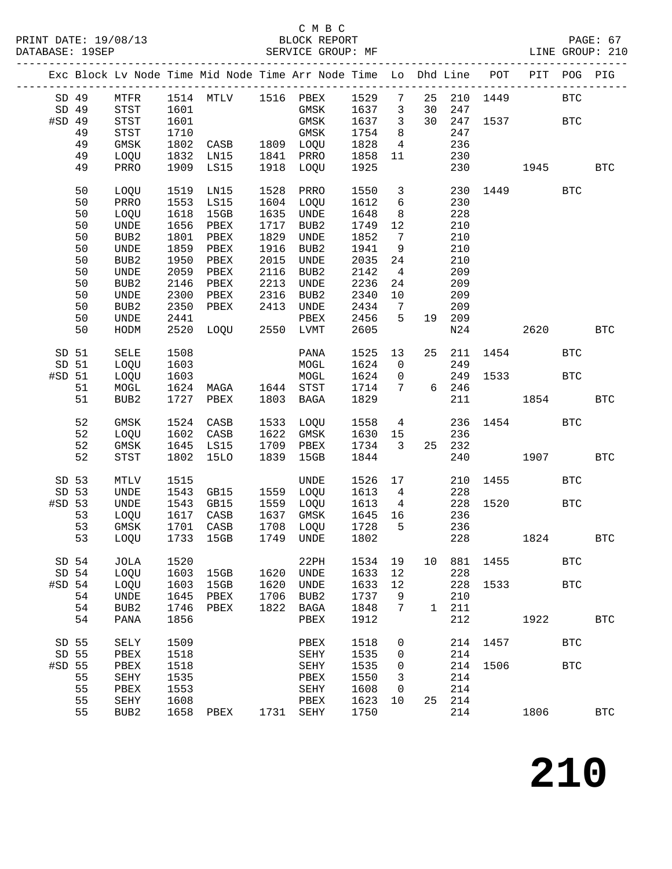### C M B C<br>BLOCK REPORT

---------------------------------------------------------------------------------------------

|          |    |                                       |      |             |      | Exc Block Lv Node Time Mid Node Time Arr Node Time Lo |      |                 |              | Dhd Line | POT                           | PIT  | POG          | PIG          |
|----------|----|---------------------------------------|------|-------------|------|-------------------------------------------------------|------|-----------------|--------------|----------|-------------------------------|------|--------------|--------------|
| SD 49    |    | MTFR                                  |      | 1514 MTLV   | 1516 | PBEX                                                  | 1529 | $7\phantom{.0}$ | 25           | 210      | 1449                          |      | <b>BTC</b>   |              |
| SD 49    |    | STST                                  | 1601 |             |      | GMSK                                                  | 1637 | 3               | 30           | 247      |                               |      |              |              |
| #SD 49   |    | STST                                  | 1601 |             |      | $\rm{GMSK}$                                           | 1637 | $\mathfrak{Z}$  | 30           | 247      | 1537                          |      | <b>BTC</b>   |              |
|          | 49 | $_{\footnotesize{\textnormal{STST}}}$ | 1710 |             |      | $\rm{GMSK}$                                           | 1754 | 8               |              | 247      |                               |      |              |              |
|          | 49 | GMSK                                  | 1802 | CASB        | 1809 | LOQU                                                  | 1828 | 4               |              | 236      |                               |      |              |              |
|          | 49 | LOQU                                  | 1832 | LN15        | 1841 | PRRO                                                  | 1858 | 11              |              | 230      |                               |      |              |              |
|          | 49 | PRRO                                  | 1909 | LS15        | 1918 | LOQU                                                  | 1925 |                 |              | 230      |                               | 1945 |              | <b>BTC</b>   |
|          |    |                                       |      |             |      |                                                       |      |                 |              |          |                               |      |              |              |
|          | 50 | LOQU                                  | 1519 | LN15        | 1528 | PRRO                                                  | 1550 | $\mathsf{3}$    |              | 230      | 1449                          |      | <b>BTC</b>   |              |
|          | 50 | PRRO                                  | 1553 | LS15        | 1604 | LOQU                                                  | 1612 | $\epsilon$      |              | 230      |                               |      |              |              |
|          | 50 | LOQU                                  | 1618 | 15GB        | 1635 | <b>UNDE</b>                                           | 1648 | $\,8\,$         |              | 228      |                               |      |              |              |
|          | 50 | UNDE                                  | 1656 | PBEX        | 1717 | BUB2                                                  | 1749 | 12              |              | 210      |                               |      |              |              |
|          | 50 | BUB2                                  | 1801 | PBEX        | 1829 | UNDE                                                  | 1852 | 7               |              | 210      |                               |      |              |              |
|          | 50 | UNDE                                  | 1859 | PBEX        | 1916 | BUB2                                                  | 1941 | 9               |              | 210      |                               |      |              |              |
|          | 50 | BUB2                                  | 1950 | PBEX        | 2015 | $\ensuremath{\mathsf{UNDE}}$                          | 2035 | 24              |              | 210      |                               |      |              |              |
|          | 50 | $\ensuremath{\mathsf{UNDE}}$          | 2059 | PBEX        | 2116 | BUB2                                                  | 2142 | $\overline{4}$  |              | 209      |                               |      |              |              |
|          | 50 | BUB2                                  | 2146 | PBEX        | 2213 | $\ensuremath{\mathsf{UNDE}}$                          | 2236 | 24              |              | 209      |                               |      |              |              |
|          | 50 | UNDE                                  | 2300 | PBEX        | 2316 | BUB2                                                  | 2340 | 10              |              | 209      |                               |      |              |              |
|          | 50 | BUB2                                  | 2350 | PBEX        | 2413 | UNDE                                                  | 2434 | 7               |              | 209      |                               |      |              |              |
|          | 50 | UNDE                                  | 2441 |             |      | PBEX                                                  | 2456 | 5               | 19           | 209      |                               |      |              |              |
|          | 50 | HODM                                  | 2520 | LOQU        | 2550 | LVMT                                                  | 2605 |                 |              | N24      |                               | 2620 |              | $_{\rm BTC}$ |
|          |    |                                       |      |             |      |                                                       |      |                 |              |          |                               |      |              |              |
| SD 51    |    | SELE                                  | 1508 |             |      | PANA                                                  | 1525 | 13              | 25           | 211      | 1454                          |      | $_{\rm BTC}$ |              |
| SD 51    |    | LOQU                                  | 1603 |             |      | $\tt MOGL$                                            | 1624 | $\mathbf 0$     |              | 249      |                               |      |              |              |
| #SD 51   |    | LOQU                                  | 1603 |             |      | $\tt MOGL$                                            | 1624 | 0               |              | 249      | 1533                          |      | <b>BTC</b>   |              |
|          | 51 | MOGL                                  | 1624 | MAGA        | 1644 | STST                                                  | 1714 | 7               | 6            | 246      |                               |      |              |              |
|          | 51 | BUB2                                  | 1727 | PBEX        | 1803 | $_{\rm BAGA}$                                         | 1829 |                 |              | 211      |                               | 1854 |              | <b>BTC</b>   |
|          |    |                                       |      |             |      |                                                       |      |                 |              |          |                               |      |              |              |
|          | 52 | GMSK                                  | 1524 | CASB        | 1533 | LOQU                                                  | 1558 | 4               |              | 236      | 1454                          |      | <b>BTC</b>   |              |
|          | 52 | LOQU                                  | 1602 | CASB        | 1622 | GMSK                                                  | 1630 | 15              |              | 236      |                               |      |              |              |
|          | 52 | $\rm{GMSK}$                           | 1645 | LS15        | 1709 | PBEX                                                  | 1734 | 3               | 25           | 232      |                               |      |              |              |
|          | 52 | <b>STST</b>                           | 1802 | <b>15LO</b> | 1839 | 15GB                                                  | 1844 |                 |              | 240      |                               | 1907 |              | <b>BTC</b>   |
|          |    |                                       |      |             |      |                                                       |      |                 |              |          |                               |      |              |              |
| SD 53    |    | MTLV                                  | 1515 |             |      | UNDE                                                  | 1526 | 17              |              | 210      | 1455                          |      | <b>BTC</b>   |              |
| SD 53    |    | UNDE                                  | 1543 | GB15        | 1559 | LOQU                                                  | 1613 | 4               |              | 228      |                               |      |              |              |
| #SD 53   |    | UNDE                                  | 1543 | GB15        | 1559 | LOQU                                                  | 1613 | 4               |              | 228      | 1520                          |      | BTC          |              |
|          | 53 | LOQU                                  | 1617 | CASB        | 1637 | GMSK                                                  | 1645 | 16              |              | 236      |                               |      |              |              |
|          | 53 | GMSK                                  | 1701 | CASB        | 1708 | LOQU                                                  | 1728 | 5               |              | 236      |                               |      |              |              |
|          | 53 | LOQU                                  | 1733 | 15GB        | 1749 | UNDE                                                  | 1802 |                 |              | 228      |                               | 1824 |              | <b>BTC</b>   |
| SD 54    |    | JOLA                                  | 1520 |             |      | 22PH                                                  |      |                 |              |          | 1534  19  10  881  1455   BTC |      |              |              |
| SD 54    |    | LOQU                                  | 1603 | 15GB        | 1620 | UNDE                                                  | 1633 | 12              |              | 228      |                               |      |              |              |
| $#SD$ 54 |    | LOQU                                  | 1603 | 15GB        | 1620 | UNDE                                                  | 1633 | 12              |              | 228      | 1533                          |      | $_{\rm BTC}$ |              |
|          | 54 | UNDE                                  | 1645 | PBEX        | 1706 | BUB2                                                  | 1737 | 9               |              | 210      |                               |      |              |              |
|          | 54 | BUB2                                  | 1746 | PBEX        | 1822 | BAGA                                                  | 1848 | 7               | $\mathbf{1}$ | 211      |                               |      |              |              |
|          | 54 |                                       | 1856 |             |      | PBEX                                                  | 1912 |                 |              | 212      |                               | 1922 |              |              |
|          |    | PANA                                  |      |             |      |                                                       |      |                 |              |          |                               |      |              | <b>BTC</b>   |
| SD 55    |    | SELY                                  | 1509 |             |      | PBEX                                                  | 1518 | 0               |              | 214      | 1457                          |      | <b>BTC</b>   |              |
| SD 55    |    | PBEX                                  | 1518 |             |      | SEHY                                                  | 1535 | $\mathbf 0$     |              | 214      |                               |      |              |              |
| #SD 55   |    | PBEX                                  | 1518 |             |      | SEHY                                                  | 1535 | 0               |              | 214      | 1506                          |      | <b>BTC</b>   |              |
|          | 55 | SEHY                                  | 1535 |             |      | PBEX                                                  | 1550 | 3               |              | 214      |                               |      |              |              |
|          | 55 | PBEX                                  | 1553 |             |      | SEHY                                                  | 1608 | 0               |              | 214      |                               |      |              |              |
|          | 55 | SEHY                                  | 1608 |             |      | PBEX                                                  | 1623 | 10              | 25           | 214      |                               |      |              |              |
|          | 55 | BUB2                                  | 1658 | PBEX        |      | 1731 SEHY                                             | 1750 |                 |              | 214      |                               | 1806 |              | <b>BTC</b>   |
|          |    |                                       |      |             |      |                                                       |      |                 |              |          |                               |      |              |              |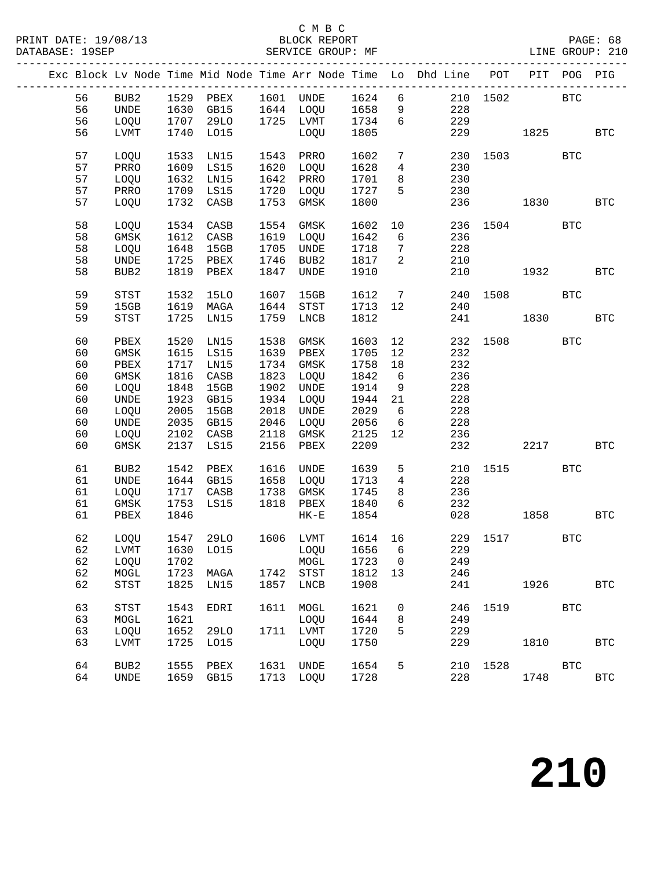#### C M B C<br>BLOCK REPORT SERVICE GROUP: MF

|    |                  |      |                 |      |           |         |                          | Exc Block Lv Node Time Mid Node Time Arr Node Time Lo Dhd Line POT PIT POG PIG |              |            |            |            |
|----|------------------|------|-----------------|------|-----------|---------|--------------------------|--------------------------------------------------------------------------------|--------------|------------|------------|------------|
| 56 |                  |      | BUB2 1529 PBEX  |      | 1601 UNDE | 1624 6  |                          |                                                                                | 210 1502     | <b>BTC</b> |            |            |
| 56 | UNDE             |      | 1630 GB15       |      | 1644 LOQU | 1658    | 9                        | 228                                                                            |              |            |            |            |
| 56 | LOQU             |      | 1707 29LO       |      | 1725 LVMT | 1734    | $6\overline{6}$          | 229                                                                            |              |            |            |            |
| 56 | LVMT             | 1740 | L015            |      | LOQU      | 1805    |                          | 229                                                                            |              | 1825       |            | BTC        |
|    |                  |      |                 |      |           |         |                          |                                                                                |              |            |            |            |
| 57 | LOQU             | 1533 | LN15            | 1543 | PRRO      | 1602    | $7\phantom{.0}$          | 230                                                                            |              | 1503 BTC   |            |            |
| 57 | PRRO             | 1609 | LS15            | 1620 | LOQU      | 1628    | $\overline{4}$           | 230                                                                            |              |            |            |            |
| 57 | LOQU             | 1632 | LN15            | 1642 | PRRO      | 1701    | 8                        | 230                                                                            |              |            |            |            |
| 57 | PRRO             |      | 1709 LS15       | 1720 | LOQU      | 1727    | 5                        | 230                                                                            |              |            |            |            |
| 57 | LOQU             | 1732 | CASB            | 1753 | GMSK      | 1800    |                          | 236                                                                            |              | 1830       |            | BTC        |
|    |                  |      |                 |      |           |         |                          |                                                                                |              |            |            |            |
| 58 | LOQU             | 1534 | CASB            | 1554 | GMSK      | 1602    | 10                       |                                                                                | 236 1504 BTC |            |            |            |
| 58 | GMSK             | 1612 | CASB            | 1619 | LOQU      | 1642    | 6                        | 236                                                                            |              |            |            |            |
| 58 | LOQU             | 1648 | 15GB            | 1705 | UNDE      | 1718    | $7\overline{ }$          | 228                                                                            |              |            |            |            |
| 58 | UNDE             | 1725 | PBEX            | 1746 | BUB2      | 1817    | $\overline{2}$           | 210                                                                            |              |            |            |            |
| 58 | BUB2             | 1819 | PBEX            | 1847 | UNDE      | 1910    |                          | 210                                                                            |              | 1932       |            | <b>BTC</b> |
|    |                  |      |                 |      |           |         |                          |                                                                                |              |            |            |            |
| 59 | STST             | 1532 | 15LO            | 1607 | 15GB      | 1612    | $\overline{7}$           |                                                                                | 240 1508     | <b>BTC</b> |            |            |
| 59 | 15GB             | 1619 | MAGA            | 1644 | STST      | 1713 12 |                          | 240                                                                            |              |            |            |            |
| 59 | STST             | 1725 | LN15            | 1759 | LNCB      | 1812    |                          | 241                                                                            |              | 1830       |            | <b>BTC</b> |
| 60 | PBEX             | 1520 | LN15            | 1538 | GMSK      | 1603    | 12                       | 232                                                                            | 1508         |            | <b>BTC</b> |            |
| 60 | GMSK             | 1615 | LS15            | 1639 | PBEX      | 1705    | 12                       | 232                                                                            |              |            |            |            |
| 60 | PBEX             | 1717 | LN15            | 1734 | GMSK      | 1758    | 18                       | 232                                                                            |              |            |            |            |
| 60 | GMSK             | 1816 | $\mathtt{CASB}$ | 1823 | LOQU      | 1842    | 6                        | 236                                                                            |              |            |            |            |
| 60 | LOQU             | 1848 | 15GB            | 1902 | UNDE      | 1914    | 9                        | 228                                                                            |              |            |            |            |
| 60 | UNDE             | 1923 | GB15            | 1934 | LOQU      | 1944    | 21                       | 228                                                                            |              |            |            |            |
| 60 | LOQU             | 2005 | 15GB            | 2018 | UNDE      | 2029    | $6\overline{6}$          | 228                                                                            |              |            |            |            |
| 60 | UNDE             | 2035 | GB15            | 2046 | LOQU      | 2056    | 6                        | 228                                                                            |              |            |            |            |
| 60 | LOQU             | 2102 | CASB            | 2118 | GMSK      | 2125    | 12                       | 236                                                                            |              |            |            |            |
| 60 | GMSK             | 2137 | LS15            | 2156 | PBEX      | 2209    |                          | 232                                                                            |              | 2217       |            | <b>BTC</b> |
|    |                  |      |                 |      |           |         |                          |                                                                                |              |            |            |            |
| 61 | BUB <sub>2</sub> | 1542 | PBEX            | 1616 | UNDE      | 1639    | 5                        | 210                                                                            |              | 1515 BTC   |            |            |
| 61 | UNDE             | 1644 | GB15            | 1658 | LOQU      | 1713    | $\overline{4}$           | 228                                                                            |              |            |            |            |
| 61 | LOQU             | 1717 | CASB            | 1738 | GMSK      | 1745    | 8                        | 236                                                                            |              |            |            |            |
| 61 | GMSK             | 1753 | LS15            | 1818 | PBEX      | 1840    | $6\overline{6}$          | 232                                                                            |              |            |            |            |
| 61 | PBEX             | 1846 |                 |      | $HK-E$    | 1854    |                          | 028                                                                            |              | 1858       |            | <b>BTC</b> |
|    |                  |      |                 |      |           |         |                          |                                                                                |              |            |            |            |
| 62 | LOQU             | 1547 | 29LO            |      | 1606 LVMT | 1614 16 |                          |                                                                                | 229 1517     |            | BTC        |            |
|    |                  |      |                 |      |           |         |                          | 62 LVMT 1630 LO15 LOQU 1656 6 229                                              |              |            |            |            |
| 62 | LOQU             | 1702 |                 |      | MOGL      | 1723    | $\overline{\phantom{0}}$ | 249                                                                            |              |            |            |            |
| 62 | MOGL             | 1723 | MAGA            |      | 1742 STST | 1812    | 13                       | 246                                                                            |              |            |            |            |
| 62 | STST             | 1825 | LN15            |      | 1857 LNCB | 1908    |                          | 241                                                                            |              | 1926       |            | <b>BTC</b> |
|    |                  |      |                 |      |           |         |                          |                                                                                |              |            |            |            |
| 63 | STST             | 1543 | EDRI            | 1611 | MOGL      | 1621    | 0                        | 246                                                                            | 1519         |            | <b>BTC</b> |            |
| 63 | MOGL             | 1621 |                 |      | LOQU      | 1644    | 8                        | 249                                                                            |              |            |            |            |
| 63 | LOQU             | 1652 | 29LO            |      | 1711 LVMT | 1720    | 5                        | 229                                                                            |              |            |            |            |
| 63 | <b>LVMT</b>      | 1725 | L015            |      | LOQU      | 1750    |                          | 229                                                                            |              | 1810       |            | <b>BTC</b> |
| 64 | BUB2             | 1555 | PBEX            |      | 1631 UNDE | 1654    | 5                        |                                                                                | 210 1528     |            | <b>BTC</b> |            |
| 64 | UNDE             |      | 1659 GB15       |      | 1713 LOQU | 1728    |                          | 228                                                                            |              | 1748       |            | <b>BTC</b> |
|    |                  |      |                 |      |           |         |                          |                                                                                |              |            |            |            |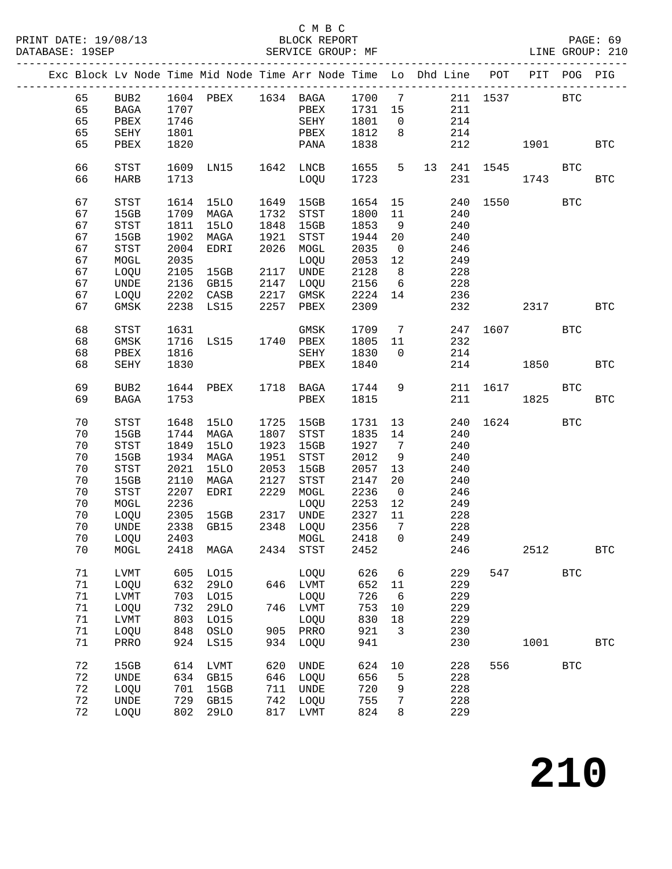#### C M B C<br>BLOCK REPORT SERVICE GROUP: MF

|  |        |                            |      | Exc Block Lv Node Time Mid Node Time Arr Node Time Lo Dhd Line POT PIT POG PIG |      |                    |         |                |     |               |              |              |              |
|--|--------|----------------------------|------|--------------------------------------------------------------------------------|------|--------------------|---------|----------------|-----|---------------|--------------|--------------|--------------|
|  | 65     |                            |      | BUB2 1604 PBEX 1634 BAGA 1700 7 211 1537 BTC                                   |      |                    |         |                |     |               |              |              |              |
|  | 65     | BAGA                       | 1707 |                                                                                |      | PBEX               | 1731 15 |                | 211 |               |              |              |              |
|  | 65     | PBEX                       | 1746 |                                                                                |      | SEHY               | 1801    | $\overline{0}$ | 214 |               |              |              |              |
|  | 65     | SEHY                       | 1801 |                                                                                |      | PBEX               | 1812    | 8 <sup>8</sup> | 214 |               |              |              |              |
|  | 65     | PBEX                       | 1820 |                                                                                |      | PANA               | 1838    |                | 212 |               |              |              | <b>BTC</b>   |
|  |        |                            |      |                                                                                |      |                    |         |                |     |               |              |              |              |
|  | 66     | STST                       |      | 1609 LN15                                                                      |      | 1642 LNCB          | 1655    | $5^{\circ}$    |     | 13  241  1545 | <b>BTC</b>   |              |              |
|  | 66     | <b>HARB</b>                | 1713 |                                                                                |      | LOQU               | 1723    |                |     | 231 000       | 1743         |              | <b>BTC</b>   |
|  |        |                            |      |                                                                                |      |                    |         |                |     |               |              |              |              |
|  | 67     | STST                       |      | 1614 15LO                                                                      |      | 1649 15GB          | 1654 15 |                |     |               | 240 1550 BTC |              |              |
|  | 67     | 15GB                       |      | 1709 MAGA                                                                      | 1732 | STST               | 1800    | 11             | 240 |               |              |              |              |
|  | 67     | STST                       | 1811 |                                                                                | 1848 | 15GB               | 1853    |                |     |               |              |              |              |
|  |        |                            |      | 15LO                                                                           |      |                    |         | 9              | 240 |               |              |              |              |
|  | 67     | 15GB                       | 1902 | MAGA                                                                           | 1921 | STST               | 1944    | 20             | 240 |               |              |              |              |
|  | 67     | $_{\footnotesize\rm STST}$ | 2004 | EDRI                                                                           | 2026 | MOGL               | 2035    | $\overline{0}$ | 246 |               |              |              |              |
|  | 67     | MOGL                       | 2035 |                                                                                |      | LOQU               | 2053    | 12             | 249 |               |              |              |              |
|  | 67     | LOQU                       | 2105 | 15GB                                                                           |      | 2117 UNDE          | 2128    | 8 <sup>8</sup> | 228 |               |              |              |              |
|  | 67     | UNDE                       | 2136 | GB15                                                                           |      | 2147 LOQU          | 2156    | 6              | 228 |               |              |              |              |
|  | 67     | LOQU                       |      | 2202 CASB                                                                      |      | 2217 GMSK          | 2224    | 14             | 236 |               |              |              |              |
|  | 67     | GMSK                       |      | 2238 LS15                                                                      |      | 2257 PBEX          | 2309    |                | 232 |               | 2317 BTC     |              |              |
|  |        |                            |      |                                                                                |      |                    |         |                |     |               |              |              |              |
|  | 68     | STST                       | 1631 |                                                                                |      | GMSK               | 1709    | $\overline{7}$ |     |               | 247 1607 BTC |              |              |
|  | 68     | GMSK                       |      | 1716 LS15                                                                      |      | 1740 PBEX          | 1805 11 |                | 232 |               |              |              |              |
|  | 68     | PBEX                       | 1816 |                                                                                |      | SEHY               | 1830    | $\overline{0}$ | 214 |               |              |              |              |
|  | 68     | SEHY                       | 1830 |                                                                                |      | PBEX               | 1840    |                | 214 |               | 1850 700     |              | <b>BTC</b>   |
|  |        |                            |      |                                                                                |      |                    |         |                |     |               |              |              |              |
|  | 69     | BUB2                       |      | 1644 PBEX                                                                      |      | 1718 BAGA          | 1744    | 9              |     |               | 211 1617 BTC |              |              |
|  | 69     | BAGA                       | 1753 |                                                                                |      | PBEX               | 1815    |                | 211 |               | 1825         |              | <b>BTC</b>   |
|  |        |                            |      |                                                                                |      |                    |         |                |     |               |              |              |              |
|  | 70     | STST                       | 1648 | 15LO                                                                           | 1725 | 15GB               | 1731    | 13             | 240 |               | 1624 BTC     |              |              |
|  | 70     | 15GB                       | 1744 | MAGA                                                                           | 1807 | STST               | 1835    | 14             | 240 |               |              |              |              |
|  | 70     | STST                       | 1849 | <b>15LO</b>                                                                    | 1923 | 15GB               | 1927    | $\overline{7}$ | 240 |               |              |              |              |
|  | 70     | 15GB                       | 1934 | MAGA                                                                           | 1951 | STST               | 2012    | 9              | 240 |               |              |              |              |
|  | 70     | STST                       | 2021 | 15LO                                                                           | 2053 | 15GB               | 2057    | 13             | 240 |               |              |              |              |
|  | 70     | 15GB                       | 2110 | MAGA                                                                           | 2127 | STST               | 2147    | 20             | 240 |               |              |              |              |
|  | 70     | $_{\footnotesize\rm STST}$ | 2207 | EDRI                                                                           | 2229 | MOGL               | 2236    | $\overline{0}$ | 246 |               |              |              |              |
|  | 70     | MOGL                       | 2236 |                                                                                |      |                    | 2253    |                |     |               |              |              |              |
|  |        |                            |      |                                                                                |      | LOQU               |         | 12             | 249 |               |              |              |              |
|  | 70     | LOQU                       | 2305 | 15GB                                                                           |      | 2317 UNDE          | 2327    | 11             | 228 |               |              |              |              |
|  | 70     | UNDE                       | 2338 | GB15                                                                           |      | 2348 LOQU          | 2356    | $\overline{7}$ | 228 |               |              |              |              |
|  | 70     | LOQU                       | 2403 |                                                                                |      | MOGL               | 2418    | $\overline{0}$ | 249 |               |              |              |              |
|  | 70     |                            |      | MOGL 2418 MAGA                                                                 |      | 2434 STST 2452 246 |         |                |     |               | 2512         |              | <b>BTC</b>   |
|  | 71     | LVMT                       | 605  | L015                                                                           |      | LOQU               | 626     | 6              | 229 | 547           |              | <b>BTC</b>   |              |
|  | $71$   |                            |      |                                                                                | 646  |                    | 652     |                | 229 |               |              |              |              |
|  |        | LOQU                       | 632  | 29LO                                                                           |      | LVMT               |         | 11             |     |               |              |              |              |
|  | $71\,$ | LVMT                       | 703  | L015                                                                           |      | LOQU               | 726     | 6              | 229 |               |              |              |              |
|  | $71$   | LOQU                       | 732  | 29LO                                                                           | 746  | LVMT               | 753     | 10             | 229 |               |              |              |              |
|  | $71\,$ | LVMT                       | 803  | L015                                                                           |      | LOQU               | 830     | 18             | 229 |               |              |              |              |
|  | $71$   | LOQU                       | 848  | OSLO                                                                           | 905  | PRRO               | 921     | 3              | 230 |               |              |              |              |
|  | $71\,$ | PRRO                       | 924  | LS15                                                                           | 934  | LOQU               | 941     |                | 230 |               | 1001         |              | $_{\rm BTC}$ |
|  |        |                            |      |                                                                                |      |                    |         |                |     |               |              |              |              |
|  | 72     | 15GB                       | 614  | LVMT                                                                           | 620  | <b>UNDE</b>        | 624     | 10             | 228 | 556           |              | $_{\rm BTC}$ |              |
|  | 72     | UNDE                       | 634  | GB15                                                                           | 646  | LOQU               | 656     | 5              | 228 |               |              |              |              |
|  | 72     | LOQU                       | 701  | 15GB                                                                           | 711  | UNDE               | 720     | 9              | 228 |               |              |              |              |
|  | 72     | <b>UNDE</b>                | 729  | GB15                                                                           | 742  | LOQU               | 755     | 7              | 228 |               |              |              |              |
|  | 72     | LOQU                       | 802  | <b>29LO</b>                                                                    | 817  | LVMT               | 824     | 8              | 229 |               |              |              |              |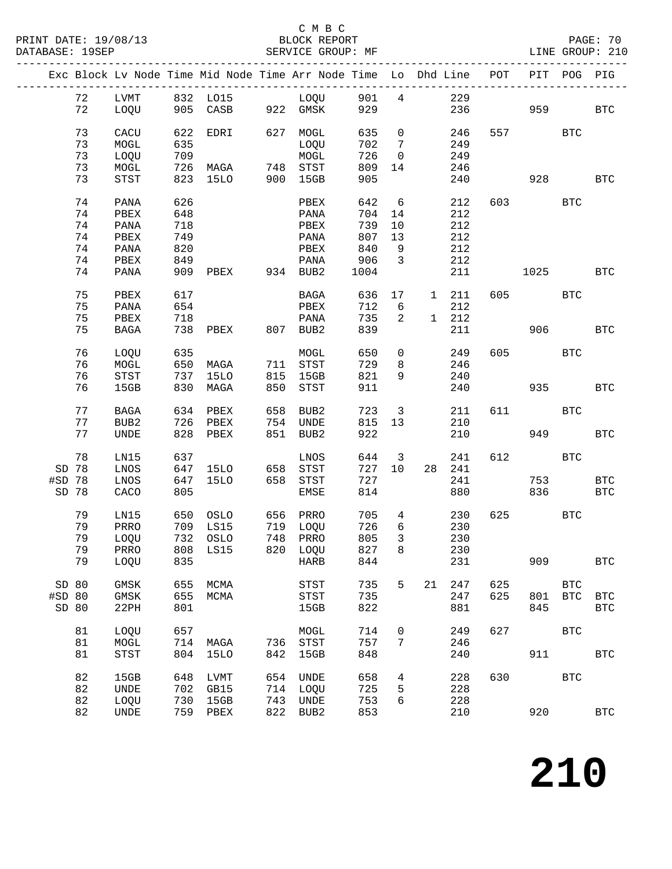#### C M B C<br>BLOCK REPORT SERVICE GROUP: MF

|                  |          |                  |            |             |     | Exc Block Lv Node Time Mid Node Time Arr Node Time Lo Dhd Line |            |                         |               |            | POT | PIT  | POG        | PIG          |
|------------------|----------|------------------|------------|-------------|-----|----------------------------------------------------------------|------------|-------------------------|---------------|------------|-----|------|------------|--------------|
|                  | 72       | LVMT             |            | 832 LO15    |     | LOQU                                                           | 901        | $\overline{4}$          |               | 229        |     |      |            |              |
|                  | 72       | LOQU             | 905        | CASB        |     | 922 GMSK                                                       | 929        |                         |               | 236        |     | 959  |            | <b>BTC</b>   |
|                  |          |                  |            |             |     |                                                                |            |                         |               |            |     |      |            |              |
|                  | 73       | CACU             | 622        | EDRI        | 627 | MOGL                                                           | 635        | $\mathsf{O}$            |               | 246        |     |      | <b>BTC</b> |              |
|                  | 73       | MOGL             | 635        |             |     | LOQU                                                           | 702        | $\overline{7}$          |               | 249        |     |      |            |              |
|                  | 73       | LOQU             | 709        |             |     | MOGL                                                           | 726        | $\overline{0}$          |               | 249        |     |      |            |              |
|                  | 73       | MOGL             | 726        | MAGA        |     | 748 STST                                                       | 809        | 14                      |               | 246        |     |      |            |              |
|                  | 73       | STST             | 823        | <b>15LO</b> | 900 | 15GB                                                           | 905        |                         |               | 240        |     | 928  |            | <b>BTC</b>   |
|                  |          |                  |            |             |     |                                                                |            |                         |               |            |     |      |            |              |
|                  | 74       | PANA             | 626        |             |     | PBEX                                                           | 642        | 6                       |               | 212        | 603 |      | <b>BTC</b> |              |
|                  | 74       | PBEX             | 648        |             |     | PANA                                                           | 704        | 14                      |               | 212        |     |      |            |              |
|                  | 74       | PANA             | 718        |             |     | PBEX                                                           | 739        | 10                      |               | 212        |     |      |            |              |
|                  | 74<br>74 | PBEX             | 749<br>820 |             |     | PANA                                                           | 807<br>840 | 13                      |               | 212<br>212 |     |      |            |              |
|                  | 74       | PANA             | 849        |             |     | PBEX                                                           | 906        | 9<br>$\overline{3}$     |               | 212        |     |      |            |              |
|                  | 74       | PBEX<br>PANA     | 909        | PBEX        |     | PANA<br>934 BUB2                                               | 1004       |                         |               | 211        |     | 1025 |            | <b>BTC</b>   |
|                  |          |                  |            |             |     |                                                                |            |                         |               |            |     |      |            |              |
|                  | 75       | PBEX             | 617        |             |     | BAGA                                                           | 636        | 17                      | 1 211         |            | 605 |      | <b>BTC</b> |              |
|                  | 75       | PANA             | 654        |             |     | PBEX                                                           | 712        | $6\overline{6}$         |               | 212        |     |      |            |              |
|                  | 75       | PBEX             | 718        |             |     | PANA                                                           | 735        | 2                       | $1 \quad 212$ |            |     |      |            |              |
|                  | 75       | <b>BAGA</b>      | 738        | PBEX        |     | 807 BUB2                                                       | 839        |                         |               | 211        |     | 906  |            | <b>BTC</b>   |
|                  |          |                  |            |             |     |                                                                |            |                         |               |            |     |      |            |              |
|                  | 76       | LOQU             | 635        |             |     | MOGL                                                           | 650        | $\overline{0}$          |               | 249        | 605 |      | <b>BTC</b> |              |
|                  | 76       | $\tt MOGL$       | 650        | MAGA        |     | 711 STST                                                       | 729        | 8                       |               | 246        |     |      |            |              |
|                  | 76       | STST             | 737        | 15LO        | 815 | 15GB                                                           | 821        | 9                       |               | 240        |     |      |            |              |
|                  | 76       | 15GB             | 830        | MAGA        | 850 | STST                                                           | 911        |                         |               | 240        |     | 935  |            | <b>BTC</b>   |
|                  |          |                  |            |             |     |                                                                |            |                         |               |            |     |      |            |              |
|                  | 77       | BAGA             | 634        | PBEX        | 658 | BUB2                                                           | 723        | $\overline{\mathbf{3}}$ |               | 211        | 611 |      | <b>BTC</b> |              |
|                  | 77       | BUB <sub>2</sub> | 726        | PBEX        | 754 | UNDE                                                           | 815        | 13                      |               | 210        |     |      |            |              |
|                  | 77       | <b>UNDE</b>      | 828        | PBEX        | 851 | BUB2                                                           | 922        |                         |               | 210        |     | 949  |            | <b>BTC</b>   |
|                  | 78       | LN15             | 637        |             |     | LNOS                                                           | 644        | $\overline{3}$          |               | 241        | 612 |      | <b>BTC</b> |              |
| SD 78            |          | LNOS             | 647        | 15LO        | 658 | STST                                                           | 727        | 10                      | 28            | 241        |     |      |            |              |
| #SD 78           |          | LNOS             | 647        | 15LO        | 658 | STST                                                           | 727        |                         |               | 241        |     | 753  |            | <b>BTC</b>   |
| SD 78            |          | CACO             | 805        |             |     | EMSE                                                           | 814        |                         |               | 880        |     | 836  |            | <b>BTC</b>   |
|                  |          |                  |            |             |     |                                                                |            |                         |               |            |     |      |            |              |
|                  | 79       | LN15             | 650        | OSLO        |     | 656 PRRO                                                       | 705        | $4\overline{ }$         |               | 230        | 625 |      | <b>BTC</b> |              |
|                  | 79       | PRRO             | 709        | LS15        |     | 719 LOQU                                                       | 726        | 6                       |               | 230        |     |      |            |              |
|                  | 79       | LOQU             | 732        | OSLO        |     | 748 PRRO                                                       | 805        | $\mathbf{3}$            |               | 230        |     |      |            |              |
|                  | 79       | PRRO             |            | 808 LS15    |     | 820 LOQU                                                       | 827        | 8                       |               | 230        |     |      |            |              |
|                  | 79       | LOQU             | 835        |             |     | HARB                                                           | 844        |                         |               | 231        |     | 909  |            | $_{\rm BTC}$ |
|                  |          |                  |            |             |     |                                                                |            |                         |               |            |     |      |            |              |
| SD 80            |          | GMSK             | 655        | MCMA        |     | <b>STST</b>                                                    | 735        | 5                       | 21            | 247        | 625 |      | <b>BTC</b> |              |
| #SD 80           |          | GMSK             | 655        | MCMA        |     | STST                                                           | 735        |                         |               | 247        | 625 | 801  | <b>BTC</b> | <b>BTC</b>   |
| SD <sub>80</sub> |          | 22PH             | 801        |             |     | 15GB                                                           | 822        |                         |               | 881        |     | 845  |            | <b>BTC</b>   |
|                  |          |                  |            |             |     |                                                                |            |                         |               |            | 627 |      | <b>BTC</b> |              |
|                  | 81<br>81 | LOQU<br>MOGL     | 657        | 714 MAGA    |     | MOGL<br>736 STST                                               | 714<br>757 | 0<br>7                  |               | 249<br>246 |     |      |            |              |
|                  | 81       | <b>STST</b>      | 804        | 15LO        | 842 | 15GB                                                           | 848        |                         |               | 240        |     | 911  |            | <b>BTC</b>   |
|                  |          |                  |            |             |     |                                                                |            |                         |               |            |     |      |            |              |
|                  | 82       | 15GB             | 648        | LVMT        | 654 | UNDE                                                           | 658        | 4                       |               | 228        | 630 |      | <b>BTC</b> |              |
|                  | 82       | <b>UNDE</b>      | 702        | GB15        |     | 714 LOQU                                                       | 725        | 5                       |               | 228        |     |      |            |              |
|                  | 82       | LOQU             | 730        | 15GB        | 743 | UNDE                                                           | 753        | 6                       |               | 228        |     |      |            |              |
|                  | 82       | UNDE             | 759        | PBEX        | 822 | BUB2                                                           | 853        |                         |               | 210        |     | 920  |            | $_{\rm BTC}$ |
|                  |          |                  |            |             |     |                                                                |            |                         |               |            |     |      |            |              |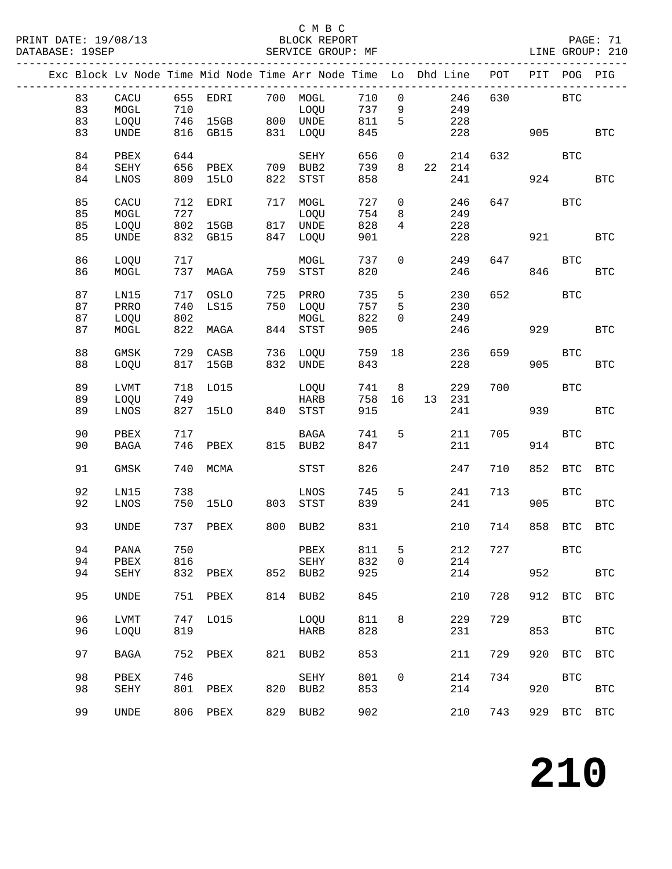### C M B C<br>BLOCK REPORT

---------------------------------------------------------------------------------------------

|  |    |             |     |              |     | Exc Block Lv Node Time Mid Node Time Arr Node Time Lo Dhd Line |     |              |    |     | POT | PIT | POG          | PIG                  |
|--|----|-------------|-----|--------------|-----|----------------------------------------------------------------|-----|--------------|----|-----|-----|-----|--------------|----------------------|
|  | 83 | CACU        | 655 | EDRI         | 700 | MOGL                                                           | 710 | 0            |    | 246 | 630 |     | <b>BTC</b>   |                      |
|  | 83 | MOGL        | 710 |              |     | LOQU                                                           | 737 | 9            |    | 249 |     |     |              |                      |
|  | 83 | LOQU        | 746 | 15GB         |     | 800 UNDE                                                       | 811 | 5            |    | 228 |     |     |              |                      |
|  | 83 | <b>UNDE</b> | 816 | GB15         | 831 | LOQU                                                           | 845 |              |    | 228 |     | 905 |              | <b>BTC</b>           |
|  |    |             |     |              |     |                                                                |     |              |    |     |     |     |              |                      |
|  | 84 | PBEX        | 644 |              |     | SEHY                                                           | 656 | 0            |    | 214 | 632 |     | <b>BTC</b>   |                      |
|  | 84 | SEHY        | 656 | PBEX         | 709 | BUB2                                                           | 739 | 8            | 22 | 214 |     |     |              |                      |
|  | 84 | LNOS        | 809 | <b>15LO</b>  | 822 | STST                                                           | 858 |              |    | 241 |     | 924 |              | $_{\rm BTC}$         |
|  |    |             |     |              |     |                                                                |     |              |    |     |     |     |              |                      |
|  | 85 | CACU        | 712 | EDRI         | 717 | MOGL                                                           | 727 | 0            |    | 246 | 647 |     | <b>BTC</b>   |                      |
|  | 85 | MOGL        | 727 |              |     | LOQU                                                           | 754 | 8            |    | 249 |     |     |              |                      |
|  | 85 | LOQU        | 802 | 15GB         | 817 | UNDE                                                           | 828 | 4            |    | 228 |     |     |              |                      |
|  | 85 | <b>UNDE</b> | 832 | GB15         | 847 | LOQU                                                           | 901 |              |    | 228 |     | 921 |              | $_{\rm BTC}$         |
|  |    |             |     |              |     |                                                                |     |              |    |     |     |     |              |                      |
|  | 86 | LOQU        | 717 |              |     | MOGL                                                           | 737 | $\mathsf{O}$ |    | 249 | 647 |     | $_{\rm BTC}$ |                      |
|  | 86 | MOGL        | 737 | MAGA         | 759 | STST                                                           | 820 |              |    | 246 |     | 846 |              | BTC                  |
|  | 87 | LN15        | 717 | OSLO         | 725 | PRRO                                                           | 735 | 5            |    | 230 | 652 |     | <b>BTC</b>   |                      |
|  | 87 | PRRO        | 740 | LS15         | 750 | LOQU                                                           | 757 | 5            |    | 230 |     |     |              |                      |
|  | 87 | LOQU        | 802 |              |     | $\tt MOGL$                                                     | 822 | 0            |    | 249 |     |     |              |                      |
|  | 87 | MOGL        | 822 | MAGA         | 844 | STST                                                           | 905 |              |    | 246 |     | 929 |              | $_{\rm BTC}$         |
|  |    |             |     |              |     |                                                                |     |              |    |     |     |     |              |                      |
|  | 88 | GMSK        | 729 | CASB         | 736 | LOQU                                                           | 759 | 18           |    | 236 | 659 |     | <b>BTC</b>   |                      |
|  | 88 | LOQU        | 817 | 15GB         | 832 | UNDE                                                           | 843 |              |    | 228 |     | 905 |              | BTC                  |
|  |    |             |     |              |     |                                                                |     |              |    |     |     |     |              |                      |
|  | 89 | <b>LVMT</b> | 718 | L015         |     | LOQU                                                           | 741 | 8            |    | 229 | 700 |     | <b>BTC</b>   |                      |
|  | 89 | LOQU        | 749 |              |     | <b>HARB</b>                                                    | 758 | 16           | 13 | 231 |     |     |              |                      |
|  | 89 | LNOS        | 827 | 15LO         | 840 | STST                                                           | 915 |              |    | 241 |     | 939 |              | $_{\rm BTC}$         |
|  | 90 | PBEX        | 717 |              |     | <b>BAGA</b>                                                    | 741 | 5            |    | 211 | 705 |     | <b>BTC</b>   |                      |
|  | 90 | <b>BAGA</b> | 746 | PBEX         | 815 | BUB2                                                           | 847 |              |    | 211 |     | 914 |              | <b>BTC</b>           |
|  |    |             |     |              |     |                                                                |     |              |    |     |     |     |              |                      |
|  | 91 | <b>GMSK</b> | 740 | MCMA         |     | <b>STST</b>                                                    | 826 |              |    | 247 | 710 | 852 | <b>BTC</b>   | $_{\rm BTC}$         |
|  |    |             |     |              |     |                                                                |     |              |    |     |     |     |              |                      |
|  | 92 | LN15        | 738 |              |     | LNOS                                                           | 745 | 5            |    | 241 | 713 |     | <b>BTC</b>   |                      |
|  | 92 | LNOS        | 750 | 15LO         | 803 | STST                                                           | 839 |              |    | 241 |     | 905 |              | <b>BTC</b>           |
|  |    |             |     |              |     |                                                                |     |              |    |     |     |     |              |                      |
|  | 93 | <b>UNDE</b> | 737 | PBEX         | 800 | BUB2                                                           | 831 |              |    | 210 | 714 | 858 | <b>BTC</b>   | $_{\rm BTC}$         |
|  |    |             |     |              |     |                                                                |     |              |    |     |     |     |              |                      |
|  | 94 | PANA        | 750 |              |     | PBEX                                                           | 811 | 5            |    | 212 | 727 |     | <b>BTC</b>   |                      |
|  | 94 | PBEX        | 816 |              |     | SEHY                                                           | 832 | $\mathsf{O}$ |    | 214 |     |     |              |                      |
|  | 94 | SEHY        | 832 | ${\tt PBEX}$ | 852 | BUB2                                                           | 925 |              |    | 214 |     | 952 |              | $\operatorname{BTC}$ |
|  | 95 | UNDE        | 751 | PBEX         | 814 | BUB2                                                           | 845 |              |    | 210 | 728 | 912 | <b>BTC</b>   | <b>BTC</b>           |
|  |    |             |     |              |     |                                                                |     |              |    |     |     |     |              |                      |
|  | 96 | <b>LVMT</b> | 747 | L015         |     | LOQU                                                           | 811 | 8            |    | 229 | 729 |     | <b>BTC</b>   |                      |
|  | 96 | LOQU        | 819 |              |     | <b>HARB</b>                                                    | 828 |              |    | 231 |     | 853 |              | $_{\rm BTC}$         |
|  |    |             |     |              |     |                                                                |     |              |    |     |     |     |              |                      |
|  | 97 | <b>BAGA</b> | 752 | PBEX         | 821 | BUB2                                                           | 853 |              |    | 211 | 729 | 920 | <b>BTC</b>   | <b>BTC</b>           |
|  |    |             |     |              |     |                                                                |     |              |    |     |     |     |              |                      |
|  | 98 | PBEX        | 746 |              |     | <b>SEHY</b>                                                    | 801 | $\mathsf{O}$ |    | 214 | 734 |     | <b>BTC</b>   |                      |
|  | 98 | SEHY        | 801 | PBEX         | 820 | BUB2                                                           | 853 |              |    | 214 |     | 920 |              | <b>BTC</b>           |
|  |    |             |     |              |     |                                                                |     |              |    |     |     |     |              |                      |
|  | 99 | <b>UNDE</b> | 806 | PBEX         | 829 | BUB2                                                           | 902 |              |    | 210 | 743 | 929 | <b>BTC</b>   | $_{\rm BTC}$         |
|  |    |             |     |              |     |                                                                |     |              |    |     |     |     |              |                      |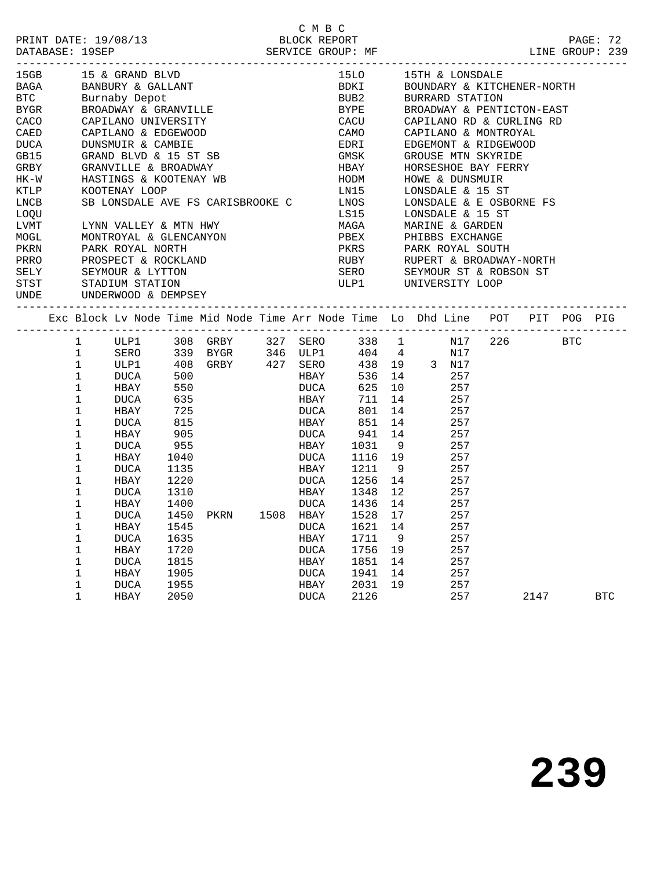| PRINT DATE: 19/08/13 | BLOCK REPORT      |
|----------------------|-------------------|
| DATABASE: 19SEP      | SERVICE GROUP: MF |

|      |              | 15GB 15 & GRAND BLVD 15LO<br>BAGA BANBURY & GALLANT BDKI<br>BTC Burnaby Depot BUB2<br>BYGR BROADWAY & GRANVILLE BYPE<br>CACO CAPILANO UNIVERSITY CACU<br>CAED CAPILANO & EDGEWOOD CAMO<br>DUCA DUNSMUIR & CAMBIE EDRI<br>GB15 GRAND BLVD & 1 |            |                                  |              |             |                                        | 15LO 15TH & LONSDALE                                                           |  |  |  |  |  |  |
|------|--------------|----------------------------------------------------------------------------------------------------------------------------------------------------------------------------------------------------------------------------------------------|------------|----------------------------------|--------------|-------------|----------------------------------------|--------------------------------------------------------------------------------|--|--|--|--|--|--|
|      |              |                                                                                                                                                                                                                                              |            |                                  |              | <b>BDKI</b> |                                        | BOUNDARY & KITCHENER-NORTH                                                     |  |  |  |  |  |  |
|      |              |                                                                                                                                                                                                                                              |            |                                  |              |             |                                        | BUB2 BURRARD STATION                                                           |  |  |  |  |  |  |
|      |              |                                                                                                                                                                                                                                              |            |                                  |              |             |                                        | BROADWAY & PENTICTON-EAST                                                      |  |  |  |  |  |  |
|      |              |                                                                                                                                                                                                                                              |            |                                  |              |             |                                        | CAPILANO RD & CURLING RD                                                       |  |  |  |  |  |  |
|      |              |                                                                                                                                                                                                                                              |            |                                  |              |             |                                        | CAPILANO & MONTROYAL                                                           |  |  |  |  |  |  |
|      |              |                                                                                                                                                                                                                                              |            |                                  |              |             |                                        | EDGEMONT & RIDGEWOOD                                                           |  |  |  |  |  |  |
|      |              |                                                                                                                                                                                                                                              |            |                                  |              |             |                                        | GROUSE MTN SKYRIDE                                                             |  |  |  |  |  |  |
|      |              |                                                                                                                                                                                                                                              |            |                                  |              |             |                                        |                                                                                |  |  |  |  |  |  |
| HK-W |              | HASTINGS & KOOTENAY WB                                                                                                                                                                                                                       |            |                                  |              | HODM        | HORSESHOE BAY FERRY<br>HOWE & DUNSMUIR |                                                                                |  |  |  |  |  |  |
| KTLP |              | KOOTENAY LOOP                                                                                                                                                                                                                                |            |                                  |              | LN15        |                                        | LONSDALE & 15 ST                                                               |  |  |  |  |  |  |
| LNCB |              | SB LONSDALE AVE FS CARISBROOKE C LNOS                                                                                                                                                                                                        |            |                                  |              |             |                                        | LONSDALE & E OSBORNE FS                                                        |  |  |  |  |  |  |
| LOQU |              |                                                                                                                                                                                                                                              |            |                                  |              | LS15        |                                        | LONSDALE & 15 ST                                                               |  |  |  |  |  |  |
| LVMT |              |                                                                                                                                                                                                                                              |            |                                  |              |             |                                        |                                                                                |  |  |  |  |  |  |
| MOGL |              |                                                                                                                                                                                                                                              |            |                                  |              |             |                                        |                                                                                |  |  |  |  |  |  |
| PKRN |              |                                                                                                                                                                                                                                              |            |                                  |              |             |                                        |                                                                                |  |  |  |  |  |  |
| PRRO |              | PROSPECT & THE SEYMOUR & LYTTON                                                                                                                                                                                                              |            |                                  |              |             |                                        |                                                                                |  |  |  |  |  |  |
| SELY |              |                                                                                                                                                                                                                                              |            |                                  |              |             |                                        |                                                                                |  |  |  |  |  |  |
| STST |              |                                                                                                                                                                                                                                              |            |                                  |              |             |                                        |                                                                                |  |  |  |  |  |  |
| UNDE |              | UNDERWOOD & DEMPSEY                                                                                                                                                                                                                          |            |                                  |              |             |                                        |                                                                                |  |  |  |  |  |  |
|      |              |                                                                                                                                                                                                                                              |            |                                  |              |             |                                        |                                                                                |  |  |  |  |  |  |
|      |              |                                                                                                                                                                                                                                              |            |                                  |              |             |                                        | Exc Block Lv Node Time Mid Node Time Arr Node Time Lo Dhd Line POT PIT POG PIG |  |  |  |  |  |  |
|      | $\mathbf{1}$ |                                                                                                                                                                                                                                              |            |                                  |              |             |                                        | ULP1 308 GRBY 327 SERO 338 1 N17 226 BTC                                       |  |  |  |  |  |  |
|      | 1            |                                                                                                                                                                                                                                              |            | SERO 339 BYGR 346 ULP1           |              |             | 404 4                                  | N17                                                                            |  |  |  |  |  |  |
|      | 1            |                                                                                                                                                                                                                                              |            |                                  | SERO<br>HBAY |             |                                        | 438 19 3 N17<br>536 14 257                                                     |  |  |  |  |  |  |
|      | 1            | DUCA                                                                                                                                                                                                                                         | 500        |                                  |              |             |                                        |                                                                                |  |  |  |  |  |  |
|      | 1            | HBAY                                                                                                                                                                                                                                         | 550        |                                  | DUCA         | 625         |                                        | 10<br>257                                                                      |  |  |  |  |  |  |
|      | 1            | DUCA 635<br>HBAY 725                                                                                                                                                                                                                         |            |                                  | HBAY         | 711         | 14                                     | 257                                                                            |  |  |  |  |  |  |
|      | 1            |                                                                                                                                                                                                                                              |            |                                  | DUCA         | 801         | 14                                     | 257                                                                            |  |  |  |  |  |  |
|      | 1            | DUCA                                                                                                                                                                                                                                         |            | 815 816                          |              | HBAY 851    |                                        | 14 and $\overline{a}$<br>257                                                   |  |  |  |  |  |  |
|      | 1            | HBAY                                                                                                                                                                                                                                         | 905<br>955 |                                  | DUCA         | 941         | 14                                     | 257                                                                            |  |  |  |  |  |  |
|      | 1            | DUCA                                                                                                                                                                                                                                         |            |                                  | HBAY         | 1031        | 9                                      | 257                                                                            |  |  |  |  |  |  |
|      | 1            | HBAY                                                                                                                                                                                                                                         | 1040       |                                  | DUCA         | 1116 19     |                                        | 257                                                                            |  |  |  |  |  |  |
|      | 1            | DUCA                                                                                                                                                                                                                                         | 1135       |                                  | HBAY         | 1211        | - 9                                    | 257                                                                            |  |  |  |  |  |  |
|      | 1            | HBAY                                                                                                                                                                                                                                         | 1220       |                                  | DUCA         | 1256        | 14                                     | 257                                                                            |  |  |  |  |  |  |
|      | 1            | DUCA                                                                                                                                                                                                                                         | 1310       |                                  | HBAY         | 1348        | 12                                     | 257                                                                            |  |  |  |  |  |  |
|      | 1            | HBAY                                                                                                                                                                                                                                         |            |                                  |              | 1436        | 14                                     | 257                                                                            |  |  |  |  |  |  |
|      | 1            | DUCA                                                                                                                                                                                                                                         |            | 1400 DUCA<br>1450 PKRN 1508 HBAY |              | 1528        | 17                                     | 257                                                                            |  |  |  |  |  |  |
|      | 1            | HBAY                                                                                                                                                                                                                                         | 1545       |                                  | <b>DUCA</b>  | 1621        | 14                                     | 257                                                                            |  |  |  |  |  |  |
|      | 1            | DUCA                                                                                                                                                                                                                                         | 1635       |                                  | HBAY         | 1711        | 9                                      | 257                                                                            |  |  |  |  |  |  |
|      | 1            | HBAY                                                                                                                                                                                                                                         | 1720       |                                  | DUCA         | 1756        | 19                                     | 257                                                                            |  |  |  |  |  |  |
|      | 1            | DUCA                                                                                                                                                                                                                                         | 1815       | <b>HBAY</b>                      |              |             |                                        | 1851 14 257                                                                    |  |  |  |  |  |  |
|      | $\mathbf{1}$ | HBAY                                                                                                                                                                                                                                         | 1905       |                                  | DUCA         | 1941        | 14                                     | 257                                                                            |  |  |  |  |  |  |

1 DUCA 1955 HBAY 2031 19 257

1 HBAY 2050 DUCA 2126 257 2147 BTC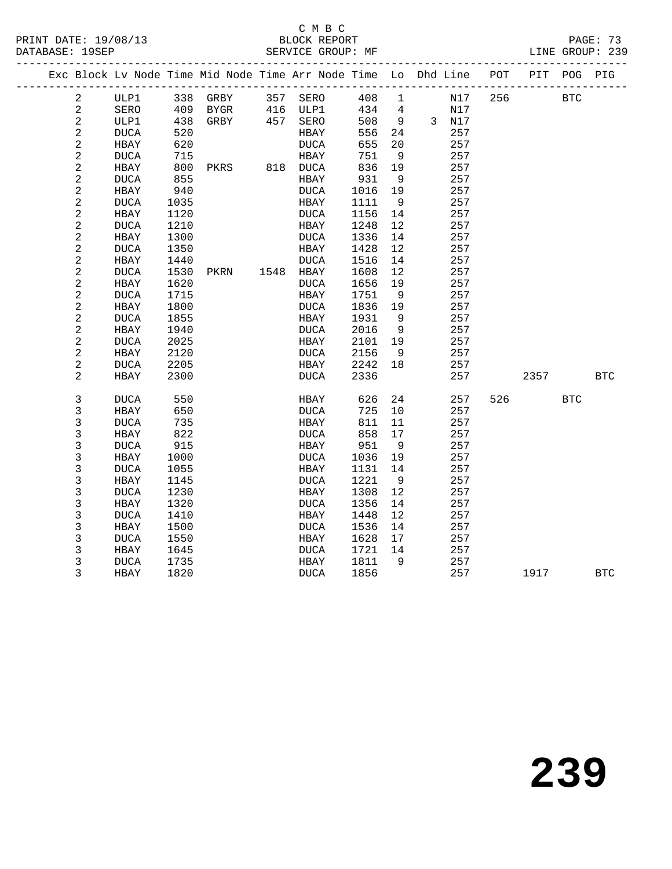#### C M B C<br>BLOCK REPORT

|                |             |      |                | Exc Block Lv Node Time Mid Node Time Arr Node Time Lo Dhd Line POT PIT POG PIG |         |                |                                                                                                 |     |            |             |            |
|----------------|-------------|------|----------------|--------------------------------------------------------------------------------|---------|----------------|-------------------------------------------------------------------------------------------------|-----|------------|-------------|------------|
| $\overline{a}$ |             |      |                | ULP1 338 GRBY 357 SERO                                                         |         |                | 408 1 N17                                                                                       | 256 | <b>BTC</b> |             |            |
| $\overline{a}$ | SERO        |      | 409 BYGR       | 416 ULP1<br>457 SERO                                                           |         |                | $\begin{array}{cccc} 434 & 4 & & & \text{N17} \\ 508 & 9 & & 3 & \text{N17} \end{array}$<br>N17 |     |            |             |            |
| $\sqrt{2}$     | ULP1        |      | 438 GRBY       |                                                                                | 508     |                |                                                                                                 |     |            |             |            |
| $\sqrt{2}$     | DUCA        | 520  |                | HBAY                                                                           | 556     | 24             | 257                                                                                             |     |            |             |            |
| $\sqrt{2}$     | HBAY        | 620  |                | DUCA                                                                           | 655     | 20             | 257                                                                                             |     |            |             |            |
| $\sqrt{2}$     | DUCA        | 715  |                | HBAY                                                                           | 751     | 9              | 257                                                                                             |     |            |             |            |
| $\sqrt{2}$     | HBAY        | 800  | PKRS 818 DUCA  |                                                                                | 836     | 19             | 257                                                                                             |     |            |             |            |
| $\sqrt{2}$     | DUCA        | 855  |                | HBAY                                                                           | 931     | 9              | 257                                                                                             |     |            |             |            |
| $\sqrt{2}$     | HBAY        | 940  |                | DUCA                                                                           | 1016    | 19             | 257                                                                                             |     |            |             |            |
| $\sqrt{2}$     | DUCA        | 1035 |                | HBAY                                                                           | 1111    | - 9            | 257                                                                                             |     |            |             |            |
| $\sqrt{2}$     | HBAY        | 1120 |                | DUCA                                                                           | 1156    | 14             | 257                                                                                             |     |            |             |            |
| $\sqrt{2}$     | DUCA        | 1210 |                | HBAY                                                                           | 1248    | 12             | 257                                                                                             |     |            |             |            |
| $\sqrt{2}$     | HBAY        | 1300 |                | DUCA                                                                           | 1336    | 14             | 257                                                                                             |     |            |             |            |
| $\sqrt{2}$     | DUCA        | 1350 |                | HBAY                                                                           | 1428    | 12             | 257                                                                                             |     |            |             |            |
| $\sqrt{2}$     | HBAY        | 1440 |                | DUCA                                                                           | 1516    | 14             | 257                                                                                             |     |            |             |            |
| $\sqrt{2}$     | DUCA        | 1530 | PKRN 1548 HBAY |                                                                                | 1608    | 12             | 257                                                                                             |     |            |             |            |
| $\sqrt{2}$     | HBAY        | 1620 |                | <b>DUCA</b>                                                                    | 1656    | 19             | 257                                                                                             |     |            |             |            |
| $\sqrt{2}$     | DUCA        | 1715 |                | HBAY                                                                           | 1751    | $\overline{9}$ | 257                                                                                             |     |            |             |            |
| $\mathbf 2$    | HBAY        | 1800 |                | DUCA                                                                           | 1836    | 19             | 257                                                                                             |     |            |             |            |
| $\sqrt{2}$     | DUCA        | 1855 |                | HBAY                                                                           | 1931    | 9              | 257                                                                                             |     |            |             |            |
| $\sqrt{2}$     | HBAY        | 1940 |                | DUCA                                                                           | 2016    | $\overline{9}$ | 257                                                                                             |     |            |             |            |
| $\mathbf 2$    | $\rm DUCA$  | 2025 |                | HBAY                                                                           | 2101    | 19             | 257                                                                                             |     |            |             |            |
| $\sqrt{2}$     | HBAY        | 2120 |                | DUCA                                                                           | 2156    | 9              | 257                                                                                             |     |            |             |            |
| $\sqrt{2}$     | DUCA        | 2205 |                | HBAY                                                                           | 2242 18 |                | 257                                                                                             |     |            |             |            |
| 2              | HBAY        | 2300 |                | DUCA                                                                           | 2336    |                | 257                                                                                             |     |            | 2357 236    | <b>BTC</b> |
| $\mathsf{3}$   | DUCA        | 550  |                | HBAY                                                                           | 626     | 24             | 257                                                                                             | 526 |            | <b>BTC</b>  |            |
| 3              | HBAY        | 650  |                | DUCA                                                                           | 725     | 10             | 257                                                                                             |     |            |             |            |
| $\mathsf 3$    | <b>DUCA</b> | 735  |                | HBAY                                                                           | 811     | 11             | 257                                                                                             |     |            |             |            |
| 3              | HBAY        | 822  |                | DUCA                                                                           | 858     | 17             | 257                                                                                             |     |            |             |            |
| 3              | <b>DUCA</b> | 915  |                | HBAY                                                                           | 951     | 9              | 257                                                                                             |     |            |             |            |
| $\mathsf 3$    | HBAY        | 1000 |                | DUCA                                                                           | 1036    | 19             | 257                                                                                             |     |            |             |            |
| $\mathsf{3}$   | DUCA        | 1055 |                | HBAY                                                                           | 1131    | 14             | 257                                                                                             |     |            |             |            |
| $\mathsf 3$    | HBAY        | 1145 |                | <b>DUCA</b>                                                                    | 1221    | 9              | 257                                                                                             |     |            |             |            |
| 3              | <b>DUCA</b> | 1230 |                | HBAY                                                                           | 1308    | 12             | 257                                                                                             |     |            |             |            |
| 3              | HBAY        | 1320 |                | DUCA                                                                           | 1356    | 14             | 257                                                                                             |     |            |             |            |
| 3              | <b>DUCA</b> | 1410 |                | HBAY                                                                           | 1448    | 12             | 257                                                                                             |     |            |             |            |
| 3              | HBAY        | 1500 |                | DUCA                                                                           | 1536    | 14             | 257                                                                                             |     |            |             |            |
| 3              | DUCA        | 1550 |                | HBAY                                                                           | 1628    | 17             | 257                                                                                             |     |            |             |            |
| 3              | HBAY        | 1645 |                | DUCA                                                                           | 1721    | 14             | 257                                                                                             |     |            |             |            |
| 3              | DUCA        | 1735 |                | HBAY                                                                           | 1811    | $\overline{9}$ | 257                                                                                             |     |            |             |            |
| 3              | HBAY        | 1820 |                | DUCA                                                                           | 1856    |                | 257                                                                                             |     |            | 1917 - 1917 | BTC        |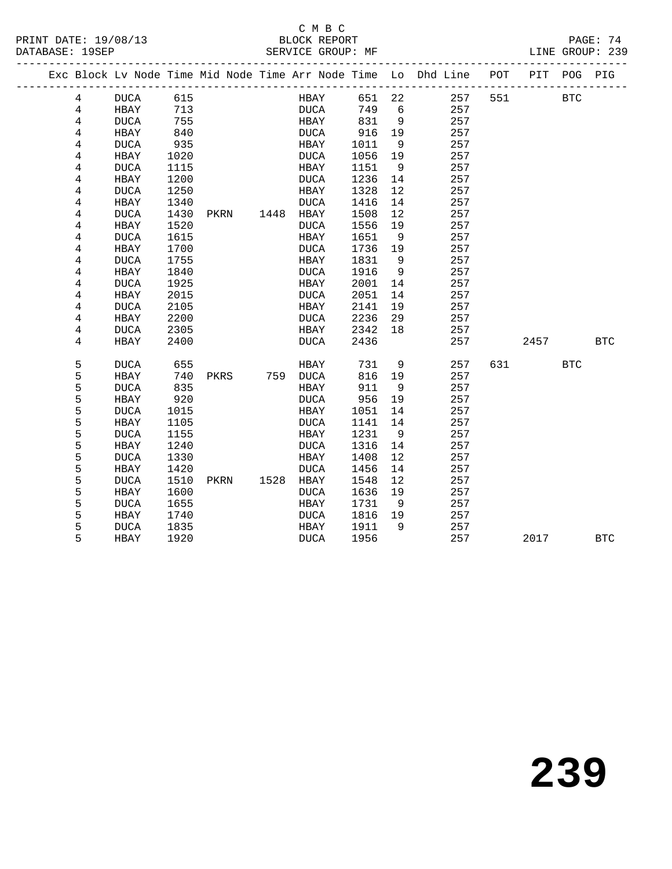#### C M B C<br>BLOCK REPORT

LINE GROUP: 239

|  |                         | Exc Block Lv Node Time Mid Node Time Arr Node Time Lo Dhd Line |              |      |           |              |      |              |                      |            | POT | PIT      | POG        | PIG        |
|--|-------------------------|----------------------------------------------------------------|--------------|------|-----------|--------------|------|--------------|----------------------|------------|-----|----------|------------|------------|
|  | 4                       | DUCA 615                                                       |              |      |           |              | HBAY | 651 22       |                      | 257        | 551 |          | <b>BTC</b> |            |
|  | 4                       | HBAY                                                           | 713          |      |           | DUCA         |      | 749 6        |                      | 257        |     |          |            |            |
|  | 4                       | DUCA                                                           | 755          |      |           | HBAY         |      | 831          | $\overline{9}$       | 257        |     |          |            |            |
|  | 4                       | HBAY                                                           | 840          |      |           | <b>DUCA</b>  |      | 916          | 19                   | 257        |     |          |            |            |
|  | 4                       | <b>DUCA</b>                                                    | 935          |      |           | HBAY         |      | 1011         | 9                    | 257        |     |          |            |            |
|  | $\overline{4}$          | HBAY                                                           | 1020         |      |           | DUCA         |      | 1056         | 19                   | 257        |     |          |            |            |
|  | $\overline{\mathbf{4}}$ | DUCA                                                           | 1115         |      |           | HBAY         |      | 1151         | 9                    | 257        |     |          |            |            |
|  | 4                       | HBAY                                                           | 1200         |      |           | <b>DUCA</b>  |      | 1236         | 14                   | 257        |     |          |            |            |
|  | 4                       | <b>DUCA</b>                                                    | 1250         |      |           | HBAY         |      | 1328         | 12                   | 257        |     |          |            |            |
|  | 4                       | HBAY                                                           | 1340         |      |           | <b>DUCA</b>  |      | 1416         | 14                   | 257        |     |          |            |            |
|  | 4                       | DUCA                                                           | 1430         | PKRN | 1448 HBAY |              |      | 1508         | 12                   | 257        |     |          |            |            |
|  | $\overline{\mathbf{4}}$ | HBAY                                                           | 1520         |      |           | DUCA         |      | 1556         | 19                   | 257        |     |          |            |            |
|  | 4                       | <b>DUCA</b>                                                    | 1615         |      |           | HBAY         |      | 1651         | 9                    | 257        |     |          |            |            |
|  | 4                       | HBAY                                                           | 1700         |      |           | DUCA         |      | 1736         | 19                   | 257        |     |          |            |            |
|  | 4                       | <b>DUCA</b>                                                    | 1755         |      |           | HBAY         |      | 1831         | 9                    | 257<br>257 |     |          |            |            |
|  | 4<br>4                  | HBAY<br><b>DUCA</b>                                            | 1840<br>1925 |      |           | DUCA<br>HBAY |      | 1916<br>2001 | $\overline{9}$<br>14 | 257        |     |          |            |            |
|  | 4                       | HBAY                                                           | 2015         |      |           | <b>DUCA</b>  |      | 2051         | 14                   | 257        |     |          |            |            |
|  | 4                       | DUCA                                                           | 2105         |      |           | HBAY         |      | 2141         | 19                   | 257        |     |          |            |            |
|  | 4                       | HBAY                                                           | 2200         |      |           | DUCA         |      | 2236         | 29                   | 257        |     |          |            |            |
|  | 4                       | DUCA                                                           | 2305         |      |           | HBAY         |      | 2342 18      |                      | 257        |     |          |            |            |
|  | 4                       | HBAY                                                           | 2400         |      |           | DUCA         |      | 2436         |                      | 257        |     | 2457 BTC |            |            |
|  |                         |                                                                |              |      |           |              |      |              |                      |            |     |          |            |            |
|  | 5                       | DUCA                                                           | 655          |      |           | HBAY         |      | 731          | 9                    | 257        | 631 |          | <b>BTC</b> |            |
|  | 5                       | HBAY                                                           | 740          | PKRS | 759 DUCA  |              |      | 816          | 19                   | 257        |     |          |            |            |
|  | 5                       | DUCA                                                           | 835          |      |           | HBAY         |      | 911          | 9                    | 257        |     |          |            |            |
|  | 5                       | HBAY                                                           | 920          |      |           | DUCA         |      | 956          | 19                   | 257        |     |          |            |            |
|  | 5                       | <b>DUCA</b>                                                    | 1015         |      |           | HBAY         |      | 1051         | 14                   | 257        |     |          |            |            |
|  | 5                       | HBAY                                                           | 1105         |      |           | DUCA         |      | 1141         | 14                   | 257        |     |          |            |            |
|  | 5                       | DUCA                                                           | 1155         |      |           | HBAY         |      | 1231         | 9                    | 257        |     |          |            |            |
|  | 5<br>5                  | HBAY                                                           | 1240<br>1330 |      |           | DUCA<br>HBAY |      | 1316<br>1408 | 14<br>12             | 257<br>257 |     |          |            |            |
|  | 5                       | DUCA<br>HBAY                                                   | 1420         |      |           | DUCA         |      | 1456         | 14                   | 257        |     |          |            |            |
|  | 5                       | <b>DUCA</b>                                                    | 1510         | PKRN | 1528 HBAY |              |      | 1548         | 12                   | 257        |     |          |            |            |
|  | 5                       | HBAY                                                           | 1600         |      |           | <b>DUCA</b>  |      | 1636         | 19                   | 257        |     |          |            |            |
|  | 5                       | <b>DUCA</b>                                                    | 1655         |      |           | HBAY         |      | 1731         | 9                    | 257        |     |          |            |            |
|  | 5                       | HBAY                                                           | 1740         |      |           | DUCA         |      | 1816 19      |                      | 257        |     |          |            |            |
|  | 5                       | DUCA                                                           | 1835         |      |           | HBAY         |      | 1911         | $\overline{9}$       | 257        |     |          |            |            |
|  | 5                       | HBAY                                                           | 1920         |      |           | <b>DUCA</b>  |      | 1956         |                      | 257        |     | 2017     |            | <b>BTC</b> |
|  |                         |                                                                |              |      |           |              |      |              |                      |            |     |          |            |            |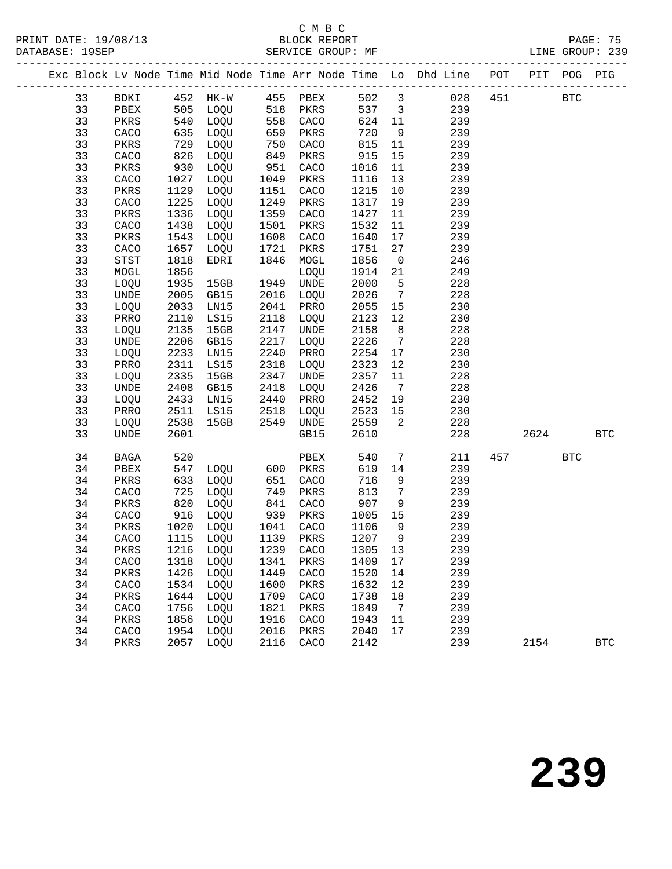### C M B C<br>BLOCK REPORT

SERVICE GROUP: MF

|  |    |              |            |              |                   |           |         |                         | Exc Block Lv Node Time Mid Node Time Arr Node Time Lo Dhd Line POT PIT POG PIG |     |      |            |              |
|--|----|--------------|------------|--------------|-------------------|-----------|---------|-------------------------|--------------------------------------------------------------------------------|-----|------|------------|--------------|
|  | 33 |              |            |              |                   |           |         |                         | BDKI 452 HK-W 455 PBEX 502 3 028 451 BTC<br>PBEX 505 LOQU 518 PKRS 537 3 239   |     |      |            |              |
|  | 33 |              |            |              |                   |           |         |                         |                                                                                |     |      |            |              |
|  | 33 | PKRS         |            | 540 LOQU     |                   | 558 CACO  | 624 11  |                         | 239                                                                            |     |      |            |              |
|  | 33 | CACO         | 635        | LOQU         | 659<br>750<br>849 | PKRS      | 720     | 9                       | 239                                                                            |     |      |            |              |
|  | 33 | PKRS         |            | LOQU         |                   | CACO      | 815     | 11                      | 239                                                                            |     |      |            |              |
|  | 33 | ${\tt CACO}$ | 729<br>826 | LOQU         |                   | PKRS      | 915     | 15                      | 239                                                                            |     |      |            |              |
|  | 33 | PKRS         | 930        | LOQU         | 951               | CACO      | 1016    | 11                      | 239                                                                            |     |      |            |              |
|  | 33 | CACO         | 1027       | LOQU         | 1049              | PKRS      | 1116    | 13                      | 239                                                                            |     |      |            |              |
|  | 33 | PKRS         | 1129       | LOQU         | 1151              | CACO      | 1215    | 10                      | 239                                                                            |     |      |            |              |
|  | 33 | CACO         | 1225       | LOQU         | 1249              | PKRS      | 1317    | 19                      | 239                                                                            |     |      |            |              |
|  | 33 | PKRS         | 1336       | LOQU         | 1359              | CACO      | 1427    | 11                      | 239                                                                            |     |      |            |              |
|  | 33 | CACO         | 1438       | LOQU         | 1501              | PKRS      | 1532    | 11                      | 239                                                                            |     |      |            |              |
|  | 33 | PKRS         | 1543       | LOQU         | 1608              | CACO      | 1640    | 17                      | 239                                                                            |     |      |            |              |
|  | 33 | CACO         | 1657       | LOQU         | 1721              | PKRS      | 1751    | 27                      | 239                                                                            |     |      |            |              |
|  | 33 | STST         | 1818       | EDRI         | 1846              | MOGL      | 1856    | $\overline{0}$          | 246                                                                            |     |      |            |              |
|  | 33 | MOGL         | 1856       |              |                   | LOQU      | 1914    | 21                      | 249                                                                            |     |      |            |              |
|  | 33 | LOQU         | 1935       | 15GB         | 1949              | UNDE      | 2000    | $-5$                    | 228                                                                            |     |      |            |              |
|  | 33 | UNDE         | 2005       | GB15         |                   | 2016 LOQU | 2026    | $\overline{7}$          | 228                                                                            |     |      |            |              |
|  | 33 | LOQU         | 2033       | LN15         | 2041              | PRRO      | 2055 15 |                         | 230                                                                            |     |      |            |              |
|  | 33 | PRRO         | 2110       | LS15         | 2118              | LOQU      | 2123    | 12                      | 230                                                                            |     |      |            |              |
|  | 33 | LOQU         | 2135       | 15GB         | 2147              | UNDE      | 2158    | 8 <sup>8</sup>          | 228                                                                            |     |      |            |              |
|  | 33 | UNDE         | 2206       | GB15         | 2217              | LOQU      | 2226    | $7\overline{ }$         | 228                                                                            |     |      |            |              |
|  | 33 | LOQU         | 2233       | LN15         | 2240              | PRRO      | 2254    | 17                      | 230                                                                            |     |      |            |              |
|  | 33 | PRRO         | 2311       | LS15         | 2318              | LOQU      | 2323    | 12                      | 230                                                                            |     |      |            |              |
|  | 33 | LOQU         | 2335       | 15GB         | 2347              | UNDE      | 2357    | 11                      | 228                                                                            |     |      |            |              |
|  | 33 | UNDE         | 2408       | GB15         | 2418              | LOQU      | 2426    | $7\overline{)}$         | 228                                                                            |     |      |            |              |
|  | 33 | LOQU         | 2433       | LN15         | 2440              | PRRO      | 2452 19 |                         | 230                                                                            |     |      |            |              |
|  | 33 | PRRO         | 2511       | LS15         | 2518              | LOQU      | 2523 15 |                         | 230                                                                            |     |      |            |              |
|  | 33 | LOQU         | 2538       | 15GB         |                   | 2549 UNDE | 2559    | $\overline{\mathbf{2}}$ | 228                                                                            |     |      |            |              |
|  | 33 | UNDE         | 2601       |              |                   | GB15      | 2610    |                         | 228                                                                            |     | 2624 |            | <b>BTC</b>   |
|  | 34 | BAGA         | 520        |              |                   | PBEX      | 540     | $\overline{7}$          | 211                                                                            | 457 |      | <b>BTC</b> |              |
|  | 34 | PBEX         |            | 547 LOQU 600 |                   | PKRS      | 619     | 14                      | 239                                                                            |     |      |            |              |
|  | 34 | PKRS         | 633        | LOQU         | 651<br>749        | CACO      | 716     | 9                       | 239                                                                            |     |      |            |              |
|  | 34 | CACO         | 725        | LOQU         |                   | PKRS      | 813     | $7\overline{ }$         | 239                                                                            |     |      |            |              |
|  | 34 | PKRS         | 820        | LOQU         | 841               | CACO      | 907     | 9                       | 239                                                                            |     |      |            |              |
|  | 34 | CACO         |            | 916 LOQU     | 939               | PKRS      | 1005    | 15                      | 239                                                                            |     |      |            |              |
|  | 34 | PKRS         |            | 1020 LOQU    | 1041<br>1139      | CACO      | 1106    | 9                       | 239                                                                            |     |      |            |              |
|  | 34 | CACO         |            | 1115 LOQU    |                   | PKRS      | 1207    | $\overline{9}$          | 239                                                                            |     |      |            |              |
|  | 34 |              |            |              |                   |           |         |                         | PKRS 1216 LOQU 1239 CACO 1305 13 239                                           |     |      |            |              |
|  | 34 | CACO         |            | 1318 LOOU    | 1341              | PKRS      | 1409    | 17                      | 239                                                                            |     |      |            |              |
|  | 34 | PKRS         | 1426       | LOQU         | 1449              | CACO      | 1520    | 14                      | 239                                                                            |     |      |            |              |
|  | 34 | CACO         | 1534       | LOQU         | 1600              | PKRS      | 1632    | 12                      | 239                                                                            |     |      |            |              |
|  | 34 | PKRS         | 1644       | LOQU         | 1709              | CACO      | 1738    | 18                      | 239                                                                            |     |      |            |              |
|  | 34 | CACO         | 1756       | LOQU         | 1821              | PKRS      | 1849    | 7                       | 239                                                                            |     |      |            |              |
|  | 34 | PKRS         | 1856       | LOQU         | 1916              | CACO      | 1943    | 11                      | 239                                                                            |     |      |            |              |
|  | 34 | CACO         | 1954       | LOQU         | 2016              | PKRS      | 2040    | 17                      | 239                                                                            |     |      |            |              |
|  | 34 | PKRS         | 2057       | LOQU         | 2116              | CACO      | 2142    |                         | 239                                                                            |     | 2154 |            | $_{\rm BTC}$ |
|  |    |              |            |              |                   |           |         |                         |                                                                                |     |      |            |              |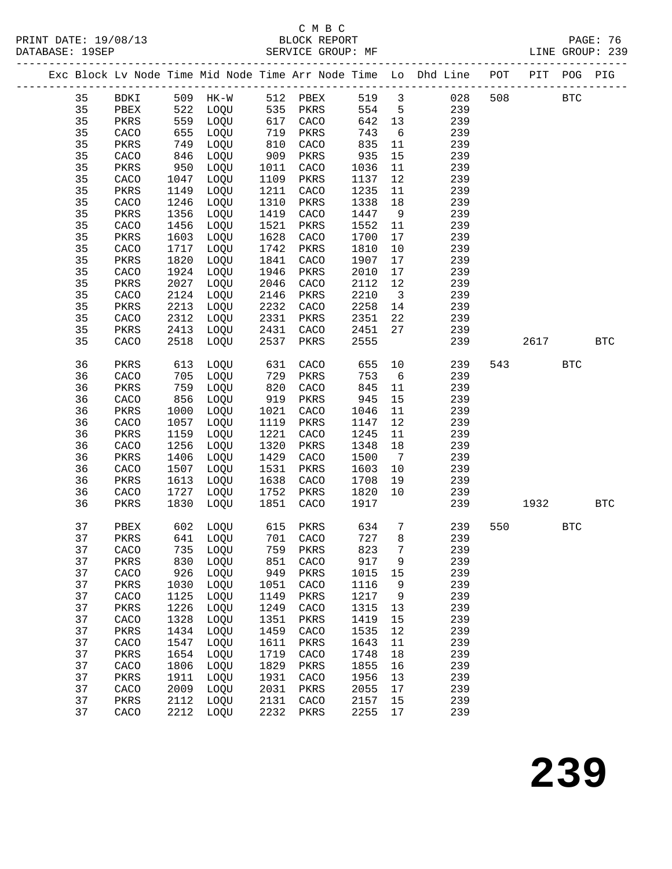PRINT DATE: 19/08/13 BLOCK REPORT<br>DATABASE: 19SEP<br>PATABASE: 76.99

### C M B C<br>BLOCK REPORT

|  |    |              |      |          |      |          |       |                              | Exc Block Lv Node Time Mid Node Time Arr Node Time Lo Dhd Line POT PIT POG PIG |     |            |            |            |
|--|----|--------------|------|----------|------|----------|-------|------------------------------|--------------------------------------------------------------------------------|-----|------------|------------|------------|
|  | 35 | BDKI         |      | 509 HK-W |      | 512 PBEX | 519 3 |                              | 028                                                                            | 508 | <b>BTC</b> |            |            |
|  | 35 | PBEX         |      | 522 LOQU | 535  | PKRS     | 554   | $5^{\circ}$                  | 239                                                                            |     |            |            |            |
|  | 35 | PKRS         | 559  | LOQU     | 617  | CACO     | 642   | 13                           | 239                                                                            |     |            |            |            |
|  | 35 | CACO         | 655  | LOQU     | 719  | PKRS     | 743   | 6                            | 239                                                                            |     |            |            |            |
|  | 35 | PKRS         | 749  | LOQU     | 810  | CACO     | 835   | 11                           | 239                                                                            |     |            |            |            |
|  | 35 | CACO         | 846  | LOQU     | 909  | PKRS     | 935   | 15                           | 239                                                                            |     |            |            |            |
|  | 35 | PKRS         | 950  | LOQU     | 1011 | CACO     | 1036  | 11                           | 239                                                                            |     |            |            |            |
|  | 35 | CACO         | 1047 | LOQU     | 1109 | PKRS     | 1137  | 12                           | 239                                                                            |     |            |            |            |
|  | 35 | PKRS         | 1149 | LOQU     | 1211 | CACO     | 1235  | 11                           | 239                                                                            |     |            |            |            |
|  | 35 | CACO         | 1246 | LOQU     | 1310 | PKRS     | 1338  | 18                           | 239                                                                            |     |            |            |            |
|  | 35 | PKRS         | 1356 | LOQU     | 1419 | CACO     | 1447  | 9                            | 239                                                                            |     |            |            |            |
|  | 35 | ${\tt CACO}$ | 1456 | LOQU     | 1521 | PKRS     | 1552  | 11                           | 239                                                                            |     |            |            |            |
|  | 35 | PKRS         | 1603 | LOQU     | 1628 | CACO     | 1700  | 17                           | 239                                                                            |     |            |            |            |
|  | 35 | CACO         | 1717 | LOQU     | 1742 | PKRS     | 1810  | 10                           | 239                                                                            |     |            |            |            |
|  | 35 | PKRS         | 1820 | LOQU     | 1841 | CACO     | 1907  | 17                           | 239                                                                            |     |            |            |            |
|  | 35 | ${\tt CACO}$ | 1924 | LOQU     | 1946 | PKRS     | 2010  | 17                           | 239                                                                            |     |            |            |            |
|  | 35 | PKRS         | 2027 | LOQU     | 2046 | CACO     | 2112  | 12                           | 239                                                                            |     |            |            |            |
|  | 35 | ${\tt CACO}$ | 2124 | LOQU     | 2146 | PKRS     | 2210  | $\overline{3}$               | 239                                                                            |     |            |            |            |
|  | 35 | PKRS         | 2213 | LOQU     | 2232 | CACO     | 2258  | 14                           | 239                                                                            |     |            |            |            |
|  | 35 | CACO         | 2312 | LOQU     | 2331 | PKRS     | 2351  | 22                           | 239                                                                            |     |            |            |            |
|  | 35 | PKRS         | 2413 | LOQU     | 2431 | CACO     | 2451  | 27                           | 239                                                                            |     |            |            |            |
|  | 35 | CACO         | 2518 | LOQU     | 2537 | PKRS     | 2555  |                              | 239                                                                            |     | 2617       |            | <b>BTC</b> |
|  | 36 | PKRS         | 613  | LOQU     | 631  | CACO     | 655   | 10                           | 239                                                                            | 543 |            | <b>BTC</b> |            |
|  | 36 | CACO         | 705  | LOQU     | 729  | PKRS     | 753   | 6                            | 239                                                                            |     |            |            |            |
|  | 36 | PKRS         | 759  | LOQU     | 820  | CACO     | 845   | 11                           | 239                                                                            |     |            |            |            |
|  | 36 | CACO         | 856  | LOQU     | 919  | PKRS     | 945   | 15                           | 239                                                                            |     |            |            |            |
|  | 36 | PKRS         | 1000 | LOQU     | 1021 | CACO     | 1046  | 11                           | 239                                                                            |     |            |            |            |
|  | 36 | CACO         | 1057 | LOQU     | 1119 | PKRS     | 1147  | 12                           | 239                                                                            |     |            |            |            |
|  | 36 | PKRS         | 1159 | LOQU     | 1221 | CACO     | 1245  | 11                           | 239                                                                            |     |            |            |            |
|  | 36 | CACO         | 1256 | LOQU     | 1320 | PKRS     | 1348  | 18                           | 239                                                                            |     |            |            |            |
|  | 36 | PKRS         | 1406 | LOQU     | 1429 | CACO     | 1500  | $7\phantom{.0}\phantom{.0}7$ | 239                                                                            |     |            |            |            |
|  | 36 | CACO         | 1507 | LOQU     | 1531 | PKRS     | 1603  | 10                           | 239                                                                            |     |            |            |            |
|  | 36 | PKRS         | 1613 | LOQU     | 1638 | CACO     | 1708  | 19                           | 239                                                                            |     |            |            |            |
|  | 36 | CACO         | 1727 | LOQU     | 1752 | PKRS     | 1820  | 10                           | 239                                                                            |     |            |            |            |
|  | 36 | PKRS         | 1830 | LOQU     | 1851 | CACO     | 1917  |                              | 239                                                                            |     | 1932       |            | <b>BTC</b> |
|  | 37 | PBEX         | 602  | LOQU     | 615  | PKRS     | 634   | $7\phantom{.0}$              | 239                                                                            | 550 |            | <b>BTC</b> |            |
|  | 37 | PKRS         |      | 641 LOQU |      | 701 CACO | 727   | 8                            | 239                                                                            |     |            |            |            |
|  | 37 | CACO         | 735  | LOQU     | 759  | PKRS     | 823   | 7                            | 239                                                                            |     |            |            |            |
|  | 37 | PKRS         | 830  | LOQU     | 851  | CACO     | 917   | 9                            | 239                                                                            |     |            |            |            |
|  | 37 | CACO         | 926  | LOQU     | 949  | PKRS     | 1015  | 15                           | 239                                                                            |     |            |            |            |
|  | 37 | PKRS         | 1030 | LOQU     | 1051 | CACO     | 1116  | 9                            | 239                                                                            |     |            |            |            |
|  | 37 | CACO         | 1125 | LOQU     | 1149 | PKRS     | 1217  | 9                            | 239                                                                            |     |            |            |            |
|  | 37 | PKRS         | 1226 | LOQU     | 1249 | CACO     | 1315  | 13                           | 239                                                                            |     |            |            |            |
|  | 37 | CACO         | 1328 | LOQU     | 1351 | PKRS     | 1419  | 15                           | 239                                                                            |     |            |            |            |
|  | 37 | PKRS         | 1434 | LOQU     | 1459 | CACO     | 1535  | 12                           | 239                                                                            |     |            |            |            |
|  | 37 | CACO         | 1547 | LOQU     | 1611 | PKRS     | 1643  | 11                           | 239                                                                            |     |            |            |            |
|  | 37 | PKRS         | 1654 | LOQU     | 1719 | CACO     | 1748  | 18                           | 239                                                                            |     |            |            |            |
|  | 37 | CACO         | 1806 | LOQU     | 1829 | PKRS     | 1855  | 16                           | 239                                                                            |     |            |            |            |
|  | 37 | PKRS         | 1911 | LOQU     | 1931 | CACO     | 1956  | 13                           | 239                                                                            |     |            |            |            |
|  | 37 | CACO         | 2009 | LOQU     | 2031 | PKRS     | 2055  | 17                           | 239                                                                            |     |            |            |            |
|  | 37 | PKRS         | 2112 | LOQU     | 2131 | CACO     | 2157  | 15                           | 239                                                                            |     |            |            |            |
|  | 37 | CACO         | 2212 | LOQU     | 2232 | PKRS     | 2255  | $17$                         | 239                                                                            |     |            |            |            |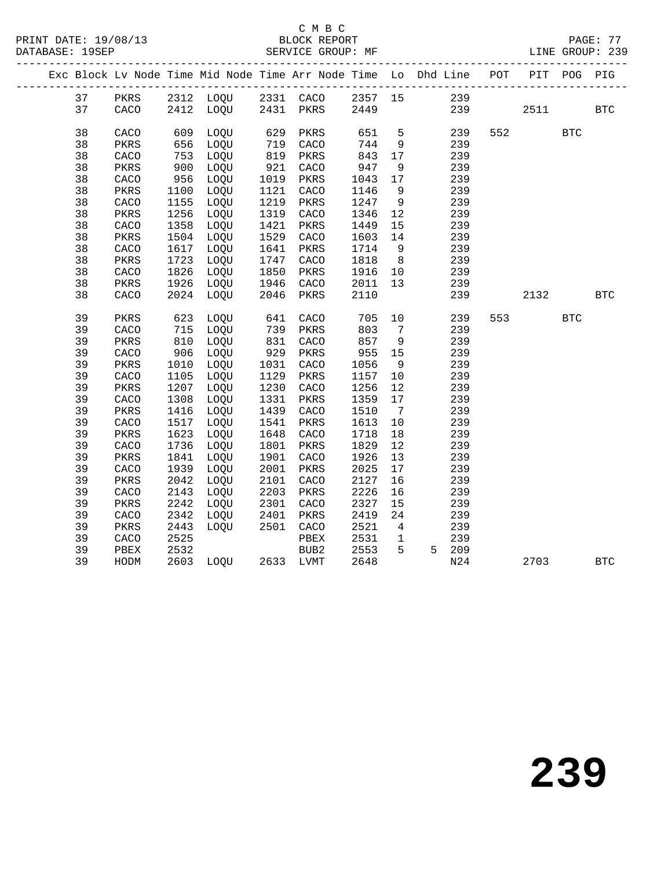#### C M B C<br>BLOCK REPORT

|  |          |      |      |                                  |                              |      |              |                 | Exc Block Lv Node Time Mid Node Time Arr Node Time Lo Dhd Line POT PIT POG PIG         |         |            |            |
|--|----------|------|------|----------------------------------|------------------------------|------|--------------|-----------------|----------------------------------------------------------------------------------------|---------|------------|------------|
|  |          |      |      |                                  |                              |      |              |                 |                                                                                        |         |            |            |
|  |          |      |      |                                  |                              |      |              |                 | 37 PKRS 2312 LOQU 2331 CACO 2357 15 239<br>37 CACO 2412 LOQU 2431 PKRS 2449 239<br>239 | 2511    |            | <b>BTC</b> |
|  | 38       | CACO |      | 609 LOQU                         |                              | PKRS | 651          | 5 <sub>5</sub>  | 239                                                                                    | 552     | <b>BTC</b> |            |
|  | 38       | PKRS | 656  | LOQU                             |                              | CACO | 744          | 9               | 239                                                                                    |         |            |            |
|  | 38       | CACO |      | 753 LOQU                         | 629<br>719<br>819            | PKRS | 843          | 17              | 239                                                                                    |         |            |            |
|  | 38       | PKRS | 900  | LOQU                             |                              | CACO | 947          | 9               | 239                                                                                    |         |            |            |
|  | 38       | CACO |      | $956$ LOQU                       |                              | PKRS | 1043         | 17              | 239                                                                                    |         |            |            |
|  | 38       | PKRS | 1100 | LOQU                             | 921<br>1019<br>1121          | CACO | 1146         | 9               | 239                                                                                    |         |            |            |
|  | 38       | CACO | 1155 | LOQU                             | ----<br>1219<br>1319<br>1421 | PKRS | 1247         | 9               | 239                                                                                    |         |            |            |
|  | 38       | PKRS | 1256 | LOQU                             |                              | CACO | 1346         | 12              | 239                                                                                    |         |            |            |
|  | 38       | CACO | 1358 | LOQU                             |                              | PKRS | 1449         | 15              | 239                                                                                    |         |            |            |
|  | 38       | PKRS |      | 1504 LOQU                        | 1529                         | CACO | 1603         | 14              | 239                                                                                    |         |            |            |
|  | 38       | CACO | 1617 | LOQU                             | 1641<br>1747                 | PKRS | 1714         | 9               | 239                                                                                    |         |            |            |
|  | 38       | PKRS | 1723 | LOQU                             |                              | CACO | 1818         | 8 <sup>8</sup>  | 239                                                                                    |         |            |            |
|  | 38       | CACO | 1826 | LOQU                             | 1850                         | PKRS | 1916         |                 | 10 239                                                                                 |         |            |            |
|  | 38       | PKRS | 1926 | LOQU                             | 1946<br>2046                 | CACO | 2011         | 13              | 239                                                                                    |         |            |            |
|  | 38       | CACO |      | 2024 LOQU                        |                              | PKRS | 2110         |                 | 239                                                                                    | 2132    |            | <b>BTC</b> |
|  | 39       | PKRS | 623  | LOQU                             | 641                          | CACO | 705          |                 | 10<br>239                                                                              | 553 200 | <b>BTC</b> |            |
|  | 39       | CACO |      | 715 LOQU                         |                              | PKRS | 803          | $7\overline{ }$ | 239                                                                                    |         |            |            |
|  | 39       | PKRS | 610  | LOQU                             | 739<br>831                   | CACO | 857          | 9               | 239                                                                                    |         |            |            |
|  | 39       | CACO | 906  | LOQU                             | 929                          | PKRS | 955          | 15              | 239                                                                                    |         |            |            |
|  | 39       | PKRS | 1010 | LOQU                             |                              | CACO | 1056         | 9               | 239                                                                                    |         |            |            |
|  | 39       | CACO | 1105 | LOQU                             | 1031<br>1129                 | PKRS | 1157         | 10              | 239                                                                                    |         |            |            |
|  | 39       | PKRS | 1207 | LOQU                             | 1230                         | CACO | 1256         | 12              | 239                                                                                    |         |            |            |
|  | 39       | CACO | 1308 | LOQU                             | 1331<br>1331<br>1439         | PKRS | 1359         | 17              | 239                                                                                    |         |            |            |
|  | 39       | PKRS | 1416 | LOQU                             |                              | CACO | 1510         | $7\overline{ }$ | 239                                                                                    |         |            |            |
|  | 39       | CACO | 1517 | LOQU                             | 1541                         | PKRS | 1613         | 10              | 239                                                                                    |         |            |            |
|  | 39       | PKRS | 1623 | LOQU                             | 1648<br>1801<br>1901         | CACO | 1718         | 18              | 239                                                                                    |         |            |            |
|  | 39       | CACO | 1736 | LOQU                             |                              | PKRS | 1829         | 12              | 239                                                                                    |         |            |            |
|  | 39       | PKRS | 1841 | LOQU                             |                              | CACO | 1926         | 13              | 239                                                                                    |         |            |            |
|  | 39       | CACO | 1939 | LOQU                             | 2001                         | PKRS | 2025         | 17              | 239                                                                                    |         |            |            |
|  | 39       | PKRS | 2042 | LOQU                             | 2101<br>2203                 | CACO | 2127         | 16              | 239                                                                                    |         |            |            |
|  | 39       | CACO | 2143 | LOQU                             |                              | PKRS | 2226         | 16              | 239                                                                                    |         |            |            |
|  | 39       | PKRS | 2242 | LOQU                             | 2301                         | CACO | 2327         | 15              | 239                                                                                    |         |            |            |
|  | 39       | CACO | 2342 | LOQU 2401<br>LOQU 2501           |                              | PKRS | 2419         | 24              | 239                                                                                    |         |            |            |
|  | 39       | PKRS | 2443 |                                  |                              | CACO | 2521         | $4\overline{4}$ | 239<br>$\mathbf 1$                                                                     |         |            |            |
|  | 39       | CACO | 2525 |                                  |                              | PBEX | 2531<br>2553 | 5 <sup>5</sup>  | 239                                                                                    |         |            |            |
|  | 39<br>39 | PBEX |      | 2532 BUB2<br>2603 LOQU 2633 LVMT |                              |      |              |                 | 5 209<br>N24                                                                           |         |            |            |
|  |          | HODM |      |                                  |                              |      | 2648         |                 |                                                                                        | 2703    |            | <b>BTC</b> |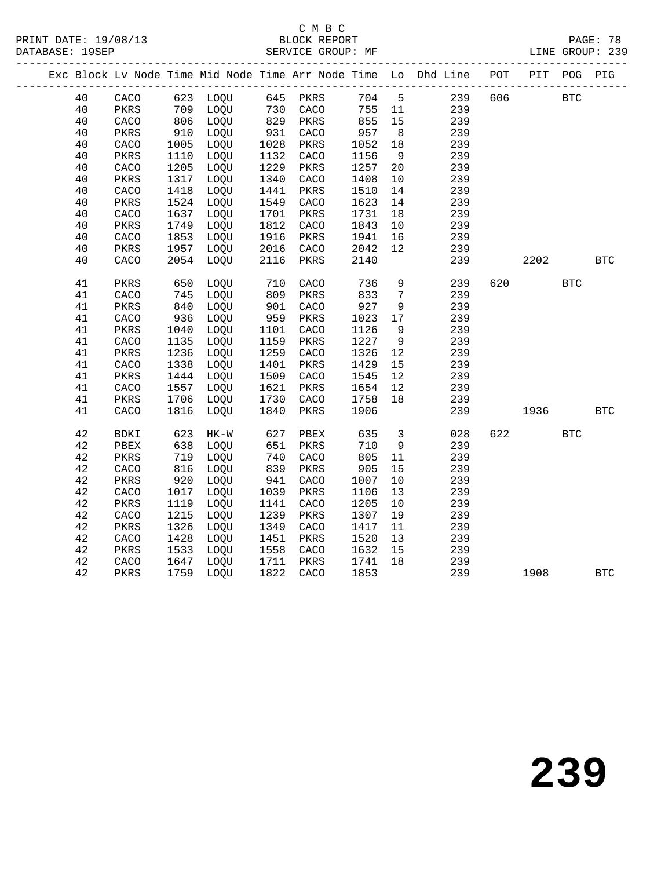#### C M B C<br>BLOCK REPORT SERVICE GROUP: MF

|  |    |              |                   |                        |                   |      |        |                         | Exc Block Lv Node Time Mid Node Time Arr Node Time Lo Dhd Line POT |     |                        | PIT POG PIG |              |
|--|----|--------------|-------------------|------------------------|-------------------|------|--------|-------------------------|--------------------------------------------------------------------|-----|------------------------|-------------|--------------|
|  | 40 |              |                   | CACO 623 LOQU 645 PKRS |                   |      | 704 5  |                         | 239                                                                | 606 |                        | <b>BTC</b>  |              |
|  | 40 | PKRS         |                   | 709 LOQU               | 730<br>829<br>931 | CACO | 755 11 |                         | 239                                                                |     |                        |             |              |
|  | 40 | CACO         | $0.0$ $910$ $0.5$ | LOQU                   |                   | PKRS | 855    | 15                      | 239                                                                |     |                        |             |              |
|  | 40 | PKRS         |                   | LOQU                   |                   | CACO | 957    | 8 <sup>8</sup>          | 239                                                                |     |                        |             |              |
|  | 40 | CACO         | 1005              | LOQU                   | 1028              | PKRS | 1052   | 18                      | 239                                                                |     |                        |             |              |
|  | 40 | PKRS         | 1110              | LOQU                   | 1132              | CACO | 1156   | 9                       | 239                                                                |     |                        |             |              |
|  | 40 | CACO         | 1205              | LOQU                   | 1229              | PKRS | 1257   | 20                      | 239                                                                |     |                        |             |              |
|  | 40 | PKRS         | 1317              | LOQU                   | 1340              | CACO | 1408   | 10                      | 239                                                                |     |                        |             |              |
|  | 40 | ${\tt CACO}$ | 1418              | LOQU                   | 1441              | PKRS | 1510   | 14                      | 239                                                                |     |                        |             |              |
|  | 40 | PKRS         | 1524              | LOQU                   | 1549              | CACO | 1623   | 14                      | 239                                                                |     |                        |             |              |
|  | 40 | CACO         | 1637              | LOQU                   | 1701              | PKRS | 1731   | 18                      | 239                                                                |     |                        |             |              |
|  | 40 | PKRS         | 1749              | LOQU                   | 1812              | CACO | 1843   | 10                      | 239                                                                |     |                        |             |              |
|  | 40 | CACO         | 1853              | LOQU                   | 1916              | PKRS | 1941   | 16                      | 239                                                                |     |                        |             |              |
|  | 40 | PKRS         | 1957              | LOQU                   | 2016              | CACO | 2042   | 12                      | 239                                                                |     |                        |             |              |
|  | 40 | CACO         | 2054              | LOQU                   | 2116              | PKRS | 2140   |                         | 239                                                                |     | 2202                   |             | $_{\rm BTC}$ |
|  | 41 | PKRS         | 650               | LOQU                   | 710               | CACO | 736    | 9                       | 239                                                                | 620 |                        | <b>BTC</b>  |              |
|  | 41 | CACO         | 745               | LOQU                   | 809<br>901        | PKRS | 833    | $7\overline{ }$         | 239                                                                |     |                        |             |              |
|  | 41 | PKRS         | 840               | LOQU                   |                   | CACO | 927    | 9                       | 239                                                                |     |                        |             |              |
|  | 41 | CACO         | 936               | LOQU                   | 959               | PKRS | 1023   | 17                      | 239                                                                |     |                        |             |              |
|  | 41 | PKRS         | 1040              | LOQU                   | 1101              | CACO | 1126   | 9                       | 239                                                                |     |                        |             |              |
|  | 41 | CACO         | 1135              | LOQU                   | 1159              | PKRS | 1227   | 9                       | 239                                                                |     |                        |             |              |
|  | 41 | PKRS         | 1236              | LOQU                   | 1259              | CACO | 1326   | 12                      | 239                                                                |     |                        |             |              |
|  | 41 | CACO         | 1338              | LOQU                   | 1401              | PKRS | 1429   | 15                      | 239                                                                |     |                        |             |              |
|  | 41 | PKRS         | 1444              | LOQU                   | 1509              | CACO | 1545   | 12                      | 239                                                                |     |                        |             |              |
|  | 41 | CACO         | 1557              | LOQU                   | 1621              | PKRS | 1654   | 12                      | 239                                                                |     |                        |             |              |
|  | 41 | PKRS         | 1706              | LOQU                   | 1730              | CACO | 1758   | 18                      | 239                                                                |     |                        |             |              |
|  | 41 | CACO         | 1816              | LOQU                   | 1840              | PKRS | 1906   |                         | 239                                                                |     | 1936                   |             | <b>BTC</b>   |
|  | 42 | BDKI         | 623               | $HK-W$                 | 627<br>651        | PBEX | 635    | $\overline{\mathbf{3}}$ | 028                                                                |     | 622 and $\overline{a}$ | <b>BTC</b>  |              |
|  | 42 | PBEX         | 638               | LOQU                   |                   | PKRS | 710    | 9                       | 239                                                                |     |                        |             |              |
|  | 42 | PKRS         | 719               | LOQU                   | 740               | CACO | 805    | 11                      | 239                                                                |     |                        |             |              |
|  | 42 | CACO         | 816               | LOQU                   | 839               | PKRS | 905    | 15                      | 239                                                                |     |                        |             |              |
|  | 42 | PKRS         | 920               | LOQU                   | 941               | CACO | 1007   | 10                      | 239                                                                |     |                        |             |              |
|  | 42 | CACO         | 1017              | LOQU                   | 1039              | PKRS | 1106   | 13                      | 239                                                                |     |                        |             |              |
|  | 42 | PKRS         | 1119              | LOQU                   | 1141              | CACO | 1205   | 10                      | 239                                                                |     |                        |             |              |
|  | 42 | CACO         | 1215              | LOQU                   | 1239              | PKRS | 1307   | 19                      | 239                                                                |     |                        |             |              |
|  | 42 | PKRS         | 1326              | LOQU                   | 1349              | CACO | 1417   | 11                      | 239                                                                |     |                        |             |              |
|  | 42 | CACO         | 1428              | LOQU                   | 1451              | PKRS | 1520   | 13                      | 239                                                                |     |                        |             |              |
|  | 42 | PKRS         | 1533              | LOQU                   | 1558              | CACO | 1632   | 15                      | 239                                                                |     |                        |             |              |
|  | 42 | CACO         | 1647              | LOQU                   | 1711              | PKRS | 1741   | 18                      | 239                                                                |     |                        |             |              |
|  | 42 | PKRS         | 1759              | LOQU                   | 1822              | CACO | 1853   |                         | 239                                                                |     | 1908                   |             | <b>BTC</b>   |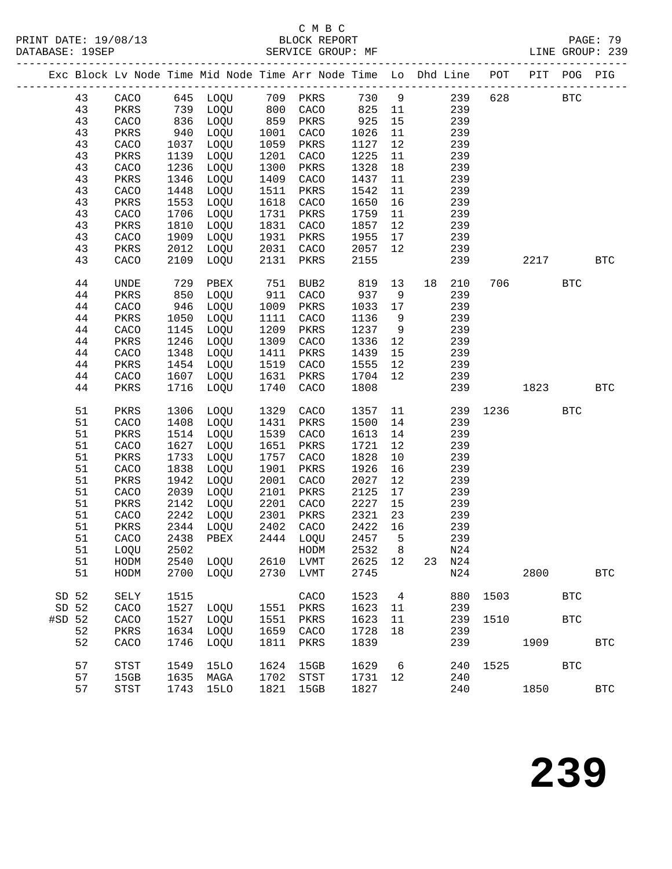PRINT DATE: 19/08/13 BLOCK REPORT<br>DATABASE: 19SEP SERVICE GROUP: MF

### C M B C<br>BLOCK REPORT

PAGE: 79<br>LINE GROUP: 239

|        |    |             |      |                   |      | Exc Block Lv Node Time Mid Node Time Arr Node Time Lo Dhd Line POT PIT POG |      |    |    |     | --------------------- |      |            | PIG          |
|--------|----|-------------|------|-------------------|------|----------------------------------------------------------------------------|------|----|----|-----|-----------------------|------|------------|--------------|
|        | 43 | CACO        |      | 645 LOQU 709 PKRS |      |                                                                            | 730  | 9  |    | 239 | 628                   |      | <b>BTC</b> |              |
|        | 43 | PKRS        |      | 739 LOQU          | 800  | CACO                                                                       | 825  | 11 |    | 239 |                       |      |            |              |
|        | 43 | CACO        | 836  | LOQU              | 859  | PKRS                                                                       | 925  | 15 |    | 239 |                       |      |            |              |
|        | 43 | PKRS        | 940  | LOQU              | 1001 | CACO                                                                       | 1026 | 11 |    | 239 |                       |      |            |              |
|        | 43 | CACO        | 1037 | LOQU              | 1059 | PKRS                                                                       | 1127 | 12 |    | 239 |                       |      |            |              |
|        | 43 | PKRS        | 1139 | LOQU              | 1201 | CACO                                                                       | 1225 | 11 |    | 239 |                       |      |            |              |
|        | 43 | CACO        | 1236 | LOQU              | 1300 | PKRS                                                                       | 1328 | 18 |    | 239 |                       |      |            |              |
|        | 43 | PKRS        | 1346 | LOQU              | 1409 | CACO                                                                       | 1437 | 11 |    | 239 |                       |      |            |              |
|        | 43 | CACO        | 1448 | LOQU              | 1511 | PKRS                                                                       | 1542 | 11 |    | 239 |                       |      |            |              |
|        | 43 | PKRS        | 1553 | LOQU              | 1618 | CACO                                                                       | 1650 | 16 |    | 239 |                       |      |            |              |
|        | 43 | CACO        | 1706 | LOQU              | 1731 | PKRS                                                                       | 1759 | 11 |    | 239 |                       |      |            |              |
|        | 43 | PKRS        | 1810 | LOQU              | 1831 | CACO                                                                       | 1857 | 12 |    | 239 |                       |      |            |              |
|        | 43 | CACO        | 1909 | LOQU              | 1931 | PKRS                                                                       | 1955 | 17 |    | 239 |                       |      |            |              |
|        | 43 | PKRS        | 2012 | LOQU              | 2031 | CACO                                                                       | 2057 | 12 |    | 239 |                       |      |            |              |
|        | 43 | CACO        | 2109 | LOQU              | 2131 | PKRS                                                                       | 2155 |    |    | 239 |                       | 2217 |            | <b>BTC</b>   |
|        |    |             |      |                   |      |                                                                            |      |    |    |     |                       |      |            |              |
|        | 44 | <b>UNDE</b> | 729  | PBEX              | 751  | BUB2                                                                       | 819  | 13 | 18 | 210 | 706                   |      | <b>BTC</b> |              |
|        | 44 | PKRS        | 850  | LOQU              | 911  | CACO                                                                       | 937  | 9  |    | 239 |                       |      |            |              |
|        | 44 | CACO        | 946  | LOQU              | 1009 | PKRS                                                                       | 1033 | 17 |    | 239 |                       |      |            |              |
|        | 44 | PKRS        | 1050 | LOQU              | 1111 | CACO                                                                       | 1136 | 9  |    | 239 |                       |      |            |              |
|        | 44 | CACO        | 1145 | LOQU              | 1209 | PKRS                                                                       | 1237 | 9  |    | 239 |                       |      |            |              |
|        | 44 | PKRS        | 1246 | LOQU              | 1309 | CACO                                                                       | 1336 | 12 |    | 239 |                       |      |            |              |
|        | 44 | CACO        | 1348 | LOQU              | 1411 | PKRS                                                                       | 1439 | 15 |    | 239 |                       |      |            |              |
|        | 44 | PKRS        | 1454 | LOQU              | 1519 | CACO                                                                       | 1555 | 12 |    | 239 |                       |      |            |              |
|        | 44 | CACO        | 1607 | LOQU              | 1631 | PKRS                                                                       | 1704 | 12 |    | 239 |                       |      |            |              |
|        | 44 | PKRS        | 1716 | LOQU              | 1740 | CACO                                                                       | 1808 |    |    | 239 |                       | 1823 |            | <b>BTC</b>   |
|        |    |             |      |                   |      |                                                                            |      |    |    |     |                       |      |            |              |
|        | 51 | PKRS        | 1306 | LOQU              | 1329 | CACO                                                                       | 1357 | 11 |    | 239 | 1236                  |      | <b>BTC</b> |              |
|        | 51 | CACO        | 1408 | LOQU              | 1431 | PKRS                                                                       | 1500 | 14 |    | 239 |                       |      |            |              |
|        | 51 | PKRS        | 1514 | LOQU              | 1539 | CACO                                                                       | 1613 | 14 |    | 239 |                       |      |            |              |
|        | 51 | CACO        | 1627 | LOQU              | 1651 | PKRS                                                                       | 1721 | 12 |    | 239 |                       |      |            |              |
|        | 51 | PKRS        | 1733 | LOQU              | 1757 | CACO                                                                       | 1828 | 10 |    | 239 |                       |      |            |              |
|        | 51 | CACO        | 1838 | LOQU              | 1901 | PKRS                                                                       | 1926 | 16 |    | 239 |                       |      |            |              |
|        | 51 | PKRS        | 1942 | LOQU              | 2001 | CACO                                                                       | 2027 | 12 |    | 239 |                       |      |            |              |
|        | 51 | CACO        | 2039 | LOQU              | 2101 | PKRS                                                                       | 2125 | 17 |    | 239 |                       |      |            |              |
|        | 51 | PKRS        | 2142 | LOQU              | 2201 | CACO                                                                       | 2227 | 15 |    | 239 |                       |      |            |              |
|        | 51 | CACO        | 2242 | LOQU              | 2301 | PKRS                                                                       | 2321 | 23 |    | 239 |                       |      |            |              |
|        | 51 | PKRS        | 2344 | LOQU              | 2402 | CACO                                                                       | 2422 | 16 |    | 239 |                       |      |            |              |
|        | 51 | CACO        | 2438 | PBEX              |      | 2444 LOQU                                                                  | 2457 | 5  |    | 239 |                       |      |            |              |
|        | 51 | LOQU        | 2502 |                   |      | HODM                                                                       | 2532 | 8  |    | N24 |                       |      |            |              |
|        | 51 | HODM        | 2540 | LOOU              | 2610 | LVMT                                                                       | 2625 | 12 | 23 | N24 |                       |      |            |              |
|        | 51 | HODM        | 2700 | LOQU              | 2730 | LVMT                                                                       | 2745 |    |    | N24 |                       | 2800 |            | $_{\rm BTC}$ |
|        |    |             |      |                   |      |                                                                            |      |    |    |     |                       |      |            |              |
| SD 52  |    | SELY        | 1515 |                   |      | CACO                                                                       | 1523 | 4  |    | 880 | 1503                  |      | <b>BTC</b> |              |
| SD 52  |    | CACO        | 1527 | LOQU              | 1551 | PKRS                                                                       | 1623 | 11 |    | 239 |                       |      |            |              |
| #SD 52 |    | CACO        | 1527 | LOQU              | 1551 | PKRS                                                                       | 1623 | 11 |    | 239 | 1510                  |      | BTC        |              |
|        | 52 | PKRS        | 1634 | LOQU              | 1659 | CACO                                                                       | 1728 | 18 |    | 239 |                       |      |            |              |
|        | 52 | CACO        | 1746 | LOQU              | 1811 | PKRS                                                                       | 1839 |    |    | 239 |                       | 1909 |            | <b>BTC</b>   |
|        | 57 | <b>STST</b> | 1549 | <b>15LO</b>       | 1624 | 15GB                                                                       | 1629 | 6  |    | 240 | 1525                  |      | <b>BTC</b> |              |
|        | 57 | 15GB        | 1635 | MAGA              | 1702 | STST                                                                       | 1731 | 12 |    | 240 |                       |      |            |              |
|        |    |             |      |                   |      |                                                                            |      |    |    |     |                       |      |            |              |

57 STST 1743 15LO 1821 15GB 1827 240 1850 BTC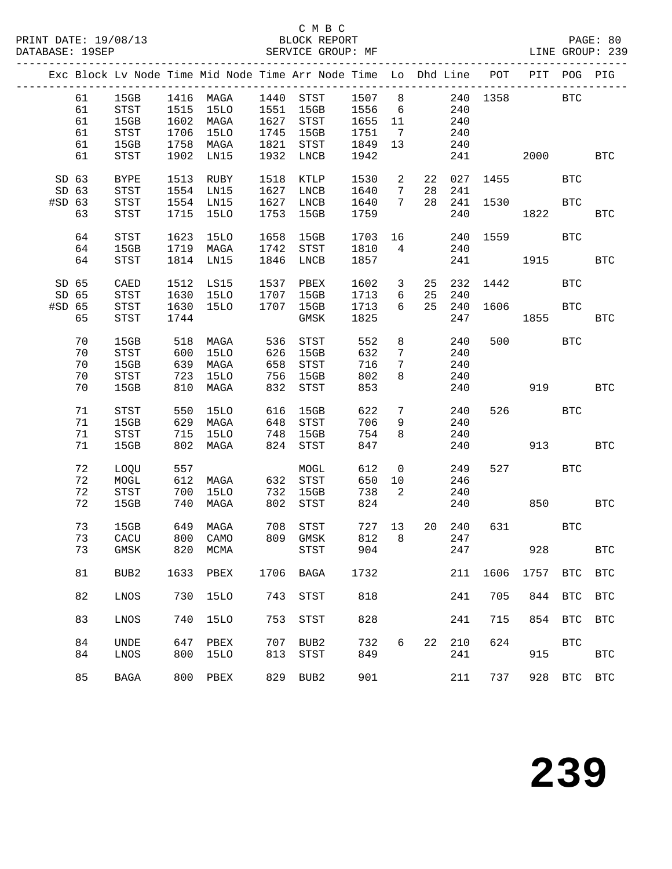#### C M B C<br>BLOCK REPORT

| DATABASE: 19SEP |       |                                       |      |                   |      | SERVICE GROUP: MF                                                  |      |                 |    |        |           |          |            | LINE GROUP: 239      |
|-----------------|-------|---------------------------------------|------|-------------------|------|--------------------------------------------------------------------|------|-----------------|----|--------|-----------|----------|------------|----------------------|
|                 |       |                                       |      |                   |      | Exc Block Lv Node Time Mid Node Time Arr Node Time Lo Dhd Line POT |      |                 |    |        |           | PIT      | POG        | PIG                  |
|                 | 61    | 15GB                                  |      | 1416 MAGA         |      | 1440 STST                                                          | 1507 | 8 <sup>8</sup>  |    |        | 240 1358  |          | <b>BTC</b> |                      |
|                 | 61    | STST                                  | 1515 | 15LO              |      | 1551 15GB                                                          | 1556 | 6               |    | 240    |           |          |            |                      |
|                 | 61    | 15GB                                  | 1602 | MAGA              |      | 1627 STST                                                          | 1655 | 11              |    | 240    |           |          |            |                      |
|                 | 61    | STST                                  | 1706 | 15LO              |      | 1745 15GB                                                          | 1751 | $\overline{7}$  |    | 240    |           |          |            |                      |
|                 | 61    | 15GB                                  | 1758 | MAGA              |      | 1821 STST                                                          | 1849 | 13 <sup>°</sup> |    | 240    |           |          |            |                      |
|                 | 61    | STST                                  | 1902 | LN15              | 1932 | LNCB                                                               | 1942 |                 |    | 241    |           | 2000 000 |            | <b>BTC</b>           |
|                 | SD 63 | <b>BYPE</b>                           | 1513 | RUBY              | 1518 | KTLP                                                               | 1530 | 2               | 22 | 027    | 1455      |          | <b>BTC</b> |                      |
|                 | SD 63 | STST                                  | 1554 | LN15              | 1627 | LNCB                                                               | 1640 | $7\phantom{.0}$ | 28 | 241    |           |          |            |                      |
| #SD 63          |       | STST                                  | 1554 | LN15              | 1627 | LNCB                                                               | 1640 | $7\overline{ }$ | 28 | 241    | 1530      |          | <b>BTC</b> |                      |
|                 | 63    | STST                                  | 1715 | 15LO              | 1753 | 15GB                                                               | 1759 |                 |    | 240    |           | 1822     |            | <b>BTC</b>           |
|                 | 64    | <b>STST</b>                           | 1623 | 15LO              | 1658 | 15GB                                                               | 1703 | 16              |    | 240    | 1559      |          | <b>BTC</b> |                      |
|                 | 64    | 15GB                                  | 1719 | MAGA              | 1742 | STST                                                               | 1810 | $\overline{4}$  |    | 240    |           |          |            |                      |
|                 |       |                                       |      |                   |      |                                                                    |      |                 |    |        |           |          |            |                      |
|                 | 64    | <b>STST</b>                           | 1814 | LN15              | 1846 | LNCB                                                               | 1857 |                 |    | 241    |           | 1915     |            | <b>BTC</b>           |
| SD 65           |       | CAED                                  | 1512 | LS15              |      | 1537 PBEX                                                          | 1602 | $\overline{3}$  | 25 | 232    | 1442      |          | BTC        |                      |
|                 | SD 65 | STST                                  | 1630 | 15LO              | 1707 | 15GB                                                               | 1713 | 6               | 25 | 240    |           |          |            |                      |
| #SD 65          |       | STST                                  | 1630 | 15LO              | 1707 | 15GB                                                               | 1713 | 6               | 25 | 240    | 1606      |          | <b>BTC</b> |                      |
|                 | 65    | STST                                  | 1744 |                   |      | GMSK                                                               | 1825 |                 |    | 247    |           | 1855     |            | <b>BTC</b>           |
|                 | 70    | 15GB                                  | 518  | MAGA              | 536  | STST                                                               | 552  | 8               |    | 240    | 500       |          | BTC        |                      |
|                 | 70    | STST                                  | 600  | 15LO              |      | 626 15GB                                                           | 632  | 7               |    | 240    |           |          |            |                      |
|                 | 70    | 15GB                                  | 639  | MAGA              | 658  | STST                                                               | 716  | 7               |    | 240    |           |          |            |                      |
|                 | 70    | STST                                  | 723  | 15LO              | 756  | 15GB                                                               | 802  | 8               |    | 240    |           |          |            |                      |
|                 | 70    | 15GB                                  | 810  | MAGA              | 832  | STST                                                               | 853  |                 |    | 240    |           | 919      |            | <b>BTC</b>           |
|                 | 71    | STST                                  | 550  | 15LO              | 616  | 15GB                                                               | 622  | $7\phantom{.}$  |    | 240    | 526       |          | <b>BTC</b> |                      |
|                 |       |                                       |      |                   |      |                                                                    |      |                 |    |        |           |          |            |                      |
|                 | 71    | 15GB                                  | 629  | MAGA              | 648  | STST                                                               | 706  | 9               |    | 240    |           |          |            |                      |
|                 | 71    | STST                                  | 715  | 15LO              | 748  | 15GB                                                               | 754  | 8               |    | 240    |           |          |            |                      |
|                 | 71    | 15GB                                  | 802  | MAGA              | 824  | STST                                                               | 847  |                 |    | 240    |           | 913      |            | <b>BTC</b>           |
|                 | 72    | LOQU                                  | 557  |                   |      | MOGL                                                               | 612  | $\overline{0}$  |    | 249    | 527       |          | <b>BTC</b> |                      |
|                 | 72    | MOGL                                  | 612  | MAGA              |      | 632 STST                                                           | 650  | 10              |    | 246    |           |          |            |                      |
|                 | 72    | $_{\footnotesize{\textnormal{STST}}}$ | 700  | 15LO              | 732  | 15GB                                                               | 738  | 2               |    | 240    |           |          |            |                      |
|                 | 72    | 15GB                                  | 740  | MAGA              | 802  | STST                                                               | 824  |                 |    | 240    |           | 850      |            | <b>BTC</b>           |
|                 | 73    | 15GB                                  | 649  | MAGA              |      | 708 STST                                                           |      | 727 13          |    | 20 240 |           | 631 63   | <b>BTC</b> |                      |
|                 |       | 73 CACU                               |      | 800 CAMO 809 GMSK |      |                                                                    |      |                 |    |        | 812 8 247 |          |            |                      |
|                 | 73    | GMSK                                  | 820  | MCMA              |      | STST                                                               | 904  |                 |    | 247    |           | 928      |            | $\operatorname{BTC}$ |
|                 | 81    | BUB2                                  | 1633 | PBEX              | 1706 | BAGA                                                               | 1732 |                 |    | 211    | 1606      | 1757     | <b>BTC</b> | <b>BTC</b>           |
|                 | 82    | LNOS                                  | 730  | 15LO              | 743  | <b>STST</b>                                                        | 818  |                 |    | 241    | 705       | 844      | <b>BTC</b> | $_{\rm BTC}$         |
|                 | 83    | LNOS                                  | 740  | <b>15LO</b>       | 753  | <b>STST</b>                                                        | 828  |                 |    | 241    | 715       | 854      | <b>BTC</b> | <b>BTC</b>           |
|                 | 84    | <b>UNDE</b>                           | 647  | PBEX              | 707  | BUB <sub>2</sub>                                                   | 732  | 6               | 22 | 210    | 624       |          | <b>BTC</b> |                      |
|                 |       |                                       |      |                   |      |                                                                    | 849  |                 |    |        |           |          |            |                      |
|                 | 84    | LNOS                                  | 800  | <b>15LO</b>       | 813  | STST                                                               |      |                 |    | 241    |           | 915      |            | $_{\rm BTC}$         |
|                 | 85    | <b>BAGA</b>                           | 800  | PBEX              | 829  | BUB <sub>2</sub>                                                   | 901  |                 |    | 211    | 737       | 928      | <b>BTC</b> | $_{\rm BTC}$         |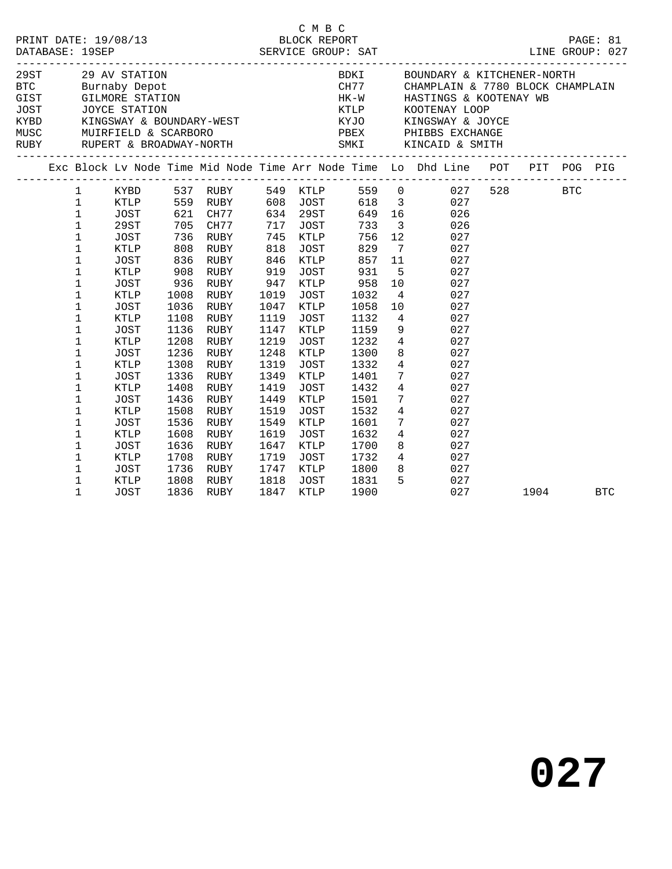| C M B C<br>PRINT DATE: 19/08/13 BLOCK REPORT PAGE: 81<br>DATABASE: 19SEP SERVICE GROUP: SAT LINE GROUP: 027 |                                                                                                                                                                                                                                                                                              |                                                                                                                                                                                                                                            |                                                                                                                                                                                       |                                                                                                                                                                                                          |                                                                                                                                                                                                     |                                                                                                                                                                                                                                                       |                                                                                                                                                                                       |                                                                                                                                                                                                                                                                                                         |                                                                                                                                                                                                                                                                                                                                                                                                                                                                                                                                                  |         |            |
|-------------------------------------------------------------------------------------------------------------|----------------------------------------------------------------------------------------------------------------------------------------------------------------------------------------------------------------------------------------------------------------------------------------------|--------------------------------------------------------------------------------------------------------------------------------------------------------------------------------------------------------------------------------------------|---------------------------------------------------------------------------------------------------------------------------------------------------------------------------------------|----------------------------------------------------------------------------------------------------------------------------------------------------------------------------------------------------------|-----------------------------------------------------------------------------------------------------------------------------------------------------------------------------------------------------|-------------------------------------------------------------------------------------------------------------------------------------------------------------------------------------------------------------------------------------------------------|---------------------------------------------------------------------------------------------------------------------------------------------------------------------------------------|---------------------------------------------------------------------------------------------------------------------------------------------------------------------------------------------------------------------------------------------------------------------------------------------------------|--------------------------------------------------------------------------------------------------------------------------------------------------------------------------------------------------------------------------------------------------------------------------------------------------------------------------------------------------------------------------------------------------------------------------------------------------------------------------------------------------------------------------------------------------|---------|------------|
|                                                                                                             |                                                                                                                                                                                                                                                                                              |                                                                                                                                                                                                                                            |                                                                                                                                                                                       |                                                                                                                                                                                                          |                                                                                                                                                                                                     |                                                                                                                                                                                                                                                       |                                                                                                                                                                                       |                                                                                                                                                                                                                                                                                                         | $\begin{tabular}{lllllllllllllllllll} \multicolumn{3}{c }{29\text{ A}V & STATION} \multicolumn{3}{c }{29\text{ A}V & STATION} \multicolumn{3}{c }{BDC} \multicolumn{3}{c }{BURI} \multicolumn{3}{c }{BDKI} \multicolumn{3}{c }{BDKI} \multicolumn{3}{c }{BDKI} \multicolumn{3}{c }{BDKI} \multicolumn{3}{c }{GIST} \multicolumn{3}{c }{GIST} \multicolumn{3}{c }{GIST} \multicolumn{3}{c }{GIST} \multicolumn{3}{c }{GIST} \multicolumn{3}{c }{GIST$<br>BOUNDARY & KITCHENER-NORTH<br>CHAMPLAIN & 7780 BLOCK CHAMPLAIN<br>HASTINGS & KOOTENAY WB |         |            |
|                                                                                                             |                                                                                                                                                                                                                                                                                              |                                                                                                                                                                                                                                            |                                                                                                                                                                                       |                                                                                                                                                                                                          |                                                                                                                                                                                                     |                                                                                                                                                                                                                                                       |                                                                                                                                                                                       |                                                                                                                                                                                                                                                                                                         | Exc Block Lv Node Time Mid Node Time Arr Node Time Lo Dhd Line POT PIT POG PIG                                                                                                                                                                                                                                                                                                                                                                                                                                                                   |         |            |
|                                                                                                             | $\mathbf{1}$<br>$\mathbf{1}$<br>$\mathbf 1$<br>$\mathbf 1$<br>$\mathbf{1}$<br>$\mathbf 1$<br>$\mathbf{1}$<br>1<br>$\mathbf 1$<br>$\mathbf 1$<br>1<br>$1\,$<br>$\mathbf 1$<br>$\mathbf 1$<br>$1\,$<br>1<br>1<br>$\mathbf 1$<br>$1\,$<br>$\mathbf 1$<br>$1\,$<br>1<br>1<br>1<br>$1\,$<br>$1\,$ | KYBD 537 RUBY<br>KTLP<br>JOST<br>29ST<br>JOST<br>KTLP<br>JOST<br>KTLP<br>JOST<br>KTLP<br>JOST<br>KTLP<br><b>JOST</b><br>KTLP<br>JOST<br>KTLP<br>JOST<br>KTLP<br><b>JOST</b><br>KTLP<br><b>JOST</b><br>KTLP<br>JOST<br>KTLP<br>JOST<br>KTLP | 621<br>705<br>736<br>808<br>836<br>908<br>936<br>1008<br>1036<br>1108<br>1136<br>1208<br>1236<br>1308<br>1336<br>1408<br>1436<br>1508<br>1536<br>1608<br>1636<br>1708<br>1736<br>1808 | 559 RUBY<br>CH77<br>CH77<br>RUBY<br>RUBY<br>RUBY<br>RUBY<br>RUBY<br>RUBY<br>RUBY<br>RUBY<br>RUBY<br>RUBY<br>RUBY<br>RUBY<br>RUBY<br>RUBY<br>RUBY<br>RUBY<br>RUBY<br>RUBY<br>RUBY<br>RUBY<br>RUBY<br>RUBY | 549<br>608<br>634<br>717<br>745<br>818<br>846<br>919<br>947<br>1019<br>1047<br>1119<br>1147<br>1219<br>1248<br>1319<br>1349<br>1419<br>1449<br>1519<br>1549<br>1619<br>1647<br>1719<br>1747<br>1818 | <b>KTLP</b><br>JOST<br>29ST<br>JOST<br>KTLP<br>JOST<br>KTLP<br>JOST<br>KTLP<br>JOST<br>KTLP<br>JOST<br>KTLP<br>JOST<br>KTLP<br><b>JOST</b><br><b>KTLP</b><br><b>JOST</b><br>KTLP<br><b>JOST</b><br>KTLP<br><b>JOST</b><br>KTLP<br><b>JOST</b><br>KTLP | 649<br>733<br>756<br>829<br>857<br>931<br>958<br>1032<br>1058<br>1132<br>1159<br>1232<br>1300<br>1332<br>1401<br>1432<br>1501<br>1532<br>1601<br>1632<br>1700<br>1732<br>1800<br>1831 | $\overline{\mathbf{3}}$<br>12 <sup>°</sup><br>$7\overline{ }$<br>11<br>5<br>10<br>$\overline{4}$<br>10<br>$4\overline{ }$<br>9<br>$4\overline{ }$<br>8<br>$4\overline{ }$<br>$7\overline{ }$<br>$\overline{4}$<br>7 <sup>7</sup><br>$\overline{4}$<br>$7\overline{ }$<br>$4\overline{ }$<br>8<br>8<br>5 | 559 0 027<br>618 3<br>027<br>16 10<br>026<br>026<br>027<br>027<br>027<br>027<br>027<br>027<br>027<br>027<br>027<br>027<br>027<br>027<br>027<br>027<br>027<br>027<br>027<br>027<br>027<br>$4\overline{ }$<br>027<br>027<br>027                                                                                                                                                                                                                                                                                                                    | 528 BTC |            |
|                                                                                                             | 1                                                                                                                                                                                                                                                                                            | <b>JOST</b>                                                                                                                                                                                                                                | 1836                                                                                                                                                                                  | RUBY                                                                                                                                                                                                     | 1847                                                                                                                                                                                                | JOST<br>KTLP                                                                                                                                                                                                                                          | 1900                                                                                                                                                                                  |                                                                                                                                                                                                                                                                                                         | 027                                                                                                                                                                                                                                                                                                                                                                                                                                                                                                                                              | 1904    | <b>BTC</b> |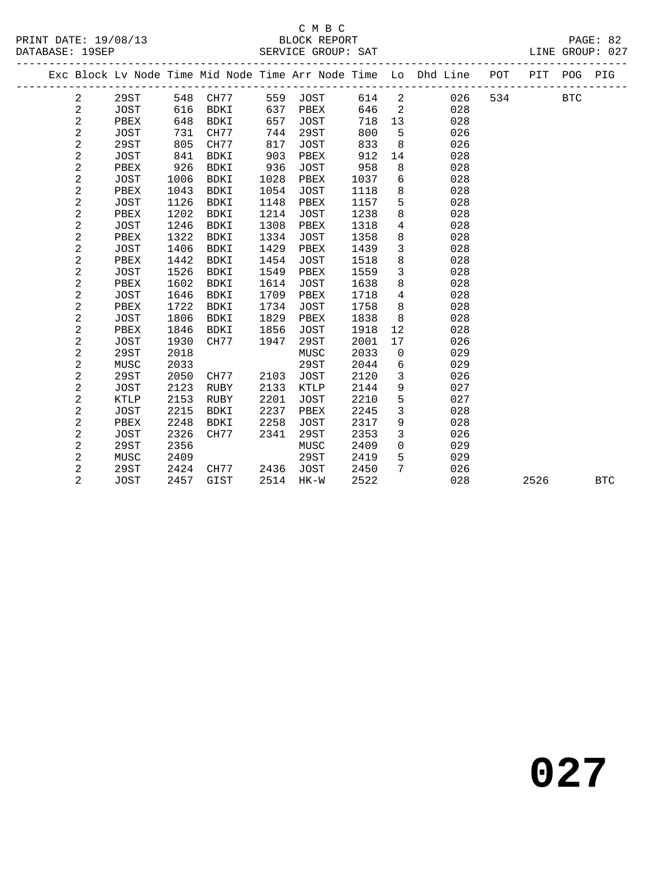#### C M B C<br>BLOCK REPORT

|  |                         |             |      |             |      |             |      |                | Exc Block Lv Node Time Mid Node Time Arr Node Time Lo Dhd Line | POT | PIT  | POG        | PIG        |
|--|-------------------------|-------------|------|-------------|------|-------------|------|----------------|----------------------------------------------------------------|-----|------|------------|------------|
|  | 2                       | 29ST        |      | 548 CH77    |      | 559 JOST    | 614  | 2              | 026                                                            | 534 |      | <b>BTC</b> |            |
|  | $\overline{\mathbf{c}}$ | JOST        | 616  | BDKI        | 637  | PBEX        | 646  | 2              | 028                                                            |     |      |            |            |
|  | $\sqrt{2}$              | PBEX        | 648  | BDKI        | 657  | <b>JOST</b> | 718  | 13             | 028                                                            |     |      |            |            |
|  | $\sqrt{2}$              | <b>JOST</b> | 731  | CH77        | 744  | 29ST        | 800  | 5              | 026                                                            |     |      |            |            |
|  | $\sqrt{2}$              | 29ST        | 805  | CH77        | 817  | <b>JOST</b> | 833  | 8              | 026                                                            |     |      |            |            |
|  | $\sqrt{2}$              | <b>JOST</b> | 841  | BDKI        | 903  | PBEX        | 912  | 14             | 028                                                            |     |      |            |            |
|  | $\sqrt{2}$              | PBEX        | 926  | <b>BDKI</b> | 936  | JOST        | 958  | 8              | 028                                                            |     |      |            |            |
|  | $\sqrt{2}$              | <b>JOST</b> | 1006 | BDKI        | 1028 | PBEX        | 1037 | 6              | 028                                                            |     |      |            |            |
|  | $\sqrt{2}$              | PBEX        | 1043 | <b>BDKI</b> | 1054 | <b>JOST</b> | 1118 | 8              | 028                                                            |     |      |            |            |
|  | $\overline{\mathbf{c}}$ | <b>JOST</b> | 1126 | <b>BDKI</b> | 1148 | PBEX        | 1157 | 5              | 028                                                            |     |      |            |            |
|  | $\overline{a}$          | PBEX        | 1202 | BDKI        | 1214 | <b>JOST</b> | 1238 | 8              | 028                                                            |     |      |            |            |
|  | $\overline{a}$          | <b>JOST</b> | 1246 | BDKI        | 1308 | PBEX        | 1318 | $\overline{4}$ | 028                                                            |     |      |            |            |
|  | $\overline{\mathbf{c}}$ | PBEX        | 1322 | <b>BDKI</b> | 1334 | <b>JOST</b> | 1358 | 8              | 028                                                            |     |      |            |            |
|  | $\overline{a}$          | <b>JOST</b> | 1406 | BDKI        | 1429 | PBEX        | 1439 | $\mathbf{3}$   | 028                                                            |     |      |            |            |
|  | $\sqrt{2}$              | PBEX        | 1442 | <b>BDKI</b> | 1454 | <b>JOST</b> | 1518 | 8              | 028                                                            |     |      |            |            |
|  | $\overline{\mathbf{c}}$ | <b>JOST</b> | 1526 | <b>BDKI</b> | 1549 | PBEX        | 1559 | $\mathbf{3}$   | 028                                                            |     |      |            |            |
|  | $\sqrt{2}$              | PBEX        | 1602 | BDKI        | 1614 | <b>JOST</b> | 1638 | 8              | 028                                                            |     |      |            |            |
|  | $\mathbf 2$             | <b>JOST</b> | 1646 | BDKI        | 1709 | PBEX        | 1718 | $\overline{4}$ | 028                                                            |     |      |            |            |
|  | $\mathbf 2$             | PBEX        | 1722 | <b>BDKI</b> | 1734 | <b>JOST</b> | 1758 | 8              | 028                                                            |     |      |            |            |
|  | $\sqrt{2}$              | JOST        | 1806 | BDKI        | 1829 | PBEX        | 1838 | 8              | 028                                                            |     |      |            |            |
|  | 2                       | PBEX        | 1846 | BDKI        | 1856 | <b>JOST</b> | 1918 | 12             | 028                                                            |     |      |            |            |
|  | $\sqrt{2}$              | <b>JOST</b> | 1930 | CH77        | 1947 | 29ST        | 2001 | 17             | 026                                                            |     |      |            |            |
|  | $\sqrt{2}$              | 29ST        | 2018 |             |      | MUSC        | 2033 | 0              | 029                                                            |     |      |            |            |
|  | $\sqrt{2}$              | MUSC        | 2033 |             |      | <b>29ST</b> | 2044 | 6              | 029                                                            |     |      |            |            |
|  | $\overline{c}$          | 29ST        | 2050 | CH77        | 2103 | JOST        | 2120 | 3              | 026                                                            |     |      |            |            |
|  | $\mathbf 2$             | JOST        | 2123 | RUBY        | 2133 | KTLP        | 2144 | 9              | 027                                                            |     |      |            |            |
|  | $\mathbf 2$             | <b>KTLP</b> | 2153 | <b>RUBY</b> | 2201 | JOST        | 2210 | 5              | 027                                                            |     |      |            |            |
|  | $\overline{c}$          | <b>JOST</b> | 2215 | <b>BDKI</b> | 2237 | PBEX        | 2245 | $\mathfrak{Z}$ | 028                                                            |     |      |            |            |
|  | $\overline{\mathbf{c}}$ | PBEX        | 2248 | BDKI        | 2258 | JOST        | 2317 | 9              | 028                                                            |     |      |            |            |
|  | $\mathbf 2$             | <b>JOST</b> | 2326 | CH77        | 2341 | 29ST        | 2353 | $\mathbf{3}$   | 026                                                            |     |      |            |            |
|  | $\overline{\mathbf{c}}$ | 29ST        | 2356 |             |      | MUSC        | 2409 | $\mathbf 0$    | 029                                                            |     |      |            |            |
|  | $\sqrt{2}$              | MUSC        | 2409 |             |      | 29ST        | 2419 | 5              | 029                                                            |     |      |            |            |
|  | 2                       | 29ST        | 2424 | CH77        | 2436 | JOST        | 2450 | 7              | 026                                                            |     |      |            |            |
|  | $\overline{2}$          | <b>JOST</b> | 2457 | GIST        | 2514 | $HK-W$      | 2522 |                | 028                                                            |     | 2526 |            | <b>BTC</b> |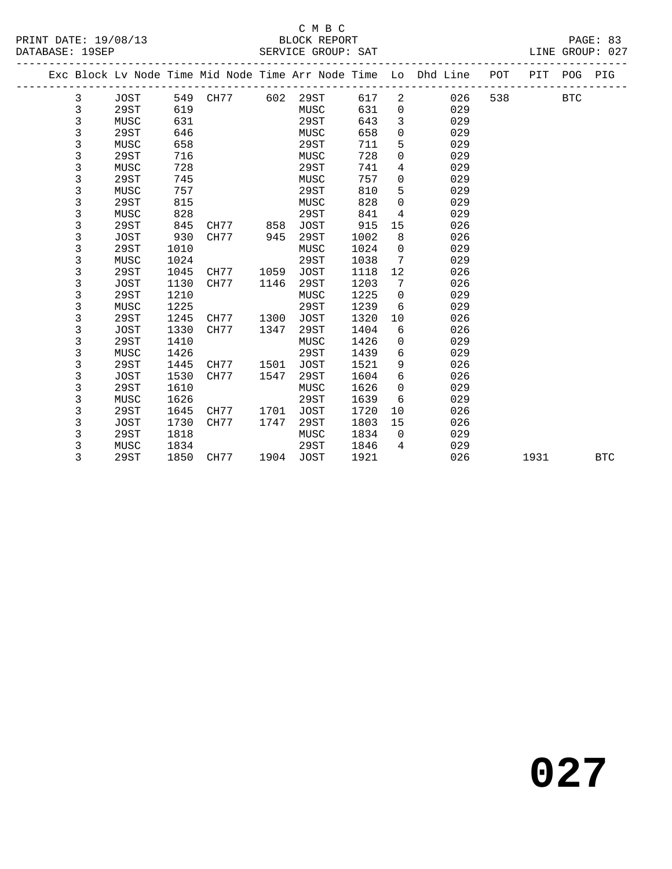#### $\begin{tabular}{lllll} \multicolumn{2}{c}{\textbf{C} M B C} \\ \multicolumn{2}{c}{\textbf{P R INT} \end{tabular}}$  DATE: 19/08/13  $\end{tabular}$  BLOCK REPORT

|  |   |             |      |      |      |             |      |             | Exc Block Lv Node Time Mid Node Time Arr Node Time Lo Dhd Line | POT | PIT  | POG        | PIG        |
|--|---|-------------|------|------|------|-------------|------|-------------|----------------------------------------------------------------|-----|------|------------|------------|
|  | 3 | <b>JOST</b> | 549  | CH77 | 602  | 29ST        | 617  | 2           | 026                                                            | 538 |      | <b>BTC</b> |            |
|  | 3 | 29ST        | 619  |      |      | MUSC        | 631  | 0           | 029                                                            |     |      |            |            |
|  | 3 | MUSC        | 631  |      |      | <b>29ST</b> | 643  | 3           | 029                                                            |     |      |            |            |
|  | 3 | 29ST        | 646  |      |      | MUSC        | 658  | 0           | 029                                                            |     |      |            |            |
|  | 3 | MUSC        | 658  |      |      | <b>29ST</b> | 711  | 5           | 029                                                            |     |      |            |            |
|  | 3 | 29ST        | 716  |      |      | MUSC        | 728  | 0           | 029                                                            |     |      |            |            |
|  | 3 | MUSC        | 728  |      |      | <b>29ST</b> | 741  | 4           | 029                                                            |     |      |            |            |
|  | 3 | 29ST        | 745  |      |      | MUSC        | 757  | 0           | 029                                                            |     |      |            |            |
|  | 3 | MUSC        | 757  |      |      | 29ST        | 810  | 5           | 029                                                            |     |      |            |            |
|  | 3 | 29ST        | 815  |      |      | MUSC        | 828  | 0           | 029                                                            |     |      |            |            |
|  | 3 | MUSC        | 828  |      |      | <b>29ST</b> | 841  | 4           | 029                                                            |     |      |            |            |
|  | 3 | 29ST        | 845  | CH77 | 858  | <b>JOST</b> | 915  | 15          | 026                                                            |     |      |            |            |
|  | 3 | <b>JOST</b> | 930  | CH77 | 945  | <b>29ST</b> | 1002 | 8           | 026                                                            |     |      |            |            |
|  | 3 | 29ST        | 1010 |      |      | MUSC        | 1024 | 0           | 029                                                            |     |      |            |            |
|  | 3 | MUSC        | 1024 |      |      | <b>29ST</b> | 1038 | 7           | 029                                                            |     |      |            |            |
|  | 3 | 29ST        | 1045 | CH77 | 1059 | <b>JOST</b> | 1118 | 12          | 026                                                            |     |      |            |            |
|  | 3 | JOST        | 1130 | CH77 | 1146 | 29ST        | 1203 | 7           | 026                                                            |     |      |            |            |
|  | 3 | 29ST        | 1210 |      |      | MUSC        | 1225 | 0           | 029                                                            |     |      |            |            |
|  | 3 | MUSC        | 1225 |      |      | 29ST        | 1239 | 6           | 029                                                            |     |      |            |            |
|  | 3 | 29ST        | 1245 | CH77 | 1300 | <b>JOST</b> | 1320 | 10          | 026                                                            |     |      |            |            |
|  | 3 | <b>JOST</b> | 1330 | CH77 | 1347 | 29ST        | 1404 | 6           | 026                                                            |     |      |            |            |
|  | 3 | 29ST        | 1410 |      |      | MUSC        | 1426 | 0           | 029                                                            |     |      |            |            |
|  | 3 | MUSC        | 1426 |      |      | 29ST        | 1439 | 6           | 029                                                            |     |      |            |            |
|  | 3 | 29ST        | 1445 | CH77 | 1501 | <b>JOST</b> | 1521 | 9           | 026                                                            |     |      |            |            |
|  | 3 | <b>JOST</b> | 1530 | CH77 | 1547 | 29ST        | 1604 | 6           | 026                                                            |     |      |            |            |
|  | 3 | 29ST        | 1610 |      |      | MUSC        | 1626 | 0           | 029                                                            |     |      |            |            |
|  | 3 | MUSC        | 1626 |      |      | 29ST        | 1639 | 6           | 029                                                            |     |      |            |            |
|  | 3 | 29ST        | 1645 | CH77 | 1701 | <b>JOST</b> | 1720 | 10          | 026                                                            |     |      |            |            |
|  | 3 | <b>JOST</b> | 1730 | CH77 | 1747 | 29ST        | 1803 | 15          | 026                                                            |     |      |            |            |
|  | 3 | 29ST        | 1818 |      |      | MUSC        | 1834 | $\mathbf 0$ | 029                                                            |     |      |            |            |
|  | 3 | MUSC        | 1834 |      |      | 29ST        | 1846 | 4           | 029                                                            |     |      |            |            |
|  | 3 | 29ST        | 1850 | CH77 | 1904 | <b>JOST</b> | 1921 |             | 026                                                            |     | 1931 |            | <b>BTC</b> |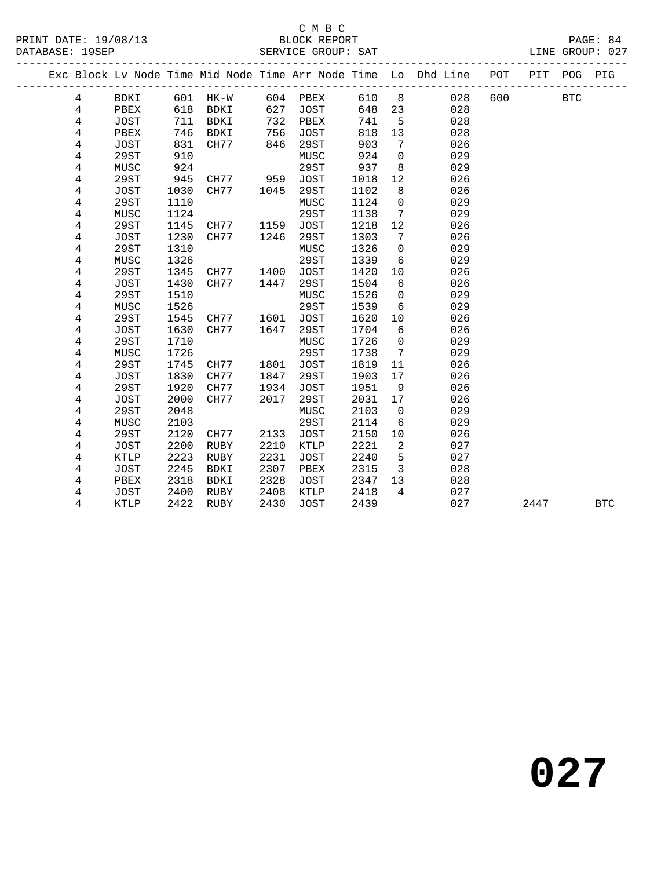#### C M B C<br>BLOCK REPORT

|                         |              |              |             |      |              |              |                                 | Exc Block Lv Node Time Mid Node Time Arr Node Time Lo Dhd Line | POT | PIT  | POG        | PIG        |
|-------------------------|--------------|--------------|-------------|------|--------------|--------------|---------------------------------|----------------------------------------------------------------|-----|------|------------|------------|
| 4                       | <b>BDKI</b>  | 601          | $HK-W$      |      | 604 PBEX     | 610          | 8 <sup>8</sup>                  | 028                                                            | 600 |      | <b>BTC</b> |            |
| 4                       | PBEX         | 618          | BDKI        | 627  | JOST         | 648          | 23                              | 028                                                            |     |      |            |            |
| $\overline{4}$          | JOST         | 711          | BDKI        | 732  | PBEX         | 741          | $\overline{5}$                  | 028                                                            |     |      |            |            |
| $\overline{4}$          | PBEX         | 746          | BDKI        | 756  | <b>JOST</b>  | 818          | 13                              | 028                                                            |     |      |            |            |
| $\overline{4}$          | JOST         | 831          | CH77        | 846  | 29ST         | 903          | 7                               | 026                                                            |     |      |            |            |
| $\,4$                   | 29ST         | 910          |             |      | MUSC         | 924          | $\mathbf 0$                     | 029                                                            |     |      |            |            |
| $\,4$                   | MUSC         | 924          |             |      | 29ST         | 937          | 8                               | 029                                                            |     |      |            |            |
| 4                       | 29ST         | 945          | CH77        | 959  | JOST         | 1018         | 12                              | 026                                                            |     |      |            |            |
| 4                       | JOST         | 1030         | CH77        | 1045 | 29ST         | 1102         | 8                               | 026                                                            |     |      |            |            |
| 4                       | 29ST         | 1110         |             |      | MUSC         | 1124         | $\mathbf 0$                     | 029                                                            |     |      |            |            |
| 4                       | MUSC         | 1124         |             |      | 29ST         | 1138         | 7                               | 029                                                            |     |      |            |            |
| 4                       | 29ST         | 1145         | CH77        | 1159 | JOST         | 1218         | 12                              | 026                                                            |     |      |            |            |
| 4                       | JOST         | 1230         | CH77        | 1246 | 29ST         | 1303         | 7                               | 026                                                            |     |      |            |            |
| 4                       | 29ST         | 1310         |             |      | MUSC         | 1326         | $\mathbf 0$                     | 029                                                            |     |      |            |            |
| $\overline{4}$          | MUSC         | 1326         |             |      | 29ST         | 1339         | 6                               | 029                                                            |     |      |            |            |
| $\,4$                   | 29ST         | 1345         | CH77        | 1400 | <b>JOST</b>  | 1420         | 10                              | 026                                                            |     |      |            |            |
| $\bf 4$                 | JOST         | 1430         | CH77        | 1447 | 29ST         | 1504         | 6                               | 026                                                            |     |      |            |            |
| 4                       | 29ST         | 1510         |             |      | MUSC         | 1526         | $\mathbf 0$                     | 029                                                            |     |      |            |            |
| 4                       | MUSC         | 1526         |             |      | 29ST         | 1539         | 6                               | 029                                                            |     |      |            |            |
| $\overline{\mathbf{4}}$ | 29ST         | 1545         | CH77        | 1601 | JOST         | 1620         | 10                              | 026                                                            |     |      |            |            |
| 4                       | <b>JOST</b>  | 1630         | CH77        | 1647 | 29ST         | 1704         | 6                               | 026                                                            |     |      |            |            |
| 4                       | 29ST<br>MUSC | 1710<br>1726 |             |      | MUSC<br>29ST | 1726<br>1738 | $\mathsf{O}$<br>$7\phantom{.0}$ | 029<br>029                                                     |     |      |            |            |
| 4<br>4                  | 29ST         | 1745         | CH77        | 1801 | <b>JOST</b>  | 1819         | 11                              | 026                                                            |     |      |            |            |
| 4                       | JOST         | 1830         | CH77        | 1847 | 29ST         | 1903         | 17                              | 026                                                            |     |      |            |            |
| $\overline{4}$          | 29ST         | 1920         | CH77        | 1934 | <b>JOST</b>  | 1951         | 9                               | 026                                                            |     |      |            |            |
| $\overline{4}$          | JOST         | 2000         | CH77        | 2017 | 29ST         | 2031         | 17                              | 026                                                            |     |      |            |            |
| $\bf 4$                 | 29ST         | 2048         |             |      | MUSC         | 2103         | $\mathbf 0$                     | 029                                                            |     |      |            |            |
| 4                       | MUSC         | 2103         |             |      | 29ST         | 2114         | 6                               | 029                                                            |     |      |            |            |
| 4                       | 29ST         | 2120         | CH77        | 2133 | <b>JOST</b>  | 2150         | 10                              | 026                                                            |     |      |            |            |
| 4                       | JOST         | 2200         | RUBY        | 2210 | KTLP         | 2221         | 2                               | 027                                                            |     |      |            |            |
| 4                       | KTLP         | 2223         | RUBY        | 2231 | <b>JOST</b>  | 2240         | 5                               | 027                                                            |     |      |            |            |
| 4                       | JOST         | 2245         | BDKI        | 2307 | PBEX         | 2315         | $\overline{3}$                  | 028                                                            |     |      |            |            |
| 4                       | PBEX         | 2318         | <b>BDKI</b> | 2328 | JOST         | 2347         | 13                              | 028                                                            |     |      |            |            |
| 4                       | JOST         | 2400         | RUBY        | 2408 | KTLP         | 2418         | $\overline{4}$                  | 027                                                            |     |      |            |            |
| 4                       | KTLP         | 2422         | RUBY        | 2430 | JOST         | 2439         |                                 | 027                                                            |     | 2447 |            | <b>BTC</b> |
|                         |              |              |             |      |              |              |                                 |                                                                |     |      |            |            |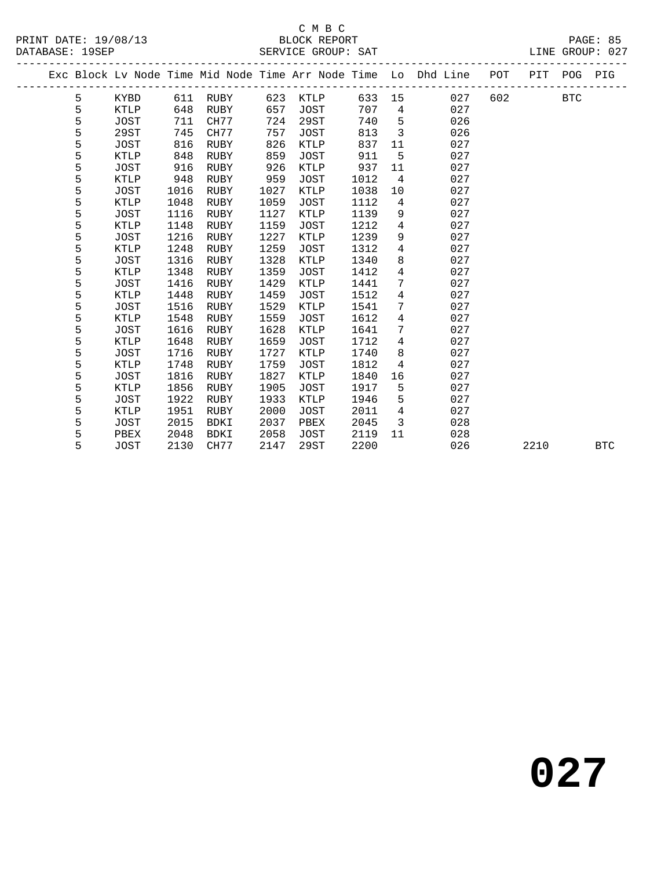#### C M B C N B C N B C N B C N B C N B C N B C N B C N B C N B C N B C N B C N B C N B C N B C N B C N B C N B C N B C N B C N B C N B C N B C N B C N B C N B C N B C N B C N B C N B C N B C N B C N B C N B C N B C N B C N B

|                 | PRINT DATE: 19/08/13 | BLOCK REPORT       | PAGE: 85        |  |
|-----------------|----------------------|--------------------|-----------------|--|
| DATABASE: 19SEP |                      | SERVICE GROUP: SAT | LINE GROUP: 027 |  |

|  |   |             |      |             |      |             |        |                 | Exc Block Lv Node Time Mid Node Time Arr Node Time Lo Dhd Line | POT | PIT  | POG        | PIG        |
|--|---|-------------|------|-------------|------|-------------|--------|-----------------|----------------------------------------------------------------|-----|------|------------|------------|
|  | 5 | KYBD        |      | 611 RUBY    | 623  | KTLP        | 633 15 |                 | 027                                                            | 602 |      | <b>BTC</b> |            |
|  | 5 | KTLP        | 648  | RUBY        | 657  | JOST        | 707    | $\overline{4}$  | 027                                                            |     |      |            |            |
|  | 5 | JOST        | 711  | CH77        | 724  | 29ST        | 740    | 5               | 026                                                            |     |      |            |            |
|  | 5 | 29ST        | 745  | CH77        | 757  | JOST        | 813    | $\overline{3}$  | 026                                                            |     |      |            |            |
|  | 5 | JOST        | 816  | <b>RUBY</b> | 826  | KTLP        | 837    | 11              | 027                                                            |     |      |            |            |
|  | 5 | <b>KTLP</b> | 848  | <b>RUBY</b> | 859  | <b>JOST</b> | 911    | 5               | 027                                                            |     |      |            |            |
|  | 5 | JOST        | 916  | RUBY        | 926  | KTLP        | 937    | 11              | 027                                                            |     |      |            |            |
|  | 5 | KTLP        | 948  | RUBY        | 959  | JOST        | 1012   | $\overline{4}$  | 027                                                            |     |      |            |            |
|  | 5 | JOST        | 1016 | <b>RUBY</b> | 1027 | KTLP        | 1038   | 10              | 027                                                            |     |      |            |            |
|  | 5 | KTLP        | 1048 | RUBY        | 1059 | <b>JOST</b> | 1112   | 4               | 027                                                            |     |      |            |            |
|  | 5 | JOST        | 1116 | RUBY        | 1127 | KTLP        | 1139   | 9               | 027                                                            |     |      |            |            |
|  | 5 | KTLP        | 1148 | RUBY        | 1159 | <b>JOST</b> | 1212   | $\overline{4}$  | 027                                                            |     |      |            |            |
|  | 5 | JOST        | 1216 | RUBY        | 1227 | KTLP        | 1239   | 9               | 027                                                            |     |      |            |            |
|  | 5 | <b>KTLP</b> | 1248 | <b>RUBY</b> | 1259 | <b>JOST</b> | 1312   | $\overline{4}$  | 027                                                            |     |      |            |            |
|  | 5 | JOST        | 1316 | <b>RUBY</b> | 1328 | KTLP        | 1340   | 8               | 027                                                            |     |      |            |            |
|  | 5 | <b>KTLP</b> | 1348 | RUBY        | 1359 | JOST        | 1412   | $\overline{4}$  | 027                                                            |     |      |            |            |
|  | 5 | JOST        | 1416 | RUBY        | 1429 | KTLP        | 1441   | 7               | 027                                                            |     |      |            |            |
|  | 5 | <b>KTLP</b> | 1448 | <b>RUBY</b> | 1459 | <b>JOST</b> | 1512   | $\overline{4}$  | 027                                                            |     |      |            |            |
|  | 5 | JOST        | 1516 | RUBY        | 1529 | KTLP        | 1541   | $7\overline{ }$ | 027                                                            |     |      |            |            |
|  | 5 | KTLP        | 1548 | RUBY        | 1559 | <b>JOST</b> | 1612   | $\overline{4}$  | 027                                                            |     |      |            |            |
|  | 5 | JOST        | 1616 | RUBY        | 1628 | KTLP        | 1641   | 7               | 027                                                            |     |      |            |            |
|  | 5 | <b>KTLP</b> | 1648 | <b>RUBY</b> | 1659 | <b>JOST</b> | 1712   | $\overline{4}$  | 027                                                            |     |      |            |            |
|  | 5 | JOST        | 1716 | <b>RUBY</b> | 1727 | KTLP        | 1740   | 8               | 027                                                            |     |      |            |            |
|  | 5 | KTLP        | 1748 | RUBY        | 1759 | <b>JOST</b> | 1812   | $\overline{4}$  | 027                                                            |     |      |            |            |
|  | 5 | JOST        | 1816 | RUBY        | 1827 | KTLP        | 1840   | 16              | 027                                                            |     |      |            |            |
|  | 5 | KTLP        | 1856 | RUBY        | 1905 | JOST        | 1917   | 5               | 027                                                            |     |      |            |            |
|  | 5 | <b>JOST</b> | 1922 | <b>RUBY</b> | 1933 | KTLP        | 1946   | 5               | 027                                                            |     |      |            |            |
|  | 5 | KTLP        | 1951 | RUBY        | 2000 | <b>JOST</b> | 2011   | $\overline{4}$  | 027                                                            |     |      |            |            |
|  | 5 | JOST        | 2015 | BDKI        | 2037 | PBEX        | 2045   | 3               | 028                                                            |     |      |            |            |
|  | 5 | PBEX        | 2048 | BDKI        | 2058 | JOST        | 2119   | 11              | 028                                                            |     |      |            |            |
|  | 5 | JOST        | 2130 | CH77        | 2147 | 29ST        | 2200   |                 | 026                                                            |     | 2210 |            | <b>BTC</b> |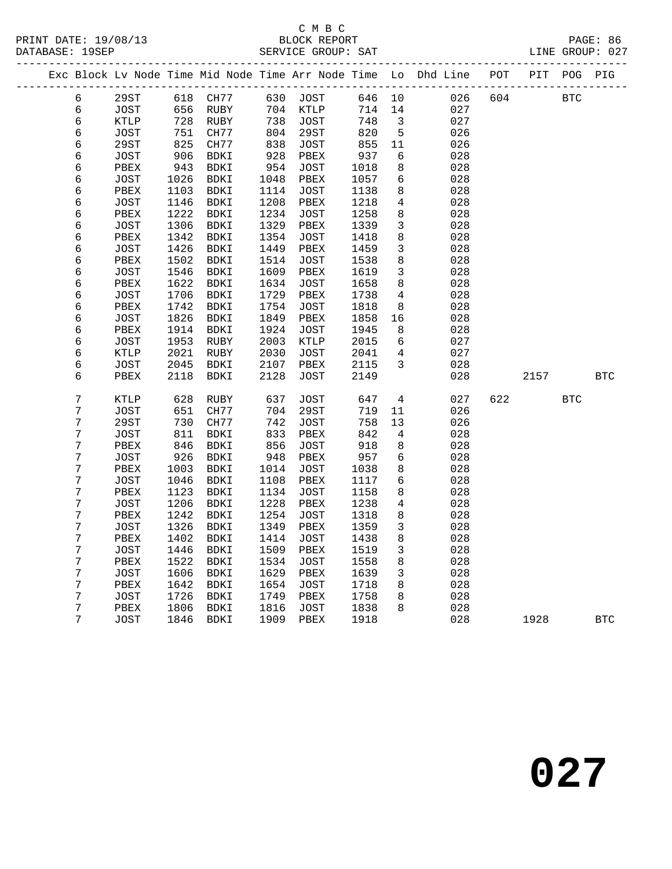#### C M B C<br>BLOCK REPORT SERVICE GROUP: SAT

|  |                  |             |      |             |      |              |      |                 | --------------                                                 |     |      |            |            |
|--|------------------|-------------|------|-------------|------|--------------|------|-----------------|----------------------------------------------------------------|-----|------|------------|------------|
|  |                  |             |      |             |      |              |      |                 | Exc Block Lv Node Time Mid Node Time Arr Node Time Lo Dhd Line | POT | PIT  | POG        | PIG        |
|  | 6                | 29ST        | 618  | CH77        | 630  | <b>JOST</b>  | 646  | $10$            | 026                                                            | 604 |      | <b>BTC</b> |            |
|  | $\sqrt{6}$       | JOST        | 656  | RUBY        | 704  | KTLP         | 714  | 14              | 027                                                            |     |      |            |            |
|  | $\epsilon$       | KTLP        | 728  | RUBY        | 738  | JOST         | 748  | 3               | 027                                                            |     |      |            |            |
|  | $\epsilon$       | JOST        | 751  | CH77        | 804  | 29ST         | 820  | $5\phantom{.0}$ | 026                                                            |     |      |            |            |
|  | $\epsilon$       | 29ST        | 825  | CH77        | 838  | <b>JOST</b>  | 855  | 11              | 026                                                            |     |      |            |            |
|  | $\sqrt{6}$       | <b>JOST</b> | 906  | <b>BDKI</b> | 928  | PBEX         | 937  | 6               | 028                                                            |     |      |            |            |
|  | $\epsilon$       | PBEX        | 943  | BDKI        | 954  | JOST         | 1018 | 8               | 028                                                            |     |      |            |            |
|  | $\epsilon$       | JOST        | 1026 | BDKI        | 1048 | PBEX         | 1057 | 6               | 028                                                            |     |      |            |            |
|  | $\epsilon$       | PBEX        | 1103 | BDKI        | 1114 | JOST         | 1138 | 8               | 028                                                            |     |      |            |            |
|  | $\sqrt{6}$       | <b>JOST</b> | 1146 | <b>BDKI</b> | 1208 | PBEX         | 1218 | $\overline{4}$  | 028                                                            |     |      |            |            |
|  | $\epsilon$       | PBEX        | 1222 | BDKI        | 1234 | JOST         | 1258 | $\,8\,$         | 028                                                            |     |      |            |            |
|  | $\sqrt{6}$       | JOST        | 1306 | BDKI        | 1329 | ${\tt PBEX}$ | 1339 | $\mathbf{3}$    | 028                                                            |     |      |            |            |
|  | 6                | PBEX        | 1342 | BDKI        | 1354 | JOST         | 1418 | $\,8\,$         | 028                                                            |     |      |            |            |
|  | $\sqrt{6}$       | <b>JOST</b> | 1426 | BDKI        | 1449 | PBEX         | 1459 | $\mathbf{3}$    | 028                                                            |     |      |            |            |
|  | 6                | PBEX        | 1502 | <b>BDKI</b> | 1514 | <b>JOST</b>  | 1538 | $\,8\,$         | 028                                                            |     |      |            |            |
|  | $\epsilon$       | <b>JOST</b> | 1546 | BDKI        | 1609 | PBEX         | 1619 | $\mathbf{3}$    | 028                                                            |     |      |            |            |
|  | 6                | PBEX        | 1622 | <b>BDKI</b> | 1634 | <b>JOST</b>  | 1658 | 8               | 028                                                            |     |      |            |            |
|  | $\epsilon$       | JOST        | 1706 | BDKI        | 1729 | PBEX         | 1738 | $\overline{4}$  | 028                                                            |     |      |            |            |
|  | $\epsilon$       | PBEX        | 1742 | <b>BDKI</b> | 1754 | <b>JOST</b>  | 1818 | 8               | 028                                                            |     |      |            |            |
|  | $\epsilon$       | JOST        | 1826 | BDKI        | 1849 | PBEX         | 1858 | 16              | 028                                                            |     |      |            |            |
|  | $\epsilon$       | PBEX        | 1914 | BDKI        | 1924 | JOST         | 1945 | 8               | 028                                                            |     |      |            |            |
|  | $\epsilon$       | JOST        | 1953 | RUBY        | 2003 | KTLP         | 2015 | 6               | 027                                                            |     |      |            |            |
|  | $\epsilon$       | KTLP        | 2021 | RUBY        | 2030 | JOST         | 2041 | $\overline{4}$  | 027                                                            |     |      |            |            |
|  | $\epsilon$       | <b>JOST</b> | 2045 | BDKI        | 2107 | PBEX         | 2115 | $\mathbf{3}$    | 028                                                            |     |      |            |            |
|  | $\epsilon$       | PBEX        | 2118 | BDKI        | 2128 | JOST         | 2149 |                 | 028                                                            |     | 2157 |            | <b>BTC</b> |
|  |                  |             |      |             |      |              |      |                 |                                                                |     |      |            |            |
|  | $\boldsymbol{7}$ | KTLP        | 628  | RUBY        | 637  | <b>JOST</b>  | 647  | 4               | 027                                                            | 622 |      | <b>BTC</b> |            |
|  | 7                | <b>JOST</b> | 651  | CH77        | 704  | <b>29ST</b>  | 719  | 11              | 026                                                            |     |      |            |            |
|  | $\boldsymbol{7}$ | 29ST        | 730  | CH77        | 742  | JOST         | 758  | 13              | 026                                                            |     |      |            |            |
|  | $\boldsymbol{7}$ | JOST        | 811  | BDKI        | 833  | ${\tt PBEX}$ | 842  | 4               | 028                                                            |     |      |            |            |
|  | 7                | PBEX        | 846  | BDKI        | 856  | <b>JOST</b>  | 918  | $\,8\,$         | 028                                                            |     |      |            |            |
|  | $\boldsymbol{7}$ | <b>JOST</b> | 926  | <b>BDKI</b> | 948  | PBEX         | 957  | 6               | 028                                                            |     |      |            |            |
|  | 7                | PBEX        | 1003 | BDKI        | 1014 | JOST         | 1038 | $\,8\,$         | 028                                                            |     |      |            |            |
|  | $\boldsymbol{7}$ | JOST        | 1046 | BDKI        | 1108 | PBEX         | 1117 | 6               | 028                                                            |     |      |            |            |
|  | 7                | PBEX        | 1123 | BDKI        | 1134 | JOST         | 1158 | 8               | 028                                                            |     |      |            |            |
|  | $\boldsymbol{7}$ | JOST        | 1206 | BDKI        | 1228 | PBEX         | 1238 | $\overline{4}$  | 028                                                            |     |      |            |            |
|  | $\boldsymbol{7}$ | PBEX        | 1242 | BDKI        | 1254 | <b>JOST</b>  | 1318 | 8               | 028                                                            |     |      |            |            |
|  | 7                | <b>JOST</b> | 1326 | BDKI        | 1349 | PBEX         | 1359 | 3               | 028                                                            |     |      |            |            |
|  | $\sqrt{ }$       | PBEX        | 1402 | BDKI        | 1414 | JOST         | 1438 | 8               | 028                                                            |     |      |            |            |
|  | 7                | JOST        | 1446 | <b>BDKI</b> | 1509 | PBEX         | 1519 | $\mathbf{3}$    | 028                                                            |     |      |            |            |
|  | 7                | PBEX        | 1522 | <b>BDKI</b> | 1534 | JOST         | 1558 | $\,8\,$         | 028                                                            |     |      |            |            |
|  | 7                | <b>JOST</b> | 1606 | BDKI        | 1629 | PBEX         | 1639 | $\mathbf{3}$    | 028                                                            |     |      |            |            |
|  | 7                | PBEX        | 1642 | BDKI        | 1654 | JOST         | 1718 | 8               | 028                                                            |     |      |            |            |
|  | 7                | JOST        | 1726 | <b>BDKI</b> | 1749 | PBEX         | 1758 | 8               | 028                                                            |     |      |            |            |
|  | 7                | PBEX        | 1806 | BDKI        | 1816 | JOST         | 1838 | 8               | 028                                                            |     |      |            |            |
|  | 7                | <b>JOST</b> | 1846 | <b>BDKI</b> | 1909 | PBEX         | 1918 |                 | 028                                                            |     | 1928 |            | <b>BTC</b> |
|  |                  |             |      |             |      |              |      |                 |                                                                |     |      |            |            |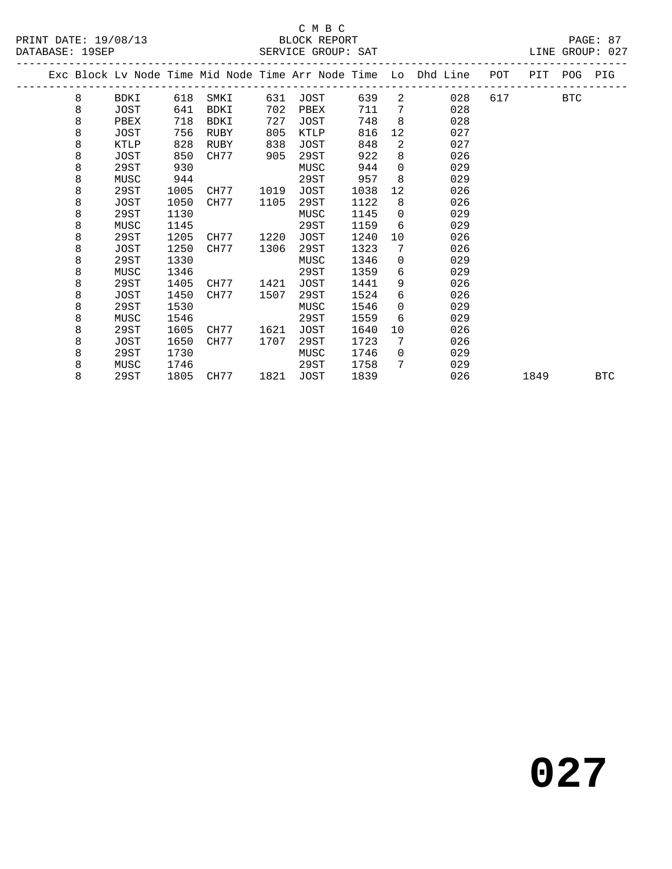#### C M B C<br>BLOCK REPORT

|  |   |      |      |             |      |      |      |                 | Exc Block Lv Node Time Mid Node Time Arr Node Time Lo Dhd Line | POT | PIT POG    | PIG        |
|--|---|------|------|-------------|------|------|------|-----------------|----------------------------------------------------------------|-----|------------|------------|
|  | 8 | BDKI | 618  | SMKI        | 631  | JOST | 639  |                 | $2 \left( \frac{1}{2} \right)$<br>028                          | 617 | <b>BTC</b> |            |
|  | 8 | JOST | 641  | BDKI        | 702  | PBEX | 711  | $7\overline{ }$ | 028                                                            |     |            |            |
|  | 8 | PBEX | 718  | <b>BDKI</b> | 727  | JOST | 748  | 8               | 028                                                            |     |            |            |
|  | 8 | JOST | 756  | RUBY        | 805  | KTLP | 816  | 12              | 027                                                            |     |            |            |
|  | 8 | KTLP | 828  | RUBY        | 838  | JOST | 848  | $\overline{a}$  | 027                                                            |     |            |            |
|  | 8 | JOST | 850  | CH77        | 905  | 29ST | 922  | 8               | 026                                                            |     |            |            |
|  | 8 | 29ST | 930  |             |      | MUSC | 944  | $\Omega$        | 029                                                            |     |            |            |
|  | 8 | MUSC | 944  |             |      | 29ST | 957  | 8               | 029                                                            |     |            |            |
|  | 8 | 29ST | 1005 | CH77        | 1019 | JOST | 1038 | 12              | 026                                                            |     |            |            |
|  | 8 | JOST | 1050 | CH77        | 1105 | 29ST | 1122 | 8               | 026                                                            |     |            |            |
|  | 8 | 29ST | 1130 |             |      | MUSC | 1145 | $\Omega$        | 029                                                            |     |            |            |
|  | 8 | MUSC | 1145 |             |      | 29ST | 1159 | 6               | 029                                                            |     |            |            |
|  | 8 | 29ST | 1205 | CH77        | 1220 | JOST | 1240 | 10              | 026                                                            |     |            |            |
|  | 8 | JOST | 1250 | CH77        | 1306 | 29ST | 1323 | 7               | 026                                                            |     |            |            |
|  | 8 | 29ST | 1330 |             |      | MUSC | 1346 | $\overline{0}$  | 029                                                            |     |            |            |
|  | 8 | MUSC | 1346 |             |      | 29ST | 1359 | 6               | 029                                                            |     |            |            |
|  | 8 | 29ST | 1405 | CH77        | 1421 | JOST | 1441 | 9               | 026                                                            |     |            |            |
|  | 8 | JOST | 1450 | CH77        | 1507 | 29ST | 1524 | 6               | 026                                                            |     |            |            |
|  | 8 | 29ST | 1530 |             |      | MUSC | 1546 | $\Omega$        | 029                                                            |     |            |            |
|  | 8 | MUSC | 1546 |             |      | 29ST | 1559 | 6               | 029                                                            |     |            |            |
|  | 8 | 29ST | 1605 | CH77        | 1621 | JOST | 1640 | 10              | 026                                                            |     |            |            |
|  | 8 | JOST | 1650 | CH77        | 1707 | 29ST | 1723 | 7               | 026                                                            |     |            |            |
|  | 8 | 29ST | 1730 |             |      | MUSC | 1746 | $\Omega$        | 029                                                            |     |            |            |
|  | 8 | MUSC | 1746 |             |      | 29ST | 1758 | 7               | 029                                                            |     |            |            |
|  | 8 | 29ST | 1805 | CH77        | 1821 | JOST | 1839 |                 | 026                                                            |     | 1849       | <b>BTC</b> |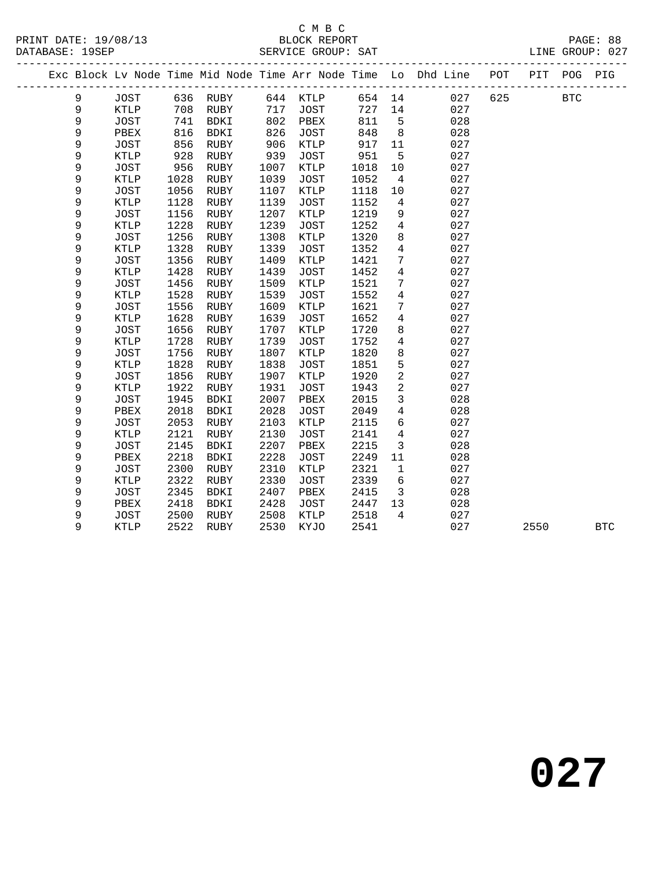#### C M B C<br>BLOCK REPORT

| DATABASE: 19SEP |             |              |      | SERVICE GROUP: SAT |      |             |        |                         |                                                                                |     |              | LINE GROUP: 027 |
|-----------------|-------------|--------------|------|--------------------|------|-------------|--------|-------------------------|--------------------------------------------------------------------------------|-----|--------------|-----------------|
|                 |             |              |      |                    |      |             |        |                         | Exc Block Lv Node Time Mid Node Time Arr Node Time Lo Dhd Line POT PIT POG PIG |     |              |                 |
|                 | 9           | JOST         |      | 636 RUBY           |      | 644 KTLP    | 654 14 |                         | 027                                                                            | 625 | $_{\rm BTC}$ |                 |
|                 | 9           | KTLP         |      | 708 RUBY           |      | 717 JOST    | 727    | 14                      | 027                                                                            |     |              |                 |
|                 | $\mathsf 9$ | JOST         | 741  | BDKI               | 802  | PBEX        | 811    | 5                       | 028                                                                            |     |              |                 |
|                 | 9           | ${\tt PBEX}$ | 816  | BDKI               | 826  | JOST        | 848    | 8 <sup>8</sup>          | 028                                                                            |     |              |                 |
|                 | 9           | JOST         | 856  | RUBY               | 906  | KTLP        | 917    | 11                      | 027                                                                            |     |              |                 |
|                 | 9           | KTLP         | 928  | RUBY               | 939  | JOST        | 951    | 5                       | 027                                                                            |     |              |                 |
|                 | 9           | JOST         | 956  | RUBY               | 1007 | KTLP        | 1018   | 10                      | 027                                                                            |     |              |                 |
|                 | 9           | KTLP         | 1028 | RUBY               | 1039 | JOST        | 1052   | $\overline{4}$          | 027                                                                            |     |              |                 |
|                 | 9           | JOST         | 1056 | RUBY               | 1107 | KTLP        | 1118   | 10                      | 027                                                                            |     |              |                 |
|                 | 9           | KTLP         | 1128 | RUBY               | 1139 | JOST        | 1152   | $\overline{4}$          | 027                                                                            |     |              |                 |
|                 | 9           | <b>JOST</b>  | 1156 | RUBY               | 1207 | KTLP        | 1219   | 9                       | 027                                                                            |     |              |                 |
|                 | 9           | KTLP         | 1228 | RUBY               | 1239 | <b>JOST</b> | 1252   | $\overline{4}$          | 027                                                                            |     |              |                 |
|                 | 9           | JOST         | 1256 | RUBY               | 1308 | KTLP        | 1320   | 8                       | 027                                                                            |     |              |                 |
|                 | 9           | KTLP         | 1328 | RUBY               | 1339 | JOST        | 1352   | $\overline{4}$          | 027                                                                            |     |              |                 |
|                 | 9           | <b>JOST</b>  | 1356 | RUBY               | 1409 | <b>KTLP</b> | 1421   | $7\phantom{.0}$         | 027                                                                            |     |              |                 |
|                 | 9           | KTLP         | 1428 | RUBY               | 1439 | <b>JOST</b> | 1452   | $\overline{4}$          | 027                                                                            |     |              |                 |
|                 | 9           | JOST         | 1456 | RUBY               | 1509 | KTLP        | 1521   | $7\phantom{.0}$         | 027                                                                            |     |              |                 |
|                 | 9           | KTLP         | 1528 | RUBY               | 1539 | JOST        | 1552   | $\overline{4}$          | 027                                                                            |     |              |                 |
|                 | 9           | JOST         | 1556 | RUBY               | 1609 | KTLP        | 1621   | $7\phantom{.}$          | 027                                                                            |     |              |                 |
|                 | 9           | KTLP         | 1628 | RUBY               | 1639 | JOST        | 1652   | $\overline{4}$          | 027                                                                            |     |              |                 |
|                 | 9           | JOST         | 1656 | RUBY               | 1707 | KTLP        | 1720   | 8                       | 027                                                                            |     |              |                 |
|                 | 9           | KTLP         | 1728 | RUBY               | 1739 | JOST        | 1752   | $\overline{4}$          | 027                                                                            |     |              |                 |
|                 | 9           | JOST         | 1756 | RUBY               | 1807 | KTLP        | 1820   | 8                       | 027                                                                            |     |              |                 |
|                 | 9           | KTLP         | 1828 | RUBY               | 1838 | JOST        | 1851   | 5                       | 027                                                                            |     |              |                 |
|                 | 9           | JOST         | 1856 | RUBY               | 1907 | KTLP        | 1920   | $\overline{a}$          | 027                                                                            |     |              |                 |
|                 | 9           | KTLP         | 1922 | RUBY               | 1931 | JOST        | 1943   | $\overline{a}$          | 027                                                                            |     |              |                 |
|                 | 9           | JOST         | 1945 | BDKI               | 2007 | PBEX        | 2015   | $\mathbf{3}$            | 028                                                                            |     |              |                 |
|                 | 9           | PBEX         | 2018 | BDKI               | 2028 | JOST        | 2049   | $\overline{4}$          | 028                                                                            |     |              |                 |
|                 | 9           | JOST         | 2053 | RUBY               | 2103 | KTLP        | 2115   | 6                       | 027                                                                            |     |              |                 |
|                 | 9           | KTLP         | 2121 | RUBY               | 2130 | <b>JOST</b> | 2141   | $\overline{4}$          | 027                                                                            |     |              |                 |
|                 | 9           | JOST         | 2145 | BDKI               | 2207 | PBEX        | 2215   | $\mathbf{3}$            | 028                                                                            |     |              |                 |
|                 | 9           | PBEX         | 2218 | BDKI               | 2228 | <b>JOST</b> | 2249   | 11                      | 028                                                                            |     |              |                 |
|                 | 9           | JOST         | 2300 | RUBY               | 2310 | KTLP        | 2321   | $\mathbf{1}$            | 027                                                                            |     |              |                 |
|                 | 9           | KTLP         | 2322 | RUBY               | 2330 | JOST        | 2339   | $6\overline{6}$         | 027                                                                            |     |              |                 |
|                 | 9           | JOST         | 2345 | BDKI               | 2407 | PBEX        | 2415   | $\overline{\mathbf{3}}$ | 028                                                                            |     |              |                 |
|                 | 9           | PBEX         | 2418 | BDKI               | 2428 | JOST        | 2447   | 13                      | 028                                                                            |     |              |                 |
|                 | 9           | <b>JOST</b>  | 2500 | RUBY               | 2508 | KTLP        | 2518   | $\overline{4}$          | 027                                                                            |     |              |                 |

9 KTLP 2522 RUBY 2530 KYJO 2541 027 2550 BTC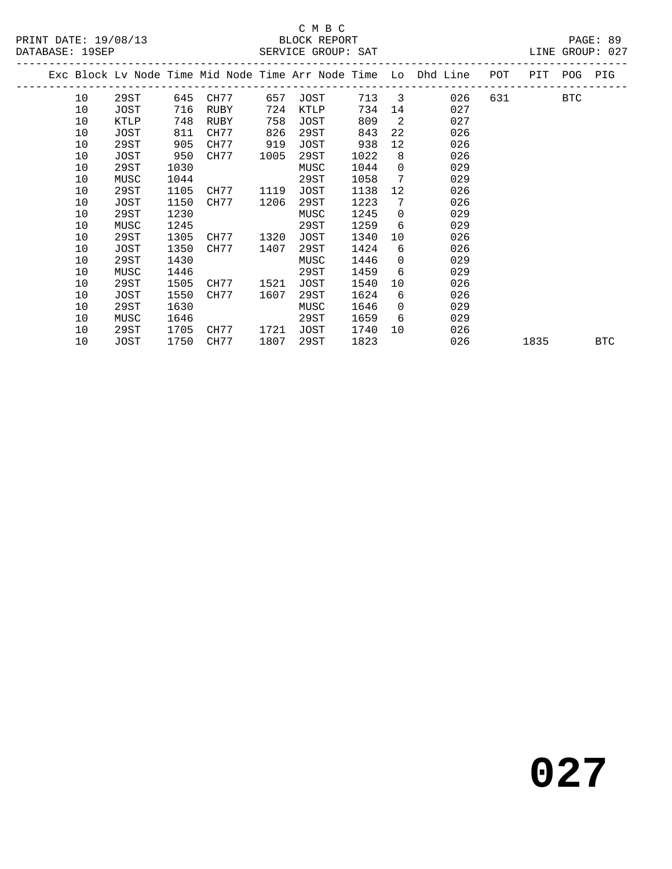#### C M B C<br>BLOCK REPORT SERVICE GROUP: SAT

|  |    |      |      |      |      |      |       |          | Exc Block Lv Node Time Mid Node Time Arr Node Time Lo Dhd Line | POT |      | PIT POG PIG |            |
|--|----|------|------|------|------|------|-------|----------|----------------------------------------------------------------|-----|------|-------------|------------|
|  | 10 | 29ST | 645  | CH77 | 657  | JOST | 713 3 |          | 026                                                            | 631 |      | <b>BTC</b>  |            |
|  | 10 | JOST | 716  | RUBY | 724  | KTLP | 734   | 14       | 027                                                            |     |      |             |            |
|  | 10 | KTLP | 748  | RUBY | 758  | JOST | 809   | 2        | 027                                                            |     |      |             |            |
|  | 10 | JOST | 811  | CH77 | 826  | 29ST | 843   | 22       | 026                                                            |     |      |             |            |
|  | 10 | 29ST | 905  | CH77 | 919  | JOST | 938   | 12       | 026                                                            |     |      |             |            |
|  | 10 | JOST | 950  | CH77 | 1005 | 29ST | 1022  | 8        | 026                                                            |     |      |             |            |
|  | 10 | 29ST | 1030 |      |      | MUSC | 1044  | $\Omega$ | 029                                                            |     |      |             |            |
|  | 10 | MUSC | 1044 |      |      | 29ST | 1058  | 7        | 029                                                            |     |      |             |            |
|  | 10 | 29ST | 1105 | CH77 | 1119 | JOST | 1138  | 12       | 026                                                            |     |      |             |            |
|  | 10 | JOST | 1150 | CH77 | 1206 | 29ST | 1223  | 7        | 026                                                            |     |      |             |            |
|  | 10 | 29ST | 1230 |      |      | MUSC | 1245  | $\Omega$ | 029                                                            |     |      |             |            |
|  | 10 | MUSC | 1245 |      |      | 29ST | 1259  | 6        | 029                                                            |     |      |             |            |
|  | 10 | 29ST | 1305 | CH77 | 1320 | JOST | 1340  | 10       | 026                                                            |     |      |             |            |
|  | 10 | JOST | 1350 | CH77 | 1407 | 29ST | 1424  | 6        | 026                                                            |     |      |             |            |
|  | 10 | 29ST | 1430 |      |      | MUSC | 1446  | $\Omega$ | 029                                                            |     |      |             |            |
|  | 10 | MUSC | 1446 |      |      | 29ST | 1459  | 6        | 029                                                            |     |      |             |            |
|  | 10 | 29ST | 1505 | CH77 | 1521 | JOST | 1540  | 10       | 026                                                            |     |      |             |            |
|  | 10 | JOST | 1550 | CH77 | 1607 | 29ST | 1624  | 6        | 026                                                            |     |      |             |            |
|  | 10 | 29ST | 1630 |      |      | MUSC | 1646  | $\Omega$ | 029                                                            |     |      |             |            |
|  | 10 | MUSC | 1646 |      |      | 29ST | 1659  | 6        | 029                                                            |     |      |             |            |
|  | 10 | 29ST | 1705 | CH77 | 1721 | JOST | 1740  | $10^{-}$ | 026                                                            |     |      |             |            |
|  | 10 | JOST | 1750 | CH77 | 1807 | 29ST | 1823  |          | 026                                                            |     | 1835 |             | <b>BTC</b> |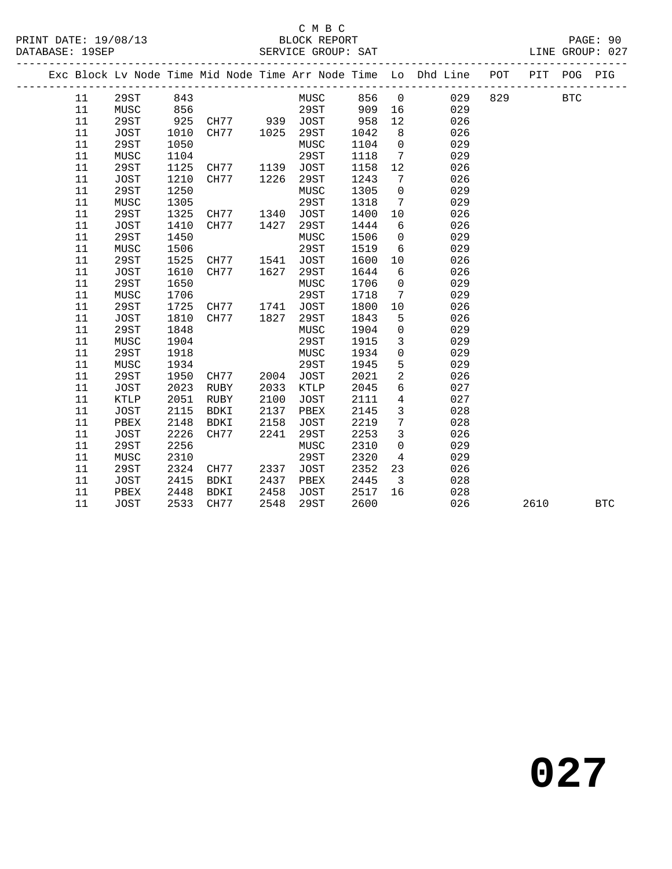#### C M B C<br>BLOCK REPORT

|  |        |             |      | --------------------------- |      | ______________________________ |      |                         | Exc Block Lv Node Time Mid Node Time Arr Node Time Lo Dhd Line POT |     | PIT  | POG        | PIG        |
|--|--------|-------------|------|-----------------------------|------|--------------------------------|------|-------------------------|--------------------------------------------------------------------|-----|------|------------|------------|
|  | 11     | 29ST        | 843  |                             |      | MUSC 856 0                     |      |                         | 029                                                                | 829 |      | <b>BTC</b> |            |
|  | 11     | MUSC        | 856  |                             |      | 29ST 909                       |      | 16                      | 029                                                                |     |      |            |            |
|  | 11     | 29ST        | 925  | CH77 939 JOST               |      |                                | 958  | 12                      | 026                                                                |     |      |            |            |
|  | 11     | JOST        | 1010 | CH77                        | 1025 | 29ST                           | 1042 | 8                       | 026                                                                |     |      |            |            |
|  | 11     | 29ST        | 1050 |                             |      | MUSC                           | 1104 | $\overline{0}$          | 029                                                                |     |      |            |            |
|  | $11\,$ | MUSC        | 1104 |                             |      | 29ST                           | 1118 | $\overline{7}$          | 029                                                                |     |      |            |            |
|  | 11     | 29ST        | 1125 | CH77                        | 1139 | JOST                           | 1158 | 12                      | 026                                                                |     |      |            |            |
|  | 11     | JOST        | 1210 | CH77                        | 1226 | 29ST                           | 1243 | $7\overline{ }$         | 026                                                                |     |      |            |            |
|  | 11     | 29ST        | 1250 |                             |      | MUSC                           | 1305 | $\overline{0}$          | 029                                                                |     |      |            |            |
|  | 11     | MUSC        | 1305 |                             |      | 29ST                           | 1318 | $7\overline{ }$         | 029                                                                |     |      |            |            |
|  | 11     | 29ST        | 1325 | CH77                        | 1340 | JOST                           | 1400 | 10                      | 026                                                                |     |      |            |            |
|  | 11     | JOST        | 1410 | CH77                        | 1427 | 29ST                           | 1444 | 6                       | 026                                                                |     |      |            |            |
|  | 11     | 29ST        | 1450 |                             |      | MUSC                           | 1506 | $\overline{0}$          | 029                                                                |     |      |            |            |
|  | 11     | MUSC        | 1506 |                             |      | 29ST                           | 1519 | 6                       | 029                                                                |     |      |            |            |
|  | 11     | 29ST        | 1525 | CH77                        | 1541 | JOST                           | 1600 | 10                      | 026                                                                |     |      |            |            |
|  | 11     | JOST        | 1610 | CH77                        | 1627 | 29ST                           | 1644 | 6                       | 026                                                                |     |      |            |            |
|  | 11     | 29ST        | 1650 |                             |      | MUSC                           | 1706 | $\overline{0}$          | 029                                                                |     |      |            |            |
|  | 11     | MUSC        | 1706 |                             |      | 29ST                           | 1718 | $7\overline{ }$         | 029                                                                |     |      |            |            |
|  | 11     | 29ST        | 1725 | CH77                        | 1741 | <b>JOST</b>                    | 1800 | 10                      | 026                                                                |     |      |            |            |
|  | 11     | JOST        | 1810 | CH77                        | 1827 | 29ST                           | 1843 | 5                       | 026                                                                |     |      |            |            |
|  | $11\,$ | 29ST        | 1848 |                             |      | MUSC                           | 1904 | $\mathsf{O}$            | 029                                                                |     |      |            |            |
|  | 11     | MUSC        | 1904 |                             |      | 29ST                           | 1915 | $\mathbf{3}$            | 029                                                                |     |      |            |            |
|  | 11     | 29ST        | 1918 |                             |      | MUSC                           | 1934 | $\mathsf{O}$            | 029                                                                |     |      |            |            |
|  | 11     | MUSC        | 1934 |                             |      | 29ST                           | 1945 | 5                       | 029                                                                |     |      |            |            |
|  | 11     | 29ST        | 1950 | CH77                        | 2004 | JOST                           | 2021 | $\overline{a}$          | 026                                                                |     |      |            |            |
|  | 11     | JOST        | 2023 | RUBY                        | 2033 | KTLP                           | 2045 | 6                       | 027                                                                |     |      |            |            |
|  | 11     | KTLP        | 2051 | RUBY                        | 2100 | JOST                           | 2111 | $\overline{4}$          | 027                                                                |     |      |            |            |
|  | 11     | JOST        | 2115 | BDKI                        | 2137 | PBEX                           | 2145 | $\mathbf{3}$            | 028                                                                |     |      |            |            |
|  | 11     | PBEX        | 2148 | BDKI                        | 2158 | JOST                           | 2219 | $7\phantom{.0}$         | 028                                                                |     |      |            |            |
|  | 11     | JOST        | 2226 | CH77                        | 2241 | 29ST                           | 2253 | $\mathbf{3}$            | 026                                                                |     |      |            |            |
|  | 11     | 29ST        | 2256 |                             |      | MUSC                           | 2310 | $\mathbf 0$             | 029                                                                |     |      |            |            |
|  | 11     | MUSC        | 2310 |                             |      | 29ST                           | 2320 | $4\overline{ }$         | 029                                                                |     |      |            |            |
|  | $11\,$ | 29ST        | 2324 | CH77                        | 2337 | JOST                           | 2352 | 23                      | 026                                                                |     |      |            |            |
|  | 11     | JOST        | 2415 | BDKI                        | 2437 | PBEX                           | 2445 | $\overline{\mathbf{3}}$ | 028                                                                |     |      |            |            |
|  | 11     | PBEX        | 2448 | BDKI                        | 2458 | JOST                           | 2517 | 16                      | 028                                                                |     |      |            |            |
|  | 11     | <b>JOST</b> | 2533 | CH77                        | 2548 | 29ST                           | 2600 |                         | 026                                                                |     | 2610 |            | <b>BTC</b> |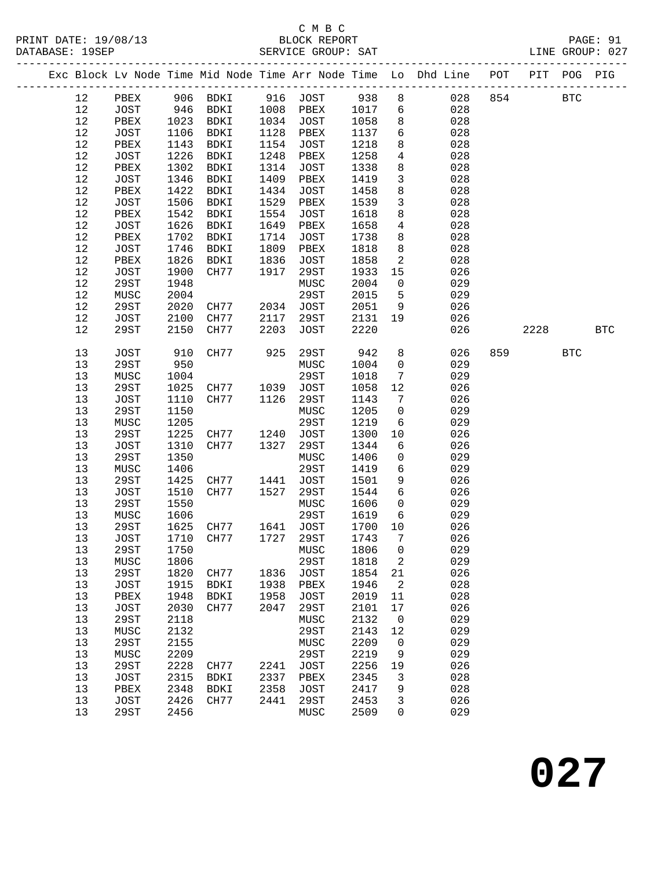### C M B C<br>BLOCK REPORT

|            |               |              |                      |              |                              |              |                         | Exc Block Lv Node Time Mid Node Time Arr Node Time Lo Dhd Line POT PIT POG PIG |     |      |            |            |
|------------|---------------|--------------|----------------------|--------------|------------------------------|--------------|-------------------------|--------------------------------------------------------------------------------|-----|------|------------|------------|
| 12         |               |              |                      |              | PBEX 906 BDKI 916 JOST 938 8 |              |                         | 028 854                                                                        |     |      | <b>BTC</b> |            |
| 12         | JOST 946 BDKI |              |                      |              | 1008 PBEX                    | 1017 6       |                         | 028                                                                            |     |      |            |            |
| $12$       | PBEX          | 1023         | BDKI                 | 1034         | JOST                         | 1058         | 8 <sup>8</sup>          | 028                                                                            |     |      |            |            |
| $12$       | JOST          | 1106         | BDKI                 | 1128         | PBEX                         | 1137         | 6                       | 028                                                                            |     |      |            |            |
| $12$       | PBEX          | 1143         | BDKI                 | 1154         | JOST                         | 1218         | 8                       | 028                                                                            |     |      |            |            |
| $12$       | JOST          | 1226         | BDKI                 | 1248         | PBEX                         | 1258         | $\overline{4}$          | 028                                                                            |     |      |            |            |
| $12$       | PBEX          | 1302         | BDKI                 | 1314         | JOST                         | 1338         | 8                       | 028                                                                            |     |      |            |            |
| $1\,2$     | JOST          | 1346         | BDKI                 | 1409         | PBEX                         | 1419         | $\mathbf{3}$            | 028                                                                            |     |      |            |            |
| $12$       | PBEX          | 1422         | BDKI                 | 1434         | JOST                         | 1458         | $8\phantom{.0}$         | 028                                                                            |     |      |            |            |
| 12         | JOST          | 1506         | BDKI                 | 1529         | PBEX                         | 1539         | $\mathbf{3}$            | 028                                                                            |     |      |            |            |
| $12$       | PBEX          | 1542         | BDKI                 | 1554         | JOST                         | 1618         | 8                       | 028                                                                            |     |      |            |            |
| $12$       | JOST          | 1626         | BDKI                 | 1649         | PBEX                         | 1658         | $\overline{4}$          | 028                                                                            |     |      |            |            |
| $12$       | PBEX          | 1702         | BDKI                 | 1714         | JOST                         | 1738         | 8                       | 028                                                                            |     |      |            |            |
| $12$       | JOST          | 1746         | BDKI                 | 1809         | PBEX                         | 1818         | 8                       | 028                                                                            |     |      |            |            |
| $1\,2$     | PBEX          | 1826         | BDKI                 | 1836         | JOST                         | 1858         | $\overline{\mathbf{2}}$ | 028                                                                            |     |      |            |            |
| 12         | JOST          | 1900         | CH77                 | 1917         | 29ST                         | 1933         | 15                      | 026                                                                            |     |      |            |            |
| $12\,$     | 29ST          | 1948         |                      |              | MUSC                         | 2004         | $\overline{0}$          | 029                                                                            |     |      |            |            |
| 12         | MUSC          | 2004         |                      |              | 29ST                         | 2015         | $5^{\circ}$             | 029                                                                            |     |      |            |            |
| 12         | 29ST          | 2020         | CH77                 |              | 2034 JOST                    | 2051         | 9                       | 026                                                                            |     |      |            |            |
| 12         | JOST          | 2100         | CH77                 | 2117         | 29ST                         | 2131         | 19                      | 026                                                                            |     |      |            |            |
| 12         | 29ST          | 2150         | CH77                 | 2203         | JOST                         | 2220         |                         | 026                                                                            |     | 2228 |            | <b>BTC</b> |
| 13         | JOST          | 910          | CH77                 | 925          | 29ST                         | 942          | 8                       | 026                                                                            | 859 |      | <b>BTC</b> |            |
| $13$       | 29ST          | 950          |                      |              | MUSC                         | 1004         | $\overline{0}$          | 029                                                                            |     |      |            |            |
| $13$       | MUSC          | 1004         |                      |              | 29ST                         | 1018         | $\overline{7}$          | 029                                                                            |     |      |            |            |
| 13         | 29ST          | 1025         | CH77                 | 1039         | JOST                         | 1058         | 12                      | 026                                                                            |     |      |            |            |
| 13         | JOST          | 1110         | CH77                 | 1126         | 29ST                         | 1143         | $\overline{7}$          | 026                                                                            |     |      |            |            |
| 13         | 29ST          | 1150         |                      |              | MUSC                         | 1205         | $\overline{0}$          | 029                                                                            |     |      |            |            |
| 13         | MUSC          | 1205         |                      |              | 29ST                         | 1219         | $6\overline{6}$         | 029                                                                            |     |      |            |            |
| 13         | 29ST          | 1225         | CH77<br>CH77         | 1240         | JOST                         | 1300         | 10                      | 026                                                                            |     |      |            |            |
| $13$       | JOST          | 1310         | CH77                 | 1327         | 29ST                         | 1344         | $6\overline{6}$         | 026                                                                            |     |      |            |            |
| 13         | 29ST          | 1350<br>1406 |                      |              | MUSC<br>29ST                 | 1406<br>1419 | $\mathsf{O}$<br>6       | 029<br>029                                                                     |     |      |            |            |
| $13$<br>13 | MUSC          | 1425         |                      |              | JOST                         | 1501         | 9                       | 026                                                                            |     |      |            |            |
| 13         | 29ST<br>JOST  | 1510         | CH77<br>CH77         | 1441<br>1527 | 29ST                         | 1544         | $6\overline{6}$         | 026                                                                            |     |      |            |            |
| 13         | 29ST          | 1550         |                      |              | MUSC                         | 1606         | $\overline{0}$          | 029                                                                            |     |      |            |            |
| 13         | MUSC          | 1606         |                      |              | 29ST                         | 1619         | 6                       | 029                                                                            |     |      |            |            |
| 13         | 29ST          | 1625         |                      |              | 1641 JOST                    | 1700 10      |                         | 026                                                                            |     |      |            |            |
| 13         | JOST          | 1710         | CH77<br>CH77<br>CH77 |              | 1727 29ST                    | 1743         | $\overline{7}$          | 026                                                                            |     |      |            |            |
| 13         | 29ST          |              | 1750 MUSC            |              |                              | 1806 0       |                         | 029                                                                            |     |      |            |            |
| 13         | MUSC          | 1806         |                      |              | 29ST                         | 1818         | 2                       | 029                                                                            |     |      |            |            |
| 13         | 29ST          | 1820         | CH77                 |              | 1836 JOST                    | 1854         | 21                      | 026                                                                            |     |      |            |            |
| 13         | JOST          | 1915         | BDKI                 |              | 1938 PBEX                    | 1946         | 2                       | 028                                                                            |     |      |            |            |
| 13         | PBEX          | 1948         | BDKI                 | 1958         | JOST                         | 2019         | 11                      | 028                                                                            |     |      |            |            |
| 13         | JOST          | 2030         | CH77                 | 2047         | 29ST                         | 2101         | 17                      | 026                                                                            |     |      |            |            |
| 13         | 29ST          | 2118         |                      |              | MUSC                         | 2132         | $\overline{0}$          | 029                                                                            |     |      |            |            |
| 13         | MUSC          | 2132         |                      |              | 29ST                         | 2143         | 12                      | 029                                                                            |     |      |            |            |
| 13         | 29ST          | 2155         |                      |              | MUSC                         | 2209         | $\overline{0}$          | 029                                                                            |     |      |            |            |
| 13         | MUSC          | 2209         |                      |              | 29ST                         | 2219         | 9                       | 029                                                                            |     |      |            |            |
| 13         | 29ST          | 2228         | CH77                 |              | 2241 JOST                    | 2256         | 19                      | 026                                                                            |     |      |            |            |
| 13         | JOST          | 2315         | BDKI                 |              | 2337 PBEX                    | 2345         | 3                       | 028                                                                            |     |      |            |            |
| 13         | PBEX          | 2348         | <b>BDKI</b>          | 2358         | JOST                         | 2417         | 9                       | 028                                                                            |     |      |            |            |
| 13         | JOST          | 2426         | CH77                 | 2441         | 29ST                         | 2453         | 3                       | 026                                                                            |     |      |            |            |
| 13         | 29ST          | 2456         |                      |              | MUSC                         | 2509         | 0                       | 029                                                                            |     |      |            |            |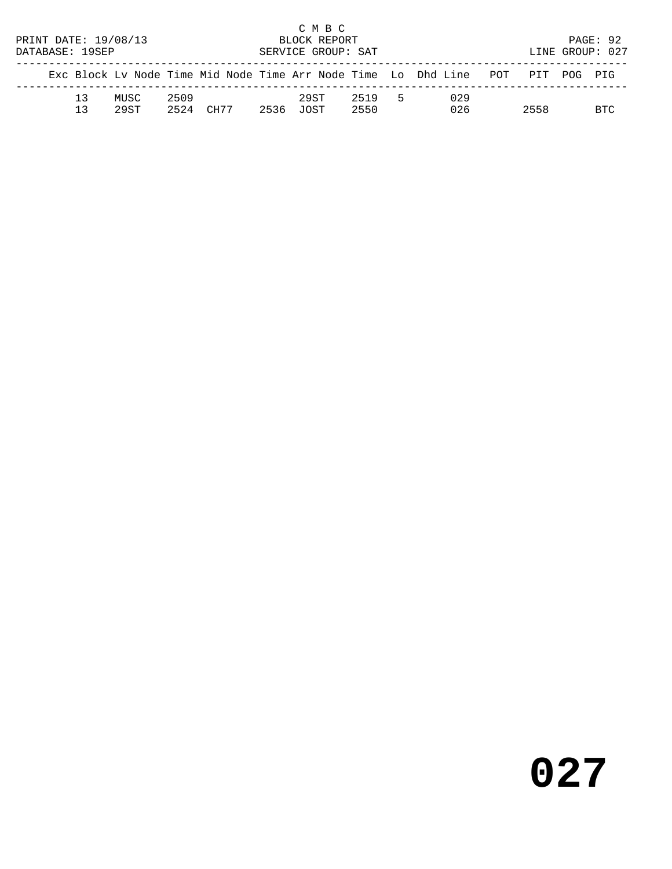| PRINT DATE: 19/08/13<br>DATABASE: 19SEP |          |               |              |      |      | C M B C<br>BLOCK REPORT<br>SERVICE GROUP: SAT |              |    |                                                                |                 | PAGE: 92<br>LINE GROUP: 027 |
|-----------------------------------------|----------|---------------|--------------|------|------|-----------------------------------------------|--------------|----|----------------------------------------------------------------|-----------------|-----------------------------|
|                                         |          |               |              |      |      |                                               |              |    | Exc Block Ly Node Time Mid Node Time Arr Node Time Lo Dhd Line | POT PIT POG PIG |                             |
|                                         | 13<br>13 | MUSC<br>29.ST | 2509<br>2524 | CH77 | 2536 | 29ST<br>TOST.                                 | 2519<br>2550 | -5 | 029<br>026                                                     | 2558            | BTC.                        |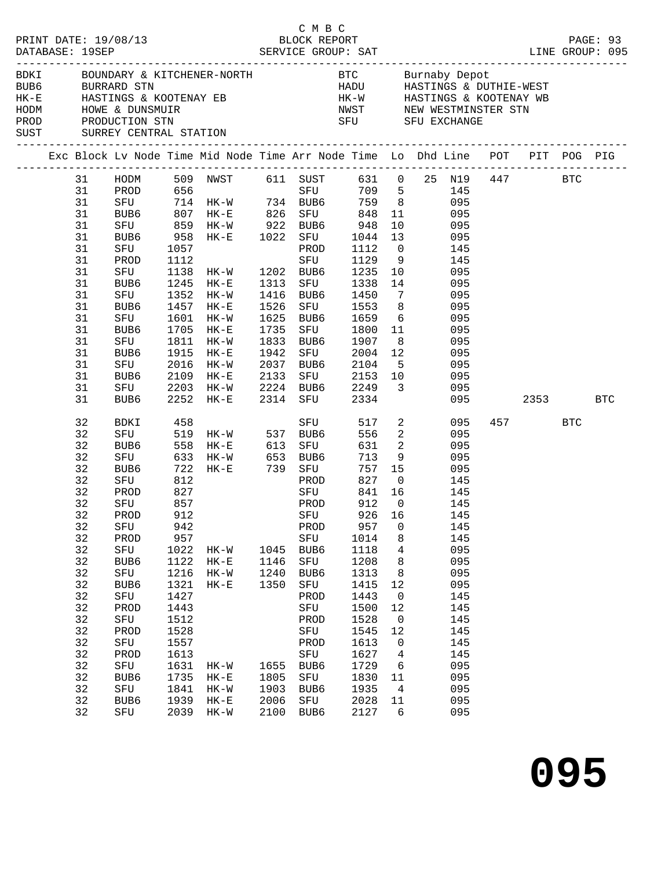|  | DATABASE: 19SEP |                                                 |            | PRINT DATE: 19/08/13 BLOCK REPORT                                       |      | C M B C               |                     |                          |                                                                                                                                                                                                                                                                                                                                     |          | PAGE: 93 |
|--|-----------------|-------------------------------------------------|------------|-------------------------------------------------------------------------|------|-----------------------|---------------------|--------------------------|-------------------------------------------------------------------------------------------------------------------------------------------------------------------------------------------------------------------------------------------------------------------------------------------------------------------------------------|----------|----------|
|  |                 | BUB6 BURRARD STN<br>SUST SURREY CENTRAL STATION |            |                                                                         |      |                       |                     |                          | BDKI BOUNDARY & KITCHENER-NORTH BTC Burnaby Depot<br>HADU HASTINGS & DUTHIE-WEST                                                                                                                                                                                                                                                    |          |          |
|  |                 |                                                 |            |                                                                         |      |                       |                     |                          | Exc Block Lv Node Time Mid Node Time Arr Node Time Lo Dhd Line POT PIT POG PIG                                                                                                                                                                                                                                                      |          |          |
|  |                 |                                                 |            |                                                                         |      |                       |                     |                          | 31 HODM 509 NWST 611 SUST 631 0 25 N19 447 BTC                                                                                                                                                                                                                                                                                      |          |          |
|  |                 |                                                 |            |                                                                         |      |                       |                     |                          | 145                                                                                                                                                                                                                                                                                                                                 |          |          |
|  |                 |                                                 |            |                                                                         |      |                       |                     |                          |                                                                                                                                                                                                                                                                                                                                     |          |          |
|  |                 |                                                 |            |                                                                         |      |                       |                     |                          | $\begin{tabular}{lllllllllll} 31 & \text{PROD} & 656 & \text{SFU} & 709 & 5 & 145 \\ 31 & \text{SFU} & 714 & \text{HK-W} & 734 & \text{BUB6} & 759 & 8 & 095 \\ 31 & \text{BUB6} & 807 & \text{HK-E} & 826 & \text{SFU} & 848 & 11 & 095 \\ 31 & \text{SFU} & 859 & \text{HK-W} & 922 & \text{BUB6} & 948 & 10 & 095 \end{tabular}$ |          |          |
|  |                 |                                                 |            |                                                                         |      |                       |                     |                          |                                                                                                                                                                                                                                                                                                                                     |          |          |
|  | 31              | BUB6                                            |            | 958 HK-E 1022 SFU                                                       |      |                       | 1044 13             |                          | 095                                                                                                                                                                                                                                                                                                                                 |          |          |
|  | 31              | SFU                                             | 1057       |                                                                         |      | PROD                  | 1112 0<br>1129 9    |                          | 145                                                                                                                                                                                                                                                                                                                                 |          |          |
|  | 31              | PROD                                            | 1112       |                                                                         |      | SFU                   | 1129 9              |                          | 145                                                                                                                                                                                                                                                                                                                                 |          |          |
|  | 31              | SFU                                             |            | 1138 HK-W 1202 BUB6                                                     |      |                       | 1235 10             |                          | 095                                                                                                                                                                                                                                                                                                                                 |          |          |
|  | 31              | BUB6                                            |            | 1245 HK-E                                                               | 1313 | SFU                   | 1338 14             |                          | 095                                                                                                                                                                                                                                                                                                                                 |          |          |
|  | 31              | SFU                                             |            | 1352 HK-W                                                               | 1416 | BUB6                  | 1450 7              |                          | 095                                                                                                                                                                                                                                                                                                                                 |          |          |
|  | 31              | BUB6                                            |            | 1457 HK-E                                                               | 1526 | SFU                   | 1553 8<br>1659 6    |                          | 095                                                                                                                                                                                                                                                                                                                                 |          |          |
|  | 31              | SFU                                             |            | 1601 HK-W                                                               |      | 1625 BUB6             |                     |                          | 095                                                                                                                                                                                                                                                                                                                                 |          |          |
|  | 31              | BUB6                                            |            | 1705 HK-E                                                               |      | 1735 SFU              | 1800 11             |                          | 095                                                                                                                                                                                                                                                                                                                                 |          |          |
|  | 31              | SFU                                             | 1811       | HK-W                                                                    |      | 1833 BUB6             | 1907 8              |                          | 095                                                                                                                                                                                                                                                                                                                                 |          |          |
|  | 31              | BUB6<br>SFU                                     | 1915       | $HK-E$                                                                  |      | 1942 SFU<br>2037 BUB6 | 2004 12<br>$2104$ 5 |                          | 095                                                                                                                                                                                                                                                                                                                                 |          |          |
|  | 31              |                                                 |            | 2016 HK-W<br>2109 HK-E 2133 SFU 2153 10                                 |      |                       |                     |                          | 095                                                                                                                                                                                                                                                                                                                                 |          |          |
|  | 31<br>31        | BUB6                                            |            |                                                                         |      |                       | 2224 BUB6 2249 3    |                          | 095<br>095                                                                                                                                                                                                                                                                                                                          |          |          |
|  | 31              | SFU 2203 HK-W<br>BUB6                           |            | 2252 HK-E                                                               |      | 2314 SFU              | 2334                |                          | 095                                                                                                                                                                                                                                                                                                                                 | 2353 BTC |          |
|  | 32              | BDKI                                            | 458        |                                                                         |      | SFU                   |                     |                          | 517 2<br>095                                                                                                                                                                                                                                                                                                                        | 457 BTC  |          |
|  | 32              |                                                 |            | SFU 519 HK-W 537 BUB6<br>BUB6 558 HK-E 613 SFU<br>SFU 633 HK-W 653 BUB6 |      |                       | 556                 |                          | $\overline{\mathbf{c}}$<br>095                                                                                                                                                                                                                                                                                                      |          |          |
|  | 32              |                                                 |            |                                                                         |      |                       | 631 2<br>713 9      |                          | 095                                                                                                                                                                                                                                                                                                                                 |          |          |
|  | 32              |                                                 |            |                                                                         |      |                       |                     |                          | 095                                                                                                                                                                                                                                                                                                                                 |          |          |
|  | 32              | BUB6                                            |            |                                                                         |      |                       |                     |                          | 757 15<br>095                                                                                                                                                                                                                                                                                                                       |          |          |
|  | 32              | SFU                                             | 812        |                                                                         |      | PROD                  | 827                 |                          | $\overline{0}$<br>145                                                                                                                                                                                                                                                                                                               |          |          |
|  | 32              | PROD                                            |            |                                                                         |      | SFU                   | 841 16              |                          |                                                                                                                                                                                                                                                                                                                                     |          |          |
|  | 32              | SFU                                             | 827<br>857 |                                                                         |      | PROD                  | 912 0               |                          | 145<br>145                                                                                                                                                                                                                                                                                                                          |          |          |
|  | 32              | PROD 912                                        |            |                                                                         |      | SFU                   |                     |                          | 926 16 145                                                                                                                                                                                                                                                                                                                          |          |          |
|  | 32              | SFU                                             | 942        |                                                                         |      | PROD                  | 957                 | $\mathbf 0$              | 145                                                                                                                                                                                                                                                                                                                                 |          |          |
|  | 32              | PROD                                            | 957        |                                                                         |      | SFU                   | 1014                | 8                        | 145                                                                                                                                                                                                                                                                                                                                 |          |          |
|  | 32              | SFU                                             | 1022       | $HK - W$                                                                |      | 1045 BUB6             | 1118                | $\overline{4}$           | 095                                                                                                                                                                                                                                                                                                                                 |          |          |
|  | 32              | BUB <sub>6</sub>                                | 1122       | $HK-E$                                                                  | 1146 | SFU                   | 1208                | 8                        | 095                                                                                                                                                                                                                                                                                                                                 |          |          |
|  | 32              | SFU                                             | 1216       | HK-W                                                                    | 1240 | BUB6                  | 1313                | 8                        | 095                                                                                                                                                                                                                                                                                                                                 |          |          |
|  | 32              | BUB6                                            | 1321       | $HK-E$                                                                  | 1350 | SFU                   | 1415                | 12                       | 095                                                                                                                                                                                                                                                                                                                                 |          |          |
|  | 32              | SFU                                             | 1427       |                                                                         |      | PROD                  | 1443                | $\overline{\mathbf{0}}$  | 145                                                                                                                                                                                                                                                                                                                                 |          |          |
|  | 32              | PROD                                            | 1443       |                                                                         |      | SFU                   | 1500                | 12                       | 145                                                                                                                                                                                                                                                                                                                                 |          |          |
|  | 32              | SFU                                             | 1512       |                                                                         |      | PROD                  | 1528                | $\overline{\phantom{0}}$ | 145                                                                                                                                                                                                                                                                                                                                 |          |          |
|  | 32              | PROD                                            | 1528       |                                                                         |      | SFU                   | 1545                | 12                       | 145                                                                                                                                                                                                                                                                                                                                 |          |          |
|  | 32              | SFU                                             | 1557       |                                                                         |      | PROD                  | 1613                | $\mathbf 0$              | 145                                                                                                                                                                                                                                                                                                                                 |          |          |
|  | 32              | PROD                                            | 1613       |                                                                         |      | SFU                   | 1627                | $\overline{4}$           | 145                                                                                                                                                                                                                                                                                                                                 |          |          |
|  | 32              | SFU                                             | 1631       | HK-W                                                                    |      | 1655 BUB6             | 1729                | $6\overline{6}$          | 095                                                                                                                                                                                                                                                                                                                                 |          |          |
|  | 32              | BUB6                                            | 1735       | $HK-E$                                                                  | 1805 | SFU                   | 1830                | 11                       | 095                                                                                                                                                                                                                                                                                                                                 |          |          |
|  | 32              | SFU                                             | 1841       | $HK-W$                                                                  | 1903 | BUB6                  | 1935                | $\overline{4}$           | 095                                                                                                                                                                                                                                                                                                                                 |          |          |
|  | 32              | BUB6                                            | 1939       | $HK-E$                                                                  | 2006 | SFU                   | 2028                | 11                       | 095                                                                                                                                                                                                                                                                                                                                 |          |          |
|  | 32              | SFU                                             | 2039       | $HK-W$                                                                  |      | 2100 BUB6             | 2127                | 6                        | 095                                                                                                                                                                                                                                                                                                                                 |          |          |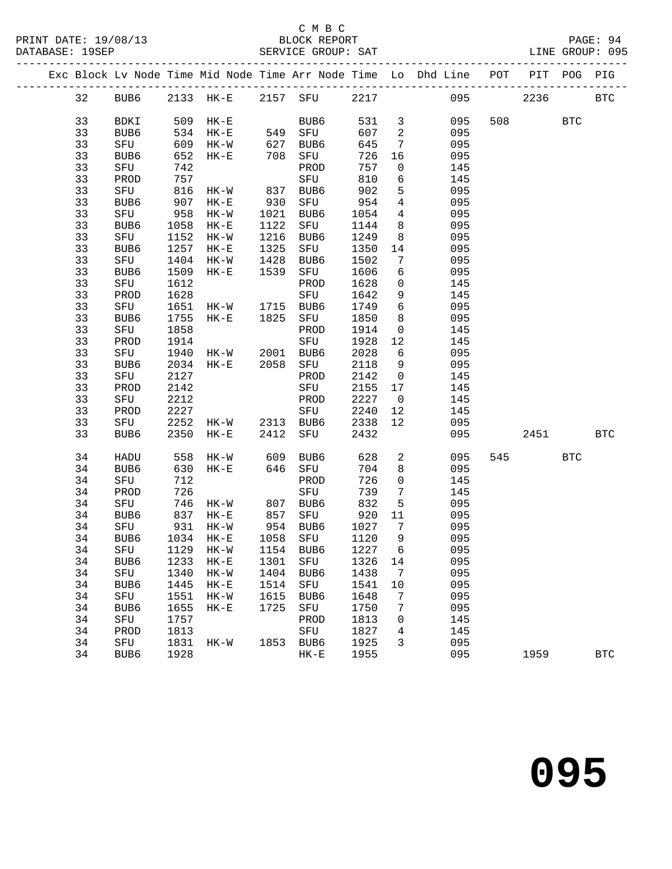#### C M B C<br>BLOCK REPORT

|  |          |                  |      |                       |              |                                |              |                            | Exc Block Lv Node Time Mid Node Time Arr Node Time Lo Dhd Line POT |     | PIT  | POG        | PIG          |
|--|----------|------------------|------|-----------------------|--------------|--------------------------------|--------------|----------------------------|--------------------------------------------------------------------|-----|------|------------|--------------|
|  | 32       | BUB6             |      | 2133 HK-E             |              | 2157 SFU                       | 2217         |                            | 095                                                                |     | 2236 |            | $_{\rm BTC}$ |
|  | 33       | BDKI             | 509  | $HK-E$                |              | BUB6                           | 531          | $\overline{\mathbf{3}}$    | 095                                                                | 508 |      | <b>BTC</b> |              |
|  | 33       | BUB6             | 534  | $HK-E$                | 549          | SFU                            | 607          | $\overline{\phantom{a}}^2$ | 095                                                                |     |      |            |              |
|  | 33       | SFU              | 609  | $HK-W$                | 627          | BUB6                           | 645          | $7\phantom{.0}$            | 095                                                                |     |      |            |              |
|  | 33       | BUB6             | 652  | $HK-E$                | 708          | SFU                            | 726          | 16                         | 095                                                                |     |      |            |              |
|  | 33       | SFU              | 742  |                       |              | PROD                           | 757          | $\mathsf{O}$               | 145                                                                |     |      |            |              |
|  | 33       | PROD             | 757  |                       |              | SFU                            | 810          | 6                          | 145                                                                |     |      |            |              |
|  | 33       | SFU              | 816  | HK-W                  | 837          | BUB6                           | 902          | 5                          | 095                                                                |     |      |            |              |
|  | 33       | BUB6             | 907  | $HK-E$                | 930          | SFU                            | 954          | $\overline{4}$             | 095                                                                |     |      |            |              |
|  | 33       | SFU              | 958  | $HK-W$                | 1021         | BUB6                           | 1054         | $\overline{4}$             | 095                                                                |     |      |            |              |
|  | 33       | BUB6             | 1058 | $HK-E$                | 1122         | SFU                            | 1144         | 8                          | 095                                                                |     |      |            |              |
|  | 33       | SFU              | 1152 | HK-W                  | 1216         | BUB6                           | 1249         | 8                          | 095                                                                |     |      |            |              |
|  | 33       | BUB6             | 1257 | $HK-E$                | 1325         | SFU                            | 1350         | 14                         | 095                                                                |     |      |            |              |
|  | 33       | SFU              | 1404 | $HK-W$                | 1428         | BUB6                           | 1502         | $7\phantom{.0}$            | 095                                                                |     |      |            |              |
|  | 33       | BUB6             | 1509 | $HK-E$                | 1539         | SFU                            | 1606         | 6                          | 095                                                                |     |      |            |              |
|  | 33       | SFU              | 1612 |                       |              | PROD                           | 1628         | $\mathsf{O}$               | 145                                                                |     |      |            |              |
|  | 33       | PROD             | 1628 |                       |              | SFU                            | 1642         | 9                          | 145                                                                |     |      |            |              |
|  | 33       | SFU              | 1651 | HK-W                  | 1715<br>1825 | BUB6                           | 1749         | 6                          | 095                                                                |     |      |            |              |
|  | 33       | BUB6             | 1755 | $HK-E$                |              | SFU                            | 1850         | 8                          | 095                                                                |     |      |            |              |
|  | 33       | SFU              | 1858 |                       |              | PROD                           | 1914         | $\mathsf{O}$               | 145                                                                |     |      |            |              |
|  | 33       | PROD             | 1914 |                       |              | SFU                            | 1928         | 12                         | 145                                                                |     |      |            |              |
|  | 33       | SFU              | 1940 | $HK-W$                | 2001         | BUB6                           | 2028         | 6                          | 095                                                                |     |      |            |              |
|  | 33       | BUB6             | 2034 | $HK-E$                | 2058         | SFU                            | 2118         | 9                          | 095                                                                |     |      |            |              |
|  | 33       | SFU              | 2127 |                       |              | PROD                           | 2142         | $\overline{0}$             | 145                                                                |     |      |            |              |
|  | 33       | PROD             | 2142 |                       |              | SFU                            | 2155         | 17                         | 145                                                                |     |      |            |              |
|  | 33       | SFU              | 2212 |                       |              | PROD                           | 2227         | $\overline{0}$             | 145                                                                |     |      |            |              |
|  | 33       | PROD             | 2227 |                       |              | SFU                            | 2240         | 12                         | 145                                                                |     |      |            |              |
|  | 33       | SFU              | 2252 | $HK-W$                |              | 2313 BUB6                      | 2338         | 12                         | 095                                                                |     |      |            |              |
|  | 33       | BUB6             | 2350 | $HK-E$                | 2412         | SFU                            | 2432         |                            | 095                                                                |     | 2451 |            | <b>BTC</b>   |
|  | 34       | HADU             | 558  | HK-W                  | 609          | BUB6                           | 628          | $\overline{a}$             | 095                                                                | 545 |      | <b>BTC</b> |              |
|  | 34       | BUB6             | 630  | $HK-E$                | 646          | SFU                            | 704          | 8                          | 095                                                                |     |      |            |              |
|  | 34       | SFU              | 712  |                       |              | PROD                           | 726          | $\mathsf{O}$               | 145                                                                |     |      |            |              |
|  | 34       | PROD             | 726  |                       |              | SFU                            | 739          | 7                          | 145                                                                |     |      |            |              |
|  | 34       | SFU              | 746  | HK-W                  | 807<br>857   | BUB6                           | 832          | 5                          | 095                                                                |     |      |            |              |
|  | 34       | BUB6             | 837  | $HK-E$                | 954          | SFU                            | 920          | 11                         | 095                                                                |     |      |            |              |
|  | 34<br>34 | SFU<br>BUB6      |      | 931 HK-W<br>1034 HK-E | 1058         | BUB6<br>SFU                    | 1027<br>1120 | $7\overline{ }$<br>9       | 095<br>095                                                         |     |      |            |              |
|  | 34       |                  |      |                       |              | SFU 1129 HK-W 1154 BUB6 1227 6 |              |                            | 095                                                                |     |      |            |              |
|  | 34       | BUB6             | 1233 | $HK-E$                | 1301         | SFU                            | 1326         | 14                         | 095                                                                |     |      |            |              |
|  | 34       | SFU              | 1340 | $HK-W$                | 1404         | BUB6                           | 1438         | 7                          | 095                                                                |     |      |            |              |
|  | 34       | BUB <sub>6</sub> | 1445 | $HK-E$                | 1514         | SFU                            | 1541         | 10                         | 095                                                                |     |      |            |              |
|  | 34       | SFU              | 1551 | $HK-W$                | 1615         | BUB6                           | 1648         | 7                          | 095                                                                |     |      |            |              |
|  | 34       | BUB6             | 1655 | $HK-E$                | 1725         | SFU                            | 1750         | 7                          | 095                                                                |     |      |            |              |
|  | 34       | SFU              | 1757 |                       |              | PROD                           | 1813         | 0                          | 145                                                                |     |      |            |              |
|  | 34       | PROD             | 1813 |                       |              | SFU                            | 1827         | 4                          | 145                                                                |     |      |            |              |
|  | 34       | SFU              | 1831 | $HK-W$                | 1853         | BUB6                           | 1925         | 3                          | 095                                                                |     |      |            |              |
|  | 34       | BUB6             | 1928 |                       |              | $HK-E$                         | 1955         |                            | 095                                                                |     | 1959 |            | <b>BTC</b>   |
|  |          |                  |      |                       |              |                                |              |                            |                                                                    |     |      |            |              |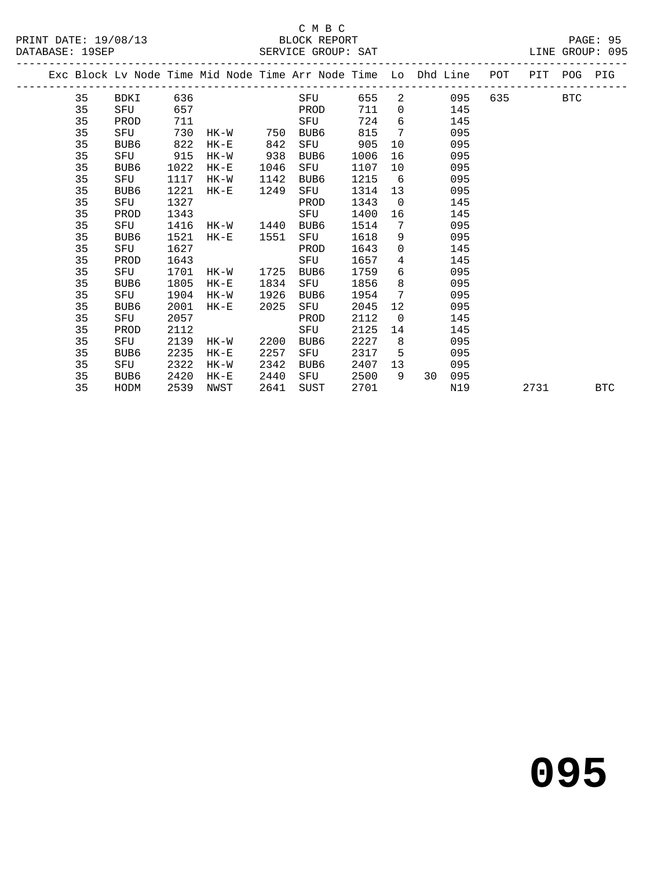#### C M B C<br>BLOCK REPORT

SERVICE GROUP: SAT

|  |    |      |      |                        |      | Exc Block Lv Node Time Mid Node Time Arr Node Time Lo Dhd Line |      |                 |                                       |     | POT PIT POG PIG |            |
|--|----|------|------|------------------------|------|----------------------------------------------------------------|------|-----------------|---------------------------------------|-----|-----------------|------------|
|  | 35 | BDKI |      | 636 886                |      | SFU                                                            | 655  |                 | $2 \left( \frac{1}{2} \right)$<br>095 | 635 | <b>EXECUTE:</b> |            |
|  | 35 | SFU  | 657  | <b>Example 19 PROD</b> |      |                                                                | 711  |                 | $\Omega$<br>145                       |     |                 |            |
|  | 35 | PROD | 711  |                        |      | SFU                                                            | 724  | 6               | 145                                   |     |                 |            |
|  | 35 | SFU  | 730  | HK-W                   | 750  | BUB6                                                           | 815  | 7               | 095                                   |     |                 |            |
|  | 35 | BUB6 | 822  | $HK-E$                 | 842  | SFU                                                            | 905  | 10              | 095                                   |     |                 |            |
|  | 35 | SFU  | 915  | HK-W                   | 938  | BUB6                                                           | 1006 | 16 —            | 095                                   |     |                 |            |
|  | 35 | BUB6 | 1022 | $HK-E$                 | 1046 | SFU                                                            | 1107 | 10              | 095                                   |     |                 |            |
|  | 35 | SFU  | 1117 | $HK-W$                 | 1142 | BUB6                                                           | 1215 | 6               | 095                                   |     |                 |            |
|  | 35 | BUB6 | 1221 | $HK-E$                 | 1249 | SFU                                                            | 1314 | 13              | 095                                   |     |                 |            |
|  | 35 | SFU  | 1327 |                        |      | PROD                                                           | 1343 | $\overline{0}$  | 145                                   |     |                 |            |
|  | 35 | PROD | 1343 |                        |      | SFU                                                            | 1400 | 16              | 145                                   |     |                 |            |
|  | 35 | SFU  | 1416 | HK-W 1440              |      | BUB6                                                           | 1514 | 7               | 095                                   |     |                 |            |
|  | 35 | BUB6 | 1521 | $HK-E$                 | 1551 | SFU                                                            | 1618 | 9               | 095                                   |     |                 |            |
|  | 35 | SFU  | 1627 |                        |      | PROD                                                           | 1643 | $\overline{0}$  | 145                                   |     |                 |            |
|  | 35 | PROD | 1643 |                        |      | SFU                                                            | 1657 | $4\overline{ }$ | 145                                   |     |                 |            |
|  | 35 | SFU  | 1701 | HK-W                   | 1725 | BUB6                                                           | 1759 | $6\overline{6}$ | 095                                   |     |                 |            |
|  | 35 | BUB6 | 1805 | $HK-E$                 | 1834 | SFU                                                            | 1856 | 8               | 095                                   |     |                 |            |
|  | 35 | SFU  | 1904 | HK-W                   | 1926 | BUB6                                                           | 1954 | $7\overline{ }$ | 095                                   |     |                 |            |
|  | 35 | BUB6 | 2001 | $HK-E$                 | 2025 | SFU                                                            | 2045 | 12 <sup>7</sup> | 095                                   |     |                 |            |
|  | 35 | SFU  | 2057 |                        |      | PROD                                                           | 2112 | $\overline{0}$  | 145                                   |     |                 |            |
|  | 35 | PROD | 2112 |                        |      | SFU                                                            | 2125 | 14              | 145                                   |     |                 |            |
|  | 35 | SFU  | 2139 | $HK-W$                 | 2200 | BUB6                                                           | 2227 | 8 <sup>8</sup>  | 095                                   |     |                 |            |
|  | 35 | BUB6 | 2235 | $HK-E$                 | 2257 | SFU                                                            | 2317 | 5               | 095                                   |     |                 |            |
|  | 35 | SFU  | 2322 | $HK-W$                 | 2342 | BUB6                                                           | 2407 | 13              | 095                                   |     |                 |            |
|  | 35 | BUB6 | 2420 | $HK-E$                 | 2440 | SFU                                                            | 2500 | 9               | 30 ·<br>095                           |     |                 |            |
|  | 35 | HODM | 2539 | NWST                   | 2641 | SUST                                                           | 2701 |                 | N19                                   |     | 2731            | <b>BTC</b> |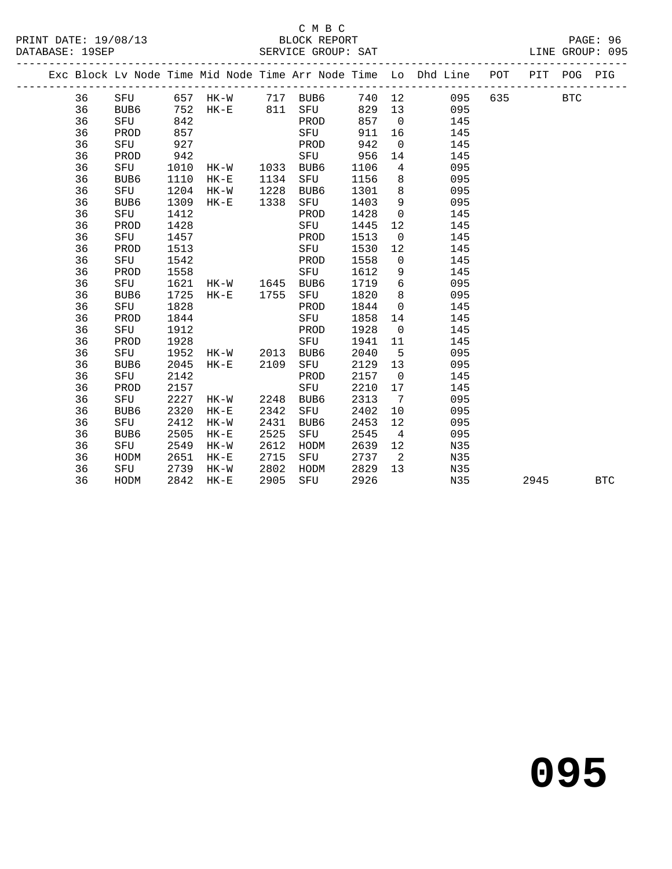#### C M B C<br>BLOCK REPORT

|  |    |                  |      |           |      |          |        |                            | Exc Block Lv Node Time Mid Node Time Arr Node Time Lo Dhd Line POT |     | PIT POG |            | PIG        |
|--|----|------------------|------|-----------|------|----------|--------|----------------------------|--------------------------------------------------------------------|-----|---------|------------|------------|
|  | 36 | SFU              |      | 657 HK-W  |      | 717 BUB6 | 740 12 |                            | 095                                                                | 635 |         | <b>BTC</b> |            |
|  | 36 | BUB6             | 752  | HK-E      | 811  | SFU      | 829    | 13                         | 095                                                                |     |         |            |            |
|  | 36 | SFU              | 842  |           |      | PROD     | 857    | $\overline{0}$             | 145                                                                |     |         |            |            |
|  | 36 | PROD             | 857  |           |      | SFU      | 911    | 16                         | 145                                                                |     |         |            |            |
|  | 36 | SFU              | 927  |           |      | PROD     | 942    | $\overline{0}$             | 145                                                                |     |         |            |            |
|  | 36 | PROD             | 942  |           |      | SFU      | 956    | 14                         | 145                                                                |     |         |            |            |
|  | 36 | SFU              | 1010 | HK-W      | 1033 | BUB6     | 1106   | $\overline{4}$             | 095                                                                |     |         |            |            |
|  | 36 | BUB6             | 1110 | $HK-E$    | 1134 | SFU      | 1156   | 8                          | 095                                                                |     |         |            |            |
|  | 36 | SFU              | 1204 | $HK-W$    | 1228 | BUB6     | 1301   | 8                          | 095                                                                |     |         |            |            |
|  | 36 | BUB <sub>6</sub> | 1309 | $HK-E$    | 1338 | SFU      | 1403   | 9                          | 095                                                                |     |         |            |            |
|  | 36 | SFU              | 1412 |           |      | PROD     | 1428   | $\overline{\phantom{0}}$   | 145                                                                |     |         |            |            |
|  | 36 | PROD             | 1428 |           |      | SFU      | 1445   | 12                         | 145                                                                |     |         |            |            |
|  | 36 | SFU              | 1457 |           |      | PROD     | 1513   | $\overline{0}$             | 145                                                                |     |         |            |            |
|  | 36 | PROD             | 1513 |           |      | SFU      | 1530   | 12                         | 145                                                                |     |         |            |            |
|  | 36 | SFU              | 1542 |           |      | PROD     | 1558   | $\overline{0}$             | 145                                                                |     |         |            |            |
|  | 36 | PROD             | 1558 |           |      | SFU      | 1612   | 9                          | 145                                                                |     |         |            |            |
|  | 36 | SFU              | 1621 | HK-W 1645 |      | BUB6     | 1719   | 6                          | 095                                                                |     |         |            |            |
|  | 36 | BUB6             | 1725 | $HK-E$    | 1755 | SFU      | 1820   | 8 <sup>8</sup>             | 095                                                                |     |         |            |            |
|  | 36 | SFU              | 1828 |           |      | PROD     | 1844   | $\overline{0}$             | 145                                                                |     |         |            |            |
|  | 36 | PROD             | 1844 |           |      | SFU      | 1858   | 14                         | 145                                                                |     |         |            |            |
|  | 36 | SFU              | 1912 |           |      | PROD     | 1928   | $\overline{0}$             | 145                                                                |     |         |            |            |
|  | 36 | PROD             | 1928 |           |      | SFU      | 1941   | 11                         | 145                                                                |     |         |            |            |
|  | 36 | SFU              | 1952 | HK-W      | 2013 | BUB6     | 2040   | $-5$                       | 095                                                                |     |         |            |            |
|  | 36 | BUB6             | 2045 | $HK-E$    | 2109 | SFU      | 2129   | 13                         | 095                                                                |     |         |            |            |
|  | 36 | SFU              | 2142 |           |      | PROD     | 2157   | $\overline{0}$             | 145                                                                |     |         |            |            |
|  | 36 | PROD             | 2157 |           |      | SFU      | 2210   | 17                         | 145                                                                |     |         |            |            |
|  | 36 | SFU              | 2227 | HK-W      | 2248 | BUB6     | 2313   | $\overline{7}$             | 095                                                                |     |         |            |            |
|  | 36 | BUB6             | 2320 | $HK-E$    | 2342 | SFU      | 2402   | 10                         | 095                                                                |     |         |            |            |
|  | 36 | SFU              | 2412 | $HK-W$    | 2431 | BUB6     | 2453   | 12                         | 095                                                                |     |         |            |            |
|  | 36 | BUB6             | 2505 | $HK-E$    | 2525 | SFU      | 2545   | $\overline{4}$             | 095                                                                |     |         |            |            |
|  | 36 | SFU              | 2549 | $HK-W$    | 2612 | HODM     | 2639   | 12                         | N35                                                                |     |         |            |            |
|  | 36 | HODM             | 2651 | $HK-E$    | 2715 | SFU      | 2737   | $\overline{\phantom{0}}^2$ | N35                                                                |     |         |            |            |
|  | 36 | SFU              | 2739 | $HK-W$    | 2802 | HODM     | 2829   | 13                         | N35                                                                |     |         |            |            |
|  | 36 | HODM             | 2842 | $HK - E$  | 2905 | SFU      | 2926   |                            | N35                                                                |     | 2945    |            | <b>BTC</b> |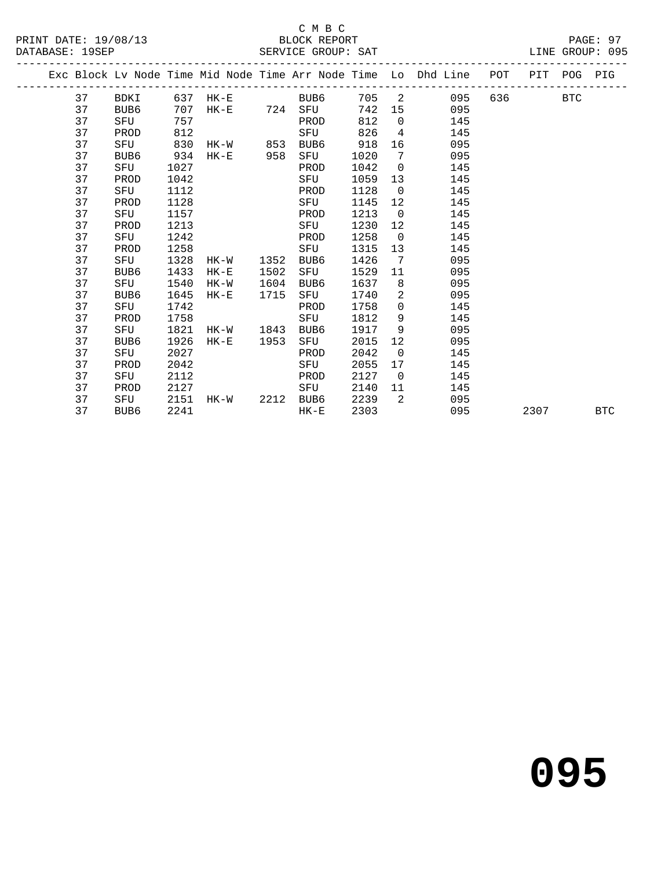#### C M B C<br>BLOCK REPORT

|  |    |      |      |                                                                                                                           |      |                    |      |                 | Exc Block Lv Node Time Mid Node Time Arr Node Time Lo Dhd Line POT PIT POG PIG |       |      |            |            |
|--|----|------|------|---------------------------------------------------------------------------------------------------------------------------|------|--------------------|------|-----------------|--------------------------------------------------------------------------------|-------|------|------------|------------|
|  | 37 |      |      |                                                                                                                           |      | BDKI 637 HK-E BUB6 |      |                 | 705 2 095                                                                      | 636 7 |      | <b>BTC</b> |            |
|  | 37 | BUB6 | 707  |                                                                                                                           |      | HK-E 724 SFU       | 742  |                 | 095<br>15                                                                      |       |      |            |            |
|  | 37 | SFU  | 757  |                                                                                                                           |      | PROD               | 812  | $\overline{0}$  | 145                                                                            |       |      |            |            |
|  | 37 | PROD | 812  |                                                                                                                           |      | SFU                | 826  |                 | 145<br>$4\overline{ }$                                                         |       |      |            |            |
|  | 37 | SFU  | 830  | HK-W 853 BUB6                                                                                                             |      |                    | 918  | 16              | 095                                                                            |       |      |            |            |
|  | 37 | BUB6 | 934  | HK-E                                                                                                                      | 958  | SFU                | 1020 | $7\overline{ }$ | 095                                                                            |       |      |            |            |
|  | 37 | SFU  | 1027 |                                                                                                                           |      | PROD               | 1042 | $\overline{0}$  | 145                                                                            |       |      |            |            |
|  | 37 | PROD | 1042 |                                                                                                                           |      | SFU                | 1059 | 13              | 145                                                                            |       |      |            |            |
|  | 37 | SFU  | 1112 |                                                                                                                           |      | PROD               | 1128 | $\overline{0}$  | 145                                                                            |       |      |            |            |
|  | 37 | PROD | 1128 |                                                                                                                           |      | SFU                | 1145 | 12              | 145                                                                            |       |      |            |            |
|  | 37 | SFU  | 1157 |                                                                                                                           |      | PROD               | 1213 | $\overline{0}$  | 145                                                                            |       |      |            |            |
|  | 37 | PROD | 1213 |                                                                                                                           |      | SFU                | 1230 | 12              | 145                                                                            |       |      |            |            |
|  | 37 | SFU  | 1242 |                                                                                                                           |      | PROD               | 1258 | $\overline{0}$  | 145                                                                            |       |      |            |            |
|  | 37 | PROD | 1258 |                                                                                                                           |      | SFU                | 1315 | 13              | 145                                                                            |       |      |            |            |
|  | 37 | SFU  | 1328 | HK-W                                                                                                                      | 1352 | BUB6               | 1426 | $\overline{7}$  | 095                                                                            |       |      |            |            |
|  | 37 | BUB6 | 1433 | $HK-E$                                                                                                                    | 1502 | SFU                | 1529 | 11              | 095                                                                            |       |      |            |            |
|  | 37 | SFU  | 1540 | HK-W                                                                                                                      | 1604 | BUB6               | 1637 | 8 <sup>8</sup>  | 095                                                                            |       |      |            |            |
|  | 37 | BUB6 | 1645 | $HK-E$                                                                                                                    | 1715 | SFU                | 1740 |                 | $2 \left( \frac{1}{2} \right)$<br>095                                          |       |      |            |            |
|  | 37 | SFU  | 1742 |                                                                                                                           |      | PROD               | 1758 | $\overline{0}$  | 145                                                                            |       |      |            |            |
|  | 37 | PROD | 1758 |                                                                                                                           |      | SFU                | 1812 | 9               | 145                                                                            |       |      |            |            |
|  | 37 | SFU  | 1821 | HK-W 1843                                                                                                                 |      | BUB6               | 1917 | 9               | 095                                                                            |       |      |            |            |
|  | 37 | BUB6 | 1926 | $HK-E$                                                                                                                    | 1953 | SFU                | 2015 | 12 <sup>°</sup> | 095                                                                            |       |      |            |            |
|  | 37 | SFU  | 2027 |                                                                                                                           |      | PROD               | 2042 | $\overline{0}$  | 145                                                                            |       |      |            |            |
|  | 37 | PROD | 2042 |                                                                                                                           |      | SFU                | 2055 | 17              | 145                                                                            |       |      |            |            |
|  | 37 | SFU  | 2112 | <u>ng taun 1980 na sa tanag salah sahiji désa di kacamatan sahiji désa di kacamatan salah sahiji désa di kacamatan sa</u> |      |                    | 2127 | $\overline{0}$  | 145                                                                            |       |      |            |            |
|  | 37 | PROD | 2127 |                                                                                                                           |      | SFU                | 2140 | 11              | 145                                                                            |       |      |            |            |
|  | 37 | SFU  |      | 2151 HK-W                                                                                                                 |      | 2212 BUB6          | 2239 | $\overline{2}$  | 095                                                                            |       |      |            |            |
|  | 37 | BUB6 | 2241 |                                                                                                                           |      | $HK-E$             | 2303 |                 | 095                                                                            |       | 2307 |            | <b>BTC</b> |
|  |    |      |      |                                                                                                                           |      |                    |      |                 |                                                                                |       |      |            |            |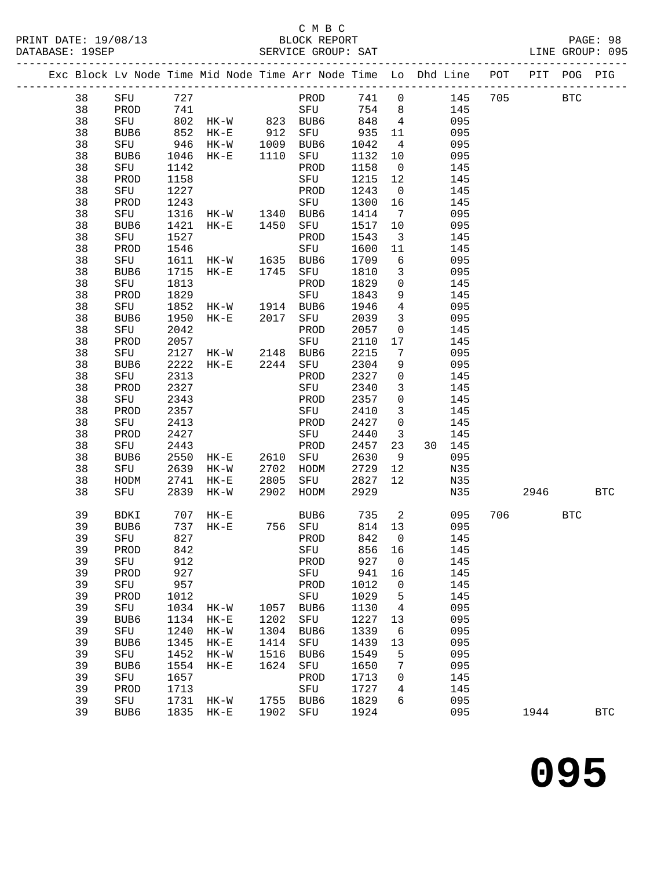#### C M B C<br>BLOCK REPORT

|  |    |          |      |                                    |      |           |        |                              | Exc Block Lv Node Time Mid Node Time Arr Node Time Lo Dhd Line POT PIT POG PIG |     |            |            |
|--|----|----------|------|------------------------------------|------|-----------|--------|------------------------------|--------------------------------------------------------------------------------|-----|------------|------------|
|  | 38 | SFU 727  |      |                                    |      | PROD      |        |                              | 741 0<br>145 705                                                               |     | <b>BTC</b> |            |
|  | 38 | PROD     | 741  |                                    |      | SFU       | 754 8  |                              | 145                                                                            |     |            |            |
|  | 38 | SFU      |      | 802 HK-W 823 BUB6                  |      |           | 848    | $\overline{4}$               | 095                                                                            |     |            |            |
|  | 38 | BUB6     | 852  | HK-E 912<br>HK-W 1009<br>HK-E 1110 |      | SFU       | 935    | 11                           | 095                                                                            |     |            |            |
|  | 38 | SFU      | 946  |                                    |      | BUB6      | 1042   | $\overline{4}$               | 095                                                                            |     |            |            |
|  | 38 | BUB6     | 1046 |                                    |      | SFU       | 1132   | 10                           | 095                                                                            |     |            |            |
|  | 38 | SFU      | 1142 |                                    |      | PROD      | 1158   | $\overline{0}$               | 145                                                                            |     |            |            |
|  | 38 | PROD     | 1158 |                                    |      | SFU       | 1215   | 12                           | 145                                                                            |     |            |            |
|  | 38 | SFU      | 1227 |                                    |      | PROD      | 1243   | $\overline{0}$               | 145                                                                            |     |            |            |
|  | 38 | PROD     | 1243 |                                    |      | SFU       | 1300   | 16                           | 145                                                                            |     |            |            |
|  | 38 | SFU      |      | 1316 HK-W 1340 BUB6                |      |           | 1414   | $\overline{7}$               | 095                                                                            |     |            |            |
|  | 38 | BUB6     | 1421 | $HK-E$                             | 1450 | SFU       | 1517   | 10                           | 095                                                                            |     |            |            |
|  | 38 | SFU      | 1527 |                                    |      | PROD      | 1543   | $\overline{\mathbf{3}}$      | 145                                                                            |     |            |            |
|  | 38 | PROD     | 1546 |                                    |      | SFU       | 1600   | 11                           | 145                                                                            |     |            |            |
|  | 38 | SFU      | 1611 | $HK-W$                             |      | 1635 BUB6 | 1709   | $6\overline{6}$              | 095                                                                            |     |            |            |
|  | 38 | BUB6     | 1715 | $HK-E$                             |      | 1745 SFU  | 1810   | $\overline{\mathbf{3}}$      | 095                                                                            |     |            |            |
|  | 38 | SFU      | 1813 |                                    |      | PROD      | 1829   | $\overline{0}$               | 145                                                                            |     |            |            |
|  | 38 | PROD     | 1829 |                                    |      | SFU       | 1843   | 9                            | 145                                                                            |     |            |            |
|  | 38 | SFU      | 1852 | HK-W 1914 BUB6                     |      |           | 1946   | $\overline{4}$               | 095                                                                            |     |            |            |
|  | 38 | BUB6     | 1950 | $HK-E$                             | 2017 | SFU       | 2039   | $\mathbf{3}$                 | 095                                                                            |     |            |            |
|  | 38 | SFU      | 2042 |                                    |      | PROD      | 2057   | $\mathsf{O}$                 | 145                                                                            |     |            |            |
|  | 38 | PROD     | 2057 |                                    |      | SFU       | 2110   | 17                           | 145                                                                            |     |            |            |
|  | 38 | SFU      | 2127 | HK-W 2148 BUB6                     |      |           | 2215   | $7\phantom{.0}\phantom{.0}7$ | 095                                                                            |     |            |            |
|  | 38 | BUB6     | 2222 | $HK-E$                             |      | 2244 SFU  | 2304   | 9                            | 095                                                                            |     |            |            |
|  | 38 | SFU      | 2313 |                                    |      | PROD      | 2327   | $\overline{0}$               | 145                                                                            |     |            |            |
|  | 38 | PROD     | 2327 |                                    |      | SFU       | 2340   | $\overline{3}$               | 145                                                                            |     |            |            |
|  | 38 | SFU      | 2343 |                                    |      | PROD      | 2357   | $\overline{0}$               | 145                                                                            |     |            |            |
|  | 38 | PROD     | 2357 |                                    |      | SFU       | 2410   | $\overline{\mathbf{3}}$      | 145                                                                            |     |            |            |
|  | 38 | SFU      | 2413 |                                    |      | PROD      | 2427   | $\overline{0}$               | 145                                                                            |     |            |            |
|  | 38 | PROD     | 2427 |                                    |      | SFU       | 2440   | $\overline{\mathbf{3}}$      | 145                                                                            |     |            |            |
|  | 38 | SFU      | 2443 |                                    |      | PROD      | 2457   | 23                           | 30 145                                                                         |     |            |            |
|  | 38 | BUB6     | 2550 | $HK-E$                             |      | 2610 SFU  | 2630   | 9                            | 095                                                                            |     |            |            |
|  | 38 | SFU      | 2639 | HK-W                               | 2702 | HODM      | 2729   | 12                           | N35                                                                            |     |            |            |
|  | 38 | HODM     | 2741 | $HK-E$                             | 2805 | SFU       | 2827   | 12                           | N35                                                                            |     |            |            |
|  | 38 | SFU      | 2839 | HK-W                               | 2902 | HODM      | 2929   |                              | N35                                                                            |     | 2946 BTC   |            |
|  | 39 | BDKI     |      | 707 HK-E                           |      | BUB6      | 735    | $\overline{\mathbf{c}}$      | 095                                                                            | 706 | <b>BTC</b> |            |
|  | 39 | BUB6     | 737  | $HK-E$                             |      | 756 SFU   | 814 13 |                              | 095                                                                            |     |            |            |
|  | 39 | SFU      | 827  |                                    |      | PROD      | 842    | $\overline{0}$               | 145                                                                            |     |            |            |
|  | 39 | PROD 842 |      |                                    |      | SFU       | 856 16 |                              | 145                                                                            |     |            |            |
|  | 39 | SFU      | 912  |                                    |      | PROD      | 927    | 0                            | 145                                                                            |     |            |            |
|  | 39 | PROD     | 927  |                                    |      | SFU       | 941    | 16                           | 145                                                                            |     |            |            |
|  | 39 | SFU      | 957  |                                    |      | PROD      | 1012   | $\mathbf 0$                  | 145                                                                            |     |            |            |
|  | 39 | PROD     | 1012 |                                    |      | SFU       | 1029   | 5                            | 145                                                                            |     |            |            |
|  | 39 | SFU      | 1034 | $HK-W$                             | 1057 | BUB6      | 1130   | $\overline{4}$               | 095                                                                            |     |            |            |
|  | 39 | BUB6     | 1134 | $HK-E$                             | 1202 | SFU       | 1227   | 13                           | 095                                                                            |     |            |            |
|  | 39 | SFU      | 1240 | $HK-W$                             | 1304 | BUB6      | 1339   | 6                            | 095                                                                            |     |            |            |
|  | 39 | BUB6     | 1345 | $HK-E$                             | 1414 | SFU       | 1439   | 13                           | 095                                                                            |     |            |            |
|  | 39 | SFU      | 1452 | $HK-W$                             | 1516 | BUB6      | 1549   | 5                            | 095                                                                            |     |            |            |
|  | 39 | BUB6     | 1554 | $HK-E$                             | 1624 | SFU       | 1650   | 7                            | 095                                                                            |     |            |            |
|  | 39 | SFU      | 1657 |                                    |      | PROD      | 1713   | 0                            | 145                                                                            |     |            |            |
|  | 39 | PROD     | 1713 |                                    |      | SFU       | 1727   | 4                            | 145                                                                            |     |            |            |
|  | 39 | SFU      | 1731 | HK-W                               | 1755 | BUB6      | 1829   | 6                            | 095                                                                            |     |            |            |
|  | 39 | BUB6     | 1835 | HK-E                               | 1902 | SFU       | 1924   |                              | 095                                                                            |     | 1944       | <b>BTC</b> |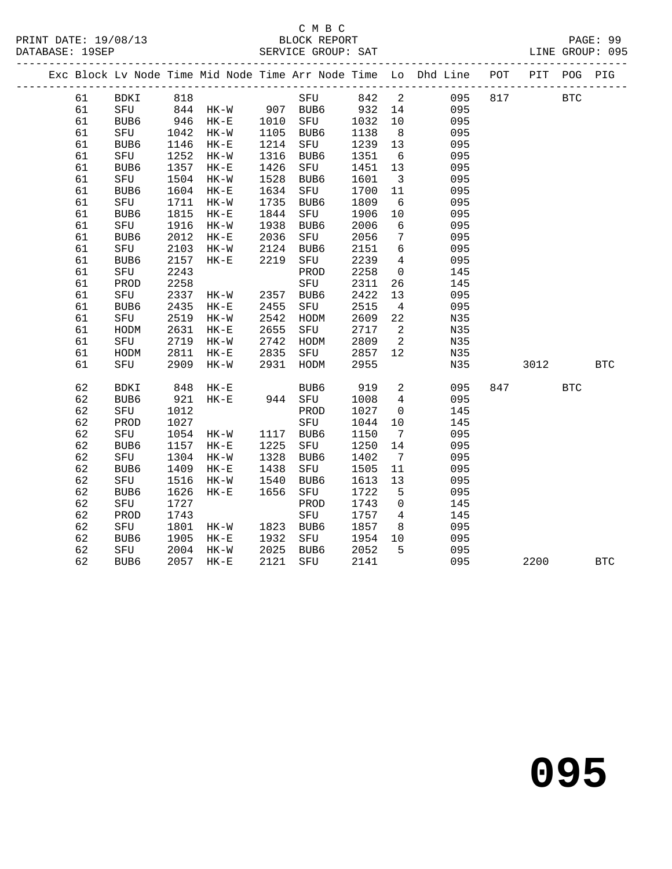#### C M B C<br>BLOCK REPORT

|  |    | Exc Block Lv Node Time Mid Node Time Arr Node Time Lo Dhd Line POT PIT POG PIG |           |          |                               |      |     |                |                          |     |     |            |            |            |
|--|----|--------------------------------------------------------------------------------|-----------|----------|-------------------------------|------|-----|----------------|--------------------------|-----|-----|------------|------------|------------|
|  | 61 | BDKI 818                                                                       |           |          |                               |      |     | SFU 842 2      |                          | 095 | 817 | <b>BTC</b> |            |            |
|  | 61 | SFU 844 HK-W 907 BUB6 932 14                                                   |           |          |                               |      |     |                |                          | 095 |     |            |            |            |
|  | 61 | BUB6                                                                           | 946 HK-E  |          | 1010 SFU<br>1105 BUB6         |      |     | $-232$<br>1032 | 10                       | 095 |     |            |            |            |
|  | 61 | SFU                                                                            | 1042 HK-W |          |                               |      |     | 1138           | 8 <sup>8</sup>           | 095 |     |            |            |            |
|  | 61 | BUB6                                                                           | 1146      | HK-E     | 1214                          | SFU  |     | 1239 13        |                          | 095 |     |            |            |            |
|  | 61 | SFU                                                                            | 1252      | $HK-W$   | 1316                          | BUB6 |     | 1351           | $6\overline{6}$          | 095 |     |            |            |            |
|  | 61 | BUB6                                                                           | 1357      | $HK-E$   | 1426                          | SFU  |     | 1451 13        |                          | 095 |     |            |            |            |
|  | 61 | SFU                                                                            | 1504      | $HK-W$   | 1528                          | BUB6 |     | 1601           | $\overline{\mathbf{3}}$  | 095 |     |            |            |            |
|  | 61 | BUB6                                                                           | 1604      | $HK-E$   | 1634                          | SFU  |     | 1700           | 11                       | 095 |     |            |            |            |
|  | 61 | SFU                                                                            | 1711      | $HK-W$   | 1735                          | BUB6 |     | 1809           | 6                        | 095 |     |            |            |            |
|  | 61 | BUB6                                                                           | 1815      | $HK-E$   | 1844                          | SFU  |     | 1906           | 10                       | 095 |     |            |            |            |
|  | 61 | SFU                                                                            | 1916      | $HK-W$   | 1938                          | BUB6 |     | 2006           | 6                        | 095 |     |            |            |            |
|  | 61 | BUB6                                                                           | 2012      | $HK-E$   |                               | SFU  |     | 2056           | $7\overline{ }$          | 095 |     |            |            |            |
|  | 61 | SFU                                                                            | 2103      | $HK-W$   | 2036<br>2124                  | BUB6 |     | 2151           | $6\overline{6}$          | 095 |     |            |            |            |
|  | 61 | BUB6                                                                           | 2157      | $HK-E$   | 2219                          | SFU  |     | 2239           | $\overline{4}$           | 095 |     |            |            |            |
|  | 61 | SFU                                                                            | 2243      |          |                               | PROD |     | 2258           | $\overline{0}$           | 145 |     |            |            |            |
|  | 61 | PROD                                                                           | 2258      |          |                               | SFU  |     | 2311           | 26                       | 145 |     |            |            |            |
|  | 61 | SFU                                                                            | 2337      | HK-W     | 2357 BUB6                     |      |     | 2422           | 13                       | 095 |     |            |            |            |
|  | 61 | BUB6                                                                           | 2435      | $HK-E$   | 2455                          | SFU  |     | 2515           | $\overline{4}$           | 095 |     |            |            |            |
|  | 61 | SFU                                                                            | 2519      | HK-W     | 2542                          | HODM |     | 2609           | 22                       | N35 |     |            |            |            |
|  | 61 | HODM                                                                           | 2631      | $HK-E$   | 2655                          |      | SFU | 2717           | $\overline{\phantom{a}}$ | N35 |     |            |            |            |
|  | 61 | SFU                                                                            | 2719      | $HK-W$   | 2742                          | HODM |     | 2809           | $\overline{\phantom{a}}$ | N35 |     |            |            |            |
|  | 61 | HODM                                                                           | 2811      | $HK-E$   | 2835<br>2835 SFU<br>2931 HODM |      |     | 2857           | 12                       | N35 |     |            |            |            |
|  | 61 | SFU                                                                            | 2909      | $HK-W$   |                               |      |     | 2955           |                          | N35 |     | 3012       |            | BTC        |
|  | 62 | BDKI                                                                           | 848       | HK-E     |                               | BUB6 |     | 919            | $\overline{a}$           | 095 |     | 847        | <b>BTC</b> |            |
|  | 62 | BUB6                                                                           | 921       | $HK-E$   |                               |      |     | 1008           | $\overline{4}$           | 095 |     |            |            |            |
|  | 62 | SFU                                                                            | 1012      |          |                               | PROD |     | 1027           | $\overline{0}$           | 145 |     |            |            |            |
|  | 62 | PROD                                                                           | 1027      |          |                               | SFU  |     | 1044           | 10                       | 145 |     |            |            |            |
|  | 62 | SFU                                                                            | 1054      | HK-W     | 1117 BUB6                     |      |     | 1150           | $\overline{7}$           | 095 |     |            |            |            |
|  | 62 | BUB6                                                                           | 1157      | $HK-E$   | 1225                          | SFU  |     | 1250           | 14                       | 095 |     |            |            |            |
|  | 62 | SFU                                                                            | 1304      | HK-W     | 1328                          | BUB6 |     | 1402           | $7\overline{ }$          | 095 |     |            |            |            |
|  | 62 | BUB6                                                                           | 1409      | HK-E     | 1438<br>1540                  | SFU  |     | 1505           | 11                       | 095 |     |            |            |            |
|  | 62 | SFU                                                                            | 1516      | HK-W     |                               | BUB6 |     | 1613           | 13                       | 095 |     |            |            |            |
|  | 62 | BUB6                                                                           | 1626      | HK-E     | 1656                          | SFU  |     | 1722           | $-5$                     | 095 |     |            |            |            |
|  | 62 | SFU                                                                            | 1727      |          |                               | PROD |     | 1743           | $\overline{0}$           | 145 |     |            |            |            |
|  | 62 | PROD                                                                           | 1743      |          |                               | SFU  |     | 1757           | $4\overline{4}$          | 145 |     |            |            |            |
|  | 62 | SFU                                                                            | 1801      | HK-W     | 1823 BUB6                     |      |     | 1857           | 8 <sup>8</sup>           | 095 |     |            |            |            |
|  | 62 | BUB6                                                                           | 1905      | $HK-E$   | 1932                          | SFU  |     | 1954           | 10                       | 095 |     |            |            |            |
|  | 62 | SFU                                                                            | 2004      | $HK - W$ | 2025                          | BUB6 |     | 2052           | $5^{\circ}$              | 095 |     |            |            |            |
|  | 62 | BUB6                                                                           | 2057 HK-E |          | 2121                          |      | SFU | 2141           |                          | 095 |     | 2200       |            | <b>BTC</b> |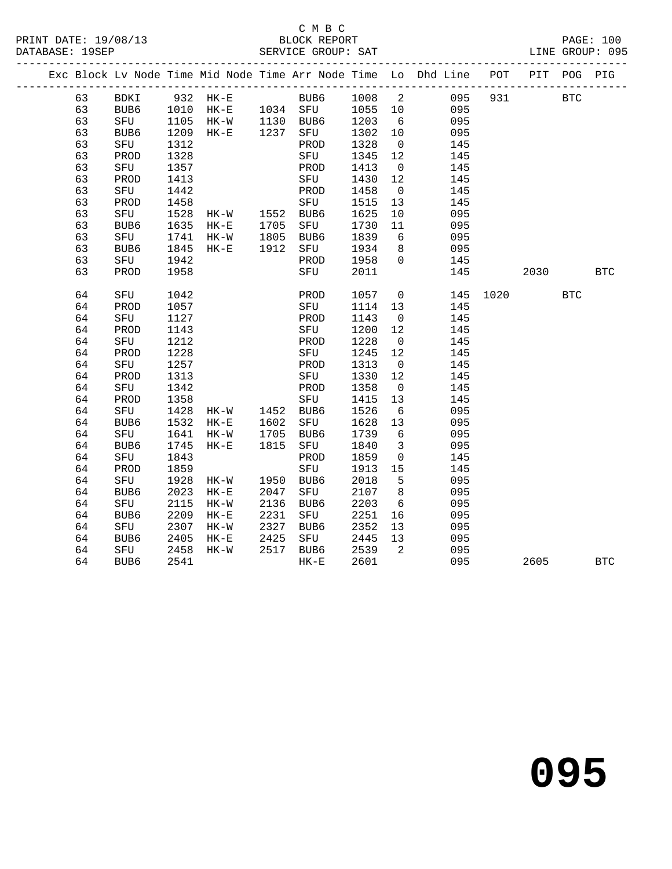#### C M B C<br>BLOCK REPORT SERVICE GROUP: SAT

|  |    |      |      |           |              |                           |         |                            | Exc Block Lv Node Time Mid Node Time Arr Node Time Lo Dhd Line POT |      | PIT  | POG        | PIG        |
|--|----|------|------|-----------|--------------|---------------------------|---------|----------------------------|--------------------------------------------------------------------|------|------|------------|------------|
|  | 63 |      |      |           |              | BDKI 932 HK-E BUB6 1008 2 |         |                            | 095                                                                | 931  |      | <b>BTC</b> |            |
|  | 63 |      |      |           |              | BUB6 1010 HK-E 1034 SFU   | 1055 10 |                            | 095                                                                |      |      |            |            |
|  | 63 | SFU  |      | 1105 HK-W |              | 1130 BUB6<br>1237 SFU     | 1203    | $6\overline{6}$            | 095                                                                |      |      |            |            |
|  | 63 | BUB6 |      | 1209 HK-E |              |                           | 1302    | 10                         | 095                                                                |      |      |            |            |
|  | 63 | SFU  | 1312 |           |              | PROD                      | 1328    | $\overline{0}$             | 145                                                                |      |      |            |            |
|  | 63 | PROD | 1328 |           |              | SFU                       | 1345    | 12                         | 145                                                                |      |      |            |            |
|  | 63 | SFU  | 1357 |           |              | PROD                      | 1413    | $\overline{0}$             | 145                                                                |      |      |            |            |
|  | 63 | PROD | 1413 |           |              | SFU                       | 1430    | 12                         | 145                                                                |      |      |            |            |
|  | 63 | SFU  | 1442 |           |              | PROD                      | 1458    | $\overline{0}$             | 145                                                                |      |      |            |            |
|  | 63 | PROD | 1458 |           |              | SFU                       | 1515    | 13                         | 145                                                                |      |      |            |            |
|  | 63 | SFU  | 1528 | HK-W      |              | 1552 BUB6                 | 1625    | 10                         | 095                                                                |      |      |            |            |
|  | 63 | BUB6 | 1635 | $HK-E$    | 1705         | SFU                       | 1730    | 11                         | 095                                                                |      |      |            |            |
|  | 63 | SFU  | 1741 | HK-W      |              | BUB6                      | 1839    | 6                          | 095                                                                |      |      |            |            |
|  | 63 | BUB6 | 1845 | $HK-E$    | 1805<br>1912 | SFU                       | 1934    | 8 <sup>8</sup>             | 095                                                                |      |      |            |            |
|  | 63 | SFU  | 1942 |           |              | PROD                      | 1958    | $\overline{0}$             | 145                                                                |      |      |            |            |
|  | 63 | PROD | 1958 |           |              | SFU                       | 2011    |                            | 145                                                                |      | 2030 |            | <b>BTC</b> |
|  | 64 | SFU  | 1042 |           |              | PROD                      | 1057    | $\overline{0}$             | 145                                                                | 1020 |      | <b>BTC</b> |            |
|  | 64 | PROD | 1057 |           |              | SFU                       | 1114    | 13                         | 145                                                                |      |      |            |            |
|  | 64 | SFU  | 1127 |           |              | PROD                      | 1143    | $\overline{0}$             | 145                                                                |      |      |            |            |
|  | 64 | PROD | 1143 |           |              | SFU                       | 1200    | 12                         | 145                                                                |      |      |            |            |
|  | 64 | SFU  | 1212 |           |              | PROD                      | 1228    | $\overline{\mathbf{0}}$    | 145                                                                |      |      |            |            |
|  | 64 | PROD | 1228 |           |              | SFU                       | 1245    | 12                         | 145                                                                |      |      |            |            |
|  | 64 | SFU  | 1257 |           |              | PROD                      | 1313    | $\overline{0}$             | 145                                                                |      |      |            |            |
|  | 64 | PROD | 1313 |           |              | SFU                       | 1330    | 12                         | 145                                                                |      |      |            |            |
|  | 64 | SFU  | 1342 |           |              | PROD                      | 1358    | $\overline{0}$             | 145                                                                |      |      |            |            |
|  | 64 | PROD | 1358 |           |              | SFU                       | 1415    | 13                         | 145                                                                |      |      |            |            |
|  | 64 | SFU  | 1428 | HK-W      |              | 1452 BUB6                 | 1526    | - 6                        | 095                                                                |      |      |            |            |
|  | 64 | BUB6 | 1532 | $HK-E$    | 1602         | SFU                       | 1628    | 13                         | 095                                                                |      |      |            |            |
|  | 64 | SFU  | 1641 | $HK-W$    | 1705         | BUB6                      | 1739    | $6\overline{6}$            | 095                                                                |      |      |            |            |
|  | 64 | BUB6 | 1745 | $HK-E$    | 1815         | SFU                       | 1840    | $\overline{\mathbf{3}}$    | 095                                                                |      |      |            |            |
|  | 64 | SFU  | 1843 |           |              | PROD                      | 1859    | $\overline{0}$             | 145                                                                |      |      |            |            |
|  | 64 | PROD | 1859 |           |              | SFU                       | 1913    | 15                         | 145                                                                |      |      |            |            |
|  | 64 | SFU  | 1928 | $HK-W$    | 1950         | BUB6                      | 2018    | $5^{\circ}$                | 095                                                                |      |      |            |            |
|  | 64 | BUB6 | 2023 | $HK-E$    | 2047         | SFU                       | 2107    | 8                          | 095                                                                |      |      |            |            |
|  | 64 | SFU  | 2115 | $HK-W$    | 2136         | BUB6                      | 2203    | $6\overline{6}$            | 095                                                                |      |      |            |            |
|  | 64 | BUB6 | 2209 | $HK-E$    | 2231         | SFU                       | 2251    | 16                         | 095                                                                |      |      |            |            |
|  | 64 | SFU  | 2307 | $HK-W$    | 2327         | BUB6                      | 2352    | 13                         | 095                                                                |      |      |            |            |
|  | 64 | BUB6 | 2405 | $HK-E$    | 2425         | SFU                       | 2445    | 13                         | 095                                                                |      |      |            |            |
|  | 64 | SFU  | 2458 | $HK-W$    | 2517         | BUB6                      | 2539    | $\overline{\phantom{0}}^2$ | 095                                                                |      |      |            |            |
|  | 64 | BUB6 | 2541 |           |              | $\rm{HK}\!-\!\rm{E}$      | 2601    |                            | 095                                                                |      | 2605 |            | <b>BTC</b> |
|  |    |      |      |           |              |                           |         |                            |                                                                    |      |      |            |            |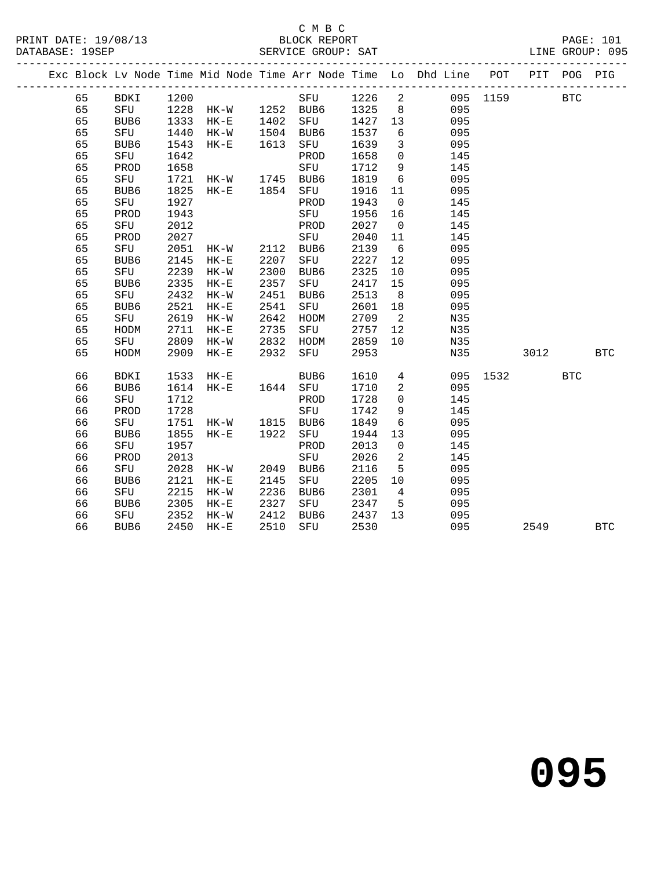#### C M B C

|    |      |      |                     |      |             |        |          |                                                                                | LINE GROUP: 095 |      | <b>PAGE: 101</b> |
|----|------|------|---------------------|------|-------------|--------|----------|--------------------------------------------------------------------------------|-----------------|------|------------------|
|    |      |      |                     |      |             |        |          | Exc Block Lv Node Time Mid Node Time Arr Node Time Lo Dhd Line POT PIT POG PIG |                 |      |                  |
| 65 |      |      | BDKI 1200           |      |             |        |          | SFU 1226 2 095 1159 BTC                                                        |                 |      |                  |
| 65 | SFU  |      |                     |      |             |        |          | 1228 HK-W 1252 BUB6 1325 8 095                                                 |                 |      |                  |
| 65 | BUB6 | 1333 | HK-E 1402           |      | SFU 1427 13 |        |          | 095                                                                            |                 |      |                  |
| 65 | SFU  | 1440 | HK-W 1504           |      | BUB6        |        |          | 1537 6 095                                                                     |                 |      |                  |
| 65 | BUB6 | 1543 | HK-E 1613           |      | SFU         |        |          | 1639 3 095                                                                     |                 |      |                  |
| 65 | SFU  | 1642 |                     |      | PROD        | 1658   |          | $0$ 145                                                                        |                 |      |                  |
| 65 | PROD | 1658 |                     |      | SFU         | 1712   |          | $9 \left( \frac{1}{2} \right)$<br>145                                          |                 |      |                  |
| 65 | SFU  |      | 1721 HK-W 1745 BUB6 |      |             | 1819 6 |          | 095                                                                            |                 |      |                  |
| 65 | BUB6 |      | 1825 HK-E 1854 SFU  |      |             | 1916   |          | 095<br>11 7                                                                    |                 |      |                  |
| 65 | SFU  | 1927 |                     |      | PROD        | 1943 0 |          | 145                                                                            |                 |      |                  |
| 65 | PROD | 1943 |                     |      | SFU         | 1956   |          | 145                                                                            |                 |      |                  |
| 65 | SFU  | 2012 |                     |      | PROD        | 2027   |          | 145<br>$\overline{0}$                                                          |                 |      |                  |
| 65 | PROD | 2027 |                     |      | SFU         | 2040   | 11       | 145                                                                            |                 |      |                  |
| 65 | SFU  | 2051 | HK-W 2112           |      | BUB6        | 2139   |          | $6\overline{6}$<br>095                                                         |                 |      |                  |
| 65 | BUB6 | 2145 | $HK-E$              | 2207 | SFU         | 2227   |          | 12 and $\overline{a}$<br>095                                                   |                 |      |                  |
| 65 | SFU  | 2239 | HK-W                | 2300 | BUB6        | 2325   | 10       | 095                                                                            |                 |      |                  |
| 65 | BUB6 | 2335 | $HK-E$              | 2357 | SFU         | 2417   |          | 095<br>15 — 16                                                                 |                 |      |                  |
| 65 | SFU  | 2432 | HK-W                | 2451 | BUB6        | 2513   |          | $8 \overline{)}$<br>095                                                        |                 |      |                  |
| 65 | BUB6 | 2521 | $HK-E$              | 2541 | SFU         | 2601   | 18       | 095                                                                            |                 |      |                  |
| 65 | SFU  | 2619 | HK-W                | 2642 | HODM        | 2709   |          | $\overline{\mathbf{a}}$<br>N35                                                 |                 |      |                  |
| 65 | HODM | 2711 | $HK-E$              | 2735 | SFU         | 2757   |          | 12 and $\overline{a}$<br>N35                                                   |                 |      |                  |
| 65 | SFU  | 2809 | HK-W                | 2832 | HODM        | 2859   | 10       | N35                                                                            |                 |      |                  |
| 65 | HODM | 2909 | $HK-E$              | 2932 | SFU         | 2953   |          |                                                                                | N35             | 3012 | BTC              |
| 66 | BDKI |      | 1533 HK-E           |      | BUB6        |        |          | 1610  4  095  1532  BTC                                                        |                 |      |                  |
| 66 | BUB6 |      | 1614 HK-E 1644 SFU  |      |             | 1710   |          | 2 095                                                                          |                 |      |                  |
| 66 | SFU  | 1712 |                     |      | PROD        | 1728   | $\Omega$ | 145                                                                            |                 |      |                  |

66 BUB6 2450 HK-E 2510 SFU 2530 095 2549 BTC

66 PROD 1728 SFU 1742 9 145

 66 SFU 1957 PROD 2013 0 145 66 PROD 2013 SFU 2026 2 145

66 BUB6 2121 HK-E 2145 SFU 2205 10 095

 66 SFU 1751 HK-W 1815 BUB6 1849 6 095 66 BUB6 1855 HK-E 1922 SFU 1944 13 095

66 SFU 2028 HK-W 2049 BUB6 2116 5 095

 66 SFU 2215 HK-W 2236 BUB6 2301 4 095 66 BUB6 2305 HK-E 2327 SFU 2347 5 095 66 SFU 2352 HK-W 2412 BUB6 2437 13 095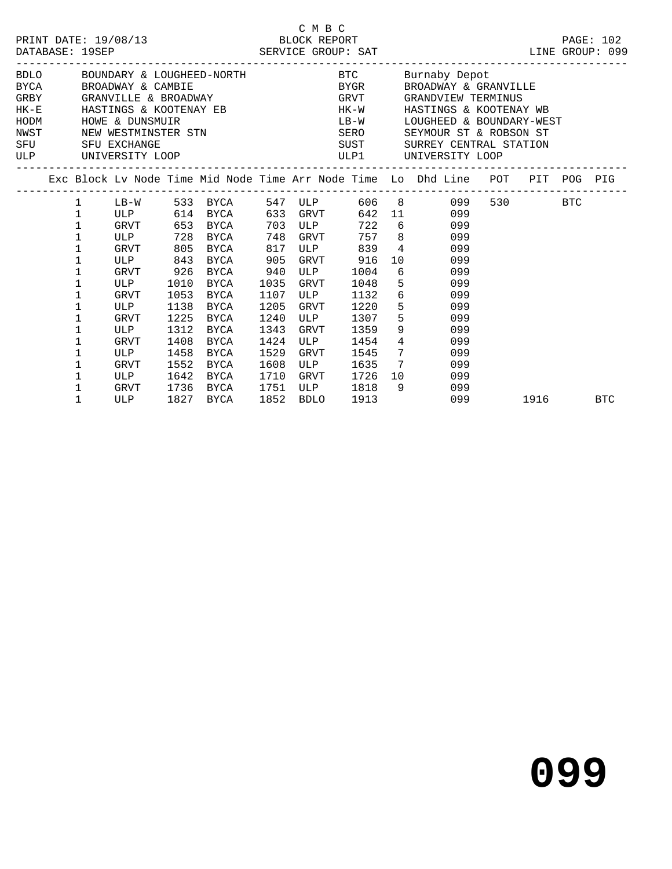|                                   | DATABASE: 19SEP                                                                                                                 |                                                                                                                          |                                                                                    | PRINT DATE: 19/08/13 BLOCK REPORT                                                                                                          |                                                                                                   | C M B C                                                                        |                                                                                                                                        |                                                                                                                                                                                                                                                                                                                                                                                                                                                                                                                                                                                                                                                                                                                                         |          | PAGE: 102 |
|-----------------------------------|---------------------------------------------------------------------------------------------------------------------------------|--------------------------------------------------------------------------------------------------------------------------|------------------------------------------------------------------------------------|--------------------------------------------------------------------------------------------------------------------------------------------|---------------------------------------------------------------------------------------------------|--------------------------------------------------------------------------------|----------------------------------------------------------------------------------------------------------------------------------------|-----------------------------------------------------------------------------------------------------------------------------------------------------------------------------------------------------------------------------------------------------------------------------------------------------------------------------------------------------------------------------------------------------------------------------------------------------------------------------------------------------------------------------------------------------------------------------------------------------------------------------------------------------------------------------------------------------------------------------------------|----------|-----------|
| HODM<br>NWST<br><b>SFU</b><br>ULP |                                                                                                                                 | HOWE & DUNSMUIR<br>SFU EXCHANGE<br>UNIVERSITY LOOP                                                                       |                                                                                    |                                                                                                                                            |                                                                                                   |                                                                                |                                                                                                                                        | BDLO BOUNDARY & LOUGHEED-NORTH BTC Burnaby Depot<br>${\tt BYCA}\qquad \qquad {\tt BROADWAY}\quad \& \text{ CAMBIE}\qquad \qquad {\tt BYGR}\qquad \qquad {\tt BROADWAY}\quad \& \text{ GRANVILLE}\qquad \qquad {\tt GRANVILLE}\qquad \qquad {\tt SRANVILLE}\qquad \qquad {\tt SRANVILLE}\qquad \qquad {\tt SRANVILLE}\qquad \qquad {\tt SRANVILLE}\qquad \qquad {\tt SRANVILLE}\qquad \qquad {\tt SRANVILLE}\qquad \qquad {\tt SRANVILLE}\qquad \qquad {\tt SRANVILLE}\qquad \qquad {\tt SRANVILLE}\qquad \qquad {\tt SRANVILLE}\qquad \qquad {\tt SRANVILLE}\q$<br>HK-E HASTINGS & KOOTENAY EB HK-W HASTINGS & KOOTENAY WB<br>LB-W LOUGHEED & BOUNDARY-WEST<br>SUST SURREY CENTRAL STATION<br>ULP1 UNIVERSITY LOOP<br>----------------- |          |           |
|                                   |                                                                                                                                 |                                                                                                                          |                                                                                    |                                                                                                                                            |                                                                                                   |                                                                                |                                                                                                                                        | Exc Block Lv Node Time Mid Node Time Arr Node Time Lo Dhd Line POT PIT POG PIG                                                                                                                                                                                                                                                                                                                                                                                                                                                                                                                                                                                                                                                          |          |           |
|                                   | $\mathbf 1$<br>$\mathbf 1$<br>$\mathbf 1$<br>$\mathbf 1$<br>1<br>1<br>1<br>1<br>1<br>1<br>1<br>1<br>1<br>1<br>1<br>$\mathbf{1}$ | GRVT 653 BYCA<br>GRVT<br>ULP 843<br>GRVT<br>ULP<br>GRVT<br>ULP<br>GRVT<br>ULP<br>GRVT<br>ULP<br>GRVT<br>ULP<br>GRVT 1736 | 805<br>926<br>1010<br>1053<br>1138<br>1225<br>1312<br>1408<br>1458<br>1552<br>1642 | ULP 728 BYCA 748 GRVT 757 8<br>BYCA<br>BYCA<br>BYCA<br>BYCA<br>BYCA<br>BYCA<br>BYCA<br><b>BYCA</b><br>BYCA<br>BYCA<br>BYCA<br>BYCA<br>BYCA | 817<br>905<br>940<br>1035<br>1107<br>1205<br>1240<br>1343<br>1424<br>1529<br>1608<br>1710<br>1751 | ULP<br>GRVT<br>ULP<br>GRVT<br><b>ULP</b><br>GRVT<br>ULP<br>GRVT<br>ULP<br>GRVT | 703 ULP 722 6<br>ULP 839 4<br>GRVT 916<br>1004<br>1048<br>1132<br>1220<br>1307<br>1359<br>1454<br>1545<br>1635 7<br>1726<br>ULP 1818 9 | 1 LB-W 533 BYCA 547 ULP 606 8 099<br>ULP 614 BYCA 633 GRVT 642 11 099<br>099<br>099<br>099<br>10<br>099<br>$6\overline{6}$<br>099<br>$5 - 5$<br>099<br>$6\overline{6}$<br>099<br>$5^{\circ}$<br>099<br>$5^{\circ}$<br>099<br>$9 \left( \frac{1}{2} \right)$<br>099<br>$4\overline{ }$<br>099<br>$7\overline{ }$<br>099<br>099<br>10<br>099<br>099                                                                                                                                                                                                                                                                                                                                                                                       | 530 BTC  |           |
|                                   | $\mathbf{1}$                                                                                                                    | ULP                                                                                                                      |                                                                                    | 1827 BYCA                                                                                                                                  |                                                                                                   | 1852 BDLO                                                                      | 1913                                                                                                                                   | 099                                                                                                                                                                                                                                                                                                                                                                                                                                                                                                                                                                                                                                                                                                                                     | 1916 BTC |           |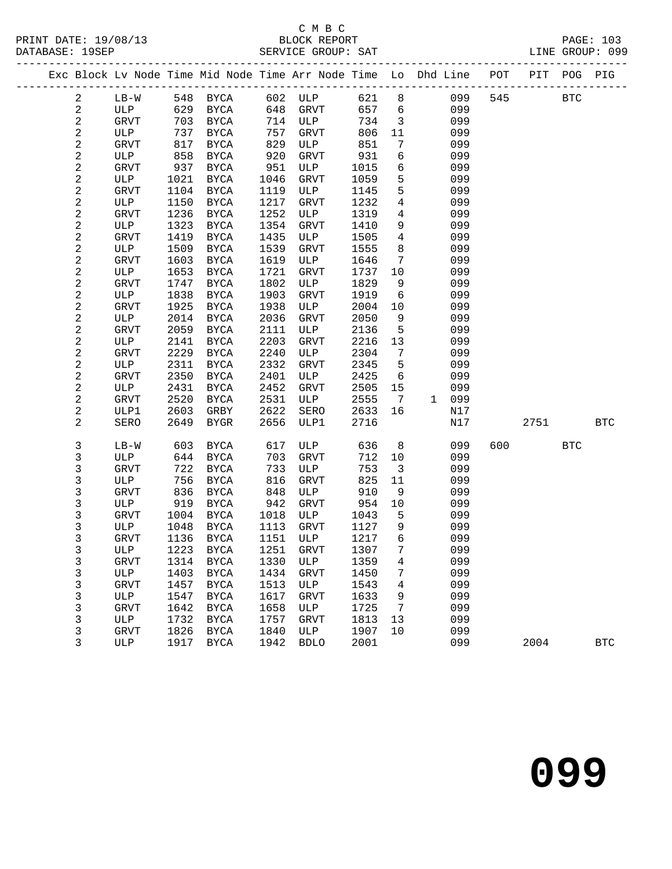#### C M B C<br>BLOCK REPORT

|  |                         |                    |              |                            |              | Exc Block Lv Node Time Mid Node Time Arr Node Time Lo Dhd Line POT PIT POG PIG |              |                              |            |     |      |              |              |
|--|-------------------------|--------------------|--------------|----------------------------|--------------|--------------------------------------------------------------------------------|--------------|------------------------------|------------|-----|------|--------------|--------------|
|  | $\overline{a}$          | $LB-W$             |              | 548 BYCA                   |              | 602 ULP                                                                        | 621 8        |                              | 099        | 545 |      | $_{\rm BTC}$ |              |
|  | $\sqrt{2}$              | ULP                | 629          | BYCA                       | 648          | GRVT                                                                           | 657          | $6\overline{6}$              | 099        |     |      |              |              |
|  | $\sqrt{2}$              | GRVT               | 703          | BYCA                       | 714          | ULP                                                                            | 734          | $\overline{\mathbf{3}}$      | 099        |     |      |              |              |
|  | $\boldsymbol{2}$        | ULP                | 737          | <b>BYCA</b>                | 757          | GRVT                                                                           | 806          | 11                           | 099        |     |      |              |              |
|  | $\sqrt{2}$              | GRVT               | 817          | BYCA                       | 829          | ULP                                                                            | 851          | $7\phantom{.0}$              | 099        |     |      |              |              |
|  | $\boldsymbol{2}$        | ULP                | 858          | <b>BYCA</b>                | 920          | GRVT                                                                           | 931          | $6\overline{6}$              | 099        |     |      |              |              |
|  | $\sqrt{2}$              | GRVT               | 937          | BYCA                       | 951          | ULP                                                                            | 1015         | 6                            | 099        |     |      |              |              |
|  | $\sqrt{2}$              | ULP                | 1021         | BYCA                       | 1046         | GRVT                                                                           | 1059         | 5                            | 099        |     |      |              |              |
|  | $\sqrt{2}$              | <b>GRVT</b>        | 1104         | BYCA                       | 1119         | ULP                                                                            | 1145         | 5                            | 099        |     |      |              |              |
|  | $\overline{\mathbf{c}}$ | ULP                | 1150         | BYCA                       | 1217         | GRVT                                                                           | 1232         | $\overline{4}$               | 099        |     |      |              |              |
|  | $\mathbf 2$             | <b>GRVT</b>        | 1236         | BYCA                       | 1252         | ULP                                                                            | 1319         | $\overline{4}$               | 099        |     |      |              |              |
|  | $\boldsymbol{2}$        | ULP                | 1323         | BYCA                       | 1354         | GRVT                                                                           | 1410         | 9                            | 099        |     |      |              |              |
|  | $\overline{a}$          | GRVT               | 1419         | <b>BYCA</b>                | 1435         | ULP                                                                            | 1505         | $\overline{4}$               | 099        |     |      |              |              |
|  | $\sqrt{2}$              | ULP                | 1509         | <b>BYCA</b>                | 1539         | GRVT                                                                           | 1555         | 8                            | 099        |     |      |              |              |
|  | $\mathbf 2$             | GRVT               | 1603         | <b>BYCA</b>                | 1619         | ULP                                                                            | 1646         | $7\phantom{.0}\phantom{.0}7$ | 099        |     |      |              |              |
|  | $\sqrt{2}$              | ULP                | 1653         | <b>BYCA</b>                | 1721         | GRVT                                                                           | 1737         | 10                           | 099        |     |      |              |              |
|  | $\sqrt{2}$              | GRVT               | 1747         | <b>BYCA</b>                | 1802         | ULP                                                                            | 1829         | 9                            | 099        |     |      |              |              |
|  | $\sqrt{2}$              | ULP                | 1838         | <b>BYCA</b>                | 1903         | GRVT                                                                           | 1919         | $6\overline{6}$              | 099        |     |      |              |              |
|  | $\sqrt{2}$              | GRVT               | 1925         | BYCA                       | 1938         | ULP                                                                            | 2004         | 10                           | 099        |     |      |              |              |
|  | $\boldsymbol{2}$        | ULP                | 2014         | <b>BYCA</b>                | 2036         | GRVT                                                                           | 2050         | 9                            | 099        |     |      |              |              |
|  | $\sqrt{2}$              | GRVT               | 2059         | <b>BYCA</b>                | 2111         | ULP                                                                            | 2136         | $5\overline{)}$              | 099        |     |      |              |              |
|  | $\overline{\mathbf{c}}$ | ULP                | 2141         | <b>BYCA</b>                | 2203         | GRVT                                                                           | 2216         | 13                           | 099        |     |      |              |              |
|  | $\boldsymbol{2}$        | GRVT               | 2229         | <b>BYCA</b>                | 2240         | ULP                                                                            | 2304         | $7\overline{ }$              | 099        |     |      |              |              |
|  | $\overline{\mathbf{c}}$ | ULP                | 2311         | BYCA                       | 2332         | GRVT                                                                           | 2345         | 5                            | 099        |     |      |              |              |
|  | $\mathbf 2$             | GRVT               | 2350         | <b>BYCA</b>                | 2401         | ULP                                                                            | 2425         | $6\overline{6}$              | 099        |     |      |              |              |
|  | $\overline{\mathbf{c}}$ | ULP                | 2431         | BYCA                       | 2452         | GRVT                                                                           | 2505         | 15                           | 099        |     |      |              |              |
|  | $\sqrt{2}$              | GRVT               | 2520         | BYCA                       | 2531         | ULP                                                                            | 2555         | $7\overline{ }$              | 1 099      |     |      |              |              |
|  | $\mathbf 2$             | ULP1               | 2603         | GRBY                       | 2622         | SERO                                                                           | 2633         | 16                           | N17        |     |      |              |              |
|  | 2                       | SERO               | 2649         | BYGR                       | 2656         | ULP1                                                                           | 2716         |                              | N17        |     | 2751 |              | <b>BTC</b>   |
|  | $\mathsf 3$             | $LB-W$             | 603          | <b>BYCA</b>                | 617          | ULP                                                                            | 636          | 8                            | 099        | 600 |      | <b>BTC</b>   |              |
|  | 3                       | ULP                | 644          | BYCA                       | 703          | GRVT                                                                           | 712          | 10                           | 099        |     |      |              |              |
|  | 3                       | GRVT               | 722          | BYCA                       | 733          | ULP                                                                            | 753          | $\overline{\mathbf{3}}$      | 099        |     |      |              |              |
|  | $\mathfrak{Z}$          | ULP                | 756          | BYCA                       | 816          | GRVT                                                                           | 825          | 11                           | 099        |     |      |              |              |
|  | 3                       | GRVT               | 836          | BYCA                       | 848          | ULP                                                                            | 910          | 9                            | 099        |     |      |              |              |
|  | 3                       | ULP                | 919          | BYCA                       | 942          | GRVT                                                                           | 954          | 10                           | 099        |     |      |              |              |
|  | 3                       | GRVT               | 1004         | BYCA                       | 1018         | ULP                                                                            | 1043         | 5                            | 099        |     |      |              |              |
|  | 3                       | ULP                | 1048         | BYCA                       | 1113         | GRVT                                                                           | 1127         | 9<br>6                       | 099        |     |      |              |              |
|  | 3                       | <b>GRVT</b>        | 1136         | BYCA                       | 1151         | ULP                                                                            | 1217         | $7\overline{ }$              | 099        |     |      |              |              |
|  | 3                       | ULP                |              | 1223 BYCA                  | 1251<br>1330 | GRVT                                                                           | 1307<br>1359 |                              | 099<br>099 |     |      |              |              |
|  | 3                       | GRVT               | 1314<br>1403 | BYCA                       |              | ULP                                                                            | 1450         | 4                            | 099        |     |      |              |              |
|  | 3<br>3                  | ULP<br><b>GRVT</b> | 1457         | <b>BYCA</b><br><b>BYCA</b> | 1434<br>1513 | GRVT<br>ULP                                                                    | 1543         | 7<br>4                       | 099        |     |      |              |              |
|  | 3                       | ULP                | 1547         | <b>BYCA</b>                | 1617         | <b>GRVT</b>                                                                    | 1633         | 9                            | 099        |     |      |              |              |
|  | 3                       | <b>GRVT</b>        | 1642         | <b>BYCA</b>                | 1658         | ULP                                                                            | 1725         | 7                            | 099        |     |      |              |              |
|  | 3                       | ULP                | 1732         | <b>BYCA</b>                | 1757         | <b>GRVT</b>                                                                    | 1813         | 13                           | 099        |     |      |              |              |
|  | 3                       | <b>GRVT</b>        | 1826         | <b>BYCA</b>                | 1840         | ULP                                                                            | 1907         | 10                           | 099        |     |      |              |              |
|  | 3                       | ULP                | 1917         | <b>BYCA</b>                | 1942         | <b>BDLO</b>                                                                    | 2001         |                              | 099        |     | 2004 |              | $_{\rm BTC}$ |
|  |                         |                    |              |                            |              |                                                                                |              |                              |            |     |      |              |              |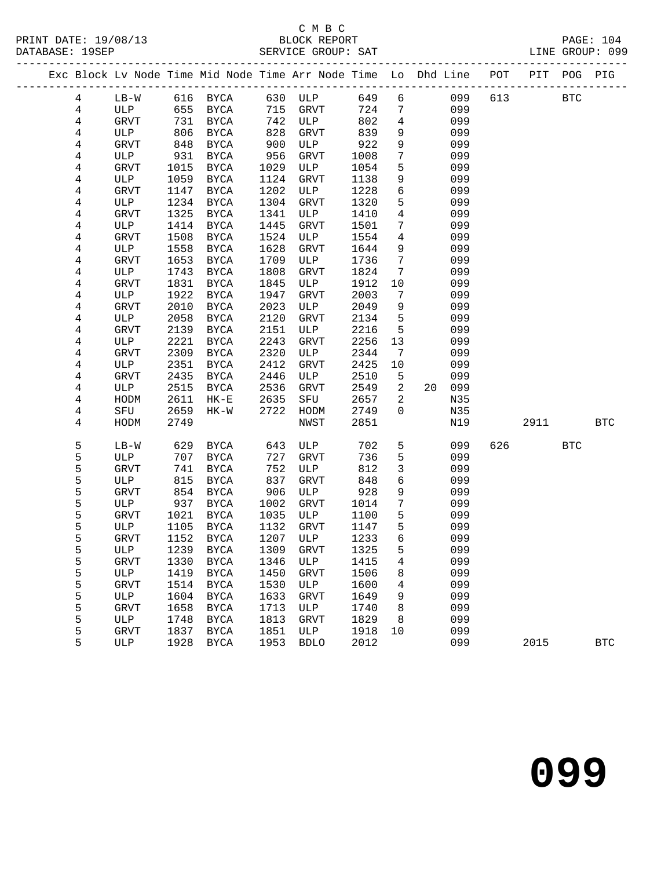#### C M B C<br>BLOCK REPORT

|  |                         |              |      |                     |      | Exc Block Lv Node Time Mid Node Time Arr Node Time Lo Dhd Line POT PIT POG PIG |      |                   |              |     |      |              |              |
|--|-------------------------|--------------|------|---------------------|------|--------------------------------------------------------------------------------|------|-------------------|--------------|-----|------|--------------|--------------|
|  | 4                       | $LB-W$       |      | 616 BYCA            |      | 630 ULP                                                                        |      |                   | 649 6<br>099 | 613 |      | $_{\rm BTC}$ |              |
|  | $\overline{4}$          | ULP          | 655  | BYCA                | 715  | GRVT                                                                           | 724  | $7\phantom{.0}$   | 099          |     |      |              |              |
|  | 4                       | GRVT         | 731  | BYCA                | 742  | ULP                                                                            | 802  | $\overline{4}$    | 099          |     |      |              |              |
|  | 4                       | ULP          | 806  | <b>BYCA</b>         | 828  | GRVT                                                                           | 839  | 9                 | 099          |     |      |              |              |
|  | 4                       | GRVT         | 848  | BYCA                | 900  | ULP                                                                            | 922  | 9                 | 099          |     |      |              |              |
|  | 4                       | ULP          | 931  | <b>BYCA</b>         | 956  | GRVT                                                                           | 1008 | $7\phantom{.0}$   | 099          |     |      |              |              |
|  | 4                       | GRVT         | 1015 | BYCA                | 1029 | ULP                                                                            | 1054 | 5                 | 099          |     |      |              |              |
|  | 4                       | ULP          | 1059 | BYCA                | 1124 | GRVT                                                                           | 1138 | 9                 | 099          |     |      |              |              |
|  | $\overline{4}$          | <b>GRVT</b>  | 1147 | <b>BYCA</b>         | 1202 | ULP                                                                            | 1228 | 6                 | 099          |     |      |              |              |
|  | 4                       | ULP          | 1234 | BYCA                | 1304 | GRVT                                                                           | 1320 | 5                 | 099          |     |      |              |              |
|  | 4                       | GRVT         | 1325 | <b>BYCA</b>         | 1341 | ULP                                                                            | 1410 | $\overline{4}$    | 099          |     |      |              |              |
|  | 4                       | ULP          | 1414 | BYCA                | 1445 | GRVT                                                                           | 1501 | 7                 | 099          |     |      |              |              |
|  | $\overline{4}$          | GRVT         | 1508 | BYCA                | 1524 | ULP                                                                            | 1554 | $\overline{4}$    | 099          |     |      |              |              |
|  | $\overline{\mathbf{4}}$ | ULP          | 1558 | BYCA                | 1628 | GRVT                                                                           | 1644 | 9                 | 099          |     |      |              |              |
|  | $\overline{\mathbf{4}}$ | GRVT         | 1653 | <b>BYCA</b>         | 1709 | ULP                                                                            | 1736 | $7\phantom{.0}$   | 099          |     |      |              |              |
|  | 4                       | ULP          | 1743 | <b>BYCA</b>         | 1808 | GRVT                                                                           | 1824 | 7                 | 099          |     |      |              |              |
|  | $\,4$                   | GRVT         | 1831 | <b>BYCA</b>         | 1845 | ULP                                                                            | 1912 | 10                | 099          |     |      |              |              |
|  | 4                       | ULP          | 1922 | <b>BYCA</b>         | 1947 | GRVT                                                                           | 2003 | $7\phantom{.0}$   | 099          |     |      |              |              |
|  | 4                       | GRVT         | 2010 | BYCA                | 2023 | ULP                                                                            | 2049 | 9                 | 099          |     |      |              |              |
|  | 4                       | ULP          | 2058 | <b>BYCA</b>         | 2120 | GRVT                                                                           | 2134 | 5                 | 099          |     |      |              |              |
|  | $\overline{4}$          | GRVT         | 2139 | <b>BYCA</b>         | 2151 | ULP                                                                            | 2216 | 5                 | 099          |     |      |              |              |
|  | $\overline{4}$          | ULP          | 2221 | BYCA                | 2243 | GRVT                                                                           | 2256 | 13                | 099          |     |      |              |              |
|  | $\overline{\mathbf{4}}$ | GRVT         | 2309 | <b>BYCA</b>         | 2320 | ULP                                                                            | 2344 | $7\phantom{.0}\,$ | 099          |     |      |              |              |
|  | 4                       | ULP          | 2351 | BYCA                | 2412 | GRVT                                                                           | 2425 | 10                | 099          |     |      |              |              |
|  | 4                       | GRVT         | 2435 | <b>BYCA</b>         | 2446 | ULP                                                                            | 2510 | 5                 | 099          |     |      |              |              |
|  | 4                       | ULP          | 2515 | BYCA                | 2536 | GRVT                                                                           | 2549 | $\overline{a}$    | 099<br>20    |     |      |              |              |
|  | 4                       | HODM         | 2611 | $HK-E$              | 2635 | SFU                                                                            | 2657 | $\overline{a}$    | N35          |     |      |              |              |
|  | 4                       | SFU          | 2659 | $HK-W$              | 2722 | HODM                                                                           | 2749 | $\mathbf 0$       | N35          |     |      |              |              |
|  | 4                       | HODM         | 2749 |                     |      | NWST                                                                           | 2851 |                   | N19          |     | 2911 |              | <b>BTC</b>   |
|  | 5                       | $LB-W$       | 629  | BYCA                | 643  | ULP                                                                            | 702  | $5\phantom{.0}$   | 099          | 626 |      | <b>BTC</b>   |              |
|  | 5                       | ULP          | 707  | BYCA                | 727  | GRVT                                                                           | 736  | 5                 | 099          |     |      |              |              |
|  | 5                       | GRVT         | 741  | BYCA                | 752  | ULP                                                                            | 812  | $\mathbf{3}$      | 099          |     |      |              |              |
|  | 5                       | ULP          | 815  | BYCA                | 837  | GRVT                                                                           | 848  | $\sqrt{6}$        | 099          |     |      |              |              |
|  | 5                       | ${\tt GRVT}$ | 854  | BYCA                | 906  | ULP                                                                            | 928  | $\mathsf 9$       | 099          |     |      |              |              |
|  | 5                       | ULP          | 937  | BYCA                | 1002 | GRVT                                                                           | 1014 | $7\phantom{.0}$   | 099          |     |      |              |              |
|  | 5                       | GRVT         | 1021 | BYCA                | 1035 | ULP                                                                            | 1100 | 5                 | 099          |     |      |              |              |
|  | 5                       | ULP          | 1105 | BYCA                | 1132 | GRVT                                                                           | 1147 | 5                 | 099          |     |      |              |              |
|  | 5                       | <b>GRVT</b>  | 1152 | BYCA                | 1207 | ULP                                                                            | 1233 | 6                 | 099          |     |      |              |              |
|  | 5                       | ULP          |      | 1239 BYCA 1309 GRVT |      |                                                                                | 1325 | 5                 | 099          |     |      |              |              |
|  | 5                       | GRVT         | 1330 | BYCA                | 1346 | ULP                                                                            | 1415 | 4                 | 099          |     |      |              |              |
|  | 5                       | ULP          | 1419 | <b>BYCA</b>         | 1450 | GRVT                                                                           | 1506 | 8                 | 099          |     |      |              |              |
|  | 5                       | <b>GRVT</b>  | 1514 | BYCA                | 1530 | ULP                                                                            | 1600 | 4                 | 099          |     |      |              |              |
|  | 5                       | ULP          | 1604 | <b>BYCA</b>         | 1633 | <b>GRVT</b>                                                                    | 1649 | 9                 | 099          |     |      |              |              |
|  | 5                       | <b>GRVT</b>  | 1658 | BYCA                | 1713 | ULP                                                                            | 1740 | 8                 | 099          |     |      |              |              |
|  | 5                       | ULP          | 1748 | <b>BYCA</b>         | 1813 | GRVT                                                                           | 1829 | 8                 | 099          |     |      |              |              |
|  | 5                       | <b>GRVT</b>  | 1837 | <b>BYCA</b>         | 1851 | ULP                                                                            | 1918 | 10                | 099          |     |      |              |              |
|  | 5                       | ULP          | 1928 | <b>BYCA</b>         | 1953 | <b>BDLO</b>                                                                    | 2012 |                   | 099          |     | 2015 |              | $_{\rm BTC}$ |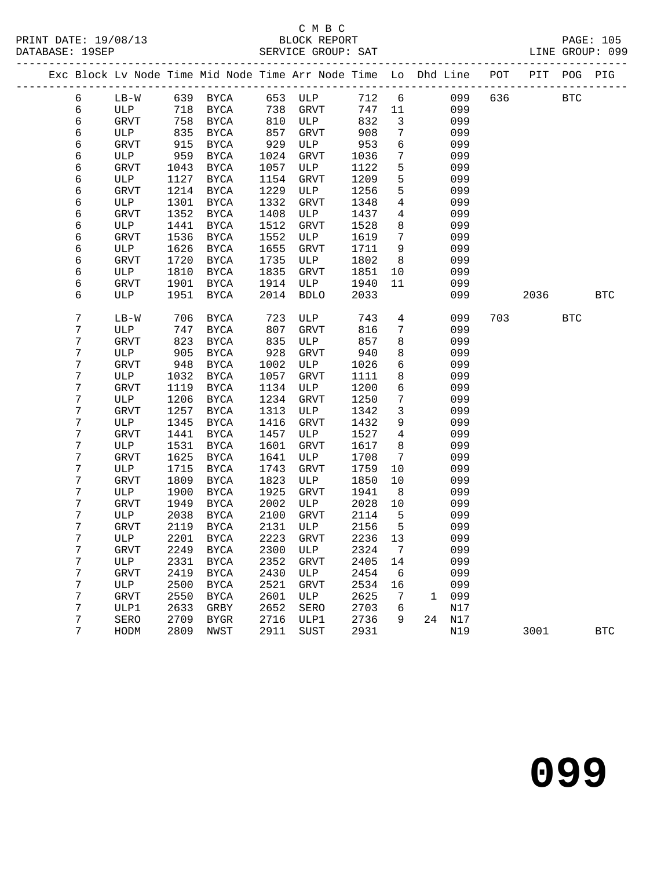#### C M B C<br>BLOCK REPORT

|  |                  |               |      |               |      |                 |      |                   | Exc Block Lv Node Time Mid Node Time Arr Node Time Lo Dhd Line POT PIT POG PIG |     |      |            |              |
|--|------------------|---------------|------|---------------|------|-----------------|------|-------------------|--------------------------------------------------------------------------------|-----|------|------------|--------------|
|  | $\sqrt{6}$       | LB-W 639 BYCA |      |               |      | 653 ULP         |      |                   | 712 6<br>099                                                                   | 636 |      | <b>BTC</b> |              |
|  | 6                | ULP           | 718  | BYCA          | 738  | GRVT            | 747  | 11                | 099                                                                            |     |      |            |              |
|  | 6                | <b>GRVT</b>   | 758  | BYCA          | 810  | ULP             | 832  | $\overline{3}$    | 099                                                                            |     |      |            |              |
|  | $\epsilon$       | ULP           | 835  | BYCA          | 857  | GRVT            | 908  | $7\phantom{.0}$   | 099                                                                            |     |      |            |              |
|  | $\epsilon$       | GRVT          | 915  | BYCA          | 929  | ULP             | 953  | 6                 | 099                                                                            |     |      |            |              |
|  | $\epsilon$       | ULP           | 959  | BYCA          | 1024 | GRVT            | 1036 | $7\phantom{.0}$   | 099                                                                            |     |      |            |              |
|  | 6                | GRVT          | 1043 | <b>BYCA</b>   | 1057 | ULP             | 1122 | 5                 | 099                                                                            |     |      |            |              |
|  | $\sqrt{6}$       | ULP           | 1127 | BYCA          | 1154 | GRVT            | 1209 | 5                 | 099                                                                            |     |      |            |              |
|  | $\sqrt{6}$       | GRVT          | 1214 | <b>BYCA</b>   | 1229 | ULP             | 1256 | $5\phantom{.0}$   | 099                                                                            |     |      |            |              |
|  | $\epsilon$       | ULP           | 1301 | <b>BYCA</b>   | 1332 | GRVT            | 1348 | $\overline{4}$    | 099                                                                            |     |      |            |              |
|  | 6                | GRVT          | 1352 | BYCA          | 1408 | ULP             | 1437 | $\overline{4}$    | 099                                                                            |     |      |            |              |
|  | $\epsilon$       | ULP           | 1441 | BYCA          | 1512 | GRVT            | 1528 | 8                 | 099                                                                            |     |      |            |              |
|  | $\epsilon$       | GRVT          | 1536 | BYCA          | 1552 | ULP             | 1619 | $7\overline{ }$   | 099                                                                            |     |      |            |              |
|  | $\epsilon$       | ULP           | 1626 | BYCA          | 1655 | GRVT            | 1711 | 9                 | 099                                                                            |     |      |            |              |
|  | $\epsilon$       | GRVT          | 1720 | BYCA          | 1735 | ULP             | 1802 | 8                 | 099                                                                            |     |      |            |              |
|  | $\epsilon$       | ULP           | 1810 | <b>BYCA</b>   | 1835 | GRVT            | 1851 | 10                | 099                                                                            |     |      |            |              |
|  | $\epsilon$       | GRVT          | 1901 | <b>BYCA</b>   | 1914 | ULP             | 1940 | 11                | 099                                                                            |     |      |            |              |
|  | $\epsilon$       | ULP           | 1951 | BYCA          | 2014 | <b>BDLO</b>     | 2033 |                   | 099                                                                            |     | 2036 |            | BTC          |
|  |                  |               |      |               |      |                 |      |                   |                                                                                |     |      |            |              |
|  | 7                | $LB-W$        | 706  | BYCA          | 723  | ULP             | 743  | $\overline{4}$    | 099                                                                            | 703 |      | <b>BTC</b> |              |
|  | 7                | ULP           | 747  | <b>BYCA</b>   | 807  | GRVT            | 816  | $7\phantom{.0}$   | 099                                                                            |     |      |            |              |
|  | $\boldsymbol{7}$ | ${\tt GRVT}$  | 823  | BYCA          | 835  | ULP             | 857  | 8                 | 099                                                                            |     |      |            |              |
|  | $\boldsymbol{7}$ | ULP           | 905  | <b>BYCA</b>   | 928  | ${\tt GRVT}$    | 940  | 8                 | 099                                                                            |     |      |            |              |
|  | $\boldsymbol{7}$ | GRVT          | 948  | BYCA          | 1002 | ULP             | 1026 | 6                 | 099                                                                            |     |      |            |              |
|  | $\boldsymbol{7}$ | ULP           | 1032 | <b>BYCA</b>   | 1057 | GRVT            | 1111 | 8                 | 099                                                                            |     |      |            |              |
|  | $\boldsymbol{7}$ | GRVT          | 1119 | <b>BYCA</b>   | 1134 | ULP             | 1200 | $6\overline{6}$   | 099                                                                            |     |      |            |              |
|  | $\boldsymbol{7}$ | ULP           | 1206 | <b>BYCA</b>   | 1234 | GRVT            | 1250 | $7\phantom{.0}$   | 099                                                                            |     |      |            |              |
|  | $\boldsymbol{7}$ | GRVT          | 1257 | BYCA          | 1313 | ULP             | 1342 | $\mathbf{3}$      | 099                                                                            |     |      |            |              |
|  | 7                | ULP           | 1345 | BYCA          | 1416 | GRVT            | 1432 | 9                 | 099                                                                            |     |      |            |              |
|  | 7                | GRVT          | 1441 | <b>BYCA</b>   | 1457 | ULP             | 1527 | $\overline{4}$    | 099                                                                            |     |      |            |              |
|  | 7                | ULP           | 1531 | $_{\rm BYCA}$ | 1601 | GRVT            | 1617 | 8                 | 099                                                                            |     |      |            |              |
|  | $\boldsymbol{7}$ | GRVT          | 1625 | BYCA          | 1641 | ULP             | 1708 | $7\phantom{.0}$   | 099                                                                            |     |      |            |              |
|  | 7                | ULP           | 1715 | BYCA          | 1743 | GRVT            | 1759 | 10                | 099                                                                            |     |      |            |              |
|  | 7                | GRVT          | 1809 | <b>BYCA</b>   | 1823 | ULP             | 1850 | 10                | 099                                                                            |     |      |            |              |
|  | 7                | ULP           | 1900 | $_{\rm BYCA}$ | 1925 | GRVT            | 1941 | 8 <sup>8</sup>    | 099                                                                            |     |      |            |              |
|  | $\boldsymbol{7}$ | <b>GRVT</b>   | 1949 | <b>BYCA</b>   | 2002 | ULP             | 2028 | 10                | 099                                                                            |     |      |            |              |
|  | 7                | ULP           | 2038 | BYCA          | 2100 | GRVT            | 2114 | $5\overline{5}$   | 099                                                                            |     |      |            |              |
|  | 7                | GRVT          | 2119 | BYCA          | 2131 | ULP             | 2156 | $5^{\circ}$       | 099                                                                            |     |      |            |              |
|  | 7                | ULP           | 2201 | BYCA          | 2223 | GRVT            | 2236 | 13                | 099                                                                            |     |      |            |              |
|  | 7                | ${\tt GRVT}$  |      | 2249 BYCA     |      | 2300 ULP 2324 7 |      |                   | 099                                                                            |     |      |            |              |
|  | 7                | ULP           | 2331 | BYCA          | 2352 | GRVT            | 2405 | 14                | 099                                                                            |     |      |            |              |
|  | 7                | GRVT          | 2419 | <b>BYCA</b>   | 2430 | ULP             | 2454 | 6                 | 099                                                                            |     |      |            |              |
|  | $\boldsymbol{7}$ | ULP           | 2500 | <b>BYCA</b>   | 2521 | GRVT            | 2534 | 16                | 099                                                                            |     |      |            |              |
|  | $\boldsymbol{7}$ | GRVT          | 2550 | <b>BYCA</b>   | 2601 | ULP             | 2625 | $7\phantom{.0}\,$ | 1 099                                                                          |     |      |            |              |
|  | 7                | ULP1          | 2633 | GRBY          | 2652 | SERO            | 2703 | 6                 | N17                                                                            |     |      |            |              |
|  | $\boldsymbol{7}$ | SERO          | 2709 | BYGR          | 2716 | ULP1            | 2736 | 9                 | 24 N17                                                                         |     |      |            |              |
|  | 7                | HODM          | 2809 | NWST          | 2911 | SUST            | 2931 |                   | N19                                                                            |     | 3001 |            | $_{\rm BTC}$ |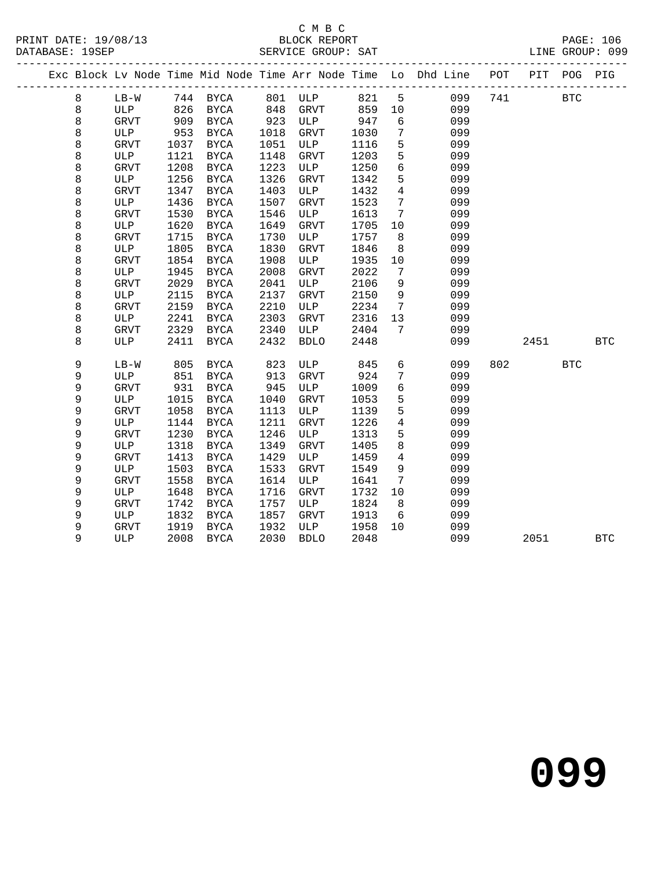### C M B C<br>BLOCK REPORT

SERVICE GROUP: SAT

|  |             |             |      |             |                    |             |      |                 | Exc Block Lv Node Time Mid Node Time Arr Node Time Lo Dhd Line POT PIT POG PIG |     |      |            |            |
|--|-------------|-------------|------|-------------|--------------------|-------------|------|-----------------|--------------------------------------------------------------------------------|-----|------|------------|------------|
|  | 8           | $LB-W$      |      | 744 BYCA    |                    |             |      |                 | 099                                                                            | 741 |      | <b>BTC</b> |            |
|  | 8           | ULP         | 826  | BYCA        |                    |             | 859  |                 | 099                                                                            |     |      |            |            |
|  | 8           | GRVT        | 909  | BYCA        | 923                | ULP         | 947  | 6               | 099                                                                            |     |      |            |            |
|  | 8           | ULP         | 953  | BYCA        | 1018               | GRVT        | 1030 | $7\phantom{.0}$ | 099                                                                            |     |      |            |            |
|  | $\,8\,$     | GRVT        | 1037 | BYCA        | 1051               | ULP         | 1116 | 5               | 099                                                                            |     |      |            |            |
|  | $\,8\,$     | ULP         | 1121 | BYCA        | 1148               | <b>GRVT</b> | 1203 | 5               | 099                                                                            |     |      |            |            |
|  | $\,8\,$     | GRVT        | 1208 | <b>BYCA</b> | 1223               | ULP         | 1250 | $6\overline{6}$ | 099                                                                            |     |      |            |            |
|  | 8           | ULP         | 1256 | BYCA        | 1326               | <b>GRVT</b> | 1342 | 5               | 099                                                                            |     |      |            |            |
|  | $\,8\,$     | GRVT        | 1347 | BYCA        | 1403               | ULP         | 1432 | $\overline{4}$  | 099                                                                            |     |      |            |            |
|  | $\,8\,$     | ULP         | 1436 | BYCA        | 1507               | <b>GRVT</b> | 1523 | $7\overline{ }$ | 099                                                                            |     |      |            |            |
|  | $\,8\,$     | GRVT        | 1530 | <b>BYCA</b> | 1546               | ULP         | 1613 | $\overline{7}$  | 099                                                                            |     |      |            |            |
|  | 8           | ULP         | 1620 | BYCA        | 1649               | GRVT        | 1705 | 10              | 099                                                                            |     |      |            |            |
|  | 8           | GRVT        | 1715 | BYCA        | 1730               | ULP         | 1757 | 8               | 099                                                                            |     |      |            |            |
|  | $\,8\,$     | ULP         | 1805 | <b>BYCA</b> | 1830               | GRVT        | 1846 | 8               | 099                                                                            |     |      |            |            |
|  | $\,8\,$     | GRVT        | 1854 | <b>BYCA</b> | 1908               | ULP         | 1935 | 10              | 099                                                                            |     |      |            |            |
|  | 8           | ULP         | 1945 | <b>BYCA</b> | 2008               | <b>GRVT</b> | 2022 | $7\overline{ }$ | 099                                                                            |     |      |            |            |
|  | $\,8\,$     | GRVT        | 2029 | BYCA        | 2041               | ULP         | 2106 | 9               | 099                                                                            |     |      |            |            |
|  | $\,8\,$     | ULP         | 2115 | <b>BYCA</b> | 2137               | GRVT        | 2150 | 9               | 099                                                                            |     |      |            |            |
|  | $\,8\,$     | GRVT        | 2159 | BYCA        | 2210               | ULP         | 2234 | $\overline{7}$  | 099                                                                            |     |      |            |            |
|  | $\,8\,$     | ULP         | 2241 | BYCA        | 2303               | GRVT        | 2316 | 13              | 099                                                                            |     |      |            |            |
|  | $\,8\,$     | GRVT        | 2329 | BYCA        | 2340               | ULP         | 2404 | $7\overline{ }$ | 099                                                                            |     |      |            |            |
|  | 8           | ULP         | 2411 | <b>BYCA</b> | 2432               | <b>BDLO</b> | 2448 |                 | 099                                                                            |     | 2451 |            | <b>BTC</b> |
|  | 9           | $LB-W$      | 805  | BYCA        | 823                | ULP         | 845  | 6               | 099                                                                            | 802 |      | <b>BTC</b> |            |
|  | 9           | ULP         | 851  | BYCA        | 913                | GRVT        | 924  | $7\phantom{.0}$ | 099                                                                            |     |      |            |            |
|  | 9           | GRVT        | 931  | BYCA        | 945                | ULP         | 1009 | $6\overline{6}$ | 099                                                                            |     |      |            |            |
|  | 9           | ULP         | 1015 | BYCA        | 1040               | <b>GRVT</b> | 1053 | 5               | 099                                                                            |     |      |            |            |
|  | 9           | GRVT        | 1058 | BYCA        | 1113               | ULP         | 1139 | 5               | 099                                                                            |     |      |            |            |
|  | 9           | ULP         | 1144 | BYCA        | 1211               | <b>GRVT</b> | 1226 | $\overline{4}$  | 099                                                                            |     |      |            |            |
|  | $\mathsf 9$ | GRVT        | 1230 | BYCA        | 1246               | ULP         | 1313 | 5               | 099                                                                            |     |      |            |            |
|  | $\mathsf 9$ | ULP         | 1318 | BYCA        | 1349               | GRVT        | 1405 | 8               | 099                                                                            |     |      |            |            |
|  | 9           | <b>GRVT</b> | 1413 | <b>BYCA</b> | 1429               | ULP         | 1459 | $\overline{4}$  | 099                                                                            |     |      |            |            |
|  | 9           | ULP         | 1503 | BYCA        | 1533               | <b>GRVT</b> | 1549 | 9               | 099                                                                            |     |      |            |            |
|  | 9           | GRVT        | 1558 | <b>BYCA</b> | 1614               | ULP         | 1641 | $7\phantom{.0}$ | 099                                                                            |     |      |            |            |
|  | 9           | ULP         | 1648 | BYCA        | 1716               | <b>GRVT</b> | 1732 | 10              | 099                                                                            |     |      |            |            |
|  | 9           | <b>GRVT</b> | 1742 | BYCA        | 1757               | ULP         | 1824 | 8 <sup>8</sup>  | 099                                                                            |     |      |            |            |
|  | 9           | ULP         | 1832 | BYCA        | 1857               | GRVT        | 1913 | 6               | 099                                                                            |     |      |            |            |
|  | 9           | GRVT        | 1919 | BYCA        | ⊥u<br>1932<br>∩n30 | ULP         | 1958 | 10              | 099                                                                            |     |      |            |            |
|  | 9           | ULP         | 2008 | BYCA        | 2030               | <b>BDLO</b> | 2048 |                 | 099                                                                            |     | 2051 |            | <b>BTC</b> |
|  |             |             |      |             |                    |             |      |                 |                                                                                |     |      |            |            |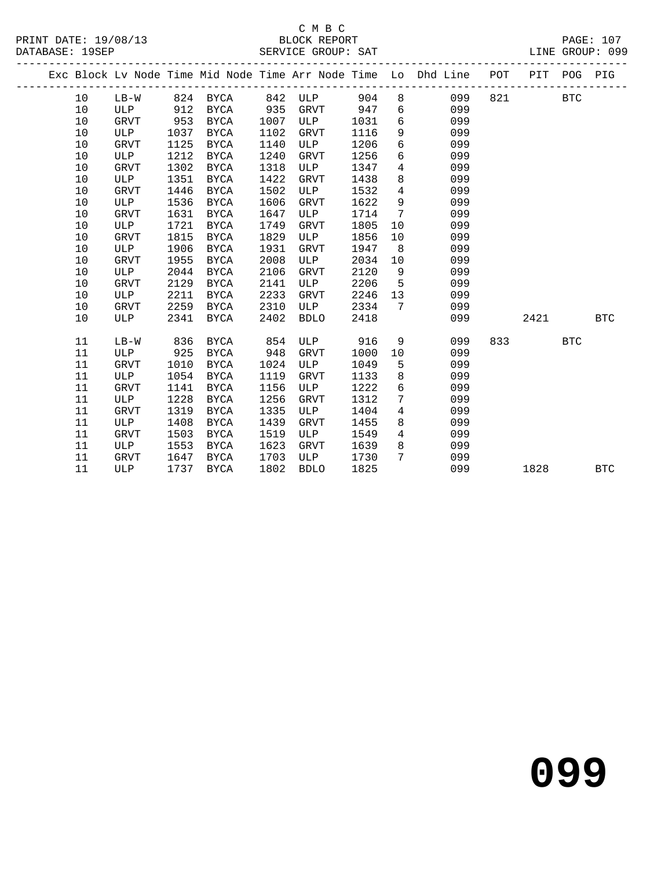### C M B C

|  | DATABASE: 19SEP |             |      |             |      | SERVICE GROUP: SAT      |      |                |                                                                    |     |      |             | LINE GROUP: 099 |
|--|-----------------|-------------|------|-------------|------|-------------------------|------|----------------|--------------------------------------------------------------------|-----|------|-------------|-----------------|
|  |                 |             |      |             |      | ----------------------- |      |                | Exc Block Lv Node Time Mid Node Time Arr Node Time Lo Dhd Line POT |     |      | PIT POG PIG |                 |
|  | 10              | $LB-W$      |      | 824 BYCA    | 842  | ULP                     | 904  | 8              | 099                                                                | 821 |      | <b>BTC</b>  |                 |
|  | 10              | ULP         | 912  | <b>BYCA</b> | 935  | GRVT                    | 947  | 6              | 099                                                                |     |      |             |                 |
|  | 10              | <b>GRVT</b> | 953  | <b>BYCA</b> | 1007 | ULP                     | 1031 | 6              | 099                                                                |     |      |             |                 |
|  | $10$            | ULP         | 1037 | <b>BYCA</b> | 1102 | <b>GRVT</b>             | 1116 | 9              | 099                                                                |     |      |             |                 |
|  | $10$            | GRVT        | 1125 | <b>BYCA</b> | 1140 | ULP                     | 1206 | 6              | 099                                                                |     |      |             |                 |
|  | 10              | ULP         | 1212 | <b>BYCA</b> | 1240 | <b>GRVT</b>             | 1256 | 6              | 099                                                                |     |      |             |                 |
|  | $10$            | <b>GRVT</b> | 1302 | <b>BYCA</b> | 1318 | ULP                     | 1347 | $\overline{4}$ | 099                                                                |     |      |             |                 |
|  | $10$            | ULP         | 1351 | <b>BYCA</b> | 1422 | GRVT                    | 1438 | 8              | 099                                                                |     |      |             |                 |
|  | 10              | GRVT        | 1446 | <b>BYCA</b> | 1502 | ULP                     | 1532 | $\overline{4}$ | 099                                                                |     |      |             |                 |
|  | 10              | ULP         | 1536 | <b>BYCA</b> | 1606 | <b>GRVT</b>             | 1622 | 9              | 099                                                                |     |      |             |                 |
|  | 10              | <b>GRVT</b> | 1631 | <b>BYCA</b> | 1647 | ULP                     | 1714 | 7              | 099                                                                |     |      |             |                 |
|  | 10              | ULP         | 1721 | <b>BYCA</b> | 1749 | <b>GRVT</b>             | 1805 | 10             | 099                                                                |     |      |             |                 |
|  | 10              | GRVT        | 1815 | <b>BYCA</b> | 1829 | ULP                     | 1856 | 10             | 099                                                                |     |      |             |                 |
|  | 10              | ULP         | 1906 | <b>BYCA</b> | 1931 | GRVT                    | 1947 | 8              | 099                                                                |     |      |             |                 |
|  | 10              | <b>GRVT</b> | 1955 | <b>BYCA</b> | 2008 | ULP                     | 2034 | 10             | 099                                                                |     |      |             |                 |
|  | 10              | ULP         | 2044 | <b>BYCA</b> | 2106 | <b>GRVT</b>             | 2120 | 9              | 099                                                                |     |      |             |                 |
|  | 10              | GRVT        | 2129 | <b>BYCA</b> | 2141 | <b>ULP</b>              | 2206 | 5              | 099                                                                |     |      |             |                 |
|  | 10              | ULP         | 2211 | BYCA        | 2233 | GRVT                    | 2246 | 13             | 099                                                                |     |      |             |                 |
|  | 10              | GRVT        | 2259 | <b>BYCA</b> | 2310 | ULP                     | 2334 | 7              | 099                                                                |     |      |             |                 |
|  | 10              | <b>ULP</b>  | 2341 | <b>BYCA</b> | 2402 | <b>BDLO</b>             | 2418 |                | 099                                                                |     | 2421 |             | <b>BTC</b>      |
|  | 11              | $LB-W$      | 836  | <b>BYCA</b> | 854  | ULP                     | 916  | 9              | 099                                                                | 833 |      | <b>BTC</b>  |                 |
|  | 11              | ULP         | 925  | <b>BYCA</b> | 948  | GRVT                    | 1000 | 10             | 099                                                                |     |      |             |                 |
|  | 11              | GRVT        | 1010 | BYCA        | 1024 | ULP                     | 1049 | 5              | 099                                                                |     |      |             |                 |
|  | 11              | ULP         | 1054 | <b>BYCA</b> | 1119 | GRVT                    | 1133 | 8              | 099                                                                |     |      |             |                 |
|  | 11              | <b>GRVT</b> | 1141 | <b>BYCA</b> | 1156 | ULP                     | 1222 | 6              | 099                                                                |     |      |             |                 |
|  | 11              | ULP         | 1228 | <b>BYCA</b> | 1256 | <b>GRVT</b>             | 1312 | 7              | 099                                                                |     |      |             |                 |
|  | 11              | GRVT        | 1319 | <b>BYCA</b> | 1335 | ULP                     | 1404 | 4              | 099                                                                |     |      |             |                 |
|  | 11              | ULP         | 1408 | <b>BYCA</b> | 1439 | <b>GRVT</b>             | 1455 | 8              | 099                                                                |     |      |             |                 |
|  | 11              | <b>GRVT</b> | 1503 | <b>BYCA</b> | 1519 | ULP                     | 1549 | $\overline{4}$ | 099                                                                |     |      |             |                 |
|  | 11              | ULP         | 1553 | <b>BYCA</b> | 1623 | GRVT                    | 1639 | 8              | 099                                                                |     |      |             |                 |
|  | 11              | <b>GRVT</b> | 1647 | <b>BYCA</b> | 1703 | ULP                     | 1730 | 7              | 099                                                                |     |      |             |                 |
|  | 11              | <b>ULP</b>  | 1737 | <b>BYCA</b> | 1802 | <b>BDLO</b>             | 1825 |                | 099                                                                |     | 1828 |             | <b>BTC</b>      |
|  |                 |             |      |             |      |                         |      |                |                                                                    |     |      |             |                 |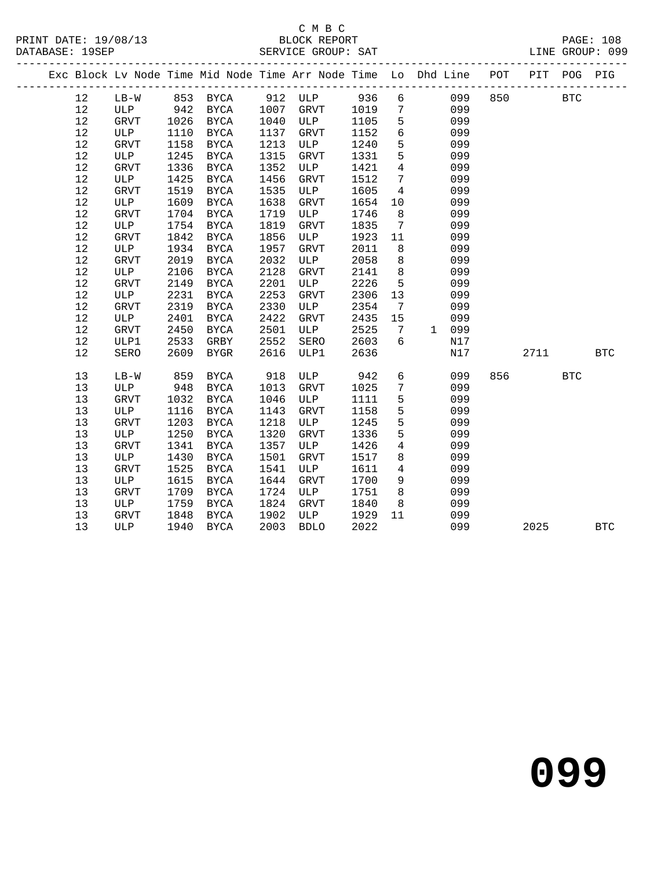#### C M B C<br>BLOCK REPORT SERVICE GROUP: SAT

|  |        |              |      |              |      | Exc Block Lv Node Time Mid Node Time Arr Node Time Lo Dhd Line POT |      |                 |              |     |     | PIT  | POG        | PIG          |
|--|--------|--------------|------|--------------|------|--------------------------------------------------------------------|------|-----------------|--------------|-----|-----|------|------------|--------------|
|  | 12     | $LB-W$       | 853  | <b>BYCA</b>  | 912  | ULP                                                                | 936  | 6               |              | 099 | 850 |      | <b>BTC</b> |              |
|  | 12     | ULP          | 942  | <b>BYCA</b>  | 1007 | GRVT                                                               | 1019 | $7\phantom{.0}$ |              | 099 |     |      |            |              |
|  | 12     | <b>GRVT</b>  | 1026 | <b>BYCA</b>  | 1040 | ULP                                                                | 1105 | 5               |              | 099 |     |      |            |              |
|  | 12     | $_{\rm ULP}$ | 1110 | ${\tt BYCA}$ | 1137 | GRVT                                                               | 1152 | $6\phantom{1}$  |              | 099 |     |      |            |              |
|  | $12\,$ | <b>GRVT</b>  | 1158 | ${\tt BYCA}$ | 1213 | ULP                                                                | 1240 | 5               |              | 099 |     |      |            |              |
|  | 12     | ULP          | 1245 | <b>BYCA</b>  | 1315 | <b>GRVT</b>                                                        | 1331 | 5               |              | 099 |     |      |            |              |
|  | 12     | <b>GRVT</b>  | 1336 | <b>BYCA</b>  | 1352 | ULP                                                                | 1421 | $\overline{4}$  |              | 099 |     |      |            |              |
|  | 12     | <b>ULP</b>   | 1425 | <b>BYCA</b>  | 1456 | <b>GRVT</b>                                                        | 1512 | $7\phantom{.0}$ |              | 099 |     |      |            |              |
|  | $1\,2$ | <b>GRVT</b>  | 1519 | <b>BYCA</b>  | 1535 | $_{\rm ULP}$                                                       | 1605 | $\overline{4}$  |              | 099 |     |      |            |              |
|  | 12     | ULP          | 1609 | <b>BYCA</b>  | 1638 | <b>GRVT</b>                                                        | 1654 | 10              |              | 099 |     |      |            |              |
|  | 12     | <b>GRVT</b>  | 1704 | <b>BYCA</b>  | 1719 | ULP                                                                | 1746 | 8               |              | 099 |     |      |            |              |
|  | 12     | ULP          | 1754 | <b>BYCA</b>  | 1819 | <b>GRVT</b>                                                        | 1835 | 7               |              | 099 |     |      |            |              |
|  | 12     | GRVT         | 1842 | <b>BYCA</b>  | 1856 | ULP                                                                | 1923 | 11              |              | 099 |     |      |            |              |
|  | 12     | ULP          | 1934 | <b>BYCA</b>  | 1957 | <b>GRVT</b>                                                        | 2011 | 8               |              | 099 |     |      |            |              |
|  | $12\,$ | <b>GRVT</b>  | 2019 | <b>BYCA</b>  | 2032 | ULP                                                                | 2058 | $\,8\,$         |              | 099 |     |      |            |              |
|  | $12\,$ | ULP          | 2106 | ${\tt BYCA}$ | 2128 | <b>GRVT</b>                                                        | 2141 | $\,8\,$         |              | 099 |     |      |            |              |
|  | 12     | <b>GRVT</b>  | 2149 | <b>BYCA</b>  | 2201 | ULP                                                                | 2226 | 5               |              | 099 |     |      |            |              |
|  | 12     | <b>ULP</b>   | 2231 | <b>BYCA</b>  | 2253 | <b>GRVT</b>                                                        | 2306 | 13              |              | 099 |     |      |            |              |
|  | 12     | <b>GRVT</b>  | 2319 | <b>BYCA</b>  | 2330 | ULP                                                                | 2354 | 7               |              | 099 |     |      |            |              |
|  | $1\,2$ | ULP          | 2401 | <b>BYCA</b>  | 2422 | GRVT                                                               | 2435 | 15              |              | 099 |     |      |            |              |
|  | $12\,$ | <b>GRVT</b>  | 2450 | <b>BYCA</b>  | 2501 | ULP                                                                | 2525 | 7               | $\mathbf{1}$ | 099 |     |      |            |              |
|  | $12\,$ | ULP1         | 2533 | GRBY         | 2552 | SERO                                                               | 2603 | 6               |              | N17 |     |      |            |              |
|  | 12     | <b>SERO</b>  | 2609 | <b>BYGR</b>  | 2616 | ULP1                                                               | 2636 |                 |              | N17 |     | 2711 |            | <b>BTC</b>   |
|  | 13     | $LB-W$       | 859  | <b>BYCA</b>  | 918  | ULP                                                                | 942  | 6               |              | 099 | 856 |      | <b>BTC</b> |              |
|  | 13     | ULP          | 948  | ${\tt BYCA}$ | 1013 | <b>GRVT</b>                                                        | 1025 | $\overline{7}$  |              | 099 |     |      |            |              |
|  | 13     | <b>GRVT</b>  | 1032 | ${\tt BYCA}$ | 1046 | ULP                                                                | 1111 | 5               |              | 099 |     |      |            |              |
|  | 13     | ULP          | 1116 | <b>BYCA</b>  | 1143 | <b>GRVT</b>                                                        | 1158 | 5               |              | 099 |     |      |            |              |
|  | 13     | <b>GRVT</b>  | 1203 | <b>BYCA</b>  | 1218 | ULP                                                                | 1245 | 5               |              | 099 |     |      |            |              |
|  | 13     | ULP          | 1250 | <b>BYCA</b>  | 1320 | <b>GRVT</b>                                                        | 1336 | 5               |              | 099 |     |      |            |              |
|  | 13     | <b>GRVT</b>  | 1341 | <b>BYCA</b>  | 1357 | ULP                                                                | 1426 | $\overline{4}$  |              | 099 |     |      |            |              |
|  | 13     | ULP          | 1430 | <b>BYCA</b>  | 1501 | GRVT                                                               | 1517 | $\,8\,$         |              | 099 |     |      |            |              |
|  | 13     | <b>GRVT</b>  | 1525 | <b>BYCA</b>  | 1541 | $_{\rm ULP}$                                                       | 1611 | $\overline{4}$  |              | 099 |     |      |            |              |
|  | 13     | <b>ULP</b>   | 1615 | <b>BYCA</b>  | 1644 | <b>GRVT</b>                                                        | 1700 | 9               |              | 099 |     |      |            |              |
|  | 13     | <b>GRVT</b>  | 1709 | <b>BYCA</b>  | 1724 | ULP                                                                | 1751 | 8               |              | 099 |     |      |            |              |
|  | 13     | ULP          | 1759 | <b>BYCA</b>  | 1824 | <b>GRVT</b>                                                        | 1840 | 8               |              | 099 |     |      |            |              |
|  | 13     | ${\tt GRVT}$ | 1848 | <b>BYCA</b>  | 1902 | ULP                                                                | 1929 | 11              |              | 099 |     |      |            |              |
|  | 13     | ULP          | 1940 | ${\tt BYCA}$ | 2003 | <b>BDLO</b>                                                        | 2022 |                 |              | 099 |     | 2025 |            | $_{\rm BTC}$ |
|  |        |              |      |              |      |                                                                    |      |                 |              |     |     |      |            |              |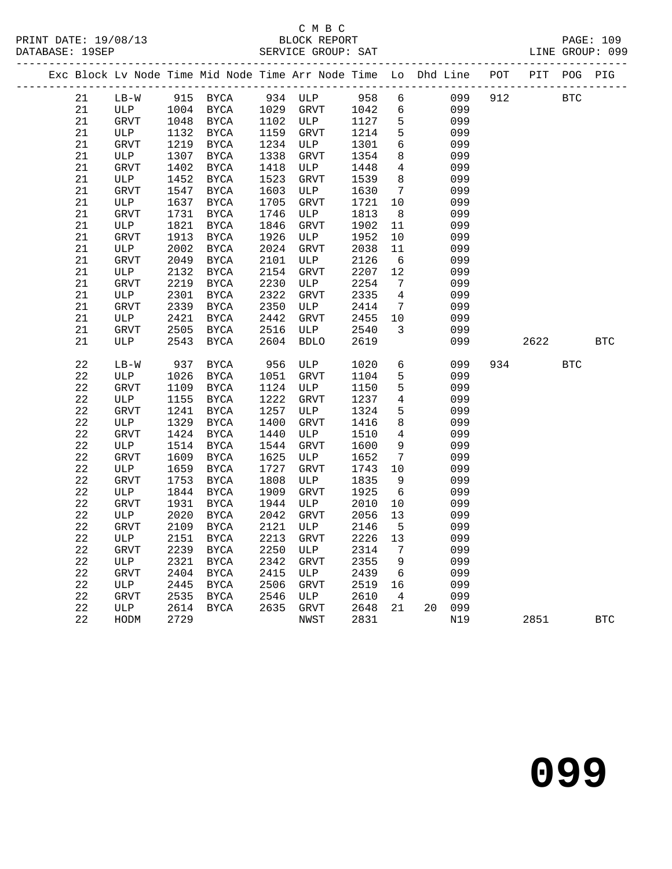# C M B C<br>BLOCK REPORT

SERVICE GROUP: SAT

|  |             |             |      |               |      | Exc Block Lv Node Time Mid Node Time Arr Node Time Lo Dhd Line POT PIT POG PIG |                  |                         |        |     |      |            |            |
|--|-------------|-------------|------|---------------|------|--------------------------------------------------------------------------------|------------------|-------------------------|--------|-----|------|------------|------------|
|  | 21          | $LB-W$      |      | 915 BYCA      |      | 934 ULP 958                                                                    |                  | 6                       | 099    | 912 |      | <b>BTC</b> |            |
|  | 21          | ULP         |      | 1004 BYCA     |      | 1029 GRVT                                                                      | 1042             | 6                       | 099    |     |      |            |            |
|  | 21          | GRVT        | 1048 | BYCA          | 1102 | ULP                                                                            | $1127$<br>$1214$ | $5^{\circ}$             | 099    |     |      |            |            |
|  | 21          | ULP         |      | 1132 BYCA     | 1159 | GRVT                                                                           |                  | $5^{\circ}$             | 099    |     |      |            |            |
|  | 21          | GRVT        | 1219 | BYCA          | 1234 | ULP                                                                            | 1301             | $6\overline{6}$         | 099    |     |      |            |            |
|  | 21          | ULP         | 1307 | BYCA          | 1338 | GRVT                                                                           | 1354             | 8 <sup>8</sup>          | 099    |     |      |            |            |
|  | 21          | GRVT        | 1402 | BYCA          | 1418 | ULP                                                                            | 1448             | $\overline{4}$          | 099    |     |      |            |            |
|  | 21          | ULP         | 1452 | BYCA          | 1523 | GRVT                                                                           | 1539             | 8 <sup>8</sup>          | 099    |     |      |            |            |
|  | 21          | GRVT        | 1547 | BYCA          | 1603 | ULP                                                                            | 1630             | $\overline{7}$          | 099    |     |      |            |            |
|  | $2\sqrt{1}$ | ULP         | 1637 | BYCA          | 1705 | GRVT                                                                           | 1721             | 10                      | 099    |     |      |            |            |
|  | 21          | GRVT        | 1731 | BYCA          | 1746 | ULP                                                                            | 1813             | 8 <sup>8</sup>          | 099    |     |      |            |            |
|  | 21          | ULP         | 1821 | BYCA          | 1846 | GRVT                                                                           | 1902             | 11                      | 099    |     |      |            |            |
|  | $2\sqrt{1}$ | GRVT        | 1913 | BYCA          | 1926 | ULP                                                                            | 1952             | 10                      | 099    |     |      |            |            |
|  | 21          | ULP         | 2002 | BYCA          | 2024 | GRVT                                                                           | 2038             | 11                      | 099    |     |      |            |            |
|  | 21          | GRVT        | 2049 | BYCA          | 2101 | ULP                                                                            | 2126             | 6                       | 099    |     |      |            |            |
|  | 21          | ULP         | 2132 | BYCA          | 2154 | GRVT                                                                           | 2207 12          |                         | 099    |     |      |            |            |
|  | 21          | <b>GRVT</b> | 2219 | BYCA          | 2230 | ULP                                                                            | 2254             | $\overline{7}$          | 099    |     |      |            |            |
|  | 21          | ULP         | 2301 | $_{\rm BYCA}$ | 2322 | GRVT                                                                           | 2335             | $\overline{4}$          | 099    |     |      |            |            |
|  | 21          | GRVT        | 2339 | BYCA          | 2350 | ULP                                                                            | 2414             | $\overline{7}$          | 099    |     |      |            |            |
|  | 21          | ULP         | 2421 | BYCA          | 2442 | GRVT                                                                           | 2455             | 10                      | 099    |     |      |            |            |
|  | 21          | GRVT        | 2505 | BYCA          | 2516 | ULP                                                                            | 2540             | $\overline{\mathbf{3}}$ | 099    |     |      |            |            |
|  | 21          | ULP         | 2543 | <b>BYCA</b>   | 2604 | <b>BDLO</b>                                                                    | 2619             |                         | 099    |     | 2622 |            | <b>BTC</b> |
|  | 22          | $LB-W$      | 937  | BYCA          | 956  | ULP                                                                            | 1020             | $6\overline{6}$         | 099    | 934 |      | <b>BTC</b> |            |
|  | 22          | ULP         | 1026 | BYCA          | 1051 | GRVT                                                                           | 1104             | 5                       | 099    |     |      |            |            |
|  | $2\sqrt{2}$ | GRVT        | 1109 | BYCA          | 1124 | ULP                                                                            | 1150             | 5                       | 099    |     |      |            |            |
|  | 22          | ULP         | 1155 | BYCA          | 1222 | GRVT                                                                           | 1237             | $\overline{4}$          | 099    |     |      |            |            |
|  | 22          | GRVT        | 1241 | BYCA          | 1257 | ULP                                                                            | 1324             | 5                       | 099    |     |      |            |            |
|  | 22          | ULP         | 1329 | BYCA          | 1400 | GRVT                                                                           | 1416             | 8                       | 099    |     |      |            |            |
|  | $2\sqrt{2}$ | GRVT        | 1424 | BYCA          | 1440 | ULP                                                                            | 1510             | $\overline{4}$          | 099    |     |      |            |            |
|  | $2\sqrt{2}$ | ULP         | 1514 | BYCA          | 1544 | GRVT                                                                           | 1600             | 9                       | 099    |     |      |            |            |
|  | 22          | GRVT        | 1609 | BYCA          | 1625 | ULP                                                                            | 1652             | $\overline{7}$          | 099    |     |      |            |            |
|  | 22          | ULP         | 1659 | BYCA          | 1727 | GRVT                                                                           | 1743 10          |                         | 099    |     |      |            |            |
|  | 22          | GRVT        | 1753 | BYCA          | 1808 | ULP                                                                            | 1835             | 9                       | 099    |     |      |            |            |
|  | $2\sqrt{2}$ | ULP         | 1844 | <b>BYCA</b>   | 1909 | GRVT                                                                           | 1925             | 6                       | 099    |     |      |            |            |
|  | 22          | GRVT        | 1931 | BYCA          | 1944 | ULP                                                                            | 2010             | 10                      | 099    |     |      |            |            |
|  | 22          | ULP         | 2020 | BYCA          | 2042 | GRVT                                                                           | 2056             | 13                      | 099    |     |      |            |            |
|  | 22          | <b>GRVT</b> | 2109 | BYCA          | 2121 | ULP                                                                            | 2146             | 5                       | 099    |     |      |            |            |
|  | $2\sqrt{2}$ | ULP         | 2151 | BYCA          | 2213 | GRVT                                                                           | 2226             | 13                      | 099    |     |      |            |            |
|  | 22          | GRVT        | 2239 | $_{\rm BYCA}$ | 2250 | ULP                                                                            | 2314             | $\overline{7}$          | 099    |     |      |            |            |
|  | 22          | ULP         | 2321 | BYCA          | 2342 | GRVT                                                                           | 2355             | 9                       | 099    |     |      |            |            |
|  | 22          | <b>GRVT</b> | 2404 | BYCA          | 2415 | ULP                                                                            | 2439             | 6                       | 099    |     |      |            |            |
|  | $2\sqrt{2}$ | ULP         | 2445 | BYCA          | 2506 | GRVT                                                                           | 2519             | 16                      | 099    |     |      |            |            |
|  | 22          | GRVT        | 2535 | BYCA          | 2546 | ULP                                                                            | 2610             | $\overline{4}$          | 099    |     |      |            |            |
|  | 22          | ULP         | 2614 | BYCA          | 2635 | GRVT                                                                           | 2648             | 21                      | 20 099 |     |      |            |            |
|  | $2\sqrt{2}$ | HODM        | 2729 |               |      | NWST                                                                           | 2831             |                         | N19    |     | 2851 |            | <b>BTC</b> |
|  |             |             |      |               |      |                                                                                |                  |                         |        |     |      |            |            |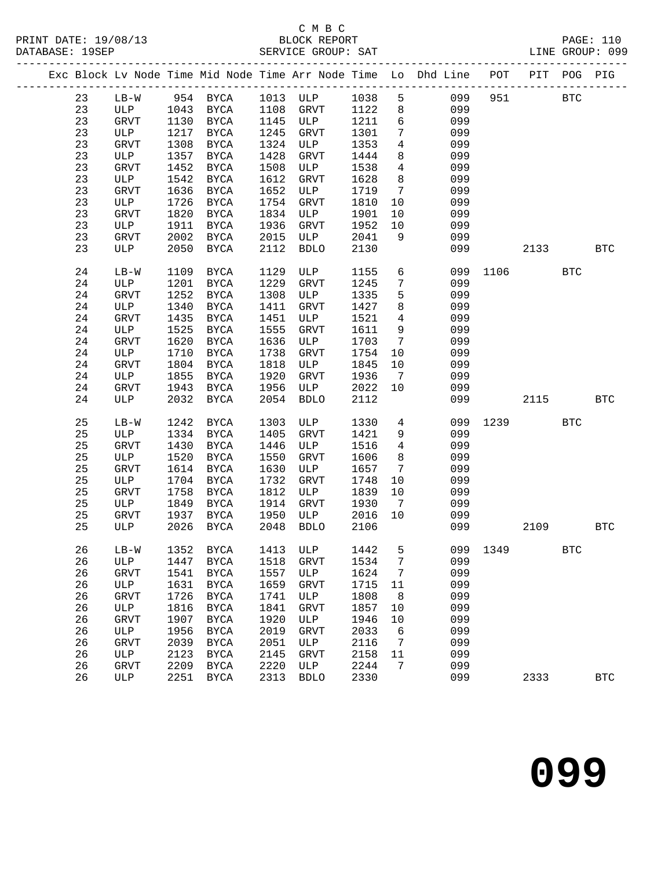# C M B C

|  |    |               |      |               |      |             |        |                              | Exc Block Lv Node Time Mid Node Time Arr Node Time Lo Dhd Line POT PIT POG PIG |      |            |            |            |
|--|----|---------------|------|---------------|------|-------------|--------|------------------------------|--------------------------------------------------------------------------------|------|------------|------------|------------|
|  | 23 | LB-W 954 BYCA |      |               |      | 1013 ULP    | 1038 5 |                              | 099                                                                            | 951  | <b>BTC</b> |            |            |
|  | 23 | ULP 1043 BYCA |      |               | 1108 | <b>GRVT</b> | 1122   | 8                            | 099                                                                            |      |            |            |            |
|  | 23 | GRVT          | 1130 | BYCA          | 1145 | ULP         | 1211   | $6\overline{6}$              | 099                                                                            |      |            |            |            |
|  | 23 | ULP           | 1217 | BYCA          | 1245 | GRVT        | 1301   | $7\phantom{.}$               | 099                                                                            |      |            |            |            |
|  | 23 | GRVT          | 1308 | BYCA          | 1324 | ULP         | 1353   | $\overline{4}$               | 099                                                                            |      |            |            |            |
|  | 23 | ULP           | 1357 | BYCA          | 1428 | GRVT        | 1444   | 8                            | 099                                                                            |      |            |            |            |
|  | 23 | GRVT          | 1452 | <b>BYCA</b>   | 1508 | ULP         | 1538   | $\overline{4}$               | 099                                                                            |      |            |            |            |
|  | 23 | ULP           | 1542 | BYCA          | 1612 | GRVT        | 1628   | 8                            | 099                                                                            |      |            |            |            |
|  | 23 | GRVT          | 1636 | BYCA          | 1652 | ULP         | 1719   | $7\overline{ }$              | 099                                                                            |      |            |            |            |
|  | 23 | ULP           | 1726 | BYCA          | 1754 | GRVT        | 1810   | 10                           | 099                                                                            |      |            |            |            |
|  | 23 | GRVT          | 1820 | BYCA          | 1834 | ULP         | 1901   | 10                           | 099                                                                            |      |            |            |            |
|  | 23 | ULP           | 1911 | BYCA          | 1936 | GRVT        | 1952   | 10                           | 099                                                                            |      |            |            |            |
|  | 23 | GRVT          | 2002 | BYCA          | 2015 | ULP         | 2041   | 9                            | 099                                                                            |      |            |            |            |
|  | 23 | ULP           | 2050 | BYCA          | 2112 | <b>BDLO</b> | 2130   |                              | 099                                                                            |      | 2133       |            | <b>BTC</b> |
|  | 24 | $LB-W$        | 1109 | BYCA          | 1129 | ULP         | 1155   | 6                            | 099                                                                            | 1106 |            | <b>BTC</b> |            |
|  | 24 | ULP           | 1201 | BYCA          | 1229 | GRVT        | 1245   | $7\phantom{.}$               | 099                                                                            |      |            |            |            |
|  | 24 | GRVT          | 1252 | BYCA          | 1308 | ULP         | 1335   | 5                            | 099                                                                            |      |            |            |            |
|  | 24 | ULP           | 1340 | BYCA          | 1411 | GRVT        | 1427   | 8                            | 099                                                                            |      |            |            |            |
|  | 24 | GRVT          | 1435 | BYCA          | 1451 | ULP         | 1521   | $\overline{4}$               | 099                                                                            |      |            |            |            |
|  | 24 | ULP           | 1525 | BYCA          | 1555 | <b>GRVT</b> | 1611   | 9                            | 099                                                                            |      |            |            |            |
|  | 24 | GRVT          | 1620 | <b>BYCA</b>   | 1636 | ULP         | 1703   | $7\phantom{.0}$              | 099                                                                            |      |            |            |            |
|  | 24 | ULP           | 1710 | BYCA          | 1738 | GRVT        | 1754   | 10                           | 099                                                                            |      |            |            |            |
|  | 24 | <b>GRVT</b>   | 1804 | <b>BYCA</b>   | 1818 | ULP         | 1845   | 10                           | 099                                                                            |      |            |            |            |
|  | 24 | ULP           | 1855 | BYCA          | 1920 | GRVT        | 1936   | $7\overline{ }$              | 099                                                                            |      |            |            |            |
|  | 24 | GRVT          | 1943 | BYCA          | 1956 | ULP         | 2022   | 10                           | 099                                                                            |      |            |            |            |
|  | 24 | ULP           | 2032 | <b>BYCA</b>   | 2054 | <b>BDLO</b> | 2112   |                              | 099                                                                            |      | 2115       |            | <b>BTC</b> |
|  | 25 | $LB-W$        | 1242 | BYCA          | 1303 | ULP         | 1330   | $\overline{4}$               | 099                                                                            | 1239 |            | <b>BTC</b> |            |
|  | 25 | ULP           | 1334 | BYCA          | 1405 | <b>GRVT</b> | 1421   | 9                            | 099                                                                            |      |            |            |            |
|  | 25 | GRVT          | 1430 | BYCA          | 1446 | ULP         | 1516   | $\overline{4}$               | 099                                                                            |      |            |            |            |
|  | 25 | ULP           | 1520 | BYCA          | 1550 | <b>GRVT</b> | 1606   | 8                            | 099                                                                            |      |            |            |            |
|  | 25 | GRVT          | 1614 | BYCA          | 1630 | ULP         | 1657   | $7\phantom{.0}\phantom{.0}7$ | 099                                                                            |      |            |            |            |
|  | 25 | ULP           | 1704 | BYCA          | 1732 | GRVT        | 1748   | 10                           | 099                                                                            |      |            |            |            |
|  | 25 | GRVT          | 1758 | <b>BYCA</b>   | 1812 | ULP         | 1839   | 10                           | 099                                                                            |      |            |            |            |
|  | 25 | ULP           | 1849 | <b>BYCA</b>   | 1914 | GRVT        | 1930   | $7\phantom{.0}\phantom{.0}7$ | 099                                                                            |      |            |            |            |
|  | 25 | GRVT          | 1937 | <b>BYCA</b>   | 1950 | ULP         | 2016   | 10                           | 099                                                                            |      |            |            |            |
|  | 25 | ULP           | 2026 | BYCA          | 2048 | <b>BDLO</b> | 2106   |                              | 099                                                                            |      | 2109       |            | BTC        |
|  | 26 | $LB-W$        | 1352 | <b>BYCA</b>   | 1413 | ULP         | 1442   | 5                            | 099                                                                            | 1349 |            | <b>BTC</b> |            |
|  | 26 | ULP           | 1447 | $_{\rm BYCA}$ | 1518 | GRVT        | 1534   | 7                            | 099                                                                            |      |            |            |            |
|  | 26 | GRVT          | 1541 | <b>BYCA</b>   | 1557 | ULP         | 1624   | 7                            | 099                                                                            |      |            |            |            |
|  | 26 | $_{\rm ULP}$  | 1631 | $_{\rm BYCA}$ | 1659 | GRVT        | 1715   | 11                           | 099                                                                            |      |            |            |            |
|  | 26 | GRVT          | 1726 | <b>BYCA</b>   | 1741 | ULP         | 1808   | 8                            | 099                                                                            |      |            |            |            |
|  | 26 | $_{\rm ULP}$  | 1816 | <b>BYCA</b>   | 1841 | GRVT        | 1857   | 10                           | 099                                                                            |      |            |            |            |
|  | 26 | GRVT          | 1907 | <b>BYCA</b>   | 1920 | ULP         | 1946   | 10                           | 099                                                                            |      |            |            |            |
|  | 26 | ULP           | 1956 | <b>BYCA</b>   | 2019 | GRVT        | 2033   | 6                            | 099                                                                            |      |            |            |            |
|  | 26 | GRVT          | 2039 | <b>BYCA</b>   | 2051 | ULP         | 2116   | 7                            | 099                                                                            |      |            |            |            |
|  | 26 | ULP           | 2123 | <b>BYCA</b>   | 2145 | <b>GRVT</b> | 2158   | 11                           | 099                                                                            |      |            |            |            |
|  | 26 | GRVT          | 2209 | <b>BYCA</b>   | 2220 | ULP         | 2244   | 7                            | 099                                                                            |      |            |            |            |
|  | 26 | ULP           | 2251 | <b>BYCA</b>   | 2313 | <b>BDLO</b> | 2330   |                              | 099                                                                            |      | 2333       |            | <b>BTC</b> |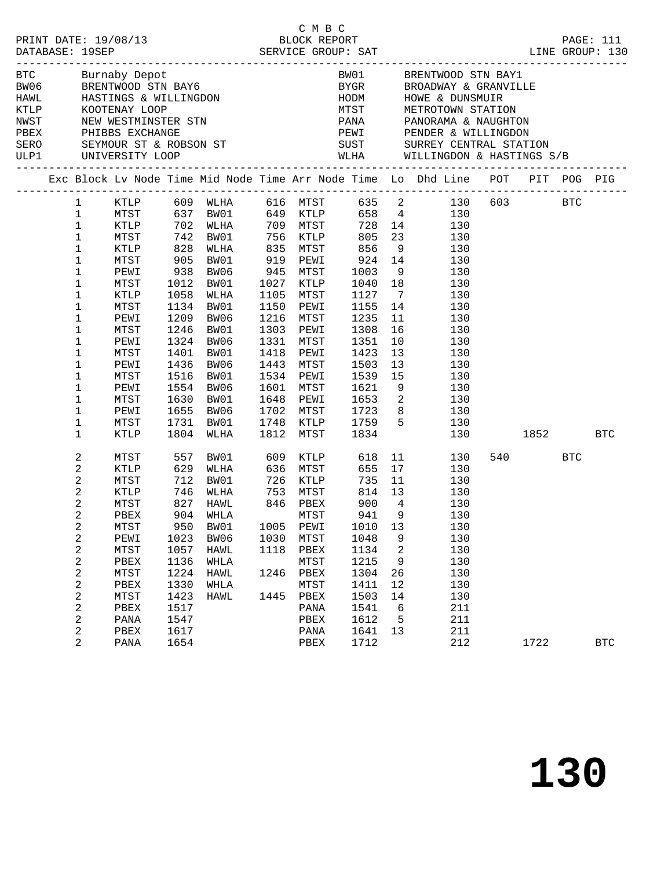|                                                                                                                                                                                                                                                                                                        |                                                                                                                                                                      |                                                                                     |                                                                                                                                                                   |                                      | C M B C                                                                                                                                                                                                        |                                                                                                                       |                                                                       | PRINT DATE: 19/08/13<br>BLOCK REPORT BLOCK PROT<br>DATABASE: 19SEP SERVICE GROUP: SAT LINE GROUP: 130<br>LINE GROUP: 130                                                                                                                                                                                                                                                                                                                                                       |                             |            |
|--------------------------------------------------------------------------------------------------------------------------------------------------------------------------------------------------------------------------------------------------------------------------------------------------------|----------------------------------------------------------------------------------------------------------------------------------------------------------------------|-------------------------------------------------------------------------------------|-------------------------------------------------------------------------------------------------------------------------------------------------------------------|--------------------------------------|----------------------------------------------------------------------------------------------------------------------------------------------------------------------------------------------------------------|-----------------------------------------------------------------------------------------------------------------------|-----------------------------------------------------------------------|--------------------------------------------------------------------------------------------------------------------------------------------------------------------------------------------------------------------------------------------------------------------------------------------------------------------------------------------------------------------------------------------------------------------------------------------------------------------------------|-----------------------------|------------|
|                                                                                                                                                                                                                                                                                                        |                                                                                                                                                                      |                                                                                     |                                                                                                                                                                   |                                      |                                                                                                                                                                                                                |                                                                                                                       |                                                                       | BTC Burnaby Depot<br>BTC Burnaby Depot<br>BRENTWOOD STN BAY6<br>HAWL HASTINGS & WILLINGDON<br>FROM HODM HOWE & DUNSMUIR<br>FROM HOWE & DUNSMUIR<br>FROM STATION<br>FROM STATION<br>FROM STATION<br>FROM STATION<br>FROM STATION<br>FROM STATION<br>FRO<br>NWST NEW WESTMINSTER STN PANA PANORAMA & NAUGHTON<br>PEEX PHIBBS EXCHANGE PEWI PENDER & WILLINGDON<br>SERO SEYMOUR ST & ROBSON ST SUST SURREY CENTRAL STATION<br>ULP1 UNIVERSITY LOOP WLHA WILLINGDON & HASTINGS S/B |                             |            |
|                                                                                                                                                                                                                                                                                                        |                                                                                                                                                                      |                                                                                     |                                                                                                                                                                   |                                      |                                                                                                                                                                                                                |                                                                                                                       |                                                                       | Exc Block Lv Node Time Mid Node Time Arr Node Time Lo Dhd Line POT PIT POG PIG                                                                                                                                                                                                                                                                                                                                                                                                 |                             |            |
| $\mathbf{1}$<br>$\mathbf{1}$<br>$\mathbf 1$<br>$\mathbf 1$<br>$\mathbf 1$<br>$\mathbf 1$<br>$\mathbf 1$<br>1<br>$\mathbf 1$<br>1<br>$\mathbf 1$<br>1<br>$\mathbf 1$<br>1<br>$\mathbf 1$<br>1<br>1<br>1<br>$1\,$                                                                                        | KTLP 828 WLHA<br>MTST<br>PEWI<br>MTST<br>KTLP<br>MTST<br>PEWI<br>MTST<br>PEWI<br>MTST<br>PEWI<br>MTST<br>PEWI<br>MTST<br>PEWI                                        | $938$<br>1012<br>1058<br>1209<br>1246<br>1401<br>1436<br>1516<br>1655               | 905 BW01<br>BW06<br>1012 BW01<br>WLHA<br>1134 BW01<br>BW06<br>BW01<br>1324 BW06<br>BW01<br>BW06<br>BW01<br>1554 BW06<br>1630 BW01<br>BW06                         | 1150<br>1216<br>1303                 | PEWI<br>MTST<br>PEWI<br>1331 MTST<br>1418 PEWI<br>1443 MTST<br>1534 PEWI<br>1601 MTST<br>1648 PEWI 1653 2<br>1702 MTST                                                                                         | $1127 \t 7$<br>1155 14<br>1235<br>1308<br>1351<br>1423<br>1503<br>1539 15<br>1621 9<br>1723 8                         | 11<br>10<br>13<br>13                                                  | 1 KTLP 609 WLHA 616 MTST 635 2 130 603 BTC<br>MTST 637 BW01 649 KTLP 658 4 130<br>KTLP 702 WLHA 709 MTST 728 14 130<br>MTST 742 BW01 756 KTLP 805 23 130<br>709 MTST 728 14 130<br>756 KTLP 805 23 130<br>835 MTST 856 9 130<br>924 14 130<br>945 MTST 1003 9 130<br>1027 KTLP 1040 18 130<br>1105 MTST 1107<br>130<br>130<br>$\frac{16}{10}$<br>130<br>130<br>130<br>130<br>130<br>130<br>130<br>130                                                                          |                             |            |
| 1<br>$\mathbf{2}$<br>$\overline{a}$<br>$\overline{a}$<br>$\overline{c}$<br>$\overline{a}$<br>$\overline{a}$<br>$\boldsymbol{2}$<br>$\sqrt{2}$<br>2<br>$\boldsymbol{2}$<br>$\boldsymbol{2}$<br>$\boldsymbol{2}$<br>$\boldsymbol{2}$<br>$\boldsymbol{2}$<br>$\overline{\mathbf{c}}$<br>2<br>$\mathbf{2}$ | MTST<br>KTLP<br>MTST<br>KTLP<br>MTST<br>KTLP<br>MTST<br>PBEX<br>MTST<br>PEWI<br>MTST<br>${\tt PBEX}$<br>MTST<br>PBEX<br>MTST<br>${\tt PBEX}$<br>PANA<br>PBEX<br>PANA | 950<br>1023<br>1057<br>1136<br>1224<br>1330<br>1423<br>1517<br>1547<br>1617<br>1654 | 1731 BW01<br>$1804$ WLHA<br>557 BW01<br>629 WLHA<br>$712$ BW01<br>746 WLHA<br>827 HAWL<br>904 WHLA<br>BW01<br>BW06<br><b>HAWL</b><br>WHLA<br>HAWL<br>WHLA<br>HAWL | 1005<br>1030<br>1118<br>1246<br>1445 | KTLP 1759 5<br>MTST 1834<br>1748 KTLP<br>1812 MTST<br>609 KTLP<br>636 MTST<br>726 KTLP<br>753 MTST<br>846 PBEX<br>MTST<br>PEWI<br>MTST<br>PBEX<br>MTST<br>PBEX<br>MTST<br>PBEX<br>PANA<br>PBEX<br>PANA<br>PBEX | 618<br>814 13<br>900<br>941 9<br>1010<br>1048<br>1134<br>1215<br>1304<br>1411<br>1503<br>1541<br>1612<br>1641<br>1712 | $\overline{4}$<br>13<br>9<br>2<br>9<br>26<br>12<br>14<br>6<br>5<br>13 | 130<br>130<br>11<br>130<br>655 17<br>735 11<br>130<br>130<br>130<br>130<br>130<br>130<br>130<br>130<br>130<br>130<br>130<br>130<br>211<br>211<br>211<br>212                                                                                                                                                                                                                                                                                                                    | 1852 BTC<br>540 BTC<br>1722 | <b>BTC</b> |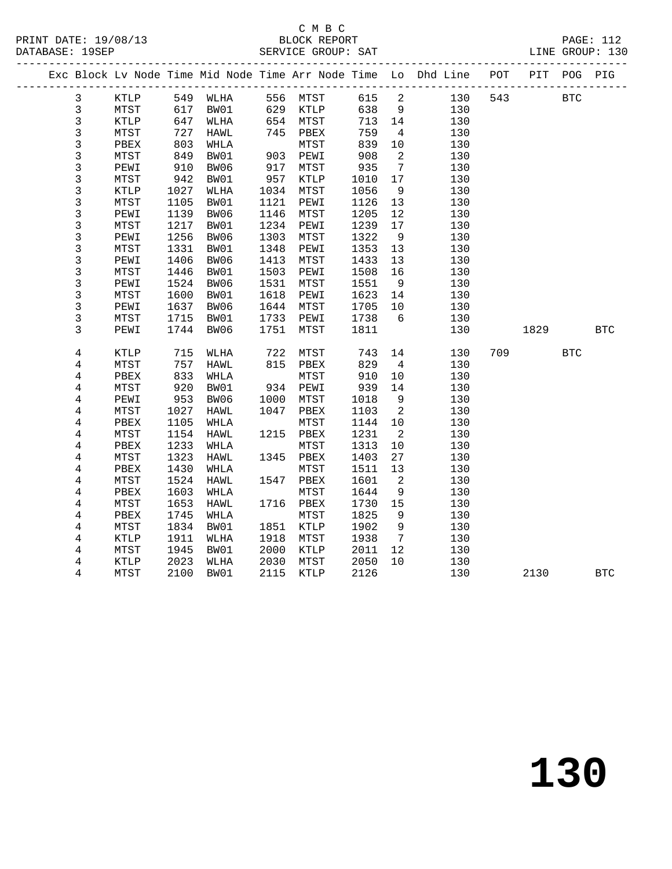## C M B C<br>BLOCK REPORT

|  |                |               |            |      |                    |                      |         |                            | Exc Block Lv Node Time Mid Node Time Arr Node Time Lo Dhd Line POT PIT POG PIG |             |            |            |
|--|----------------|---------------|------------|------|--------------------|----------------------|---------|----------------------------|--------------------------------------------------------------------------------|-------------|------------|------------|
|  | 3              | KTLP 549 WLHA |            |      |                    | 556 MTST 615 2       |         |                            |                                                                                | 130 543 BTC |            |            |
|  | $\mathfrak{Z}$ | MTST          | 617<br>647 | BW01 |                    |                      | 638     | 9                          | 130                                                                            |             |            |            |
|  | $\mathsf{3}$   | KTLP          |            | WLHA |                    | 629 KTLP<br>654 MTST | 713     | 14                         | 130                                                                            |             |            |            |
|  | $\mathfrak{Z}$ | MTST          | 727        | HAWL |                    | 745 PBEX             | 759     | $\overline{4}$             | 130                                                                            |             |            |            |
|  | $\mathbf{3}$   | PBEX          | 803        | WHLA |                    | MTST                 | 839     | 10                         | 130                                                                            |             |            |            |
|  | $\mathsf{3}$   | ${\tt MTST}$  | 849        | BW01 |                    | 903 PEWI             | 908     | $\overline{\phantom{a}}$   | 130                                                                            |             |            |            |
|  | 3              | PEWI          | 910        | BW06 | 917                | MTST                 | 935     | $7\overline{ }$            | 130                                                                            |             |            |            |
|  | $\mathsf{3}$   | MTST          | 942        | BW01 | $517$<br>957<br>10 | KTLP                 | 1010    | 17                         | 130                                                                            |             |            |            |
|  | 3              | KTLP          | 1027       | WLHA |                    | MTST                 | 1056    | 9                          | 130                                                                            |             |            |            |
|  | 3              | MTST          | 1105       | BW01 | 1121               | PEWI                 | 1126    | 13                         | 130                                                                            |             |            |            |
|  | $\mathsf{3}$   | PEWI          | 1139       | BW06 | 1146               | MTST                 | 1205    | 12                         | 130                                                                            |             |            |            |
|  | $\frac{3}{3}$  | MTST          | 1217       | BW01 | 1234               | PEWI                 | 1239    | 17                         | 130                                                                            |             |            |            |
|  |                | PEWI          | 1256       | BW06 | 1303               | MTST                 | 1322    | 9                          | 130                                                                            |             |            |            |
|  | $\mathsf 3$    | MTST          | 1331       | BW01 | 1348               | PEWI                 | 1353    | 13                         | 130                                                                            |             |            |            |
|  | $\frac{3}{3}$  | PEWI          | 1406       | BW06 | 1413               | MTST                 | 1433    | 13                         | 130                                                                            |             |            |            |
|  |                | MTST          | 1446       | BW01 | 1503               | PEWI                 | 1508    | 16                         | 130                                                                            |             |            |            |
|  | $\mathsf 3$    | PEWI          | 1524       | BW06 | 1531               | MTST                 | 1551    | 9                          | 130                                                                            |             |            |            |
|  | 3              | MTST          | 1600       | BW01 | 1618               | PEWI                 | 1623 14 |                            | 130                                                                            |             |            |            |
|  | 3              | PEWI          | 1637       | BW06 | 1644               | MTST                 | 1705    | 10                         | 130                                                                            |             |            |            |
|  | $\mathsf{3}$   | MTST          | 1715       | BW01 | 1733               | PEWI                 | 1738    | $6\overline{6}$            | 130                                                                            |             |            |            |
|  | $\overline{3}$ | PEWI          | 1744       | BW06 | 1751               | MTST                 | 1811    |                            | 130                                                                            | 1829        |            | <b>BTC</b> |
|  | 4              | KTLP          | 715        | WLHA |                    | MTST                 | 743     | 14                         | 130                                                                            | 709         | <b>BTC</b> |            |
|  | $\overline{4}$ | MTST          | 757        | HAWL | 722<br>815         | PBEX                 | 829     | $\overline{4}$             | 130                                                                            |             |            |            |
|  | 4              | PBEX          | 833        | WHLA |                    | MTST                 | 910     | 10                         | 130                                                                            |             |            |            |
|  | $\overline{4}$ | MTST          | $920$      | BW01 |                    | MTST<br>934 PEWI     | 939     | 14                         | 130                                                                            |             |            |            |
|  | $\overline{4}$ | PEWI          | 953        | BW06 | 1000               | MTST                 | 1018    | 9                          | 130                                                                            |             |            |            |
|  | $\overline{4}$ | MTST          | 1027       | HAWL | 1047               | PBEX                 | 1103    | $\overline{\phantom{a}}$   | 130                                                                            |             |            |            |
|  | $\overline{4}$ | PBEX          | 1105       | WHLA |                    | MTST                 | 1144 10 |                            | 130                                                                            |             |            |            |
|  | 4              | MTST          | 1154       | HAWL |                    | 1215 PBEX            | 1231    | $\overline{2}$             | 130                                                                            |             |            |            |
|  | $\overline{4}$ | PBEX          | 1233       | WHLA |                    | ${\tt MTST}$         | 1313    | 10                         | 130                                                                            |             |            |            |
|  | $\overline{4}$ | MTST          | 1323       | HAWL |                    | 1345 PBEX            | 1403    | 27                         | 130                                                                            |             |            |            |
|  | 4              | PBEX          | 1430       | WHLA |                    | MTST                 | 1511    | 13                         | 130                                                                            |             |            |            |
|  | $\overline{4}$ | MTST          | 1524       | HAWL | 1547               | PBEX                 | 1601    | $\overline{\phantom{a}}^2$ | 130                                                                            |             |            |            |
|  | $\overline{4}$ | PBEX          | 1603       | WHLA |                    | ${\tt MTST}$         | 1644    | 9                          | 130                                                                            |             |            |            |
|  | 4              | MTST          | 1653       | HAWL |                    | 1716 PBEX            | 1730    | 15                         | 130                                                                            |             |            |            |
|  | $\overline{4}$ | PBEX          | 1745       | WHLA |                    | MTST                 | 1825    | 9                          | 130                                                                            |             |            |            |
|  | $\overline{4}$ | MTST          | 1834       | BW01 | 1851               | KTLP                 | 1902    | 9                          | 130                                                                            |             |            |            |
|  | 4              | KTLP          | 1911       | WLHA | 1918               | MTST                 | 1938    | $\overline{7}$             | 130                                                                            |             |            |            |
|  | $\overline{4}$ | MTST          | 1945       | BW01 | 2000               | KTLP                 | 2011    | 12                         | 130                                                                            |             |            |            |
|  | 4              | KTLP          | 2023       | WLHA | 2030               | MTST                 | 2050    | 10                         | 130                                                                            |             |            |            |
|  | $\overline{4}$ | MTST          | 2100       | BW01 |                    | 2115 KTLP            | 2126    |                            | 130                                                                            | 2130        |            | <b>BTC</b> |
|  |                |               |            |      |                    |                      |         |                            |                                                                                |             |            |            |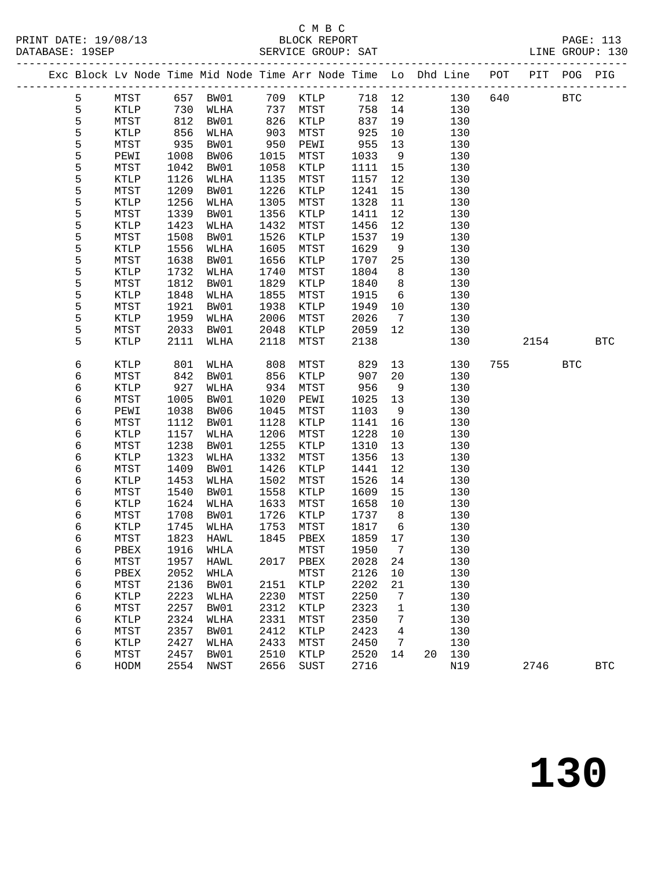# C M B C<br>BLOCK REPORT

|                 |                 |            |                |            | Exc Block Lv Node Time Mid Node Time Arr Node Time Lo Dhd Line POT PIT POG PIG |            |                 |            |         |      |              |              |
|-----------------|-----------------|------------|----------------|------------|--------------------------------------------------------------------------------|------------|-----------------|------------|---------|------|--------------|--------------|
| 5               | MTST 657 BW01   |            |                |            | 709 KTLP                                                                       |            |                 | 718 12     | 130 640 |      | $_{\rm BTC}$ |              |
| $\mathsf S$     | KTLP            | 730        | WLHA           | 737        | MTST                                                                           | 758        | 14              | 130        |         |      |              |              |
| 5               | MTST            | 812        | BW01           | 826        | KTLP                                                                           | 837        | 19              | 130        |         |      |              |              |
| 5               | KTLP            | 856        | WLHA           | 903        | ${\tt MTST}$                                                                   | 925        | 10              | 130        |         |      |              |              |
| 5               | MTST            | 935        | BW01           | 950        | PEWI                                                                           | 955        | 13              | 130        |         |      |              |              |
|                 | PEWI            | 1008       | BW06           | 1015       | MTST                                                                           | 1033       | 9               | 130        |         |      |              |              |
| $\frac{5}{5}$   | MTST            | 1042       | BW01           | 1058       | KTLP                                                                           | 1111       | 15              | 130        |         |      |              |              |
| 5               | KTLP            | 1126       | WLHA           | 1135       | MTST                                                                           | 1157       | 12              | 130        |         |      |              |              |
| 5               | MTST            | 1209       | BW01           | 1226       | KTLP                                                                           | 1241       | 15              | 130        |         |      |              |              |
| 5               | KTLP            | 1256       | WLHA           | 1305       | MTST                                                                           | 1328       | 11              | 130        |         |      |              |              |
| 5               | MTST            | 1339       | BW01           | 1356       | KTLP                                                                           | 1411       | 12              | 130        |         |      |              |              |
| 5               | KTLP            | 1423       | WLHA           | 1432       | MTST                                                                           | 1456       | 12              | 130        |         |      |              |              |
| 5               | MTST            | 1508       | BW01           | 1526       | KTLP                                                                           | 1537       | 19              | 130        |         |      |              |              |
| 5               | KTLP            | 1556       | WLHA           | 1605       | MTST                                                                           | 1629       | 9               | 130        |         |      |              |              |
| $\frac{5}{5}$   | MTST            | 1638       | BW01           | 1656       | KTLP                                                                           | 1707       | 25              | 130        |         |      |              |              |
|                 | KTLP            | 1732       | WLHA           | 1740       | MTST                                                                           | 1804       | 8 <sup>8</sup>  | 130        |         |      |              |              |
| 5               | MTST            | 1812       | BW01           | 1829       | KTLP                                                                           | 1840       | 8 <sup>8</sup>  | 130        |         |      |              |              |
| 5               | KTLP            | 1848       | WLHA           | 1855       | MTST                                                                           | 1915       | $6\overline{6}$ | 130        |         |      |              |              |
| 5               | MTST            | 1921       | BW01           | 1938       | KTLP                                                                           | 1949       | 10              | 130        |         |      |              |              |
| 5               | KTLP            | 1959       | WLHA           | 2006       | MTST                                                                           | 2026       | $7\overline{ }$ | 130        |         |      |              |              |
| 5               | MTST            | 2033       | BW01           | 2048       | KTLP                                                                           | 2059       | 12              | 130        |         |      |              |              |
| 5               | $\texttt{KTLP}$ | 2111       | WLHA           | 2118       | MTST                                                                           | 2138       |                 | 130        |         | 2154 |              | <b>BTC</b>   |
|                 |                 |            |                |            |                                                                                |            |                 |            |         |      |              |              |
| 6               | KTLP            | 801        | WLHA           | 808        | MTST                                                                           | 829        | 13              | 130        | 755     |      | <b>BTC</b>   |              |
| 6               | MTST            | 842<br>927 | BW01           | 856<br>934 | KTLP                                                                           | 907<br>956 | 20<br>9         | 130<br>130 |         |      |              |              |
| 6<br>$\epsilon$ | KTLP<br>MTST    | 1005       | WLHA<br>BW01   | 1020       | MTST<br>PEWI                                                                   | 1025       | 13              | 130        |         |      |              |              |
| 6               | PEWI            | 1038       | BW06           | 1045       | MTST                                                                           | 1103       | 9               | 130        |         |      |              |              |
| 6               | MTST            | 1112       | BW01           | 1128       | KTLP                                                                           | 1141       | 16              | 130        |         |      |              |              |
| 6               | KTLP            | 1157       | WLHA           | 1206       | MTST                                                                           | 1228       | 10              | 130        |         |      |              |              |
| $\epsilon$      | MTST            | 1238       | BW01           | 1255       | $\texttt{KTLP}$                                                                | 1310       | 13              | 130        |         |      |              |              |
| 6               | KTLP            | 1323       | WLHA           | 1332       | MTST                                                                           | 1356       | 13              | 130        |         |      |              |              |
| 6               | MTST            | 1409       | BW01           | 1426       | KTLP                                                                           | 1441       | 12              | 130        |         |      |              |              |
| $\epsilon$      | KTLP            | 1453       | WLHA           | 1502       | MTST                                                                           | 1526       | 14              | 130        |         |      |              |              |
| 6               | MTST            | 1540       | BW01           | 1558       | KTLP                                                                           | 1609       | 15              | 130        |         |      |              |              |
| 6               | <b>KTLP</b>     | 1624       | WLHA           | 1633       | MTST                                                                           | 1658       | 10              | 130        |         |      |              |              |
| 6               | MTST            | 1708       | BW01           | 1726       | KTLP                                                                           | 1737       | 8 <sup>8</sup>  | 130        |         |      |              |              |
| 6               | KTLP            | 1745       | WLHA           | 1753       | MTST                                                                           | 1817       | $6\overline{6}$ | 130        |         |      |              |              |
| 6               | MTST            | 1823       | HAWL           |            | 1845 PBEX                                                                      | 1859       | 17              | 130        |         |      |              |              |
| 6               | PBEX            |            | 1916 WHLA MTST |            |                                                                                | 1950 7     |                 | 130        |         |      |              |              |
| 6               | MTST            | 1957       | HAWL           |            | 2017 PBEX                                                                      | 2028       | 24              | 130        |         |      |              |              |
| 6               | PBEX            | 2052       | WHLA           |            | MTST                                                                           | 2126       | 10              | 130        |         |      |              |              |
| 6               | MTST            | 2136       | BW01           | 2151       | KTLP                                                                           | 2202       | 21              | 130        |         |      |              |              |
| 6               | KTLP            | 2223       | WLHA           | 2230       | MTST                                                                           | 2250       | 7               | 130        |         |      |              |              |
| 6               | MTST            | 2257       | BW01           | 2312       | KTLP                                                                           | 2323       | $\mathbf 1$     | 130        |         |      |              |              |
| 6               | KTLP            | 2324       | WLHA           | 2331       | MTST                                                                           | 2350       | 7               | 130        |         |      |              |              |
| 6               | MTST            | 2357       | BW01           | 2412       | KTLP                                                                           | 2423       | 4               | 130        |         |      |              |              |
| 6               | KTLP            | 2427       | WLHA           | 2433       | MTST                                                                           | 2450       | 7               | 130        |         |      |              |              |
| 6               | MTST            | 2457       | BW01           | 2510       | KTLP                                                                           | 2520       | 14              | 130<br>20  |         |      |              |              |
| 6               | HODM            | 2554       | NWST           | 2656       | SUST                                                                           | 2716       |                 | N19        |         | 2746 |              | $_{\rm BTC}$ |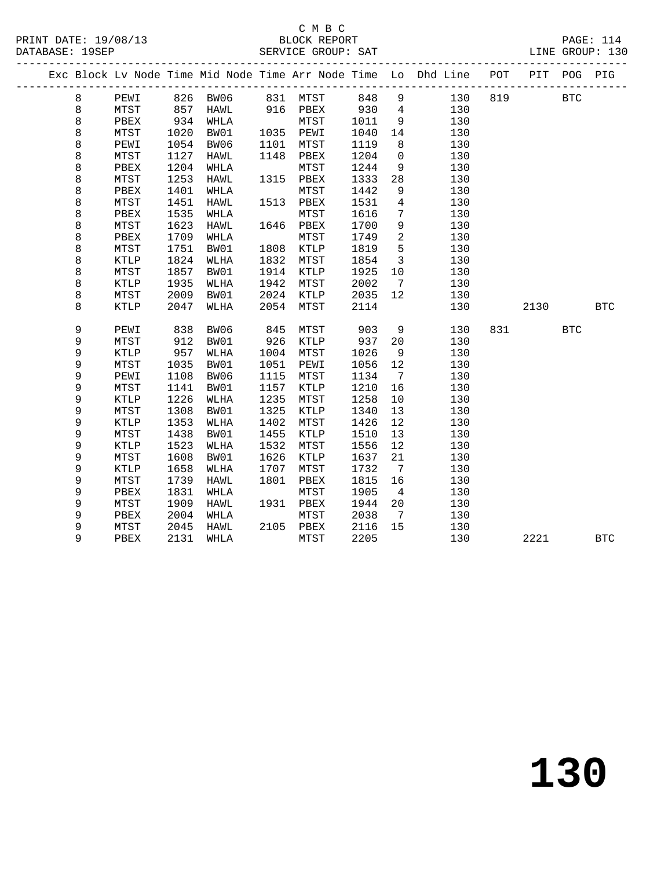### C M B C<br>BLOCK REPORT

|  |             |               |      |               |      |                                  |      |                          | Exc Block Lv Node Time Mid Node Time Arr Node Time Lo Dhd Line | POT | PIT  | POG          | PIG        |
|--|-------------|---------------|------|---------------|------|----------------------------------|------|--------------------------|----------------------------------------------------------------|-----|------|--------------|------------|
|  | 8           | PEWI 826 BW06 |      |               |      | 831 MTST 848 9<br>916 PBEX 930 4 |      |                          | 130                                                            | 819 |      | $_{\rm BTC}$ |            |
|  | 8           | MTST          |      | -<br>857 HAWL |      |                                  | 930  |                          | 130                                                            |     |      |              |            |
|  | $\,8\,$     | PBEX          | 934  | WHLA          |      | MTST                             | 1011 | 9                        | 130                                                            |     |      |              |            |
|  | $\,8\,$     | MTST          | 1020 | BW01          | 1035 | PEWI                             | 1040 | 14                       | 130                                                            |     |      |              |            |
|  | $\,8\,$     | PEWI          | 1054 | BW06          | 1101 | MTST                             | 1119 | 8                        | 130                                                            |     |      |              |            |
|  | $\,8\,$     | MTST          | 1127 | HAWL          | 1148 | PBEX                             | 1204 | $\overline{0}$           | 130                                                            |     |      |              |            |
|  | $\,8\,$     | PBEX          | 1204 | WHLA          |      | MTST                             | 1244 | 9                        | 130                                                            |     |      |              |            |
|  | 8           | MTST          | 1253 | HAWL          | 1315 | PBEX                             | 1333 | 28                       | 130                                                            |     |      |              |            |
|  | 8           | PBEX          | 1401 | WHLA          |      | MTST                             | 1442 | 9                        | 130                                                            |     |      |              |            |
|  | $\,8\,$     | MTST          | 1451 | HAWL          | 1513 | PBEX                             | 1531 | $\overline{4}$           | 130                                                            |     |      |              |            |
|  | $\,8\,$     | PBEX          | 1535 | WHLA          |      | MTST                             | 1616 | $7\phantom{.0}$          | 130                                                            |     |      |              |            |
|  | 8           | MTST          | 1623 | HAWL          |      | 1646 PBEX                        | 1700 | 9                        | 130                                                            |     |      |              |            |
|  | 8           | PBEX          | 1709 | WHLA          |      | MTST                             | 1749 | $\overline{\phantom{a}}$ | 130                                                            |     |      |              |            |
|  | 8           | MTST          | 1751 | BW01          | 1808 | KTLP                             | 1819 | 5                        | 130                                                            |     |      |              |            |
|  | $\,8\,$     | KTLP          | 1824 | WLHA          | 1832 | MTST                             | 1854 | $\overline{\mathbf{3}}$  | 130                                                            |     |      |              |            |
|  | $\,8\,$     | MTST          | 1857 | BW01          | 1914 | KTLP                             | 1925 | 10                       | 130                                                            |     |      |              |            |
|  | 8           | KTLP          | 1935 | WLHA          | 1942 | MTST                             | 2002 | $\overline{7}$           | 130                                                            |     |      |              |            |
|  | 8           | MTST          | 2009 | BW01          | 2024 | KTLP                             | 2035 | 12                       | 130                                                            |     |      |              |            |
|  | 8           | KTLP          | 2047 | WLHA          | 2054 | MTST                             | 2114 |                          | 130                                                            |     | 2130 |              | <b>BTC</b> |
|  | 9           | PEWI          | 838  | BW06          | 845  | MTST                             | 903  | 9                        | 130                                                            | 831 |      | <b>BTC</b>   |            |
|  | 9           | MTST          | 912  | BW01          | 926  | KTLP                             | 937  | 20                       | 130                                                            |     |      |              |            |
|  | $\mathsf 9$ | KTLP          | 957  | WLHA          | 1004 | MTST                             | 1026 | 9                        | 130                                                            |     |      |              |            |
|  | 9           | MTST          | 1035 | BW01          | 1051 | PEWI                             | 1056 | 12                       | 130                                                            |     |      |              |            |
|  | 9           | PEWI          | 1108 | BW06          | 1115 | MTST                             | 1134 | $\overline{7}$           | 130                                                            |     |      |              |            |
|  | 9           | MTST          | 1141 | BW01          | 1157 | KTLP                             | 1210 | 16                       | 130                                                            |     |      |              |            |
|  | $\mathsf 9$ | KTLP          | 1226 | WLHA          | 1235 | MTST                             | 1258 | 10                       | 130                                                            |     |      |              |            |
|  | 9           | MTST          | 1308 | BW01          | 1325 | KTLP                             | 1340 | 13                       | 130                                                            |     |      |              |            |
|  | 9           | KTLP          | 1353 | WLHA          | 1402 | MTST                             | 1426 | 12                       | 130                                                            |     |      |              |            |
|  | 9           | MTST          | 1438 | BW01          | 1455 | KTLP                             | 1510 | 13                       | 130                                                            |     |      |              |            |
|  | 9           | KTLP          | 1523 | WLHA          | 1532 | MTST                             | 1556 | 12                       | 130                                                            |     |      |              |            |
|  | 9           | MTST          | 1608 | BW01          | 1626 | KTLP                             | 1637 | 21                       | 130                                                            |     |      |              |            |
|  | 9           | KTLP          | 1658 | WLHA          | 1707 | ${\tt MTST}$                     | 1732 | $7\overline{ }$          | 130                                                            |     |      |              |            |
|  | 9           | MTST          | 1739 | HAWL          | 1801 | PBEX                             | 1815 | 16                       | 130                                                            |     |      |              |            |
|  | 9           | PBEX          | 1831 | WHLA          |      | MTST                             | 1905 | $\overline{4}$           | 130                                                            |     |      |              |            |
|  | $\mathsf 9$ | MTST          | 1909 | HAWL          |      | 1931 PBEX                        | 1944 | 20                       | 130                                                            |     |      |              |            |
|  | 9           | PBEX          | 2004 | WHLA          |      | MTST                             | 2038 | $\overline{7}$           | 130                                                            |     |      |              |            |
|  | 9           | MTST          | 2045 | HAWL          |      | 2105 PBEX                        | 2116 | 15                       | 130                                                            |     |      |              |            |
|  | 9           | PBEX          | 2131 | WHLA          |      | MTST                             | 2205 |                          | 130                                                            |     | 2221 |              | <b>BTC</b> |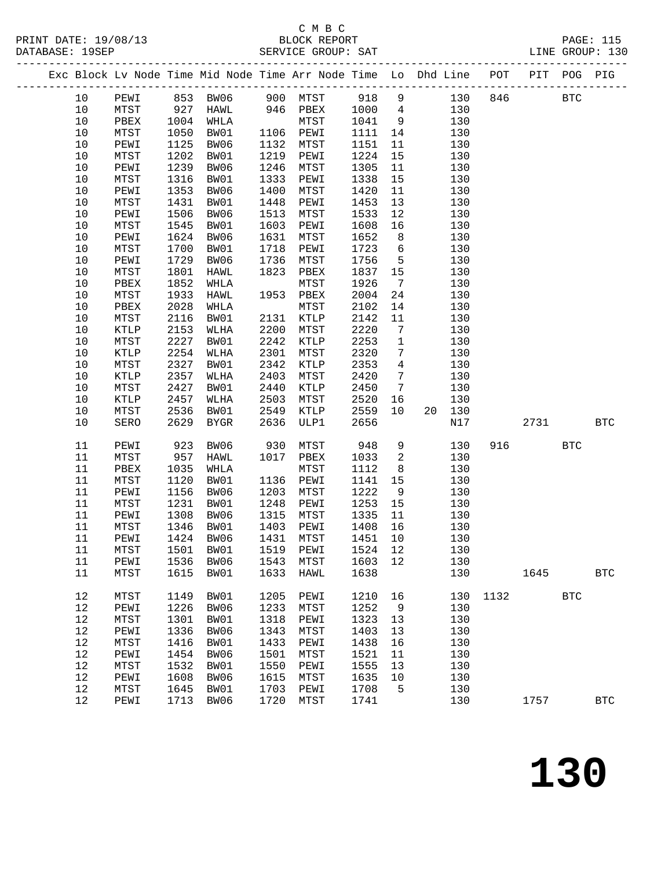### C M B C<br>BLOCK REPORT

|  |        |               |      |           |      |                             |        |                         | Exc Block Lv Node Time Mid Node Time Arr Node Time Lo Dhd Line POT PIT POG PIG |         |      |            |              |
|--|--------|---------------|------|-----------|------|-----------------------------|--------|-------------------------|--------------------------------------------------------------------------------|---------|------|------------|--------------|
|  | 10     | PEWI 853 BW06 |      |           |      | 900 MTST 918 9              |        |                         |                                                                                | 130 846 |      | <b>BTC</b> |              |
|  | $10$   | MTST          |      | 927 HAWL  |      | $946$ PBEX                  | 1000 4 |                         | 130                                                                            |         |      |            |              |
|  | $10$   | PBEX          |      | 1004 WHLA |      | MTST                        | 1041   | 9                       | 130                                                                            |         |      |            |              |
|  | $10$   | MTST          | 1050 | BW01      |      | 1106 PEWI                   | 1111   | 14                      | 130                                                                            |         |      |            |              |
|  | $10$   | PEWI          | 1125 | BW06      | 1132 | MTST                        | 1151   | 11                      | 130                                                                            |         |      |            |              |
|  | $10$   | MTST          | 1202 | BW01      | 1219 | PEWI                        | 1224   | 15                      | 130                                                                            |         |      |            |              |
|  | $10$   | PEWI          | 1239 | BW06      | 1246 | MTST                        | 1305   | 11                      | 130                                                                            |         |      |            |              |
|  | 10     | MTST          | 1316 | BW01      | 1333 | PEWI                        | 1338   | 15                      | 130                                                                            |         |      |            |              |
|  | $10$   | PEWI          | 1353 | BW06      | 1400 | MTST                        | 1420   | 11                      | 130                                                                            |         |      |            |              |
|  | $10$   | MTST          | 1431 | BW01      | 1448 | PEWI                        | 1453   | 13                      | 130                                                                            |         |      |            |              |
|  | $10$   | PEWI          | 1506 | BW06      | 1513 | MTST                        | 1533   | 12                      | 130                                                                            |         |      |            |              |
|  | 10     | MTST          | 1545 | BW01      | 1603 | PEWI                        | 1608   | 16                      | 130                                                                            |         |      |            |              |
|  | $10$   | PEWI          | 1624 | BW06      | 1631 | MTST                        | 1652   | 8 <sup>8</sup>          | 130                                                                            |         |      |            |              |
|  | $10$   | MTST          | 1700 | BW01      | 1718 | PEWI                        | 1723   | $6\overline{6}$         | 130                                                                            |         |      |            |              |
|  | $10$   | PEWI          | 1729 | BW06      | 1736 | MTST                        | 1756   | $5^{\circ}$             | 130                                                                            |         |      |            |              |
|  | $10$   | MTST          | 1801 | HAWL      | 1823 | PBEX                        | 1837   | 15                      | 130                                                                            |         |      |            |              |
|  | $10$   | PBEX          | 1852 | WHLA      |      | MTST                        | 1926   | $\overline{7}$          | 130                                                                            |         |      |            |              |
|  | $10$   | MTST          | 1933 | HAWL      |      | 1953 PBEX                   | 2004   | 24                      | 130                                                                            |         |      |            |              |
|  | $10$   | PBEX          | 2028 | WHLA      |      | MTST                        | 2102   | 14                      | 130                                                                            |         |      |            |              |
|  | 10     | MTST          | 2116 | BW01      | 2131 | KTLP                        | 2142   | 11                      | 130                                                                            |         |      |            |              |
|  | $10$   | KTLP          | 2153 | WLHA      | 2200 | MTST                        | 2220   | $\overline{7}$          | 130                                                                            |         |      |            |              |
|  | $10$   | MTST          | 2227 | BW01      | 2242 | KTLP                        | 2253   | $\overline{1}$          | 130                                                                            |         |      |            |              |
|  | $10$   | KTLP          | 2254 | WLHA      | 2301 | MTST                        | 2320   | $7\overline{ }$         | 130                                                                            |         |      |            |              |
|  | $10$   | MTST          | 2327 | BW01      | 2342 | KTLP                        | 2353   | $\overline{4}$          | 130                                                                            |         |      |            |              |
|  | $10$   | KTLP          | 2357 | WLHA      | 2403 | MTST                        | 2420   | $\overline{7}$          | 130                                                                            |         |      |            |              |
|  | $10$   | MTST          | 2427 | BW01      | 2440 | KTLP                        | 2450   | $\overline{7}$          | 130                                                                            |         |      |            |              |
|  | $10$   | KTLP          | 2457 | WLHA      | 2503 | MTST                        | 2520   | 16                      | 130                                                                            |         |      |            |              |
|  | $10$   | MTST          | 2536 | BW01      | 2549 | KTLP                        | 2559   | 10 <sub>1</sub>         | 20 130                                                                         |         |      |            |              |
|  | 10     | SERO          | 2629 | BYGR      | 2636 | ULP1                        | 2656   |                         | N17                                                                            |         | 2731 |            | <b>BTC</b>   |
|  | 11     | PEWI          | 923  | BW06      | 930  | MTST                        | 948    | 9                       | 130                                                                            | 916     |      | <b>BTC</b> |              |
|  | 11     | MTST          | 957  | HAWL      | 1017 | PBEX                        | 1033   | $\overline{\mathbf{2}}$ | 130                                                                            |         |      |            |              |
|  | $11\,$ | PBEX          | 1035 | WHLA      |      | MTST                        | 1112   | 8 <sup>8</sup>          | 130                                                                            |         |      |            |              |
|  | 11     | MTST          | 1120 | BW01      | 1136 | PEWI                        | 1141   | 15                      | 130                                                                            |         |      |            |              |
|  | 11     | PEWI          | 1156 | BW06      | 1203 | MTST                        | 1222   | 9                       | 130                                                                            |         |      |            |              |
|  | 11     | MTST          | 1231 | BW01      | 1248 | PEWI                        | 1253   | 15                      | 130                                                                            |         |      |            |              |
|  | 11     | PEWI          | 1308 | BW06      | 1315 | MTST                        | 1335   | 11                      | 130                                                                            |         |      |            |              |
|  | $11\,$ | MTST          | 1346 | BW01      | 1403 | PEWI                        | 1408   | 16                      | 130                                                                            |         |      |            |              |
|  | 11     | PEWI          |      | 1424 BW06 |      | 1431 MTST                   | 1451   | 10                      | 130                                                                            |         |      |            |              |
|  |        | 11 MTST       |      |           |      | 1501 BW01 1519 PEWI 1524 12 |        |                         | 130                                                                            |         |      |            |              |
|  | 11     | PEWI          |      | 1536 BW06 | 1543 | MTST                        | 1603   | 12                      | 130                                                                            |         |      |            |              |
|  | 11     | MTST          | 1615 | BW01      | 1633 | HAWL                        | 1638   |                         | 130                                                                            |         | 1645 |            | <b>BTC</b>   |
|  | 12     | MTST          | 1149 | BW01      | 1205 | PEWI                        | 1210   | 16                      | 130                                                                            | 1132    |      | <b>BTC</b> |              |
|  | $12$   | PEWI          | 1226 | BW06      | 1233 | MTST                        | 1252   | 9                       | 130                                                                            |         |      |            |              |
|  | $12\,$ | MTST          | 1301 | BW01      | 1318 | PEWI                        | 1323   | 13                      | 130                                                                            |         |      |            |              |
|  | $12$   | PEWI          | 1336 | BW06      | 1343 | MTST                        | 1403   | 13                      | 130                                                                            |         |      |            |              |
|  | 12     | MTST          | 1416 | BW01      | 1433 | PEWI                        | 1438   | 16                      | 130                                                                            |         |      |            |              |
|  | 12     | PEWI          | 1454 | BW06      | 1501 | MTST                        | 1521   | 11                      | 130                                                                            |         |      |            |              |
|  | $12$   | MTST          | 1532 | BW01      | 1550 | PEWI                        | 1555   | 13                      | 130                                                                            |         |      |            |              |
|  | $12$   | PEWI          | 1608 | BW06      | 1615 | MTST                        | 1635   | 10                      | 130                                                                            |         |      |            |              |
|  | 12     | MTST          | 1645 | BW01      | 1703 | PEWI                        | 1708   | $5^{\circ}$             | 130                                                                            |         |      |            |              |
|  | 12     | PEWI          | 1713 | BW06      | 1720 | MTST                        | 1741   |                         | 130                                                                            |         | 1757 |            | $_{\rm BTC}$ |
|  |        |               |      |           |      |                             |        |                         |                                                                                |         |      |            |              |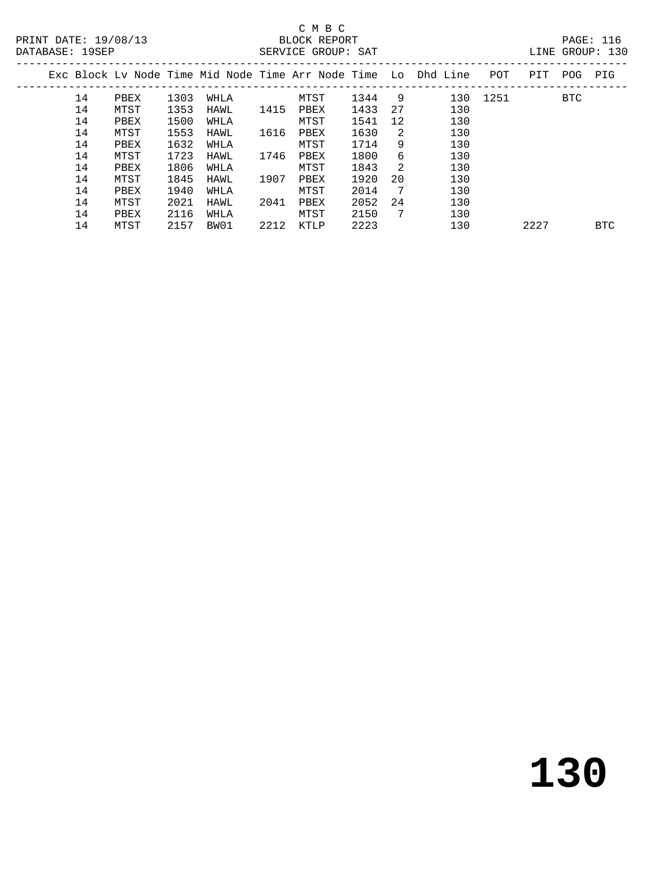#### C M B C<br>BLOCK REPORT SERVICE GROUP: SAT

| ----------- |    |      |      |      |      | DARVICA OROCI DILI |      |     |                                                                |      |      | ∸∸∸™™ ◡∸ |            |
|-------------|----|------|------|------|------|--------------------|------|-----|----------------------------------------------------------------|------|------|----------|------------|
|             |    |      |      |      |      |                    |      |     | Exc Block Ly Node Time Mid Node Time Arr Node Time Lo Dhd Line | POT  | PIT  | POG      | PIG        |
|             | 14 | PBEX | 1303 | WHLA |      | MTST               | 1344 | - 9 | 130                                                            | 1251 |      | BTC      |            |
|             | 14 | MTST | 1353 | HAWL | 1415 | PBEX               | 1433 | 27  | 130                                                            |      |      |          |            |
|             | 14 | PBEX | 1500 | WHLA |      | MTST               | 1541 | 12  | 130                                                            |      |      |          |            |
|             | 14 | MTST | 1553 | HAWL | 1616 | PBEX               | 1630 | 2   | 130                                                            |      |      |          |            |
|             | 14 | PBEX | 1632 | WHLA |      | MTST               | 1714 | 9   | 130                                                            |      |      |          |            |
|             | 14 | MTST | 1723 | HAWL | 1746 | PBEX               | 1800 | 6   | 130                                                            |      |      |          |            |
|             | 14 | PBEX | 1806 | WHLA |      | MTST               | 1843 | -2  | 130                                                            |      |      |          |            |
|             | 14 | MTST | 1845 | HAWL | 1907 | PBEX               | 1920 | 20  | 130                                                            |      |      |          |            |
|             | 14 | PBEX | 1940 | WHLA |      | MTST               | 2014 | - 7 | 130                                                            |      |      |          |            |
|             | 14 | MTST | 2021 | HAWL | 2041 | PBEX               | 2052 | 24  | 130                                                            |      |      |          |            |
|             | 14 | PBEX | 2116 | WHLA |      | MTST               | 2150 | -7  | 130                                                            |      |      |          |            |
|             | 14 | MTST | 2157 | BW01 | 2212 | KTLP               | 2223 |     | 130                                                            |      | 2227 |          | <b>BTC</b> |
|             |    |      |      |      |      |                    |      |     |                                                                |      |      |          |            |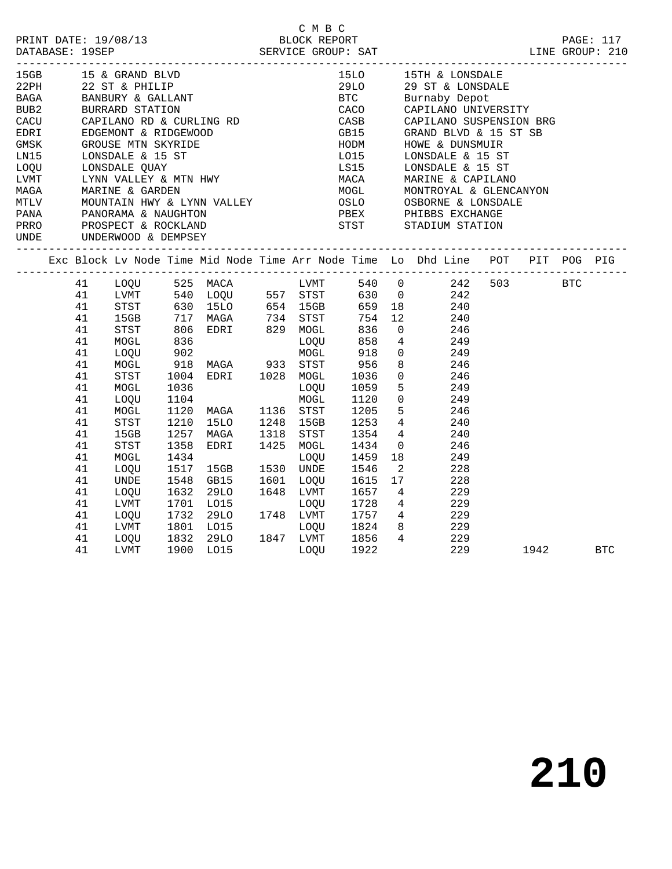|                          |    |                                  |              |                                                                                                                                                                                                                      | C M B C   |                          |                            |                                                                                |      |            |
|--------------------------|----|----------------------------------|--------------|----------------------------------------------------------------------------------------------------------------------------------------------------------------------------------------------------------------------|-----------|--------------------------|----------------------------|--------------------------------------------------------------------------------|------|------------|
| 15GB                     |    |                                  |              | ------------------------<br>15 & GRAND BLVD<br>22 ST & PHILIP<br>BANBURY & GALLANT<br>BURRARD STATION<br>CAPILANO RD & CURLING RD<br>EDGEMONT & RIDGEWOOD<br>GROUSE MTN SKYRIDE<br>LONSDALE & 15 ST<br>LONSDALE QUAY |           | <b>15LO</b>              |                            | 15TH & LONSDALE                                                                |      |            |
| 22PH                     |    |                                  |              |                                                                                                                                                                                                                      |           | 29LO                     |                            | 29 ST & LONSDALE                                                               |      |            |
| <b>BAGA</b>              |    |                                  |              |                                                                                                                                                                                                                      |           | <b>BTC</b>               |                            | Burnaby Depot                                                                  |      |            |
| BUB2                     |    |                                  |              |                                                                                                                                                                                                                      |           | CACO<br>CASR             |                            | CAPILANO UNIVERSITY                                                            |      |            |
| CACU                     |    |                                  |              |                                                                                                                                                                                                                      |           | CASB                     |                            | CAPILANO SUSPENSION BRG                                                        |      |            |
| EDRI                     |    |                                  |              |                                                                                                                                                                                                                      |           | GB15                     |                            | GRAND BLVD & 15 ST SB                                                          |      |            |
| GMSK                     |    |                                  |              |                                                                                                                                                                                                                      |           | HODM<br>$LO15$<br>$LO15$ |                            | HOWE & DUNSMUIR                                                                |      |            |
| LNI5                     |    |                                  |              |                                                                                                                                                                                                                      |           |                          |                            | LONSDALE & 15 ST                                                               |      |            |
| LOOU                     |    |                                  |              |                                                                                                                                                                                                                      |           | LS15                     |                            | LONSDALE & 15 ST                                                               |      |            |
| LVMT                     |    |                                  |              |                                                                                                                                                                                                                      |           | MACA                     |                            | MARINE & CAPILANO                                                              |      |            |
| MAGA                     |    | MARINE & GARDEN                  |              | LYNN VALLEY & MTN HWY<br>LYNN VALLEY & MTN HWY<br>MARINE & GARDEN<br>MOUNTAIN HWY 6 ---                                                                                                                              |           | MOGL<br>MOGL             |                            | MONTROYAL & GLENCANYON                                                         |      |            |
|                          |    |                                  |              |                                                                                                                                                                                                                      |           |                          |                            | OSBORNE & LONSDALE                                                             |      |            |
|                          |    |                                  |              |                                                                                                                                                                                                                      |           |                          |                            |                                                                                |      |            |
|                          |    |                                  |              |                                                                                                                                                                                                                      |           |                          |                            |                                                                                |      |            |
| UNDE UNDERWOOD & DEMPSEY |    |                                  |              |                                                                                                                                                                                                                      |           |                          |                            |                                                                                |      |            |
|                          |    |                                  |              |                                                                                                                                                                                                                      |           |                          |                            | Exc Block Lv Node Time Mid Node Time Arr Node Time Lo Dhd Line POT PIT POG PIG |      |            |
|                          |    | 41 LOQU 525 MACA                 |              |                                                                                                                                                                                                                      |           | LVMT 540 0               |                            | 242 503 BTC                                                                    |      |            |
|                          |    |                                  |              |                                                                                                                                                                                                                      |           |                          |                            | 242                                                                            |      |            |
|                          |    |                                  |              | 41 LVMT 540 LOQU 557 STST 630 0<br>41 STST 630 15LO 654 15GB 659 18<br>41 15GB 717 MAGA 734 STST 754 12                                                                                                              |           |                          |                            | 240                                                                            |      |            |
|                          |    | 15GB 717<br>STST 806<br>MOGL 836 |              |                                                                                                                                                                                                                      |           |                          |                            | 240                                                                            |      |            |
|                          | 41 |                                  |              | EDRI 829 MOGL                                                                                                                                                                                                        |           |                          |                            | 246                                                                            |      |            |
|                          | 41 |                                  |              |                                                                                                                                                                                                                      | LOQU      | 836<br>858               |                            | $\begin{array}{c} 0 \\ 4 \\ 0 \end{array}$<br>249                              |      |            |
|                          | 41 | LOQU                             |              |                                                                                                                                                                                                                      |           | 918                      |                            | 249                                                                            |      |            |
|                          | 41 | MOGL                             |              | 902 MOGL<br>918 MAGA 933 STST<br>1004 EDRI 1028 MOGL                                                                                                                                                                 |           | 956                      |                            | 246                                                                            |      |            |
|                          | 41 | STST                             |              |                                                                                                                                                                                                                      |           | 1036                     |                            | $\begin{array}{c} 8 \\ 0 \end{array}$<br>246                                   |      |            |
|                          | 41 | MOGL                             |              |                                                                                                                                                                                                                      | LOQU      | 1059                     |                            | 5 <sub>1</sub><br>249                                                          |      |            |
|                          | 41 | LOQU                             | 1036<br>1104 |                                                                                                                                                                                                                      | MOGL      | 1120                     | $\mathsf{O}$               | 249                                                                            |      |            |
|                          | 41 | MOGL                             |              | 1120 MAGA 1136 STST                                                                                                                                                                                                  |           | 1205                     | 5                          | 246                                                                            |      |            |
|                          | 41 | STST                             | 1210         | 15LO                                                                                                                                                                                                                 | 1248 15GB | 1253                     |                            | $\frac{1}{4}$<br>240                                                           |      |            |
|                          | 41 | 15GB                             | 1257         | MAGA                                                                                                                                                                                                                 | 1318 STST | 1354                     | $4\degree$                 | 240                                                                            |      |            |
|                          | 41 | STST                             | 1358         | EDRI                                                                                                                                                                                                                 | 1425 MOGL | 1434                     |                            | $\overline{0}$<br>246                                                          |      |            |
|                          | 41 | MOGL                             | 1434         |                                                                                                                                                                                                                      | LOOU      | 1459                     | 18                         | 249                                                                            |      |            |
|                          | 41 | LOQU                             | 1517         | 15GB                                                                                                                                                                                                                 | 1530 UNDE | 1546                     | $\overline{\phantom{a}}^2$ | 228                                                                            |      |            |
|                          | 41 | UNDE                             | 1548         | GB15                                                                                                                                                                                                                 | 1601 LOQU | 1615                     | 17                         | 228                                                                            |      |            |
|                          | 41 | LOQU                             |              |                                                                                                                                                                                                                      |           | 1657                     | $4\overline{ }$            | 229                                                                            |      |            |
|                          | 41 | LVMT                             |              | 1648 LVMT<br>1732 29LO 1748 LVMT<br>1801 LO15 1748 LVMT<br>1832 2010                                                                                                                                                 |           | 1728                     |                            | $\overline{4}$<br>229                                                          |      |            |
|                          | 41 | LOQU                             |              |                                                                                                                                                                                                                      |           | $1757 \frac{4}{3}$       |                            | 229                                                                            |      |            |
|                          | 41 | LVMT                             |              |                                                                                                                                                                                                                      |           | 1824                     | 8                          | 229                                                                            |      |            |
|                          | 41 |                                  |              | LOQU 1832 29LO                                                                                                                                                                                                       |           | 1856                     |                            | $4\overline{ }$<br>229                                                         |      |            |
|                          | 41 | LVMT                             | 1900         | LO15                                                                                                                                                                                                                 | LOOU      | 1922                     |                            | 229                                                                            | 1942 | <b>BTC</b> |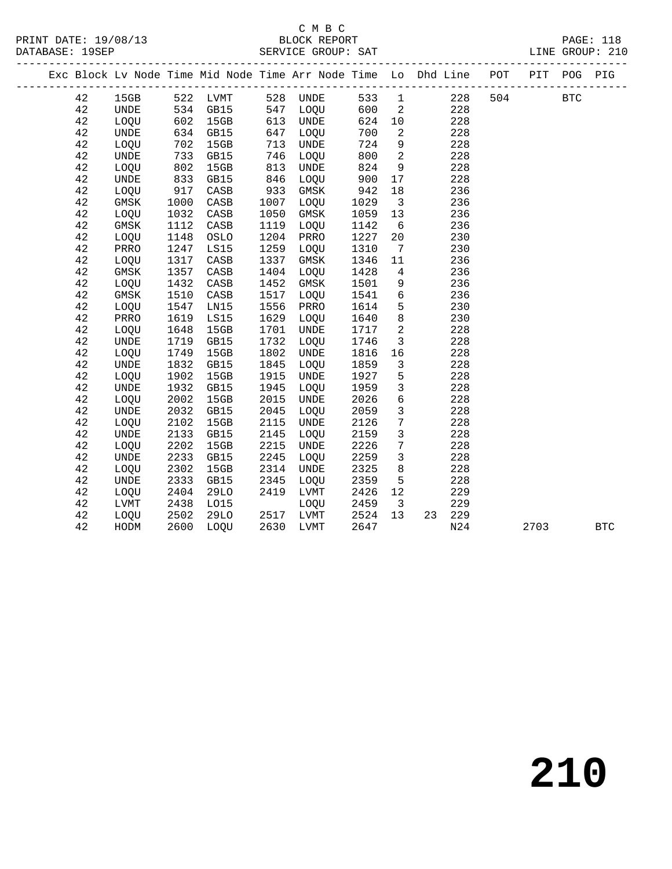# C M B C<br>PRINT DATE: 19/08/13 BLOCK REPORT

|  |    |               |      |                 |      |             |      |                            | Exc Block Lv Node Time Mid Node Time Arr Node Time Lo Dhd Line POT PIT POG PIG |     |      |            |            |
|--|----|---------------|------|-----------------|------|-------------|------|----------------------------|--------------------------------------------------------------------------------|-----|------|------------|------------|
|  | 42 | 15GB 522 LVMT |      |                 |      | 528 UNDE    |      |                            | 533 1<br>228                                                                   | 504 |      | <b>BTC</b> |            |
|  | 42 | UNDE          |      | 534 GB15        | 547  | LOQU        | 600  | $\overline{\phantom{0}}^2$ | 228                                                                            |     |      |            |            |
|  | 42 | LOQU          | 602  | 15GB            | 613  | UNDE        | 624  | 10                         | 228                                                                            |     |      |            |            |
|  | 42 | UNDE          | 634  | GB15            | 647  | LOQU        | 700  | 2                          | 228                                                                            |     |      |            |            |
|  | 42 | LOQU          | 702  | 15GB            | 713  | UNDE        | 724  | 9                          | 228                                                                            |     |      |            |            |
|  | 42 | <b>UNDE</b>   | 733  | GB15            | 746  | LOQU        | 800  | $\overline{2}$             | 228                                                                            |     |      |            |            |
|  | 42 | LOQU          | 802  | 15GB            | 813  | UNDE        | 824  | 9                          | 228                                                                            |     |      |            |            |
|  | 42 | UNDE          | 833  | GB15            | 846  | LOQU        | 900  | 17                         | 228                                                                            |     |      |            |            |
|  | 42 | LOQU          | 917  | CASB            | 933  | GMSK        | 942  | 18                         | 236                                                                            |     |      |            |            |
|  | 42 | GMSK          | 1000 | CASB            | 1007 | LOQU        | 1029 | $\overline{\mathbf{3}}$    | 236                                                                            |     |      |            |            |
|  | 42 | LOQU          | 1032 | $\mathtt{CASB}$ | 1050 | GMSK        | 1059 | 13                         | 236                                                                            |     |      |            |            |
|  | 42 | GMSK          | 1112 | $\mathtt{CASB}$ | 1119 | LOQU        | 1142 | 6                          | 236                                                                            |     |      |            |            |
|  | 42 | LOQU          | 1148 | OSLO            | 1204 | PRRO        | 1227 | 20                         | 230                                                                            |     |      |            |            |
|  | 42 | PRRO          | 1247 | LS15            | 1259 | LOQU        | 1310 | $\overline{7}$             | 230                                                                            |     |      |            |            |
|  | 42 | LOQU          | 1317 | CASB            | 1337 | GMSK        | 1346 | 11                         | 236                                                                            |     |      |            |            |
|  | 42 | GMSK          | 1357 | CASB            | 1404 | LOQU        | 1428 | $\overline{4}$             | 236                                                                            |     |      |            |            |
|  | 42 | LOQU          | 1432 | CASB            | 1452 | GMSK        | 1501 | 9                          | 236                                                                            |     |      |            |            |
|  | 42 | GMSK          | 1510 | CASB            | 1517 | LOQU        | 1541 | $6\overline{6}$            | 236                                                                            |     |      |            |            |
|  | 42 | LOQU          | 1547 | LN15            | 1556 | PRRO        | 1614 | 5                          | 230                                                                            |     |      |            |            |
|  | 42 | PRRO          | 1619 | LS15            | 1629 | LOQU        | 1640 | 8                          | 230                                                                            |     |      |            |            |
|  | 42 | LOQU          | 1648 | 15GB            | 1701 | <b>UNDE</b> | 1717 | $\overline{a}$             | 228                                                                            |     |      |            |            |
|  | 42 | <b>UNDE</b>   | 1719 | GB15            | 1732 | LOQU        | 1746 | $\overline{\mathbf{3}}$    | 228                                                                            |     |      |            |            |
|  | 42 | LOQU          | 1749 | 15GB            | 1802 | UNDE        | 1816 | 16                         | 228                                                                            |     |      |            |            |
|  | 42 | <b>UNDE</b>   | 1832 | GB15            | 1845 | LOQU        | 1859 | $\mathbf{3}$               | 228                                                                            |     |      |            |            |
|  | 42 | LOQU          | 1902 | 15GB            | 1915 | UNDE        | 1927 | 5                          | 228                                                                            |     |      |            |            |
|  | 42 | UNDE          | 1932 | GB15            | 1945 | LOQU        | 1959 | $\mathbf{3}$               | 228                                                                            |     |      |            |            |
|  | 42 | LOQU          | 2002 | 15GB            | 2015 | <b>UNDE</b> | 2026 | 6                          | 228                                                                            |     |      |            |            |
|  | 42 | <b>UNDE</b>   | 2032 | GB15            | 2045 | LOQU        | 2059 | $\overline{3}$             | 228                                                                            |     |      |            |            |
|  | 42 | LOQU          | 2102 | 15GB            | 2115 | <b>UNDE</b> | 2126 | $7\phantom{.0}$            | 228                                                                            |     |      |            |            |
|  | 42 | <b>UNDE</b>   | 2133 | GB15            | 2145 | LOQU        | 2159 | $\mathbf{3}$               | 228                                                                            |     |      |            |            |
|  | 42 | LOQU          | 2202 | 15GB            | 2215 | <b>UNDE</b> | 2226 | $7\phantom{.0}$            | 228                                                                            |     |      |            |            |
|  | 42 | <b>UNDE</b>   | 2233 | GB15            | 2245 | LOQU        | 2259 | $\mathbf{3}$               | 228                                                                            |     |      |            |            |
|  | 42 | LOQU          | 2302 | 15GB            | 2314 | UNDE        | 2325 | 8                          | 228                                                                            |     |      |            |            |
|  | 42 | <b>UNDE</b>   | 2333 | GB15            | 2345 | LOQU        | 2359 | 5                          | 228                                                                            |     |      |            |            |
|  | 42 | LOQU          | 2404 | 29LO            | 2419 | LVMT        | 2426 | 12                         | 229                                                                            |     |      |            |            |
|  | 42 | LVMT          | 2438 | L015            |      | LOQU        | 2459 | $\overline{\mathbf{3}}$    | 229                                                                            |     |      |            |            |
|  | 42 | LOQU          | 2502 | 29LO            |      | 2517 LVMT   | 2524 | 13 <sup>°</sup>            | 229<br>23                                                                      |     |      |            |            |
|  | 42 | HODM          | 2600 | LOQU            | 2630 | LVMT        | 2647 |                            | N24                                                                            |     | 2703 |            | <b>BTC</b> |

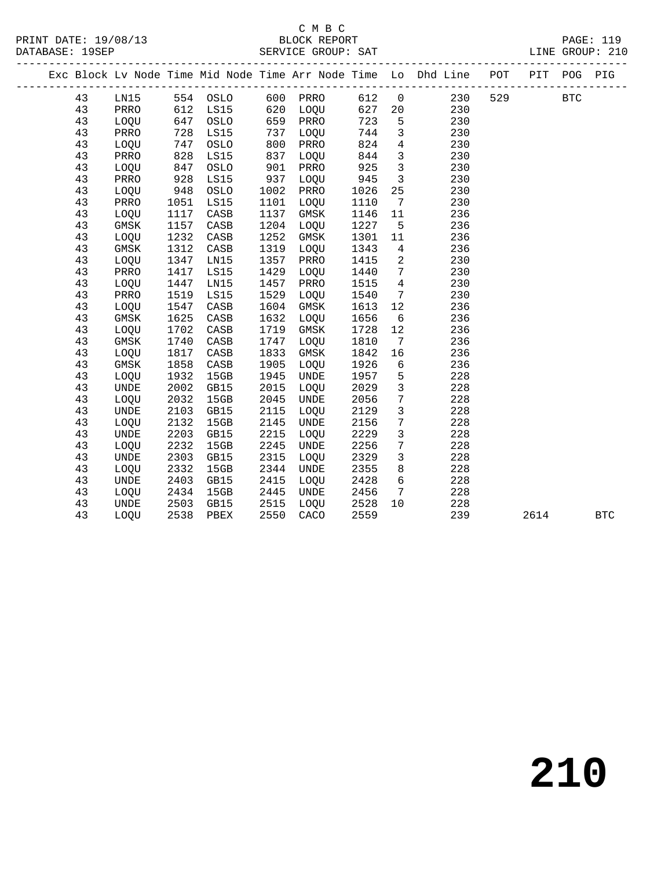# C M B C<br>BLOCK REPORT

|  |    |             |      |          |      |             |      |                              | Exc Block Lv Node Time Mid Node Time Arr Node Time Lo Dhd Line POT PIT POG |     |      |            | PIG          |
|--|----|-------------|------|----------|------|-------------|------|------------------------------|----------------------------------------------------------------------------|-----|------|------------|--------------|
|  | 43 | LN15        |      | 554 OSLO |      | 600 PRRO    |      |                              | 612 0 230                                                                  | 529 |      | <b>BTC</b> |              |
|  | 43 | PRRO        |      | 612 LS15 | 620  | LOQU        | 627  | 20 <sub>o</sub>              | 230                                                                        |     |      |            |              |
|  | 43 | LOQU        | 647  | OSLO     | 659  | PRRO        | 723  | $5^{\circ}$                  | 230                                                                        |     |      |            |              |
|  | 43 | PRRO        | 728  | LS15     | 737  | LOQU        | 744  | $\overline{3}$               | 230                                                                        |     |      |            |              |
|  | 43 | LOQU        | 747  | OSLO     | 800  | PRRO        | 824  | $4\overline{4}$              | 230                                                                        |     |      |            |              |
|  | 43 | PRRO        | 828  | LS15     | 837  | LOQU        | 844  | $\overline{\mathbf{3}}$      | 230                                                                        |     |      |            |              |
|  | 43 | LOQU        | 847  | OSLO     | 901  | PRRO        | 925  | $\overline{\mathbf{3}}$      | 230                                                                        |     |      |            |              |
|  | 43 | PRRO        | 928  | LS15     | 937  | LOQU        | 945  | $\overline{\mathbf{3}}$      | 230                                                                        |     |      |            |              |
|  | 43 | LOQU        | 948  | OSLO     | 1002 | PRRO        | 1026 | 25                           | 230                                                                        |     |      |            |              |
|  | 43 | PRRO        | 1051 | LS15     | 1101 | LOQU        | 1110 | $7\phantom{.0}\phantom{.0}7$ | 230                                                                        |     |      |            |              |
|  | 43 | LOQU        | 1117 | CASB     | 1137 | GMSK        | 1146 | 11                           | 236                                                                        |     |      |            |              |
|  | 43 | GMSK        | 1157 | CASB     | 1204 | LOQU        | 1227 | $5^{\circ}$                  | 236                                                                        |     |      |            |              |
|  | 43 | LOQU        | 1232 | CASB     | 1252 | GMSK        | 1301 | 11                           | 236                                                                        |     |      |            |              |
|  | 43 | GMSK        | 1312 | CASB     | 1319 | LOQU        | 1343 | $\overline{4}$               | 236                                                                        |     |      |            |              |
|  | 43 | LOQU        | 1347 | LN15     | 1357 | PRRO        | 1415 | $\overline{2}$               | 230                                                                        |     |      |            |              |
|  | 43 | PRRO        | 1417 | LS15     | 1429 | LOQU        | 1440 | $7\phantom{.0}\phantom{.0}7$ | 230                                                                        |     |      |            |              |
|  | 43 | LOQU        | 1447 | LN15     | 1457 | PRRO        | 1515 | $\overline{4}$               | 230                                                                        |     |      |            |              |
|  | 43 | PRRO        | 1519 | LS15     | 1529 | LOQU        | 1540 | $7\overline{ }$              | 230                                                                        |     |      |            |              |
|  | 43 | LOQU        | 1547 | CASB     | 1604 | GMSK        | 1613 | 12                           | 236                                                                        |     |      |            |              |
|  | 43 | GMSK        | 1625 | CASB     | 1632 | LOQU        | 1656 | 6                            | 236                                                                        |     |      |            |              |
|  | 43 | LOQU        | 1702 | CASB     | 1719 | GMSK        | 1728 | 12                           | 236                                                                        |     |      |            |              |
|  | 43 | GMSK        | 1740 | CASB     | 1747 | LOQU        | 1810 | $7\overline{ }$              | 236                                                                        |     |      |            |              |
|  | 43 | LOQU        | 1817 | CASB     | 1833 | GMSK        | 1842 | 16                           | 236                                                                        |     |      |            |              |
|  | 43 | GMSK        | 1858 | CASB     | 1905 | LOQU        | 1926 | $6\overline{6}$              | 236                                                                        |     |      |            |              |
|  | 43 | LOQU        | 1932 | 15GB     | 1945 | <b>UNDE</b> | 1957 | 5                            | 228                                                                        |     |      |            |              |
|  | 43 | UNDE        | 2002 | GB15     | 2015 | LOQU        | 2029 | $\mathbf{3}$                 | 228                                                                        |     |      |            |              |
|  | 43 | LOOU        | 2032 | 15GB     | 2045 | <b>UNDE</b> | 2056 | $7\overline{ }$              | 228                                                                        |     |      |            |              |
|  | 43 | <b>UNDE</b> | 2103 | GB15     | 2115 | LOQU        | 2129 | $\mathsf{3}$                 | 228                                                                        |     |      |            |              |
|  | 43 | LOQU        | 2132 | 15GB     | 2145 | <b>UNDE</b> | 2156 | $7\phantom{.0}$              | 228                                                                        |     |      |            |              |
|  | 43 | <b>UNDE</b> | 2203 | GB15     | 2215 | LOQU        | 2229 | $\mathbf{3}$                 | 228                                                                        |     |      |            |              |
|  | 43 | LOQU        | 2232 | 15GB     | 2245 | <b>UNDE</b> | 2256 | $7\overline{ }$              | 228                                                                        |     |      |            |              |
|  | 43 | <b>UNDE</b> | 2303 | GB15     | 2315 | LOQU        | 2329 | $\mathbf{3}$                 | 228                                                                        |     |      |            |              |
|  | 43 | LOQU        | 2332 | 15GB     | 2344 | UNDE        | 2355 | 8                            | 228                                                                        |     |      |            |              |
|  | 43 | UNDE        | 2403 | GB15     | 2415 | LOQU        | 2428 | 6                            | 228                                                                        |     |      |            |              |
|  | 43 | LOQU        | 2434 | 15GB     | 2445 | UNDE        | 2456 | $\overline{7}$               | 228                                                                        |     |      |            |              |
|  | 43 | <b>UNDE</b> | 2503 | GB15     | 2515 | LOQU        | 2528 | 10                           | 228                                                                        |     |      |            |              |
|  | 43 | LOOU        | 2538 | PBEX     | 2550 | CACO        | 2559 |                              | 239                                                                        |     | 2614 |            | $_{\rm BTC}$ |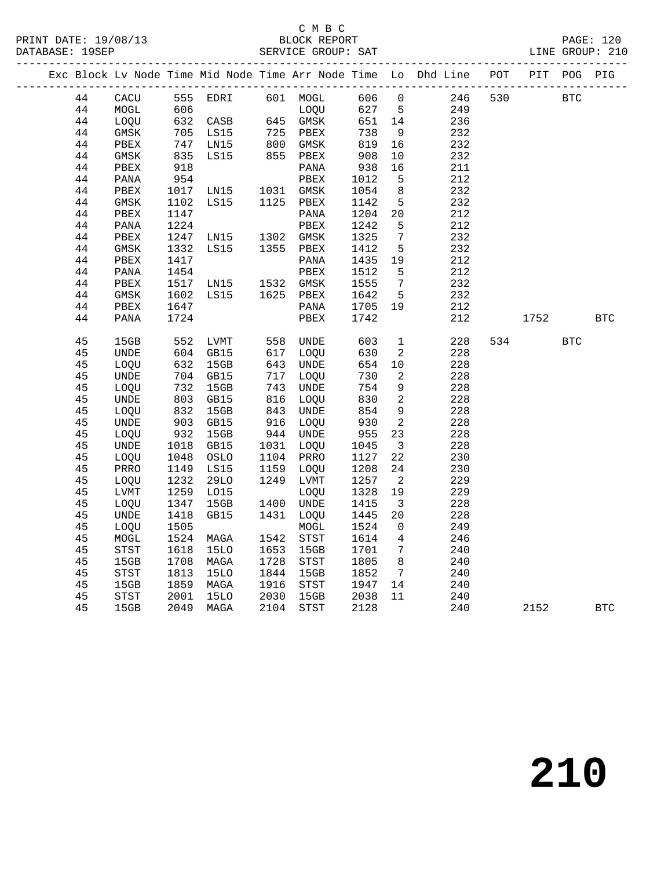#### C M B C<br>BLOCK REPORT

|  |    |      |                     |                                                                                          |              |                                                          |                                 |                          | Exc Block Lv Node Time Mid Node Time Arr Node Time Lo Dhd Line POT PIT POG PIG |            |            |            |
|--|----|------|---------------------|------------------------------------------------------------------------------------------|--------------|----------------------------------------------------------|---------------------------------|--------------------------|--------------------------------------------------------------------------------|------------|------------|------------|
|  | 44 |      |                     |                                                                                          |              |                                                          |                                 |                          | CACU 555 EDRI 601 MOGL 606 0 246 530<br>MOGL 606 10QU 627 5 249                | <b>BTC</b> |            |            |
|  | 44 |      |                     |                                                                                          |              |                                                          |                                 |                          |                                                                                |            |            |            |
|  | 44 | LOQU |                     | 632 CASB<br>705 LS15<br>747 LN15<br>835 LS15<br>918                                      |              | LOQU<br>645 GMSK<br>725 PBEX<br>800 GMSK<br>855 PBEX     | $651$ 14<br>$738$ 9<br>$819$ 16 |                          | 236                                                                            |            |            |            |
|  | 44 | GMSK |                     |                                                                                          |              |                                                          |                                 |                          | 232                                                                            |            |            |            |
|  | 44 | PBEX |                     |                                                                                          |              |                                                          |                                 |                          | 232                                                                            |            |            |            |
|  | 44 | GMSK |                     |                                                                                          |              |                                                          |                                 | 10                       | 232                                                                            |            |            |            |
|  | 44 | PBEX |                     |                                                                                          |              | PANA                                                     | 908<br>938                      | 16                       | 211                                                                            |            |            |            |
|  | 44 | PANA |                     |                                                                                          |              | PBEX                                                     |                                 | $5^{\circ}$              | 212                                                                            |            |            |            |
|  | 44 | PBEX |                     | $\begin{array}{cc}\n 254 \\  1017 \\  \text{IN15} \\  1102 \\  \text{LS15}\n\end{array}$ |              | 1031 GMSK                                                | 1012<br>1054                    | 8 <sup>8</sup>           | 232                                                                            |            |            |            |
|  | 44 | GMSK |                     |                                                                                          |              | 1125 PBEX                                                | 1142                            | $5^{\circ}$              | 232                                                                            |            |            |            |
|  | 44 | PBEX | 1147                |                                                                                          |              | PANA                                                     | 1204 20                         |                          | 212                                                                            |            |            |            |
|  | 44 | PANA | 1224                |                                                                                          |              | PBEX                                                     | 1242                            | $-5$                     | 212                                                                            |            |            |            |
|  | 44 | PBEX |                     | 1224 PBLA<br>1247 LN15 1302 GMSK<br>1332 LS15 1355 PBEX                                  |              |                                                          | 1325                            | $7\overline{ }$          | 232                                                                            |            |            |            |
|  | 44 | GMSK |                     |                                                                                          |              |                                                          | 1412                            | $5^{\circ}$              | 232                                                                            |            |            |            |
|  | 44 | PBEX | 1417                |                                                                                          |              | PANA                                                     | $1435$ $19$                     |                          | 212                                                                            |            |            |            |
|  | 44 | PANA | 1454                |                                                                                          |              | PBEX                                                     | 1512                            | $5^{\circ}$              | 212                                                                            |            |            |            |
|  | 44 | PBEX |                     | 1517 LN15 1532 GMSK<br>1602 LS15 1625 PBEX                                               |              |                                                          | 1555                            | $\overline{7}$           | 232                                                                            |            |            |            |
|  | 44 | GMSK |                     |                                                                                          |              |                                                          | 1642 5                          |                          | 232                                                                            |            |            |            |
|  | 44 | PBEX | 1647                |                                                                                          |              | PANA                                                     | 1705 19                         |                          | 212                                                                            |            |            |            |
|  | 44 | PANA | 1724                |                                                                                          |              | PBEX                                                     | 1742                            |                          | 212                                                                            | 1752       |            | <b>BTC</b> |
|  |    |      |                     |                                                                                          |              |                                                          |                                 |                          |                                                                                |            |            |            |
|  | 45 | 15GB |                     | 552 LVMT<br>604 GB15                                                                     |              | 558 UNDE<br>617 LOQU                                     |                                 | 1                        | 228                                                                            | 534        | <b>BTC</b> |            |
|  | 45 | UNDE |                     |                                                                                          |              |                                                          | 603<br>630                      | $\overline{\phantom{a}}$ | 228                                                                            |            |            |            |
|  | 45 | LOQU |                     | 632 15GB<br>704 GB15                                                                     |              |                                                          | 654                             | 10                       | 228                                                                            |            |            |            |
|  | 45 | UNDE |                     |                                                                                          |              | 643 UNDE<br>717 LOQU                                     | 730                             | $\overline{2}$           | 228                                                                            |            |            |            |
|  | 45 | LOQU |                     | 732 15GB<br>803 GB15                                                                     |              | 743 UNDE<br>816 LOQU<br>843 UNDE<br>916 LOQU<br>944 UNDE | 754                             | 9                        | 228                                                                            |            |            |            |
|  | 45 | UNDE |                     |                                                                                          |              |                                                          | 830                             | $\overline{\phantom{a}}$ | 228                                                                            |            |            |            |
|  | 45 | LOQU | 832                 | 15GB                                                                                     |              |                                                          | 854                             | 9                        | 228                                                                            |            |            |            |
|  | 45 | UNDE | 903                 | GB15                                                                                     |              |                                                          | 930                             | $\overline{\mathbf{2}}$  | 228                                                                            |            |            |            |
|  | 45 | LOOU |                     | $932$ 15GB                                                                               |              |                                                          | $955$ 23                        |                          | 228                                                                            |            |            |            |
|  | 45 | UNDE |                     | 1018 GB15<br>1048 OSLO                                                                   |              | 1031 LOQU<br>1031 LOQU<br>1104 PRRO                      | 1045<br>1127                    | $\overline{\mathbf{3}}$  | 228                                                                            |            |            |            |
|  | 45 | LOQU |                     |                                                                                          |              |                                                          |                                 | 22                       | 230                                                                            |            |            |            |
|  | 45 | PRRO |                     | 1149 LS15<br>1232 29LO                                                                   |              | 1159 LOQU                                                | 1208                            | 24                       | 230                                                                            |            |            |            |
|  | 45 | LOQU |                     |                                                                                          |              | 1249 LVMT                                                | 1257                            | $\overline{\phantom{a}}$ | 229                                                                            |            |            |            |
|  | 45 | LVMT |                     | 1259 LO15<br>1347 15GB                                                                   | ----<br>1400 | LOQU                                                     | 1328 19                         |                          | 229                                                                            |            |            |            |
|  | 45 | LOQU |                     | 15GB                                                                                     |              | 1400 UNDE                                                | 1415                            | $\overline{\mathbf{3}}$  | 228                                                                            |            |            |            |
|  | 45 | UNDE | 1418                | GB15                                                                                     |              | 1431 LOOU                                                | 1445                            | 20                       | 228                                                                            |            |            |            |
|  | 45 | LOQU | 1505                |                                                                                          |              | MOGL                                                     | 1524                            | $\overline{0}$           | 249                                                                            |            |            |            |
|  | 45 | MOGL | 1524                | MAGA                                                                                     |              | 1542 STST                                                | 1614                            | $\overline{4}$           | 246                                                                            |            |            |            |
|  | 45 | STST | 1618<br>1708        | 15LO                                                                                     | 1653         | 15GB                                                     | 1701 7<br>1805 8                | $7\overline{)}$          | 240                                                                            |            |            |            |
|  | 45 | 15GB |                     | MAGA                                                                                     | 1728         | STST                                                     |                                 |                          | 240                                                                            |            |            |            |
|  | 45 | STST | 1813<br>1859        | 15LO                                                                                     |              | 1844 15GB<br>1916 STST                                   | 1852 7<br>1947 14               | $7\phantom{0}$           | 240                                                                            |            |            |            |
|  | 45 | 15GB |                     | MAGA                                                                                     |              |                                                          |                                 |                          | 240                                                                            |            |            |            |
|  | 45 | STST | $\frac{2001}{2049}$ | <b>15LO</b>                                                                              |              | 2030 15GB<br>2030 15GB<br>2104 STST                      | 2038                            | 11                       | 240                                                                            |            |            |            |
|  | 45 | 15GB |                     | 2049 MAGA                                                                                |              | 2104 STST                                                | 2128                            |                          | 240                                                                            | 2152       |            | <b>BTC</b> |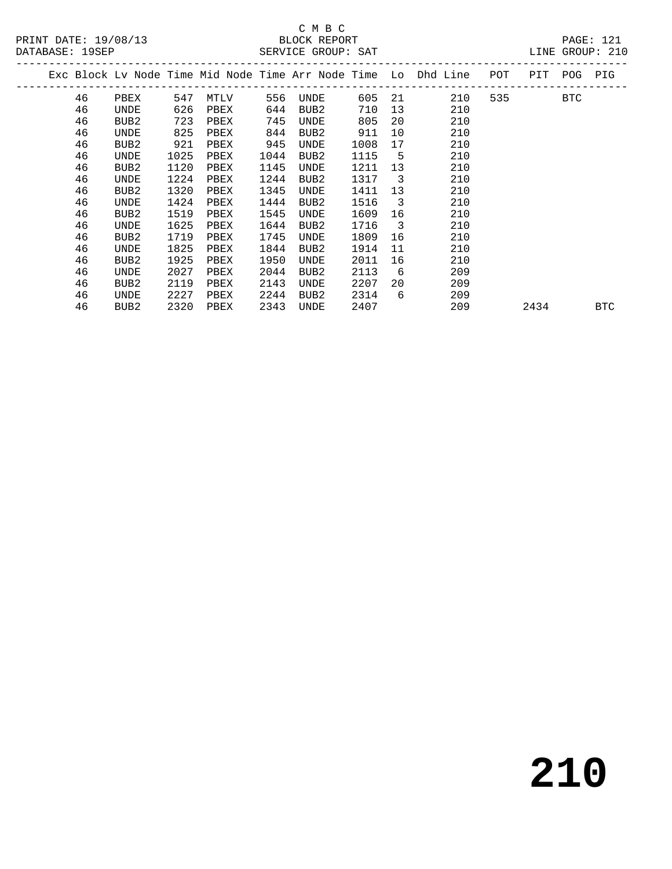# C M B C<br>BLOCK REPORT

LINE GROUP: 210

|  | Exc Block Lv Node Time Mid Node Time Arr Node Time Lo Dhd Line |                  |      |      |      |                  |      |                         |     | POT<br>-------- | PIT  | POG | PIG |
|--|----------------------------------------------------------------|------------------|------|------|------|------------------|------|-------------------------|-----|-----------------|------|-----|-----|
|  | 46                                                             | PBEX             | 547  | MTLV | 556  | UNDE             | 605  | 21                      | 210 | 535             |      | BTC |     |
|  | 46                                                             | UNDE             | 626  | PBEX | 644  | BUB2             | 710  | 13                      | 210 |                 |      |     |     |
|  | 46                                                             | BUB2             | 723  | PBEX | 745  | UNDE             | 805  | 20                      | 210 |                 |      |     |     |
|  | 46                                                             | UNDE             | 825  | PBEX | 844  | BUB2             | 911  | 10                      | 210 |                 |      |     |     |
|  | 46                                                             | BUB2             | 921  | PBEX | 945  | UNDE             | 1008 | 17                      | 210 |                 |      |     |     |
|  | 46                                                             | UNDE             | 1025 | PBEX | 1044 | BUB2             | 1115 | 5                       | 210 |                 |      |     |     |
|  | 46                                                             | BUB2             | 1120 | PBEX | 1145 | UNDE             | 1211 | 13                      | 210 |                 |      |     |     |
|  | 46                                                             | UNDE             | 1224 | PBEX | 1244 | BUB <sub>2</sub> | 1317 | $\overline{\mathbf{3}}$ | 210 |                 |      |     |     |
|  | 46                                                             | BUB <sub>2</sub> | 1320 | PBEX | 1345 | <b>UNDE</b>      | 1411 | 13                      | 210 |                 |      |     |     |
|  | 46                                                             | UNDE             | 1424 | PBEX | 1444 | BUB <sub>2</sub> | 1516 | $\overline{3}$          | 210 |                 |      |     |     |
|  | 46                                                             | BUB2             | 1519 | PBEX | 1545 | UNDE             | 1609 | 16                      | 210 |                 |      |     |     |
|  | 46                                                             | UNDE             | 1625 | PBEX | 1644 | BUB <sub>2</sub> | 1716 | $\overline{\mathbf{3}}$ | 210 |                 |      |     |     |
|  | 46                                                             | BUB <sub>2</sub> | 1719 | PBEX | 1745 | UNDE             | 1809 | 16                      | 210 |                 |      |     |     |
|  | 46                                                             | UNDE             | 1825 | PBEX | 1844 | BUB <sub>2</sub> | 1914 | 11                      | 210 |                 |      |     |     |
|  | 46                                                             | BUB2             | 1925 | PBEX | 1950 | UNDE             | 2011 | 16                      | 210 |                 |      |     |     |
|  | 46                                                             | UNDE             | 2027 | PBEX | 2044 | BUB <sub>2</sub> | 2113 | 6                       | 209 |                 |      |     |     |
|  | 46                                                             | BUB <sub>2</sub> | 2119 | PBEX | 2143 | <b>UNDE</b>      | 2207 | 20                      | 209 |                 |      |     |     |
|  | 46                                                             | UNDE             | 2227 | PBEX | 2244 | BUB2             | 2314 | 6                       | 209 |                 |      |     |     |
|  | 46                                                             | BUB2             | 2320 | PBEX | 2343 | UNDE             | 2407 |                         | 209 |                 | 2434 |     | BTC |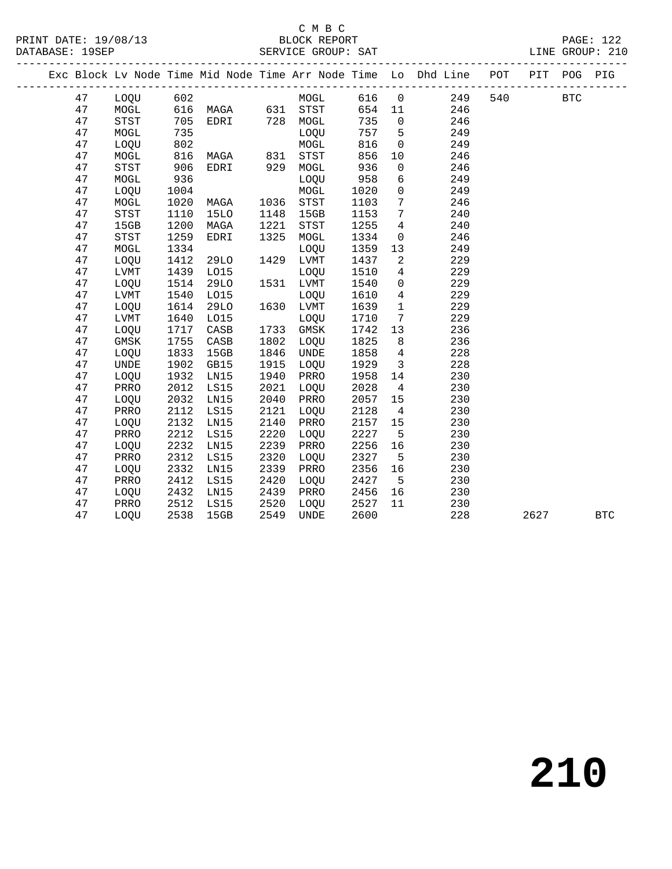#### C M B C<br>BLOCK REPORT

|  |    |             |      |                   |                |           |        |                         | Exc Block Lv Node Time Mid Node Time Arr Node Time Lo Dhd Line POT |     | PIT  | POG        | PIG        |
|--|----|-------------|------|-------------------|----------------|-----------|--------|-------------------------|--------------------------------------------------------------------|-----|------|------------|------------|
|  | 47 | LOQU 602    |      |                   |                | MOGL      |        |                         | 616 0 249                                                          | 540 |      | <b>BTC</b> |            |
|  | 47 | MOGL        |      | 616 MAGA 631 STST |                |           | 654 11 |                         | 246                                                                |     |      |            |            |
|  | 47 | STST        | 705  | EDRI 728 MOGL     |                |           | 735    | $\overline{0}$          | 246                                                                |     |      |            |            |
|  | 47 | MOGL        | 735  |                   |                | LOQU      | 757 5  |                         | 249                                                                |     |      |            |            |
|  | 47 | LOQU        | 802  |                   |                | MOGL      | 816    | $\overline{0}$          | 249                                                                |     |      |            |            |
|  | 47 | MOGL        | 816  | MAGA 831 STST     |                |           | 856    | 10                      | 246                                                                |     |      |            |            |
|  | 47 | STST        | 906  | EDRI 929          |                | MOGL      | 936    | $\overline{0}$          | 246                                                                |     |      |            |            |
|  | 47 | MOGL        | 936  |                   |                | LOQU      | 958    | $6\overline{6}$         | 249                                                                |     |      |            |            |
|  | 47 | LOQU        | 1004 |                   |                | MOGL      | 1020   | $\overline{0}$          | 249                                                                |     |      |            |            |
|  | 47 | MOGL        | 1020 | MAGA              | 1036           | STST      | 1103   | $7\phantom{.0}$         | 246                                                                |     |      |            |            |
|  | 47 | STST        | 1110 | 15LO              | 1148           | 15GB      | 1153   | $7\overline{ }$         | 240                                                                |     |      |            |            |
|  | 47 | 15GB        | 1200 | MAGA              | 1221           | STST      | 1255   | $\overline{4}$          | 240                                                                |     |      |            |            |
|  | 47 | STST        | 1259 | EDRI              | 1325           | MOGL      | 1334   | $\overline{0}$          | 246                                                                |     |      |            |            |
|  | 47 | MOGL        | 1334 |                   |                | LOQU      | 1359   | 13                      | 249                                                                |     |      |            |            |
|  | 47 | LOQU        | 1412 | 29LO              |                | 1429 LVMT | 1437   | 2                       | 229                                                                |     |      |            |            |
|  | 47 | LVMT        | 1439 | L015              |                | LOOU      | 1510   | $\overline{4}$          | 229                                                                |     |      |            |            |
|  | 47 | LOOU        | 1514 | 29LO              |                | 1531 LVMT | 1540   | $\overline{0}$          | 229                                                                |     |      |            |            |
|  | 47 | LVMT        | 1540 | L015              | $16°$<br>$16°$ | LOQU      | 1610   | $\overline{4}$          | 229                                                                |     |      |            |            |
|  | 47 | LOQU        | 1614 | <b>29LO</b>       |                | 1630 LVMT | 1639   | $\overline{1}$          | 229                                                                |     |      |            |            |
|  | 47 | LVMT        | 1640 | L015              |                | LOQU      | 1710   | $7\overline{ }$         | 229                                                                |     |      |            |            |
|  | 47 | LOQU        | 1717 | CASB              |                | 1733 GMSK | 1742   | 13                      | 236                                                                |     |      |            |            |
|  | 47 | GMSK        | 1755 | CASB              | 1802           | LOQU      | 1825   | 8 <sup>8</sup>          | 236                                                                |     |      |            |            |
|  | 47 | LOOU        | 1833 | 15GB              | 1846           | UNDE      | 1858   | $\overline{4}$          | 228                                                                |     |      |            |            |
|  | 47 | <b>UNDE</b> | 1902 | GB15              | 1915           | LOQU      | 1929   | $\overline{\mathbf{3}}$ | 228                                                                |     |      |            |            |
|  | 47 | LOQU        | 1932 | LN15              | 1940           | PRRO      | 1958   | 14                      | 230                                                                |     |      |            |            |
|  | 47 | PRRO        | 2012 | LS15              | 2021           | LOQU      | 2028   | $\overline{4}$          | 230                                                                |     |      |            |            |
|  | 47 | LOQU        | 2032 | LN15              | 2040           | PRRO      | 2057   | 15                      | 230                                                                |     |      |            |            |
|  | 47 | PRRO        | 2112 | LS15              | 2121           | LOQU      | 2128   | $\overline{4}$          | 230                                                                |     |      |            |            |
|  | 47 | LOQU        | 2132 | LN15              | 2140           | PRRO      | 2157   | 15                      | 230                                                                |     |      |            |            |
|  | 47 | PRRO        | 2212 | LS15              | 2220           | LOQU      | 2227   | $5^{\circ}$             | 230                                                                |     |      |            |            |
|  | 47 | LOQU        | 2232 | LN15              | 2239           | PRRO      | 2256   | 16                      | 230                                                                |     |      |            |            |
|  | 47 | PRRO        | 2312 | LS15              | 2320           | LOQU      | 2327   | $5^{\circ}$             | 230                                                                |     |      |            |            |
|  | 47 | LOQU        | 2332 | LN15              | 2339           | PRRO      | 2356   | 16                      | 230                                                                |     |      |            |            |
|  | 47 | PRRO        | 2412 | LS15              | 2420           | LOQU      | 2427   | $5^{\circ}$             | 230                                                                |     |      |            |            |
|  | 47 | LOQU        | 2432 | LN15              | 2439           | PRRO      | 2456   | 16                      | 230                                                                |     |      |            |            |
|  | 47 | PRRO        | 2512 | LS15              | 2520           | LOQU      | 2527   | 11                      | 230                                                                |     |      |            |            |
|  | 47 | LOQU        | 2538 | 15GB              |                | 2549 UNDE | 2600   |                         | 228                                                                |     | 2627 |            | <b>BTC</b> |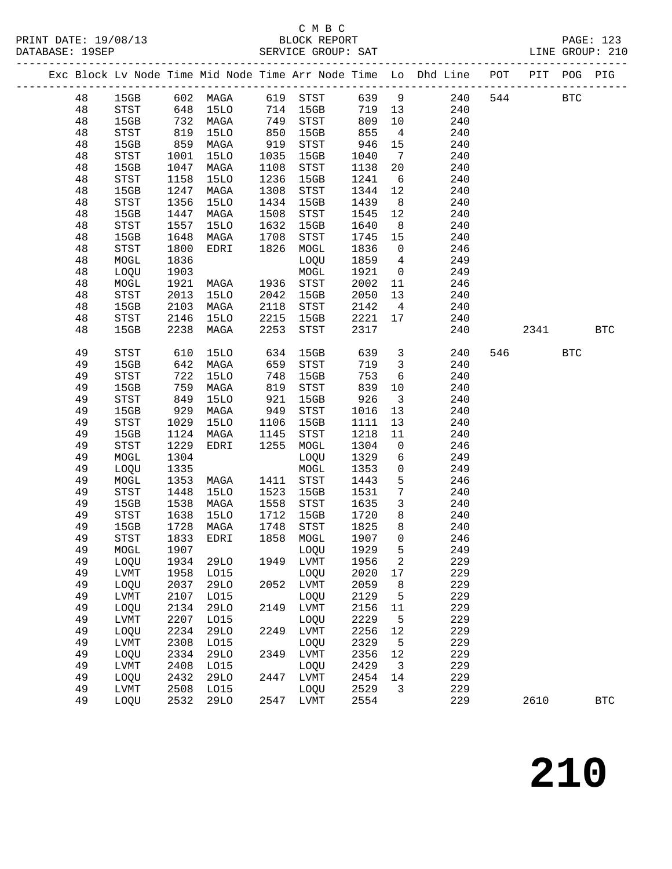## C M B C

|          |               |            |                                |              |                                              |                |                         | Exc Block Lv Node Time Mid Node Time Arr Node Time Lo Dhd Line POT PIT POG PIG |         |            |            |
|----------|---------------|------------|--------------------------------|--------------|----------------------------------------------|----------------|-------------------------|--------------------------------------------------------------------------------|---------|------------|------------|
|          |               |            |                                |              |                                              |                |                         | 48 15GB 602 MAGA 619 STST 639 9 240                                            | 544 BTC |            |            |
| 48       |               |            |                                |              |                                              |                |                         | STST 648 15LO 714 15GB 719 13 240                                              |         |            |            |
| 48       | 15GB 732 MAGA |            |                                |              | 749 STST 809<br>850 15GB 855<br>919 STST 946 |                |                         | 10 0<br>240                                                                    |         |            |            |
| 48       | STST          | 819<br>859 | 15LO                           |              |                                              |                | $4\overline{4}$         | 240                                                                            |         |            |            |
| 48       | 15GB          |            | MAGA                           |              |                                              |                | 15                      | 240                                                                            |         |            |            |
| 48       | STST          | 1001       | 15LO                           | 1035         | 15GB                                         | 1040           | $\overline{7}$          | 240                                                                            |         |            |            |
| 48       | 15GB          | 1047       | MAGA                           | 1108         | STST                                         | 1138           | 20                      | 240                                                                            |         |            |            |
| 48       | STST          | 1158       | 15LO                           | 1236         | 15GB                                         | 1241 6         |                         | 240                                                                            |         |            |            |
| 48       | 15GB          | 1247       | MAGA                           | 1308         | STST                                         | 1344 12        |                         | 240                                                                            |         |            |            |
| 48       | STST          | 1356       | 15LO                           | 1434         | 15GB                                         | 1439 8         |                         | 240                                                                            |         |            |            |
| 48       | 15GB          | 1447       | MAGA                           | 1508         | STST                                         | 1545           | 12                      | 240                                                                            |         |            |            |
| 48       | STST          | 1557       | 15LO                           | 1632<br>1708 | 15GB                                         | 1640           | 8 <sup>8</sup>          | 240                                                                            |         |            |            |
| 48       | 15GB          | 1648       | MAGA                           |              | STST                                         | 1745           | 15                      | 240                                                                            |         |            |            |
| 48       | STST          | 1800       | EDRI                           |              | 1826 MOGL                                    | 1836 0         |                         | 246                                                                            |         |            |            |
| 48       | MOGL          | 1836       |                                |              |                                              | 1859 4         |                         | 249                                                                            |         |            |            |
| 48       | LOQU          | 1903       | LOQU<br>MOGL<br>MAGA 1936 STST |              |                                              | 1921 0         |                         | 249                                                                            |         |            |            |
| 48       | MOGL          | 1921       |                                |              |                                              | 2002 11        |                         | 246                                                                            |         |            |            |
| 48       | STST          | 2013       | 15LO                           |              | 2042 15GB                                    | 2050 13        |                         | 240                                                                            |         |            |            |
| 48       | 15GB          | 2103       | MAGA                           | 2118         | STST                                         |                |                         | 2142 4<br>240                                                                  |         |            |            |
| 48       | STST          | 2146       | 15LO                           | 2215         | 15GB                                         | 2221 17        |                         | 240                                                                            |         |            |            |
| 48       | 15GB          | 2238       | MAGA                           | 2253         | STST                                         | 2317           |                         | 240                                                                            | 2341    |            | <b>BTC</b> |
| 49       | STST          | 610        | 15LO                           | 634          | 15GB                                         |                |                         | 639 3<br>240                                                                   | 546 72  | <b>BTC</b> |            |
| 49       | 15GB          | 642        | MAGA                           | 659          | STST                                         | 719 3          |                         | 240                                                                            |         |            |            |
| 49       | STST          | 722        | 15LO                           | 748<br>819   | 15GB                                         | 753            | $6\overline{6}$         | 240                                                                            |         |            |            |
| 49       | 15GB          | 759        | MAGA                           |              | STST                                         | 839            | 10                      | 240                                                                            |         |            |            |
| 49       | STST          | 849        | 15LO                           | 921          | 15GB                                         | 926            | $\overline{\mathbf{3}}$ | 240                                                                            |         |            |            |
| 49       | 15GB          | 929        | MAGA                           | 949          | STST                                         | 1016           | 13                      | 240                                                                            |         |            |            |
| 49       | STST          | 1029       | 15LO                           | 1106<br>1145 | 15GB                                         | 1111           | 13                      | 240                                                                            |         |            |            |
| 49       | 15GB          | 1124       | MAGA                           |              | STST                                         | 1218           | 11                      | 240                                                                            |         |            |            |
| 49       | STST          | 1229       | EDRI                           |              | 1255 MOGL                                    | 1304           | $\overline{0}$          | 246                                                                            |         |            |            |
| 49       | MOGL          | 1304       |                                |              | LOQU                                         | 1329           | $6\overline{6}$         | 249                                                                            |         |            |            |
| 49       | LOQU          | 1335       | MAGA                           |              | MOGL                                         | 1353           | $\overline{0}$          | 249                                                                            |         |            |            |
| 49       | MOGL          | 1353       |                                | 1523         | 1411 STST                                    | 1443           | 5 <sup>5</sup>          | 246                                                                            |         |            |            |
| 49       | STST          | 1448       | 15LO                           |              | 15GB                                         | 1531           | $\overline{7}$          | 240                                                                            |         |            |            |
| 49       | 15GB          | 1538       | MAGA                           | 1558         | STST                                         | 1635 3         |                         | 240                                                                            |         |            |            |
| 49<br>49 | STST<br>15GB  | 1638       | 15LO<br>1728 MAGA              | 1712<br>1748 | 15GB                                         | 1720 8<br>1825 | 8 <sup>8</sup>          | 240<br>240                                                                     |         |            |            |
| 49       |               |            |                                |              | STST<br>STST 1833 EDRI 1858 MOGL 1907 0      |                |                         | 246                                                                            |         |            |            |
|          |               | 1907       |                                |              |                                              |                |                         | 249                                                                            |         |            |            |
| 49<br>49 | MOGL<br>LOQU  | 1934       | <b>29LO</b>                    | 1949         | LOQU<br>LVMT                                 | 1929<br>1956   | 5<br>2                  | 229                                                                            |         |            |            |
| 49       | LVMT          | 1958       | L015                           |              | LOQU                                         | 2020           | 17                      | 229                                                                            |         |            |            |
| 49       | LOQU          | 2037       | <b>29LO</b>                    | 2052         | LVMT                                         | 2059           | 8                       | 229                                                                            |         |            |            |
| 49       | LVMT          | 2107       | L015                           |              | LOQU                                         | 2129           | 5                       | 229                                                                            |         |            |            |
| 49       | LOQU          | 2134       | <b>29LO</b>                    | 2149         | LVMT                                         | 2156           | 11                      | 229                                                                            |         |            |            |
| 49       | LVMT          | 2207       | L015                           |              | LOQU                                         | 2229           | 5                       | 229                                                                            |         |            |            |
| 49       | LOQU          | 2234       | <b>29LO</b>                    | 2249         | LVMT                                         | 2256           | 12                      | 229                                                                            |         |            |            |
| 49       | LVMT          | 2308       | L015                           |              | LOQU                                         | 2329           | 5                       | 229                                                                            |         |            |            |
| 49       | LOQU          | 2334       | <b>29LO</b>                    | 2349         | LVMT                                         | 2356           | 12                      | 229                                                                            |         |            |            |
| 49       | LVMT          | 2408       | L015                           |              | LOQU                                         | 2429           | 3                       | 229                                                                            |         |            |            |
| 49       | LOQU          | 2432       | 29LO                           | 2447         | LVMT                                         | 2454           | 14                      | 229                                                                            |         |            |            |
| 49       | <b>LVMT</b>   | 2508       | L015                           |              | LOQU                                         | 2529           | 3                       | 229                                                                            |         |            |            |
| 49       | LOQU          | 2532       | 29LO                           | 2547         | <b>LVMT</b>                                  | 2554           |                         | 229                                                                            | 2610    |            | <b>BTC</b> |
|          |               |            |                                |              |                                              |                |                         |                                                                                |         |            |            |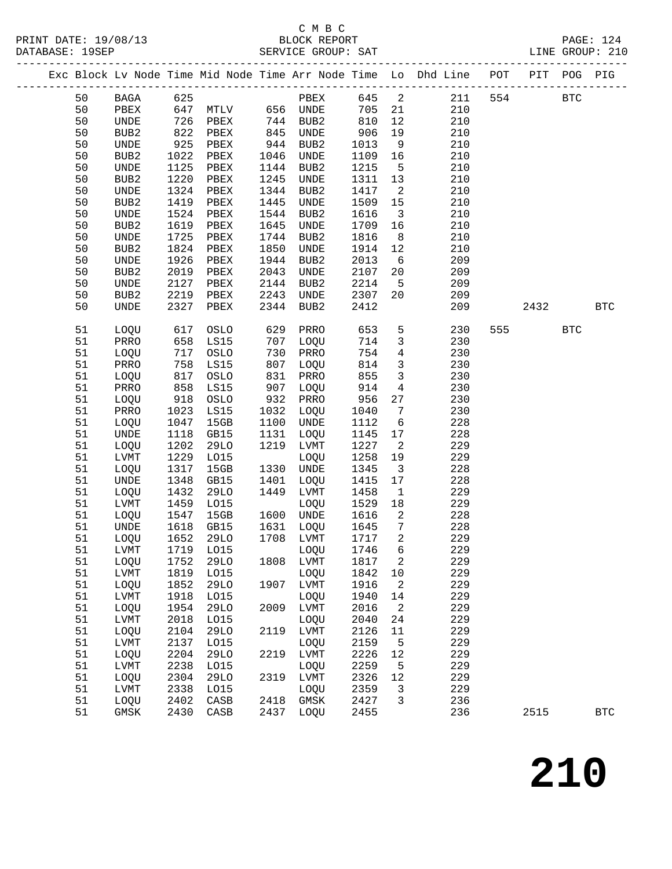## C M B C<br>BLOCK REPORT

|    |                              |      |                          |             |                                     |      |                          | Exc Block Lv Node Time Mid Node Time Arr Node Time Lo Dhd Line POT PIT POG PIG |     |            |            |
|----|------------------------------|------|--------------------------|-------------|-------------------------------------|------|--------------------------|--------------------------------------------------------------------------------|-----|------------|------------|
| 50 |                              |      | BAGA 625                 |             |                                     |      |                          | PBEX 645 2 211                                                                 | 554 | <b>BTC</b> |            |
| 50 | PBEX                         |      | 515<br>647 MTLV 656 UNDE |             |                                     | 705  |                          | 21<br>210                                                                      |     |            |            |
| 50 | UNDE                         | 726  | PBEX                     | 744         | BUB2                                | 810  | 12                       | 210                                                                            |     |            |            |
| 50 | BUB <sub>2</sub>             | 822  | PBEX                     |             | UNDE                                | 906  | 19                       | 210                                                                            |     |            |            |
| 50 | $\ensuremath{\mathsf{UNDE}}$ | 925  | PBEX                     | 845<br>944  | BUB2                                | 1013 | 9                        | 210                                                                            |     |            |            |
| 50 | BUB2                         | 1022 | PBEX                     | 1046        | UNDE                                | 1109 | 16                       | 210                                                                            |     |            |            |
| 50 | UNDE                         | 1125 | PBEX                     | 1144        | BUB2                                | 1215 | $5^{\circ}$              | 210                                                                            |     |            |            |
| 50 | BUB2                         | 1220 | PBEX                     | 1245        | UNDE                                | 1311 | 13                       | 210                                                                            |     |            |            |
| 50 | UNDE                         | 1324 | PBEX                     | 1344        | BUB2                                | 1417 | $\overline{\phantom{a}}$ | 210                                                                            |     |            |            |
| 50 | BUB2                         | 1419 | PBEX                     | 1445        | UNDE                                | 1509 | 15                       | 210                                                                            |     |            |            |
| 50 | UNDE                         | 1524 | PBEX                     | 1544        | BUB2                                | 1616 | $\overline{\mathbf{3}}$  | 210                                                                            |     |            |            |
| 50 | BUB2                         | 1619 | PBEX                     | 1645        | UNDE                                | 1709 | 16                       | 210                                                                            |     |            |            |
| 50 | UNDE                         | 1725 | PBEX                     | 1744        | BUB2                                | 1816 | 8 <sup>8</sup>           | 210                                                                            |     |            |            |
| 50 | BUB2                         | 1824 | PBEX                     | 1850        | UNDE                                | 1914 | 12                       | 210                                                                            |     |            |            |
| 50 | UNDE                         | 1926 | PBEX                     | 1944        | BUB2                                | 2013 | $6\overline{6}$          | 209                                                                            |     |            |            |
| 50 | BUB2                         | 2019 | PBEX                     | 2043        | UNDE                                | 2107 | 20                       | 209                                                                            |     |            |            |
| 50 | UNDE                         | 2127 | PBEX                     | 2144        | BUB2                                | 2214 | $5\overline{)}$          | 209                                                                            |     |            |            |
| 50 | BUB2                         | 2219 | PBEX                     | 2243        | UNDE                                | 2307 | 20                       | 209                                                                            |     |            |            |
| 50 | UNDE                         | 2327 | PBEX                     | 2344        | BUB2                                | 2412 |                          | 209                                                                            |     | 2432       | <b>BTC</b> |
|    |                              |      |                          |             |                                     |      |                          |                                                                                |     |            |            |
| 51 | LOQU                         | 617  | OSLO                     | 629         | PRRO                                | 653  | 5 <sup>5</sup>           | 230                                                                            |     | 555 BTC    |            |
| 51 | PRRO                         | 658  | LS15                     | 707         | LOQU                                | 714  | $\mathbf{3}$             | 230                                                                            |     |            |            |
| 51 | LOQU                         | 717  | OSLO                     | 730         | PRRO                                | 754  | $4\overline{ }$          | 230                                                                            |     |            |            |
| 51 | PRRO                         | 758  | LS15                     | 807         | LOQU                                | 814  | $\overline{\mathbf{3}}$  | 230                                                                            |     |            |            |
| 51 | LOQU                         | 817  | OSLO                     |             | PRRO                                | 855  | $\overline{\mathbf{3}}$  | 230                                                                            |     |            |            |
| 51 | PRRO                         | 858  | LS15                     | ⊥د 8<br>907 | LOQU                                | 914  | $\overline{4}$           | 230                                                                            |     |            |            |
| 51 | LOQU                         | 918  | OSLO                     | 932         | PRRO                                | 956  | 27                       | 230                                                                            |     |            |            |
| 51 | PRRO                         | 1023 | LS15                     | 1032        | LOQU                                | 1040 | $7\overline{ }$          | 230                                                                            |     |            |            |
| 51 | LOQU                         | 1047 | 15GB                     | 1100        | UNDE                                | 1112 | 6                        | 228                                                                            |     |            |            |
| 51 | UNDE                         | 1118 | GB15                     | 1131        | LOQU                                | 1145 | 17                       | 228                                                                            |     |            |            |
| 51 | LOQU                         | 1202 | 29LO                     | 1219        | LVMT                                | 1227 | $\overline{2}$           | 229                                                                            |     |            |            |
| 51 | LVMT                         | 1229 | L015                     |             | LOQU                                | 1258 | 19                       | 229                                                                            |     |            |            |
| 51 | LOQU                         | 1317 | 15GB                     | 1330        | UNDE                                | 1345 | $\overline{\mathbf{3}}$  | 228                                                                            |     |            |            |
| 51 | UNDE                         | 1348 | GB15                     | 1401        | LOQU                                | 1415 | 17                       | 228                                                                            |     |            |            |
| 51 | LOQU                         | 1432 | 29LO                     | 1449        | LVMT                                | 1458 | $\overline{1}$           | 229                                                                            |     |            |            |
| 51 | LVMT                         | 1459 | L015                     |             | LOQU                                | 1529 | 18                       | 229                                                                            |     |            |            |
| 51 | LOQU                         | 1547 | 15GB                     |             |                                     | 1616 | $\overline{\mathbf{c}}$  | 228                                                                            |     |            |            |
| 51 | UNDE                         | 1618 | GB15                     |             | 1600 UNDE<br>1631 LOQU<br>1708 LVMT | 1645 | $7\overline{ }$          | 228                                                                            |     |            |            |
| 51 | LOQU                         | 1652 | <b>29LO</b>              |             |                                     | 1717 | $\overline{a}$           | 229                                                                            |     |            |            |
| 51 |                              |      |                          |             |                                     |      |                          | 229                                                                            |     |            |            |
| 51 | LOQU                         | 1752 | 29LO                     | 1808        | LVMT                                | 1817 | 2                        | 229                                                                            |     |            |            |
| 51 | LVMT                         | 1819 | L015                     |             | LOQU                                | 1842 | 10                       | 229                                                                            |     |            |            |
| 51 | LOQU                         | 1852 | <b>29LO</b>              | 1907        | LVMT                                | 1916 | 2                        | 229                                                                            |     |            |            |
| 51 | LVMT                         | 1918 | L015                     |             | LOQU                                | 1940 | 14                       | 229                                                                            |     |            |            |
| 51 | LOQU                         | 1954 | <b>29LO</b>              | 2009        | LVMT                                | 2016 | 2                        | 229                                                                            |     |            |            |
| 51 | LVMT                         | 2018 | L015                     |             | LOQU                                | 2040 | 24                       | 229                                                                            |     |            |            |
| 51 | LOQU                         | 2104 | <b>29LO</b>              | 2119        | LVMT                                | 2126 | 11                       | 229                                                                            |     |            |            |
| 51 | LVMT                         | 2137 | L015                     |             | LOQU                                | 2159 | 5                        | 229                                                                            |     |            |            |
| 51 | LOQU                         | 2204 | 29LO                     | 2219        | LVMT                                | 2226 | 12                       | 229                                                                            |     |            |            |
| 51 | LVMT                         | 2238 | L015                     |             | LOQU                                | 2259 | 5                        | 229                                                                            |     |            |            |
| 51 | LOQU                         | 2304 | 29LO                     | 2319        | LVMT                                | 2326 | 12                       | 229                                                                            |     |            |            |
| 51 | LVMT                         | 2338 | L015                     |             | LOQU                                | 2359 | $\mathbf{3}$             | 229                                                                            |     |            |            |
| 51 | LOQU                         | 2402 | CASB                     | 2418        | GMSK                                | 2427 | 3                        | 236                                                                            |     |            |            |
| 51 | GMSK                         | 2430 | CASB                     | 2437        | LOQU                                | 2455 |                          | 236                                                                            |     | 2515       | <b>BTC</b> |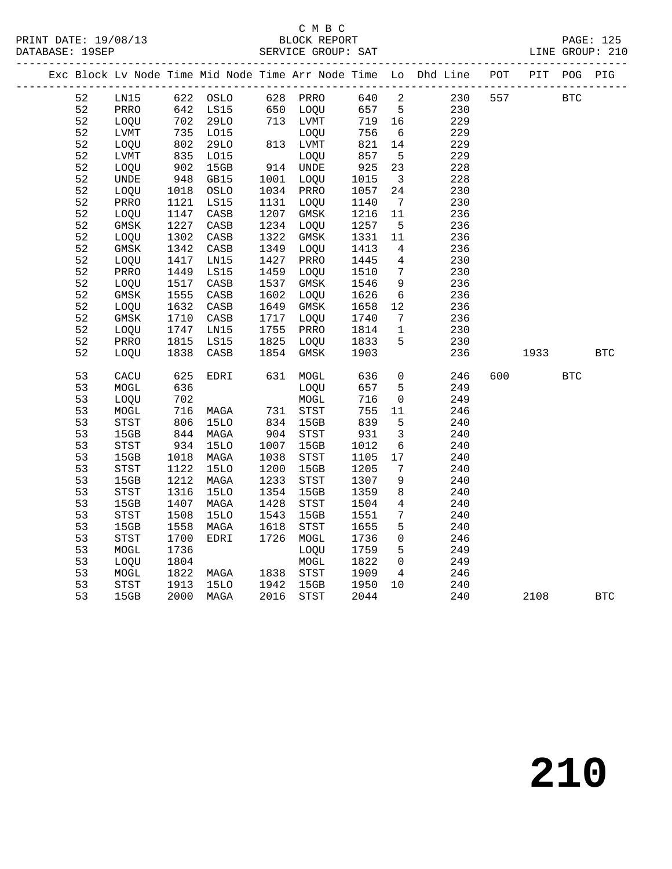## C M B C<br>BLOCK REPORT

|  |    |                            |            |                        |      |                          |              |                              | Exc Block Lv Node Time Mid Node Time Arr Node Time Lo Dhd Line POT PIT POG PIG |     |             |            |            |
|--|----|----------------------------|------------|------------------------|------|--------------------------|--------------|------------------------------|--------------------------------------------------------------------------------|-----|-------------|------------|------------|
|  | 52 | LN15 622 OSLO              |            |                        |      |                          |              |                              |                                                                                |     | 557 BTC     |            |            |
|  | 52 | PRRO                       |            | 642 LS15               |      |                          |              |                              |                                                                                |     |             |            |            |
|  | 52 | LOQU                       |            | $702$ 29LO             |      |                          |              |                              |                                                                                |     |             |            |            |
|  | 52 | LVMT                       |            | 735 LO15<br>802 29LO   | 813  | LOQU                     | 756<br>821   | 6                            | 229                                                                            |     |             |            |            |
|  | 52 | LOQU                       |            |                        |      | 813 LVMT                 | 821          | 14                           | 229                                                                            |     |             |            |            |
|  | 52 | LVMT                       | 835<br>902 | L015                   |      | LOQU<br>LOQU<br>914 UNDE | 857          | $5^{\circ}$                  | 229                                                                            |     |             |            |            |
|  | 52 | LOQU                       |            | 15GB                   |      |                          | 925          | 23                           | 228                                                                            |     |             |            |            |
|  | 52 | UNDE                       | 948        | GB15                   |      | 1001 LOQU                | 1015         | $\overline{\mathbf{3}}$      | 228                                                                            |     |             |            |            |
|  | 52 | LOQU                       | 1018       | OSLO                   | 1034 | PRRO                     | 1057         | 24                           | 230                                                                            |     |             |            |            |
|  | 52 | PRRO                       | 1121       | LS15                   |      | 1131 LOQU                | 1140         | $7\overline{ }$              | 230                                                                            |     |             |            |            |
|  | 52 | LOQU                       | 1147       | CASB                   | 1207 | GMSK                     | 1216 11      |                              | 236                                                                            |     |             |            |            |
|  | 52 | GMSK                       | 1227       | CASB                   | 1234 | LOQU                     | 1257         | $5^{\circ}$                  | 236                                                                            |     |             |            |            |
|  | 52 | LOQU                       | 1302       | CASB                   | 1322 | GMSK                     | 1331         | 11                           | 236                                                                            |     |             |            |            |
|  | 52 | GMSK                       | 1342       | $\mathtt{CASB}$        | 1349 | LOQU                     | 1413         | $\overline{4}$               | 236                                                                            |     |             |            |            |
|  | 52 | LOQU                       | 1417       | LN15                   |      | 1427 PRRO                | 1445         | $\overline{4}$               | 230                                                                            |     |             |            |            |
|  | 52 | PRRO                       | 1449       | LS15                   | 1459 | LOQU                     | 1510         | $7\overline{ }$              | 230                                                                            |     |             |            |            |
|  | 52 | LOQU                       | 1517       | CASB                   | 1537 | GMSK                     | 1546         | 9                            | 236                                                                            |     |             |            |            |
|  | 52 | GMSK                       | 1555       | CASB                   | 1602 | LOQU                     | 1626         | 6                            | 236                                                                            |     |             |            |            |
|  | 52 | LOQU                       | 1632       | $\mathtt{CASB}$        | 1649 | GMSK                     | 1658         | 12                           | 236                                                                            |     |             |            |            |
|  | 52 | GMSK                       | 1710       | CASB                   |      | 1717 LOQU                | 1740         | $7\overline{ }$              | 236                                                                            |     |             |            |            |
|  | 52 | LOQU                       | 1747       | LN15                   | 1755 | PRRO                     | 1814         | $\mathbf{1}$                 | 230                                                                            |     |             |            |            |
|  | 52 | PRRO                       | 1815       | LS15                   | 1825 | LOQU                     | 1833         | 5                            | 230                                                                            |     |             |            |            |
|  | 52 | LOQU                       | 1838       | CASB                   |      | 1854 GMSK                | 1903         |                              | 236                                                                            |     | 1933 — 1933 |            | <b>BTC</b> |
|  | 53 | CACU                       | 625        | EDRI                   |      | 631 MOGL                 | 636          | $\overline{0}$               | 246                                                                            | 600 |             | <b>BTC</b> |            |
|  | 53 | MOGL                       | 636        |                        |      | LOQU                     | 657          | $5\overline{)}$              | 249                                                                            |     |             |            |            |
|  | 53 | LOQU                       | 702        |                        |      | MOGL                     | 716          | $\overline{0}$               | 249                                                                            |     |             |            |            |
|  | 53 | MOGL                       | 716        | MAGA                   |      | 731 STST                 | 755          | 11                           | 246                                                                            |     |             |            |            |
|  | 53 | $_{\footnotesize\rm STST}$ |            |                        |      |                          | 839          | $5^{\circ}$                  | 240                                                                            |     |             |            |            |
|  | 53 | 15GB                       |            |                        |      | 834 15GB<br>904 STST     | $832$<br>931 | $\overline{\mathbf{3}}$      | 240                                                                            |     |             |            |            |
|  | 53 | STST                       | 934        | <b>15LO</b>            | 1007 | 15GB                     | 1012         | $6\overline{6}$              | 240                                                                            |     |             |            |            |
|  | 53 | 15GB                       | 1018       | MAGA                   | 1038 | <b>STST</b>              | 1105         | 17                           | 240                                                                            |     |             |            |            |
|  | 53 | STST                       | 1122       | 15LO                   | 1200 | 15GB                     | 1205         | $7\phantom{.0}\phantom{.0}7$ | 240                                                                            |     |             |            |            |
|  | 53 | 15GB                       | 1212       | MAGA                   | 1233 | STST                     | 1307         | 9                            | 240                                                                            |     |             |            |            |
|  | 53 | STST                       | 1316       | 15LO                   | 1354 | 15GB                     | 1359         | 8 <sup>8</sup>               | 240                                                                            |     |             |            |            |
|  | 53 | 15GB                       | 1407       | MAGA                   | 1428 | STST                     | 1504         | $\overline{4}$               | 240                                                                            |     |             |            |            |
|  | 53 | STST                       | 1508       | 15LO                   | 1543 | 15GB                     | 1551         | $7\overline{ }$              | 240                                                                            |     |             |            |            |
|  | 53 | 15GB                       | 1558       | MAGA                   | 1618 | STST                     | 1655         | 5                            | 240                                                                            |     |             |            |            |
|  | 53 | STST                       | 1700       | EDRI                   | 1726 | MOGL                     | 1736         | $\overline{0}$               | 246                                                                            |     |             |            |            |
|  | 53 | MOGL                       | 1736       |                        |      | LOQU                     | 1759 5       |                              | 249                                                                            |     |             |            |            |
|  | 53 | LOQU                       | 1804       |                        |      | ${\tt MOGL}$             | 1822         | $\overline{0}$               | 249                                                                            |     |             |            |            |
|  | 53 | MOGL                       | 1822       | MAGA 1838<br>15LO 1942 |      | 1838 STST                | 1909         | $\overline{4}$               | 246                                                                            |     |             |            |            |
|  | 53 | STST                       | 1913       |                        |      | 15GB                     | 1950 10      |                              | 240                                                                            |     |             |            |            |
|  | 53 | 15GB                       |            | 2000 MAGA              | 2016 | <b>STST</b>              | 2044         |                              | 240                                                                            |     | 2108        |            | <b>BTC</b> |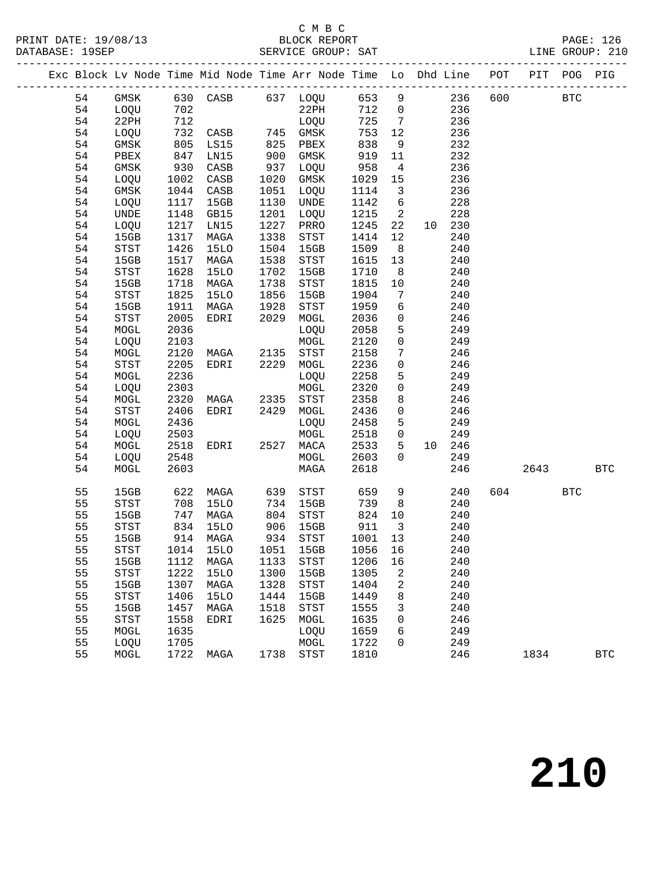# C M B C<br>BLOCK REPORT

|  |          |                                       |              |                                                 |              | Exc Block Lv Node Time Mid Node Time Arr Node Time Lo Dhd Line POT PIT POG PIG |                   |                                  |                 |               |         |              |
|--|----------|---------------------------------------|--------------|-------------------------------------------------|--------------|--------------------------------------------------------------------------------|-------------------|----------------------------------|-----------------|---------------|---------|--------------|
|  | 54       |                                       |              |                                                 |              | GMSK 630 CASB 637 LOQU 653 9 236 600 BTC                                       |                   |                                  |                 |               |         |              |
|  | 54       | LOQU                                  | 702          |                                                 |              | $22PH$ $712$ 0                                                                 |                   |                                  |                 | 236           |         |              |
|  | 54       | 22PH                                  | 712          |                                                 |              | LOQU                                                                           | 725               |                                  | $7\overline{ }$ | 236           |         |              |
|  | 54       | LOQU                                  | 732          |                                                 |              |                                                                                |                   | 12                               |                 | 236           |         |              |
|  | 54       | GMSK                                  |              |                                                 |              |                                                                                | 753<br>838<br>919 | 9                                |                 | 232           |         |              |
|  | 54       | PBEX                                  | 805<br>847   | CASB 745 GMSK<br>LS15 825 PBEX<br>LN15 900 GMSK |              |                                                                                | 919               | 11                               |                 | 232           |         |              |
|  | 54       | GMSK                                  | 930          | CASB                                            | 937          | LOQU                                                                           | 958               | $\overline{4}$                   |                 | 236           |         |              |
|  | 54       | LOQU                                  | 1002         | CASB                                            | 1020         | GMSK                                                                           | 1029              | 15                               |                 | 236           |         |              |
|  | 54       | GMSK                                  | 1044         | CASB                                            | 1051         | LOQU                                                                           | 1114              | $\overline{\mathbf{3}}$          |                 | 236           |         |              |
|  | 54       | LOQU                                  | 1117         | 15GB                                            | 1130         | UNDE                                                                           | 1142              | $6\overline{6}$                  |                 | 228           |         |              |
|  | 54       | UNDE                                  | 1148         | GB15                                            | 1201         | LOQU                                                                           | 1215              | $\overline{\phantom{a}}$         |                 | 228           |         |              |
|  | 54       | LOQU                                  | 1217         | LN15                                            | 1227         | PRRO                                                                           | 1245              | 22                               |                 | 10 230        |         |              |
|  | 54       | 15GB                                  | 1317         | MAGA                                            | 1338         | STST                                                                           | 1414              | 12                               |                 | 240           |         |              |
|  | 54       | $_{\footnotesize{\textnormal{STST}}}$ | 1426         | <b>15LO</b>                                     | 1504         | 15GB                                                                           | 1509              | 8 <sup>8</sup>                   |                 | 240           |         |              |
|  | 54       | 15GB                                  | 1517         | MAGA                                            | 1538         | STST                                                                           | 1615              | 13                               |                 | 240           |         |              |
|  | 54       | STST                                  | 1628         | <b>15LO</b>                                     | 1702         | 15GB                                                                           | 1710              | 8 <sup>8</sup>                   |                 | 240           |         |              |
|  | 54       | 15GB                                  | 1718         | MAGA                                            |              | STST                                                                           | 1815              | 10                               |                 | 240           |         |              |
|  | 54       | $_{\footnotesize\rm STST}$            | 1825         | <b>15LO</b>                                     | 1738<br>1856 | 15GB                                                                           | 1904              | $7\overline{ }$                  |                 | 240           |         |              |
|  | 54       | 15GB                                  | 1911         | MAGA                                            | 1928         | STST                                                                           | 1959              | $6\overline{6}$                  |                 | 240           |         |              |
|  | 54       | STST                                  | 2005         | EDRI                                            | 2029         | MOGL                                                                           | 2036              | $\overline{0}$                   |                 | 246           |         |              |
|  | 54       | $\tt MOGL$                            | 2036         |                                                 |              | LOQU                                                                           | 2058              | 5 <sup>5</sup>                   |                 | 249           |         |              |
|  | 54       | LOQU                                  | 2103         |                                                 |              | MOGL                                                                           | 2120              | $\overline{0}$                   |                 | 249           |         |              |
|  | 54       | MOGL                                  | 2120         | MAGA                                            | 2135         | STST                                                                           | 2158              | $7\phantom{.0}\phantom{.0}7$     |                 | 246           |         |              |
|  | 54       | STST                                  | 2205         | EDRI                                            |              | 2229 MOGL                                                                      | 2236              | $\overline{0}$                   |                 | 246           |         |              |
|  | 54       | MOGL                                  | 2236         |                                                 |              | LOQU                                                                           | 2258              | $5\overline{)}$                  |                 | 249           |         |              |
|  | 54       | LOQU                                  | 2303         |                                                 |              | MOGL                                                                           | 2320              | $\overline{0}$                   |                 | 249           |         |              |
|  | 54       | MOGL                                  | 2320         | MAGA 2335 STST                                  |              |                                                                                | 2358              | 8 <sup>8</sup>                   |                 | 246           |         |              |
|  | 54       | STST                                  | 2406         | EDRI 2429                                       |              | MOGL                                                                           | 2436              | $\overline{0}$                   |                 | 246           |         |              |
|  | 54       | MOGL                                  | 2436         |                                                 |              | LOQU                                                                           | 2458              | $5\overline{)}$                  |                 | 249           |         |              |
|  | 54       | LOQU                                  | 2503<br>2518 | EDRI                                            |              | MOGL                                                                           | 2518<br>2533      | $\overline{0}$<br>5 <sub>5</sub> |                 | 249           |         |              |
|  | 54<br>54 | MOGL                                  | 2548         |                                                 |              | 2527 MACA                                                                      | 2603              | $\overline{0}$                   |                 | 10 246<br>249 |         |              |
|  | 54       | LOQU<br>MOGL                          | 2603         |                                                 |              | MOGL<br>MAGA                                                                   | 2618              |                                  |                 | 246           | 2643    | <b>BTC</b>   |
|  |          |                                       |              |                                                 |              |                                                                                |                   |                                  |                 |               |         |              |
|  | 55       | 15GB                                  |              | 622 MAGA                                        |              | 639 STST                                                                       | 659               | 9                                |                 | 240           | 604 BTC |              |
|  | 55       | STST                                  | 708          | 15LO                                            | 734          | 15GB                                                                           | 739               | 8 <sup>8</sup>                   |                 | 240           |         |              |
|  | 55       | 15GB                                  | 747          | MAGA                                            | 804          | STST                                                                           | 824               | 10                               |                 | 240           |         |              |
|  | 55       | STST                                  |              | 834 15LO<br>914 MAGA                            |              | 906 15GB<br>934 STST                                                           | 911<br>1001       | $\overline{\mathbf{3}}$          |                 | 240           |         |              |
|  | 55       | 15GB                                  |              |                                                 |              |                                                                                |                   | 13                               |                 | 240           |         |              |
|  | 55       |                                       |              |                                                 |              | STST 1014 15LO 1051 15GB 1056 16                                               |                   |                                  |                 | 240           |         |              |
|  | 55       | 15GB                                  | 1112         | MAGA                                            | 1133         | STST                                                                           | 1206              | 16                               |                 | 240           |         |              |
|  | 55       | STST                                  | 1222         | 15LO                                            | 1300         | 15GB                                                                           | 1305              | 2                                |                 | 240           |         |              |
|  | 55       | 15GB                                  | 1307         | MAGA                                            | 1328         | STST                                                                           | 1404              | 2                                |                 | 240           |         |              |
|  | 55       | <b>STST</b>                           | 1406         | <b>15LO</b>                                     | 1444         | 15GB                                                                           | 1449              | 8                                |                 | 240           |         |              |
|  | 55       | 15GB                                  | 1457         | MAGA                                            | 1518         | STST                                                                           | 1555              | 3                                |                 | 240           |         |              |
|  | 55       | <b>STST</b>                           | 1558         | EDRI                                            | 1625         | MOGL                                                                           | 1635              | 0                                |                 | 246           |         |              |
|  | 55       | MOGL                                  | 1635         |                                                 |              | LOQU                                                                           | 1659              | 6                                |                 | 249           |         |              |
|  | 55       | LOQU                                  | 1705         |                                                 |              | MOGL                                                                           | 1722              | 0                                |                 | 249           |         |              |
|  | 55       | MOGL                                  | 1722         | MAGA                                            |              | 1738 STST                                                                      | 1810              |                                  |                 | 246           | 1834    | $_{\rm BTC}$ |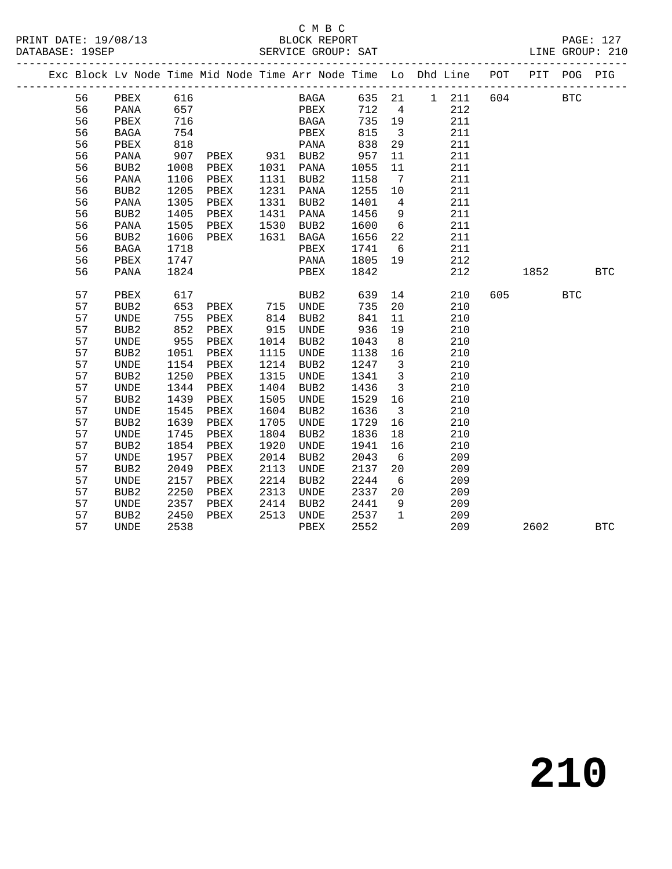#### C M B C<br>BLOCK REPORT

|  |    |                  |      | ---------------------                    |      |                               |         |                         | --------------------------                                                 |     |      |            |            |
|--|----|------------------|------|------------------------------------------|------|-------------------------------|---------|-------------------------|----------------------------------------------------------------------------|-----|------|------------|------------|
|  |    |                  |      |                                          |      |                               |         |                         | Exc Block Lv Node Time Mid Node Time Arr Node Time Lo Dhd Line POT PIT POG |     |      |            | PIG        |
|  | 56 | PBEX             | 616  |                                          |      | BAGA                          | 635 21  |                         | 1 211 604                                                                  |     |      | <b>BTC</b> |            |
|  | 56 | PANA             | 657  |                                          |      | PBEX                          | 712     | $\overline{4}$          | 212                                                                        |     |      |            |            |
|  | 56 | PBEX             | 716  |                                          |      | BAGA                          | 735     | 19                      | 211                                                                        |     |      |            |            |
|  | 56 | BAGA             | 754  |                                          |      | PBEX                          | 815     | $\overline{\mathbf{3}}$ | 211                                                                        |     |      |            |            |
|  | 56 | PBEX             | 818  |                                          |      | PANA                          | 838     | 29                      | 211                                                                        |     |      |            |            |
|  | 56 | PANA             |      | 907 PBEX 931 BUB2<br>1008 PBEX 1031 PANA |      |                               | 957     | 11                      | 211                                                                        |     |      |            |            |
|  | 56 | BUB2             |      |                                          |      |                               | 1055    | 11                      | 211                                                                        |     |      |            |            |
|  | 56 | PANA             | 1106 | PBEX                                     |      | 1131 BUB2                     | 1158    | $\overline{7}$          | 211                                                                        |     |      |            |            |
|  | 56 | BUB <sub>2</sub> | 1205 | PBEX                                     |      | 1231 PANA                     | 1255    | 10                      | 211                                                                        |     |      |            |            |
|  | 56 | PANA             | 1305 | PBEX                                     | 1331 | BUB2                          | 1401    | $4\overline{4}$         | 211                                                                        |     |      |            |            |
|  | 56 | BUB <sub>2</sub> | 1405 | PBEX                                     |      |                               | 1456    | 9                       | 211                                                                        |     |      |            |            |
|  | 56 | PANA             | 1505 | PBEX                                     |      | $1431$ $241$<br>$1530$ $BUB2$ | 1600    | 6                       | 211                                                                        |     |      |            |            |
|  | 56 | BUB2             | 1606 | PBEX                                     |      | 1631 BAGA                     | 1656    | 22                      | 211                                                                        |     |      |            |            |
|  | 56 | BAGA             | 1718 |                                          |      | PBEX                          | 1741    | 6                       | 211                                                                        |     |      |            |            |
|  | 56 | PBEX             | 1747 |                                          |      | PANA                          | 1805    | 19                      | 212                                                                        |     |      |            |            |
|  | 56 | PANA             | 1824 |                                          |      | PBEX                          | 1842    |                         | 212                                                                        |     | 1852 |            | <b>BTC</b> |
|  |    |                  |      |                                          |      |                               |         |                         |                                                                            |     |      |            |            |
|  | 57 | PBEX             | 617  |                                          |      | BUB2                          | 639     | 14                      | 210                                                                        | 605 |      | <b>BTC</b> |            |
|  | 57 | BUB <sub>2</sub> | 653  | PBEX 715 UNDE                            |      |                               | 735     | 20                      | 210                                                                        |     |      |            |            |
|  | 57 | UNDE             | 755  | PBEX                                     | 814  | BUB2                          | 841     | 11                      | 210                                                                        |     |      |            |            |
|  | 57 | BUB <sub>2</sub> | 852  | PBEX                                     | 915  | UNDE                          | 936     | 19                      | 210                                                                        |     |      |            |            |
|  | 57 | UNDE             | 955  | PBEX                                     |      | BUB2                          | 1043    | 8 <sup>8</sup>          | 210                                                                        |     |      |            |            |
|  | 57 | BUB2             | 1051 | PBEX                                     | 1115 | UNDE                          | 1138    | 16                      | 210                                                                        |     |      |            |            |
|  | 57 | UNDE             | 1154 | PBEX                                     | 1214 | BUB2                          | 1247    | $\overline{\mathbf{3}}$ | 210                                                                        |     |      |            |            |
|  | 57 | BUB <sub>2</sub> | 1250 | PBEX                                     | 1315 | UNDE                          | 1341    | $\overline{\mathbf{3}}$ | 210                                                                        |     |      |            |            |
|  | 57 | UNDE             | 1344 | PBEX                                     | 1404 | BUB2                          | 1436    | $\overline{\mathbf{3}}$ | 210                                                                        |     |      |            |            |
|  | 57 | BUB2             | 1439 | PBEX                                     | 1505 | UNDE                          | 1529 16 |                         | 210                                                                        |     |      |            |            |
|  | 57 | UNDE             | 1545 | PBEX                                     |      | 1604 BUB2                     | 1636    | $\overline{\mathbf{3}}$ | 210                                                                        |     |      |            |            |
|  | 57 | BUB <sub>2</sub> | 1639 | PBEX                                     | 1705 | UNDE                          | 1729    | 16                      | 210                                                                        |     |      |            |            |
|  | 57 | UNDE             | 1745 | PBEX                                     | 1804 | BUB2                          | 1836    | 18                      | 210                                                                        |     |      |            |            |
|  | 57 | BUB2             | 1854 | PBEX                                     | 1920 | UNDE                          | 1941    | 16                      | 210                                                                        |     |      |            |            |
|  | 57 | UNDE             | 1957 | PBEX                                     | 2014 | BUB2                          | 2043    | 6                       | 209                                                                        |     |      |            |            |
|  | 57 | BUB <sub>2</sub> | 2049 | PBEX                                     | 2113 | UNDE                          | 2137    | 20                      | 209                                                                        |     |      |            |            |
|  | 57 | <b>UNDE</b>      | 2157 | PBEX                                     | 2214 | BUB2                          | 2244    | 6                       | 209                                                                        |     |      |            |            |
|  | 57 | BUB <sub>2</sub> | 2250 | PBEX                                     | 2313 | UNDE                          | 2337    | 20                      | 209                                                                        |     |      |            |            |
|  | 57 | UNDE             | 2357 | PBEX                                     | 2414 | BUB2                          | 2441    | - 9                     | 209                                                                        |     |      |            |            |
|  | 57 | BUB <sub>2</sub> | 2450 | PBEX                                     |      | 2513 UNDE                     | 2537    | $\mathbf{1}$            | 209                                                                        |     |      |            |            |
|  | 57 | UNDE             | 2538 |                                          |      | PBEX                          | 2552    |                         | 209                                                                        |     | 2602 |            | <b>BTC</b> |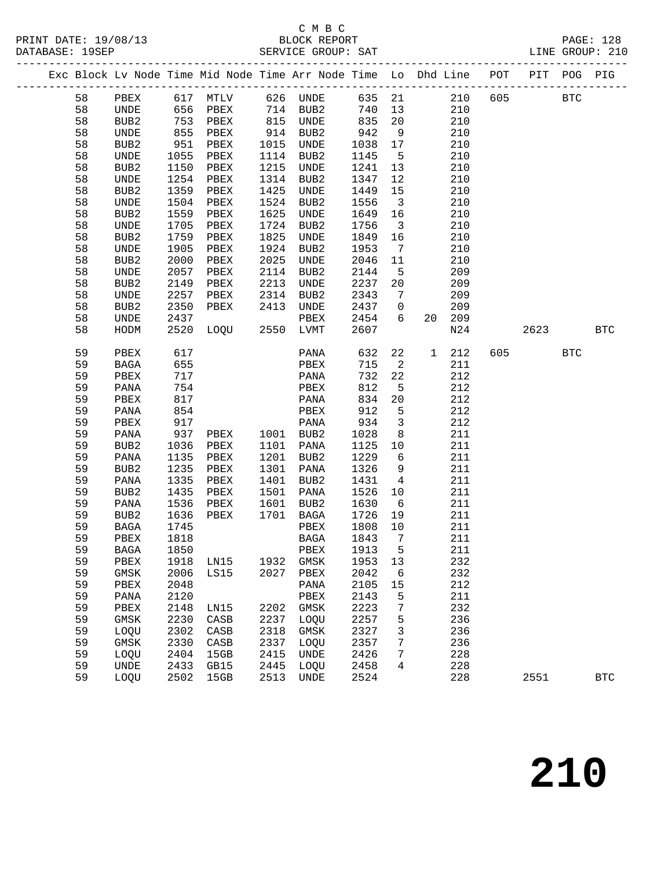# C M B C<br>BLOCK REPORT

PAGE: 128<br>LINE GROUP: 210

| DAIADAJE. |          |                  |              |          |      | DERATOR QUOOF. DAI |              |                         |                                                                    |     |      |            |            |
|-----------|----------|------------------|--------------|----------|------|--------------------|--------------|-------------------------|--------------------------------------------------------------------|-----|------|------------|------------|
|           |          |                  |              |          |      |                    |              |                         | Exc Block Lv Node Time Mid Node Time Arr Node Time Lo Dhd Line POT |     | PIT  | POG        | PIG        |
|           | 58       | PBEX             |              | 617 MTLV |      | 626 UNDE           | 635          | 21                      | 210                                                                | 605 |      | <b>BTC</b> |            |
|           | 58       | UNDE             | 656          | PBEX     |      | 714 BUB2           | 740          | 13                      | 210                                                                |     |      |            |            |
|           | 58       | BUB2             | 753          | PBEX     | 815  | UNDE               | 835          | 20                      | 210                                                                |     |      |            |            |
|           | 58       | UNDE             | 855          | PBEX     | 914  | BUB2               | 942          | 9                       | 210                                                                |     |      |            |            |
|           | 58       | BUB2             | 951          | PBEX     | 1015 | UNDE               | 1038         | 17                      | 210                                                                |     |      |            |            |
|           | 58       | UNDE             | 1055         | PBEX     | 1114 | BUB2               | 1145         | $5^{\circ}$             | 210                                                                |     |      |            |            |
|           | 58       | BUB <sub>2</sub> | 1150         | PBEX     | 1215 | UNDE               | 1241         | 13                      | 210                                                                |     |      |            |            |
|           | 58       | UNDE             | 1254         | PBEX     | 1314 | BUB2               | 1347         | 12                      | 210                                                                |     |      |            |            |
|           | 58       | BUB2             | 1359         | PBEX     | 1425 | UNDE               | 1449         | 15                      | 210                                                                |     |      |            |            |
|           | 58       | UNDE             | 1504         | PBEX     | 1524 | BUB2               | 1556         | $\overline{\mathbf{3}}$ | 210                                                                |     |      |            |            |
|           | 58       | BUB2             | 1559         | PBEX     | 1625 | UNDE               | 1649         | 16                      | 210                                                                |     |      |            |            |
|           | 58       | UNDE             | 1705         | PBEX     | 1724 | BUB2               | 1756         | $\overline{\mathbf{3}}$ | 210                                                                |     |      |            |            |
|           | 58       | BUB2             | 1759         | PBEX     | 1825 | UNDE               | 1849         | 16                      | 210                                                                |     |      |            |            |
|           | 58       | UNDE             | 1905         | PBEX     | 1924 | BUB2               | 1953         | $\overline{7}$          | 210                                                                |     |      |            |            |
|           | 58       | BUB2             | 2000         | PBEX     | 2025 | UNDE               | 2046         | 11                      | 210                                                                |     |      |            |            |
|           | 58       | UNDE             | 2057         | PBEX     | 2114 | BUB2               | 2144         | 5                       | 209                                                                |     |      |            |            |
|           | 58       | BUB2             | 2149         | PBEX     | 2213 | UNDE               | 2237         | 20                      | 209                                                                |     |      |            |            |
|           | 58       | UNDE             | 2257         | PBEX     | 2314 | BUB2               | 2343         | $7\overline{ }$         | 209                                                                |     |      |            |            |
|           | 58       | BUB2             | 2350         | PBEX     | 2413 | UNDE               | 2437         | $\overline{0}$          | 209                                                                |     |      |            |            |
|           | 58       | UNDE             | 2437         |          |      | PBEX               | 2454         | 6                       | 209<br>20                                                          |     |      |            |            |
|           | 58       | HODM             | 2520         | LOQU     | 2550 | LVMT               | 2607         |                         | N24                                                                |     | 2623 |            | <b>BTC</b> |
|           | 59       | PBEX             | 617          |          |      | PANA               | 632          | 22                      | 212<br>$\mathbf{1}$                                                | 605 |      | <b>BTC</b> |            |
|           | 59       | BAGA             | 655          |          |      | PBEX               | 715          | $\overline{a}$          | 211                                                                |     |      |            |            |
|           | 59       | PBEX             | 717          |          |      | PANA               | 732          | 22                      | 212                                                                |     |      |            |            |
|           | 59       | PANA             | 754          |          |      | PBEX               | 812          | 5                       | 212                                                                |     |      |            |            |
|           | 59       | PBEX             | 817          |          |      | PANA               | 834          | 20                      | 212                                                                |     |      |            |            |
|           | 59       | PANA             | 854          |          |      | PBEX               | 912          | $5\overline{5}$         | 212                                                                |     |      |            |            |
|           | 59       | PBEX             | 917          |          |      | PANA               | 934          | $\overline{3}$          | 212                                                                |     |      |            |            |
|           | 59       | PANA             | 937          | PBEX     |      | 1001 BUB2          | 1028         | 8 <sup>8</sup>          | 211                                                                |     |      |            |            |
|           | 59       | BUB2             | 1036         | PBEX     | 1101 | PANA               | 1125         | 10                      | 211                                                                |     |      |            |            |
|           | 59       | PANA             | 1135         | PBEX     | 1201 | BUB2               | 1229         | $6\overline{6}$         | 211                                                                |     |      |            |            |
|           | 59       | BUB2             | 1235         | PBEX     | 1301 | PANA               | 1326         | 9                       | 211                                                                |     |      |            |            |
|           | 59       | PANA             | 1335         | PBEX     | 1401 | BUB2               | 1431         | $\overline{4}$          | 211                                                                |     |      |            |            |
|           | 59       | BUB2             | 1435         | PBEX     | 1501 | PANA               | 1526         | 10                      | 211                                                                |     |      |            |            |
|           | 59       | PANA             | 1536         | PBEX     | 1601 | BUB2               | 1630         | $6\overline{6}$         | 211                                                                |     |      |            |            |
|           | 59       | BUB2             | 1636         | PBEX     | 1701 | BAGA               | 1726<br>1808 | 19                      | 211                                                                |     |      |            |            |
|           | 59<br>59 | BAGA<br>PBEX     | 1745<br>1818 |          |      | PBEX<br>BAGA       | 1843         | 10<br>$\overline{7}$    | 211<br>211                                                         |     |      |            |            |
|           | 59       |                  | 1850         |          |      | PBEX               | 1913         |                         | 211                                                                |     |      |            |            |
|           | 59       | BAGA<br>PBEX     | 1918         | LN15     | 1932 | $\rm{GMSK}$        | 1953         | 5<br>13                 | 232                                                                |     |      |            |            |
|           | 59       | $\rm{GMSK}$      | 2006         | LS15     | 2027 | PBEX               | 2042         | 6                       | 232                                                                |     |      |            |            |
|           | 59       | ${\tt PBEX}$     | 2048         |          |      | PANA               | 2105         | 15                      | 212                                                                |     |      |            |            |
|           | 59       | PANA             | 2120         |          |      | PBEX               | 2143         | 5                       | 211                                                                |     |      |            |            |
|           | 59       | PBEX             | 2148         | LN15     | 2202 | GMSK               | 2223         | 7                       | 232                                                                |     |      |            |            |
|           | 59       | GMSK             | 2230         | CASB     | 2237 | LOQU               | 2257         | 5                       | 236                                                                |     |      |            |            |
|           | 59       | LOQU             | 2302         | CASB     | 2318 | GMSK               | 2327         | 3                       | 236                                                                |     |      |            |            |
|           | 59       | GMSK             | 2330         | CASB     | 2337 | LOQU               | 2357         | 7                       | 236                                                                |     |      |            |            |
|           | 59       | LOQU             | 2404         | 15GB     | 2415 | UNDE               | 2426         | 7                       | 228                                                                |     |      |            |            |
|           | 59       | UNDE             | 2433         | GB15     | 2445 | LOQU               | 2458         | 4                       | 228                                                                |     |      |            |            |
|           | 59       | LOQU             | 2502         | 15GB     | 2513 | <b>UNDE</b>        | 2524         |                         | 228                                                                |     | 2551 |            | <b>BTC</b> |
|           |          |                  |              |          |      |                    |              |                         |                                                                    |     |      |            |            |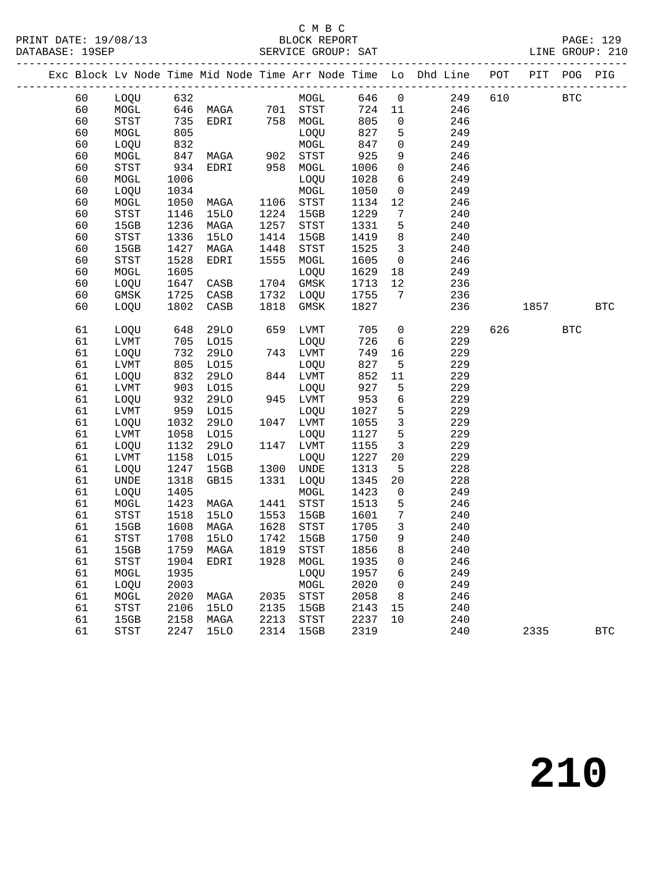#### C M B C<br>BLOCK REPORT

|  |    |                                       |      |                   |      |                            |        |                          | Exc Block Lv Node Time Mid Node Time Arr Node Time Lo Dhd Line POT PIT POG PIG |     |            |            |
|--|----|---------------------------------------|------|-------------------|------|----------------------------|--------|--------------------------|--------------------------------------------------------------------------------|-----|------------|------------|
|  | 60 | LOQU 632                              |      |                   |      | MOGL 646 0                 |        |                          | 249                                                                            | 610 | <b>BTC</b> |            |
|  | 60 | MOGL                                  |      | 646 MAGA 701 STST |      |                            |        |                          | 724 11<br>246                                                                  |     |            |            |
|  | 60 | STST                                  | 735  | EDRI 758 MOGL     |      |                            | 805    | $\overline{0}$           | 246                                                                            |     |            |            |
|  | 60 | MOGL                                  | 805  |                   |      | LOQU                       | 827    | 5                        | 249                                                                            |     |            |            |
|  | 60 | LOQU                                  | 832  |                   |      | MOGL                       | 847    | $\overline{0}$           | 249                                                                            |     |            |            |
|  | 60 | $\sf{MOGL}$                           | 847  | MAGA              |      | 902 STST                   | 925    | 9                        | 246                                                                            |     |            |            |
|  | 60 | STST                                  | 934  | EDRI              |      | 958 MOGL                   | 1006   | $\overline{0}$           | 246                                                                            |     |            |            |
|  | 60 | MOGL                                  | 1006 |                   |      | LOQU                       | 1028   | 6                        | 249                                                                            |     |            |            |
|  | 60 | LOQU                                  | 1034 |                   |      | MOGL                       | 1050   | $\overline{0}$           | 249                                                                            |     |            |            |
|  | 60 | MOGL                                  | 1050 | MAGA              |      | 1106 STST                  | 1134   | 12                       | 246                                                                            |     |            |            |
|  | 60 | STST                                  | 1146 | 15LO              | 1224 | 15GB                       | 1229   | $7\overline{ }$          | 240                                                                            |     |            |            |
|  | 60 | 15GB                                  | 1236 | MAGA              | 1257 | $_{\footnotesize\rm STST}$ | 1331   | $5\overline{)}$          | 240                                                                            |     |            |            |
|  | 60 | $_{\footnotesize{\textnormal{STST}}}$ | 1336 | <b>15LO</b>       | 1414 | 15GB                       | 1419   | 8 <sup>8</sup>           | 240                                                                            |     |            |            |
|  | 60 | 15GB                                  | 1427 | MAGA              | 1448 | $_{\footnotesize\rm STST}$ | 1525   | $\overline{\mathbf{3}}$  | 240                                                                            |     |            |            |
|  | 60 | STST                                  | 1528 | EDRI              | 1555 | MOGL                       | 1605   | $\overline{0}$           | 246                                                                            |     |            |            |
|  | 60 | MOGL                                  | 1605 |                   |      | LOQU                       | 1629   | 18                       | 249                                                                            |     |            |            |
|  | 60 | LOQU                                  | 1647 | CASB              | 1704 | GMSK                       | 1713   | 12                       | 236                                                                            |     |            |            |
|  | 60 | GMSK                                  | 1725 | CASB              |      | 1732 LOQU                  | 1755   | $7\overline{)}$          | 236                                                                            |     |            |            |
|  | 60 | LOQU                                  | 1802 | CASB              | 1818 | GMSK                       | 1827   |                          | 236                                                                            |     | 1857 BTC   |            |
|  |    |                                       |      |                   |      |                            |        |                          |                                                                                |     |            |            |
|  | 61 | LOQU                                  | 648  | 29LO              |      | 659 LVMT                   | 705    | $\overline{0}$           | 229                                                                            |     | 626 BTC    |            |
|  | 61 | LVMT                                  | 705  | L015              |      | LOQU                       | 726    | 6                        | 229                                                                            |     |            |            |
|  | 61 | LOQU                                  | 732  | 29LO              |      | 743 LVMT                   | 749    | 16                       | 229                                                                            |     |            |            |
|  | 61 | LVMT                                  | 805  | L015              |      | LOQU                       | 827    | $5^{\circ}$              | 229                                                                            |     |            |            |
|  | 61 | LOQU                                  | 832  | 29LO              |      | 844 LVMT                   | 852    | 11                       | 229                                                                            |     |            |            |
|  | 61 | ${\rm LVMT}$                          | 903  | L015              |      | LOQU                       | 927    | $5^{\circ}$              | 229                                                                            |     |            |            |
|  | 61 | LOQU                                  | 932  | 29LO              |      | 945 LVMT                   | 953    | 6                        | 229                                                                            |     |            |            |
|  | 61 | LVMT                                  | 959  | L015              |      | LOQU                       | 1027   | 5                        | 229                                                                            |     |            |            |
|  | 61 | LOQU                                  | 1032 | 29LO              |      | 1047 LVMT                  | 1055   | $\overline{3}$           | 229                                                                            |     |            |            |
|  | 61 | LVMT                                  | 1058 | L015              |      | LOQU                       | 1127   | 5                        | 229                                                                            |     |            |            |
|  | 61 | LOQU                                  | 1132 | 29LO              |      | 1147 LVMT                  | 1155   | $\overline{3}$           | 229                                                                            |     |            |            |
|  | 61 | LVMT                                  | 1158 | LO15              |      | LOQU                       | 1227   | 20                       | 229                                                                            |     |            |            |
|  | 61 | LOQU                                  | 1247 | 15GB              | 1300 | UNDE                       | 1313   | 5                        | 228                                                                            |     |            |            |
|  | 61 | UNDE                                  | 1318 | GB15              |      | 1331 LOQU                  | 1345   | 20                       | 228                                                                            |     |            |            |
|  | 61 | LOQU                                  | 1405 |                   |      | MOGL                       | 1423   | $\overline{0}$           | 249                                                                            |     |            |            |
|  | 61 | MOGL                                  | 1423 | MAGA              | 1441 | STST                       | 1513   | $5^{\circ}$              | 246                                                                            |     |            |            |
|  | 61 | $_{\footnotesize\rm STST}$            | 1518 | <b>15LO</b>       | 1553 | 15GB                       | 1601   | $7\overline{ }$          | 240                                                                            |     |            |            |
|  | 61 | 15GB                                  | 1608 | MAGA              | 1628 | STST                       | 1705   | $\overline{\mathbf{3}}$  | 240                                                                            |     |            |            |
|  | 61 | STST                                  | 1708 | 15LO              | 1742 | 15GB                       | 1750   | 9                        | 240                                                                            |     |            |            |
|  | 61 | 15GB                                  |      | 1759 MAGA 1819    |      | STST                       | 1856 8 |                          | 240                                                                            |     |            |            |
|  | 61 | STST                                  | 1904 | EDRI              |      | 1928 MOGL                  | 1935   | $\overline{0}$           | 246                                                                            |     |            |            |
|  | 61 | MOGL                                  | 1935 |                   |      | LOQU                       | 1957   | 6                        | 249                                                                            |     |            |            |
|  | 61 | LOQU                                  | 2003 |                   |      | MOGL                       | 2020   | $\overline{\phantom{0}}$ | 249                                                                            |     |            |            |
|  | 61 | MOGL                                  | 2020 | MAGA              |      | 2035 STST                  | 2058   | 8                        | 246                                                                            |     |            |            |
|  | 61 | STST                                  | 2106 | 15LO              |      | 2135 15GB                  | 2143   | 15                       | 240                                                                            |     |            |            |
|  | 61 | 15GB                                  | 2158 | MAGA              | 2213 | STST                       | 2237   | 10                       | 240                                                                            |     |            |            |
|  | 61 | <b>STST</b>                           | 2247 | 15LO              |      | 2314 15GB                  | 2319   |                          | 240                                                                            |     | 2335       | <b>BTC</b> |
|  |    |                                       |      |                   |      |                            |        |                          |                                                                                |     |            |            |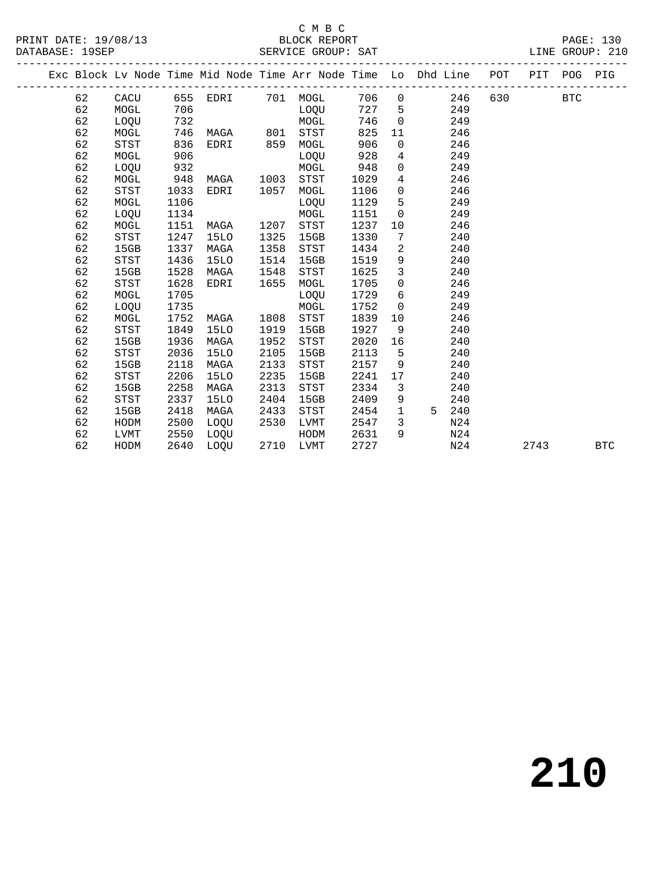# C M B C<br>PRINT DATE: 19/08/13 BLOCK REPORT

DATABASE: 19SEP SERVICE GROUP: SAT LINE GROUP: 210

|  |    |             |      |             |      | Exc Block Lv Node Time Mid Node Time Arr Node Time Lo Dhd Line POT |      |                 |                 |     | PIT POG |            | PIG        |
|--|----|-------------|------|-------------|------|--------------------------------------------------------------------|------|-----------------|-----------------|-----|---------|------------|------------|
|  | 62 | CACU        |      | 655 EDRI    |      | 701 MOGL                                                           | 706  | $\overline{0}$  | 246             | 630 |         | <b>BTC</b> |            |
|  | 62 | MOGL        | 706  |             |      | LOQU                                                               | 727  | $5^{\circ}$     | 249             |     |         |            |            |
|  | 62 | LOQU        | 732  |             |      | MOGL                                                               | 746  | $\overline{0}$  | 249             |     |         |            |            |
|  | 62 | MOGL        | 746  | MAGA        | 801  | STST                                                               | 825  | 11              | 246             |     |         |            |            |
|  | 62 | STST        | 836  | EDRI        | 859  | MOGL                                                               | 906  | $\overline{0}$  | 246             |     |         |            |            |
|  | 62 | MOGL        | 906  |             |      | LOQU                                                               | 928  | $4\overline{ }$ | 249             |     |         |            |            |
|  | 62 | LOQU        | 932  |             |      | MOGL                                                               | 948  | $\overline{0}$  | 249             |     |         |            |            |
|  | 62 | MOGL        | 948  | MAGA        | 1003 | STST                                                               | 1029 | $\overline{4}$  | 246             |     |         |            |            |
|  | 62 | STST        | 1033 | EDRI        | 1057 | MOGL                                                               | 1106 | $\overline{0}$  | 246             |     |         |            |            |
|  | 62 | MOGL        | 1106 |             |      | LOQU                                                               | 1129 | 5               | 249             |     |         |            |            |
|  | 62 | LOQU        | 1134 |             |      | MOGL                                                               | 1151 | $\overline{0}$  | 249             |     |         |            |            |
|  | 62 | MOGL        | 1151 | MAGA        | 1207 | STST                                                               | 1237 | 10              | 246             |     |         |            |            |
|  | 62 | STST        | 1247 | <b>15LO</b> | 1325 | 15GB                                                               | 1330 | 7               | 240             |     |         |            |            |
|  | 62 | 15GB        | 1337 | MAGA        | 1358 | STST                                                               | 1434 | 2               | 240             |     |         |            |            |
|  | 62 | STST        | 1436 | <b>15LO</b> | 1514 | 15GB                                                               | 1519 | 9               | 240             |     |         |            |            |
|  | 62 | 15GB        | 1528 | MAGA        | 1548 | <b>STST</b>                                                        | 1625 | $\mathbf{3}$    | 240             |     |         |            |            |
|  | 62 | STST        | 1628 | EDRI        | 1655 | MOGL                                                               | 1705 | $\overline{0}$  | 246             |     |         |            |            |
|  | 62 | MOGL        | 1705 |             |      | LOQU                                                               | 1729 | 6               | 249             |     |         |            |            |
|  | 62 | LOQU        | 1735 |             |      | MOGL                                                               | 1752 | $\mathbf 0$     | 249             |     |         |            |            |
|  | 62 | MOGL        | 1752 | MAGA        | 1808 | <b>STST</b>                                                        | 1839 | 10              | 246             |     |         |            |            |
|  | 62 | STST        | 1849 | 15LO        | 1919 | 15GB                                                               | 1927 | 9               | 240             |     |         |            |            |
|  | 62 | 15GB        | 1936 | MAGA        | 1952 | STST                                                               | 2020 | 16              | 240             |     |         |            |            |
|  | 62 | <b>STST</b> | 2036 | <b>15LO</b> | 2105 | 15GB                                                               | 2113 | 5               | 240             |     |         |            |            |
|  | 62 | 15GB        | 2118 | MAGA        | 2133 | <b>STST</b>                                                        | 2157 | 9               | 240             |     |         |            |            |
|  | 62 | <b>STST</b> | 2206 | <b>15LO</b> | 2235 | 15GB                                                               | 2241 | 17              | 240             |     |         |            |            |
|  | 62 | 15GB        | 2258 | MAGA        | 2313 | <b>STST</b>                                                        | 2334 | $\mathbf{3}$    | 240             |     |         |            |            |
|  | 62 | STST        | 2337 | <b>15LO</b> | 2404 | 15GB                                                               | 2409 | 9               | 240             |     |         |            |            |
|  | 62 | 15GB        | 2418 | MAGA        | 2433 | STST                                                               | 2454 | $\mathbf{1}$    | 240<br>5        |     |         |            |            |
|  | 62 | HODM        | 2500 | LOQU        | 2530 | LVMT                                                               | 2547 | 3               | N <sub>24</sub> |     |         |            |            |
|  | 62 | LVMT        | 2550 | LOQU        |      | HODM                                                               | 2631 | 9               | N24             |     |         |            |            |
|  | 62 | HODM        | 2640 | LOOU        |      | 2710 LVMT                                                          | 2727 |                 | N24             |     | 2743    |            | <b>BTC</b> |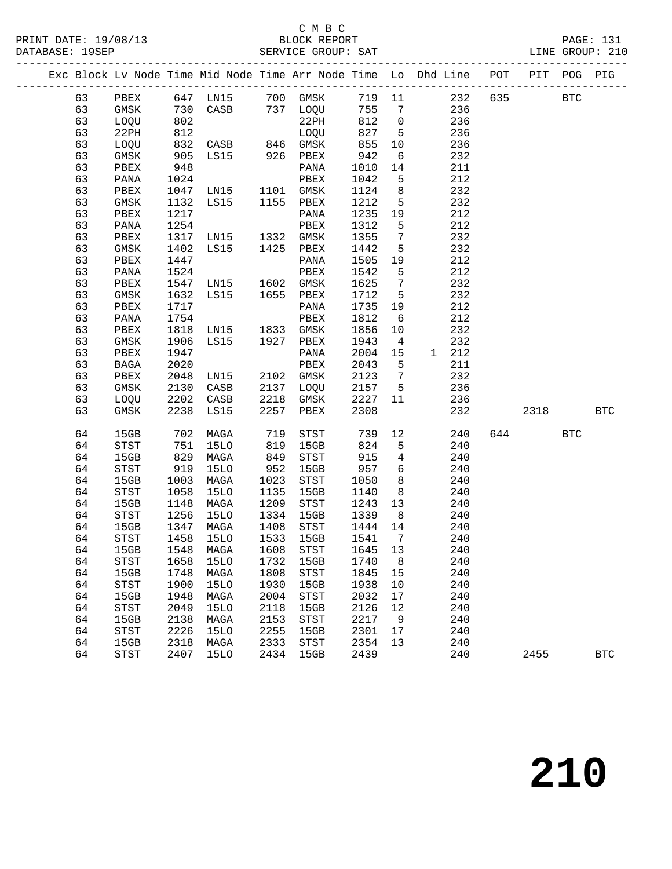#### C M B C<br>BLOCK REPORT

|  |          |                     |              |                                                    |              |                                         |                   |                 | Exc Block Lv Node Time Mid Node Time Arr Node Time Lo Dhd Line POT PIT POG PIG      |          |              |
|--|----------|---------------------|--------------|----------------------------------------------------|--------------|-----------------------------------------|-------------------|-----------------|-------------------------------------------------------------------------------------|----------|--------------|
|  |          |                     |              |                                                    |              |                                         |                   |                 | 63 PBEX 647 LN15 700 GMSK 719 11 232 635 BTC<br>63 GMSK 730 CASB 737 LOQU 755 7 236 |          |              |
|  |          |                     |              |                                                    |              |                                         |                   |                 |                                                                                     |          |              |
|  | 63       | LOQU                | 802          |                                                    |              | 22PH 812 0                              |                   |                 | 236                                                                                 |          |              |
|  | 63       | 22PH                |              |                                                    |              |                                         |                   |                 | 236                                                                                 |          |              |
|  | 63       | LOQU                |              |                                                    |              |                                         |                   |                 | 236                                                                                 |          |              |
|  | 63       | GMSK                |              |                                                    |              | LOQU 827 5<br>GMSK 855 10<br>PBEX 942 6 |                   |                 | 232                                                                                 |          |              |
|  | 63       | PBEX                | 948          |                                                    |              | PANA                                    | 1010              | 14              | 211                                                                                 |          |              |
|  | 63       | PANA                |              |                                                    |              |                                         | 1042              | $5^{\circ}$     | 212                                                                                 |          |              |
|  | 63       | PBEX                |              |                                                    |              |                                         | 1124 8            |                 | 232                                                                                 |          |              |
|  | 63       | GMSK                |              | 1024<br>1047 LN15 1101 GMSK<br>1132 LS15 1155 PBEX |              |                                         | 1212 5            |                 | 232                                                                                 |          |              |
|  | 63       | PBEX                | 1217         |                                                    |              | PANA                                    | 1235 19           |                 | 212                                                                                 |          |              |
|  | 63       | PANA                | 1254         |                                                    |              | PBEX                                    | 1312              | $5^{\circ}$     | 212                                                                                 |          |              |
|  | 63       | PBEX                |              | 1317 LN15 1332 GMSK<br>1402 LS15 1425 PBEX         |              |                                         | 1355 7            |                 | 232                                                                                 |          |              |
|  | 63       | GMSK                |              |                                                    |              |                                         | 1442              | $5^{\circ}$     | 232                                                                                 |          |              |
|  | 63       | PBEX                | 1447         |                                                    |              | PANA                                    | 1505 19           |                 | 212                                                                                 |          |              |
|  | 63       | PANA                | 1524         |                                                    |              | PBEX                                    | 1542              | $5^{\circ}$     | 212                                                                                 |          |              |
|  | 63       | PBEX                |              |                                                    |              |                                         | 1625 7            |                 | 232                                                                                 |          |              |
|  | 63       | GMSK                |              | 1547 LN15 1602 GMSK<br>1632 LS15 1655 PBEX         |              |                                         | 1712 5            |                 | 232                                                                                 |          |              |
|  | 63       | PBEX                | 1717         |                                                    |              | PANA                                    | 1735 19           |                 | 212                                                                                 |          |              |
|  | 63       | PANA                | 1754         |                                                    |              | PBEX                                    | 1812              | 6               | 212                                                                                 |          |              |
|  | 63       | PBEX                |              | 1818 LN15 1833 GMSK<br>1906 LS15 1927 PBEX         |              |                                         | 1856              | 10              | 232                                                                                 |          |              |
|  | 63       | GMSK                |              |                                                    |              |                                         | 1943              | $\overline{4}$  | 232                                                                                 |          |              |
|  | 63       | PBEX                | 1947         |                                                    |              | PANA                                    | 2004 15           |                 | 1 212                                                                               |          |              |
|  | 63       | BAGA                | 2020         |                                                    |              | PBEX                                    | 2043 5            |                 | 211                                                                                 |          |              |
|  | 63       | PBEX                |              | 2048 LN15<br>2130 CASB<br>LN15<br>CASB<br>CASB     |              | 2102 GMSK                               | 2123 7            |                 | 232                                                                                 |          |              |
|  | 63       | GMSK                |              |                                                    |              | 2137 LOQU 2157 5                        |                   |                 | 236                                                                                 |          |              |
|  | 63       | LOQU 2202 CASB      |              |                                                    |              | 2218 GMSK 2227 11                       |                   |                 | 236                                                                                 |          |              |
|  | 63       | GMSK                |              | 2238 LS15                                          |              | 2257 PBEX                               | 2308              |                 | 232                                                                                 | 2318 BTC |              |
|  | 64       | 15GB                |              | 702 MAGA                                           | 719<br>819   | STST 739 12<br>15GB 824 5               |                   |                 | 240                                                                                 | 644 BTC  |              |
|  | 64       | STST                | 751          | <b>15LO</b>                                        |              | 15GB                                    | 824               | 5 <sub>5</sub>  | 240                                                                                 |          |              |
|  | 64       | 15GB                | 829          | MAGA                                               |              | 849 STST                                | 915               | $4\overline{4}$ | 240                                                                                 |          |              |
|  | 64       | STST                | 919          | 15LO                                               | 952          | 15GB                                    | 957 6             |                 | 240                                                                                 |          |              |
|  | 64       | 15GB                | 1003         | MAGA                                               | 1023         | STST                                    | 1050              | 8 <sup>8</sup>  | 240                                                                                 |          |              |
|  | 64       | STST                | 1058         | 15LO                                               | 1135         | 15GB                                    | 1140              | 8 <sup>8</sup>  | 240                                                                                 |          |              |
|  | 64       | 15GB                | 1148         | MAGA                                               | 1209         | STST                                    | 1243 13           |                 | 240                                                                                 |          |              |
|  | 64       | STST                | 1256         | 15LO                                               | 1334         | 15GB                                    | 1339              | 8 <sup>8</sup>  | 240                                                                                 |          |              |
|  | 64       | 15GB                | 1458         | 1347 MAGA                                          | 1408         | STST<br>15GB                            | 1444 14<br>1541 7 |                 | 240                                                                                 |          |              |
|  | 64       | STST                |              | 15LO                                               | 1533         |                                         |                   |                 | 240                                                                                 |          |              |
|  |          |                     |              |                                                    |              | 64 15GB 1548 MAGA 1608 STST 1645 13     |                   |                 | 240                                                                                 |          |              |
|  | 64       | STST                | 1658         | 15LO                                               | 1732         | 15GB                                    | 1740              | 8               | 240                                                                                 |          |              |
|  | 64<br>64 | 15GB<br><b>STST</b> | 1748<br>1900 | MAGA<br>15LO                                       | 1808<br>1930 | STST<br>15GB                            | 1845<br>1938      | 15<br>10        | 240<br>240                                                                          |          |              |
|  | 64       | 15GB                | 1948         | MAGA                                               | 2004         | STST                                    | 2032              | 17              | 240                                                                                 |          |              |
|  | 64       | <b>STST</b>         | 2049         | <b>15LO</b>                                        | 2118         | 15GB                                    | 2126              | 12              | 240                                                                                 |          |              |
|  | 64       | 15GB                | 2138         | MAGA                                               | 2153         | STST                                    | 2217              | 9               | 240                                                                                 |          |              |
|  | 64       | <b>STST</b>         | 2226         | 15LO                                               | 2255         | 15GB                                    | 2301              | 17              | 240                                                                                 |          |              |
|  | 64       | 15GB                | 2318         | MAGA                                               | 2333         | STST                                    | 2354              | 13              | 240                                                                                 |          |              |
|  | 64       | STST                | 2407         | 15LO                                               |              | 2434 15GB                               | 2439              |                 | 240                                                                                 | 2455     | $_{\rm BTC}$ |
|  |          |                     |              |                                                    |              |                                         |                   |                 |                                                                                     |          |              |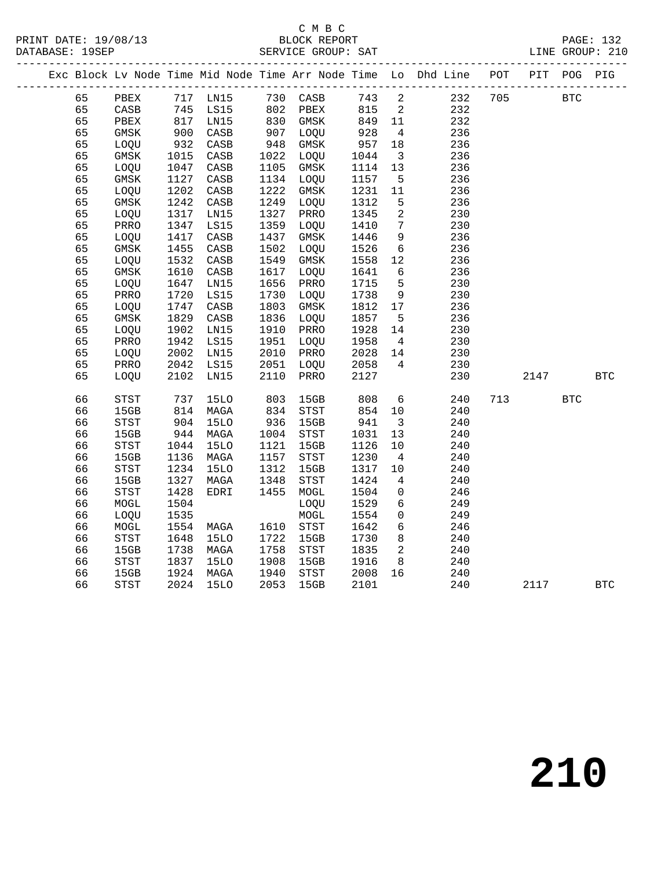# C M B C<br>BLOCK REPORT

|  |    |                                |              |                      |                 |             |         |                         | Exc Block Lv Node Time Mid Node Time Arr Node Time Lo Dhd Line POT PIT POG PIG |         |            |              |
|--|----|--------------------------------|--------------|----------------------|-----------------|-------------|---------|-------------------------|--------------------------------------------------------------------------------|---------|------------|--------------|
|  | 65 |                                |              |                      |                 |             |         |                         | PBEX 717 LN15 730 CASB 743 2 232                                               | 705 BTC |            |              |
|  | 65 | CASB 745 LS15<br>PBEX 817 LN15 |              |                      |                 |             |         |                         | 232                                                                            |         |            |              |
|  | 65 |                                |              |                      |                 |             |         |                         | 232                                                                            |         |            |              |
|  | 65 | GMSK                           | 900          | CASB                 | 907             | LOQU        | 928     | $\overline{4}$          | 236                                                                            |         |            |              |
|  | 65 | LOQU                           | 932<br>1015  | CASB                 | 948<br>1022     | GMSK        | 957     | 18                      | 236                                                                            |         |            |              |
|  | 65 | GMSK                           |              | CASB                 |                 | 1022 LOQU   | 1044    | $\overline{\mathbf{3}}$ | 236                                                                            |         |            |              |
|  | 65 | LOQU                           | 1047         | CASB                 | 1105            | GMSK        | 1114    | 13                      | 236                                                                            |         |            |              |
|  | 65 | GMSK                           | 1127         | CASB                 | 1134            | LOQU        | 1157    | $5^{\circ}$             | 236                                                                            |         |            |              |
|  | 65 | LOQU                           | 1202         | CASB                 | 1222            | GMSK        | 1231    | 11                      | 236                                                                            |         |            |              |
|  | 65 | GMSK                           | 1242         | CASB                 | 1249            | LOQU        | 1312    | $5^{\circ}$             | 236                                                                            |         |            |              |
|  | 65 | LOQU                           | 1317         | LN15                 | 1327            | PRRO        | 1345    | $\overline{a}$          | 230                                                                            |         |            |              |
|  | 65 | PRRO                           | 1347         | LS15                 | 1359            | LOQU        | 1410    | $7\overline{ }$         | 230                                                                            |         |            |              |
|  | 65 | LOQU                           | 1417         | $\mathtt{CASB}$      | 1437            | GMSK        | 1446    | 9                       | 236                                                                            |         |            |              |
|  | 65 | GMSK                           | 1455         | $\mathtt{CASB}$      | 1502            | LOQU        | 1526    | $6\overline{6}$         | 236                                                                            |         |            |              |
|  | 65 | LOQU                           | 1532         | $\mathtt{CASB}$      | 1549            | GMSK        | 1558    | 12                      | 236                                                                            |         |            |              |
|  | 65 | GMSK                           | 1610         | CASB                 | 1617            | LOQU        | 1641    | 6                       | 236                                                                            |         |            |              |
|  | 65 | LOQU                           | 1647         | LN15                 | 1656            | PRRO        | 1715    | $5^{\circ}$             | 230                                                                            |         |            |              |
|  | 65 | PRRO                           | 1720         | LS15                 | 1730            | LOQU        | 1738    | 9                       | 230                                                                            |         |            |              |
|  | 65 | LOQU                           | 1747         | $\mathtt{CASB}$      | 1803            | GMSK        | 1812    | 17                      | 236                                                                            |         |            |              |
|  | 65 | GMSK                           | 1829         | CASB                 | 1836            | LOQU        | 1857    | $5^{\circ}$             | 236                                                                            |         |            |              |
|  | 65 | LOQU                           | 1902         | LN15                 | 1910            | PRRO        | 1928    | 14                      | 230                                                                            |         |            |              |
|  | 65 | PRRO                           | 1942         | LS15                 | 1951            | LOQU        | 1958    | $\overline{4}$          | 230                                                                            |         |            |              |
|  | 65 | LOQU                           | 2002         | LN15                 | 2010            | PRRO        | 2028 14 |                         | 230                                                                            |         |            |              |
|  | 65 | PRRO                           | 2042<br>2102 | LS15                 | 2051            | LOQU        | 2058    | $\overline{4}$          | 230                                                                            |         |            |              |
|  | 65 | LOQU                           |              | LN15                 | 2110            | PRRO        | 2127    |                         | 230                                                                            | 2147    |            | $_{\rm BTC}$ |
|  | 66 | STST                           |              | 737 15LO<br>814 MAGA | 803<br>834      | 15GB        | 808     | $6\overline{6}$         | 240                                                                            | 713     | <b>BTC</b> |              |
|  | 66 | 15GB                           |              |                      |                 | STST        | 854     | 10                      | 240                                                                            |         |            |              |
|  | 66 | STST                           | 904<br>944   | <b>15LO</b>          | $936$<br>$1004$ | 15GB        | 941     | $\overline{\mathbf{3}}$ | 240                                                                            |         |            |              |
|  | 66 | 15GB                           |              | MAGA                 | 1004            | <b>STST</b> | 1031    | 13                      | 240                                                                            |         |            |              |
|  | 66 | STST                           | 1044         | <b>15LO</b>          | 1121            | 15GB        | 1126    | 10                      | 240                                                                            |         |            |              |
|  | 66 | 15GB                           | 1136         | MAGA                 | 1157            | STST        | 1230    | $\overline{4}$          | 240                                                                            |         |            |              |
|  | 66 | STST                           | 1234         | <b>15LO</b>          | 1312            | 15GB        | 1317    | 10                      | 240                                                                            |         |            |              |
|  | 66 | 15GB                           | 1327         | MAGA                 | 1348            | STST        | 1424    | $\overline{4}$          | 240                                                                            |         |            |              |
|  | 66 | <b>STST</b>                    | 1428         | EDRI                 | 1455            | MOGL        | 1504    | $\overline{0}$          | 246                                                                            |         |            |              |
|  | 66 | MOGL                           | 1504         |                      |                 | LOQU        | 1529    | $6\overline{6}$         | 249                                                                            |         |            |              |
|  | 66 | LOQU                           | 1535         |                      |                 | $\tt MOGL$  | 1554    | $\overline{0}$          | 249                                                                            |         |            |              |
|  | 66 | MOGL                           | 1554         | MAGA                 |                 | 1610 STST   | 1642    | $6\overline{6}$         | 246                                                                            |         |            |              |
|  | 66 | STST                           | 1648         | 15LO                 | 1722            | 15GB        | 1730    | 8 <sup>8</sup>          | 240                                                                            |         |            |              |
|  | 66 | 15GB                           | 1738         | MAGA                 | 1758            | STST        | 1835    | $\overline{2}$          | 240                                                                            |         |            |              |
|  | 66 | STST                           | 1837         | <b>15LO</b>          | 1908            | 15GB        | 1916    | 8 <sup>8</sup>          | 240                                                                            |         |            |              |
|  | 66 | 15GB                           | 1924         | MAGA                 | 1940            | STST        | 2008    | 16                      | 240                                                                            |         |            |              |
|  | 66 | <b>STST</b>                    | 2024         | <b>15LO</b>          | 2053            | 15GB        | 2101    |                         | 240                                                                            | 2117    |            | <b>BTC</b>   |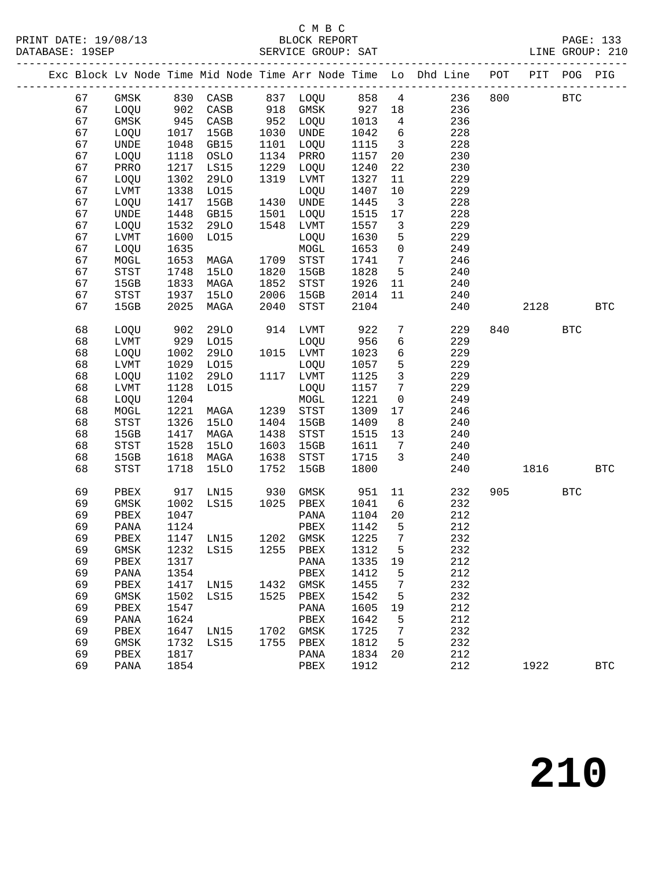# C M B C<br>BLOCK REPORT

|  |          |                            |              |             |      |                               |              |                         | Exc Block Lv Node Time Mid Node Time Arr Node Time Lo Dhd Line POT PIT POG PIG |     |            |              |
|--|----------|----------------------------|--------------|-------------|------|-------------------------------|--------------|-------------------------|--------------------------------------------------------------------------------|-----|------------|--------------|
|  | 67       |                            |              |             |      |                               |              |                         | GMSK 830 CASB 837 LOQU 858 4 236                                               | 800 | <b>BTC</b> |              |
|  | 67       | $\frac{1000}{902}$         |              | CASB        |      | 918 GMSK 927 18               |              |                         | 236                                                                            |     |            |              |
|  | 67       | GMSK                       | 945          | CASB        |      | 952 LOQU                      | 1013         | $\overline{4}$          | 236                                                                            |     |            |              |
|  | 67       | LOQU                       | 1017         | 15GB        | 1030 | UNDE                          | 1042         | 6                       | 228                                                                            |     |            |              |
|  | 67       | UNDE                       | 1048         | GB15        |      | 1101 LOQU                     | 1115         | $\overline{\mathbf{3}}$ | 228                                                                            |     |            |              |
|  | 67       | LOQU                       | 1118         | OSLO        | 1134 | PRRO                          | 1157         | 20                      | 230                                                                            |     |            |              |
|  | 67       | PRRO                       | 1217         | LS15        |      | 1229 LOQU                     | 1240         | 22                      | 230                                                                            |     |            |              |
|  | 67       | LOQU                       | 1302         | <b>29LO</b> | 1319 | LVMT                          | 1327         | 11                      | 229                                                                            |     |            |              |
|  | 67       | LVMT                       | 1338         | L015        |      | LOQU                          | 1407         | 10                      | 229                                                                            |     |            |              |
|  | 67       | LOQU                       | 1417         | 15GB        |      | 1430 UNDE                     | 1445         | $\overline{\mathbf{3}}$ | 228                                                                            |     |            |              |
|  | 67       | UNDE                       | 1448         | GB15        | 1501 | LOQU                          | 1515         | 17                      | 228                                                                            |     |            |              |
|  | 67       | LOQU                       | 1532         | 29LO        | 1548 | LVMT                          | 1557         | $\overline{\mathbf{3}}$ | 229                                                                            |     |            |              |
|  | 67       | LVMT                       | 1600         | L015        |      | LOQU                          | 1630         | $5\overline{)}$         | 229                                                                            |     |            |              |
|  | 67       | LOQU                       | 1635         |             |      | MOGL                          | 1653         | $\overline{0}$          | 249                                                                            |     |            |              |
|  | 67       | MOGL                       | 1653         | MAGA        | 1709 | STST                          | 1741         | $\overline{7}$          | 246                                                                            |     |            |              |
|  | 67       | STST                       | 1748         | 15LO        | 1820 | 15GB                          | 1828         | $5^{\circ}$             | 240                                                                            |     |            |              |
|  | 67       | 15GB                       | 1833         | MAGA        | 1852 | STST                          | 1926         | 11                      | 240                                                                            |     |            |              |
|  | 67       | $_{\footnotesize\rm STST}$ | 1937         | <b>15LO</b> | 2006 | 15GB                          | 2014         | 11                      | 240                                                                            |     |            |              |
|  | 67       | 15GB                       | 2025         | MAGA        | 2040 | STST                          | 2104         |                         | 240                                                                            |     | 2128 BTC   |              |
|  | 68       | LOQU                       | 902          | 29LO        |      | 914 LVMT                      | 922          | $7\overline{ }$         | 229                                                                            |     | 840 BTC    |              |
|  | 68       | ${\rm LVMT}$               | 929          | L015        |      | LOQU                          | 956          | $6\overline{6}$         | 229                                                                            |     |            |              |
|  | 68       | LOQU                       | 1002         | 29LO        |      | 1015 LVMT                     | 1023         | $6\overline{6}$         | 229                                                                            |     |            |              |
|  | 68       | ${\rm LVMT}$               | 1029         | L015        |      | LOQU                          | 1057         | 5                       | 229                                                                            |     |            |              |
|  | 68       | LOQU                       | 1102         | 29LO        |      | 1117 LVMT                     | 1125         | $\overline{\mathbf{3}}$ | 229                                                                            |     |            |              |
|  | 68       | $_{\rm LVMT}$              | 1128         | L015        |      | LOQU                          | 1157 7       |                         | 229                                                                            |     |            |              |
|  | 68       | LOQU                       | 1204         |             |      | MOGL                          | 1221         | $\overline{\mathbf{0}}$ | 249                                                                            |     |            |              |
|  | 68       | MOGL                       | 1221         | MAGA        |      | 1239 STST                     | 1309         | 17                      | 246                                                                            |     |            |              |
|  | 68       | $_{\footnotesize\rm STST}$ | 1326         | 15LO        | 1404 | 15GB                          | 1409         | 8                       | 240                                                                            |     |            |              |
|  | 68       | 15GB                       | 1417         | MAGA        | 1438 | STST                          | 1515         | 13                      | 240                                                                            |     |            |              |
|  | 68       | STST                       | 1528         | <b>15LO</b> | 1603 | 15GB                          | 1611         | $7\overline{ }$         | 240                                                                            |     |            |              |
|  | 68       | 15GB                       | 1618         | MAGA        | 1638 | STST                          | 1715         | $\overline{\mathbf{3}}$ | 240                                                                            |     |            |              |
|  | 68       | STST                       | 1718         | 15LO        | 1752 | 15GB                          | 1800         |                         | 240                                                                            |     | 1816       | <b>BTC</b>   |
|  | 69       | PBEX                       | 917          | LN15        | 930  | GMSK                          | 951          | 11                      | 232                                                                            | 905 | <b>BTC</b> |              |
|  | 69       | GMSK                       | 1002         | LS15        |      | 1025 PBEX                     | 1041         | $6\overline{6}$         | 232                                                                            |     |            |              |
|  | 69       | PBEX                       | 1047         |             |      | PANA                          | 1104         | 20                      | 212                                                                            |     |            |              |
|  | 69       | PANA                       | 1124         |             |      | PBEX                          | 1142         | $5^{\circ}$             | 212                                                                            |     |            |              |
|  | 69       | PBEX                       | 1147         | LN15        |      | 1202 GMSK                     | 1225         | $\overline{7}$          | 232                                                                            |     |            |              |
|  | 69       |                            |              |             |      | GMSK 1232 LS15 1255 PBEX 1312 |              | 5 <sup>1</sup>          | 232                                                                            |     |            |              |
|  | 69       | PBEX                       | 1317         |             |      | PANA                          | 1335         | 19                      | 212                                                                            |     |            |              |
|  | 69       | PANA                       | 1354         |             |      | PBEX                          | 1412         | 5                       | 212                                                                            |     |            |              |
|  | 69       | PBEX                       | 1417         | LN15        |      | 1432 GMSK                     | 1455         | 7                       | 232                                                                            |     |            |              |
|  | 69       | GMSK                       | 1502         | LS15        |      | 1525 PBEX                     | 1542         | 5                       | 232                                                                            |     |            |              |
|  | 69       | PBEX                       | 1547         |             |      | PANA                          | 1605         | 19                      | 212                                                                            |     |            |              |
|  | 69       | PANA                       | 1624         |             |      | PBEX                          | 1642         | 5                       | 212                                                                            |     |            |              |
|  | 69<br>69 | PBEX                       | 1647<br>1732 | LN15        |      | 1702 GMSK<br>1755 PBEX        | 1725<br>1812 | 7<br>5                  | 232<br>232                                                                     |     |            |              |
|  | 69       | GMSK<br>PBEX               | 1817         | LS15        |      | PANA                          | 1834 20      |                         | 212                                                                            |     |            |              |
|  | 69       | PANA                       | 1854         |             |      | PBEX                          | 1912         |                         | 212                                                                            |     | 1922       | $_{\rm BTC}$ |
|  |          |                            |              |             |      |                               |              |                         |                                                                                |     |            |              |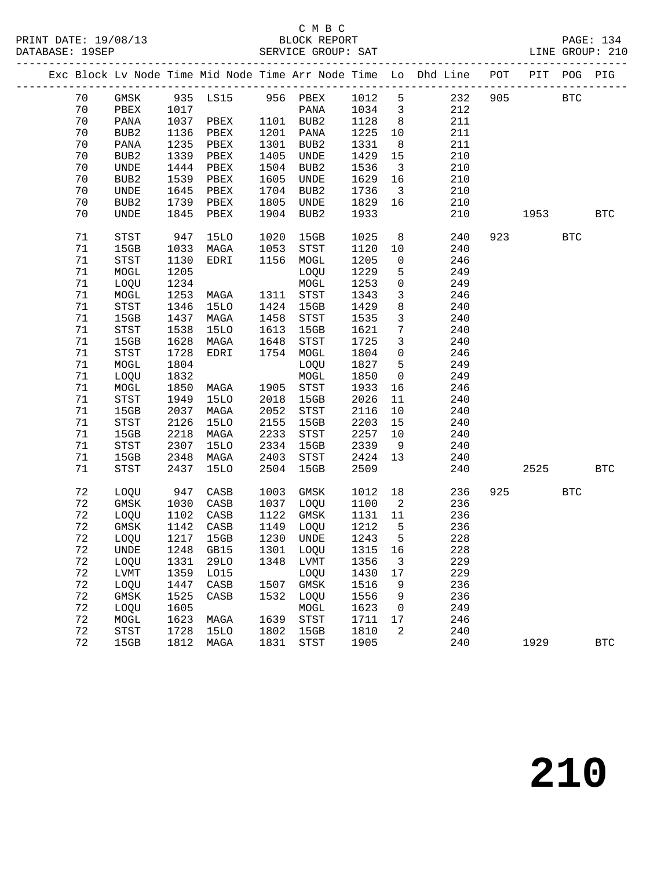#### C M B C<br>BLOCK REPORT

|  |        |                            |      |             |      |                                  |         |                          | Exc Block Lv Node Time Mid Node Time Arr Node Time Lo Dhd Line POT PIT POG PIG |     |             |            |              |
|--|--------|----------------------------|------|-------------|------|----------------------------------|---------|--------------------------|--------------------------------------------------------------------------------|-----|-------------|------------|--------------|
|  | 70     |                            |      |             |      | GMSK 935 LS15 956 PBEX 1012 5    |         |                          | 232                                                                            | 905 | <b>BTC</b>  |            |              |
|  | 70     | PBEX 1017                  |      |             |      | PANA                             | 1034 3  |                          | 212                                                                            |     |             |            |              |
|  | 70     | PANA                       |      | 1037 PBEX   |      | 1101 BUB2                        | 1128    | 8 <sup>8</sup>           | 211                                                                            |     |             |            |              |
|  | 70     | BUB2                       | 1136 | PBEX        | 1201 | PANA                             | 1225    | 10                       | 211                                                                            |     |             |            |              |
|  | 70     | PANA                       | 1235 | PBEX        | 1301 | BUB2                             | 1331    | 8 <sup>8</sup>           | 211                                                                            |     |             |            |              |
|  | 70     | BUB2                       | 1339 | PBEX        | 1405 | UNDE                             | 1429    | 15                       | 210                                                                            |     |             |            |              |
|  | 70     | UNDE                       | 1444 | PBEX        | 1504 | BUB2                             | 1536    | $\overline{\mathbf{3}}$  | 210                                                                            |     |             |            |              |
|  | 70     | BUB2                       | 1539 | PBEX        | 1605 | UNDE                             | 1629    | 16                       | 210                                                                            |     |             |            |              |
|  | 70     | UNDE                       | 1645 | PBEX        | 1704 | BUB2                             | 1736    | $\overline{\mathbf{3}}$  | 210                                                                            |     |             |            |              |
|  | 70     | BUB2                       | 1739 | PBEX        | 1805 | UNDE                             | 1829    | 16                       | 210                                                                            |     |             |            |              |
|  | 70     | UNDE                       | 1845 | PBEX        |      | 1904 BUB2                        | 1933    |                          | 210                                                                            |     | 1953   1953 |            | BTC          |
|  |        |                            |      |             |      |                                  |         |                          |                                                                                |     |             |            |              |
|  | 71     | STST                       | 947  | 15LO        | 1020 | 15GB                             | 1025    | 8 <sup>8</sup>           | 240                                                                            |     | 923 BTC     |            |              |
|  | 71     | 15GB                       | 1033 | MAGA        | 1053 | $_{\footnotesize\rm STST}$       | 1120    | 10                       | 240                                                                            |     |             |            |              |
|  | $71\,$ | STST                       | 1130 | EDRI        | 1156 | MOGL                             | 1205    | $\overline{0}$           | 246                                                                            |     |             |            |              |
|  | $71\,$ | MOGL                       | 1205 |             |      | LOQU                             | 1229    | 5                        | 249                                                                            |     |             |            |              |
|  | $71\,$ | LOQU                       | 1234 |             |      | MOGL                             | 1253    | $\overline{0}$           | 249                                                                            |     |             |            |              |
|  | 71     | MOGL                       | 1253 | MAGA        |      | 1311 STST                        | 1343    | $\mathbf{3}$             | 246                                                                            |     |             |            |              |
|  | 71     | STST                       | 1346 | 15LO        | 1424 | 15GB                             | 1429    | 8                        | 240                                                                            |     |             |            |              |
|  | $71\,$ | 15GB                       | 1437 | MAGA        | 1458 | STST                             | 1535    | $\mathbf{3}$             | 240                                                                            |     |             |            |              |
|  | 71     | $_{\footnotesize\rm STST}$ | 1538 | <b>15LO</b> | 1613 | 15GB                             | 1621    | $7\phantom{.0}$          | 240                                                                            |     |             |            |              |
|  | 71     | 15GB                       | 1628 | MAGA        | 1648 | STST                             | 1725    | $\mathbf{3}$             | 240                                                                            |     |             |            |              |
|  | 71     | STST                       | 1728 | EDRI        |      | 1754 MOGL                        | 1804    | $\mathsf{O}$             | 246                                                                            |     |             |            |              |
|  | 71     | MOGL                       | 1804 |             |      | LOQU                             | 1827    | 5                        | 249                                                                            |     |             |            |              |
|  | $71\,$ | LOQU                       | 1832 |             |      | MOGL                             | 1850    | $\overline{0}$           | 249                                                                            |     |             |            |              |
|  | 71     | MOGL                       | 1850 | MAGA        |      | 1905 STST                        | 1933    | 16                       | 246                                                                            |     |             |            |              |
|  | 71     | STST                       | 1949 | 15LO        | 2018 | 15GB                             | 2026    | 11                       | 240                                                                            |     |             |            |              |
|  | 71     | 15GB                       | 2037 | MAGA        | 2052 | STST                             | 2116    | 10                       | 240                                                                            |     |             |            |              |
|  | 71     | $_{\footnotesize\rm STST}$ | 2126 | <b>15LO</b> | 2155 | 15GB                             | 2203    | 15                       | 240                                                                            |     |             |            |              |
|  | 71     | 15GB                       | 2218 | MAGA        | 2233 | STST                             | 2257    | 10                       | 240                                                                            |     |             |            |              |
|  | $71\,$ | STST                       | 2307 | <b>15LO</b> | 2334 | 15GB                             | 2339    | 9                        | 240                                                                            |     |             |            |              |
|  | 71     | 15GB                       | 2348 | MAGA        | 2403 | STST                             | 2424 13 |                          | 240                                                                            |     |             |            |              |
|  | 71     | STST                       | 2437 | 15LO        | 2504 | 15GB                             | 2509    |                          | 240                                                                            |     | 2525 31     |            | <b>BTC</b>   |
|  | 72     | LOQU 947                   |      | CASB        | 1003 | GMSK                             | 1012    | 18                       | 236                                                                            | 925 |             | <b>BTC</b> |              |
|  | 72     | GMSK                       | 1030 | CASB        |      | 1037 LOQU                        | 1100    | $\overline{\phantom{a}}$ | 236                                                                            |     |             |            |              |
|  | 72     | LOQU                       | 1102 | CASB        | 1122 | GMSK                             | 1131    | 11                       | 236                                                                            |     |             |            |              |
|  | 72     | GMSK                       | 1142 | CASB        | 1149 | LOQU                             | 1212    | $5^{\circ}$              | 236                                                                            |     |             |            |              |
|  | 72     | LOQU                       | 1217 | 15GB        | 1230 | UNDE                             | 1243    | $5^{\circ}$              | 228                                                                            |     |             |            |              |
|  | 72     |                            |      |             |      | UNDE 1248 GB15 1301 LOQU 1315 16 |         |                          | 228                                                                            |     |             |            |              |
|  | 72     | LOQU                       | 1331 | 29LO        |      | 1348 LVMT                        | 1356    | 3                        | 229                                                                            |     |             |            |              |
|  | 72     | LVMT                       | 1359 | L015        |      | LOQU                             | 1430    | 17                       | 229                                                                            |     |             |            |              |
|  | 72     | LOQU                       | 1447 | CASB        |      | 1507 GMSK                        | 1516    | 9                        | 236                                                                            |     |             |            |              |
|  | 72     | GMSK                       | 1525 | CASB        | 1532 | LOQU                             | 1556    | 9                        | 236                                                                            |     |             |            |              |
|  | 72     | LOQU                       | 1605 |             |      | MOGL                             | 1623    | 0                        | 249                                                                            |     |             |            |              |
|  | 72     | MOGL                       | 1623 | MAGA        | 1639 | STST                             | 1711    | 17                       | 246                                                                            |     |             |            |              |
|  | 72     | STST                       | 1728 | 15LO        | 1802 | 15GB                             | 1810    | 2                        | 240                                                                            |     |             |            |              |
|  | 72     | 15GB                       | 1812 | MAGA        | 1831 | STST                             | 1905    |                          | 240                                                                            |     | 1929        |            | $_{\rm BTC}$ |
|  |        |                            |      |             |      |                                  |         |                          |                                                                                |     |             |            |              |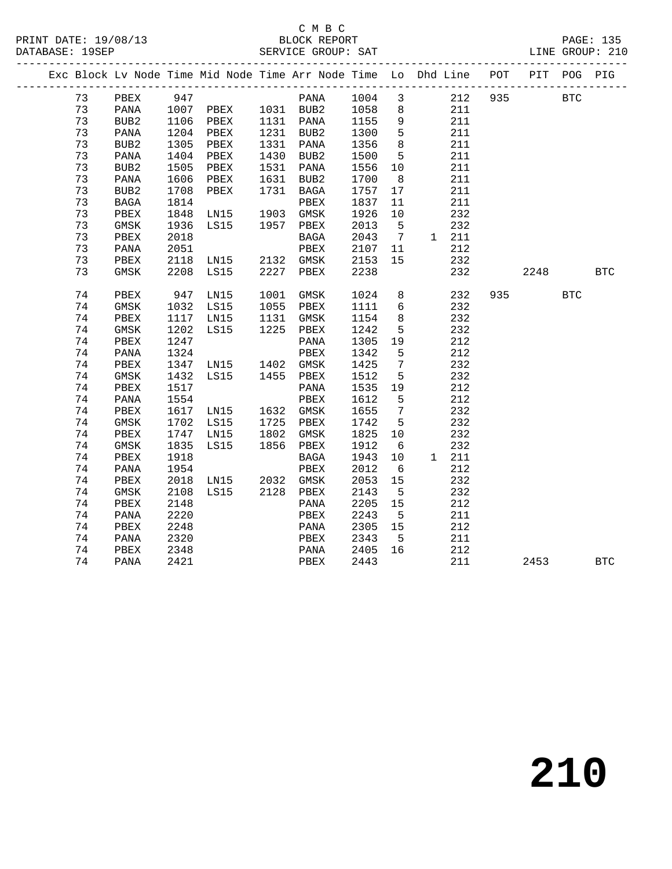## C M B C

|  | DATABASE: 19SEP |                |      |                        |      |           |         |                              |                                                                                |     |      |            | LINE GROUP: 210 |
|--|-----------------|----------------|------|------------------------|------|-----------|---------|------------------------------|--------------------------------------------------------------------------------|-----|------|------------|-----------------|
|  |                 |                |      |                        |      |           |         |                              | Exc Block Lv Node Time Mid Node Time Arr Node Time Lo Dhd Line POT PIT POG PIG |     |      |            |                 |
|  | 73              | PBEX           | 947  |                        |      | PANA      | 1004    | 3                            | 212                                                                            | 935 |      | BTC        |                 |
|  | 73              | PANA           |      | 1007 PBEX<br>1106 PBEX |      | 1031 BUB2 | 1058 8  |                              | 211                                                                            |     |      |            |                 |
|  | 73              | BUB2 1106 PBEX |      |                        |      | 1131 PANA | 1155 9  |                              | 211                                                                            |     |      |            |                 |
|  | 73              | PANA           |      | 1204 PBEX              |      | 1231 BUB2 | 1300    | $5^{\circ}$                  | 211                                                                            |     |      |            |                 |
|  | 73              | BUB2           |      | 1305 PBEX              |      | 1331 PANA | 1356    | 8 <sup>8</sup>               | 211                                                                            |     |      |            |                 |
|  | 73              | PANA           |      | 1404 PBEX              |      | 1430 BUB2 | 1500    | $5^{\circ}$                  | 211                                                                            |     |      |            |                 |
|  | 73              | BUB2           | 1505 | PBEX                   | 1531 | PANA      | 1556    | 10                           | 211                                                                            |     |      |            |                 |
|  | 73              | PANA           | 1606 | PBEX                   |      | 1631 BUB2 | 1700    | 8                            | 211                                                                            |     |      |            |                 |
|  | 73              | BUB2           | 1708 | PBEX                   |      | 1731 BAGA | 1757    | 17                           | 211                                                                            |     |      |            |                 |
|  | 73              | BAGA           | 1814 |                        |      | PBEX      | 1837    | 11                           | 211                                                                            |     |      |            |                 |
|  | 73              | PBEX           | 1848 | LNI5                   |      | 1903 GMSK | 1926    | 10                           | 232                                                                            |     |      |            |                 |
|  | 73              | GMSK           | 1936 | LS15                   |      | 1957 PBEX | 2013    | $5^{\circ}$                  | 232                                                                            |     |      |            |                 |
|  | 73              | PBEX           | 2018 |                        |      | BAGA      | 2043    | $7\phantom{.0}\phantom{.0}7$ | 1 211                                                                          |     |      |            |                 |
|  | 73              | PANA           | 2051 |                        |      | PBEX      | 2107    | 11                           | 212                                                                            |     |      |            |                 |
|  | 73              | PBEX           |      | 2118 LN15              |      | 2132 GMSK | 2153    | 15                           | 232                                                                            |     |      |            |                 |
|  | 73              | GMSK           | 2208 | LS15                   | 2227 | PBEX      | 2238    |                              | 232                                                                            |     | 2248 |            | $_{\rm BTC}$    |
|  | 74              | PBEX           | 947  | LN15                   | 1001 | GMSK      | 1024    | 8                            | 232                                                                            | 935 |      | <b>BTC</b> |                 |
|  | 74              | GMSK           |      | 1032 LS15              | 1055 | PBEX      | 1111    | $6\overline{6}$              | 232                                                                            |     |      |            |                 |
|  | 74              | PBEX           |      | 1117 LN15              |      | 1131 GMSK | 1154    | 8 <sup>8</sup>               | 232                                                                            |     |      |            |                 |
|  | 74              | GMSK           | 1202 | LS15                   | 1225 | PBEX      | 1242    | 5                            | 232                                                                            |     |      |            |                 |
|  | 74              | PBEX           | 1247 |                        |      | PANA      | 1305 19 |                              | 212                                                                            |     |      |            |                 |
|  | 74              | PANA           | 1324 |                        |      | PBEX      | 1342    | $5^{\circ}$                  | 212                                                                            |     |      |            |                 |
|  | 74              | PBEX           | 1347 | LN15<br>LS15           | 1402 | GMSK      | 1425    | $\overline{7}$               | 232                                                                            |     |      |            |                 |
|  | 74              | GMSK           | 1432 |                        |      | 1455 PBEX | 1512    | $5^{\circ}$                  | 232                                                                            |     |      |            |                 |
|  | 74              | PBEX           | 1517 |                        |      | PANA      | 1535    | 19                           | 212                                                                            |     |      |            |                 |
|  | 74              | PANA           | 1554 |                        |      | PBEX      | 1612    | 5                            | 212                                                                            |     |      |            |                 |
|  | 74              | PBEX           |      | 1617 LN15              |      | 1632 GMSK | 1655    | $7\overline{ }$              | 232                                                                            |     |      |            |                 |
|  | 74              | GMSK           |      | 1702 LS15              | 1725 | PBEX      | 1742    | $-5$                         | 232                                                                            |     |      |            |                 |
|  | 74              | PBEX           | 1747 | LN15                   | 1802 | GMSK      | 1825    | 10                           | 232                                                                            |     |      |            |                 |
|  | 74              | GMSK           | 1835 | LS15                   | 1856 | PBEX      | 1912    | 6                            | 232                                                                            |     |      |            |                 |
|  | 74              | PBEX           | 1918 |                        |      | BAGA      | 1943    | 10                           | 1 211                                                                          |     |      |            |                 |
|  | 74              | PANA           | 1954 |                        |      | PBEX      | 2012    | 6                            | 212                                                                            |     |      |            |                 |
|  | 74              | PBEX           | 2018 | LN15                   |      | 2032 GMSK | 2053    | 15                           | 232                                                                            |     |      |            |                 |
|  | 74              | GMSK           | 2108 | LS15                   |      | 2128 PBEX | 2143    | $5^{\circ}$                  | 232                                                                            |     |      |            |                 |
|  | 74              | PBEX           | 2148 |                        |      | PANA      | 2205    | 15                           | 212                                                                            |     |      |            |                 |
|  | 74              | PANA           | 2220 |                        |      | PBEX      | 2243    | $5^{\circ}$                  | 211                                                                            |     |      |            |                 |
|  | 74              | PBEX           | 2248 |                        |      | PANA      | 2305    | 15                           | 212                                                                            |     |      |            |                 |
|  | 74              | PANA           | 2320 |                        |      | PBEX      | 2343    | 5                            | 211                                                                            |     |      |            |                 |
|  | 74              | PBEX           | 2348 |                        |      | PANA      | 2405    | 16                           | 212                                                                            |     |      |            |                 |
|  | 74              | PANA           | 2421 |                        |      | PBEX      | 2443    |                              | 211                                                                            |     | 2453 |            | <b>BTC</b>      |
|  |                 |                |      |                        |      |           |         |                              |                                                                                |     |      |            |                 |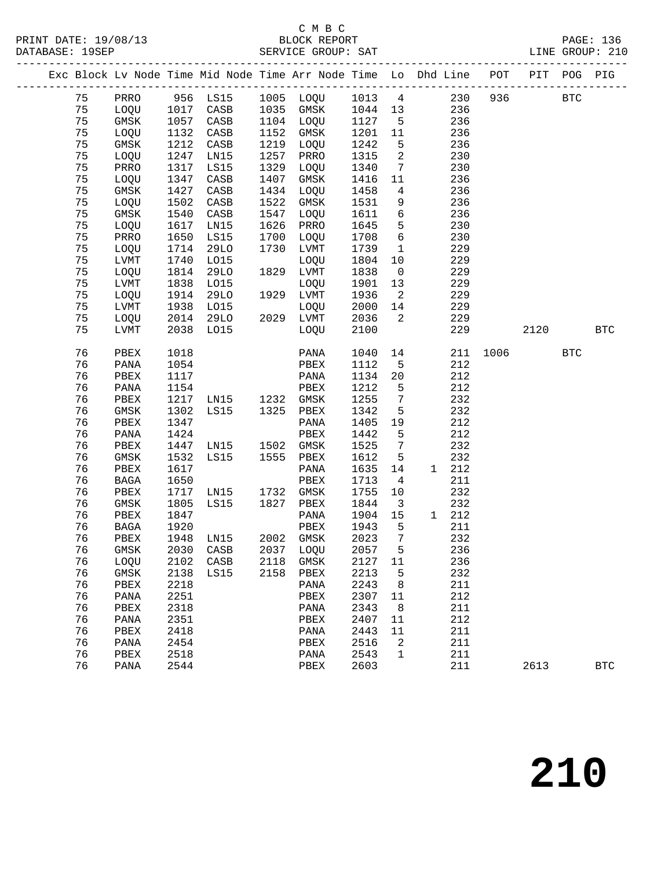## C M B C<br>BLOCK REPORT

|    |              |      |                     |      |                                                                                                                                 |         |                          | Exc Block Lv Node Time Mid Node Time Arr Node Time Lo Dhd Line POT PIT POG PIG |          |      |            |            |
|----|--------------|------|---------------------|------|---------------------------------------------------------------------------------------------------------------------------------|---------|--------------------------|--------------------------------------------------------------------------------|----------|------|------------|------------|
|    |              |      |                     |      |                                                                                                                                 |         |                          | 75 PRRO 956 LS15 1005 LOQU 1013 4 230 936 BTC                                  |          |      |            |            |
|    |              |      | 75 LOQU 1017 CASB   |      | 1035 GMSK 1044 13                                                                                                               |         |                          | 236                                                                            |          |      |            |            |
| 75 | GMSK 1057    |      | CASB                |      | 1104 LOQU 1127                                                                                                                  |         |                          | 5 <sub>1</sub><br>236                                                          |          |      |            |            |
| 75 | LOQU         | 1132 | CASB                |      | 1152 GMSK 1201<br>1219 LOQU 1242                                                                                                |         | 11                       | 236                                                                            |          |      |            |            |
| 75 | GMSK         | 1212 | CASB                |      |                                                                                                                                 |         | 5 <sub>5</sub>           | 236                                                                            |          |      |            |            |
| 75 | LOQU         | 1247 | LN15                |      | 1257 PRRO                                                                                                                       | 1315    | $\overline{\phantom{a}}$ | 230                                                                            |          |      |            |            |
| 75 | PRRO         | 1317 | LS15                | 1329 | LOQU                                                                                                                            | 1340    |                          | $7\overline{ }$<br>230                                                         |          |      |            |            |
| 75 | LOQU         | 1347 | CASB                |      | 1407 GMSK                                                                                                                       | 1416    | 11                       | 236                                                                            |          |      |            |            |
| 75 | GMSK         | 1427 | CASB                |      | 1434 LOQU                                                                                                                       | 1458    | $4\overline{4}$          | 236                                                                            |          |      |            |            |
| 75 | LOQU         | 1502 | CASB                | 1522 | GMSK                                                                                                                            | 1531    |                          | 9<br>236                                                                       |          |      |            |            |
| 75 | GMSK         | 1540 | CASB                | 1547 | LOQU                                                                                                                            | 1611    |                          | $6\overline{}$<br>236                                                          |          |      |            |            |
| 75 | LOQU         | 1617 | LN15                |      | 1626 PRRO                                                                                                                       | 1645    | 5 <sub>5</sub>           | 230                                                                            |          |      |            |            |
| 75 | PRRO         | 1650 | LS15                |      | 1700 LOQU                                                                                                                       | 1708    | $6\overline{6}$          | 230                                                                            |          |      |            |            |
| 75 | LOQU         | 1714 | 29LO                |      | 1730 LVMT                                                                                                                       | 1739    |                          | $\mathbf 1$<br>229                                                             |          |      |            |            |
| 75 | LVMT         | 1740 | L015                |      | LOQU                                                                                                                            | 1804    | 10 <sup>°</sup>          | 229                                                                            |          |      |            |            |
| 75 | LOQU         | 1814 | 29LO                |      | 1829 LVMT                                                                                                                       | 1838    | $\overline{0}$           | 229                                                                            |          |      |            |            |
| 75 | LVMT         | 1838 | LO15                |      | LOQU                                                                                                                            | 1901    | 13                       | 229                                                                            |          |      |            |            |
| 75 | LOQU         | 1914 | 29LO                |      | 1929 LVMT                                                                                                                       | 1936    |                          | $\overline{a}$<br>229                                                          |          |      |            |            |
| 75 | LVMT         | 1938 |                     |      | LOQU 2000                                                                                                                       |         |                          | 14<br>229                                                                      |          |      |            |            |
| 75 | LOQU         |      |                     |      |                                                                                                                                 | 2036    |                          | $\overline{2}$<br>229                                                          |          |      |            |            |
| 75 | LVMT         |      |                     |      | 1914 $29\text{L}0$<br>1938 $\text{L}015$ $\text{L}00\text{U}$<br>2014 $29\text{L}0$ $2029$ $\text{LWNT}$<br>$\text{L}0\text{V}$ | 2100    |                          | 229                                                                            |          | 2120 |            | <b>BTC</b> |
| 76 | PBEX         | 1018 |                     |      | PANA                                                                                                                            | 1040    |                          | 14                                                                             | 211 1006 |      | <b>BTC</b> |            |
| 76 | PANA         | 1054 |                     |      | PBEX                                                                                                                            | 1112    | 5 <sub>5</sub>           | 212                                                                            |          |      |            |            |
| 76 | PBEX         | 1117 |                     |      | PANA                                                                                                                            | 1134    | 20                       | 212                                                                            |          |      |            |            |
| 76 | PANA         | 1154 |                     |      | PBEX                                                                                                                            | 1212    | 5 <sub>5</sub>           | 212                                                                            |          |      |            |            |
| 76 | PBEX         |      |                     |      | 1217 LN15 1232 GMSK 1255                                                                                                        |         |                          | $7\overline{ }$<br>232                                                         |          |      |            |            |
| 76 | GMSK         |      | 1302 LS15 1325      |      | PBEX                                                                                                                            | 1342    | 5                        | 232                                                                            |          |      |            |            |
| 76 | PBEX         | 1347 |                     |      | PANA                                                                                                                            | 1405    | 19                       | 212                                                                            |          |      |            |            |
| 76 | PANA         | 1424 |                     |      | PBEX                                                                                                                            | 1442    | 5                        | 212                                                                            |          |      |            |            |
| 76 | PBEX         |      | 1447 LN15 1502 GMSK |      |                                                                                                                                 | 1525    | $\overline{7}$           | 232                                                                            |          |      |            |            |
| 76 | GMSK         |      | 1532 LS15           | 1555 | PBEX                                                                                                                            | 1612    | 5                        | 232                                                                            |          |      |            |            |
| 76 | PBEX         | 1617 |                     |      | PANA                                                                                                                            | 1635    | 14                       | 1 212                                                                          |          |      |            |            |
| 76 | BAGA         | 1650 |                     |      | PBEX                                                                                                                            | 1713    | $\overline{4}$           | 211                                                                            |          |      |            |            |
| 76 |              |      |                     |      | PBEX 1717 LN15 1732 GMSK 1755                                                                                                   |         | 10                       | 232                                                                            |          |      |            |            |
| 76 | GMSK         |      |                     |      | 1805 LS15 1827 PBEX 1844                                                                                                        |         | $\overline{\mathbf{3}}$  | 232                                                                            |          |      |            |            |
| 76 | PBEX         | 1847 |                     |      | PANA                                                                                                                            | 1904 15 |                          | 1 212                                                                          |          |      |            |            |
|    | 76 BAGA 1920 |      |                     |      |                                                                                                                                 |         |                          | PBEX 1943 5 211                                                                |          |      |            |            |
| 76 | PBEX         | 1948 | LN15                | 2002 | GMSK                                                                                                                            | 2023    | 7                        | 232                                                                            |          |      |            |            |
| 76 | $\rm{GMSK}$  | 2030 | CASB                | 2037 | LOQU                                                                                                                            | 2057    | 5                        | 236                                                                            |          |      |            |            |
| 76 | LOQU         | 2102 | CASB                | 2118 | GMSK                                                                                                                            | 2127    | 11                       | 236                                                                            |          |      |            |            |
| 76 | $\rm{GMSK}$  | 2138 | LS15                | 2158 | PBEX                                                                                                                            | 2213    | 5                        | 232                                                                            |          |      |            |            |
| 76 | PBEX         | 2218 |                     |      | PANA                                                                                                                            | 2243    | 8                        | 211                                                                            |          |      |            |            |
| 76 | PANA         | 2251 |                     |      | PBEX                                                                                                                            | 2307    | 11                       | 212                                                                            |          |      |            |            |
| 76 | ${\tt PBEX}$ | 2318 |                     |      | PANA                                                                                                                            | 2343    | 8                        | 211                                                                            |          |      |            |            |
| 76 | PANA         | 2351 |                     |      | PBEX                                                                                                                            | 2407    | 11                       | 212                                                                            |          |      |            |            |
| 76 | PBEX         | 2418 |                     |      | PANA                                                                                                                            | 2443    | 11                       | 211                                                                            |          |      |            |            |
| 76 | PANA         | 2454 |                     |      | PBEX                                                                                                                            | 2516    | 2                        | 211                                                                            |          |      |            |            |
| 76 | PBEX         | 2518 |                     |      | PANA                                                                                                                            | 2543    | 1                        | 211                                                                            |          |      |            |            |
| 76 | PANA         | 2544 |                     |      | PBEX                                                                                                                            | 2603    |                          | 211                                                                            |          | 2613 |            | <b>BTC</b> |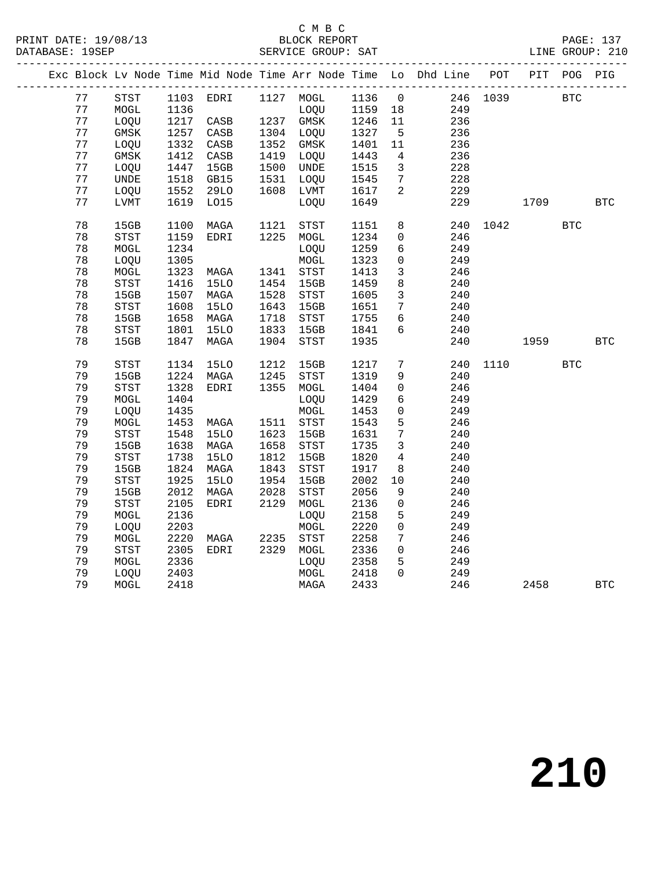#### C M B C<br>BLOCK REPORT SERVICE GROUP: SAT

|  |    |                            |      |                 |      | ___________________________ |        |                     | Exc Block Lv Node Time Mid Node Time Arr Node Time Lo Dhd Line POT |          | PIT  | POG        | PIG          |
|--|----|----------------------------|------|-----------------|------|-----------------------------|--------|---------------------|--------------------------------------------------------------------|----------|------|------------|--------------|
|  | 77 | $_{\footnotesize\rm STST}$ |      | 1103 EDRI       |      | 1127 MOGL                   | 1136 0 |                     |                                                                    | 246 1039 |      | <b>BTC</b> |              |
|  | 77 | MOGL                       | 1136 |                 |      | LOQU                        | 1159   | 18                  | 249                                                                |          |      |            |              |
|  | 77 | LOQU                       | 1217 | CASB            |      | 1237 GMSK                   | 1246   | 11                  | 236                                                                |          |      |            |              |
|  | 77 | GMSK                       | 1257 | CASB            |      | 1304 LOQU                   | 1327   | $5\overline{5}$     | 236                                                                |          |      |            |              |
|  | 77 | LOQU                       | 1332 | $\mathtt{CASB}$ | 1352 | GMSK                        | 1401   | 11                  | 236                                                                |          |      |            |              |
|  | 77 | GMSK                       | 1412 | CASB            | 1419 | LOQU                        | 1443   | $\overline{4}$      | 236                                                                |          |      |            |              |
|  | 77 | LOQU                       | 1447 | 15GB            | 1500 | <b>UNDE</b>                 | 1515   | $\overline{3}$      | 228                                                                |          |      |            |              |
|  | 77 | <b>UNDE</b>                | 1518 | GB15            | 1531 | LOQU                        | 1545   | $7\phantom{.0}$     | 228                                                                |          |      |            |              |
|  | 77 | LOQU                       | 1552 | <b>29LO</b>     | 1608 | LVMT                        | 1617   | $\overline{a}$      | 229                                                                |          |      |            |              |
|  | 77 | <b>LVMT</b>                | 1619 | L015            |      | LOQU                        | 1649   |                     | 229                                                                |          | 1709 |            | <b>BTC</b>   |
|  | 78 | 15GB                       | 1100 | MAGA            | 1121 | STST                        | 1151   | 8                   | 240                                                                | 1042     |      | <b>BTC</b> |              |
|  | 78 | STST                       | 1159 | EDRI            | 1225 | MOGL                        | 1234   | $\overline{0}$      | 246                                                                |          |      |            |              |
|  | 78 | $\tt MOGL$                 | 1234 |                 |      | LOQU                        | 1259   | 6                   | 249                                                                |          |      |            |              |
|  | 78 | LOQU                       | 1305 |                 |      | $\tt MOGL$                  | 1323   | $\mathbf 0$         | 249                                                                |          |      |            |              |
|  | 78 | MOGL                       | 1323 | MAGA            | 1341 | STST                        | 1413   | $\mathbf{3}$        | 246                                                                |          |      |            |              |
|  | 78 | STST                       | 1416 | <b>15LO</b>     | 1454 | 15GB                        | 1459   | 8                   | 240                                                                |          |      |            |              |
|  | 78 | 15GB                       | 1507 | MAGA            | 1528 | STST                        | 1605   | $\mathbf{3}$        | 240                                                                |          |      |            |              |
|  | 78 | STST                       | 1608 | <b>15LO</b>     | 1643 | 15GB                        | 1651   | $7\phantom{.0}$     | 240                                                                |          |      |            |              |
|  | 78 | 15GB                       | 1658 | MAGA            | 1718 | STST                        | 1755   | $6\overline{6}$     | 240                                                                |          |      |            |              |
|  | 78 | STST                       | 1801 | <b>15LO</b>     | 1833 | 15GB                        | 1841   | $6\overline{6}$     | 240                                                                |          |      |            |              |
|  | 78 | 15GB                       | 1847 | MAGA            | 1904 | STST                        | 1935   |                     | 240                                                                |          | 1959 |            | BTC          |
|  | 79 | STST                       | 1134 | <b>15LO</b>     | 1212 | 15GB                        | 1217   | $7\overline{ }$     | 240                                                                | 1110     |      | <b>BTC</b> |              |
|  | 79 | 15GB                       | 1224 | MAGA            | 1245 | <b>STST</b>                 | 1319   | 9                   | 240                                                                |          |      |            |              |
|  | 79 | STST                       | 1328 | EDRI            | 1355 | MOGL                        | 1404   | $\mathsf{O}$        | 246                                                                |          |      |            |              |
|  | 79 | MOGL                       | 1404 |                 |      | LOQU                        | 1429   | 6                   | 249                                                                |          |      |            |              |
|  | 79 | LOQU                       | 1435 |                 |      | $\tt MOGL$                  | 1453   | $\mathsf{O}$        | 249                                                                |          |      |            |              |
|  | 79 | MOGL                       | 1453 | MAGA            | 1511 | <b>STST</b>                 | 1543   | 5                   | 246                                                                |          |      |            |              |
|  | 79 | STST                       | 1548 | <b>15LO</b>     | 1623 | 15GB                        | 1631   | $7\phantom{.0}$     | 240                                                                |          |      |            |              |
|  | 79 | 15GB                       | 1638 | MAGA            | 1658 | STST                        | 1735   | $\mathbf{3}$        | 240                                                                |          |      |            |              |
|  | 79 | STST                       | 1738 | <b>15LO</b>     | 1812 | 15GB                        | 1820   | $\overline{4}$      | 240                                                                |          |      |            |              |
|  | 79 | 15GB                       | 1824 | MAGA            | 1843 | STST                        | 1917   | 8                   | 240                                                                |          |      |            |              |
|  | 79 | STST                       | 1925 | <b>15LO</b>     | 1954 | 15GB                        | 2002   | 10                  | 240                                                                |          |      |            |              |
|  | 79 | 15GB                       | 2012 | MAGA            | 2028 | $_{\footnotesize\rm STST}$  | 2056   | 9                   | 240                                                                |          |      |            |              |
|  | 79 | STST                       | 2105 | EDRI            | 2129 | MOGL                        | 2136   | 0                   | 246                                                                |          |      |            |              |
|  | 79 | MOGL                       | 2136 |                 |      | LOQU                        | 2158   | 5                   | 249                                                                |          |      |            |              |
|  | 79 | LOQU                       | 2203 |                 |      | MOGL                        | 2220   | $\mathsf{O}$        | 249                                                                |          |      |            |              |
|  | 79 | $\tt MOGL$                 | 2220 | MAGA            | 2235 | $_{\footnotesize\rm STST}$  | 2258   | $7\phantom{.0}$     | 246                                                                |          |      |            |              |
|  | 79 | STST                       | 2305 | EDRI            | 2329 | MOGL                        | 2336   | $\mathsf{O}\xspace$ | 246                                                                |          |      |            |              |
|  | 79 | MOGL                       | 2336 |                 |      | LOQU                        | 2358   | 5                   | 249                                                                |          |      |            |              |
|  | 79 | LOQU                       | 2403 |                 |      | $\tt MOGL$                  | 2418   | $\Omega$            | 249                                                                |          |      |            |              |
|  | 79 | MOGL                       | 2418 |                 |      | MAGA                        | 2433   |                     | 246                                                                |          | 2458 |            | $_{\rm BTC}$ |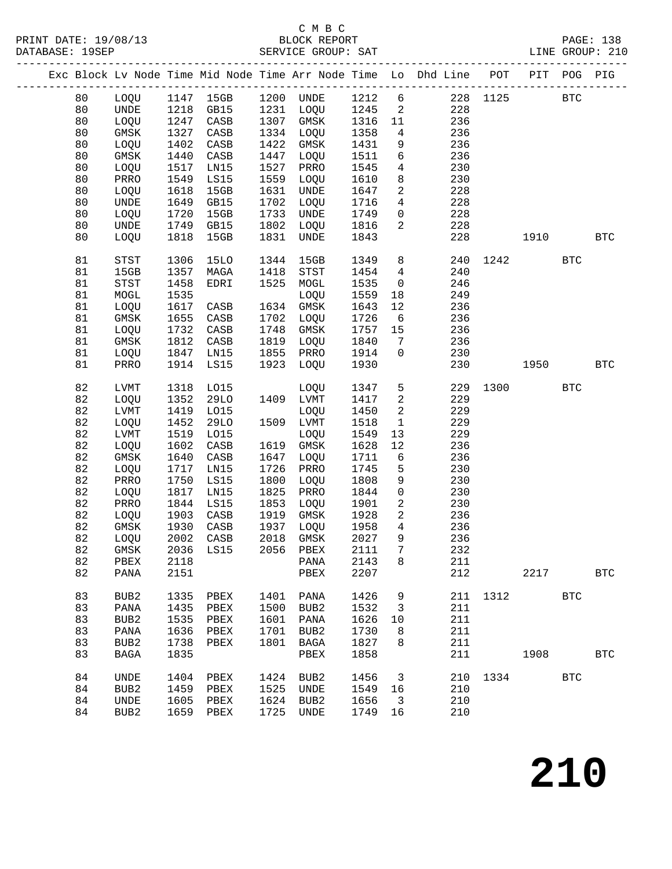## C M B C

|          |                  |                   |                |      |                               |              |                                  | Exc Block Lv Node Time Mid Node Time Arr Node Time Lo Dhd Line POT PIT POG PIG |      |              |            |            |
|----------|------------------|-------------------|----------------|------|-------------------------------|--------------|----------------------------------|--------------------------------------------------------------------------------|------|--------------|------------|------------|
| 80       |                  |                   | LOQU 1147 15GB |      | 1200 UNDE 1212 6              |              |                                  |                                                                                |      | 228 1125 BTC |            |            |
| 80       | UNDE 1218 GB15   |                   |                |      | 1231 LOQU 1245 2              |              |                                  | 228                                                                            |      |              |            |            |
| 80       | LOQU             | 1247 CASB         |                | 1307 | GMSK                          | 1316         | 11                               | 236                                                                            |      |              |            |            |
| 80       | GMSK             | 1327              | CASB           | 1334 | LOQU                          | 1358         | $4\overline{ }$                  | 236                                                                            |      |              |            |            |
| 80       | LOQU             | 1402              | CASB           | 1422 | GMSK                          | 1431         | 9                                | 236                                                                            |      |              |            |            |
| 80       | GMSK             | 1440              | CASB           | 1447 | LOQU                          | 1511         | 6                                | 236                                                                            |      |              |            |            |
| 80       | LOQU             | 1517              | LN15           | 1527 | PRRO                          | 1545         | $\overline{4}$                   | 230                                                                            |      |              |            |            |
| 80       | PRRO             | 1549              | LS15           | 1559 | LOQU                          | 1610         | 8                                | 230                                                                            |      |              |            |            |
| 80       | LOQU             | 1618              | 15GB           | 1631 | UNDE                          | 1647         | $\overline{a}$                   | 228                                                                            |      |              |            |            |
| 80       | UNDE             | 1649              | GB15           | 1702 | LOQU                          | 1716         | $\overline{4}$                   | 228                                                                            |      |              |            |            |
| 80       | LOQU             | 1720              | 15GB           | 1733 | UNDE                          | 1749         | $\overline{0}$                   | 228                                                                            |      |              |            |            |
| 80       | <b>UNDE</b>      | 1749              | GB15           | 1802 | LOQU                          | 1816         | $\overline{2}$                   | 228                                                                            |      |              |            |            |
| 80       | LOQU             | 1818              | 15GB           | 1831 | UNDE                          | 1843         |                                  | 228                                                                            |      | 1910 72      |            | <b>BTC</b> |
| 81       | STST             | 1306              | 15LO           | 1344 | 15GB                          | 1349         | 8                                | 240                                                                            |      | 1242         | <b>BTC</b> |            |
| 81       | 15GB             | 1357              | MAGA           | 1418 | STST                          | 1454         | $4\overline{ }$                  | 240                                                                            |      |              |            |            |
| 81       | STST             | 1458              | EDRI           | 1525 | MOGL                          | 1535         | $\overline{0}$                   | 246                                                                            |      |              |            |            |
| 81       | MOGL             | 1535              |                |      | LOQU                          | 1559         | 18                               | 249                                                                            |      |              |            |            |
| 81       | LOQU             | 1617              | CASB           | 1634 | GMSK                          | 1643         | 12                               | 236                                                                            |      |              |            |            |
| 81       | GMSK             | 1655              | CASB           | 1702 | LOQU                          | 1726         | 6                                | 236                                                                            |      |              |            |            |
| 81       | LOQU             | 1732              | CASB           | 1748 | GMSK                          | 1757         | 15                               | 236                                                                            |      |              |            |            |
| 81       | <b>GMSK</b>      | 1812              | CASB           | 1819 | LOQU                          | 1840         | $7\phantom{.0}$                  | 236                                                                            |      |              |            |            |
| 81       | LOQU             | 1847              | LN15           | 1855 | PRRO                          | 1914         | $\overline{0}$                   | 230                                                                            |      |              |            |            |
| 81       | PRRO             | 1914              | LS15           | 1923 | LOQU                          | 1930         |                                  | 230                                                                            |      | 1950 1990    |            | <b>BTC</b> |
| 82       | LVMT             | 1318              | L015           |      | LOQU                          | 1347         | 5 <sub>5</sub>                   | 229                                                                            | 1300 |              | <b>BTC</b> |            |
| 82       | LOQU             | 1352              | 29LO           |      | 1409 LVMT                     | 1417         | $\overline{a}$                   | 229                                                                            |      |              |            |            |
| 82       | LVMT             | 1419              | L015           |      | LOQU                          | 1450         | $\overline{a}$                   | 229                                                                            |      |              |            |            |
| 82       | LOQU             | 1452              | 29LO           | 1509 | LVMT                          | 1518         | $\mathbf{1}$                     | 229                                                                            |      |              |            |            |
| 82       | LVMT             | 1519              | L015           |      | LOQU                          | 1549         | 13                               | 229                                                                            |      |              |            |            |
| 82       | LOQU             | 1602              | CASB           | 1619 | GMSK                          | 1628         | 12                               | 236                                                                            |      |              |            |            |
| 82       | GMSK             | 1640              | CASB           | 1647 | LOQU                          | 1711         | 6                                | 236                                                                            |      |              |            |            |
| 82       | LOQU             | 1717              | LN15           | 1726 | PRRO                          | 1745         | 5                                | 230                                                                            |      |              |            |            |
| 82       | PRRO             | 1750              | LS15           | 1800 | LOQU                          | 1808         | 9                                | 230                                                                            |      |              |            |            |
| 82       | LOQU             | 1817              | LN15           | 1825 | PRRO                          | 1844         | $\overline{0}$                   | 230                                                                            |      |              |            |            |
| 82       | PRRO             | 1844              | LS15           | 1853 | LOQU                          | 1901         | $\overline{a}$<br>$\overline{a}$ | 230                                                                            |      |              |            |            |
| 82<br>82 | LOQU<br>GMSK     | 1903<br>1930 CASB | CASB           | 1919 | GMSK<br>1937 LOQU             | 1928<br>1958 | $\overline{4}$                   | 236<br>236                                                                     |      |              |            |            |
| 82       |                  |                   |                |      | LOQU 2002 CASB 2018 GMSK 2027 |              |                                  | 9<br>236                                                                       |      |              |            |            |
|          |                  |                   |                |      |                               | 2111         | $\overline{7}$                   |                                                                                |      |              |            |            |
| 82<br>82 | GMSK<br>PBEX     | 2036 LS15<br>2118 |                |      | 2056 PBEX                     | 2143         | 8                                | 232<br>211                                                                     |      |              |            |            |
| 82       | PANA             | 2151              |                |      | PANA<br>PBEX                  | 2207         |                                  | 212                                                                            |      | 2217         |            | <b>BTC</b> |
| 83       | BUB2             | 1335              | PBEX           |      | 1401 PANA                     | 1426         | 9                                |                                                                                |      | 211 1312 BTC |            |            |
| 83       | PANA             | 1435 PBEX         |                |      | 1500 BUB2                     | 1532         | $\overline{\mathbf{3}}$          | 211                                                                            |      |              |            |            |
| 83       | BUB2             | 1535 PBEX         |                |      | 1601 PANA                     | 1626 10      |                                  | 211                                                                            |      |              |            |            |
| 83       | PANA             | 1636              | PBEX           |      | 1701 BUB2                     | 1730         | 8 <sup>8</sup>                   | 211                                                                            |      |              |            |            |
| 83       | BUB2             | 1738              | PBEX           |      | 1801 BAGA                     | 1827         | 8                                | 211                                                                            |      |              |            |            |
| 83       | BAGA             | 1835              |                |      | PBEX                          | 1858         |                                  | 211                                                                            |      | 1908         |            | <b>BTC</b> |
| 84       | UNDE             | 1404              | PBEX           |      | 1424 BUB2                     | 1456 3       |                                  |                                                                                |      | 210 1334 BTC |            |            |
| 84       | BUB <sub>2</sub> | 1459 PBEX         |                |      | 1525 UNDE                     | 1549 16      |                                  | 210                                                                            |      |              |            |            |
| 84       | UNDE             | 1605 PBEX         |                |      | 1624 BUB2                     | 1656 3       |                                  | 210                                                                            |      |              |            |            |
| 84       | BUB2             | 1659 PBEX         |                |      | 1725 UNDE                     | 1749 16      |                                  | 210                                                                            |      |              |            |            |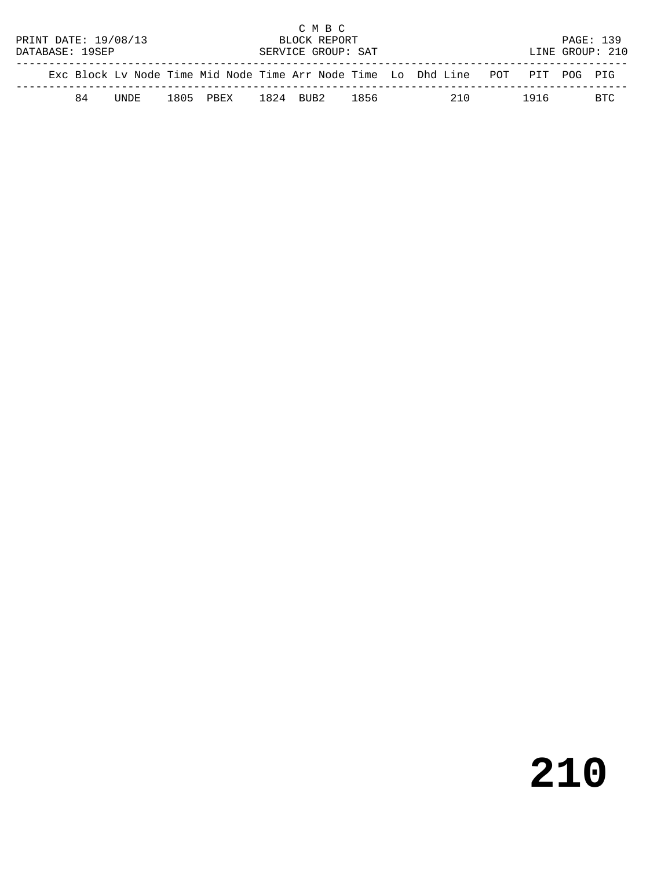|                      | C M B C |        |  |           |                    |              |      |  |                                                                                |  |      |                 |           |
|----------------------|---------|--------|--|-----------|--------------------|--------------|------|--|--------------------------------------------------------------------------------|--|------|-----------------|-----------|
| PRINT DATE: 19/08/13 |         |        |  |           |                    | BLOCK REPORT |      |  |                                                                                |  |      |                 | PAGE: 139 |
| DATABASE: 19SEP      |         |        |  |           | SERVICE GROUP: SAT |              |      |  |                                                                                |  |      | LINE GROUP: 210 |           |
|                      |         |        |  |           |                    |              |      |  | Exc Block Ly Node Time Mid Node Time Arr Node Time Lo Dhd Line POT PIT POG PIG |  |      |                 |           |
|                      | 84      | TINDE. |  | 1805 PBEX |                    | 1824 BUB2    | 1856 |  | 2.10                                                                           |  | 1916 |                 | BTC.      |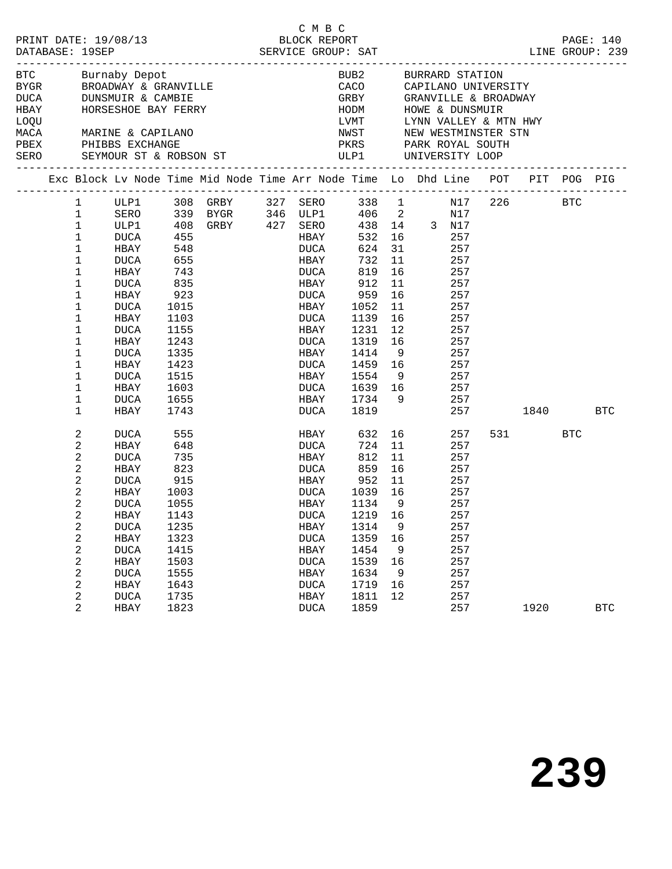| PRINT DATE: 19/08/13<br>DATABASE: 19SEP<br>SERVICE GROUP: SAT<br>Burnaby Depot                                   |                                                                                                                                                                                                                              |                                                                                                                                                                           |                                                                                           |                     | C M B C                                                                                                                                               |                                                                                                                                                             |                                                 | LINE GROUP: 239                                                                                                                                                                                                                                    |                 | PAGE: 140 |            |
|------------------------------------------------------------------------------------------------------------------|------------------------------------------------------------------------------------------------------------------------------------------------------------------------------------------------------------------------------|---------------------------------------------------------------------------------------------------------------------------------------------------------------------------|-------------------------------------------------------------------------------------------|---------------------|-------------------------------------------------------------------------------------------------------------------------------------------------------|-------------------------------------------------------------------------------------------------------------------------------------------------------------|-------------------------------------------------|----------------------------------------------------------------------------------------------------------------------------------------------------------------------------------------------------------------------------------------------------|-----------------|-----------|------------|
| <b>BTC</b><br>BYGR BROADWAY & GRANVILLE<br>DUCA DUNSMUIR & CAMBIE<br><b>HBAY</b><br>LOQU<br>MACA<br>PBEX<br>SERO |                                                                                                                                                                                                                              | MARINE & CAPILANO<br>PHIBBS EXCHANGE                                                                                                                                      |                                                                                           | HORSESHOE BAY FERRY |                                                                                                                                                       | CACO                                                                                                                                                        |                                                 | BUB2 BURRARD STATION<br>CACO     CAPILANO UNIVERSITY<br>GRBY       GRANVILLE & BROADWAY<br>HODM HOWE & DUNSMUIR<br>LVMT UYNN VALLEY & MTN HWY<br>NWST NEW WESTMINSTER STN<br>PKRS PARK ROYAL SOUTH<br>SEYMOUR ST & ROBSON ST WILP1 UNIVERSITY LOOP |                 |           |            |
|                                                                                                                  |                                                                                                                                                                                                                              | ----------------------------                                                                                                                                              |                                                                                           |                     |                                                                                                                                                       |                                                                                                                                                             |                                                 | Exc Block Lv Node Time Mid Node Time Arr Node Time Lo Dhd Line POT PIT POG PIG                                                                                                                                                                     |                 |           |            |
|                                                                                                                  | $\mathbf{1}$<br>$\mathbf{1}$<br>$\mathbf 1$<br>$\mathbf 1$<br>$\mathbf 1$<br>$\mathbf 1$<br>$\mathbf 1$<br>$\mathbf 1$<br>$\mathbf 1$<br>1<br>$\mathbf{1}$<br>1<br>1<br>1<br>$\mathbf{1}$<br>1<br>$\mathbf 1$<br>$\mathbf 1$ | HBAY 548<br>DUCA 655<br>HBAY 743<br>DUCA<br>HBAY 923<br>DUCA 1015<br>HBAY<br>DUCA<br>HBAY<br>DUCA<br>HBAY<br>DUCA<br>HBAY 1603<br>DUCA 1655<br>HBAY 1743                  | 835<br>1103<br>1155<br>1243<br>1335<br>1423<br>1515                                       |                     | <b>DUCA</b><br>HBAY<br>HBAY<br><b>HBAY</b><br><b>DUCA</b><br>HBAY<br>DUCA<br>HBAY                                                                     | SERO 339 BYGR 346 ULP1 406 2<br>732<br>DUCA 819<br>912<br>DUCA 959<br>1052<br>1139<br>1231<br>DUCA 1319 16<br>HBAY 1414 9<br>1459 16<br>1554 9<br>DUCA 1819 | 11<br>16<br>11<br>16<br>11<br>16<br>12          | 1 ULP1 308 GRBY 327 SERO 338 1 N17 226 BTC<br>N17<br>624 31 257<br>257<br>257<br>257<br>257<br>257<br>257<br>257<br>257<br>257<br>257<br>257<br>DUCA 1639 16 257<br>HBAY 1734 9 257<br>257                                                         |                 | 1840 BTC  |            |
|                                                                                                                  | 2<br>$\overline{c}$<br>2<br>$\overline{c}$<br>2<br>2<br>$\overline{2}$<br>2<br>2<br>$\overline{c}$<br>2<br>$\boldsymbol{2}$<br>$\overline{\mathbf{c}}$<br>2<br>2<br>$\overline{a}$                                           | DUCA 555<br>HBAY 648<br>DUCA<br>HBAY<br>DUCA<br>HBAY 1003<br>DUCA<br>HBAY 1143<br><b>DUCA</b><br>HBAY<br><b>DUCA</b><br>HBAY<br>$\tt DUCA$<br>HBAY<br><b>DUCA</b><br>HBAY | 735<br>823<br>915<br>1055<br>1235<br>1323<br>1415<br>1503<br>1555<br>1643<br>1735<br>1823 |                     | <b>HBAY</b><br><b>DUCA</b><br><b>HBAY</b><br>HBAY<br>DUCA<br>HBAY<br><b>DUCA</b><br>HBAY<br><b>DUCA</b><br>HBAY<br><b>DUCA</b><br>HBAY<br><b>DUCA</b> | 632<br>812<br>DUCA 859 16<br>HBAY 952 11<br>DUCA 1039 16<br>1134 9<br>1219 16<br>1314<br>1359<br>1454<br>1539<br>1634<br>1719<br>1811<br>1859               | 11<br>16<br>9<br>16<br>9<br>16<br>9<br>16<br>12 | 16 10<br>257<br>724 11<br>257<br>257<br>257<br>257<br>257<br>257<br>257<br>257<br>257<br>257<br>257<br>257<br>257<br>257<br>257                                                                                                                    | 531 BTC<br>1920 |           | <b>BTC</b> |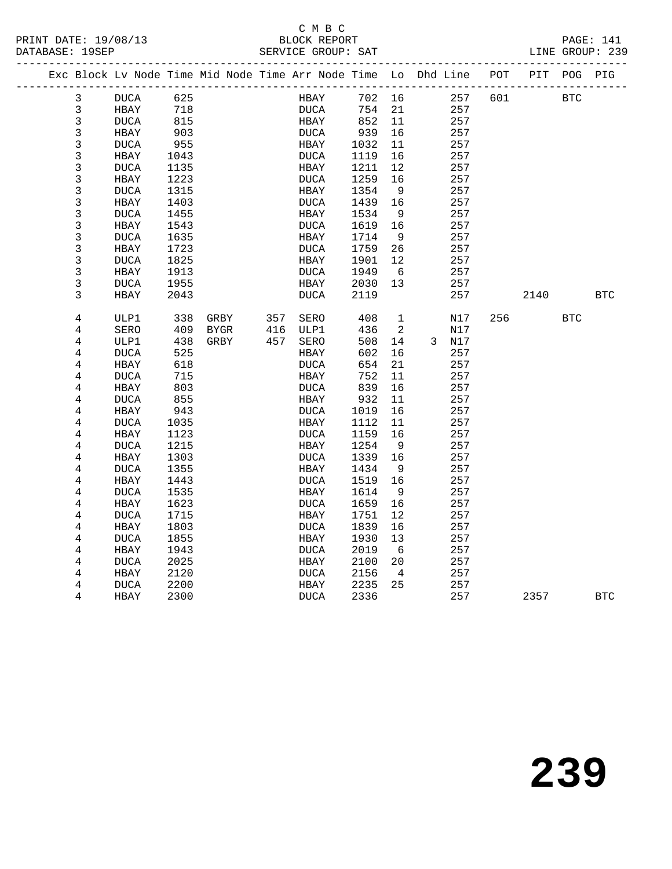#### C M B C<br>BLOCK REPORT SERVICE GROUP: SAT

| PRINT DATE: 19/08/13<br>DATABASE: 19SEP |                                                                |      |             |  |     |             | BLOCK REPORT<br>SERVICE GROUP: SAT |        |                   |       |     |      |            | PAGE: 141<br>LINE GROUP: 239 |
|-----------------------------------------|----------------------------------------------------------------|------|-------------|--|-----|-------------|------------------------------------|--------|-------------------|-------|-----|------|------------|------------------------------|
|                                         |                                                                |      |             |  |     |             |                                    |        |                   |       |     |      |            |                              |
|                                         | Exc Block Lv Node Time Mid Node Time Arr Node Time Lo Dhd Line |      |             |  |     |             |                                    |        |                   |       | POT | PIT  | POG PIG    |                              |
| 3                                       | DUCA                                                           | 625  |             |  |     | HBAY        |                                    | 702 16 |                   | 257   | 601 |      | BTC        |                              |
| $\mathbf{3}$                            | HBAY                                                           | 718  |             |  |     | <b>DUCA</b> |                                    | 754    | 21                | 257   |     |      |            |                              |
| 3                                       | <b>DUCA</b>                                                    | 815  |             |  |     | HBAY        |                                    | 852    | 11                | 257   |     |      |            |                              |
| $\mathbf{3}$                            | HBAY                                                           | 903  |             |  |     | <b>DUCA</b> |                                    | 939    | 16                | 257   |     |      |            |                              |
| $\mathsf 3$                             | <b>DUCA</b>                                                    | 955  |             |  |     | HBAY        |                                    | 1032   | 11                | 257   |     |      |            |                              |
| $\mathsf 3$                             | HBAY                                                           | 1043 |             |  |     | DUCA        |                                    | 1119   | 16                | 257   |     |      |            |                              |
| 3                                       | <b>DUCA</b>                                                    | 1135 |             |  |     | HBAY        |                                    | 1211   | $12 \overline{ }$ | 257   |     |      |            |                              |
| 3                                       | HBAY                                                           | 1223 |             |  |     | DUCA        |                                    | 1259   | 16                | 257   |     |      |            |                              |
| 3                                       | <b>DUCA</b>                                                    | 1315 |             |  |     | HBAY        |                                    | 1354   | 9                 | 257   |     |      |            |                              |
| 3                                       | HBAY                                                           | 1403 |             |  |     | DUCA        |                                    | 1439   | 16                | 257   |     |      |            |                              |
| $\mathsf{3}$                            | <b>DUCA</b>                                                    | 1455 |             |  |     | HBAY        |                                    | 1534   | - 9               | 257   |     |      |            |                              |
| 3                                       | HBAY                                                           | 1543 |             |  |     | DUCA        |                                    | 1619   | 16                | 257   |     |      |            |                              |
| 3                                       | <b>DUCA</b>                                                    | 1635 |             |  |     | HBAY        |                                    | 1714   | 9                 | 257   |     |      |            |                              |
| 3                                       | HBAY                                                           | 1723 |             |  |     | DUCA        |                                    | 1759   | 26                | 257   |     |      |            |                              |
| $\mathbf{3}$                            | <b>DUCA</b>                                                    | 1825 |             |  |     | HBAY        |                                    | 1901   | 12                | 257   |     |      |            |                              |
| $\mathsf 3$                             | HBAY                                                           | 1913 |             |  |     | DUCA        |                                    | 1949   | - 6               | 257   |     |      |            |                              |
| 3                                       | <b>DUCA</b>                                                    | 1955 |             |  |     | HBAY        |                                    | 2030   | 13                | 257   |     |      |            |                              |
| 3                                       | HBAY                                                           | 2043 |             |  |     | DUCA        |                                    | 2119   |                   | 257   |     | 2140 |            | <b>BTC</b>                   |
|                                         |                                                                |      |             |  |     |             |                                    |        |                   |       |     |      |            |                              |
| 4                                       | ULP1                                                           | 338  | GRBY        |  | 357 | SERO        |                                    | 408    | 1                 | N17   | 256 |      | <b>BTC</b> |                              |
| 4                                       | SERO                                                           | 409  | <b>BYGR</b> |  | 416 | ULP1        |                                    | 436    | 2                 | N17   |     |      |            |                              |
| $\overline{4}$                          | ULP1                                                           | 438  | GRBY        |  | 457 | SERO        |                                    | 508    | 14                | 3 N17 |     |      |            |                              |
| 4                                       | <b>DUCA</b>                                                    | 525  |             |  |     | HBAY        |                                    | 602    | 16                | 257   |     |      |            |                              |
| 4                                       | HBAY                                                           | 618  |             |  |     | DUCA        |                                    | 654    | 21                | 257   |     |      |            |                              |
| $\overline{4}$                          | <b>DUCA</b>                                                    | 715  |             |  |     | HBAY        |                                    | 752    | 11                | 257   |     |      |            |                              |
| $\overline{4}$                          | HBAY                                                           | 803  |             |  |     | DUCA        |                                    | 839    | 16                | 257   |     |      |            |                              |
| 4                                       | <b>DUCA</b>                                                    | 855  |             |  |     | HBAY        |                                    | 932    | 11                | 257   |     |      |            |                              |
| 4                                       | HBAY                                                           | 943  |             |  |     | <b>DUCA</b> |                                    | 1019   | 16                | 257   |     |      |            |                              |
| 4                                       | <b>DUCA</b>                                                    | 1035 |             |  |     | HBAY        |                                    | 1112   | 11                | 257   |     |      |            |                              |
| 4                                       | HBAY                                                           | 1123 |             |  |     | DUCA        |                                    | 1159   | 16                | 257   |     |      |            |                              |
| 4                                       | <b>DUCA</b>                                                    | 1215 |             |  |     | HBAY        |                                    | 1254   | - 9               | 257   |     |      |            |                              |
| $\overline{4}$                          | HBAY                                                           | 1303 |             |  |     | DUCA        |                                    | 1339   | 16                | 257   |     |      |            |                              |
| 4                                       | <b>DUCA</b>                                                    | 1355 |             |  |     | HBAY        |                                    | 1434   | 9                 | 257   |     |      |            |                              |
| $\overline{4}$                          | HBAY                                                           | 1443 |             |  |     | DUCA        |                                    | 1519   | 16                | 257   |     |      |            |                              |
| 4                                       | <b>DUCA</b>                                                    | 1535 |             |  |     | HBAY        |                                    | 1614   | 9                 | 257   |     |      |            |                              |
| $\overline{4}$                          | HBAY                                                           | 1623 |             |  |     | DUCA        |                                    | 1659   | 16                | 257   |     |      |            |                              |
| 4                                       | <b>DUCA</b>                                                    | 1715 |             |  |     | HBAY        |                                    | 1751   | 12                | 257   |     |      |            |                              |
| $\overline{4}$                          | HBAY                                                           | 1803 |             |  |     | <b>DUCA</b> |                                    | 1839   | 16                | 257   |     |      |            |                              |
| 4                                       | <b>DUCA</b>                                                    | 1855 |             |  |     | HBAY        |                                    | 1930   | 13                | 257   |     |      |            |                              |
| $\overline{4}$                          | HBAY                                                           | 1943 |             |  |     | DUCA        |                                    | 2019   | - 6               | 257   |     |      |            |                              |
| 4                                       | <b>DUCA</b>                                                    | 2025 |             |  |     | HBAY        |                                    | 2100   | 20                | 257   |     |      |            |                              |
| 4                                       | HBAY                                                           | 2120 |             |  |     | DUCA        |                                    | 2156   | $\overline{4}$    | 257   |     |      |            |                              |
| 4                                       | <b>DUCA</b>                                                    | 2200 |             |  |     | HBAY        |                                    | 2235   | 25                | 257   |     |      |            |                              |
| 4                                       | HBAY                                                           | 2300 |             |  |     | <b>DUCA</b> |                                    | 2336   |                   | 257   |     | 2357 |            | <b>BTC</b>                   |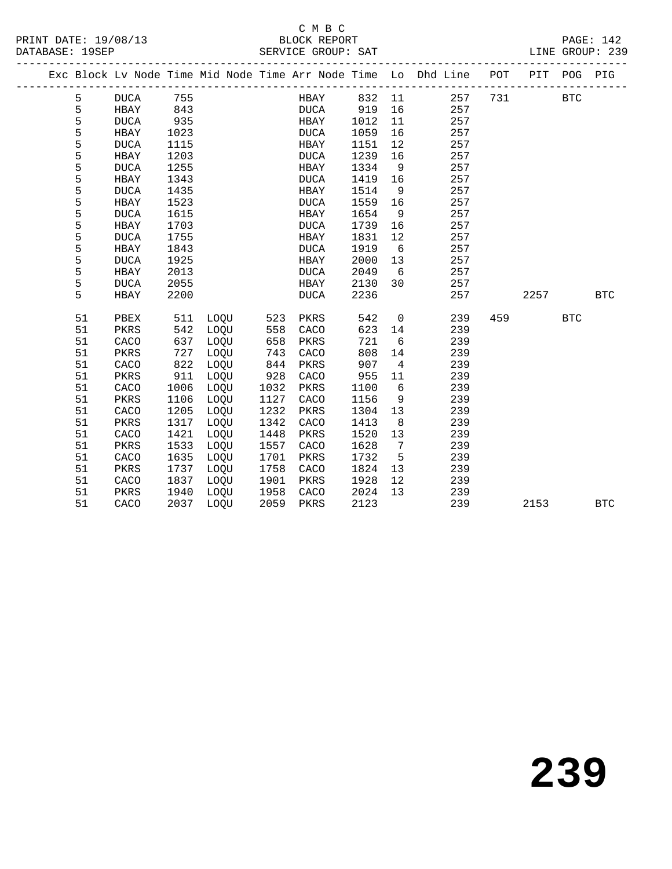#### C M B C<br>BLOCK REPORT SERVICE GROUP: SAT

|  |    |              |      |             |      |             |      |                 | Exc Block Lv Node Time Mid Node Time Arr Node Time Lo Dhd Line POT PIT POG |     |      |            | PIG        |
|--|----|--------------|------|-------------|------|-------------|------|-----------------|----------------------------------------------------------------------------|-----|------|------------|------------|
|  | 5  | <b>DUCA</b>  | 755  |             |      | HBAY        | 832  | 11              | 257                                                                        | 731 |      | <b>BTC</b> |            |
|  | 5  | HBAY         | 843  |             |      | <b>DUCA</b> | 919  | 16              | 257                                                                        |     |      |            |            |
|  | 5  | <b>DUCA</b>  | 935  |             |      | HBAY        | 1012 | 11              | 257                                                                        |     |      |            |            |
|  | 5  | HBAY         | 1023 |             |      | DUCA        | 1059 | 16              | 257                                                                        |     |      |            |            |
|  | 5  | <b>DUCA</b>  | 1115 |             |      | HBAY        | 1151 | 12              | 257                                                                        |     |      |            |            |
|  | 5  | HBAY         | 1203 |             |      | <b>DUCA</b> | 1239 | 16              | 257                                                                        |     |      |            |            |
|  | 5  | <b>DUCA</b>  | 1255 |             |      | HBAY        | 1334 | 9               | 257                                                                        |     |      |            |            |
|  | 5  | HBAY         | 1343 |             |      | <b>DUCA</b> | 1419 | 16              | 257                                                                        |     |      |            |            |
|  | 5  | <b>DUCA</b>  | 1435 |             |      | HBAY        | 1514 | - 9             | 257                                                                        |     |      |            |            |
|  | 5  | HBAY         | 1523 |             |      | <b>DUCA</b> | 1559 | 16              | 257                                                                        |     |      |            |            |
|  | 5  | <b>DUCA</b>  | 1615 |             |      | HBAY        | 1654 | 9               | 257                                                                        |     |      |            |            |
|  | 5  | HBAY         | 1703 |             |      | <b>DUCA</b> | 1739 | 16              | 257                                                                        |     |      |            |            |
|  | 5  | <b>DUCA</b>  | 1755 |             |      | HBAY        | 1831 | 12              | 257                                                                        |     |      |            |            |
|  | 5  | HBAY         | 1843 |             |      | DUCA        | 1919 | $6\overline{6}$ | 257                                                                        |     |      |            |            |
|  | 5  | <b>DUCA</b>  | 1925 |             |      | HBAY        | 2000 | 13              | 257                                                                        |     |      |            |            |
|  | 5  | HBAY         | 2013 |             |      | <b>DUCA</b> | 2049 | 6               | 257                                                                        |     |      |            |            |
|  | 5  | <b>DUCA</b>  | 2055 |             |      | HBAY        | 2130 | 30              | 257                                                                        |     |      |            |            |
|  | 5  | HBAY         | 2200 |             |      | $\tt DUCA$  | 2236 |                 | 257                                                                        |     | 2257 |            | <b>BTC</b> |
|  | 51 | PBEX         | 511  | LOQU        | 523  | PKRS        | 542  | $\overline{0}$  | 239                                                                        | 459 |      | <b>BTC</b> |            |
|  | 51 | PKRS         | 542  | LOOU        | 558  | CACO        | 623  | 14              | 239                                                                        |     |      |            |            |
|  | 51 | CACO         | 637  | LOQU        | 658  | PKRS        | 721  | 6               | 239                                                                        |     |      |            |            |
|  | 51 | PKRS         | 727  | LOQU        | 743  | CACO        | 808  | 14              | 239                                                                        |     |      |            |            |
|  | 51 | CACO         | 822  | LOQU        | 844  | PKRS        | 907  | $\overline{4}$  | 239                                                                        |     |      |            |            |
|  | 51 | PKRS         | 911  | LOQU        | 928  | CACO        | 955  | 11              | 239                                                                        |     |      |            |            |
|  | 51 | ${\tt CACO}$ | 1006 | LOQU        | 1032 | PKRS        | 1100 | 6               | 239                                                                        |     |      |            |            |
|  | 51 | PKRS         | 1106 | LOQU        | 1127 | CACO        | 1156 | 9               | 239                                                                        |     |      |            |            |
|  | 51 | CACO         | 1205 | LOQU        | 1232 | PKRS        | 1304 | 13              | 239                                                                        |     |      |            |            |
|  | 51 | PKRS         | 1317 | LOQU        | 1342 | CACO        | 1413 | - 8             | 239                                                                        |     |      |            |            |
|  | 51 | CACO         | 1421 | LOQU        | 1448 | PKRS        | 1520 | 13              | 239                                                                        |     |      |            |            |
|  | 51 | PKRS         | 1533 | LOQU        | 1557 | CACO        | 1628 | $7\overline{ }$ | 239                                                                        |     |      |            |            |
|  | 51 | CACO         | 1635 | LOQU        | 1701 | PKRS        | 1732 | $5^{\circ}$     | 239                                                                        |     |      |            |            |
|  | 51 | PKRS         | 1737 | LOQU        | 1758 | CACO        | 1824 | 13              | 239                                                                        |     |      |            |            |
|  | 51 | CACO         | 1837 | LOQU        | 1901 | PKRS        | 1928 | 12              | 239                                                                        |     |      |            |            |
|  | 51 | PKRS         | 1940 | LOQU        | 1958 | CACO        | 2024 | 13              | 239                                                                        |     |      |            |            |
|  | 51 | CACO         | 2037 | <b>LOOU</b> | 2059 | PKRS        | 2123 |                 | 239                                                                        |     | 2153 |            | <b>BTC</b> |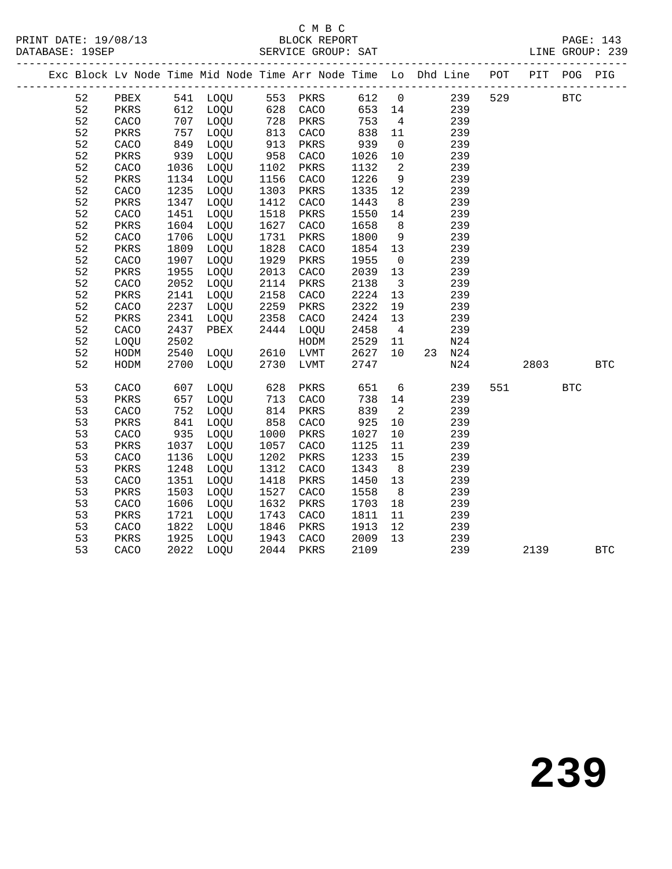#### C M B C<br>BLOCK REPORT SERVICE GROUP: SAT

|  |    |      |      |      |                   |      |      |                         | Exc Block Lv Node Time Mid Node Time Arr Node Time Lo Dhd Line POT                                        |     | PIT  | POG        | PIG        |
|--|----|------|------|------|-------------------|------|------|-------------------------|-----------------------------------------------------------------------------------------------------------|-----|------|------------|------------|
|  | 52 |      |      |      |                   |      |      |                         | PBEX 541 LOQU 553 PKRS 612 0 239<br>PKRS 612 LOQU 628 CACO 653 14 239<br>CACO 707 LOQU 728 PKRS 753 4 239 | 529 |      | <b>BTC</b> |            |
|  | 52 |      |      |      |                   |      |      |                         |                                                                                                           |     |      |            |            |
|  | 52 |      |      |      |                   |      |      |                         |                                                                                                           |     |      |            |            |
|  | 52 | PKRS | 757  | LOQU | 813               | CACO | 838  | 11                      | 239                                                                                                       |     |      |            |            |
|  | 52 | CACO | 849  | LOQU | 913<br>958        | PKRS | 939  | $\overline{0}$          | 239                                                                                                       |     |      |            |            |
|  | 52 | PKRS | 939  | LOQU |                   | CACO | 1026 | 10                      | 239                                                                                                       |     |      |            |            |
|  | 52 | CACO | 1036 | LOQU | 1102              | PKRS | 1132 | $\overline{2}$          | 239                                                                                                       |     |      |            |            |
|  | 52 | PKRS | 1134 | LOQU | 1156              | CACO | 1226 | 9                       | 239                                                                                                       |     |      |            |            |
|  | 52 | CACO | 1235 | LOQU | 1303              | PKRS | 1335 | 12                      | 239                                                                                                       |     |      |            |            |
|  | 52 | PKRS | 1347 | LOQU | 1412              | CACO | 1443 | 8 <sup>8</sup>          | 239                                                                                                       |     |      |            |            |
|  | 52 | CACO | 1451 | LOQU | 1518              | PKRS | 1550 | 14                      | 239                                                                                                       |     |      |            |            |
|  | 52 | PKRS | 1604 | LOQU | 1627              | CACO | 1658 | 8 <sup>8</sup>          | 239                                                                                                       |     |      |            |            |
|  | 52 | CACO | 1706 | LOQU | 1731              | PKRS | 1800 | 9                       | 239                                                                                                       |     |      |            |            |
|  | 52 | PKRS | 1809 | LOQU | 1828              | CACO | 1854 | 13                      | 239                                                                                                       |     |      |            |            |
|  | 52 | CACO | 1907 | LOQU | 1929              | PKRS | 1955 | $\overline{0}$          | 239                                                                                                       |     |      |            |            |
|  | 52 | PKRS | 1955 | LOQU | 2013              | CACO | 2039 | 13                      | 239                                                                                                       |     |      |            |            |
|  | 52 | CACO | 2052 | LOQU | 2114              | PKRS | 2138 | $\overline{\mathbf{3}}$ | 239                                                                                                       |     |      |            |            |
|  | 52 | PKRS | 2141 | LOQU | 2158              | CACO | 2224 | 13                      | 239                                                                                                       |     |      |            |            |
|  | 52 | CACO | 2237 | LOQU | 2259              | PKRS | 2322 | 19                      | 239                                                                                                       |     |      |            |            |
|  | 52 | PKRS | 2341 | LOQU | 2358              | CACO | 2424 | 13                      | 239                                                                                                       |     |      |            |            |
|  | 52 | CACO | 2437 | PBEX | 2444              | LOQU | 2458 | $\overline{4}$          | 239                                                                                                       |     |      |            |            |
|  | 52 | LOQU | 2502 |      |                   | HODM | 2529 | 11                      | N24                                                                                                       |     |      |            |            |
|  | 52 | HODM | 2540 | LOQU | 2610              | LVMT | 2627 | 10                      | 23 N24                                                                                                    |     |      |            |            |
|  | 52 | HODM | 2700 | LOQU | 2730              | LVMT | 2747 |                         | N24                                                                                                       |     | 2803 |            | <b>BTC</b> |
|  | 53 | CACO | 607  | LOQU | 628               | PKRS | 651  | 6                       | 239                                                                                                       | 551 |      | <b>BTC</b> |            |
|  | 53 | PKRS | 657  | LOQU | 713               | CACO | 738  | 14                      | 239                                                                                                       |     |      |            |            |
|  | 53 | CACO | 752  | LOQU | 858<br>858<br>^0Ր | PKRS | 839  | $\overline{2}$          | 239                                                                                                       |     |      |            |            |
|  | 53 | PKRS | 841  | LOQU |                   | CACO | 925  | 10                      | 239                                                                                                       |     |      |            |            |
|  | 53 | CACO | 935  | LOQU | 1000              | PKRS | 1027 | 10                      | 239                                                                                                       |     |      |            |            |
|  | 53 | PKRS | 1037 | LOQU | 1057              | CACO | 1125 | 11                      | 239                                                                                                       |     |      |            |            |
|  | 53 | CACO | 1136 | LOQU | 1202              | PKRS | 1233 | 15                      | 239                                                                                                       |     |      |            |            |
|  | 53 | PKRS | 1248 | LOQU | 1312              | CACO | 1343 | 8 <sup>8</sup>          | 239                                                                                                       |     |      |            |            |
|  | 53 | CACO | 1351 | LOQU | 1418              | PKRS | 1450 | 13                      | 239                                                                                                       |     |      |            |            |
|  | 53 | PKRS | 1503 | LOQU | 1527              | CACO | 1558 | 8                       | 239                                                                                                       |     |      |            |            |
|  | 53 | CACO | 1606 | LOQU | 1632              | PKRS | 1703 | 18                      | 239                                                                                                       |     |      |            |            |
|  | 53 | PKRS | 1721 | LOQU | 1743              | CACO | 1811 | 11                      | 239                                                                                                       |     |      |            |            |
|  | 53 | CACO | 1822 | LOQU | 1846              | PKRS | 1913 | 12                      | 239                                                                                                       |     |      |            |            |
|  | 53 | PKRS | 1925 | LOQU | 1943              | CACO | 2009 | 13                      | 239                                                                                                       |     |      |            |            |
|  | 53 | CACO | 2022 | LOQU | 2044              | PKRS | 2109 |                         | 239                                                                                                       |     | 2139 |            | <b>BTC</b> |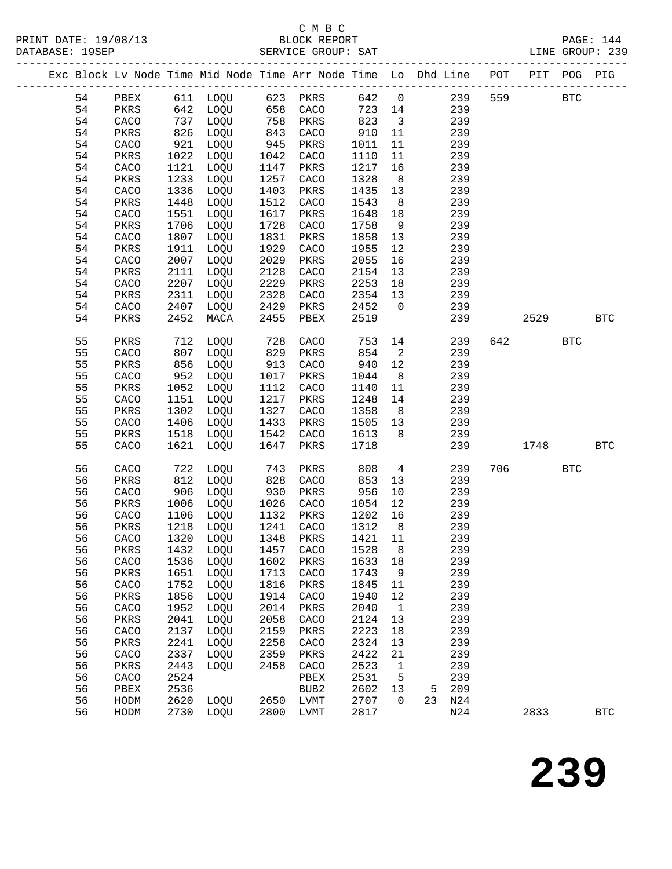# C M B C

|  |          |              |              |                      |              | Exc Block Lv Node Time Mid Node Time Arr Node Time Lo Dhd Line POT PIT POG PIG |              |                         |        |            |     |             |            |              |
|--|----------|--------------|--------------|----------------------|--------------|--------------------------------------------------------------------------------|--------------|-------------------------|--------|------------|-----|-------------|------------|--------------|
|  |          |              |              |                      |              | 54 PBEX 611 LOQU 623 PKRS 642 0                                                |              |                         |        |            |     | 239 559 BTC |            |              |
|  | 54       |              |              |                      |              | PKRS 642 LOQU 658 CACO                                                         |              |                         | 723 14 | 239        |     |             |            |              |
|  | 54       | CACO         |              | 737 LOQU             |              | 758 PKRS<br>843 CACO<br>945 PKRS                                               | 823          | $\overline{\mathbf{3}}$ |        | 239        |     |             |            |              |
|  | 54       | PKRS         |              | 826 LOQU<br>921 LOQU |              |                                                                                | 910 11       |                         |        | 239        |     |             |            |              |
|  | 54       | CACO         |              |                      |              |                                                                                | 1011         | 11                      |        | 239        |     |             |            |              |
|  | 54       | PKRS         |              | 1022 LOQU            | 1042         | CACO                                                                           | 1110         | 11                      |        | 239        |     |             |            |              |
|  | 54       | CACO         | 1121         | LOQU                 | 1147         | PKRS                                                                           | 1217         | 16                      |        | 239        |     |             |            |              |
|  | 54       | PKRS         | 1233         | LOQU                 | 1257         | CACO                                                                           | 1328         | 8 <sup>8</sup>          |        | 239        |     |             |            |              |
|  | 54       | CACO         | 1336         | LOQU                 | 1403         | PKRS                                                                           | 1435         | 13                      |        | 239        |     |             |            |              |
|  | 54       | PKRS         | 1448         | LOQU                 | 1512         | CACO                                                                           | 1543         | 8 <sup>8</sup>          |        | 239        |     |             |            |              |
|  | 54       | CACO         | 1551         | LOQU                 | 1617         | PKRS                                                                           | 1648         | 18                      |        | 239        |     |             |            |              |
|  | 54       | PKRS         | 1706         | LOQU                 | 1728         | CACO                                                                           | 1758         | 9                       |        | 239        |     |             |            |              |
|  | 54       | CACO         | 1807         | LOQU                 | 1831         | PKRS                                                                           | 1858         | 13                      |        | 239        |     |             |            |              |
|  | 54       | PKRS         | 1911         | LOQU                 | 1929         | CACO                                                                           | 1955         | 12                      |        | 239        |     |             |            |              |
|  | 54       | CACO         | 2007         | LOQU                 | 2029         | PKRS                                                                           | 2055         | 16                      |        | 239        |     |             |            |              |
|  | 54       | PKRS         | 2111         | LOQU                 | 2128         | CACO                                                                           | 2154         | 13                      |        | 239        |     |             |            |              |
|  | 54       | CACO         | 2207         | LOQU                 | 2229         | PKRS                                                                           | 2253         | 18                      |        | 239        |     |             |            |              |
|  | 54       | PKRS         | 2311         | LOQU                 | 2328         | CACO                                                                           | 2354 13      |                         |        | 239        |     |             |            |              |
|  | 54       | CACO         | 2407         | LOQU                 | 2429         | PKRS                                                                           | 2452         | $\overline{0}$          |        | 239        |     |             |            |              |
|  | 54       | PKRS         | 2452         | MACA                 | 2455         | PBEX                                                                           | 2519         |                         |        | 239        |     | 2529        |            | <b>BTC</b>   |
|  | 55       | PKRS         |              | 712 LOQU             | 728          | CACO                                                                           | 753          |                         | 14 \,  | 239        | 642 |             | <b>BTC</b> |              |
|  | 55       | CACO         | 807          | LOQU                 | 829          | PKRS                                                                           | 854          | $\overline{2}$          |        | 239        |     |             |            |              |
|  | 55       | PKRS         | 856          | LOQU                 | 913          | CACO                                                                           | 940          | 12                      |        | 239        |     |             |            |              |
|  | 55       | CACO         | 952          | LOQU                 | 1017         | PKRS                                                                           | 1044         | 8 <sup>8</sup>          |        | 239        |     |             |            |              |
|  | 55       | PKRS         | 1052         | LOQU                 | 1112         | CACO                                                                           | 1140         | 11                      |        | 239        |     |             |            |              |
|  | 55<br>55 | CACO         | 1151         | LOQU                 | 1217         | PKRS                                                                           | 1248         | 14                      |        | 239        |     |             |            |              |
|  | 55       | PKRS<br>CACO | 1302<br>1406 | LOQU<br>LOQU         | 1327<br>1433 | CACO<br>PKRS                                                                   | 1358<br>1505 | 8 <sup>8</sup><br>13    |        | 239<br>239 |     |             |            |              |
|  | 55       | PKRS         |              | 1518 LOQU            | 1542         | CACO                                                                           | 1613         | 8 <sup>8</sup>          |        | 239        |     |             |            |              |
|  | 55       | CACO         | 1621         | LOQU                 | 1647         | PKRS                                                                           | 1718         |                         |        | 239        |     | 1748        |            | <b>BTC</b>   |
|  | 56       | CACO         |              |                      |              | PKRS                                                                           | 808          | $4\overline{4}$         |        | 239        |     | 706 700     | <b>BTC</b> |              |
|  | 56       | PKRS         |              | 722 LOQU<br>812 LOQU | 743<br>828   | CACO                                                                           | 853          | 13                      |        | 239        |     |             |            |              |
|  | 56       | CACO         |              | 906 LOQU             | 930          | PKRS                                                                           | 956          | 10                      |        | 239        |     |             |            |              |
|  | 56       | PKRS         |              | 1006 LOQU            | 1026         | CACO                                                                           | 1054         | 12                      |        | 239        |     |             |            |              |
|  | 56       | CACO         |              | 1106 LOQU            |              | 1132 F.W.<br>1241 CACO                                                         | 1202 16      |                         |        | 239        |     |             |            |              |
|  | 56       | PKRS         |              | 1218 LOQU            |              |                                                                                | 1312         | 8 <sup>8</sup>          |        | 239        |     |             |            |              |
|  |          |              |              |                      |              | 56 CACO 1320 LOQU 1348 PKRS 1421 11 239                                        |              |                         |        |            |     |             |            |              |
|  | 56       | PKRS         | 1432         | LOOU                 | 1457         | CACO                                                                           | 1528         | 8                       |        | 239        |     |             |            |              |
|  | 56       | CACO         | 1536         | LOQU                 | 1602         | PKRS                                                                           | 1633         | 18                      |        | 239        |     |             |            |              |
|  | 56       | PKRS         | 1651         | LOQU                 | 1713         | CACO                                                                           | 1743         | - 9                     |        | 239        |     |             |            |              |
|  | 56       | CACO         | 1752         | LOQU                 | 1816         | PKRS                                                                           | 1845         | 11                      |        | 239        |     |             |            |              |
|  | 56       | PKRS         | 1856         | LOQU                 | 1914         | CACO                                                                           | 1940         | 12                      |        | 239        |     |             |            |              |
|  | 56       | CACO         | 1952         | LOQU                 | 2014         | PKRS                                                                           | 2040         | $\mathbf{1}$            |        | 239        |     |             |            |              |
|  | 56       | PKRS         | 2041         | LOQU                 | 2058         | CACO                                                                           | 2124         | 13                      |        | 239        |     |             |            |              |
|  | 56       | CACO         | 2137         | LOQU                 | 2159         | PKRS                                                                           | 2223         | 18                      |        | 239        |     |             |            |              |
|  | 56       | PKRS         | 2241         | LOQU                 | 2258         | CACO                                                                           | 2324         | 13                      |        | 239        |     |             |            |              |
|  | 56<br>56 | CACO         | 2337<br>2443 | LOQU                 | 2359         | PKRS                                                                           | 2422<br>2523 | 21                      |        | 239<br>239 |     |             |            |              |
|  | 56       | PKRS<br>CACO | 2524         | LOQU                 | 2458         | CACO<br>PBEX                                                                   | 2531         | $\mathbf{1}$<br>5       |        | 239        |     |             |            |              |
|  | 56       | PBEX         | 2536         |                      |              | BUB2                                                                           | 2602         | 13                      | 5      | 209        |     |             |            |              |
|  | 56       | HODM         | 2620         | LOQU                 | 2650         | LVMT                                                                           | 2707         | $\overline{0}$          | 23     | N24        |     |             |            |              |
|  | 56       | HODM         |              | 2730 LOQU            | 2800         | LVMT                                                                           | 2817         |                         |        | N24        |     | 2833        |            | $_{\rm BTC}$ |
|  |          |              |              |                      |              |                                                                                |              |                         |        |            |     |             |            |              |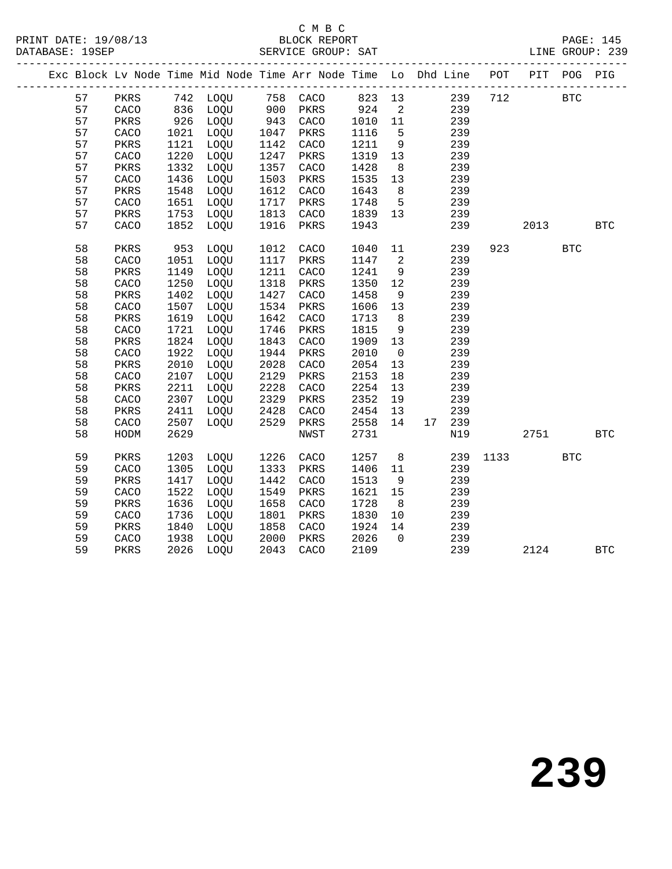## C M B C

|  |    |      |      |                                                                                                                                                 |      | Exc Block Lv Node Time Mid Node Time Arr Node Time Lo Dhd Line POT PIT POG PIG |                                                      |                |                                        |     |     |      |            |            |
|--|----|------|------|-------------------------------------------------------------------------------------------------------------------------------------------------|------|--------------------------------------------------------------------------------|------------------------------------------------------|----------------|----------------------------------------|-----|-----|------|------------|------------|
|  | 57 |      |      |                                                                                                                                                 |      | PKRS 742 LOQU 758 CACO 823 13 239 712 BTC                                      |                                                      |                |                                        |     |     |      |            |            |
|  | 57 |      |      |                                                                                                                                                 |      |                                                                                |                                                      |                | $\begin{array}{c} 2 \\ 11 \end{array}$ | 239 |     |      |            |            |
|  | 57 |      |      |                                                                                                                                                 |      |                                                                                | $\begin{array}{cc} 924 & 2 \\ 1010 & 11 \end{array}$ |                |                                        | 239 |     |      |            |            |
|  | 57 |      |      | $\begin{tabular}{lllllllll} CACC & 836 & LOQU & 900 & PRRS \\ PRRS & 926 & LOQU & 943 & CACC \\ CACC & 1021 & LOQU & 1047 & PRRS \end{tabular}$ |      |                                                                                | 1116                                                 | $5^{\circ}$    |                                        | 239 |     |      |            |            |
|  | 57 | PKRS | 1121 | LOQU                                                                                                                                            | 1142 | CACO                                                                           | 1211                                                 | 9              |                                        | 239 |     |      |            |            |
|  | 57 | CACO | 1220 | LOQU                                                                                                                                            | 1247 | PKRS                                                                           | 1319 13                                              |                |                                        | 239 |     |      |            |            |
|  | 57 | PKRS | 1332 | LOQU                                                                                                                                            | 1357 | CACO                                                                           | 1428                                                 | 8 <sup>8</sup> |                                        | 239 |     |      |            |            |
|  | 57 | CACO | 1436 | LOQU                                                                                                                                            | 1503 | PKRS                                                                           | 1535                                                 | 13             |                                        | 239 |     |      |            |            |
|  | 57 | PKRS | 1548 | LOQU                                                                                                                                            | 1612 | CACO                                                                           | 1643                                                 | 8 <sup>8</sup> |                                        | 239 |     |      |            |            |
|  | 57 | CACO | 1651 | LOQU                                                                                                                                            | 1717 | PKRS                                                                           | 1748                                                 | $5^{\circ}$    |                                        | 239 |     |      |            |            |
|  | 57 | PKRS |      | 1753 LOQU                                                                                                                                       | 1813 | CACO                                                                           | 1839 13                                              |                |                                        | 239 |     |      |            |            |
|  | 57 | CACO | 1852 | LOQU                                                                                                                                            | 1916 | PKRS                                                                           | 1943                                                 |                |                                        | 239 |     | 2013 |            | BTC        |
|  | 58 | PKRS |      | 953 LOQU                                                                                                                                        | 1012 | CACO                                                                           | 1040                                                 | 11             |                                        | 239 | 923 |      | <b>BTC</b> |            |
|  | 58 | CACO | 1051 | LOQU                                                                                                                                            | 1117 | PKRS                                                                           | 1147                                                 | $\overline{a}$ |                                        | 239 |     |      |            |            |
|  | 58 | PKRS | 1149 | LOQU                                                                                                                                            | 1211 | CACO                                                                           | 1241                                                 | 9              |                                        | 239 |     |      |            |            |
|  | 58 | CACO | 1250 | LOQU                                                                                                                                            | 1318 | PKRS                                                                           | 1350                                                 | 12             |                                        | 239 |     |      |            |            |
|  | 58 | PKRS | 1402 | LOQU                                                                                                                                            | 1427 | CACO                                                                           | 1458                                                 | 9              |                                        | 239 |     |      |            |            |
|  | 58 | CACO | 1507 | LOQU                                                                                                                                            | 1534 | PKRS                                                                           | 1606                                                 | 13             |                                        | 239 |     |      |            |            |
|  | 58 | PKRS | 1619 | LOQU                                                                                                                                            | 1642 | CACO                                                                           | 1713                                                 | 8 <sup>8</sup> |                                        | 239 |     |      |            |            |
|  | 58 | CACO | 1721 | LOQU                                                                                                                                            | 1746 | PKRS                                                                           | 1815                                                 | 9              |                                        | 239 |     |      |            |            |
|  | 58 | PKRS | 1824 | LOQU                                                                                                                                            | 1843 | CACO                                                                           | 1909                                                 | 13             |                                        | 239 |     |      |            |            |
|  | 58 | CACO | 1922 | LOQU                                                                                                                                            | 1944 | PKRS                                                                           | 2010                                                 | $\overline{0}$ |                                        | 239 |     |      |            |            |
|  | 58 | PKRS | 2010 | LOQU                                                                                                                                            | 2028 | CACO                                                                           | 2054                                                 | 13             |                                        | 239 |     |      |            |            |
|  | 58 | CACO | 2107 | LOQU                                                                                                                                            | 2129 | PKRS                                                                           | 2153                                                 | 18             |                                        | 239 |     |      |            |            |
|  | 58 | PKRS | 2211 | LOQU                                                                                                                                            | 2228 | CACO                                                                           | 2254                                                 | 13             |                                        | 239 |     |      |            |            |
|  | 58 | CACO | 2307 | LOQU                                                                                                                                            | 2329 | PKRS                                                                           | 2352                                                 | 19             |                                        | 239 |     |      |            |            |
|  | 58 | PKRS | 2411 | LOOU                                                                                                                                            | 2428 | CACO                                                                           | 2454                                                 | 13             |                                        | 239 |     |      |            |            |
|  | 58 | CACO | 2507 | LOOU                                                                                                                                            | 2529 | PKRS                                                                           | 2558                                                 | 14             | 17 239                                 |     |     |      |            |            |
|  | 58 | HODM | 2629 |                                                                                                                                                 |      | NWST                                                                           | 2731                                                 |                |                                        | N19 |     | 2751 |            | <b>BTC</b> |
|  | 59 | PKRS | 1203 | LOQU                                                                                                                                            | 1226 | CACO                                                                           | 1257                                                 | 8 <sup>8</sup> |                                        | 239 |     | 1133 | <b>BTC</b> |            |
|  | 59 | CACO | 1305 | LOQU                                                                                                                                            | 1333 | PKRS                                                                           | 1406                                                 | 11             |                                        | 239 |     |      |            |            |
|  | 59 | PKRS | 1417 | LOQU                                                                                                                                            | 1442 | CACO                                                                           | 1513                                                 | 9              |                                        | 239 |     |      |            |            |
|  | 59 | CACO | 1522 | LOQU                                                                                                                                            | 1549 | PKRS                                                                           | 1621                                                 | 15             |                                        | 239 |     |      |            |            |
|  | 59 | PKRS | 1636 | LOQU                                                                                                                                            | 1658 | CACO                                                                           | 1728                                                 | 8 <sup>8</sup> |                                        | 239 |     |      |            |            |
|  | 59 | CACO | 1736 | LOQU                                                                                                                                            | 1801 | PKRS                                                                           | 1830                                                 | 10             |                                        | 239 |     |      |            |            |
|  | 59 | PKRS | 1840 | LOQU                                                                                                                                            | 1858 | CACO                                                                           | 1924                                                 | 14             |                                        | 239 |     |      |            |            |
|  | 59 | CACO | 1938 | LOQU                                                                                                                                            | 2000 | PKRS                                                                           | 2026                                                 | $\overline{0}$ |                                        | 239 |     |      |            |            |
|  | 59 | PKRS | 2026 | LOQU                                                                                                                                            |      | 2043 CACO                                                                      | 2109                                                 |                |                                        | 239 |     | 2124 |            | <b>BTC</b> |
|  |    |      |      |                                                                                                                                                 |      |                                                                                |                                                      |                |                                        |     |     |      |            |            |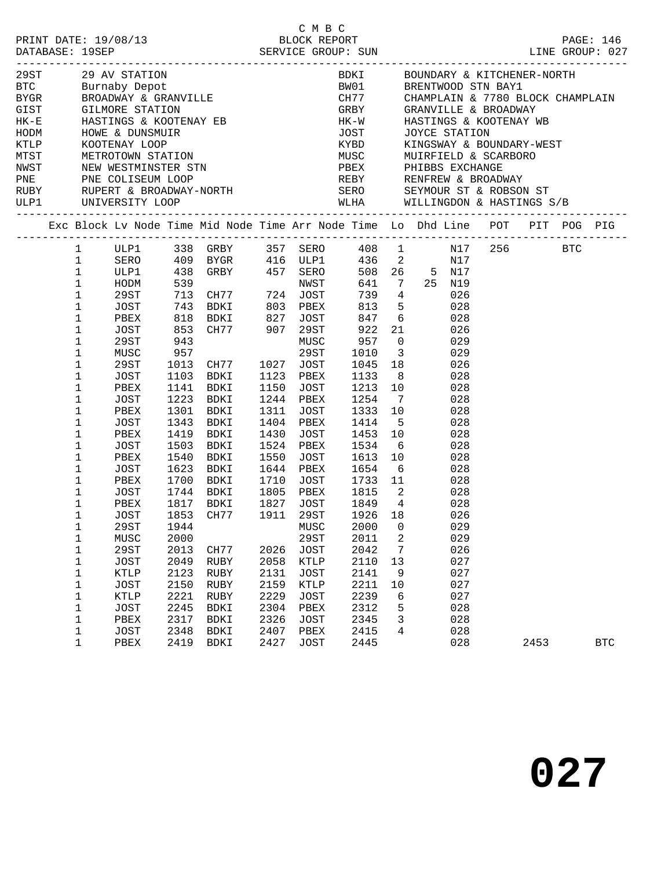| ULP1 UNIVERSITY LOOP |                                                                                                                                                                                                                                                                              |                                                                                                                                                                                                      |                                                                                                   |                                                                                                                                                                                                                                                          |                                                      |                                                                                                                                                                                                                |                                                                                                                                                                                             |                                                                                                        | WLHA WILLINGDON & HASTINGS S/B                                                                                                                                                                                                                                                                               |      |            |
|----------------------|------------------------------------------------------------------------------------------------------------------------------------------------------------------------------------------------------------------------------------------------------------------------------|------------------------------------------------------------------------------------------------------------------------------------------------------------------------------------------------------|---------------------------------------------------------------------------------------------------|----------------------------------------------------------------------------------------------------------------------------------------------------------------------------------------------------------------------------------------------------------|------------------------------------------------------|----------------------------------------------------------------------------------------------------------------------------------------------------------------------------------------------------------------|---------------------------------------------------------------------------------------------------------------------------------------------------------------------------------------------|--------------------------------------------------------------------------------------------------------|--------------------------------------------------------------------------------------------------------------------------------------------------------------------------------------------------------------------------------------------------------------------------------------------------------------|------|------------|
|                      |                                                                                                                                                                                                                                                                              |                                                                                                                                                                                                      |                                                                                                   |                                                                                                                                                                                                                                                          |                                                      |                                                                                                                                                                                                                |                                                                                                                                                                                             |                                                                                                        | Exc Block Lv Node Time Mid Node Time Arr Node Time Lo Dhd Line POT PIT POG PIG                                                                                                                                                                                                                               |      |            |
|                      | $\mathbf{1}$<br>$\mathbf{1}$<br>$\mathbf 1$<br>$\mathbf 1$<br>$\mathbf 1$<br>$\mathbf 1$<br>$\mathbf 1$<br>1<br>$\mathbf 1$<br>1<br>$\mathbf 1$<br>1<br>$\mathbf 1$<br>1<br>1<br>$\mathbf 1$<br>1<br>1<br>$\mathbf 1$<br>1<br>1<br>$\mathbf 1$<br>$\mathbf 1$<br>1<br>1<br>1 | SERO<br>ULP1<br>HODM<br>29ST<br>JOST<br>PBEX<br>JOST<br>29ST<br>MUSC<br>29ST<br>JOST<br>PBEX<br>JOST<br>PBEX<br>JOST<br>PBEX<br>JOST<br>PBEX<br>JOST<br>PBEX<br>JOST<br>PBEX<br>JOST<br>29ST<br>MUSC | 539<br>943<br>957<br>1223<br>1301<br>1343<br>1419<br>1503<br>1540<br>1623<br>1700<br>1853<br>2000 | ULP1 338 GRBY 357 SERO<br>713 CH77 724 JOST<br>743 BDKI 803<br>818 BDKI 827<br>853 CH77 907<br>1013 CH77<br>1103 BDKI<br>1141 BDKI<br>BDKI<br>BDKI<br>BDKI<br>BDKI<br>BDKI<br>BDKI<br>BDKI<br>BDKI<br>1744 BDKI<br>1817 BDKI<br>CH77<br>1944 MUSC 2000 0 | 1150<br>1244<br>1430<br>1550<br>1710<br>1805<br>1827 | NWST<br>PBEX<br>JOST<br><b>29ST</b><br>MUSC<br>29ST<br>1027 JOST<br>1123 PBEX<br>JOST<br>PBEX<br>1311 JOST<br>1404 PBEX<br>JOST<br>1524 PBEX<br>JOST<br>1644 PBEX<br>JOST<br>PBEX<br>JOST<br>1911 29ST<br>29ST | 739 4<br>813<br>847<br>922<br>957<br>1010<br>1045 18<br>1133 8<br>1213 10<br>1254<br>1333 10<br>1414<br>1453 10<br>1534<br>1613<br>1654 6<br>1733 11<br>1815 2<br>1849 4<br>1926 18<br>2011 | $6\overline{6}$<br>21<br>$\overline{0}$<br>$\overline{\mathbf{3}}$<br>7<br>$5^{\circ}$<br>6<br>10<br>2 | $\begin{tabular}{ccccc} 408 & 1 & \quad N17 & 256 & \quad \text{BTC} \end{tabular}$<br>436 2 N17<br>508 26 5 N17<br>641 7 25 N19<br>026<br>5 <sub>1</sub><br>028<br>028<br>026<br>029<br>029<br>026<br>028<br>028<br>028<br>028<br>028<br>028<br>028<br>028<br>028<br>028<br>028<br>028<br>026<br>029<br>029 |      |            |
|                      | $\mathbf 1$<br>$\mathbf 1$<br>1<br>$\mathbf 1$<br>1<br>$\mathbf 1$<br>1<br>1<br>$\mathbf 1$                                                                                                                                                                                  | 29ST<br>JOST<br>KTLP<br>JOST<br>KTLP<br>JOST<br>PBEX<br>JOST<br>PBEX                                                                                                                                 | 2013<br>2049<br>2123<br>2150<br>2221<br>2245<br>2317<br>2348<br>2419                              | CH77<br>RUBY<br>RUBY<br>RUBY<br>RUBY<br>BDKI<br>BDKI<br><b>BDKI</b><br>BDKI                                                                                                                                                                              | 2131<br>2159<br>2229<br>2304<br>2326<br>2407<br>2427 | 2026 JOST<br>2058 KTLP<br>JOST<br>KTLP<br>JOST<br>PBEX<br><b>JOST</b><br>PBEX<br><b>JOST</b>                                                                                                                   | 2042<br>2110<br>2141<br>2211<br>2239<br>2312<br>2345<br>2415<br>2445                                                                                                                        | 7<br>13<br>9<br>10<br>6<br>5<br>3<br>4                                                                 | 026<br>027<br>027<br>027<br>027<br>028<br>028<br>028<br>028                                                                                                                                                                                                                                                  | 2453 | <b>BTC</b> |

C M B C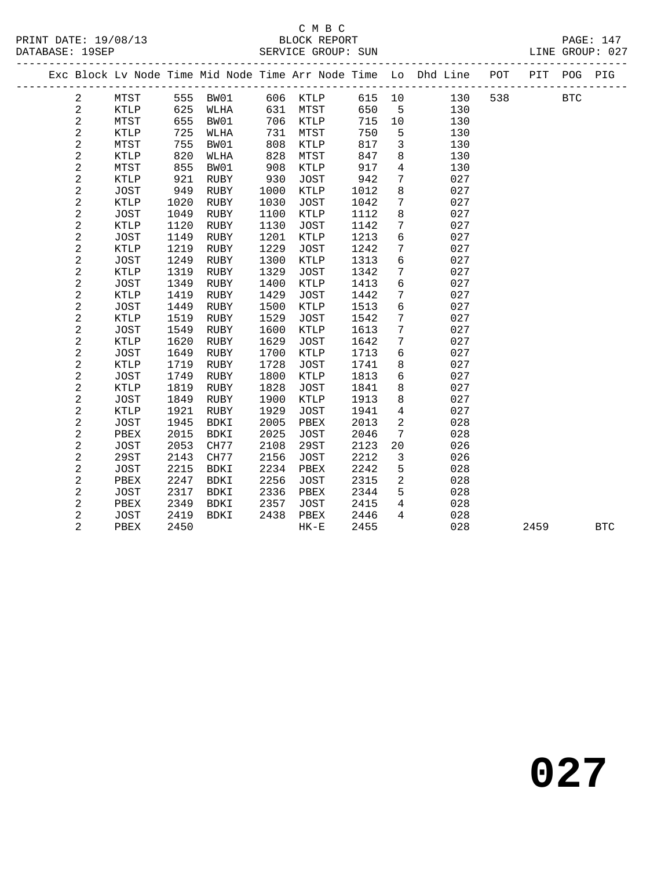#### C M B C

| DATABASE: 19SEP |                |      |      | ------------------------- |      | SERVICE GROUP: SUN |      |                 | LINE GROUP: 027                                                                |     |      |            |            |
|-----------------|----------------|------|------|---------------------------|------|--------------------|------|-----------------|--------------------------------------------------------------------------------|-----|------|------------|------------|
|                 |                |      |      |                           |      |                    |      |                 | Exc Block Lv Node Time Mid Node Time Arr Node Time Lo Dhd Line POT PIT POG PIG |     |      |            |            |
|                 | $\overline{2}$ | MTST |      | 555 BW01                  |      | 606 KTLP           |      |                 | 615 10<br>130                                                                  | 538 |      | <b>BTC</b> |            |
|                 | $\sqrt{2}$     | KTLP | 625  | WLHA                      |      | 631 MTST           | 650  | $5^{\circ}$     | 130                                                                            |     |      |            |            |
|                 | $\sqrt{2}$     | MTST | 655  | BW01                      |      | 706 KTLP           | 715  | 10              | 130                                                                            |     |      |            |            |
|                 | $\sqrt{2}$     | KTLP | 725  | WLHA                      | 731  | MTST               | 750  | 5               | 130                                                                            |     |      |            |            |
|                 | $\sqrt{2}$     | MTST | 755  | BW01                      | 808  | KTLP               | 817  | $\mathbf{3}$    | 130                                                                            |     |      |            |            |
|                 | $\overline{c}$ | KTLP | 820  | WLHA                      | 828  | MTST               | 847  | 8               | 130                                                                            |     |      |            |            |
|                 | $\sqrt{2}$     | MTST | 855  | BW01                      | 908  | KTLP               | 917  | $\overline{4}$  | 130                                                                            |     |      |            |            |
|                 | $\mathbf{2}$   | KTLP | 921  | RUBY                      | 930  | JOST               | 942  | $7\phantom{.0}$ | 027                                                                            |     |      |            |            |
|                 | $\sqrt{2}$     | JOST | 949  | RUBY                      | 1000 | KTLP               | 1012 | 8               | 027                                                                            |     |      |            |            |
|                 | $\sqrt{2}$     | KTLP | 1020 | RUBY                      | 1030 | JOST               | 1042 | $7\phantom{.0}$ | 027                                                                            |     |      |            |            |
|                 | $\sqrt{2}$     | JOST | 1049 | RUBY                      | 1100 | KTLP               | 1112 | 8               | 027                                                                            |     |      |            |            |
|                 | $\overline{c}$ | KTLP | 1120 | RUBY                      | 1130 | JOST               | 1142 | $7\phantom{.0}$ | 027                                                                            |     |      |            |            |
|                 | $\mathbf{2}$   | JOST | 1149 | RUBY                      | 1201 | KTLP               | 1213 | 6               | 027                                                                            |     |      |            |            |
|                 | $\overline{c}$ | KTLP | 1219 | RUBY                      | 1229 | JOST               | 1242 | $7\phantom{.0}$ | 027                                                                            |     |      |            |            |
|                 | $\overline{c}$ | JOST | 1249 | RUBY                      | 1300 | KTLP               | 1313 | 6               | 027                                                                            |     |      |            |            |
|                 | $\overline{c}$ | KTLP | 1319 | RUBY                      | 1329 | JOST               | 1342 | $7\phantom{.0}$ | 027                                                                            |     |      |            |            |
|                 | $\sqrt{2}$     | JOST | 1349 | RUBY                      | 1400 | KTLP               | 1413 | 6               | 027                                                                            |     |      |            |            |
|                 | $\sqrt{2}$     | KTLP | 1419 | RUBY                      | 1429 | JOST               | 1442 | $7\phantom{.0}$ | 027                                                                            |     |      |            |            |
|                 | $\sqrt{2}$     | JOST | 1449 | RUBY                      | 1500 | KTLP               | 1513 | 6               | 027                                                                            |     |      |            |            |
|                 | $\mathbf{2}$   | KTLP | 1519 | RUBY                      | 1529 | JOST               | 1542 | $7\phantom{.0}$ | 027                                                                            |     |      |            |            |
|                 | $\overline{c}$ | JOST | 1549 | RUBY                      | 1600 | KTLP               | 1613 | $7\phantom{.0}$ | 027                                                                            |     |      |            |            |
|                 | $\mathbf{2}$   | KTLP | 1620 | RUBY                      | 1629 | JOST               | 1642 | $7\overline{ }$ | 027                                                                            |     |      |            |            |
|                 | $\sqrt{2}$     | JOST | 1649 | RUBY                      | 1700 | KTLP               | 1713 | $6\overline{6}$ | 027                                                                            |     |      |            |            |
|                 | $\sqrt{2}$     | KTLP | 1719 | RUBY                      | 1728 | JOST               | 1741 | 8               | 027                                                                            |     |      |            |            |
|                 | $\sqrt{2}$     | JOST | 1749 | RUBY                      | 1800 | KTLP               | 1813 | $6\overline{6}$ | 027                                                                            |     |      |            |            |
|                 | $\sqrt{2}$     | KTLP | 1819 | RUBY                      | 1828 | JOST               | 1841 | 8               | 027                                                                            |     |      |            |            |
|                 | $\mathbf{2}$   | JOST | 1849 | RUBY                      | 1900 | KTLP               | 1913 | 8               | 027                                                                            |     |      |            |            |
|                 | $\sqrt{2}$     | KTLP | 1921 | RUBY                      | 1929 | JOST               | 1941 | $\overline{4}$  | 027                                                                            |     |      |            |            |
|                 | $\overline{c}$ | JOST | 1945 | BDKI                      | 2005 | PBEX               | 2013 | $\overline{2}$  | 028                                                                            |     |      |            |            |
|                 | $\sqrt{2}$     | PBEX | 2015 | BDKI                      | 2025 | JOST               | 2046 | $7\phantom{.0}$ | 028                                                                            |     |      |            |            |
|                 | $\sqrt{2}$     | JOST | 2053 | CH77                      | 2108 | 29ST               | 2123 | $20\,$          | 026                                                                            |     |      |            |            |
|                 | $\sqrt{2}$     | 29ST | 2143 | CH77                      | 2156 | JOST               | 2212 | $\mathsf{3}$    | 026                                                                            |     |      |            |            |
|                 | $\overline{c}$ | JOST | 2215 | BDKI                      | 2234 | PBEX               | 2242 | 5               | 028                                                                            |     |      |            |            |
|                 | $\mathbf{2}$   | PBEX | 2247 | BDKI                      | 2256 | JOST               | 2315 | $\overline{2}$  | 028                                                                            |     |      |            |            |
|                 | 2              | JOST | 2317 | BDKI                      | 2336 | PBEX               | 2344 | 5 <sup>5</sup>  | 028                                                                            |     |      |            |            |
|                 | $\mathbf{2}$   | PBEX | 2349 | BDKI                      | 2357 | JOST               | 2415 | $4\overline{ }$ | 028                                                                            |     |      |            |            |
|                 | $\overline{2}$ | JOST | 2419 | BDKI                      | 2438 | PBEX               | 2446 | $\overline{4}$  | 028                                                                            |     |      |            |            |
|                 | $\overline{2}$ | PBEX | 2450 |                           |      | $HK-E$             | 2455 |                 | 028                                                                            |     | 2459 |            | <b>BTC</b> |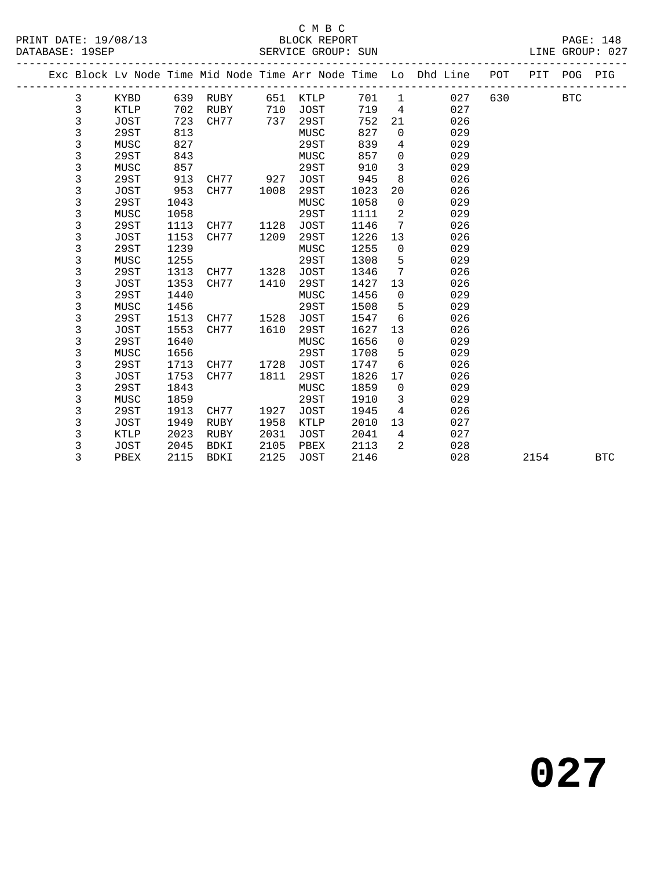#### C M B C<br>BLOCK REPORT

SERVICE GROUP: SUN

|  |   |             |      |             |      |             |      |             | Exc Block Lv Node Time Mid Node Time Arr Node Time Lo Dhd Line | POT | PIT  | POG        | PIG        |
|--|---|-------------|------|-------------|------|-------------|------|-------------|----------------------------------------------------------------|-----|------|------------|------------|
|  | 3 | <b>KYBD</b> | 639  | RUBY        | 651  | <b>KTLP</b> | 701  | 1           | 027                                                            | 630 |      | <b>BTC</b> |            |
|  | 3 | <b>KTLP</b> | 702  | <b>RUBY</b> | 710  | <b>JOST</b> | 719  | 4           | 027                                                            |     |      |            |            |
|  | 3 | <b>JOST</b> | 723  | CH77        | 737  | 29ST        | 752  | 21          | 026                                                            |     |      |            |            |
|  | 3 | 29ST        | 813  |             |      | MUSC        | 827  | 0           | 029                                                            |     |      |            |            |
|  | 3 | MUSC        | 827  |             |      | 29ST        | 839  | 4           | 029                                                            |     |      |            |            |
|  | 3 | 29ST        | 843  |             |      | MUSC        | 857  | $\mathbf 0$ | 029                                                            |     |      |            |            |
|  | 3 | MUSC        | 857  |             |      | 29ST        | 910  | 3           | 029                                                            |     |      |            |            |
|  | 3 | 29ST        | 913  | CH77        | 927  | <b>JOST</b> | 945  | 8           | 026                                                            |     |      |            |            |
|  | 3 | <b>JOST</b> | 953  | CH77        | 1008 | 29ST        | 1023 | 20          | 026                                                            |     |      |            |            |
|  | 3 | 29ST        | 1043 |             |      | MUSC        | 1058 | 0           | 029                                                            |     |      |            |            |
|  | 3 | MUSC        | 1058 |             |      | 29ST        | 1111 | 2           | 029                                                            |     |      |            |            |
|  | 3 | 29ST        | 1113 | CH77        | 1128 | <b>JOST</b> | 1146 | 7           | 026                                                            |     |      |            |            |
|  | 3 | <b>JOST</b> | 1153 | CH77        | 1209 | 29ST        | 1226 | 13          | 026                                                            |     |      |            |            |
|  | 3 | 29ST        | 1239 |             |      | MUSC        | 1255 | 0           | 029                                                            |     |      |            |            |
|  | 3 | MUSC        | 1255 |             |      | <b>29ST</b> | 1308 | 5           | 029                                                            |     |      |            |            |
|  | 3 | 29ST        | 1313 | CH77        | 1328 | <b>JOST</b> | 1346 | 7           | 026                                                            |     |      |            |            |
|  | 3 | <b>JOST</b> | 1353 | CH77        | 1410 | 29ST        | 1427 | 13          | 026                                                            |     |      |            |            |
|  | 3 | 29ST        | 1440 |             |      | MUSC        | 1456 | 0           | 029                                                            |     |      |            |            |
|  | 3 | MUSC        | 1456 |             |      | 29ST        | 1508 | 5           | 029                                                            |     |      |            |            |
|  | 3 | 29ST        | 1513 | CH77        | 1528 | <b>JOST</b> | 1547 | 6           | 026                                                            |     |      |            |            |
|  | 3 | <b>JOST</b> | 1553 | CH77        | 1610 | 29ST        | 1627 | 13          | 026                                                            |     |      |            |            |
|  | 3 | 29ST        | 1640 |             |      | MUSC        | 1656 | 0           | 029                                                            |     |      |            |            |
|  | 3 | MUSC        | 1656 |             |      | 29ST        | 1708 | 5           | 029                                                            |     |      |            |            |
|  | 3 | 29ST        | 1713 | CH77        | 1728 | <b>JOST</b> | 1747 | 6           | 026                                                            |     |      |            |            |
|  | 3 | <b>JOST</b> | 1753 | CH77        | 1811 | <b>29ST</b> | 1826 | 17          | 026                                                            |     |      |            |            |
|  | 3 | 29ST        | 1843 |             |      | MUSC        | 1859 | 0           | 029                                                            |     |      |            |            |
|  | 3 | MUSC        | 1859 |             |      | 29ST        | 1910 | 3           | 029                                                            |     |      |            |            |
|  | 3 | 29ST        | 1913 | CH77        | 1927 | <b>JOST</b> | 1945 | 4           | 026                                                            |     |      |            |            |
|  | 3 | <b>JOST</b> | 1949 | RUBY        | 1958 | <b>KTLP</b> | 2010 | 13          | 027                                                            |     |      |            |            |
|  | 3 | <b>KTLP</b> | 2023 | RUBY        | 2031 | <b>JOST</b> | 2041 | 4           | 027                                                            |     |      |            |            |
|  | 3 | <b>JOST</b> | 2045 | <b>BDKI</b> | 2105 | PBEX        | 2113 | 2           | 028                                                            |     |      |            |            |
|  | 3 | PBEX        | 2115 | <b>BDKI</b> | 2125 | <b>JOST</b> | 2146 |             | 028                                                            |     | 2154 |            | <b>BTC</b> |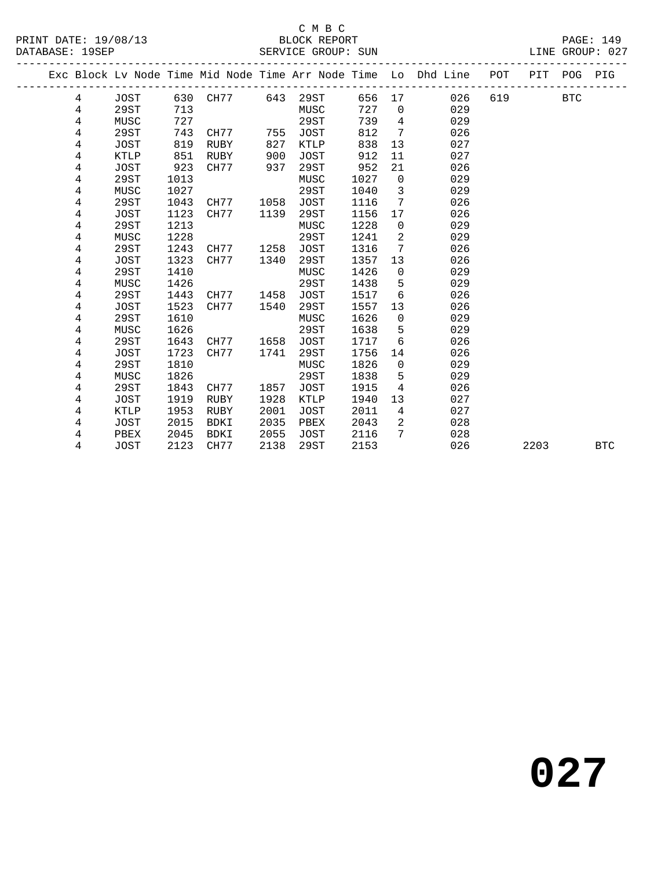#### C M B C<br>BLOCK REPORT

|  |   |             |      |             |      |             |      |             | Exc Block Lv Node Time Mid Node Time Arr Node Time Lo Dhd Line | POT | PIT  | POG        | PIG        |
|--|---|-------------|------|-------------|------|-------------|------|-------------|----------------------------------------------------------------|-----|------|------------|------------|
|  | 4 | JOST        |      | 630 CH77    | 643  | 29ST        | 656  | 17          | 026                                                            | 619 |      | <b>BTC</b> |            |
|  | 4 | 29ST        | 713  |             |      | MUSC        | 727  | $\mathbf 0$ | 029                                                            |     |      |            |            |
|  | 4 | MUSC        | 727  |             |      | 29ST        | 739  | 4           | 029                                                            |     |      |            |            |
|  | 4 | 29ST        | 743  | CH77        | 755  | JOST        | 812  | 7           | 026                                                            |     |      |            |            |
|  | 4 | <b>JOST</b> | 819  | RUBY        | 827  | <b>KTLP</b> | 838  | 13          | 027                                                            |     |      |            |            |
|  | 4 | <b>KTLP</b> | 851  | RUBY        | 900  | <b>JOST</b> | 912  | 11          | 027                                                            |     |      |            |            |
|  | 4 | <b>JOST</b> | 923  | CH77        | 937  | 29ST        | 952  | 21          | 026                                                            |     |      |            |            |
|  | 4 | 29ST        | 1013 |             |      | MUSC        | 1027 | $\mathbf 0$ | 029                                                            |     |      |            |            |
|  | 4 | MUSC        | 1027 |             |      | 29ST        | 1040 | 3           | 029                                                            |     |      |            |            |
|  | 4 | 29ST        | 1043 | CH77        | 1058 | <b>JOST</b> | 1116 | 7           | 026                                                            |     |      |            |            |
|  | 4 | JOST        | 1123 | CH77        | 1139 | 29ST        | 1156 | 17          | 026                                                            |     |      |            |            |
|  | 4 | 29ST        | 1213 |             |      | MUSC        | 1228 | $\mathbf 0$ | 029                                                            |     |      |            |            |
|  | 4 | MUSC        | 1228 |             |      | 29ST        | 1241 | 2           | 029                                                            |     |      |            |            |
|  | 4 | 29ST        | 1243 | CH77        | 1258 | <b>JOST</b> | 1316 | 7           | 026                                                            |     |      |            |            |
|  | 4 | <b>JOST</b> | 1323 | CH77        | 1340 | 29ST        | 1357 | 13          | 026                                                            |     |      |            |            |
|  | 4 | 29ST        | 1410 |             |      | MUSC        | 1426 | 0           | 029                                                            |     |      |            |            |
|  | 4 | MUSC        | 1426 |             |      | 29ST        | 1438 | 5           | 029                                                            |     |      |            |            |
|  | 4 | 29ST        | 1443 | CH77        | 1458 | <b>JOST</b> | 1517 | 6           | 026                                                            |     |      |            |            |
|  | 4 | <b>JOST</b> | 1523 | CH77        | 1540 | 29ST        | 1557 | 13          | 026                                                            |     |      |            |            |
|  | 4 | 29ST        | 1610 |             |      | MUSC        | 1626 | $\mathbf 0$ | 029                                                            |     |      |            |            |
|  | 4 | MUSC        | 1626 |             |      | 29ST        | 1638 | 5           | 029                                                            |     |      |            |            |
|  | 4 | 29ST        | 1643 | CH77        | 1658 | <b>JOST</b> | 1717 | 6           | 026                                                            |     |      |            |            |
|  | 4 | <b>JOST</b> | 1723 | CH77        | 1741 | 29ST        | 1756 | 14          | 026                                                            |     |      |            |            |
|  | 4 | 29ST        | 1810 |             |      | MUSC        | 1826 | 0           | 029                                                            |     |      |            |            |
|  | 4 | MUSC        | 1826 |             |      | 29ST        | 1838 | 5           | 029                                                            |     |      |            |            |
|  | 4 | 29ST        | 1843 | CH77        | 1857 | JOST        | 1915 | 4           | 026                                                            |     |      |            |            |
|  | 4 | <b>JOST</b> | 1919 | <b>RUBY</b> | 1928 | <b>KTLP</b> | 1940 | 13          | 027                                                            |     |      |            |            |
|  | 4 | <b>KTLP</b> | 1953 | RUBY        | 2001 | <b>JOST</b> | 2011 | 4           | 027                                                            |     |      |            |            |
|  | 4 | JOST        | 2015 | BDKI        | 2035 | PBEX        | 2043 | 2           | 028                                                            |     |      |            |            |
|  | 4 | PBEX        | 2045 | <b>BDKI</b> | 2055 | <b>JOST</b> | 2116 | 7           | 028                                                            |     |      |            |            |
|  | 4 | <b>JOST</b> | 2123 | CH77        | 2138 | 29ST        | 2153 |             | 026                                                            |     | 2203 |            | <b>BTC</b> |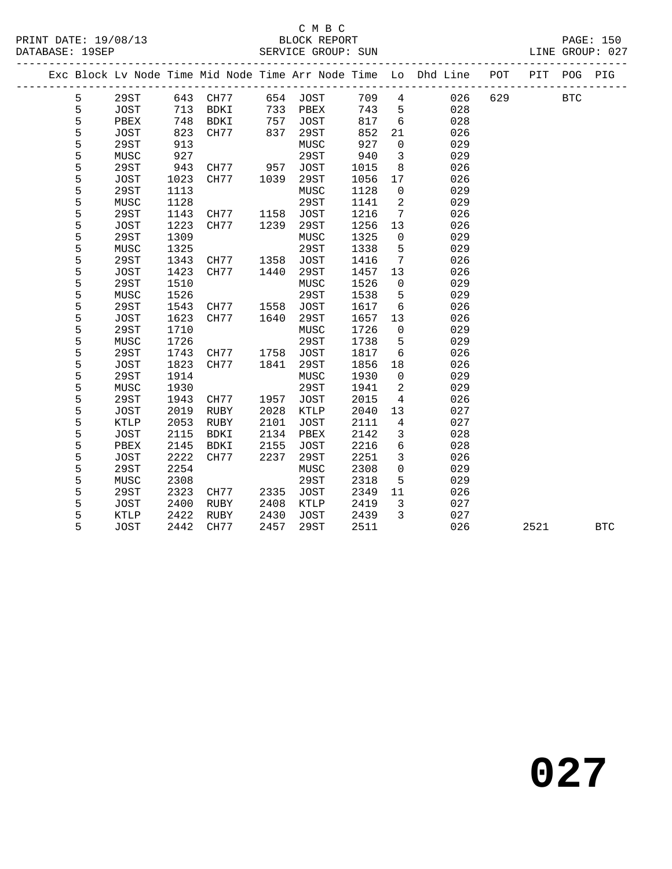### C M B C<br>PRINT DATE: 19/08/13 BLOCK REPORT

|   |             |      |          |      |             |      |                     | Exc Block Lv Node Time Mid Node Time Arr Node Time Lo Dhd Line POT |     | PIT  | POG        | PIG        |
|---|-------------|------|----------|------|-------------|------|---------------------|--------------------------------------------------------------------|-----|------|------------|------------|
| 5 | 29ST        |      | 643 CH77 |      | 654 JOST    | 709  | $4\overline{ }$     | 026                                                                | 629 |      | <b>BTC</b> |            |
| 5 | JOST        | 713  | BDKI     | 733  | PBEX        | 743  | 5                   | 028                                                                |     |      |            |            |
| 5 | PBEX        | 748  | BDKI     | 757  | JOST        | 817  | 6                   | 028                                                                |     |      |            |            |
| 5 | <b>JOST</b> | 823  | CH77     | 837  | 29ST        | 852  | 21                  | 026                                                                |     |      |            |            |
| 5 | 29ST        | 913  |          |      | MUSC        | 927  | $\overline{0}$      | 029                                                                |     |      |            |            |
| 5 | MUSC        | 927  |          |      | 29ST        | 940  | $\overline{3}$      | 029                                                                |     |      |            |            |
| 5 | 29ST        | 943  | CH77     | 957  | JOST        | 1015 | 8                   | 026                                                                |     |      |            |            |
| 5 | JOST        | 1023 | CH77     | 1039 | 29ST        | 1056 | 17                  | 026                                                                |     |      |            |            |
| 5 | 29ST        | 1113 |          |      | MUSC        | 1128 | $\overline{0}$      | 029                                                                |     |      |            |            |
| 5 | MUSC        | 1128 |          |      | 29ST        | 1141 | $\overline{a}$      | 029                                                                |     |      |            |            |
| 5 | 29ST        | 1143 | CH77     | 1158 | JOST        | 1216 | 7                   | 026                                                                |     |      |            |            |
| 5 | <b>JOST</b> | 1223 | CH77     | 1239 | 29ST        | 1256 | 13                  | 026                                                                |     |      |            |            |
| 5 | 29ST        | 1309 |          |      | MUSC        | 1325 | $\mathsf{O}$        | 029                                                                |     |      |            |            |
| 5 | MUSC        | 1325 |          |      | 29ST        | 1338 | 5                   | 029                                                                |     |      |            |            |
| 5 | 29ST        | 1343 | CH77     | 1358 | <b>JOST</b> | 1416 | $7\overline{ }$     | 026                                                                |     |      |            |            |
| 5 | <b>JOST</b> | 1423 | CH77     | 1440 | 29ST        | 1457 | 13                  | 026                                                                |     |      |            |            |
| 5 | 29ST        | 1510 |          |      | MUSC        | 1526 | $\overline{0}$      | 029                                                                |     |      |            |            |
| 5 | MUSC        | 1526 |          |      | 29ST        | 1538 | 5                   | 029                                                                |     |      |            |            |
| 5 | 29ST        | 1543 | CH77     | 1558 | <b>JOST</b> | 1617 | 6                   | 026                                                                |     |      |            |            |
| 5 | <b>JOST</b> | 1623 | CH77     | 1640 | 29ST        | 1657 | 13                  | 026                                                                |     |      |            |            |
| 5 | 29ST        | 1710 |          |      | MUSC        | 1726 | $\overline{0}$      | 029                                                                |     |      |            |            |
| 5 | MUSC        | 1726 |          |      | 29ST        | 1738 | 5                   | 029                                                                |     |      |            |            |
| 5 | 29ST        | 1743 | CH77     | 1758 | JOST        | 1817 | 6                   | 026                                                                |     |      |            |            |
| 5 | JOST        | 1823 | CH77     | 1841 | 29ST        | 1856 | 18                  | 026                                                                |     |      |            |            |
| 5 | <b>29ST</b> | 1914 |          |      | MUSC        | 1930 | $\overline{0}$      | 029                                                                |     |      |            |            |
| 5 | MUSC        | 1930 |          |      | 29ST        | 1941 | $\overline{a}$      | 029                                                                |     |      |            |            |
| 5 | 29ST        | 1943 | CH77     | 1957 | JOST        | 2015 | $\overline{4}$      | 026                                                                |     |      |            |            |
| 5 | <b>JOST</b> | 2019 | RUBY     | 2028 | KTLP        | 2040 | 13                  | 027                                                                |     |      |            |            |
| 5 | KTLP        | 2053 | RUBY     | 2101 | <b>JOST</b> | 2111 | $\overline{4}$      | 027                                                                |     |      |            |            |
| 5 | <b>JOST</b> | 2115 | BDKI     | 2134 | PBEX        | 2142 | $\mathbf{3}$        | 028                                                                |     |      |            |            |
| 5 | PBEX        | 2145 | BDKI     | 2155 | <b>JOST</b> | 2216 | 6                   | 028                                                                |     |      |            |            |
| 5 | <b>JOST</b> | 2222 | CH77     | 2237 | 29ST        | 2251 | $\mathbf{3}$        | 026                                                                |     |      |            |            |
| 5 | 29ST        | 2254 |          |      | MUSC        | 2308 | $\mathsf{O}\xspace$ | 029                                                                |     |      |            |            |
| 5 | MUSC        | 2308 |          |      | 29ST        | 2318 | 5                   | 029                                                                |     |      |            |            |
| 5 | 29ST        | 2323 | CH77     | 2335 | JOST        | 2349 | 11                  | 026                                                                |     |      |            |            |
| 5 | <b>JOST</b> | 2400 | RUBY     | 2408 | KTLP        | 2419 | 3                   | 027                                                                |     |      |            |            |
| 5 | KTLP        | 2422 | RUBY     | 2430 | <b>JOST</b> | 2439 | $\mathbf{3}$        | 027                                                                |     |      |            |            |
| 5 | <b>JOST</b> | 2442 | CH77     | 2457 | <b>29ST</b> | 2511 |                     | 026                                                                |     | 2521 |            | <b>BTC</b> |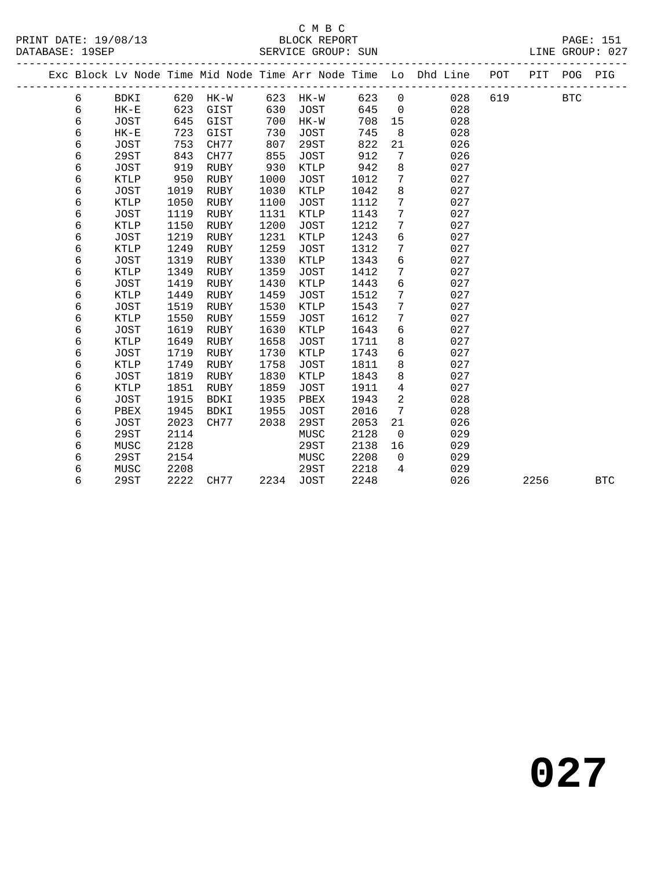|  |   |             |      |             |      |             |      |                | Exc Block Lv Node Time Mid Node Time Arr Node Time Lo Dhd Line | POT | PIT  | POG        | PIG        |
|--|---|-------------|------|-------------|------|-------------|------|----------------|----------------------------------------------------------------|-----|------|------------|------------|
|  | 6 | BDKI        | 620  | HK-W        | 623  | HK-W        | 623  | $\mathbf 0$    | 028                                                            | 619 |      | <b>BTC</b> |            |
|  | 6 | $HK-E$      | 623  | GIST        | 630  | JOST        | 645  | $\mathbf 0$    | 028                                                            |     |      |            |            |
|  | 6 | <b>JOST</b> | 645  | GIST        | 700  | $HK-W$      | 708  | 15             | 028                                                            |     |      |            |            |
|  | 6 | $HK-E$      | 723  | GIST        | 730  | <b>JOST</b> | 745  | 8              | 028                                                            |     |      |            |            |
|  | 6 | <b>JOST</b> | 753  | CH77        | 807  | 29ST        | 822  | 21             | 026                                                            |     |      |            |            |
|  | 6 | 29ST        | 843  | CH77        | 855  | <b>JOST</b> | 912  | 7              | 026                                                            |     |      |            |            |
|  | 6 | <b>JOST</b> | 919  | RUBY        | 930  | <b>KTLP</b> | 942  | $\,8\,$        | 027                                                            |     |      |            |            |
|  | 6 | KTLP        | 950  | RUBY        | 1000 | <b>JOST</b> | 1012 | 7              | 027                                                            |     |      |            |            |
|  | 6 | <b>JOST</b> | 1019 | <b>RUBY</b> | 1030 | <b>KTLP</b> | 1042 | $\,8\,$        | 027                                                            |     |      |            |            |
|  | 6 | <b>KTLP</b> | 1050 | <b>RUBY</b> | 1100 | <b>JOST</b> | 1112 | 7              | 027                                                            |     |      |            |            |
|  | 6 | <b>JOST</b> | 1119 | <b>RUBY</b> | 1131 | <b>KTLP</b> | 1143 | 7              | 027                                                            |     |      |            |            |
|  | 6 | KTLP        | 1150 | RUBY        | 1200 | <b>JOST</b> | 1212 | 7              | 027                                                            |     |      |            |            |
|  | б | <b>JOST</b> | 1219 | RUBY        | 1231 | KTLP        | 1243 | б              | 027                                                            |     |      |            |            |
|  | 6 | <b>KTLP</b> | 1249 | <b>RUBY</b> | 1259 | <b>JOST</b> | 1312 | 7              | 027                                                            |     |      |            |            |
|  | 6 | <b>JOST</b> | 1319 | <b>RUBY</b> | 1330 | <b>KTLP</b> | 1343 | 6              | 027                                                            |     |      |            |            |
|  | 6 | <b>KTLP</b> | 1349 | <b>RUBY</b> | 1359 | <b>JOST</b> | 1412 | 7              | 027                                                            |     |      |            |            |
|  | 6 | <b>JOST</b> | 1419 | RUBY        | 1430 | KTLP        | 1443 | 6              | 027                                                            |     |      |            |            |
|  | 6 | KTLP        | 1449 | RUBY        | 1459 | <b>JOST</b> | 1512 | 7              | 027                                                            |     |      |            |            |
|  | 6 | <b>JOST</b> | 1519 | RUBY        | 1530 | KTLP        | 1543 | 7              | 027                                                            |     |      |            |            |
|  | 6 | <b>KTLP</b> | 1550 | <b>RUBY</b> | 1559 | <b>JOST</b> | 1612 | 7              | 027                                                            |     |      |            |            |
|  | 6 | <b>JOST</b> | 1619 | RUBY        | 1630 | <b>KTLP</b> | 1643 | б              | 027                                                            |     |      |            |            |
|  | 6 | <b>KTLP</b> | 1649 | RUBY        | 1658 | <b>JOST</b> | 1711 | 8              | 027                                                            |     |      |            |            |
|  | 6 | JOST        | 1719 | RUBY        | 1730 | KTLP        | 1743 | б              | 027                                                            |     |      |            |            |
|  | 6 | <b>KTLP</b> | 1749 | RUBY        | 1758 | <b>JOST</b> | 1811 | 8              | 027                                                            |     |      |            |            |
|  | 6 | <b>JOST</b> | 1819 | RUBY        | 1830 | KTLP        | 1843 | 8              | 027                                                            |     |      |            |            |
|  | 6 | <b>KTLP</b> | 1851 | RUBY        | 1859 | <b>JOST</b> | 1911 | $\overline{4}$ | 027                                                            |     |      |            |            |
|  | 6 | JOST        | 1915 | <b>BDKI</b> | 1935 | PBEX        | 1943 | 2              | 028                                                            |     |      |            |            |
|  | 6 | PBEX        | 1945 | <b>BDKI</b> | 1955 | <b>JOST</b> | 2016 | 7              | 028                                                            |     |      |            |            |
|  | 6 | JOST        | 2023 | CH77        | 2038 | 29ST        | 2053 | 21             | 026                                                            |     |      |            |            |
|  | 6 | 29ST        | 2114 |             |      | MUSC        | 2128 | $\mathbf 0$    | 029                                                            |     |      |            |            |
|  | 6 | MUSC        | 2128 |             |      | 29ST        | 2138 | 16             | 029                                                            |     |      |            |            |
|  | 6 | 29ST        | 2154 |             |      | MUSC        | 2208 | $\mathbf 0$    | 029                                                            |     |      |            |            |
|  | 6 | MUSC        | 2208 |             |      | 29ST        | 2218 | $\overline{4}$ | 029                                                            |     |      |            |            |
|  | 6 | 29ST        | 2222 | CH77        | 2234 | <b>JOST</b> | 2248 |                | 026                                                            |     | 2256 |            | <b>BTC</b> |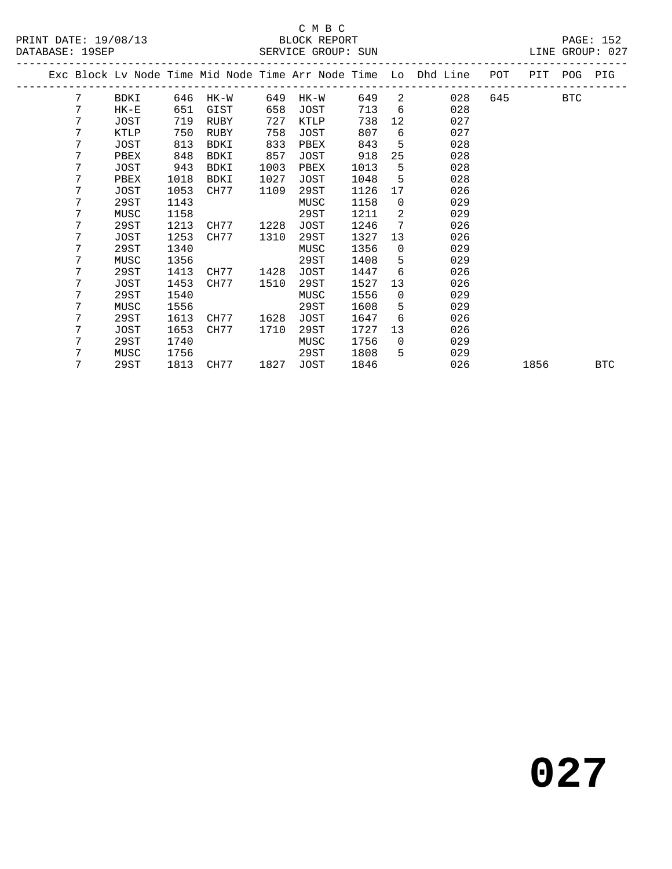#### C M B C<br>BLOCK REPORT SERVICE GROUP: SUN

|   |             |      |           |      |        |       |                 | Exc Block Lv Node Time Mid Node Time Arr Node Time Lo Dhd Line POT PIT POG PIG |      |            |            |
|---|-------------|------|-----------|------|--------|-------|-----------------|--------------------------------------------------------------------------------|------|------------|------------|
| 7 | BDKI        | 646  | $HK-W$    | 649  | $HK-W$ | 649   |                 | $2 \left( \frac{1}{2} \right)$<br>028                                          | 645  | <b>BTC</b> |            |
| 7 | $HK-E$      | 651  | GIST      | 658  | JOST   | 713 6 |                 | 028                                                                            |      |            |            |
| 7 | JOST        | 719  | RUBY      | 727  | KTLP   | 738   | 12              | 027                                                                            |      |            |            |
| 7 | KTLP        | 750  | RUBY      | 758  | JOST   | 807   | 6               | 027                                                                            |      |            |            |
| 7 | JOST        | 813  | BDKI      | 833  | PBEX   | 843   | 5               | 028                                                                            |      |            |            |
| 7 | PBEX        | 848  | BDKI      | 857  | JOST   | 918   | 25              | 028                                                                            |      |            |            |
| 7 | JOST        | 943  | BDKI      | 1003 | PBEX   | 1013  | 5               | 028                                                                            |      |            |            |
| 7 | PBEX        | 1018 | BDKI      | 1027 | JOST   | 1048  | 5               | 028                                                                            |      |            |            |
| 7 | <b>JOST</b> | 1053 | CH77      | 1109 | 29ST   | 1126  | 17              | 026                                                                            |      |            |            |
| 7 | 29ST        | 1143 |           |      | MUSC   | 1158  | $\overline{0}$  | 029                                                                            |      |            |            |
| 7 | MUSC        | 1158 |           |      | 29ST   | 1211  | 2               | 029                                                                            |      |            |            |
| 7 | 29ST        | 1213 | CH77      | 1228 | JOST   | 1246  | 7               | 026                                                                            |      |            |            |
| 7 | JOST        | 1253 | CH77      | 1310 | 29ST   | 1327  | 13 <sup>7</sup> | 026                                                                            |      |            |            |
| 7 | 29ST        | 1340 |           |      | MUSC   | 1356  | $\overline{0}$  | 029                                                                            |      |            |            |
| 7 | MUSC        | 1356 |           |      | 29ST   | 1408  | $5 -$           | 029                                                                            |      |            |            |
| 7 | 29ST        | 1413 | CH77      | 1428 | JOST   | 1447  | 6               | 026                                                                            |      |            |            |
| 7 | JOST        | 1453 | CH77      | 1510 | 29ST   | 1527  | 13              | 026                                                                            |      |            |            |
| 7 | 29ST        | 1540 |           |      | MUSC   | 1556  | $\overline{0}$  | 029                                                                            |      |            |            |
| 7 | MUSC        | 1556 |           |      | 29ST   | 1608  | 5               | 029                                                                            |      |            |            |
| 7 | 29ST        | 1613 | CH77      | 1628 | JOST   | 1647  | 6               | 026                                                                            |      |            |            |
| 7 | JOST        | 1653 | CH77      | 1710 | 29ST   | 1727  | 13 <sup>°</sup> | 026                                                                            |      |            |            |
| 7 | 29ST        | 1740 |           |      | MUSC   | 1756  | $\Omega$        | 029                                                                            |      |            |            |
| 7 | MUSC        | 1756 |           |      | 29ST   | 1808  | 5               | 029                                                                            |      |            |            |
| 7 | 29ST        |      | 1813 CH77 | 1827 | JOST   | 1846  |                 | 026                                                                            | 1856 |            | <b>BTC</b> |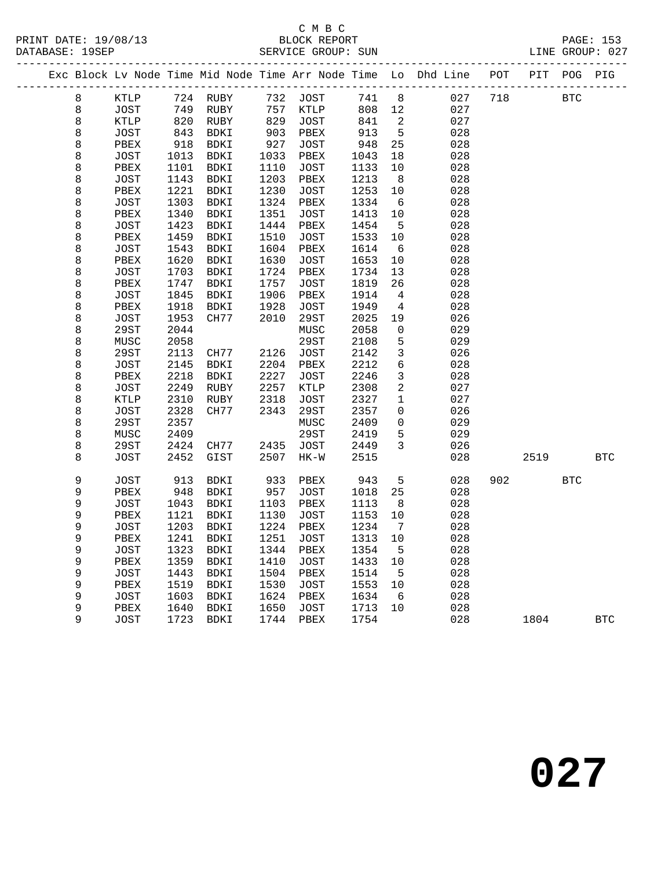|  |             |             |      |             |                 |        |       |                 | Exc Block Lv Node Time Mid Node Time Arr Node Time Lo Dhd Line POT PIT POG PIG |     |      |            |            |
|--|-------------|-------------|------|-------------|-----------------|--------|-------|-----------------|--------------------------------------------------------------------------------|-----|------|------------|------------|
|  | 8           | KTLP        |      | 724 RUBY    | 732             | JOST   | 741 8 |                 | 027                                                                            | 718 |      | <b>BTC</b> |            |
|  | 8           | <b>JOST</b> | 749  | RUBY        | 757             | KTLP   | 808   | 12              | 027                                                                            |     |      |            |            |
|  | 8           | KTLP        | 820  | RUBY        | 829             | JOST   | 841   | 2               | 027                                                                            |     |      |            |            |
|  | $\,8\,$     | JOST        | 843  | BDKI        | $\frac{1}{903}$ | PBEX   | 913   | $5\phantom{.0}$ | 028                                                                            |     |      |            |            |
|  | $\,8\,$     | PBEX        | 918  | BDKI        | 927             | JOST   | 948   | 25              | 028                                                                            |     |      |            |            |
|  | $\,8\,$     | <b>JOST</b> | 1013 | BDKI        | 1033            | PBEX   | 1043  | 18              | 028                                                                            |     |      |            |            |
|  | $\,8\,$     | PBEX        | 1101 | BDKI        | 1110            | JOST   | 1133  | 10              | 028                                                                            |     |      |            |            |
|  | 8           | JOST        | 1143 | BDKI        | 1203            | PBEX   | 1213  | 8 <sup>8</sup>  | 028                                                                            |     |      |            |            |
|  | $\,8\,$     | PBEX        | 1221 | BDKI        | 1230            | JOST   | 1253  | 10              | 028                                                                            |     |      |            |            |
|  | $\,8\,$     | <b>JOST</b> | 1303 | BDKI        | 1324            | PBEX   | 1334  | 6               | 028                                                                            |     |      |            |            |
|  | $\,8\,$     | PBEX        | 1340 | BDKI        | 1351            | JOST   | 1413  | 10              | 028                                                                            |     |      |            |            |
|  | $\,8\,$     | JOST        | 1423 | BDKI        | 1444            | PBEX   | 1454  | $5^{\circ}$     | 028                                                                            |     |      |            |            |
|  | 8           | PBEX        | 1459 | BDKI        | 1510            | JOST   | 1533  | 10              | 028                                                                            |     |      |            |            |
|  | $\,8\,$     | JOST        | 1543 | BDKI        | 1604            | PBEX   | 1614  | 6               | 028                                                                            |     |      |            |            |
|  | $\,8\,$     | PBEX        | 1620 | BDKI        | 1630            | JOST   | 1653  | 10              | 028                                                                            |     |      |            |            |
|  | $\,8\,$     | <b>JOST</b> | 1703 | BDKI        | 1724            | PBEX   | 1734  | 13              | 028                                                                            |     |      |            |            |
|  | $\,8\,$     | PBEX        | 1747 | BDKI        | 1757            | JOST   | 1819  | 26              | 028                                                                            |     |      |            |            |
|  | $\,8\,$     | JOST        | 1845 | BDKI        | 1906            | PBEX   | 1914  | 4               | 028                                                                            |     |      |            |            |
|  | $\,8\,$     | PBEX        | 1918 | BDKI        | 1928            | JOST   | 1949  | 4               | 028                                                                            |     |      |            |            |
|  | $\,8\,$     | <b>JOST</b> | 1953 | CH77        | 2010            | 29ST   | 2025  | 19              | 026                                                                            |     |      |            |            |
|  | $\,8\,$     | 29ST        | 2044 |             |                 | MUSC   | 2058  | 0               | 029                                                                            |     |      |            |            |
|  | $\,8\,$     | MUSC        | 2058 |             |                 | 29ST   | 2108  | $5\phantom{.0}$ | 029                                                                            |     |      |            |            |
|  | $\,8\,$     | 29ST        | 2113 | CH77        | 2126            | JOST   | 2142  | $\mathbf{3}$    | 026                                                                            |     |      |            |            |
|  | $\,8\,$     | JOST        | 2145 | <b>BDKI</b> | 2204            | PBEX   | 2212  | $\sqrt{6}$      | 028                                                                            |     |      |            |            |
|  | $\,8\,$     | PBEX        | 2218 | BDKI        | 2227            | JOST   | 2246  | $\mathbf{3}$    | 028                                                                            |     |      |            |            |
|  | 8           | JOST        | 2249 | RUBY        | 2257            | KTLP   | 2308  | $\overline{a}$  | 027                                                                            |     |      |            |            |
|  | $\,8\,$     | KTLP        | 2310 | RUBY        | 2318            | JOST   | 2327  | $\mathbf{1}$    | 027                                                                            |     |      |            |            |
|  | 8           | JOST        | 2328 | CH77        | 2343            | 29ST   | 2357  | $\overline{0}$  | 026                                                                            |     |      |            |            |
|  | $\,8\,$     | 29ST        | 2357 |             |                 | MUSC   | 2409  | $\mathsf{O}$    | 029                                                                            |     |      |            |            |
|  | 8           | MUSC        | 2409 |             |                 | 29ST   | 2419  | 5               | 029                                                                            |     |      |            |            |
|  | $\,8\,$     | 29ST        | 2424 | CH77        | 2435            | JOST   | 2449  | $\overline{3}$  | 026                                                                            |     |      |            |            |
|  | 8           | <b>JOST</b> | 2452 | $\tt GIST$  | 2507            | $HK-W$ | 2515  |                 | 028                                                                            |     | 2519 |            | <b>BTC</b> |
|  | $\mathsf 9$ | JOST        | 913  | BDKI        | 933             | PBEX   | 943   | $5\phantom{.0}$ | 028                                                                            | 902 |      | <b>BTC</b> |            |
|  | $\mathsf 9$ | PBEX        | 948  | BDKI        | 957             | JOST   | 1018  | 25              | 028                                                                            |     |      |            |            |
|  | $\mathsf 9$ | <b>JOST</b> | 1043 | BDKI        | 1103            | PBEX   | 1113  | 8               | 028                                                                            |     |      |            |            |
|  | 9           | PBEX        | 1121 | BDKI        | 1130            | JOST   | 1153  | 10              | 028                                                                            |     |      |            |            |
|  | $\mathsf 9$ | JOST        | 1203 | BDKI        | 1224            | PBEX   | 1234  | 7               | 028                                                                            |     |      |            |            |
|  | 9           | PBEX        | 1241 | BDKI        | 1251            | JOST   | 1313  | 10              | 028                                                                            |     |      |            |            |
|  | 9           | <b>JOST</b> | 1323 | BDKI        | 1344            | PBEX   | 1354  | 5               | 028                                                                            |     |      |            |            |
|  | 9           | PBEX        | 1359 | BDKI        | 1410            | JOST   | 1433  | 10              | 028                                                                            |     |      |            |            |
|  | 9           | <b>JOST</b> | 1443 | BDKI        | 1504            | PBEX   | 1514  | 5               | 028                                                                            |     |      |            |            |
|  | 9           | PBEX        | 1519 | BDKI        | 1530            | JOST   | 1553  | 10              | 028                                                                            |     |      |            |            |
|  | 9           | JOST        | 1603 | BDKI        | 1624            | PBEX   | 1634  | - 6             | 028                                                                            |     |      |            |            |
|  | 9           | PBEX        | 1640 | BDKI        | 1650            | JOST   | 1713  | 10              | 028                                                                            |     |      |            |            |
|  | 9           | <b>JOST</b> | 1723 | BDKI        | 1744            | PBEX   | 1754  |                 | 028                                                                            |     | 1804 |            | <b>BTC</b> |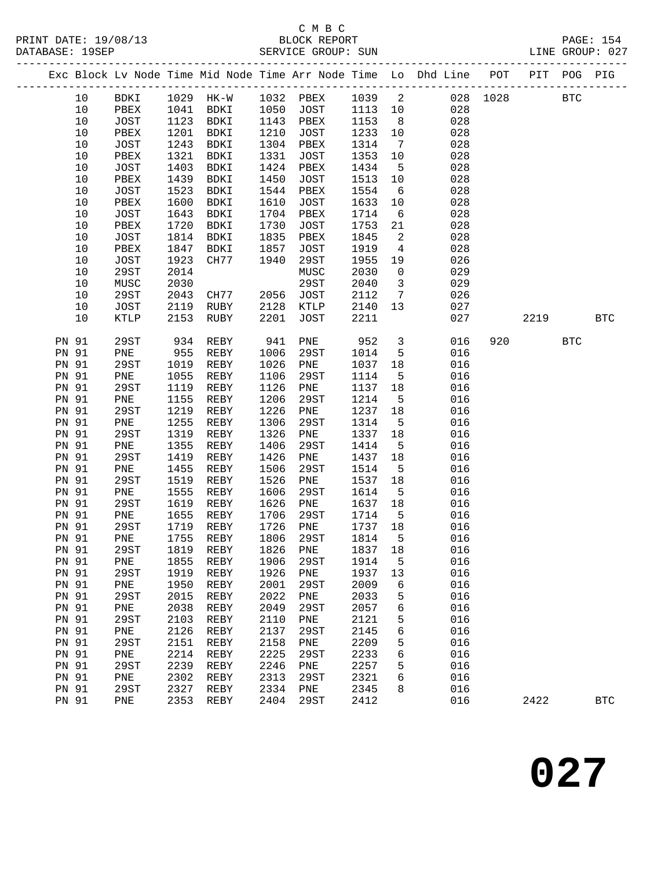## C M B C<br>BLOCK REPORT

|                       |      |                |              |                               |              |                                      |              |                         | Exc Block Lv Node Time Mid Node Time Arr Node Time Lo Dhd Line POT PIT POG PIG |              |      |            |            |
|-----------------------|------|----------------|--------------|-------------------------------|--------------|--------------------------------------|--------------|-------------------------|--------------------------------------------------------------------------------|--------------|------|------------|------------|
|                       | 10   |                |              |                               |              | BDKI 1029 HK-W 1032 PBEX 1039 2      |              |                         |                                                                                | 028 1028 BTC |      |            |            |
|                       | 10   | PBEX 1041 BDKI |              |                               |              | 1050 JOST                            | 1113 10      |                         | 028                                                                            |              |      |            |            |
|                       | 10   | JOST           |              | 1123 BDKI                     |              | 1143 PBEX                            | 1153 8       |                         | 028                                                                            |              |      |            |            |
|                       | $10$ | PBEX           | 1201         | BDKI                          | 1210         | JOST                                 | 1233 10      |                         | 028                                                                            |              |      |            |            |
|                       | 10   | JOST           | 1243         | BDKI                          | 1304         | PBEX                                 | 1314         | $7\overline{ }$         | 028                                                                            |              |      |            |            |
|                       | 10   | PBEX           | 1321         | BDKI                          | 1331         | JOST                                 | 1353         | 10                      | 028                                                                            |              |      |            |            |
|                       | 10   | JOST           | 1403         | BDKI                          | 1424         | PBEX                                 | 1434         | $5^{\circ}$             | 028                                                                            |              |      |            |            |
|                       | $10$ | PBEX           | 1439         | BDKI                          | 1450         | JOST                                 | 1513         | 10                      | 028                                                                            |              |      |            |            |
|                       | $10$ | JOST           | 1523         | BDKI                          | 1544         | PBEX                                 | 1554         | 6                       | 028                                                                            |              |      |            |            |
|                       | 10   | PBEX           | 1600         | BDKI                          | 1610         | JOST                                 | 1633         | 10                      | 028                                                                            |              |      |            |            |
|                       | 10   | JOST           | 1643         | BDKI                          | 1704         | PBEX                                 | 1714         | 6                       | 028                                                                            |              |      |            |            |
|                       | 10   | PBEX           | 1720         | BDKI                          | 1730         | JOST                                 | 1753         | 21                      | 028                                                                            |              |      |            |            |
|                       | $10$ | JOST           | 1814         | BDKI                          | 1835         | PBEX                                 | 1845         | $\overline{a}$          | 028                                                                            |              |      |            |            |
|                       | 10   | PBEX           | 1847         | BDKI                          | 1857         | JOST                                 | 1919         | $\overline{4}$          | 028                                                                            |              |      |            |            |
|                       | 10   | JOST           | 1923         | CH77                          | 1940         | 29ST                                 | 1955         | 19                      | 026                                                                            |              |      |            |            |
|                       | $10$ | 29ST           | 2014         |                               |              | MUSC                                 | 2030         | $\overline{0}$          | 029                                                                            |              |      |            |            |
|                       | $10$ | MUSC           | 2030         |                               |              | 29ST                                 | 2040         | $\overline{\mathbf{3}}$ | 029                                                                            |              |      |            |            |
|                       | $10$ | 29ST           | 2043         | CH77                          |              | 2056 JOST                            | 2112 7       |                         | 026                                                                            |              |      |            |            |
|                       | 10   | JOST           | 2119         | RUBY                          | 2128         | KTLP                                 | 2140 13      |                         | 027                                                                            |              |      |            |            |
|                       | 10   | KTLP           | 2153         | RUBY                          | 2201         | JOST                                 | 2211         |                         | 027                                                                            |              | 2219 |            | <b>BTC</b> |
| <b>PN 91</b>          |      | 29ST           | 934          | REBY                          | 941          | PNE 952 3                            |              |                         | 016                                                                            | 920          |      | <b>BTC</b> |            |
| <b>PN 91</b>          |      | PNE 955        |              | REBY                          | 1006         | 29ST                                 | 1014         | $5^{\circ}$             | 016                                                                            |              |      |            |            |
| PN 91                 |      | 29ST           | 1019         | REBY                          | 1026         | PNE                                  | 1037         | 18                      | 016                                                                            |              |      |            |            |
| <b>PN 91</b>          |      | PNE            | 1055         | REBY                          | 1106         | 29ST                                 | 1114         | $5^{\circ}$             | 016                                                                            |              |      |            |            |
| PN 91                 |      | 29ST           | 1119         | REBY                          | 1126         | PNE                                  | 1137 18      |                         | 016                                                                            |              |      |            |            |
| <b>PN 91</b>          |      | PNE            | 1155         | REBY                          | 1206         | 29ST                                 | 1214         | $5^{\circ}$             | 016                                                                            |              |      |            |            |
| PN 91                 |      | 29ST           | 1219         | REBY                          | 1226         | PNE                                  | 1237         | 18                      | 016                                                                            |              |      |            |            |
| <b>PN 91</b>          |      | PNE            | 1255         | REBY                          | 1306         | 29ST                                 | 1314         | $5^{\circ}$             | 016                                                                            |              |      |            |            |
| PN 91                 |      | 29ST           | 1319<br>1355 | REBY                          | 1326         | PNE<br>29ST                          | 1337<br>1414 | 18                      | 016<br>016                                                                     |              |      |            |            |
| PN 91<br><b>PN 91</b> |      | PNE<br>29ST    | 1419         | REBY                          | 1406<br>1426 | PNE                                  | 1437         | $5^{\circ}$<br>18       | 016                                                                            |              |      |            |            |
| PN 91                 |      | PNE            | 1455         | REBY<br>REBY                  | 1506         | 29ST                                 | 1514         | $5^{\circ}$             | 016                                                                            |              |      |            |            |
| <b>PN 91</b>          |      | 29ST           | 1519         | REBY                          | 1526         | PNE                                  | 1537         | 18                      | 016                                                                            |              |      |            |            |
| PN 91                 |      | PNE            | 1555         | REBY                          | 1606         | 29ST                                 | 1614         | $5^{\circ}$             | 016                                                                            |              |      |            |            |
| PN 91                 |      | 29ST           | 1619         | REBY                          | 1626         | PNE                                  | 1637         | 18                      | 016                                                                            |              |      |            |            |
| PN 91                 |      | PNE            | 1655         | REBY                          | 1706         | 29ST                                 | 1714         | $5^{\circ}$             | 016                                                                            |              |      |            |            |
| PN 91                 |      | 29ST           |              | -- כס1<br>1719 REBY<br>רפחת ה | 1726         | PNE                                  | 1737 18      |                         | 016                                                                            |              |      |            |            |
|                       |      |                |              |                               |              | PN 91 PNE 1755 REBY 1806 29ST 1814 5 |              |                         | 016                                                                            |              |      |            |            |
| PN 91                 |      | 29ST           | 1819         | REBY                          | 1826         | PNE                                  | 1837         | 18                      | 016                                                                            |              |      |            |            |
| PN 91                 |      | PNE            | 1855         | REBY                          | 1906         | 29ST                                 | 1914         | 5                       | 016                                                                            |              |      |            |            |
| PN 91                 |      | 29ST           | 1919         | REBY                          | 1926         | PNE                                  | 1937         | 13                      | 016                                                                            |              |      |            |            |
| PN 91                 |      | PNE            | 1950         | REBY                          | 2001         | 29ST                                 | 2009         | 6                       | 016                                                                            |              |      |            |            |
| PN 91                 |      | 29ST           | 2015         | REBY                          | 2022         | PNE                                  | 2033         | 5                       | 016                                                                            |              |      |            |            |
| PN 91                 |      | PNE            | 2038         | REBY                          | 2049         | 29ST                                 | 2057         | 6                       | 016                                                                            |              |      |            |            |
| PN 91                 |      | 29ST           | 2103         | REBY                          | 2110         | PNE                                  | 2121         | 5                       | 016                                                                            |              |      |            |            |
| PN 91                 |      | PNE            | 2126         | REBY                          | 2137         | 29ST                                 | 2145         | 6                       | 016                                                                            |              |      |            |            |
| PN 91                 |      | 29ST           | 2151         | REBY                          | 2158         | PNE                                  | 2209         | 5                       | 016                                                                            |              |      |            |            |
| PN 91                 |      | PNE            | 2214         | REBY                          | 2225         | 29ST                                 | 2233         | 6                       | 016                                                                            |              |      |            |            |
| PN 91                 |      | 29ST           | 2239         | REBY                          | 2246         | PNE                                  | 2257         | 5                       | 016                                                                            |              |      |            |            |
| PN 91                 |      | PNE            | 2302         | REBY                          | 2313         | 29ST                                 | 2321         | 6                       | 016                                                                            |              |      |            |            |
| PN 91                 |      | 29ST           | 2327         | REBY                          | 2334         | PNE                                  | 2345         | 8                       | 016                                                                            |              |      |            |            |
| PN 91                 |      | PNE            | 2353         | REBY                          | 2404         | 29ST                                 | 2412         |                         | 016                                                                            |              | 2422 |            | <b>BTC</b> |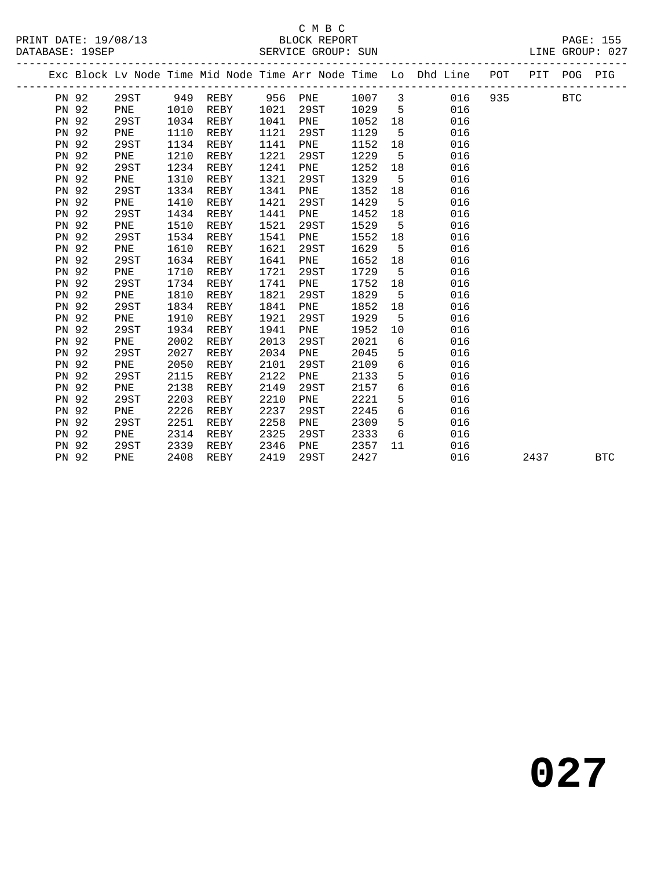#### C M B C<br>BLOCK REPORT

|       |      |      |          |      |         |        |                 | Exc Block Lv Node Time Mid Node Time Arr Node Time Lo Dhd Line POT |     |      | PIT POG PIG |            |
|-------|------|------|----------|------|---------|--------|-----------------|--------------------------------------------------------------------|-----|------|-------------|------------|
| PN 92 | 29ST |      | 949 REBY |      | 956 PNE | 1007 3 |                 | 016                                                                | 935 |      | <b>BTC</b>  |            |
| PN 92 | PNE  | 1010 | REBY     | 1021 | 29ST    | 1029   | $5^{\circ}$     | 016                                                                |     |      |             |            |
| PN 92 | 29ST | 1034 | REBY     | 1041 | PNE     | 1052   | 18              | 016                                                                |     |      |             |            |
| PN 92 | PNE  | 1110 | REBY     | 1121 | 29ST    | 1129   | $5^{\circ}$     | 016                                                                |     |      |             |            |
| PN 92 | 29ST | 1134 | REBY     | 1141 | PNE     | 1152   | 18              | 016                                                                |     |      |             |            |
| PN 92 | PNE  | 1210 | REBY     | 1221 | 29ST    | 1229   | 5               | 016                                                                |     |      |             |            |
| PN 92 | 29ST | 1234 | REBY     | 1241 | PNE     | 1252   | 18              | 016                                                                |     |      |             |            |
| PN 92 | PNE  | 1310 | REBY     | 1321 | 29ST    | 1329   | 5               | 016                                                                |     |      |             |            |
| PN 92 | 29ST | 1334 | REBY     | 1341 | PNE     | 1352   | 18              | 016                                                                |     |      |             |            |
| PN 92 | PNE  | 1410 | REBY     | 1421 | 29ST    | 1429   | 5               | 016                                                                |     |      |             |            |
| PN 92 | 29ST | 1434 | REBY     | 1441 | PNE     | 1452   | 18              | 016                                                                |     |      |             |            |
| PN 92 | PNE  | 1510 | REBY     | 1521 | 29ST    | 1529   | 5               | 016                                                                |     |      |             |            |
| PN 92 | 29ST | 1534 | REBY     | 1541 | PNE     | 1552   | 18              | 016                                                                |     |      |             |            |
| PN 92 | PNE  | 1610 | REBY     | 1621 | 29ST    | 1629   | 5               | 016                                                                |     |      |             |            |
| PN 92 | 29ST | 1634 | REBY     | 1641 | PNE     | 1652   | 18              | 016                                                                |     |      |             |            |
| PN 92 | PNE  | 1710 | REBY     | 1721 | 29ST    | 1729   | 5               | 016                                                                |     |      |             |            |
| PN 92 | 29ST | 1734 | REBY     | 1741 | PNE     | 1752   | 18              | 016                                                                |     |      |             |            |
| PN 92 | PNE  | 1810 | REBY     | 1821 | 29ST    | 1829   | $5^{\circ}$     | 016                                                                |     |      |             |            |
| PN 92 | 29ST | 1834 | REBY     | 1841 | PNE     | 1852   | 18              | 016                                                                |     |      |             |            |
| PN 92 | PNE  | 1910 | REBY     | 1921 | 29ST    | 1929   | $5^{\circ}$     | 016                                                                |     |      |             |            |
| PN 92 | 29ST | 1934 | REBY     | 1941 | PNE     | 1952   | 10              | 016                                                                |     |      |             |            |
| PN 92 | PNE  | 2002 | REBY     | 2013 | 29ST    | 2021   | 6               | 016                                                                |     |      |             |            |
| PN 92 | 29ST | 2027 | REBY     | 2034 | PNE     | 2045   | $5\phantom{.0}$ | 016                                                                |     |      |             |            |
| PN 92 | PNE  | 2050 | REBY     | 2101 | 29ST    | 2109   | 6               | 016                                                                |     |      |             |            |
| PN 92 | 29ST | 2115 | REBY     | 2122 | PNE     | 2133   | 5               | 016                                                                |     |      |             |            |
| PN 92 | PNE  | 2138 | REBY     | 2149 | 29ST    | 2157   | 6               | 016                                                                |     |      |             |            |
| PN 92 | 29ST | 2203 | REBY     | 2210 | PNE     | 2221   | 5               | 016                                                                |     |      |             |            |
| PN 92 | PNE  | 2226 | REBY     | 2237 | 29ST    | 2245   | 6               | 016                                                                |     |      |             |            |
| PN 92 | 29ST | 2251 | REBY     | 2258 | PNE     | 2309   | 5               | 016                                                                |     |      |             |            |
| PN 92 | PNE  | 2314 | REBY     | 2325 | 29ST    | 2333   | 6               | 016                                                                |     |      |             |            |
| PN 92 | 29ST | 2339 | REBY     | 2346 | PNE     | 2357   | 11              | 016                                                                |     |      |             |            |
| PN 92 | PNE  | 2408 | REBY     | 2419 | 29ST    | 2427   |                 | 016                                                                |     | 2437 |             | <b>BTC</b> |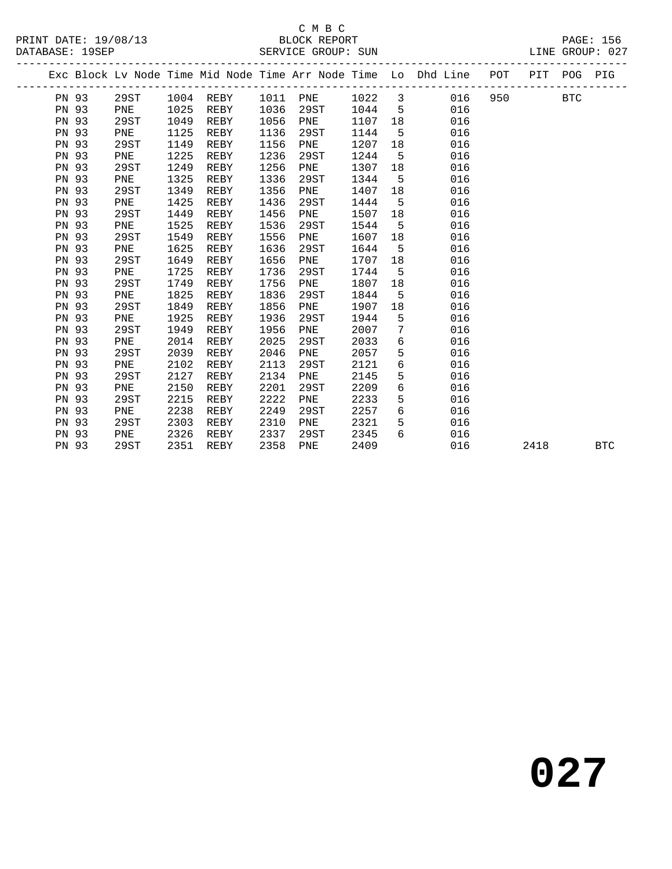#### $\begin{tabular}{lllll} \multicolumn{2}{c}{\textbf{C} M B C} \\ \multicolumn{2}{c}{\textbf{P RINT} \textbf{DATE: }} 19/08/13 \\ \multicolumn{2}{c}{\textbf{DATE: }} 19/08/13 \\ \multicolumn{2}{c}{\textbf{DATE: }} 19/08/13 \\ \multicolumn{2}{c}{\textbf{DATE: }} 19/08/13 \\ \multicolumn{2}{c}{\textbf{DATE: }} 19/08/13 \\ \multicolumn{2}{c}{\textbf{DATE: }} 19/08/13 \\ \multicolumn{2}{c}{\textbf{DATE: }} 19$

|              |      |      |           |      |          |         |             | Exc Block Lv Node Time Mid Node Time Arr Node Time Lo Dhd Line POT |     |      | PIT POG PIG |            |
|--------------|------|------|-----------|------|----------|---------|-------------|--------------------------------------------------------------------|-----|------|-------------|------------|
| PN 93        | 29ST |      | 1004 REBY |      | 1011 PNE | 1022 3  |             | 016                                                                | 950 |      | BTC         |            |
| PN 93        | PNE  | 1025 | REBY      | 1036 | 29ST     | 1044 5  |             | 016                                                                |     |      |             |            |
| PN 93        | 29ST | 1049 | REBY      | 1056 | PNE      | 1107 18 |             | 016                                                                |     |      |             |            |
| PN 93        | PNE  | 1125 | REBY      | 1136 | 29ST     | 1144    | $-5$        | 016                                                                |     |      |             |            |
| PN 93        | 29ST | 1149 | REBY      | 1156 | PNE      | 1207    | 18          | 016                                                                |     |      |             |            |
| PN 93        | PNE  | 1225 | REBY      | 1236 | 29ST     | 1244    | 5           | 016                                                                |     |      |             |            |
| PN 93        | 29ST | 1249 | REBY      | 1256 | PNE      | 1307    | 18          | 016                                                                |     |      |             |            |
| PN 93        | PNE  | 1325 | REBY      | 1336 | 29ST     | 1344    | $5^{\circ}$ | 016                                                                |     |      |             |            |
| PN 93        | 29ST | 1349 | REBY      | 1356 | PNE      | 1407    | 18          | 016                                                                |     |      |             |            |
| PN 93        | PNE  | 1425 | REBY      | 1436 | 29ST     | 1444    | 5           | 016                                                                |     |      |             |            |
| PN 93        | 29ST | 1449 | REBY      | 1456 | PNE      | 1507    | 18          | 016                                                                |     |      |             |            |
| PN 93        | PNE  | 1525 | REBY      | 1536 | 29ST     | 1544    | $5^{\circ}$ | 016                                                                |     |      |             |            |
| <b>PN 93</b> | 29ST | 1549 | REBY      | 1556 | PNE      | 1607    | 18          | 016                                                                |     |      |             |            |
| PN 93        | PNE  | 1625 | REBY      | 1636 | 29ST     | 1644    | 5           | 016                                                                |     |      |             |            |
| PN 93        | 29ST | 1649 | REBY      | 1656 | PNE      | 1707    | 18          | 016                                                                |     |      |             |            |
| PN 93        | PNE  | 1725 | REBY      | 1736 | 29ST     | 1744    | 5           | 016                                                                |     |      |             |            |
| PN 93        | 29ST | 1749 | REBY      | 1756 | PNE      | 1807    | 18          | 016                                                                |     |      |             |            |
| <b>PN 93</b> | PNE  | 1825 | REBY      | 1836 | 29ST     | 1844    | $5^{\circ}$ | 016                                                                |     |      |             |            |
| PN 93        | 29ST | 1849 | REBY      | 1856 | PNE      | 1907    | 18          | 016                                                                |     |      |             |            |
| <b>PN 93</b> | PNE  | 1925 | REBY      | 1936 | 29ST     | 1944    | 5           | 016                                                                |     |      |             |            |
| PN 93        | 29ST | 1949 | REBY      | 1956 | PNE      | 2007    | 7           | 016                                                                |     |      |             |            |
| PN 93        | PNE  | 2014 | REBY      | 2025 | 29ST     | 2033    | 6           | 016                                                                |     |      |             |            |
| <b>PN 93</b> | 29ST | 2039 | REBY      | 2046 | PNE      | 2057    | 5           | 016                                                                |     |      |             |            |
| PN 93        | PNE  | 2102 | REBY      | 2113 | 29ST     | 2121    | 6           | 016                                                                |     |      |             |            |
| PN 93        | 29ST | 2127 | REBY      | 2134 | PNE      | 2145    | 5           | 016                                                                |     |      |             |            |
| <b>PN 93</b> | PNE  | 2150 | REBY      | 2201 | 29ST     | 2209    | 6           | 016                                                                |     |      |             |            |
| <b>PN 93</b> | 29ST | 2215 | REBY      | 2222 | PNE      | 2233    | 5           | 016                                                                |     |      |             |            |
| <b>PN 93</b> | PNE  | 2238 | REBY      | 2249 | 29ST     | 2257    | 6           | 016                                                                |     |      |             |            |
| PN 93        | 29ST | 2303 | REBY      | 2310 | PNE      | 2321    | 5           | 016                                                                |     |      |             |            |
| PN 93        | PNE  | 2326 | REBY      | 2337 | 29ST     | 2345    | 6           | 016                                                                |     |      |             |            |
| PN 93        | 29ST | 2351 | REBY      | 2358 | PNE      | 2409    |             | 016                                                                |     | 2418 |             | <b>BTC</b> |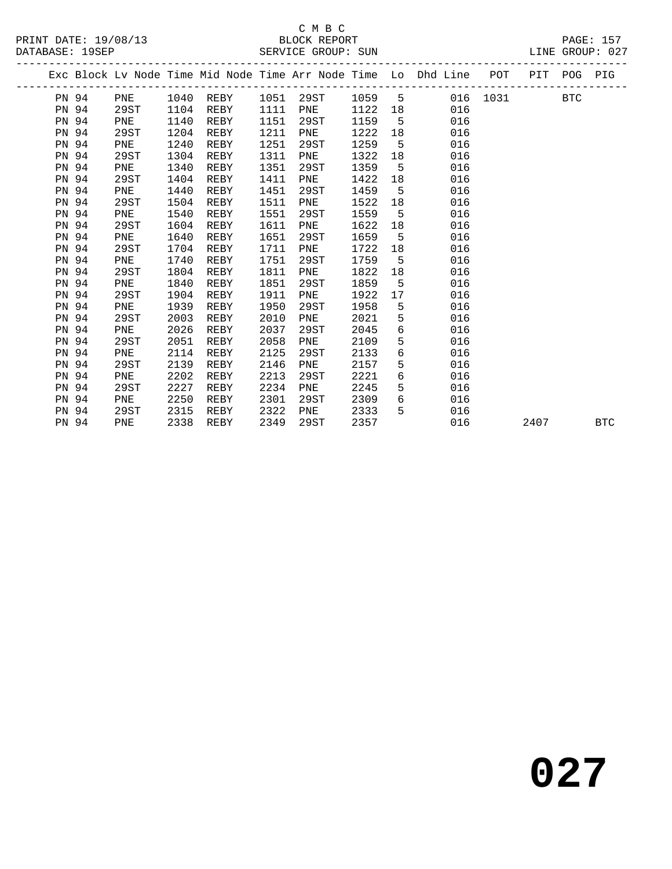### C M B C<br>BLOCK REPORT

|       |      |      |           |      |      |        |             | Exc Block Lv Node Time Mid Node Time Arr Node Time Lo Dhd Line POT PIT POG PIG |          |      |     |            |
|-------|------|------|-----------|------|------|--------|-------------|--------------------------------------------------------------------------------|----------|------|-----|------------|
| PN 94 | PNE  |      | 1040 REBY | 1051 | 29ST | 1059 5 |             |                                                                                | 016 1031 |      | BTC |            |
| PN 94 | 29ST | 1104 | REBY      | 1111 | PNE  | 1122   |             | 016                                                                            |          |      |     |            |
| PN 94 | PNE  | 1140 | REBY      | 1151 | 29ST | 1159   | $5^{\circ}$ | 016                                                                            |          |      |     |            |
| PN 94 | 29ST | 1204 | REBY      | 1211 | PNE  | 1222   | 18          | 016                                                                            |          |      |     |            |
| PN 94 | PNE  | 1240 | REBY      | 1251 | 29ST | 1259   | 5           | 016                                                                            |          |      |     |            |
| PN 94 | 29ST | 1304 | REBY      | 1311 | PNE  | 1322   | 18          | 016                                                                            |          |      |     |            |
| PN 94 | PNE  | 1340 | REBY      | 1351 | 29ST | 1359   | $5^{\circ}$ | 016                                                                            |          |      |     |            |
| PN 94 | 29ST | 1404 | REBY      | 1411 | PNE  | 1422   | 18          | 016                                                                            |          |      |     |            |
| PN 94 | PNE  | 1440 | REBY      | 1451 | 29ST | 1459   | $5^{\circ}$ | 016                                                                            |          |      |     |            |
| PN 94 | 29ST | 1504 | REBY      | 1511 | PNE  | 1522   | 18          | 016                                                                            |          |      |     |            |
| PN 94 | PNE  | 1540 | REBY      | 1551 | 29ST | 1559   | $-5$        | 016                                                                            |          |      |     |            |
| PN 94 | 29ST | 1604 | REBY      | 1611 | PNE  | 1622   | 18          | 016                                                                            |          |      |     |            |
| PN 94 | PNE  | 1640 | REBY      | 1651 | 29ST | 1659   | $5^{\circ}$ | 016                                                                            |          |      |     |            |
| PN 94 | 29ST | 1704 | REBY      | 1711 | PNE  | 1722   | 18          | 016                                                                            |          |      |     |            |
| PN 94 | PNE  | 1740 | REBY      | 1751 | 29ST | 1759   | $5^{\circ}$ | 016                                                                            |          |      |     |            |
| PN 94 | 29ST | 1804 | REBY      | 1811 | PNE  | 1822   | 18          | 016                                                                            |          |      |     |            |
| PN 94 | PNE  | 1840 | REBY      | 1851 | 29ST | 1859   | $-5$        | 016                                                                            |          |      |     |            |
| PN 94 | 29ST | 1904 | REBY      | 1911 | PNE  | 1922   | 17          | 016                                                                            |          |      |     |            |
| PN 94 | PNE  | 1939 | REBY      | 1950 | 29ST | 1958   | $5^{\circ}$ | 016                                                                            |          |      |     |            |
| PN 94 | 29ST | 2003 | REBY      | 2010 | PNE  | 2021   | 5           | 016                                                                            |          |      |     |            |
| PN 94 | PNE  | 2026 | REBY      | 2037 | 29ST | 2045   | 6           | 016                                                                            |          |      |     |            |
| PN 94 | 29ST | 2051 | REBY      | 2058 | PNE  | 2109   | 5           | 016                                                                            |          |      |     |            |
| PN 94 | PNE  | 2114 | REBY      | 2125 | 29ST | 2133   | 6           | 016                                                                            |          |      |     |            |
| PN 94 | 29ST | 2139 | REBY      | 2146 | PNE  | 2157   | 5           | 016                                                                            |          |      |     |            |
| PN 94 | PNE  | 2202 | REBY      | 2213 | 29ST | 2221   | 6           | 016                                                                            |          |      |     |            |
| PN 94 | 29ST | 2227 | REBY      | 2234 | PNE  | 2245   | 5           | 016                                                                            |          |      |     |            |
| PN 94 | PNE  | 2250 | REBY      | 2301 | 29ST | 2309   | 6           | 016                                                                            |          |      |     |            |
| PN 94 | 29ST | 2315 | REBY      | 2322 | PNE  | 2333   | 5           | 016                                                                            |          |      |     |            |
| PN 94 | PNE  | 2338 | REBY      | 2349 | 29ST | 2357   |             | 016                                                                            |          | 2407 |     | <b>BTC</b> |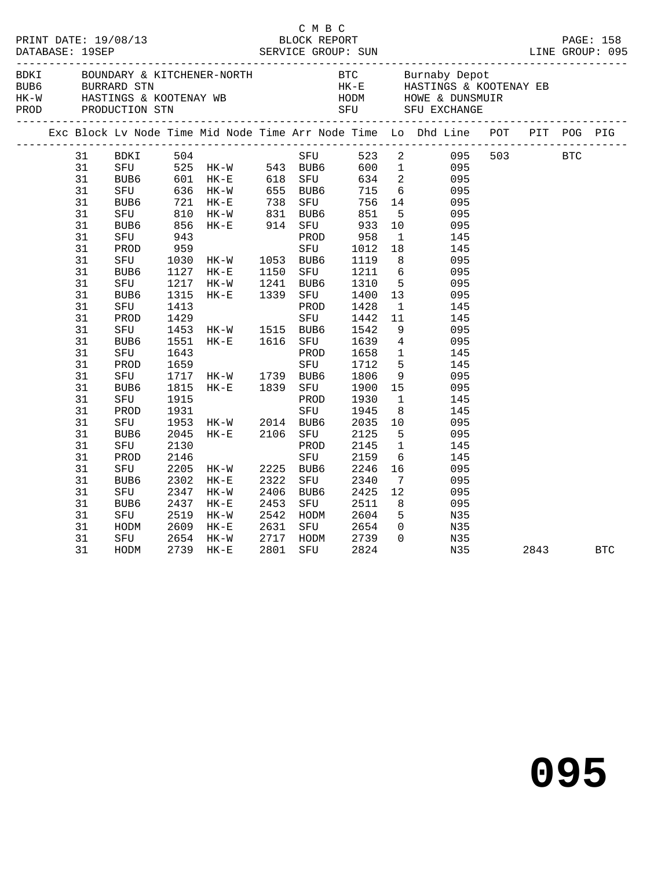|  |    |                  |      |                                                                                             |              | C M B C               |                                        |                |                                                                                |  |          |  |
|--|----|------------------|------|---------------------------------------------------------------------------------------------|--------------|-----------------------|----------------------------------------|----------------|--------------------------------------------------------------------------------|--|----------|--|
|  |    |                  |      |                                                                                             |              |                       |                                        |                |                                                                                |  |          |  |
|  |    |                  |      |                                                                                             |              |                       |                                        |                | Exc Block Lv Node Time Mid Node Time Arr Node Time Lo Dhd Line POT PIT POG PIG |  |          |  |
|  | 31 | BDKI             | 504  |                                                                                             |              | SFU                   |                                        |                | 523 2 095 503 BTC                                                              |  |          |  |
|  | 31 |                  |      |                                                                                             |              |                       |                                        |                | 095                                                                            |  |          |  |
|  | 31 |                  |      |                                                                                             |              |                       |                                        |                | 095                                                                            |  |          |  |
|  | 31 |                  |      | SFU 525 HK-W 543 BUB6 600 1<br>BUB6 601 HK-E 618 SFU 634 2<br>SFU 636 HK-W 655 BUB6 715 6   |              |                       |                                        |                | 095                                                                            |  |          |  |
|  | 31 |                  |      | BUB6 721 HK-E 738 SFU 756 14<br>SFU 810 HK-W 831 BUB6 851 5<br>BUB6 856 HK-E 914 SFU 933 10 |              |                       |                                        |                | 095                                                                            |  |          |  |
|  | 31 |                  |      |                                                                                             |              |                       |                                        |                | 095                                                                            |  |          |  |
|  | 31 |                  |      |                                                                                             |              |                       |                                        |                | 095                                                                            |  |          |  |
|  | 31 | SFU              | 943  |                                                                                             |              |                       | لادر<br>958 - س.<br>1011 - SFU<br>1011 | $\mathbf{1}$   | 145                                                                            |  |          |  |
|  | 31 | PROD             | 959  |                                                                                             |              |                       | 1012 18                                |                | 145                                                                            |  |          |  |
|  | 31 | SFU              | 1030 | HK-W 1053 BUB6                                                                              |              |                       | 1119                                   |                | 8<br>095                                                                       |  |          |  |
|  | 31 | BUB6             |      | 1127 HK-E                                                                                   |              | SFU                   | 1211 6                                 |                | 095                                                                            |  |          |  |
|  | 31 | SFU              |      | 1217 HK-W                                                                                   | 1150<br>1241 | BUB6                  | 1310 5                                 |                | 095                                                                            |  |          |  |
|  | 31 | BUB6             | 1315 | HK-E                                                                                        | 1339         | SFU                   | 1400                                   | 13             | 095                                                                            |  |          |  |
|  | 31 | SFU              | 1413 |                                                                                             |              | PROD                  | 1428                                   | $\mathbf{1}$   | 145                                                                            |  |          |  |
|  | 31 | PROD             | 1429 |                                                                                             |              | SFU                   | 1442                                   | 11             | 145                                                                            |  |          |  |
|  | 31 | SFU              |      |                                                                                             |              |                       | 1542                                   | $\frac{9}{4}$  | 095                                                                            |  |          |  |
|  | 31 | BUB6             |      | 1453 HK-W 1515 BUB6<br>1551 HK-E 1616 SFU                                                   |              |                       | 1639                                   |                | 095                                                                            |  |          |  |
|  | 31 | SFU              | 1643 |                                                                                             |              | PROD                  | 1658                                   | $\overline{1}$ | 145                                                                            |  |          |  |
|  | 31 | PROD             | 1659 |                                                                                             |              | SFU                   | 1712                                   | 5 <sub>5</sub> | 145                                                                            |  |          |  |
|  | 31 | SFU              |      | 1717 HK-W 1739 BUB6                                                                         |              |                       | 1806                                   | 9              | 095                                                                            |  |          |  |
|  | 31 | BUB6             | 1815 | HK-E 1839                                                                                   |              | SFU                   | 1900 15                                |                | 095                                                                            |  |          |  |
|  | 31 | SFU              | 1915 |                                                                                             |              | PROD                  | 1930                                   | $\overline{1}$ | 145                                                                            |  |          |  |
|  | 31 | PROD             | 1931 |                                                                                             |              | SFU                   | 1945                                   | 8 <sup>8</sup> | 145                                                                            |  |          |  |
|  | 31 | SFU              |      |                                                                                             |              |                       | 2035                                   | 10             | 095                                                                            |  |          |  |
|  | 31 | BUB <sub>6</sub> |      | 1953 HK-W 2014 BUB6<br>2045 HK-E 2106 SFU                                                   |              |                       | 2125                                   | $5^{\circ}$    | 095                                                                            |  |          |  |
|  | 31 | SFU              | 2130 |                                                                                             |              | PROD                  | 2145                                   | $\overline{1}$ | 145                                                                            |  |          |  |
|  | 31 | PROD             | 2146 |                                                                                             |              | SFU                   | 2159                                   | 6              | 145                                                                            |  |          |  |
|  | 31 | SFU              | 2205 | HK-W                                                                                        |              | 2225 BUB6             | 2246                                   | 16             | 095                                                                            |  |          |  |
|  | 31 | BUB6             | 2302 | HK-E                                                                                        | 2322         | SFU                   | 2340                                   | $\overline{7}$ | 095                                                                            |  |          |  |
|  | 31 | SFU              | 2347 | HK-W                                                                                        | 2406         | BUB6                  | 2425                                   | 12             | 095                                                                            |  |          |  |
|  | 31 | BUB6             | 2437 | $HK-E$                                                                                      | 2453         | SFU                   | 2511                                   | 8 <sup>8</sup> | 095                                                                            |  |          |  |
|  | 31 | SFU              | 2519 | HK-W                                                                                        | 2542         | HODM                  | 2604                                   | 5 <sup>5</sup> | N35                                                                            |  |          |  |
|  | 31 | HODM             | 2609 | $HK-E$                                                                                      | 2631         | SFU                   | 2654                                   | $\overline{0}$ | N35                                                                            |  |          |  |
|  | 31 | SFU              | 2654 | HK-W                                                                                        |              |                       | 2739                                   | $\Omega$       | N35                                                                            |  |          |  |
|  | 31 | HODM             | 2739 | $HK-E$                                                                                      |              | 2717 HODM<br>2801 SFU | 2824                                   |                | N35                                                                            |  | 2843 BTC |  |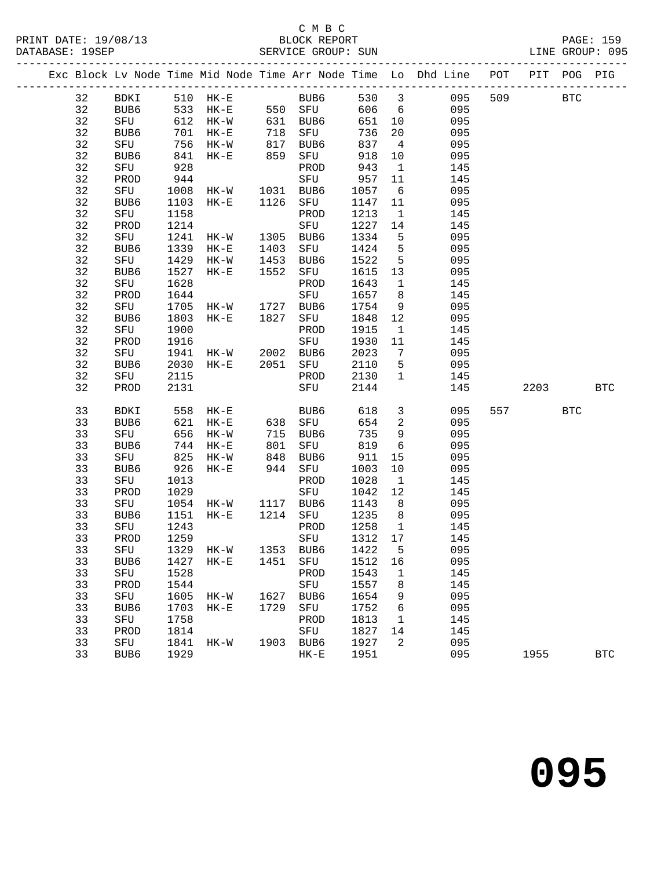|    |               |      |                |            |                  |         |                          | Exc Block Lv Node Time Mid Node Time Arr Node Time Lo Dhd Line POT |     | PIT  | POG        | PIG        |
|----|---------------|------|----------------|------------|------------------|---------|--------------------------|--------------------------------------------------------------------|-----|------|------------|------------|
| 32 | BDKI 510 HK-E |      |                |            |                  |         |                          | BUB6 530 3 -----<br>550 SFU 606 6 095<br>631 BUB6 651 10 095       | 509 |      | <b>BTC</b> |            |
| 32 | BUB6          |      | 533 HK-E       |            |                  |         |                          |                                                                    |     |      |            |            |
| 32 | SFU           |      | 612 HK-W       |            |                  |         |                          |                                                                    |     |      |            |            |
| 32 | BUB6          | 701  | HK-E           | 718        | SFU              | 736     | 20                       | 095                                                                |     |      |            |            |
| 32 | SFU           | 756  | HK-W           |            | BUB6             | 837     | $\overline{4}$           | 095                                                                |     |      |            |            |
| 32 | BUB6          |      | 841 HK-E       | 817<br>859 | SFU              | 918     | 10                       | 095                                                                |     |      |            |            |
| 32 | SFU           | 928  |                |            | PROD             | 943     | $\mathbf{1}$             | 145                                                                |     |      |            |            |
| 32 | PROD          | 944  |                |            | SFU              | 957     | 11                       | 145                                                                |     |      |            |            |
| 32 | SFU           |      | 1008 HK-W      |            | 1031 BUB6        | 1057    | 6                        | 095                                                                |     |      |            |            |
| 32 | BUB6          |      | 1103 HK-E      | 1126       | SFU              | 1147 11 |                          | 095                                                                |     |      |            |            |
| 32 | SFU           | 1158 |                |            | PROD             | 1213    | $\overline{\mathbf{1}}$  | 145                                                                |     |      |            |            |
| 32 | PROD          | 1214 |                |            | SFU              | 1227    | 14                       | 145                                                                |     |      |            |            |
| 32 | SFU           | 1241 | HK-W           | 1305       | BUB6             | 1334    | $5^{\circ}$              | 095                                                                |     |      |            |            |
| 32 | BUB6          | 1339 | $HK-E$         | 1403       | SFU              | 1424    | $5^{\circ}$              | 095                                                                |     |      |            |            |
| 32 | SFU           | 1429 | HK-W           | 1453       | BUB6             | 1522    | $5^{\circ}$              | 095                                                                |     |      |            |            |
| 32 | BUB6          | 1527 | $HK-E$         | 1552       | SFU              | 1615 13 |                          | 095                                                                |     |      |            |            |
| 32 | SFU           | 1628 |                |            | PROD             | 1643    | $\mathbf{1}$             | 145                                                                |     |      |            |            |
| 32 | PROD          | 1644 |                |            | SFU              | 1657 8  |                          | 145                                                                |     |      |            |            |
| 32 | SFU           | 1705 | $HK-W$         | 1727       | BUB6             | 1754    | 9                        | 095                                                                |     |      |            |            |
| 32 | BUB6          | 1803 | $HK-E$         | 1827       | SFU              | 1848 12 |                          | 095                                                                |     |      |            |            |
| 32 | SFU           | 1900 |                |            | PROD             | 1915    | $\overline{1}$           | 145                                                                |     |      |            |            |
| 32 | PROD          | 1916 |                |            | SFU              | 1930    | 11                       | 145                                                                |     |      |            |            |
| 32 | SFU           | 1941 | HK-W 2002 BUB6 |            |                  | 2023    | $7\overline{ }$          | 095                                                                |     |      |            |            |
| 32 | BUB6          | 2030 | HK-E           |            | 2051 SFU         | 2110    | $5^{\circ}$              | 095                                                                |     |      |            |            |
| 32 | SFU           | 2115 |                |            | PROD             | 2130    | $\mathbf{1}$             | 145                                                                |     |      |            |            |
| 32 | PROD          | 2131 |                |            | SFU              | 2144    |                          | 145                                                                |     | 2203 |            | <b>BTC</b> |
| 33 | BDKI          |      | 558 HK-E       |            | BUB6             | 618     | $\overline{\mathbf{3}}$  | 095                                                                | 557 |      | <b>BTC</b> |            |
| 33 | BUB6          | 621  | HK-E           |            | 638 SFU          | 654     | $\overline{\phantom{a}}$ | 095                                                                |     |      |            |            |
| 33 | SFU           | 656  | HK-W           |            | BUB6             | 735     | 9                        | 095                                                                |     |      |            |            |
| 33 | BUB6          | 744  | $HK-E$         | 715<br>801 | SFU              | 819     | $6\overline{6}$          | 095                                                                |     |      |            |            |
| 33 | SFU           | 825  | HK-W           | 848        | BUB6             | 911     | 15                       | 095                                                                |     |      |            |            |
| 33 | BUB6          | 926  | $HK-E$         |            | 944 SFU          | 1003    | 10                       | 095                                                                |     |      |            |            |
| 33 | SFU           | 1013 |                |            | PROD             | 1028    | $\mathbf{1}$             | 145                                                                |     |      |            |            |
| 33 | PROD          | 1029 |                |            | SFU              | 1042    | 12                       | 145                                                                |     |      |            |            |
| 33 | SFU           |      | 1054 HK-W      |            | 1117 BUB6        | 1143    | 8 <sup>8</sup>           | 095                                                                |     |      |            |            |
| 33 | BUB6          | 1151 | $HK-E$         | 1214       | SFU              | 1235    | 8 <sup>8</sup>           | 095                                                                |     |      |            |            |
| 33 | SFU           | 1243 |                |            | PROD             | 1258    | $\mathbf{1}$             | 145                                                                |     |      |            |            |
| 33 | PROD          | 1259 |                |            | SFU              | 1312    | 17                       | 145                                                                |     |      |            |            |
| 33 |               |      | SFU 1329 HK-W  |            | 1353 BUB6 1422 5 |         |                          | 095                                                                |     |      |            |            |
| 33 | BUB6          | 1427 | $HK-E$         | 1451       | SFU              | 1512    | 16                       | 095                                                                |     |      |            |            |
| 33 | SFU           | 1528 |                |            | PROD             | 1543    | $\mathbf{1}$             | 145                                                                |     |      |            |            |
| 33 | PROD          | 1544 |                |            | SFU              | 1557    | 8                        | 145                                                                |     |      |            |            |
| 33 | ${\tt SFU}$   | 1605 | HK-W           |            | 1627 BUB6        | 1654    | 9                        | 095                                                                |     |      |            |            |
| 33 | BUB6          | 1703 | $HK-E$         | 1729       | SFU              | 1752    | 6                        | 095                                                                |     |      |            |            |
| 33 | ${\tt SFU}$   | 1758 |                |            | PROD             | 1813    | $\mathbf 1$              | 145                                                                |     |      |            |            |
| 33 | PROD          | 1814 |                |            | SFU              | 1827    | 14                       | 145                                                                |     |      |            |            |
| 33 | ${\tt SFU}$   | 1841 | HK-W           |            | 1903 BUB6        | 1927    | 2                        | 095                                                                |     |      |            |            |
| 33 | BUB6          | 1929 |                |            | $HK-E$           | 1951    |                          | 095                                                                |     | 1955 |            | <b>BTC</b> |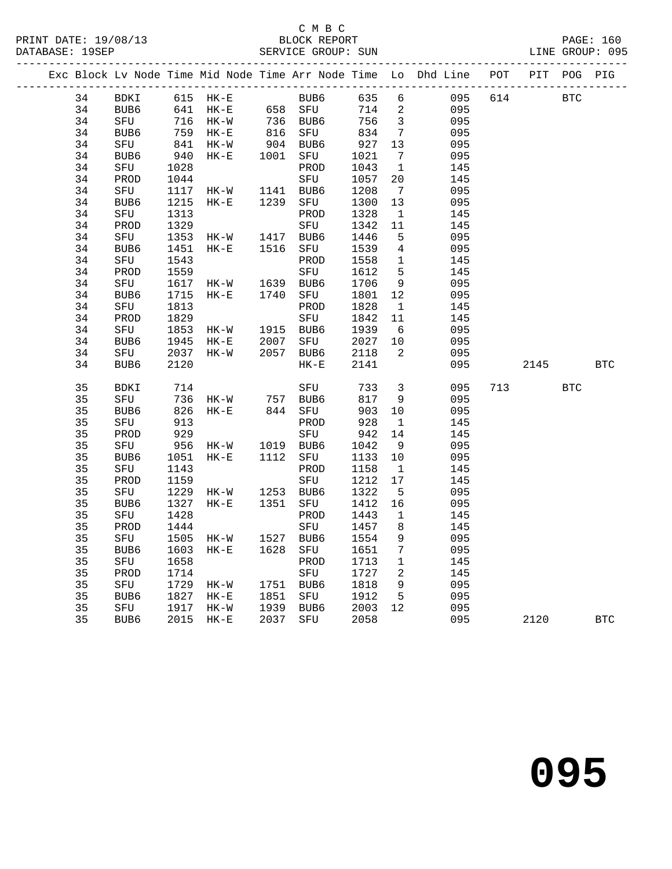### C M B C<br>BLOCK REPORT

|  |    |             |            |                          |                      |                     |                   |                              | Exc Block Lv Node Time Mid Node Time Arr Node Time Lo Dhd Line POT PIT POG PIG |     |      |            |            |
|--|----|-------------|------------|--------------------------|----------------------|---------------------|-------------------|------------------------------|--------------------------------------------------------------------------------|-----|------|------------|------------|
|  | 34 | BDKI        |            | 615 HK-E                 |                      | BUB6                | 635               | 6                            | 095                                                                            | 614 |      | <b>BTC</b> |            |
|  | 34 | BUB6        | 641        | $HK-E$                   |                      | 658 SFU             | 714               | $\overline{a}$               | 095                                                                            |     |      |            |            |
|  | 34 | SFU         |            |                          |                      | 736 BUB6<br>816 SFU | 756               | $\overline{\mathbf{3}}$      | 095                                                                            |     |      |            |            |
|  | 34 | BUB6        |            | $759$ HK-E<br>$759$ HK-E |                      |                     | 834               | $7\overline{ }$              | 095                                                                            |     |      |            |            |
|  | 34 | SFU         | 841<br>940 | HK-W                     | $904$<br>$1001$      | BUB6                | 927               | 13                           | 095                                                                            |     |      |            |            |
|  | 34 | BUB6        |            | $HK-E$                   |                      | SFU                 | 1021              | $7\overline{ }$              | 095                                                                            |     |      |            |            |
|  | 34 | SFU         | 1028       |                          |                      | PROD                | 1043              | $\overline{1}$               | 145                                                                            |     |      |            |            |
|  | 34 | PROD        | 1044       |                          |                      | SFU                 | 1057              | 20                           | 145                                                                            |     |      |            |            |
|  | 34 | SFU         | 1117       | HK-W                     | 1141<br>1239         | BUB6                | 1208              | $7\phantom{.0}\phantom{.0}7$ | 095                                                                            |     |      |            |            |
|  | 34 | BUB6        | 1215       | $HK-E$                   |                      | SFU                 | 1300              | 13                           | 095                                                                            |     |      |            |            |
|  | 34 | SFU         | 1313       |                          |                      | PROD                | 1328              | $\mathbf{1}$                 | 145                                                                            |     |      |            |            |
|  | 34 | PROD        | 1329       |                          |                      | SFU                 | 1342              | 11                           | 145                                                                            |     |      |            |            |
|  | 34 | SFU         | 1353       | $HK-W$                   | 1417<br>1516         | BUB6                | 1446              | $5^{\circ}$                  | 095                                                                            |     |      |            |            |
|  | 34 | BUB6        | 1451       | HK-E                     |                      | SFU                 | 1539              | $\overline{4}$               | 095                                                                            |     |      |            |            |
|  | 34 | SFU         | 1543       |                          |                      | PROD                | 1558              | $\overline{1}$               | 145                                                                            |     |      |            |            |
|  | 34 | PROD        | 1559       |                          |                      | SFU                 | 1612              | $5^{\circ}$                  | 145                                                                            |     |      |            |            |
|  | 34 | SFU         | 1617       | HK-W                     | 1639                 | BUB6                | 1706              | 9                            | 095                                                                            |     |      |            |            |
|  | 34 | BUB6        | 1715       | $HK-E$                   | 1740                 | SFU                 | 1801              | 12                           | 095                                                                            |     |      |            |            |
|  | 34 | SFU         | 1813       |                          |                      | PROD                | 1828              | $\mathbf{1}$                 | 145                                                                            |     |      |            |            |
|  | 34 | PROD        | 1829       |                          |                      | SFU                 | 1842              | 11                           | 145                                                                            |     |      |            |            |
|  | 34 | SFU         | 1853       | HK-W                     |                      | 1915 BUB6           | 1939              | 6                            | 095                                                                            |     |      |            |            |
|  | 34 | BUB6        | 1945       | $HK-E$                   | 2007<br>2057         | SFU                 | 2027 10<br>2118 2 |                              | 095                                                                            |     |      |            |            |
|  | 34 | SFU         | 2037       | HK-W                     | 2057                 | BUB6                |                   |                              | 095                                                                            |     |      |            |            |
|  | 34 | BUB6        | 2120       |                          |                      | $HK-E$              | 2141              |                              | 095                                                                            |     | 2145 |            | <b>BTC</b> |
|  | 35 | BDKI        | 714        |                          |                      | SFU                 | 733               | $\overline{3}$               | 095                                                                            | 713 |      | <b>BTC</b> |            |
|  | 35 | SFU         | 736        | HK-W 757                 |                      | BUB6                | 817               | 9                            | 095                                                                            |     |      |            |            |
|  | 35 | BUB6        | 826        | $HK-E$                   | 844                  | SFU                 | 903               | 10                           | 095                                                                            |     |      |            |            |
|  | 35 | SFU         | 913        |                          |                      | PROD                | 928               | $\mathbf{1}$                 | 145                                                                            |     |      |            |            |
|  | 35 | PROD        | 929<br>956 |                          |                      | SFU                 | 942               | 14                           | 145                                                                            |     |      |            |            |
|  | 35 | SFU         |            | $HK-W$                   |                      | 1019 BUB6           | 1042              | 9                            | 095                                                                            |     |      |            |            |
|  | 35 | BUB6        | 1051       | HK-E                     | 1112                 | SFU                 | 1133              | 10                           | 095                                                                            |     |      |            |            |
|  | 35 | SFU         | 1143       |                          |                      | PROD                | 1158              | $\overline{1}$               | 145                                                                            |     |      |            |            |
|  | 35 | PROD        | 1159       |                          |                      | SFU                 | 1212              | 17                           | 145                                                                            |     |      |            |            |
|  | 35 | SFU         | 1229       | $HK-W$                   | 1253                 | BUB6                | 1322              | $5^{\circ}$                  | 095                                                                            |     |      |            |            |
|  | 35 | BUB6        | 1327       | $HK-E$                   | 1351                 | SFU                 | 1412              | 16                           | 095                                                                            |     |      |            |            |
|  | 35 | SFU         | 1428       |                          |                      | PROD                | 1443              | $\mathbf{1}$                 | 145                                                                            |     |      |            |            |
|  | 35 | PROD        | 1444       |                          |                      | SFU                 | 1457              | 8                            | 145                                                                            |     |      |            |            |
|  | 35 | ${\tt SFU}$ | 1505       | HK-W                     | 1527                 | BUB6                | 1554              | 9                            | 095                                                                            |     |      |            |            |
|  | 35 | BUB6        | 1603       | $HK-E$                   | 1628                 | SFU                 | 1651              | $7\phantom{.0}$              | 095                                                                            |     |      |            |            |
|  | 35 | SFU         | 1658       |                          |                      | PROD                | 1713              | $\mathbf{1}$                 | 145                                                                            |     |      |            |            |
|  | 35 | PROD        | 1714       |                          |                      | SFU                 | 1727              | $\overline{\phantom{a}}^2$   | 145                                                                            |     |      |            |            |
|  | 35 | SFU         | 1729       | HK-W                     | 1751<br>1851<br>1751 | BUB6                | 1818              | 9                            | 095                                                                            |     |      |            |            |
|  | 35 | BUB6        | 1827       | $HK-E$                   |                      | SFU                 | 1912              | 5                            | 095                                                                            |     |      |            |            |
|  | 35 | SFU         | 1917       | HK-W                     | 1939<br>2037         | BUB6                | 2003              | 12                           | 095                                                                            |     |      |            |            |
|  | 35 | BUB6        | 2015       | $HK-E$                   | 2037                 | SFU                 | 2058              |                              | 095                                                                            |     | 2120 |            | <b>BTC</b> |
|  |    |             |            |                          |                      |                     |                   |                              |                                                                                |     |      |            |            |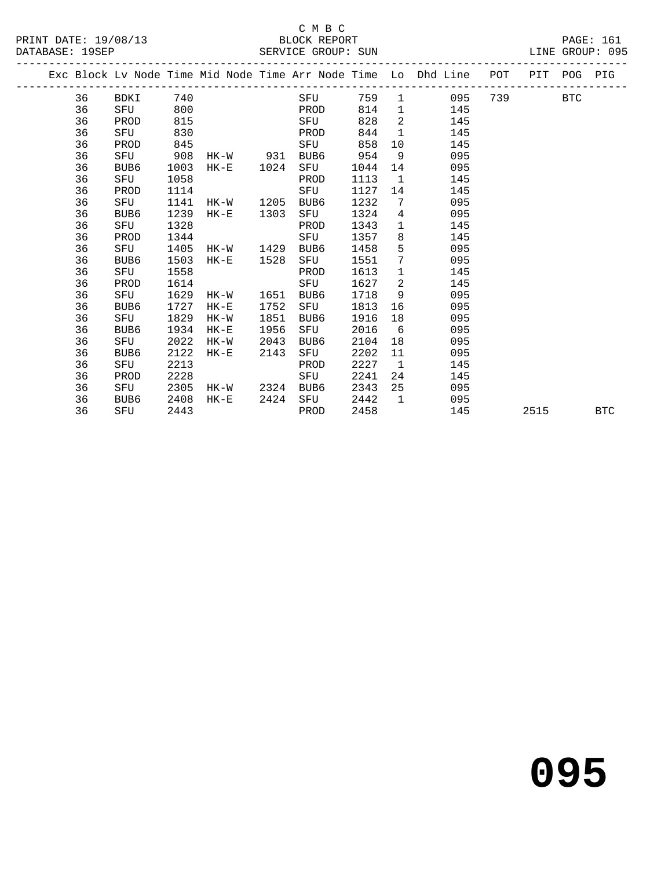#### C M B C<br>BLOCK REPORT

|  |    | Exc Block Lv Node Time Mid Node Time Arr Node Time Lo Dhd Line POT PIT POG |      |        |                                                      |      |     |         |                 |              |     |           |      |            | PIG |
|--|----|----------------------------------------------------------------------------|------|--------|------------------------------------------------------|------|-----|---------|-----------------|--------------|-----|-----------|------|------------|-----|
|  | 36 | BDKI 740                                                                   |      |        | <b>SEU</b>                                           |      |     | 759     |                 | 1 095        |     | 739 — 139 |      | <b>BTC</b> |     |
|  | 36 | SFU 800                                                                    |      |        | <u>in the second property of the second property</u> |      |     | 814     | $\mathbf{1}$    |              | 145 |           |      |            |     |
|  | 36 | PROD                                                                       | 815  |        |                                                      | SFU  |     | 828     | $\overline{2}$  |              | 145 |           |      |            |     |
|  | 36 | SFU                                                                        | 830  |        |                                                      | PROD |     | 844     |                 | $\mathbf{1}$ | 145 |           |      |            |     |
|  | 36 | PROD                                                                       | 845  |        |                                                      |      | SFU | 858     | 10              |              | 145 |           |      |            |     |
|  | 36 | SFU                                                                        | 908  |        | HK-W 931                                             | BUB6 |     | 954     | - 9             |              | 095 |           |      |            |     |
|  | 36 | BUB6                                                                       | 1003 | $HK-E$ | 1024                                                 | SFU  |     | 1044    | 14              |              | 095 |           |      |            |     |
|  | 36 | SFU                                                                        | 1058 |        |                                                      | PROD |     | 1113    | $\overline{1}$  |              | 145 |           |      |            |     |
|  | 36 | PROD                                                                       | 1114 |        |                                                      | SFU  |     | 1127 14 |                 |              | 145 |           |      |            |     |
|  | 36 | SFU                                                                        | 1141 |        | HK-W 1205                                            | BUB6 |     | 1232    | $\overline{7}$  |              | 095 |           |      |            |     |
|  | 36 | BUB6                                                                       | 1239 | HK-E   | 1303                                                 | SFU  |     | 1324    | $4\overline{ }$ |              | 095 |           |      |            |     |
|  | 36 | SFU                                                                        | 1328 |        |                                                      | PROD |     | 1343    | $\mathbf{1}$    |              | 145 |           |      |            |     |
|  | 36 | PROD                                                                       | 1344 |        |                                                      | SFU  |     | 1357    | 8               |              | 145 |           |      |            |     |
|  | 36 | SFU                                                                        | 1405 |        | HK-W 1429                                            | BUB6 |     | 1458    | 5               |              | 095 |           |      |            |     |
|  | 36 | BUB6                                                                       | 1503 | HK-E   | 1528                                                 | SFU  |     | 1551    | $7\overline{ }$ |              | 095 |           |      |            |     |
|  | 36 | SFU                                                                        | 1558 |        |                                                      | PROD |     | 1613    | $\mathbf{1}$    |              | 145 |           |      |            |     |
|  | 36 | PROD                                                                       | 1614 |        |                                                      | SFU  |     | 1627    | $\overline{2}$  |              | 145 |           |      |            |     |
|  | 36 | SFU                                                                        | 1629 | HK-W   | 1651                                                 | BUB6 |     | 1718    | 9               |              | 095 |           |      |            |     |
|  | 36 | BUB6                                                                       | 1727 | $HK-E$ | 1752                                                 | SFU  |     | 1813    | 16              |              | 095 |           |      |            |     |
|  | 36 | SFU                                                                        | 1829 | HK-W   | 1851                                                 | BUB6 |     | 1916    | 18              |              | 095 |           |      |            |     |
|  | 36 | BUB6                                                                       | 1934 | $HK-E$ | 1956                                                 | SFU  |     | 2016    | 6               |              | 095 |           |      |            |     |
|  | 36 | SFU                                                                        | 2022 | HK-W   | 2043                                                 | BUB6 |     | 2104    | 18              |              | 095 |           |      |            |     |
|  | 36 | BUB6                                                                       | 2122 | $HK-E$ | 2143                                                 | SFU  |     | 2202    | 11              |              | 095 |           |      |            |     |
|  | 36 | SFU                                                                        | 2213 |        |                                                      | PROD |     | 2227    | $\mathbf{1}$    |              | 145 |           |      |            |     |
|  | 36 | PROD                                                                       | 2228 |        |                                                      | SFU  |     | 2241    | 24              |              | 145 |           |      |            |     |
|  | 36 | SFU                                                                        | 2305 | HK-W   | 2324                                                 | BUB6 |     | 2343    | 25              |              | 095 |           |      |            |     |
|  | 36 | BUB6                                                                       | 2408 | $HK-E$ | 2424                                                 | SFU  |     | 2442    | $\overline{1}$  |              | 095 |           |      |            |     |
|  | 36 | SFU                                                                        | 2443 |        |                                                      | PROD |     | 2458    |                 |              | 145 |           | 2515 |            | BTC |
|  |    |                                                                            |      |        |                                                      |      |     |         |                 |              |     |           |      |            |     |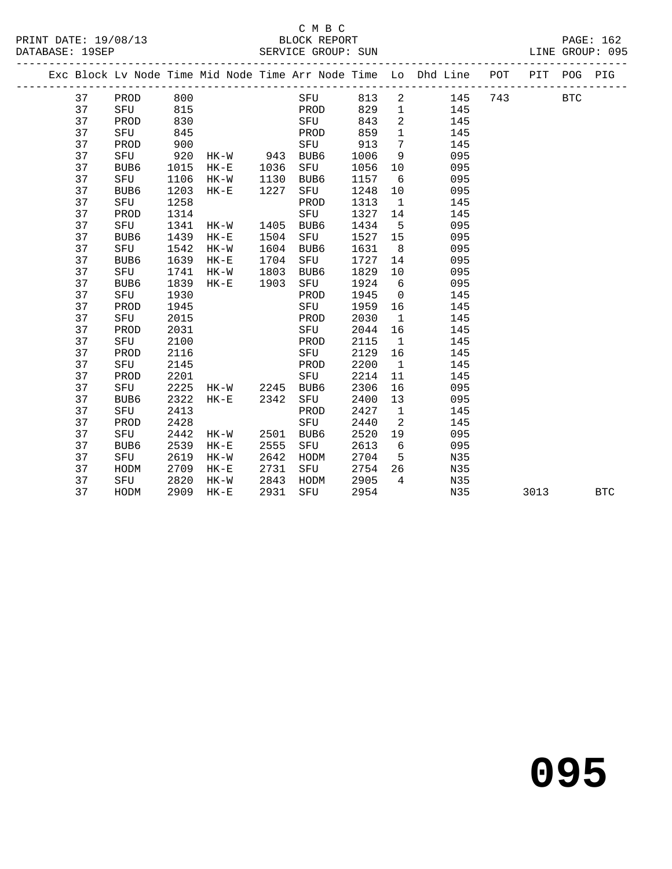#### C M B C<br>BLOCK REPORT

|  |    |                  |      |          |      |      |       |                | Exc Block Lv Node Time Mid Node Time Arr Node Time Lo Dhd Line | POT | PIT  | POG        | PIG        |
|--|----|------------------|------|----------|------|------|-------|----------------|----------------------------------------------------------------|-----|------|------------|------------|
|  | 37 | PROD 800         |      |          |      | SFU  | 813 2 |                | 145                                                            | 743 |      | <b>BTC</b> |            |
|  | 37 | SFU              | 815  |          |      | PROD | 829   | $\mathbf{1}$   | 145                                                            |     |      |            |            |
|  | 37 | PROD             | 830  |          |      | SFU  | 843   | 2              | 145                                                            |     |      |            |            |
|  | 37 | SFU              | 845  |          |      | PROD | 859   | $\mathbf{1}$   | 145                                                            |     |      |            |            |
|  | 37 | PROD             | 900  |          |      | SFU  | 913   | $\overline{7}$ | 145                                                            |     |      |            |            |
|  | 37 | SFU              | 920  | HK-W     | 943  | BUB6 | 1006  | 9              | 095                                                            |     |      |            |            |
|  | 37 | BUB <sub>6</sub> | 1015 | $HK-E$   | 1036 | SFU  | 1056  | 10             | 095                                                            |     |      |            |            |
|  | 37 | SFU              | 1106 | HK-W     | 1130 | BUB6 | 1157  | 6              | 095                                                            |     |      |            |            |
|  | 37 | BUB6             | 1203 | $HK-E$   | 1227 | SFU  | 1248  | 10             | 095                                                            |     |      |            |            |
|  | 37 | SFU              | 1258 |          |      | PROD | 1313  | $\overline{1}$ | 145                                                            |     |      |            |            |
|  | 37 | PROD             | 1314 |          |      | SFU  | 1327  | 14             | 145                                                            |     |      |            |            |
|  | 37 | SFU              | 1341 | $HK-W$   | 1405 | BUB6 | 1434  | $5^{\circ}$    | 095                                                            |     |      |            |            |
|  | 37 | BUB6             | 1439 | $HK-E$   | 1504 | SFU  | 1527  | 15             | 095                                                            |     |      |            |            |
|  | 37 | SFU              | 1542 | $HK-W$   | 1604 | BUB6 | 1631  | 8              | 095                                                            |     |      |            |            |
|  | 37 | BUB6             | 1639 | $HK-E$   | 1704 | SFU  | 1727  | 14             | 095                                                            |     |      |            |            |
|  | 37 | SFU              | 1741 | HK-W     | 1803 | BUB6 | 1829  | 10             | 095                                                            |     |      |            |            |
|  | 37 | BUB6             | 1839 | $HK-E$   | 1903 | SFU  | 1924  | 6              | 095                                                            |     |      |            |            |
|  | 37 | SFU              | 1930 |          |      | PROD | 1945  | $\overline{0}$ | 145                                                            |     |      |            |            |
|  | 37 | PROD             | 1945 |          |      | SFU  | 1959  | 16             | 145                                                            |     |      |            |            |
|  | 37 | SFU              | 2015 |          |      | PROD | 2030  | $\overline{1}$ | 145                                                            |     |      |            |            |
|  | 37 | PROD             | 2031 |          |      | SFU  | 2044  | 16             | 145                                                            |     |      |            |            |
|  | 37 | SFU              | 2100 |          |      | PROD | 2115  | $\overline{1}$ | 145                                                            |     |      |            |            |
|  | 37 | PROD             | 2116 |          |      | SFU  | 2129  | 16             | 145                                                            |     |      |            |            |
|  | 37 | SFU              | 2145 |          |      | PROD | 2200  | $\overline{1}$ | 145                                                            |     |      |            |            |
|  | 37 | PROD             | 2201 |          |      | SFU  | 2214  | 11             | 145                                                            |     |      |            |            |
|  | 37 | SFU              | 2225 | HK-W     | 2245 | BUB6 | 2306  | 16             | 095                                                            |     |      |            |            |
|  | 37 | BUB6             | 2322 | $HK-E$   | 2342 | SFU  | 2400  | 13             | 095                                                            |     |      |            |            |
|  | 37 | SFU              | 2413 |          |      | PROD | 2427  | $\mathbf{1}$   | 145                                                            |     |      |            |            |
|  | 37 | PROD             | 2428 |          |      | SFU  | 2440  | $\overline{2}$ | 145                                                            |     |      |            |            |
|  | 37 | SFU              | 2442 | $HK-W$   | 2501 | BUB6 | 2520  | 19             | 095                                                            |     |      |            |            |
|  | 37 | BUB <sub>6</sub> | 2539 | $HK-E$   | 2555 | SFU  | 2613  | 6              | 095                                                            |     |      |            |            |
|  | 37 | SFU              | 2619 | $HK-W$   | 2642 | HODM | 2704  | $-5$           | N35                                                            |     |      |            |            |
|  | 37 | HODM             | 2709 | $HK - E$ | 2731 | SFU  | 2754  | 26             | N35                                                            |     |      |            |            |
|  | 37 | SFU              | 2820 | $HK-W$   | 2843 | HODM | 2905  | $\overline{4}$ | N35                                                            |     |      |            |            |
|  | 37 | HODM             | 2909 | $HK-E$   | 2931 | SFU  | 2954  |                | N35                                                            |     | 3013 |            | <b>BTC</b> |
|  |    |                  |      |          |      |      |       |                |                                                                |     |      |            |            |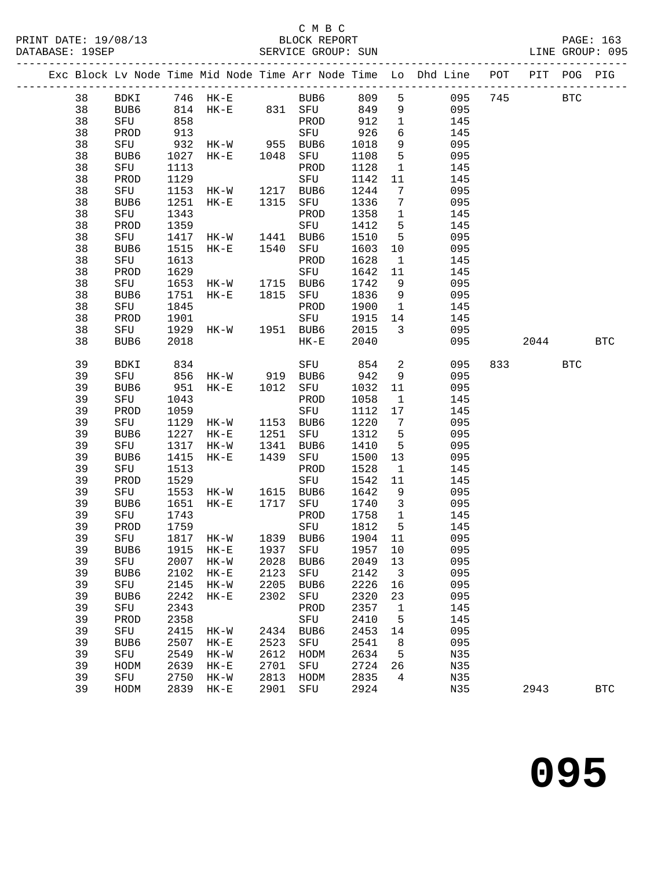|  |          |             |              |                                                                  |      |           |                         |                         | Exc Block Lv Node Time Mid Node Time Arr Node Time Lo Dhd Line POT PIT POG PIG |          |            |
|--|----------|-------------|--------------|------------------------------------------------------------------|------|-----------|-------------------------|-------------------------|--------------------------------------------------------------------------------|----------|------------|
|  | 38       |             |              |                                                                  |      |           |                         |                         |                                                                                |          |            |
|  | 38       |             |              |                                                                  |      |           |                         |                         |                                                                                |          |            |
|  | 38       | SFU         | 858          |                                                                  |      | PROD 912  |                         | $\mathbf{1}$            | 145                                                                            |          |            |
|  | 38       | PROD        | 913          |                                                                  |      |           | 926                     | 6                       | 145                                                                            |          |            |
|  | 38       | SFU         |              |                                                                  |      |           | 1018                    | 9                       | 095                                                                            |          |            |
|  | 38       | BUB6        |              |                                                                  |      |           | 1108                    | 5 <sub>5</sub>          | 095                                                                            |          |            |
|  | 38       | SFU         | 1113         |                                                                  |      | PROD      | 1128                    | $\mathbf{1}$            | 145                                                                            |          |            |
|  | 38       | PROD        |              | 1129<br>1153 HK-W 1217 BUB6<br>1251 HK-E 1315 SFU                |      |           | 1142                    | 11                      | 145                                                                            |          |            |
|  | 38       | SFU         |              |                                                                  |      |           | 1244                    | $7\overline{ }$         | 095                                                                            |          |            |
|  | 38       | BUB6        |              |                                                                  |      |           | 1336 7                  |                         | 095                                                                            |          |            |
|  | 38       | SFU         | 1343         |                                                                  |      | PROD      | 1358 1                  |                         | 145                                                                            |          |            |
|  | 38       | PROD        | 1359         |                                                                  |      | SFU       | 1412                    | $5^{\circ}$             | 145                                                                            |          |            |
|  | 38       | SFU         |              | 1417 HK-W 1441 BUB6<br>1515 HK-E 1540 SFU                        |      |           | 1510                    | $5^{\circ}$             | 095                                                                            |          |            |
|  | 38       | BUB6        |              |                                                                  |      |           | 1603                    | 10                      | 095                                                                            |          |            |
|  | 38       | SFU         | 1613         |                                                                  |      | PROD      | 1628                    | $\mathbf{1}$            | 145                                                                            |          |            |
|  | 38       | PROD        | 1629         |                                                                  |      | SFU       | 1642                    | 11                      | 145                                                                            |          |            |
|  | 38       | SFU         |              | 1653 HK-W 1715 BUB6<br>1751 HK-E 1815 SFU<br>1845 DR             |      |           | 1742 9                  |                         | 095                                                                            |          |            |
|  | 38       | BUB6        |              |                                                                  |      |           | 1836 9                  |                         | 095                                                                            |          |            |
|  | 38       | SFU         | 1845         |                                                                  |      | PROD      | 1900 1                  |                         | 145                                                                            |          |            |
|  | 38       | PROD        | 1901         |                                                                  |      | SFU       | 1915 14                 |                         | 145                                                                            |          |            |
|  | 38       | SFU         |              | 1929 HK-W 1951 BUB6                                              |      |           | 2015                    | $\overline{\mathbf{3}}$ | 095                                                                            |          |            |
|  | 38       | BUB6        | 2018         |                                                                  |      | $HK-E$    | 2040                    |                         | 095                                                                            | 2044 BTC |            |
|  | 39       | BDKI        | 834          |                                                                  |      | SFU 854   |                         | $\overline{a}$          | 095                                                                            | 833 BTC  |            |
|  | 39       |             |              |                                                                  |      |           | 942                     | 9                       | 095                                                                            |          |            |
|  | 39       |             |              | SFU 856 HK-W 919 BUB6<br>BUB6 951 HK-E 1012 SFU<br>SFU 1043 PROD |      |           | 1032 11                 |                         | 095                                                                            |          |            |
|  | 39       | SFU         | 1043         |                                                                  |      | PROD      | 1058                    | $\overline{\mathbf{1}}$ | 145                                                                            |          |            |
|  | 39       | PROD        | 1059         |                                                                  |      | SFU       | 1112 17                 |                         | 145                                                                            |          |            |
|  | 39       | SFU         |              | 1129 HK-W 1153 BUB6<br>1227 HK-E 1251 SFU<br>1317 HK-W 1341 BUB6 |      |           | 1220                    | $7\overline{ }$         | 095                                                                            |          |            |
|  | 39       | BUB6        |              |                                                                  |      |           | 1312                    | $5^{\circ}$             | 095                                                                            |          |            |
|  | 39       | SFU         |              |                                                                  |      |           | 1410                    | $5^{\circ}$             | 095                                                                            |          |            |
|  | 39       | BUB6        | 1415         | $HK-E$                                                           | 1439 | SFU       | 1500 13                 |                         | 095                                                                            |          |            |
|  | 39       | SFU         | 1513         |                                                                  |      | PROD      | 1528                    | $\overline{1}$          | 145                                                                            |          |            |
|  | 39       | PROD        | 1529         |                                                                  |      | SFU       | 1542                    | 11                      | 145                                                                            |          |            |
|  | 39       | SFU         |              | $1553$ HK-W $1615$ BUB6                                          | 1717 |           | 1642 9                  |                         | 095                                                                            |          |            |
|  | 39       | BUB6        | 1651         | $HK-E$                                                           |      | SFU       | 1740 3                  |                         | 095                                                                            |          |            |
|  | 39<br>39 | SFU<br>PROD | 1743<br>1759 |                                                                  |      | PROD      | 1758 1<br>1812          | $5^{\circ}$             | 145<br>145                                                                     |          |            |
|  | 39       | SFU         |              | 1817 HK-W 1839 BUB6                                              |      | SFU       | 5    1812<br>1904    11 |                         | 095                                                                            |          |            |
|  | 39       |             |              |                                                                  |      |           |                         |                         | BUB6 1915 HK-E 1937 SFU 1957 10 095                                            |          |            |
|  | 39       | SFU         | 2007         | HK-W                                                             | 2028 | BUB6      | 2049                    | 13                      | 095                                                                            |          |            |
|  | 39       | BUB6        | 2102         | $HK-E$                                                           | 2123 | SFU       | 2142                    | $\overline{\mathbf{3}}$ | 095                                                                            |          |            |
|  | 39       | SFU         | 2145         | $HK-W$                                                           | 2205 | BUB6      | 2226                    | 16                      | 095                                                                            |          |            |
|  | 39       | BUB6        | 2242         | $HK-E$                                                           | 2302 | SFU       | 2320                    | 23                      | 095                                                                            |          |            |
|  | 39       | SFU         | 2343         |                                                                  |      | PROD      | 2357                    | $\mathbf{1}$            | 145                                                                            |          |            |
|  | 39       | PROD        | 2358         |                                                                  |      | SFU       | 2410                    | 5                       | 145                                                                            |          |            |
|  | 39       | SFU         | 2415         | $HK-W$                                                           |      | 2434 BUB6 | 2453                    | 14                      | 095                                                                            |          |            |
|  | 39       | BUB6        | 2507         | $HK-E$                                                           | 2523 | SFU       | 2541                    | 8                       | 095                                                                            |          |            |
|  | 39       | SFU         | 2549         | $HK-W$                                                           | 2612 | HODM      | 2634                    | $-5$                    | N35                                                                            |          |            |
|  | 39       | HODM        | 2639         | $HK-E$                                                           | 2701 | SFU       | 2724                    | 26                      | N35                                                                            |          |            |
|  | 39       | SFU         | 2750         | $HK-W$                                                           | 2813 | HODM      | 2835                    | $4\overline{4}$         | N35                                                                            |          |            |
|  | 39       | HODM        | 2839         | $HK-E$                                                           | 2901 | SFU       | 2924                    |                         | N35                                                                            | 2943     | <b>BTC</b> |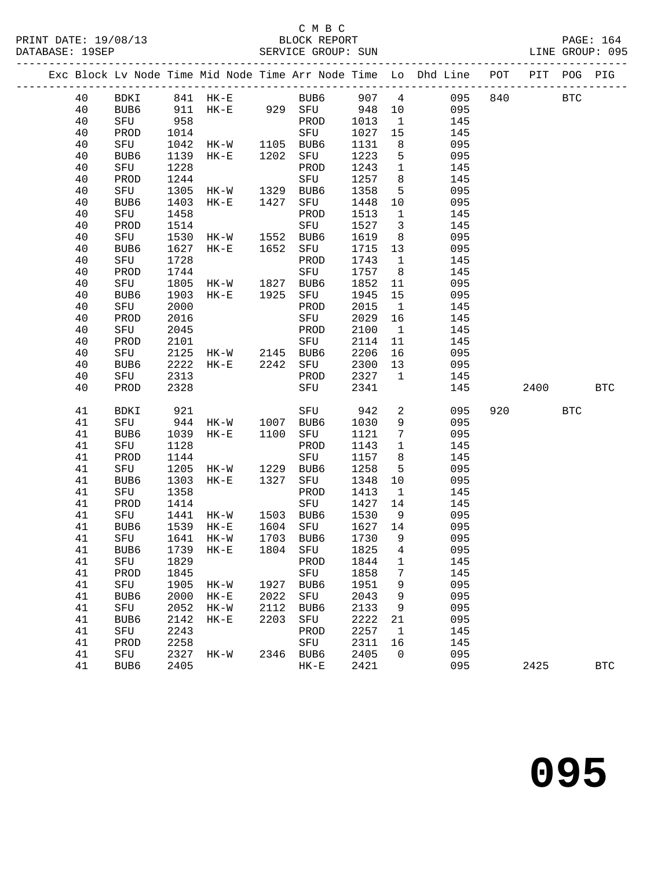### C M B C<br>BLOCK REPOI

| PRINT DATE: 19/08/13 | BLOCK REPORT       | <b>PAGE: 164</b> |
|----------------------|--------------------|------------------|
| DATABASE: 19SEP      | SERVICE GROUP: SUN | LINE GROUP: 095  |

|  |          |             |              |                                        |      |                                    |              |                          | Exc Block Lv Node Time Mid Node Time Arr Node Time Lo Dhd Line POT PIT POG PIG |     |            |            |            |
|--|----------|-------------|--------------|----------------------------------------|------|------------------------------------|--------------|--------------------------|--------------------------------------------------------------------------------|-----|------------|------------|------------|
|  | 40       |             |              |                                        |      |                                    |              |                          | BDKI 841 HK-E BUB6 907 4 095 840 BTC<br>BUB6 911 HK-E 929 SFU 948 10 095       |     |            |            |            |
|  | 40       |             |              |                                        |      |                                    |              |                          |                                                                                |     |            |            |            |
|  | 40       | SFU         | 958          |                                        |      | PROD                               | 1013         | $\overline{1}$           | 145                                                                            |     |            |            |            |
|  | 40       | PROD        | 1014         |                                        |      |                                    | 1027         | 15                       | 145                                                                            |     |            |            |            |
|  | 40       | SFU         | 1042         | SFU<br>HK-W 1105 BUB6<br>HK-E 1202 SFU |      |                                    | 1131         | 8 <sup>8</sup>           | 095                                                                            |     |            |            |            |
|  | 40       | BUB6        | 1139         |                                        |      |                                    | 1223         | 5 <sup>5</sup>           | 095                                                                            |     |            |            |            |
|  | 40       | SFU         | 1228         |                                        |      | PROD                               | 1243         | $\overline{1}$           | 145                                                                            |     |            |            |            |
|  | 40       | PROD        | 1244         | SFU<br>HK-W 1329 BUB6<br>HK-E 1427 SFU |      |                                    | 1257         | 8 <sup>8</sup>           | 145                                                                            |     |            |            |            |
|  | 40       | SFU         | 1305         |                                        |      |                                    | 1358         | 5 <sup>5</sup>           | 095                                                                            |     |            |            |            |
|  | 40       | BUB6        | 1403         |                                        |      | SFU                                | 1448         | 10                       | 095                                                                            |     |            |            |            |
|  | 40       | SFU         | 1458         |                                        |      | PROD                               | 1513         | $\overline{1}$           | 145                                                                            |     |            |            |            |
|  | 40       | PROD        | 1514         | SFU<br>HK-W 1552 BUB6<br>HK-E 1652 SFU |      |                                    | 1527         | $\overline{\mathbf{3}}$  | 145                                                                            |     |            |            |            |
|  | 40       | SFU         | 1530         |                                        |      |                                    | 1619         | 8 <sup>8</sup>           | 095                                                                            |     |            |            |            |
|  | 40       | BUB6        | 1627         |                                        |      | SFU                                | 1715         | 13                       | 095                                                                            |     |            |            |            |
|  | 40       | SFU         | 1728         |                                        |      | PROD                               | 1743         | $\overline{\mathbf{1}}$  | 145                                                                            |     |            |            |            |
|  | 40       | PROD        | 1744         |                                        |      | SFU                                | 1757         | 8 <sup>8</sup>           | 145                                                                            |     |            |            |            |
|  | 40       | SFU         | 1805         |                                        |      |                                    | 1852         | 11                       | 095                                                                            |     |            |            |            |
|  | 40       | BUB6        | 1903         | HK-W 1827 BUB6<br>HK-E 1925 SFU        |      | SFU                                | 1945         | 15                       | 095                                                                            |     |            |            |            |
|  | 40       | SFU         | 2000         |                                        |      | PROD                               | 2015         | $\overline{\phantom{a}}$ | 145                                                                            |     |            |            |            |
|  | 40       | PROD        | 2016         |                                        |      | SFU                                | 2029         | 16                       | 145                                                                            |     |            |            |            |
|  | 40       | SFU         | 2045         |                                        |      | PROD                               | 2100         | $\mathbf{1}$             | 145                                                                            |     |            |            |            |
|  | 40       | PROD        | 2101         |                                        |      | SFU                                | 2114         | 11                       | 145                                                                            |     |            |            |            |
|  | 40       | SFU         |              | 2125 HK-W 2145 BUB6                    |      |                                    | 2206         | 16                       | 095                                                                            |     |            |            |            |
|  | 40       | BUB6        | 2222         | $HK-E$                                 |      | 2242 SFU                           | 2300         | 13                       | 095                                                                            |     |            |            |            |
|  | 40       | SFU         | 2313         |                                        |      | PROD                               | 2327         | $\overline{1}$           | 145                                                                            |     |            |            |            |
|  | 40       | PROD        | 2328         |                                        |      | SFU                                | 2341         |                          | 145                                                                            |     | 2400       | <b>BTC</b> |            |
|  | 41       | BDKI        | 921          |                                        |      | SFU 942                            |              | $\overline{a}$           | 095                                                                            | 920 | <b>BTC</b> |            |            |
|  | 41       | SFU         | 944          | HK-W 1007 BUB6<br>HK-E 1100 SFU        |      |                                    | 1030         | 9                        | 095                                                                            |     |            |            |            |
|  | 41       | BUB6        | 1039         |                                        |      |                                    | 1121         | $7\overline{ }$          | 095                                                                            |     |            |            |            |
|  | 41       | SFU         | 1128         |                                        |      | PROD                               | 1143         | $\overline{1}$           | 145                                                                            |     |            |            |            |
|  | 41       | PROD        | 1144         |                                        |      | SFU                                | 1157         | 8 <sup>8</sup>           | 145                                                                            |     |            |            |            |
|  | 41       | SFU         | 1205         | HK-W                                   | 1229 | BUB6                               | 1258         | $5^{\circ}$              | 095                                                                            |     |            |            |            |
|  | 41       | BUB6        | 1303         | $HK-E$                                 | 1327 | SFU                                | 1348         | 10                       | 095                                                                            |     |            |            |            |
|  | 41       | SFU         | 1358         |                                        |      | PROD                               | 1413         | $\overline{1}$           | 145                                                                            |     |            |            |            |
|  | 41       | PROD        | 1414         |                                        |      | SFU                                | 1427         | 14                       | 145                                                                            |     |            |            |            |
|  | 41       | SFU         | 1441         | $HK-W$                                 |      | 1503 BUB6<br>1604 SFU<br>1703 BUB6 | 1530         | 9                        | 095                                                                            |     |            |            |            |
|  | 41       | BUB6        | 1539         | $HK-E$                                 |      |                                    | 1627         | 14                       | 095                                                                            |     |            |            |            |
|  | 41       | SFU         |              | 1641 HK-W                              |      |                                    | 1730         | 9                        | 095                                                                            |     |            |            |            |
|  | 41       |             |              |                                        |      | BUB6 1739 HK-E 1804 SFU 1825 4     |              |                          | 095                                                                            |     |            |            |            |
|  | 41       | SFU         | 1829         |                                        |      | PROD                               | 1844         | $\mathbf{1}$             | 145                                                                            |     |            |            |            |
|  | 41       | PROD        | 1845         |                                        |      | SFU                                | 1858         | $7\phantom{.0}$          | 145                                                                            |     |            |            |            |
|  | 41       | SFU         | 1905         | HK-W                                   |      | 1927 BUB6                          | 1951         | 9                        | 095                                                                            |     |            |            |            |
|  | 41       | BUB6        | 2000         | $HK-E$                                 | 2022 | SFU                                | 2043         | 9                        | 095                                                                            |     |            |            |            |
|  | 41       | SFU         | 2052         | $HK-W$                                 | 2112 | BUB6                               | 2133         | 9                        | 095                                                                            |     |            |            |            |
|  | 41       | BUB6        | 2142         | $HK-E$                                 | 2203 | SFU                                | 2222         | 21                       | 095                                                                            |     |            |            |            |
|  | 41       | SFU         | 2243         |                                        |      | PROD                               | 2257         | $\overline{1}$           | 145                                                                            |     |            |            |            |
|  | 41       | PROD        | 2258         |                                        |      | SFU<br>2346 BUB6                   | 2311         | 16                       | 145                                                                            |     |            |            |            |
|  | 41<br>41 | SFU<br>BUB6 | 2327<br>2405 | HK-W                                   |      |                                    | 2405<br>2421 | $\overline{0}$           | 095<br>095                                                                     |     |            |            | <b>BTC</b> |
|  |          |             |              |                                        |      | $HK-E$                             |              |                          |                                                                                |     | 2425       |            |            |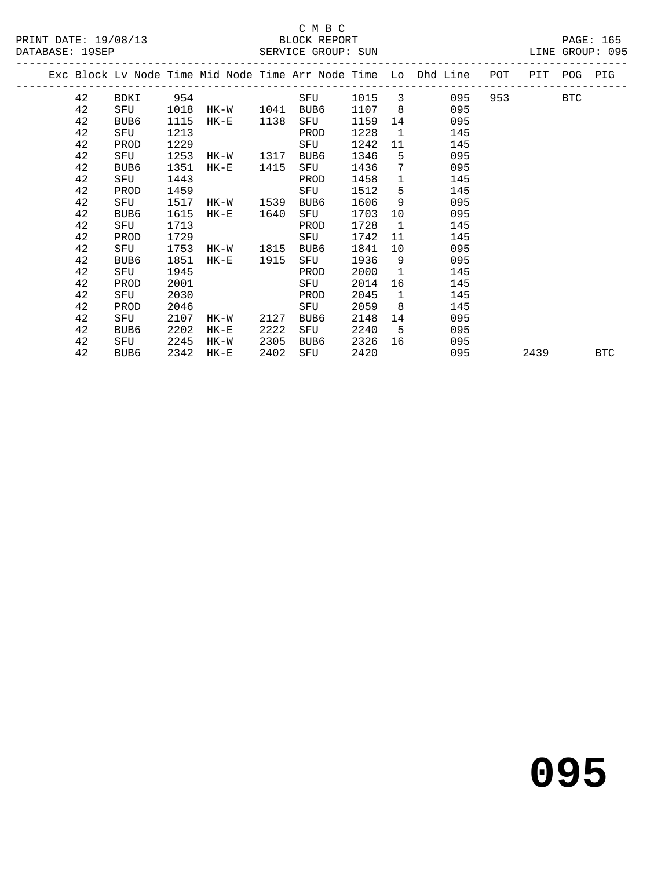#### C M B C<br>BLOCK REPORT

|  |    |      |      |          |      |      |      |                 | Exc Block Lv Node Time Mid Node Time Arr Node Time Lo Dhd Line | POT | PIT  | <b>POG</b> | PIG        |
|--|----|------|------|----------|------|------|------|-----------------|----------------------------------------------------------------|-----|------|------------|------------|
|  | 42 | BDKI | 954  |          |      | SFU  | 1015 | 3               | 095                                                            | 953 |      | <b>BTC</b> |            |
|  | 42 | SFU  | 1018 | HK-W     | 1041 | BUB6 | 1107 | 8               | 095                                                            |     |      |            |            |
|  | 42 | BUB6 | 1115 | $HK-E$   | 1138 | SFU  | 1159 | 14              | 095                                                            |     |      |            |            |
|  | 42 | SFU  | 1213 |          |      | PROD | 1228 | 1               | 145                                                            |     |      |            |            |
|  | 42 | PROD | 1229 |          |      | SFU  | 1242 | 11              | 145                                                            |     |      |            |            |
|  | 42 | SFU  | 1253 | HK-W     | 1317 | BUB6 | 1346 | 5               | 095                                                            |     |      |            |            |
|  | 42 | BUB6 | 1351 | $HK-E$   | 1415 | SFU  | 1436 | $7\phantom{.0}$ | 095                                                            |     |      |            |            |
|  | 42 | SFU  | 1443 |          |      | PROD | 1458 | $\mathbf{1}$    | 145                                                            |     |      |            |            |
|  | 42 | PROD | 1459 |          |      | SFU  | 1512 | 5               | 145                                                            |     |      |            |            |
|  | 42 | SFU  | 1517 | HK-W     | 1539 | BUB6 | 1606 | 9               | 095                                                            |     |      |            |            |
|  | 42 | BUB6 | 1615 | $HK-E$   | 1640 | SFU  | 1703 | 10              | 095                                                            |     |      |            |            |
|  | 42 | SFU  | 1713 |          |      | PROD | 1728 | $\mathbf{1}$    | 145                                                            |     |      |            |            |
|  | 42 | PROD | 1729 |          |      | SFU  | 1742 | 11              | 145                                                            |     |      |            |            |
|  | 42 | SFU  | 1753 | HK-W     | 1815 | BUB6 | 1841 | 10              | 095                                                            |     |      |            |            |
|  | 42 | BUB6 | 1851 | $HK-E$   | 1915 | SFU  | 1936 | 9               | 095                                                            |     |      |            |            |
|  | 42 | SFU  | 1945 |          |      | PROD | 2000 | $\overline{1}$  | 145                                                            |     |      |            |            |
|  | 42 | PROD | 2001 |          |      | SFU  | 2014 | 16              | 145                                                            |     |      |            |            |
|  | 42 | SFU  | 2030 |          |      | PROD | 2045 | $\mathbf{1}$    | 145                                                            |     |      |            |            |
|  | 42 | PROD | 2046 |          |      | SFU  | 2059 | 8               | 145                                                            |     |      |            |            |
|  | 42 | SFU  | 2107 | HK-W     | 2127 | BUB6 | 2148 | 14              | 095                                                            |     |      |            |            |
|  | 42 | BUB6 | 2202 | $HK - E$ | 2222 | SFU  | 2240 | 5               | 095                                                            |     |      |            |            |
|  | 42 | SFU  | 2245 | HK-W     | 2305 | BUB6 | 2326 | 16              | 095                                                            |     |      |            |            |
|  | 42 | BUB6 | 2342 | $HK-E$   | 2402 | SFU  | 2420 |                 | 095                                                            |     | 2439 |            | <b>BTC</b> |
|  |    |      |      |          |      |      |      |                 |                                                                |     |      |            |            |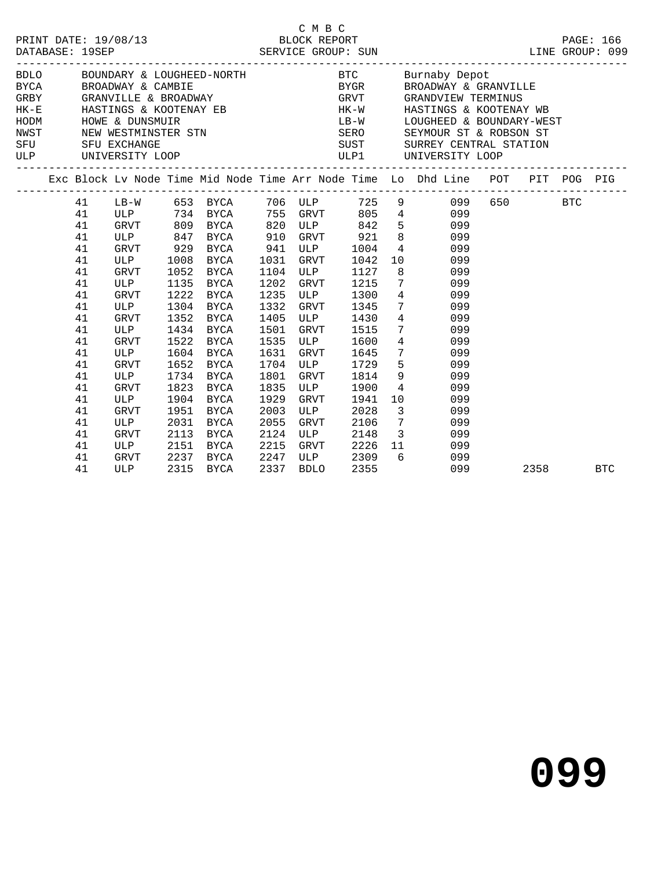|                                                                |                                                                                                                   |                                                                      |                                                                                                 |                                              |                                                                                     |                                                                                        | BDLO BOUNDARY & LOUGHEED-NORTH BTC Burnaby Depot<br>${\small\hbox{\texttt{BYCA}}} \qquad \qquad {\small\hbox{\texttt{BROADWAY}}} \; \; \& \; \; {\small\hbox{\texttt{CAMBIE}}} \qquad \qquad \qquad {\small\hbox{\texttt{BVGR}}} \qquad \qquad {\small\hbox{\texttt{BROADWAY}}} \; \; \& \; \; {\small\hbox{\texttt{GRANVILLE}}} \qquad \qquad {\small\hbox{\texttt{GRANVILLE}}} \qquad \qquad {\small\hbox{\texttt{GRANVILLE}}} \qquad \qquad {\small\hbox{\texttt{GRANVILLE}}} \qquad \qquad {\small\hbox{\texttt{GRANVILLE}}} \qquad \qquad {\small\hbox{\$<br>HK-E HASTINGS & KOOTENAY EB HK-W HASTINGS & KOOTENAY WB<br>HODM HOWE & DUNSMUIR<br>HODM HOWE & DUNSMUIR<br>NEW WESTMINSTER STN SERO SEYMOUR ST & ROBSON ST<br>SFU SFU EXCHANGE SUST SURREY CENTRAL STATION<br>ULP UNIVERSITY LOOP<br>ULP UNIVERSITY LOOP<br>ULP UNIVERSITY LOOP<br>ULP UNIVERSITY LOOP |          |  |
|----------------------------------------------------------------|-------------------------------------------------------------------------------------------------------------------|----------------------------------------------------------------------|-------------------------------------------------------------------------------------------------|----------------------------------------------|-------------------------------------------------------------------------------------|----------------------------------------------------------------------------------------|--------------------------------------------------------------------------------------------------------------------------------------------------------------------------------------------------------------------------------------------------------------------------------------------------------------------------------------------------------------------------------------------------------------------------------------------------------------------------------------------------------------------------------------------------------------------------------------------------------------------------------------------------------------------------------------------------------------------------------------------------------------------------------------------------------------------------------------------------------------------------|----------|--|
|                                                                |                                                                                                                   |                                                                      |                                                                                                 |                                              |                                                                                     |                                                                                        | Exc Block Lv Node Time Mid Node Time Arr Node Time Lo Dhd Line POT PIT POG PIG                                                                                                                                                                                                                                                                                                                                                                                                                                                                                                                                                                                                                                                                                                                                                                                           |          |  |
| 41<br>41<br>41<br>41<br>41<br>41<br>41<br>41<br>41<br>41       | GRVT 929<br>ULP 1008<br>GRVT 1052<br>ULP<br>GRVT<br>ULP<br>GRVT<br>ULP                                            | 1135<br>1222                                                         | ULP 847 BYCA 910<br>BYCA<br>BYCA<br>BYCA<br>BYCA<br>BYCA<br>1304 BYCA<br>1352 BYCA<br>1434 BYCA | 1031<br>1104<br>1202<br>1235<br>1332<br>1405 | 941 ULP<br>GRVT<br><b>ULP</b><br>GRVT<br>1501 GRVT                                  | 1042<br>1127<br>1215<br>1515                                                           | 41 LB-W 653 BYCA 706 ULP 725 9 099 650 BTC<br>41 ULP 734 BYCA 755 GRVT 805 4 099<br>GRVT 809 BYCA 820 ULP 842 5 099<br>GRVT 921 8 099<br>1004 4 099<br>10 099<br>8 099<br>7 099<br>ULP 1300 4 099<br>GRVT 1345 7 099<br>ULP 1430 4 099<br>$\frac{1}{7}$ 099                                                                                                                                                                                                                                                                                                                                                                                                                                                                                                                                                                                                              |          |  |
| 41<br>41<br>41<br>41<br>41<br>41<br>41<br>41<br>41<br>41<br>41 | GRVT<br><b>ULP</b><br>GRVT<br>ULP<br>GRVT<br>ULP<br>GRVT<br>ULP<br>GRVT<br>ULP<br>GRVT 2237 BYCA<br>ULP 2237 BYCA | 1522<br>1652<br>1734<br>1823<br>1904<br>1951<br>2031<br>2113<br>2151 | BYCA<br>1604 BYCA<br>BYCA<br>BYCA<br>BYCA<br>BYCA<br>BYCA<br>BYCA<br>BYCA<br>BYCA               | 1801<br>1835<br>1929<br>2003<br>2055<br>2215 | 1535 ULP<br>1631 GRVT<br>1704 ULP<br>GRVT<br>ULP<br>GRVT<br>ULP<br>GRVT<br>2124 ULP | 1600<br>1941<br>GRVT 2226 11<br>2215 GRVT 2220 11<br>2247 ULP 2309 6<br>2337 BDLO 2355 | 4 099<br>1645 7 099<br>1729 5 099<br>1814 9<br>099<br>1900 4<br>099<br>10<br>099<br>2028 3<br>099<br>2106 7 099<br>2148 3 099<br>099<br>099                                                                                                                                                                                                                                                                                                                                                                                                                                                                                                                                                                                                                                                                                                                              |          |  |
| 41                                                             |                                                                                                                   |                                                                      |                                                                                                 |                                              |                                                                                     |                                                                                        | 099                                                                                                                                                                                                                                                                                                                                                                                                                                                                                                                                                                                                                                                                                                                                                                                                                                                                      | 2358 BTC |  |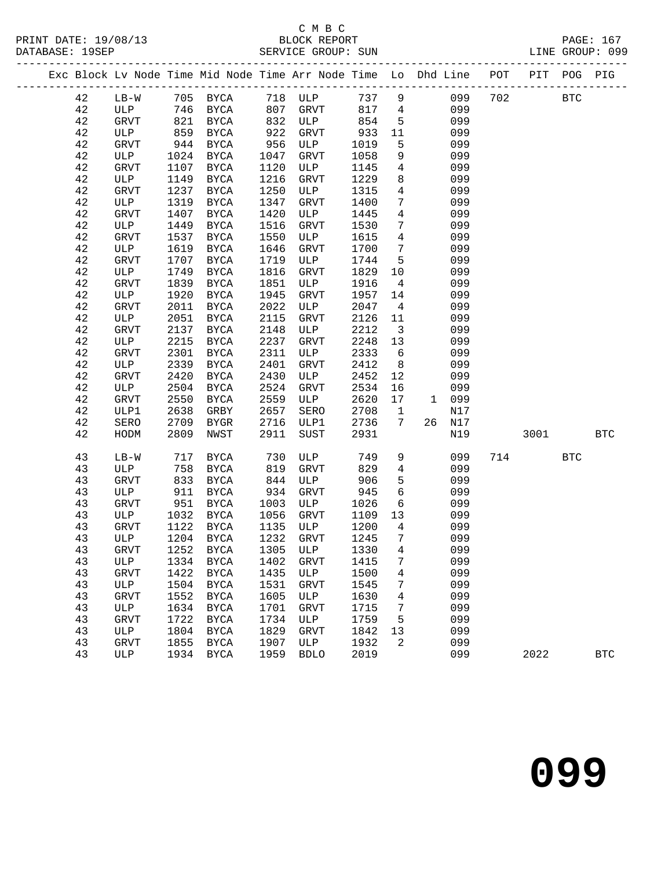|  |        |             |      |             |                   |                                                |                  |                         | Exc Block Lv Node Time Mid Node Time Arr Node Time Lo Dhd Line POT PIT POG PIG |     |            |            |              |
|--|--------|-------------|------|-------------|-------------------|------------------------------------------------|------------------|-------------------------|--------------------------------------------------------------------------------|-----|------------|------------|--------------|
|  | 42     |             |      |             |                   |                                                |                  |                         | 737 9<br>099                                                                   | 702 | <b>BTC</b> |            |              |
|  | 42     |             |      |             |                   | LB-W 705 BYCA 718 ULP<br>ULP 746 BYCA 807 GRVT |                  |                         | 817 4<br>099                                                                   |     |            |            |              |
|  | 42     | GRVT        |      | 821 BYCA    | 832               | ULP                                            | 854              | $5^{\circ}$             | 099                                                                            |     |            |            |              |
|  | 42     | ULP         | 859  | BYCA        | 922               | GRVT                                           | 933              | 11                      | 099                                                                            |     |            |            |              |
|  | 42     | GRVT        | 944  | BYCA        |                   | ULP                                            | 1019             | 5                       | 099                                                                            |     |            |            |              |
|  | 42     | ULP         | 1024 | BYCA        | $22$<br>956<br>10 | GRVT                                           | 1058             | 9 <sup>°</sup>          | 099                                                                            |     |            |            |              |
|  | 42     | GRVT        | 1107 | BYCA        | 1120              | ULP                                            | 1145             | $4\overline{4}$         | 099                                                                            |     |            |            |              |
|  | $4\,2$ | ULP         | 1149 | BYCA        | 1216              | GRVT                                           | 1229             | 8                       | 099                                                                            |     |            |            |              |
|  | 42     | <b>GRVT</b> | 1237 | BYCA        | 1250              | ULP                                            | 1315             | $\overline{4}$          | 099                                                                            |     |            |            |              |
|  | 42     | ULP         | 1319 | BYCA        | 1347              | GRVT                                           | 1400             | $7\overline{ }$         | 099                                                                            |     |            |            |              |
|  | 42     | GRVT        | 1407 | <b>BYCA</b> | 1420              | ULP                                            | 1445             | $\overline{4}$          | 099                                                                            |     |            |            |              |
|  | 42     | ULP         | 1449 | BYCA        | 1516              | GRVT                                           | 1530             | $7\phantom{.0}$         | 099                                                                            |     |            |            |              |
|  | 42     | GRVT        | 1537 | BYCA        | 1550              | ULP                                            | 1615             | $4\overline{4}$         | 099                                                                            |     |            |            |              |
|  | 42     | ULP         | 1619 | BYCA        | 1646              | GRVT                                           | 1700             | $7\overline{ }$         | 099                                                                            |     |            |            |              |
|  | $4\,2$ | GRVT        | 1707 | BYCA        | 1719              | ULP                                            | 1744             | 5 <sup>5</sup>          | 099                                                                            |     |            |            |              |
|  | 42     | ULP         | 1749 | BYCA        | 1816              | GRVT                                           | 1829             | 10                      | 099                                                                            |     |            |            |              |
|  | $4\,2$ | GRVT        | 1839 | <b>BYCA</b> | 1851              | ULP                                            | 1916             | $\overline{4}$          | 099                                                                            |     |            |            |              |
|  | 42     | ULP         | 1920 | <b>BYCA</b> | 1945              | GRVT                                           | 1957             | 14                      | 099                                                                            |     |            |            |              |
|  | 42     | GRVT        | 2011 | BYCA        | 2022              | ULP                                            | 2047             | $\overline{4}$          | 099                                                                            |     |            |            |              |
|  | 42     | ULP         | 2051 | <b>BYCA</b> | 2115              | GRVT                                           | 2126             | 11                      | 099                                                                            |     |            |            |              |
|  | 42     | GRVT        | 2137 | <b>BYCA</b> | 2148              | ULP                                            | 2212             | $\overline{\mathbf{3}}$ | 099                                                                            |     |            |            |              |
|  | 42     | ULP         | 2215 | BYCA        | 2237              | GRVT                                           | 2248             | 13                      | 099                                                                            |     |            |            |              |
|  | 42     | GRVT        | 2301 | <b>BYCA</b> | 2311              | ULP                                            | 2333             | $6\overline{6}$         | 099                                                                            |     |            |            |              |
|  | 42     | ULP         | 2339 | BYCA        | 2401              | GRVT                                           | 2412             | 8 <sup>8</sup>          | 099                                                                            |     |            |            |              |
|  | $4\,2$ | GRVT        | 2420 | <b>BYCA</b> | 2430              | ULP                                            | 2452             | 12                      | 099                                                                            |     |            |            |              |
|  | 42     | ULP         | 2504 | BYCA        | 2524              | GRVT                                           | 2534             | 16                      | 099                                                                            |     |            |            |              |
|  | 42     | GRVT        | 2550 | BYCA        | 2559              | ULP                                            | 2620             | 17                      | 1 099                                                                          |     |            |            |              |
|  | 42     | ULP1        | 2638 | GRBY        | 2657              | SERO                                           | 2708             | $\overline{\mathbf{1}}$ | N17                                                                            |     |            |            |              |
|  | 42     | SERO        | 2709 | BYGR        | 2716              | ULP1                                           | 2736             | 7                       | 26 N17                                                                         |     |            |            |              |
|  | 42     | HODM        | 2809 | NWST        | 2911              | SUST                                           | 2931             |                         | N19                                                                            |     | 3001 300   |            | <b>BTC</b>   |
|  | 43     | $LB-W$      | 717  | BYCA        | 730               | ULP                                            | 749              | 9                       | 099                                                                            | 714 |            | <b>BTC</b> |              |
|  | 43     | ULP         | 758  | BYCA        | 819               | GRVT                                           | 829              | $\overline{4}$          | 099                                                                            |     |            |            |              |
|  | 43     | GRVT        | 833  | BYCA        |                   | ULP                                            | 906              | 5                       | 099                                                                            |     |            |            |              |
|  | 43     | ULP         | 911  | BYCA        | $8 - 934$         | GRVT                                           | 945              | 6                       | 099                                                                            |     |            |            |              |
|  | 43     | GRVT        | 951  | BYCA        | 1003              | ULP                                            | 1026             | 6                       | 099                                                                            |     |            |            |              |
|  | 43     | ULP         | 1032 | BYCA        | 1056              | GRVT                                           | 1109             | 13                      | 099                                                                            |     |            |            |              |
|  | 43     | GRVT        | 1122 | BYCA        | 1135              | ULP                                            | 1200             | $4\overline{4}$         | 099                                                                            |     |            |            |              |
|  | 43     | ULP         |      | 1204 BYCA   | 1232              | GRVT                                           | $\frac{1}{1245}$ | $\overline{7}$          | 099                                                                            |     |            |            |              |
|  | 43     | GRVT        |      |             |                   | 1252 BYCA 1305 ULP 1330 4 099                  |                  |                         |                                                                                |     |            |            |              |
|  | 43     | ULP         | 1334 | BYCA        | 1402              | GRVT                                           | 1415             | 7                       | 099                                                                            |     |            |            |              |
|  | 43     | <b>GRVT</b> | 1422 | BYCA        | 1435              | ULP                                            | 1500             | $\overline{4}$          | 099                                                                            |     |            |            |              |
|  | 43     | ULP         | 1504 | BYCA        | 1531              | GRVT                                           | 1545             | 7                       | 099                                                                            |     |            |            |              |
|  | 43     | <b>GRVT</b> | 1552 | <b>BYCA</b> | 1605              | ULP                                            | 1630             | 4                       | 099                                                                            |     |            |            |              |
|  | 43     | ULP         | 1634 | <b>BYCA</b> | 1701              | <b>GRVT</b>                                    | 1715             | 7                       | 099                                                                            |     |            |            |              |
|  | 43     | <b>GRVT</b> | 1722 | <b>BYCA</b> | 1734              | ULP                                            | 1759             | 5                       | 099                                                                            |     |            |            |              |
|  | 43     | ULP         | 1804 | <b>BYCA</b> | 1829              | <b>GRVT</b>                                    | 1842             | 13                      | 099                                                                            |     |            |            |              |
|  | 43     | <b>GRVT</b> | 1855 | BYCA        | 1907              | ULP                                            | 1932             | 2                       | 099                                                                            |     |            |            |              |
|  | 43     | ULP         | 1934 | <b>BYCA</b> | 1959              | <b>BDLO</b>                                    | 2019             |                         | 099                                                                            |     | 2022       |            | $_{\rm BTC}$ |
|  |        |             |      |             |                   |                                                |                  |                         |                                                                                |     |            |            |              |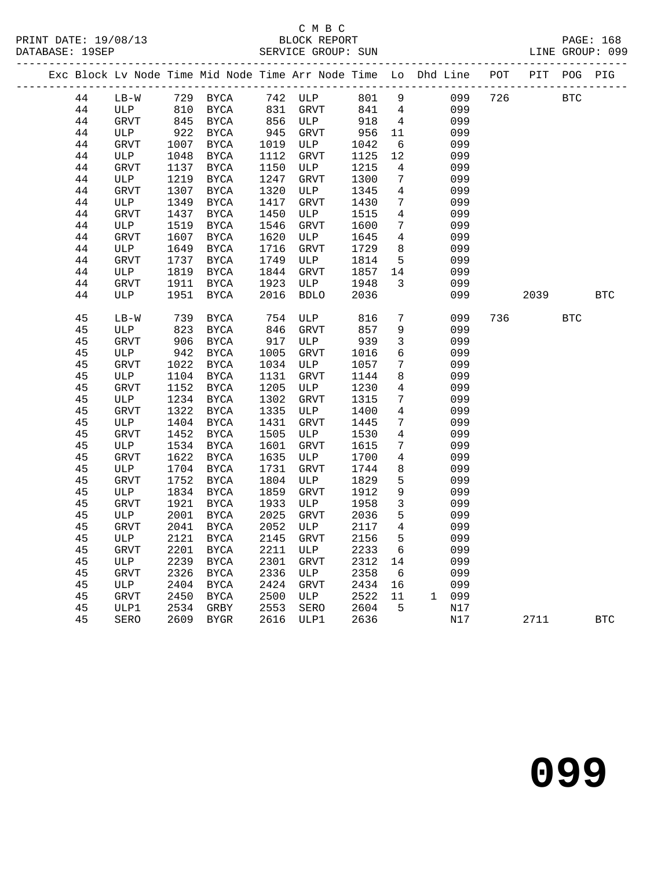|  |        |        |      |             |                              |                                                                                                                                                                                                                  |         |                         | Exc Block Lv Node Time Mid Node Time Arr Node Time Lo Dhd Line POT PIT POG PIG |            |            |            |
|--|--------|--------|------|-------------|------------------------------|------------------------------------------------------------------------------------------------------------------------------------------------------------------------------------------------------------------|---------|-------------------------|--------------------------------------------------------------------------------|------------|------------|------------|
|  | 44     |        |      |             |                              |                                                                                                                                                                                                                  |         |                         | LB-W 729 BYCA 742 ULP 801 9 099 726 BTC                                        |            |            |            |
|  | 44     |        |      |             |                              |                                                                                                                                                                                                                  |         |                         | 099                                                                            |            |            |            |
|  | 44     |        |      |             |                              | ULP 810 BYCA 831 GRVT 841 4<br>GRVT 845 BYCA 856 ULP 918 4                                                                                                                                                       |         |                         | 099                                                                            |            |            |            |
|  | 44     | ULP    |      | 922 BYCA    |                              |                                                                                                                                                                                                                  |         |                         | 099                                                                            |            |            |            |
|  | 44     | GRVT   |      | 1007 BYCA   |                              |                                                                                                                                                                                                                  |         | 6                       | 099                                                                            |            |            |            |
|  | 44     | ULP    | 1048 | BYCA        |                              |                                                                                                                                                                                                                  |         |                         | 099                                                                            |            |            |            |
|  | $4\,4$ | GRVT   | 1137 | BYCA        |                              |                                                                                                                                                                                                                  |         |                         | 099                                                                            |            |            |            |
|  | $4\,4$ | ULP    | 1219 | BYCA        |                              |                                                                                                                                                                                                                  |         |                         | 099                                                                            |            |            |            |
|  | 44     | GRVT   | 1307 | BYCA        |                              | 856 ULP 918 4<br>945 GRVT 956 11<br>1019 ULP 1042 6<br>1112 GRVT 1125 12<br>1150 ULP 1215 4<br>1247 GRVT 1300 7<br>1320 ULP 1345 4<br>1417 GRVT 1430 7<br>1450 ULP 1515 4<br>1546 GRVT 1600 7<br>1620 ULP 1645 4 |         |                         | 099                                                                            |            |            |            |
|  | 44     | ULP    | 1349 | BYCA        |                              |                                                                                                                                                                                                                  |         |                         | 099                                                                            |            |            |            |
|  | 44     | GRVT   | 1437 | BYCA        |                              |                                                                                                                                                                                                                  |         |                         | 099                                                                            |            |            |            |
|  | 44     | ULP    | 1519 | BYCA        |                              |                                                                                                                                                                                                                  |         |                         | 099                                                                            |            |            |            |
|  | 44     | GRVT   | 1607 | BYCA        |                              | ULP                                                                                                                                                                                                              | 1645    | $\overline{4}$          | 099                                                                            |            |            |            |
|  | 44     | ULP    | 1649 | BYCA        |                              | GRVT                                                                                                                                                                                                             | 1729    | 8 <sup>8</sup>          | 099                                                                            |            |            |            |
|  | 44     | GRVT   | 1737 | BYCA        | 1620<br>1716<br>1749<br>1844 | ULP                                                                                                                                                                                                              | 1814    | 5 <sup>5</sup>          | 099                                                                            |            |            |            |
|  | 44     | ULP    | 1819 | BYCA        |                              | GRVT                                                                                                                                                                                                             | 1857 14 |                         | 099                                                                            |            |            |            |
|  | 44     | GRVT   | 1911 | <b>BYCA</b> | 1923                         | ULP                                                                                                                                                                                                              | 1948    | $\overline{\mathbf{3}}$ | 099                                                                            |            |            |            |
|  | 44     | ULP    | 1951 | BYCA        | 2016                         | <b>BDLO</b>                                                                                                                                                                                                      | 2036    |                         | 099                                                                            | 2039 — 203 |            | <b>BTC</b> |
|  | 45     | $LB-W$ | 739  | BYCA        | 754                          | ULP                                                                                                                                                                                                              | 816     | $7\overline{ }$         | 099                                                                            | 736        | <b>BTC</b> |            |
|  | 45     | ULP    | 823  | BYCA        |                              | GRVT                                                                                                                                                                                                             | 857     | 9                       | 099                                                                            |            |            |            |
|  | 45     | GRVT   | 906  | BYCA        |                              | ULP                                                                                                                                                                                                              | 939     | $\overline{3}$          | 099                                                                            |            |            |            |
|  | 45     | ULP    | 942  | BYCA        | $346\n917\n1005\n1034$       | GRVT                                                                                                                                                                                                             | 1016    | 6                       | 099                                                                            |            |            |            |
|  | 45     | GRVT   | 1022 | BYCA        |                              | ULP                                                                                                                                                                                                              | 1057    | $7\overline{ }$         | 099                                                                            |            |            |            |
|  | 45     | ULP    |      | 1104 BYCA   | 1131                         | GRVT                                                                                                                                                                                                             | 1144    | 8                       | 099                                                                            |            |            |            |
|  | $4\,5$ | GRVT   | 1152 | BYCA        | 1205                         | ULP                                                                                                                                                                                                              | 1230    | $\overline{4}$          | 099                                                                            |            |            |            |
|  | 45     | ULP    | 1234 | BYCA        | 1302                         | GRVT                                                                                                                                                                                                             | 1315    | $7\overline{ }$         | 099                                                                            |            |            |            |
|  | 45     | GRVT   | 1322 | BYCA        | 1335                         | ULP                                                                                                                                                                                                              | 1400    | $4\overline{ }$         | 099                                                                            |            |            |            |
|  | 45     | ULP    |      | 1404 BYCA   | 1431                         | GRVT                                                                                                                                                                                                             | 1445    | $7\phantom{.0}$         | 099                                                                            |            |            |            |
|  | 45     | GRVT   | 1452 | BYCA        | 1505                         | ULP                                                                                                                                                                                                              | 1530    | $4\overline{4}$         | 099                                                                            |            |            |            |
|  | 45     | ULP    |      | 1534 BYCA   | 1601                         | GRVT                                                                                                                                                                                                             | 1615    | $7\overline{ }$         | 099                                                                            |            |            |            |
|  | 45     | GRVT   |      | 1622 BYCA   | 1635                         | ULP                                                                                                                                                                                                              | 1700    | $\overline{4}$          | 099                                                                            |            |            |            |
|  | 45     | ULP    |      | 1704 BYCA   | 1731                         | GRVT                                                                                                                                                                                                             | 1744    | 8                       | 099                                                                            |            |            |            |
|  | 45     | GRVT   |      | 1752 BYCA   | 1804                         | ULP                                                                                                                                                                                                              | 1829    | $5^{\circ}$             | 099                                                                            |            |            |            |
|  | 45     | ULP    |      | 1834 BYCA   | 1859                         | GRVT                                                                                                                                                                                                             | 1912    | 9                       | 099                                                                            |            |            |            |
|  | 45     | GRVT   |      | 1921 BYCA   | 1933                         | ULP                                                                                                                                                                                                              | 1958    | $\overline{\mathbf{3}}$ | 099                                                                            |            |            |            |
|  | 45     | ULP    |      | 2001 BYCA   | 2025                         | GRVT                                                                                                                                                                                                             | 2036    | $5\overline{)}$         | 099                                                                            |            |            |            |
|  | 45     | GRVT   | 2041 | BYCA        | 2052                         | ULP                                                                                                                                                                                                              | 2117 4  |                         | 099                                                                            |            |            |            |
|  | 45     | ULP    | 2121 | BYCA        | 2145                         | GRVT                                                                                                                                                                                                             | 2156    | $5^{\circ}$             | 099                                                                            |            |            |            |
|  | 45     | GRVT   | 2201 | BYCA        | 2211                         | ULP                                                                                                                                                                                                              | 2233    | 6                       | 099                                                                            |            |            |            |
|  | 45     | ULP    | 2239 | BYCA        | 2301                         | GRVT                                                                                                                                                                                                             | 2312 14 |                         | 099                                                                            |            |            |            |
|  | 45     | GRVT   | 2326 | BYCA        | 2336                         | ULP                                                                                                                                                                                                              | 2358    | $6\overline{6}$         | 099                                                                            |            |            |            |
|  | 45     | ULP    | 2404 | BYCA        | 2424                         | GRVT                                                                                                                                                                                                             | 2434    | 16                      | 099                                                                            |            |            |            |
|  | 45     | GRVT   | 2450 | BYCA        | 2500                         | ULP                                                                                                                                                                                                              | 2522    | 11                      | 1 099                                                                          |            |            |            |
|  | 45     | ULP1   | 2534 | GRBY        | 2553                         | SERO                                                                                                                                                                                                             | 2604    | 5                       | N17                                                                            |            |            |            |
|  | 45     | SERO   | 2609 | BYGR        | 2616                         | ULP1                                                                                                                                                                                                             | 2636    |                         | N17                                                                            | 2711       |            | <b>BTC</b> |

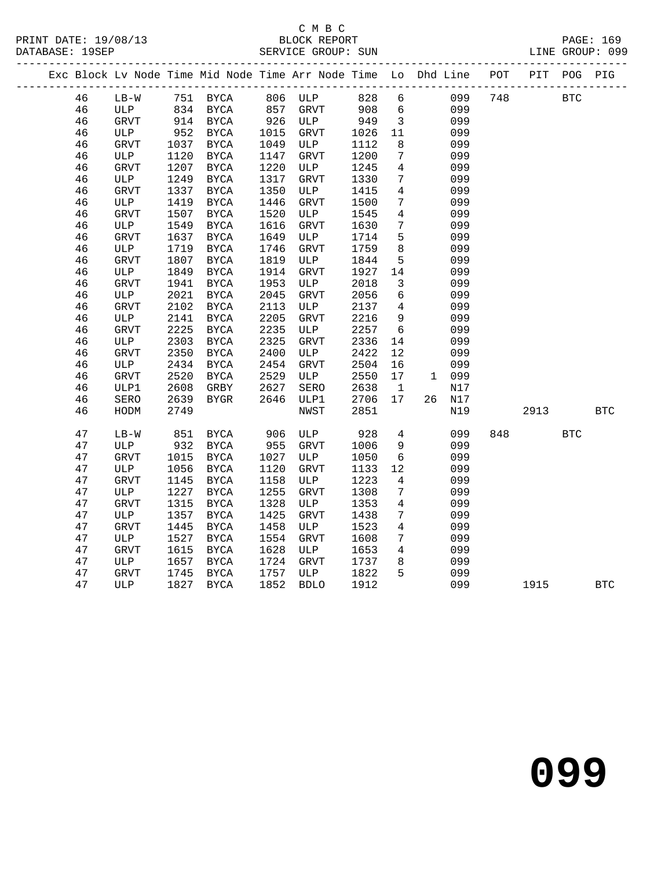#### C M B C<br>BLOCK REPORT SERVICE GROUP: SUN

|  |                     |        |      |                     |      |               |       |              | Exc Block Lv Node Time Mid Node Time Arr Node Time  Lo  Dhd Line | POT | PIT | POG        | PIG |
|--|---------------------|--------|------|---------------------|------|---------------|-------|--------------|------------------------------------------------------------------|-----|-----|------------|-----|
|  | 46                  | $LB-W$ | 751  | BYCA                | 806  | ULP           | 828   | -6           | 099                                                              | 748 |     | <b>BTC</b> |     |
|  | 46                  | ULP    | 834  | BYCA                | 857  | GRVT          | 908   | 6            | 099                                                              |     |     |            |     |
|  | 46                  | GRVT   | 914  | BYCA                | 926  | ULP           | 949   | 3            | 099                                                              |     |     |            |     |
|  | 46                  | ULP    | 952  | BYCA                | 1015 | GRVT          | 1026  | -11          | 099                                                              |     |     |            |     |
|  | 46                  | GRVT   | 1037 | BYCA                | 1049 | ULP           | 1112  | -8           | 099                                                              |     |     |            |     |
|  | 46                  | ULP    | 1120 | BYCA                | 1147 | GRVT          | 1200  |              | 099                                                              |     |     |            |     |
|  | 46                  | GRVT   | 1207 | BYCA                | 1220 | ULP           | 1245  | 4            | 099                                                              |     |     |            |     |
|  | 46                  | ULP    | 1249 | <b>BYCA</b>         | 1317 | GRVT          | 1330  | 7            | 099                                                              |     |     |            |     |
|  | 46                  | GRVT   | 1337 | <b>BYCA</b>         | 1350 | ULP           | 1415  | 4            | 099                                                              |     |     |            |     |
|  | $\Lambda$ $\subset$ | TTT D  |      | $1110 \overline{N}$ |      | $1 A A C$ $C$ | 1.500 | $\mathbf{r}$ | 0.00                                                             |     |     |            |     |

| 46 | GRVT        | 1037 | BYCA        | 1049 | ULP         | 1112 | 8               | 099    |     |      |            |            |  |
|----|-------------|------|-------------|------|-------------|------|-----------------|--------|-----|------|------------|------------|--|
| 46 | ULP         | 1120 | BYCA        | 1147 | GRVT        | 1200 | $7\phantom{.0}$ | 099    |     |      |            |            |  |
| 46 | <b>GRVT</b> | 1207 | BYCA        | 1220 | ULP         | 1245 | $\overline{4}$  | 099    |     |      |            |            |  |
| 46 | ULP         | 1249 | BYCA        | 1317 | GRVT        | 1330 | $7\phantom{.}$  | 099    |     |      |            |            |  |
| 46 | <b>GRVT</b> | 1337 | <b>BYCA</b> | 1350 | ULP         | 1415 | $\overline{4}$  | 099    |     |      |            |            |  |
| 46 | ULP         | 1419 | BYCA        | 1446 | <b>GRVT</b> | 1500 | 7               | 099    |     |      |            |            |  |
| 46 | <b>GRVT</b> | 1507 | BYCA        | 1520 | ULP         | 1545 | $\overline{4}$  | 099    |     |      |            |            |  |
| 46 | ULP         | 1549 | BYCA        | 1616 | GRVT        | 1630 | 7               | 099    |     |      |            |            |  |
| 46 | <b>GRVT</b> | 1637 | BYCA        | 1649 | ULP         | 1714 | 5               | 099    |     |      |            |            |  |
| 46 | ULP         | 1719 | BYCA        | 1746 | GRVT        | 1759 | 8               | 099    |     |      |            |            |  |
| 46 | <b>GRVT</b> | 1807 | BYCA        | 1819 | ULP         | 1844 | 5               | 099    |     |      |            |            |  |
| 46 | ULP         | 1849 | BYCA        | 1914 | GRVT        | 1927 | 14              | 099    |     |      |            |            |  |
| 46 | <b>GRVT</b> | 1941 | BYCA        | 1953 | ULP         | 2018 | 3               | 099    |     |      |            |            |  |
| 46 | ULP         | 2021 | BYCA        | 2045 | GRVT        | 2056 | 6               | 099    |     |      |            |            |  |
| 46 | GRVT        | 2102 | BYCA        | 2113 | ULP         | 2137 | $4\overline{ }$ | 099    |     |      |            |            |  |
| 46 | ULP         | 2141 | BYCA        | 2205 | GRVT        | 2216 | 9               | 099    |     |      |            |            |  |
| 46 | GRVT        | 2225 | BYCA        | 2235 | ULP         | 2257 | $6\overline{6}$ | 099    |     |      |            |            |  |
| 46 | ULP         | 2303 | BYCA        | 2325 | GRVT        | 2336 | 14              | 099    |     |      |            |            |  |
| 46 | GRVT        | 2350 | BYCA        | 2400 | ULP         | 2422 | 12              | 099    |     |      |            |            |  |
| 46 | ULP         | 2434 | BYCA        | 2454 | GRVT        | 2504 | 16              | 099    |     |      |            |            |  |
| 46 | GRVT        | 2520 | BYCA        | 2529 | ULP         | 2550 | 17              | 1 099  |     |      |            |            |  |
| 46 | ULP1        | 2608 | GRBY        | 2627 | SERO        | 2638 | $\mathbf{1}$    | N17    |     |      |            |            |  |
| 46 | SERO        | 2639 | <b>BYGR</b> | 2646 | ULP1        | 2706 | 17              | 26 N17 |     |      |            |            |  |
| 46 | HODM        | 2749 |             |      | NWST        | 2851 |                 | N19    |     | 2913 |            | <b>BTC</b> |  |
|    |             |      |             |      |             |      |                 |        |     |      |            |            |  |
| 47 | $LB-W$      | 851  | BYCA        | 906  | ULP         | 928  | $\overline{4}$  | 099    | 848 |      | <b>BTC</b> |            |  |
| 47 | ULP         | 932  | BYCA        | 955  | GRVT        | 1006 | 9               | 099    |     |      |            |            |  |
| 47 | GRVT        | 1015 | BYCA        | 1027 | ULP         | 1050 | 6               | 099    |     |      |            |            |  |
| 47 | ULP         | 1056 | BYCA        | 1120 | GRVT        | 1133 | 12              | 099    |     |      |            |            |  |
| 47 | GRVT        | 1145 | BYCA        | 1158 | ULP         | 1223 | $\overline{4}$  | 099    |     |      |            |            |  |
| 47 | ULP         | 1227 | BYCA        | 1255 | GRVT        | 1308 | $7\phantom{.0}$ | 099    |     |      |            |            |  |
| 47 | GRVT        | 1315 | BYCA        | 1328 | ULP         | 1353 | $\overline{4}$  | 099    |     |      |            |            |  |
| 47 | ULP         | 1357 | BYCA        | 1425 | <b>GRVT</b> | 1438 | 7               | 099    |     |      |            |            |  |
| 47 | <b>GRVT</b> | 1445 | BYCA        | 1458 | ULP         | 1523 | $\overline{4}$  | 099    |     |      |            |            |  |
| 47 | ULP         | 1527 | BYCA        | 1554 | GRVT        | 1608 | $7\phantom{.0}$ | 099    |     |      |            |            |  |
| 47 | GRVT        | 1615 | BYCA        | 1628 | ULP         | 1653 | $\overline{4}$  | 099    |     |      |            |            |  |
| 47 | ULP         | 1657 | BYCA        | 1724 | GRVT        | 1737 | 8               | 099    |     |      |            |            |  |
| 47 | GRVT        | 1745 | BYCA        | 1757 | ULP         | 1822 | 5               | 099    |     |      |            |            |  |
| 47 | ULP         | 1827 | BYCA        | 1852 | <b>BDLO</b> | 1912 |                 | 099    |     | 1915 |            | <b>BTC</b> |  |
|    |             |      |             |      |             |      |                 |        |     |      |            |            |  |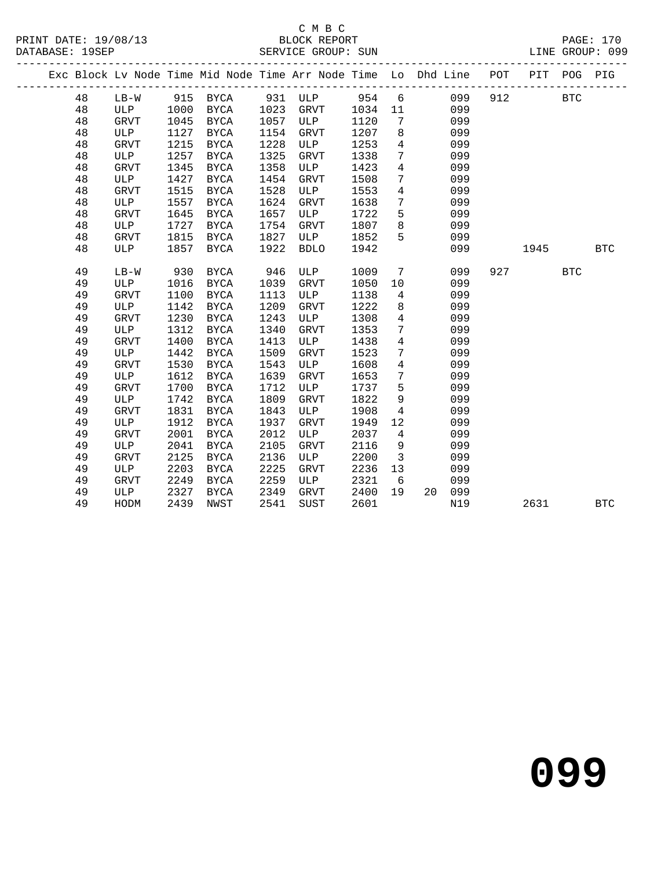### C M B C<br>BLOCK REPORT

|  |    |            |      |             |      |                                                                                |       |                         |           | ----------------------- |            |              |            |
|--|----|------------|------|-------------|------|--------------------------------------------------------------------------------|-------|-------------------------|-----------|-------------------------|------------|--------------|------------|
|  |    |            |      |             |      | Exc Block Lv Node Time Mid Node Time Arr Node Time Lo Dhd Line POT PIT POG PIG |       |                         |           |                         |            |              |            |
|  | 48 | $LB-W$     |      | 915 BYCA    |      | 931 ULP                                                                        | 954 6 |                         | 099       | 912                     | <b>BTC</b> |              |            |
|  | 48 | <b>ULP</b> | 1000 | BYCA        | 1023 | GRVT                                                                           | 1034  | 11                      | 099       |                         |            |              |            |
|  | 48 | GRVT       | 1045 | BYCA        | 1057 | ULP                                                                            | 1120  | $7\phantom{.0}$         | 099       |                         |            |              |            |
|  | 48 | ULP        | 1127 | BYCA        | 1154 | GRVT                                                                           | 1207  | 8                       | 099       |                         |            |              |            |
|  | 48 | GRVT       | 1215 | BYCA        | 1228 | ULP                                                                            | 1253  | $\overline{4}$          | 099       |                         |            |              |            |
|  | 48 | ULP        | 1257 | <b>BYCA</b> | 1325 | <b>GRVT</b>                                                                    | 1338  | $7\phantom{.0}$         | 099       |                         |            |              |            |
|  | 48 | GRVT       | 1345 | BYCA        | 1358 | ULP                                                                            | 1423  | $\overline{4}$          | 099       |                         |            |              |            |
|  | 48 | ULP        | 1427 | BYCA        | 1454 | GRVT                                                                           | 1508  | $7\phantom{.0}$         | 099       |                         |            |              |            |
|  | 48 | GRVT       | 1515 | BYCA        | 1528 | ULP                                                                            | 1553  | $\overline{4}$          | 099       |                         |            |              |            |
|  | 48 | ULP        | 1557 | BYCA        | 1624 | GRVT                                                                           | 1638  | $7\overline{ }$         | 099       |                         |            |              |            |
|  | 48 | GRVT       | 1645 | BYCA        | 1657 | ULP                                                                            | 1722  | 5                       | 099       |                         |            |              |            |
|  | 48 | ULP        | 1727 | BYCA        | 1754 | GRVT                                                                           | 1807  | 8                       | 099       |                         |            |              |            |
|  | 48 | GRVT       | 1815 | BYCA        | 1827 | ULP                                                                            | 1852  | 5                       | 099       |                         |            |              |            |
|  | 48 | ULP        | 1857 | BYCA        | 1922 | <b>BDLO</b>                                                                    | 1942  |                         | 099       |                         | 1945       |              | <b>BTC</b> |
|  | 49 | $LB-W$     | 930  | BYCA        | 946  | ULP                                                                            | 1009  | $7\phantom{.0}$         | 099       | 927                     |            | $_{\rm BTC}$ |            |
|  | 49 | ULP        | 1016 | BYCA        | 1039 | GRVT                                                                           | 1050  | 10                      | 099       |                         |            |              |            |
|  | 49 | GRVT       | 1100 | BYCA        | 1113 | ULP                                                                            | 1138  | 4                       | 099       |                         |            |              |            |
|  | 49 | ULP        | 1142 | BYCA        | 1209 | GRVT                                                                           | 1222  | 8                       | 099       |                         |            |              |            |
|  | 49 | GRVT       | 1230 | BYCA        | 1243 | ULP                                                                            | 1308  | $\overline{4}$          | 099       |                         |            |              |            |
|  | 49 | ULP        | 1312 | BYCA        | 1340 | <b>GRVT</b>                                                                    | 1353  | 7                       | 099       |                         |            |              |            |
|  | 49 | GRVT       | 1400 | <b>BYCA</b> | 1413 | ULP                                                                            | 1438  | $\overline{4}$          | 099       |                         |            |              |            |
|  | 49 | ULP        | 1442 | BYCA        | 1509 | GRVT                                                                           | 1523  | $7\phantom{.}$          | 099       |                         |            |              |            |
|  | 49 | GRVT       | 1530 | <b>BYCA</b> | 1543 | ULP                                                                            | 1608  | $\overline{4}$          | 099       |                         |            |              |            |
|  | 49 | ULP        | 1612 | BYCA        | 1639 | <b>GRVT</b>                                                                    | 1653  | $7\phantom{.0}$         | 099       |                         |            |              |            |
|  | 49 | GRVT       | 1700 | BYCA        | 1712 | ULP                                                                            | 1737  | 5                       | 099       |                         |            |              |            |
|  | 49 | ULP        | 1742 | <b>BYCA</b> | 1809 | GRVT                                                                           | 1822  | 9                       | 099       |                         |            |              |            |
|  | 49 | GRVT       | 1831 | <b>BYCA</b> | 1843 | ULP                                                                            | 1908  | 4                       | 099       |                         |            |              |            |
|  | 49 | ULP        | 1912 | BYCA        | 1937 | <b>GRVT</b>                                                                    | 1949  | 12                      | 099       |                         |            |              |            |
|  | 49 | GRVT       | 2001 | <b>BYCA</b> | 2012 | ULP                                                                            | 2037  | $\overline{4}$          | 099       |                         |            |              |            |
|  | 49 | ULP        | 2041 | BYCA        | 2105 | <b>GRVT</b>                                                                    | 2116  | 9                       | 099       |                         |            |              |            |
|  | 49 | GRVT       | 2125 | BYCA        | 2136 | ULP                                                                            | 2200  | $\overline{\mathbf{3}}$ | 099       |                         |            |              |            |
|  | 49 | ULP        | 2203 | <b>BYCA</b> | 2225 | <b>GRVT</b>                                                                    | 2236  | 13                      | 099       |                         |            |              |            |
|  | 49 | GRVT       | 2249 | <b>BYCA</b> | 2259 | ULP                                                                            | 2321  | - 6                     | 099       |                         |            |              |            |
|  | 49 | ULP        | 2327 | BYCA        | 2349 | GRVT                                                                           | 2400  | 19                      | 099<br>20 |                         |            |              |            |
|  | 49 | HODM       | 2439 | NWST        | 2541 | <b>SUST</b>                                                                    | 2601  |                         | N19       |                         | 2631       |              | <b>BTC</b> |
|  |    |            |      |             |      |                                                                                |       |                         |           |                         |            |              |            |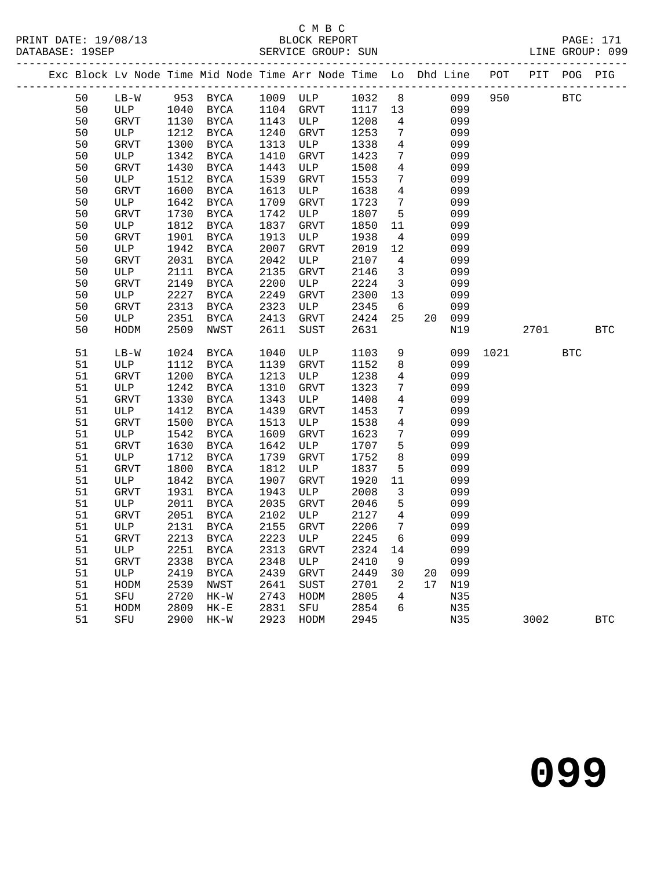|  |        |                       |      |               |      | Exc Block Lv Node Time Mid Node Time Arr Node Time Lo Dhd Line POT PIT POG PIG |            |                            |                 |     |     |            |            |            |
|--|--------|-----------------------|------|---------------|------|--------------------------------------------------------------------------------|------------|----------------------------|-----------------|-----|-----|------------|------------|------------|
|  | 50     | LB-W 953 BYCA         |      |               |      | 1009 ULP                                                                       | 1032 8 099 |                            |                 |     | 950 | <b>BTC</b> |            |            |
|  | 50     | ULP 1040<br>GRVT 1130 |      | BYCA          | 1104 | GRVT                                                                           | 1117 13    |                            |                 | 099 |     |            |            |            |
|  | 50     | GRVT                  |      | 1130 BYCA     | 1143 | ULP                                                                            | 1208       | $\overline{4}$             |                 | 099 |     |            |            |            |
|  | 50     | ULP                   | 1212 | BYCA          | 1240 | <b>GRVT</b>                                                                    | 1253       | $7\overline{ }$            |                 | 099 |     |            |            |            |
|  | 50     | GRVT                  | 1300 | BYCA          | 1313 | ULP                                                                            | 1338       | $4\overline{4}$            |                 | 099 |     |            |            |            |
|  | 50     | ULP                   | 1342 | $_{\rm BYCA}$ | 1410 | GRVT                                                                           | 1423       | $7\overline{ }$            |                 | 099 |     |            |            |            |
|  | 50     | GRVT                  | 1430 | BYCA          | 1443 | ULP                                                                            | 1508       | $4\overline{ }$            |                 | 099 |     |            |            |            |
|  | 50     | ULP                   | 1512 | BYCA          | 1539 | GRVT                                                                           | 1553       | $7\overline{ }$            |                 | 099 |     |            |            |            |
|  | 50     | GRVT                  | 1600 | BYCA          | 1613 | ULP                                                                            | 1638       | $4\overline{4}$            |                 | 099 |     |            |            |            |
|  | 50     | ULP                   | 1642 | BYCA          | 1709 | GRVT                                                                           | 1723       | $7\overline{ }$            |                 | 099 |     |            |            |            |
|  | 50     | GRVT                  | 1730 | <b>BYCA</b>   | 1742 | ULP                                                                            | 1807       | $5^{\circ}$                |                 | 099 |     |            |            |            |
|  | 50     | ULP                   | 1812 | <b>BYCA</b>   | 1837 | GRVT                                                                           | 1850       | 11                         |                 | 099 |     |            |            |            |
|  | 50     | GRVT                  | 1901 | $_{\rm BYCA}$ | 1913 | ULP                                                                            | 1938       | $\overline{4}$             |                 | 099 |     |            |            |            |
|  | 50     | ULP                   | 1942 | BYCA          | 2007 | GRVT                                                                           | 2019       | 12                         |                 | 099 |     |            |            |            |
|  | 50     | <b>GRVT</b>           | 2031 | BYCA          | 2042 | ULP                                                                            | 2107       | $\overline{4}$             |                 | 099 |     |            |            |            |
|  | 50     | ULP                   | 2111 | <b>BYCA</b>   | 2135 | <b>GRVT</b>                                                                    | 2146       | $\overline{\mathbf{3}}$    |                 | 099 |     |            |            |            |
|  | 50     | GRVT                  | 2149 | <b>BYCA</b>   | 2200 | ULP                                                                            | 2224       | $\overline{\mathbf{3}}$    |                 | 099 |     |            |            |            |
|  | 50     | ULP                   | 2227 | BYCA          | 2249 | GRVT                                                                           | 2300       | 13                         |                 | 099 |     |            |            |            |
|  | 50     | GRVT                  | 2313 | $_{\rm BYCA}$ | 2323 | ULP                                                                            | 2345       | 6                          |                 | 099 |     |            |            |            |
|  | 50     | ULP                   | 2351 | BYCA          | 2413 | GRVT                                                                           | 2424       | 25                         | 20 <sub>o</sub> | 099 |     |            |            |            |
|  | 50     | HODM                  | 2509 | NWST          | 2611 | SUST                                                                           | 2631       |                            |                 | N19 |     | 2701       |            | <b>BTC</b> |
|  | 51     | $LB-W$                | 1024 | <b>BYCA</b>   | 1040 | ULP                                                                            | 1103       | 9                          |                 | 099 |     | 1021       | <b>BTC</b> |            |
|  | 51     | ULP                   | 1112 | BYCA          | 1139 | GRVT                                                                           | 1152       | 8                          |                 | 099 |     |            |            |            |
|  | $51\,$ | GRVT                  | 1200 | BYCA          | 1213 | ULP                                                                            | 1238       | $\overline{4}$             |                 | 099 |     |            |            |            |
|  | 51     | ULP                   | 1242 | BYCA          | 1310 | GRVT                                                                           | 1323       | 7 <sup>7</sup>             |                 | 099 |     |            |            |            |
|  | 51     | GRVT                  | 1330 | BYCA          | 1343 | ULP                                                                            | 1408       | $\overline{4}$             |                 | 099 |     |            |            |            |
|  | 51     | ULP                   | 1412 | <b>BYCA</b>   | 1439 | GRVT                                                                           | 1453       | $7\overline{ }$            |                 | 099 |     |            |            |            |
|  | 51     | GRVT                  | 1500 | $_{\rm BYCA}$ | 1513 | ULP                                                                            | 1538       | $\overline{4}$             |                 | 099 |     |            |            |            |
|  | 51     | ULP                   | 1542 | BYCA          | 1609 | GRVT                                                                           | 1623       | $7\overline{ }$            |                 | 099 |     |            |            |            |
|  | 51     | GRVT                  | 1630 | BYCA          | 1642 | ULP                                                                            | 1707       | 5 <sup>5</sup>             |                 | 099 |     |            |            |            |
|  | 51     | ULP                   | 1712 | BYCA          | 1739 | GRVT                                                                           | 1752       | 8                          |                 | 099 |     |            |            |            |
|  | 51     | GRVT                  | 1800 | <b>BYCA</b>   | 1812 | ULP                                                                            | 1837       | $5^{\circ}$                |                 | 099 |     |            |            |            |
|  | 51     | ULP                   | 1842 | BYCA          | 1907 | GRVT                                                                           | 1920       | 11                         |                 | 099 |     |            |            |            |
|  | 51     | GRVT                  | 1931 | <b>BYCA</b>   | 1943 | ULP                                                                            | 2008       | $\mathbf{3}$               |                 | 099 |     |            |            |            |
|  | $51\,$ | ULP                   | 2011 | $_{\rm BYCA}$ | 2035 | GRVT                                                                           | 2046       | $5\overline{)}$            |                 | 099 |     |            |            |            |
|  | $51\,$ | GRVT                  | 2051 | BYCA          | 2102 | ULP                                                                            | 2127       | $\overline{4}$             |                 | 099 |     |            |            |            |
|  | 51     | ULP                   | 2131 | BYCA          | 2155 | GRVT                                                                           | 2206       | $7\overline{ }$            |                 | 099 |     |            |            |            |
|  | 51     | GRVT                  | 2213 | BYCA          | 2223 | ULP                                                                            | 2245       | 6                          |                 | 099 |     |            |            |            |
|  | 51     | ULP                   | 2251 | <b>BYCA</b>   | 2313 | <b>GRVT</b>                                                                    | 2324       | 14                         |                 | 099 |     |            |            |            |
|  | 51     | GRVT                  | 2338 | <b>BYCA</b>   | 2348 | ULP                                                                            | 2410       | 9                          |                 | 099 |     |            |            |            |
|  | $51\,$ | ULP                   | 2419 | <b>BYCA</b>   | 2439 | GRVT                                                                           | 2449       | 30                         | 20              | 099 |     |            |            |            |
|  | 51     | HODM                  | 2539 | NWST          | 2641 | <b>SUST</b>                                                                    | 2701       | $\overline{\phantom{a}}^2$ | 17              | N19 |     |            |            |            |
|  | 51     | SFU                   | 2720 | $HK-W$        | 2743 | HODM                                                                           | 2805       | $\overline{4}$             |                 | N35 |     |            |            |            |
|  | 51     | HODM                  | 2809 | $HK-E$        | 2831 | SFU                                                                            | 2854       | 6                          |                 | N35 |     |            |            |            |
|  | 51     | SFU                   | 2900 | $HK-W$        | 2923 | HODM                                                                           | 2945       |                            |                 | N35 |     | 3002       |            | <b>BTC</b> |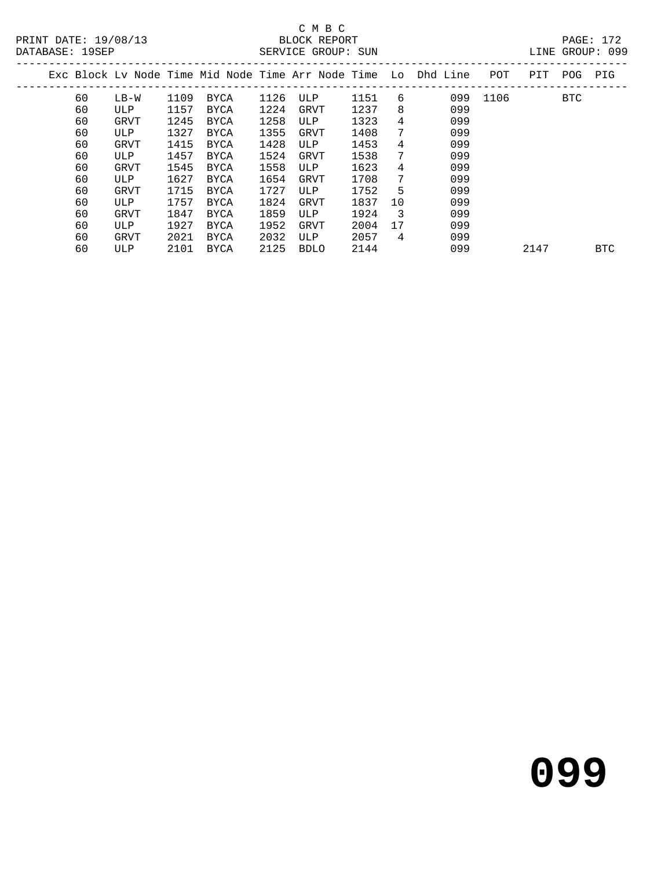## C M B C<br>BLOCK REPORT

DATABASE: 19SEP SERVICE GROUP: SUN LINE GROUP: 099

|  |    |        |      |             |      |             |      |    | Exc Block Ly Node Time Mid Node Time Arr Node Time Lo Dhd Line | POT  | PIT  | POG        | PIG        |
|--|----|--------|------|-------------|------|-------------|------|----|----------------------------------------------------------------|------|------|------------|------------|
|  | 60 | $LB-W$ | 1109 | BYCA        | 1126 | ULP         | 1151 | 6  | 099                                                            | 1106 |      | <b>BTC</b> |            |
|  | 60 | ULP    | 1157 | <b>BYCA</b> | 1224 | GRVT        | 1237 | 8  | 099                                                            |      |      |            |            |
|  | 60 | GRVT   | 1245 | <b>BYCA</b> | 1258 | ULP         | 1323 | 4  | 099                                                            |      |      |            |            |
|  | 60 | ULP    | 1327 | <b>BYCA</b> | 1355 | GRVT        | 1408 | 7  | 099                                                            |      |      |            |            |
|  | 60 | GRVT   | 1415 | <b>BYCA</b> | 1428 | ULP         | 1453 | 4  | 099                                                            |      |      |            |            |
|  | 60 | ULP    | 1457 | BYCA        | 1524 | GRVT        | 1538 | 7  | 099                                                            |      |      |            |            |
|  | 60 | GRVT   | 1545 | <b>BYCA</b> | 1558 | ULP         | 1623 | 4  | 099                                                            |      |      |            |            |
|  | 60 | ULP    | 1627 | BYCA        | 1654 | GRVT        | 1708 | 7  | 099                                                            |      |      |            |            |
|  | 60 | GRVT   | 1715 | <b>BYCA</b> | 1727 | ULP         | 1752 | 5  | 099                                                            |      |      |            |            |
|  | 60 | ULP    | 1757 | <b>BYCA</b> | 1824 | GRVT        | 1837 | 10 | 099                                                            |      |      |            |            |
|  | 60 | GRVT   | 1847 | <b>BYCA</b> | 1859 | ULP         | 1924 | -3 | 099                                                            |      |      |            |            |
|  | 60 | ULP    | 1927 | BYCA        | 1952 | <b>GRVT</b> | 2004 | 17 | 099                                                            |      |      |            |            |
|  | 60 | GRVT   | 2021 | <b>BYCA</b> | 2032 | ULP         | 2057 | 4  | 099                                                            |      |      |            |            |
|  | 60 | ULP    | 2101 | <b>BYCA</b> | 2125 | <b>BDLO</b> | 2144 |    | 099                                                            |      | 2147 |            | <b>BTC</b> |
|  |    |        |      |             |      |             |      |    |                                                                |      |      |            |            |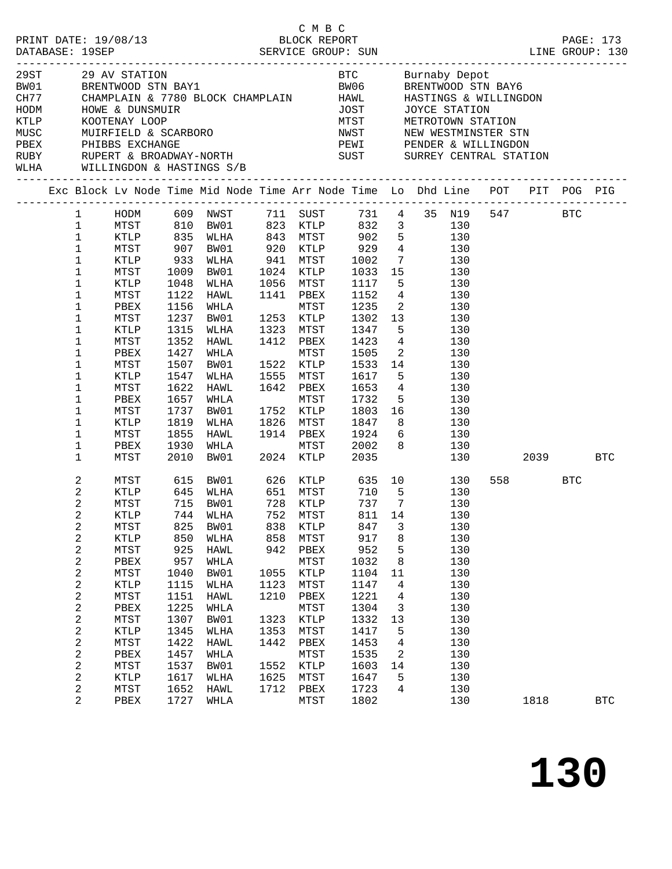| 29ST<br>BW01 |                       | 29 AV STATION                         |              |              |              |                      |              |                         |                                                                                |          |            |              |
|--------------|-----------------------|---------------------------------------|--------------|--------------|--------------|----------------------|--------------|-------------------------|--------------------------------------------------------------------------------|----------|------------|--------------|
| CH77         |                       | CHAMPLAIN & 7780 BLOCK CHAMPLAIN HAWL |              |              |              |                      |              |                         | HASTINGS & WILLINGDON                                                          |          |            |              |
|              |                       |                                       |              |              |              |                      |              |                         |                                                                                |          |            |              |
|              |                       |                                       |              |              |              |                      |              |                         |                                                                                |          |            |              |
|              |                       |                                       |              |              |              |                      |              |                         |                                                                                |          |            |              |
|              |                       |                                       |              |              |              |                      |              |                         |                                                                                |          |            |              |
|              |                       |                                       |              |              |              |                      |              |                         |                                                                                |          |            |              |
|              |                       |                                       |              |              |              |                      |              |                         | Exc Block Lv Node Time Mid Node Time Arr Node Time Lo Dhd Line POT PIT POG PIG |          |            |              |
|              | $\mathbf{1}$          | HODM 609 NWST                         |              |              |              | 711 SUST             |              |                         | 731  4  35  N19                                                                | 547 BTC  |            |              |
|              | $\mathbf 1$           | MTST                                  | 810          | BW01         |              | 823 KTLP             | 832          |                         | 3 <sup>7</sup><br>130                                                          |          |            |              |
|              | $\mathbf{1}$          | KTLP                                  | 835          | WLHA         | 843          | <b>MTST</b>          |              |                         | 902 5<br>130                                                                   |          |            |              |
|              | $\mathbf 1$           | MTST                                  | 907          | BW01         | 920<br>941   | KTLP                 | 929          |                         | $\frac{4}{7}$ 130                                                              |          |            |              |
|              | $1\,$                 | KTLP                                  | 933          | WLHA         |              | MTST                 | 1002         | $7\overline{ }$         | 130                                                                            |          |            |              |
|              | $\mathbf 1$           | MTST                                  | 1009         | BW01         | 1024         | KTLP                 | 1033 15      |                         | 130                                                                            |          |            |              |
|              | $\mathbf 1$           | KTLP                                  | 1048         | WLHA         | 1056         | MTST                 | 1117         |                         | 5 <sub>1</sub><br>130                                                          |          |            |              |
|              | $\mathbf 1$           | MTST                                  | 1122         | HAWL         | 1141         | PBEX                 | 1152         |                         | $4\overline{ }$<br>130                                                         |          |            |              |
|              | $\mathbf 1$           | PBEX                                  | 1156         | WHLA         |              | MTST                 | 1235         | $\overline{a}$          | 130<br>13                                                                      |          |            |              |
|              | $\mathbf{1}$          | MTST                                  | 1237         | BW01         |              | 1253 KTLP            | 1302         |                         | 130                                                                            |          |            |              |
|              | 1                     | KTLP                                  | 1315         | WLHA         | 1323         | MTST                 | 1347         |                         | 5 <sub>5</sub><br>130                                                          |          |            |              |
|              | $\mathbf 1$<br>1      | MTST<br>PBEX                          | 1352<br>1427 | HAWL<br>WHLA | 1412         | PBEX<br>MTST         | 1423<br>1505 | $\overline{\mathbf{2}}$ | $4\overline{ }$<br>130<br>130                                                  |          |            |              |
|              | $\mathbf 1$           | MTST                                  | 1507         | BW01         | 1522         | KTLP                 | 1533         | 14                      | 130                                                                            |          |            |              |
|              | $\mathbf 1$           | KTLP                                  | 1547         | WLHA         | 1555         | MTST                 | 1617         |                         | 5 <sub>1</sub><br>130                                                          |          |            |              |
|              | 1                     | MTST                                  | 1622         | HAWL         | 1642         | PBEX                 | 1653         |                         | $4\overline{ }$<br>130                                                         |          |            |              |
|              | 1                     | PBEX                                  | 1657         | WHLA         |              | MTST                 | 1732         | 5 <sub>1</sub>          | 130                                                                            |          |            |              |
|              | $\mathbf 1$           | MTST                                  | 1737         | BW01         | 1752         | KTLP                 | 1803         | 16                      | 130                                                                            |          |            |              |
|              | 1                     | KTLP                                  | 1819         | WLHA         | 1826         | MTST                 | 1847         |                         | 130                                                                            |          |            |              |
|              | $\mathbf 1$           | MTST                                  | 1855         | HAWL         |              | 1914 PBEX            | 1924         |                         | $6\overline{6}$<br>130                                                         |          |            |              |
|              | $\mathbf 1$           | PBEX                                  | 1930         | WHLA         |              | MTST                 | 2002         | 8                       | 130                                                                            |          |            |              |
|              | $\mathbf 1$           | MTST                                  | 2010         | BW01         | 2024         | 2024 KTLP            | 2035         |                         | 130                                                                            | 2039 BTC |            |              |
|              | 2                     | MTST                                  | 615          | BW01         | 626          | <b>KTLP</b>          | 635          |                         | 10 0<br>130                                                                    | 558 30   | <b>BTC</b> |              |
|              | 2                     | KTLP                                  | 645          | WLHA         |              | 651 MTST<br>728 KTLP | 710          | 5 <sub>5</sub>          | 130                                                                            |          |            |              |
|              | 2                     | MTST                                  | 715          | BW01         |              |                      | 737          | $\overline{7}$          | 130                                                                            |          |            |              |
|              | $\overline{c}$        | KTLP                                  |              | 744 WLHA     |              | 752 MTST             |              |                         | 811 14 130                                                                     |          |            |              |
|              | 2                     | MTST                                  | 825          | BW01         | 838          | KTLP                 | 847          | 3                       | 130                                                                            |          |            |              |
|              | 2                     | KTLP                                  | 850          | WLHA         | 858          | MTST                 | 917          | $\,8\,$                 | 130                                                                            |          |            |              |
|              | $\boldsymbol{2}$      | MTST                                  | 925          | HAWL         |              | 942 PBEX             | 952          | $\mathsf S$             | 130                                                                            |          |            |              |
|              | 2                     | PBEX                                  | 957          | WHLA         |              | MTST<br><b>KTLP</b>  | 1032         | 8                       | 130                                                                            |          |            |              |
|              | 2<br>$\boldsymbol{2}$ | MTST<br>KTLP                          | 1040<br>1115 | BW01<br>WLHA | 1055<br>1123 | MTST                 | 1104<br>1147 | 11<br>4                 | 130<br>130                                                                     |          |            |              |
|              | $\mathbf 2$           | MTST                                  | 1151         | HAWL         | 1210         | PBEX                 | 1221         | $\overline{4}$          | 130                                                                            |          |            |              |
|              | 2                     | PBEX                                  | 1225         | WHLA         |              | MTST                 | 1304         | $\mathbf{3}$            | 130                                                                            |          |            |              |
|              | $\boldsymbol{2}$      | MTST                                  | 1307         | BW01         | 1323         | <b>KTLP</b>          | 1332         | 13                      | 130                                                                            |          |            |              |
|              | 2                     | KTLP                                  | 1345         | WLHA         | 1353         | MTST                 | 1417         | 5                       | 130                                                                            |          |            |              |
|              | $\mathbf 2$           | MTST                                  | 1422         | HAWL         | 1442         | PBEX                 | 1453         | $\overline{4}$          | 130                                                                            |          |            |              |
|              | 2                     | PBEX                                  | 1457         | WHLA         |              | ${\tt MTST}$         | 1535         | 2                       | 130                                                                            |          |            |              |
|              | $\boldsymbol{2}$      | MTST                                  | 1537         | BW01         | 1552         | KTLP                 | 1603         | 14                      | 130                                                                            |          |            |              |
|              | 2                     | KTLP                                  | 1617         | WLHA         | 1625         | MTST                 | 1647         | 5                       | 130                                                                            |          |            |              |
|              | $\overline{c}$        | MTST                                  | 1652         | HAWL         | 1712         | PBEX                 | 1723         | $4\overline{ }$         | 130                                                                            |          |            |              |
|              | 2                     | PBEX                                  | 1727         | WHLA         |              | MTST                 | 1802         |                         | 130                                                                            | 1818     |            | $_{\rm BTC}$ |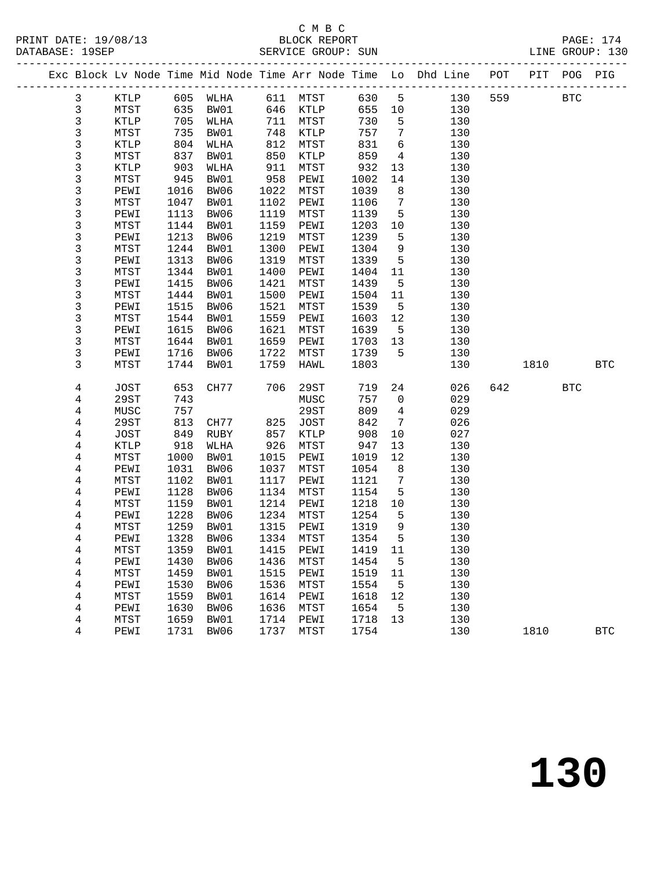|  |                |               |      |      |      |                             |        |                 | Exc Block Lv Node Time Mid Node Time Arr Node Time Lo Dhd Line POT PIT POG PIG |     |      |              |              |
|--|----------------|---------------|------|------|------|-----------------------------|--------|-----------------|--------------------------------------------------------------------------------|-----|------|--------------|--------------|
|  | $\mathbf{3}$   | KTLP 605 WLHA |      |      |      | 611 MTST 630 5              |        |                 | 130                                                                            | 559 |      | $_{\rm BTC}$ |              |
|  | $\mathsf{3}$   | MTST          | 635  | BW01 | 646  | <b>KTLP</b>                 | 655 10 |                 | 130                                                                            |     |      |              |              |
|  | $\mathsf 3$    | KTLP          | 705  | WLHA | 711  | MTST                        | 730    | $5^{\circ}$     | 130                                                                            |     |      |              |              |
|  | $\mathsf 3$    | MTST          | 735  | BW01 | 748  | KTLP                        | 757    | $\overline{7}$  | 130                                                                            |     |      |              |              |
|  | 3              | KTLP          | 804  | WLHA | 812  | MTST                        | 831    | $6\overline{6}$ | 130                                                                            |     |      |              |              |
|  | $\frac{3}{3}$  | MTST          | 837  | BW01 | 850  | $\texttt{KTLP}$             | 859    | $\overline{4}$  | 130                                                                            |     |      |              |              |
|  |                | KTLP          | 903  | WLHA | 911  | MTST                        | 932    | 13              | 130                                                                            |     |      |              |              |
|  | 3              | MTST          | 945  | BW01 | 958  | PEWI                        | 1002   | 14              | 130                                                                            |     |      |              |              |
|  | $\mathsf 3$    | PEWI          | 1016 | BW06 | 1022 | MTST                        | 1039   | 8               | 130                                                                            |     |      |              |              |
|  | 3              | MTST          | 1047 | BW01 | 1102 | PEWI                        | 1106   | $7\overline{ }$ | 130                                                                            |     |      |              |              |
|  | 3              | PEWI          | 1113 | BW06 | 1119 | MTST                        | 1139   | 5               | 130                                                                            |     |      |              |              |
|  | 3              | MTST          | 1144 | BW01 | 1159 | PEWI                        | 1203   | 10              | 130                                                                            |     |      |              |              |
|  | $\mathfrak{Z}$ | PEWI          | 1213 | BW06 | 1219 | MTST                        | 1239   | 5               | 130                                                                            |     |      |              |              |
|  | 3              | MTST          | 1244 | BW01 | 1300 | PEWI                        | 1304   | 9               | 130                                                                            |     |      |              |              |
|  | 3              | PEWI          | 1313 | BW06 | 1319 | MTST                        | 1339   | $5^{\circ}$     | 130                                                                            |     |      |              |              |
|  | 3              | MTST          | 1344 | BW01 | 1400 | PEWI                        | 1404   | 11              | 130                                                                            |     |      |              |              |
|  | $\mathsf{3}$   | PEWI          | 1415 | BW06 | 1421 | MTST                        | 1439   | $5^{\circ}$     | 130                                                                            |     |      |              |              |
|  | 3              | MTST          | 1444 | BW01 | 1500 | PEWI                        | 1504   | 11              | 130                                                                            |     |      |              |              |
|  | 3              | PEWI          | 1515 | BW06 | 1521 | MTST                        | 1539   | $5^{\circ}$     | 130                                                                            |     |      |              |              |
|  | 3              | MTST          | 1544 | BW01 | 1559 | PEWI                        | 1603   | 12              | 130                                                                            |     |      |              |              |
|  | $\mathfrak{Z}$ | PEWI          | 1615 | BW06 | 1621 | MTST                        | 1639   | $5^{\circ}$     | 130                                                                            |     |      |              |              |
|  | 3              | MTST          | 1644 | BW01 | 1659 | PEWI                        | 1703   | 13              | 130                                                                            |     |      |              |              |
|  | 3              | PEWI          | 1716 | BW06 | 1722 | MTST                        | 1739   | 5               | 130                                                                            |     |      |              |              |
|  | 3              | MTST          | 1744 | BW01 | 1759 | HAWL                        | 1803   |                 | 130                                                                            |     | 1810 |              | <b>BTC</b>   |
|  | 4              | JOST          | 653  | CH77 | 706  | 29ST                        | 719    | 24              | 026                                                                            | 642 |      | <b>BTC</b>   |              |
|  | 4              | 29ST          | 743  |      |      | MUSC                        | 757    | $\overline{0}$  | 029                                                                            |     |      |              |              |
|  | 4              | MUSC          | 757  |      |      | 29ST                        | 809    | $\overline{4}$  | 029                                                                            |     |      |              |              |
|  | 4              | 29ST          | 813  | CH77 | 825  | JOST                        | 842    | $7\phantom{.0}$ | 026                                                                            |     |      |              |              |
|  | 4              | <b>JOST</b>   | 849  | RUBY | 857  | KTLP                        | 908    | 10              | 027                                                                            |     |      |              |              |
|  | 4              | KTLP          | 918  | WLHA | 926  | MTST                        | 947    | 13              | 130                                                                            |     |      |              |              |
|  | 4              | MTST          | 1000 | BW01 | 1015 | PEWI                        | 1019   | 12              | 130                                                                            |     |      |              |              |
|  | 4              | PEWI          | 1031 | BW06 | 1037 | MTST                        | 1054   | 8 <sup>8</sup>  | 130                                                                            |     |      |              |              |
|  | $\overline{4}$ | MTST          | 1102 | BW01 | 1117 | PEWI                        | 1121   | $7\overline{ }$ | 130                                                                            |     |      |              |              |
|  | 4              | PEWI          | 1128 | BW06 | 1134 | MTST                        | 1154   | 5               | 130                                                                            |     |      |              |              |
|  | 4              | MTST          | 1159 | BW01 | 1214 | PEWI                        | 1218   | 10              | 130                                                                            |     |      |              |              |
|  | 4              | PEWI          | 1228 | BW06 | 1234 | MTST                        | 1254   | 5               | 130                                                                            |     |      |              |              |
|  | $\overline{4}$ | MTST          | 1259 | BW01 | 1315 | PEWI                        | 1319   | 9               | 130                                                                            |     |      |              |              |
|  | 4              | PEWI          | 1328 | BW06 | 1334 | MTST                        | 1354   | 5               | 130                                                                            |     |      |              |              |
|  | 4              | MTST          |      |      |      | 1359 BW01 1415 PEWI 1419 11 |        |                 | 130                                                                            |     |      |              |              |
|  | 4              | PEWI          | 1430 | BW06 | 1436 | MTST                        | 1454   | 5               | 130                                                                            |     |      |              |              |
|  | 4              | MTST          | 1459 | BW01 | 1515 | PEWI                        | 1519   | 11              | 130                                                                            |     |      |              |              |
|  | 4              | PEWI          | 1530 | BW06 | 1536 | MTST                        | 1554   | 5               | 130                                                                            |     |      |              |              |
|  | 4              | MTST          | 1559 | BW01 | 1614 | PEWI                        | 1618   | 12              | 130                                                                            |     |      |              |              |
|  | 4              | PEWI          | 1630 | BW06 | 1636 | MTST                        | 1654   | 5               | 130                                                                            |     |      |              |              |
|  | 4              | MTST          | 1659 | BW01 | 1714 | PEWI                        | 1718   | 13              | 130                                                                            |     |      |              |              |
|  | 4              | PEWI          | 1731 | BW06 | 1737 | MTST                        | 1754   |                 | 130                                                                            |     | 1810 |              | $_{\rm BTC}$ |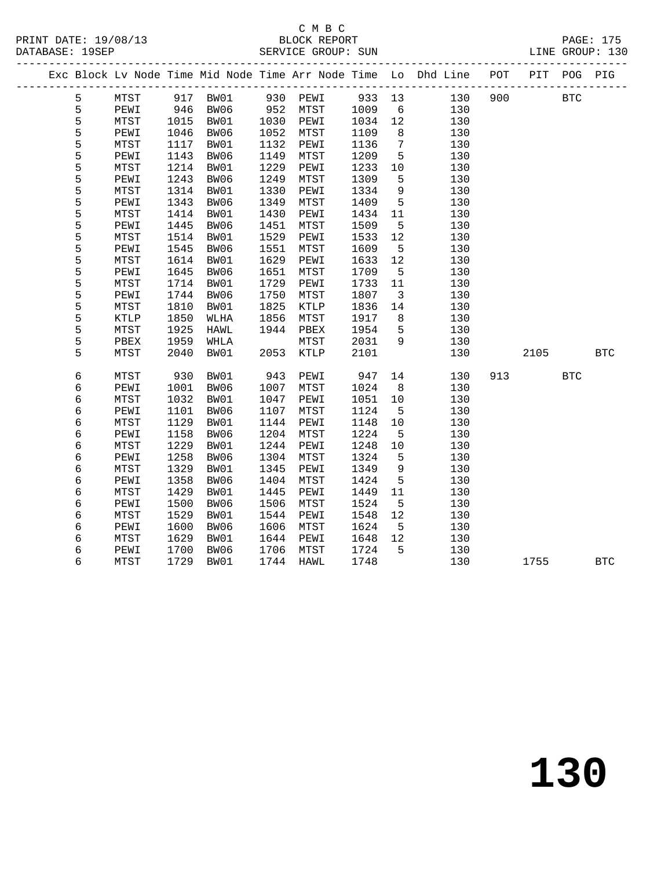# C M B C<br>BLOCK REPORT<br>SERVICE GROUP: SUN

|  | DATABASE: 19SEP |                                 |      |          |      | SERVICE GROUP: SUN    |        |                         | LINE GROUP: 130                                                                |     |         |            |            |
|--|-----------------|---------------------------------|------|----------|------|-----------------------|--------|-------------------------|--------------------------------------------------------------------------------|-----|---------|------------|------------|
|  |                 |                                 |      |          |      |                       |        |                         | Exc Block Lv Node Time Mid Node Time Arr Node Time Lo Dhd Line POT PIT POG PIG |     |         |            |            |
|  | 5               | MTST                            |      | 917 BW01 |      | 930 PEWI 933 13       |        |                         | 130                                                                            |     | 900 BTC |            |            |
|  | 5               | PEWI 946 BW06<br>MTST 1015 BW01 |      |          |      | 952 MTST<br>1030 PEWI | 1009 6 |                         | 130                                                                            |     |         |            |            |
|  | $\frac{5}{5}$   |                                 |      |          |      |                       | 1034   | 12                      | 130                                                                            |     |         |            |            |
|  |                 | PEWI                            | 1046 | BW06     | 1052 | MTST                  | 1109   | 8 <sup>8</sup>          | 130                                                                            |     |         |            |            |
|  | 5               | MTST                            | 1117 | BW01     | 1132 | PEWI                  | 1136   | $7\overline{ }$         | 130                                                                            |     |         |            |            |
|  | 5               | PEWI                            | 1143 | BW06     | 1149 | MTST                  | 1209   | $5^{\circ}$             | 130                                                                            |     |         |            |            |
|  | 5               | MTST                            | 1214 | BW01     | 1229 | PEWI                  | 1233   | 10                      | 130                                                                            |     |         |            |            |
|  | 5               | PEWI                            | 1243 | BW06     | 1249 | MTST                  | 1309   | 5                       | 130                                                                            |     |         |            |            |
|  | $\frac{5}{5}$   | MTST                            | 1314 | BW01     | 1330 | PEWI                  | 1334   | 9                       | 130                                                                            |     |         |            |            |
|  |                 | PEWI                            | 1343 | BW06     | 1349 | MTST                  | 1409   | $5^{\circ}$             | 130                                                                            |     |         |            |            |
|  | 5               | MTST                            | 1414 | BW01     | 1430 | PEWI                  | 1434   | 11                      | 130                                                                            |     |         |            |            |
|  | 5               | PEWI                            | 1445 | BW06     | 1451 | MTST                  | 1509   | $5^{\circ}$             | 130                                                                            |     |         |            |            |
|  | 5               | MTST                            | 1514 | BW01     | 1529 | PEWI                  | 1533   | 12                      | 130                                                                            |     |         |            |            |
|  | 5               | PEWI                            | 1545 | BW06     | 1551 | MTST                  | 1609   | $5^{\circ}$             | 130                                                                            |     |         |            |            |
|  | $\frac{5}{5}$   | MTST                            | 1614 | BW01     | 1629 | PEWI                  | 1633   | 12                      | 130                                                                            |     |         |            |            |
|  |                 | PEWI                            | 1645 | BW06     | 1651 | MTST                  | 1709   | $5^{\circ}$             | 130                                                                            |     |         |            |            |
|  | 5               | MTST                            | 1714 | BW01     | 1729 | PEWI                  | 1733   | 11                      | 130                                                                            |     |         |            |            |
|  | 5               | PEWI                            | 1744 | BW06     | 1750 | MTST                  | 1807   | $\overline{\mathbf{3}}$ | 130                                                                            |     |         |            |            |
|  | 5               | MTST                            | 1810 | BW01     | 1825 | KTLP                  | 1836   | 14                      | 130                                                                            |     |         |            |            |
|  | 5               | KTLP                            | 1850 | WLHA     | 1856 | MTST                  | 1917   | 8 <sup>8</sup>          | 130                                                                            |     |         |            |            |
|  | 5               | MTST                            | 1925 | HAWL     | 1944 | PBEX                  | 1954   | $5^{\circ}$             | 130                                                                            |     |         |            |            |
|  | 5               | PBEX                            | 1959 | WHLA     |      | MTST                  | 2031   | 9                       | 130                                                                            |     |         |            |            |
|  | 5               | MTST                            | 2040 | BW01     | 2053 | KTLP                  | 2101   |                         | 130                                                                            |     | 2105    |            | <b>BTC</b> |
|  | 6               | MTST                            | 930  | BW01     | 943  | PEWI                  | 947    | 14                      | 130                                                                            | 913 |         | <b>BTC</b> |            |
|  | $\epsilon$      | PEWI                            | 1001 | BW06     | 1007 | MTST                  | 1024   | 8 <sup>8</sup>          | 130                                                                            |     |         |            |            |
|  | $\epsilon$      | MTST                            | 1032 | BW01     | 1047 | PEWI                  | 1051   | 10                      | 130                                                                            |     |         |            |            |
|  | 6               | PEWI                            | 1101 | BW06     | 1107 | MTST                  | 1124   | $5\overline{5}$         | 130                                                                            |     |         |            |            |
|  | $\epsilon$      | MTST                            | 1129 | BW01     | 1144 | PEWI                  | 1148   | 10                      | 130                                                                            |     |         |            |            |
|  | $\epsilon$      | PEWI                            | 1158 | BW06     | 1204 | MTST                  | 1224   | $5^{\circ}$             | 130                                                                            |     |         |            |            |
|  | 6               | MTST                            | 1229 | BW01     | 1244 | PEWI                  | 1248   | 10                      | 130                                                                            |     |         |            |            |
|  | $\epsilon$      | PEWI                            | 1258 | BW06     | 1304 | MTST                  | 1324   | 5                       | 130                                                                            |     |         |            |            |
|  | $\sqrt{6}$      | MTST                            | 1329 | BW01     | 1345 | PEWI                  | 1349   | 9                       | 130                                                                            |     |         |            |            |
|  | $\epsilon$      | PEWI                            | 1358 | BW06     | 1404 | MTST                  | 1424   | 5                       | 130                                                                            |     |         |            |            |
|  | 6               | MTST                            | 1429 | BW01     | 1445 | PEWI                  | 1449   | 11                      | 130                                                                            |     |         |            |            |
|  | $\epsilon$      | PEWI                            | 1500 | BW06     | 1506 | MTST                  | 1524   | 5                       | 130                                                                            |     |         |            |            |
|  | 6               | MTST                            | 1529 | BW01     | 1544 | PEWI                  | 1548   | 12                      | 130                                                                            |     |         |            |            |
|  | $\epsilon$      | PEWI                            | 1600 | BW06     | 1606 | MTST                  | 1624   | $5\overline{)}$         | 130                                                                            |     |         |            |            |
|  | $\epsilon$      | MTST                            | 1629 | BW01     | 1644 | PEWI                  | 1648   | 12                      | 130                                                                            |     |         |            |            |
|  | 6               | PEWI                            | 1700 | BW06     | 1706 | MTST                  | 1724   | 5                       | 130                                                                            |     |         |            |            |
|  | 6               | MTST                            | 1729 | BW01     | 1744 | <b>HAWL</b>           | 1748   |                         | 130                                                                            |     | 1755    |            | <b>BTC</b> |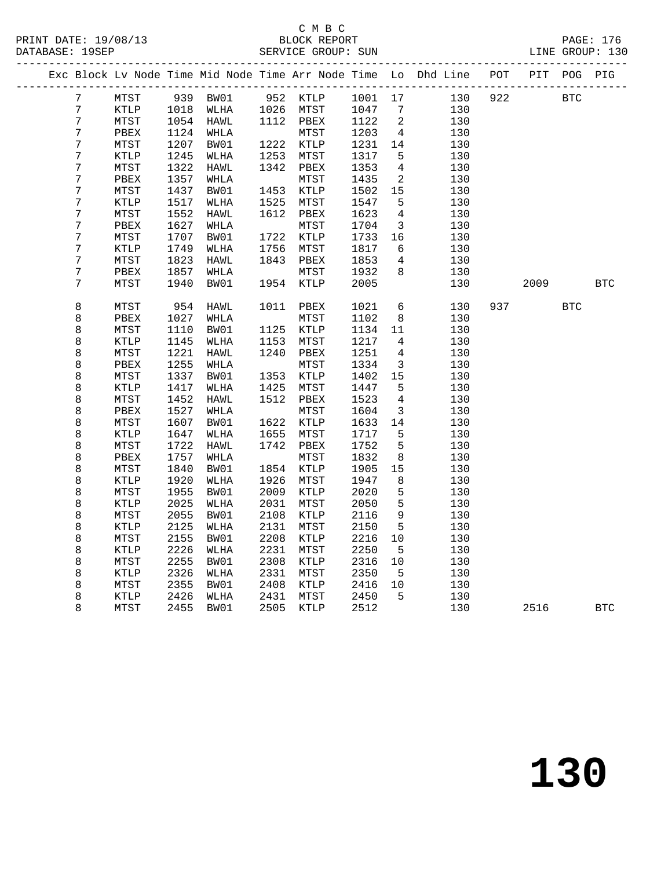#### C M B C<br>BLOCK REPORT SERVICE GROUP: SUN

|  |                  |              |      |                 |      |                 |         |                            | Exc Block Lv Node Time Mid Node Time Arr Node Time Lo Dhd Line | POT | PIT  | POG        | PIG        |
|--|------------------|--------------|------|-----------------|------|-----------------|---------|----------------------------|----------------------------------------------------------------|-----|------|------------|------------|
|  | 7 <sup>7</sup>   | MTST         |      | 939 BW01        |      | 952 KTLP        | 1001 17 |                            | 130                                                            | 922 |      | <b>BTC</b> |            |
|  | $\sqrt{7}$       | KTLP         | 1018 | WLHA            | 1026 | MTST            | 1047    | $\overline{7}$             | 130                                                            |     |      |            |            |
|  | $\boldsymbol{7}$ | MTST         |      | 1054 HAWL       |      | 1112 PBEX       | 1122    | $\overline{\phantom{a}}^2$ | 130                                                            |     |      |            |            |
|  | $\boldsymbol{7}$ | PBEX         | 1124 | WHLA            |      | MTST            | 1203    | $\overline{4}$             | 130                                                            |     |      |            |            |
|  | $\boldsymbol{7}$ | MTST         | 1207 | BW01            | 1222 | KTLP            | 1231    | 14                         | 130                                                            |     |      |            |            |
|  | $\boldsymbol{7}$ | KTLP         | 1245 | WLHA            | 1253 | MTST            | 1317    | $5\overline{)}$            | 130                                                            |     |      |            |            |
|  | $\boldsymbol{7}$ | MTST         | 1322 | HAWL            | 1342 | ${\tt PBEX}$    | 1353    | $\overline{4}$             | 130                                                            |     |      |            |            |
|  | $\boldsymbol{7}$ | PBEX         | 1357 | WHLA            |      | MTST            | 1435    | $\overline{a}$             | 130                                                            |     |      |            |            |
|  | $\boldsymbol{7}$ | MTST         | 1437 | BW01            | 1453 | KTLP            | 1502    | 15                         | 130                                                            |     |      |            |            |
|  | $\boldsymbol{7}$ | <b>KTLP</b>  | 1517 | WLHA            | 1525 | MTST            | 1547    | 5                          | 130                                                            |     |      |            |            |
|  | $\boldsymbol{7}$ | MTST         | 1552 | HAWL            | 1612 | PBEX            | 1623    | $\overline{4}$             | 130                                                            |     |      |            |            |
|  | $\boldsymbol{7}$ | PBEX         | 1627 | WHLA            |      | MTST            | 1704    | $\overline{3}$             | 130                                                            |     |      |            |            |
|  | $\boldsymbol{7}$ | MTST         | 1707 | BW01            | 1722 | KTLP            | 1733    | 16                         | 130                                                            |     |      |            |            |
|  | $\boldsymbol{7}$ | KTLP         | 1749 | WLHA            | 1756 | MTST            | 1817    | $6\overline{6}$            | 130                                                            |     |      |            |            |
|  | $\boldsymbol{7}$ | MTST         | 1823 | HAWL            | 1843 | PBEX            | 1853    | $4\overline{ }$            | 130                                                            |     |      |            |            |
|  | 7                | PBEX         | 1857 | WHLA            |      | MTST            | 1932    | 8                          | 130                                                            |     |      |            |            |
|  | $\overline{7}$   | MTST         | 1940 | BW01            | 1954 | KTLP            | 2005    |                            | 130                                                            |     | 2009 |            | <b>BTC</b> |
|  |                  |              |      |                 |      |                 |         |                            |                                                                |     |      |            |            |
|  | $\,8\,$          | MTST         | 954  | HAWL            | 1011 | PBEX            | 1021    | 6                          | 130                                                            | 937 |      | <b>BTC</b> |            |
|  | 8                | ${\tt PBEX}$ | 1027 | $\texttt{WHLA}$ |      | ${\tt MTST}$    | 1102    | 8                          | 130                                                            |     |      |            |            |
|  | 8                | MTST         | 1110 | BW01            | 1125 | KTLP            | 1134    | 11                         | 130                                                            |     |      |            |            |
|  | $\,8\,$          | KTLP         | 1145 | WLHA            | 1153 | MTST            | 1217    | $\overline{4}$             | 130                                                            |     |      |            |            |
|  | 8                | MTST         | 1221 | HAWL            | 1240 | PBEX            | 1251    | $4\overline{ }$            | 130                                                            |     |      |            |            |
|  | 8                | PBEX         | 1255 | WHLA            |      | MTST            | 1334    | $\overline{3}$             | 130                                                            |     |      |            |            |
|  | 8                | MTST         | 1337 | BW01            | 1353 | KTLP            | 1402    | 15                         | 130                                                            |     |      |            |            |
|  | $\,8\,$          | KTLP         | 1417 | WLHA            | 1425 | ${\tt MTST}$    | 1447    | 5                          | 130                                                            |     |      |            |            |
|  | $\,8\,$          | MTST         | 1452 | HAWL            | 1512 | PBEX            | 1523    | $4\overline{ }$            | 130                                                            |     |      |            |            |
|  | 8                | PBEX         | 1527 | WHLA            |      | MTST            | 1604    | $\overline{3}$             | 130                                                            |     |      |            |            |
|  | $\,8\,$          | MTST         | 1607 | BW01            | 1622 | $\texttt{KTLP}$ | 1633    | 14                         | 130                                                            |     |      |            |            |
|  | $\,8\,$          | KTLP         | 1647 | WLHA            | 1655 | MTST            | 1717    | 5                          | 130                                                            |     |      |            |            |
|  | $\,8\,$          | ${\tt MTST}$ | 1722 | ${\tt HAWL}$    | 1742 | PBEX            | 1752    | 5                          | 130                                                            |     |      |            |            |
|  | $\,8\,$          | PBEX         | 1757 | WHLA            |      | MTST            | 1832    | 8                          | 130                                                            |     |      |            |            |
|  | $\,8\,$          | MTST         | 1840 | BW01            | 1854 | $\texttt{KTLP}$ | 1905    | 15                         | 130                                                            |     |      |            |            |
|  | $\,8\,$          | KTLP         | 1920 | WLHA            | 1926 | MTST            | 1947    | 8                          | 130                                                            |     |      |            |            |
|  | $\,8\,$          | MTST         | 1955 | BW01            | 2009 | KTLP            | 2020    | 5                          | 130                                                            |     |      |            |            |
|  | $\,8\,$          | <b>KTLP</b>  | 2025 | WLHA            | 2031 | MTST            | 2050    | 5                          | 130                                                            |     |      |            |            |
|  | $\,8\,$          | MTST         | 2055 | BW01            | 2108 | KTLP            | 2116    | 9                          | 130                                                            |     |      |            |            |
|  | 8                | <b>KTLP</b>  | 2125 | WLHA            | 2131 | MTST            | 2150    | 5                          | 130                                                            |     |      |            |            |
|  | $\,8\,$          | MTST         | 2155 | BW01            | 2208 | KTLP            | 2216    | 10                         | 130                                                            |     |      |            |            |
|  | $\,8\,$          | KTLP         | 2226 | WLHA            | 2231 | MTST            | 2250    | $5^{\circ}$                | 130                                                            |     |      |            |            |
|  | 8                | MTST         | 2255 | BW01            | 2308 | KTLP            | 2316    | 10                         | 130                                                            |     |      |            |            |
|  | $\,8\,$          | KTLP         | 2326 | WLHA            | 2331 | MTST            | 2350    | $5^{\circ}$                | 130                                                            |     |      |            |            |
|  | 8                | MTST         | 2355 | BW01            | 2408 | KTLP            | 2416    | 10                         | 130                                                            |     |      |            |            |
|  | 8                | KTLP         | 2426 | WLHA            | 2431 | ${\tt MTST}$    | 2450    | $-5$                       | 130                                                            |     |      |            |            |
|  | 8                | MTST         | 2455 | BW01            | 2505 | KTLP            | 2512    |                            | 130                                                            |     | 2516 |            | <b>BTC</b> |
|  |                  |              |      |                 |      |                 |         |                            |                                                                |     |      |            |            |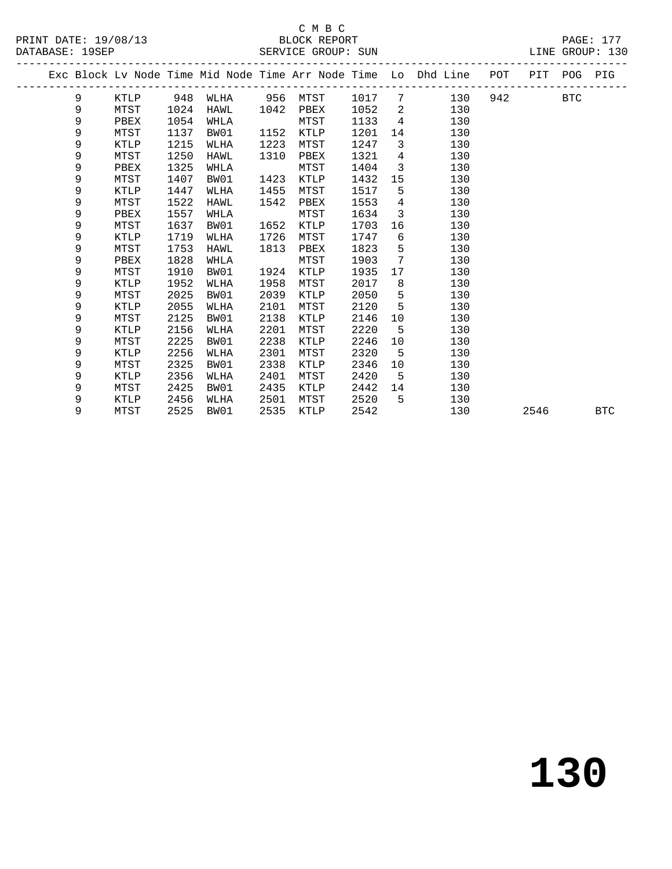|       | .<br>.,<br>v |  |
|-------|--------------|--|
| v<br> | סזזמסבי      |  |

|  |   |          |      |      |      |          |        |                         | Exc Block Lv Node Time Mid Node Time Arr Node Time Lo Dhd Line POT PIT POG PIG |     |      |            |            |
|--|---|----------|------|------|------|----------|--------|-------------------------|--------------------------------------------------------------------------------|-----|------|------------|------------|
|  | 9 | KTLP 948 |      | WLHA |      | 956 MTST | 1017 7 |                         | 130                                                                            | 942 |      | <b>BTC</b> |            |
|  | 9 | MTST     | 1024 | HAWL | 1042 | PBEX     | 1052   | $\overline{2}$          | 130                                                                            |     |      |            |            |
|  | 9 | PBEX     | 1054 | WHLA |      | MTST     | 1133   | $4\overline{4}$         | 130                                                                            |     |      |            |            |
|  | 9 | MTST     | 1137 | BW01 | 1152 | KTLP     | 1201   |                         | 14<br>130                                                                      |     |      |            |            |
|  | 9 | KTLP     | 1215 | WLHA | 1223 | MTST     | 1247   | $\overline{\mathbf{3}}$ | 130                                                                            |     |      |            |            |
|  | 9 | MTST     | 1250 | HAWL | 1310 | PBEX     | 1321   | 4                       | 130                                                                            |     |      |            |            |
|  | 9 | PBEX     | 1325 | WHLA |      | MTST     | 1404   | $\overline{3}$          | 130                                                                            |     |      |            |            |
|  | 9 | MTST     | 1407 | BW01 | 1423 | KTLP     | 1432   | 15                      | 130                                                                            |     |      |            |            |
|  | 9 | KTLP     | 1447 | WLHA | 1455 | MTST     | 1517   | $5^{\circ}$             | 130                                                                            |     |      |            |            |
|  | 9 | MTST     | 1522 | HAWL | 1542 | PBEX     | 1553   | $\overline{4}$          | 130                                                                            |     |      |            |            |
|  | 9 | PBEX     | 1557 | WHLA |      | MTST     | 1634   | $\overline{3}$          | 130                                                                            |     |      |            |            |
|  | 9 | MTST     | 1637 | BW01 | 1652 | KTLP     | 1703   | 16                      | 130                                                                            |     |      |            |            |
|  | 9 | KTLP     | 1719 | WLHA | 1726 | MTST     | 1747   | 6                       | 130                                                                            |     |      |            |            |
|  | 9 | MTST     | 1753 | HAWL | 1813 | PBEX     | 1823   | 5 <sub>5</sub>          | 130                                                                            |     |      |            |            |
|  | 9 | PBEX     | 1828 | WHLA |      | MTST     | 1903   | $7\phantom{.0}$         | 130                                                                            |     |      |            |            |
|  | 9 | MTST     | 1910 | BW01 | 1924 | KTLP     | 1935   | 17                      | 130                                                                            |     |      |            |            |
|  | 9 | KTLP     | 1952 | WLHA | 1958 | MTST     | 2017   | 8                       | 130                                                                            |     |      |            |            |
|  | 9 | MTST     | 2025 | BW01 | 2039 | KTLP     | 2050   | 5 <sub>5</sub>          | 130                                                                            |     |      |            |            |
|  | 9 | KTLP     | 2055 | WLHA | 2101 | MTST     | 2120   | $5^{\circ}$             | 130                                                                            |     |      |            |            |
|  | 9 | MTST     | 2125 | BW01 | 2138 | KTLP     | 2146   | 10                      | 130                                                                            |     |      |            |            |
|  | 9 | KTLP     | 2156 | WLHA | 2201 | MTST     | 2220   | $5^{\circ}$             | 130                                                                            |     |      |            |            |
|  | 9 | MTST     | 2225 | BW01 | 2238 | KTLP     | 2246   | 10                      | 130                                                                            |     |      |            |            |
|  | 9 | KTLP     | 2256 | WLHA | 2301 | MTST     | 2320   | 5                       | 130                                                                            |     |      |            |            |
|  | 9 | MTST     | 2325 | BW01 | 2338 | KTLP     | 2346   | 10                      | 130                                                                            |     |      |            |            |
|  | 9 | KTLP     | 2356 | WLHA | 2401 | MTST     | 2420   | 5                       | 130                                                                            |     |      |            |            |
|  | 9 | MTST     | 2425 | BW01 | 2435 | KTLP     | 2442   | 14                      | 130                                                                            |     |      |            |            |
|  | 9 | KTLP     | 2456 | WLHA | 2501 | MTST     | 2520   | 5                       | 130                                                                            |     |      |            |            |
|  | 9 | MTST     | 2525 | BW01 | 2535 | KTLP     | 2542   |                         | 130                                                                            |     | 2546 |            | <b>BTC</b> |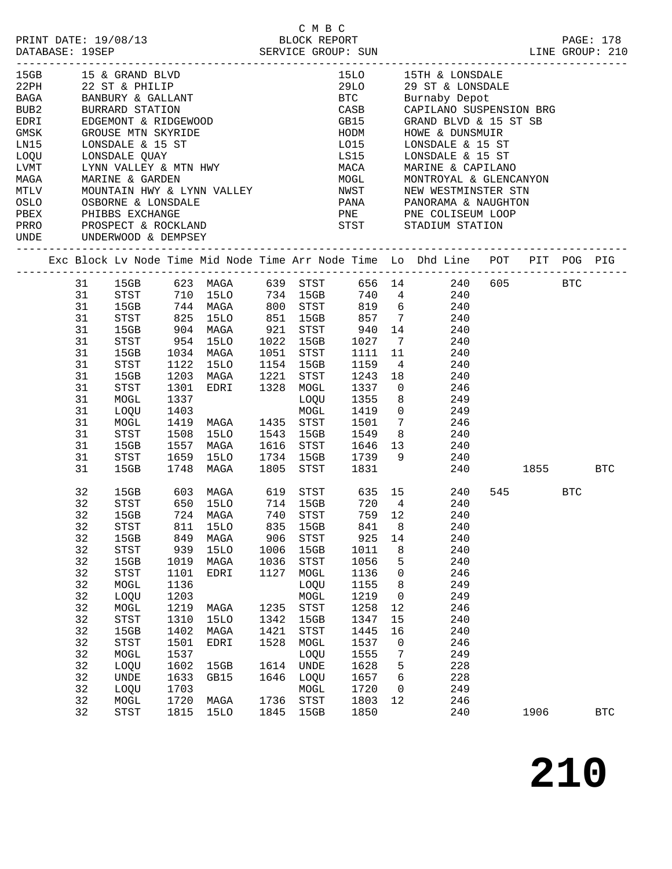|                                                    |                                                                                                            |                                               |                                                                             |      |                                                                                       |              | C M B C                                                                   |      |                       |                                                                                                       |  |         |            |            |
|----------------------------------------------------|------------------------------------------------------------------------------------------------------------|-----------------------------------------------|-----------------------------------------------------------------------------|------|---------------------------------------------------------------------------------------|--------------|---------------------------------------------------------------------------|------|-----------------------|-------------------------------------------------------------------------------------------------------|--|---------|------------|------------|
| PRINT DATE: 19/08/13                               |                                                                                                            |                                               |                                                                             |      |                                                                                       | BLOCK REPORT |                                                                           |      |                       |                                                                                                       |  |         | PAGE: 178  |            |
| DATABASE: 19SEP SERVICE GROUP: SUN LINE GROUP: 210 |                                                                                                            |                                               |                                                                             |      |                                                                                       |              |                                                                           |      |                       |                                                                                                       |  |         |            |            |
|                                                    |                                                                                                            |                                               |                                                                             |      |                                                                                       |              |                                                                           |      |                       |                                                                                                       |  |         |            |            |
|                                                    |                                                                                                            |                                               | 15GB 15 & GRAND BLVD                                                        |      |                                                                                       |              |                                                                           |      |                       | 15LO 15TH & LONSDALE                                                                                  |  |         |            |            |
|                                                    |                                                                                                            | 22PH 22 ST & PHILIP                           |                                                                             |      |                                                                                       |              |                                                                           |      | 29LO 29 ST & LONSDALE |                                                                                                       |  |         |            |            |
|                                                    |                                                                                                            | 22PH 22 ST & FRIDLE<br>BAGA BANBURY & GALLANT |                                                                             |      |                                                                                       |              |                                                                           |      |                       | BTC Burnaby Depot                                                                                     |  |         |            |            |
|                                                    |                                                                                                            |                                               |                                                                             |      |                                                                                       |              |                                                                           |      |                       | CASB CAPILANO SUSPENSION BRG<br>GB15 GRAND BLVD & 15 ST SB<br>HODM HOWE & DUNSMUIR                    |  |         |            |            |
|                                                    | BUB2 BURRARD STATION<br>EDRI EDGEMONT & RIDGEWOOD<br>GMSK GROUSE MTN SKYRIDE                               |                                               |                                                                             |      |                                                                                       |              |                                                                           |      |                       |                                                                                                       |  |         |            |            |
|                                                    |                                                                                                            |                                               |                                                                             |      |                                                                                       |              |                                                                           |      |                       |                                                                                                       |  |         |            |            |
|                                                    | LNI5<br>LONSDALE & 15 ST                                                                                   |                                               |                                                                             |      |                                                                                       |              |                                                                           |      | LO15 LONSDALE & 15 ST |                                                                                                       |  |         |            |            |
|                                                    |                                                                                                            |                                               |                                                                             |      |                                                                                       |              |                                                                           |      |                       |                                                                                                       |  |         |            |            |
|                                                    | LOQU         LONSDALE  QUAY<br>LVMT         LYNN  VALLEY  &  MTN  HWY<br>MAGA            MARINE  &  GARDEN |                                               |                                                                             |      |                                                                                       |              |                                                                           |      |                       | LS15         LONSDALE & 15 ST<br>MACA         MARINE & CAPILANO<br>MOGL        MONTROYAL & GLENCANYON |  |         |            |            |
|                                                    |                                                                                                            |                                               |                                                                             |      |                                                                                       |              |                                                                           |      |                       |                                                                                                       |  |         |            |            |
|                                                    |                                                                                                            |                                               |                                                                             |      |                                                                                       |              |                                                                           |      |                       |                                                                                                       |  |         |            |            |
|                                                    |                                                                                                            |                                               | OSLO OSBORNE & LONSDALE<br>PBEX PHIBBS EXCHANGE<br>PRRO PROSPECT & ROCKLAND |      |                                                                                       |              |                                                                           |      |                       |                                                                                                       |  |         |            |            |
|                                                    |                                                                                                            |                                               |                                                                             |      |                                                                                       |              |                                                                           |      |                       |                                                                                                       |  |         |            |            |
|                                                    |                                                                                                            |                                               |                                                                             |      |                                                                                       |              | PANA PANORAMA & NAUGHTON<br>PNE PNE COLISEUM LOOP<br>STST STADIUM STATION |      |                       |                                                                                                       |  |         |            |            |
|                                                    |                                                                                                            |                                               | UNDE UNDERWOOD & DEMPSEY                                                    |      |                                                                                       |              |                                                                           |      |                       |                                                                                                       |  |         |            |            |
|                                                    |                                                                                                            |                                               |                                                                             |      |                                                                                       |              |                                                                           |      |                       | Exc Block Lv Node Time Mid Node Time Arr Node Time Lo Dhd Line POT PIT POG PIG                        |  |         |            |            |
|                                                    |                                                                                                            |                                               |                                                                             |      |                                                                                       |              |                                                                           |      |                       |                                                                                                       |  |         |            |            |
|                                                    |                                                                                                            |                                               |                                                                             |      |                                                                                       |              |                                                                           |      |                       | 31 15GB 623 MAGA 639 STST 656 14 240 605 BTC                                                          |  |         |            |            |
|                                                    |                                                                                                            |                                               |                                                                             |      |                                                                                       |              |                                                                           |      |                       |                                                                                                       |  |         |            |            |
|                                                    |                                                                                                            |                                               |                                                                             |      |                                                                                       |              |                                                                           |      |                       |                                                                                                       |  |         |            |            |
|                                                    |                                                                                                            |                                               |                                                                             |      |                                                                                       |              |                                                                           |      |                       |                                                                                                       |  |         |            |            |
|                                                    | 31                                                                                                         |                                               |                                                                             |      |                                                                                       |              |                                                                           |      |                       | 15GB 904 MAGA 921 STST 940 14 240                                                                     |  |         |            |            |
|                                                    | 31                                                                                                         |                                               |                                                                             |      | STST 954 15LO                                                                         |              |                                                                           |      |                       | 1022 15GB 1027 7 240                                                                                  |  |         |            |            |
|                                                    | 31                                                                                                         |                                               | 15GB                                                                        |      | 1034 MAGA                                                                             |              |                                                                           |      |                       | 240                                                                                                   |  |         |            |            |
|                                                    | 31                                                                                                         |                                               | STST                                                                        |      | 1034 MAGA     1051   STST     1111   11<br>1122   15LO     1154   15GB     1159     4 |              |                                                                           |      |                       | 240                                                                                                   |  |         |            |            |
|                                                    | 31                                                                                                         |                                               | 15GB                                                                        |      |                                                                                       |              |                                                                           |      |                       | 1203 MAGA 1221 STST 1243 18 240                                                                       |  |         |            |            |
|                                                    | 31                                                                                                         |                                               | STST                                                                        |      |                                                                                       |              |                                                                           |      |                       | 1301 EDRI 1328 MOGL 1337 0 246                                                                        |  |         |            |            |
|                                                    | 31                                                                                                         |                                               | MOGL                                                                        |      |                                                                                       |              |                                                                           |      |                       |                                                                                                       |  |         |            |            |
|                                                    | 31                                                                                                         |                                               | LOQU                                                                        |      | 1337<br>1403                                                                          |              |                                                                           |      |                       | LOQU 1355 8 249<br>MOGL 1419 0 249                                                                    |  |         |            |            |
|                                                    | 31                                                                                                         |                                               | MOGL                                                                        |      |                                                                                       |              |                                                                           |      |                       | 1419 MAGA 1435 STST 1501 7 246                                                                        |  |         |            |            |
|                                                    | 31                                                                                                         |                                               | STST                                                                        |      |                                                                                       |              |                                                                           |      |                       | 1508 15LO 1543 15GB 1549 8 240                                                                        |  |         |            |            |
|                                                    | 31                                                                                                         |                                               | 15GB                                                                        |      | 1557 MAGA                                                                             |              |                                                                           |      |                       | 1616 STST 1646 13 240                                                                                 |  |         |            |            |
|                                                    | 31                                                                                                         |                                               |                                                                             |      |                                                                                       |              |                                                                           |      |                       |                                                                                                       |  |         |            |            |
|                                                    | 31                                                                                                         |                                               |                                                                             |      | STST 1659 15LO 1734 15GB 1739 9<br>15GB 1748 MAGA 1805 STST 1831                      |              |                                                                           |      |                       | $\begin{array}{c} 240 \\ 240 \end{array}$                                                             |  | 1855    | <b>BTC</b> |            |
|                                                    |                                                                                                            |                                               |                                                                             |      |                                                                                       |              |                                                                           |      |                       |                                                                                                       |  |         |            |            |
|                                                    | 32                                                                                                         |                                               |                                                                             |      |                                                                                       |              |                                                                           |      |                       | 15GB 603 MAGA 619 STST 635 15 240<br>STST 650 15LO 714 15GB 720 4 240                                 |  | 545 BTC |            |            |
|                                                    | 32                                                                                                         |                                               |                                                                             |      |                                                                                       |              |                                                                           |      |                       |                                                                                                       |  |         |            |            |
|                                                    |                                                                                                            |                                               | 32 15GB                                                                     |      | 724 MAGA 740 STST                                                                     |              |                                                                           |      |                       | 759 12 240                                                                                            |  |         |            |            |
|                                                    | 32                                                                                                         |                                               | STST                                                                        | 811  | 15LO                                                                                  | 835          | 15GB                                                                      | 841  | 8                     | 240                                                                                                   |  |         |            |            |
|                                                    | 32                                                                                                         |                                               | 15GB                                                                        | 849  | MAGA                                                                                  | 906          | STST                                                                      | 925  | 14                    | 240                                                                                                   |  |         |            |            |
|                                                    | 32                                                                                                         |                                               | <b>STST</b>                                                                 | 939  | 15LO                                                                                  | 1006         | 15GB                                                                      | 1011 | 8                     | 240                                                                                                   |  |         |            |            |
|                                                    | 32                                                                                                         |                                               | 15GB                                                                        | 1019 | MAGA                                                                                  | 1036         | STST                                                                      | 1056 | 5                     | 240                                                                                                   |  |         |            |            |
|                                                    | 32                                                                                                         |                                               | <b>STST</b>                                                                 | 1101 | EDRI                                                                                  | 1127         | MOGL                                                                      | 1136 | 0                     | 246                                                                                                   |  |         |            |            |
|                                                    | 32                                                                                                         |                                               | MOGL                                                                        | 1136 |                                                                                       |              | LOQU                                                                      | 1155 | 8                     | 249                                                                                                   |  |         |            |            |
|                                                    | 32                                                                                                         |                                               | LOQU                                                                        | 1203 |                                                                                       |              | MOGL                                                                      | 1219 | $\mathsf{O}$          | 249                                                                                                   |  |         |            |            |
|                                                    | 32                                                                                                         |                                               | MOGL                                                                        | 1219 | MAGA                                                                                  | 1235         | $_{\footnotesize{\textnormal{STST}}}$                                     | 1258 | 12                    | 246                                                                                                   |  |         |            |            |
|                                                    | 32                                                                                                         |                                               | STST                                                                        | 1310 | 15LO                                                                                  | 1342         | 15GB                                                                      | 1347 | 15                    | 240                                                                                                   |  |         |            |            |
|                                                    | 32                                                                                                         |                                               | 15GB                                                                        | 1402 | MAGA                                                                                  | 1421         | STST                                                                      | 1445 | 16                    | 240                                                                                                   |  |         |            |            |
|                                                    | 32                                                                                                         |                                               | <b>STST</b>                                                                 | 1501 | EDRI                                                                                  | 1528         | MOGL                                                                      | 1537 | $\mathbf 0$           | 246                                                                                                   |  |         |            |            |
|                                                    | 32                                                                                                         |                                               | MOGL                                                                        | 1537 |                                                                                       |              | LOQU                                                                      | 1555 | 7                     | 249                                                                                                   |  |         |            |            |
|                                                    | 32                                                                                                         |                                               | LOQU                                                                        | 1602 | 15GB                                                                                  | 1614         | UNDE                                                                      | 1628 | 5                     | 228                                                                                                   |  |         |            |            |
|                                                    | 32                                                                                                         |                                               | UNDE                                                                        | 1633 | GB15                                                                                  | 1646         | LOQU                                                                      | 1657 | 6                     | 228                                                                                                   |  |         |            |            |
|                                                    | 32                                                                                                         |                                               | LOQU                                                                        | 1703 |                                                                                       |              | MOGL                                                                      | 1720 | $\mathsf{O}$          | 249                                                                                                   |  |         |            |            |
|                                                    | 32                                                                                                         |                                               | MOGL                                                                        | 1720 | MAGA                                                                                  | 1736         | $_{\footnotesize{\textnormal{STST}}}$                                     | 1803 | 12                    | 246                                                                                                   |  |         |            |            |
|                                                    | 32                                                                                                         |                                               | STST                                                                        | 1815 | 15LO                                                                                  |              | 1845 15GB                                                                 | 1850 |                       | 240                                                                                                   |  | 1906    |            | <b>BTC</b> |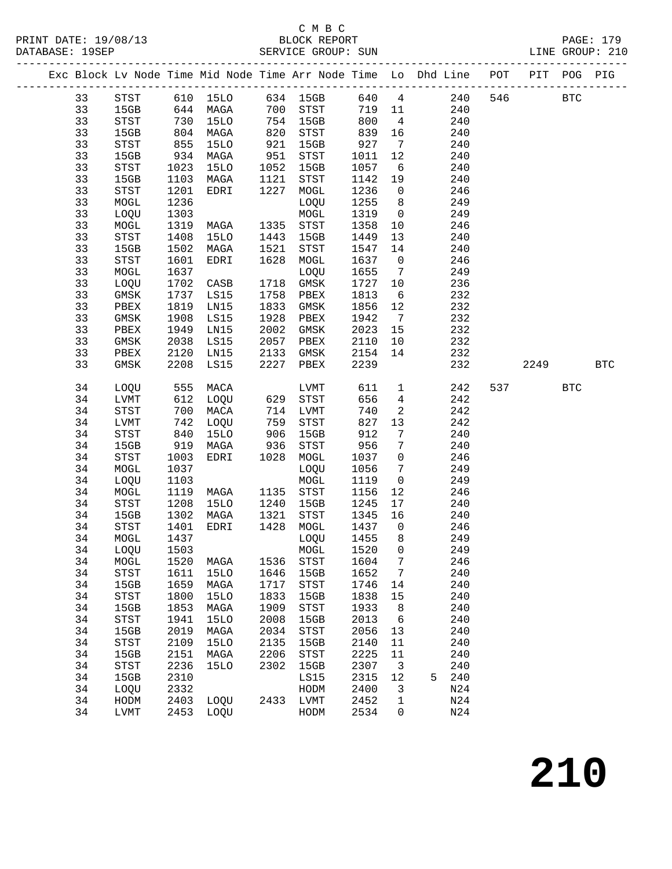#### C M B C<br>BLOCK REPORT SERVICE GROUP: SUN

|    |                            |      |             |                   |                            |         |                         | Exc Block Lv Node Time Mid Node Time Arr Node Time Lo Dhd Line POT PIT POG PIG |         |            |            |
|----|----------------------------|------|-------------|-------------------|----------------------------|---------|-------------------------|--------------------------------------------------------------------------------|---------|------------|------------|
| 33 |                            |      |             |                   |                            |         |                         | STST 610 15LO 634 15GB 640 4 240                                               | 546 BTC |            |            |
| 33 | 15GB 644 MAGA              |      |             |                   | 700 STST                   | 719 11  |                         | 240                                                                            |         |            |            |
| 33 | STST                       | 730  | 15LO        |                   | 754 15GB                   | 800     | $\overline{4}$          | 240                                                                            |         |            |            |
| 33 | 15GB                       | 804  | MAGA        | 820<br>921<br>951 | STST                       | 839     | 16                      | 240                                                                            |         |            |            |
| 33 | STST                       | 855  | 15LO        |                   | 15GB                       | 927     | $7\overline{ }$         | 240                                                                            |         |            |            |
| 33 | 15GB                       | 934  | MAGA        |                   | STST                       | 1011    | 12                      | 240                                                                            |         |            |            |
| 33 | STST                       | 1023 | <b>15LO</b> | 1052              | 15GB                       | 1057    | $6\overline{6}$         | 240                                                                            |         |            |            |
| 33 | 15GB                       | 1103 | MAGA        | 1121              | STST                       | 1142    | 19                      | 240                                                                            |         |            |            |
| 33 | STST                       | 1201 | EDRI        | 1227              | MOGL                       | 1236    | $\overline{0}$          | 246                                                                            |         |            |            |
| 33 | MOGL                       | 1236 |             |                   | LOQU                       | 1255 8  |                         | 249                                                                            |         |            |            |
| 33 | LOQU                       | 1303 |             |                   | MOGL                       | 1319 0  |                         | 249                                                                            |         |            |            |
| 33 | MOGL                       | 1319 | MAGA        | 1335              | STST                       | 1358    | 10                      | 246                                                                            |         |            |            |
| 33 | $_{\footnotesize\rm STST}$ | 1408 | 15LO        | 1443              | 15GB                       | 1449    | 13                      | 240                                                                            |         |            |            |
| 33 | 15GB                       | 1502 | MAGA        | 1521              | STST                       | 1547    | 14                      | 240                                                                            |         |            |            |
| 33 | STST                       | 1601 | EDRI        | 1628              | MOGL                       | 1637    | $\overline{0}$          | 246                                                                            |         |            |            |
| 33 | MOGL                       | 1637 |             |                   | LOQU                       | 1655    | $\overline{7}$          | 249                                                                            |         |            |            |
| 33 | LOQU                       | 1702 | CASB        | 1718              | GMSK                       | 1727 10 |                         | 236                                                                            |         |            |            |
| 33 | $\rm{GMSK}$                | 1737 | LS15        |                   | 1758 PBEX                  | 1813    | $6\overline{6}$         | 232                                                                            |         |            |            |
| 33 | PBEX                       | 1819 | LN15        | 1833              | GMSK                       | 1856    | 12                      | 232                                                                            |         |            |            |
| 33 | GMSK                       | 1908 | LS15        | 1928              | PBEX                       | 1942    | $\overline{7}$          | 232                                                                            |         |            |            |
| 33 | PBEX                       | 1949 | LN15        | 2002              | GMSK                       | 2023    | 15                      | 232                                                                            |         |            |            |
| 33 | GMSK                       | 2038 | LS15        | 2057              | PBEX                       | 2110    | 10                      | 232                                                                            |         |            |            |
| 33 | PBEX                       | 2120 | LN15        | 2133              | GMSK                       | 2154    | 14                      | 232                                                                            |         |            |            |
| 33 | GMSK                       | 2208 | LS15        | 2227              | PBEX                       | 2239    |                         | 232                                                                            | 2249    |            | <b>BTC</b> |
| 34 | LOQU 555                   |      | MACA        |                   | LVMT                       | 611     | $\overline{1}$          | 242                                                                            | 537     | <b>BTC</b> |            |
| 34 | LVMT                       | 612  | LOQU        |                   | 629 STST                   | 656     | $\overline{4}$          | 242                                                                            |         |            |            |
| 34 | STST                       | 700  | MACA        |                   | 714 LVMT                   | 740     | $\overline{a}$          | 242                                                                            |         |            |            |
| 34 | LVMT                       | 742  | LOQU        |                   | $_{\footnotesize\rm STST}$ | 827     | 13                      | 242                                                                            |         |            |            |
| 34 | STST                       | 840  | <b>15LO</b> | 759<br>906        | 15GB                       | 912     | $7\overline{ }$         | 240                                                                            |         |            |            |
| 34 | 15GB                       | 919  | MAGA        | 936               | STST                       | 956     | $7\overline{ }$         | 240                                                                            |         |            |            |
| 34 | STST                       | 1003 | EDRI        |                   | 1028 MOGL                  | 1037    | $\overline{0}$          | 246                                                                            |         |            |            |
| 34 | MOGL                       | 1037 |             |                   | LOQU                       | 1056    | $7\overline{ }$         | 249                                                                            |         |            |            |
| 34 | LOQU                       | 1103 |             |                   | MOGL                       | 1119    | $\overline{0}$          | 249                                                                            |         |            |            |
| 34 | MOGL                       | 1119 | MAGA        |                   | 1135 STST                  | 1156    | 12                      | 246                                                                            |         |            |            |
| 34 | STST                       | 1208 | 15LO        | 1240              | 15GB                       | 1245    | 17                      | 240                                                                            |         |            |            |
| 34 | 15GB                       | 1302 | MAGA        | 1321              | STST                       | 1345    | 16                      | 240                                                                            |         |            |            |
| 34 | STST                       | 1401 | EDRI        | 1428              | MOGL                       | 1437 0  |                         | 246                                                                            |         |            |            |
| 34 | MOGL                       | 1437 |             |                   | LOQU                       | 1455    | 8 <sup>8</sup>          | 249                                                                            |         |            |            |
|    | 34 LOQU 1503               |      |             |                   | MOGL 1520 0                |         |                         | 249                                                                            |         |            |            |
| 34 | MOGL                       | 1520 | MAGA        | 1536              | STST                       | 1604    | 7                       | 246                                                                            |         |            |            |
| 34 | STST                       | 1611 | 15LO        | 1646              | 15GB                       | 1652    | $\overline{7}$          | 240                                                                            |         |            |            |
| 34 | 15GB                       | 1659 | MAGA        | 1717              | STST                       | 1746    | 14                      | 240                                                                            |         |            |            |
| 34 | STST                       | 1800 | <b>15LO</b> | 1833              | 15GB                       | 1838    | 15                      | 240                                                                            |         |            |            |
| 34 | 15GB                       | 1853 | MAGA        | 1909              | STST                       | 1933    | 8                       | 240                                                                            |         |            |            |
| 34 | STST                       | 1941 | <b>15LO</b> | 2008              | 15GB                       | 2013    | $6\overline{6}$         | 240                                                                            |         |            |            |
| 34 | 15GB                       | 2019 | MAGA        | 2034              | STST                       | 2056    | 13                      | 240                                                                            |         |            |            |
| 34 | ${\tt STST}$               | 2109 | <b>15LO</b> | 2135              | 15GB                       | 2140    | 11                      | 240                                                                            |         |            |            |
| 34 | 15GB                       | 2151 | MAGA        | 2206              | STST                       | 2225    | 11                      | 240                                                                            |         |            |            |
| 34 | STST                       | 2236 | 15LO        | 2302              | 15GB                       | 2307    | $\overline{\mathbf{3}}$ | 240                                                                            |         |            |            |
| 34 | 15GB                       | 2310 |             |                   | LS15                       | 2315    | 12                      | 240<br>5                                                                       |         |            |            |
| 34 | LOQU                       | 2332 |             |                   | HODM                       | 2400    | 3                       | N24                                                                            |         |            |            |
| 34 | HODM                       | 2403 | LOQU        |                   | 2433 LVMT                  | 2452    | $\mathbf 1$             | N24                                                                            |         |            |            |
| 34 | <b>LVMT</b>                | 2453 | LOQU        |                   | HODM                       | 2534    | 0                       | N24                                                                            |         |            |            |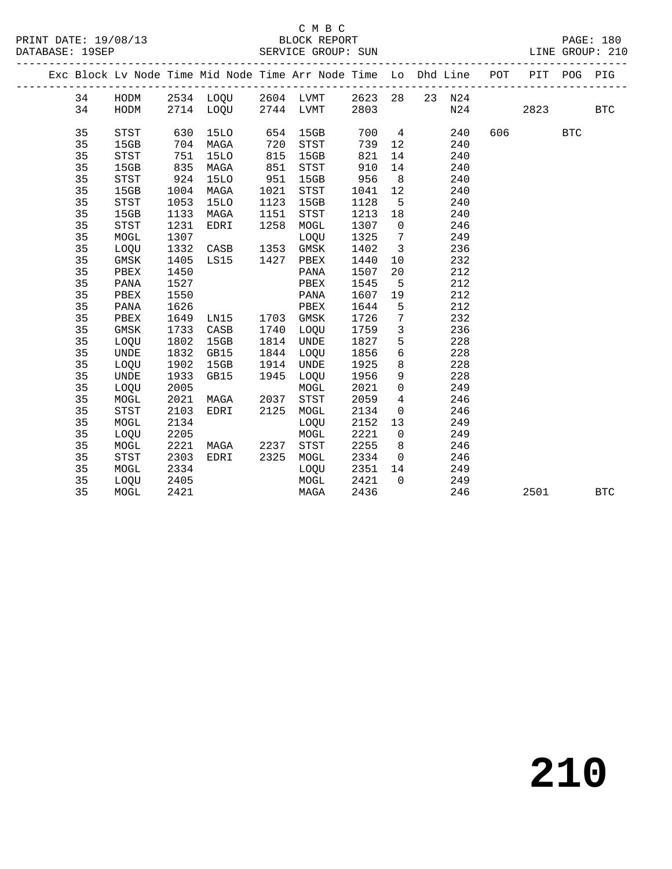#### C M B C<br>BLOCK REPORT

#### SERVICE GROUP: SUN

|  |    |              |      |             |      | Exc Block Lv Node Time Mid Node Time Arr Node Time Lo Dhd Line POT |      |                         |              |     | PIT       | POG        | PIG          |
|--|----|--------------|------|-------------|------|--------------------------------------------------------------------|------|-------------------------|--------------|-----|-----------|------------|--------------|
|  | 34 |              |      |             |      | HODM 2534 LOQU 2604 LVMT 2623 28 23 N24                            |      |                         |              |     |           |            |              |
|  | 34 | HODM         |      |             |      | 2714 LOQU 2744 LVMT 2803                                           |      |                         |              | N24 | 2823      |            | $_{\rm BTC}$ |
|  | 35 | STST         | 630  | 15LO        | 654  | 15GB                                                               |      |                         | 700 4<br>240 |     | 606 — 100 | <b>BTC</b> |              |
|  | 35 | 15GB         | 704  | MAGA        | 720  | STST                                                               | 739  | 12                      | 240          |     |           |            |              |
|  | 35 | STST         | 751  | <b>15LO</b> | 815  | 15GB                                                               | 821  | 14                      | 240          |     |           |            |              |
|  | 35 | 15GB         | 835  | MAGA        | 851  | STST                                                               | 910  | 14                      | 240          |     |           |            |              |
|  | 35 | STST         | 924  | 15LO        | 951  | 15GB                                                               | 956  | 8 <sup>8</sup>          | 240          |     |           |            |              |
|  | 35 | 15GB         | 1004 | MAGA        | 1021 | STST                                                               | 1041 | 12                      | 240          |     |           |            |              |
|  | 35 | STST         | 1053 | 15LO        | 1123 | 15GB                                                               | 1128 | $5^{\circ}$             | 240          |     |           |            |              |
|  | 35 | 15GB         | 1133 | MAGA        | 1151 | STST                                                               | 1213 | 18                      | 240          |     |           |            |              |
|  | 35 | STST         | 1231 | EDRI        | 1258 | MOGL                                                               | 1307 | $\overline{0}$          | 246          |     |           |            |              |
|  | 35 | ${\tt MOGL}$ | 1307 |             |      | LOQU                                                               | 1325 | $\overline{7}$          | 249          |     |           |            |              |
|  | 35 | LOQU         | 1332 | CASB        | 1353 | GMSK                                                               | 1402 | $\overline{\mathbf{3}}$ | 236          |     |           |            |              |
|  | 35 | GMSK         | 1405 | LS15        |      | 1427 PBEX                                                          | 1440 | 10                      | 232          |     |           |            |              |
|  | 35 | PBEX         | 1450 |             |      | PANA                                                               | 1507 | 20                      | 212          |     |           |            |              |
|  | 35 | PANA         | 1527 |             |      | PBEX                                                               | 1545 | $5^{\circ}$             | 212          |     |           |            |              |
|  | 35 | PBEX         | 1550 |             |      | PANA                                                               | 1607 | 19                      | 212          |     |           |            |              |
|  | 35 | PANA         | 1626 |             |      | PBEX                                                               | 1644 | $5\overline{5}$         | 212          |     |           |            |              |
|  | 35 | PBEX         | 1649 | LN15        |      | 1703 GMSK                                                          | 1726 | $\overline{7}$          | 232          |     |           |            |              |
|  | 35 | GMSK         | 1733 | CASB        | 1740 | LOQU                                                               | 1759 | $\mathbf{3}$            | 236          |     |           |            |              |
|  | 35 | LOQU         | 1802 | 15GB        | 1814 | UNDE                                                               | 1827 | $5\overline{)}$         | 228          |     |           |            |              |
|  | 35 | UNDE         | 1832 | GB15        | 1844 | LOQU                                                               | 1856 | 6                       | 228          |     |           |            |              |
|  | 35 | LOQU         | 1902 | 15GB        | 1914 | UNDE                                                               | 1925 | 8 <sup>8</sup>          | 228          |     |           |            |              |
|  | 35 | UNDE         | 1933 | GB15        | 1945 | LOQU                                                               | 1956 | 9                       | 228          |     |           |            |              |
|  | 35 | LOQU         | 2005 |             |      | MOGL                                                               | 2021 | $\overline{0}$          | 249          |     |           |            |              |
|  | 35 | MOGL         | 2021 | MAGA        | 2037 | STST                                                               | 2059 | $\overline{4}$          | 246          |     |           |            |              |
|  | 35 | STST         | 2103 | EDRI        | 2125 | MOGL                                                               | 2134 | $\overline{0}$          | 246          |     |           |            |              |
|  | 35 | MOGL         | 2134 |             |      | LOQU                                                               | 2152 | 13                      | 249          |     |           |            |              |
|  | 35 | LOQU         | 2205 |             |      | MOGL                                                               | 2221 | $\overline{0}$          | 249          |     |           |            |              |
|  | 35 | MOGL         | 2221 | MAGA        | 2237 | STST                                                               | 2255 | 8                       | 246          |     |           |            |              |
|  | 35 | STST         | 2303 | EDRI        | 2325 | MOGL                                                               | 2334 | $\overline{0}$          | 246          |     |           |            |              |
|  | 35 | MOGL         | 2334 |             |      | LOQU                                                               | 2351 | 14                      | 249          |     |           |            |              |
|  | 35 | LOOU         | 2405 |             |      | MOGL                                                               | 2421 | $\overline{0}$          | 249          |     |           |            |              |
|  | 35 | MOGL         | 2421 |             |      | MAGA                                                               | 2436 |                         | 246          |     | 2501      |            | <b>BTC</b>   |
|  |    |              |      |             |      |                                                                    |      |                         |              |     |           |            |              |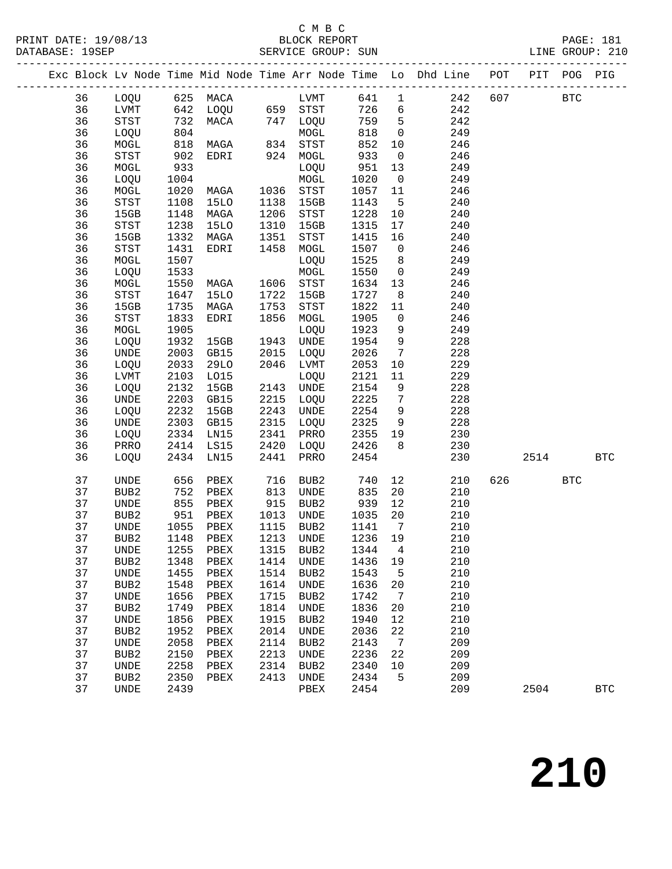## C M B C<br>BLOCK REPORT

|    |                              |      |                                                                                                                                            |               |                                       |         |                              | Exc Block Lv Node Time Mid Node Time Arr Node Time Lo Dhd Line POT PIT POG PIG |     |      |            |            |
|----|------------------------------|------|--------------------------------------------------------------------------------------------------------------------------------------------|---------------|---------------------------------------|---------|------------------------------|--------------------------------------------------------------------------------|-----|------|------------|------------|
| 36 |                              |      | LOQU 625 MACA LVMT<br>LVMT 642 LOQU 659 STST<br>STST 732 MACA 747 LOQU<br>LOQU 804 MOGL<br>MOGL 818 MAGA 834 STST<br>CTC 902 EDBI 934 MOGL |               |                                       |         |                              | 641 1 242                                                                      |     | 607  | <b>BTC</b> |            |
| 36 |                              |      |                                                                                                                                            |               |                                       | $726$ 6 |                              | 242                                                                            |     |      |            |            |
| 36 |                              |      |                                                                                                                                            |               |                                       | 759 5   |                              | 242                                                                            |     |      |            |            |
| 36 |                              |      |                                                                                                                                            |               |                                       | 818     | $\overline{0}$               | 249                                                                            |     |      |            |            |
| 36 |                              |      |                                                                                                                                            |               |                                       | 852     | 10                           | 246                                                                            |     |      |            |            |
| 36 | STST                         | 902  | EDRI                                                                                                                                       | 924           | MOGL                                  | 933     | $\overline{0}$               | 246                                                                            |     |      |            |            |
| 36 | MOGL                         | 933  |                                                                                                                                            |               | LOQU                                  | 951     | 13                           | 249                                                                            |     |      |            |            |
| 36 | LOQU                         | 1004 |                                                                                                                                            |               | MOGL                                  | 1020    | $\overline{0}$               | 249                                                                            |     |      |            |            |
| 36 | MOGL                         | 1020 | MAGA                                                                                                                                       | 1036          | <b>STST</b>                           | 1057    | 11                           | 246                                                                            |     |      |            |            |
| 36 | $_{\footnotesize\rm STST}$   | 1108 | 15LO                                                                                                                                       | 1138          | 15GB                                  | 1143    | $5^{\circ}$                  | 240                                                                            |     |      |            |            |
| 36 | 15GB                         | 1148 | MAGA                                                                                                                                       | 1206          | $_{\footnotesize{\textnormal{STST}}}$ | 1228    | 10                           | 240                                                                            |     |      |            |            |
| 36 | STST                         | 1238 | 15LO                                                                                                                                       | 1310          | 15GB                                  | 1315    | 17                           | 240                                                                            |     |      |            |            |
| 36 | 15GB                         | 1332 | MAGA                                                                                                                                       | 1351          | STST                                  | 1415    | 16                           | 240                                                                            |     |      |            |            |
| 36 | STST                         | 1431 | EDRI                                                                                                                                       | 1458          | MOGL                                  | 1507    | $\overline{0}$               | 246                                                                            |     |      |            |            |
| 36 | MOGL                         | 1507 |                                                                                                                                            |               | LOQU                                  | 1525    | 8 <sup>8</sup>               | 249                                                                            |     |      |            |            |
| 36 | LOQU                         | 1533 |                                                                                                                                            |               | MOGL                                  | 1550    | $\overline{0}$               | 249                                                                            |     |      |            |            |
| 36 | MOGL                         | 1550 | MAGA                                                                                                                                       | 1606          | STST                                  | 1634    | 13                           | 246                                                                            |     |      |            |            |
| 36 | $_{\footnotesize\rm STST}$   | 1647 | 15LO                                                                                                                                       | 1722          | 15GB                                  | 1727    | 8 <sup>8</sup>               | 240                                                                            |     |      |            |            |
| 36 | 15GB                         | 1735 | MAGA                                                                                                                                       | 1753          | $_{\footnotesize{\textnormal{STST}}}$ | 1822    | 11                           | 240                                                                            |     |      |            |            |
| 36 | STST                         | 1833 | EDRI                                                                                                                                       | 1856          | MOGL                                  | 1905    | $\overline{0}$               | 246                                                                            |     |      |            |            |
| 36 | MOGL                         | 1905 |                                                                                                                                            |               | LOQU                                  | 1923    | 9                            | 249                                                                            |     |      |            |            |
| 36 | LOQU                         | 1932 | 15GB                                                                                                                                       | 1943          | UNDE                                  | 1954    | 9                            | 228                                                                            |     |      |            |            |
| 36 | $\ensuremath{\mathsf{UNDE}}$ | 2003 | GB15                                                                                                                                       | 2015          | LOQU                                  | 2026    | $7\overline{ }$              | 228                                                                            |     |      |            |            |
| 36 | LOQU                         | 2033 | <b>29LO</b>                                                                                                                                | 2046          | LVMT                                  | 2053    | 10                           | 229                                                                            |     |      |            |            |
| 36 | LVMT                         | 2103 | L015                                                                                                                                       |               | LOQU                                  | 2121    | 11                           | 229                                                                            |     |      |            |            |
| 36 | LOQU                         | 2132 | 15GB                                                                                                                                       | 2143          | UNDE                                  | 2154    | 9                            | 228                                                                            |     |      |            |            |
| 36 | UNDE                         | 2203 | GB15                                                                                                                                       | 2215          | LOQU                                  | 2225    | $7\overline{ }$              | 228                                                                            |     |      |            |            |
| 36 | LOQU                         | 2232 | 15GB                                                                                                                                       | 2243          | UNDE                                  | 2254    | 9                            | 228                                                                            |     |      |            |            |
| 36 | UNDE                         | 2303 | GB15                                                                                                                                       | 2315          | LOQU                                  | 2325    | 9                            | 228                                                                            |     |      |            |            |
| 36 | LOQU                         | 2334 | LN15                                                                                                                                       | 2341          | PRRO                                  | 2355    | 19                           | 230                                                                            |     |      |            |            |
| 36 | PRRO                         | 2414 | LS15                                                                                                                                       | 2420          | LOQU                                  | 2426    | 8 <sup>8</sup>               | 230                                                                            |     |      |            |            |
| 36 | LOQU                         |      | 2434 LN15                                                                                                                                  | 2441          | PRRO                                  | 2454    |                              | 230                                                                            |     | 2514 |            | <b>BTC</b> |
| 37 | UNDE                         | 656  | PBEX                                                                                                                                       | 716           | BUB2                                  | 740     | 12                           | 210                                                                            | 626 |      | <b>BTC</b> |            |
| 37 | BUB2                         | 752  | PBEX                                                                                                                                       | 813           | UNDE                                  | 835     | 20                           | 210                                                                            |     |      |            |            |
| 37 | UNDE                         | 855  | PBEX                                                                                                                                       | $rac{0}{915}$ | BUB2                                  | 939     | 12                           | 210                                                                            |     |      |            |            |
| 37 | BUB2                         | 951  | PBEX                                                                                                                                       | 1013          | UNDE                                  | 1035    | 20                           | 210                                                                            |     |      |            |            |
| 37 | UNDE                         | 1055 | PBEX                                                                                                                                       | 1115          | BUB2                                  | 1141    | $7\phantom{.0}\phantom{.0}7$ | 210                                                                            |     |      |            |            |
| 37 | BUB <sub>2</sub>             | 1148 | PBEX                                                                                                                                       | 1213          | UNDE                                  | 1236    | 19                           | 210                                                                            |     |      |            |            |
| 37 | <b>UNDE</b>                  |      | 1255 PBEX 1315 BUB2 1344 4                                                                                                                 |               |                                       |         |                              | 210                                                                            |     |      |            |            |
| 37 | BUB <sub>2</sub>             | 1348 | PBEX                                                                                                                                       | 1414          | UNDE                                  | 1436    | 19                           | 210                                                                            |     |      |            |            |
| 37 | UNDE                         | 1455 | PBEX                                                                                                                                       | 1514          | BUB2                                  | 1543    | 5                            | 210                                                                            |     |      |            |            |
| 37 | BUB <sub>2</sub>             | 1548 | PBEX                                                                                                                                       | 1614          | UNDE                                  | 1636    | 20                           | 210                                                                            |     |      |            |            |
| 37 | UNDE                         | 1656 | PBEX                                                                                                                                       | 1715          | BUB2                                  | 1742    | 7                            | 210                                                                            |     |      |            |            |
| 37 | BUB2                         | 1749 | PBEX                                                                                                                                       | 1814          | UNDE                                  | 1836    | 20                           | 210                                                                            |     |      |            |            |
| 37 | <b>UNDE</b>                  | 1856 | PBEX                                                                                                                                       | 1915          | BUB <sub>2</sub>                      | 1940    | 12                           | 210                                                                            |     |      |            |            |
| 37 | BUB <sub>2</sub>             | 1952 | PBEX                                                                                                                                       | 2014          | UNDE                                  | 2036    | 22                           | 210                                                                            |     |      |            |            |
| 37 | UNDE                         | 2058 | PBEX                                                                                                                                       | 2114          | BUB2                                  | 2143    | $7\phantom{.0}$              | 209                                                                            |     |      |            |            |
| 37 | BUB <sub>2</sub>             | 2150 | PBEX                                                                                                                                       | 2213          | UNDE                                  | 2236    | 22                           | 209                                                                            |     |      |            |            |
| 37 | <b>UNDE</b>                  | 2258 | PBEX                                                                                                                                       | 2314          | BUB <sub>2</sub>                      | 2340    | 10                           | 209                                                                            |     |      |            |            |
| 37 | BUB <sub>2</sub>             | 2350 | PBEX                                                                                                                                       | 2413          | UNDE                                  | 2434    | 5                            | 209                                                                            |     |      |            |            |
| 37 | <b>UNDE</b>                  | 2439 |                                                                                                                                            |               | PBEX                                  | 2454    |                              | 209                                                                            |     | 2504 |            | <b>BTC</b> |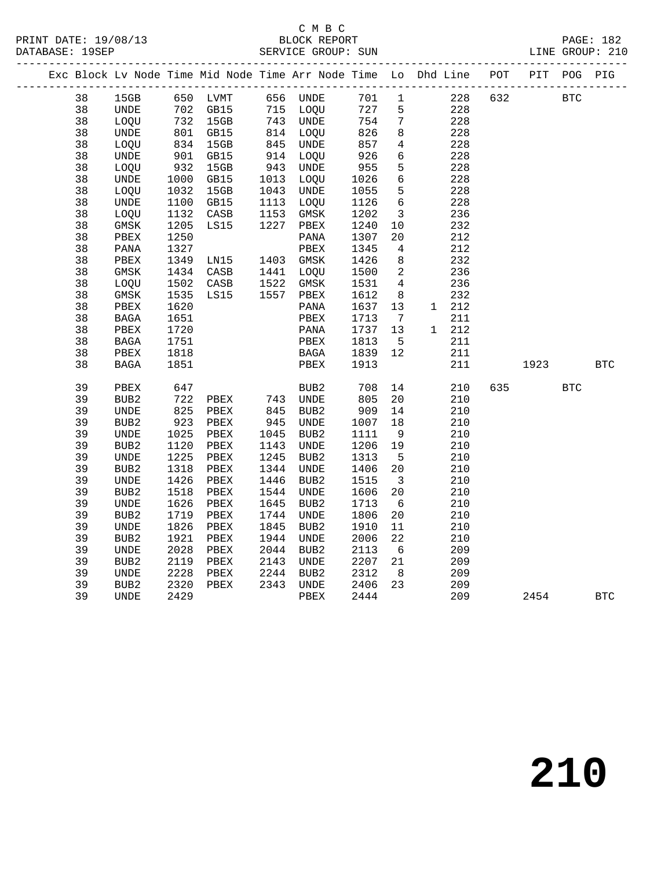#### C M B C<br>BLOCK REPORT SERVICE GROUP: SUN

|  |    |                              |            |                                                          |                      |                                                          |            |                          | Exc Block Lv Node Time Mid Node Time Arr Node Time Lo Dhd Line POT |     | PIT  | POG        | PIG        |
|--|----|------------------------------|------------|----------------------------------------------------------|----------------------|----------------------------------------------------------|------------|--------------------------|--------------------------------------------------------------------|-----|------|------------|------------|
|  | 38 | 15GB                         |            | 650 LVMT                                                 |                      | 656 UNDE                                                 | 701 1      |                          | 228                                                                | 632 |      | <b>BTC</b> |            |
|  | 38 | UNDE                         |            |                                                          |                      |                                                          | 727        | $5\overline{)}$          | 228                                                                |     |      |            |            |
|  | 38 | LOQU                         |            | 702 GB15<br>732 15GB<br>801 GB15<br>834 15GB<br>901 GB15 |                      | 715 LOQU<br>743 UNDE<br>814 LOQU<br>845 UNDE<br>914 LOQU | 754        | $7\overline{ }$          | 228                                                                |     |      |            |            |
|  | 38 | UNDE                         |            |                                                          |                      |                                                          | 826        | 8                        | 228                                                                |     |      |            |            |
|  | 38 | LOQU                         |            |                                                          |                      |                                                          | 857        | $4\overline{4}$          | 228                                                                |     |      |            |            |
|  | 38 | UNDE                         |            |                                                          |                      |                                                          | 926        | 6                        | 228                                                                |     |      |            |            |
|  | 38 | LOQU                         | 932        | 15GB                                                     | 943<br>1013          | UNDE                                                     | 955        | 5                        | 228                                                                |     |      |            |            |
|  | 38 | UNDE                         | 1000       | GB15                                                     | 1013                 | LOQU                                                     | 1026       | $6\overline{6}$          | 228                                                                |     |      |            |            |
|  | 38 | LOQU                         | 1032       | 15GB                                                     | 1043<br>1113<br>1153 | <b>UNDE</b>                                              | 1055       | $5^{\circ}$              | 228                                                                |     |      |            |            |
|  | 38 | UNDE                         | 1100       | GB15                                                     | 1113                 | LOQU                                                     | 1126       | 6                        | 228                                                                |     |      |            |            |
|  | 38 | LOQU                         | 1132       | CASB                                                     |                      | GMSK                                                     | 1202       | $\overline{\mathbf{3}}$  | 236                                                                |     |      |            |            |
|  | 38 | GMSK                         | 1205       | LS15                                                     | 1227                 | PBEX                                                     | 1240       | 10                       | 232                                                                |     |      |            |            |
|  | 38 | PBEX                         | 1250       |                                                          |                      | PANA                                                     | 1307       | 20                       | 212                                                                |     |      |            |            |
|  | 38 | PANA                         | 1327       |                                                          |                      | PBEX                                                     | 1345       | $\overline{4}$           | 212                                                                |     |      |            |            |
|  | 38 | ${\tt PBEX}$                 | 1349       | LNI5                                                     |                      | 1403 GMSK                                                | 1426       | 8 <sup>8</sup>           | 232                                                                |     |      |            |            |
|  | 38 | GMSK                         | 1434       | CASB                                                     |                      | 1133<br>1441 LOQU<br>1522 GMSK<br>1557 PBEX              | 1500       | $\overline{\phantom{a}}$ | 236                                                                |     |      |            |            |
|  | 38 | LOQU                         | 1502       | CASB                                                     |                      |                                                          | 1531       | $\overline{4}$           | 236                                                                |     |      |            |            |
|  | 38 | GMSK                         | 1535       | LS15                                                     |                      |                                                          | 1612       | 8 <sup>8</sup>           | 232                                                                |     |      |            |            |
|  | 38 | PBEX                         | 1620       |                                                          |                      | PANA                                                     | 1637       | 13                       | 1 212                                                              |     |      |            |            |
|  | 38 | BAGA                         | 1651       |                                                          |                      | PBEX                                                     | 1713       | $\overline{7}$           | 211                                                                |     |      |            |            |
|  | 38 | PBEX                         | 1720       |                                                          |                      | PANA                                                     | 1737       | 13                       | 1 212                                                              |     |      |            |            |
|  | 38 | BAGA                         | 1751       |                                                          |                      | PBEX                                                     | 1813       | $5^{\circ}$              | 211                                                                |     |      |            |            |
|  | 38 | PBEX                         | 1818       |                                                          |                      | BAGA                                                     | 1839       | 12                       | 211                                                                |     |      |            |            |
|  | 38 | BAGA                         | 1851       |                                                          |                      | PBEX                                                     | 1913       |                          | 211                                                                |     | 1923 |            | <b>BTC</b> |
|  | 39 | PBEX                         | 647<br>722 |                                                          |                      | BUB2<br>743 UNDE                                         |            | 14                       | 210                                                                | 635 |      | <b>BTC</b> |            |
|  | 39 | BUB2                         |            | PBEX                                                     |                      |                                                          | 708<br>805 | 20                       | 210                                                                |     |      |            |            |
|  | 39 | UNDE                         | 825        | PBEX                                                     | 845                  | BUB2                                                     | 909        | 14                       | 210                                                                |     |      |            |            |
|  | 39 | BUB2                         | 923        | PBEX                                                     |                      | UNDE                                                     | 1007       | 18                       | 210                                                                |     |      |            |            |
|  | 39 | UNDE                         | 1025       | PBEX                                                     | $045$<br>945<br>1047 | BUB <sub>2</sub>                                         | 1111       | 9                        | 210                                                                |     |      |            |            |
|  | 39 | BUB2                         | 1120       | PBEX                                                     | 1143                 | UNDE                                                     | 1206       | 19                       | 210                                                                |     |      |            |            |
|  | 39 | UNDE                         | 1225       | PBEX                                                     | 1245                 | BUB2                                                     | 1313       | $5^{\circ}$              | 210                                                                |     |      |            |            |
|  | 39 | BUB <sub>2</sub>             | 1318       | PBEX                                                     | 1344                 | UNDE                                                     | 1406       | 20                       | 210                                                                |     |      |            |            |
|  | 39 | UNDE                         | 1426       | PBEX                                                     | 1446                 | BUB2                                                     | 1515       | $\overline{\mathbf{3}}$  | 210                                                                |     |      |            |            |
|  | 39 | BUB <sub>2</sub>             | 1518       | PBEX                                                     | 1544                 | UNDE                                                     | 1606       | 20                       | 210                                                                |     |      |            |            |
|  | 39 | $\ensuremath{\mathsf{UNDE}}$ | 1626       | PBEX                                                     | 1645                 | BUB2                                                     | 1713       | 6                        | 210                                                                |     |      |            |            |
|  | 39 | BUB2                         | 1719       | PBEX                                                     | 1744                 | <b>UNDE</b>                                              | 1806       | 20                       | 210                                                                |     |      |            |            |
|  | 39 | UNDE                         | 1826       | ${\tt PBEX}$                                             | 1845                 | BUB2                                                     | 1910       | 11                       | 210                                                                |     |      |            |            |
|  | 39 | BUB2                         | 1921       | PBEX                                                     | 1944                 | UNDE                                                     | 2006       | 22                       | 210                                                                |     |      |            |            |
|  | 39 | <b>UNDE</b>                  | 2028       | PBEX                                                     | 2044                 | BUB2                                                     | 2113       | $6\overline{6}$          | 209                                                                |     |      |            |            |
|  | 39 | BUB2                         | 2119       | PBEX                                                     | 2143<br>2143<br>2244 | UNDE                                                     | 2207       | 21                       | 209                                                                |     |      |            |            |
|  | 39 | UNDE                         | 2228       | PBEX                                                     |                      | BUB <sub>2</sub>                                         | 2312       | 8 <sup>8</sup>           | 209                                                                |     |      |            |            |
|  | 39 | BUB2                         | 2320       | PBEX                                                     |                      | 2343 UNDE                                                | 2406       | 23                       | 209                                                                |     |      |            |            |
|  | 39 | UNDE                         | 2429       |                                                          |                      | PBEX                                                     | 2444       |                          | 209                                                                |     | 2454 |            | <b>BTC</b> |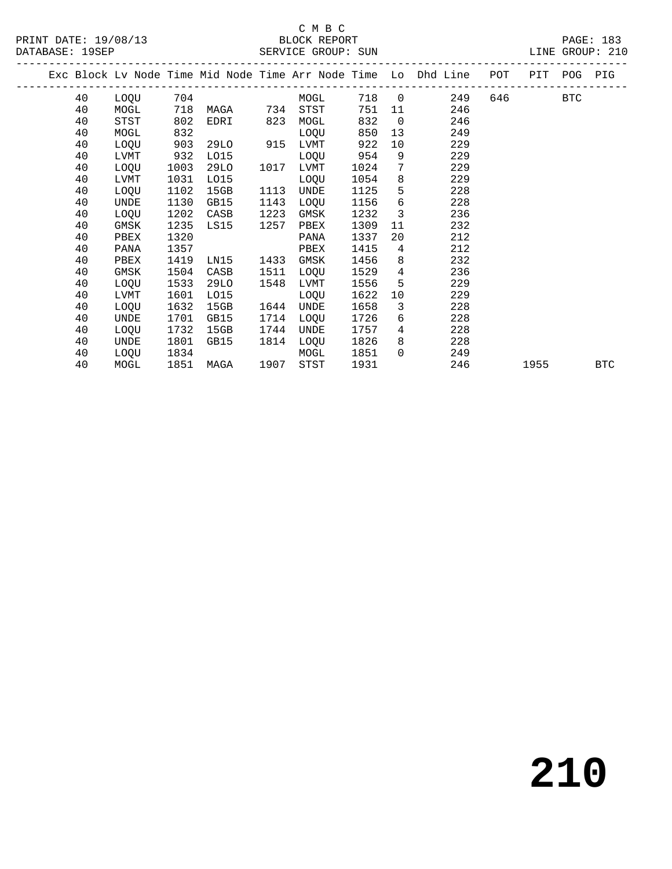#### C M B C<br>BLOCK REPORT SERVICE GROUP: SUN

|  |    |      |      |               |      |           |      |                 | Exc Block Lv Node Time Mid Node Time Arr Node Time Lo Dhd Line POT PIT POG PIG |         |  |  |
|--|----|------|------|---------------|------|-----------|------|-----------------|--------------------------------------------------------------------------------|---------|--|--|
|  | 40 |      |      | LOQU 704      |      | MOGL      |      |                 | 718 0<br>249                                                                   | 646 BTC |  |  |
|  | 40 | MOGL |      |               |      |           | 751  |                 | 246<br>11                                                                      |         |  |  |
|  | 40 | STST | 802  | EDRI          | 823  | MOGL      | 832  | $\overline{0}$  | 246                                                                            |         |  |  |
|  | 40 | MOGL | 832  |               |      | LOQU      | 850  |                 | 249<br>13                                                                      |         |  |  |
|  | 40 | LOQU | 903  | 29LO 915 LVMT |      |           | 922  | 10              | 229                                                                            |         |  |  |
|  | 40 | LVMT | 932  | L015          |      | LOQU      | 954  | 9               | 229                                                                            |         |  |  |
|  | 40 | LOQU | 1003 | 29LO          |      | 1017 LVMT | 1024 | $7\degree$      | 229                                                                            |         |  |  |
|  | 40 | LVMT | 1031 | L015          |      | LOQU      | 1054 |                 | 8<br>229                                                                       |         |  |  |
|  | 40 | LOQU | 1102 | 15GB          |      | 1113 UNDE | 1125 |                 | $5^{\circ}$<br>228                                                             |         |  |  |
|  | 40 | UNDE | 1130 | GB15          | 1143 | LOQU      | 1156 | 6               | 228                                                                            |         |  |  |
|  | 40 | LOQU | 1202 | CASB          | 1223 | GMSK      | 1232 | 3 <sup>7</sup>  | 236                                                                            |         |  |  |
|  | 40 | GMSK | 1235 | LS15          | 1257 | PBEX      | 1309 | 11              | 232                                                                            |         |  |  |
|  | 40 | PBEX | 1320 |               |      | PANA      | 1337 | 20              | 212                                                                            |         |  |  |
|  | 40 | PANA | 1357 |               |      | PBEX      | 1415 | 4               | 212                                                                            |         |  |  |
|  | 40 | PBEX | 1419 | LN15          | 1433 | GMSK      | 1456 |                 | 8<br>232                                                                       |         |  |  |
|  | 40 | GMSK | 1504 | CASB          | 1511 | LOOU      | 1529 | $4\overline{ }$ | 236                                                                            |         |  |  |
|  | 40 | LOQU | 1533 | 29LO          | 1548 | LVMT      | 1556 | 5 <sup>1</sup>  | 229                                                                            |         |  |  |
|  | 40 | LVMT | 1601 | LO15          |      | LOQU      | 1622 | 10              | 229                                                                            |         |  |  |
|  | 40 | LOQU | 1632 | 15GB          | 1644 | UNDE      | 1658 | $3^{\circ}$     | 228                                                                            |         |  |  |
|  | 40 | UNDE | 1701 | GB15          | 1714 | LOQU      | 1726 |                 | 228<br>6 — 10                                                                  |         |  |  |
|  | 40 | LOQU | 1732 | 15GB          | 1744 | UNDE      | 1757 |                 | $4\degree$<br>228                                                              |         |  |  |
|  | 40 | UNDE | 1801 | GB15          |      | 1814 LOOU | 1826 |                 | 228                                                                            |         |  |  |
|  | 40 | LOQU | 1834 |               |      | MOGL      | 1851 | $\Omega$        | 249                                                                            |         |  |  |

40 MOGL 1851 MAGA 1907 STST 1931 246 1955 BTC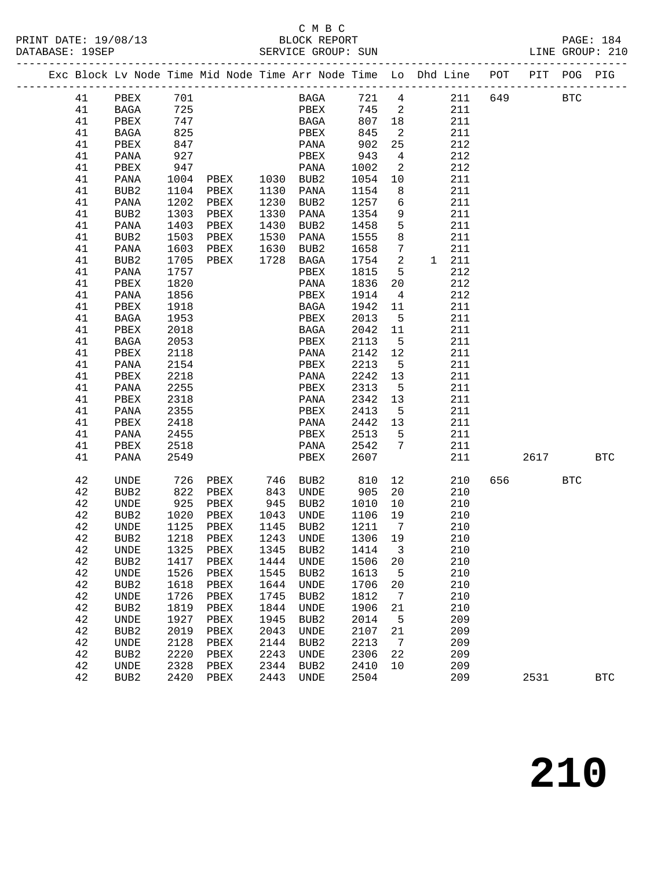## C M B C<br>BLOCK REPORT

|  |          | Exc Block Lv Node Time Mid Node Time Arr Node Time Lo Dhd Line POT PIT POG PIG |                      |              |              |                        |                     |                              |               |        |            |              |
|--|----------|--------------------------------------------------------------------------------|----------------------|--------------|--------------|------------------------|---------------------|------------------------------|---------------|--------|------------|--------------|
|  | 41       | PBEX 701                                                                       |                      |              |              | <b>BAGA</b>            |                     |                              | 721 4 211 649 |        | <b>BTC</b> |              |
|  | 41       | <b>BAGA</b>                                                                    | 725                  |              |              | PBEX                   | 745 2               |                              | 211           |        |            |              |
|  | 41       | PBEX                                                                           | 747                  |              |              | <b>BAGA</b>            | 807 18              |                              | 211           |        |            |              |
|  | 41       | BAGA                                                                           | 825                  |              |              | PBEX                   | 845                 | $\overline{\phantom{a}}^2$   | 211           |        |            |              |
|  | 41       | PBEX                                                                           | 847                  |              |              | PANA                   |                     | 25                           | 212           |        |            |              |
|  | 41       | PANA                                                                           | 927                  |              |              | PBEX                   | 902<br>943          | $\overline{4}$               | 212           |        |            |              |
|  | 41       | PBEX                                                                           | 947                  |              |              | PANA                   | 1002                | $\overline{\phantom{a}}$     | 212           |        |            |              |
|  | 41       | PANA                                                                           | 1004 PBEX            |              |              | 1030 BUB2              | 1054                | 10                           | 211           |        |            |              |
|  | 41       | BUB2                                                                           | 1104 PBEX            |              |              | 1130 PANA<br>1230 BUB2 | 1154                | 8 <sup>8</sup>               | 211           |        |            |              |
|  | 41       | PANA                                                                           | 1202 PBEX            |              |              | 1230 BUB2              | 1257 6              |                              | 211           |        |            |              |
|  | 41       | BUB2                                                                           | 1303                 | PBEX         |              | 1330 PANA              | 1354                | 9                            | 211           |        |            |              |
|  | 41       | PANA                                                                           | 1403                 | PBEX         | 1430         | BUB2                   | 1458                | 5                            | 211           |        |            |              |
|  | 41       | BUB2                                                                           | 1503                 | PBEX         |              | 1530 PANA<br>1630 BUB2 | 1555                | 8 <sup>8</sup>               | 211           |        |            |              |
|  | 41       | PANA                                                                           | 1603                 | PBEX         |              |                        | 1658                | $\overline{7}$               | 211           |        |            |              |
|  | 41       | BUB2                                                                           | 1705 PBEX            |              |              | 1728 BAGA              | 1754                | $\overline{\mathbf{2}}$      | 1 211         |        |            |              |
|  | 41       | PANA                                                                           | 1757                 |              |              | PBEX                   | 1815                | $5^{\circ}$                  | 212           |        |            |              |
|  | 41       | PBEX                                                                           | 1820                 |              |              | PANA                   | 1836                | 20                           | 212           |        |            |              |
|  | 41       | PANA                                                                           | 1856                 |              |              | PBEX                   | 1914 4              |                              | 212           |        |            |              |
|  | 41       | PBEX                                                                           | 1918                 |              |              | BAGA                   | 1942 11             |                              | 211           |        |            |              |
|  | 41       | BAGA                                                                           | 1953                 |              |              | PBEX                   | 2013                | $5^{\circ}$                  | 211           |        |            |              |
|  | 41       | PBEX                                                                           | 2018                 |              |              | BAGA                   | 2042 11             |                              | 211           |        |            |              |
|  | 41       | BAGA                                                                           | 2053                 |              |              | PBEX                   | 2113 5              |                              | 211           |        |            |              |
|  | 41       | PBEX                                                                           | 2118                 |              |              | PANA                   | 2142 12             |                              | 211           |        |            |              |
|  | 41       | PANA                                                                           | 2154                 |              |              | PBEX                   | 2213 5              |                              | 211           |        |            |              |
|  | 41       | PBEX                                                                           | 2218                 |              |              | PANA                   | 2242 13             |                              | 211           |        |            |              |
|  | 41       | PANA                                                                           | 2255                 |              |              | PBEX                   | 2313 5              |                              | 211           |        |            |              |
|  | 41       | PBEX                                                                           | 2318                 |              |              | PANA                   | 2342 13             |                              | 211           |        |            |              |
|  | 41       | PANA                                                                           | 2355                 |              |              | PBEX                   | 2413 5              |                              | 211           |        |            |              |
|  | 41       | PBEX                                                                           | 2418                 |              |              | PANA                   | 2442 13             |                              | 211           |        |            |              |
|  | 41       | PANA                                                                           | 2455<br>2518         |              |              | PBEX                   | 2513 5<br>2542 7    |                              | 211<br>211    |        |            |              |
|  | 41<br>41 | PBEX<br>PANA                                                                   | 2549                 |              |              | PANA<br>PBEX           | 2607                |                              | 211           | 2617   |            | <b>BTC</b>   |
|  |          |                                                                                |                      |              |              |                        |                     |                              |               |        |            |              |
|  | 42       | UNDE                                                                           | 726 PBEX<br>822 PBEX |              |              | 746 BUB2<br>843 UNDE   | 810<br>905          | 12                           | 210           | 656 11 | <b>BTC</b> |              |
|  | 42       | BUB2                                                                           |                      |              |              |                        |                     | 20                           | 210           |        |            |              |
|  | 42       | UNDE                                                                           | 925 PBEX             |              |              | 945 BUB2               | 1010                | 10                           | 210           |        |            |              |
|  | 42       | BUB2                                                                           | 1020                 | PBEX         | 1043         | UNDE                   | 1106                | 19                           | 210           |        |            |              |
|  | 42       | UNDE                                                                           | 1125                 | PBEX         | 1145<br>1243 | BUB2                   | 1211                | $\overline{7}$               | 210           |        |            |              |
|  | 42       | BUB2                                                                           | 1218 PBEX            |              | 1243         | UNDE                   | $\frac{1}{1306}$ 19 |                              | 210           |        |            |              |
|  |          | 42 UNDE 1325 PBEX 1345 BUB2 1414 3                                             |                      |              |              |                        |                     |                              | 210           |        |            |              |
|  | 42       | BUB <sub>2</sub>                                                               | 1417                 | PBEX         | 1444         | UNDE                   | 1506                | 20                           | 210           |        |            |              |
|  | 42<br>42 | UNDE                                                                           | 1526<br>1618         | PBEX         | 1545         | BUB2                   | 1613                | $-5$                         | 210<br>210    |        |            |              |
|  | 42       | BUB2<br>UNDE                                                                   | 1726                 | PBEX<br>PBEX | 1644<br>1745 | UNDE<br>BUB2           | 1706<br>1812        | 20<br>$\overline{7}$         | 210           |        |            |              |
|  | 42       | BUB <sub>2</sub>                                                               | 1819                 | PBEX         | 1844         | UNDE                   | 1906                | 21                           | 210           |        |            |              |
|  | 42       | UNDE                                                                           | 1927                 | PBEX         | 1945         | BUB2                   | 2014                | 5                            | 209           |        |            |              |
|  | 42       | BUB <sub>2</sub>                                                               | 2019                 | PBEX         | 2043         | UNDE                   | 2107                | 21                           | 209           |        |            |              |
|  | 42       | UNDE                                                                           | 2128                 | PBEX         | 2144         | BUB2                   | 2213                | $7\phantom{.0}\phantom{.0}7$ | 209           |        |            |              |
|  | 42       | BUB <sub>2</sub>                                                               | 2220                 | PBEX         | 2243         | UNDE                   | 2306                | 22                           | 209           |        |            |              |
|  | 42       | UNDE                                                                           | 2328                 | PBEX         | 2344         | BUB2                   | 2410                | 10                           | 209           |        |            |              |
|  | 42       | BUB <sub>2</sub>                                                               | 2420                 | PBEX         | 2443         | UNDE                   | 2504                |                              | 209           | 2531   |            | $_{\rm BTC}$ |
|  |          |                                                                                |                      |              |              |                        |                     |                              |               |        |            |              |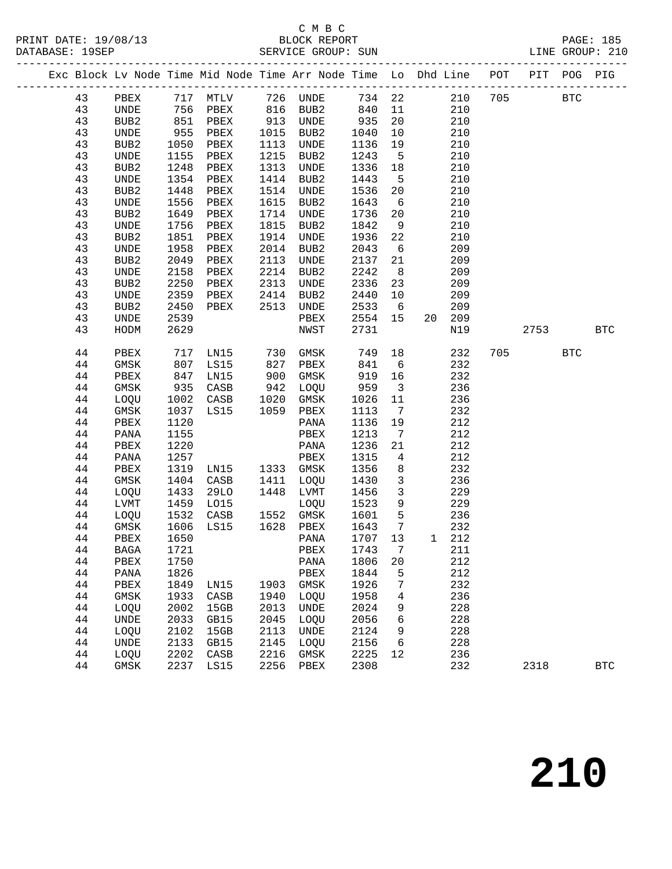## C M B C

|          |                  |      |                         |              |                                                  |                  |                         | Exc Block Lv Node Time Mid Node Time Arr Node Time Lo Dhd Line POT PIT POG PIG |          |            |            |
|----------|------------------|------|-------------------------|--------------|--------------------------------------------------|------------------|-------------------------|--------------------------------------------------------------------------------|----------|------------|------------|
|          |                  |      |                         |              |                                                  |                  |                         | 43 PBEX 717 MTLV 726 UNDE 734 22 210 705 BTC                                   |          |            |            |
| 43       | UNDE 756 PBEX    |      |                         |              | 816 BUB2 840 11                                  |                  |                         | 210                                                                            |          |            |            |
| 43       | BUB2             |      | 851 PBEX                |              | 913 UNDE 935<br>1015 BUB2 1040<br>1113 UNDE 1136 |                  | 20                      | 210                                                                            |          |            |            |
| 43       | UNDE             | 955  | PBEX                    |              |                                                  |                  | 10                      | 210                                                                            |          |            |            |
| 43       | BUB2             | 1050 | PBEX                    |              |                                                  |                  | 19                      | 210                                                                            |          |            |            |
| 43       | UNDE             | 1155 | PBEX                    | 1215         | BUB2                                             | 1243             | $5^{\circ}$             | 210                                                                            |          |            |            |
| 43       | BUB2             | 1248 | PBEX                    | 1313         | UNDE                                             | 1336             | 18                      | 210                                                                            |          |            |            |
| 43       | UNDE             | 1354 | PBEX                    | 1414         | BUB2                                             | 1443 5           |                         | 210                                                                            |          |            |            |
| 43       | BUB2             | 1448 | PBEX                    | 1514         | UNDE                                             | 1536             | 20                      | 210                                                                            |          |            |            |
| 43       | UNDE             | 1556 | PBEX                    | 1615         | BUB2                                             | 1643 6           |                         | 210                                                                            |          |            |            |
| 43       | BUB2             | 1649 | PBEX                    | 1714         | UNDE                                             | 1736             | 20                      | 210                                                                            |          |            |            |
| 43       | UNDE             | 1756 | PBEX                    | 1815         | BUB2                                             | 1842             | 9                       | 210                                                                            |          |            |            |
| 43       | BUB2             | 1851 | PBEX                    | 1914         | UNDE                                             | 1936             | 22                      | 210                                                                            |          |            |            |
| 43       | UNDE             | 1958 | PBEX                    | 2014         | BUB2                                             | 2043             | $6\overline{6}$         | 209                                                                            |          |            |            |
| 43       | BUB <sub>2</sub> | 2049 | PBEX                    | 2113         | UNDE                                             | 2137             | 21                      | 209                                                                            |          |            |            |
| 43       | UNDE             | 2158 | PBEX                    | 2214         | BUB2                                             | 2242             | 8 <sup>8</sup>          | 209                                                                            |          |            |            |
| 43       | BUB2             | 2250 | PBEX                    |              |                                                  | 2336             | 23                      | 209                                                                            |          |            |            |
| 43       | UNDE             | 2359 | PBEX                    |              | 2214 BUB2<br>2313 UNDE<br>2414 BUB2              | 2440 10          |                         | 209                                                                            |          |            |            |
| 43       | BUB2             | 2450 | PBEX 2513 UNDE          |              |                                                  | 2533 6           |                         | 209                                                                            |          |            |            |
| 43       | UNDE             | 2539 |                         |              | PBEX                                             | 2554 15          |                         | 20 209                                                                         |          |            |            |
| 43       | HODM             | 2629 |                         |              | NWST                                             | 2731             |                         | N19                                                                            | 2753 BTC |            |            |
| 44       | PBEX             |      | 717 LN15                | 730          | GMSK                                             | 749              | 18                      | 232                                                                            | 705      | <b>BTC</b> |            |
| 44       | GMSK             |      | 807 LS15                |              |                                                  |                  | 6                       | 232                                                                            |          |            |            |
| 44       | PBEX             | 847  | LN15                    |              | 827 PBEX 841<br>900 GMSK 919<br>942 LOQU 959     | 919 16           |                         | 232                                                                            |          |            |            |
| 44       | GMSK             |      | 935 CASB                |              |                                                  |                  | $\overline{\mathbf{3}}$ | 236                                                                            |          |            |            |
| 44       |                  |      | LOQU 1002 CASB 1020     |              | GMSK                                             | 1026             | 11                      | 236                                                                            |          |            |            |
| 44       | GMSK             | 1037 | LS15 1059               |              | PBEX                                             | 1113             | $\overline{7}$          | 232                                                                            |          |            |            |
| 44       | PBEX             | 1120 |                         |              | PANA                                             | 1136 19          |                         | 212                                                                            |          |            |            |
| 44       | PANA             | 1155 |                         |              | PBEX                                             | 1213             | $\overline{7}$          | 212                                                                            |          |            |            |
| 44       | PBEX             | 1220 |                         |              | PANA                                             | 1236             | 21                      | 212                                                                            |          |            |            |
| 44       | PANA             | 1257 | LN15 1333<br>CASB 1411  |              | PBEX                                             | 1315             | $\overline{4}$          | 212                                                                            |          |            |            |
| 44       | PBEX             | 1319 |                         |              | 1333 GMSK                                        | 1356             | 8 <sup>8</sup>          | 232                                                                            |          |            |            |
| 44       | GMSK             |      | 1404 CASB               |              | 1411 LOQU                                        | 1430             | $\overline{\mathbf{3}}$ | 236                                                                            |          |            |            |
| 44       | LOQU<br>LVMT     | 1433 | 29LO<br>1459 LO15       |              | 1448 LVMT                                        | 1456             | $\overline{\mathbf{3}}$ | 229                                                                            |          |            |            |
| 44<br>44 | LOQU             |      |                         | 1552<br>1628 | LOQU<br>1552 GMSK                                | 1523 9           |                         | 229<br>236                                                                     |          |            |            |
| 44       | GMSK             |      |                         |              | 1628 PBEX                                        | 1601 5<br>1643 7 |                         | 232                                                                            |          |            |            |
|          |                  |      | $1532$ $-$<br>1606 LS15 |              |                                                  |                  |                         | 44 PBEX 1650 PANA 1707 13 1 212                                                |          |            |            |
| 44       | BAGA             | 1721 |                         |              | PBEX                                             | 1743             | 7                       | 211                                                                            |          |            |            |
| 44       | PBEX             | 1750 |                         |              | PANA                                             | 1806             | 20                      | 212                                                                            |          |            |            |
| 44       | PANA             | 1826 |                         |              | PBEX                                             | 1844             | 5                       | 212                                                                            |          |            |            |
| 44       | PBEX             | 1849 | LN15                    | 1903         | GMSK                                             | 1926             | 7                       | 232                                                                            |          |            |            |
| 44       | GMSK             | 1933 | CASB                    | 1940         | LOQU                                             | 1958             | 4                       | 236                                                                            |          |            |            |
| 44       | LOQU             | 2002 | 15GB                    | 2013         | UNDE                                             | 2024             | 9                       | 228                                                                            |          |            |            |
| 44       | UNDE             | 2033 | GB15                    | 2045         | LOQU                                             | 2056             | 6                       | 228                                                                            |          |            |            |
| 44       | LOQU             | 2102 | 15GB                    | 2113         | UNDE                                             | 2124             | 9                       | 228                                                                            |          |            |            |
| 44       | <b>UNDE</b>      | 2133 | GB15                    | 2145         | LOQU                                             | 2156             | 6                       | 228                                                                            |          |            |            |
| 44       | LOQU             | 2202 | CASB                    | 2216         | GMSK                                             | 2225             | 12                      | 236                                                                            |          |            |            |
| 44       | GMSK             | 2237 | LS15                    | 2256         | PBEX                                             | 2308             |                         | 232                                                                            | 2318     |            | <b>BTC</b> |
|          |                  |      |                         |              |                                                  |                  |                         |                                                                                |          |            |            |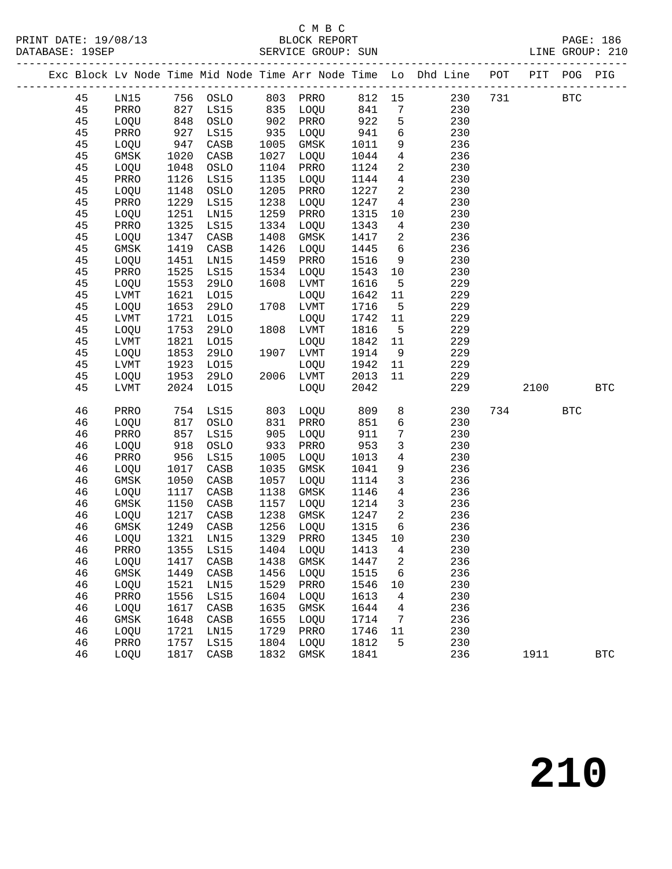## C M B C<br>BLOCK REPORT

|  |          |              |              |              |                     |                                 |              |                         | Exc Block Lv Node Time Mid Node Time Arr Node Time Lo Dhd Line POT PIT POG PIG |     |            |            |
|--|----------|--------------|--------------|--------------|---------------------|---------------------------------|--------------|-------------------------|--------------------------------------------------------------------------------|-----|------------|------------|
|  | 45       |              |              |              |                     |                                 |              |                         | LN15 756 OSLO 803 PRRO 812 15 230                                              |     | 731 BTC    |            |
|  | 45       | PRRO         | 827          | LS15         |                     | $835$ LOQU $841$                |              | $7\overline{ }$         | 230                                                                            |     |            |            |
|  | 45       | LOQU         | 848          | OSLO         | 902                 | PRRO                            | 922          | $5\overline{)}$         | 230                                                                            |     |            |            |
|  | 45       | PRRO         | 927          | LS15         | 935<br>1005<br>1027 | LOQU                            | 941          | 6                       | 230                                                                            |     |            |            |
|  | 45       | LOQU         | 947          | CASB         |                     | GMSK                            | 1011         | 9                       | 236                                                                            |     |            |            |
|  | 45       | GMSK         | 1020         | CASB         | 1027                | LOQU                            | 1044         | 4                       | 236                                                                            |     |            |            |
|  | 45       | LOQU         | 1048         | OSLO         | 1104                | PRRO                            | 1124         | $\overline{a}$          | 230                                                                            |     |            |            |
|  | 45       | PRRO         | 1126         | LS15         | 1135                | LOQU                            | 1144         | $4\overline{4}$         | 230                                                                            |     |            |            |
|  | 45       | LOQU         | 1148         | OSLO         | 1205                | PRRO                            | 1227         | $\overline{\mathbf{2}}$ | 230                                                                            |     |            |            |
|  | 45       | PRRO         | 1229         | LS15         | 1238                | LOQU                            | 1247         | $\overline{4}$          | 230                                                                            |     |            |            |
|  | 45       | LOQU         | 1251         | LN15         | 1259                | PRRO                            | 1315         | 10                      | 230                                                                            |     |            |            |
|  | 45       | PRRO         | 1325         | LS15         | 1334                | LOQU                            | 1343         | $\overline{4}$          | 230                                                                            |     |            |            |
|  | 45       | LOQU         | 1347         | CASB         | 1408                | GMSK                            | 1417         | $\overline{\mathbf{c}}$ | 236                                                                            |     |            |            |
|  | 45       | GMSK         | 1419         | CASB         | 1426                | LOQU                            | 1445         | $6\overline{6}$         | 236                                                                            |     |            |            |
|  | 45       | LOQU         | 1451         | LN15         | 1459                | PRRO                            | 1516         | 9                       | 230                                                                            |     |            |            |
|  | 45       | PRRO         | 1525         | LS15         | 1534                | LOQU                            | 1543         | 10                      | 230                                                                            |     |            |            |
|  | 45       | LOQU         | 1553         | 29LO         | 1608                | LVMT                            | 1616         | $5^{\circ}$             | 229                                                                            |     |            |            |
|  | 45       | LVMT         | 1621         | L015         |                     | LOQU                            | 1642         | 11                      | 229                                                                            |     |            |            |
|  | 45       | LOQU         | 1653         | 29LO         |                     | 1708 LVMT                       | 1716         | $5^{\circ}$             | 229                                                                            |     |            |            |
|  | 45       | LVMT         | 1721         | L015         |                     | LOQU                            | 1742         | 11                      | 229                                                                            |     |            |            |
|  | 45       | LOQU         | 1753         | <b>29LO</b>  |                     | 1808 LVMT                       | 1816         | $5^{\circ}$             | 229                                                                            |     |            |            |
|  | 45       | LVMT         | 1821         | L015         |                     | LOQU                            | 1842         | 11                      | 229                                                                            |     |            |            |
|  | 45       | LOQU         | 1853         | <b>29LO</b>  |                     | 1907 LVMT                       | 1914         | 9                       | 229                                                                            |     |            |            |
|  | 45       | LVMT         | 1923         | L015         |                     | LOQU                            | 1942         | 11                      | 229                                                                            |     |            |            |
|  | 45       | LOQU         | 1953         | 29LO         |                     | 2006 LVMT                       | 2013         | 11                      | 229                                                                            |     |            |            |
|  | 45       | LVMT         | 2024         | L015         |                     | LOQU                            | 2042         |                         | 229                                                                            |     | 2100       | <b>BTC</b> |
|  | 46       | PRRO         |              | 754 LS15     |                     | 803 LOQU                        | 809          | 8                       | 230                                                                            | 734 | <b>BTC</b> |            |
|  | 46       | LOQU         | 817          | OSLO         |                     | PRRO                            | 851          | 6                       | 230                                                                            |     |            |            |
|  | 46       | PRRO         | 857          | LS15         | 831<br>905          | LOQU                            | 911          | $7\phantom{.0}$         | 230                                                                            |     |            |            |
|  | 46       | LOQU         | 918          | OSLO         | -<br>933            | PRRO                            | 953          | $\mathbf{3}$            | 230                                                                            |     |            |            |
|  | 46       | PRRO         | 956          | LS15         | 1005                | LOQU                            | 1013         | $4\overline{ }$         | 230                                                                            |     |            |            |
|  | 46       | LOQU         | 1017         | CASB         | 1035                | GMSK                            | 1041         | 9                       | 236                                                                            |     |            |            |
|  | 46       | GMSK         | 1050         | CASB         | 1057                | LOQU                            | 1114         | $\mathbf{3}$            | 236                                                                            |     |            |            |
|  | 46       | LOQU         | 1117         | CASB         | 1138                | GMSK                            | 1146         | 4                       | 236                                                                            |     |            |            |
|  | 46       | GMSK         | 1150         | CASB         | 1157                | LOQU                            | 1214         | $\overline{3}$          | 236                                                                            |     |            |            |
|  | 46       | LOQU         | 1217         | CASB         | 1238                | GMSK                            | 1247         | $\overline{a}$          | 236                                                                            |     |            |            |
|  | 46       | <b>GMSK</b>  | 1249         | CASB         | 1256                | LOQU                            | 1315         | $6\overline{6}$         | 236                                                                            |     |            |            |
|  | 46       | LOQU         | 1321         | LN15         | 1329                | PRRO                            | 1345         | 10                      | 230                                                                            |     |            |            |
|  | 46       |              |              |              |                     | PRRO 1355 LS15 1404 LOQU 1413 4 |              |                         | 230                                                                            |     |            |            |
|  | 46       | LOQU         | 1417         | CASB         | 1438                | GMSK                            | 1447         | 2                       | 236                                                                            |     |            |            |
|  | 46       | GMSK         | 1449         | CASB         | 1456                | LOQU                            | 1515         | 6                       | 236                                                                            |     |            |            |
|  | 46       | LOQU         | 1521         | LN15         | 1529                | PRRO                            | 1546         | 10                      | 230                                                                            |     |            |            |
|  | 46<br>46 | PRRO<br>LOQU | 1556<br>1617 | LS15<br>CASB | 1604<br>1635        | LOQU<br>GMSK                    | 1613<br>1644 | 4<br>4                  | 230<br>236                                                                     |     |            |            |
|  | 46       | GMSK         | 1648         | CASB         | 1655                | LOQU                            | 1714         | 7                       | 236                                                                            |     |            |            |
|  | 46       | LOQU         | 1721         | LN15         | 1729                | PRRO                            | 1746         | 11                      | 230                                                                            |     |            |            |
|  | 46       | PRRO         | 1757         | LS15         | 1804                | LOQU                            | 1812         | 5                       | 230                                                                            |     |            |            |
|  | 46       | LOQU         | 1817         | CASB         | 1832                | GMSK                            | 1841         |                         | 236                                                                            |     | 1911       | <b>BTC</b> |
|  |          |              |              |              |                     |                                 |              |                         |                                                                                |     |            |            |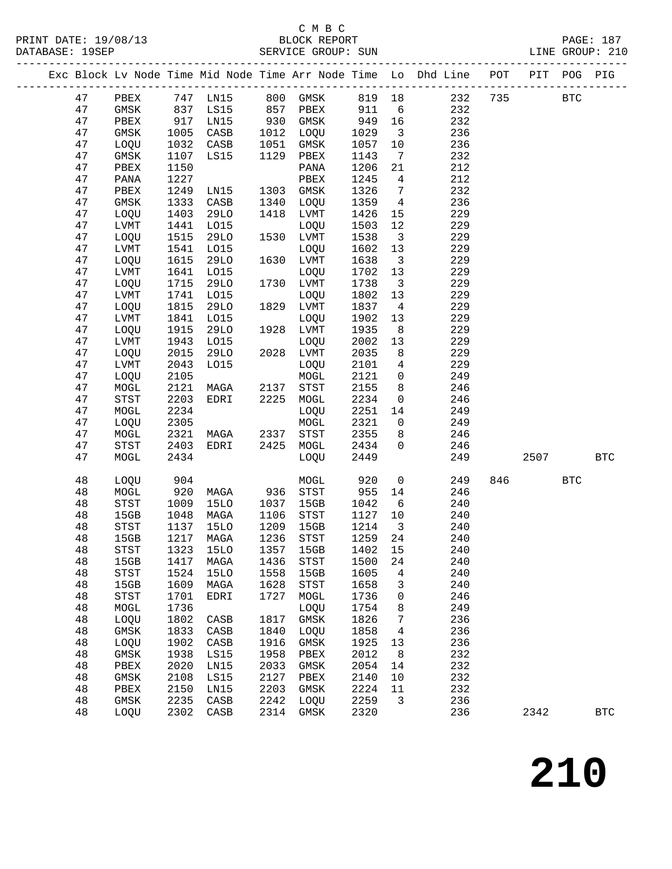## C M B C<br>BLOCK REPORT

|  |        |                            |            |                     |              |                                                               |            |                         | Exc Block Lv Node Time Mid Node Time Arr Node Time Lo Dhd Line |     | POT PIT | POG        | PIG        |
|--|--------|----------------------------|------------|---------------------|--------------|---------------------------------------------------------------|------------|-------------------------|----------------------------------------------------------------|-----|---------|------------|------------|
|  | 47     |                            |            |                     |              | PBEX 747 LN15 800 GMSK 819 18<br>GMSK 837 LS15 857 PBEX 911 6 |            |                         | 232                                                            | 735 |         | <b>BTC</b> |            |
|  | 47     |                            |            |                     |              |                                                               | -<br>911   |                         | 232                                                            |     |         |            |            |
|  | 47     | PBEX                       | 917        | LN15                | 930          | GMSK                                                          | 949        | 16                      | 232                                                            |     |         |            |            |
|  | 47     | GMSK                       | 1005       | CASB                | 1012         | LOQU                                                          | 1029       | $\overline{\mathbf{3}}$ | 236                                                            |     |         |            |            |
|  | 47     | LOQU                       | 1032       | CASB                | 1051         | GMSK                                                          | 1057       | 10                      | 236                                                            |     |         |            |            |
|  | 47     | GMSK                       | 1107       | LS15                | 1129         | PBEX                                                          | 1143       | $7\overline{ }$         | 232                                                            |     |         |            |            |
|  | 47     | PBEX                       | 1150       |                     |              | PANA                                                          | 1206       | 21                      | 212                                                            |     |         |            |            |
|  | 47     | PANA                       | 1227       |                     |              | PBEX                                                          | 1245       | $\overline{4}$          | 212                                                            |     |         |            |            |
|  | 47     | PBEX                       | 1249       | LN15                | 1303         | GMSK                                                          | 1326       | $7\overline{ }$         | 232                                                            |     |         |            |            |
|  | 47     | GMSK                       | 1333       | CASB                | 1340         | LOQU                                                          | 1359       | 4                       | 236                                                            |     |         |            |            |
|  | 47     | LOQU                       | 1403       | 29LO                | 1418         | LVMT                                                          | 1426       | 15                      | 229                                                            |     |         |            |            |
|  | 47     | LVMT                       | 1441       | L015                |              | LOQU                                                          | 1503       | 12                      | 229                                                            |     |         |            |            |
|  | 47     | LOQU                       | 1515       | <b>29LO</b>         |              | 1530 LVMT                                                     | 1538       | $\overline{\mathbf{3}}$ | 229                                                            |     |         |            |            |
|  | 47     | LVMT                       | 1541       | L015                |              | LOQU                                                          | 1602       | 13                      | 229                                                            |     |         |            |            |
|  | 47     | LOQU                       | 1615       | <b>29LO</b>         | 1630         | LVMT                                                          | 1638       | $\overline{\mathbf{3}}$ | 229                                                            |     |         |            |            |
|  | 47     | LVMT                       | 1641       | L015                |              | LOQU                                                          | 1702       | 13                      | 229                                                            |     |         |            |            |
|  | 47     | LOQU                       | 1715       | <b>29LO</b>         | 1730         | LVMT                                                          | 1738       | $\overline{\mathbf{3}}$ | 229                                                            |     |         |            |            |
|  | 47     | LVMT                       | 1741       | L015                |              | LOQU                                                          | 1802       | 13                      | 229                                                            |     |         |            |            |
|  | 47     | LOQU                       | 1815       | <b>29LO</b>         |              | 1829 LVMT                                                     | 1837       | $\overline{4}$          | 229                                                            |     |         |            |            |
|  | 47     | LVMT                       | 1841       | L015                |              | LOQU                                                          | 1902       | 13                      | 229                                                            |     |         |            |            |
|  | 47     | LOQU                       | 1915       | <b>29LO</b>         | 1928         | LVMT                                                          | 1935       | 8                       | 229                                                            |     |         |            |            |
|  | 47     | ${\rm LVMT}$               | 1943       | L015                |              | LOQU                                                          | 2002       | 13                      | 229                                                            |     |         |            |            |
|  | 47     | LOQU                       | 2015       | <b>29LO</b>         |              | 2028 LVMT                                                     | 2035       | 8                       | 229                                                            |     |         |            |            |
|  | 47     | ${\rm LVMT}$               | 2043       | L015                |              | LOQU                                                          | 2101       | $\overline{4}$          | 229                                                            |     |         |            |            |
|  | 47     | LOQU                       | 2105       |                     |              | MOGL                                                          | 2121       | $\overline{0}$          | 249                                                            |     |         |            |            |
|  | 47     | MOGL                       | 2121       | MAGA                | 2137         | STST                                                          | 2155       | 8 <sup>8</sup>          | 246                                                            |     |         |            |            |
|  | 47     | $_{\footnotesize\rm STST}$ | 2203       | EDRI                | 2225         | MOGL                                                          | 2234       | $\overline{0}$          | 246                                                            |     |         |            |            |
|  | 47     | MOGL                       | 2234       |                     |              | LOQU                                                          | 2251       | 14                      | 249                                                            |     |         |            |            |
|  | 47     | LOQU                       | 2305       |                     |              | MOGL                                                          | 2321       | $\overline{0}$          | 249                                                            |     |         |            |            |
|  | 47     | MOGL                       | 2321       | MAGA                | 2337<br>2425 | STST                                                          | 2355       | 8 <sup>8</sup>          | 246                                                            |     |         |            |            |
|  | 47     | ${\tt STST}$               | 2403       | EDRI                |              | MOGL                                                          | 2434       | $\overline{0}$          | 246                                                            |     |         |            |            |
|  | 47     | MOGL                       | 2434       |                     |              | LOQU                                                          | 2449       |                         | 249                                                            |     | 2507    |            | <b>BTC</b> |
|  | 48     | LOQU                       |            |                     |              | MOGL                                                          |            | $\overline{0}$          | 249                                                            | 846 |         | <b>BTC</b> |            |
|  | 48     | MOGL                       | 904<br>920 | MAGA                |              | 936 STST                                                      | 920<br>955 | 14                      | 246                                                            |     |         |            |            |
|  | 48     | STST                       | 1009       | 15LO                | 1037         | 15GB                                                          | 1042       | 6                       | 240                                                            |     |         |            |            |
|  | 48     | 15GB                       | 1048       | MAGA                | 1106         | STST                                                          | 1127       | 10                      | 240                                                            |     |         |            |            |
|  | 48     | STST                       | 1137       | <b>15LO</b>         | 1209         | 15GB                                                          | 1214       | $\overline{\mathbf{3}}$ | 240                                                            |     |         |            |            |
|  | 48     | 15GB                       | 1217       | MAGA                | 1236         | STST                                                          | 1259       | 24                      | 240                                                            |     |         |            |            |
|  | $4\,8$ | STST                       |            | 1323 15LO 1357 15GB |              |                                                               | 1402 15    |                         | 240                                                            |     |         |            |            |
|  | 48     | 15GB                       | 1417       | MAGA                | 1436         | STST                                                          | 1500       | 24                      | 240                                                            |     |         |            |            |
|  | 48     | STST                       | 1524       | 15LO                | 1558         | 15GB                                                          | 1605       | 4                       | 240                                                            |     |         |            |            |
|  | 48     | 15GB                       | 1609       | MAGA                | 1628         | STST                                                          | 1658       | $\mathsf{3}$            | 240                                                            |     |         |            |            |
|  | $4\,8$ | ${\tt STST}$               | 1701       | EDRI                | 1727         | MOGL                                                          | 1736       | 0                       | 246                                                            |     |         |            |            |
|  | 48     | MOGL                       | 1736       |                     |              | LOQU                                                          | 1754       | 8                       | 249                                                            |     |         |            |            |
|  | 48     | LOQU                       | 1802       | CASB                | 1817         | GMSK                                                          | 1826       | 7                       | 236                                                            |     |         |            |            |
|  | 48     | GMSK                       | 1833       | CASB                | 1840         | LOQU                                                          | 1858       | $\overline{4}$          | 236                                                            |     |         |            |            |
|  | 48     | LOQU                       | 1902       | CASB                | 1916         | GMSK                                                          | 1925       | 13                      | 236                                                            |     |         |            |            |
|  | 48     | GMSK                       | 1938       | LS15                | 1958         | PBEX                                                          | 2012       | 8                       | 232                                                            |     |         |            |            |
|  | 48     | PBEX                       | 2020       | LN15                | 2033         | <b>GMSK</b>                                                   | 2054       | 14                      | 232                                                            |     |         |            |            |
|  | 48     | $\rm{GMSK}$                | 2108       | LS15                | 2127         | PBEX                                                          | 2140       | 10                      | 232                                                            |     |         |            |            |
|  | 48     | ${\tt PBEX}$               | 2150       | LN15                | 2203         | GMSK                                                          | 2224       | 11                      | 232                                                            |     |         |            |            |
|  | 48     | GMSK                       | 2235       | CASB                | 2242         | LOQU                                                          | 2259       | 3                       | 236                                                            |     |         |            |            |
|  | 48     | LOQU                       | 2302       | CASB                | 2314         | GMSK                                                          | 2320       |                         | 236                                                            |     | 2342    |            | <b>BTC</b> |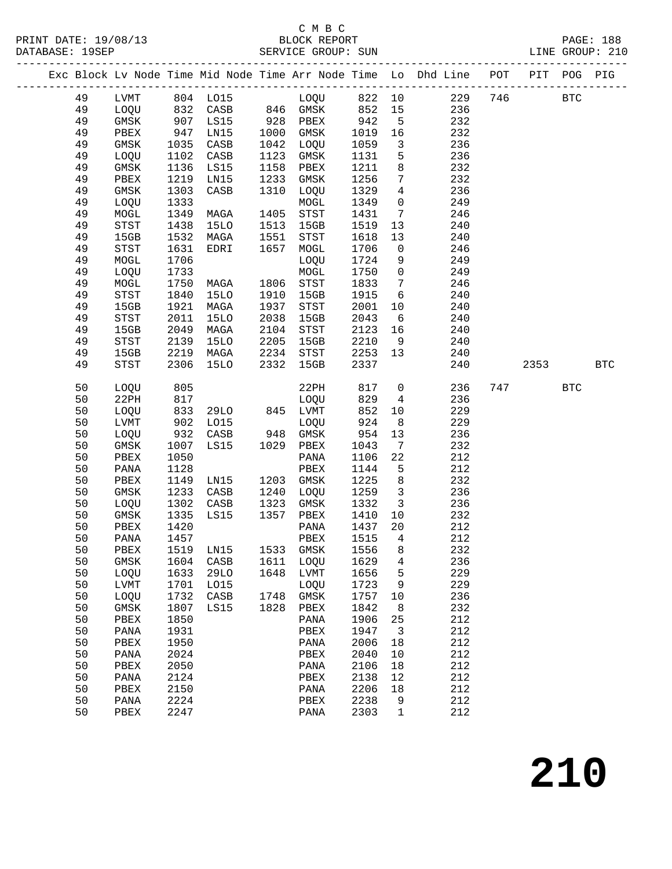## C M B C<br>BLOCK REPORT

|  |          |                 |              |                       |      |                                                         |               |                                    | Exc Block Lv Node Time Mid Node Time Arr Node Time Lo Dhd Line POT PIT POG PIG |             |            |            |
|--|----------|-----------------|--------------|-----------------------|------|---------------------------------------------------------|---------------|------------------------------------|--------------------------------------------------------------------------------|-------------|------------|------------|
|  | 49       |                 |              |                       |      | LVMT 804 LO15 LOQU 822 10                               |               |                                    |                                                                                | 229 746 BTC |            |            |
|  | 49       |                 |              |                       |      | LOQU 832 CASB 846 GMSK 852 15                           |               |                                    | 236                                                                            |             |            |            |
|  | 49       | GMSK 907 LS15   |              |                       |      | 928 PBEX 942 5<br>1000 GMSK 1019 16<br>1042 LOOU 1050 2 |               |                                    | 232                                                                            |             |            |            |
|  | 49       | PBEX            |              | 947 LN15<br>1035 CASB |      |                                                         |               |                                    | 232                                                                            |             |            |            |
|  | 49       | GMSK            | 1035         | CASB                  | 1042 | LOQU                                                    | 1059          | $\overline{\mathbf{3}}$            | 236                                                                            |             |            |            |
|  | 49       | LOQU            | 1102         | CASB                  | 1123 | GMSK                                                    | 1131          | 5                                  | 236                                                                            |             |            |            |
|  | 49       | GMSK            | 1136         | LS15                  | 1158 | PBEX                                                    | 1211          | 8                                  | 232                                                                            |             |            |            |
|  | 49       | PBEX            | 1219         | LN15                  | 1233 | GMSK                                                    | 1256          | $7\overline{ }$                    | 232                                                                            |             |            |            |
|  | 49       | GMSK            | 1303         | CASB                  |      | 1310 LOQU                                               | 1329          | $\overline{4}$                     | 236                                                                            |             |            |            |
|  | 49       | LOQU            | 1333         |                       |      | MOGL                                                    | 1349          | $\overline{0}$                     | 249                                                                            |             |            |            |
|  | 49       | MOGL            | 1349         | MAGA                  | 1405 | STST                                                    | 1431          | $7\overline{ }$                    | 246                                                                            |             |            |            |
|  | 49       | STST            | 1438         | 15LO                  | 1513 | 15GB                                                    | 1519          | 13                                 | 240                                                                            |             |            |            |
|  | 49       | 15GB            | 1532         | MAGA                  | 1551 | STST                                                    | 1618          | 13                                 | 240                                                                            |             |            |            |
|  | 49       | STST            | 1631         | EDRI                  | 1657 | MOGL                                                    | 1706          | $\overline{0}$                     | 246                                                                            |             |            |            |
|  | 49       | MOGL            | 1706         |                       |      | LOQU                                                    | 1724          | 9                                  | 249                                                                            |             |            |            |
|  | 49       | LOQU            | 1733         |                       |      | MOGL                                                    | 1750          | $\overline{0}$                     | 249                                                                            |             |            |            |
|  | 49       | MOGL            | 1750         | <b>MAGA</b>           |      | 1806 STST                                               | 1833          | $\overline{7}$                     | 246                                                                            |             |            |            |
|  | 49       | STST            | 1840         | 15LO                  | 1910 | 15GB                                                    | 1915          | 6                                  | 240                                                                            |             |            |            |
|  | 49       | 15GB            | 1921         | MAGA                  | 1937 | STST                                                    | 2001          | 10                                 | 240                                                                            |             |            |            |
|  | 49       | STST            | 2011         | 15LO                  | 2038 | 15GB                                                    | 2043          | $6\overline{6}$                    | 240                                                                            |             |            |            |
|  | 49       | 15GB            | 2049         | MAGA                  | 2104 | STST                                                    | 2123          | 16                                 | 240                                                                            |             |            |            |
|  | 49       | STST            | 2139         | 15LO                  | 2205 | 15GB<br>2234 STST                                       | 2210          | 9                                  | 240                                                                            |             |            |            |
|  | 49<br>49 | 15GB<br>STST    | 2219<br>2306 | MAGA<br>15LO          | 2332 | 15GB                                                    | 2253<br>2337  | 13                                 | 240<br>240                                                                     | 2353        |            | <b>BTC</b> |
|  |          |                 |              |                       |      |                                                         |               |                                    |                                                                                |             |            |            |
|  | 50       | LOQU            | 805          |                       |      | 22PH                                                    | 817 0         |                                    | 236                                                                            | 747         | <b>BTC</b> |            |
|  | 50       | 22PH            | 817          |                       |      | LOQU                                                    | 829           | $\overline{4}$                     | 236                                                                            |             |            |            |
|  | 50       | LOQU            | 833          | 29LO 845 LVMT         |      |                                                         | 852           | 10 <sub>1</sub>                    | 229                                                                            |             |            |            |
|  | 50       | LVMT            | 902          | LO15<br>$932$ CASB    |      | LOQU<br>948 GMSK                                        | 924<br>$-954$ | 8 <sup>8</sup>                     | 229                                                                            |             |            |            |
|  | 50<br>50 | LOQU<br>GMSK    | 1007         | LS15                  |      | 1029 PBEX                                               | 1043          | 13<br>$7\phantom{.0}\phantom{.0}7$ | 236<br>232                                                                     |             |            |            |
|  | 50       | PBEX            | 1050         |                       |      | PANA                                                    | 1106          | 22                                 | 212                                                                            |             |            |            |
|  | 50       | PANA            | 1128         |                       |      | PBEX                                                    | 1144          | $5^{\circ}$                        | 212                                                                            |             |            |            |
|  | 50       | PBEX            | 1149         | LN15                  |      | 1203 GMSK                                               | 1225          | 8 <sup>8</sup>                     | 232                                                                            |             |            |            |
|  | 50       | GMSK            | 1233         | CASB                  |      | 1240 LOQU                                               | 1259 3        |                                    | 236                                                                            |             |            |            |
|  | 50       | LOQU            | 1302         | CASB                  | 1323 | GMSK                                                    | 1332          | $\overline{\mathbf{3}}$            | 236                                                                            |             |            |            |
|  | 50       | GMSK            | 1335         | LS15                  |      | 1357 PBEX                                               | 1410          | 10                                 | 232                                                                            |             |            |            |
|  | 50       | PBEX            | 1420         |                       |      | PANA                                                    | 1437          | 20                                 | 212                                                                            |             |            |            |
|  | 50       | PANA 1457       |              |                       |      | PBEX 1515 4                                             |               |                                    | 212                                                                            |             |            |            |
|  | 50       | PBEX            | 1519         | LN15                  | 1533 | GMSK                                                    | 1556          | 8                                  | 232                                                                            |             |            |            |
|  | 50       | GMSK            | 1604         | CASB                  | 1611 | LOQU                                                    | 1629          | 4                                  | 236                                                                            |             |            |            |
|  | 50       | LOQU            | 1633         | <b>29LO</b>           |      | 1648 LVMT                                               | 1656          | 5                                  | 229                                                                            |             |            |            |
|  | 50       | LVMT            | 1701         | L015                  |      | LOQU                                                    | 1723          | 9                                  | 229                                                                            |             |            |            |
|  | 50       | LOQU            | 1732         | CASB                  |      | 1748 GMSK                                               | 1757          | 10                                 | 236                                                                            |             |            |            |
|  | 50       | GMSK            | 1807         | LS15                  | 1828 | PBEX                                                    | 1842          | 8                                  | 232                                                                            |             |            |            |
|  | 50       | PBEX            | 1850         |                       |      | PANA                                                    | 1906          | 25                                 | 212                                                                            |             |            |            |
|  | 50       | PANA            | 1931         |                       |      | PBEX                                                    | 1947          | $\overline{\mathbf{3}}$            | 212                                                                            |             |            |            |
|  | 50       | PBEX            | 1950         |                       |      | PANA                                                    | 2006          | 18                                 | 212                                                                            |             |            |            |
|  | 50       | PANA            | 2024         |                       |      | PBEX                                                    | 2040          | 10                                 | 212                                                                            |             |            |            |
|  | 50       | PBEX            | 2050         |                       |      | PANA                                                    | 2106          | 18                                 | 212                                                                            |             |            |            |
|  | 50       | PANA            | 2124         |                       |      | PBEX                                                    | 2138          | 12                                 | 212                                                                            |             |            |            |
|  | 50       | PBEX            | 2150         |                       |      | PANA                                                    | 2206          | 18                                 | 212                                                                            |             |            |            |
|  | 50       | $\mathtt{PANA}$ | 2224         |                       |      | PBEX                                                    | 2238          | 9                                  | 212                                                                            |             |            |            |
|  | 50       | PBEX            | 2247         |                       |      | PANA                                                    | 2303          | $\mathbf{1}$                       | 212                                                                            |             |            |            |
|  |          |                 |              |                       |      |                                                         |               |                                    |                                                                                |             |            |            |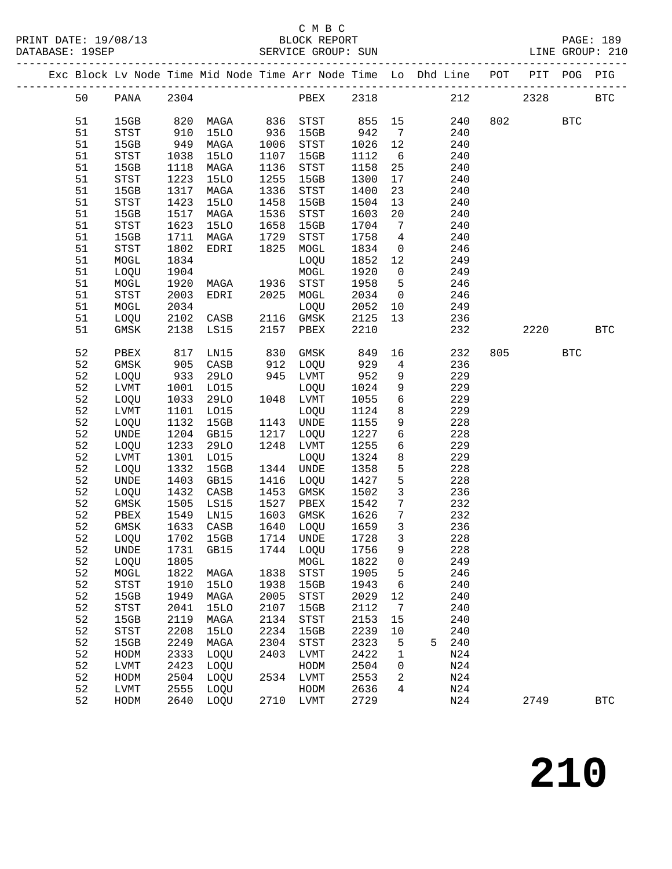#### C M B C<br>BLOCK REPORT SERVICE GROUP: SUN

|  |          |              |              |                               |                             |                   |              |                                            | Exc Block Lv Node Time Mid Node Time Arr Node Time Lo Dhd Line POT PIT POG PIG |     |        |            |              |
|--|----------|--------------|--------------|-------------------------------|-----------------------------|-------------------|--------------|--------------------------------------------|--------------------------------------------------------------------------------|-----|--------|------------|--------------|
|  | 50       | PANA 2304    |              |                               |                             | PBEX 2318         |              |                                            |                                                                                | 212 | 2328   |            | <b>BTC</b>   |
|  | 51       | 15GB         |              | 820 MAGA                      |                             | 836 STST          | 855 15       |                                            | 240                                                                            |     | 802 80 | <b>BTC</b> |              |
|  | 51       | STST         | 910          | 15LO                          |                             | 15GB              | 942          | $7\overline{ }$                            | 240                                                                            |     |        |            |              |
|  | 51       | 15GB         | 949          | MAGA                          |                             | STST              | 1026         | 12                                         | 240                                                                            |     |        |            |              |
|  | 51       | STST         | 1038         | 15LO                          | 936<br>1006<br>1107<br>1107 | 15GB              | 1112         | $6\overline{6}$                            | 240                                                                            |     |        |            |              |
|  | 51       | 15GB         | 1118         | MAGA                          | 1136                        | STST              | 1158         | 25                                         | 240                                                                            |     |        |            |              |
|  | 51       | STST         | 1223         | <b>15LO</b>                   | 1255                        | 15GB              | 1300         | 17                                         | 240                                                                            |     |        |            |              |
|  | 51       | 15GB         | 1317         | MAGA                          | 1336                        | STST              | 1400         | 23                                         | 240                                                                            |     |        |            |              |
|  | 51       | STST         | 1423         | <b>15LO</b>                   | 1458                        | 15GB              | 1504         | 13                                         | 240                                                                            |     |        |            |              |
|  | 51       | 15GB         | 1517         | MAGA                          | 1536                        | STST              | 1603         | 20 <sub>o</sub>                            | 240                                                                            |     |        |            |              |
|  | 51       | STST         | 1623         | <b>15LO</b>                   | 1658                        | 15GB              | 1704         | $\overline{7}$                             | 240                                                                            |     |        |            |              |
|  | 51       | 15GB         | 1711         | MAGA                          | 1729                        | STST              | 1758         | $\overline{4}$                             | 240                                                                            |     |        |            |              |
|  | 51       | STST         | 1802         | EDRI                          | 1825                        | MOGL              | 1834         | $\overline{0}$                             | 246                                                                            |     |        |            |              |
|  | 51       | $\tt MOGL$   | 1834         |                               |                             | LOQU              | 1852         | 12                                         | 249                                                                            |     |        |            |              |
|  | 51       | LOQU         | 1904         |                               |                             | MOGL              | 1920         | $\overline{0}$                             | 249                                                                            |     |        |            |              |
|  | 51       | MOGL         | 1920         | MAGA                          | 1936                        | STST              | 1958         | $5^{\circ}$                                | 246                                                                            |     |        |            |              |
|  | 51       | STST         | 2003         | EDRI                          |                             | 2025 MOGL         | 2034 0       |                                            | 246                                                                            |     |        |            |              |
|  | 51       | MOGL         | 2034         |                               |                             | LOQU              | 2052 10      |                                            | 249                                                                            |     |        |            |              |
|  | 51       | LOQU         | 2102         | CASB                          | 2116                        | GMSK              | 2125         | 13                                         | 236                                                                            |     |        |            |              |
|  | 51       | GMSK         | 2138         | LS15                          | 2157                        | PBEX              | 2210         |                                            | 232                                                                            |     | 2220   |            | <b>BTC</b>   |
|  | 52       | PBEX         | 817          | LN15                          | 830                         | GMSK              | 849          |                                            | 232                                                                            |     | 805    | <b>BTC</b> |              |
|  | 52       | GMSK         | 905          | CASB                          | 912                         | LOQU              | 929          | $\overline{4}$                             | 236                                                                            |     |        |            |              |
|  | 52       | LOQU         | 933          | 29LO                          |                             | 945 LVMT          | 952          | 9                                          | 229                                                                            |     |        |            |              |
|  | 52       | LVMT         | 1001         | LO15                          |                             | LOQU              | 1024         | 9                                          | 229                                                                            |     |        |            |              |
|  | 52       | LOQU         | 1033         | 29LO                          |                             | 1048 LVMT         | 1055         | $6\overline{6}$                            | 229                                                                            |     |        |            |              |
|  | 52       | LVMT         | 1101         | LO15                          |                             | LOQU              | 1124         | 8 <sup>8</sup>                             | 229                                                                            |     |        |            |              |
|  | 52       | LOQU         | 1132         | 15GB                          | 1143                        | UNDE              | 1155         | 9                                          | 228                                                                            |     |        |            |              |
|  | 52       | UNDE         | 1204         | GB15                          | 1217                        | LOQU              | 1227         | 6                                          | 228                                                                            |     |        |            |              |
|  | 52       | LOQU         | 1233         | 29LO                          | 1248                        | LVMT              | 1255         | 6                                          | 229                                                                            |     |        |            |              |
|  | 52       | LVMT         | 1301         | L015                          |                             | LOQU              | 1324         | 8                                          | 229                                                                            |     |        |            |              |
|  | 52       | LOQU         | 1332         | 15GB                          | 1344                        | UNDE              | 1358         | 5                                          | 228                                                                            |     |        |            |              |
|  | 52       | UNDE         | 1403         | GB15                          | 1416                        | LOQU              | 1427         | $5\phantom{.0}$                            | 228                                                                            |     |        |            |              |
|  | 52       | LOQU         | 1432         | CASB                          | 1453                        | GMSK              | 1502         | $\mathbf{3}$                               | 236                                                                            |     |        |            |              |
|  | 52       | GMSK         | 1505         | LS15                          | 1527                        | PBEX              | 1542         | $7\overline{ }$                            | 232                                                                            |     |        |            |              |
|  | 52<br>52 | PBEX<br>GMSK | 1549<br>1633 | LN15                          | 1603                        | GMSK              | 1626<br>1659 | $7\overline{ }$<br>$\overline{\mathbf{3}}$ | 232<br>236                                                                     |     |        |            |              |
|  | 52       | LOQU         | 1702         | CASB<br>15GB                  | 1640                        | LOQU<br>1714 UNDE | 1728         | $\overline{\mathbf{3}}$                    | 228                                                                            |     |        |            |              |
|  | 52       |              |              |                               |                             |                   |              | 9                                          | 228                                                                            |     |        |            |              |
|  | 52       | LOQU         | 1805         | UNDE 1731 GB15 1744 LOQU 1756 |                             | MOGL              | 1822         | $\mathbf 0$                                | 249                                                                            |     |        |            |              |
|  | 52       | MOGL         | 1822         | MAGA                          | 1838                        | STST              | 1905         | 5                                          | 246                                                                            |     |        |            |              |
|  | 52       | STST         | 1910         | 15LO                          | 1938                        | 15GB              | 1943         | 6                                          | 240                                                                            |     |        |            |              |
|  | 52       | 15GB         | 1949         | MAGA                          | 2005                        | STST              | 2029         | 12                                         | 240                                                                            |     |        |            |              |
|  | 52       | STST         | 2041         | <b>15LO</b>                   | 2107                        | 15GB              | 2112         | 7                                          | 240                                                                            |     |        |            |              |
|  | 52       | 15GB         | 2119         | MAGA                          | 2134                        | STST              | 2153         | 15                                         | 240                                                                            |     |        |            |              |
|  | 52       | <b>STST</b>  | 2208         | <b>15LO</b>                   | 2234                        | 15GB              | 2239         | 10                                         | 240                                                                            |     |        |            |              |
|  | 52       | 15GB         | 2249         | MAGA                          | 2304                        | STST              | 2323         | $\overline{5}$                             | 240<br>5                                                                       |     |        |            |              |
|  | 52       | HODM         | 2333         | LOQU                          | 2403                        | LVMT              | 2422         | $\mathbf 1$                                | N <sub>24</sub>                                                                |     |        |            |              |
|  | 52       | LVMT         | 2423         | LOQU                          |                             | HODM              | 2504         | 0                                          | N24                                                                            |     |        |            |              |
|  | 52       | HODM         | 2504         | LOQU                          | 2534                        | LVMT              | 2553         | 2                                          | N24                                                                            |     |        |            |              |
|  | 52       | LVMT         | 2555         | LOQU                          |                             | HODM              | 2636         | 4                                          | N24                                                                            |     |        |            |              |
|  | 52       | HODM         | 2640         | LOQU                          |                             | 2710 LVMT         | 2729         |                                            | N24                                                                            |     | 2749   |            | $_{\rm BTC}$ |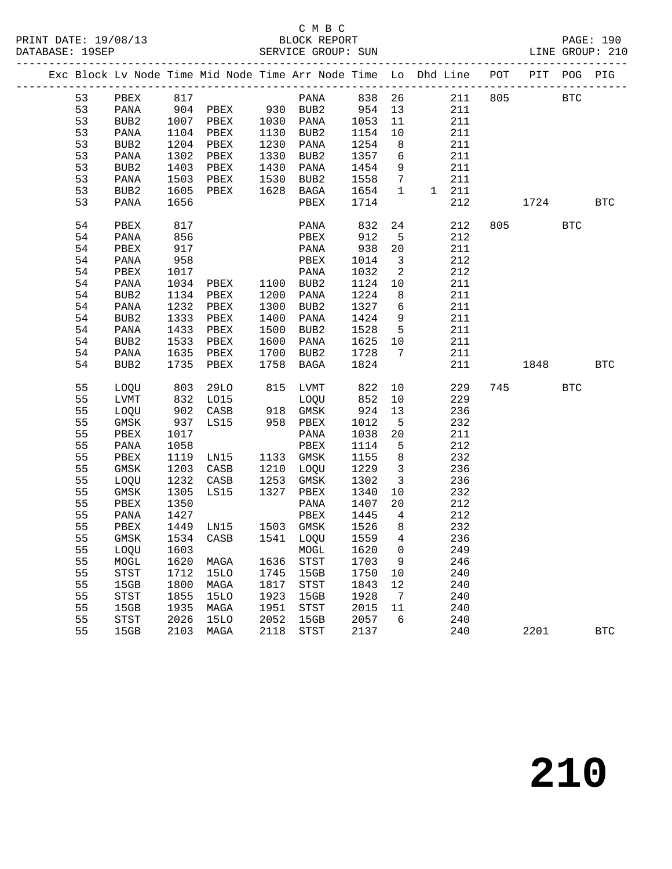#### C M B C<br>BLOCK REPORT SERVICE GROUP: SUN

|    |                   |      |                                                      |      |                                                           |         |                            | Exc Block Lv Node Time Mid Node Time Arr Node Time Lo Dhd Line POT PIT POG PIG |       |          |            |
|----|-------------------|------|------------------------------------------------------|------|-----------------------------------------------------------|---------|----------------------------|--------------------------------------------------------------------------------|-------|----------|------------|
|    |                   |      |                                                      |      |                                                           |         |                            | 53 PBEX 817 PANA 838 26 211 805 BTC                                            |       |          |            |
|    |                   |      |                                                      |      |                                                           |         |                            | 53  PANA  904  PBEX  930  BUB2  954  13  211                                   |       |          |            |
| 53 |                   |      |                                                      |      | BUB2 1007 PBEX 1030 PANA 1053 11                          |         |                            | 211                                                                            |       |          |            |
| 53 |                   |      |                                                      |      |                                                           | 1154    | 10                         | 211                                                                            |       |          |            |
| 53 |                   |      | PANA 1104 PBEX 1130 BUB2<br>BUB2 1204 PBEX 1230 PANA |      |                                                           | 1254    | 8 <sup>8</sup>             | 211                                                                            |       |          |            |
| 53 | PANA              |      | 1302 PBEX                                            |      | 1330 BUB2                                                 | 1357 6  |                            | 211                                                                            |       |          |            |
| 53 | BUB2              |      | 1403 PBEX                                            |      | 1430 PANA                                                 | 1454    | 9                          | 211                                                                            |       |          |            |
| 53 | PANA              |      | 1503 PBEX 1530 BUB2                                  |      |                                                           | 1558 7  |                            | 211                                                                            |       |          |            |
| 53 | BUB2              |      | 1605 PBEX 1628 BAGA                                  |      |                                                           | 1654 1  |                            | 1 211                                                                          |       |          |            |
| 53 | PANA              | 1656 |                                                      |      | PBEX 1714                                                 |         |                            | 212                                                                            |       | 1724 BTC |            |
| 54 | PBEX              | 817  |                                                      |      | PANA                                                      | 832     | 24                         | 212                                                                            |       | 805 BTC  |            |
| 54 | PANA              | 856  |                                                      |      | PBEX                                                      | 912     | 5 <sub>5</sub>             | 212                                                                            |       |          |            |
| 54 | PBEX              | 917  |                                                      |      | PANA 938                                                  |         | 20                         | 211                                                                            |       |          |            |
| 54 | PANA              | 958  |                                                      |      | PBEX                                                      | 1014    | $\overline{\mathbf{3}}$    | 212                                                                            |       |          |            |
| 54 | PBEX              | 1017 |                                                      |      | PANA                                                      | 1032    | $\overline{\phantom{a}}^2$ | 212                                                                            |       |          |            |
| 54 | PANA              |      | 1034 PBEX 1100 BUB2<br>1134 PBEX 1200 PANA           |      |                                                           | 1124 10 |                            | 211                                                                            |       |          |            |
| 54 | BUB2              |      |                                                      |      | 1200 PANA                                                 | 1224 8  |                            | 211                                                                            |       |          |            |
| 54 | PANA              |      | 1232 PBEX                                            |      | 1300 BUB2                                                 | 1327 6  |                            | 211                                                                            |       |          |            |
| 54 | BUB2              | 1333 | PBEX                                                 |      | 1400 PANA                                                 | 1424 9  |                            | 211                                                                            |       |          |            |
| 54 | PANA              |      | 1433 PBEX                                            |      | 1500 BUB2                                                 | 1528 5  |                            | 211                                                                            |       |          |            |
| 54 | BUB2              |      | 1533 PBEX                                            |      | 1600 PANA                                                 | 1625 10 |                            | 211                                                                            |       |          |            |
| 54 | PANA              |      | 1635 PBEX                                            |      | 1700 BUB2                                                 | 1728 7  |                            | 211                                                                            |       |          |            |
| 54 | BUB2              | 1735 | PBEX                                                 |      | 1758 BAGA                                                 | 1824    |                            |                                                                                | 211 7 | 1848 BTC |            |
| 55 | LOQU 803          |      |                                                      |      | 29LO 815 LVMT 822 10                                      |         |                            | 229                                                                            |       | 745 BTC  |            |
| 55 |                   |      |                                                      |      | LVMT 832 LO15 LOQU 852 10                                 |         |                            | 229                                                                            |       |          |            |
| 55 |                   |      | LOQU 902 CASB 918 GMSK                               |      |                                                           | 924     | 13                         | 236                                                                            |       |          |            |
| 55 | GMSK              |      | 937 LS15 958 PBEX                                    |      |                                                           | 1012    | $5^{\circ}$                | 232                                                                            |       |          |            |
| 55 | PBEX              | 1017 |                                                      |      | PANA                                                      | 1038 20 |                            | 211                                                                            |       |          |            |
| 55 | PANA              | 1058 |                                                      |      | PBEX                                                      | 1114    | $5^{\circ}$                | 212                                                                            |       |          |            |
| 55 | PBEX              |      | 1119 LN15                                            |      | 1133 GMSK                                                 | 1155 8  |                            | 232                                                                            |       |          |            |
| 55 | GMSK              |      | 1203 CASB                                            |      | 1210 LOQU                                                 | 1229 3  |                            | 236                                                                            |       |          |            |
| 55 | LOQU              |      |                                                      |      | 1232 CASB 1253 GMSK 1302 3<br>1305 LS15 1327 PBEX 1340 10 |         |                            | 236                                                                            |       |          |            |
| 55 | GMSK              |      |                                                      |      |                                                           |         |                            | 232                                                                            |       |          |            |
| 55 | PBEX              | 1350 |                                                      |      | PANA 1407 20                                              |         |                            | 212                                                                            |       |          |            |
| 55 | PANA              | 1427 |                                                      |      | PBEX                                                      | 1445    | $\overline{4}$             | 212                                                                            |       |          |            |
|    | 55 PBEX 1449 LN15 |      |                                                      |      | 1503 GMSK 1526 8                                          |         |                            | 232                                                                            |       |          |            |
| 55 | GMSK              | 1534 | CASB                                                 | 1541 | LOQU                                                      | 1559    | 4                          | 236                                                                            |       |          |            |
| 55 | LOQU              | 1603 |                                                      |      | MOGL                                                      | 1620    | 0                          | 249                                                                            |       |          |            |
| 55 | MOGL              | 1620 | MAGA                                                 | 1636 | STST                                                      | 1703    | 9                          | 246                                                                            |       |          |            |
| 55 | STST              | 1712 | <b>15LO</b>                                          | 1745 | 15GB                                                      | 1750    | 10                         | 240                                                                            |       |          |            |
| 55 | 15GB              | 1800 | MAGA                                                 | 1817 | STST                                                      | 1843    | 12                         | 240                                                                            |       |          |            |
| 55 | STST              | 1855 | <b>15LO</b>                                          | 1923 | 15GB                                                      | 1928    | 7                          | 240                                                                            |       |          |            |
| 55 | 15GB              | 1935 | MAGA                                                 | 1951 | <b>STST</b>                                               | 2015    | 11                         | 240                                                                            |       |          |            |
| 55 | STST              | 2026 | <b>15LO</b>                                          | 2052 | 15GB                                                      | 2057    | 6                          | 240                                                                            |       |          |            |
| 55 | 15GB              | 2103 | MAGA                                                 | 2118 | STST                                                      | 2137    |                            | 240                                                                            |       | 2201     | <b>BTC</b> |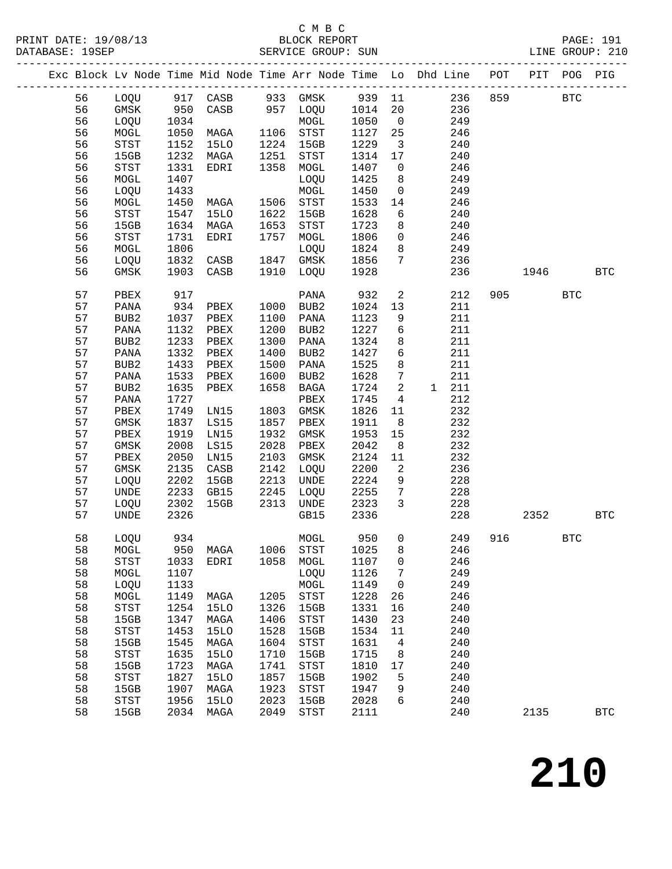## C M B C<br>BLOCK REPORT

| DAIADAJE. |    |                                       |      |             |      | ODLVICE GROUP. OUN |      |                         |                                                                    |     |      |            |            |
|-----------|----|---------------------------------------|------|-------------|------|--------------------|------|-------------------------|--------------------------------------------------------------------|-----|------|------------|------------|
|           |    |                                       |      |             |      |                    |      |                         | Exc Block Lv Node Time Mid Node Time Arr Node Time Lo Dhd Line POT |     | PIT  | POG        | PIG        |
|           | 56 | LOQU                                  |      | 917 CASB    |      | 933 GMSK           | 939  | 11                      | 236                                                                | 859 |      | <b>BTC</b> |            |
|           | 56 | GMSK                                  | 950  | CASB        |      | 957 LOQU           | 1014 | 20                      | 236                                                                |     |      |            |            |
|           | 56 | LOQU                                  | 1034 |             |      | MOGL               | 1050 | $\overline{0}$          | 249                                                                |     |      |            |            |
|           | 56 | MOGL                                  | 1050 | MAGA        | 1106 | STST               | 1127 | 25                      | 246                                                                |     |      |            |            |
|           | 56 | $_{\footnotesize{\textnormal{STST}}}$ | 1152 |             | 1224 | 15GB               | 1229 | $\overline{\mathbf{3}}$ | 240                                                                |     |      |            |            |
|           |    |                                       |      | 15LO        |      |                    |      |                         |                                                                    |     |      |            |            |
|           | 56 | 15GB                                  | 1232 | MAGA        | 1251 | STST               | 1314 | 17                      | 240                                                                |     |      |            |            |
|           | 56 | STST                                  | 1331 | EDRI        | 1358 | MOGL               | 1407 | $\overline{\mathbf{0}}$ | 246                                                                |     |      |            |            |
|           | 56 | MOGL                                  | 1407 |             |      | LOQU               | 1425 | 8                       | 249                                                                |     |      |            |            |
|           | 56 | LOQU                                  | 1433 |             |      | $\tt MOGL$         | 1450 | $\overline{0}$          | 249                                                                |     |      |            |            |
|           | 56 | MOGL                                  | 1450 | MAGA        | 1506 | STST               | 1533 | 14                      | 246                                                                |     |      |            |            |
|           | 56 | STST                                  | 1547 | <b>15LO</b> | 1622 | 15GB               | 1628 | 6                       | 240                                                                |     |      |            |            |
|           | 56 | 15GB                                  | 1634 | MAGA        | 1653 | STST               | 1723 | 8                       | 240                                                                |     |      |            |            |
|           | 56 | STST                                  | 1731 | EDRI        | 1757 | MOGL               | 1806 | $\mathbf 0$             | 246                                                                |     |      |            |            |
|           | 56 | MOGL                                  | 1806 |             |      | LOQU               | 1824 | 8                       | 249                                                                |     |      |            |            |
|           | 56 | LOQU                                  | 1832 | CASB        | 1847 | GMSK               | 1856 | $7\phantom{.0}$         | 236                                                                |     |      |            |            |
|           | 56 | GMSK                                  | 1903 | CASB        | 1910 | LOQU               | 1928 |                         | 236                                                                |     | 1946 |            | <b>BTC</b> |
|           |    |                                       |      |             |      |                    |      |                         |                                                                    |     |      |            |            |
|           | 57 | PBEX                                  | 917  |             |      | PANA               | 932  | $\mathbf{2}$            | 212                                                                | 905 |      | <b>BTC</b> |            |
|           | 57 | PANA                                  | 934  | PBEX        | 1000 | BUB2               | 1024 | 13                      | 211                                                                |     |      |            |            |
|           | 57 | BUB2                                  | 1037 | PBEX        | 1100 | PANA               | 1123 | 9                       | 211                                                                |     |      |            |            |
|           | 57 | PANA                                  | 1132 | PBEX        | 1200 | BUB2               | 1227 | 6                       | 211                                                                |     |      |            |            |
|           | 57 | BUB2                                  | 1233 | PBEX        | 1300 | PANA               | 1324 | 8                       | 211                                                                |     |      |            |            |
|           | 57 | PANA                                  | 1332 | PBEX        | 1400 | BUB2               | 1427 | 6                       | 211                                                                |     |      |            |            |
|           | 57 | BUB2                                  | 1433 | PBEX        | 1500 | PANA               | 1525 | 8                       | 211                                                                |     |      |            |            |
|           | 57 | PANA                                  | 1533 | PBEX        | 1600 | BUB2               | 1628 | $7\phantom{.0}$         | 211                                                                |     |      |            |            |
|           | 57 | BUB2                                  | 1635 | PBEX        | 1658 | BAGA               | 1724 | 2                       | 211<br>1                                                           |     |      |            |            |
|           | 57 | PANA                                  | 1727 |             |      | PBEX               | 1745 | $\overline{4}$          | 212                                                                |     |      |            |            |
|           | 57 | PBEX                                  | 1749 | LN15        | 1803 | GMSK               | 1826 | 11                      | 232                                                                |     |      |            |            |
|           | 57 | GMSK                                  | 1837 | LS15        | 1857 | PBEX               | 1911 | 8                       | 232                                                                |     |      |            |            |
|           | 57 | PBEX                                  | 1919 | LN15        | 1932 | GMSK               | 1953 | 15                      | 232                                                                |     |      |            |            |
|           | 57 | GMSK                                  | 2008 | LS15        | 2028 | PBEX               | 2042 | 8                       | 232                                                                |     |      |            |            |
|           | 57 | PBEX                                  | 2050 | LN15        | 2103 | GMSK               | 2124 | 11                      | 232                                                                |     |      |            |            |
|           | 57 | GMSK                                  | 2135 | CASB        | 2142 | LOQU               | 2200 | $\overline{a}$          | 236                                                                |     |      |            |            |
|           | 57 | LOQU                                  | 2202 | 15GB        | 2213 | <b>UNDE</b>        | 2224 | 9                       | 228                                                                |     |      |            |            |
|           | 57 | UNDE                                  | 2233 | GB15        | 2245 | LOQU               | 2255 | $7\phantom{.0}$         | 228                                                                |     |      |            |            |
|           | 57 | LOQU                                  | 2302 | 15GB        | 2313 | UNDE               | 2323 | 3                       | 228                                                                |     |      |            |            |
|           | 57 | UNDE                                  | 2326 |             |      | GB15               | 2336 |                         | 228                                                                |     | 2352 |            | <b>BTC</b> |
|           | 58 | LOQU                                  | 934  |             |      | MOGL               | 950  | $\mathbf{0}$            | 249                                                                | 916 |      | <b>BTC</b> |            |
|           | 58 | MOGL                                  | 950  | MAGA        | 1006 | <b>STST</b>        | 1025 | 8                       | 246                                                                |     |      |            |            |
|           | 58 | <b>STST</b>                           | 1033 | EDRI        | 1058 | MOGL               | 1107 | 0                       | 246                                                                |     |      |            |            |
|           | 58 | MOGL                                  | 1107 |             |      | LOQU               | 1126 | 7                       | 249                                                                |     |      |            |            |
|           | 58 | LOQU                                  | 1133 |             |      | MOGL               | 1149 | 0                       | 249                                                                |     |      |            |            |
|           | 58 | MOGL                                  | 1149 | MAGA        | 1205 | <b>STST</b>        | 1228 | 26                      | 246                                                                |     |      |            |            |
|           | 58 | STST                                  | 1254 | 15LO        | 1326 | 15GB               | 1331 | 16                      | 240                                                                |     |      |            |            |
|           | 58 | 15GB                                  | 1347 | MAGA        | 1406 | STST               | 1430 | 23                      | 240                                                                |     |      |            |            |
|           | 58 | STST                                  | 1453 | <b>15LO</b> | 1528 | 15GB               | 1534 | 11                      | 240                                                                |     |      |            |            |
|           | 58 | 15GB                                  | 1545 | MAGA        | 1604 | STST               | 1631 | 4                       | 240                                                                |     |      |            |            |
|           | 58 | STST                                  | 1635 | <b>15LO</b> | 1710 | 15GB               | 1715 | 8                       | 240                                                                |     |      |            |            |
|           | 58 | 15GB                                  | 1723 | MAGA        | 1741 | STST               | 1810 | $17$                    | 240                                                                |     |      |            |            |
|           | 58 | STST                                  | 1827 | <b>15LO</b> | 1857 | 15GB               | 1902 | 5                       | 240                                                                |     |      |            |            |
|           | 58 | 15GB                                  | 1907 | MAGA        | 1923 | STST               | 1947 | 9                       | 240                                                                |     |      |            |            |
|           | 58 | <b>STST</b>                           | 1956 | <b>15LO</b> | 2023 | 15GB               | 2028 | 6                       | 240                                                                |     |      |            |            |
|           | 58 | 15GB                                  | 2034 | MAGA        | 2049 | <b>STST</b>        | 2111 |                         | 240                                                                |     | 2135 |            | <b>BTC</b> |
|           |    |                                       |      |             |      |                    |      |                         |                                                                    |     |      |            |            |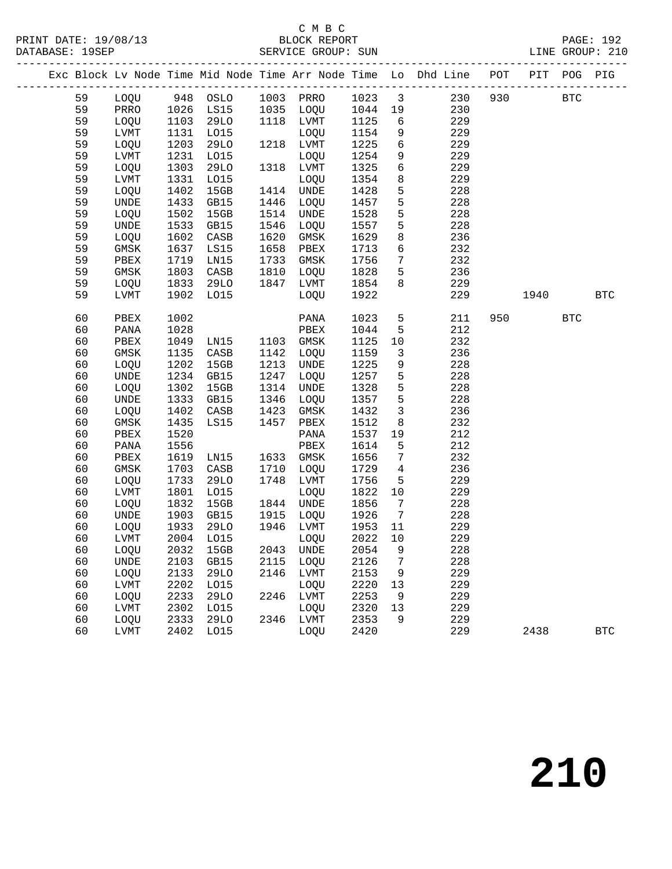## C M B C<br>BLOCK REPORT<br>CIRILLOT CLOUD: CUN

|          |                     |              |                  |              |              |              |                         | PRINT DATE: 19/08/13<br>DATABASE: 19SEP<br>SERVICE GROUP: SUN                  |     |      |              | PAGE: 192<br>LINE GROUP: 210 |
|----------|---------------------|--------------|------------------|--------------|--------------|--------------|-------------------------|--------------------------------------------------------------------------------|-----|------|--------------|------------------------------|
|          |                     |              |                  |              |              |              |                         | Exc Block Lv Node Time Mid Node Time Arr Node Time Lo Dhd Line POT PIT POG PIG |     |      |              |                              |
|          |                     |              | 59 LOQU 948 OSLO |              |              |              |                         | 1003 PRRO 1023 3 230<br>1035 LOQU 1044 19 230                                  | 930 |      | $_{\rm BTC}$ |                              |
| 59       |                     |              | PRRO 1026 LS15   |              |              |              |                         |                                                                                |     |      |              |                              |
| 59       | LOQU                | 1103         | 29LO             |              | 1118 LVMT    | 1125         | $6\overline{6}$         | 229                                                                            |     |      |              |                              |
| 59       | LVMT                | 1131         | L015             |              | LOQU         | 1154         | 9                       | 229                                                                            |     |      |              |                              |
| 59       | LOQU                | 1203         | <b>29LO</b>      |              | 1218 LVMT    | 1225         | $6\overline{6}$         | 229                                                                            |     |      |              |                              |
| 59       | LVMT                | 1231         | L015             |              | LOQU         | 1254         | 9                       | 229                                                                            |     |      |              |                              |
| 59       | LOQU                | 1303         | <b>29LO</b>      |              | 1318 LVMT    | 1325         | 6                       | 229                                                                            |     |      |              |                              |
| 59       | LVMT                | 1331         | L015             |              | LOQU         | 1354         | 8                       | 229                                                                            |     |      |              |                              |
| 59       | LOQU                | 1402         | 15GB             |              | 1414 UNDE    | 1428         | 5                       | 228                                                                            |     |      |              |                              |
| 59       | <b>UNDE</b>         | 1433         | GB15             | 1446         | LOQU         | 1457         | $5\phantom{.0}$         | 228                                                                            |     |      |              |                              |
| 59       | LOQU                | 1502         | 15GB             |              | 1514 UNDE    | 1528         | $5\phantom{.0}$         | 228                                                                            |     |      |              |                              |
| 59       | <b>UNDE</b>         | 1533         | GB15             | 1546         | LOQU         | 1557         | 5                       | 228                                                                            |     |      |              |                              |
| 59       | LOQU                | 1602         | CASB             | 1620         | GMSK         | 1629         | 8                       | 236                                                                            |     |      |              |                              |
| 59       | GMSK                | 1637         | LS15             | 1658         | PBEX         | 1713         | 6                       | 232                                                                            |     |      |              |                              |
| 59       | PBEX                | 1719         | LN15             | 1733         | GMSK         | 1756         | $7\overline{ }$         | 232                                                                            |     |      |              |                              |
| 59       | GMSK                | 1803         | CASB             | 1810         | LOQU         | 1828         | $5\overline{)}$         | 236                                                                            |     |      |              |                              |
| 59       | LOQU                | 1833         | 29LO             | 1847         | LVMT         | 1854         | 8                       | 229                                                                            |     |      |              |                              |
| 59       | LVMT                | 1902         | L015             |              | LOQU         | 1922         |                         | 229                                                                            |     | 1940 |              | <b>BTC</b>                   |
| 60       | PBEX                | 1002         |                  |              | PANA         | 1023         |                         | $5^{\circ}$<br>211                                                             | 950 |      | <b>BTC</b>   |                              |
| 60       | PANA                | 1028         |                  |              | PBEX         | 1044         | 5                       | 212                                                                            |     |      |              |                              |
| 60       | PBEX                | 1049         | LN15             |              | 1103 GMSK    | 1125         | 10                      | 232                                                                            |     |      |              |                              |
| 60       | GMSK                | 1135         | CASB             |              | 1142 LOQU    | 1159         | $\overline{\mathbf{3}}$ | 236                                                                            |     |      |              |                              |
| 60       | LOQU                | 1202         | 15GB             | 1213         | UNDE         | 1225         | 9                       | 228                                                                            |     |      |              |                              |
| 60       | <b>UNDE</b>         | 1234         | GB15             | 1247         | LOQU         | 1257         | 5                       | 228                                                                            |     |      |              |                              |
| 60       | LOQU                | 1302         | 15GB             | 1314         | UNDE         | 1328         | $5\overline{)}$         | 228                                                                            |     |      |              |                              |
| 60       | <b>UNDE</b>         | 1333         | GB15             | 1346         | LOQU         | 1357         | $5\phantom{.0}$         | 228                                                                            |     |      |              |                              |
| 60       | LOQU                | 1402         | CASB             | 1423         | GMSK         | 1432         | $\overline{3}$          | 236                                                                            |     |      |              |                              |
| 60       | GMSK                | 1435         | LS15             | 1457         | PBEX         | 1512         | 8                       | 232                                                                            |     |      |              |                              |
| 60       | PBEX                | 1520         |                  |              | PANA         | 1537         | 19                      | 212                                                                            |     |      |              |                              |
| 60       | PANA                | 1556         |                  |              | PBEX         | 1614         | 5                       | 212                                                                            |     |      |              |                              |
| 60       | PBEX                | 1619         | LN15             |              | 1633 GMSK    | 1656         | $7\phantom{.0}$         | 232                                                                            |     |      |              |                              |
| 60       | GMSK                | 1703         | CASB             | 1710         | LOQU         | 1729         | $\overline{4}$          | 236                                                                            |     |      |              |                              |
| 60       | LOQU                | 1733         | 29LO             | 1748         | LVMT         | 1756         | 5 <sup>5</sup>          | 229                                                                            |     |      |              |                              |
| 60       | LVMT                | 1801         | L015             |              | LOQU         | 1822         | 10                      | 229                                                                            |     |      |              |                              |
| 60       | LOQU                | 1832         | 15GB             |              | 1844 UNDE    | 1856         | $\overline{7}$          | 228                                                                            |     |      |              |                              |
| 60       | UNDE                |              | 1903 GB15        |              | 1915 LOQU    | 1926         | $\overline{7}$          | 228                                                                            |     |      |              |                              |
| 60       | LOQU                | 1933         | 29LO             | 1946         | LVMT         | 1953         | 11                      | 229                                                                            |     |      |              |                              |
| 60       | LVMT                | 2004         | L015             |              | LOQU         | 2022         | 10                      | 229                                                                            |     |      |              |                              |
| 60<br>60 | LOQU<br><b>UNDE</b> | 2032<br>2103 | 15GB             | 2043<br>2115 | UNDE         | 2054<br>2126 | 9                       | 228<br>228                                                                     |     |      |              |                              |
|          |                     |              | GB15             |              | LOQU         |              | 7                       |                                                                                |     |      |              |                              |
| 60<br>60 | LOQU                | 2133<br>2202 | 29LO<br>L015     | 2146         | LVMT         | 2153<br>2220 | 9<br>13                 | 229<br>229                                                                     |     |      |              |                              |
| 60       | LVMT<br>LOQU        | 2233         | <b>29LO</b>      | 2246         | LOQU<br>LVMT | 2253         | 9                       | 229                                                                            |     |      |              |                              |
| 60       | LVMT                | 2302         | L015             |              | LOQU         | 2320         | 13                      | 229                                                                            |     |      |              |                              |
| 60       | LOQU                | 2333         | 29LO             | 2346         | LVMT         | 2353         | 9                       | 229                                                                            |     |      |              |                              |
| 60       | LVMT                | 2402         | L015             |              | LOQU         | 2420         |                         | 229                                                                            |     | 2438 |              | $_{\rm BTC}$                 |
|          |                     |              |                  |              |              |              |                         |                                                                                |     |      |              |                              |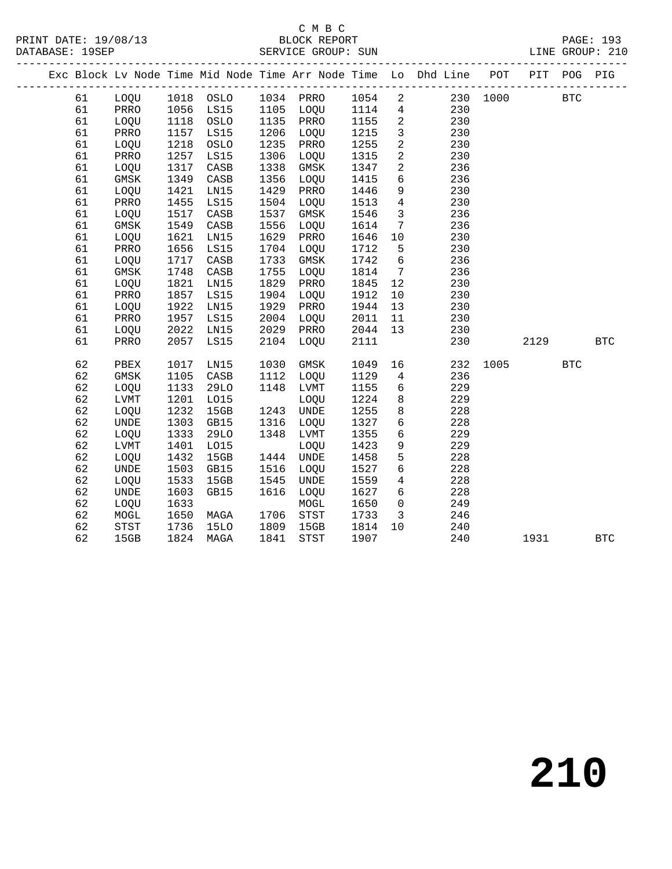#### C M B C<br>BLOCK REPORT SERVICE GROUP: SUN

|  |    |             |      |             |      |             |      |                 | Exc Block Lv Node Time Mid Node Time Arr Node Time Lo Dhd Line POT PIT POG PIG |      |      |            |            |
|--|----|-------------|------|-------------|------|-------------|------|-----------------|--------------------------------------------------------------------------------|------|------|------------|------------|
|  | 61 | LOQU        | 1018 | OSLO        |      | 1034 PRRO   | 1054 | $\overline{a}$  | 230                                                                            | 1000 |      | <b>BTC</b> |            |
|  | 61 | PRRO        | 1056 | LS15        | 1105 | LOQU        | 1114 | $\overline{4}$  | 230                                                                            |      |      |            |            |
|  | 61 | LOQU        | 1118 | OSLO        | 1135 | PRRO        | 1155 | $\overline{a}$  | 230                                                                            |      |      |            |            |
|  | 61 | PRRO        | 1157 | LS15        | 1206 | LOQU        | 1215 | $\mathbf{3}$    | 230                                                                            |      |      |            |            |
|  | 61 | LOQU        | 1218 | OSLO        | 1235 | PRRO        | 1255 | $\overline{a}$  | 230                                                                            |      |      |            |            |
|  | 61 | PRRO        | 1257 | LS15        | 1306 | LOQU        | 1315 | $\mathbf{2}$    | 230                                                                            |      |      |            |            |
|  | 61 | LOQU        | 1317 | CASB        | 1338 | $\rm{GMSK}$ | 1347 | $\overline{a}$  | 236                                                                            |      |      |            |            |
|  | 61 | <b>GMSK</b> | 1349 | CASB        | 1356 | LOQU        | 1415 | 6               | 236                                                                            |      |      |            |            |
|  | 61 | LOQU        | 1421 | LN15        | 1429 | PRRO        | 1446 | 9               | 230                                                                            |      |      |            |            |
|  | 61 | PRRO        | 1455 | LS15        | 1504 | LOQU        | 1513 | $\overline{4}$  | 230                                                                            |      |      |            |            |
|  | 61 | LOQU        | 1517 | CASB        | 1537 | $\rm{GMSK}$ | 1546 | $\mathbf{3}$    | 236                                                                            |      |      |            |            |
|  | 61 | <b>GMSK</b> | 1549 | CASB        | 1556 | LOQU        | 1614 | $7\phantom{.0}$ | 236                                                                            |      |      |            |            |
|  | 61 | LOQU        | 1621 | LN15        | 1629 | PRRO        | 1646 | 10              | 230                                                                            |      |      |            |            |
|  | 61 | PRRO        | 1656 | LS15        | 1704 | LOQU        | 1712 | 5               | 230                                                                            |      |      |            |            |
|  | 61 | LOQU        | 1717 | CASB        | 1733 | GMSK        | 1742 | 6               | 236                                                                            |      |      |            |            |
|  | 61 | <b>GMSK</b> | 1748 | CASB        | 1755 | LOQU        | 1814 | $7\phantom{.0}$ | 236                                                                            |      |      |            |            |
|  | 61 | LOQU        | 1821 | LN15        | 1829 | PRRO        | 1845 | 12              | 230                                                                            |      |      |            |            |
|  | 61 | PRRO        | 1857 | LS15        | 1904 | LOQU        | 1912 | 10              | 230                                                                            |      |      |            |            |
|  | 61 | LOQU        | 1922 | LN15        | 1929 | PRRO        | 1944 | 13              | 230                                                                            |      |      |            |            |
|  | 61 | PRRO        | 1957 | LS15        | 2004 | LOQU        | 2011 | 11              | 230                                                                            |      |      |            |            |
|  | 61 | LOQU        | 2022 | LN15        | 2029 | PRRO        | 2044 | 13              | 230                                                                            |      |      |            |            |
|  | 61 | PRRO        | 2057 | LS15        | 2104 | LOQU        | 2111 |                 | 230                                                                            |      | 2129 |            | <b>BTC</b> |
|  | 62 | PBEX        | 1017 | LN15        | 1030 | GMSK        | 1049 | 16              | 232                                                                            | 1005 |      | <b>BTC</b> |            |
|  | 62 | GMSK        | 1105 | CASB        | 1112 | LOQU        | 1129 | $\overline{4}$  | 236                                                                            |      |      |            |            |
|  | 62 | LOQU        | 1133 | <b>29LO</b> | 1148 | LVMT        | 1155 | 6               | 229                                                                            |      |      |            |            |
|  | 62 | LVMT        | 1201 | L015        |      | LOQU        | 1224 | $\,8\,$         | 229                                                                            |      |      |            |            |
|  | 62 | LOQU        | 1232 | 15GB        | 1243 | <b>UNDE</b> | 1255 | 8               | 228                                                                            |      |      |            |            |
|  | 62 | <b>UNDE</b> | 1303 | GB15        | 1316 | LOQU        | 1327 | 6               | 228                                                                            |      |      |            |            |
|  | 62 | LOQU        | 1333 | <b>29LO</b> | 1348 | LVMT        | 1355 | 6               | 229                                                                            |      |      |            |            |
|  | 62 | LVMT        | 1401 | L015        |      | LOQU        | 1423 | 9               | 229                                                                            |      |      |            |            |
|  | 62 | LOQU        | 1432 | 15GB        | 1444 | UNDE        | 1458 | 5               | 228                                                                            |      |      |            |            |
|  | 62 | <b>UNDE</b> | 1503 | GB15        | 1516 | LOQU        | 1527 | 6               | 228                                                                            |      |      |            |            |
|  | 62 | LOQU        | 1533 | 15GB        | 1545 | <b>UNDE</b> | 1559 | $\overline{4}$  | 228                                                                            |      |      |            |            |
|  | 62 | <b>UNDE</b> | 1603 | GB15        | 1616 | LOQU        | 1627 | 6               | 228                                                                            |      |      |            |            |
|  | 62 | LOQU        | 1633 |             |      | MOGL        | 1650 | $\mathsf{O}$    | 249                                                                            |      |      |            |            |
|  | 62 | MOGL        | 1650 | MAGA        | 1706 | STST        | 1733 | 3               | 246                                                                            |      |      |            |            |
|  | 62 | STST        | 1736 | <b>15LO</b> | 1809 | 15GB        | 1814 | 10              | 240                                                                            |      |      |            |            |
|  | 62 | 15GB        | 1824 | MAGA        | 1841 | <b>STST</b> | 1907 |                 | 240                                                                            |      | 1931 |            | <b>BTC</b> |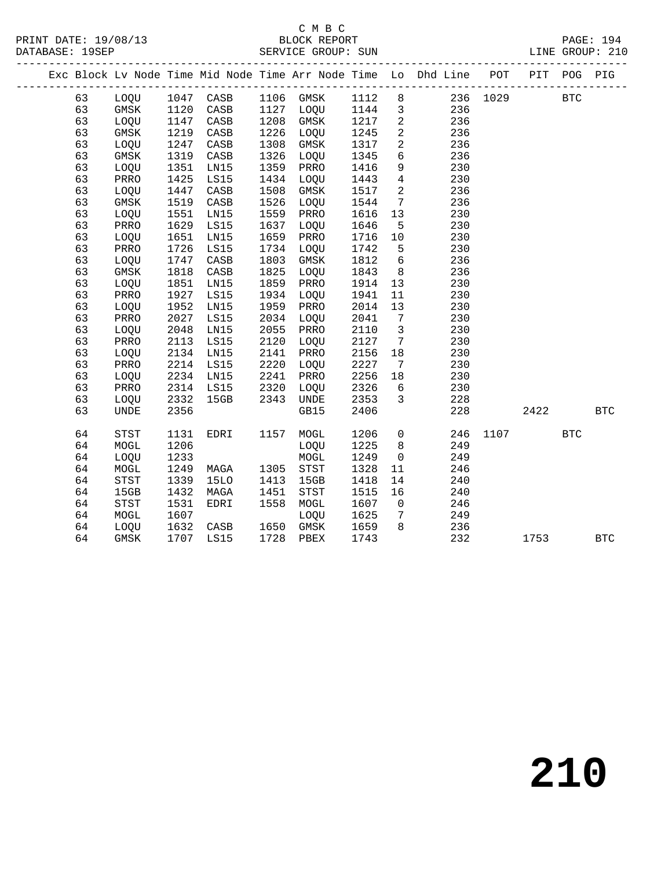## C M B C<br>BLOCK REPORT

|  |    |                              |      |                                  |      |                                      |      |                              | Exc Block Lv Node Time Mid Node Time Arr Node Time Lo Dhd Line POT |          |      | PIT POG PIG |            |
|--|----|------------------------------|------|----------------------------------|------|--------------------------------------|------|------------------------------|--------------------------------------------------------------------|----------|------|-------------|------------|
|  | 63 |                              |      | LOQU 1047 CASB<br>GMSK 1120 CASB |      | 1106 GMSK 1112 8<br>1127 LOQU 1144 3 |      |                              |                                                                    | 236 1029 |      | <b>BTC</b>  |            |
|  | 63 | GMSK 1120                    |      | CASB                             |      |                                      |      |                              | 236                                                                |          |      |             |            |
|  | 63 | LOQU                         | 1147 | CASB                             | 1208 | GMSK                                 | 1217 | $\overline{\phantom{a}}$     | 236                                                                |          |      |             |            |
|  | 63 | GMSK                         | 1219 | CASB                             | 1226 | LOQU                                 | 1245 | $\overline{a}$               | 236                                                                |          |      |             |            |
|  | 63 | LOQU                         | 1247 | CASB                             | 1308 | GMSK                                 | 1317 | $\overline{a}$               | 236                                                                |          |      |             |            |
|  | 63 | GMSK                         | 1319 | CASB                             | 1326 | LOQU                                 | 1345 | $6\overline{6}$              | 236                                                                |          |      |             |            |
|  | 63 | LOQU                         | 1351 | LN15                             | 1359 | PRRO                                 | 1416 | 9                            | 230                                                                |          |      |             |            |
|  | 63 | PRRO                         | 1425 | LS15                             | 1434 | LOQU                                 | 1443 | $\overline{4}$               | 230                                                                |          |      |             |            |
|  | 63 | LOQU                         | 1447 | CASB                             | 1508 | GMSK                                 | 1517 | $\overline{a}$               | 236                                                                |          |      |             |            |
|  | 63 | GMSK                         | 1519 | $\mathtt{CASB}$                  | 1526 | LOQU                                 | 1544 | $\overline{7}$               | 236                                                                |          |      |             |            |
|  | 63 | LOQU                         | 1551 | LN15                             | 1559 | PRRO                                 | 1616 | 13                           | 230                                                                |          |      |             |            |
|  | 63 | PRRO                         | 1629 | LS15                             | 1637 | LOQU                                 | 1646 | $5\overline{5}$              | 230                                                                |          |      |             |            |
|  | 63 | LOQU                         | 1651 | LN15                             | 1659 | PRRO                                 | 1716 | 10                           | 230                                                                |          |      |             |            |
|  | 63 | PRRO                         | 1726 | LS15                             | 1734 | LOQU                                 | 1742 | 5                            | 230                                                                |          |      |             |            |
|  | 63 | LOQU                         | 1747 | CASB                             | 1803 | GMSK                                 | 1812 | $6\overline{6}$              | 236                                                                |          |      |             |            |
|  | 63 | GMSK                         | 1818 | CASB                             | 1825 | LOQU                                 | 1843 | 8 <sup>8</sup>               | 236                                                                |          |      |             |            |
|  | 63 | LOQU                         | 1851 | LN15                             | 1859 | PRRO                                 | 1914 | 13                           | 230                                                                |          |      |             |            |
|  | 63 | PRRO                         | 1927 | LS15                             | 1934 | LOQU                                 | 1941 | 11                           | 230                                                                |          |      |             |            |
|  | 63 | LOQU                         | 1952 | LN15                             | 1959 | PRRO                                 | 2014 | 13                           | 230                                                                |          |      |             |            |
|  | 63 | PRRO                         | 2027 | LS15                             | 2034 | LOQU                                 | 2041 | $7\overline{ }$              | 230                                                                |          |      |             |            |
|  | 63 | LOQU                         | 2048 | LN15                             | 2055 | PRRO                                 | 2110 | $\overline{\mathbf{3}}$      | 230                                                                |          |      |             |            |
|  | 63 | PRRO                         | 2113 | LS15                             | 2120 | LOQU                                 | 2127 | $\overline{7}$               | 230                                                                |          |      |             |            |
|  | 63 | LOQU                         | 2134 | LN15                             | 2141 | PRRO                                 | 2156 | 18                           | 230                                                                |          |      |             |            |
|  | 63 | PRRO                         | 2214 | LS15                             | 2220 | LOQU                                 | 2227 | $7\phantom{.0}\phantom{.0}7$ | 230                                                                |          |      |             |            |
|  | 63 | LOQU                         | 2234 | LN15                             | 2241 | PRRO                                 | 2256 | 18                           | 230                                                                |          |      |             |            |
|  | 63 | PRRO                         | 2314 | LS15                             | 2320 | LOQU                                 | 2326 | 6                            | 230                                                                |          |      |             |            |
|  | 63 | LOQU                         | 2332 | 15GB                             | 2343 | <b>UNDE</b>                          | 2353 | $\overline{\mathbf{3}}$      | 228                                                                |          |      |             |            |
|  | 63 | $\ensuremath{\mathsf{UNDE}}$ | 2356 |                                  |      | GB15                                 | 2406 |                              | 228                                                                |          | 2422 |             | <b>BTC</b> |
|  | 64 | STST                         | 1131 | EDRI                             | 1157 | MOGL                                 | 1206 | $\overline{0}$               | 246                                                                | 1107     |      | <b>BTC</b>  |            |
|  | 64 | MOGL                         | 1206 |                                  |      | LOQU                                 | 1225 | 8 <sup>8</sup>               | 249                                                                |          |      |             |            |
|  | 64 | LOQU                         | 1233 |                                  |      | MOGL                                 | 1249 | $\overline{0}$               | 249                                                                |          |      |             |            |
|  | 64 | MOGL                         | 1249 | MAGA                             | 1305 | STST                                 | 1328 | 11                           | 246                                                                |          |      |             |            |
|  | 64 | STST                         | 1339 | <b>15LO</b>                      | 1413 | 15GB                                 | 1418 | 14                           | 240                                                                |          |      |             |            |
|  | 64 | 15GB                         | 1432 | MAGA                             | 1451 | STST                                 | 1515 | 16                           | 240                                                                |          |      |             |            |
|  | 64 | STST                         | 1531 | EDRI                             | 1558 | MOGL                                 | 1607 | $\overline{\mathbf{0}}$      | 246                                                                |          |      |             |            |
|  | 64 | MOGL                         | 1607 |                                  |      | LOQU                                 | 1625 | $\overline{7}$               | 249                                                                |          |      |             |            |
|  | 64 | LOQU                         | 1632 | CASB                             | 1650 | GMSK                                 | 1659 | 8 <sup>8</sup>               | 236                                                                |          |      |             |            |
|  | 64 | GMSK                         |      | 1707 LS15                        | 1728 | PBEX                                 | 1743 |                              | 232                                                                |          | 1753 |             | <b>BTC</b> |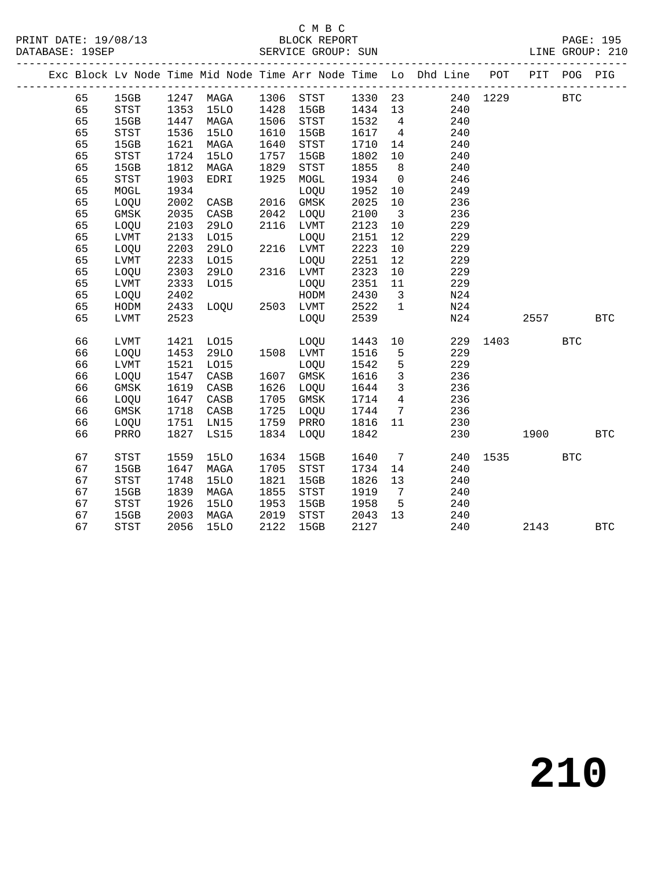#### C M B C<br>BLOCK REPORT DATABASE: 1999<br>SERVICE GROUP: SUN

|  |    |                |      |             |      |           |         |                         | Exc Block Lv Node Time Mid Node Time Arr Node Time Lo Dhd Line POT | PIT  | POG        | PIG          |
|--|----|----------------|------|-------------|------|-----------|---------|-------------------------|--------------------------------------------------------------------|------|------------|--------------|
|  | 65 | 15GB 1247 MAGA |      |             |      |           |         |                         | 1306 STST 1330 23 240 1229                                         |      | <b>BTC</b> |              |
|  | 65 | STST           | 1353 | 15LO        | 1428 | 15GB      | 1434 13 |                         | 240                                                                |      |            |              |
|  | 65 | 15GB           | 1447 | MAGA        | 1506 | STST      | 1532    | $\overline{4}$          | 240                                                                |      |            |              |
|  | 65 | STST           | 1536 | 15LO        | 1610 | 15GB      | 1617 4  |                         | 240                                                                |      |            |              |
|  | 65 | 15GB           | 1621 | MAGA        | 1640 | STST      | 1710    | 14                      | 240                                                                |      |            |              |
|  | 65 | STST           | 1724 | <b>15LO</b> | 1757 | 15GB      | 1802    | 10                      | 240                                                                |      |            |              |
|  | 65 | 15GB           | 1812 | MAGA        | 1829 | STST      | 1855    | 8 <sup>8</sup>          | 240                                                                |      |            |              |
|  | 65 | STST           | 1903 | EDRI        | 1925 | MOGL      | 1934    | $\overline{0}$          | 246                                                                |      |            |              |
|  | 65 | MOGL           | 1934 |             |      | LOQU      | 1952    | 10                      | 249                                                                |      |            |              |
|  | 65 | LOQU           | 2002 | CASB        | 2016 | GMSK      | 2025    | 10                      | 236                                                                |      |            |              |
|  | 65 | GMSK           | 2035 | CASB        |      | 2042 LOQU | 2100    | $\overline{\mathbf{3}}$ | 236                                                                |      |            |              |
|  | 65 | LOQU           | 2103 | <b>29LO</b> | 2116 | LVMT      | 2123    | 10                      | 229                                                                |      |            |              |
|  | 65 | LVMT           | 2133 | L015        |      | LOQU      | 2151    | 12                      | 229                                                                |      |            |              |
|  | 65 | LOQU           | 2203 | <b>29LO</b> |      | 2216 LVMT | 2223    | 10                      | 229                                                                |      |            |              |
|  | 65 | LVMT           | 2233 | L015        |      | LOQU      | 2251    | 12                      | 229                                                                |      |            |              |
|  | 65 | LOQU           | 2303 | 29LO        |      | 2316 LVMT | 2323    | 10                      | 229                                                                |      |            |              |
|  | 65 | LVMT           | 2333 | L015        |      | LOQU      | 2351    | 11                      | 229                                                                |      |            |              |
|  | 65 | LOQU           | 2402 |             |      | HODM      | 2430    | $\overline{\mathbf{3}}$ | N24                                                                |      |            |              |
|  | 65 | HODM           | 2433 | LOOU        |      | 2503 LVMT | 2522    | $\mathbf{1}$            | N24                                                                |      |            |              |
|  | 65 | LVMT           | 2523 |             |      | LOQU      | 2539    |                         | N24                                                                | 2557 |            | <b>BTC</b>   |
|  |    |                |      |             |      |           |         |                         |                                                                    |      |            |              |
|  | 66 | LVMT           | 1421 | L015        |      | LOQU      | 1443    | 10                      | 229                                                                | 1403 | <b>BTC</b> |              |
|  | 66 | LOQU           | 1453 | 29LO        |      | 1508 LVMT | 1516    | 5                       | 229                                                                |      |            |              |
|  | 66 | LVMT           | 1521 | L015        |      | LOQU      | 1542    | 5                       | 229                                                                |      |            |              |
|  | 66 | LOQU           | 1547 | CASB        | 1607 | GMSK      | 1616    | $\overline{3}$          | 236                                                                |      |            |              |
|  | 66 | GMSK           | 1619 | CASB        | 1626 | LOQU      | 1644    | $\mathbf{3}$            | 236                                                                |      |            |              |
|  | 66 | LOQU           | 1647 | CASB        | 1705 | GMSK      | 1714    | $\overline{4}$          | 236                                                                |      |            |              |
|  | 66 | GMSK           | 1718 | CASB        | 1725 | LOQU      | 1744    | $7\overline{ }$         | 236                                                                |      |            |              |
|  | 66 | LOQU           | 1751 | LN15        | 1759 | PRRO      | 1816 11 |                         | 230                                                                |      |            |              |
|  | 66 | PRRO           | 1827 | LS15        | 1834 | LOQU      | 1842    |                         | 230                                                                | 1900 | <b>BTC</b> |              |
|  |    |                |      |             |      |           |         |                         |                                                                    |      |            |              |
|  | 67 | STST           | 1559 | 15LO        | 1634 | 15GB      | 1640    | $7\overline{ }$         | 240                                                                |      | <b>BTC</b> |              |
|  | 67 | 15GB           | 1647 | MAGA        | 1705 | STST      | 1734    | 14                      | 240                                                                |      |            |              |
|  | 67 | STST           | 1748 | <b>15LO</b> | 1821 | 15GB      | 1826    | 13                      | 240                                                                |      |            |              |
|  | 67 | 15GB           | 1839 | MAGA        | 1855 | STST      | 1919    | $7\phantom{0}$          | 240                                                                |      |            |              |
|  | 67 | STST           | 1926 | 15LO        | 1953 | 15GB      | 1958    | $5^{\circ}$             | 240                                                                |      |            |              |
|  | 67 | 15GB           | 2003 | MAGA        | 2019 | STST      | 2043    | 13                      | 240                                                                |      |            |              |
|  | 67 | <b>STST</b>    | 2056 | <b>15LO</b> | 2122 | 15GB      | 2127    |                         | 240                                                                | 2143 |            | $_{\rm BTC}$ |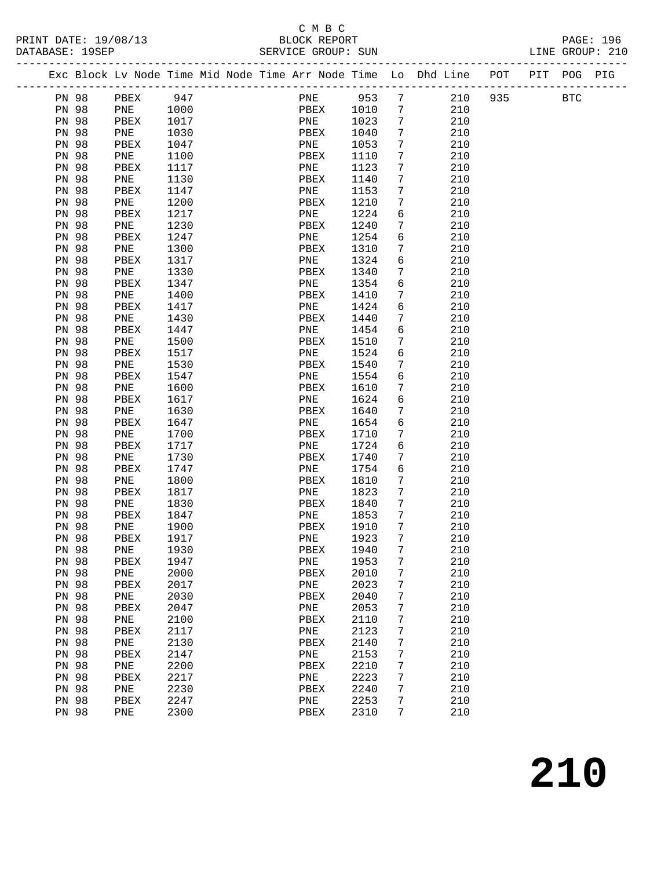## C M B C<br>BLOCK REPORT

| PRINT DATE: 1<br>19/08/1<br>- 3 | .OC K<br>REPORT                 |      | PAGE       |  |
|---------------------------------|---------------------------------|------|------------|--|
| 9.SEP<br>DATABASE:              | SUN<br>GROUP:<br><b>SERVICE</b> | ⊥INF | GROUP: 210 |  |
|                                 |                                 |      |            |  |

|              |          |      |  |      |      |                 | Exc Block Lv Node Time Mid Node Time Arr Node Time Lo Dhd Line POT PIT |     | POG        | PIG |
|--------------|----------|------|--|------|------|-----------------|------------------------------------------------------------------------|-----|------------|-----|
| PN 98        | PBEX     | 947  |  | PNE  | 953  | $\overline{7}$  | 210                                                                    | 935 | <b>BTC</b> |     |
| PN 98        | PNE 1000 |      |  | PBEX | 1010 | 7               | 210                                                                    |     |            |     |
| PN 98        | PBEX     | 1017 |  | PNE  | 1023 | 7               | 210                                                                    |     |            |     |
| PN 98        | PNE      | 1030 |  | PBEX | 1040 | 7               | 210                                                                    |     |            |     |
| PN 98        | PBEX     | 1047 |  | PNE  | 1053 | 7               | 210                                                                    |     |            |     |
| PN 98        | PNE      | 1100 |  | PBEX | 1110 | $7\phantom{.0}$ | 210                                                                    |     |            |     |
| PN 98        | PBEX     | 1117 |  | PNE  | 1123 | 7               | 210                                                                    |     |            |     |
| PN 98        | PNE      | 1130 |  | PBEX | 1140 | 7               | 210                                                                    |     |            |     |
| <b>PN 98</b> | PBEX     | 1147 |  | PNE  | 1153 | 7               | 210                                                                    |     |            |     |
| <b>PN 98</b> | PNE      | 1200 |  | PBEX | 1210 | $7\phantom{.0}$ | 210                                                                    |     |            |     |
| PN 98        | PBEX     | 1217 |  | PNE  | 1224 | 6               | 210                                                                    |     |            |     |
| <b>PN 98</b> | PNE      | 1230 |  | PBEX | 1240 | 7               | 210                                                                    |     |            |     |
| <b>PN 98</b> | PBEX     | 1247 |  | PNE  | 1254 | 6               | 210                                                                    |     |            |     |
| PN 98        | PNE      | 1300 |  | PBEX | 1310 | $7\phantom{.0}$ | 210                                                                    |     |            |     |
| PN 98        | PBEX     | 1317 |  | PNE  | 1324 | 6               | 210                                                                    |     |            |     |
| PN 98        | PNE      | 1330 |  | PBEX | 1340 | 7               | 210                                                                    |     |            |     |
| PN 98        | PBEX     | 1347 |  | PNE  | 1354 | 6               | 210                                                                    |     |            |     |
| PN 98        | PNE      | 1400 |  | PBEX | 1410 | 7               | 210                                                                    |     |            |     |
| PN 98        | PBEX     | 1417 |  | PNE  | 1424 | 6               | 210                                                                    |     |            |     |
| PN 98        | PNE      | 1430 |  | PBEX | 1440 | 7               | 210                                                                    |     |            |     |
| PN 98        | PBEX     | 1447 |  | PNE  | 1454 | 6               | 210                                                                    |     |            |     |
| PN 98        | PNE      | 1500 |  | PBEX | 1510 | 7               | 210                                                                    |     |            |     |
| PN 98        | PBEX     | 1517 |  | PNE  | 1524 | 6               | 210                                                                    |     |            |     |
| PN 98        | PNE      | 1530 |  | PBEX | 1540 | 7               | 210                                                                    |     |            |     |
| PN 98        | PBEX     | 1547 |  | PNE  | 1554 | 6               | 210                                                                    |     |            |     |
| PN 98        | PNE      | 1600 |  | PBEX | 1610 | 7               | 210                                                                    |     |            |     |
| <b>PN 98</b> | PBEX     | 1617 |  | PNE  | 1624 | $6\overline{6}$ | 210                                                                    |     |            |     |
| PN 98        | PNE      | 1630 |  | PBEX | 1640 | 7               | 210                                                                    |     |            |     |
| PN 98        | PBEX     | 1647 |  | PNE  | 1654 | 6               | 210                                                                    |     |            |     |
| PN 98        | PNE      | 1700 |  | PBEX | 1710 | 7               | 210                                                                    |     |            |     |
| PN 98        | PBEX     | 1717 |  | PNE  | 1724 | $\sqrt{6}$      | 210                                                                    |     |            |     |
| PN 98        | PNE      | 1730 |  | PBEX | 1740 | 7               | 210                                                                    |     |            |     |
| PN 98        | PBEX     | 1747 |  | PNE  | 1754 | $\sqrt{6}$      | 210                                                                    |     |            |     |
| <b>PN 98</b> | PNE      | 1800 |  | PBEX | 1810 | 7               | 210                                                                    |     |            |     |
| <b>PN 98</b> | PBEX     | 1817 |  | PNE  | 1823 | 7               | 210                                                                    |     |            |     |
| PN 98        | PNE      | 1830 |  | PBEX | 1840 | $7\phantom{.0}$ | 210                                                                    |     |            |     |
| <b>PN 98</b> | PBEX     | 1847 |  | PNE  | 1853 | 7               | 210                                                                    |     |            |     |
| <b>PN 98</b> | PNE      | 1900 |  | PBEX | 1910 | 7               | 210                                                                    |     |            |     |
| PN 98        | PBEX     | 1917 |  | PNE  | 1923 | 7               | 210                                                                    |     |            |     |
| PN 98        | PNE      | 1930 |  | PBEX | 1940 | $7\phantom{.0}$ | 210                                                                    |     |            |     |
| PN 98        | PBEX     | 1947 |  | PNE  | 1953 | 7               | 210                                                                    |     |            |     |
| PN 98        | PNE      | 2000 |  | PBEX | 2010 | 7               | 210                                                                    |     |            |     |
| PN 98        | PBEX     | 2017 |  | PNE  | 2023 | 7               | 210                                                                    |     |            |     |
| PN 98        | PNE      | 2030 |  | PBEX | 2040 | 7               | 210                                                                    |     |            |     |
| PN 98        | PBEX     | 2047 |  | PNE  | 2053 | 7               | 210                                                                    |     |            |     |
| <b>PN 98</b> | PNE      | 2100 |  | PBEX | 2110 | 7               | 210                                                                    |     |            |     |
| PN 98        | PBEX     | 2117 |  | PNE  | 2123 | 7               | 210                                                                    |     |            |     |
| PN 98        | PNE      | 2130 |  | PBEX | 2140 | 7               | 210                                                                    |     |            |     |
| PN 98        | PBEX     | 2147 |  | PNE  | 2153 | 7               | 210                                                                    |     |            |     |
| PN 98        | PNE      | 2200 |  | PBEX | 2210 | 7               | 210                                                                    |     |            |     |
| PN 98        | PBEX     | 2217 |  | PNE  | 2223 | 7               | 210                                                                    |     |            |     |
| PN 98        | PNE      | 2230 |  | PBEX | 2240 | 7               | 210                                                                    |     |            |     |
| PN 98        | PBEX     | 2247 |  | PNE  | 2253 | 7               | 210                                                                    |     |            |     |
| PN 98        | PNE      | 2300 |  | PBEX | 2310 | 7               | 210                                                                    |     |            |     |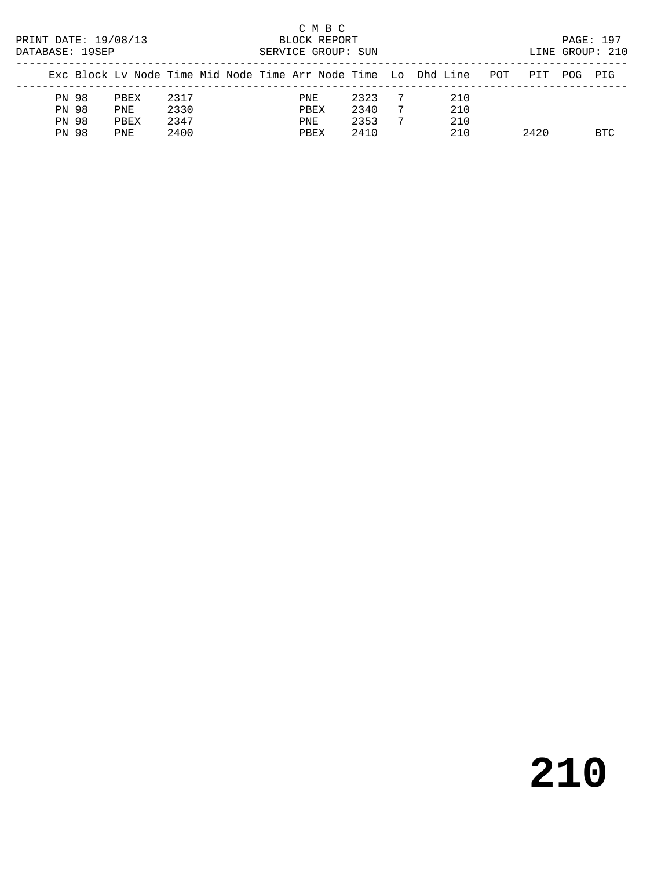| PRINT DATE: 19/08/13<br>DATABASE: 19SEP |  |      |      |  |  |  |      | C M B C<br>BLOCK REPORT<br>SERVICE GROUP: SUN |      |    |                                                                |     |      |     | PAGE: 197<br>LINE GROUP: 210 |
|-----------------------------------------|--|------|------|--|--|--|------|-----------------------------------------------|------|----|----------------------------------------------------------------|-----|------|-----|------------------------------|
|                                         |  |      |      |  |  |  |      |                                               |      |    | Exc Block Ly Node Time Mid Node Time Arr Node Time Lo Dhd Line | POT | PTT  | POG | PTG                          |
| PN 98                                   |  | PBEX | 2317 |  |  |  | PNE  |                                               | 2323 |    | 210                                                            |     |      |     |                              |
| PN 98                                   |  | PNE  | 2330 |  |  |  | PBEX |                                               | 2340 | -7 | 210                                                            |     |      |     |                              |
| PN 98                                   |  | PBEX | 2347 |  |  |  | PNE  |                                               | 2353 | -7 | 210                                                            |     |      |     |                              |
| <b>PN 98</b>                            |  | PNE  | 2400 |  |  |  | PBEX |                                               | 2410 |    | 210                                                            |     | 2420 |     | <b>BTC</b>                   |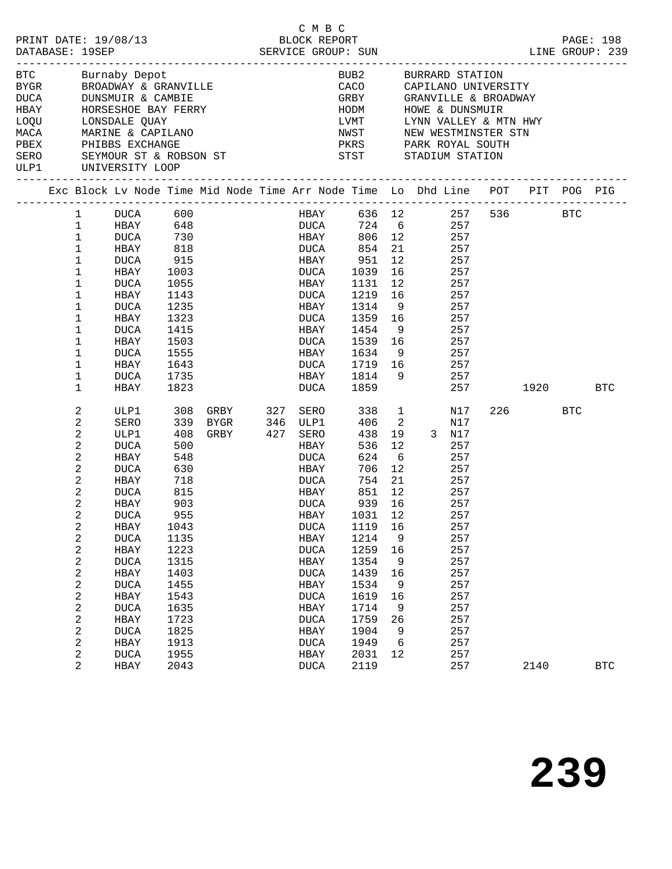|                    |                         |                 |      | PRINT DATE: 19/08/13<br>DATABASE: 19SEP<br>DATABASE: 19SEP<br>SERVICE GROUP: SUN | C M B C                   |                                                                                                     |    |              |     |          | PAGE: 198<br>LINE GROUP: 239 |
|--------------------|-------------------------|-----------------|------|----------------------------------------------------------------------------------|---------------------------|-----------------------------------------------------------------------------------------------------|----|--------------|-----|----------|------------------------------|
| <b>BTC</b>         |                         | Burnaby Depot   |      |                                                                                  |                           | BUB2 BURRARD STATION                                                                                |    |              |     |          |                              |
|                    |                         |                 |      |                                                                                  |                           | CACO CAPILANO UNIVERSITY<br>GRBY GRANVILLE & BROADWAY                                               |    |              |     |          |                              |
|                    |                         |                 |      | BYGR BROADWAY & GRANVILLE<br>DUCA DUNSMUIR & CAMBIE                              |                           |                                                                                                     |    |              |     |          |                              |
| <b>HBAY</b>        |                         |                 |      | HORSESHOE BAY FERRY<br>LONGELLE SIL                                              |                           | HODM HOWE & DUNSMUIR                                                                                |    |              |     |          |                              |
| LOQU LONSDALE QUAY |                         |                 |      |                                                                                  |                           |                                                                                                     |    |              |     |          |                              |
|                    |                         |                 |      | MACA MARINE & CAPILANO<br>PBEX PHIBBS EXCHANGE                                   |                           | LVMT       LYNN VALLEY & MTN HWY<br>NWST        NEW WESTMINSTER STN<br>PKRS        PARK ROYAL SOUTH |    |              |     |          |                              |
|                    |                         |                 |      |                                                                                  |                           |                                                                                                     |    |              |     |          |                              |
| ULP1               |                         | UNIVERSITY LOOP |      |                                                                                  |                           |                                                                                                     |    |              |     |          |                              |
|                    |                         |                 |      |                                                                                  |                           |                                                                                                     |    |              |     |          |                              |
|                    |                         |                 |      | Exc Block Lv Node Time Mid Node Time Arr Node Time Lo Dhd Line POT PIT POG PIG   |                           |                                                                                                     |    |              |     |          |                              |
|                    | 1                       | DUCA 600        |      |                                                                                  | HBAY 636 12 257 536 BTC   |                                                                                                     |    |              |     |          |                              |
|                    | 1                       |                 |      |                                                                                  | DUCA 724 6<br>HBAY 806 12 |                                                                                                     |    |              | 257 |          |                              |
|                    | $1\,$                   |                 |      |                                                                                  |                           |                                                                                                     |    |              | 257 |          |                              |
|                    | $\mathbf 1$             | HBAY 818        |      |                                                                                  | DUCA 854                  |                                                                                                     |    | 21 257       |     |          |                              |
|                    | $\mathbf 1$             | DUCA 915        |      | HBAY 951                                                                         |                           |                                                                                                     |    | 12 257       |     |          |                              |
|                    | 1                       | HBAY            | 1003 |                                                                                  | DUCA 1039 16              |                                                                                                     |    |              | 257 |          |                              |
|                    | $\mathbf 1$             | DUCA            | 1055 |                                                                                  | HBAY                      | 1131                                                                                                | 12 |              | 257 |          |                              |
|                    | 1                       | HBAY            | 1143 |                                                                                  | <b>DUCA</b>               | 1219 16 257                                                                                         |    |              |     |          |                              |
|                    | 1                       | DUCA            | 1235 |                                                                                  | HBAY                      | 1314 9                                                                                              |    | 257          |     |          |                              |
|                    | 1                       | HBAY            | 1323 |                                                                                  | DUCA                      | 1359 16                                                                                             |    | 257          |     |          |                              |
|                    | 1                       | DUCA            | 1415 |                                                                                  | HBAY                      | 1454 9                                                                                              |    |              | 257 |          |                              |
|                    | 1                       | HBAY            | 1503 |                                                                                  | DUCA                      | 1539 16 257                                                                                         |    |              |     |          |                              |
|                    | 1                       | DUCA            | 1555 |                                                                                  | HBAY                      | 1634 9 257                                                                                          |    |              |     |          |                              |
|                    | 1                       | HBAY            | 1643 |                                                                                  | DUCA                      | 1719 16 257                                                                                         |    |              |     |          |                              |
|                    | 1                       | DUCA            | 1735 |                                                                                  | HBAY                      | 1814 9                                                                                              |    |              | 257 |          |                              |
|                    | 1                       | HBAY            | 1823 |                                                                                  |                           | $DUCA$ 1859                                                                                         |    |              | 257 | 1920 BTC |                              |
|                    | 2                       | ULP1            | 308  | GRBY 327 SERO                                                                    |                           | 338                                                                                                 |    | $\mathbf{1}$ | N17 | 226 BTC  |                              |
|                    | $\boldsymbol{2}$        | SERO            |      | $339BYGR$                                                                        |                           | 406 2                                                                                               |    |              | N17 |          |                              |
|                    | $\overline{c}$          | ULP1            |      | 339    BYGR            346    ULP1<br>408    GRBY            427    SERO         |                           | 438                                                                                                 |    | 19 3 N17     |     |          |                              |
|                    | $\boldsymbol{2}$        | DUCA            | 500  |                                                                                  | <b>HBAY</b>               | 536                                                                                                 | 12 |              | 257 |          |                              |
|                    | $\overline{c}$          | HBAY            | 548  |                                                                                  | DUCA                      | 624 6                                                                                               |    | 257          |     |          |                              |
|                    | $\overline{c}$          | DUCA            | 630  |                                                                                  | HBAY                      | 706                                                                                                 | 12 |              | 257 |          |                              |
|                    | $\mathbf 2$             | HBAY            | 718  |                                                                                  | DUCA                      | 754                                                                                                 | 21 |              | 257 |          |                              |
|                    | 2                       | DUCA            | 815  |                                                                                  | <b>HBAY</b>               | 851 12                                                                                              |    | 257          |     |          |                              |
|                    | 2                       | HBAY            | 903  |                                                                                  | DUCA                      | 939                                                                                                 | 16 | 257          |     |          |                              |
|                    | $\overline{a}$          | <b>DUCA</b>     | 955  |                                                                                  | <b>HBAY</b>               | 1031 12                                                                                             |    |              | 257 |          |                              |
|                    | $\boldsymbol{2}$        | HBAY            | 1043 |                                                                                  | <b>DUCA</b>               | 1119                                                                                                | 16 |              | 257 |          |                              |
|                    | $\boldsymbol{2}$        | <b>DUCA</b>     | 1135 |                                                                                  | HBAY                      | 1214                                                                                                | 9  |              | 257 |          |                              |
|                    | $\sqrt{2}$              | HBAY            | 1223 |                                                                                  | <b>DUCA</b>               | 1259                                                                                                | 16 |              | 257 |          |                              |
|                    | $\sqrt{2}$              | <b>DUCA</b>     | 1315 |                                                                                  | HBAY                      | 1354                                                                                                | 9  |              | 257 |          |                              |
|                    | $\sqrt{2}$              | HBAY            | 1403 |                                                                                  | <b>DUCA</b>               | 1439                                                                                                | 16 |              | 257 |          |                              |
|                    | $\boldsymbol{2}$        | <b>DUCA</b>     | 1455 |                                                                                  | HBAY                      | 1534                                                                                                | 9  |              | 257 |          |                              |
|                    | $\overline{\mathbf{c}}$ | HBAY            | 1543 |                                                                                  | <b>DUCA</b>               | 1619                                                                                                | 16 |              | 257 |          |                              |
|                    | $\boldsymbol{2}$        | <b>DUCA</b>     | 1635 |                                                                                  | HBAY                      | 1714                                                                                                | 9  |              | 257 |          |                              |
|                    | $\mathbf 2$             | HBAY            | 1723 |                                                                                  | <b>DUCA</b>               | 1759                                                                                                | 26 |              | 257 |          |                              |
|                    | $\sqrt{2}$              | <b>DUCA</b>     | 1825 |                                                                                  | HBAY                      | 1904                                                                                                | 9  |              | 257 |          |                              |
|                    | $\overline{c}$          | HBAY            | 1913 |                                                                                  | <b>DUCA</b>               | 1949                                                                                                | 6  |              | 257 |          |                              |
|                    | 2                       | <b>DUCA</b>     | 1955 |                                                                                  | HBAY                      | 2031                                                                                                | 12 |              | 257 |          |                              |
|                    | 2                       | HBAY            | 2043 |                                                                                  | <b>DUCA</b>               | 2119                                                                                                |    |              | 257 | 2140     | <b>BTC</b>                   |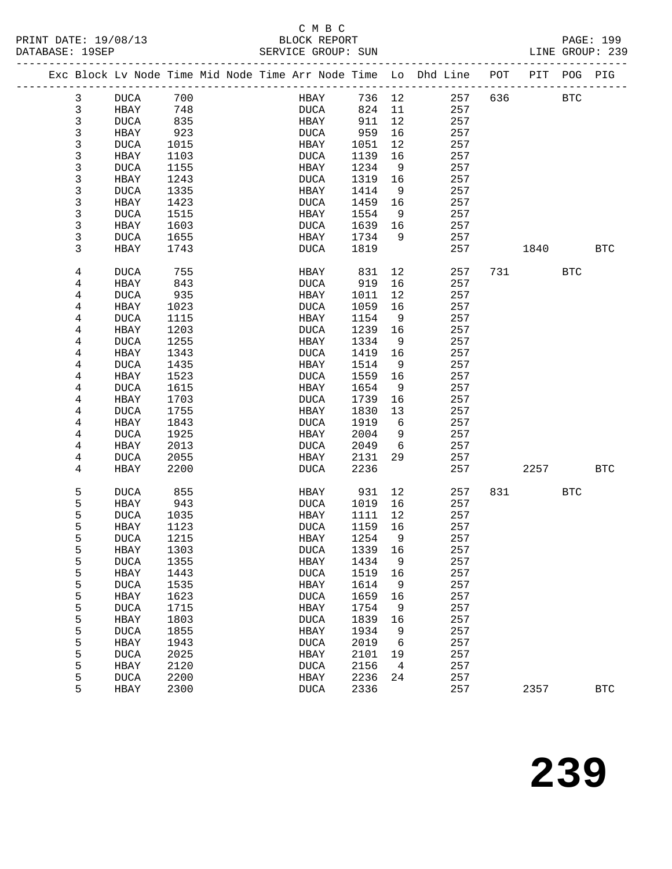## C M B C

|  | DATABASE: 19SEP         |             |      |  | SERVICE GROUP: SUN |        |                | LINE GROUP: 239                                                                |     |          |            |              |
|--|-------------------------|-------------|------|--|--------------------|--------|----------------|--------------------------------------------------------------------------------|-----|----------|------------|--------------|
|  |                         |             |      |  |                    |        |                | Exc Block Lv Node Time Mid Node Time Arr Node Time Lo Dhd Line POT PIT POG PIG |     |          |            |              |
|  | 3                       | <b>DUCA</b> | 700  |  | <b>HBAY</b>        | 736 12 |                | 257                                                                            |     | 636 BTC  |            |              |
|  | $\mathbf{3}$            | <b>HBAY</b> | 748  |  | <b>DUCA</b>        | 824    | 11             | 257                                                                            |     |          |            |              |
|  | $\mathfrak{Z}$          | DUCA        | 835  |  | HBAY               | 911    | 12             | 257                                                                            |     |          |            |              |
|  | $\mathsf 3$             | HBAY        | 923  |  | DUCA               | 959    | 16             | 257                                                                            |     |          |            |              |
|  | $\mathsf 3$             | DUCA        | 1015 |  | HBAY               | 1051   | 12             | 257                                                                            |     |          |            |              |
|  | $\mathsf 3$             | HBAY        | 1103 |  | DUCA               | 1139   | 16             | 257                                                                            |     |          |            |              |
|  | $\mathsf{3}$            | DUCA        | 1155 |  | HBAY               | 1234   | - 9            | 257                                                                            |     |          |            |              |
|  | $\mathsf 3$             | HBAY        | 1243 |  | DUCA               | 1319   | 16             | 257                                                                            |     |          |            |              |
|  | 3                       | DUCA        | 1335 |  | HBAY               | 1414   | 9              | 257                                                                            |     |          |            |              |
|  | 3                       | HBAY        | 1423 |  | <b>DUCA</b>        | 1459   | 16             | 257                                                                            |     |          |            |              |
|  | 3                       | DUCA        | 1515 |  | HBAY               | 1554   | - 9            | 257                                                                            |     |          |            |              |
|  | $\mathsf 3$             | HBAY        | 1603 |  | <b>DUCA</b>        | 1639   | 16             | 257                                                                            |     |          |            |              |
|  | 3                       | DUCA        | 1655 |  | HBAY               | 1734   | - 9            | 257                                                                            |     |          |            |              |
|  | 3                       | HBAY        | 1743 |  | <b>DUCA</b>        | 1819   |                | 257                                                                            |     | 1840     |            | <b>BTC</b>   |
|  | 4                       | DUCA        | 755  |  | HBAY               | 831    | 12             | 257                                                                            |     | 731 BTC  |            |              |
|  | 4                       | HBAY        | 843  |  | DUCA               | 919    | 16             | 257                                                                            |     |          |            |              |
|  | 4                       | DUCA        | 935  |  | HBAY               | 1011   | 12             | 257                                                                            |     |          |            |              |
|  | 4                       | HBAY        | 1023 |  | DUCA               | 1059   | 16             | 257                                                                            |     |          |            |              |
|  | 4                       | DUCA        | 1115 |  | HBAY               | 1154   | 9              | 257                                                                            |     |          |            |              |
|  | $\,4$                   | HBAY        | 1203 |  | <b>DUCA</b>        | 1239   | 16             | 257                                                                            |     |          |            |              |
|  | 4                       | DUCA        | 1255 |  | HBAY               | 1334   | - 9            | 257                                                                            |     |          |            |              |
|  | 4                       | HBAY        | 1343 |  | DUCA               | 1419   | 16             | 257                                                                            |     |          |            |              |
|  | 4                       | DUCA        | 1435 |  | HBAY               | 1514   | 9              | 257                                                                            |     |          |            |              |
|  | $\overline{\mathbf{4}}$ | HBAY        | 1523 |  | DUCA               | 1559   | 16             | 257                                                                            |     |          |            |              |
|  | 4                       | DUCA        | 1615 |  | HBAY               | 1654   | 9              | 257                                                                            |     |          |            |              |
|  | 4                       | HBAY        | 1703 |  | <b>DUCA</b>        | 1739   | 16             | 257                                                                            |     |          |            |              |
|  | 4                       | DUCA        | 1755 |  | HBAY               | 1830   | 13             | 257                                                                            |     |          |            |              |
|  | 4                       | HBAY        | 1843 |  | <b>DUCA</b>        | 1919   | - 6            | 257                                                                            |     |          |            |              |
|  | 4                       | DUCA        | 1925 |  | HBAY               | 2004   | 9              | 257                                                                            |     |          |            |              |
|  | 4                       | HBAY        | 2013 |  | DUCA               | 2049   | 6              | 257                                                                            |     |          |            |              |
|  | 4                       | DUCA        | 2055 |  | HBAY               | 2131   | 29             | 257                                                                            |     |          |            |              |
|  | $\overline{4}$          | HBAY        | 2200 |  | DUCA               | 2236   |                | 257                                                                            |     | 2257 BTC |            |              |
|  | 5                       | DUCA        | 855  |  | HBAY               | 931    | 12             | 257                                                                            | 831 |          | <b>BTC</b> |              |
|  | 5                       | HBAY        | 943  |  | DUCA               | 1019   | 16             | 257                                                                            |     |          |            |              |
|  | 5                       | DUCA        | 1035 |  | HBAY               | 1111   | 12             | 257                                                                            |     |          |            |              |
|  | 5                       | HBAY        | 1123 |  | <b>DUCA</b>        | 1159   | 16             | 257                                                                            |     |          |            |              |
|  | 5                       | DUCA 1215   |      |  | HBAY 1254          |        | $\overline{9}$ | 257                                                                            |     |          |            |              |
|  | 5                       | HBAY        | 1303 |  | DUCA               | 1339   | 16             | 257                                                                            |     |          |            |              |
|  | 5                       | <b>DUCA</b> | 1355 |  | HBAY               | 1434   | 9              | 257                                                                            |     |          |            |              |
|  | 5                       | HBAY        | 1443 |  | <b>DUCA</b>        | 1519   | 16             | 257                                                                            |     |          |            |              |
|  | 5                       | <b>DUCA</b> | 1535 |  | HBAY               | 1614   | 9              | 257                                                                            |     |          |            |              |
|  | 5                       | HBAY        | 1623 |  | <b>DUCA</b>        | 1659   | 16             | 257                                                                            |     |          |            |              |
|  | 5                       | <b>DUCA</b> | 1715 |  | HBAY               | 1754   | 9              | 257                                                                            |     |          |            |              |
|  | 5                       | HBAY        | 1803 |  | <b>DUCA</b>        | 1839   | 16             | 257                                                                            |     |          |            |              |
|  | 5                       | <b>DUCA</b> | 1855 |  | HBAY               | 1934   | 9              | 257                                                                            |     |          |            |              |
|  | 5                       | HBAY        | 1943 |  | <b>DUCA</b>        | 2019   | 6              | 257                                                                            |     |          |            |              |
|  | 5                       | <b>DUCA</b> | 2025 |  | HBAY               | 2101   | 19             | 257                                                                            |     |          |            |              |
|  | 5                       | <b>HBAY</b> | 2120 |  | <b>DUCA</b>        | 2156   | $\overline{4}$ | 257                                                                            |     |          |            |              |
|  | 5                       | <b>DUCA</b> | 2200 |  | HBAY               | 2236   | 24             | 257                                                                            |     |          |            |              |
|  | 5                       | HBAY        | 2300 |  | <b>DUCA</b>        | 2336   |                | 257                                                                            |     | 2357     |            | $_{\rm BTC}$ |
|  |                         |             |      |  |                    |        |                |                                                                                |     |          |            |              |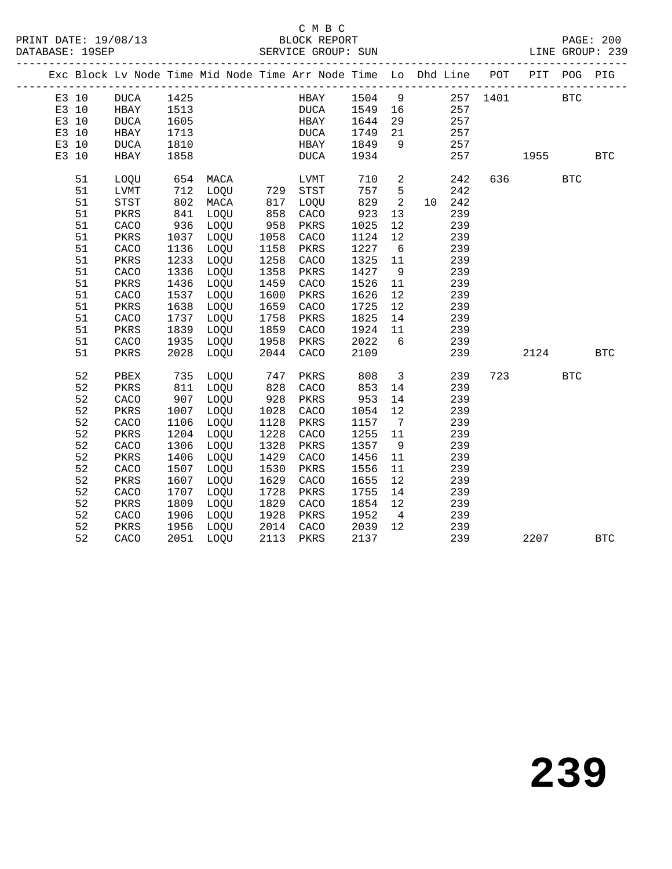## C M B C<br>BLOCK REPORT

|       |    | Exc Block Lv Node Time Mid Node Time Arr Node Time Lo Dhd Line POT PIT POG PIG |                |      |                        |      |              |                         |                |        |                                              |          |              |
|-------|----|--------------------------------------------------------------------------------|----------------|------|------------------------|------|--------------|-------------------------|----------------|--------|----------------------------------------------|----------|--------------|
| E3 10 |    | DUCA 1425                                                                      |                |      |                        |      |              |                         |                |        | HBAY 1504 9 257 1401 BTC<br>DUCA 1549 16 257 |          |              |
| E3 10 |    | HBAY                                                                           | 1513           |      |                        |      |              |                         |                |        |                                              |          |              |
| E3 10 |    | DUCA                                                                           | 1605           |      |                        | HBAY | 1644         | 29                      |                | 257    |                                              |          |              |
| E3 10 |    | HBAY                                                                           | 1713           |      |                        | DUCA | 1749         | 21                      |                | 257    |                                              |          |              |
| E3 10 |    | DUCA                                                                           | 1810           |      |                        | HBAY | 1849 9       |                         |                | 257    |                                              |          |              |
| E3 10 |    | HBAY                                                                           | 1858           |      |                        | DUCA | 1934         |                         |                | 257    |                                              | 1955 BTC |              |
|       | 51 | LOQU                                                                           | 654 MACA       |      |                        | LVMT |              |                         | 710 2          | 242    |                                              | 636 BTC  |              |
|       | 51 | LVMT                                                                           | 712 LOQU       |      | 729                    | STST | 757 5        |                         |                | 242    |                                              |          |              |
|       | 51 | $_{\footnotesize\rm STST}$                                                     | $802$<br>$841$ | MACA | 817<br>858             | LOQU | $822$<br>923 | $\overline{\mathbf{c}}$ |                | 10 242 |                                              |          |              |
|       | 51 | PKRS                                                                           |                | LOQU |                        | CACO |              | 13                      |                | 239    |                                              |          |              |
|       | 51 | CACO                                                                           | 936            | LOQU | 958                    | PKRS | 1025         | 12                      |                | 239    |                                              |          |              |
|       | 51 | PKRS                                                                           | 1037           | LOQU | 1058                   | CACO | 1124         | 12                      |                | 239    |                                              |          |              |
|       | 51 | CACO                                                                           | 1136           | LOQU | 1158                   | PKRS | 1227         | 6                       |                | 239    |                                              |          |              |
|       | 51 | PKRS                                                                           | 1233           | LOQU | 1258                   | CACO | 1325         | 11                      |                | 239    |                                              |          |              |
|       | 51 | CACO                                                                           | 1336           | LOQU | 1358                   | PKRS | 1427         | 9                       |                | 239    |                                              |          |              |
|       | 51 | PKRS                                                                           | 1436           | LOQU | 1459                   | CACO | 1526         | 11                      |                | 239    |                                              |          |              |
|       | 51 | CACO                                                                           | 1537           | LOQU | 1600                   | PKRS | 1626         | 12                      |                | 239    |                                              |          |              |
|       | 51 | PKRS                                                                           | 1638           | LOQU | 1659                   | CACO | 1725         | 12                      |                | 239    |                                              |          |              |
|       | 51 | CACO                                                                           | 1737           | LOQU | 1758                   | PKRS | 1825         | 14                      |                | 239    |                                              |          |              |
|       | 51 | PKRS                                                                           | 1839           | LOQU | 1859                   | CACO | 1924 11      |                         |                | 239    |                                              |          |              |
|       | 51 | CACO                                                                           | 1935           | LOQU | 1958                   | PKRS | 2022         | 6                       |                | 239    |                                              |          |              |
|       | 51 | PKRS                                                                           | 2028           | LOQU | 2044                   | CACO | 2109         |                         |                | 239    |                                              | 2124 BTC |              |
|       | 52 | PBEX                                                                           | 735 LOQU       |      | 747                    | PKRS | 808          |                         | 3 <sup>1</sup> | 239    |                                              | 723 BTC  |              |
|       | 52 | PKRS                                                                           | 811 LOQU       |      | 828                    | CACO | 853          | 14                      |                | 239    |                                              |          |              |
|       | 52 | CACO                                                                           | 907            | LOQU | 928                    | PKRS | 953          | 14                      |                | 239    |                                              |          |              |
|       | 52 | PKRS                                                                           | 1007           | LOQU | 1028                   | CACO | 1054         | 12                      |                | 239    |                                              |          |              |
|       | 52 | CACO                                                                           | 1106           | LOQU | 1128                   | PKRS | 1157 7       |                         |                | 239    |                                              |          |              |
|       | 52 | PKRS                                                                           | 1204           | LOQU | 1228                   | CACO | 1255         | 11                      |                | 239    |                                              |          |              |
|       | 52 | CACO                                                                           | 1306           | LOQU | 1328                   | PKRS | 1357         | 9                       |                | 239    |                                              |          |              |
|       | 52 | PKRS                                                                           | 1406           | LOQU | 1429                   | CACO | 1456         | 11                      |                | 239    |                                              |          |              |
|       | 52 | CACO                                                                           | 1507           | LOQU | 1530                   | PKRS | 1556         | 11                      |                | 239    |                                              |          |              |
|       | 52 | PKRS                                                                           | 1607           | LOQU | 1629                   | CACO | 1655         | 12                      |                | 239    |                                              |          |              |
|       | 52 | CACO                                                                           | 1707           | LOQU | 1728                   | PKRS | 1755         | 14                      |                | 239    |                                              |          |              |
|       | 52 | PKRS                                                                           | 1809           | LOQU | 1829                   | CACO | 1854         | 12                      |                | 239    |                                              |          |              |
|       | 52 | CACO                                                                           | 1906           | LOQU | 1928 PKRS<br>2014 CACO |      | 1952         | $\overline{4}$          |                | 239    |                                              |          |              |
|       | 52 | PKRS                                                                           | 1956           | LOQU |                        |      | 2039         | 12                      |                | 239    |                                              |          |              |
|       | 52 | CACO                                                                           | 2051 LOQU      |      | 2113                   | PKRS | 2137         |                         |                | 239    |                                              | 2207     | $_{\rm BTC}$ |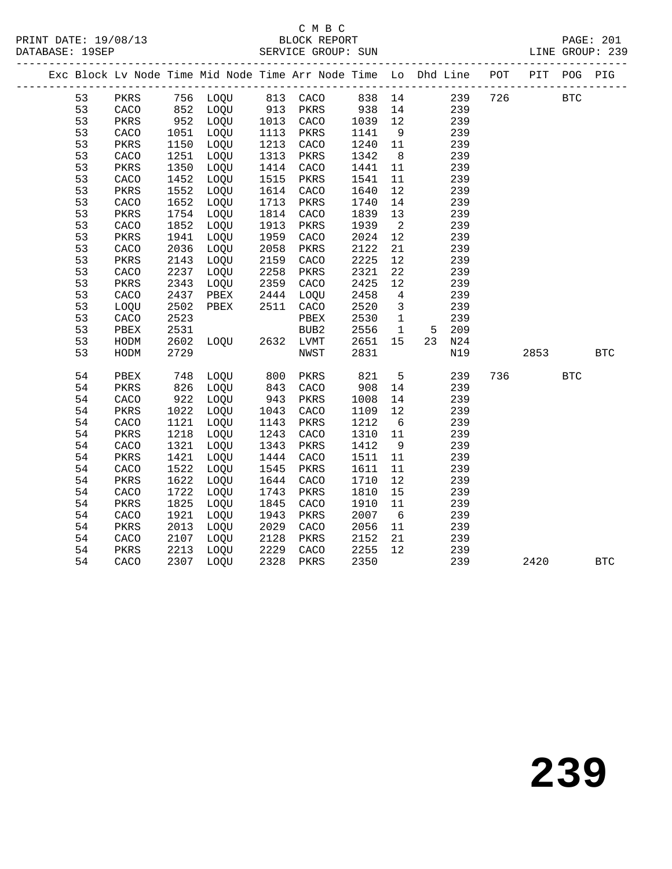#### C M B C<br>BLOCK REPORT SERVICE GROUP: SUN

|  |    |      |      |                |                     | Exc Block Lv Node Time Mid Node Time Arr Node Time Lo Dhd Line POT PIT POG PIG |         |                         |           |         |      |            |            |
|--|----|------|------|----------------|---------------------|--------------------------------------------------------------------------------|---------|-------------------------|-----------|---------|------|------------|------------|
|  | 53 |      |      |                |                     | PKRS 756 LOQU 813 CACO 838 14                                                  |         |                         |           | 239 726 |      | <b>BTC</b> |            |
|  | 53 | CACO |      | 852 LOQU       |                     | 913 PKRS                                                                       | 938 14  |                         | 239       |         |      |            |            |
|  | 53 | PKRS |      | 952 LOQU       | 1013                | CACO                                                                           | 1039    | 12                      | 239       |         |      |            |            |
|  | 53 | CACO | 1051 | LOQU           | 1113                | PKRS                                                                           | 1141    | 9                       | 239       |         |      |            |            |
|  | 53 | PKRS | 1150 | LOQU           | 1213                | CACO                                                                           | 1240    | 11                      | 239       |         |      |            |            |
|  | 53 | CACO | 1251 | LOQU           | 1313                | PKRS                                                                           | 1342    | 8                       | 239       |         |      |            |            |
|  | 53 | PKRS | 1350 | LOQU           | 1414                | CACO                                                                           | 1441    | 11                      | 239       |         |      |            |            |
|  | 53 | CACO | 1452 | LOQU           | 1515                | PKRS                                                                           | 1541    | 11                      | 239       |         |      |            |            |
|  | 53 | PKRS | 1552 | LOQU           | 1614                | CACO                                                                           | 1640    | 12                      | 239       |         |      |            |            |
|  | 53 | CACO | 1652 | LOQU           | 1713                | PKRS                                                                           | 1740    | 14                      | 239       |         |      |            |            |
|  | 53 | PKRS | 1754 | LOQU           | 1814                | CACO                                                                           | 1839    | 13                      | 239       |         |      |            |            |
|  | 53 | CACO | 1852 | LOQU           | 1913                | PKRS                                                                           | 1939    | $\overline{2}$          | 239       |         |      |            |            |
|  | 53 | PKRS | 1941 | LOQU           | 1959                | CACO                                                                           | 2024    | 12                      | 239       |         |      |            |            |
|  | 53 | CACO | 2036 | LOQU           | 2058                | PKRS                                                                           | 2122    | 21                      | 239       |         |      |            |            |
|  | 53 | PKRS | 2143 | LOQU           | 2159                | CACO                                                                           | 2225    | 12                      | 239       |         |      |            |            |
|  | 53 | CACO | 2237 | LOQU           | 2258                | PKRS                                                                           | 2321    | 22                      | 239       |         |      |            |            |
|  | 53 | PKRS | 2343 | LOQU           | 2359                | CACO                                                                           | 2425    | 12                      | 239       |         |      |            |            |
|  | 53 | CACO | 2437 | PBEX           | 2444                | LOQU                                                                           | 2458    | $4\overline{4}$         | 239       |         |      |            |            |
|  | 53 | LOQU | 2502 | PBEX           | 2511                | CACO                                                                           | 2520    | $\overline{\mathbf{3}}$ | 239       |         |      |            |            |
|  | 53 | CACO | 2523 |                |                     | PBEX                                                                           | 2530    | $\overline{1}$          | 239       |         |      |            |            |
|  | 53 | PBEX | 2531 |                |                     | BUB2                                                                           | 2556    | $\overline{1}$          | 209<br>5  |         |      |            |            |
|  | 53 | HODM | 2602 | LOQU 2632 LVMT |                     |                                                                                | 2651 15 |                         | 23<br>N24 |         |      |            |            |
|  | 53 | HODM | 2729 |                |                     | NWST                                                                           | 2831    |                         | N19       |         | 2853 |            | <b>BTC</b> |
|  |    |      |      |                |                     |                                                                                |         |                         |           |         |      |            |            |
|  | 54 | PBEX | 748  | LOOU           | 800                 | PKRS                                                                           | 821     | $5^{\circ}$             | 239       | 736     |      | <b>BTC</b> |            |
|  | 54 | PKRS | 826  | LOQU           | 843                 | CACO                                                                           | 908     | 14                      | 239       |         |      |            |            |
|  | 54 | CACO | 922  | LOQU           |                     | PKRS                                                                           | 1008    | 14                      | 239       |         |      |            |            |
|  | 54 | PKRS | 1022 | LOQU           | 943<br>1043<br>1043 | CACO                                                                           | 1109    | 12                      | 239       |         |      |            |            |
|  | 54 | CACO | 1121 | LOQU           | 1143                | PKRS                                                                           | 1212    | $6\overline{6}$         | 239       |         |      |            |            |
|  | 54 | PKRS | 1218 | LOQU           | 1243                | CACO                                                                           | 1310    | 11                      | 239       |         |      |            |            |
|  | 54 | CACO | 1321 | LOQU           | 1343                | PKRS                                                                           | 1412    | 9                       | 239       |         |      |            |            |
|  | 54 | PKRS | 1421 | LOQU           | 1444                | CACO                                                                           | 1511    | 11                      | 239       |         |      |            |            |
|  | 54 | CACO | 1522 | LOQU           | 1545                | $\mbox{PKRS}$                                                                  | 1611    | 11                      | 239       |         |      |            |            |
|  | 54 | PKRS | 1622 | LOQU           | 1644                | CACO                                                                           | 1710    | 12                      | 239       |         |      |            |            |
|  | 54 | CACO | 1722 | LOQU           | 1743                | PKRS                                                                           | 1810    | 15                      | 239       |         |      |            |            |
|  | 54 | PKRS | 1825 | LOQU           | 1845                | CACO                                                                           | 1910    | 11                      | 239       |         |      |            |            |
|  | 54 | CACO | 1921 | LOQU           | 1943                | PKRS                                                                           | 2007    | $6\overline{6}$         | 239       |         |      |            |            |
|  | 54 | PKRS | 2013 | LOQU           | 2029                | CACO                                                                           | 2056    | 11                      | 239       |         |      |            |            |
|  | 54 | CACO | 2107 | LOQU           | 2128                | PKRS                                                                           | 2152    | 21                      | 239       |         |      |            |            |
|  | 54 | PKRS | 2213 | LOQU           | 2229                | CACO                                                                           | 2255    | 12                      | 239       |         |      |            |            |
|  | 54 | CACO |      | 2307 LOQU      | 2328                | PKRS                                                                           | 2350    |                         | 239       |         | 2420 |            | <b>BTC</b> |
|  |    |      |      |                |                     |                                                                                |         |                         |           |         |      |            |            |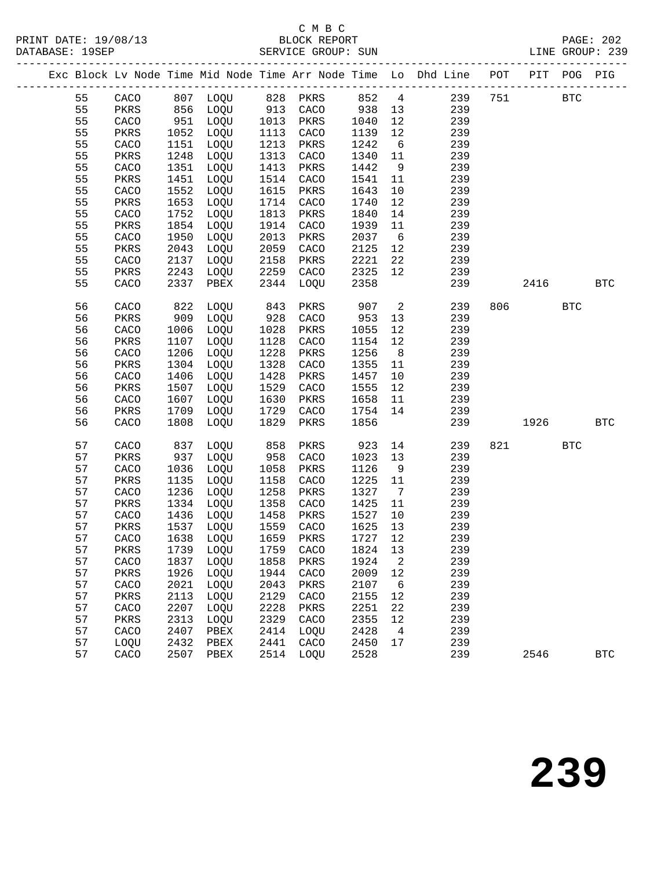## C M B C<br>BLOCK REPORT

PAGE: 202<br>LINE GROUP: 239

|  |    |      |      |                   |                      |      |       |                              | Exc Block Lv Node Time Mid Node Time Arr Node Time Lo Dhd Line POT PIT POG PIG |     |            |            |              |
|--|----|------|------|-------------------|----------------------|------|-------|------------------------------|--------------------------------------------------------------------------------|-----|------------|------------|--------------|
|  | 55 | CACO |      | 807 LOQU 828 PKRS |                      |      | 852 4 |                              | 239                                                                            | 751 | <b>BTC</b> |            |              |
|  | 55 | PKRS |      | 856 LOQU          | 913                  | CACO | 938   | 13                           | 239                                                                            |     |            |            |              |
|  | 55 | CACO | 951  | LOQU              | 1013                 | PKRS | 1040  | 12                           | 239                                                                            |     |            |            |              |
|  | 55 | PKRS | 1052 | LOQU              | 1113                 | CACO | 1139  | 12                           | 239                                                                            |     |            |            |              |
|  | 55 | CACO | 1151 | LOQU              | 1213                 | PKRS | 1242  | $6\overline{6}$              | 239                                                                            |     |            |            |              |
|  | 55 | PKRS | 1248 | LOQU              | 1313                 | CACO | 1340  | 11                           | 239                                                                            |     |            |            |              |
|  | 55 | CACO | 1351 | LOQU              | 1413                 | PKRS | 1442  | 9                            | 239                                                                            |     |            |            |              |
|  | 55 | PKRS | 1451 | LOQU              | 1514                 | CACO | 1541  | 11                           | 239                                                                            |     |            |            |              |
|  | 55 | CACO | 1552 | LOQU              | 1615                 | PKRS | 1643  | 10                           | 239                                                                            |     |            |            |              |
|  | 55 | PKRS | 1653 | LOQU              | 1714                 | CACO | 1740  | 12                           | 239                                                                            |     |            |            |              |
|  | 55 | CACO | 1752 | LOQU              | 1813                 | PKRS | 1840  | 14                           | 239                                                                            |     |            |            |              |
|  | 55 | PKRS | 1854 | LOQU              | 1914                 | CACO | 1939  | 11                           | 239                                                                            |     |            |            |              |
|  | 55 | CACO | 1950 | LOQU              | 2013                 | PKRS | 2037  | 6                            | 239                                                                            |     |            |            |              |
|  | 55 | PKRS | 2043 | LOQU              | 2059                 | CACO | 2125  | 12                           | 239                                                                            |     |            |            |              |
|  | 55 | CACO | 2137 | LOQU              | 2158                 | PKRS | 2221  | 22                           | 239                                                                            |     |            |            |              |
|  | 55 | PKRS | 2243 | LOQU              | 2259                 | CACO | 2325  | 12                           | 239                                                                            |     |            |            |              |
|  | 55 | CACO | 2337 | PBEX              | 2344                 | LOQU | 2358  |                              | 239                                                                            |     | 2416       |            | <b>BTC</b>   |
|  | 56 | CACO | 822  | LOQU              | 843                  | PKRS | 907   | 2                            | 239                                                                            | 806 |            | <b>BTC</b> |              |
|  | 56 | PKRS | 909  | LOQU              | 928                  | CACO | 953   | 13                           | 239                                                                            |     |            |            |              |
|  | 56 | CACO | 1006 | LOQU              | 1028                 | PKRS | 1055  | 12                           | 239                                                                            |     |            |            |              |
|  | 56 | PKRS | 1107 | LOQU              | 1128                 | CACO | 1154  | 12                           | 239                                                                            |     |            |            |              |
|  | 56 | CACO | 1206 | LOQU              | 1228                 | PKRS | 1256  | 8 <sup>8</sup>               | 239                                                                            |     |            |            |              |
|  | 56 | PKRS | 1304 | LOQU              | 1328                 | CACO | 1355  | 11                           | 239                                                                            |     |            |            |              |
|  | 56 | CACO | 1406 | LOQU              | 1428                 | PKRS | 1457  | 10                           | 239                                                                            |     |            |            |              |
|  | 56 | PKRS | 1507 | LOQU              | 1529                 | CACO | 1555  | 12                           | 239                                                                            |     |            |            |              |
|  | 56 | CACO | 1607 | LOQU              | 1630                 | PKRS | 1658  | 11                           | 239                                                                            |     |            |            |              |
|  | 56 | PKRS | 1709 | LOQU              | 1729                 | CACO | 1754  | 14                           | 239                                                                            |     |            |            |              |
|  | 56 | CACO | 1808 | LOQU              | 1829                 | PKRS | 1856  |                              | 239                                                                            |     | 1926       |            | <b>BTC</b>   |
|  | 57 | CACO | 837  | LOQU              | 858                  | PKRS | 923   | 14                           | 239                                                                            | 821 |            | <b>BTC</b> |              |
|  | 57 | PKRS | 937  | LOQU              | 958                  | CACO | 1023  | 13                           | 239                                                                            |     |            |            |              |
|  | 57 | CACO | 1036 | LOQU              | 1058                 | PKRS | 1126  | 9                            | 239                                                                            |     |            |            |              |
|  | 57 | PKRS | 1135 | LOQU              | 1158                 | CACO | 1225  | 11                           | 239                                                                            |     |            |            |              |
|  | 57 | CACO | 1236 | LOQU              | 1258                 | PKRS | 1327  | $7\phantom{.0}\phantom{.0}7$ | 239                                                                            |     |            |            |              |
|  | 57 | PKRS | 1334 | LOQU              | 1358                 | CACO | 1425  | 11                           | 239                                                                            |     |            |            |              |
|  | 57 | CACO | 1436 | LOQU              | 1458<br>1458<br>1559 | PKRS | 1527  | 10                           | 239                                                                            |     |            |            |              |
|  | 57 | PKRS | 1537 | LOQU              |                      | CACO | 1625  | 13                           | 239                                                                            |     |            |            |              |
|  | 57 | CACO | 1638 | LOQU              | 1659                 | PKRS | 1727  | 12                           | 239                                                                            |     |            |            |              |
|  | 57 | PKRS | 1739 | LOQU              | 1759                 | CACO | 1824  | 13                           | 239                                                                            |     |            |            |              |
|  | 57 | CACO | 1837 | LOQU              | 1858                 | PKRS | 1924  | 2                            | 239                                                                            |     |            |            |              |
|  | 57 | PKRS | 1926 | LOQU              | 1944                 | CACO | 2009  | 12                           | 239                                                                            |     |            |            |              |
|  | 57 | CACO | 2021 | LOQU              | 2043                 | PKRS | 2107  | 6                            | 239                                                                            |     |            |            |              |
|  | 57 | PKRS | 2113 | LOQU              | 2129                 | CACO | 2155  | 12                           | 239                                                                            |     |            |            |              |
|  | 57 | CACO | 2207 | LOQU              | 2228                 | PKRS | 2251  | 22                           | 239                                                                            |     |            |            |              |
|  | 57 | PKRS | 2313 | LOQU              | 2329                 | CACO | 2355  | 12                           | 239                                                                            |     |            |            |              |
|  | 57 | CACO | 2407 | PBEX              | 2414                 | LOQU | 2428  | 4                            | 239                                                                            |     |            |            |              |
|  | 57 | LOQU | 2432 | PBEX              | 2441                 | CACO | 2450  | 17                           | 239                                                                            |     |            |            |              |
|  | 57 | CACO | 2507 | PBEX              | 2514                 | LOQU | 2528  |                              | 239                                                                            |     | 2546       |            | $_{\rm BTC}$ |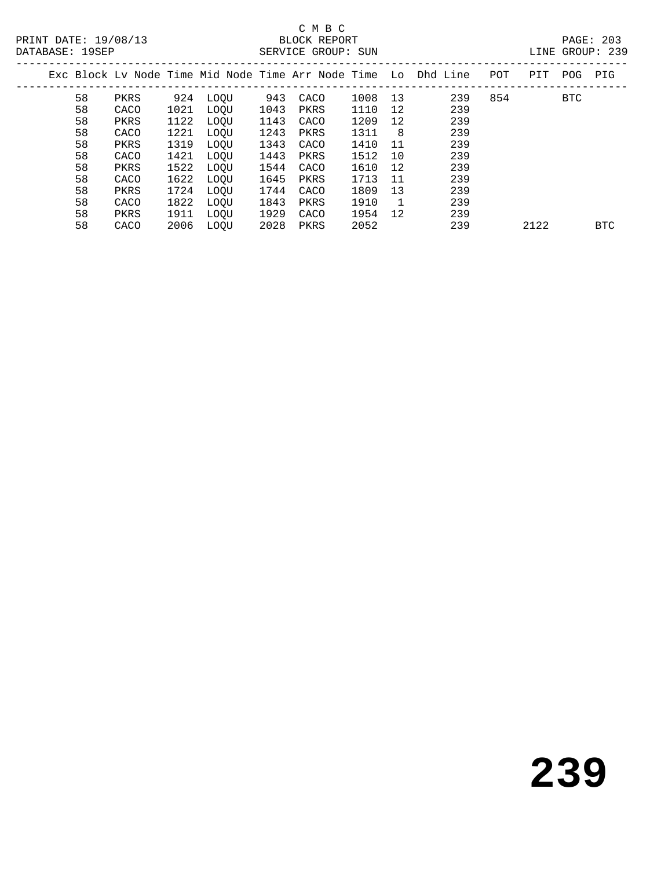PRINT DATE: 19/08/13 BLOCK REPORT<br>
DATABASE: 19SEP<br>
PATABASE: 2035

# C M B C<br>BLOCK REPORT

| DAIADAOL · IJOLF |    |      |      |      |      | OLNVICL GRUUP · SUN |         |                |                                                                |     |      |         | LINE UNUUF AJJ |
|------------------|----|------|------|------|------|---------------------|---------|----------------|----------------------------------------------------------------|-----|------|---------|----------------|
|                  |    |      |      |      |      |                     |         |                | Exc Block Ly Node Time Mid Node Time Arr Node Time Lo Dhd Line | POT | PIT  | POG PIG |                |
|                  | 58 | PKRS | 924  | LOOU | 943  | CACO                | 1008 13 |                | 239                                                            | 854 |      | BTC     |                |
|                  | 58 | CACO | 1021 | LOOU | 1043 | PKRS                | 1110    | 12             | 239                                                            |     |      |         |                |
|                  | 58 | PKRS | 1122 | LOOU | 1143 | CACO                | 1209    | 12             | 239                                                            |     |      |         |                |
|                  | 58 | CACO | 1221 | LOOU | 1243 | PKRS                | 1311    | 8              | 239                                                            |     |      |         |                |
|                  | 58 | PKRS | 1319 | LOOU | 1343 | CACO                | 1410    | 11             | 239                                                            |     |      |         |                |
|                  | 58 | CACO | 1421 | LOOU | 1443 | PKRS                | 1512    | 10             | 239                                                            |     |      |         |                |
|                  | 58 | PKRS | 1522 | LOOU | 1544 | CACO                | 1610    | 12             | 239                                                            |     |      |         |                |
|                  | 58 | CACO | 1622 | LOOU | 1645 | PKRS                | 1713    | 11             | 239                                                            |     |      |         |                |
|                  | 58 | PKRS | 1724 | LOOU | 1744 | CACO                | 1809    | 13             | 239                                                            |     |      |         |                |
|                  | 58 | CACO | 1822 | LOOU | 1843 | PKRS                | 1910    | $\overline{1}$ | 239                                                            |     |      |         |                |
|                  | 58 | PKRS | 1911 | LOOU | 1929 | CACO                | 1954    | 12             | 239                                                            |     |      |         |                |
|                  | 58 | CACO | 2006 | LOOU | 2028 | PKRS                | 2052    |                | 239                                                            |     | 2122 |         | BTC            |
|                  |    |      |      |      |      |                     |         |                |                                                                |     |      |         |                |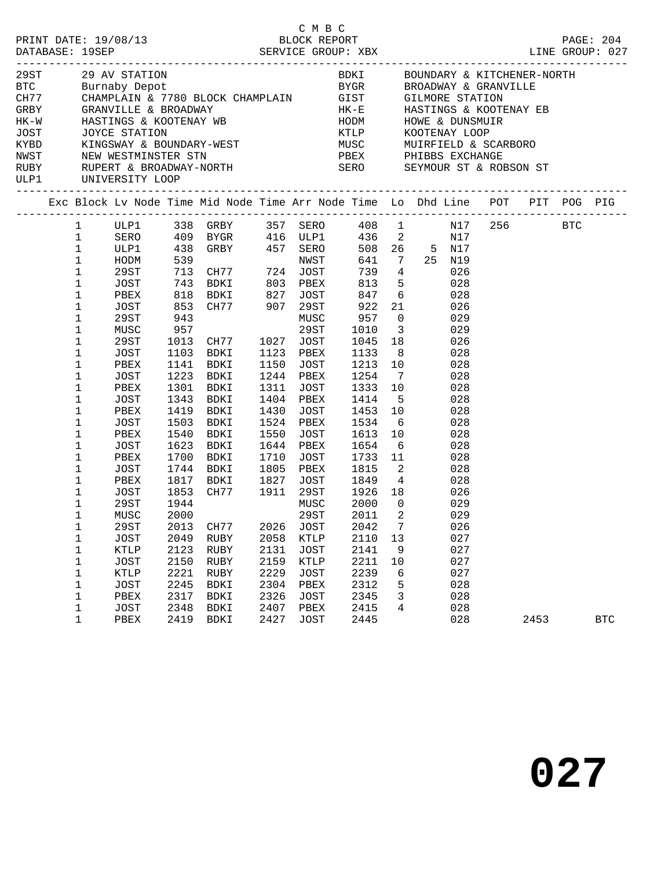|      |                                                                                                                                                                                                                                                                                              |                                                                                                                                                                                                                                                                         |                                                                                            | C M B C<br>PRINT DATE: 19/08/13<br>DATABASE: 19SEP<br>SERVICE GROUP: XBX                                                                                                                                                                                                                                                                                         |                                                              |                                                                                                                                                                                                            |                                                                                                                                                                                                                             |                                                                       |                                                                                                                                                                                                                                                                                | LINE GROUP: 027 |      | PAGE: 204  |
|------|----------------------------------------------------------------------------------------------------------------------------------------------------------------------------------------------------------------------------------------------------------------------------------------------|-------------------------------------------------------------------------------------------------------------------------------------------------------------------------------------------------------------------------------------------------------------------------|--------------------------------------------------------------------------------------------|------------------------------------------------------------------------------------------------------------------------------------------------------------------------------------------------------------------------------------------------------------------------------------------------------------------------------------------------------------------|--------------------------------------------------------------|------------------------------------------------------------------------------------------------------------------------------------------------------------------------------------------------------------|-----------------------------------------------------------------------------------------------------------------------------------------------------------------------------------------------------------------------------|-----------------------------------------------------------------------|--------------------------------------------------------------------------------------------------------------------------------------------------------------------------------------------------------------------------------------------------------------------------------|-----------------|------|------------|
| ULP1 |                                                                                                                                                                                                                                                                                              | UNIVERSITY LOOP                                                                                                                                                                                                                                                         |                                                                                            |                                                                                                                                                                                                                                                                                                                                                                  |                                                              |                                                                                                                                                                                                            |                                                                                                                                                                                                                             |                                                                       |                                                                                                                                                                                                                                                                                |                 |      |            |
|      |                                                                                                                                                                                                                                                                                              |                                                                                                                                                                                                                                                                         |                                                                                            |                                                                                                                                                                                                                                                                                                                                                                  |                                                              |                                                                                                                                                                                                            |                                                                                                                                                                                                                             |                                                                       | Exc Block Lv Node Time Mid Node Time Arr Node Time Lo Dhd Line POT PIT POG PIG                                                                                                                                                                                                 |                 |      |            |
|      | 1<br>$\mathbf{1}$<br>$\mathbf{1}$<br>$\mathbf{1}$<br>$\mathbf 1$<br>$\mathbf{1}$<br>$\mathbf 1$<br>$\mathbf 1$<br>$\mathbf 1$<br>$\mathbf 1$<br>1<br>1<br>1<br>$1\,$<br>1<br>1<br>1<br>1<br>1<br>1<br>1<br>1<br>1<br>1<br>1<br>$\mathbf 1$<br>1<br>$\mathbf 1$<br>$\mathbf 1$<br>$\mathbf 1$ | ULP1 338 GRBY<br>ULP1<br>HODM<br>29ST<br>JOST<br>PBEX<br>JOST<br>29ST<br>MUSC<br>29ST<br>JOST<br>PBEX<br>JOST<br>PBEX<br>JOST<br>PBEX<br>JOST<br>PBEX<br>JOST<br>PBEX<br>JOST<br>PBEX<br>JOST<br>29ST<br>MUSC 2000<br>29ST<br><b>JOST</b><br><b>KTLP</b><br><b>JOST</b> | 943<br>957<br>1301<br>1343<br>1419<br>1540<br>1700<br>1944<br>2013<br>2049<br>2123<br>2150 | ULP1 338 GRBY 357 SERO 408 1<br>SERO 409 BYGR 416 ULP1 436 2<br>438 GRBY 457 SERO<br>818 BDKI 827 JOST<br>853 CH77 907 29ST 922 21<br>1013 CH77<br>1103 BDKI<br>1141 BDKI<br>1223 BDKI<br>BDKI<br>BDKI<br>BDKI<br>1503 BDKI<br>BDKI<br>1623 BDKI<br>1744 BDKI<br>1744 BDKI<br>1817 BDKI<br>1852 C<br>1853 CH77 1911 29ST 1926 18<br>CH77<br>RUBY<br>RUBY<br>RUBY | 1150<br>1430<br>1550<br>1710<br>2026<br>2058<br>2131<br>2159 | MUSC<br>29ST<br>1027 JOST<br>1123 PBEX<br>JOST<br>1244 PBEX<br>1311 JOST<br>1404 PBEX<br>JOST<br>1524 PBEX<br>JOST<br>1644 PBEX<br>JOST<br>1805 PBEX<br>MUSC<br><b>JOST</b><br>KTLP<br><b>JOST</b><br>KTLP | 436 2<br>739 4<br>957 0<br>1010 3<br>1133 8<br>1213 10<br>1254 7<br>1333 10<br>1414 5<br>1453 10<br>1534<br>1613 10<br>1654<br>1733 11<br>1815 2<br>1827 JOST 1849 4<br>2000<br>29ST 2011 2<br>2042<br>2110<br>2141<br>2211 | $6\overline{6}$<br>$\overline{0}$<br>$7\phantom{.0}$<br>13<br>9<br>10 | N17<br>508  26  5  N17<br>641 7 25 N19<br>026<br>$813$ 5<br>028<br>847 6<br>028<br>026<br>029<br>029<br>1045 18<br>026<br>028<br>028<br>028<br>028<br>028<br>028<br>028<br>028<br>$6\overline{6}$<br>028<br>028<br>028<br>028<br>026<br>029<br>029<br>026<br>027<br>027<br>027 | N17 256 BTC     |      |            |
|      | $\mathbf 1$<br>$\mathbf 1$<br>$\mathbf 1$                                                                                                                                                                                                                                                    | KTLP<br><b>JOST</b><br>PBEX                                                                                                                                                                                                                                             | 2221<br>2245<br>2317                                                                       | RUBY<br><b>BDKI</b><br><b>BDKI</b>                                                                                                                                                                                                                                                                                                                               | 2229<br>2304<br>2326                                         | <b>JOST</b><br>PBEX<br><b>JOST</b>                                                                                                                                                                         | 2239<br>2312<br>2345                                                                                                                                                                                                        | 6<br>5<br>3                                                           | 027<br>028<br>028                                                                                                                                                                                                                                                              |                 |      |            |
|      | $1\,$<br>$\mathbf 1$                                                                                                                                                                                                                                                                         | JOST<br>${\tt PBEX}$                                                                                                                                                                                                                                                    | 2348<br>2419                                                                               | BDKI<br>BDKI                                                                                                                                                                                                                                                                                                                                                     | 2407<br>2427                                                 | PBEX<br><b>JOST</b>                                                                                                                                                                                        | 2415<br>2445                                                                                                                                                                                                                | 4                                                                     | 028<br>028                                                                                                                                                                                                                                                                     |                 | 2453 | <b>BTC</b> |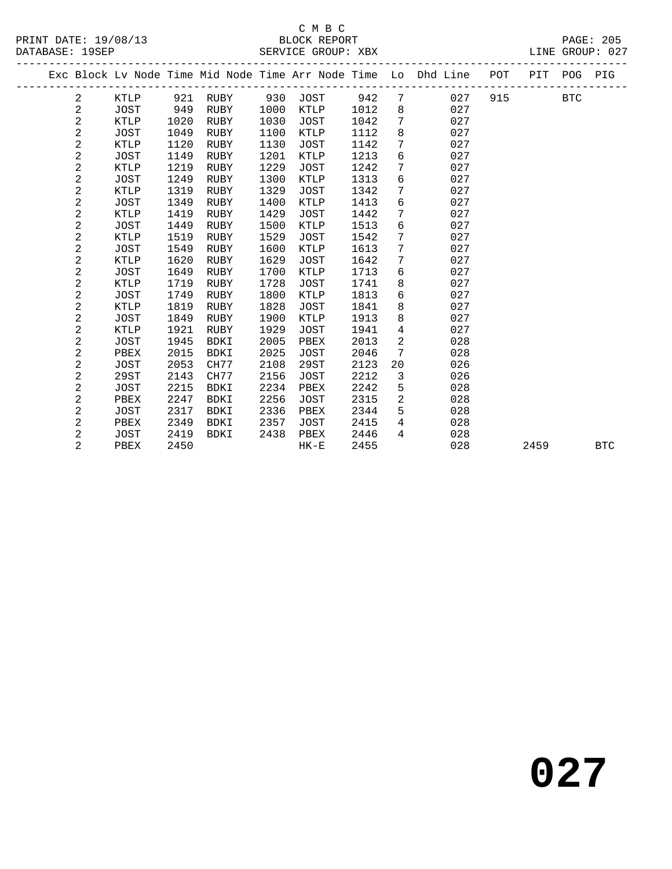#### C M B C<br>BLOCK REPORT SERVICE GROUP: XBX

|  |                         |             |      |             |      |             |      |                 | Exc Block Lv Node Time Mid Node Time Arr Node Time Lo Dhd Line POT PIT POG PIG |     |      |            |            |
|--|-------------------------|-------------|------|-------------|------|-------------|------|-----------------|--------------------------------------------------------------------------------|-----|------|------------|------------|
|  | 2                       | KTLP        |      | 921 RUBY    |      | 930 JOST    | 942  | $7\overline{ }$ | 027                                                                            | 915 |      | <b>BTC</b> |            |
|  | $\overline{\mathbf{c}}$ | <b>JOST</b> | 949  | RUBY        | 1000 | KTLP        | 1012 | 8               | 027                                                                            |     |      |            |            |
|  | $\overline{a}$          | KTLP        | 1020 | RUBY        | 1030 | JOST        | 1042 | $7\overline{ }$ | 027                                                                            |     |      |            |            |
|  | 2                       | JOST        | 1049 | RUBY        | 1100 | KTLP        | 1112 | 8               | 027                                                                            |     |      |            |            |
|  | 2                       | KTLP        | 1120 | RUBY        | 1130 | JOST        | 1142 | $7\phantom{.0}$ | 027                                                                            |     |      |            |            |
|  | $\overline{\mathbf{c}}$ | JOST        | 1149 | RUBY        | 1201 | <b>KTLP</b> | 1213 | 6               | 027                                                                            |     |      |            |            |
|  | $\overline{a}$          | <b>KTLP</b> | 1219 | RUBY        | 1229 | JOST        | 1242 | 7               | 027                                                                            |     |      |            |            |
|  | $\overline{c}$          | JOST        | 1249 | <b>RUBY</b> | 1300 | <b>KTLP</b> | 1313 | 6               | 027                                                                            |     |      |            |            |
|  | $\overline{c}$          | KTLP        | 1319 | RUBY        | 1329 | JOST        | 1342 | $7\phantom{.0}$ | 027                                                                            |     |      |            |            |
|  | 2                       | JOST        | 1349 | RUBY        | 1400 | KTLP        | 1413 | 6               | 027                                                                            |     |      |            |            |
|  | $\overline{\mathbf{c}}$ | <b>KTLP</b> | 1419 | RUBY        | 1429 | JOST        | 1442 | $7\phantom{.0}$ | 027                                                                            |     |      |            |            |
|  | 2                       | JOST        | 1449 | RUBY        | 1500 | KTLP        | 1513 | 6               | 027                                                                            |     |      |            |            |
|  | $\overline{c}$          | <b>KTLP</b> | 1519 | RUBY        | 1529 | JOST        | 1542 | 7               | 027                                                                            |     |      |            |            |
|  | 2                       | JOST        | 1549 | RUBY        | 1600 | KTLP        | 1613 | $7\phantom{.}$  | 027                                                                            |     |      |            |            |
|  | 2                       | <b>KTLP</b> | 1620 | RUBY        | 1629 | JOST        | 1642 | $7\phantom{.0}$ | 027                                                                            |     |      |            |            |
|  | $\overline{c}$          | JOST        | 1649 | RUBY        | 1700 | KTLP        | 1713 | 6               | 027                                                                            |     |      |            |            |
|  | $\overline{\mathbf{c}}$ | <b>KTLP</b> | 1719 | RUBY        | 1728 | JOST        | 1741 | 8               | 027                                                                            |     |      |            |            |
|  | $\overline{c}$          | JOST        | 1749 | RUBY        | 1800 | KTLP        | 1813 | 6               | 027                                                                            |     |      |            |            |
|  | 2                       | KTLP        | 1819 | RUBY        | 1828 | JOST        | 1841 | 8               | 027                                                                            |     |      |            |            |
|  | $\overline{c}$          | JOST        | 1849 | RUBY        | 1900 | <b>KTLP</b> | 1913 | 8               | 027                                                                            |     |      |            |            |
|  | $\overline{c}$          | KTLP        | 1921 | RUBY        | 1929 | JOST        | 1941 | $\overline{4}$  | 027                                                                            |     |      |            |            |
|  | $\overline{\mathbf{c}}$ | JOST        | 1945 | <b>BDKI</b> | 2005 | PBEX        | 2013 | $\overline{a}$  | 028                                                                            |     |      |            |            |
|  | $\overline{c}$          | PBEX        | 2015 | <b>BDKI</b> | 2025 | JOST        | 2046 | $7\phantom{.0}$ | 028                                                                            |     |      |            |            |
|  | 2                       | JOST        | 2053 | CH77        | 2108 | 29ST        | 2123 | 20              | 026                                                                            |     |      |            |            |
|  | 2                       | 29ST        | 2143 | CH77        | 2156 | JOST        | 2212 | $\mathbf{3}$    | 026                                                                            |     |      |            |            |
|  | 2                       | JOST        | 2215 | BDKI        | 2234 | PBEX        | 2242 | 5               | 028                                                                            |     |      |            |            |
|  | 2                       | PBEX        | 2247 | <b>BDKI</b> | 2256 | JOST        | 2315 | $\overline{a}$  | 028                                                                            |     |      |            |            |
|  | 2                       | JOST        | 2317 | BDKI        | 2336 | PBEX        | 2344 | 5               | 028                                                                            |     |      |            |            |
|  | 2                       | PBEX        | 2349 | BDKI        | 2357 | JOST        | 2415 | 4               | 028                                                                            |     |      |            |            |
|  | 2                       | JOST        | 2419 | BDKI        | 2438 | PBEX        | 2446 | $\overline{4}$  | 028                                                                            |     |      |            |            |
|  | $\overline{2}$          | PBEX        | 2450 |             |      | $HK-E$      | 2455 |                 | 028                                                                            |     | 2459 |            | <b>BTC</b> |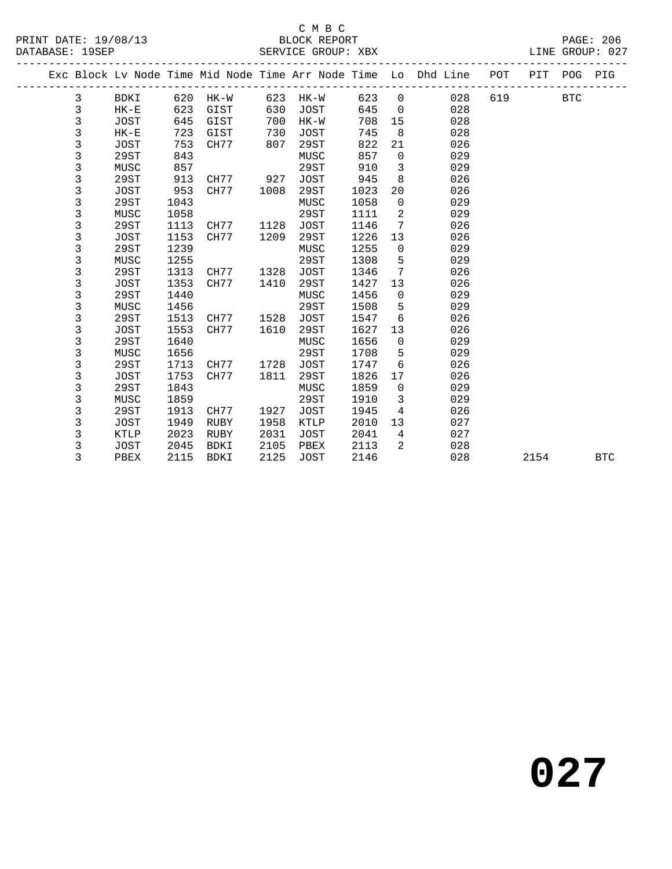#### C M B C<br>BLOCK REPORT SERVICE GROUP: XBX

|  |              |             |      |             |      |             |      |                 | Exc Block Lv Node Time Mid Node Time Arr Node Time Lo Dhd Line POT PIT POG PIG |     |      |     |            |
|--|--------------|-------------|------|-------------|------|-------------|------|-----------------|--------------------------------------------------------------------------------|-----|------|-----|------------|
|  | 3            | BDKI        | 620  | HK-W        | 623  | HK-W        | 623  | $\overline{0}$  | 028                                                                            | 619 |      | BTC |            |
|  | $\mathsf 3$  | $HK-E$      | 623  | GIST        | 630  | JOST        | 645  | $\overline{0}$  | 028                                                                            |     |      |     |            |
|  | $\mathbf{3}$ | JOST        | 645  | GIST        | 700  | $HK-W$      | 708  | 15              | 028                                                                            |     |      |     |            |
|  | 3            | $HK-E$      | 723  | GIST        | 730  | JOST        | 745  | 8               | 028                                                                            |     |      |     |            |
|  | 3            | <b>JOST</b> | 753  | CH77        | 807  | 29ST        | 822  | 21              | 026                                                                            |     |      |     |            |
|  | 3            | 29ST        | 843  |             |      | MUSC        | 857  | $\mathbf 0$     | 029                                                                            |     |      |     |            |
|  | 3            | MUSC        | 857  |             |      | 29ST        | 910  | $\mathbf{3}$    | 029                                                                            |     |      |     |            |
|  | 3            | 29ST        | 913  | CH77        | 927  | <b>JOST</b> | 945  | 8               | 026                                                                            |     |      |     |            |
|  | 3            | JOST        | 953  | CH77        | 1008 | 29ST        | 1023 | 20              | 026                                                                            |     |      |     |            |
|  | 3            | 29ST        | 1043 |             |      | MUSC        | 1058 | $\mathbf 0$     | 029                                                                            |     |      |     |            |
|  | 3            | MUSC        | 1058 |             |      | <b>29ST</b> | 1111 | 2               | 029                                                                            |     |      |     |            |
|  | 3            | 29ST        | 1113 | CH77        | 1128 | <b>JOST</b> | 1146 | $7\phantom{.0}$ | 026                                                                            |     |      |     |            |
|  | 3            | <b>JOST</b> | 1153 | CH77        | 1209 | 29ST        | 1226 | 13              | 026                                                                            |     |      |     |            |
|  | 3            | 29ST        | 1239 |             |      | MUSC        | 1255 | $\mathbf 0$     | 029                                                                            |     |      |     |            |
|  | 3            | MUSC        | 1255 |             |      | 29ST        | 1308 | 5               | 029                                                                            |     |      |     |            |
|  | 3            | 29ST        | 1313 | CH77        | 1328 | <b>JOST</b> | 1346 | $7\phantom{.0}$ | 026                                                                            |     |      |     |            |
|  | 3            | JOST        | 1353 | CH77        | 1410 | 29ST        | 1427 | 13              | 026                                                                            |     |      |     |            |
|  | 3            | 29ST        | 1440 |             |      | MUSC        | 1456 | $\overline{0}$  | 029                                                                            |     |      |     |            |
|  | 3            | MUSC        | 1456 |             |      | 29ST        | 1508 | 5               | 029                                                                            |     |      |     |            |
|  | 3            | 29ST        | 1513 | CH77        | 1528 | JOST        | 1547 | 6               | 026                                                                            |     |      |     |            |
|  | 3            | <b>JOST</b> | 1553 | CH77        | 1610 | 29ST        | 1627 | 13              | 026                                                                            |     |      |     |            |
|  | 3            | 29ST        | 1640 |             |      | MUSC        | 1656 | $\mathbf 0$     | 029                                                                            |     |      |     |            |
|  | 3            | MUSC        | 1656 |             |      | 29ST        | 1708 | 5               | 029                                                                            |     |      |     |            |
|  | 3            | 29ST        | 1713 | CH77        | 1728 | JOST        | 1747 | 6               | 026                                                                            |     |      |     |            |
|  | 3            | <b>JOST</b> | 1753 | CH77        | 1811 | 29ST        | 1826 | 17              | 026                                                                            |     |      |     |            |
|  | 3            | 29ST        | 1843 |             |      | MUSC        | 1859 | $\mathsf{O}$    | 029                                                                            |     |      |     |            |
|  | 3            | MUSC        | 1859 |             |      | 29ST        | 1910 | $\mathbf{3}$    | 029                                                                            |     |      |     |            |
|  | 3            | 29ST        | 1913 | CH77        | 1927 | JOST        | 1945 | 4               | 026                                                                            |     |      |     |            |
|  | 3            | <b>JOST</b> | 1949 | RUBY        | 1958 | <b>KTLP</b> | 2010 | 13              | 027                                                                            |     |      |     |            |
|  | 3            | KTLP        | 2023 | RUBY        | 2031 | JOST        | 2041 | $\overline{4}$  | 027                                                                            |     |      |     |            |
|  | 3            | JOST        | 2045 | BDKI        | 2105 | PBEX        | 2113 | 2               | 028                                                                            |     |      |     |            |
|  | 3            | PBEX        | 2115 | <b>BDKI</b> | 2125 | <b>JOST</b> | 2146 |                 | 028                                                                            |     | 2154 |     | <b>BTC</b> |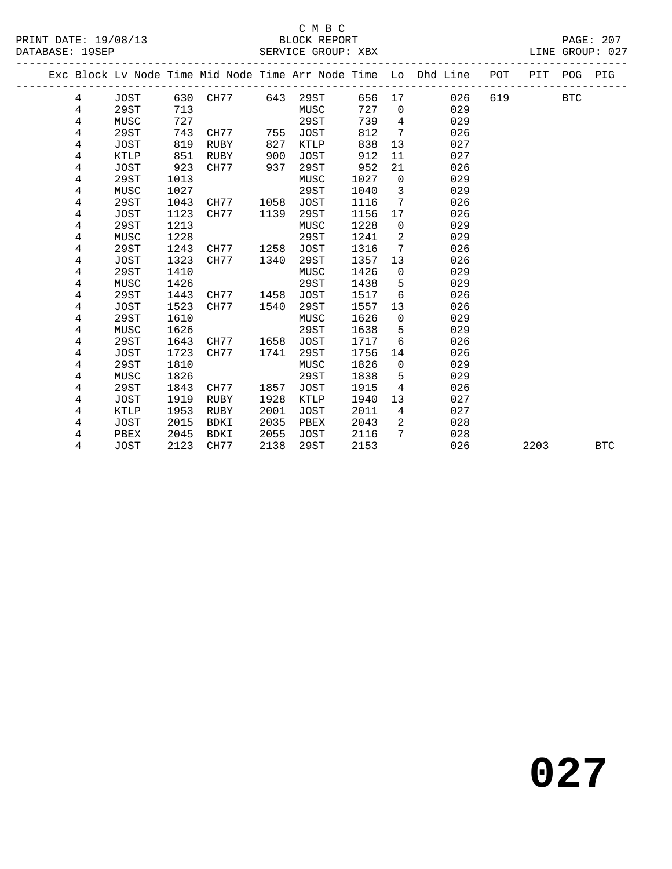## C M B C<br>BLOCK REPORT

LINE GROUP: 027

|  |   |             |      |             |      |             |      |                 | Exc Block Lv Node Time Mid Node Time Arr Node Time Lo Dhd Line | POT | PIT  | POG        | PIG        |
|--|---|-------------|------|-------------|------|-------------|------|-----------------|----------------------------------------------------------------|-----|------|------------|------------|
|  | 4 | JOST        |      | 630 CH77    | 643  | 29ST        | 656  | 17              | 026                                                            | 619 |      | <b>BTC</b> |            |
|  | 4 | 29ST        | 713  |             |      | MUSC        | 727  | $\overline{0}$  | 029                                                            |     |      |            |            |
|  | 4 | MUSC        | 727  |             |      | 29ST        | 739  | $\overline{4}$  | 029                                                            |     |      |            |            |
|  | 4 | 29ST        | 743  | CH77        | 755  | JOST        | 812  | $7\overline{ }$ | 026                                                            |     |      |            |            |
|  | 4 | JOST        | 819  | RUBY        | 827  | KTLP        | 838  | 13              | 027                                                            |     |      |            |            |
|  | 4 | KTLP        | 851  | RUBY        | 900  | <b>JOST</b> | 912  | 11              | 027                                                            |     |      |            |            |
|  | 4 | JOST        | 923  | CH77        | 937  | 29ST        | 952  | 21              | 026                                                            |     |      |            |            |
|  | 4 | 29ST        | 1013 |             |      | MUSC        | 1027 | $\mathsf{O}$    | 029                                                            |     |      |            |            |
|  | 4 | MUSC        | 1027 |             |      | 29ST        | 1040 | 3               | 029                                                            |     |      |            |            |
|  | 4 | 29ST        | 1043 | CH77        | 1058 | <b>JOST</b> | 1116 | $7\phantom{.0}$ | 026                                                            |     |      |            |            |
|  | 4 | JOST        | 1123 | CH77        | 1139 | 29ST        | 1156 | 17              | 026                                                            |     |      |            |            |
|  | 4 | 29ST        | 1213 |             |      | MUSC        | 1228 | $\overline{0}$  | 029                                                            |     |      |            |            |
|  | 4 | MUSC        | 1228 |             |      | 29ST        | 1241 | 2               | 029                                                            |     |      |            |            |
|  | 4 | 29ST        | 1243 | CH77        | 1258 | <b>JOST</b> | 1316 | 7               | 026                                                            |     |      |            |            |
|  | 4 | JOST        | 1323 | CH77        | 1340 | 29ST        | 1357 | 13              | 026                                                            |     |      |            |            |
|  | 4 | 29ST        | 1410 |             |      | MUSC        | 1426 | $\mathbf 0$     | 029                                                            |     |      |            |            |
|  | 4 | MUSC        | 1426 |             |      | 29ST        | 1438 | 5               | 029                                                            |     |      |            |            |
|  | 4 | 29ST        | 1443 | CH77        | 1458 | <b>JOST</b> | 1517 | 6               | 026                                                            |     |      |            |            |
|  | 4 | JOST        | 1523 | CH77        | 1540 | 29ST        | 1557 | 13              | 026                                                            |     |      |            |            |
|  | 4 | 29ST        | 1610 |             |      | MUSC        | 1626 | $\overline{0}$  | 029                                                            |     |      |            |            |
|  | 4 | MUSC        | 1626 |             |      | 29ST        | 1638 | 5               | 029                                                            |     |      |            |            |
|  | 4 | 29ST        | 1643 | CH77        | 1658 | <b>JOST</b> | 1717 | 6               | 026                                                            |     |      |            |            |
|  | 4 | JOST        | 1723 | CH77        | 1741 | 29ST        | 1756 | 14              | 026                                                            |     |      |            |            |
|  | 4 | 29ST        | 1810 |             |      | MUSC        | 1826 | $\mathbf 0$     | 029                                                            |     |      |            |            |
|  | 4 | MUSC        | 1826 |             |      | 29ST        | 1838 | 5               | 029                                                            |     |      |            |            |
|  | 4 | 29ST        | 1843 | CH77        | 1857 | <b>JOST</b> | 1915 | 4               | 026                                                            |     |      |            |            |
|  | 4 | <b>JOST</b> | 1919 | <b>RUBY</b> | 1928 | KTLP        | 1940 | 13              | 027                                                            |     |      |            |            |
|  | 4 | <b>KTLP</b> | 1953 | RUBY        | 2001 | <b>JOST</b> | 2011 | $\overline{4}$  | 027                                                            |     |      |            |            |
|  | 4 | <b>JOST</b> | 2015 | <b>BDKI</b> | 2035 | PBEX        | 2043 | 2               | 028                                                            |     |      |            |            |
|  | 4 | PBEX        | 2045 | BDKI        | 2055 | <b>JOST</b> | 2116 | 7               | 028                                                            |     |      |            |            |
|  | 4 | <b>JOST</b> | 2123 | CH77        | 2138 | 29ST        | 2153 |                 | 026                                                            |     | 2203 |            | <b>BTC</b> |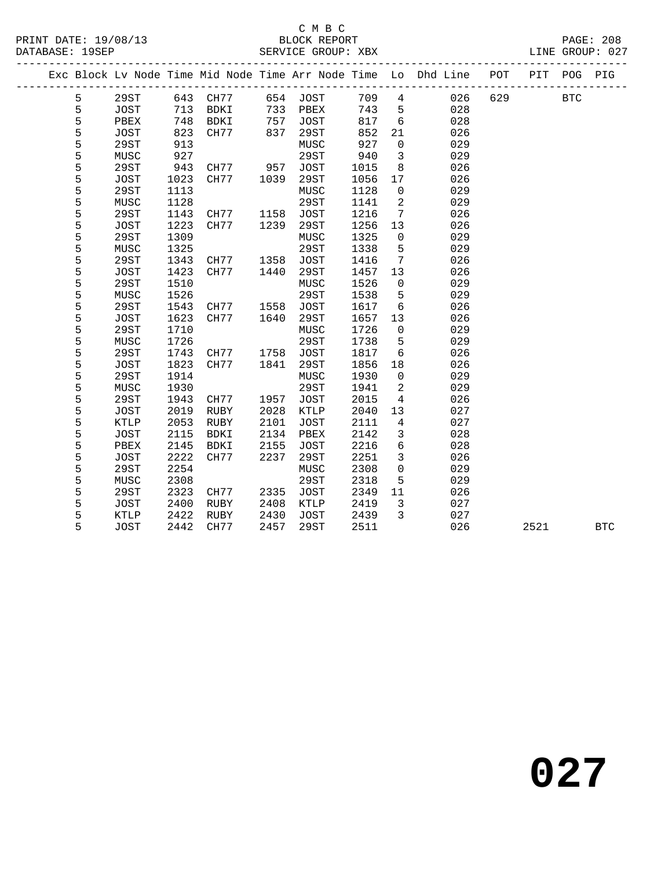## C M B C<br>BLOCK REPORT

|               |              |              |              |                                                                              |              |              |                      | Exc Block Lv Node Time Mid Node Time Arr Node Time Lo Dhd Line | POT | PIT  | POG          | PIG        |
|---------------|--------------|--------------|--------------|------------------------------------------------------------------------------|--------------|--------------|----------------------|----------------------------------------------------------------|-----|------|--------------|------------|
| 5             | 29ST         |              | 643 CH77     |                                                                              | 654 JOST     | 709          | $\overline{4}$       | 026                                                            | 629 |      | $_{\rm BTC}$ |            |
| 5             | JOST         | 713          | BDKI         |                                                                              | PBEX         | 743          | 5                    | 028                                                            |     |      |              |            |
| 5             | PBEX         | 748          | BDKI         | $\begin{array}{c} \n \overline{757} \\  757 \\  \overline{27}\n \end{array}$ | JOST         | 817          | $6\overline{6}$      | 028                                                            |     |      |              |            |
| $\frac{5}{5}$ | JOST         | 823          | CH77         | 837                                                                          | 29ST         | 852          | 21                   | 026                                                            |     |      |              |            |
|               | 29ST         | 913          |              |                                                                              | MUSC         | 927          | $\overline{0}$       | 029                                                            |     |      |              |            |
| 5             | MUSC         | 927          |              |                                                                              | 29ST         | 940          | $\mathbf{3}$         | 029                                                            |     |      |              |            |
| 5             | 29ST         | 943          | CH77         | 957                                                                          | JOST         | 1015         | 8                    | 026                                                            |     |      |              |            |
| 5             | JOST         | 1023         | CH77         | 1039                                                                         | 29ST         | 1056         | 17                   | 026                                                            |     |      |              |            |
| 5             | 29ST         | 1113         |              |                                                                              | MUSC         | 1128         | $\overline{0}$       | 029                                                            |     |      |              |            |
| $\frac{5}{5}$ | MUSC         | 1128         |              |                                                                              | 29ST         | 1141         | 2                    | 029                                                            |     |      |              |            |
|               | 29ST         | 1143         | CH77         | 1158                                                                         | JOST         | 1216         | $7\overline{ }$      | 026                                                            |     |      |              |            |
| 5             | JOST         | 1223         | CH77         | 1239                                                                         | 29ST         | 1256         | 13                   | 026                                                            |     |      |              |            |
| 5             | 29ST         | 1309         |              |                                                                              | MUSC         | 1325         | $\overline{0}$       | 029                                                            |     |      |              |            |
| 5             | MUSC         | 1325         |              |                                                                              | 29ST         | 1338         | 5                    | 029                                                            |     |      |              |            |
| 5             | 29ST         | 1343         | CH77         | 1358                                                                         | JOST         | 1416         | $7\overline{ }$      | 026                                                            |     |      |              |            |
| 5             | JOST         | 1423         | CH77         | 1440                                                                         | 29ST         | 1457         | 13                   | 026                                                            |     |      |              |            |
| 5             | 29ST         | 1510         |              |                                                                              | MUSC         | 1526         | $\overline{0}$       | 029                                                            |     |      |              |            |
| 5             | MUSC         | 1526         |              |                                                                              | 29ST         | 1538         | 5                    | 029                                                            |     |      |              |            |
| 5             | 29ST         | 1543         | CH77         | 1558                                                                         | JOST         | 1617         | $6\overline{6}$      | 026                                                            |     |      |              |            |
| 5             | JOST         | 1623         | CH77         | 1640                                                                         | 29ST         | 1657         | 13                   | 026                                                            |     |      |              |            |
| 5             | 29ST         | 1710         |              |                                                                              | MUSC         | 1726         | $\overline{0}$       | 029                                                            |     |      |              |            |
| 5             | MUSC         | 1726         |              |                                                                              | 29ST         | 1738         | 5                    | 029                                                            |     |      |              |            |
| 5             | 29ST         | 1743         | CH77         | 1758                                                                         | <b>JOST</b>  | 1817         | $6\overline{6}$      | 026                                                            |     |      |              |            |
| 5<br>5        | JOST         | 1823         | CH77         | 1841                                                                         | 29ST         | 1856         | 18                   | 026                                                            |     |      |              |            |
|               | 29ST         | 1914         |              |                                                                              | MUSC         | 1930         | $\overline{0}$       | 029                                                            |     |      |              |            |
| 5             | MUSC         | 1930         |              |                                                                              | 29ST         | 1941         | $\overline{a}$       | 029                                                            |     |      |              |            |
| 5<br>5        | 29ST<br>JOST | 1943<br>2019 | CH77<br>RUBY | 1957<br>2028                                                                 | JOST<br>KTLP | 2015<br>2040 | $\overline{4}$<br>13 | 026<br>027                                                     |     |      |              |            |
| 5             | KTLP         | 2053         | RUBY         | 2101                                                                         | JOST         | 2111         | $4\overline{4}$      | 027                                                            |     |      |              |            |
| 5             | JOST         | 2115         | BDKI         | 2134                                                                         | PBEX         | 2142         | $\mathbf{3}$         | 028                                                            |     |      |              |            |
| 5             | PBEX         | 2145         | BDKI         | 2155                                                                         | <b>JOST</b>  | 2216         | $6\overline{6}$      | 028                                                            |     |      |              |            |
| 5             | <b>JOST</b>  | 2222         | CH77         | 2237                                                                         | 29ST         | 2251         | $\mathbf{3}$         | 026                                                            |     |      |              |            |
| 5             | 29ST         | 2254         |              |                                                                              | MUSC         | 2308         | $\overline{0}$       | 029                                                            |     |      |              |            |
| 5             | MUSC         | 2308         |              |                                                                              | 29ST         | 2318         | 5                    | 029                                                            |     |      |              |            |
| 5             | 29ST         | 2323         | CH77         | 2335                                                                         | JOST         | 2349         | 11                   | 026                                                            |     |      |              |            |
| 5             | JOST         | 2400         | RUBY         | 2408                                                                         | KTLP         | 2419         | $\overline{3}$       | 027                                                            |     |      |              |            |
| 5             | KTLP         | 2422         | RUBY         | 2430                                                                         | JOST         | 2439         | $\overline{3}$       | 027                                                            |     |      |              |            |
| 5             | <b>JOST</b>  | 2442         | CH77         | 2457                                                                         | 29ST         | 2511         |                      | 026                                                            |     | 2521 |              | <b>BTC</b> |
|               |              |              |              |                                                                              |              |              |                      |                                                                |     |      |              |            |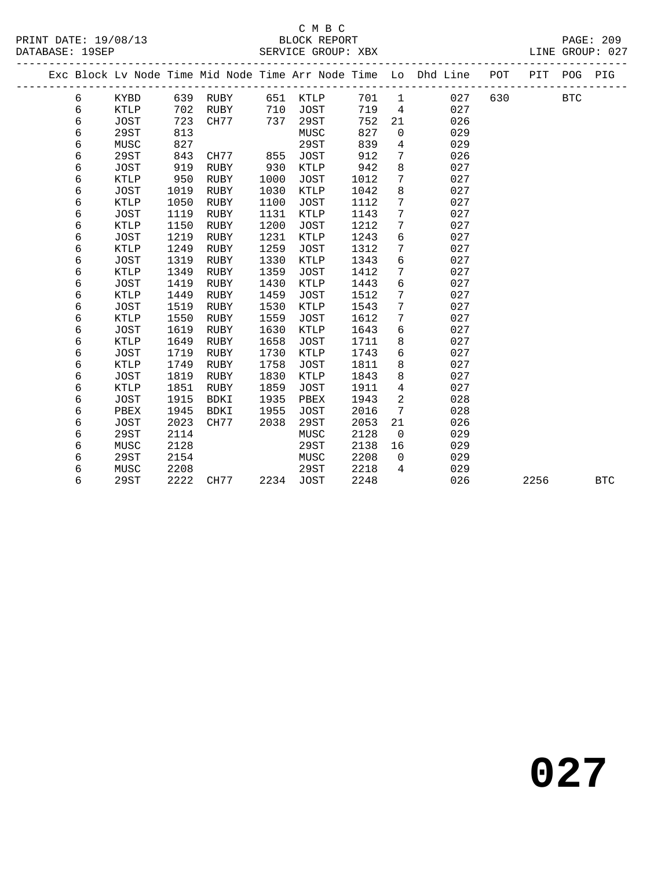## C M B C<br>BLOCK REPORT

|  |            |             |      |             |      |             |      | -----------    | Exc Block Lv Node Time Mid Node Time Arr Node Time Lo Dhd Line | POT | PIT  | POG        | PIG        |
|--|------------|-------------|------|-------------|------|-------------|------|----------------|----------------------------------------------------------------|-----|------|------------|------------|
|  | 6          | KYBD        |      | 639 RUBY    | 651  | KTLP        | 701  | $\mathbf{1}$   | 027                                                            | 630 |      | <b>BTC</b> |            |
|  | $\epsilon$ | <b>KTLP</b> | 702  | RUBY        | 710  | <b>JOST</b> | 719  | $\overline{4}$ | 027                                                            |     |      |            |            |
|  | $\epsilon$ | <b>JOST</b> | 723  | CH77        | 737  | 29ST        | 752  | 21             | 026                                                            |     |      |            |            |
|  | 6          | 29ST        | 813  |             |      | MUSC        | 827  | $\mathbf 0$    | 029                                                            |     |      |            |            |
|  | $\epsilon$ | MUSC        | 827  |             |      | 29ST        | 839  | $\overline{4}$ | 029                                                            |     |      |            |            |
|  | $\epsilon$ | 29ST        | 843  | CH77        | 855  | JOST        | 912  | 7              | 026                                                            |     |      |            |            |
|  | 6          | JOST        | 919  | <b>RUBY</b> | 930  | KTLP        | 942  | 8              | 027                                                            |     |      |            |            |
|  | 6          | <b>KTLP</b> | 950  | <b>RUBY</b> | 1000 | JOST        | 1012 | 7              | 027                                                            |     |      |            |            |
|  | $\epsilon$ | <b>JOST</b> | 1019 | <b>RUBY</b> | 1030 | KTLP        | 1042 | 8              | 027                                                            |     |      |            |            |
|  | 6          | KTLP        | 1050 | RUBY        | 1100 | <b>JOST</b> | 1112 | 7              | 027                                                            |     |      |            |            |
|  | 6          | <b>JOST</b> | 1119 | <b>RUBY</b> | 1131 | <b>KTLP</b> | 1143 | 7              | 027                                                            |     |      |            |            |
|  | 6          | KTLP        | 1150 | RUBY        | 1200 | <b>JOST</b> | 1212 | 7              | 027                                                            |     |      |            |            |
|  | 6          | <b>JOST</b> | 1219 | RUBY        | 1231 | KTLP        | 1243 | 6              | 027                                                            |     |      |            |            |
|  | 6          | <b>KTLP</b> | 1249 | <b>RUBY</b> | 1259 | <b>JOST</b> | 1312 | 7              | 027                                                            |     |      |            |            |
|  | $\epsilon$ | <b>JOST</b> | 1319 | <b>RUBY</b> | 1330 | KTLP        | 1343 | $\epsilon$     | 027                                                            |     |      |            |            |
|  | 6          | KTLP        | 1349 | RUBY        | 1359 | <b>JOST</b> | 1412 | 7              | 027                                                            |     |      |            |            |
|  | 6          | JOST        | 1419 | <b>RUBY</b> | 1430 | KTLP        | 1443 | б              | 027                                                            |     |      |            |            |
|  | $\epsilon$ | <b>KTLP</b> | 1449 | <b>RUBY</b> | 1459 | <b>JOST</b> | 1512 | 7              | 027                                                            |     |      |            |            |
|  | $\epsilon$ | JOST        | 1519 | RUBY        | 1530 | KTLP        | 1543 | 7              | 027                                                            |     |      |            |            |
|  | 6          | <b>KTLP</b> | 1550 | RUBY        | 1559 | <b>JOST</b> | 1612 | 7              | 027                                                            |     |      |            |            |
|  | 6          | <b>JOST</b> | 1619 | <b>RUBY</b> | 1630 | KTLP        | 1643 | 6              | 027                                                            |     |      |            |            |
|  | 6          | <b>KTLP</b> | 1649 | <b>RUBY</b> | 1658 | <b>JOST</b> | 1711 | 8              | 027                                                            |     |      |            |            |
|  | 6          | JOST        | 1719 | RUBY        | 1730 | KTLP        | 1743 | 6              | 027                                                            |     |      |            |            |
|  | 6          | <b>KTLP</b> | 1749 | <b>RUBY</b> | 1758 | <b>JOST</b> | 1811 | 8              | 027                                                            |     |      |            |            |
|  | 6          | <b>JOST</b> | 1819 | <b>RUBY</b> | 1830 | KTLP        | 1843 | 8              | 027                                                            |     |      |            |            |
|  | 6          | KTLP        | 1851 | RUBY        | 1859 | <b>JOST</b> | 1911 | 4              | 027                                                            |     |      |            |            |
|  | 6          | JOST        | 1915 | <b>BDKI</b> | 1935 | PBEX        | 1943 | 2              | 028                                                            |     |      |            |            |
|  | б          | PBEX        | 1945 | BDKI        | 1955 | <b>JOST</b> | 2016 | 7              | 028                                                            |     |      |            |            |
|  | б          | <b>JOST</b> | 2023 | CH77        | 2038 | 29ST        | 2053 | 21             | 026                                                            |     |      |            |            |
|  | б          | 29ST        | 2114 |             |      | MUSC        | 2128 | $\overline{0}$ | 029                                                            |     |      |            |            |
|  | 6          | MUSC        | 2128 |             |      | 29ST        | 2138 | 16             | 029                                                            |     |      |            |            |
|  | 6          | 29ST        | 2154 |             |      | MUSC        | 2208 | $\overline{0}$ | 029                                                            |     |      |            |            |
|  | 6          | MUSC        | 2208 |             |      | 29ST        | 2218 | $\overline{4}$ | 029                                                            |     |      |            |            |
|  | 6          | 29ST        | 2222 | CH77        | 2234 | JOST        | 2248 |                | 026                                                            |     | 2256 |            | <b>BTC</b> |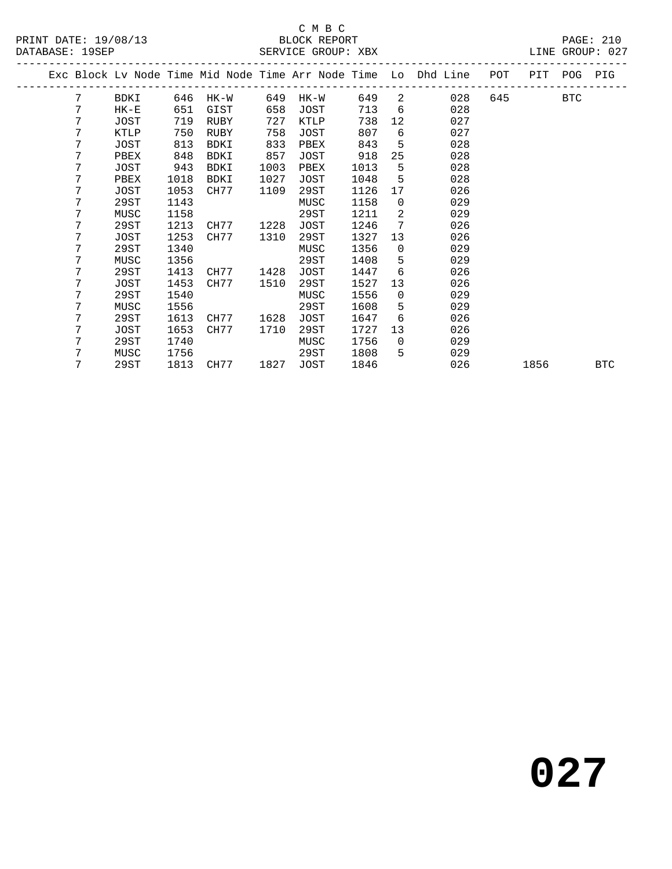#### C M B C<br>BLOCK REPORT SERVICE GROUP: XBX

|   |             |      |      |      |      |      |                 | Exc Block Lv Node Time Mid Node Time Arr Node Time Lo Dhd Line | POT | PIT  | POG        | PIG        |
|---|-------------|------|------|------|------|------|-----------------|----------------------------------------------------------------|-----|------|------------|------------|
| 7 | BDKI        | 646  | HK-W | 649  | HK-W | 649  | 2               | 028                                                            | 645 |      | <b>BTC</b> |            |
| 7 | $HK-E$      | 651  | GIST | 658  | JOST | 713  | 6               | 028                                                            |     |      |            |            |
| 7 | JOST        | 719  | RUBY | 727  | KTLP | 738  | 12 <sup>°</sup> | 027                                                            |     |      |            |            |
| 7 | KTLP        | 750  | RUBY | 758  | JOST | 807  | 6               | 027                                                            |     |      |            |            |
| 7 | JOST        | 813  | BDKI | 833  | PBEX | 843  | 5               | 028                                                            |     |      |            |            |
| 7 | PBEX        | 848  | BDKI | 857  | JOST | 918  | 25              | 028                                                            |     |      |            |            |
| 7 | JOST        | 943  | BDKI | 1003 | PBEX | 1013 | 5               | 028                                                            |     |      |            |            |
| 7 | PBEX        | 1018 | BDKI | 1027 | JOST | 1048 | 5               | 028                                                            |     |      |            |            |
| 7 | <b>JOST</b> | 1053 | CH77 | 1109 | 29ST | 1126 | 17              | 026                                                            |     |      |            |            |
| 7 | 29ST        | 1143 |      |      | MUSC | 1158 | $\overline{0}$  | 029                                                            |     |      |            |            |
| 7 | MUSC        | 1158 |      |      | 29ST | 1211 | 2               | 029                                                            |     |      |            |            |
| 7 | 29ST        | 1213 | CH77 | 1228 | JOST | 1246 | 7               | 026                                                            |     |      |            |            |
| 7 | <b>JOST</b> | 1253 | CH77 | 1310 | 29ST | 1327 | 13              | 026                                                            |     |      |            |            |
| 7 | 29ST        | 1340 |      |      | MUSC | 1356 | $\mathbf 0$     | 029                                                            |     |      |            |            |
| 7 | MUSC        | 1356 |      |      | 29ST | 1408 | 5               | 029                                                            |     |      |            |            |
| 7 | 29ST        | 1413 | CH77 | 1428 | JOST | 1447 | 6               | 026                                                            |     |      |            |            |
| 7 | <b>JOST</b> | 1453 | CH77 | 1510 | 29ST | 1527 | 13              | 026                                                            |     |      |            |            |
| 7 | 29ST        | 1540 |      |      | MUSC | 1556 | $\mathbf 0$     | 029                                                            |     |      |            |            |
| 7 | MUSC        | 1556 |      |      | 29ST | 1608 | 5               | 029                                                            |     |      |            |            |
| 7 | 29ST        | 1613 | CH77 | 1628 | JOST | 1647 | 6               | 026                                                            |     |      |            |            |
| 7 | <b>JOST</b> | 1653 | CH77 | 1710 | 29ST | 1727 | 13              | 026                                                            |     |      |            |            |
| 7 | 29ST        | 1740 |      |      | MUSC | 1756 | $\overline{0}$  | 029                                                            |     |      |            |            |
| 7 | MUSC        | 1756 |      |      | 29ST | 1808 | 5               | 029                                                            |     |      |            |            |
| 7 | 29ST        | 1813 | CH77 | 1827 | JOST | 1846 |                 | 026                                                            |     | 1856 |            | <b>BTC</b> |
|   |             |      |      |      |      |      |                 |                                                                |     |      |            |            |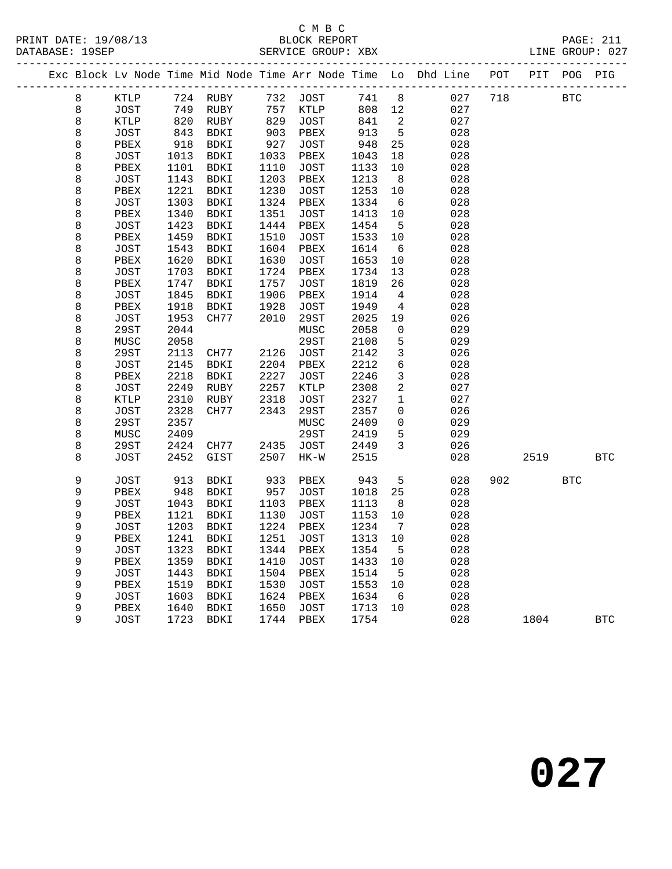#### C M B C<br>BLOCK REPORT SERVICE GROUP: XBX

|  |             |              |              |                 |                 |              |              |                 | Exc Block Lv Node Time Mid Node Time Arr Node Time Lo Dhd Line POT PIT POG PIG |     |      |              |              |
|--|-------------|--------------|--------------|-----------------|-----------------|--------------|--------------|-----------------|--------------------------------------------------------------------------------|-----|------|--------------|--------------|
|  | 8           | KTLP         |              | 724 RUBY        | 732             | JOST         | 741          | 8 <sup>8</sup>  | 027                                                                            | 718 |      | $_{\rm BTC}$ |              |
|  | 8           | JOST         | 749          | RUBY            | 757             | KTLP         | 808          | $12$            | 027                                                                            |     |      |              |              |
|  | $\,8\,$     | KTLP         | 820          | RUBY            | 829             | JOST         | 841          | 2               | 027                                                                            |     |      |              |              |
|  | $\,8\,$     | <b>JOST</b>  | 843          | BDKI            | $\frac{1}{903}$ | PBEX         | 913          | $5\phantom{.0}$ | 028                                                                            |     |      |              |              |
|  | $\,8\,$     | PBEX         | 918          | BDKI            | 927             | JOST         | 948          | 25              | 028                                                                            |     |      |              |              |
|  | 8           | JOST         | 1013         | BDKI            | 1033            | PBEX         | 1043         | 18              | 028                                                                            |     |      |              |              |
|  | $\,8\,$     | PBEX         | 1101         | BDKI            | 1110            | JOST         | 1133         | 10              | 028                                                                            |     |      |              |              |
|  | $\,8\,$     | JOST         | 1143         | BDKI            | 1203            | PBEX         | 1213         | 8               | 028                                                                            |     |      |              |              |
|  | 8           | PBEX         | 1221         | BDKI            | 1230            | JOST         | 1253         | 10              | 028                                                                            |     |      |              |              |
|  | 8           | JOST         | 1303         | BDKI            | 1324            | PBEX         | 1334         | 6               | 028                                                                            |     |      |              |              |
|  | $\,8\,$     | ${\tt PBEX}$ | 1340         | BDKI            | 1351            | JOST         | 1413         | 10              | 028                                                                            |     |      |              |              |
|  | $\,8\,$     | <b>JOST</b>  | 1423         | BDKI            | 1444            | PBEX         | 1454         | $5\overline{5}$ | 028                                                                            |     |      |              |              |
|  | $\,8\,$     | PBEX         | 1459         | BDKI            | 1510            | JOST         | 1533         | 10              | 028                                                                            |     |      |              |              |
|  | $\,8\,$     | JOST         | 1543         | BDKI            | 1604            | PBEX         | 1614         | - 6             | 028                                                                            |     |      |              |              |
|  | 8           | PBEX         | 1620         | BDKI            | 1630            | JOST         | 1653         | $10 \,$         | 028                                                                            |     |      |              |              |
|  | $\,8\,$     | <b>JOST</b>  | 1703         | BDKI            | 1724            | PBEX         | 1734         | 13              | 028                                                                            |     |      |              |              |
|  | $\,8\,$     | PBEX         | 1747         | BDKI            | 1757            | <b>JOST</b>  | 1819         | 26              | 028                                                                            |     |      |              |              |
|  | $\,8\,$     | JOST         | 1845         | BDKI            | 1906            | PBEX         | 1914         | 4               | 028                                                                            |     |      |              |              |
|  | $\,8\,$     | PBEX         | 1918         | BDKI            | 1928            | <b>JOST</b>  | 1949         | $\overline{4}$  | 028                                                                            |     |      |              |              |
|  | $\,8\,$     | JOST         | 1953         | CH77            | 2010            | 29ST         | 2025         | 19              | 026                                                                            |     |      |              |              |
|  | $\,8\,$     | 29ST         | 2044         |                 |                 | MUSC         | 2058         | 0               | 029                                                                            |     |      |              |              |
|  | $\,8\,$     | MUSC         | 2058         |                 |                 | <b>29ST</b>  | 2108         | 5               | 029                                                                            |     |      |              |              |
|  | $\,8\,$     | 29ST         | 2113         | CH77            | 2126            | JOST         | 2142         | $\mathbf{3}$    | 026                                                                            |     |      |              |              |
|  | $\,8\,$     | <b>JOST</b>  | 2145         | BDKI            | 2204            | PBEX         | 2212         | $\epsilon$      | 028                                                                            |     |      |              |              |
|  | $\,8\,$     | PBEX         | 2218         | BDKI            | 2227            | JOST         | 2246         | $\mathbf{3}$    | 028                                                                            |     |      |              |              |
|  | $\,8\,$     | JOST         | 2249         | RUBY            | 2257            | KTLP         | 2308         | 2               | 027                                                                            |     |      |              |              |
|  | $\,8\,$     | <b>KTLP</b>  | 2310         | RUBY            | 2318            | JOST         | 2327         | $\mathbf{1}$    | 027                                                                            |     |      |              |              |
|  | $\,8\,$     | <b>JOST</b>  | 2328         | CH77            | 2343            | 29ST         | 2357         | 0               | 026                                                                            |     |      |              |              |
|  | $\,8\,$     | 29ST         | 2357         |                 |                 | ${\tt MUSC}$ | 2409         | $\overline{0}$  | 029                                                                            |     |      |              |              |
|  | $\,8\,$     | MUSC         | 2409         |                 |                 | 29ST         | 2419         | 5               | 029                                                                            |     |      |              |              |
|  | $\,8\,$     | 29ST         | 2424         | CH77            | 2435            | <b>JOST</b>  | 2449         | $\mathbf{3}$    | 026                                                                            |     |      |              |              |
|  | $\,8\,$     | <b>JOST</b>  | 2452         | $\mathtt{GIST}$ | 2507            | $HK-W$       | 2515         |                 | 028                                                                            |     | 2519 |              | $_{\rm BTC}$ |
|  | $\mathsf 9$ | JOST         | 913          | BDKI            | 933             | PBEX         | 943          | 5               | 028                                                                            | 902 |      | <b>BTC</b>   |              |
|  | 9           | PBEX         | 948          | BDKI            | 957             | <b>JOST</b>  | 1018         | 25              | 028                                                                            |     |      |              |              |
|  | 9           | <b>JOST</b>  | 1043         | BDKI            | 1103            | PBEX         | 1113         | 8               | 028                                                                            |     |      |              |              |
|  | 9           | PBEX         | 1121         | BDKI            | 1130            | <b>JOST</b>  | 1153         | $10$            | 028                                                                            |     |      |              |              |
|  | 9           | JOST         | 1203         | BDKI            | 1224            | PBEX         | 1234         | $7\overline{ }$ | 028                                                                            |     |      |              |              |
|  | 9           | PBEX         | 1241         | <b>BDKI</b>     | 1251            | JOST         | 1313         | $10$            | 028                                                                            |     |      |              |              |
|  | 9           | <b>JOST</b>  | 1323         | BDKI            | 1344            | PBEX         | 1354         | 5               | 028                                                                            |     |      |              |              |
|  | 9           | PBEX         | 1359         | BDKI            | 1410            | JOST         | 1433         | 10              | 028                                                                            |     |      |              |              |
|  | 9           | JOST         | 1443         | BDKI            | 1504            | PBEX         | 1514         | $5\overline{5}$ | 028                                                                            |     |      |              |              |
|  | 9           | PBEX         | 1519         | BDKI            | 1530            | JOST         | 1553         | 10              | 028                                                                            |     |      |              |              |
|  | 9<br>9      | JOST<br>PBEX | 1603<br>1640 | BDKI            | 1624<br>1650    | PBEX         | 1634<br>1713 | 6<br>10         | 028<br>028                                                                     |     |      |              |              |
|  | 9           | <b>JOST</b>  | 1723         | BDKI<br>BDKI    | 1744            | JOST         | 1754         |                 | 028                                                                            |     | 1804 |              | <b>BTC</b>   |
|  |             |              |              |                 |                 | PBEX         |              |                 |                                                                                |     |      |              |              |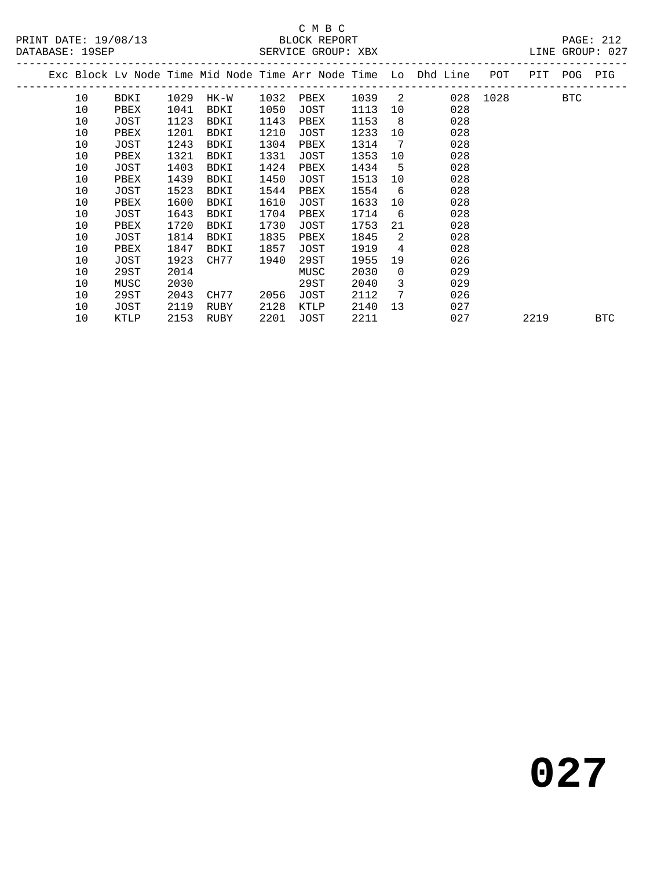# C M B C<br>BLOCK REPORT

PAGE: 212<br>LINE GROUP: 027

|    |      |      |      |      |      |      |                            | Exc Block Ly Node Time Mid Node Time Arr Node Time Lo Dhd Line<br>----------------- | POT<br>--------- | PIT  | POG | PIG |
|----|------|------|------|------|------|------|----------------------------|-------------------------------------------------------------------------------------|------------------|------|-----|-----|
| 10 | BDKI | 1029 | HK-W | 1032 | PBEX | 1039 | $\overline{\phantom{0}}$ 2 | 028                                                                                 | 1028             |      | BTC |     |
| 10 | PBEX | 1041 | BDKI | 1050 | JOST | 1113 | 10                         | 028                                                                                 |                  |      |     |     |
| 10 | JOST | 1123 | BDKI | 1143 | PBEX | 1153 | 8                          | 028                                                                                 |                  |      |     |     |
| 10 | PBEX | 1201 | BDKI | 1210 | JOST | 1233 | 10                         | 028                                                                                 |                  |      |     |     |
| 10 | JOST | 1243 | BDKI | 1304 | PBEX | 1314 | 7                          | 028                                                                                 |                  |      |     |     |
| 10 | PBEX | 1321 | BDKI | 1331 | JOST | 1353 | 10                         | 028                                                                                 |                  |      |     |     |
| 10 | JOST | 1403 | BDKI | 1424 | PBEX | 1434 | 5                          | 028                                                                                 |                  |      |     |     |
| 10 | PBEX | 1439 | BDKI | 1450 | JOST | 1513 | 10                         | 028                                                                                 |                  |      |     |     |
| 10 | JOST | 1523 | BDKI | 1544 | PBEX | 1554 | 6                          | 028                                                                                 |                  |      |     |     |
| 10 | PBEX | 1600 | BDKI | 1610 | JOST | 1633 | 10                         | 028                                                                                 |                  |      |     |     |
| 10 | JOST | 1643 | BDKI | 1704 | PBEX | 1714 | 6                          | 028                                                                                 |                  |      |     |     |
| 10 | PBEX | 1720 | BDKI | 1730 | JOST | 1753 | 21                         | 028                                                                                 |                  |      |     |     |
| 10 | JOST | 1814 | BDKI | 1835 | PBEX | 1845 | 2                          | 028                                                                                 |                  |      |     |     |
| 10 | PBEX | 1847 | BDKI | 1857 | JOST | 1919 | 4                          | 028                                                                                 |                  |      |     |     |
| 10 | JOST | 1923 | CH77 | 1940 | 29ST | 1955 | 19                         | 026                                                                                 |                  |      |     |     |
| 10 | 29ST | 2014 |      |      | MUSC | 2030 | $\Omega$                   | 029                                                                                 |                  |      |     |     |
| 10 | MUSC | 2030 |      |      | 29ST | 2040 | 3                          | 029                                                                                 |                  |      |     |     |
| 10 | 29ST | 2043 | CH77 | 2056 | JOST | 2112 | 7                          | 026                                                                                 |                  |      |     |     |
| 10 | JOST | 2119 | RUBY | 2128 | KTLP | 2140 | 13                         | 027                                                                                 |                  |      |     |     |
| 10 | KTLP | 2153 | RUBY | 2201 | JOST | 2211 |                            | 027                                                                                 |                  | 2219 |     | BTC |
|    |      |      |      |      |      |      |                            |                                                                                     |                  |      |     |     |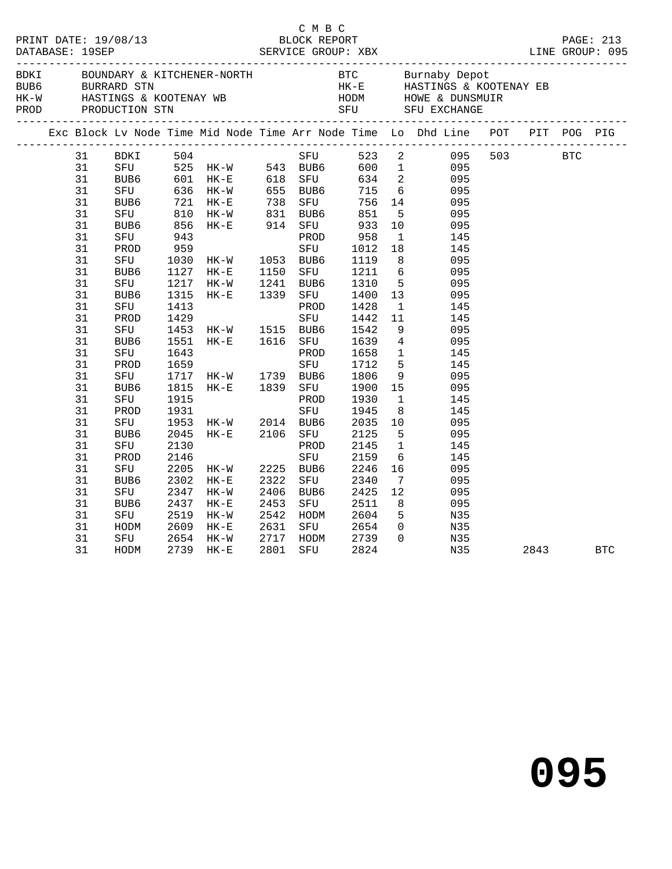|  |    |                  |      |                                                                                                                                                                                          |      | C M B C   |                                                                  |                                  |                                                                                |  |          |  |
|--|----|------------------|------|------------------------------------------------------------------------------------------------------------------------------------------------------------------------------------------|------|-----------|------------------------------------------------------------------|----------------------------------|--------------------------------------------------------------------------------|--|----------|--|
|  |    |                  |      |                                                                                                                                                                                          |      |           |                                                                  |                                  |                                                                                |  |          |  |
|  |    |                  |      |                                                                                                                                                                                          |      |           |                                                                  |                                  | Exc Block Lv Node Time Mid Node Time Arr Node Time Lo Dhd Line POT PIT POG PIG |  |          |  |
|  | 31 | BDKI             | 504  |                                                                                                                                                                                          |      |           |                                                                  |                                  | SFU 523 2 095 503 BTC                                                          |  |          |  |
|  | 31 |                  |      |                                                                                                                                                                                          |      |           |                                                                  |                                  | 600 1 095                                                                      |  |          |  |
|  | 31 |                  |      |                                                                                                                                                                                          |      |           |                                                                  |                                  | 095                                                                            |  |          |  |
|  | 31 |                  |      |                                                                                                                                                                                          |      |           |                                                                  |                                  | 095                                                                            |  |          |  |
|  | 31 |                  |      | SFU 525 HK-W 543 BUB6 600 1<br>BUB6 601 HK-E 618 SFU 634 2<br>SFU 636 HK-W 655 BUB6 715 6<br>BUB6 721 HK-E 738 SFU 756 14<br>SFU 810 HK-W 831 BUB6 851 5<br>BUB6 856 HK-E 914 SFU 933 10 |      |           |                                                                  |                                  | 095                                                                            |  |          |  |
|  | 31 |                  |      |                                                                                                                                                                                          |      |           |                                                                  |                                  | 095                                                                            |  |          |  |
|  | 31 |                  |      |                                                                                                                                                                                          |      |           |                                                                  |                                  | 095                                                                            |  |          |  |
|  | 31 | SFU              | 943  |                                                                                                                                                                                          |      |           | 1014 - 2014<br>1017 - SFU<br>1017 - 2014<br>1017 - 2014 - 2015   |                                  | $\overline{1}$<br>145                                                          |  |          |  |
|  | 31 | PROD             | 959  |                                                                                                                                                                                          |      |           | 1012 18                                                          |                                  | 145                                                                            |  |          |  |
|  | 31 | SFU              |      | 1030 HK-W 1053 BUB6                                                                                                                                                                      |      |           | 1119                                                             |                                  | 8<br>095                                                                       |  |          |  |
|  | 31 | BUB6             |      |                                                                                                                                                                                          |      | SFU       | 1211 6                                                           |                                  | 095                                                                            |  |          |  |
|  | 31 | SFU              |      | 1127 HK-E 1150<br>1217 HK-W 1241                                                                                                                                                         |      | BUB6      | $\begin{array}{ccc} 1211 & 6 \\ 1310 & 5 \\ 33 & 33 \end{array}$ |                                  | 095                                                                            |  |          |  |
|  | 31 | BUB6             | 1315 | $HK-E$                                                                                                                                                                                   | 1339 | SFU       | 1400                                                             | 13                               | 095                                                                            |  |          |  |
|  | 31 | SFU              | 1413 |                                                                                                                                                                                          |      | PROD      | 1428                                                             | $\mathbf{1}$                     | 145                                                                            |  |          |  |
|  | 31 | PROD             | 1429 |                                                                                                                                                                                          |      | SFU       | 1442                                                             | 11                               | 145                                                                            |  |          |  |
|  | 31 | SFU              |      |                                                                                                                                                                                          |      | BUB6      | 1542                                                             | - 9                              | 095                                                                            |  |          |  |
|  | 31 | BUB6             |      | 1453 HK-W 1515<br>1551 HK-E 1616                                                                                                                                                         |      | SFU       | 1639 4                                                           |                                  | 095                                                                            |  |          |  |
|  | 31 | SFU              | 1643 | $\overline{\phantom{a}}$                                                                                                                                                                 |      | PROD      | 1658 1                                                           |                                  | 145                                                                            |  |          |  |
|  | 31 | PROD             | 1659 |                                                                                                                                                                                          |      | SFU       | 1712 5                                                           |                                  | 145                                                                            |  |          |  |
|  | 31 | SFU              |      | 1717 HK-W 1739 BUB6                                                                                                                                                                      |      |           | 1806 9                                                           |                                  | 095                                                                            |  |          |  |
|  | 31 | BUB6             |      | 1815 HK-E 1839                                                                                                                                                                           |      | SFU       | 1900 15                                                          |                                  | 095                                                                            |  |          |  |
|  | 31 | SFU              | 1915 |                                                                                                                                                                                          |      | PROD      | 1930                                                             | $\mathbf{1}$                     | 145                                                                            |  |          |  |
|  | 31 | PROD             | 1931 |                                                                                                                                                                                          |      | SFU       | 1945                                                             | 8 <sup>8</sup>                   | 145                                                                            |  |          |  |
|  | 31 | SFU              |      |                                                                                                                                                                                          |      |           | 2035 10                                                          |                                  | 095                                                                            |  |          |  |
|  | 31 | BUB <sub>6</sub> |      | 1953 HK-W 2014 BUB6<br>2045 HK-E 2106 SFU                                                                                                                                                |      | SFU       | $\begin{array}{ccc}\n2125 & 5\n\end{array}$                      |                                  | 095                                                                            |  |          |  |
|  | 31 | SFU              | 2130 |                                                                                                                                                                                          |      | PROD      | 2145                                                             | $\overline{1}$                   | 145                                                                            |  |          |  |
|  | 31 | PROD             | 2146 |                                                                                                                                                                                          |      | SFU       | 2159                                                             | 6                                | 145                                                                            |  |          |  |
|  | 31 | SFU              |      | 2205 HK-W                                                                                                                                                                                |      | 2225 BUB6 | 2246                                                             | 16                               | 095                                                                            |  |          |  |
|  | 31 | BUB6             | 2302 | $HK-E$                                                                                                                                                                                   | 2322 | SFU       | 2340                                                             | $7\phantom{0}$                   | 095                                                                            |  |          |  |
|  | 31 | SFU              |      | 2347 HK-W                                                                                                                                                                                | 2406 | BUB6      | 2425 12                                                          |                                  | 095                                                                            |  |          |  |
|  | 31 | BUB6             | 2437 | $HK-E$                                                                                                                                                                                   | 2453 | SFU       | 2511                                                             | 8 <sup>8</sup>                   | 095                                                                            |  |          |  |
|  | 31 | SFU              | 2519 | HK-W                                                                                                                                                                                     | 2542 | HODM      | 2604                                                             | 5 <sup>5</sup>                   | N35                                                                            |  |          |  |
|  |    |                  |      |                                                                                                                                                                                          |      |           | SFU 2654                                                         |                                  |                                                                                |  |          |  |
|  | 31 | HODM             |      | 2609 HK-E                                                                                                                                                                                | 2631 |           |                                                                  | $\overline{0}$<br>$\overline{0}$ | N35                                                                            |  |          |  |
|  | 31 | SFU              | 2654 | HK-W                                                                                                                                                                                     | 2717 | HODM      | 2739                                                             |                                  | N35                                                                            |  |          |  |
|  | 31 | HODM             |      | 2739 HK-E                                                                                                                                                                                | 2801 | SFU       | 2824                                                             |                                  | N35                                                                            |  | 2843 BTC |  |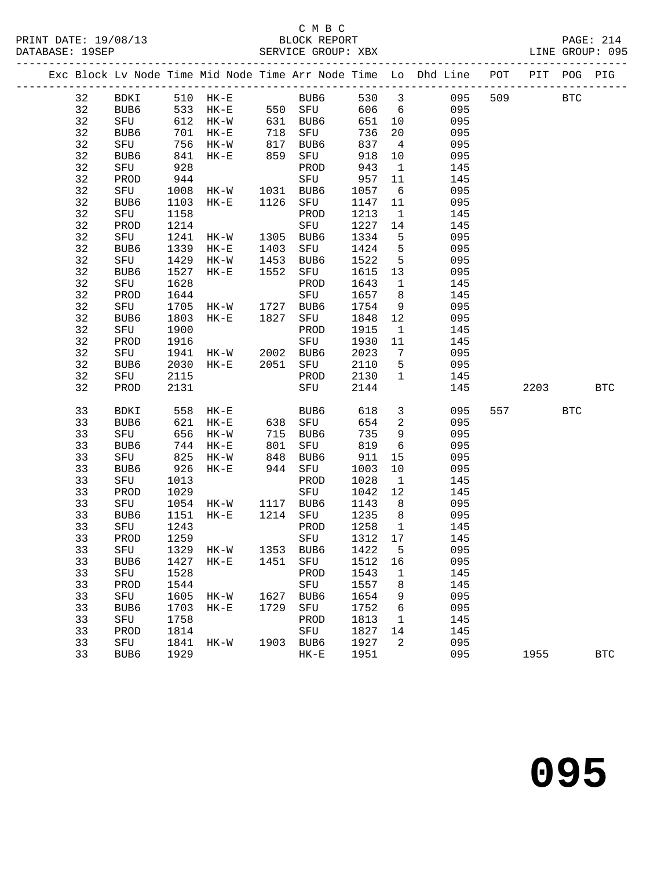## C M B C<br>BLOCK REPORT

|  |    |               |      |                                                  |                   |                                |                           |                         | Exc Block Lv Node Time Mid Node Time Arr Node Time Lo Dhd Line POT PIT POG PIG |            |            |              |
|--|----|---------------|------|--------------------------------------------------|-------------------|--------------------------------|---------------------------|-------------------------|--------------------------------------------------------------------------------|------------|------------|--------------|
|  | 32 |               |      |                                                  |                   |                                |                           |                         | BDKI 510 HK-E BUB6 530 3 095 509                                               | <b>BTC</b> |            |              |
|  | 32 | BUB6 533 HK-E |      |                                                  |                   | $550$ SFU                      |                           |                         | 606 6<br>095                                                                   |            |            |              |
|  | 32 | SFU 612 HK-W  |      |                                                  |                   | 631 BUB6 651 10                |                           |                         | 095                                                                            |            |            |              |
|  | 32 | BUB6          | 701  | $HK-E$                                           | 718<br>817<br>859 | SFU                            | 736 Zu<br>837 4<br>918 10 |                         | 095                                                                            |            |            |              |
|  | 32 | SFU           |      | 756 HK-W                                         |                   | BUB6                           |                           |                         | 095                                                                            |            |            |              |
|  | 32 | BUB6          |      | $841$ HK-E                                       |                   | SFU                            |                           |                         | 095                                                                            |            |            |              |
|  | 32 | SFU           | 928  |                                                  |                   | PROD                           | 943                       | $\overline{1}$          | 145                                                                            |            |            |              |
|  | 32 | PROD          | 944  | 944<br>1008 HK-W 1031 BUB6<br>1103 HK-E 1126 SFU |                   |                                | 957                       | 11                      | 145                                                                            |            |            |              |
|  | 32 | SFU<br>RUB6   |      |                                                  |                   |                                | 1057 6                    |                         | 095                                                                            |            |            |              |
|  | 32 | BUB6          |      |                                                  |                   | SFU                            | 1147                      | 11                      | 095                                                                            |            |            |              |
|  | 32 | SFU           | 1158 |                                                  |                   | PROD                           | 1213                      | $\mathbf{1}$            | 145                                                                            |            |            |              |
|  | 32 | PROD          | 1214 | SFU<br>HK-W 1305 BUB6<br>HK-E 1403 SFU           |                   |                                | 1227                      | 14                      | 145                                                                            |            |            |              |
|  | 32 | SFU           | 1241 |                                                  |                   |                                | 1334                      | 5 <sup>5</sup>          | 095                                                                            |            |            |              |
|  | 32 | BUB6          | 1339 |                                                  |                   | SFU                            | 1424                      | 5 <sub>5</sub>          | 095                                                                            |            |            |              |
|  | 32 | SFU           | 1429 | HK-W                                             | 1453              | BUB6                           | 1522                      | 5 <sup>5</sup>          | 095                                                                            |            |            |              |
|  | 32 | BUB6          | 1527 | $HK-E$                                           |                   | 1552 SFU                       | 1615 13                   |                         | 095                                                                            |            |            |              |
|  | 32 | SFU           | 1628 |                                                  |                   | PROD                           | 1643                      | $\mathbf{1}$            | 145                                                                            |            |            |              |
|  | 32 | PROD          | 1644 |                                                  |                   | SFU                            | 1657 8                    |                         | 145                                                                            |            |            |              |
|  | 32 | SFU           | 1705 | HK-W 1727 BUB6                                   |                   |                                | 1754                      | 9                       | 095                                                                            |            |            |              |
|  | 32 | BUB6          | 1803 | $HK-E$                                           | 1827              | SFU                            | 1848                      | 12                      | 095                                                                            |            |            |              |
|  | 32 | SFU           | 1900 |                                                  |                   | PROD                           | 1915                      | $\mathbf{1}$            | 145                                                                            |            |            |              |
|  | 32 | PROD          | 1916 |                                                  |                   | SFU                            | 1930 11                   |                         | 145                                                                            |            |            |              |
|  | 32 | SFU           |      | 1941 HK-W 2002 BUB6                              |                   |                                | 2023                      | $7\overline{ }$         | 095                                                                            |            |            |              |
|  | 32 | BUB6          |      | 2030 HK-E                                        |                   | 2051 SFU                       | 2110 5                    |                         | 095                                                                            |            |            |              |
|  | 32 | SFU           | 2115 |                                                  |                   | PROD                           | 2130                      | $\overline{1}$          | 145                                                                            |            |            |              |
|  | 32 | PROD          | 2131 |                                                  |                   | SFU                            | 2144                      |                         | 145                                                                            | 2203       | <b>BTC</b> |              |
|  | 33 | BDKI          |      | 558 HK-E                                         |                   | BUB6                           | 618                       | $\overline{\mathbf{3}}$ | 095                                                                            | 557 BTC    |            |              |
|  | 33 | BUB6          | 621  | $HK-E$                                           |                   |                                |                           | $\overline{\mathbf{2}}$ | 095                                                                            |            |            |              |
|  | 33 | SFU           |      | 656 HK-W                                         |                   |                                |                           | 9                       | 095                                                                            |            |            |              |
|  | 33 | BUB6          |      | 744 HK-E                                         |                   | 638 SFU<br>715 BUB6<br>801 SFU | 654<br>735<br>819         | $6\overline{6}$         | 095                                                                            |            |            |              |
|  | 33 | SFU           | 825  | HK-W                                             | 848               | BUB6                           | 911                       | 15                      | 095                                                                            |            |            |              |
|  | 33 | BUB6          | 926  | $HK-E$                                           |                   | 944 SFU                        | 1003                      | 10                      | 095                                                                            |            |            |              |
|  | 33 | SFU           | 1013 |                                                  |                   | PROD                           | 1028                      | $\mathbf{1}$            | 145                                                                            |            |            |              |
|  | 33 | PROD          | 1029 |                                                  |                   | SFU                            | 1042 12                   |                         | 145                                                                            |            |            |              |
|  | 33 | SFU           |      | 1054 HK-W 1117 BUB6                              |                   |                                | 1143 8                    |                         | 095                                                                            |            |            |              |
|  | 33 | BUB6          | 1151 | $HK-E$                                           |                   | 1214 SFU                       | 1235                      | 8 <sup>8</sup>          | 095                                                                            |            |            |              |
|  | 33 | SFU           | 1243 |                                                  |                   | PROD                           | 1258                      | $\mathbf{1}$            | 145                                                                            |            |            |              |
|  | 33 | PROD          | 1259 |                                                  |                   | SFU                            | 1312 17                   |                         | 145                                                                            |            |            |              |
|  |    |               |      |                                                  |                   |                                |                           |                         | 33 SFU 1329 HK-W 1353 BUB6 1422 5 095                                          |            |            |              |
|  | 33 | BUB6          | 1427 | $HK-E$                                           |                   | 1451 SFU                       | 1512                      | 16                      | 095                                                                            |            |            |              |
|  | 33 | SFU           | 1528 |                                                  |                   | PROD                           | 1543                      | 1                       | 145                                                                            |            |            |              |
|  | 33 | PROD          | 1544 |                                                  |                   | SFU                            | 1557                      | 8                       | 145                                                                            |            |            |              |
|  | 33 | SFU           | 1605 | HK-W                                             |                   | 1627 BUB6                      | 1654                      | 9                       | 095                                                                            |            |            |              |
|  | 33 | BUB6          | 1703 | $HK-E$                                           |                   | 1729 SFU                       | 1752                      | 6                       | 095                                                                            |            |            |              |
|  | 33 | SFU           | 1758 |                                                  |                   | PROD                           | 1813                      | $\overline{1}$          | 145                                                                            |            |            |              |
|  | 33 | PROD          | 1814 |                                                  |                   | SFU                            | 1827                      | 14                      | 145                                                                            |            |            |              |
|  | 33 | SFU           | 1841 | HK-W                                             |                   | 1903 BUB6                      | 1927                      | 2                       | 095                                                                            |            |            |              |
|  | 33 | BUB6          | 1929 |                                                  |                   | $\rm{HK}\!-\!\rm{E}$           | 1951                      |                         | 095                                                                            | 1955       |            | $_{\rm BTC}$ |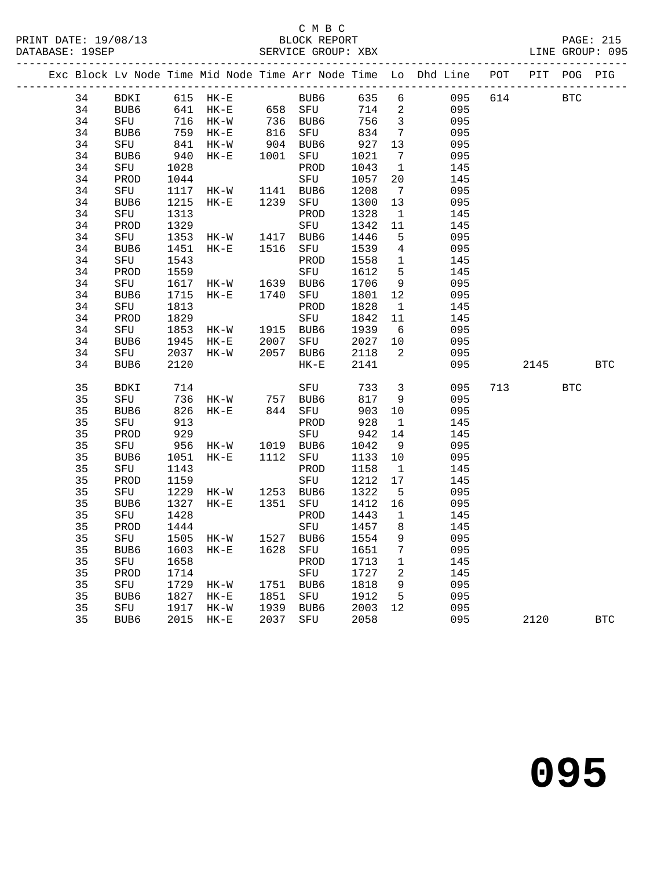## C M B C

|  |    |                  |      |                                                                    |      |                                                                                            |         |                          | Exc Block Lv Node Time Mid Node Time Arr Node Time Lo Dhd Line POT PIT POG PIG |     |          |            |
|--|----|------------------|------|--------------------------------------------------------------------|------|--------------------------------------------------------------------------------------------|---------|--------------------------|--------------------------------------------------------------------------------|-----|----------|------------|
|  |    |                  |      |                                                                    |      |                                                                                            |         |                          | 34 BDKI 615 HK-E BUB6 635 6 095 614 BTC                                        |     |          |            |
|  | 34 |                  |      |                                                                    |      | BUB6 641 HK-E 658 SFU 714 2                                                                |         |                          | 095                                                                            |     |          |            |
|  | 34 |                  |      |                                                                    |      | SFU 716 HK-W 736 BUB6 756 3<br>BUB6 759 HK-E 816 SFU 834 7<br>SFU 841 HK-W 904 BUB6 927 13 |         |                          | 095                                                                            |     |          |            |
|  | 34 |                  |      |                                                                    |      |                                                                                            |         |                          | 095                                                                            |     |          |            |
|  | 34 |                  |      |                                                                    |      |                                                                                            |         |                          | 095                                                                            |     |          |            |
|  | 34 | BUB6             |      | 940 HK-E 1001 SFU                                                  |      |                                                                                            | 1021    | $\overline{7}$           | 095                                                                            |     |          |            |
|  | 34 | SFU              | 1028 |                                                                    |      | PROD                                                                                       | 1043    | $\overline{\mathbf{1}}$  | 145                                                                            |     |          |            |
|  | 34 | PROD             |      |                                                                    |      | SFU                                                                                        | 1057    | 20                       | 145                                                                            |     |          |            |
|  | 34 | SFU              |      |                                                                    |      |                                                                                            | 1208    | $\overline{7}$           | 095                                                                            |     |          |            |
|  | 34 | BUB6             |      | 1215 HK-E 1239                                                     |      | SFU                                                                                        | 1300 13 |                          | 095                                                                            |     |          |            |
|  | 34 | SFU              | 1313 |                                                                    |      | PROD                                                                                       | 1328    | $\mathbf{1}$             | 145                                                                            |     |          |            |
|  | 34 | PROD             | 1329 |                                                                    |      | SFU                                                                                        | 1342    | 11                       | 145                                                                            |     |          |            |
|  | 34 | SFU              |      | 1353 HK-W 1417 BUB6                                                |      |                                                                                            | 1446    | 5 <sup>5</sup>           | 095                                                                            |     |          |            |
|  | 34 | BUB6             | 1451 | $HK-E$                                                             | 1516 | SFU                                                                                        | 1539    | $\overline{4}$           | 095                                                                            |     |          |            |
|  | 34 | SFU              |      |                                                                    |      |                                                                                            | 1558    | $\overline{1}$           | 145                                                                            |     |          |            |
|  | 34 | PROD             |      | 1543 PROD<br>1559 SFU<br>1617 HK-W 1639 BUB6<br>1715 HK-E 1740 SFU |      |                                                                                            | 1612    | $5^{\circ}$              | 145                                                                            |     |          |            |
|  | 34 | SFU              |      |                                                                    |      |                                                                                            | 1706    | 9                        | 095                                                                            |     |          |            |
|  | 34 | BUB6             |      |                                                                    |      | SFU                                                                                        | 1801    | 12                       | 095                                                                            |     |          |            |
|  | 34 | SFU              | 1813 |                                                                    |      | PROD                                                                                       | 1828    | $\mathbf{1}$             | 145                                                                            |     |          |            |
|  | 34 | PROD             | 1829 |                                                                    |      | SFU                                                                                        | 1842    | 11                       | 145                                                                            |     |          |            |
|  | 34 | SFU              |      | 1829<br>1853 HK-W 1915 BUB6<br>1945 HK-E 2007 SFU                  |      |                                                                                            | 1939 6  |                          | 095                                                                            |     |          |            |
|  | 34 | BUB6             |      | 1945 HK-E                                                          |      | SFU                                                                                        | 2027 10 |                          | 095                                                                            |     |          |            |
|  | 34 | SFU              |      | 2037 HK-W                                                          |      | 2057 BUB6                                                                                  | 2118    | $\overline{\phantom{a}}$ | 095                                                                            |     |          |            |
|  | 34 | BUB6             | 2120 |                                                                    |      | $HK-E$                                                                                     | 2141    |                          |                                                                                | 095 | 2145 BTC |            |
|  | 35 | BDKI             | 714  |                                                                    |      | SFU                                                                                        | 733 3   |                          | 095                                                                            |     | 713 BTC  |            |
|  | 35 | SFU              |      |                                                                    |      | 736 HK-W 757 BUB6                                                                          | 817     | 9                        | 095                                                                            |     |          |            |
|  | 35 | BUB6             | 826  | HK-E 844 SFU                                                       |      |                                                                                            | 903     | 10                       | 095                                                                            |     |          |            |
|  | 35 | SFU              | 913  |                                                                    |      | PROD                                                                                       | 928     | $\mathbf{1}$             | 145                                                                            |     |          |            |
|  | 35 | PROD             | 929  |                                                                    |      | SFU                                                                                        | 942     | 14                       | 145                                                                            |     |          |            |
|  | 35 | SFU              |      | 956 HK-W 1019 BUB6                                                 |      |                                                                                            | 1042    | 9                        | 095                                                                            |     |          |            |
|  | 35 | BUB6             | 1051 | HK-E                                                               | 1112 | SFU                                                                                        | 1133    | 10                       | 095                                                                            |     |          |            |
|  | 35 | SFU              | 1143 |                                                                    |      | PROD                                                                                       | 1158    | $\overline{1}$           | 145                                                                            |     |          |            |
|  | 35 | PROD             | 1159 |                                                                    |      | SFU                                                                                        | 1212 17 |                          | 145                                                                            |     |          |            |
|  | 35 | SFU              |      | 1229 HK-W 1253 BUB6                                                |      |                                                                                            | 1322    | $5^{\circ}$              | 095                                                                            |     |          |            |
|  | 35 | BUB6             | 1327 | HK-E 1351 SFU                                                      |      |                                                                                            | 1412 16 |                          | 095                                                                            |     |          |            |
|  | 35 | SFU              | 1428 |                                                                    |      | PROD                                                                                       | 1443    | $\overline{1}$           | 145                                                                            |     |          |            |
|  | 35 | PROD             | 1444 |                                                                    |      | SFU 1457 8                                                                                 |         |                          | 145                                                                            |     |          |            |
|  |    |                  |      |                                                                    |      | 35 SFU 1505 HK-W 1527 BUB6 1554                                                            |         | 9                        | 095                                                                            |     |          |            |
|  | 35 | BUB6             |      | 1603 HK-E                                                          |      | 1628 SFU                                                                                   | 1651    | 7                        | 095                                                                            |     |          |            |
|  | 35 | SFU              | 1658 |                                                                    |      | PROD                                                                                       | 1713    | $\mathbf{1}$             | 145                                                                            |     |          |            |
|  | 35 | PROD             | 1714 |                                                                    |      | SFU                                                                                        | 1727    | 2                        | 145                                                                            |     |          |            |
|  | 35 | SFU              | 1729 | $HK-W$                                                             |      | 1751 BUB6                                                                                  | 1818    | 9                        | 095                                                                            |     |          |            |
|  | 35 | BUB <sub>6</sub> | 1827 | $HK-E$                                                             |      | 1851 SFU                                                                                   | 1912    | 5                        | 095                                                                            |     |          |            |
|  | 35 | SFU              | 1917 | HK-W                                                               | 1939 | BUB6                                                                                       | 2003    | 12                       | 095                                                                            |     |          |            |
|  | 35 | BUB6             | 2015 | $HK-E$                                                             | 2037 | SFU                                                                                        | 2058    |                          | 095                                                                            |     | 2120     | <b>BTC</b> |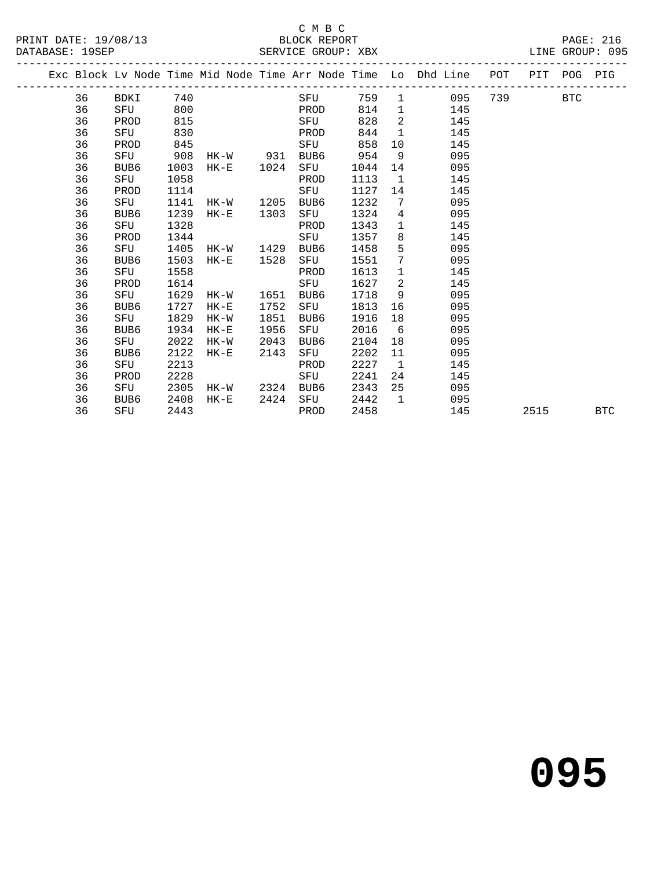### C M B C<br>BLOCK REPORT

|  |    | Exc Block Lv Node Time Mid Node Time Arr Node Time Lo Dhd Line POT PIT POG PIG |      |        |        |                        |      |     |         |                 |                |     |     |      |            |            |
|--|----|--------------------------------------------------------------------------------|------|--------|--------|------------------------|------|-----|---------|-----------------|----------------|-----|-----|------|------------|------------|
|  | 36 | BDKI 740                                                                       |      |        |        |                        |      | SFU |         |                 | 759 1 095      |     | 739 |      | <b>BTC</b> |            |
|  | 36 | SFU 800                                                                        |      |        |        | <b>Example 19 PROD</b> |      |     | 814     |                 | $\mathbf 1$    | 145 |     |      |            |            |
|  | 36 | PROD                                                                           | 815  |        |        |                        |      | SFU | 828     | $\overline{2}$  |                | 145 |     |      |            |            |
|  | 36 | SFU                                                                            | 830  |        |        | <b>Example 18 PROD</b> |      |     | 844     |                 | $\mathbf{1}$   | 145 |     |      |            |            |
|  | 36 | PROD                                                                           | 845  |        |        |                        |      | SFU | 858     | 10              |                | 145 |     |      |            |            |
|  | 36 | SFU                                                                            | 908  |        |        | HK-W 931               | BUB6 |     | 954     | 9               |                | 095 |     |      |            |            |
|  | 36 | BUB6                                                                           | 1003 |        |        | HK-E 1024              | SFU  |     | 1044    | 14              |                | 095 |     |      |            |            |
|  | 36 | SFU                                                                            | 1058 |        |        |                        | PROD |     | 1113    | 1               |                | 145 |     |      |            |            |
|  | 36 | PROD                                                                           | 1114 |        |        |                        | SFU  |     | 1127 14 |                 |                | 145 |     |      |            |            |
|  | 36 | SFU                                                                            | 1141 |        |        | HK-W 1205              | BUB6 |     | 1232    | $\overline{7}$  |                | 095 |     |      |            |            |
|  | 36 | BUB6                                                                           | 1239 | $HK-E$ |        | 1303                   | SFU  |     | 1324    |                 | $4\degree$     | 095 |     |      |            |            |
|  | 36 | SFU                                                                            | 1328 |        |        |                        | PROD |     | 1343    | $\mathbf{1}$    |                | 145 |     |      |            |            |
|  | 36 | PROD                                                                           | 1344 |        |        |                        | SFU  |     | 1357    | 8               |                | 145 |     |      |            |            |
|  | 36 | SFU                                                                            | 1405 |        |        | HK-W 1429              | BUB6 |     | 1458    |                 | 5 <sub>5</sub> | 095 |     |      |            |            |
|  | 36 | BUB6                                                                           | 1503 | HK-E   |        | 1528                   | SFU  |     | 1551    | $7\overline{ }$ |                | 095 |     |      |            |            |
|  | 36 | SFU                                                                            | 1558 |        |        |                        | PROD |     | 1613    | $\mathbf{1}$    |                | 145 |     |      |            |            |
|  | 36 | PROD                                                                           | 1614 |        |        |                        | SFU  |     | 1627    | $\overline{a}$  |                | 145 |     |      |            |            |
|  | 36 | SFU                                                                            | 1629 |        |        | HK-W 1651              | BUB6 |     | 1718    | 9               |                | 095 |     |      |            |            |
|  | 36 | BUB6                                                                           | 1727 | $HK-E$ |        | 1752                   | SFU  |     | 1813    |                 | 16 —           | 095 |     |      |            |            |
|  | 36 | SFU                                                                            | 1829 | HK-W   |        | 1851                   | BUB6 |     | 1916    | 18              |                | 095 |     |      |            |            |
|  | 36 | BUB6                                                                           | 1934 | $HK-E$ |        | 1956                   | SFU  |     | 2016    | 6               |                | 095 |     |      |            |            |
|  | 36 | SFU                                                                            | 2022 | HK-W   |        | 2043                   | BUB6 |     | 2104    | 18              |                | 095 |     |      |            |            |
|  | 36 | BUB6                                                                           | 2122 | $HK-E$ |        | 2143                   | SFU  |     | 2202    | 11              |                | 095 |     |      |            |            |
|  | 36 | SFU                                                                            | 2213 |        |        |                        | PROD |     | 2227    | $\overline{1}$  |                | 145 |     |      |            |            |
|  | 36 | PROD                                                                           | 2228 |        |        |                        | SFU  |     | 2241    | 24              |                | 145 |     |      |            |            |
|  | 36 | SFU                                                                            | 2305 |        | $HK-W$ | 2324                   | BUB6 |     | 2343    | 25              |                | 095 |     |      |            |            |
|  | 36 | BUB6                                                                           | 2408 | $HK-E$ |        | 2424                   | SFU  |     | 2442    | $\overline{1}$  |                | 095 |     |      |            |            |
|  | 36 | SFU                                                                            | 2443 |        |        |                        | PROD |     | 2458    |                 |                | 145 |     | 2515 |            | <b>BTC</b> |
|  |    |                                                                                |      |        |        |                        |      |     |         |                 |                |     |     |      |            |            |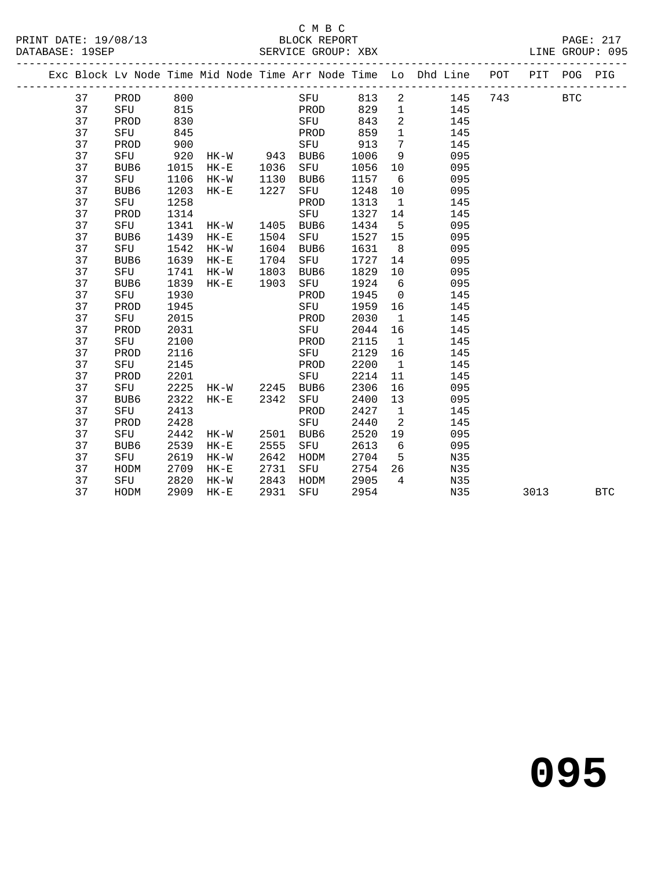#### C M B C<br>BLOCK REPORT

|  |    |      |      |          |      |      |      |                 | Exc Block Lv Node Time Mid Node Time Arr Node Time Lo Dhd Line POT |     | PIT  | POG        | PIG        |
|--|----|------|------|----------|------|------|------|-----------------|--------------------------------------------------------------------|-----|------|------------|------------|
|  | 37 | PROD | 800  |          |      | SFU  | 813  | $\overline{a}$  | 145                                                                | 743 |      | <b>BTC</b> |            |
|  | 37 | SFU  | 815  |          |      | PROD | 829  | $\mathbf{1}$    | 145                                                                |     |      |            |            |
|  | 37 | PROD | 830  |          |      | SFU  | 843  | $\overline{a}$  | 145                                                                |     |      |            |            |
|  | 37 | SFU  | 845  |          |      | PROD | 859  | $\mathbf{1}$    | 145                                                                |     |      |            |            |
|  | 37 | PROD | 900  |          |      | SFU  | 913  | $7\overline{ }$ | 145                                                                |     |      |            |            |
|  | 37 | SFU  | 920  | HK-W     | 943  | BUB6 | 1006 | 9               | 095                                                                |     |      |            |            |
|  | 37 | BUB6 | 1015 | $HK-E$   | 1036 | SFU  | 1056 | 10              | 095                                                                |     |      |            |            |
|  | 37 | SFU  | 1106 | $HK-W$   | 1130 | BUB6 | 1157 | 6               | 095                                                                |     |      |            |            |
|  | 37 | BUB6 | 1203 | $HK-E$   | 1227 | SFU  | 1248 | 10              | 095                                                                |     |      |            |            |
|  | 37 | SFU  | 1258 |          |      | PROD | 1313 | $\mathbf{1}$    | 145                                                                |     |      |            |            |
|  | 37 | PROD | 1314 |          |      | SFU  | 1327 | 14              | 145                                                                |     |      |            |            |
|  | 37 | SFU  | 1341 | HK-W     | 1405 | BUB6 | 1434 | $5^{\circ}$     | 095                                                                |     |      |            |            |
|  | 37 | BUB6 | 1439 | $HK-E$   | 1504 | SFU  | 1527 | 15              | 095                                                                |     |      |            |            |
|  | 37 | SFU  | 1542 | $HK-W$   | 1604 | BUB6 | 1631 | 8               | 095                                                                |     |      |            |            |
|  | 37 | BUB6 | 1639 | $HK-E$   | 1704 | SFU  | 1727 | 14              | 095                                                                |     |      |            |            |
|  | 37 | SFU  | 1741 | $HK-W$   | 1803 | BUB6 | 1829 | 10              | 095                                                                |     |      |            |            |
|  | 37 | BUB6 | 1839 | $HK-E$   | 1903 | SFU  | 1924 | 6               | 095                                                                |     |      |            |            |
|  | 37 | SFU  | 1930 |          |      | PROD | 1945 | $\overline{0}$  | 145                                                                |     |      |            |            |
|  | 37 | PROD | 1945 |          |      | SFU  | 1959 | 16              | 145                                                                |     |      |            |            |
|  | 37 | SFU  | 2015 |          |      | PROD | 2030 | $\mathbf{1}$    | 145                                                                |     |      |            |            |
|  | 37 | PROD | 2031 |          |      | SFU  | 2044 | 16              | 145                                                                |     |      |            |            |
|  | 37 | SFU  | 2100 |          |      | PROD | 2115 | $\overline{1}$  | 145                                                                |     |      |            |            |
|  | 37 | PROD | 2116 |          |      | SFU  | 2129 | 16              | 145                                                                |     |      |            |            |
|  | 37 | SFU  | 2145 |          |      | PROD | 2200 | $\overline{1}$  | 145                                                                |     |      |            |            |
|  | 37 | PROD | 2201 |          |      | SFU  | 2214 | 11              | 145                                                                |     |      |            |            |
|  | 37 | SFU  | 2225 | HK-W     | 2245 | BUB6 | 2306 | 16              | 095                                                                |     |      |            |            |
|  | 37 | BUB6 | 2322 | $HK-E$   | 2342 | SFU  | 2400 | 13              | 095                                                                |     |      |            |            |
|  | 37 | SFU  | 2413 |          |      | PROD | 2427 | $\overline{1}$  | 145                                                                |     |      |            |            |
|  | 37 | PROD | 2428 |          |      | SFU  | 2440 | 2               | 145                                                                |     |      |            |            |
|  | 37 | SFU  | 2442 | HK-W     | 2501 | BUB6 | 2520 | 19              | 095                                                                |     |      |            |            |
|  | 37 | BUB6 | 2539 | $HK-E$   | 2555 | SFU  | 2613 | 6               | 095                                                                |     |      |            |            |
|  | 37 | SFU  | 2619 | HK-W     | 2642 | HODM | 2704 | 5               | N35                                                                |     |      |            |            |
|  | 37 | HODM | 2709 | $HK - E$ | 2731 | SFU  | 2754 | 26              | N35                                                                |     |      |            |            |
|  | 37 | SFU  | 2820 | $HK-W$   | 2843 | HODM | 2905 | $4\overline{4}$ | N35                                                                |     |      |            |            |
|  | 37 | HODM | 2909 | $HK-E$   | 2931 | SFU  | 2954 |                 | N35                                                                |     | 3013 |            | <b>BTC</b> |
|  |    |      |      |          |      |      |      |                 |                                                                    |     |      |            |            |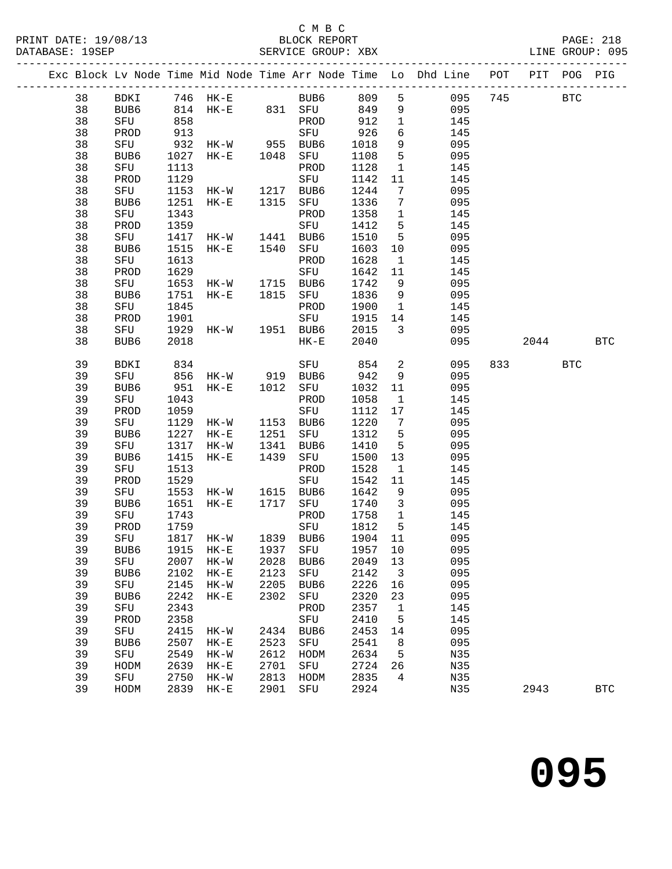|  |    |      |      |                     |      |                                                   |                   |                          | Exc Block Lv Node Time Mid Node Time Arr Node Time Lo Dhd Line POT PIT POG PIG |     |            |            |
|--|----|------|------|---------------------|------|---------------------------------------------------|-------------------|--------------------------|--------------------------------------------------------------------------------|-----|------------|------------|
|  | 38 |      |      |                     |      |                                                   |                   |                          | 095                                                                            | 745 | <b>BTC</b> |            |
|  | 38 |      |      |                     |      |                                                   |                   |                          | 095                                                                            |     |            |            |
|  | 38 | SFU  | 858  |                     |      | PROD 912                                          |                   | $\overline{1}$           | 145                                                                            |     |            |            |
|  | 38 | PROD |      |                     |      |                                                   | 926               | $6\overline{6}$          | 145                                                                            |     |            |            |
|  | 38 | SFU  |      |                     |      |                                                   | 1018              | 9                        | 095                                                                            |     |            |            |
|  | 38 | BUB6 |      |                     |      |                                                   | 1108              | $5^{\circ}$              | 095                                                                            |     |            |            |
|  | 38 | SFU  | 1113 |                     |      | PROD                                              | 1128              | $\overline{1}$           | 145                                                                            |     |            |            |
|  | 38 | PROD |      |                     |      |                                                   | 1142              | 11                       | 145                                                                            |     |            |            |
|  | 38 | SFU  |      |                     |      | 1129<br>1153 HK-W 1217 BUB6<br>1251 HK-E 1315 SFU | 1244              | $7\overline{ }$          | 095                                                                            |     |            |            |
|  | 38 | BUB6 |      |                     |      |                                                   | 1336 7            |                          | 095                                                                            |     |            |            |
|  | 38 | SFU  | 1343 |                     |      | PROD                                              | 1358 1            |                          | 145                                                                            |     |            |            |
|  | 38 | PROD | 1359 |                     |      | SFU<br>HK-W 1441 BUB6<br>HK-E 1540 SFU            | 1412              | $5^{\circ}$              | 145                                                                            |     |            |            |
|  | 38 | SFU  | 1417 |                     |      |                                                   | 1510              | $5^{\circ}$              | 095                                                                            |     |            |            |
|  | 38 | BUB6 | 1515 |                     |      |                                                   | 1603              | 10                       | 095                                                                            |     |            |            |
|  | 38 | SFU  | 1613 |                     |      | PROD                                              | 1628              | $\overline{\mathbf{1}}$  | 145                                                                            |     |            |            |
|  | 38 | PROD | 1629 |                     |      | SFU                                               | 1642              | 11                       | 145                                                                            |     |            |            |
|  | 38 | SFU  |      |                     |      | 1653 HK-W 1715 BUB6<br>1751 HK-E 1815 SFU         | 1742              | 9                        | 095                                                                            |     |            |            |
|  | 38 | BUB6 |      |                     |      |                                                   | 1836 9            |                          | 095                                                                            |     |            |            |
|  | 38 | SFU  | 1845 |                     |      | PROD                                              | 1900 1            |                          | 145                                                                            |     |            |            |
|  | 38 | PROD | 1901 |                     |      | SFU                                               | 1915 14           |                          | 145                                                                            |     |            |            |
|  | 38 | SFU  | 1929 | HK-W 1951 BUB6      |      |                                                   | 2015              | $\overline{\mathbf{3}}$  | 095                                                                            |     |            |            |
|  | 38 | BUB6 | 2018 |                     |      | $HK-E$                                            | 2040              |                          | 095                                                                            |     | 2044 BTC   |            |
|  | 39 | BDKI | 834  |                     |      | SFU                                               | 854               | $\overline{2}$           | 095                                                                            |     | 833 BTC    |            |
|  | 39 | SFU  |      |                     |      |                                                   | 942               | 9                        | 095                                                                            |     |            |            |
|  | 39 | BUB6 |      |                     |      |                                                   | 1032 11           |                          | 095                                                                            |     |            |            |
|  | 39 | SFU  | 1043 |                     |      | PROD                                              | 1058              | $\overline{\mathbf{1}}$  | 145                                                                            |     |            |            |
|  | 39 | PROD | 1059 |                     |      | SFU                                               | 1112 17           |                          | 145                                                                            |     |            |            |
|  | 39 | SFU  | 1129 | $HK - W$            |      |                                                   | 1220              | $\overline{7}$           | 095                                                                            |     |            |            |
|  | 39 | BUB6 | 1227 | $HK-E$              |      | 1153 BUB6<br>1251 SFU<br>1341 BUB6                | 1312              | $5^{\circ}$              | 095                                                                            |     |            |            |
|  | 39 | SFU  | 1317 | HK-W                |      |                                                   | 1410              | $5^{\circ}$              | 095                                                                            |     |            |            |
|  | 39 | BUB6 | 1415 | $HK-E$              |      | 1439 SFU                                          | 1500 13           |                          | 095                                                                            |     |            |            |
|  | 39 | SFU  | 1513 |                     |      | PROD                                              | 1528              | $\overline{\phantom{a}}$ | 145                                                                            |     |            |            |
|  | 39 | PROD | 1529 |                     |      | SFU                                               | 1542              | 11                       | 145                                                                            |     |            |            |
|  | 39 | SFU  |      | 1553 HK-W 1615 BUB6 |      |                                                   | 1642              | $\overline{9}$           | 095                                                                            |     |            |            |
|  | 39 | BUB6 | 1651 | $HK-E$              | 1717 | SFU                                               | 1740 3            |                          | 095                                                                            |     |            |            |
|  | 39 | SFU  | 1743 |                     |      | PROD                                              | 1758              | $\overline{1}$           | 145                                                                            |     |            |            |
|  | 39 | PROD | 1759 |                     |      | SFU                                               | 1812 5<br>1904 11 | $5^{\circ}$              | 145                                                                            |     |            |            |
|  | 39 | SFU  |      | 1817 HK-W 1839 BUB6 |      |                                                   |                   |                          | 095                                                                            |     |            |            |
|  | 39 |      |      |                     |      |                                                   |                   |                          | BUB6 1915 HK-E 1937 SFU 1957 10 095                                            |     |            |            |
|  | 39 | SFU  | 2007 | HK-W                | 2028 | BUB6                                              | 2049              | 13                       | 095                                                                            |     |            |            |
|  | 39 | BUB6 | 2102 | $HK-E$              | 2123 | SFU                                               | 2142              | $\overline{\mathbf{3}}$  | 095                                                                            |     |            |            |
|  | 39 | SFU  | 2145 | $HK-W$              | 2205 | BUB6                                              | 2226              | 16                       | 095                                                                            |     |            |            |
|  | 39 | BUB6 | 2242 | $HK-E$              | 2302 | SFU                                               | 2320              | 23                       | 095                                                                            |     |            |            |
|  | 39 | SFU  | 2343 |                     |      | PROD                                              | 2357              | $\mathbf{1}$             | 145                                                                            |     |            |            |
|  | 39 | PROD | 2358 |                     |      | SFU                                               | 2410              | $5^{\circ}$              | 145                                                                            |     |            |            |
|  | 39 | SFU  | 2415 | $HK-W$              |      | 2434 BUB6                                         | 2453              | 14                       | 095                                                                            |     |            |            |
|  | 39 | BUB6 | 2507 | $HK-E$              | 2523 | SFU                                               | 2541              | 8 <sup>8</sup>           | 095                                                                            |     |            |            |
|  | 39 | SFU  | 2549 | $HK-W$              | 2612 | HODM                                              | 2634              | $5^{\circ}$              | N35                                                                            |     |            |            |
|  | 39 | HODM | 2639 | $HK-E$              | 2701 | SFU                                               | 2724              | 26                       | N35                                                                            |     |            |            |
|  | 39 | SFU  | 2750 | $HK-W$              | 2813 | HODM                                              | 2835              | 4                        | N35                                                                            |     |            |            |
|  | 39 | HODM | 2839 | $HK-E$              | 2901 | SFU                                               | 2924              |                          | N35                                                                            |     | 2943       | <b>BTC</b> |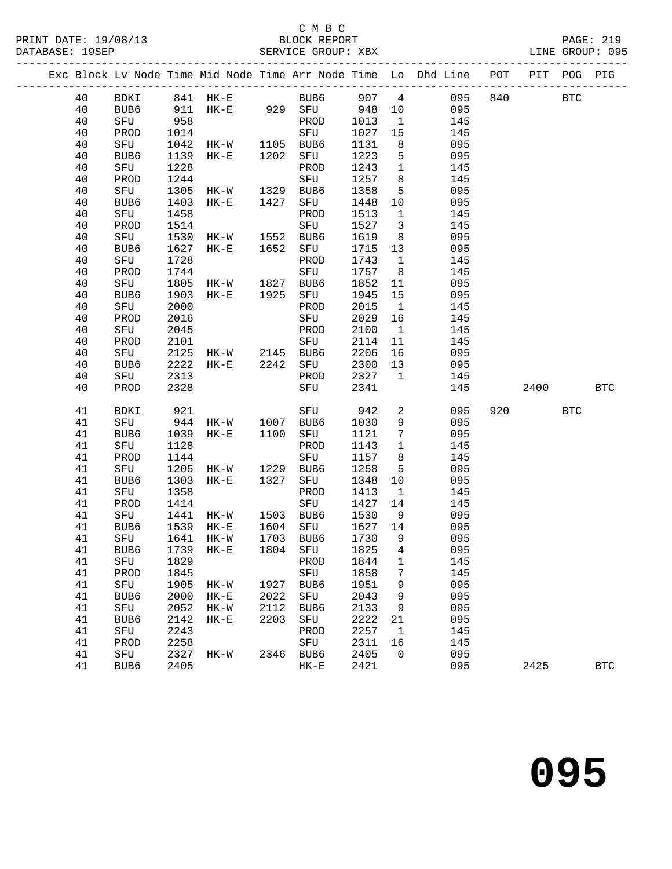#### C M B C<br>BLOCK REPORT

SERVICE GROUP: XBX

|  |    |                  |      |                                        |              |               |      |                         | Exc Block Lv Node Time Mid Node Time Arr Node Time Lo Dhd Line POT |          | PIT POG PIG |  |
|--|----|------------------|------|----------------------------------------|--------------|---------------|------|-------------------------|--------------------------------------------------------------------|----------|-------------|--|
|  | 40 |                  |      |                                        |              |               |      |                         | BDKI 841 HK-E BUB6 907 4 095<br>BUB6 911 HK-E 929 SFU 948 10 095   | 840 BTC  |             |  |
|  | 40 |                  |      |                                        |              |               |      |                         |                                                                    |          |             |  |
|  | 40 | SFU              | 958  |                                        |              | PROD 1013     |      | $\overline{1}$          | 145                                                                |          |             |  |
|  | 40 | PROD             | 1014 | SFU<br>HK-W 1105 BUB6<br>HK-E 1202 SFU |              |               | 1027 | 15                      | 145                                                                |          |             |  |
|  | 40 | SFU              | 1042 |                                        |              |               | 1131 | 8 <sup>8</sup>          | 095                                                                |          |             |  |
|  | 40 | BUB6             | 1139 |                                        |              |               | 1223 | 5 <sup>5</sup>          | 095                                                                |          |             |  |
|  | 40 | SFU              | 1228 |                                        |              | PROD          | 1243 | 1                       | 145                                                                |          |             |  |
|  | 40 | PROD             | 1244 |                                        |              | SFU           | 1257 | 8 <sup>8</sup>          | 145                                                                |          |             |  |
|  | 40 | SFU              | 1305 | HK-W 1329 BUB6<br>HK-E 1427 SFU        |              |               | 1358 | 5 <sup>5</sup>          | 095                                                                |          |             |  |
|  | 40 | BUB6             | 1403 |                                        |              |               | 1448 | 10                      | 095                                                                |          |             |  |
|  | 40 | SFU              | 1458 |                                        |              | PROD          | 1513 | $\overline{1}$          | 145                                                                |          |             |  |
|  | 40 | PROD             | 1514 |                                        |              | SFU           | 1527 | $\overline{\mathbf{3}}$ | 145                                                                |          |             |  |
|  | 40 | SFU              | 1530 | HK-W 1552 BUB6<br>HK-E 1652 SFU        |              |               | 1619 | 8 <sup>8</sup>          | 095                                                                |          |             |  |
|  | 40 | BUB6             | 1627 |                                        |              |               | 1715 | 13                      | 095                                                                |          |             |  |
|  | 40 | SFU              | 1728 |                                        |              | PROD          | 1743 | $\overline{1}$          | 145                                                                |          |             |  |
|  | 40 | PROD             | 1744 |                                        |              | SFU           | 1757 | 8 <sup>8</sup>          | 145                                                                |          |             |  |
|  | 40 | SFU              | 1805 |                                        |              |               | 1852 | 11                      | 095                                                                |          |             |  |
|  | 40 | BUB6             | 1903 | HK-W 1827 BUB6<br>HK-E 1925 SFU        |              |               | 1945 | 15                      | 095                                                                |          |             |  |
|  | 40 | SFU              | 2000 |                                        |              | PROD          | 2015 | $\overline{\mathbf{1}}$ | 145                                                                |          |             |  |
|  | 40 | PROD             | 2016 |                                        |              | SFU           | 2029 | 16                      | 145                                                                |          |             |  |
|  | 40 | SFU              | 2045 |                                        |              | PROD          | 2100 | $\overline{1}$          | 145                                                                |          |             |  |
|  | 40 | PROD             | 2101 |                                        |              | SFU           | 2114 | 11                      | 145                                                                |          |             |  |
|  | 40 | SFU              |      | 2125 HK-W 2145 BUB6                    |              |               | 2206 | 16                      | 095                                                                |          |             |  |
|  | 40 | BUB6             | 2222 |                                        |              | HK-E 2242 SFU | 2300 | 13                      | 095                                                                |          |             |  |
|  | 40 | SFU              | 2313 |                                        |              | PROD          | 2327 |                         | $\mathbf 1$<br>145                                                 |          |             |  |
|  | 40 | PROD             | 2328 |                                        |              | SFU           | 2341 |                         | 145                                                                | 2400 BTC |             |  |
|  | 41 | BDKI             |      |                                        |              | SFU 942       |      |                         | $\overline{\mathbf{c}}$<br>095                                     | 920 000  | <b>BTC</b>  |  |
|  | 41 | SFU              |      |                                        |              |               | 1030 | 9                       | 095                                                                |          |             |  |
|  | 41 | BUB6             | 1039 | $HK-E$                                 |              | 1100 SFU      | 1121 | $7\overline{ }$         | 095                                                                |          |             |  |
|  | 41 | SFU              | 1128 |                                        |              | PROD          | 1143 | $\overline{1}$          | 145                                                                |          |             |  |
|  | 41 | PROD             | 1144 |                                        |              | SFU           | 1157 | 8 <sup>8</sup>          | 145                                                                |          |             |  |
|  | 41 | SFU              | 1205 | HK-W                                   | 1229         | BUB6          | 1258 | $5^{\circ}$             | 095                                                                |          |             |  |
|  | 41 | BUB6             | 1303 | $HK-E$                                 | 1327         | SFU           | 1348 | 10                      | 095                                                                |          |             |  |
|  | 41 | SFU              | 1358 |                                        |              | PROD          | 1413 | $\overline{1}$          | 145                                                                |          |             |  |
|  | 41 | PROD             | 1414 |                                        |              | SFU           | 1427 | 14                      | 145                                                                |          |             |  |
|  | 41 | SFU              |      | 1441 HK-W 1503 BUB6                    |              |               | 1530 | 9                       | 095                                                                |          |             |  |
|  | 41 | BUB6             | 1539 | $HK-E$                                 | 1604<br>1703 | SFU           | 1627 | 14                      | 095                                                                |          |             |  |
|  | 41 | SFU              |      | 1641 HK-W                              | 1703         | BUB6          | 1730 | $\overline{9}$          | 095                                                                |          |             |  |
|  | 41 | BUB6             |      | 1739 HK-E 1804 SFU 1825 4              |              |               |      |                         | 095                                                                |          |             |  |
|  | 41 | SFU              | 1829 |                                        |              | PROD          | 1844 | $\mathbf{1}$            | 145                                                                |          |             |  |
|  | 41 | PROD             | 1845 |                                        |              | SFU           | 1858 | 7                       | 145                                                                |          |             |  |
|  | 41 | ${\tt SFU}$      | 1905 | HK-W                                   |              | 1927 BUB6     | 1951 | 9                       | 095                                                                |          |             |  |
|  | 41 | BUB6             | 2000 | $HK-E$                                 | 2022         | SFU           | 2043 | 9                       | 095                                                                |          |             |  |
|  | 41 | SFU              | 2052 | $HK-W$                                 | 2112         | BUB6          | 2133 | 9                       | 095                                                                |          |             |  |
|  | 41 | BUB <sub>6</sub> | 2142 | $HK-E$                                 | 2203         | SFU           | 2222 | 21                      | 095                                                                |          |             |  |
|  | 41 | SFU              | 2243 |                                        |              | PROD          | 2257 | $\overline{1}$          | 145                                                                |          |             |  |
|  | 41 | PROD             | 2258 |                                        |              | SFU           | 2311 | 16                      | 145                                                                |          |             |  |

41 SFU 2327 HK-W 2346 BUB6 2405 0 095

41 BUB6 2405 HK-E 2421 095 2425 BTC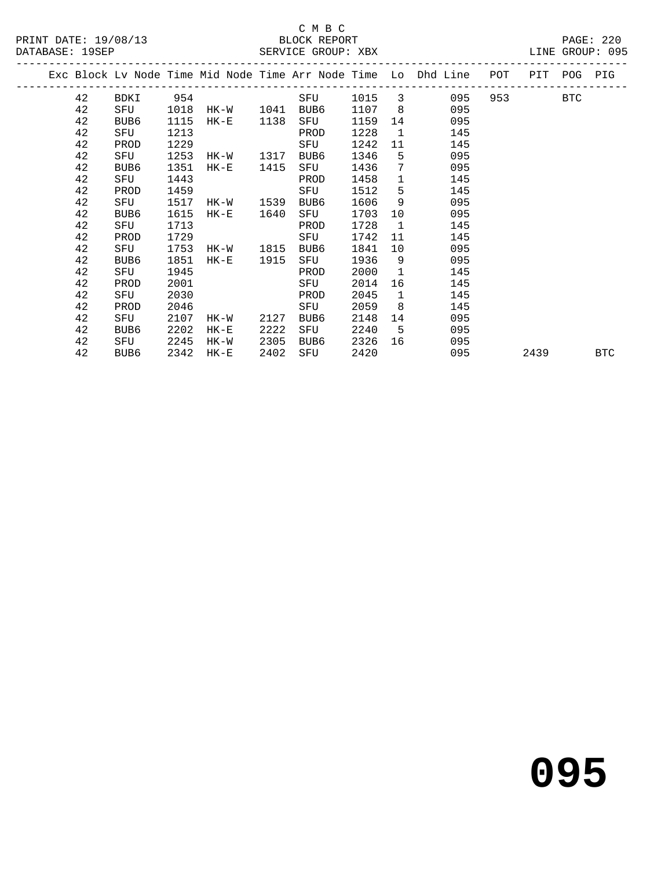#### C M B C<br>BLOCK REPORT

PAGE: 220<br>LINE GROUP: 095

|  |    |      |      |                         |      |      |        |                | Exc Block Lv Node Time Mid Node Time Arr Node Time Lo Dhd Line POT PIT POG PIG |         |      |            |
|--|----|------|------|-------------------------|------|------|--------|----------------|--------------------------------------------------------------------------------|---------|------|------------|
|  | 42 |      |      | BDKI 954                |      | SFU  |        |                | 1015 3<br>095                                                                  | 953 BTC |      |            |
|  | 42 |      |      | SFU 1018 HK-W 1041 BUB6 |      |      | 1107 8 |                | 095                                                                            |         |      |            |
|  | 42 | BUB6 | 1115 | $HK-E$                  | 1138 | SFU  | 1159   |                | 095                                                                            |         |      |            |
|  | 42 | SFU  | 1213 |                         |      | PROD | 1228   | $\mathbf{1}$   | 145                                                                            |         |      |            |
|  | 42 | PROD | 1229 |                         |      | SFU  | 1242   | 11             | 145                                                                            |         |      |            |
|  | 42 | SFU  | 1253 | HK-W 1317               |      | BUB6 | 1346   | $5^{\circ}$    | 095                                                                            |         |      |            |
|  | 42 | BUB6 | 1351 | HK-E 1415               |      | SFU  | 1436   |                | $7\overline{ }$<br>095                                                         |         |      |            |
|  | 42 | SFU  | 1443 |                         |      | PROD | 1458   |                | $1 \quad \cdots$<br>145                                                        |         |      |            |
|  | 42 | PROD | 1459 |                         |      | SFU  | 1512   |                | $5^{\circ}$<br>145                                                             |         |      |            |
|  | 42 | SFU  | 1517 | HK-W 1539               |      | BUB6 | 1606   | 9              | 095                                                                            |         |      |            |
|  | 42 | BUB6 | 1615 | $HK-E$                  | 1640 | SFU  | 1703   |                | 095<br>10                                                                      |         |      |            |
|  | 42 | SFU  | 1713 |                         |      | PROD | 1728   | $\overline{1}$ | 145                                                                            |         |      |            |
|  | 42 | PROD | 1729 |                         |      | SFU  | 1742   |                | 145<br>11                                                                      |         |      |            |
|  | 42 | SFU  |      | 1753 HK-W 1815 BUB6     |      |      | 1841   |                | 095<br>10                                                                      |         |      |            |
|  | 42 | BUB6 | 1851 | HK-E 1915               |      | SFU  | 1936   |                | $9 \left( \frac{1}{2} \right)$<br>095                                          |         |      |            |
|  | 42 | SFU  | 1945 |                         |      | PROD | 2000   |                | $\mathbf{1}$<br>145                                                            |         |      |            |
|  | 42 | PROD | 2001 |                         |      | SFU  | 2014   | 16             | 145                                                                            |         |      |            |
|  | 42 | SFU  | 2030 | <b>Example 12 PROD</b>  |      |      | 2045   | $\mathbf{1}$   | 145                                                                            |         |      |            |
|  | 42 | PROD | 2046 |                         |      | SFU  | 2059   | 8 <sup>1</sup> | 145                                                                            |         |      |            |
|  | 42 | SFU  | 2107 | HK-W                    | 2127 | BUB6 | 2148   |                | 095<br>14                                                                      |         |      |            |
|  | 42 | BUB6 | 2202 | $HK-E$                  | 2222 | SFU  | 2240   |                | $5^{\circ}$<br>095                                                             |         |      |            |
|  | 42 | SFU  | 2245 | HK-W                    | 2305 | BUB6 | 2326   |                | 095<br>16                                                                      |         |      |            |
|  | 42 | BUB6 |      | 2342 HK-E               | 2402 | SFU  | 2420   |                | 095                                                                            |         | 2439 | <b>BTC</b> |
|  |    |      |      |                         |      |      |        |                |                                                                                |         |      |            |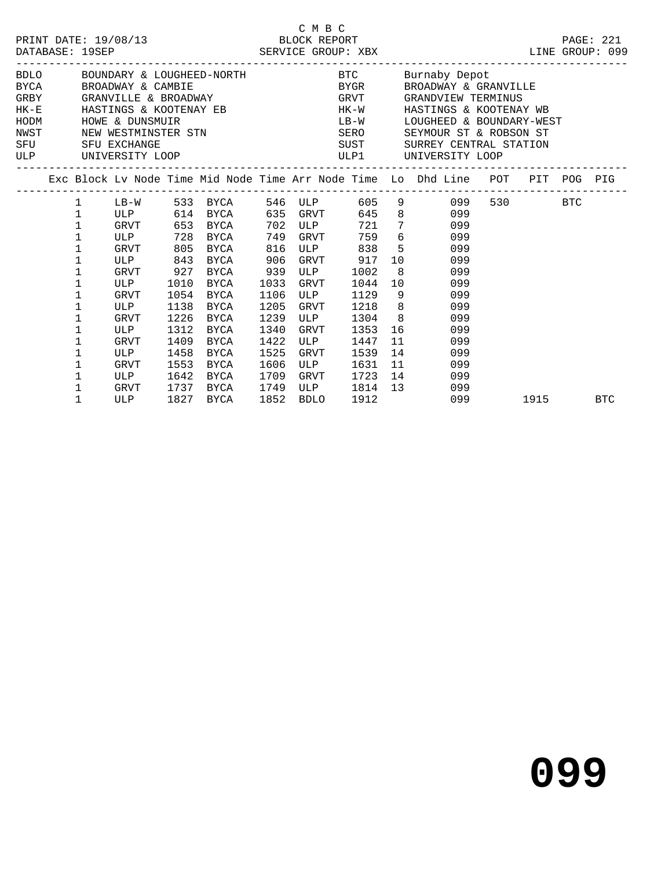|                                   | DATABASE: 19SEP                                                                                                                                                                                                                                                                                                                                                                                                                                                                                                                                                                                                                                                                                                                                                                                                                                           |                                                                                                                          |                                                                                    | PRINT DATE: 19/08/13 BLOCK REPORT                                                                                                          |                                                                                                   | C M B C                                                                 |                                                                                                                                                |    |                                                                                                                                                        |          | PAGE: 221 |
|-----------------------------------|-----------------------------------------------------------------------------------------------------------------------------------------------------------------------------------------------------------------------------------------------------------------------------------------------------------------------------------------------------------------------------------------------------------------------------------------------------------------------------------------------------------------------------------------------------------------------------------------------------------------------------------------------------------------------------------------------------------------------------------------------------------------------------------------------------------------------------------------------------------|--------------------------------------------------------------------------------------------------------------------------|------------------------------------------------------------------------------------|--------------------------------------------------------------------------------------------------------------------------------------------|---------------------------------------------------------------------------------------------------|-------------------------------------------------------------------------|------------------------------------------------------------------------------------------------------------------------------------------------|----|--------------------------------------------------------------------------------------------------------------------------------------------------------|----------|-----------|
| HODM<br>NWST<br><b>SFU</b><br>ULP | BDLO BOUNDARY & LOUGHEED-NORTH BTC Burnaby Depot<br>${\tt BYCA}\qquad \qquad {\tt BROADWAY}\quad \& \text{ CAMBIE}\qquad \qquad {\tt BYGR}\qquad \qquad {\tt BROADWAY}\quad \& \text{ GRANVILLE}\qquad \qquad {\tt GRANVILLE}\qquad \qquad {\tt SRANVILLE}\qquad \qquad {\tt SRANVILLE}\qquad \qquad {\tt SRANVILLE}\qquad \qquad {\tt SRANVILLE}\qquad \qquad {\tt SRANVILLE}\qquad \qquad {\tt SRANVILLE}\qquad \qquad {\tt SRANVILLE}\qquad \qquad {\tt SRANVILLE}\qquad \qquad {\tt SRANVILLE}\qquad \qquad {\tt SRANVILLE}\qquad \qquad {\tt SRANVILLE}\q$<br>HK-E HASTINGS & KOOTENAY EB HK-W HASTINGS & KOOTENAY WB<br>HOWE & DUNSMUIR<br>SFU EXCHANGE<br>UNIVERSITY LOOP<br>Exc Block Lv Node Time Mid Node Time Arr Node Time Lo Dhd Line POT PIT POG PIG<br>1 LB-W 533 BYCA 546 ULP 605 9 099<br>ULP 614 BYCA 635 GRVT 645 8 099<br>$\mathbf 1$ |                                                                                                                          |                                                                                    |                                                                                                                                            |                                                                                                   |                                                                         |                                                                                                                                                |    | LB-W LOUGHEED & BOUNDARY-WEST<br>SUST SURREY CENTRAL STATION<br>ULP1 UNIVERSITY LOOP<br>------------------                                             |          |           |
|                                   |                                                                                                                                                                                                                                                                                                                                                                                                                                                                                                                                                                                                                                                                                                                                                                                                                                                           |                                                                                                                          |                                                                                    |                                                                                                                                            |                                                                                                   |                                                                         |                                                                                                                                                |    |                                                                                                                                                        |          |           |
|                                   | $\mathbf 1$<br>$\mathbf 1$<br>$\mathbf 1$<br>1<br>1<br>1<br>1<br>1<br>1<br>1<br>1<br>1<br>1<br>1<br>$\mathbf{1}$                                                                                                                                                                                                                                                                                                                                                                                                                                                                                                                                                                                                                                                                                                                                          | GRVT 653 BYCA<br>GRVT<br>ULP 843<br>GRVT<br>ULP<br>GRVT<br>ULP<br>GRVT<br>ULP<br>GRVT<br>ULP<br>GRVT<br>ULP<br>GRVT 1737 | 805<br>927<br>1010<br>1054<br>1138<br>1226<br>1312<br>1409<br>1458<br>1553<br>1642 | ULP 728 BYCA 749 GRVT 759 6<br>BYCA<br>BYCA<br>BYCA<br>BYCA<br>BYCA<br>BYCA<br>BYCA<br><b>BYCA</b><br>BYCA<br>BYCA<br>BYCA<br>BYCA<br>BYCA | 816<br>906<br>939<br>1033<br>1106<br>1205<br>1239<br>1340<br>1422<br>1525<br>1606<br>1709<br>1749 | ULP<br>GRVT<br>ULP<br>GRVT<br>ULP<br>GRVT<br>ULP<br>GRVT<br>ULP<br>GRVT | 702 ULP 721 7<br>ULP 838 5<br>GRVT 917<br>1002<br>1044 10<br>1129 9<br>1218 8<br>1304 8<br>1353<br>1447<br>1539<br>1631<br>1723<br>ULP 1814 13 | 11 | 099<br>099<br>099<br>10<br>099<br>$8 - 8$<br>099<br>099<br>099<br>099<br>099<br>16<br>099<br>$11$ and $11$<br>099<br>099<br>099<br>14 \,<br>099<br>099 | 530 BTC  |           |
|                                   | $\mathbf{1}$                                                                                                                                                                                                                                                                                                                                                                                                                                                                                                                                                                                                                                                                                                                                                                                                                                              | ULP 1827 BYCA                                                                                                            |                                                                                    |                                                                                                                                            |                                                                                                   | 1852 BDLO                                                               | 1912                                                                                                                                           |    | 099                                                                                                                                                    | 1915 BTC |           |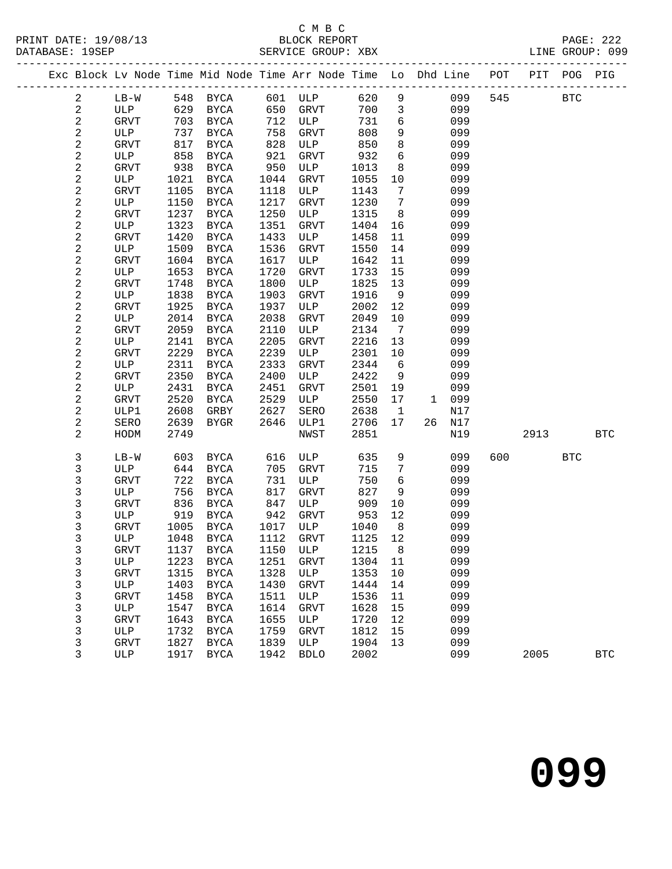#### C M B C<br>BLOCK REPORT

|  | DATABASE: 19SEP         |             |      |                                                                                |      |             |      |                              |           |     |      |              | LINE GROUP: 099 |
|--|-------------------------|-------------|------|--------------------------------------------------------------------------------|------|-------------|------|------------------------------|-----------|-----|------|--------------|-----------------|
|  |                         |             |      | Exc Block Lv Node Time Mid Node Time Arr Node Time Lo Dhd Line POT PIT POG PIG |      |             |      |                              |           |     |      |              |                 |
|  | $\overline{a}$          | $LB-W$      |      | 548 BYCA                                                                       |      | 601 ULP     | 620  | 9                            |           | 099 | 545  | $_{\rm BTC}$ |                 |
|  | $\sqrt{2}$              | ULP         |      | 629 BYCA                                                                       | 650  | GRVT        | 700  | $\mathbf{3}$                 | 099       |     |      |              |                 |
|  | $\sqrt{2}$              | <b>GRVT</b> | 703  | BYCA                                                                           | 712  | ULP         | 731  | 6                            | 099       |     |      |              |                 |
|  | $\overline{\mathbf{c}}$ | ULP         | 737  | BYCA                                                                           | 758  | GRVT        | 808  | 9                            | 099       |     |      |              |                 |
|  | 2                       | <b>GRVT</b> | 817  | BYCA                                                                           | 828  | ULP         | 850  | 8                            | 099       |     |      |              |                 |
|  | $\sqrt{2}$              | ULP         | 858  | BYCA                                                                           | 921  | GRVT        | 932  | 6                            | 099       |     |      |              |                 |
|  | 2                       | GRVT        | 938  | BYCA                                                                           | 950  | ULP         | 1013 | 8                            | 099       |     |      |              |                 |
|  | $\sqrt{2}$              | ULP         | 1021 | BYCA                                                                           | 1044 | GRVT        | 1055 | 10                           | 099       |     |      |              |                 |
|  | 2                       | <b>GRVT</b> | 1105 | <b>BYCA</b>                                                                    | 1118 | ULP         | 1143 | $7\phantom{.0}$              | 099       |     |      |              |                 |
|  | $\overline{\mathbf{c}}$ | ULP         | 1150 | <b>BYCA</b>                                                                    | 1217 | GRVT        | 1230 | $7\phantom{.0}$              | 099       |     |      |              |                 |
|  | 2                       | <b>GRVT</b> | 1237 | <b>BYCA</b>                                                                    | 1250 | ULP         | 1315 | 8                            | 099       |     |      |              |                 |
|  | 2                       | ULP         | 1323 | <b>BYCA</b>                                                                    | 1351 | <b>GRVT</b> | 1404 | 16                           | 099       |     |      |              |                 |
|  | 2                       | <b>GRVT</b> | 1420 | BYCA                                                                           | 1433 | ULP         | 1458 | 11                           | 099       |     |      |              |                 |
|  | 2                       | ULP         | 1509 | <b>BYCA</b>                                                                    | 1536 | GRVT        | 1550 | 14                           | 099       |     |      |              |                 |
|  | 2                       | <b>GRVT</b> | 1604 | BYCA                                                                           | 1617 | ULP         | 1642 | 11                           | 099       |     |      |              |                 |
|  | 2                       | ULP         | 1653 | BYCA                                                                           | 1720 | <b>GRVT</b> | 1733 | 15                           | 099       |     |      |              |                 |
|  | 2                       | GRVT        | 1748 | BYCA                                                                           | 1800 | ULP         | 1825 | 13                           | 099       |     |      |              |                 |
|  | 2                       | ULP         | 1838 | <b>BYCA</b>                                                                    | 1903 | GRVT        | 1916 | 9                            | 099       |     |      |              |                 |
|  | 2                       | GRVT        | 1925 | BYCA                                                                           | 1937 | ULP         | 2002 | 12                           | 099       |     |      |              |                 |
|  | 2                       | ULP         | 2014 | <b>BYCA</b>                                                                    | 2038 | GRVT        | 2049 | 10                           | 099       |     |      |              |                 |
|  | 2                       | <b>GRVT</b> | 2059 | BYCA                                                                           | 2110 | ULP         | 2134 | $7\phantom{.0}\phantom{.0}7$ | 099       |     |      |              |                 |
|  | 2                       | ULP         | 2141 | BYCA                                                                           | 2205 | GRVT        | 2216 | 13                           | 099       |     |      |              |                 |
|  | 2                       | <b>GRVT</b> | 2229 | <b>BYCA</b>                                                                    | 2239 | ULP         | 2301 | 10                           | 099       |     |      |              |                 |
|  | 2                       | ULP         | 2311 | BYCA                                                                           | 2333 | GRVT        | 2344 | 6                            | 099       |     |      |              |                 |
|  | 2                       | <b>GRVT</b> | 2350 | BYCA                                                                           | 2400 | ULP         | 2422 | 9                            | 099       |     |      |              |                 |
|  | 2                       | ULP         | 2431 | BYCA                                                                           | 2451 | GRVT        | 2501 | 19                           | 099       |     |      |              |                 |
|  | $\sqrt{2}$              | <b>GRVT</b> | 2520 | BYCA                                                                           | 2529 | ULP         | 2550 | 17                           | 1 099     |     |      |              |                 |
|  | 2                       | ULP1        | 2608 | GRBY                                                                           | 2627 | SERO        | 2638 | $\overline{1}$               | N17       |     |      |              |                 |
|  | 2                       | SERO        | 2639 | BYGR                                                                           | 2646 | ULP1        | 2706 | 17                           | 26<br>N17 |     |      |              |                 |
|  | 2                       | HODM        | 2749 |                                                                                |      | NWST        | 2851 |                              | N19       |     | 2913 |              | <b>BTC</b>      |
|  |                         |             |      |                                                                                |      |             |      |                              |           |     |      |              |                 |
|  | 3                       | $LB-W$      | 603  | BYCA                                                                           | 616  | ULP         | 635  | 9                            | 099       | 600 |      | BTC          |                 |
|  | 3                       | ULP         | 644  | BYCA                                                                           | 705  | GRVT        | 715  | 7                            | 099       |     |      |              |                 |
|  | 3                       | <b>GRVT</b> | 722  | BYCA                                                                           | 731  | ULP         | 750  | 6                            | 099       |     |      |              |                 |
|  | 3                       | ULP         | 756  | <b>BYCA</b>                                                                    | 817  | GRVT        | 827  | 9                            | 099       |     |      |              |                 |
|  | 3                       | GRVT        | 836  | BYCA                                                                           | 847  | ULP         | 909  | 10                           | 099       |     |      |              |                 |
|  | 3                       | ULP         | 919  | BYCA                                                                           | 942  | GRVT        | 953  | 12                           | 099       |     |      |              |                 |
|  | 3                       | <b>GRVT</b> | 1005 | BYCA                                                                           | 1017 | ULP         | 1040 | 8                            | 099       |     |      |              |                 |
|  | 3                       | ULP         |      | 1048 BYCA 1112 GRVT 1125 12                                                    |      |             |      |                              | 099       |     |      |              |                 |
|  | 3                       | <b>GRVT</b> | 1137 | <b>BYCA</b>                                                                    | 1150 | <b>ULP</b>  | 1215 | 8                            | 099       |     |      |              |                 |
|  | 3                       | ULP         | 1223 | <b>BYCA</b>                                                                    | 1251 | GRVT        | 1304 | 11                           | 099       |     |      |              |                 |
|  | 3                       | GRVT        | 1315 | <b>BYCA</b>                                                                    | 1328 | ULP         | 1353 | 10                           | 099       |     |      |              |                 |
|  | 3                       | ULP         | 1403 | ${\tt BYCA}$                                                                   | 1430 | GRVT        | 1444 | 14                           | 099       |     |      |              |                 |
|  | 3                       | <b>GRVT</b> | 1458 | <b>BYCA</b>                                                                    | 1511 | ULP         | 1536 | 11                           | 099       |     |      |              |                 |
|  | 3                       | ULP         | 1547 | <b>BYCA</b>                                                                    | 1614 | GRVT        | 1628 | 15                           | 099       |     |      |              |                 |
|  | 3                       | <b>GRVT</b> | 1643 | <b>BYCA</b>                                                                    | 1655 | <b>ULP</b>  | 1720 | 12                           | 099       |     |      |              |                 |
|  |                         |             |      |                                                                                |      |             |      |                              |           |     |      |              |                 |

3 --- ---- -----<br>GRVT 1827 BYCA

 3 GRVT 1643 BYCA 1655 ULP 1720 12 099 3 ULP 1732 BYCA 1759 GRVT 1812 15 099<br>3 GRVT 1827 BYCA 1839 ULP 1904 13 099

3 ULP 1917 BYCA 1942 BDLO 2002 099 2005 BTC

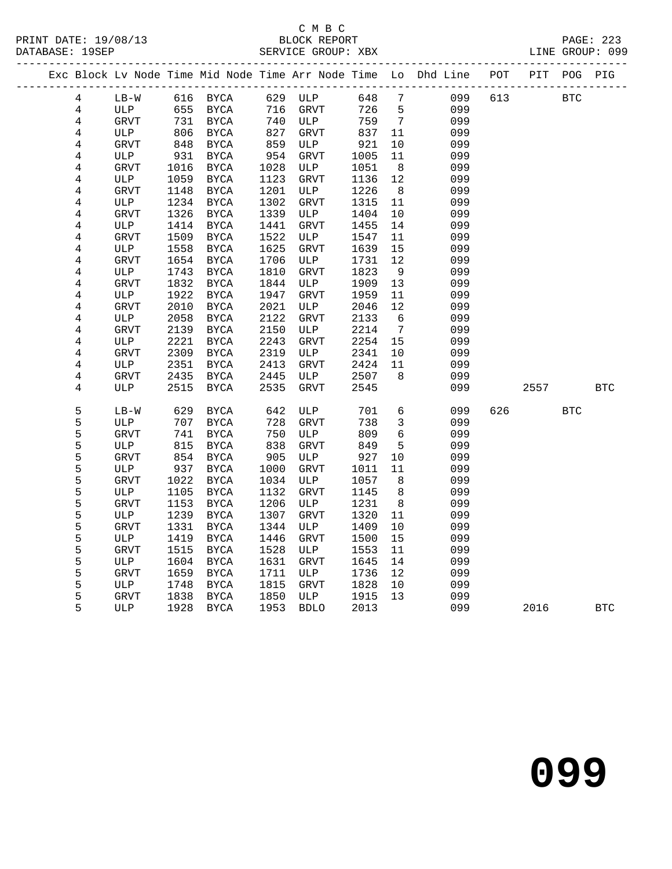#### C M B C<br>BLOCK REPORT

|  |                         |              |      |               |      |              |       |                 | Exc Block Lv Node Time Mid Node Time Arr Node Time Lo Dhd Line POT PIT POG PIG |     |      |            |            |
|--|-------------------------|--------------|------|---------------|------|--------------|-------|-----------------|--------------------------------------------------------------------------------|-----|------|------------|------------|
|  | 4                       | $LB-W$       |      | 616 BYCA      |      | 629 ULP      | 648 7 |                 | 099                                                                            | 613 |      | <b>BTC</b> |            |
|  | $\,4$                   | ULP          | 655  | <b>BYCA</b>   | 716  | GRVT         | 726   | 5               | 099                                                                            |     |      |            |            |
|  | $\,4$                   | GRVT         | 731  | BYCA          | 740  | ULP          | 759   | $\overline{7}$  | 099                                                                            |     |      |            |            |
|  | $\bf 4$                 | ULP          | 806  | BYCA          | 827  | GRVT         | 837   | 11              | 099                                                                            |     |      |            |            |
|  | $\overline{4}$          | GRVT         | 848  | BYCA          | 859  | ULP          | 921   | 10              | 099                                                                            |     |      |            |            |
|  | $\overline{4}$          | ULP          | 931  | <b>BYCA</b>   | 954  | <b>GRVT</b>  | 1005  | 11              | 099                                                                            |     |      |            |            |
|  | $\overline{4}$          | GRVT         | 1016 | <b>BYCA</b>   | 1028 | ULP          | 1051  | 8               | 099                                                                            |     |      |            |            |
|  | $\overline{4}$          | ULP          | 1059 | BYCA          | 1123 | GRVT         | 1136  | 12              | 099                                                                            |     |      |            |            |
|  | $\bf 4$                 | GRVT         | 1148 | BYCA          | 1201 | ULP          | 1226  | 8 <sup>8</sup>  | 099                                                                            |     |      |            |            |
|  | $\overline{\mathbf{4}}$ | ULP          | 1234 | <b>BYCA</b>   | 1302 | GRVT         | 1315  | 11              | 099                                                                            |     |      |            |            |
|  | $\,4$                   | <b>GRVT</b>  | 1326 | <b>BYCA</b>   | 1339 | ULP          | 1404  | 10              | 099                                                                            |     |      |            |            |
|  | $\bf 4$                 | ULP          | 1414 | BYCA          | 1441 | <b>GRVT</b>  | 1455  | 14              | 099                                                                            |     |      |            |            |
|  | $\,4$                   | <b>GRVT</b>  | 1509 | $_{\rm BYCA}$ | 1522 | ULP          | 1547  | 11              | 099                                                                            |     |      |            |            |
|  | $\overline{4}$          | ULP          | 1558 | BYCA          | 1625 | GRVT         | 1639  | 15              | 099                                                                            |     |      |            |            |
|  | $\,4$                   | <b>GRVT</b>  | 1654 | <b>BYCA</b>   | 1706 | ULP          | 1731  | 12              | 099                                                                            |     |      |            |            |
|  | $\bf 4$                 | ULP          | 1743 | BYCA          | 1810 | GRVT         | 1823  | 9               | 099                                                                            |     |      |            |            |
|  | $\bf 4$                 | GRVT         | 1832 | BYCA          | 1844 | ULP          | 1909  | 13              | 099                                                                            |     |      |            |            |
|  | $\,4$                   | ULP          | 1922 | BYCA          | 1947 | <b>GRVT</b>  | 1959  | 11              | 099                                                                            |     |      |            |            |
|  | $\bf 4$                 | <b>GRVT</b>  | 2010 | $_{\rm BYCA}$ | 2021 | ULP          | 2046  | 12              | 099                                                                            |     |      |            |            |
|  | $\,4$                   | $_{\rm ULP}$ | 2058 | $_{\rm BYCA}$ | 2122 | GRVT         | 2133  | 6               | 099                                                                            |     |      |            |            |
|  | $\,4$                   | GRVT         | 2139 | BYCA          | 2150 | ULP          | 2214  | $7\overline{ }$ | 099                                                                            |     |      |            |            |
|  | $\bf 4$                 | ULP          | 2221 | BYCA          | 2243 | <b>GRVT</b>  | 2254  | 15              | 099                                                                            |     |      |            |            |
|  | $\,4$                   | GRVT         | 2309 | BYCA          | 2319 | ULP          | 2341  | 10              | 099                                                                            |     |      |            |            |
|  | $\,4$                   | ULP          | 2351 | BYCA          | 2413 | GRVT         | 2424  | 11              | 099                                                                            |     |      |            |            |
|  | $\bf 4$                 | GRVT         | 2435 | BYCA          | 2445 | ULP          | 2507  | 8 <sup>8</sup>  | 099                                                                            |     |      |            |            |
|  | $\overline{4}$          | ULP          | 2515 | $_{\rm BYCA}$ | 2535 | GRVT         | 2545  |                 | 099                                                                            |     | 2557 |            | <b>BTC</b> |
|  |                         |              |      |               |      |              |       |                 |                                                                                |     |      |            |            |
|  | 5                       | $LB-W$       | 629  | BYCA          | 642  | ULP          | 701   | $6\overline{6}$ | 099                                                                            | 626 |      | <b>BTC</b> |            |
|  | 5                       | ULP          | 707  | BYCA          | 728  | GRVT         | 738   | $\mathbf{3}$    | 099                                                                            |     |      |            |            |
|  | 5                       | <b>GRVT</b>  | 741  | BYCA          | 750  | ULP          | 809   | $6\overline{6}$ | 099                                                                            |     |      |            |            |
|  | 5                       | ULP          | 815  | $_{\rm BYCA}$ | 838  | <b>GRVT</b>  | 849   | 5               | 099                                                                            |     |      |            |            |
|  |                         | GRVT         | 854  | BYCA          | 905  | ULP          | 927   | 10              | 099                                                                            |     |      |            |            |
|  | 55555                   | ULP          | 937  | $_{\rm BYCA}$ | 1000 | GRVT         | 1011  | 11              | 099                                                                            |     |      |            |            |
|  |                         | <b>GRVT</b>  | 1022 | BYCA          | 1034 | $_{\rm ULP}$ | 1057  | 8               | 099                                                                            |     |      |            |            |
|  |                         | ULP          | 1105 | BYCA          | 1132 | GRVT         | 1145  | 8               | 099                                                                            |     |      |            |            |
|  |                         | <b>GRVT</b>  | 1153 | BYCA          | 1206 | ULP          | 1231  | 8 <sup>8</sup>  | 099                                                                            |     |      |            |            |
|  | 5                       | ULP          | 1239 | BYCA          | 1307 | <b>GRVT</b>  | 1320  | 11              | 099                                                                            |     |      |            |            |
|  | 5                       | <b>GRVT</b>  | 1331 | $_{\rm BYCA}$ | 1344 | ULP          | 1409  | 10              | 099                                                                            |     |      |            |            |
|  | 5                       | ULP          | 1419 | $_{\rm BYCA}$ | 1446 | GRVT         | 1500  | 15              | 099                                                                            |     |      |            |            |
|  | 5<br>5<br>5             | <b>GRVT</b>  | 1515 | BYCA          | 1528 | ULP          | 1553  | 11              | 099                                                                            |     |      |            |            |
|  |                         | ULP          | 1604 | BYCA          | 1631 | GRVT         | 1645  | 14              | 099                                                                            |     |      |            |            |
|  |                         | <b>GRVT</b>  | 1659 | BYCA          | 1711 | ULP          | 1736  | 12              | 099                                                                            |     |      |            |            |
|  | $\frac{5}{5}$           | ULP          | 1748 | $_{\rm BYCA}$ | 1815 | ${\tt GRVT}$ | 1828  | 10              | 099                                                                            |     |      |            |            |
|  |                         | GRVT         | 1838 | BYCA          | 1850 | ULP          | 1915  | 13              | 099                                                                            |     |      |            |            |
|  | 5                       | ULP          | 1928 | BYCA          | 1953 | <b>BDLO</b>  | 2013  |                 | 099                                                                            |     | 2016 |            | <b>BTC</b> |
|  |                         |              |      |               |      |              |       |                 |                                                                                |     |      |            |            |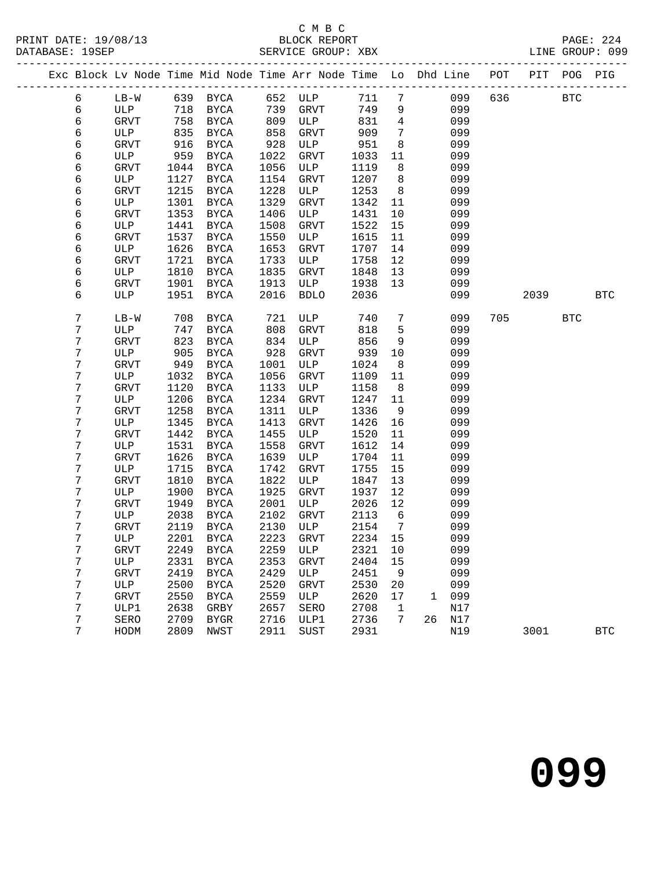#### C M B C

|  |                  |             |      |               |                   | Exc Block Lv Node Time Mid Node Time Arr Node Time Lo Dhd Line POT PIT POG PIG |        |                 |                     |      |            |            |
|--|------------------|-------------|------|---------------|-------------------|--------------------------------------------------------------------------------|--------|-----------------|---------------------|------|------------|------------|
|  | 6                |             |      |               |                   | LB-W 639 BYCA 652 ULP 711 7 099 636 BTC                                        |        |                 |                     |      |            |            |
|  | 6                | ULP         |      | 718 BYCA      | 739               | GRVT                                                                           | 749 9  |                 | 099                 |      |            |            |
|  | 6                | GRVT        |      | 758 BYCA      | 809<br>858<br>928 | <b>ULP</b>                                                                     | 831    | $\overline{4}$  | 099                 |      |            |            |
|  | 6                | ULP         | 835  | BYCA          |                   | GRVT                                                                           | 909    | $7\overline{ }$ | 099                 |      |            |            |
|  | $\epsilon$       | GRVT        | 916  | BYCA          |                   | ULP                                                                            | 951    | 8               | 099                 |      |            |            |
|  | 6                | ULP         | 959  | BYCA          | 1022              | GRVT                                                                           | 1033   | 11              | 099                 |      |            |            |
|  | $\epsilon$       | GRVT        | 1044 | BYCA          | 1056              | ULP                                                                            | 1119   | 8               | 099                 |      |            |            |
|  | $\epsilon$       | ULP         | 1127 | BYCA          | 1154              | GRVT                                                                           | 1207 8 |                 | 099                 |      |            |            |
|  | $\epsilon$       | GRVT        | 1215 | BYCA          | 1228              | ULP                                                                            | 1253   | 8 <sup>8</sup>  | 099                 |      |            |            |
|  | $\epsilon$       | ULP         | 1301 | BYCA          | 1329              | GRVT                                                                           | 1342   | 11              | 099                 |      |            |            |
|  | $\epsilon$       | GRVT        | 1353 | BYCA          | 1406              | ULP                                                                            | 1431   | 10              | 099                 |      |            |            |
|  | $\epsilon$       | ULP         | 1441 | <b>BYCA</b>   | 1508              | GRVT                                                                           | 1522   | 15              | 099                 |      |            |            |
|  | $\epsilon$       | GRVT        | 1537 | BYCA          | 1550              | ULP                                                                            | 1615   | 11              | 099                 |      |            |            |
|  | 6                | ULP         | 1626 | BYCA          | 1653              | GRVT                                                                           | 1707   | 14              | 099                 |      |            |            |
|  | $\epsilon$       | <b>GRVT</b> | 1721 | BYCA          | 1733              | ULP                                                                            | 1758   | 12              | 099                 |      |            |            |
|  | $\epsilon$       | ULP         | 1810 | BYCA          | 1835              | GRVT                                                                           | 1848   | 13              | 099                 |      |            |            |
|  | $\epsilon$       | GRVT        | 1901 | BYCA          | 1913              | ULP                                                                            | 1938   | 13              | 099                 |      |            |            |
|  | 6                | ULP         | 1951 | BYCA          | 2016              | BDLO                                                                           | 2036   |                 | 099                 | 2039 | <b>BTC</b> |            |
|  | 7                | $LB-W$      | 708  | BYCA          | 721               | ULP                                                                            | 740    | $7\overline{ }$ | 099                 | 705  | <b>BTC</b> |            |
|  | $\boldsymbol{7}$ | ULP         | 747  | BYCA          | 808               | GRVT                                                                           | 818    | $5\overline{)}$ | 099                 |      |            |            |
|  | 7                | <b>GRVT</b> | 823  | BYCA          | 834               | ULP                                                                            | 856    | 9               | 099                 |      |            |            |
|  | 7                | ULP         | 905  | BYCA          | 928               | GRVT                                                                           | 939    | 10              | 099                 |      |            |            |
|  | 7                | <b>GRVT</b> | 949  | BYCA          | 1001              | ULP                                                                            | 1024   | 8 <sup>8</sup>  | 099                 |      |            |            |
|  | 7                | ULP         | 1032 | BYCA          | 1056              | GRVT                                                                           | 1109   | 11              | 099                 |      |            |            |
|  | 7                | GRVT        | 1120 | BYCA          | 1133              | ULP                                                                            | 1158   | 8 <sup>8</sup>  | 099                 |      |            |            |
|  | $\boldsymbol{7}$ | ULP         | 1206 | BYCA          | 1234              | GRVT                                                                           | 1247   | 11              | 099                 |      |            |            |
|  | 7                | GRVT        | 1258 | BYCA          | 1311              | ULP                                                                            | 1336   | 9               | 099                 |      |            |            |
|  | 7                | ULP         | 1345 | BYCA          | 1413              | GRVT                                                                           | 1426   | 16              | 099                 |      |            |            |
|  | 7                | <b>GRVT</b> | 1442 | BYCA          | 1455              | ULP                                                                            | 1520   | 11              | 099                 |      |            |            |
|  | $\boldsymbol{7}$ | ULP         | 1531 | BYCA          | 1558              | GRVT                                                                           | 1612   | 14              | 099                 |      |            |            |
|  | 7                | <b>GRVT</b> | 1626 | BYCA          | 1639              | ULP                                                                            | 1704   | 11              | 099                 |      |            |            |
|  | 7                | ULP         | 1715 | BYCA          | 1742              | GRVT                                                                           | 1755   | 15              | 099                 |      |            |            |
|  | 7                | <b>GRVT</b> | 1810 | BYCA          | 1822              | ULP                                                                            | 1847   | 13              | 099                 |      |            |            |
|  | 7                | ULP         | 1900 | BYCA          | 1925              | GRVT                                                                           | 1937   | 12              | 099                 |      |            |            |
|  | 7                | GRVT        | 1949 | BYCA          | 2001              | ULP                                                                            | 2026   | 12              | 099                 |      |            |            |
|  | 7                | ULP         | 2038 | BYCA          | 2102              | GRVT                                                                           | 2113   | 6               | 099                 |      |            |            |
|  | 7                | <b>GRVT</b> |      | 2119 BYCA     | 2130              | ULP                                                                            | 2154   | $\overline{7}$  | 099                 |      |            |            |
|  | 7                |             |      |               |                   | ULP 2201 BYCA 2223 GRVT 2234 15 099                                            |        |                 |                     |      |            |            |
|  | 7                | GRVT        | 2249 | <b>BYCA</b>   | 2259              | ULP                                                                            | 2321   | 10              | 099                 |      |            |            |
|  | 7                | ULP         | 2331 | $_{\rm BYCA}$ | 2353              | GRVT                                                                           | 2404   | 15              | 099                 |      |            |            |
|  | 7                | GRVT        | 2419 | <b>BYCA</b>   | 2429              | ULP                                                                            | 2451   | 9               | 099                 |      |            |            |
|  | $\boldsymbol{7}$ | ULP         | 2500 | <b>BYCA</b>   | 2520              | GRVT                                                                           | 2530   | 20              | 099                 |      |            |            |
|  | $\boldsymbol{7}$ | GRVT        | 2550 | <b>BYCA</b>   | 2559              | ULP                                                                            | 2620   | 17              | 099<br>$\mathbf{1}$ |      |            |            |
|  | 7                | ULP1        | 2638 | GRBY          | 2657              | SERO                                                                           | 2708   | $\mathbf{1}$    | N17                 |      |            |            |
|  | 7                | SERO        | 2709 | <b>BYGR</b>   | 2716              | ULP1                                                                           | 2736   | $7\phantom{.0}$ | 26 N17              |      |            |            |
|  | 7                | HODM        | 2809 | NWST          | 2911              | SUST                                                                           | 2931   |                 | N19                 | 3001 |            | <b>BTC</b> |
|  |                  |             |      |               |                   |                                                                                |        |                 |                     |      |            |            |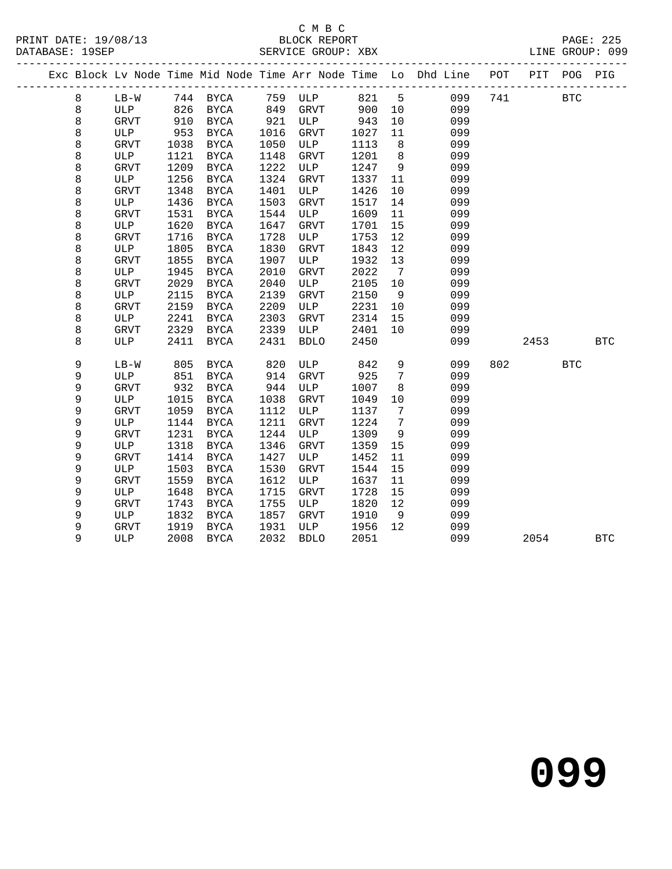### C M B C<br>BLOCK REPORT

PAGE: 225<br>LINE GROUP: 099

|  |             |             |      |               |      |             |      |                 | Exc Block Lv Node Time Mid Node Time Arr Node Time Lo Dhd Line POT |     |      | PIT POG PIG  |            |
|--|-------------|-------------|------|---------------|------|-------------|------|-----------------|--------------------------------------------------------------------|-----|------|--------------|------------|
|  | $\,8\,$     | $LB-W$      |      | 744 BYCA      | 759  | ULP         | 821  | 5               | 099                                                                | 741 |      | $_{\rm BTC}$ |            |
|  | 8           | <b>ULP</b>  | 826  | <b>BYCA</b>   | 849  | <b>GRVT</b> | 900  | 10              | 099                                                                |     |      |              |            |
|  | 8           | <b>GRVT</b> | 910  | BYCA          | 921  | ULP         | 943  | 10              | 099                                                                |     |      |              |            |
|  | $\,8\,$     | ULP         | 953  | <b>BYCA</b>   | 1016 | <b>GRVT</b> | 1027 | 11              | 099                                                                |     |      |              |            |
|  | 8           | <b>GRVT</b> | 1038 | <b>BYCA</b>   | 1050 | ULP         | 1113 | 8               | 099                                                                |     |      |              |            |
|  | 8           | ULP         | 1121 | $_{\rm BYCA}$ | 1148 | <b>GRVT</b> | 1201 | 8               | 099                                                                |     |      |              |            |
|  | 8           | <b>GRVT</b> | 1209 | <b>BYCA</b>   | 1222 | ULP         | 1247 | 9               | 099                                                                |     |      |              |            |
|  | 8           | <b>ULP</b>  | 1256 | <b>BYCA</b>   | 1324 | <b>GRVT</b> | 1337 | 11              | 099                                                                |     |      |              |            |
|  | 8           | <b>GRVT</b> | 1348 | <b>BYCA</b>   | 1401 | ULP         | 1426 | 10              | 099                                                                |     |      |              |            |
|  | $\,8\,$     | ULP         | 1436 | <b>BYCA</b>   | 1503 | <b>GRVT</b> | 1517 | 14              | 099                                                                |     |      |              |            |
|  | $\,8\,$     | <b>GRVT</b> | 1531 | <b>BYCA</b>   | 1544 | ULP         | 1609 | 11              | 099                                                                |     |      |              |            |
|  | 8           | ULP         | 1620 | <b>BYCA</b>   | 1647 | GRVT        | 1701 | 15              | 099                                                                |     |      |              |            |
|  | 8           | <b>GRVT</b> | 1716 | <b>BYCA</b>   | 1728 | ULP         | 1753 | 12              | 099                                                                |     |      |              |            |
|  | $\,8\,$     | ULP         | 1805 | <b>BYCA</b>   | 1830 | <b>GRVT</b> | 1843 | 12              | 099                                                                |     |      |              |            |
|  | $\,8\,$     | <b>GRVT</b> | 1855 | <b>BYCA</b>   | 1907 | ULP         | 1932 | 13              | 099                                                                |     |      |              |            |
|  | 8           | ULP         | 1945 | <b>BYCA</b>   | 2010 | <b>GRVT</b> | 2022 | $7\phantom{.0}$ | 099                                                                |     |      |              |            |
|  | 8           | <b>GRVT</b> | 2029 | <b>BYCA</b>   | 2040 | ULP         | 2105 | 10              | 099                                                                |     |      |              |            |
|  | 8           | ULP         | 2115 | <b>BYCA</b>   | 2139 | <b>GRVT</b> | 2150 | 9               | 099                                                                |     |      |              |            |
|  | 8           | <b>GRVT</b> | 2159 | <b>BYCA</b>   | 2209 | ULP         | 2231 | 10              | 099                                                                |     |      |              |            |
|  | 8           | ULP         | 2241 | <b>BYCA</b>   | 2303 | <b>GRVT</b> | 2314 | 15              | 099                                                                |     |      |              |            |
|  | $\,8\,$     | <b>GRVT</b> | 2329 | <b>BYCA</b>   | 2339 | ULP         | 2401 | 10              | 099                                                                |     |      |              |            |
|  | 8           | <b>ULP</b>  | 2411 | <b>BYCA</b>   | 2431 | <b>BDLO</b> | 2450 |                 | 099                                                                |     | 2453 |              | <b>BTC</b> |
|  | 9           | $LB-W$      | 805  | <b>BYCA</b>   | 820  | ULP         | 842  | $\mathsf 9$     | 099                                                                | 802 |      | <b>BTC</b>   |            |
|  | $\mathsf 9$ | ULP         | 851  | <b>BYCA</b>   | 914  | GRVT        | 925  | 7               | 099                                                                |     |      |              |            |
|  | 9           | GRVT        | 932  | <b>BYCA</b>   | 944  | ULP         | 1007 | 8               | 099                                                                |     |      |              |            |
|  | 9           | ULP         | 1015 | <b>BYCA</b>   | 1038 | GRVT        | 1049 | 10              | 099                                                                |     |      |              |            |
|  | 9           | <b>GRVT</b> | 1059 | <b>BYCA</b>   | 1112 | ULP         | 1137 | 7               | 099                                                                |     |      |              |            |
|  | 9           | ULP         | 1144 | <b>BYCA</b>   | 1211 | <b>GRVT</b> | 1224 | 7               | 099                                                                |     |      |              |            |
|  | 9           | <b>GRVT</b> | 1231 | <b>BYCA</b>   | 1244 | ULP         | 1309 | 9               | 099                                                                |     |      |              |            |
|  | $\mathsf 9$ | ULP         | 1318 | <b>BYCA</b>   | 1346 | <b>GRVT</b> | 1359 | 15              | 099                                                                |     |      |              |            |
|  | $\mathsf 9$ | <b>GRVT</b> | 1414 | <b>BYCA</b>   | 1427 | ULP         | 1452 | 11              | 099                                                                |     |      |              |            |
|  | $\mathsf 9$ | <b>ULP</b>  | 1503 | <b>BYCA</b>   | 1530 | <b>GRVT</b> | 1544 | 15              | 099                                                                |     |      |              |            |
|  | 9           | <b>GRVT</b> | 1559 | <b>BYCA</b>   | 1612 | ULP         | 1637 | 11              | 099                                                                |     |      |              |            |
|  | 9           | <b>ULP</b>  | 1648 | <b>BYCA</b>   | 1715 | <b>GRVT</b> | 1728 | 15              | 099                                                                |     |      |              |            |
|  | 9           | <b>GRVT</b> | 1743 | <b>BYCA</b>   | 1755 | ULP         | 1820 | 12              | 099                                                                |     |      |              |            |
|  | 9           | <b>ULP</b>  | 1832 | <b>BYCA</b>   | 1857 | GRVT        | 1910 | 9               | 099                                                                |     |      |              |            |
|  | 9           | <b>GRVT</b> | 1919 | <b>BYCA</b>   | 1931 | ULP         | 1956 | 12              | 099                                                                |     |      |              |            |

9 ULP 2008 BYCA 2032 BDLO 2051 099 2054 BTC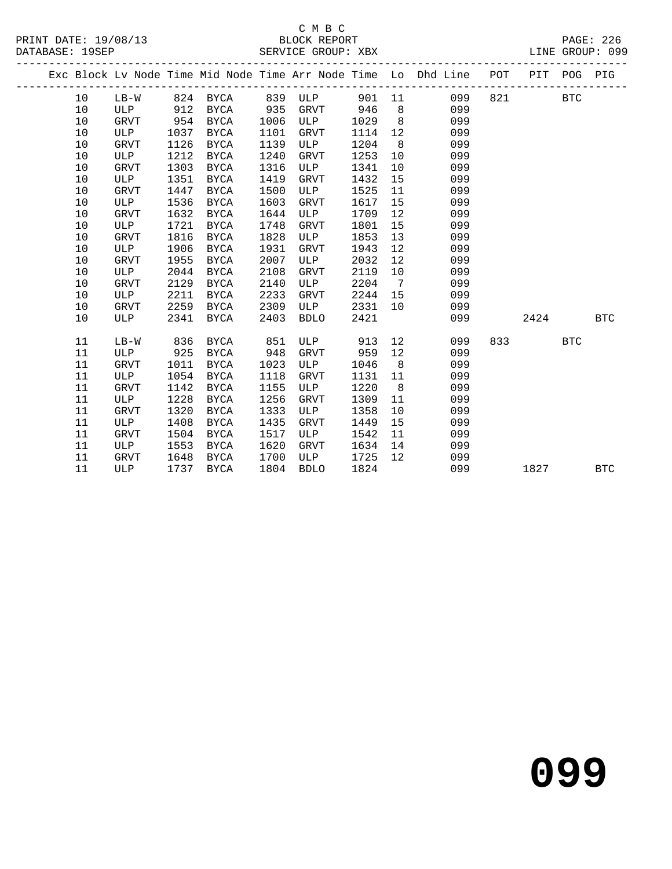#### C M B C SERVICE GROUP: XBX

|  |    |      |      |             |      | DERVICE CROOT ADA |      |                   |                                                                                                  |     |      | - TOONN GILL |            |
|--|----|------|------|-------------|------|-------------------|------|-------------------|--------------------------------------------------------------------------------------------------|-----|------|--------------|------------|
|  |    |      |      |             |      |                   |      |                   | Exc Block Lv Node Time Mid Node Time Arr Node Time Lo Dhd Line<br>______________________________ | POT | PIT  | POG          | PIG        |
|  | 10 | LB-W | 824  | BYCA        | 839  | ULP               |      |                   | 099<br>901 11                                                                                    | 821 |      | <b>BTC</b>   |            |
|  | 10 | ULP  | 912  | BYCA        | 935  | GRVT              | 946  | 8 <sup>8</sup>    | 099                                                                                              |     |      |              |            |
|  | 10 | GRVT | 954  | BYCA        | 1006 | ULP               | 1029 | 8 <sup>8</sup>    | 099                                                                                              |     |      |              |            |
|  | 10 | ULP  | 1037 | <b>BYCA</b> | 1101 | GRVT              | 1114 | 12                | 099                                                                                              |     |      |              |            |
|  | 10 | GRVT | 1126 | BYCA        | 1139 | ULP               | 1204 | 8 <sup>8</sup>    | 099                                                                                              |     |      |              |            |
|  | 10 | ULP  | 1212 | BYCA        | 1240 | GRVT              | 1253 | 10                | 099                                                                                              |     |      |              |            |
|  | 10 | GRVT | 1303 | BYCA        | 1316 | ULP               | 1341 | 10                | 099                                                                                              |     |      |              |            |
|  | 10 | ULP  | 1351 | BYCA        | 1419 | GRVT              | 1432 | 15                | 099                                                                                              |     |      |              |            |
|  | 10 | GRVT | 1447 | BYCA        | 1500 | ULP               | 1525 | 11                | 099                                                                                              |     |      |              |            |
|  | 10 | ULP  | 1536 | <b>BYCA</b> | 1603 | GRVT              | 1617 | 15                | 099                                                                                              |     |      |              |            |
|  | 10 | GRVT | 1632 | BYCA        | 1644 | ULP               | 1709 | 12                | 099                                                                                              |     |      |              |            |
|  | 10 | ULP  | 1721 | <b>BYCA</b> | 1748 | GRVT              | 1801 | 15                | 099                                                                                              |     |      |              |            |
|  | 10 | GRVT | 1816 | BYCA        | 1828 | ULP               | 1853 | 13                | 099                                                                                              |     |      |              |            |
|  | 10 | ULP  | 1906 | BYCA        | 1931 | GRVT              | 1943 | 12                | 099                                                                                              |     |      |              |            |
|  | 10 | GRVT | 1955 | BYCA        | 2007 | ULP               | 2032 | $12 \overline{ }$ | 099                                                                                              |     |      |              |            |
|  | 10 | ULP  | 2044 | BYCA        | 2108 | GRVT              | 2119 | 10                | 099                                                                                              |     |      |              |            |
|  | 10 | GRVT | 2129 | <b>BYCA</b> | 2140 | ULP               | 2204 | $\overline{7}$    | 099                                                                                              |     |      |              |            |
|  | 10 | ULP  | 2211 | BYCA        | 2233 | GRVT              | 2244 | 15                | 099                                                                                              |     |      |              |            |
|  | 10 | GRVT | 2259 | BYCA        | 2309 | ULP               | 2331 | 10                | 099                                                                                              |     |      |              |            |
|  | 10 | ULP  | 2341 | <b>BYCA</b> | 2403 | <b>BDLO</b>       | 2421 |                   | 099                                                                                              |     | 2424 |              | <b>BTC</b> |

10 ULP 2341 BYCA 2403 BDLO 2421 099 2424 BTC

11 LB-W 836 BYCA 851 ULP 913 12 099 833 BTC

 11 ULP 925 BYCA 948 GRVT 959 12 099 11 GRVT 1011 BYCA 1023 ULP 1046 8 099 11 ULP 1054 BYCA 1118 GRVT 1131 11 099 11 GRVT 1142 BYCA 1155 ULP 1220 8 099 11 ULP 1228 BYCA 1256 GRVT 1309 11 099 11 GRVT 1320 BYCA 1333 ULP 1358 10 099 11 ULP 1408 BYCA 1435 GRVT 1449 15 099 11 GRVT 1504 BYCA 1517 ULP 1542 11 099 11 ULP 1553 BYCA 1620 GRVT 1634 14 099 11 GRVT 1648 BYCA 1700 ULP 1725 12 099

**099**

1827 BTC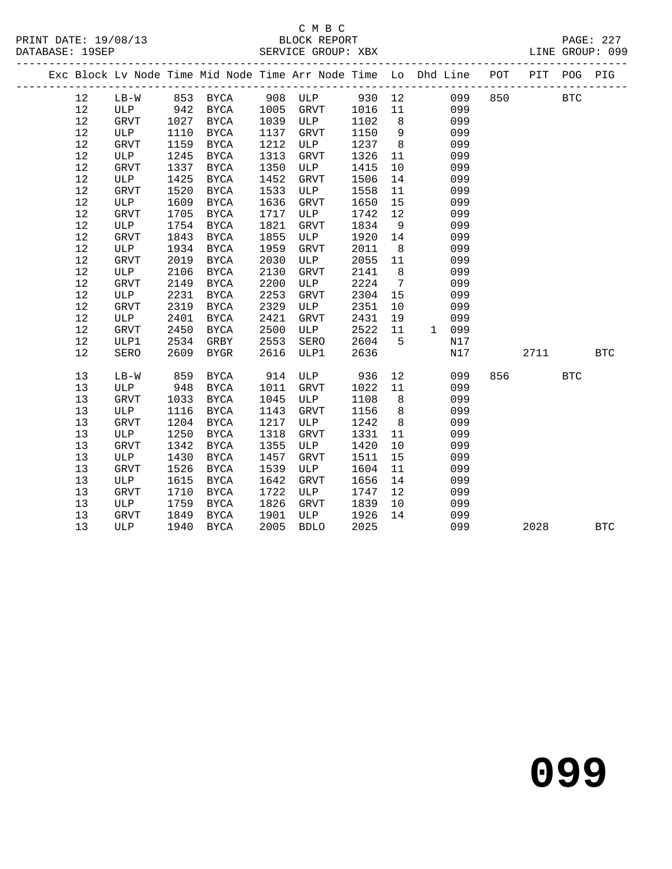### C M B C

| DATABASE: 19SEP |        |             |      |           |      | SERVICE GROUP: XBX LINE GROUP: 099                                                                                                                                                                                                                                                                                  |      |                 |                  |       |       |            |            |
|-----------------|--------|-------------|------|-----------|------|---------------------------------------------------------------------------------------------------------------------------------------------------------------------------------------------------------------------------------------------------------------------------------------------------------------------|------|-----------------|------------------|-------|-------|------------|------------|
|                 |        |             |      |           |      | Exc Block Lv Node Time Mid Node Time Arr Node Time Lo Dhd Line POT PIT POG PIG                                                                                                                                                                                                                                      |      |                 |                  |       |       |            |            |
|                 | 12     |             |      |           |      | LB-W 853 BYCA 908 ULP 930 12 099 850 BTC                                                                                                                                                                                                                                                                            |      |                 |                  |       |       |            |            |
|                 | 12     | ULP 942     |      | BYCA      | 1005 | GRVT 1016                                                                                                                                                                                                                                                                                                           |      |                 | 11               | 099   |       |            |            |
|                 | 12     | GRVT        | 1027 | BYCA      | 1039 | ULP                                                                                                                                                                                                                                                                                                                 | 1102 |                 | 8                | 099   |       |            |            |
|                 | 12     | ULP         | 1110 | BYCA      | 1137 | GRVT                                                                                                                                                                                                                                                                                                                | 1150 |                 | $9 \quad \Box$   | 099   |       |            |            |
|                 | $12\,$ | <b>GRVT</b> | 1159 | BYCA      | 1212 | ULP                                                                                                                                                                                                                                                                                                                 | 1237 | 8 <sup>8</sup>  |                  | 099   |       |            |            |
|                 | 12     | ULP         | 1245 | BYCA      | 1313 | GRVT                                                                                                                                                                                                                                                                                                                | 1326 | 11              |                  | 099   |       |            |            |
|                 | 12     | GRVT        | 1337 | BYCA      | 1350 | ULP                                                                                                                                                                                                                                                                                                                 | 1415 | 10              |                  | 099   |       |            |            |
|                 | 12     | ULP         | 1425 | BYCA      | 1452 | GRVT                                                                                                                                                                                                                                                                                                                | 1506 | 14              |                  | 099   |       |            |            |
|                 | 12     | <b>GRVT</b> | 1520 | BYCA      | 1533 | ULP                                                                                                                                                                                                                                                                                                                 | 1558 | 11              |                  | 099   |       |            |            |
|                 | 12     | ULP         | 1609 | BYCA      | 1636 | GRVT                                                                                                                                                                                                                                                                                                                | 1650 | 15              |                  | 099   |       |            |            |
|                 | 12     | <b>GRVT</b> | 1705 | BYCA      | 1717 | ULP                                                                                                                                                                                                                                                                                                                 | 1742 | 12              |                  | 099   |       |            |            |
|                 | 12     | ULP         | 1754 | BYCA      | 1821 | GRVT                                                                                                                                                                                                                                                                                                                | 1834 |                 | 9                | 099   |       |            |            |
|                 | 12     | GRVT        | 1843 | BYCA      | 1855 | ULP                                                                                                                                                                                                                                                                                                                 | 1920 | 14              |                  | 099   |       |            |            |
|                 | $12$   | ULP         | 1934 | BYCA      | 1959 | GRVT                                                                                                                                                                                                                                                                                                                | 2011 |                 | 8                | 099   |       |            |            |
|                 | 12     | GRVT        | 2019 | BYCA      | 2030 | ULP                                                                                                                                                                                                                                                                                                                 | 2055 |                 | 11               | 099   |       |            |            |
|                 | 12     | ULP         | 2106 | BYCA      | 2130 | GRVT                                                                                                                                                                                                                                                                                                                | 2141 |                 | $8 \overline{)}$ | 099   |       |            |            |
|                 | 12     | <b>GRVT</b> | 2149 | BYCA      | 2200 | ULP                                                                                                                                                                                                                                                                                                                 | 2224 | $7\overline{ }$ |                  | 099   |       |            |            |
|                 | 12     | ULP         | 2231 | BYCA      | 2253 | GRVT                                                                                                                                                                                                                                                                                                                | 2304 | 15              |                  | 099   |       |            |            |
|                 | 12     | <b>GRVT</b> | 2319 | BYCA      | 2329 | ULP                                                                                                                                                                                                                                                                                                                 | 2351 | 10              |                  | 099   |       |            |            |
|                 | 12     | ULP         | 2401 | BYCA      | 2421 | GRVT                                                                                                                                                                                                                                                                                                                | 2431 | 19              |                  | 099   |       |            |            |
|                 | $12$   | GRVT        | 2450 | BYCA      | 2500 | ULP                                                                                                                                                                                                                                                                                                                 | 2522 | 11              |                  | 1 099 |       |            |            |
|                 | 12     | ULP1        | 2534 | GRBY      | 2553 | SERO                                                                                                                                                                                                                                                                                                                | 2604 | $5^{\circ}$     |                  | N17   |       |            |            |
|                 | 12     | SERO        | 2609 | BYGR      | 2616 | ULP1                                                                                                                                                                                                                                                                                                                | 2636 |                 |                  | N17   | 2711  |            | <b>BTC</b> |
|                 | 13     | $LB-W$      | 859  | BYCA      | 914  | <b>ULP</b>                                                                                                                                                                                                                                                                                                          | 936  |                 | 12               | 099   | 856 7 | <b>BTC</b> |            |
|                 | 13     | ULP         | 948  | BYCA      | 1011 | GRVT                                                                                                                                                                                                                                                                                                                | 1022 | 11              |                  | 099   |       |            |            |
|                 | 13     | GRVT        | 1033 | BYCA      | 1045 | ULP                                                                                                                                                                                                                                                                                                                 | 1108 |                 | 8 - 10           | 099   |       |            |            |
|                 | 13     | ULP         | 1116 | BYCA      | 1143 | GRVT                                                                                                                                                                                                                                                                                                                | 1156 |                 | 8                | 099   |       |            |            |
|                 | 13     | <b>GRVT</b> |      | 1204 BYCA |      | 1217 ULP                                                                                                                                                                                                                                                                                                            | 1242 | 8 <sup>8</sup>  |                  | 099   |       |            |            |
|                 | $\sim$ |             |      |           |      | $\frac{1}{2}$ $\frac{1}{2}$ $\frac{1}{2}$ $\frac{1}{2}$ $\frac{1}{2}$ $\frac{1}{2}$ $\frac{1}{2}$ $\frac{1}{2}$ $\frac{1}{2}$ $\frac{1}{2}$ $\frac{1}{2}$ $\frac{1}{2}$ $\frac{1}{2}$ $\frac{1}{2}$ $\frac{1}{2}$ $\frac{1}{2}$ $\frac{1}{2}$ $\frac{1}{2}$ $\frac{1}{2}$ $\frac{1}{2}$ $\frac{1}{2}$ $\frac{1}{2}$ |      |                 |                  | 0.00  |       |            |            |

 13 ULP 1430 BYCA 1457 GRVT 1511 15 099 13 GRVT 1526 BYCA 1539 ULP 1604 11 099

13 GRVT 1849 BYCA 1901 ULP 1926 14 099

 13 ULP 1250 BYCA 1318 GRVT 1331 11 099 13 GRVT 1342 BYCA 1355 ULP 1420 10 099

 13 ULP 1615 BYCA 1642 GRVT 1656 14 099 13 GRVT 1710 BYCA 1722 ULP 1747 12 099 13 ULP 1759 BYCA 1722 ULP 1747 12 U99<br>13 ULP 1759 BYCA 1826 GRVT 1839 10 099<br>13 GRVT 1849 BYCA 1901 ULP 1926 14 099<br>13 ULP 1940 BYCA 2005 BDLO 2025 099

13 ULP 1940 BYCA 2005 BDLO 2025 099 2028 BTC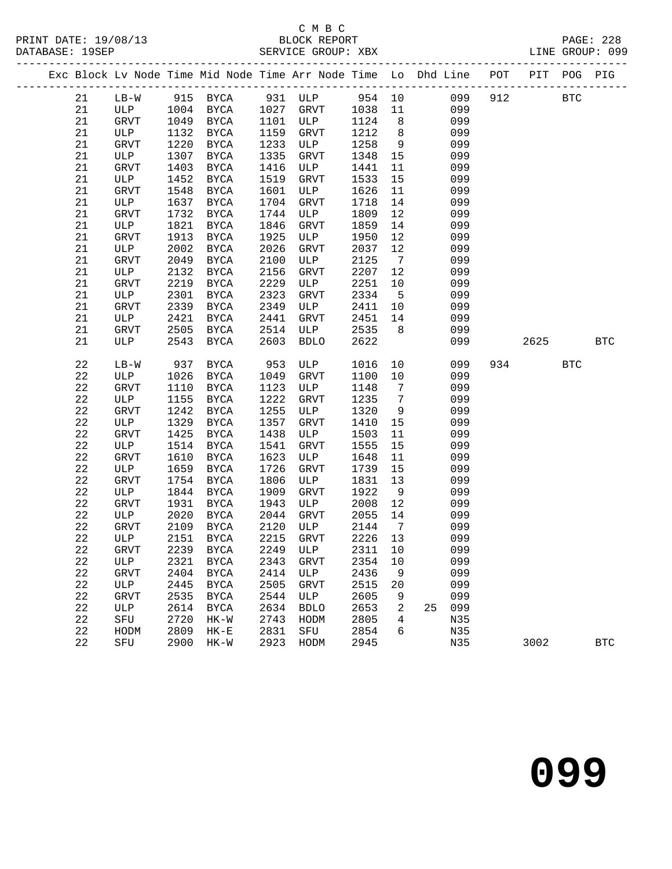#### C M B C<br>BLOCK REPORT

PAGE: 228<br>LINE GROUP: 099

| - - - - - - - - - - - - - |             |              |      |               |      | $L_{\text{H}}$ |      |                 |                                                                                |     |      |            |            |
|---------------------------|-------------|--------------|------|---------------|------|----------------|------|-----------------|--------------------------------------------------------------------------------|-----|------|------------|------------|
|                           |             |              |      |               |      |                |      |                 | Exc Block Lv Node Time Mid Node Time Arr Node Time Lo Dhd Line POT PIT POG PIG |     |      |            |            |
|                           | 21          | $LB-W$       |      | 915 BYCA      |      | 931 ULP        |      |                 | 954 10 099                                                                     |     | 912  | <b>BTC</b> |            |
|                           | 21          | ULP          |      | 1004 BYCA     | 1027 | GRVT           | 1038 | 11              | 099                                                                            |     |      |            |            |
|                           | 21          | <b>GRVT</b>  | 1049 | BYCA          | 1101 | ULP            | 1124 | 8 <sup>8</sup>  | 099                                                                            |     |      |            |            |
|                           | 21          | ULP          | 1132 | BYCA          | 1159 | GRVT           | 1212 | 8 <sup>8</sup>  | 099                                                                            |     |      |            |            |
|                           | 21          | GRVT         | 1220 | BYCA          | 1233 | ULP            | 1258 | 9               | 099                                                                            |     |      |            |            |
|                           | 21          | ULP          | 1307 | BYCA          | 1335 | GRVT           | 1348 | 15              | 099                                                                            |     |      |            |            |
|                           | 21          | <b>GRVT</b>  | 1403 | <b>BYCA</b>   | 1416 | ULP            | 1441 | 11              | 099                                                                            |     |      |            |            |
|                           | 21          | ULP          | 1452 | BYCA          | 1519 | GRVT           | 1533 | 15              | 099                                                                            |     |      |            |            |
|                           | 21          | GRVT         | 1548 | BYCA          | 1601 | ULP            | 1626 | 11              | 099                                                                            |     |      |            |            |
|                           | 21          | ULP          | 1637 | BYCA          | 1704 | GRVT           | 1718 | 14              | 099                                                                            |     |      |            |            |
|                           | 21          | <b>GRVT</b>  | 1732 | <b>BYCA</b>   | 1744 | ULP            | 1809 | 12              | 099                                                                            |     |      |            |            |
|                           | 21          | ULP          | 1821 | BYCA          | 1846 | GRVT           | 1859 | 14              | 099                                                                            |     |      |            |            |
|                           | 21          | GRVT         | 1913 | BYCA          | 1925 | ULP            | 1950 | 12              | 099                                                                            |     |      |            |            |
|                           | 21          | ULP          | 2002 | <b>BYCA</b>   | 2026 | GRVT           | 2037 | 12              | 099                                                                            |     |      |            |            |
|                           | 21          | <b>GRVT</b>  | 2049 | BYCA          | 2100 | ULP            | 2125 | $7\overline{ }$ | 099                                                                            |     |      |            |            |
|                           | $2\sqrt{1}$ | ULP          | 2132 | <b>BYCA</b>   | 2156 | GRVT           | 2207 | 12              | 099                                                                            |     |      |            |            |
|                           | 21          | GRVT         | 2219 | BYCA          | 2229 | ULP            | 2251 | 10              | 099                                                                            |     |      |            |            |
|                           | 21          | ULP          | 2301 | <b>BYCA</b>   | 2323 | GRVT           | 2334 | $5^{\circ}$     | 099                                                                            |     |      |            |            |
|                           | 21          | GRVT         | 2339 | <b>BYCA</b>   | 2349 | ULP            | 2411 | 10              | 099                                                                            |     |      |            |            |
|                           | 21          | ULP          | 2421 | <b>BYCA</b>   | 2441 | GRVT           | 2451 | 14              | 099                                                                            |     |      |            |            |
|                           | 21          | <b>GRVT</b>  | 2505 | BYCA          | 2514 | ULP            | 2535 | 8 <sup>8</sup>  | 099                                                                            |     |      |            |            |
|                           | 21          | ULP          | 2543 | BYCA          | 2603 | <b>BDLO</b>    | 2622 |                 | 099                                                                            |     | 2625 |            | <b>BTC</b> |
|                           | 22          | $LB-W$       | 937  | <b>BYCA</b>   | 953  | ULP            | 1016 | 10              | 099                                                                            | 934 |      | <b>BTC</b> |            |
|                           | 22          | ULP          | 1026 | BYCA          | 1049 | GRVT           | 1100 | 10              | 099                                                                            |     |      |            |            |
|                           | $2\sqrt{2}$ | GRVT         | 1110 | BYCA          | 1123 | ULP            | 1148 | $7\overline{ }$ | 099                                                                            |     |      |            |            |
|                           | 22          | ULP          | 1155 | BYCA          | 1222 | GRVT           | 1235 | $\overline{7}$  | 099                                                                            |     |      |            |            |
|                           | 22          | <b>GRVT</b>  | 1242 | <b>BYCA</b>   | 1255 | ULP            | 1320 | 9               | 099                                                                            |     |      |            |            |
|                           | 22          | ULP          | 1329 | BYCA          | 1357 | GRVT           | 1410 | 15              | 099                                                                            |     |      |            |            |
|                           | 22          | ${\tt GRVT}$ | 1425 | BYCA          | 1438 | ULP            | 1503 | 11              | 099                                                                            |     |      |            |            |
|                           | 22          | ULP          | 1514 | BYCA          | 1541 | GRVT           | 1555 | 15              | 099                                                                            |     |      |            |            |
|                           | 22          | <b>GRVT</b>  | 1610 | $_{\rm BYCA}$ | 1623 | ULP            | 1648 | 11              | 099                                                                            |     |      |            |            |
|                           | 22          | ULP          | 1659 | BYCA          | 1726 | GRVT           | 1739 | 15              | 099                                                                            |     |      |            |            |
|                           | 22          | GRVT         | 1754 | BYCA          | 1806 | ULP            | 1831 | 13              | 099                                                                            |     |      |            |            |
|                           | 22          | ULP          | 1844 | BYCA          | 1909 | <b>GRVT</b>    | 1922 | 9               | 099                                                                            |     |      |            |            |
|                           | 22          | <b>GRVT</b>  | 1931 | <b>BYCA</b>   | 1943 | ULP            | 2008 | 12              | 099                                                                            |     |      |            |            |
|                           | 22          | ULP          | 2020 | <b>BYCA</b>   | 2044 | GRVT           | 2055 | 14              | 099                                                                            |     |      |            |            |
|                           | 22          | <b>GRVT</b>  | 2109 | BYCA          | 2120 | ULP            | 2144 | $7\overline{ }$ | 099                                                                            |     |      |            |            |
|                           | 22          | ULP          | 2151 | BYCA          | 2215 | GRVT           | 2226 | 13              | 099                                                                            |     |      |            |            |
|                           | 22          | GRVT         | 2239 | <b>BYCA</b>   | 2249 | ULP            | 2311 | 10              | 099                                                                            |     |      |            |            |
|                           | $2\sqrt{2}$ | ULP          | 2321 | <b>BYCA</b>   | 2343 | <b>GRVT</b>    | 2354 | 10              | 099                                                                            |     |      |            |            |
|                           | 22          | GRVT         | 2404 | <b>BYCA</b>   | 2414 | ULP            | 2436 | 9               | 099                                                                            |     |      |            |            |
|                           | 22          | ULP          | 2445 | <b>BYCA</b>   | 2505 | <b>GRVT</b>    | 2515 | 20              | 099                                                                            |     |      |            |            |
|                           | 22          | <b>GRVT</b>  | 2535 | <b>BYCA</b>   | 2544 | ULP            | 2605 | 9               | 099                                                                            |     |      |            |            |
|                           | $2\sqrt{2}$ | ULP          | 2614 | <b>BYCA</b>   | 2634 | <b>BDLO</b>    | 2653 | 2               | 099<br>25                                                                      |     |      |            |            |
|                           | $2\sqrt{2}$ | ${\tt SFU}$  | 2720 | $HK-W$        | 2743 | HODM           | 2805 | 4               | N35                                                                            |     |      |            |            |
|                           | 22          | HODM         | 2809 | $HK-E$        | 2831 | SFU            | 2854 | 6               | N35                                                                            |     |      |            |            |
|                           | 22          | SFU          | 2900 | $HK-W$        | 2923 | HODM           | 2945 |                 | N35                                                                            |     | 3002 |            | <b>BTC</b> |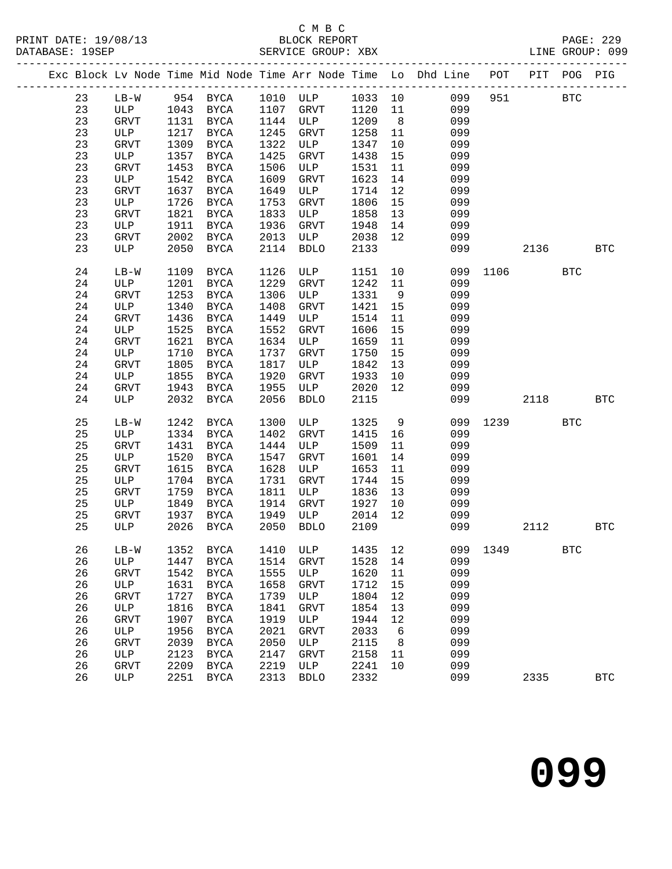### C M B C<br>BLOCK REPORT

PAGE: 229<br>LINE GROUP: 099

| Exc Block Lv Node Time Mid Node Time Arr Node Time Lo Dhd Line POT<br>PIT POG<br>954 BYCA<br>1033<br>23<br>1010 ULP<br>10<br>099<br>951<br>$LB-W$<br>23<br>1043<br>1120<br>11<br>099<br>ULP<br>BYCA<br>1107<br>GRVT<br>23<br>1209<br>1131<br>1144<br>8 <sup>8</sup><br>099<br>GRVT<br>BYCA<br>ULP<br>23<br>1217<br>1245<br>1258<br>ULP<br>BYCA<br>GRVT<br>11<br>099<br>23<br>1309<br>GRVT<br>1322<br>ULP<br>1347<br>10<br>099<br>BYCA<br>23<br>1357<br>ULP<br><b>BYCA</b><br>1425<br>GRVT<br>1438<br>15<br>099<br>23<br>1453<br>1506<br>GRVT<br><b>BYCA</b><br>ULP<br>1531<br>11<br>099<br>23<br>1623<br>1542<br>1609<br>14<br>099<br>ULP<br><b>BYCA</b><br>GRVT<br>23<br>1637<br>1649<br>ULP<br>1714<br>12<br>099<br>GRVT<br><b>BYCA</b><br>23<br>1726<br>1753<br>1806<br>15<br>099<br>ULP<br>BYCA<br><b>GRVT</b><br>23<br>${\tt GRVT}$<br>1821<br>1833<br>1858<br>13<br>099<br><b>BYCA</b><br>ULP<br>23<br>1911<br>1936<br>1948<br>14<br>099<br>ULP<br>BYCA<br>GRVT<br>23<br>2002<br>2013<br>2038<br>12<br>099<br>GRVT<br><b>BYCA</b><br>ULP<br>23<br>2050<br>2114<br>2133<br>099<br>ULP<br>BYCA<br><b>BDLO</b><br>2136<br>24<br>1126<br>10<br>1109<br>1151<br>099<br>1106<br>$LB-W$<br>BYCA<br>ULP<br>24<br>1201<br>1229<br>1242<br>11<br>099<br>ULP<br><b>BYCA</b><br><b>GRVT</b><br>24<br>GRVT<br>1253<br>1306<br>1331<br>099<br>BYCA<br>ULP<br>9<br>24<br>1340<br>1421<br>099<br><b>ULP</b><br>1408<br>GRVT<br>15<br>BYCA<br>24<br>1436<br>1514<br>11<br>099<br>GRVT<br>BYCA<br>1449<br>ULP<br>1525<br>24<br>1552<br>1606<br>099<br>ULP<br>BYCA<br>GRVT<br>15<br>24<br>1621<br>1659<br><b>GRVT</b><br>BYCA<br>1634<br>ULP<br>11<br>099<br>1710<br>1750<br>24<br>ULP<br>BYCA<br>1737<br><b>GRVT</b><br>15<br>099<br>24<br>1805<br>1817<br>1842<br>13<br>099<br><b>GRVT</b><br>ULP<br>BYCA<br>1855<br>24<br>1920<br>1933<br>10<br>099<br>ULP<br><b>BYCA</b><br>GRVT<br>$2\sqrt{4}$<br>1943<br>1955<br>2020<br>12<br>GRVT<br>ULP<br>099<br>BYCA<br>2032<br>2056<br>2115<br>24<br>ULP<br><b>BYCA</b><br><b>BDLO</b><br>099<br>2118<br>25<br>1242<br><b>BYCA</b><br>1300<br>ULP<br>1325<br>9<br>099<br>1239<br>$LB-W$<br>25<br>1334<br>099<br>ULP<br>BYCA<br>1402<br><b>GRVT</b><br>1415<br>16<br>25<br><b>GRVT</b><br>1431<br><b>BYCA</b><br>1444<br>ULP<br>1509<br>11<br>099<br>25<br>1520<br>ULP<br><b>BYCA</b><br>1547<br>GRVT<br>1601<br>14<br>099<br>25<br>1615<br>1628<br>1653<br>11<br>099<br>GRVT<br>ULP<br>BYCA<br>25<br>ULP<br>1704<br>1731<br>1744<br>15<br>099<br>BYCA<br>GRVT<br>25<br>GRVT<br>1759<br>1811<br>1836<br>13<br>099<br>BYCA<br>ULP<br>25<br>1849<br>1914<br>1927<br>099<br>ULP<br>BYCA<br>GRVT<br>10<br>25<br>1937<br>1949<br>2014<br>12<br>099<br><b>GRVT</b><br>BYCA<br>ULP<br>25<br>ULP<br>2026<br>2050<br><b>BDLO</b><br>2109<br>099<br>2112<br>BYCA<br>1352<br>1410<br>12<br>099<br>1349<br>26<br>$LB-W$<br>BYCA<br>ULP<br>1435<br>26<br>1528<br>099<br>1447<br>1514<br>14<br>ULP<br><b>BYCA</b><br><b>GRVT</b><br>099<br>26<br>1542<br>1555<br>1620<br>GRVT<br><b>BYCA</b><br>ULP<br>11<br>099<br>26<br>ULP<br>1631<br>1658<br><b>GRVT</b><br>1712<br>15<br><b>BYCA</b><br>26<br>1804<br>099<br>GRVT<br>1727<br><b>BYCA</b><br>1739<br>12<br>ULP<br>26<br>1816<br>1841<br>1854<br>13<br>099<br>ULP<br><b>BYCA</b><br>GRVT<br>1907<br>099<br>26<br>1919<br>1944<br>12<br>GRVT<br><b>BYCA</b><br>ULP<br>26<br>1956<br>2021<br>2033<br>099<br>ULP<br><b>BYCA</b><br><b>GRVT</b><br>6<br>26<br>2039<br>099<br><b>GRVT</b><br>2050<br>ULP<br>2115<br>8<br><b>BYCA</b><br>26<br>2123<br>2158<br>099<br>ULP<br>2147<br><b>GRVT</b><br>11<br><b>BYCA</b><br>26<br>2209<br>2219<br>2241<br>099<br>GRVT<br>ULP<br>10<br>BYCA<br>26<br>ULP<br>2251<br>2313<br>2332<br>099<br>2335<br><b>BYCA</b><br><b>BDLO</b> |  |  |  |  |  |  |                      |            |
|----------------------------------------------------------------------------------------------------------------------------------------------------------------------------------------------------------------------------------------------------------------------------------------------------------------------------------------------------------------------------------------------------------------------------------------------------------------------------------------------------------------------------------------------------------------------------------------------------------------------------------------------------------------------------------------------------------------------------------------------------------------------------------------------------------------------------------------------------------------------------------------------------------------------------------------------------------------------------------------------------------------------------------------------------------------------------------------------------------------------------------------------------------------------------------------------------------------------------------------------------------------------------------------------------------------------------------------------------------------------------------------------------------------------------------------------------------------------------------------------------------------------------------------------------------------------------------------------------------------------------------------------------------------------------------------------------------------------------------------------------------------------------------------------------------------------------------------------------------------------------------------------------------------------------------------------------------------------------------------------------------------------------------------------------------------------------------------------------------------------------------------------------------------------------------------------------------------------------------------------------------------------------------------------------------------------------------------------------------------------------------------------------------------------------------------------------------------------------------------------------------------------------------------------------------------------------------------------------------------------------------------------------------------------------------------------------------------------------------------------------------------------------------------------------------------------------------------------------------------------------------------------------------------------------------------------------------------------------------------------------------------------------------------------------------------------------------------------------------------------------------------------------------------------------------------------------------------------------------------------------------------------------------------------------------------------------------------------------------------------------------------------------------------------------------------------------------------------------------------------------------------------------------------------------------------------------------------------------------------------------------------------------------------------------------------------------------------------------------------|--|--|--|--|--|--|----------------------|------------|
|                                                                                                                                                                                                                                                                                                                                                                                                                                                                                                                                                                                                                                                                                                                                                                                                                                                                                                                                                                                                                                                                                                                                                                                                                                                                                                                                                                                                                                                                                                                                                                                                                                                                                                                                                                                                                                                                                                                                                                                                                                                                                                                                                                                                                                                                                                                                                                                                                                                                                                                                                                                                                                                                                                                                                                                                                                                                                                                                                                                                                                                                                                                                                                                                                                                                                                                                                                                                                                                                                                                                                                                                                                                                                                                                        |  |  |  |  |  |  |                      | PIG        |
|                                                                                                                                                                                                                                                                                                                                                                                                                                                                                                                                                                                                                                                                                                                                                                                                                                                                                                                                                                                                                                                                                                                                                                                                                                                                                                                                                                                                                                                                                                                                                                                                                                                                                                                                                                                                                                                                                                                                                                                                                                                                                                                                                                                                                                                                                                                                                                                                                                                                                                                                                                                                                                                                                                                                                                                                                                                                                                                                                                                                                                                                                                                                                                                                                                                                                                                                                                                                                                                                                                                                                                                                                                                                                                                                        |  |  |  |  |  |  | <b>BTC</b>           |            |
|                                                                                                                                                                                                                                                                                                                                                                                                                                                                                                                                                                                                                                                                                                                                                                                                                                                                                                                                                                                                                                                                                                                                                                                                                                                                                                                                                                                                                                                                                                                                                                                                                                                                                                                                                                                                                                                                                                                                                                                                                                                                                                                                                                                                                                                                                                                                                                                                                                                                                                                                                                                                                                                                                                                                                                                                                                                                                                                                                                                                                                                                                                                                                                                                                                                                                                                                                                                                                                                                                                                                                                                                                                                                                                                                        |  |  |  |  |  |  |                      |            |
|                                                                                                                                                                                                                                                                                                                                                                                                                                                                                                                                                                                                                                                                                                                                                                                                                                                                                                                                                                                                                                                                                                                                                                                                                                                                                                                                                                                                                                                                                                                                                                                                                                                                                                                                                                                                                                                                                                                                                                                                                                                                                                                                                                                                                                                                                                                                                                                                                                                                                                                                                                                                                                                                                                                                                                                                                                                                                                                                                                                                                                                                                                                                                                                                                                                                                                                                                                                                                                                                                                                                                                                                                                                                                                                                        |  |  |  |  |  |  |                      |            |
|                                                                                                                                                                                                                                                                                                                                                                                                                                                                                                                                                                                                                                                                                                                                                                                                                                                                                                                                                                                                                                                                                                                                                                                                                                                                                                                                                                                                                                                                                                                                                                                                                                                                                                                                                                                                                                                                                                                                                                                                                                                                                                                                                                                                                                                                                                                                                                                                                                                                                                                                                                                                                                                                                                                                                                                                                                                                                                                                                                                                                                                                                                                                                                                                                                                                                                                                                                                                                                                                                                                                                                                                                                                                                                                                        |  |  |  |  |  |  |                      |            |
|                                                                                                                                                                                                                                                                                                                                                                                                                                                                                                                                                                                                                                                                                                                                                                                                                                                                                                                                                                                                                                                                                                                                                                                                                                                                                                                                                                                                                                                                                                                                                                                                                                                                                                                                                                                                                                                                                                                                                                                                                                                                                                                                                                                                                                                                                                                                                                                                                                                                                                                                                                                                                                                                                                                                                                                                                                                                                                                                                                                                                                                                                                                                                                                                                                                                                                                                                                                                                                                                                                                                                                                                                                                                                                                                        |  |  |  |  |  |  |                      |            |
|                                                                                                                                                                                                                                                                                                                                                                                                                                                                                                                                                                                                                                                                                                                                                                                                                                                                                                                                                                                                                                                                                                                                                                                                                                                                                                                                                                                                                                                                                                                                                                                                                                                                                                                                                                                                                                                                                                                                                                                                                                                                                                                                                                                                                                                                                                                                                                                                                                                                                                                                                                                                                                                                                                                                                                                                                                                                                                                                                                                                                                                                                                                                                                                                                                                                                                                                                                                                                                                                                                                                                                                                                                                                                                                                        |  |  |  |  |  |  |                      |            |
|                                                                                                                                                                                                                                                                                                                                                                                                                                                                                                                                                                                                                                                                                                                                                                                                                                                                                                                                                                                                                                                                                                                                                                                                                                                                                                                                                                                                                                                                                                                                                                                                                                                                                                                                                                                                                                                                                                                                                                                                                                                                                                                                                                                                                                                                                                                                                                                                                                                                                                                                                                                                                                                                                                                                                                                                                                                                                                                                                                                                                                                                                                                                                                                                                                                                                                                                                                                                                                                                                                                                                                                                                                                                                                                                        |  |  |  |  |  |  |                      |            |
|                                                                                                                                                                                                                                                                                                                                                                                                                                                                                                                                                                                                                                                                                                                                                                                                                                                                                                                                                                                                                                                                                                                                                                                                                                                                                                                                                                                                                                                                                                                                                                                                                                                                                                                                                                                                                                                                                                                                                                                                                                                                                                                                                                                                                                                                                                                                                                                                                                                                                                                                                                                                                                                                                                                                                                                                                                                                                                                                                                                                                                                                                                                                                                                                                                                                                                                                                                                                                                                                                                                                                                                                                                                                                                                                        |  |  |  |  |  |  |                      |            |
|                                                                                                                                                                                                                                                                                                                                                                                                                                                                                                                                                                                                                                                                                                                                                                                                                                                                                                                                                                                                                                                                                                                                                                                                                                                                                                                                                                                                                                                                                                                                                                                                                                                                                                                                                                                                                                                                                                                                                                                                                                                                                                                                                                                                                                                                                                                                                                                                                                                                                                                                                                                                                                                                                                                                                                                                                                                                                                                                                                                                                                                                                                                                                                                                                                                                                                                                                                                                                                                                                                                                                                                                                                                                                                                                        |  |  |  |  |  |  |                      |            |
|                                                                                                                                                                                                                                                                                                                                                                                                                                                                                                                                                                                                                                                                                                                                                                                                                                                                                                                                                                                                                                                                                                                                                                                                                                                                                                                                                                                                                                                                                                                                                                                                                                                                                                                                                                                                                                                                                                                                                                                                                                                                                                                                                                                                                                                                                                                                                                                                                                                                                                                                                                                                                                                                                                                                                                                                                                                                                                                                                                                                                                                                                                                                                                                                                                                                                                                                                                                                                                                                                                                                                                                                                                                                                                                                        |  |  |  |  |  |  |                      |            |
|                                                                                                                                                                                                                                                                                                                                                                                                                                                                                                                                                                                                                                                                                                                                                                                                                                                                                                                                                                                                                                                                                                                                                                                                                                                                                                                                                                                                                                                                                                                                                                                                                                                                                                                                                                                                                                                                                                                                                                                                                                                                                                                                                                                                                                                                                                                                                                                                                                                                                                                                                                                                                                                                                                                                                                                                                                                                                                                                                                                                                                                                                                                                                                                                                                                                                                                                                                                                                                                                                                                                                                                                                                                                                                                                        |  |  |  |  |  |  |                      |            |
|                                                                                                                                                                                                                                                                                                                                                                                                                                                                                                                                                                                                                                                                                                                                                                                                                                                                                                                                                                                                                                                                                                                                                                                                                                                                                                                                                                                                                                                                                                                                                                                                                                                                                                                                                                                                                                                                                                                                                                                                                                                                                                                                                                                                                                                                                                                                                                                                                                                                                                                                                                                                                                                                                                                                                                                                                                                                                                                                                                                                                                                                                                                                                                                                                                                                                                                                                                                                                                                                                                                                                                                                                                                                                                                                        |  |  |  |  |  |  |                      |            |
|                                                                                                                                                                                                                                                                                                                                                                                                                                                                                                                                                                                                                                                                                                                                                                                                                                                                                                                                                                                                                                                                                                                                                                                                                                                                                                                                                                                                                                                                                                                                                                                                                                                                                                                                                                                                                                                                                                                                                                                                                                                                                                                                                                                                                                                                                                                                                                                                                                                                                                                                                                                                                                                                                                                                                                                                                                                                                                                                                                                                                                                                                                                                                                                                                                                                                                                                                                                                                                                                                                                                                                                                                                                                                                                                        |  |  |  |  |  |  |                      |            |
|                                                                                                                                                                                                                                                                                                                                                                                                                                                                                                                                                                                                                                                                                                                                                                                                                                                                                                                                                                                                                                                                                                                                                                                                                                                                                                                                                                                                                                                                                                                                                                                                                                                                                                                                                                                                                                                                                                                                                                                                                                                                                                                                                                                                                                                                                                                                                                                                                                                                                                                                                                                                                                                                                                                                                                                                                                                                                                                                                                                                                                                                                                                                                                                                                                                                                                                                                                                                                                                                                                                                                                                                                                                                                                                                        |  |  |  |  |  |  |                      | <b>BTC</b> |
|                                                                                                                                                                                                                                                                                                                                                                                                                                                                                                                                                                                                                                                                                                                                                                                                                                                                                                                                                                                                                                                                                                                                                                                                                                                                                                                                                                                                                                                                                                                                                                                                                                                                                                                                                                                                                                                                                                                                                                                                                                                                                                                                                                                                                                                                                                                                                                                                                                                                                                                                                                                                                                                                                                                                                                                                                                                                                                                                                                                                                                                                                                                                                                                                                                                                                                                                                                                                                                                                                                                                                                                                                                                                                                                                        |  |  |  |  |  |  | <b>BTC</b>           |            |
|                                                                                                                                                                                                                                                                                                                                                                                                                                                                                                                                                                                                                                                                                                                                                                                                                                                                                                                                                                                                                                                                                                                                                                                                                                                                                                                                                                                                                                                                                                                                                                                                                                                                                                                                                                                                                                                                                                                                                                                                                                                                                                                                                                                                                                                                                                                                                                                                                                                                                                                                                                                                                                                                                                                                                                                                                                                                                                                                                                                                                                                                                                                                                                                                                                                                                                                                                                                                                                                                                                                                                                                                                                                                                                                                        |  |  |  |  |  |  |                      |            |
|                                                                                                                                                                                                                                                                                                                                                                                                                                                                                                                                                                                                                                                                                                                                                                                                                                                                                                                                                                                                                                                                                                                                                                                                                                                                                                                                                                                                                                                                                                                                                                                                                                                                                                                                                                                                                                                                                                                                                                                                                                                                                                                                                                                                                                                                                                                                                                                                                                                                                                                                                                                                                                                                                                                                                                                                                                                                                                                                                                                                                                                                                                                                                                                                                                                                                                                                                                                                                                                                                                                                                                                                                                                                                                                                        |  |  |  |  |  |  |                      |            |
|                                                                                                                                                                                                                                                                                                                                                                                                                                                                                                                                                                                                                                                                                                                                                                                                                                                                                                                                                                                                                                                                                                                                                                                                                                                                                                                                                                                                                                                                                                                                                                                                                                                                                                                                                                                                                                                                                                                                                                                                                                                                                                                                                                                                                                                                                                                                                                                                                                                                                                                                                                                                                                                                                                                                                                                                                                                                                                                                                                                                                                                                                                                                                                                                                                                                                                                                                                                                                                                                                                                                                                                                                                                                                                                                        |  |  |  |  |  |  |                      |            |
|                                                                                                                                                                                                                                                                                                                                                                                                                                                                                                                                                                                                                                                                                                                                                                                                                                                                                                                                                                                                                                                                                                                                                                                                                                                                                                                                                                                                                                                                                                                                                                                                                                                                                                                                                                                                                                                                                                                                                                                                                                                                                                                                                                                                                                                                                                                                                                                                                                                                                                                                                                                                                                                                                                                                                                                                                                                                                                                                                                                                                                                                                                                                                                                                                                                                                                                                                                                                                                                                                                                                                                                                                                                                                                                                        |  |  |  |  |  |  |                      |            |
|                                                                                                                                                                                                                                                                                                                                                                                                                                                                                                                                                                                                                                                                                                                                                                                                                                                                                                                                                                                                                                                                                                                                                                                                                                                                                                                                                                                                                                                                                                                                                                                                                                                                                                                                                                                                                                                                                                                                                                                                                                                                                                                                                                                                                                                                                                                                                                                                                                                                                                                                                                                                                                                                                                                                                                                                                                                                                                                                                                                                                                                                                                                                                                                                                                                                                                                                                                                                                                                                                                                                                                                                                                                                                                                                        |  |  |  |  |  |  |                      |            |
|                                                                                                                                                                                                                                                                                                                                                                                                                                                                                                                                                                                                                                                                                                                                                                                                                                                                                                                                                                                                                                                                                                                                                                                                                                                                                                                                                                                                                                                                                                                                                                                                                                                                                                                                                                                                                                                                                                                                                                                                                                                                                                                                                                                                                                                                                                                                                                                                                                                                                                                                                                                                                                                                                                                                                                                                                                                                                                                                                                                                                                                                                                                                                                                                                                                                                                                                                                                                                                                                                                                                                                                                                                                                                                                                        |  |  |  |  |  |  |                      |            |
|                                                                                                                                                                                                                                                                                                                                                                                                                                                                                                                                                                                                                                                                                                                                                                                                                                                                                                                                                                                                                                                                                                                                                                                                                                                                                                                                                                                                                                                                                                                                                                                                                                                                                                                                                                                                                                                                                                                                                                                                                                                                                                                                                                                                                                                                                                                                                                                                                                                                                                                                                                                                                                                                                                                                                                                                                                                                                                                                                                                                                                                                                                                                                                                                                                                                                                                                                                                                                                                                                                                                                                                                                                                                                                                                        |  |  |  |  |  |  |                      |            |
|                                                                                                                                                                                                                                                                                                                                                                                                                                                                                                                                                                                                                                                                                                                                                                                                                                                                                                                                                                                                                                                                                                                                                                                                                                                                                                                                                                                                                                                                                                                                                                                                                                                                                                                                                                                                                                                                                                                                                                                                                                                                                                                                                                                                                                                                                                                                                                                                                                                                                                                                                                                                                                                                                                                                                                                                                                                                                                                                                                                                                                                                                                                                                                                                                                                                                                                                                                                                                                                                                                                                                                                                                                                                                                                                        |  |  |  |  |  |  |                      |            |
|                                                                                                                                                                                                                                                                                                                                                                                                                                                                                                                                                                                                                                                                                                                                                                                                                                                                                                                                                                                                                                                                                                                                                                                                                                                                                                                                                                                                                                                                                                                                                                                                                                                                                                                                                                                                                                                                                                                                                                                                                                                                                                                                                                                                                                                                                                                                                                                                                                                                                                                                                                                                                                                                                                                                                                                                                                                                                                                                                                                                                                                                                                                                                                                                                                                                                                                                                                                                                                                                                                                                                                                                                                                                                                                                        |  |  |  |  |  |  |                      |            |
|                                                                                                                                                                                                                                                                                                                                                                                                                                                                                                                                                                                                                                                                                                                                                                                                                                                                                                                                                                                                                                                                                                                                                                                                                                                                                                                                                                                                                                                                                                                                                                                                                                                                                                                                                                                                                                                                                                                                                                                                                                                                                                                                                                                                                                                                                                                                                                                                                                                                                                                                                                                                                                                                                                                                                                                                                                                                                                                                                                                                                                                                                                                                                                                                                                                                                                                                                                                                                                                                                                                                                                                                                                                                                                                                        |  |  |  |  |  |  |                      |            |
|                                                                                                                                                                                                                                                                                                                                                                                                                                                                                                                                                                                                                                                                                                                                                                                                                                                                                                                                                                                                                                                                                                                                                                                                                                                                                                                                                                                                                                                                                                                                                                                                                                                                                                                                                                                                                                                                                                                                                                                                                                                                                                                                                                                                                                                                                                                                                                                                                                                                                                                                                                                                                                                                                                                                                                                                                                                                                                                                                                                                                                                                                                                                                                                                                                                                                                                                                                                                                                                                                                                                                                                                                                                                                                                                        |  |  |  |  |  |  |                      | <b>BTC</b> |
|                                                                                                                                                                                                                                                                                                                                                                                                                                                                                                                                                                                                                                                                                                                                                                                                                                                                                                                                                                                                                                                                                                                                                                                                                                                                                                                                                                                                                                                                                                                                                                                                                                                                                                                                                                                                                                                                                                                                                                                                                                                                                                                                                                                                                                                                                                                                                                                                                                                                                                                                                                                                                                                                                                                                                                                                                                                                                                                                                                                                                                                                                                                                                                                                                                                                                                                                                                                                                                                                                                                                                                                                                                                                                                                                        |  |  |  |  |  |  | <b>BTC</b>           |            |
|                                                                                                                                                                                                                                                                                                                                                                                                                                                                                                                                                                                                                                                                                                                                                                                                                                                                                                                                                                                                                                                                                                                                                                                                                                                                                                                                                                                                                                                                                                                                                                                                                                                                                                                                                                                                                                                                                                                                                                                                                                                                                                                                                                                                                                                                                                                                                                                                                                                                                                                                                                                                                                                                                                                                                                                                                                                                                                                                                                                                                                                                                                                                                                                                                                                                                                                                                                                                                                                                                                                                                                                                                                                                                                                                        |  |  |  |  |  |  |                      |            |
|                                                                                                                                                                                                                                                                                                                                                                                                                                                                                                                                                                                                                                                                                                                                                                                                                                                                                                                                                                                                                                                                                                                                                                                                                                                                                                                                                                                                                                                                                                                                                                                                                                                                                                                                                                                                                                                                                                                                                                                                                                                                                                                                                                                                                                                                                                                                                                                                                                                                                                                                                                                                                                                                                                                                                                                                                                                                                                                                                                                                                                                                                                                                                                                                                                                                                                                                                                                                                                                                                                                                                                                                                                                                                                                                        |  |  |  |  |  |  |                      |            |
|                                                                                                                                                                                                                                                                                                                                                                                                                                                                                                                                                                                                                                                                                                                                                                                                                                                                                                                                                                                                                                                                                                                                                                                                                                                                                                                                                                                                                                                                                                                                                                                                                                                                                                                                                                                                                                                                                                                                                                                                                                                                                                                                                                                                                                                                                                                                                                                                                                                                                                                                                                                                                                                                                                                                                                                                                                                                                                                                                                                                                                                                                                                                                                                                                                                                                                                                                                                                                                                                                                                                                                                                                                                                                                                                        |  |  |  |  |  |  |                      |            |
|                                                                                                                                                                                                                                                                                                                                                                                                                                                                                                                                                                                                                                                                                                                                                                                                                                                                                                                                                                                                                                                                                                                                                                                                                                                                                                                                                                                                                                                                                                                                                                                                                                                                                                                                                                                                                                                                                                                                                                                                                                                                                                                                                                                                                                                                                                                                                                                                                                                                                                                                                                                                                                                                                                                                                                                                                                                                                                                                                                                                                                                                                                                                                                                                                                                                                                                                                                                                                                                                                                                                                                                                                                                                                                                                        |  |  |  |  |  |  |                      |            |
|                                                                                                                                                                                                                                                                                                                                                                                                                                                                                                                                                                                                                                                                                                                                                                                                                                                                                                                                                                                                                                                                                                                                                                                                                                                                                                                                                                                                                                                                                                                                                                                                                                                                                                                                                                                                                                                                                                                                                                                                                                                                                                                                                                                                                                                                                                                                                                                                                                                                                                                                                                                                                                                                                                                                                                                                                                                                                                                                                                                                                                                                                                                                                                                                                                                                                                                                                                                                                                                                                                                                                                                                                                                                                                                                        |  |  |  |  |  |  |                      |            |
|                                                                                                                                                                                                                                                                                                                                                                                                                                                                                                                                                                                                                                                                                                                                                                                                                                                                                                                                                                                                                                                                                                                                                                                                                                                                                                                                                                                                                                                                                                                                                                                                                                                                                                                                                                                                                                                                                                                                                                                                                                                                                                                                                                                                                                                                                                                                                                                                                                                                                                                                                                                                                                                                                                                                                                                                                                                                                                                                                                                                                                                                                                                                                                                                                                                                                                                                                                                                                                                                                                                                                                                                                                                                                                                                        |  |  |  |  |  |  |                      |            |
|                                                                                                                                                                                                                                                                                                                                                                                                                                                                                                                                                                                                                                                                                                                                                                                                                                                                                                                                                                                                                                                                                                                                                                                                                                                                                                                                                                                                                                                                                                                                                                                                                                                                                                                                                                                                                                                                                                                                                                                                                                                                                                                                                                                                                                                                                                                                                                                                                                                                                                                                                                                                                                                                                                                                                                                                                                                                                                                                                                                                                                                                                                                                                                                                                                                                                                                                                                                                                                                                                                                                                                                                                                                                                                                                        |  |  |  |  |  |  |                      |            |
|                                                                                                                                                                                                                                                                                                                                                                                                                                                                                                                                                                                                                                                                                                                                                                                                                                                                                                                                                                                                                                                                                                                                                                                                                                                                                                                                                                                                                                                                                                                                                                                                                                                                                                                                                                                                                                                                                                                                                                                                                                                                                                                                                                                                                                                                                                                                                                                                                                                                                                                                                                                                                                                                                                                                                                                                                                                                                                                                                                                                                                                                                                                                                                                                                                                                                                                                                                                                                                                                                                                                                                                                                                                                                                                                        |  |  |  |  |  |  |                      |            |
|                                                                                                                                                                                                                                                                                                                                                                                                                                                                                                                                                                                                                                                                                                                                                                                                                                                                                                                                                                                                                                                                                                                                                                                                                                                                                                                                                                                                                                                                                                                                                                                                                                                                                                                                                                                                                                                                                                                                                                                                                                                                                                                                                                                                                                                                                                                                                                                                                                                                                                                                                                                                                                                                                                                                                                                                                                                                                                                                                                                                                                                                                                                                                                                                                                                                                                                                                                                                                                                                                                                                                                                                                                                                                                                                        |  |  |  |  |  |  |                      | <b>BTC</b> |
|                                                                                                                                                                                                                                                                                                                                                                                                                                                                                                                                                                                                                                                                                                                                                                                                                                                                                                                                                                                                                                                                                                                                                                                                                                                                                                                                                                                                                                                                                                                                                                                                                                                                                                                                                                                                                                                                                                                                                                                                                                                                                                                                                                                                                                                                                                                                                                                                                                                                                                                                                                                                                                                                                                                                                                                                                                                                                                                                                                                                                                                                                                                                                                                                                                                                                                                                                                                                                                                                                                                                                                                                                                                                                                                                        |  |  |  |  |  |  | $\operatorname{BTC}$ |            |
|                                                                                                                                                                                                                                                                                                                                                                                                                                                                                                                                                                                                                                                                                                                                                                                                                                                                                                                                                                                                                                                                                                                                                                                                                                                                                                                                                                                                                                                                                                                                                                                                                                                                                                                                                                                                                                                                                                                                                                                                                                                                                                                                                                                                                                                                                                                                                                                                                                                                                                                                                                                                                                                                                                                                                                                                                                                                                                                                                                                                                                                                                                                                                                                                                                                                                                                                                                                                                                                                                                                                                                                                                                                                                                                                        |  |  |  |  |  |  |                      |            |
|                                                                                                                                                                                                                                                                                                                                                                                                                                                                                                                                                                                                                                                                                                                                                                                                                                                                                                                                                                                                                                                                                                                                                                                                                                                                                                                                                                                                                                                                                                                                                                                                                                                                                                                                                                                                                                                                                                                                                                                                                                                                                                                                                                                                                                                                                                                                                                                                                                                                                                                                                                                                                                                                                                                                                                                                                                                                                                                                                                                                                                                                                                                                                                                                                                                                                                                                                                                                                                                                                                                                                                                                                                                                                                                                        |  |  |  |  |  |  |                      |            |
|                                                                                                                                                                                                                                                                                                                                                                                                                                                                                                                                                                                                                                                                                                                                                                                                                                                                                                                                                                                                                                                                                                                                                                                                                                                                                                                                                                                                                                                                                                                                                                                                                                                                                                                                                                                                                                                                                                                                                                                                                                                                                                                                                                                                                                                                                                                                                                                                                                                                                                                                                                                                                                                                                                                                                                                                                                                                                                                                                                                                                                                                                                                                                                                                                                                                                                                                                                                                                                                                                                                                                                                                                                                                                                                                        |  |  |  |  |  |  |                      |            |
|                                                                                                                                                                                                                                                                                                                                                                                                                                                                                                                                                                                                                                                                                                                                                                                                                                                                                                                                                                                                                                                                                                                                                                                                                                                                                                                                                                                                                                                                                                                                                                                                                                                                                                                                                                                                                                                                                                                                                                                                                                                                                                                                                                                                                                                                                                                                                                                                                                                                                                                                                                                                                                                                                                                                                                                                                                                                                                                                                                                                                                                                                                                                                                                                                                                                                                                                                                                                                                                                                                                                                                                                                                                                                                                                        |  |  |  |  |  |  |                      |            |
|                                                                                                                                                                                                                                                                                                                                                                                                                                                                                                                                                                                                                                                                                                                                                                                                                                                                                                                                                                                                                                                                                                                                                                                                                                                                                                                                                                                                                                                                                                                                                                                                                                                                                                                                                                                                                                                                                                                                                                                                                                                                                                                                                                                                                                                                                                                                                                                                                                                                                                                                                                                                                                                                                                                                                                                                                                                                                                                                                                                                                                                                                                                                                                                                                                                                                                                                                                                                                                                                                                                                                                                                                                                                                                                                        |  |  |  |  |  |  |                      |            |
|                                                                                                                                                                                                                                                                                                                                                                                                                                                                                                                                                                                                                                                                                                                                                                                                                                                                                                                                                                                                                                                                                                                                                                                                                                                                                                                                                                                                                                                                                                                                                                                                                                                                                                                                                                                                                                                                                                                                                                                                                                                                                                                                                                                                                                                                                                                                                                                                                                                                                                                                                                                                                                                                                                                                                                                                                                                                                                                                                                                                                                                                                                                                                                                                                                                                                                                                                                                                                                                                                                                                                                                                                                                                                                                                        |  |  |  |  |  |  |                      |            |
|                                                                                                                                                                                                                                                                                                                                                                                                                                                                                                                                                                                                                                                                                                                                                                                                                                                                                                                                                                                                                                                                                                                                                                                                                                                                                                                                                                                                                                                                                                                                                                                                                                                                                                                                                                                                                                                                                                                                                                                                                                                                                                                                                                                                                                                                                                                                                                                                                                                                                                                                                                                                                                                                                                                                                                                                                                                                                                                                                                                                                                                                                                                                                                                                                                                                                                                                                                                                                                                                                                                                                                                                                                                                                                                                        |  |  |  |  |  |  |                      |            |
|                                                                                                                                                                                                                                                                                                                                                                                                                                                                                                                                                                                                                                                                                                                                                                                                                                                                                                                                                                                                                                                                                                                                                                                                                                                                                                                                                                                                                                                                                                                                                                                                                                                                                                                                                                                                                                                                                                                                                                                                                                                                                                                                                                                                                                                                                                                                                                                                                                                                                                                                                                                                                                                                                                                                                                                                                                                                                                                                                                                                                                                                                                                                                                                                                                                                                                                                                                                                                                                                                                                                                                                                                                                                                                                                        |  |  |  |  |  |  |                      |            |
|                                                                                                                                                                                                                                                                                                                                                                                                                                                                                                                                                                                                                                                                                                                                                                                                                                                                                                                                                                                                                                                                                                                                                                                                                                                                                                                                                                                                                                                                                                                                                                                                                                                                                                                                                                                                                                                                                                                                                                                                                                                                                                                                                                                                                                                                                                                                                                                                                                                                                                                                                                                                                                                                                                                                                                                                                                                                                                                                                                                                                                                                                                                                                                                                                                                                                                                                                                                                                                                                                                                                                                                                                                                                                                                                        |  |  |  |  |  |  |                      |            |
|                                                                                                                                                                                                                                                                                                                                                                                                                                                                                                                                                                                                                                                                                                                                                                                                                                                                                                                                                                                                                                                                                                                                                                                                                                                                                                                                                                                                                                                                                                                                                                                                                                                                                                                                                                                                                                                                                                                                                                                                                                                                                                                                                                                                                                                                                                                                                                                                                                                                                                                                                                                                                                                                                                                                                                                                                                                                                                                                                                                                                                                                                                                                                                                                                                                                                                                                                                                                                                                                                                                                                                                                                                                                                                                                        |  |  |  |  |  |  |                      |            |
|                                                                                                                                                                                                                                                                                                                                                                                                                                                                                                                                                                                                                                                                                                                                                                                                                                                                                                                                                                                                                                                                                                                                                                                                                                                                                                                                                                                                                                                                                                                                                                                                                                                                                                                                                                                                                                                                                                                                                                                                                                                                                                                                                                                                                                                                                                                                                                                                                                                                                                                                                                                                                                                                                                                                                                                                                                                                                                                                                                                                                                                                                                                                                                                                                                                                                                                                                                                                                                                                                                                                                                                                                                                                                                                                        |  |  |  |  |  |  |                      | <b>BTC</b> |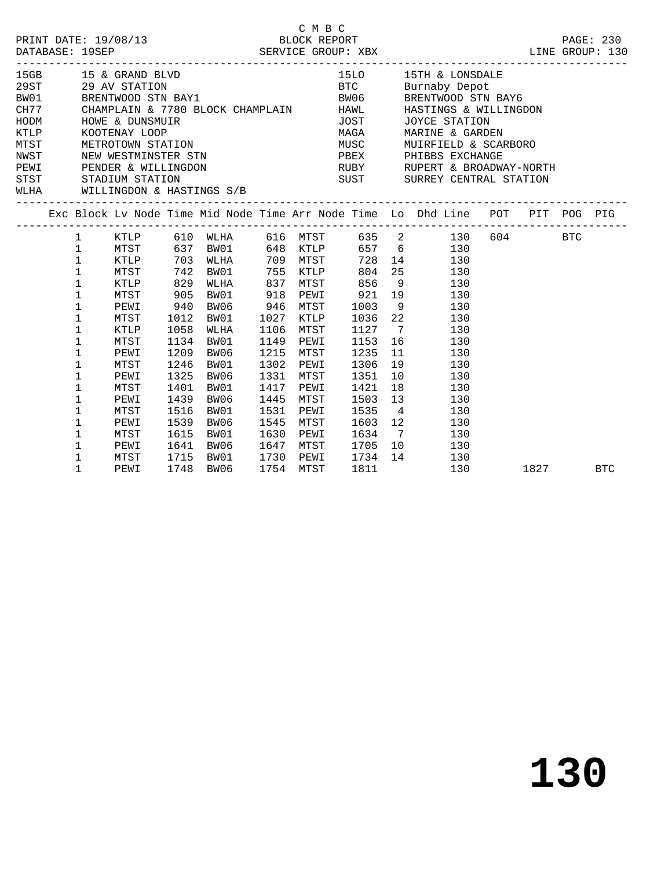|             |              |                                |      |                        |      | C M B C                             |                   |                                                                                                                 |      |     |
|-------------|--------------|--------------------------------|------|------------------------|------|-------------------------------------|-------------------|-----------------------------------------------------------------------------------------------------------------|------|-----|
|             |              |                                |      |                        |      |                                     |                   |                                                                                                                 |      |     |
|             |              | 15GB 15 & GRAND BLVD           |      |                        |      |                                     |                   | 15LO 15TH & LONSDALE                                                                                            |      |     |
| 29ST        |              |                                |      |                        |      |                                     |                   |                                                                                                                 |      |     |
| BW01        |              |                                |      |                        |      |                                     |                   |                                                                                                                 |      |     |
|             |              |                                |      |                        |      |                                     |                   | CH77 CHAMPLAIN & 7780 BLOCK CHAMPLAIN HAWL HASTINGS & WILLINGDON                                                |      |     |
| HODM        |              | HOWE & DUNSMUIR                |      |                        |      |                                     |                   | JOST JOYCE STATION                                                                                              |      |     |
| <b>KTLP</b> |              | KOOTENAY LOOP                  |      |                        |      |                                     |                   | MAGA MARINE & GARDEN                                                                                            |      |     |
|             |              |                                |      |                        |      |                                     |                   |                                                                                                                 |      |     |
|             |              |                                |      |                        |      |                                     |                   | MUST METROTOWN STATION MUST MUST MUST MUST NEW MEST NEW METROTOWN STATION MUST MUST MUST MUST METROTOWN STATION |      |     |
|             |              |                                |      |                        |      |                                     |                   | PEWI PENDER & WILLINGDON BUBY RUBY RUPERT & BROADWAY-NORTH                                                      |      |     |
|             |              | STST STADIUM STATION           |      |                        |      |                                     |                   | SUST SURREY CENTRAL STATION                                                                                     |      |     |
|             |              | WLHA WILLINGDON & HASTINGS S/B |      |                        |      |                                     |                   |                                                                                                                 |      |     |
|             |              |                                |      |                        |      |                                     |                   | Exc Block Lv Node Time Mid Node Time Arr Node Time Lo Dhd Line POT PIT POG PIG                                  |      |     |
|             |              |                                |      |                        |      |                                     |                   | 1 KTLP 610 WLHA 616 MTST 635 2 130 604 BTC                                                                      |      |     |
|             | $\mathbf{1}$ |                                |      |                        |      |                                     |                   | MTST 637 BW01 648 KTLP 657 6 130                                                                                |      |     |
|             | $\mathbf 1$  | KTLP 703 WLHA                  |      |                        |      |                                     |                   | 709 MTST 728 14 130                                                                                             |      |     |
|             | $\mathbf{1}$ | MTST 742 BW01                  |      |                        |      |                                     |                   | 755 KTLP 804 25 130                                                                                             |      |     |
|             | $\mathbf 1$  | KTLP 829 WLHA                  |      |                        |      |                                     |                   | 837 MTST 856 9 130                                                                                              |      |     |
|             | 1            | MTST                           | 905  | BW01                   |      |                                     |                   | 918 PEWI 921 19 130                                                                                             |      |     |
|             | $\mathbf 1$  | PEWI                           | 940  | BW06                   |      | 946 MTST                            | 1003 9            | 130                                                                                                             |      |     |
|             | 1            | MTST                           |      | 1012 BW01              |      | 1027 KTLP                           |                   | 1036 22 130                                                                                                     |      |     |
|             | $\mathbf 1$  | KTLP                           | 1058 | WLHA                   | 1106 | MTST                                | 1127 7            | 130                                                                                                             |      |     |
|             | 1            | MTST                           |      | 1134 BW01              |      | 1149 PEWI                           | 1153 16           | 130                                                                                                             |      |     |
|             | 1            | PEWI                           |      | 1209 BW06              |      | 1215 MTST                           | 1235              | 11 130                                                                                                          |      |     |
|             | 1            | MTST                           |      | 1246 BW01              |      | 1302 PEWI                           | 1306              | 19 130                                                                                                          |      |     |
|             | 1            | PEWI                           |      | 1325 BW06              |      | 1331 MTST                           | 1351              | 10 0<br>130                                                                                                     |      |     |
|             | 1            | MTST                           | 1401 | BW01                   |      | 1417 PEWI                           | 1421              | 18 18<br>130                                                                                                    |      |     |
|             | $\mathbf 1$  | PEWI                           | 1439 | BW06                   | 1445 | MTST                                |                   | 1503 13<br>130                                                                                                  |      |     |
|             | $\mathbf 1$  | MTST                           | 1516 | BW01                   |      | 1531 PEWI                           |                   | 1535 4<br>130                                                                                                   |      |     |
|             | $\mathbf 1$  | PEWI                           | 1539 | BW06                   | 1545 | MTST                                |                   | 1603 12<br>130                                                                                                  |      |     |
|             | 1            | MTST                           | 1615 | BW01                   | 1630 | PEWI                                |                   | 1634 7 130                                                                                                      |      |     |
|             | 1            | PEWI                           |      | 1641 BW06              |      | 1647 MTST<br>1730 PEWI<br>1754 MTST | 1647 MTST 1705 10 | 130                                                                                                             |      |     |
|             | $\mathbf 1$  | MTST                           |      | 1715 BW01<br>1748 BW06 |      |                                     | 1734 14<br>1811   | 130                                                                                                             |      |     |
|             | $\mathbf{1}$ | PEWI                           |      |                        |      | 1754 MTST                           |                   | 130                                                                                                             | 1827 | BTC |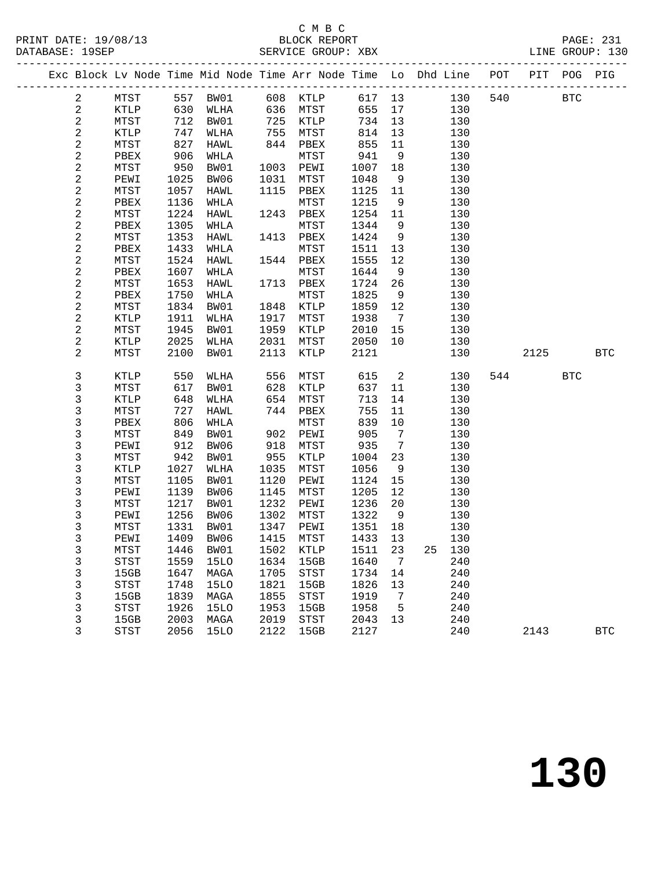#### C M B C<br>BLOCK REPORT

|  |                             |               |              |                             |              |              |              |                 | Exc Block Lv Node Time Mid Node Time Arr Node Time Lo Dhd Line POT PIT POG PIG |     |      |            |              |
|--|-----------------------------|---------------|--------------|-----------------------------|--------------|--------------|--------------|-----------------|--------------------------------------------------------------------------------|-----|------|------------|--------------|
|  | $\overline{a}$              | MTST 557 BW01 |              |                             |              | 608 KTLP     |              |                 | 617 13<br>130                                                                  | 540 |      | <b>BTC</b> |              |
|  | $\overline{a}$              | KTLP          | 630          | WLHA                        |              | 636 MTST     | 655          | 17              | 130                                                                            |     |      |            |              |
|  | $\sqrt{2}$                  | MTST          | 712          | BW01                        | 725          | <b>KTLP</b>  | 734          | 13              | 130                                                                            |     |      |            |              |
|  | $\sqrt{2}$                  | KTLP          | 747          | WLHA                        | 755          | MTST         | 814          | 13              | 130                                                                            |     |      |            |              |
|  | $\sqrt{2}$                  | MTST          | 827          | HAWL                        | 844          | PBEX         | 855          | 11              | 130                                                                            |     |      |            |              |
|  | $\sqrt{2}$                  | PBEX          | 906          | WHLA                        |              | MTST         | 941          | 9               | 130                                                                            |     |      |            |              |
|  | $\overline{a}$              | MTST          | 950          | BW01                        | 1003         | PEWI         | 1007         | 18              | 130                                                                            |     |      |            |              |
|  | $\frac{2}{2}$               | PEWI          | 1025         | BW06                        | 1031         | MTST         | 1048         | 9               | 130                                                                            |     |      |            |              |
|  |                             | MTST          | 1057         | HAWL                        | 1115         | PBEX         | 1125         | 11              | 130                                                                            |     |      |            |              |
|  | $\overline{\mathbf{c}}$     | PBEX          | 1136         | WHLA                        |              | MTST         | 1215         | 9               | 130                                                                            |     |      |            |              |
|  | $\overline{a}$              | MTST          | 1224         | HAWL                        |              | 1243 PBEX    | 1254 11      |                 | 130                                                                            |     |      |            |              |
|  | $\overline{\mathbf{c}}$     | PBEX          | 1305         | WHLA                        |              | MTST         | 1344         | 9               | 130                                                                            |     |      |            |              |
|  | $\sqrt{2}$                  | MTST          | 1353         | HAWL                        | 1413         | PBEX         | 1424         | 9               | 130                                                                            |     |      |            |              |
|  | $\overline{\mathbf{c}}$     | PBEX          | 1433         | WHLA                        |              | MTST         | 1511         | 13              | 130                                                                            |     |      |            |              |
|  | $\sqrt{2}$                  | MTST          | 1524         | HAWL                        | 1544         | PBEX         | 1555         | 12              | 130                                                                            |     |      |            |              |
|  | $\boldsymbol{2}$            | PBEX          | 1607         | WHLA                        |              | MTST         | 1644         | 9               | 130                                                                            |     |      |            |              |
|  | $\sqrt{2}$                  | MTST          | 1653         | HAWL                        | 1713         | PBEX         | 1724         | 26              | 130                                                                            |     |      |            |              |
|  | $\sqrt{2}$                  | PBEX          | 1750         | WHLA                        |              | MTST         | 1825         | 9               | 130                                                                            |     |      |            |              |
|  | $\sqrt{2}$                  | MTST          | 1834         | BW01                        |              | 1848 KTLP    | 1859         | 12              | 130                                                                            |     |      |            |              |
|  | $\boldsymbol{2}$            | KTLP          | 1911         | WLHA                        | 1917         | MTST         | 1938         | $\overline{7}$  | 130                                                                            |     |      |            |              |
|  | $\sqrt{2}$                  | MTST          | 1945         | BW01                        | 1959         | KTLP         | 2010         | 15              | 130                                                                            |     |      |            |              |
|  | $\mathbf 2$                 | KTLP          | 2025         | WLHA                        | 2031         | MTST         | 2050         | 10              | 130                                                                            |     |      |            |              |
|  | $\overline{a}$              | MTST          | 2100         | BW01                        | 2113         | KTLP         | 2121         |                 | 130                                                                            |     | 2125 |            | $_{\rm BTC}$ |
|  |                             |               |              |                             |              |              |              |                 |                                                                                |     |      |            |              |
|  | 3                           | KTLP          | 550          | WLHA                        | 556<br>628   | ${\tt MTST}$ | 615          | $\overline{2}$  | 130                                                                            | 544 |      | <b>BTC</b> |              |
|  | $\mathsf 3$                 | MTST          | 617          | BW01                        | 628          | KTLP         | 637          | 11              | 130                                                                            |     |      |            |              |
|  | 3                           | KTLP          | 648          | WLHA                        | 654          | MTST         | 713          | 14              | 130                                                                            |     |      |            |              |
|  | 3                           | MTST          | 727          | HAWL                        | 744          | PBEX         | 755          | 11              | 130                                                                            |     |      |            |              |
|  | 3                           | PBEX          | 806          | WHLA                        |              | MTST         | 839          | 10              | 130                                                                            |     |      |            |              |
|  | 3                           | MTST          | 849          | BW01                        | 918          | 902 PEWI     | 905          | $7\overline{ }$ | 130                                                                            |     |      |            |              |
|  | $\frac{3}{3}$               | PEWI          | 912          | BW06                        |              | ${\tt MTST}$ | 935          | $7\overline{ }$ | 130                                                                            |     |      |            |              |
|  |                             | MTST          | 942          | BW01                        | 955          | KTLP         | 1004         | 23              | 130                                                                            |     |      |            |              |
|  | $\mathsf 3$                 | KTLP          | 1027         | WLHA                        | 1035         | MTST         | 1056         | 9               | 130                                                                            |     |      |            |              |
|  | $\mathsf 3$                 | MTST          | 1105         | BW01                        | 1120         | PEWI         | 1124         | 15              | 130                                                                            |     |      |            |              |
|  | 3                           | PEWI<br>MTST  | 1139         | BW06                        | 1145         | MTST         | 1205         | 12              | 130                                                                            |     |      |            |              |
|  | 3                           |               | 1217<br>1256 | BW01                        | 1232         | PEWI         | 1236         | 20              | 130                                                                            |     |      |            |              |
|  | $\mathsf{3}$<br>$\mathsf 3$ | PEWI          | 1331         | BW06<br>BW01                | 1302<br>1347 | MTST         | 1322         | 9<br>18         | 130                                                                            |     |      |            |              |
|  | 3                           | MTST<br>PEWI  | 1409         | BW06                        | 1415         | PEWI<br>MTST | 1351<br>1433 | 13              | 130<br>130                                                                     |     |      |            |              |
|  | 3                           | MTST          |              | 1446 BW01 1502 KTLP 1511 23 |              |              |              |                 | 25 130                                                                         |     |      |            |              |
|  | 3                           | STST          | 1559         | 15LO                        | 1634         | 15GB         | 1640         | 7               | 240                                                                            |     |      |            |              |
|  | 3                           | 15GB          | 1647         | MAGA                        | 1705         | STST         | 1734 14      |                 | 240                                                                            |     |      |            |              |
|  | 3                           | <b>STST</b>   | 1748         | 15LO                        | 1821         | 15GB         | 1826         | 13              | 240                                                                            |     |      |            |              |
|  | 3                           | 15GB          | 1839         | MAGA                        | 1855         | STST         | 1919         | $\overline{7}$  | 240                                                                            |     |      |            |              |
|  | 3                           | <b>STST</b>   | 1926         | 15LO                        | 1953         | 15GB         | 1958         | $5^{\circ}$     | 240                                                                            |     |      |            |              |
|  | $\mathsf{3}$                | 15GB          | 2003         | MAGA                        | 2019         | STST         | 2043 13      |                 | 240                                                                            |     |      |            |              |
|  | 3                           | <b>STST</b>   | 2056         | 15LO                        | 2122         | 15GB         | 2127         |                 | 240                                                                            |     | 2143 |            | <b>BTC</b>   |
|  |                             |               |              |                             |              |              |              |                 |                                                                                |     |      |            |              |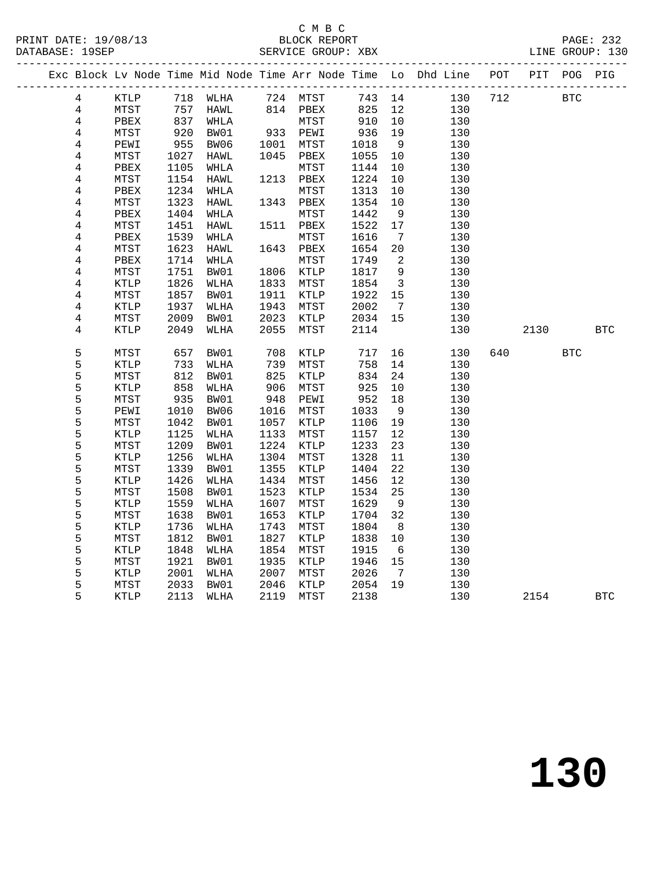|  |                |             |            |          |                     |                       |         |                              | Exc Block Lv Node Time Mid Node Time Arr Node Time Lo Dhd Line POT PIT POG PIG |     |      |            |            |
|--|----------------|-------------|------------|----------|---------------------|-----------------------|---------|------------------------------|--------------------------------------------------------------------------------|-----|------|------------|------------|
|  | 4              | KTLP        |            | 718 WLHA |                     | 724 MTST              |         |                              | 743 14<br>130                                                                  | 712 |      | <b>BTC</b> |            |
|  | $\overline{4}$ | MTST        | 757        | HAWL     |                     | 814 PBEX              | 825     | 12                           | 130                                                                            |     |      |            |            |
|  | $\overline{4}$ | PBEX        | 837        | WHLA     |                     | MTST                  | 910     | 10                           | 130                                                                            |     |      |            |            |
|  | $\overline{4}$ | MTST        | 920<br>955 | BW01     |                     | 933 PEWI<br>1001 MTCT | 936     | 19                           | 130                                                                            |     |      |            |            |
|  | $\overline{4}$ | PEWI        |            | BW06     |                     | 1001 MTST             | 1018    | 9                            | 130                                                                            |     |      |            |            |
|  | 4              | MTST        | 1027       | HAWL     | 1045                | PBEX                  | 1055    | 10                           | 130                                                                            |     |      |            |            |
|  | $\,4$          | PBEX        | 1105       | WHLA     |                     | MTST                  | 1144    | 10                           | 130                                                                            |     |      |            |            |
|  | $\overline{4}$ | MTST        | 1154       | HAWL     | 1213                | PBEX                  | 1224    | 10                           | 130                                                                            |     |      |            |            |
|  | $\,4$          | PBEX        | 1234       | WHLA     |                     | MTST                  | 1313    | 10                           | 130                                                                            |     |      |            |            |
|  | $\overline{4}$ | MTST        | 1323       | HAWL     |                     | 1343 PBEX             | 1354    | 10                           | 130                                                                            |     |      |            |            |
|  | 4              | PBEX        | 1404       | WHLA     |                     | MTST                  | 1442    | 9                            | 130                                                                            |     |      |            |            |
|  | $\bf 4$        | MTST        | 1451       | HAWL     |                     | 1511 PBEX             | 1522    | 17                           | 130                                                                            |     |      |            |            |
|  | $\,4$          | PBEX        | 1539       | WHLA     |                     | MTST                  | 1616    | $7\phantom{.0}\phantom{.0}7$ | 130                                                                            |     |      |            |            |
|  | $\,4$          | MTST        | 1623       | HAWL     | 1643                | PBEX                  | 1654    | 20                           | 130                                                                            |     |      |            |            |
|  | $\overline{4}$ | PBEX        | 1714       | WHLA     |                     | MTST                  | 1749    | $\overline{\phantom{0}}^2$   | 130                                                                            |     |      |            |            |
|  | 4              | MTST        | 1751       | BW01     | 1806                | KTLP                  | 1817    | 9                            | 130                                                                            |     |      |            |            |
|  | $\bf 4$        | KTLP        | 1826       | WLHA     | 1833                | MTST                  | 1854    | $\overline{\mathbf{3}}$      | 130                                                                            |     |      |            |            |
|  | $\,4$          | MTST        | 1857       | BW01     | 1911                | KTLP                  | 1922    | 15                           | 130                                                                            |     |      |            |            |
|  | 4              | KTLP        | 1937       | WLHA     | 1943                | ${\tt MTST}$          | 2002    | $\overline{7}$               | 130                                                                            |     |      |            |            |
|  | $\overline{4}$ | MTST        | 2009       | BW01     | 2023                | KTLP                  | 2034 15 |                              | 130                                                                            |     |      |            |            |
|  | 4              | KTLP        | 2049       | WLHA     | 2055                | MTST                  | 2114    |                              | 130                                                                            |     | 2130 |            | <b>BTC</b> |
|  | 5              | MTST        | 657        | BW01     | 708                 | KTLP                  | 717     | 16                           | 130                                                                            | 640 |      | <b>BTC</b> |            |
|  | 5              | KTLP        | 733        | WLHA     | 739                 | MTST                  | 758     | 14                           | 130                                                                            |     |      |            |            |
|  | 5              | MTST        | 812        | BW01     | د د <i>۱</i><br>825 | KTLP                  | 834     | 24                           | 130                                                                            |     |      |            |            |
|  | 5              | KTLP        | 858        | WLHA     | 906                 | MTST                  | 925     | 10                           | 130                                                                            |     |      |            |            |
|  | 5              | MTST        | 935        | BW01     | 948                 | PEWI                  | 952     | 18                           | 130                                                                            |     |      |            |            |
|  | 5              | PEWI        | 1010       | BW06     | 1016                | MTST                  | 1033    | 9                            | 130                                                                            |     |      |            |            |
|  | 5              | MTST        | 1042       | BW01     | 1057                | KTLP                  | 1106    | 19                           | 130                                                                            |     |      |            |            |
|  |                | KTLP        | 1125       | WLHA     | 1133                | MTST                  | 1157    | 12                           | 130                                                                            |     |      |            |            |
|  | $\frac{5}{5}$  | MTST        | 1209       | BW01     | 1224                | KTLP                  | 1233    | 23                           | 130                                                                            |     |      |            |            |
|  | 5              | KTLP        | 1256       | WLHA     | 1304                | MTST                  | 1328    | 11                           | 130                                                                            |     |      |            |            |
|  | 5              | MTST        | 1339       | BW01     | 1355                | KTLP                  | 1404    | 22                           | 130                                                                            |     |      |            |            |
|  | 5              | KTLP        | 1426       | WLHA     | 1434                | MTST                  | 1456    | 12                           | 130                                                                            |     |      |            |            |
|  |                | MTST        | 1508       | BW01     | 1523                | KTLP                  | 1534    | 25                           | 130                                                                            |     |      |            |            |
|  | $\frac{5}{5}$  | KTLP        | 1559       | WLHA     | 1607                | MTST                  | 1629    | 9                            | 130                                                                            |     |      |            |            |
|  | 5              | MTST        | 1638       | BW01     | 1653                | KTLP                  | 1704    | 32                           | 130                                                                            |     |      |            |            |
|  | 5              | KTLP        | 1736       | WLHA     | 1743                | MTST                  | 1804    | 8                            | 130                                                                            |     |      |            |            |
|  | 5              | MTST        | 1812       | BW01     | 1827                | KTLP                  | 1838    | 10                           | 130                                                                            |     |      |            |            |
|  | 5              | KTLP        | 1848       | WLHA     | 1854                | MTST                  | 1915    | $6\overline{6}$              | 130                                                                            |     |      |            |            |
|  | 5              | MTST        | 1921       | BW01     | 1935                | KTLP                  | 1946    | 15                           | 130                                                                            |     |      |            |            |
|  | 5              | KTLP        | 2001       | WLHA     | 2007                | MTST                  | 2026    | $7\overline{ }$              | 130                                                                            |     |      |            |            |
|  | 5              | MTST        | 2033       | BW01     | 2046                | KTLP                  | 2054    | 19                           | 130                                                                            |     |      |            |            |
|  | 5              | <b>KTLP</b> | 2113       | WLHA     | 2119                | MTST                  | 2138    |                              | 130                                                                            |     | 2154 |            | <b>BTC</b> |

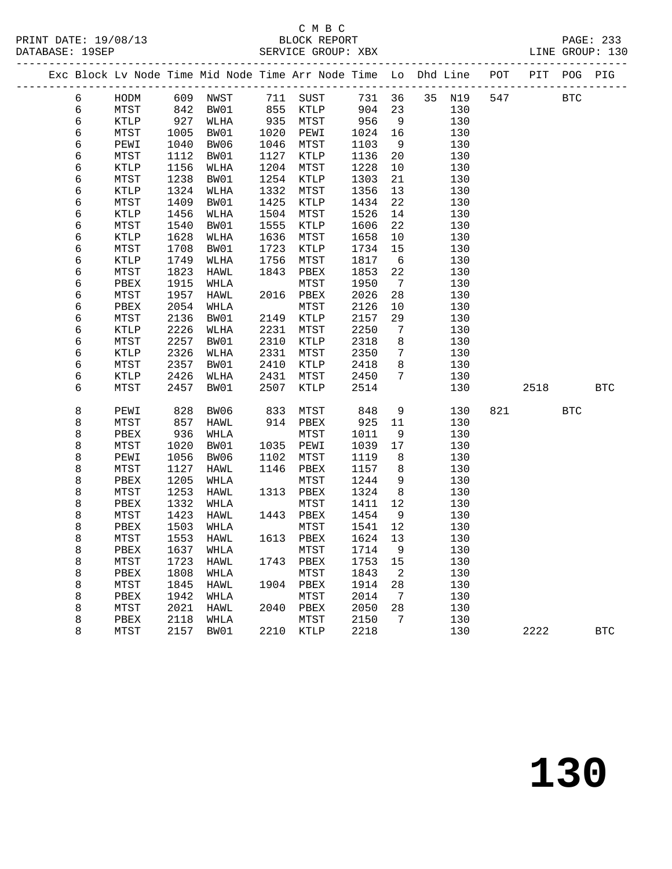#### C M B C<br>BLOCK REPORT

|  | DATABASE: 19SEP |              |      |             |      | SERVICE GROUP: XBX |      |                              | -----------------------------                                          |     |                      |            | LINE GROUP: 130 |
|--|-----------------|--------------|------|-------------|------|--------------------|------|------------------------------|------------------------------------------------------------------------|-----|----------------------|------------|-----------------|
|  |                 |              |      |             |      |                    |      |                              | Exc Block Lv Node Time Mid Node Time Arr Node Time Lo Dhd Line POT PIT |     | ____________________ | POG PIG    |                 |
|  | 6               | HODM         |      | 609 NWST    |      | 711 SUST           |      | 731 36                       | 35 N19                                                                 | 547 |                      | <b>BTC</b> |                 |
|  | 6               | MTST         | 842  | BW01        |      | 855 KTLP           | 904  | 23                           | 130                                                                    |     |                      |            |                 |
|  | 6               | KTLP         | 927  | WLHA        | 935  | MTST               | 956  | 9                            | 130                                                                    |     |                      |            |                 |
|  | 6               | MTST         | 1005 | BW01        | 1020 | PEWI               | 1024 | 16                           | 130                                                                    |     |                      |            |                 |
|  | $\epsilon$      | PEWI         | 1040 | BW06        | 1046 | MTST               | 1103 | 9                            | 130                                                                    |     |                      |            |                 |
|  | $\epsilon$      | MTST         | 1112 | BW01        | 1127 | KTLP               | 1136 | 20                           | 130                                                                    |     |                      |            |                 |
|  | $\epsilon$      | KTLP         | 1156 | WLHA        | 1204 | MTST               | 1228 | 10                           | 130                                                                    |     |                      |            |                 |
|  | 6               | MTST         | 1238 | BW01        | 1254 | KTLP               | 1303 | 21                           | 130                                                                    |     |                      |            |                 |
|  | $\epsilon$      | KTLP         | 1324 | WLHA        | 1332 | MTST               | 1356 | 13 <sup>°</sup>              | 130                                                                    |     |                      |            |                 |
|  | $\epsilon$      | MTST         | 1409 | BW01        | 1425 | KTLP               | 1434 | 22                           | 130                                                                    |     |                      |            |                 |
|  | 6               | KTLP         | 1456 | WLHA        | 1504 | MTST               | 1526 | 14                           | 130                                                                    |     |                      |            |                 |
|  | 6               | MTST         | 1540 | BW01        | 1555 | KTLP               | 1606 | 22                           | 130                                                                    |     |                      |            |                 |
|  | 6               | KTLP         | 1628 | WLHA        | 1636 | MTST               | 1658 | 10                           | 130                                                                    |     |                      |            |                 |
|  | 6               | MTST         | 1708 | BW01        | 1723 | $\texttt{KTLP}$    | 1734 | 15                           | 130                                                                    |     |                      |            |                 |
|  | $\epsilon$      | KTLP         | 1749 | WLHA        | 1756 | MTST               | 1817 | 6                            | 130                                                                    |     |                      |            |                 |
|  | $\epsilon$      | MTST         | 1823 | HAWL        | 1843 | PBEX               | 1853 | 22                           | 130                                                                    |     |                      |            |                 |
|  | 6               | PBEX         | 1915 | WHLA        |      | MTST               | 1950 | $7\overline{ }$              | 130                                                                    |     |                      |            |                 |
|  | б               | MTST         | 1957 | HAWL        | 2016 | PBEX               | 2026 | 28                           | 130                                                                    |     |                      |            |                 |
|  | 6               | PBEX         | 2054 | WHLA        |      | MTST               | 2126 | 10 <sub>o</sub>              | 130                                                                    |     |                      |            |                 |
|  | $\epsilon$      | MTST         | 2136 | BW01        | 2149 | KTLP               | 2157 | 29                           | 130                                                                    |     |                      |            |                 |
|  | 6               | KTLP         | 2226 | WLHA        | 2231 | MTST               | 2250 | $7\phantom{.0}\phantom{.0}7$ | 130                                                                    |     |                      |            |                 |
|  | $\epsilon$      | MTST         | 2257 | BW01        | 2310 | KTLP               | 2318 | 8                            | 130                                                                    |     |                      |            |                 |
|  | 6               | KTLP         | 2326 | WLHA        | 2331 | MTST               | 2350 | $\overline{7}$               | 130                                                                    |     |                      |            |                 |
|  | 6               | MTST         | 2357 | BW01        | 2410 | KTLP               | 2418 | 8                            | 130                                                                    |     |                      |            |                 |
|  | $\epsilon$      | KTLP         | 2426 | WLHA        | 2431 | MTST               | 2450 | $7\phantom{.}$               | 130                                                                    |     |                      |            |                 |
|  | 6               | MTST         | 2457 | BW01        | 2507 | KTLP               | 2514 |                              | 130                                                                    |     | 2518                 |            | <b>BTC</b>      |
|  | $\,8\,$         | PEWI         | 828  | BW06        | 833  | MTST               | 848  | 9                            | 130                                                                    | 821 |                      | <b>BTC</b> |                 |
|  | 8               | MTST         | 857  | HAWL        | 914  | PBEX               | 925  | 11                           | 130                                                                    |     |                      |            |                 |
|  | 8               | PBEX         | 936  | WHLA        |      | MTST               | 1011 | 9                            | 130                                                                    |     |                      |            |                 |
|  | 8               | MTST         | 1020 | BW01        | 1035 | PEWI               | 1039 | 17                           | 130                                                                    |     |                      |            |                 |
|  | 8               | PEWI         | 1056 | BW06        | 1102 | MTST               | 1119 | - 8                          | 130                                                                    |     |                      |            |                 |
|  | 8               | MTST         | 1127 | HAWL        | 1146 | PBEX               | 1157 | 8 <sup>8</sup>               | 130                                                                    |     |                      |            |                 |
|  | 8               | PBEX         | 1205 | WHLA        |      | MTST               | 1244 | 9                            | 130                                                                    |     |                      |            |                 |
|  | 8               | ${\tt MTST}$ | 1253 | HAWL        | 1313 | PBEX               | 1324 | 8                            | 130                                                                    |     |                      |            |                 |
|  | 8               | PBEX         | 1332 | WHLA        |      | MTST               | 1411 | 12                           | 130                                                                    |     |                      |            |                 |
|  | 8               | MTST         | 1423 | HAWL        | 1443 | PBEX               | 1454 | 9                            | 130                                                                    |     |                      |            |                 |
|  | 8               | PBEX         | 1503 | WHLA        |      | MTST               | 1541 | $12$                         | 130                                                                    |     |                      |            |                 |
|  | $\,8\,$         | MTST         | 1553 | HAWL        | 1613 | PBEX               | 1624 | 13                           | 130                                                                    |     |                      |            |                 |
|  | $\,8\,$         | PBEX         | 1637 | WHLA        |      | MTST               | 1714 | 9                            | 130                                                                    |     |                      |            |                 |
|  | 8               | MTST         | 1723 | HAWL        | 1743 | PBEX               | 1753 | 15                           | 130                                                                    |     |                      |            |                 |
|  | 8               | PBEX         | 1808 | WHLA        |      | MTST               | 1843 | $\overline{a}$               | 130                                                                    |     |                      |            |                 |
|  | 8               | MTST         | 1845 | HAWL        | 1904 | PBEX               | 1914 | 28                           | 130                                                                    |     |                      |            |                 |
|  | 8               | PBEX         | 1942 | WHLA        |      | MTST               | 2014 | $7\overline{ }$              | 130                                                                    |     |                      |            |                 |
|  | 8               | MTST         | 2021 | <b>HAWL</b> | 2040 | PBEX               | 2050 | 28                           | 130                                                                    |     |                      |            |                 |

8 PBEX 2118 WHLA MTST 2150 7 130

#### 8 MTST 2157 BW01 2210 KTLP 2218 130 2222 BTC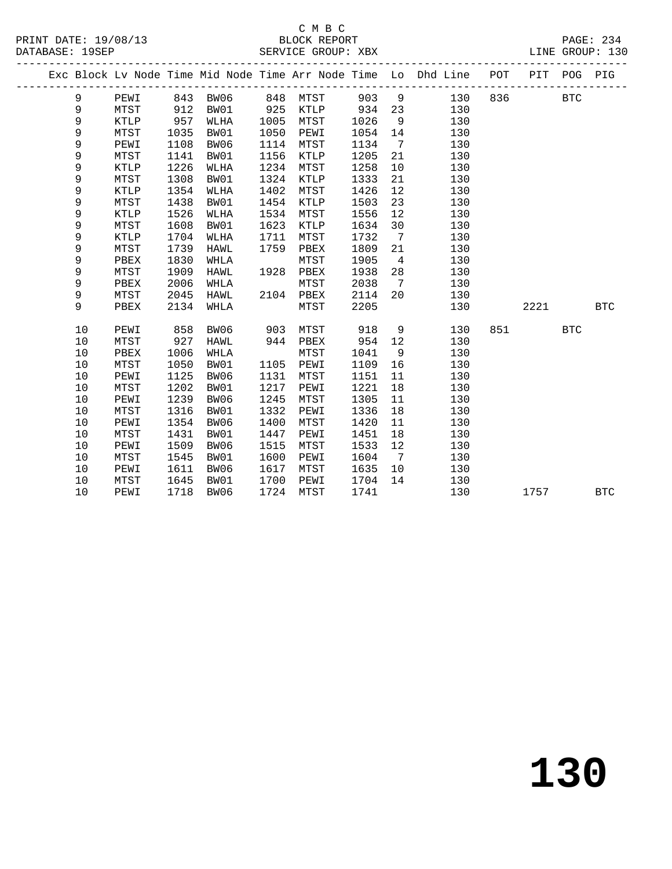### C M B C<br>BLOCK REPORT

PAGE: 234<br>LINE GROUP: 130

|  |    |      |      |          |      |          |       |                 | ----------------------<br>Exc Block Lv Node Time Mid Node Time Arr Node Time Lo Dhd Line POT PIT POG PIG |       |         |            |            |
|--|----|------|------|----------|------|----------|-------|-----------------|----------------------------------------------------------------------------------------------------------|-------|---------|------------|------------|
|  | 9  | PEWI |      | 843 BW06 |      | 848 MTST | 903 9 |                 | 130                                                                                                      |       | 836 BTC |            |            |
|  | 9  | MTST | 912  | BW01     | 925  | KTLP 934 |       |                 | 130<br>23 and $\sim$                                                                                     |       |         |            |            |
|  | 9  | KTLP | 957  | WLHA     | 1005 | MTST     | 1026  | 9               | 130                                                                                                      |       |         |            |            |
|  | 9  | MTST | 1035 | BW01     | 1050 | PEWI     | 1054  | 14              | 130                                                                                                      |       |         |            |            |
|  | 9  | PEWI | 1108 | BW06     | 1114 | MTST     | 1134  | $7\overline{ }$ | 130                                                                                                      |       |         |            |            |
|  | 9  | MTST | 1141 | BW01     | 1156 | KTLP     | 1205  | 21              | 130                                                                                                      |       |         |            |            |
|  | 9  | KTLP | 1226 | WLHA     | 1234 | MTST     | 1258  | 10              | 130                                                                                                      |       |         |            |            |
|  | 9  | MTST | 1308 | BW01     | 1324 | KTLP     | 1333  | 21              | 130                                                                                                      |       |         |            |            |
|  | 9  | KTLP | 1354 | WLHA     | 1402 | MTST     | 1426  | 12              | 130                                                                                                      |       |         |            |            |
|  | 9  | MTST | 1438 | BW01     | 1454 | KTLP     | 1503  | 23              | 130                                                                                                      |       |         |            |            |
|  | 9  | KTLP | 1526 | WLHA     | 1534 | MTST     | 1556  | 12              | 130                                                                                                      |       |         |            |            |
|  | 9  | MTST | 1608 | BW01     | 1623 | KTLP     | 1634  | 30              | 130                                                                                                      |       |         |            |            |
|  | 9  | KTLP | 1704 | WLHA     | 1711 | MTST     | 1732  | $7\overline{ }$ | 130                                                                                                      |       |         |            |            |
|  | 9  | MTST | 1739 | HAWL     | 1759 | PBEX     | 1809  | 21              | 130                                                                                                      |       |         |            |            |
|  | 9  | PBEX | 1830 | WHLA     |      | MTST     | 1905  | $\overline{4}$  | 130                                                                                                      |       |         |            |            |
|  | 9  | MTST | 1909 | HAWL     | 1928 | PBEX     | 1938  | 28              | 130                                                                                                      |       |         |            |            |
|  | 9  | PBEX | 2006 | WHLA     |      | MTST     | 2038  | $7\overline{ }$ | 130                                                                                                      |       |         |            |            |
|  | 9  | MTST | 2045 | HAWL     | 2104 | PBEX     | 2114  | 20              | 130                                                                                                      |       |         |            |            |
|  | 9  | PBEX | 2134 | WHLA     |      | MTST     | 2205  |                 | 130                                                                                                      |       | 2221    |            | <b>BTC</b> |
|  | 10 | PEWI | 858  | BW06     | 903  | MTST     | 918   | 9               | 130                                                                                                      | 851 7 |         | <b>BTC</b> |            |
|  | 10 | MTST | 927  | HAWL     | 944  | PBEX     | 954   | 12              | 130                                                                                                      |       |         |            |            |
|  | 10 | PBEX | 1006 | WHLA     |      | MTST     | 1041  | 9               | 130                                                                                                      |       |         |            |            |
|  | 10 | MTST | 1050 | BW01     | 1105 | PEWI     | 1109  | 16              | 130                                                                                                      |       |         |            |            |
|  | 10 | PEWI | 1125 | BW06     | 1131 | MTST     | 1151  | 11              | 130                                                                                                      |       |         |            |            |
|  | 10 | MTST | 1202 | BW01     | 1217 | PEWI     | 1221  | 18              | 130                                                                                                      |       |         |            |            |
|  | 10 | PEWI | 1239 | BW06     | 1245 | MTST     | 1305  | 11              | 130                                                                                                      |       |         |            |            |
|  | 10 | MTST | 1316 | BW01     | 1332 | PEWI     | 1336  | 18              | 130                                                                                                      |       |         |            |            |
|  | 10 | PEWI | 1354 | BW06     | 1400 | MTST     | 1420  | 11              | 130                                                                                                      |       |         |            |            |
|  | 10 | MTST | 1431 | BW01     | 1447 | PEWI     | 1451  | 18              | 130                                                                                                      |       |         |            |            |
|  | 10 | PEWI | 1509 | BW06     | 1515 | MTST     | 1533  | 12              | 130                                                                                                      |       |         |            |            |
|  | 10 | MTST | 1545 | BW01     | 1600 | PEWI     | 1604  | $\overline{7}$  | 130                                                                                                      |       |         |            |            |
|  | 10 | PEWI | 1611 | BW06     | 1617 | MTST     | 1635  | 10              | 130                                                                                                      |       |         |            |            |
|  | 10 | MTST | 1645 | BW01     | 1700 | PEWI     | 1704  | 14              | 130                                                                                                      |       |         |            |            |
|  | 10 | PEWI | 1718 | BW06     | 1724 | MTST     | 1741  |                 | 130                                                                                                      |       | 1757    |            | <b>BTC</b> |
|  |    |      |      |          |      |          |       |                 |                                                                                                          |       |         |            |            |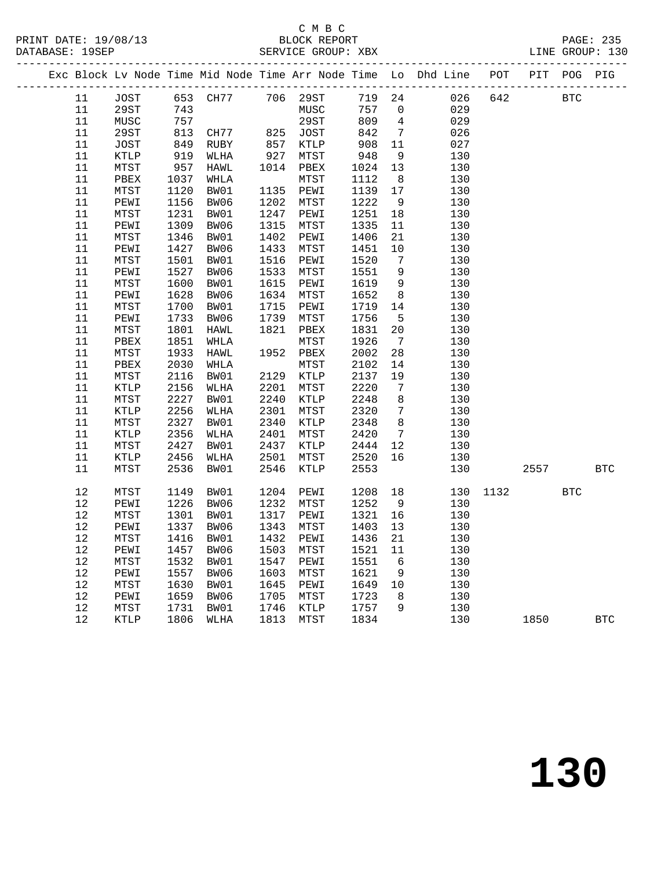#### C M B C<br>BLOCK REPORT

|  |                  |              |              |                             |              |              |              |                                   | Exc Block Lv Node Time Mid Node Time Arr Node Time Lo Dhd Line POT PIT POG PIG |      |      |            |            |
|--|------------------|--------------|--------------|-----------------------------|--------------|--------------|--------------|-----------------------------------|--------------------------------------------------------------------------------|------|------|------------|------------|
|  | 11               | JOST         |              | 653 CH77                    |              | 706 29ST     | 719 24       |                                   | 026                                                                            | 642  |      | <b>BTC</b> |            |
|  | 11               | 29ST         | 743          |                             |              | MUSC         | 757          | $\overline{0}$                    | 029                                                                            |      |      |            |            |
|  | 11               | MUSC         | 757          |                             |              | 29ST         | 809          | $\overline{4}$                    | 029                                                                            |      |      |            |            |
|  | 11               | 29ST         | /5/813       | CH77                        | 825          | JOST         | 842          | $7\overline{ }$                   | 026                                                                            |      |      |            |            |
|  | 11               | JOST         |              |                             | 857<br>927   | KTLP         | 908<br>948   | 11                                | 027                                                                            |      |      |            |            |
|  | 11               | KTLP         |              | שביי<br>919 WLHA<br>949 יאי |              | MTST         |              | 9                                 | 130                                                                            |      |      |            |            |
|  | $11\,$           | MTST         | 957          | HAWL                        | 1014         | PBEX         | 1024         | 13                                | 130                                                                            |      |      |            |            |
|  | 11               | ${\tt PBEX}$ | 1037         | WHLA                        |              | ${\tt MTST}$ | 1112         | 8 <sup>8</sup>                    | 130                                                                            |      |      |            |            |
|  | $11\,$           | MTST         | 1120         | BW01                        | 1135         | PEWI         | 1139         | 17                                | 130                                                                            |      |      |            |            |
|  | $11\,$           | PEWI         | 1156         | BW06                        | 1202         | MTST         | 1222         | 9                                 | 130                                                                            |      |      |            |            |
|  | $11\,$           | MTST         | 1231         | BW01                        | 1247         | PEWI         | 1251         | 18                                | 130                                                                            |      |      |            |            |
|  | $11\,$           | PEWI         | 1309         | BW06                        | 1315         | MTST         | 1335         | 11                                | 130                                                                            |      |      |            |            |
|  | $11\,$           | MTST         | 1346         | BW01                        | 1402         | PEWI         | 1406         | 21                                | 130                                                                            |      |      |            |            |
|  | $11\,$           | PEWI         | 1427         | BW06                        | 1433         | MTST         | 1451         | 10                                | 130                                                                            |      |      |            |            |
|  | 11               | MTST         | 1501         | BW01                        | 1516         | PEWI         | 1520         | $\overline{7}$                    | 130                                                                            |      |      |            |            |
|  | $11\,$           | PEWI         | 1527         | BW06                        | 1533         | MTST         | 1551         | 9                                 | 130                                                                            |      |      |            |            |
|  | $11\,$           | MTST         | 1600         | BW01                        | 1615         | PEWI         | 1619         | 9                                 | 130                                                                            |      |      |            |            |
|  | $11\,$           | PEWI         | 1628         | BW06                        | 1634         | MTST         | 1652         | 8 <sup>8</sup>                    | 130                                                                            |      |      |            |            |
|  | $11\,$           | MTST         | 1700         | BW01                        | 1715         | PEWI         | 1719         | 14                                | 130                                                                            |      |      |            |            |
|  | $11\,$           | PEWI         | 1733         | BW06                        | 1739         | MTST         | 1756         | $5^{\circ}$                       | 130                                                                            |      |      |            |            |
|  | $11\,$           | MTST         | 1801         | HAWL                        | 1821         | PBEX         | 1831         | 20                                | 130                                                                            |      |      |            |            |
|  | $11\,$           | PBEX         | 1851         | WHLA                        |              | MTST         | 1926         | $\overline{7}$                    | 130                                                                            |      |      |            |            |
|  | 11               | MTST         | 1933         | HAWL                        |              | 1952 PBEX    | 2002         | 28                                | 130                                                                            |      |      |            |            |
|  | 11               | PBEX         | 2030         | WHLA                        |              | MTST         | 2102         | 14                                | 130                                                                            |      |      |            |            |
|  | 11               | ${\tt MTST}$ | 2116         | BW01                        | 2129         | KTLP         | 2137         | 19                                | 130                                                                            |      |      |            |            |
|  | $11\,$           | KTLP         | 2156         | WLHA                        | 2201         | MTST         | 2220         | $7\phantom{.0}\phantom{.0}7$      | 130                                                                            |      |      |            |            |
|  | $11\,$           | MTST         | 2227         | BW01                        | 2240         | KTLP         | 2248         | 8 <sup>8</sup>                    | 130                                                                            |      |      |            |            |
|  | $11\,$<br>$11\,$ | KTLP         | 2256<br>2327 | WLHA                        | 2301         | MTST         | 2320         | $7\overline{ }$<br>8 <sup>8</sup> | 130                                                                            |      |      |            |            |
|  | $11\,$           | MTST         | 2356         | BW01                        | 2340<br>2401 | KTLP         | 2348<br>2420 | $7\overline{ }$                   | 130                                                                            |      |      |            |            |
|  | $11\,$           | KTLP         | 2427         | WLHA                        | 2437         | MTST<br>KTLP |              |                                   | 130<br>130                                                                     |      |      |            |            |
|  | $11\,$           | MTST<br>KTLP | 2456         | BW01<br>WLHA                | 2501         | MTST         | 2444<br>2520 | 12<br>16                          | 130                                                                            |      |      |            |            |
|  | 11               | MTST         | 2536         | BW01                        | 2546         | KTLP         | 2553         |                                   | 130                                                                            |      | 2557 |            | <b>BTC</b> |
|  |                  |              |              |                             |              |              |              |                                   |                                                                                |      |      |            |            |
|  | $12$             | MTST         | 1149         | BW01                        | 1204         | PEWI         | 1208         | 18                                | 130                                                                            | 1132 |      | <b>BTC</b> |            |
|  | 12               | PEWI         | 1226         | BW06                        | 1232         | MTST         | 1252         | 9                                 | 130                                                                            |      |      |            |            |
|  | $12$             | MTST         | 1301         | BW01                        | 1317         | PEWI         | 1321         | 16                                | 130                                                                            |      |      |            |            |
|  | $12\,$           | PEWI         | 1337         | BW06                        | 1343         | MTST         | 1403         | 13                                | 130                                                                            |      |      |            |            |
|  | $12\,$           | MTST         | 1416         | BW01                        | 1432         | PEWI         | 1436         | 21                                | 130                                                                            |      |      |            |            |
|  | $12\,$           | PEWI         | 1457         | BW06                        | 1503         | MTST         | 1521         | 11                                | 130                                                                            |      |      |            |            |
|  | $12\,$           | MTST         | 1532         | BW01                        | 1547         | PEWI         | 1551         | $6\overline{6}$                   | 130                                                                            |      |      |            |            |
|  | 12               | PEWI         | 1557         | BW06                        | 1603         | MTST         | 1621         | 9                                 | 130                                                                            |      |      |            |            |
|  | $12\,$           | MTST         | 1630         | BW01                        | 1645         | PEWI         | 1649 10      |                                   | 130                                                                            |      |      |            |            |
|  | $12\,$           | PEWI         | 1659         | BW06                        | 1705         | MTST         | 1723         | 8 <sup>8</sup>                    | 130                                                                            |      |      |            |            |
|  | $1\,2$           | MTST         | 1731         | BW01                        | 1746         | KTLP         | 1757         | 9                                 | 130                                                                            |      |      |            |            |
|  | 12               | KTLP         | 1806         | WLHA                        | 1813         | MTST         | 1834         |                                   | 130                                                                            |      | 1850 |            | <b>BTC</b> |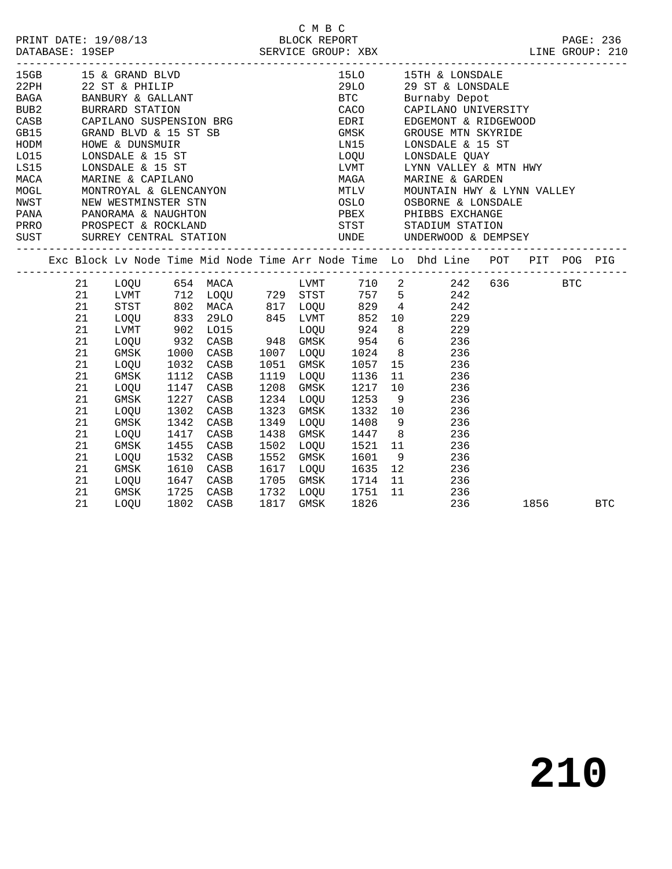|           | PRINT DATE: 19/08/13                      |  |
|-----------|-------------------------------------------|--|
|           |                                           |  |
| --------- | $\bullet \bullet \bullet \bullet \bullet$ |  |

| 15GB        |    | 15 & GRAND BLVD<br>22 ST & PHILIP<br>BANBURY & GALLANT<br>BURRARD STATION<br>CAPTLANO SUSDENSION                                                                                                                                               |      |           |  |           |                       |             | 15LO 15TH & LONSDALE  |                                                                                                                                          |      |            |
|-------------|----|------------------------------------------------------------------------------------------------------------------------------------------------------------------------------------------------------------------------------------------------|------|-----------|--|-----------|-----------------------|-------------|-----------------------|------------------------------------------------------------------------------------------------------------------------------------------|------|------------|
| 22PH        |    |                                                                                                                                                                                                                                                |      |           |  |           |                       |             | 29LO 29 ST & LONSDALE |                                                                                                                                          |      |            |
| <b>BAGA</b> |    |                                                                                                                                                                                                                                                |      |           |  |           | <b>BTC</b>            |             | Burnaby Depot         |                                                                                                                                          |      |            |
| BUB2        |    |                                                                                                                                                                                                                                                |      |           |  |           |                       |             |                       | CACO CAPILANO UNIVERSITY                                                                                                                 |      |            |
|             |    | CASB CAPILANO SUSPENSION BRG EDRI EDGEMONT & RIDGEWOOD                                                                                                                                                                                         |      |           |  |           |                       |             |                       |                                                                                                                                          |      |            |
| GB15        |    | GRAND BLVD & 15 ST SB                                                                                                                                                                                                                          |      |           |  |           |                       |             |                       | GMSK GROUSE MTN SKYRIDE                                                                                                                  |      |            |
|             |    |                                                                                                                                                                                                                                                |      |           |  |           | LNI5                  |             | LONSDALE & 15 ST      |                                                                                                                                          |      |            |
|             |    |                                                                                                                                                                                                                                                |      |           |  |           | LOQU                  |             | LONSDALE QUAY         |                                                                                                                                          |      |            |
|             |    | HODM HOWE & DUNSMUIR<br>LO15 LONSDALE & 15 ST<br>LS15 LONSDALE & 15 ST<br>MACA MARINE & CAPILANO<br>MOGL MONTROYAL & GLENCANYON<br>NWST NEW WESTMINSTER STN<br>PANA PANORAMA & NAUGHTON<br>PRRO PROSPECT & ROCKLAND<br>SIST SIDERY CENTERAL CO |      |           |  |           |                       |             |                       | LVMT UYNN VALLEY & MTN HWY<br>MAGA MARINE & GARDEN<br>MTLV MOUNTAIN HWY & LYNN VALLEY<br>OSLO OSBORNE & LONSDALE<br>PBEX PHIBBS EXCHANGE |      |            |
|             |    |                                                                                                                                                                                                                                                |      |           |  |           |                       |             |                       |                                                                                                                                          |      |            |
|             |    |                                                                                                                                                                                                                                                |      |           |  |           |                       |             |                       |                                                                                                                                          |      |            |
|             |    |                                                                                                                                                                                                                                                |      |           |  |           |                       |             |                       |                                                                                                                                          |      |            |
|             |    |                                                                                                                                                                                                                                                |      |           |  |           |                       |             |                       |                                                                                                                                          |      |            |
|             |    |                                                                                                                                                                                                                                                |      |           |  |           |                       |             | STST STADIUM STATION  |                                                                                                                                          |      |            |
|             |    | SUST SURREY CENTRAL STATION UNDE UNDERWOOD & DEMPSEY                                                                                                                                                                                           |      |           |  |           |                       |             |                       |                                                                                                                                          |      |            |
|             |    |                                                                                                                                                                                                                                                |      |           |  |           |                       |             |                       |                                                                                                                                          |      |            |
|             |    | Exc Block Lv Node Time Mid Node Time Arr Node Time Lo Dhd Line POT PIT POG PIG                                                                                                                                                                 |      |           |  |           |                       |             |                       |                                                                                                                                          |      |            |
|             |    | 21 LOQU 654 MACA LVMT 710 2 242 636 BTC                                                                                                                                                                                                        |      |           |  |           |                       |             |                       |                                                                                                                                          |      |            |
|             |    | 21 LVMT 712 LOQU 729 STST 757 5 242                                                                                                                                                                                                            |      |           |  |           |                       |             |                       |                                                                                                                                          |      |            |
|             |    |                                                                                                                                                                                                                                                |      |           |  |           |                       |             |                       |                                                                                                                                          |      |            |
|             |    | 21 STST 802 MACA 817 LOQU 829 4 242<br>21 LOQU 833 29LO 845 LVMT 852 10 229<br>21 LVMT 902 LO15 LOQU 924 8 229<br>21 LOQU 932 CASB 948 GMSK 954 6 236<br>21 GMSK 1000 CASB 1007 LOQU 1024 8 236<br>21 LOQU 1032 CASB 1051 GMSK 1057 15 236     |      |           |  |           |                       |             |                       |                                                                                                                                          |      |            |
|             |    |                                                                                                                                                                                                                                                |      |           |  |           |                       |             |                       |                                                                                                                                          |      |            |
|             |    |                                                                                                                                                                                                                                                |      |           |  |           |                       |             |                       |                                                                                                                                          |      |            |
|             |    |                                                                                                                                                                                                                                                |      |           |  |           |                       |             |                       |                                                                                                                                          |      |            |
|             |    |                                                                                                                                                                                                                                                |      |           |  |           |                       |             |                       |                                                                                                                                          |      |            |
|             | 21 | GMSK                                                                                                                                                                                                                                           |      | 1112 CASB |  |           | 1119 LOQU 1136 11 236 |             |                       |                                                                                                                                          |      |            |
|             | 21 | LOQU                                                                                                                                                                                                                                           |      | 1147 CASB |  |           | 1208 GMSK 1217        | 10 236      |                       |                                                                                                                                          |      |            |
|             | 21 | GMSK                                                                                                                                                                                                                                           | 1227 | CASB      |  |           | 1234 LOQU 1253 9 236  |             |                       |                                                                                                                                          |      |            |
|             | 21 | LOQU                                                                                                                                                                                                                                           | 1302 | CASB      |  | 1323 GMSK | 1332 10 236           |             |                       |                                                                                                                                          |      |            |
|             | 21 | GMSK                                                                                                                                                                                                                                           | 1342 | CASB      |  | 1349 LOQU |                       | 1408 9      | 236                   |                                                                                                                                          |      |            |
|             | 21 | LOQU                                                                                                                                                                                                                                           | 1417 | CASB      |  |           | 1438 GMSK 1447 8      |             | 236                   |                                                                                                                                          |      |            |
|             | 21 | GMSK                                                                                                                                                                                                                                           | 1455 | CASB      |  | 1502 LOQU |                       | 1521 11     | 236                   |                                                                                                                                          |      |            |
|             | 21 | LOQU                                                                                                                                                                                                                                           | 1532 | CASB      |  | 1552 GMSK |                       | 1601 9      | 236                   |                                                                                                                                          |      |            |
|             | 21 | GMSK                                                                                                                                                                                                                                           | 1610 | CASB      |  | 1617 LOQU |                       | 1635 12 236 |                       |                                                                                                                                          |      |            |
|             | 21 | LOOU                                                                                                                                                                                                                                           | 1647 | CASB      |  |           | 1705 GMSK 1714 11     |             | 236                   |                                                                                                                                          |      |            |
|             | 21 | GMSK                                                                                                                                                                                                                                           | 1725 | CASB      |  |           | 1732 LOQU 1751 11     |             | 236                   |                                                                                                                                          |      |            |
|             | 21 | LOOU                                                                                                                                                                                                                                           | 1802 | CASB      |  | 1817 GMSK | 1826                  |             | 236                   |                                                                                                                                          | 1856 | <b>BTC</b> |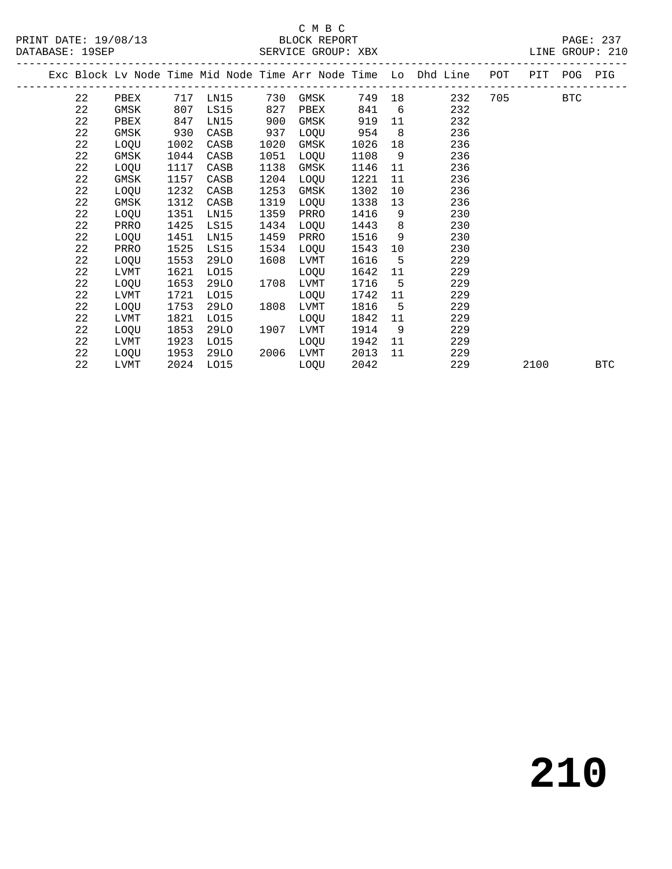PRINT DATE: 19/08/13 BLOCK REPORT<br>DATABASE: 19SEP SERVICE GROUP: XBX

#### C M B C<br>BLOCK REPORT

PAGE: 237<br>LINE GROUP: 210

|  |    |      |      |          |      |      |      |                 | Exc Block Lv Node Time Mid Node Time Arr Node Time Lo Dhd Line POT PIT POG PIG |         |      |     |
|--|----|------|------|----------|------|------|------|-----------------|--------------------------------------------------------------------------------|---------|------|-----|
|  | 22 | PBEX |      | 717 LN15 | 730  | GMSK |      |                 | 749 18<br>232                                                                  | 705 BTC |      |     |
|  | 22 | GMSK | 807  | LS15     | 827  | PBEX | 841  | $6\overline{6}$ | 232                                                                            |         |      |     |
|  | 22 | PBEX | 847  | LN15     | 900  | GMSK | 919  | 11              | 232                                                                            |         |      |     |
|  | 22 | GMSK | 930  | CASB     | 937  | LOOU | 954  | 8 <sup>8</sup>  | 236                                                                            |         |      |     |
|  | 22 | LOQU | 1002 | CASB     | 1020 | GMSK | 1026 | 18              | 236                                                                            |         |      |     |
|  | 22 | GMSK | 1044 | CASB     | 1051 | LOQU | 1108 | 9               | 236                                                                            |         |      |     |
|  | 22 | LOQU | 1117 | CASB     | 1138 | GMSK | 1146 | 11              | 236                                                                            |         |      |     |
|  | 22 | GMSK | 1157 | CASB     | 1204 | LOQU | 1221 | 11              | 236                                                                            |         |      |     |
|  | 22 | LOQU | 1232 | CASB     | 1253 | GMSK | 1302 | 10 <sup>°</sup> | 236                                                                            |         |      |     |
|  | 22 | GMSK | 1312 | CASB     | 1319 | LOQU | 1338 | 13              | 236                                                                            |         |      |     |
|  | 22 | LOQU | 1351 | LN15     | 1359 | PRRO | 1416 | 9               | 230                                                                            |         |      |     |
|  | 22 | PRRO | 1425 | LS15     | 1434 | LOQU | 1443 | 8               | 230                                                                            |         |      |     |
|  | 22 | LOQU | 1451 | LN15     | 1459 | PRRO | 1516 | 9               | 230                                                                            |         |      |     |
|  | 22 | PRRO | 1525 | LS15     | 1534 | LOQU | 1543 | 10              | 230                                                                            |         |      |     |
|  | 22 | LOOU | 1553 | 29LO     | 1608 | LVMT | 1616 | $5\overline{)}$ | 229                                                                            |         |      |     |
|  | 22 | LVMT | 1621 | LO15     |      | LOQU | 1642 | 11              | 229                                                                            |         |      |     |
|  | 22 | LOQU | 1653 | 29LO     | 1708 | LVMT | 1716 | $-5$            | 229                                                                            |         |      |     |
|  | 22 | LVMT | 1721 | L015     |      | LOQU | 1742 | 11              | 229                                                                            |         |      |     |
|  | 22 | LOQU | 1753 | 29LO     | 1808 | LVMT | 1816 | 5               | 229                                                                            |         |      |     |
|  | 22 | LVMT | 1821 | L015     |      | LOQU | 1842 | 11              | 229                                                                            |         |      |     |
|  | 22 | LOQU | 1853 | 29LO     | 1907 | LVMT | 1914 | 9               | 229                                                                            |         |      |     |
|  | 22 | LVMT | 1923 | L015     |      | LOQU | 1942 | 11              | 229                                                                            |         |      |     |
|  | 22 | LOQU | 1953 | 29LO     | 2006 | LVMT | 2013 | 11              | 229                                                                            |         |      |     |
|  | 22 | LVMT | 2024 | LO15     |      | LOQU | 2042 |                 | 229                                                                            |         | 2100 | BTC |
|  |    |      |      |          |      |      |      |                 |                                                                                |         |      |     |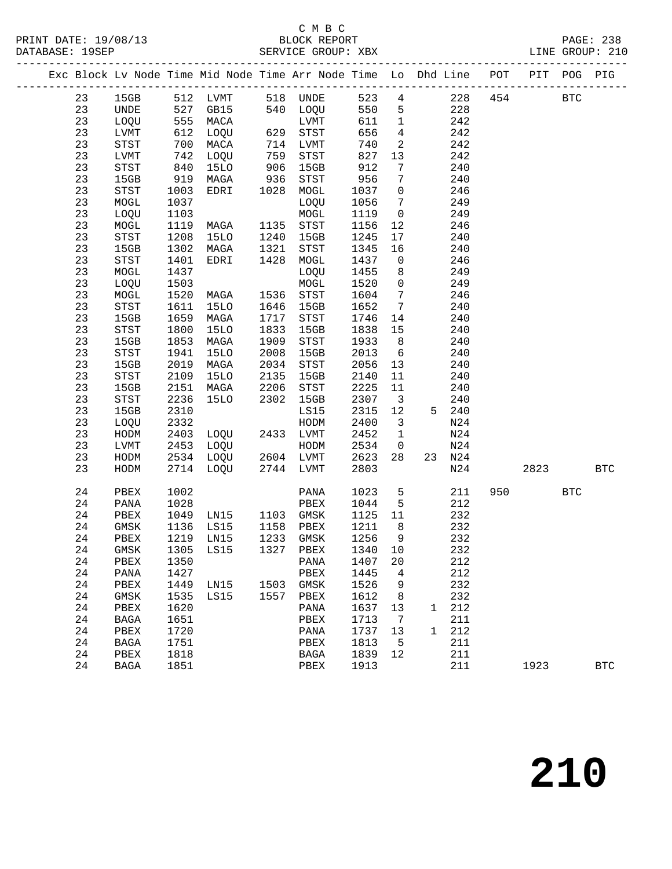#### C M B C<br>BLOCK REPORT

|  |    |                            |      |              |              | Exc Block Lv Node Time Mid Node Time Arr Node Time Lo Dhd Line POT PIT POG PIG                                                                                      |                   |                         |              |        |     |      |            |            |
|--|----|----------------------------|------|--------------|--------------|---------------------------------------------------------------------------------------------------------------------------------------------------------------------|-------------------|-------------------------|--------------|--------|-----|------|------------|------------|
|  | 23 |                            |      |              |              | $\begin{tabular}{lcccccc} 15GB & 512 & LVMT & 518 & UNDE & 523 & 4 & 228 & 454 & & & & & \\ & & 527 & GBI5 & 540 & LOQU & 550 & 5 & 228 & & & & & \\ \end{tabular}$ |                   |                         |              |        |     |      |            |            |
|  | 23 | UNDE 527 GB15              |      |              |              |                                                                                                                                                                     |                   |                         |              |        |     |      |            |            |
|  | 23 | LOQU                       |      | 555 MACA     |              | LVMT                                                                                                                                                                | 611               | $\overline{1}$          |              | 242    |     |      |            |            |
|  | 23 | LVMT                       | 612  | LOQU         |              |                                                                                                                                                                     | 656               | $\overline{4}$          |              | 242    |     |      |            |            |
|  | 23 | $_{\footnotesize\rm STST}$ | 700  | MACA         |              |                                                                                                                                                                     | 740               | $\overline{2}$          |              | 242    |     |      |            |            |
|  | 23 | $_{\rm LVMT}$              | 742  | LOQU         |              | LVMT<br>629 STST<br>714 LVMT<br>759 STST                                                                                                                            | 827               | 13                      |              | 242    |     |      |            |            |
|  | 23 | STST                       | 840  | <b>15LO</b>  | 906          | 15GB                                                                                                                                                                | 912               | $7\phantom{.0}$         |              | 240    |     |      |            |            |
|  | 23 | 15GB                       | 919  | MAGA         | 936          | STST                                                                                                                                                                | 956               | $7\overline{ }$         |              | 240    |     |      |            |            |
|  | 23 | STST                       | 1003 | EDRI         | 1028         | MOGL                                                                                                                                                                | 1037              | $\overline{0}$          |              | 246    |     |      |            |            |
|  | 23 | MOGL                       | 1037 |              |              | LOQU                                                                                                                                                                | 1056              | $7\overline{ }$         |              | 249    |     |      |            |            |
|  | 23 | LOQU                       | 1103 |              |              | MOGL                                                                                                                                                                | 1119              | $\overline{0}$          |              | 249    |     |      |            |            |
|  | 23 | MOGL                       | 1119 | MAGA         |              | 1135 STST                                                                                                                                                           | 1156              | 12                      |              | 246    |     |      |            |            |
|  | 23 | $_{\footnotesize\rm STST}$ | 1208 | 15LO         | 124∪<br>1321 | 15GB                                                                                                                                                                | 1245              | 17                      |              | 240    |     |      |            |            |
|  | 23 | 15GB                       | 1302 | MAGA         |              | STST                                                                                                                                                                | 1345              | 16                      |              | 240    |     |      |            |            |
|  | 23 | STST                       | 1401 | EDRI         | 1428         | MOGL                                                                                                                                                                | 1437              | $\overline{0}$          |              | 246    |     |      |            |            |
|  | 23 | MOGL                       | 1437 |              |              | LOQU                                                                                                                                                                | 1455              | 8 <sup>8</sup>          |              | 249    |     |      |            |            |
|  | 23 | LOQU                       | 1503 |              |              | MOGL                                                                                                                                                                | 1520              | $\overline{0}$          |              | 249    |     |      |            |            |
|  | 23 | MOGL                       | 1520 | MAGA         |              | 1536 STST                                                                                                                                                           | 1604 7            |                         |              | 246    |     |      |            |            |
|  | 23 | STST                       | 1611 | 15LO         | 1646         | 15GB                                                                                                                                                                | 1652              | $\overline{7}$          |              | 240    |     |      |            |            |
|  | 23 | 15GB                       | 1659 | MAGA         | 1717         | STST                                                                                                                                                                | 1746              | 14                      |              | 240    |     |      |            |            |
|  | 23 | $_{\footnotesize\rm STST}$ | 1800 | <b>15LO</b>  | 1833         | 15GB                                                                                                                                                                | 1838              | 15                      |              | 240    |     |      |            |            |
|  | 23 | 15GB                       | 1853 | MAGA         | 1909         | STST                                                                                                                                                                | 1933              | 8 <sup>8</sup>          |              | 240    |     |      |            |            |
|  | 23 | $_{\footnotesize\rm STST}$ | 1941 | <b>15LO</b>  | 2008         | 15GB                                                                                                                                                                | 2013              | $6\overline{6}$         |              | 240    |     |      |            |            |
|  | 23 | 15GB                       | 2019 | MAGA         | 2034         | STST                                                                                                                                                                | 2056              | 13                      |              | 240    |     |      |            |            |
|  | 23 | STST                       | 2109 | 15LO         | 2135         | 15GB                                                                                                                                                                | 2140              | 11                      |              | 240    |     |      |            |            |
|  | 23 | 15GB                       | 2151 | MAGA         | 2206         | STST                                                                                                                                                                | 2225              | 11                      |              | 240    |     |      |            |            |
|  | 23 | STST                       | 2236 | 15LO         | 2302         | 15GB                                                                                                                                                                | 2307              | $\overline{\mathbf{3}}$ |              | 240    |     |      |            |            |
|  | 23 | 15GB                       | 2310 |              |              | LS15                                                                                                                                                                | 2315              | 12                      |              | 5 240  |     |      |            |            |
|  | 23 | LOQU                       | 2332 |              |              | HODM                                                                                                                                                                | 2400              | $\overline{\mathbf{3}}$ |              | N24    |     |      |            |            |
|  | 23 | HODM                       | 2403 | LOOU<br>LOQU |              | 2433 LVMT                                                                                                                                                           | 2452              | $\overline{1}$          |              | N24    |     |      |            |            |
|  | 23 | LVMT                       | 2453 | LOQU         |              | HODM                                                                                                                                                                | 2534              | $\overline{\mathbf{0}}$ |              | N24    |     |      |            |            |
|  | 23 | HODM                       |      | 2534 LOQU    |              | 2604 LVMT                                                                                                                                                           | 2623              | 28                      |              | 23 N24 |     |      |            |            |
|  | 23 | HODM                       |      | 2714 LOQU    |              | 2744 LVMT                                                                                                                                                           | 2803              |                         |              | N24    |     | 2823 |            | <b>BTC</b> |
|  | 24 | PBEX                       | 1002 |              |              | PANA                                                                                                                                                                | 1023 5            |                         |              | 211    | 950 |      | <b>BTC</b> |            |
|  | 24 | PANA                       | 1028 |              |              | PBEX                                                                                                                                                                | 1044              | $5^{\circ}$             |              | 212    |     |      |            |            |
|  | 24 | PBEX                       | 1049 | LNI5         |              | 1103 GMSK                                                                                                                                                           | 1125              | 11                      |              | 232    |     |      |            |            |
|  | 24 | GMSK                       | 1136 | LS15         | 1158         | PBEX                                                                                                                                                                | 1211              | 8 <sup>8</sup>          |              | 232    |     |      |            |            |
|  | 24 | PBEX                       |      | 1219 LN15    |              | 1233 GMSK                                                                                                                                                           | $\frac{-1}{1256}$ | 9                       |              | 232    |     |      |            |            |
|  |    |                            |      |              |              | 24 GMSK 1305 LS15 1327 PBEX 1340 10 232                                                                                                                             |                   |                         |              |        |     |      |            |            |
|  | 24 | PBEX                       | 1350 |              |              | PANA                                                                                                                                                                | 1407              | 20                      |              | 212    |     |      |            |            |
|  | 24 | PANA                       | 1427 |              |              | PBEX                                                                                                                                                                | 1445              | $\overline{4}$          |              | 212    |     |      |            |            |
|  | 24 | PBEX                       | 1449 | LN15         |              | 1503 GMSK                                                                                                                                                           | 1526              | 9                       |              | 232    |     |      |            |            |
|  | 24 | GMSK                       | 1535 | LS15         |              | 1557 PBEX                                                                                                                                                           | 1612              | 8                       |              | 232    |     |      |            |            |
|  | 24 | PBEX                       | 1620 |              |              | PANA                                                                                                                                                                | 1637              | 13                      | $\mathbf{1}$ | 212    |     |      |            |            |
|  | 24 | BAGA                       | 1651 |              |              | PBEX                                                                                                                                                                | 1713              | $\overline{7}$          |              | 211    |     |      |            |            |
|  | 24 | PBEX                       | 1720 |              |              | PANA                                                                                                                                                                | 1737              | 13                      | 1            | 212    |     |      |            |            |
|  | 24 | BAGA                       | 1751 |              |              | PBEX                                                                                                                                                                | 1813              | 5                       |              | 211    |     |      |            |            |
|  | 24 | PBEX                       | 1818 |              |              | BAGA                                                                                                                                                                | 1839              | 12                      |              | 211    |     |      |            |            |
|  | 24 | <b>BAGA</b>                | 1851 |              |              | PBEX                                                                                                                                                                | 1913              |                         |              | 211    |     | 1923 |            | <b>BTC</b> |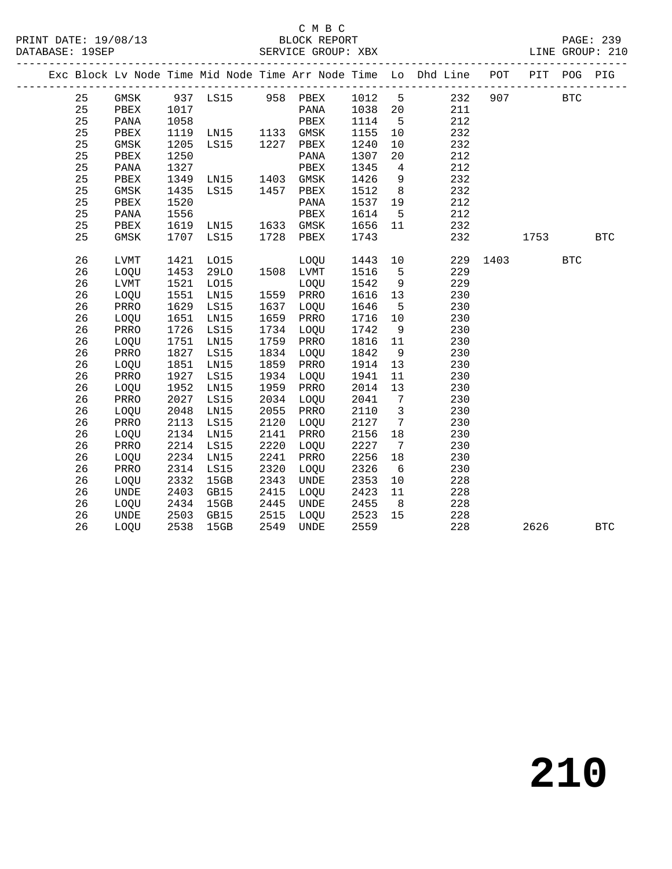PRINT DATE: 19/08/13 BLOCK REPORT<br>DATABASE: 19SEP SERVICE GROUP: XBX

#### C M B C<br>BLOCK REPORT

|  |    |             |      |                   |      |             |        |                 | Exc Block Lv Node Time Mid Node Time Arr Node Time Lo Dhd Line POT PIT POG PIG |      |      |            |            |
|--|----|-------------|------|-------------------|------|-------------|--------|-----------------|--------------------------------------------------------------------------------|------|------|------------|------------|
|  | 25 | GMSK        |      | 937 LS15 958 PBEX |      |             | 1012 5 |                 | 232                                                                            | 907  |      | <b>BTC</b> |            |
|  | 25 | PBEX        | 1017 |                   |      | PANA        | 1038   | 20              | 211                                                                            |      |      |            |            |
|  | 25 | PANA        | 1058 |                   |      | PBEX        | 1114   | 5               | 212                                                                            |      |      |            |            |
|  | 25 | PBEX        | 1119 | LN15              | 1133 | GMSK        | 1155   | 10              | 232                                                                            |      |      |            |            |
|  | 25 | GMSK        | 1205 | LS15              | 1227 | PBEX        | 1240   | 10              | 232                                                                            |      |      |            |            |
|  | 25 | PBEX        | 1250 |                   |      | PANA        | 1307   | $20\,$          | 212                                                                            |      |      |            |            |
|  | 25 | PANA        | 1327 |                   |      | PBEX        | 1345   | 4               | 212                                                                            |      |      |            |            |
|  | 25 | PBEX        | 1349 | LNI5              | 1403 | GMSK        | 1426   | 9               | 232                                                                            |      |      |            |            |
|  | 25 | GMSK        | 1435 | <b>LS15</b>       | 1457 | PBEX        | 1512   | 8               | 232                                                                            |      |      |            |            |
|  | 25 | PBEX        | 1520 |                   |      | PANA        | 1537   | 19              | 212                                                                            |      |      |            |            |
|  | 25 | PANA        | 1556 |                   |      | PBEX        | 1614   | 5               | 212                                                                            |      |      |            |            |
|  | 25 | PBEX        | 1619 | LN15              | 1633 | GMSK        | 1656   | 11              | 232                                                                            |      |      |            |            |
|  | 25 | GMSK        | 1707 | LS15              | 1728 | PBEX        | 1743   |                 | 232                                                                            |      | 1753 |            | <b>BTC</b> |
|  | 26 | <b>LVMT</b> | 1421 | L015              |      | LOQU        | 1443   | 10              | 229                                                                            | 1403 |      | <b>BTC</b> |            |
|  | 26 | LOQU        | 1453 | 29LO              |      | 1508 LVMT   | 1516   | 5               | 229                                                                            |      |      |            |            |
|  | 26 | LVMT        | 1521 | L015              |      | LOQU        | 1542   | 9               | 229                                                                            |      |      |            |            |
|  | 26 | <b>LOOU</b> | 1551 | LN15              | 1559 | PRRO        | 1616   | 13              | 230                                                                            |      |      |            |            |
|  | 26 | PRRO        | 1629 | LS15              | 1637 | LOQU        | 1646   | 5               | 230                                                                            |      |      |            |            |
|  | 26 | LOQU        | 1651 | LN15              | 1659 | PRRO        | 1716   | 10              | 230                                                                            |      |      |            |            |
|  | 26 | PRRO        | 1726 | LS15              | 1734 | LOQU        | 1742   | 9               | 230                                                                            |      |      |            |            |
|  | 26 | LOQU        | 1751 | LN15              | 1759 | PRRO        | 1816   | 11              | 230                                                                            |      |      |            |            |
|  | 26 | PRRO        | 1827 | LS15              | 1834 | LOQU        | 1842   | 9               | 230                                                                            |      |      |            |            |
|  | 26 | LOQU        | 1851 | LN15              | 1859 | PRRO        | 1914   | 13              | 230                                                                            |      |      |            |            |
|  | 26 | PRRO        | 1927 | LS15              | 1934 | LOQU        | 1941   | 11              | 230                                                                            |      |      |            |            |
|  | 26 | LOQU        | 1952 | LN15              | 1959 | PRRO        | 2014   | 13              | 230                                                                            |      |      |            |            |
|  | 26 | PRRO        | 2027 | LS15              | 2034 | LOQU        | 2041   | $7\overline{ }$ | 230                                                                            |      |      |            |            |
|  | 26 | LOQU        | 2048 | LN15              | 2055 | PRRO        | 2110   | 3               | 230                                                                            |      |      |            |            |
|  | 26 | PRRO        | 2113 | LS15              | 2120 | LOQU        | 2127   | $7\overline{ }$ | 230                                                                            |      |      |            |            |
|  | 26 | LOQU        | 2134 | LN15              | 2141 | PRRO        | 2156   | 18              | 230                                                                            |      |      |            |            |
|  | 26 | PRRO        | 2214 | LS15              | 2220 | LOQU        | 2227   | $7\overline{ }$ | 230                                                                            |      |      |            |            |
|  | 26 | LOQU        | 2234 | LN15              | 2241 | PRRO        | 2256   | 18              | 230                                                                            |      |      |            |            |
|  | 26 | PRRO        | 2314 | LS15              | 2320 | LOQU        | 2326   | 6               | 230                                                                            |      |      |            |            |
|  | 26 | LOOU        | 2332 | 15GB              | 2343 | <b>UNDE</b> | 2353   | 10              | 228                                                                            |      |      |            |            |
|  | 26 | <b>UNDE</b> | 2403 | GB15              | 2415 | LOQU        | 2423   | 11              | 228                                                                            |      |      |            |            |
|  | 26 | LOQU        | 2434 | 15GB              | 2445 | UNDE        | 2455   | 8               | 228                                                                            |      |      |            |            |
|  | 26 | <b>UNDE</b> | 2503 | GB15              | 2515 | LOQU        | 2523   | 15              | 228                                                                            |      |      |            |            |
|  | 26 | LOQU        | 2538 | 15GB              | 2549 | <b>UNDE</b> | 2559   |                 | 228                                                                            |      | 2626 |            | <b>BTC</b> |
|  |    |             |      |                   |      |             |        |                 |                                                                                |      |      |            |            |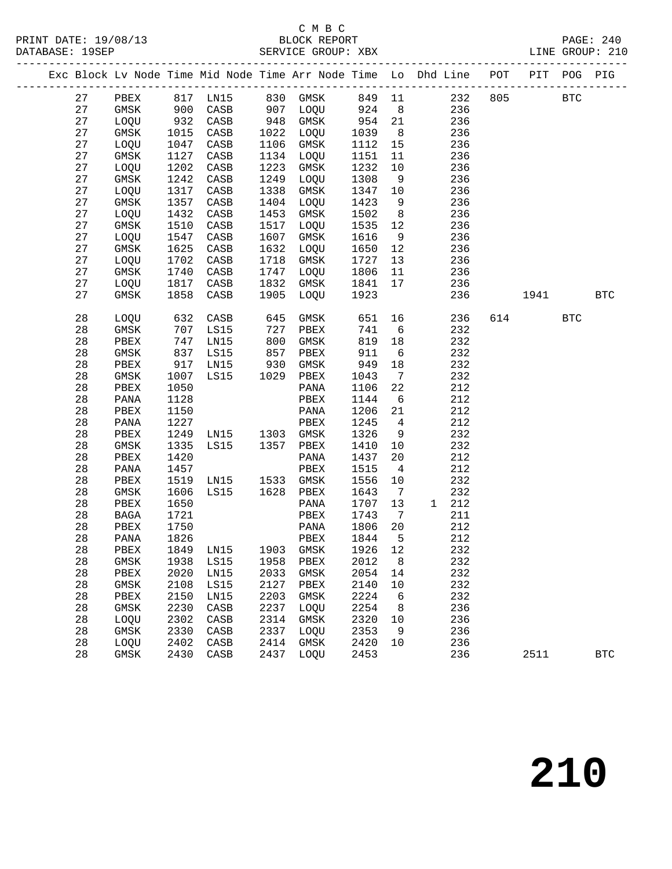#### C M B C

|  |    |               |      |                                                  |            |                                                          |                      |                 | Exc Block Lv Node Time Mid Node Time Arr Node Time Lo Dhd Line POT PIT POG PIG |          |            |
|--|----|---------------|------|--------------------------------------------------|------------|----------------------------------------------------------|----------------------|-----------------|--------------------------------------------------------------------------------|----------|------------|
|  |    |               |      |                                                  |            |                                                          |                      |                 | 27 PBEX 817 LN15 830 GMSK 849 11 232 805 BTC                                   |          |            |
|  | 27 |               |      |                                                  |            | GMSK 900 CASB 907 LOQU 924 8                             |                      |                 | 236                                                                            |          |            |
|  | 27 | LOQU 932 CASB |      |                                                  |            | 948 GMSK 954 21<br>1022 LOQU 1039 8<br>1106 GMSK 1112 15 |                      |                 | 236                                                                            |          |            |
|  | 27 | GMSK          |      | 1015 CASB<br>1047 CASB                           |            |                                                          |                      |                 | 236                                                                            |          |            |
|  | 27 | LOQU          | 1047 | CASB                                             |            |                                                          |                      |                 | 236                                                                            |          |            |
|  | 27 | GMSK          | 1127 | CASB                                             |            | 1134 LOQU                                                | 1151                 | 11              | 236                                                                            |          |            |
|  | 27 | LOQU          | 1202 | CASB                                             | 1223       | GMSK                                                     | 1232                 | 10              | 236                                                                            |          |            |
|  | 27 | GMSK          | 1242 | CASB                                             |            | 1249 LOQU                                                | 1308                 | 9               | 236                                                                            |          |            |
|  | 27 | LOQU          | 1317 | CASB                                             | 1338       | GMSK                                                     | 1347 10              |                 | 236                                                                            |          |            |
|  | 27 | GMSK          | 1357 | CASB                                             |            | 1404 LOQU                                                | 1423 9               |                 | 236                                                                            |          |            |
|  | 27 | LOQU          | 1432 | CASB                                             | 1453       | GMSK                                                     | 1502 8               |                 | 236                                                                            |          |            |
|  | 27 | GMSK          | 1510 | CASB                                             | 1517       | LOQU                                                     | 1535 12              |                 | 236                                                                            |          |            |
|  | 27 | LOQU          | 1547 | CASB                                             | 1607       | GMSK                                                     | 1616 9               |                 | 236                                                                            |          |            |
|  | 27 | GMSK          | 1625 | CASB                                             | 1632       | LOQU                                                     | 1650                 | 12              | 236                                                                            |          |            |
|  | 27 | LOQU          | 1702 | CASB                                             | 1718       | GMSK                                                     | 1727                 | 13              | 236                                                                            |          |            |
|  | 27 | GMSK          | 1740 | CASB                                             |            | 1747 LOQU                                                | 1806                 | 11              | 236                                                                            |          |            |
|  | 27 | LOQU 1817     |      | CASB                                             |            | 1832 GMSK                                                | 1841                 | 17              | 236                                                                            |          |            |
|  | 27 | GMSK          | 1858 | CASB                                             |            | 1905 LOQU 1923                                           |                      |                 | 236                                                                            | 1941 BTC |            |
|  | 28 | LOOU          | 632  | CASB                                             | 645        | GMSK                                                     | 651<br>741<br>819    |                 | 16 10<br>236                                                                   | 614 BTC  |            |
|  | 28 | GMSK          |      | 707 LS15                                         | 727<br>800 | PBEX                                                     | 741 6                |                 | 232                                                                            |          |            |
|  | 28 | PBEX          | 747  | LNI5                                             |            | GMSK                                                     | 819                  | 18              | 232                                                                            |          |            |
|  | 28 | GMSK          |      | 837 LS15                                         | 857        | PBEX                                                     | 911                  | $6\overline{6}$ | 232                                                                            |          |            |
|  | 28 | PBEX          |      | 917 LN15 930 GMSK<br>1007 LS15 1029 PBEX<br>1050 |            |                                                          | 949                  | 18              | 232                                                                            |          |            |
|  | 28 | GMSK          |      |                                                  |            |                                                          | 1043                 | $\overline{7}$  | 232                                                                            |          |            |
|  | 28 | PBEX          | 1050 |                                                  |            | PANA                                                     | 1106                 | 22              | 212                                                                            |          |            |
|  | 28 | PANA          | 1128 |                                                  |            | PBEX                                                     | 1144                 | 6               | 212                                                                            |          |            |
|  | 28 | PBEX          | 1150 |                                                  |            | PANA                                                     | 1206                 | 21              | 212                                                                            |          |            |
|  | 28 | PANA          | 1227 |                                                  |            | PBEX                                                     | 1245                 | $\overline{4}$  | 212                                                                            |          |            |
|  | 28 | PBEX          | 1249 | LN15 1303 GMSK                                   |            |                                                          | 1326                 | 9               | 232                                                                            |          |            |
|  | 28 | GMSK          | 1335 | LS15 1357 PBEX                                   |            |                                                          | 1410                 | 10              | 232                                                                            |          |            |
|  | 28 | PBEX          | 1420 |                                                  |            | PANA                                                     | 1437                 | 20              | 212                                                                            |          |            |
|  | 28 | PANA          | 1457 |                                                  |            | PBEX                                                     | 1515                 | $4\overline{4}$ | 212                                                                            |          |            |
|  | 28 | PBEX          | 1519 | LN15 1533 GMSK                                   |            |                                                          | 1556                 | 10              | 232                                                                            |          |            |
|  | 28 | GMSK          | 1606 | LS15 1628 PBEX                                   |            |                                                          | 1643 7               |                 | 232                                                                            |          |            |
|  | 28 | PBEX          | 1650 |                                                  |            | PANA                                                     | 1707                 | 13              | 1 212                                                                          |          |            |
|  | 28 | BAGA          | 1721 |                                                  |            | PBEX                                                     | 1743<br>1743<br>1806 | $\overline{7}$  | 211                                                                            |          |            |
|  | 28 | PBEX          | 1750 |                                                  |            | PANA                                                     |                      | 20              | 212                                                                            |          |            |
|  | 28 | PANA 1826     |      |                                                  |            | PBEX 1844 5                                              |                      |                 | 212                                                                            |          |            |
|  | 28 | PBEX          | 1849 | LN15                                             | 1903       | GMSK                                                     | 1926                 | 12              | 232                                                                            |          |            |
|  | 28 | GMSK          | 1938 | LS15                                             | 1958       | PBEX                                                     | 2012                 | 8               | 232                                                                            |          |            |
|  | 28 | PBEX          | 2020 | LN15                                             | 2033       | GMSK                                                     | 2054                 | 14              | 232                                                                            |          |            |
|  | 28 | $\rm{GMSK}$   | 2108 | LS15                                             | 2127       | PBEX                                                     | 2140                 | 10              | 232                                                                            |          |            |
|  | 28 | PBEX          | 2150 | LN15                                             | 2203       | GMSK                                                     | 2224                 | 6               | 232                                                                            |          |            |
|  | 28 | GMSK          | 2230 | $\mathtt{CASB}$                                  | 2237       | LOQU                                                     | 2254                 | 8               | 236                                                                            |          |            |
|  | 28 | LOQU          | 2302 | CASB                                             | 2314       | GMSK                                                     | 2320                 | 10              | 236                                                                            |          |            |
|  | 28 | GMSK          | 2330 | CASB                                             | 2337       | LOQU                                                     | 2353                 | 9               | 236                                                                            |          |            |
|  | 28 | LOQU          | 2402 | CASB                                             | 2414       | GMSK                                                     | 2420                 | 10              | 236                                                                            |          |            |
|  | 28 | GMSK          | 2430 | CASB                                             | 2437       | LOQU                                                     | 2453                 |                 | 236                                                                            | 2511     | <b>BTC</b> |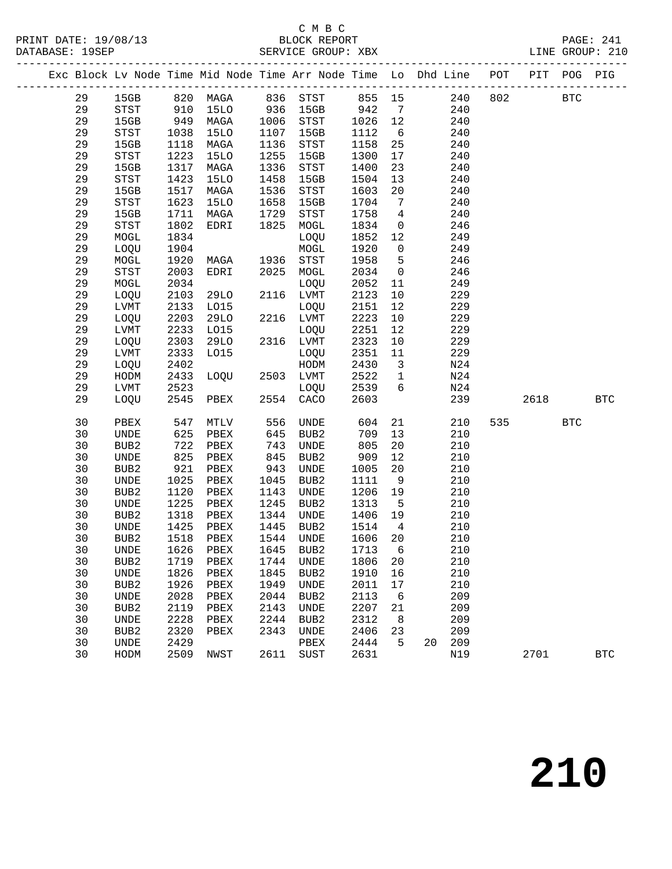#### C M B C

|  |    |                  |      |           |       | Exc Block Lv Node Time Mid Node Time Arr Node Time Lo Dhd Line POT PIT POG PIG |         |                         |    |     |     |             |            |            |
|--|----|------------------|------|-----------|-------|--------------------------------------------------------------------------------|---------|-------------------------|----|-----|-----|-------------|------------|------------|
|  | 29 |                  |      |           |       | 15GB 820 MAGA 836 STST 855 15                                                  |         |                         |    |     |     | 240 802 BTC |            |            |
|  | 29 |                  |      |           |       | STST 910 15LO 936 15GB 942 7                                                   |         |                         |    | 240 |     |             |            |            |
|  | 29 | 15GB             |      | 949 MAGA  |       | 1006 STST                                                                      | 1026 12 |                         |    | 240 |     |             |            |            |
|  | 29 | STST             | 1038 | 15LO      | 1107  | 15GB                                                                           | 1112    | 6                       |    | 240 |     |             |            |            |
|  | 29 | 15GB             | 1118 | MAGA      | 1136  | STST                                                                           | 1158    | 25                      |    | 240 |     |             |            |            |
|  | 29 | STST             | 1223 | 15LO      | 1255  | 15GB                                                                           | 1300    | 17                      |    | 240 |     |             |            |            |
|  | 29 | 15GB             | 1317 | MAGA      | 1336  | STST                                                                           | 1400    | 23                      |    | 240 |     |             |            |            |
|  | 29 | STST             | 1423 | 15LO      | 1458  | 15GB                                                                           | 1504    | 13                      |    | 240 |     |             |            |            |
|  | 29 | 15GB             | 1517 | MAGA      | 1536  | STST                                                                           | 1603    | 20 <sub>o</sub>         |    | 240 |     |             |            |            |
|  | 29 | STST             | 1623 | 15LO      | 1658  | 15GB                                                                           | 1704    | 7                       |    | 240 |     |             |            |            |
|  | 29 | 15GB             | 1711 | MAGA      | 1729  | STST                                                                           | 1758    | $\overline{4}$          |    | 240 |     |             |            |            |
|  | 29 | STST             | 1802 | EDRI      | 1825  | MOGL                                                                           | 1834    | $\overline{0}$          |    | 246 |     |             |            |            |
|  | 29 | MOGL             | 1834 |           |       | LOQU                                                                           | 1852 12 |                         |    | 249 |     |             |            |            |
|  | 29 | LOQU             | 1904 |           |       | MOGL                                                                           | 1920    | $\overline{0}$          |    | 249 |     |             |            |            |
|  | 29 | MOGL             | 1920 | MAGA      | 1936  | STST                                                                           | 1958    | $5^{\circ}$             |    | 246 |     |             |            |            |
|  | 29 | STST             | 2003 | EDRI      | 2025  | MOGL                                                                           | 2034    | $\overline{0}$          |    | 246 |     |             |            |            |
|  | 29 | MOGL             | 2034 |           |       | LOQU                                                                           | 2052    | 11                      |    | 249 |     |             |            |            |
|  | 29 | LOQU             | 2103 | 29LO      |       | 2116 LVMT                                                                      | 2123    | 10                      |    | 229 |     |             |            |            |
|  | 29 | LVMT             | 2133 | L015      |       | LOQU                                                                           | 2151    | 12                      |    | 229 |     |             |            |            |
|  | 29 | LOQU             | 2203 | 29LO      |       | 2216 LVMT                                                                      | 2223    | 10                      |    | 229 |     |             |            |            |
|  | 29 | LVMT             | 2233 | L015      |       | LOQU                                                                           | 2251    | 12                      |    | 229 |     |             |            |            |
|  | 29 | LOQU             | 2303 | 29LO      |       | 2316 LVMT                                                                      | 2323    | 10                      |    | 229 |     |             |            |            |
|  | 29 | LVMT             | 2333 | L015      |       | LOQU                                                                           | 2351    | 11                      |    | 229 |     |             |            |            |
|  | 29 | LOQU             | 2402 |           |       | HODM                                                                           | 2430    | $\overline{\mathbf{3}}$ |    | N24 |     |             |            |            |
|  | 29 | HODM             | 2433 | LOQU      |       | 2503 LVMT                                                                      | 2522    | $\overline{1}$          |    | N24 |     |             |            |            |
|  | 29 | LVMT             | 2523 |           |       | LOQU                                                                           | 2539 6  |                         |    | N24 |     |             |            |            |
|  | 29 | LOOU             |      | 2545 PBEX |       | 2554 CACO                                                                      | 2603    |                         |    | 239 |     | 2618 BTC    |            |            |
|  | 30 | PBEX             | 547  | MTLV      | 556   | UNDE                                                                           | 604     | 21                      |    | 210 | 535 |             | <b>BTC</b> |            |
|  | 30 | UNDE             | 625  | PBEX      | 645   | BUB2                                                                           | 709     | 13                      |    | 210 |     |             |            |            |
|  | 30 | BUB2             | 722  | PBEX      | 743   | UNDE                                                                           | 805     | 20                      |    | 210 |     |             |            |            |
|  | 30 | UNDE             | 825  | PBEX      | 845   | BUB2                                                                           | 909     | 12                      |    | 210 |     |             |            |            |
|  | 30 | BUB2             | 921  | PBEX      | $943$ | UNDE                                                                           | 1005    | 20                      |    | 210 |     |             |            |            |
|  | 30 | UNDE             | 1025 | PBEX      | 1045  | BUB2                                                                           | 1111    | 9                       |    | 210 |     |             |            |            |
|  | 30 | BUB2             | 1120 | PBEX      | 1143  | <b>UNDE</b>                                                                    | 1206 19 |                         |    | 210 |     |             |            |            |
|  | 30 | UNDE             | 1225 | PBEX      | 1245  | BUB2                                                                           | 1313    | $5^{\circ}$             |    | 210 |     |             |            |            |
|  | 30 | BUB2             | 1318 | PBEX      | 1344  | UNDE                                                                           | 1406 19 |                         |    | 210 |     |             |            |            |
|  | 30 | UNDE             |      | 1425 PBEX |       | 1445 BUB2                                                                      | 1514    | $\overline{4}$          |    | 210 |     |             |            |            |
|  | 30 |                  |      |           |       | BUB2 1518 PBEX 1544 UNDE 1606 20                                               |         |                         |    | 210 |     |             |            |            |
|  | 30 | UNDE             | 1626 | PBEX      | 1645  | BUB2                                                                           | 1713    | 6                       |    | 210 |     |             |            |            |
|  | 30 | BUB2             | 1719 | PBEX      | 1744  | UNDE                                                                           | 1806    | 20                      |    | 210 |     |             |            |            |
|  | 30 | UNDE             | 1826 | PBEX      | 1845  | BUB2                                                                           | 1910    | 16                      |    | 210 |     |             |            |            |
|  | 30 | BUB <sub>2</sub> | 1926 | PBEX      | 1949  | UNDE                                                                           | 2011    | 17                      |    | 210 |     |             |            |            |
|  | 30 | UNDE             | 2028 | PBEX      | 2044  | BUB2                                                                           | 2113    | 6                       |    | 209 |     |             |            |            |
|  | 30 | BUB <sub>2</sub> | 2119 | PBEX      | 2143  | UNDE                                                                           | 2207    | 21                      |    | 209 |     |             |            |            |
|  | 30 | UNDE             | 2228 | PBEX      | 2244  | BUB2                                                                           | 2312    | 8 <sup>8</sup>          |    | 209 |     |             |            |            |
|  | 30 | BUB <sub>2</sub> | 2320 | PBEX      | 2343  | UNDE                                                                           | 2406    | 23                      |    | 209 |     |             |            |            |
|  | 30 | <b>UNDE</b>      | 2429 |           |       | PBEX                                                                           | 2444    | 5                       | 20 | 209 |     |             |            |            |
|  | 30 | HODM             | 2509 | NWST      |       | 2611 SUST                                                                      | 2631    |                         |    | N19 |     | 2701        |            | <b>BTC</b> |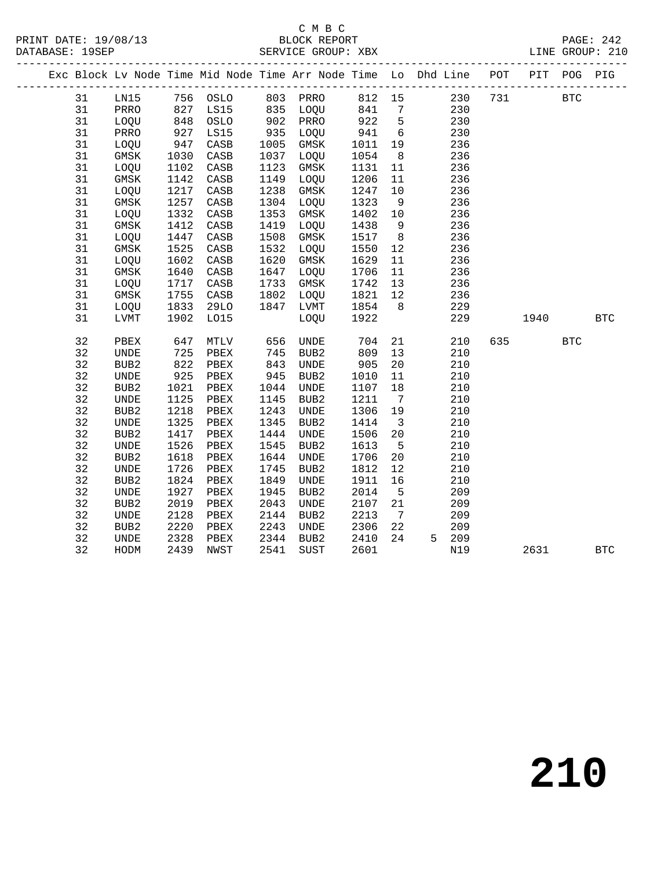PRINT DATE: 19/08/13 BLOCK REPORT<br>DATABASE: 19SEP SERVICE GROUP: XBX

#### C M B C<br>BLOCK REPORT

PAGE: 242<br>LINE GROUP: 210

|  |          |                              |                                           |                 |            | Exc Block Lv Node Time Mid Node Time Arr Node Time Lo Dhd Line POT PIT POG PIG |              |                         |            |     |      |              |            |
|--|----------|------------------------------|-------------------------------------------|-----------------|------------|--------------------------------------------------------------------------------|--------------|-------------------------|------------|-----|------|--------------|------------|
|  | 31       | LN15                         |                                           | 756 OSLO        |            | 803 PRRO 812 15                                                                |              |                         | 230        | 731 |      | $_{\rm BTC}$ |            |
|  | 31       | PRRO                         | 827                                       | LS15            |            | 835    LOQU            841        7<br>902     PRRO           922       5      |              |                         | 230        |     |      |              |            |
|  | 31       | LOQU                         | $\begin{array}{c} 827 \\ 848 \end{array}$ | OSLO            |            |                                                                                |              |                         | 230        |     |      |              |            |
|  | 31       | PRRO                         | 927                                       | LS15            | 935        | LOQU                                                                           | 941 6        |                         | 230        |     |      |              |            |
|  | 31       | LOQU                         | 947                                       | CASB            | 1005       | GMSK                                                                           | 1011         | 19                      | 236        |     |      |              |            |
|  | 31       | GMSK                         | 1030                                      | CASB            | 1037       | LOQU                                                                           | 1054         | 8 <sup>8</sup>          | 236        |     |      |              |            |
|  | 31       | LOQU                         | 1102                                      | CASB            | 1123       | GMSK                                                                           | 1131         | 11                      | 236        |     |      |              |            |
|  | 31       | GMSK                         | 1142                                      | CASB            | 1149       | LOQU                                                                           | 1206         | 11                      | 236        |     |      |              |            |
|  | 31       | LOQU                         | 1217                                      | CASB            | 1238       | GMSK                                                                           | 1247         | 10                      | 236        |     |      |              |            |
|  | 31       | GMSK                         | 1257                                      | CASB            | 1304       | LOQU                                                                           | 1323         | 9                       | 236        |     |      |              |            |
|  | 31       | LOQU                         | 1332                                      | CASB            | 1353       | GMSK                                                                           | 1402         | 10                      | 236        |     |      |              |            |
|  | 31       | GMSK                         | 1412                                      | CASB            | 1419       | LOQU                                                                           | 1438         | 9                       | 236        |     |      |              |            |
|  | 31       | LOQU                         | 1447                                      | CASB            | 1508       | GMSK                                                                           | 1517         | 8 <sup>8</sup>          | 236        |     |      |              |            |
|  | 31       | GMSK                         | 1525                                      | $\mathtt{CASB}$ | 1532       | LOQU                                                                           | 1550         | 12                      | 236        |     |      |              |            |
|  | 31       | LOQU                         | 1602                                      | CASB            | 1620       | GMSK                                                                           | 1629         | 11                      | 236        |     |      |              |            |
|  | 31       | GMSK                         | 1640                                      | $\mathtt{CASB}$ | 1647       | LOQU                                                                           | 1706         | 11                      | 236        |     |      |              |            |
|  | 31       | LOQU                         | 1717                                      | CASB            | 1733       | GMSK                                                                           | 1742         | 13                      | 236        |     |      |              |            |
|  | 31       | GMSK                         | 1755                                      | CASB            | 1802       | LOQU                                                                           | 1821         | 12                      | 236        |     |      |              |            |
|  | 31       | LOQU                         | 1833                                      | 29LO            |            | 1847 LVMT                                                                      | 1854         | 8 <sup>8</sup>          | 229        |     |      |              |            |
|  | 31       | LVMT                         | 1902                                      | L015            |            | LOQU                                                                           | 1922         |                         | 229        |     | 1940 |              | <b>BTC</b> |
|  |          |                              |                                           |                 |            |                                                                                |              |                         |            |     |      |              |            |
|  | 32       | PBEX                         | 647                                       | MTLV            | 656        | UNDE                                                                           | 704          | 21                      | 210        | 635 |      | <b>BTC</b>   |            |
|  | 32<br>32 | <b>UNDE</b>                  | 725                                       | PBEX            | 745        | BUB2                                                                           | 809          | 13                      | 210        |     |      |              |            |
|  | 32       | BUB2                         | 822                                       | PBEX            | 843<br>945 | <b>UNDE</b>                                                                    | 905          | 20 <sub>o</sub>         | 210        |     |      |              |            |
|  | 32       | <b>UNDE</b>                  | 925<br>1021                               | PBEX            | 1044       | BUB2<br>UNDE                                                                   | 1010<br>1107 | 11                      | 210<br>210 |     |      |              |            |
|  | 32       | BUB2<br><b>UNDE</b>          | 1125                                      | PBEX<br>PBEX    | 1145       | BUB <sub>2</sub>                                                               | 1211         | 18<br>$\overline{7}$    | 210        |     |      |              |            |
|  | 32       | BUB <sub>2</sub>             | 1218                                      |                 | 1243       | <b>UNDE</b>                                                                    | 1306         | 19                      | 210        |     |      |              |            |
|  | 32       | $\ensuremath{\mathsf{UNDE}}$ | 1325                                      | PBEX<br>PBEX    | 1345       | BUB2                                                                           | 1414         | $\overline{\mathbf{3}}$ | 210        |     |      |              |            |
|  | 32       | BUB <sub>2</sub>             | 1417                                      | PBEX            | 1444       | <b>UNDE</b>                                                                    | 1506         | 20                      | 210        |     |      |              |            |
|  | 32       | $\ensuremath{\mathsf{UNDE}}$ | 1526                                      | ${\tt PBEX}$    | 1545       | BUB2                                                                           | 1613         | $5^{\circ}$             | 210        |     |      |              |            |
|  | 32       | BUB2                         | 1618                                      | PBEX            | 1644       | $\ensuremath{\mathsf{UNDE}}$                                                   | 1706         | 20                      | 210        |     |      |              |            |
|  | 32       | $\ensuremath{\mathsf{UNDE}}$ | 1726                                      | PBEX            | 1745       | BUB2                                                                           | 1812         | 12                      | 210        |     |      |              |            |
|  | 32       | BUB <sub>2</sub>             | 1824                                      | PBEX            | 1849       | <b>UNDE</b>                                                                    | 1911         | 16                      | 210        |     |      |              |            |
|  | 32       | $\ensuremath{\mathsf{UNDE}}$ | 1927                                      | PBEX            | 1945       | BUB2                                                                           | 2014         | $5^{\circ}$             | 209        |     |      |              |            |
|  | 32       | BUB <sub>2</sub>             | 2019                                      | PBEX            | 2043       | <b>UNDE</b>                                                                    | 2107         | 21                      | 209        |     |      |              |            |
|  | 32       | <b>UNDE</b>                  | 2128                                      | PBEX            | 2144       | BUB2                                                                           | 2213         | $7\overline{ }$         | 209        |     |      |              |            |
|  | 32       | BUB2                         | 2220                                      | PBEX            | 2243       | UNDE                                                                           | 2306         | 22                      | 209        |     |      |              |            |
|  | 32       | UNDE                         | 2328                                      | PBEX            | 2344       | BUB2                                                                           | 2410         | 24                      | 5 209      |     |      |              |            |
|  | 32       | HODM                         | 2439                                      | NWST            | 2541       | SUST                                                                           | 2601         |                         | N19        |     | 2631 |              | <b>BTC</b> |
|  |          |                              |                                           |                 |            |                                                                                |              |                         |            |     |      |              |            |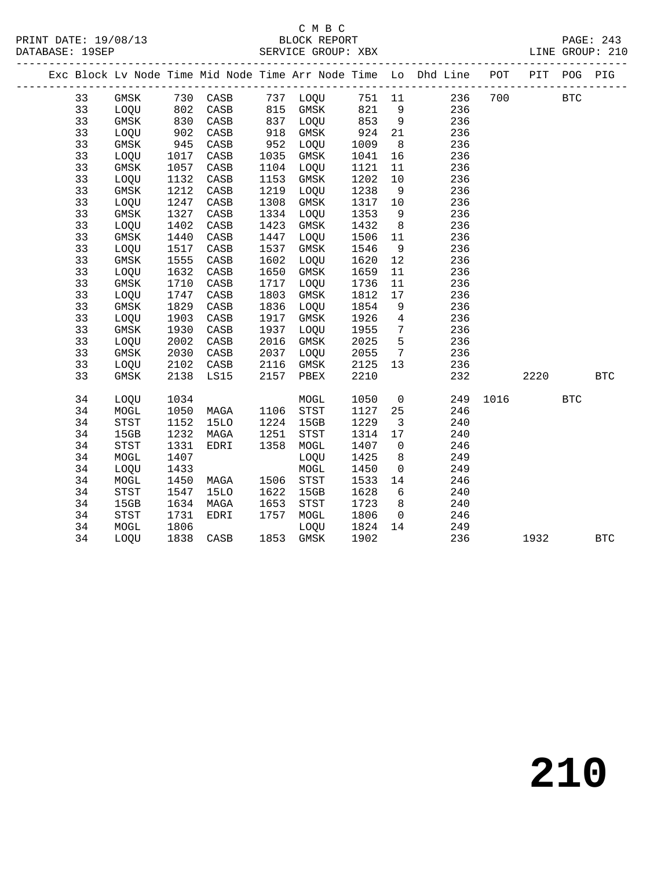#### C M B C<br>BLOCK REPORT SERVICE GROUP: XBX

|  |    |             |      |                 |      |             |      |                 | Exc Block Lv Node Time Mid Node Time Arr Node Time Lo Dhd Line POT PIT POG PIG |      |      |            |              |
|--|----|-------------|------|-----------------|------|-------------|------|-----------------|--------------------------------------------------------------------------------|------|------|------------|--------------|
|  | 33 | GMSK        | 730  | CASB            |      | 737 LOQU    | 751  | 11              | 236                                                                            | 700  |      | <b>BTC</b> |              |
|  | 33 | LOQU        | 802  | CASB            | 815  | GMSK        | 821  | 9               | 236                                                                            |      |      |            |              |
|  | 33 | GMSK        | 830  | CASB            | 837  | LOQU        | 853  | 9               | 236                                                                            |      |      |            |              |
|  | 33 | LOQU        | 902  | CASB            | 918  | GMSK        | 924  | 21              | 236                                                                            |      |      |            |              |
|  | 33 | GMSK        | 945  | CASB            | 952  | LOQU        | 1009 | 8               | 236                                                                            |      |      |            |              |
|  | 33 | LOQU        | 1017 | $\mathtt{CASB}$ | 1035 | GMSK        | 1041 | 16              | 236                                                                            |      |      |            |              |
|  | 33 | GMSK        | 1057 | $\mathtt{CASB}$ | 1104 | LOQU        | 1121 | 11              | 236                                                                            |      |      |            |              |
|  | 33 | LOQU        | 1132 | CASB            | 1153 | GMSK        | 1202 | 10              | 236                                                                            |      |      |            |              |
|  | 33 | GMSK        | 1212 | CASB            | 1219 | LOQU        | 1238 | 9               | 236                                                                            |      |      |            |              |
|  | 33 | LOQU        | 1247 | CASB            | 1308 | GMSK        | 1317 | 10              | 236                                                                            |      |      |            |              |
|  | 33 | GMSK        | 1327 | $\mathtt{CASB}$ | 1334 | LOQU        | 1353 | 9               | 236                                                                            |      |      |            |              |
|  | 33 | LOQU        | 1402 | CASB            | 1423 | GMSK        | 1432 | 8               | 236                                                                            |      |      |            |              |
|  | 33 | GMSK        | 1440 | CASB            | 1447 | LOQU        | 1506 | 11              | 236                                                                            |      |      |            |              |
|  | 33 | LOQU        | 1517 | CASB            | 1537 | GMSK        | 1546 | 9               | 236                                                                            |      |      |            |              |
|  | 33 | GMSK        | 1555 | CASB            | 1602 | LOQU        | 1620 | 12              | 236                                                                            |      |      |            |              |
|  | 33 | LOQU        | 1632 | CASB            | 1650 | GMSK        | 1659 | 11              | 236                                                                            |      |      |            |              |
|  | 33 | GMSK        | 1710 | CASB            | 1717 | LOQU        | 1736 | 11              | 236                                                                            |      |      |            |              |
|  | 33 | LOQU        | 1747 | CASB            | 1803 | GMSK        | 1812 | 17              | 236                                                                            |      |      |            |              |
|  | 33 | GMSK        | 1829 | CASB            | 1836 | LOQU        | 1854 | 9               | 236                                                                            |      |      |            |              |
|  | 33 | LOQU        | 1903 | CASB            | 1917 | GMSK        | 1926 | $4\overline{ }$ | 236                                                                            |      |      |            |              |
|  | 33 | <b>GMSK</b> | 1930 | CASB            | 1937 | LOQU        | 1955 | $\overline{7}$  | 236                                                                            |      |      |            |              |
|  | 33 | LOQU        | 2002 | CASB            | 2016 | <b>GMSK</b> | 2025 | 5               | 236                                                                            |      |      |            |              |
|  | 33 | GMSK        | 2030 | CASB            | 2037 | LOQU        | 2055 | $7\phantom{.0}$ | 236                                                                            |      |      |            |              |
|  | 33 | LOQU        | 2102 | CASB            | 2116 | GMSK        | 2125 | 13              | 236                                                                            |      |      |            |              |
|  | 33 | GMSK        | 2138 | LS15            | 2157 | PBEX        | 2210 |                 | 232                                                                            |      | 2220 |            | $_{\rm BTC}$ |
|  | 34 | LOQU        | 1034 |                 |      | MOGL        | 1050 | $\overline{0}$  | 249                                                                            | 1016 |      | <b>BTC</b> |              |
|  | 34 | MOGL        | 1050 | MAGA            | 1106 | STST        | 1127 | 25              | 246                                                                            |      |      |            |              |
|  | 34 | <b>STST</b> | 1152 | 15LO            | 1224 | 15GB        | 1229 | $\overline{3}$  | 240                                                                            |      |      |            |              |
|  | 34 | 15GB        | 1232 | MAGA            | 1251 | <b>STST</b> | 1314 | 17              | 240                                                                            |      |      |            |              |
|  | 34 | STST        | 1331 | EDRI            | 1358 | MOGL        | 1407 | $\overline{0}$  | 246                                                                            |      |      |            |              |
|  | 34 | MOGL        | 1407 |                 |      | LOQU        | 1425 | 8               | 249                                                                            |      |      |            |              |
|  | 34 | LOQU        | 1433 |                 |      | $\tt MOGL$  | 1450 | $\overline{0}$  | 249                                                                            |      |      |            |              |
|  | 34 | MOGL        | 1450 | MAGA            | 1506 | STST        | 1533 | 14              | 246                                                                            |      |      |            |              |
|  | 34 | <b>STST</b> | 1547 | <b>15LO</b>     | 1622 | 15GB        | 1628 | 6               | 240                                                                            |      |      |            |              |

34 LOQU 1838 CASB 1853 GMSK 1902 236 1932 BTC

 34 15GB 1634 MAGA 1653 STST 1723 8 240 34 STST 1731 EDRI 1757 MOGL 1806 0 246 34 MOGL 1806 LOQU 1824 14 249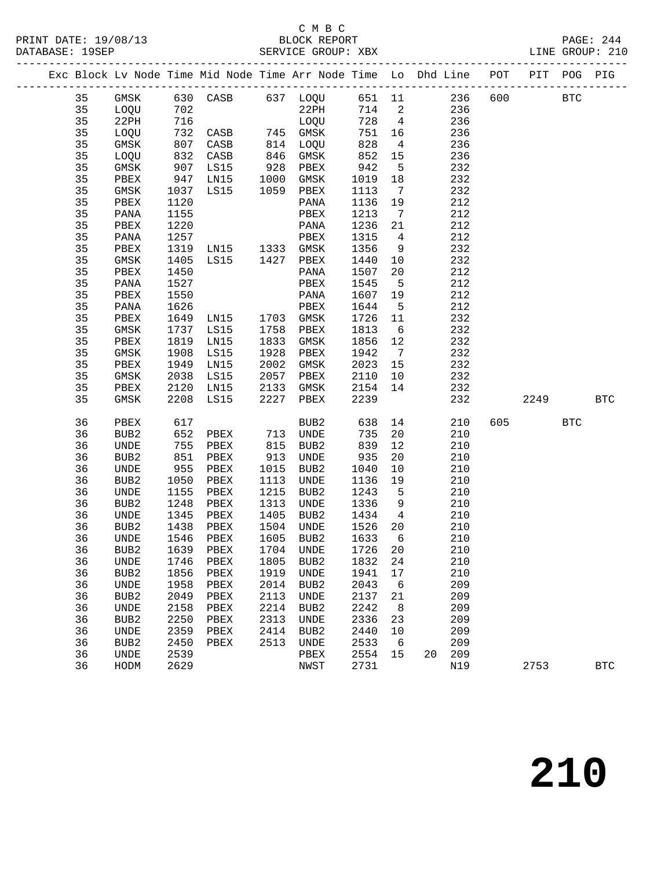#### C M B C<br>BLOCK REPORT

|  |          |                  |              |                     |              | Exc Block Lv Node Time Mid Node Time Arr Node Time Lo Dhd Line POT PIT POG PIG |                   |                 |                  |     |            |              |
|--|----------|------------------|--------------|---------------------|--------------|--------------------------------------------------------------------------------|-------------------|-----------------|------------------|-----|------------|--------------|
|  | 35       |                  |              |                     |              | GMSK 630 CASB 637 LOQU 651 11 236 600                                          |                   |                 |                  |     | <b>BTC</b> |              |
|  | 35       | LOQU             | 702          |                     |              | $22$ PH                                                                        |                   |                 | 714 2<br>236     |     |            |              |
|  | 35       | 22PH             | 716          |                     |              | LOQU                                                                           | 728 4             |                 | 236              |     |            |              |
|  | 35       | LOQU             |              |                     |              |                                                                                | 751               | 16              | 236              |     |            |              |
|  | 35       | GMSK             |              |                     |              |                                                                                |                   | $\overline{4}$  | 236              |     |            |              |
|  | 35       | LOQU             |              | 832 CASB            |              |                                                                                | 751<br>828<br>852 | 15              | 236              |     |            |              |
|  | 35       | GMSK             | 907          | LS15                |              | 928 PBEX                                                                       | 942               | $5^{\circ}$     | 232              |     |            |              |
|  | 35       | PBEX             | 947          | LN15                |              | 1000 GMSK                                                                      | 1019              | 18              | 232              |     |            |              |
|  | 35       | GMSK             |              | 1037 LS15           |              | 1059 PBEX                                                                      | 1113              | $7\overline{)}$ | 232              |     |            |              |
|  | 35       | PBEX             | 1120         |                     |              | PANA                                                                           | 1136 19           |                 | 212              |     |            |              |
|  | 35       | PANA             | 1155         |                     |              | PBEX                                                                           | 1213              | $\overline{7}$  | 212              |     |            |              |
|  | 35       | PBEX             | 1220         |                     |              | PANA                                                                           | 1236 21           |                 | 212              |     |            |              |
|  | 35       | PANA             | 1257         |                     |              | PBEX                                                                           | 1315              | $\overline{4}$  | 212              |     |            |              |
|  | 35       | PBEX             |              | 1319 LN15 1333 GMSK |              |                                                                                | 1356              | 9               | 232              |     |            |              |
|  | 35       | GMSK             | 1405         | LS15                |              | 1427 PBEX                                                                      | 1440 10           |                 | 232              |     |            |              |
|  | 35       | PBEX             | 1450         |                     |              | PANA                                                                           | 1507              | 20              | 212              |     |            |              |
|  | 35       | PANA             | 1527         |                     |              | PBEX                                                                           | 1545              | $5^{\circ}$     | 212              |     |            |              |
|  | 35       | PBEX             | 1550         |                     |              | PANA                                                                           | 1607 19           |                 | 212              |     |            |              |
|  | 35       | PANA             | 1626         |                     |              | PBEX                                                                           | 1644              | $5^{\circ}$     | 212              |     |            |              |
|  | 35       | PBEX             | 1649         | LNI5                |              | 1703 GMSK                                                                      | 1726              | 11              | 232              |     |            |              |
|  | 35       | GMSK             | 1737         | LS15                | 1758         | PBEX                                                                           | 1813              | 6               | 232              |     |            |              |
|  | 35       | PBEX             | 1819         | LN15                | 1833         | GMSK                                                                           | 1856 12           |                 | 232              |     |            |              |
|  | 35       | GMSK             | 1908         | LS15                | 1928         | PBEX                                                                           | 1942              | $\overline{7}$  | 232              |     |            |              |
|  | 35       | PBEX             | 1949         | LN15                |              | 2002 GMSK                                                                      | 2023 15           |                 | 232              |     |            |              |
|  | 35       | GMSK             | 2038<br>2120 | LS15                |              | 2057 PBEX                                                                      | 2110              | 10              | 232              |     |            |              |
|  | 35       | PBEX             |              | LNI5                |              | 2133 GMSK                                                                      | 2154 14           |                 | 232              |     |            |              |
|  | 35       | GMSK             | 2208         | LS15                |              | 2227 PBEX                                                                      | 2239              |                 | 232              |     | 2249 BTC   |              |
|  | 36       | PBEX             | 617          |                     |              | BUB2                                                                           | 638               | 14              | 210              | 605 | <b>BTC</b> |              |
|  | 36       | BUB2             | 652          | PBEX                |              | 713 UNDE<br>815 BUB2                                                           | 735               | 20              | 210              |     |            |              |
|  | 36       | UNDE             | 755          | PBEX                |              |                                                                                | 839               | 12              | 210              |     |            |              |
|  | 36       | BUB2             | 851          | PBEX                | 913          | UNDE                                                                           | 935               | 20              | 210              |     |            |              |
|  | 36       | UNDE             | 955          | PBEX                | 1015         | BUB2                                                                           | 1040              | 10              | 210              |     |            |              |
|  | 36       | BUB2             | 1050         | PBEX                | 1113         | UNDE                                                                           | 1136              | 19              | 210              |     |            |              |
|  | 36       | UNDE             | 1155         | PBEX                | 1215         | BUB2                                                                           | 1243 5            |                 | 210              |     |            |              |
|  | 36       | BUB2             | 1248         | PBEX                | 1313         | UNDE                                                                           | 1336              | 9               | 210              |     |            |              |
|  | 36       | UNDE             | 1345         | PBEX                | 1405         | BUB2                                                                           | 1434              | $\overline{4}$  | 210              |     |            |              |
|  | 36       | BUB2             | 1438         | PBEX                | 1504<br>1605 | UNDE                                                                           | 1526 20           |                 | 210              |     |            |              |
|  | 36       | <b>UNDE</b>      |              | 1546 PBEX           |              | 1605 BUB2                                                                      | $1633$ 6          |                 | 210              |     |            |              |
|  |          |                  |              |                     |              | 36 BUB2 1639 PBEX 1704 UNDE 1726 20                                            |                   |                 | 210              |     |            |              |
|  | 36       | UNDE             | 1746         | PBEX                | 1805         | BUB2                                                                           | 1832              | 24              | 210              |     |            |              |
|  | 36       | BUB2             | 1856         | PBEX                | 1919         | UNDE                                                                           | 1941              | 17              | 210              |     |            |              |
|  | 36       | UNDE             | 1958         | PBEX                | 2014         | BUB2                                                                           | 2043              | $6\overline{6}$ | 209              |     |            |              |
|  | 36       | BUB <sub>2</sub> | 2049         | PBEX                | 2113         | UNDE                                                                           | 2137              | 21              | 209              |     |            |              |
|  | 36       | UNDE             | 2158         | PBEX                | 2214         | BUB2                                                                           | 2242              | 8               | 209              |     |            |              |
|  | 36       | BUB <sub>2</sub> | 2250         | PBEX                | 2313         | UNDE                                                                           | 2336              | 23              | 209              |     |            |              |
|  | 36       | UNDE             | 2359         | PBEX                | 2414         | BUB2                                                                           | 2440              | 10              | 209              |     |            |              |
|  | 36<br>36 | BUB <sub>2</sub> | 2450<br>2539 | PBEX                | 2513         | UNDE<br>PBEX                                                                   | 2533              | 6<br>15         | 209<br>209<br>20 |     |            |              |
|  |          | UNDE             |              |                     |              |                                                                                | 2554              |                 |                  |     |            |              |
|  | 36       | HODM             | 2629         |                     |              | NWST                                                                           | 2731              |                 | N19              |     | 2753       | $_{\rm BTC}$ |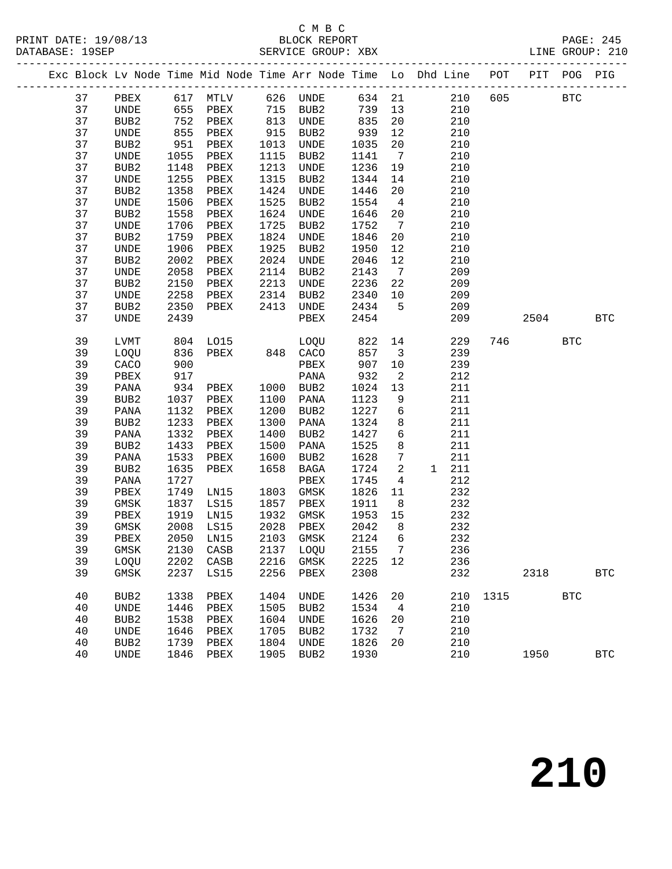#### C M B C<br>BLOCK REPORT

PAGE: 245<br>LINE GROUP: 210

|  |    |                  |                    |               |             | Exc Block Lv Node Time Mid Node Time Arr Node Time Lo Dhd Line POT PIT POG PIG |         |                         |       |     |             |      |            |              |
|--|----|------------------|--------------------|---------------|-------------|--------------------------------------------------------------------------------|---------|-------------------------|-------|-----|-------------|------|------------|--------------|
|  | 37 |                  |                    |               |             | PBEX 617 MTLV 626 UNDE 634 21                                                  |         |                         |       |     | 210 605 BTC |      |            |              |
|  | 37 | <b>UNDE</b>      |                    | 655 PBEX      |             | 715 BUB2                                                                       | 739 13  |                         |       | 210 |             |      |            |              |
|  | 37 | BUB2             | 752                | PBEX          |             | 813 UNDE                                                                       | 835     | 20                      |       | 210 |             |      |            |              |
|  | 37 | UNDE             | $0 -$<br>951<br>-5 | PBEX          | 915<br>1013 | BUB2                                                                           | 939     | 12                      |       | 210 |             |      |            |              |
|  | 37 | BUB2             |                    | PBEX          | 1013        | UNDE                                                                           | 1035    | 20 <sub>o</sub>         |       | 210 |             |      |            |              |
|  | 37 | UNDE             | 1055               | PBEX          | 1115        | BUB2                                                                           | 1141    | 7                       |       | 210 |             |      |            |              |
|  | 37 | BUB2             | 1148               | PBEX          | 1213        | <b>UNDE</b>                                                                    | 1236    | 19                      |       | 210 |             |      |            |              |
|  | 37 | UNDE             | 1255               | PBEX          | 1315        | BUB2                                                                           | 1344    | 14                      |       | 210 |             |      |            |              |
|  | 37 | BUB2             | 1358               | PBEX          | 1424        | UNDE                                                                           | 1446    | 20 <sub>o</sub>         |       | 210 |             |      |            |              |
|  | 37 | UNDE             | 1506               | PBEX          | 1525        | BUB2                                                                           | 1554    | $\overline{4}$          |       | 210 |             |      |            |              |
|  | 37 | BUB2             | 1558               | PBEX          | 1624        | UNDE                                                                           | 1646    | 20                      |       | 210 |             |      |            |              |
|  | 37 | UNDE             | 1706               | PBEX          | 1725        | BUB2                                                                           | 1752    | $\overline{7}$          |       | 210 |             |      |            |              |
|  | 37 | BUB2             | 1759               | PBEX          | 1824        | UNDE                                                                           | 1846    | 20                      |       | 210 |             |      |            |              |
|  | 37 | UNDE             | 1906               | PBEX          | 1925        | BUB2                                                                           | 1950    | 12                      |       | 210 |             |      |            |              |
|  | 37 | BUB2             | 2002               | PBEX          | 2024        | UNDE                                                                           | 2046    | 12                      |       | 210 |             |      |            |              |
|  | 37 | UNDE             | 2058               | PBEX          | 2114        | BUB2                                                                           | 2143    | $\overline{7}$          |       | 209 |             |      |            |              |
|  | 37 | BUB2             | 2150               | PBEX          | 2213        | UNDE                                                                           | 2236 22 |                         |       | 209 |             |      |            |              |
|  | 37 | UNDE             | 2258               | PBEX          |             | 2314 BUB2                                                                      | 2340 10 |                         |       | 209 |             |      |            |              |
|  | 37 | BUB2             | 2350               | PBEX          | 2413        | UNDE                                                                           | 2434    | $5^{\circ}$             |       | 209 |             |      |            |              |
|  | 37 | UNDE             | 2439               |               |             | PBEX                                                                           | 2454    |                         |       | 209 |             | 2504 |            | <b>BTC</b>   |
|  |    |                  |                    |               |             |                                                                                |         |                         |       |     |             |      |            |              |
|  | 39 | LVMT             |                    | 804 LO15      |             | LOQU 822                                                                       |         | 14                      |       | 229 | 746         |      | <b>BTC</b> |              |
|  | 39 | LOQU             | 836                | PBEX 848 CACO |             |                                                                                | 857     | $\overline{\mathbf{3}}$ |       | 239 |             |      |            |              |
|  | 39 | CACO             | 900                |               |             | PBEX                                                                           | 907     | 10                      |       | 239 |             |      |            |              |
|  | 39 | PBEX             | 917                |               |             | PANA                                                                           | 932     | $\overline{a}$          |       | 212 |             |      |            |              |
|  | 39 | PANA             |                    | 934 PBEX      |             | 1000 BUB2                                                                      | 1024    | 13                      |       | 211 |             |      |            |              |
|  | 39 | BUB2             | 1037               | PBEX          | 1100        | PANA                                                                           | 1123    | 9                       |       | 211 |             |      |            |              |
|  | 39 | PANA             | 1132               | PBEX          | 1200        | BUB2                                                                           | 1227    | 6                       |       | 211 |             |      |            |              |
|  | 39 | BUB2             | 1233               | PBEX          | 1300        | PANA                                                                           | 1324    | 8                       |       | 211 |             |      |            |              |
|  | 39 | PANA             | 1332               | PBEX          | 1400        | BUB2                                                                           | 1427    | 6                       |       | 211 |             |      |            |              |
|  | 39 | BUB2             | 1433               | PBEX          | 1500        | PANA                                                                           | 1525    | 8                       |       | 211 |             |      |            |              |
|  | 39 | PANA             | 1533               | PBEX          | 1600        | BUB2                                                                           | 1628    | $7\phantom{.0}$         |       | 211 |             |      |            |              |
|  | 39 | BUB2             | 1635               | PBEX          | 1658        | BAGA                                                                           | 1724    | $\overline{2}$          | 1 211 |     |             |      |            |              |
|  | 39 | PANA             | 1727               |               |             | PBEX                                                                           | 1745    | $\overline{4}$          |       | 212 |             |      |            |              |
|  | 39 | PBEX             | 1749               | LN15          | 1803        | GMSK                                                                           | 1826    | 11                      |       | 232 |             |      |            |              |
|  | 39 | GMSK             | 1837               | LS15          | 1857        | PBEX                                                                           | 1911    | 8 <sup>8</sup>          |       | 232 |             |      |            |              |
|  | 39 | PBEX             | 1919               | LN15          | 1932        | GMSK                                                                           | 1953    | 15                      |       | 232 |             |      |            |              |
|  | 39 | GMSK             | 2008               | LS15          |             | 2028 PBEX                                                                      | 2042    | 8 <sup>8</sup>          |       | 232 |             |      |            |              |
|  | 39 | PBEX             | 2050               | LN15          | 2103        | GMSK                                                                           | 2124    | 6                       |       | 232 |             |      |            |              |
|  | 39 | GMSK             | 2130               | CASB          | 2137        | LOQU                                                                           | 2155    | 7                       |       | 236 |             |      |            |              |
|  | 39 | LOQU             | 2202               | CASB          | 2216        | GMSK                                                                           | 2225    | 12                      |       | 236 |             |      |            |              |
|  | 39 | GMSK             | 2237               | LS15          | 2256        | PBEX                                                                           | 2308    |                         |       | 232 |             | 2318 |            | $_{\rm BTC}$ |
|  |    |                  |                    |               |             |                                                                                |         |                         |       |     |             |      |            |              |
|  | 40 | BUB <sub>2</sub> | 1338               | PBEX          | 1404        | UNDE                                                                           | 1426    | 20                      |       | 210 | 1315        |      | <b>BTC</b> |              |
|  | 40 | UNDE             | 1446               | ${\tt PBEX}$  | 1505        | BUB <sub>2</sub>                                                               | 1534    | 4                       |       | 210 |             |      |            |              |
|  | 40 | BUB2             | 1538               | PBEX          | 1604        | UNDE                                                                           | 1626    | 20                      |       | 210 |             |      |            |              |
|  | 40 | UNDE             | 1646               | PBEX          | 1705        | BUB2                                                                           | 1732    | 7                       |       | 210 |             |      |            |              |
|  | 40 | BUB2             | 1739               | PBEX          | 1804        | $\ensuremath{\mathsf{UNDE}}$                                                   | 1826    | 20                      |       | 210 |             |      |            |              |
|  | 40 | UNDE             | 1846               | PBEX          | 1905        | BUB <sub>2</sub>                                                               | 1930    |                         |       | 210 |             | 1950 |            | $_{\rm BTC}$ |
|  |    |                  |                    |               |             |                                                                                |         |                         |       |     |             |      |            |              |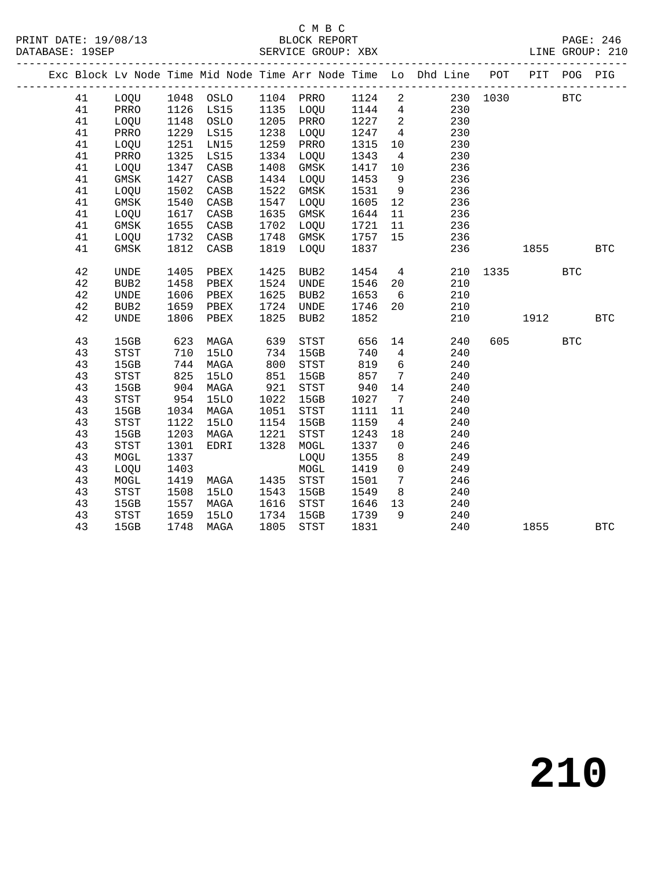#### C M B C<br>BLOCK REPORT SERVICE GROUP: XBX

|  |    |                  |      |             |      |                  |        |                          | Exc Block Lv Node Time Mid Node Time Arr Node Time Lo Dhd Line POT |          | PIT  | POG PIG      |            |
|--|----|------------------|------|-------------|------|------------------|--------|--------------------------|--------------------------------------------------------------------|----------|------|--------------|------------|
|  | 41 | LOQU 1048 OSLO   |      |             |      | 1104 PRRO        | 1124 2 |                          |                                                                    | 230 1030 |      | $_{\rm BTC}$ |            |
|  | 41 | PRRO             | 1126 | LS15        |      | 1135 LOQU        | 1144 4 |                          | 230                                                                |          |      |              |            |
|  | 41 | LOQU             | 1148 | OSLO        | 1205 | PRRO             | 1227   | $\overline{\phantom{a}}$ | 230                                                                |          |      |              |            |
|  | 41 | PRRO             | 1229 | LS15        | 1238 | LOQU             | 1247   | $\overline{4}$           | 230                                                                |          |      |              |            |
|  | 41 | LOQU             | 1251 | LN15        | 1259 | PRRO             | 1315   | 10                       | 230                                                                |          |      |              |            |
|  | 41 | PRRO             | 1325 | LS15        | 1334 | LOQU             | 1343   | $\overline{4}$           | 230                                                                |          |      |              |            |
|  | 41 | LOQU             | 1347 | CASB        | 1408 | GMSK             | 1417   | 10                       | 236                                                                |          |      |              |            |
|  | 41 | GMSK             | 1427 | CASB        | 1434 | LOQU             | 1453   | 9                        | 236                                                                |          |      |              |            |
|  | 41 | LOQU             | 1502 | CASB        | 1522 | GMSK             | 1531   | 9                        | 236                                                                |          |      |              |            |
|  | 41 | GMSK             | 1540 | CASB        | 1547 | LOQU             | 1605   | 12                       | 236                                                                |          |      |              |            |
|  | 41 | LOQU             | 1617 | CASB        | 1635 | GMSK             | 1644   | 11                       | 236                                                                |          |      |              |            |
|  | 41 | <b>GMSK</b>      | 1655 | CASB        | 1702 | LOQU             | 1721   | 11                       | 236                                                                |          |      |              |            |
|  | 41 | LOQU             | 1732 | CASB        | 1748 | GMSK             | 1757   | 15                       | 236                                                                |          |      |              |            |
|  | 41 | GMSK             | 1812 | CASB        | 1819 | LOQU             | 1837   |                          | 236                                                                |          | 1855 |              | <b>BTC</b> |
|  | 42 | UNDE             | 1405 | PBEX        | 1425 | BUB2             | 1454   | $\overline{4}$           | 210                                                                | 1335     |      | <b>BTC</b>   |            |
|  | 42 | BUB <sub>2</sub> | 1458 | PBEX        | 1524 | <b>UNDE</b>      | 1546   | 20                       | 210                                                                |          |      |              |            |
|  | 42 | UNDE             | 1606 | PBEX        | 1625 | BUB <sub>2</sub> | 1653   | 6                        | 210                                                                |          |      |              |            |
|  | 42 | BUB2             | 1659 | PBEX        | 1724 | UNDE             | 1746   | 20                       | 210                                                                |          |      |              |            |
|  | 42 | <b>UNDE</b>      | 1806 | PBEX        | 1825 | BUB2             | 1852   |                          | 210                                                                |          | 1912 |              | <b>BTC</b> |
|  | 43 | 15GB             | 623  | MAGA        | 639  | STST             | 656    | 14                       | 240                                                                | 605      |      | <b>BTC</b>   |            |
|  | 43 | STST             | 710  | 15LO        | 734  | 15GB             | 740    | $\overline{4}$           | 240                                                                |          |      |              |            |
|  | 43 | 15GB             | 744  | MAGA        | 800  | STST             | 819    | 6                        | 240                                                                |          |      |              |            |
|  | 43 | STST             | 825  | 15LO        | 851  | 15GB             | 857    | $\overline{7}$           | 240                                                                |          |      |              |            |
|  | 43 | 15GB             | 904  | MAGA        | 921  | STST             | 940    | 14                       | 240                                                                |          |      |              |            |
|  | 43 | STST             | 954  | 15LO        | 1022 | 15GB             | 1027   | $\overline{7}$           | 240                                                                |          |      |              |            |
|  | 43 | 15GB             | 1034 | MAGA        | 1051 | STST             | 1111   | 11                       | 240                                                                |          |      |              |            |
|  | 43 | STST             | 1122 | <b>15LO</b> | 1154 | 15GB             | 1159   | $\overline{4}$           | 240                                                                |          |      |              |            |
|  | 43 | 15GB             | 1203 | MAGA        | 1221 | <b>STST</b>      | 1243   | 18                       | 240                                                                |          |      |              |            |
|  | 43 | <b>STST</b>      | 1301 | EDRI        | 1328 | MOGL             | 1337   | $\overline{0}$           | 246                                                                |          |      |              |            |
|  | 43 | MOGL             | 1337 |             |      | LOQU             | 1355   | 8                        | 249                                                                |          |      |              |            |
|  | 43 | LOQU             | 1403 |             |      | $\tt MOGL$       | 1419   | $\mathbf 0$              | 249                                                                |          |      |              |            |
|  | 43 | MOGL             | 1419 | MAGA        | 1435 | STST             | 1501   | $7\overline{ }$          | 246                                                                |          |      |              |            |
|  | 43 | STST             | 1508 | <b>15LO</b> | 1543 | 15GB             | 1549   | 8                        | 240                                                                |          |      |              |            |
|  | 43 | 15GB             | 1557 | MAGA        | 1616 | STST             | 1646   | 13                       | 240                                                                |          |      |              |            |
|  | 43 | STST             | 1659 | <b>15LO</b> | 1734 | 15GB             | 1739   | 9                        | 240                                                                |          |      |              |            |
|  | 43 | 15GB             | 1748 | MAGA        | 1805 | STST             | 1831   |                          | 240                                                                |          | 1855 |              | <b>BTC</b> |
|  |    |                  |      |             |      |                  |        |                          |                                                                    |          |      |              |            |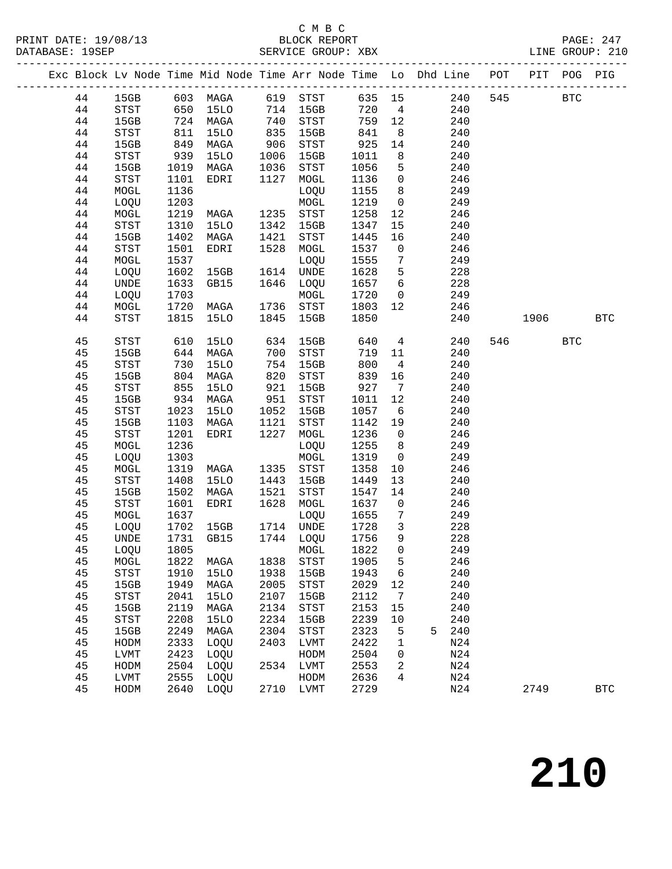#### C M B C

|  |    |               |            |                                 |                     |                                          |                  |                 | Exc Block Lv Node Time Mid Node Time Arr Node Time Lo Dhd Line POT PIT POG PIG |          |            |
|--|----|---------------|------------|---------------------------------|---------------------|------------------------------------------|------------------|-----------------|--------------------------------------------------------------------------------|----------|------------|
|  |    |               |            |                                 |                     |                                          |                  |                 | 44 15GB 603 MAGA 619 STST 635 15 240 545 BTC                                   |          |            |
|  | 44 |               |            | STST 650 15LO 714 15GB 720 4    |                     |                                          |                  |                 | 240                                                                            |          |            |
|  | 44 | 15GB 724 MAGA |            |                                 | $740$<br>835<br>906 | STST 759 12<br>15GB 841 8<br>STST 925 14 |                  |                 | 240                                                                            |          |            |
|  | 44 | STST          | 811<br>849 | 15LO                            |                     |                                          |                  |                 | 240                                                                            |          |            |
|  | 44 | 15GB          |            | MAGA                            |                     |                                          |                  |                 | 240                                                                            |          |            |
|  | 44 | STST          | 939        | 15LO                            | 1006                | 15GB                                     | 1011             | 8 <sup>8</sup>  | 240                                                                            |          |            |
|  | 44 | 15GB          | 1019       | MAGA                            | 1036                | STST                                     | 1056             | 5 <sub>5</sub>  | 240                                                                            |          |            |
|  | 44 | STST          | 1101       | EDRI                            | 1127                | MOGL                                     | 1136 0           |                 | 246                                                                            |          |            |
|  | 44 | MOGL          | 1136       |                                 |                     | LOQU                                     | 1155 8           |                 | 249                                                                            |          |            |
|  | 44 | LOQU          | 1203       |                                 |                     | MOGL                                     | 1219 0           |                 | 249                                                                            |          |            |
|  | 44 | MOGL          | 1219       | MAGA                            |                     | 1235 STST                                | 1258             | 12              | 246                                                                            |          |            |
|  | 44 | STST          | 1310       | 15LO                            | 1342                | 15GB                                     | 1347             | 15              | 240                                                                            |          |            |
|  | 44 | 15GB          | 1402       | MAGA                            |                     | 1421 STST                                | 1445             | 16              | 240                                                                            |          |            |
|  | 44 | STST          | 1501       | EDRI                            |                     | 1528 MOGL                                | 1537 0           |                 | 246                                                                            |          |            |
|  | 44 | MOGL          | 1537       |                                 |                     | LOQU                                     | 1555             | $7\overline{ }$ | 249                                                                            |          |            |
|  | 44 | LOQU          | 1602       | 15GB                            |                     | 1614 UNDE                                | 1628 5           |                 | 228                                                                            |          |            |
|  | 44 | UNDE          | 1633       | GB15                            |                     | 1646 LOQU                                | 1657 6           |                 | 228                                                                            |          |            |
|  | 44 | LOQU          | 1703       |                                 |                     | MOGL                                     | 1720 0           |                 | 249                                                                            |          |            |
|  | 44 | MOGL          | 1720       | <b>MAGA</b>                     |                     | 1736 STST 1803 12                        |                  |                 | 246                                                                            |          |            |
|  | 44 | STST          | 1815       | 15LO                            |                     | 1845 15GB                                | 1850             |                 | 240                                                                            | 1906 BTC |            |
|  | 45 | STST          | 610        | 15LO                            | 634                 | 15GB                                     | 640              |                 | $4\overline{ }$<br>240                                                         | 546 BTC  |            |
|  | 45 | 15GB          |            | 644 MAGA                        | 700                 | STST                                     | 719              |                 | 11<br>240                                                                      |          |            |
|  | 45 | STST          | 730        | 15LO                            | 754                 | 15GB                                     | 800              | $\overline{4}$  | 240                                                                            |          |            |
|  | 45 | 15GB          | 804        | MAGA                            | 820<br>921          | STST                                     | 839 16           |                 | 240                                                                            |          |            |
|  | 45 | STST          | 855        | 15LO                            |                     | 15GB                                     | $927$ 7          |                 | 240                                                                            |          |            |
|  | 45 | 15GB          |            | 934 MAGA                        | 951                 | STST                                     | 1011             | 12              | 240                                                                            |          |            |
|  | 45 | STST          | 1023       | 15LO                            | 1052                | 15GB                                     | 1057             | 6               | 240                                                                            |          |            |
|  | 45 | 15GB          | 1103       | MAGA                            | 1121                | STST                                     | 1142 19          |                 | 240                                                                            |          |            |
|  | 45 | STST          | 1201       | EDRI                            |                     | 1227 MOGL                                | 1236 0           |                 | 246                                                                            |          |            |
|  | 45 | MOGL          | 1236       |                                 |                     | LOQU                                     | 1255 8           |                 | 249                                                                            |          |            |
|  | 45 | LOQU          | 1303       |                                 |                     | MOGL                                     | 1319 0           |                 | 249                                                                            |          |            |
|  | 45 | MOGL          | 1319       | MAGA                            |                     | 1335 STST                                | 1358             | 10              | 246                                                                            |          |            |
|  | 45 | STST          | 1408       | 15LO                            | 1443                | 15GB                                     | 1449             | 13              | 240                                                                            |          |            |
|  | 45 | 15GB          | 1502       | MAGA                            | 1521                | STST                                     | 1547             | 14              | 240                                                                            |          |            |
|  | 45 | STST          | 1601       | EDRI                            |                     | 1628 MOGL                                | 1637 0           |                 | 246                                                                            |          |            |
|  | 45 | MOGL          | 1637       |                                 |                     | LOQU                                     | 1655 7<br>1728 3 |                 | 249                                                                            |          |            |
|  | 45 | LOQU          |            | 1702 15GB                       |                     | 1714 UNDE                                |                  |                 | 228                                                                            |          |            |
|  | 45 |               |            | UNDE 1731 GB15 1744 LOQU 1756 9 |                     |                                          |                  |                 | 228                                                                            |          |            |
|  | 45 | LOQU          | 1805       |                                 |                     | MOGL                                     | 1822             | $\mathbf 0$     | 249                                                                            |          |            |
|  | 45 | MOGL          | 1822       | MAGA                            |                     | 1838 STST                                | 1905             | 5               | 246                                                                            |          |            |
|  | 45 | STST          | 1910       | 15LO                            | 1938                | 15GB                                     | 1943             | 6               | 240                                                                            |          |            |
|  | 45 | 15GB          | 1949       | MAGA                            | 2005                | STST                                     | 2029             | 12              | 240                                                                            |          |            |
|  | 45 | STST          | 2041       | <b>15LO</b>                     | 2107                | 15GB                                     | 2112             | 7               | 240                                                                            |          |            |
|  | 45 | 15GB          | 2119       | MAGA                            | 2134                | STST                                     | 2153             | 15              | 240                                                                            |          |            |
|  | 45 | STST          | 2208       | <b>15LO</b>                     | 2234                | 15GB                                     | 2239             | 10              | 240                                                                            |          |            |
|  | 45 | 15GB          | 2249       | MAGA                            | 2304                | STST                                     | 2323             | 5               | 240<br>5                                                                       |          |            |
|  | 45 | HODM          | 2333       | LOQU                            | 2403                | LVMT                                     | 2422             | 1               | N24                                                                            |          |            |
|  | 45 | LVMT          | 2423       | LOQU                            |                     | HODM                                     | 2504             | 0               | N24                                                                            |          |            |
|  | 45 | HODM          | 2504       | LOQU                            | 2534                | LVMT                                     | 2553             | 2               | N24                                                                            |          |            |
|  | 45 | LVMT          | 2555       | LOQU                            |                     | HODM                                     | 2636             | 4               | N24                                                                            |          |            |
|  | 45 | HODM          | 2640       | LOQU                            |                     | 2710 LVMT                                | 2729             |                 | N24                                                                            | 2749     | <b>BTC</b> |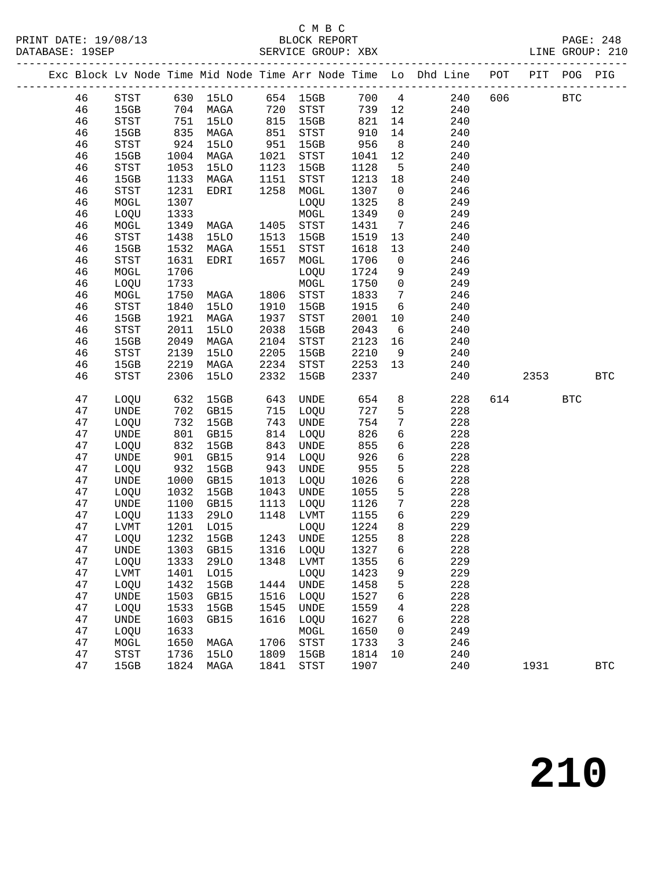## C M B C<br>BLOCK REPORT<br>CERITOE CROIID: XBX

|  |          |              |              |                        |                      |                        |                  |                 | Exc Block Lv Node Time Mid Node Time Arr Node Time Lo Dhd Line POT PIT POG PIG |          |            |            |
|--|----------|--------------|--------------|------------------------|----------------------|------------------------|------------------|-----------------|--------------------------------------------------------------------------------|----------|------------|------------|
|  |          |              |              |                        |                      |                        |                  |                 | 46 STST 630 15LO 654 15GB 700 4 240                                            | 606 BTC  |            |            |
|  | 46       |              |              |                        |                      | 15GB 704 MAGA 720 STST |                  |                 | 739 12<br>240                                                                  |          |            |            |
|  | 46       | STST         |              | 751 15LO               |                      | 815 15GB               | 821              | 14              | 240                                                                            |          |            |            |
|  | 46       | 15GB         |              | 835 MAGA<br>924 15LO   | 851<br>951           | STST                   | 910<br>956       | 14              | 240                                                                            |          |            |            |
|  | 46       | STST         |              |                        |                      | 15GB                   |                  | 8 <sup>8</sup>  | 240                                                                            |          |            |            |
|  | 46       | 15GB         | 1004         | MAGA                   | 1021                 | STST                   | 1041             | 12              | 240                                                                            |          |            |            |
|  | 46       | STST         | 1053         | 15LO                   | 1123                 | 15GB                   | 1128             | $5^{\circ}$     | 240                                                                            |          |            |            |
|  | 46       | 15GB         | 1133         | MAGA                   | 1151<br>1151<br>1258 | STST                   | 1213 18          |                 | 240                                                                            |          |            |            |
|  | 46       | STST         | 1231         | EDRI                   |                      | MOGL                   | 1307 0           |                 | 246                                                                            |          |            |            |
|  | 46       | MOGL         | 1307         |                        |                      | LOQU                   | 1325             | 8 <sup>8</sup>  | 249                                                                            |          |            |            |
|  | 46       | LOQU         | 1333         |                        |                      | MOGL                   | 1349 0           |                 | 249                                                                            |          |            |            |
|  | 46       | MOGL         | 1349         | MAGA 1405<br>15LO 1513 |                      | STST                   | 1431             | $7\overline{ }$ | 246                                                                            |          |            |            |
|  | 46       | STST         | 1438         |                        | 1551                 | 15GB                   | 1519             | 13              | 240                                                                            |          |            |            |
|  | 46       | 15GB         | 1532         | MAGA                   |                      | STST                   | 1618             | 13              | 240                                                                            |          |            |            |
|  | 46       | STST         | 1631         | EDRI                   | 1657                 | MOGL                   | 1706             | $\overline{0}$  | 246                                                                            |          |            |            |
|  | 46       | MOGL         | 1706         |                        |                      | LOQU                   | 1724             | 9               | 249                                                                            |          |            |            |
|  | 46<br>46 | LOQU         | 1733<br>1750 | <b>MAGA</b>            |                      | MOGL<br>1806 STST      | 1750 0<br>1833 7 |                 | 249<br>246                                                                     |          |            |            |
|  | 46       | MOGL<br>STST | 1840         | 15LO                   | 1910                 | 15GB                   | 1915 6           |                 | 240                                                                            |          |            |            |
|  | 46       | 15GB         | 1921         | MAGA                   | 1937                 | STST                   | 2001             | 10              | 240                                                                            |          |            |            |
|  | 46       | STST         | 2011         | 15LO                   | 2038                 | 15GB                   | 2043             | $6\overline{6}$ | 240                                                                            |          |            |            |
|  | 46       | 15GB         | 2049         | MAGA                   | 2104                 | STST                   | 2123             | 16              | 240                                                                            |          |            |            |
|  | 46       | STST         | 2139         | <b>15LO</b>            | 2205                 | 15GB                   | 2210             | 9               | 240                                                                            |          |            |            |
|  | 46       | 15GB         | 2219         | MAGA                   | 2234                 | STST                   | 2253 13          |                 | 240                                                                            |          |            |            |
|  | 46       | STST         | 2306         | 15LO                   | 2332                 | 15GB                   | 2337             |                 | 240                                                                            | 2353 BTC |            |            |
|  | 47       | LOQU         |              | 632 15GB               | 643                  | UNDE                   | 654              |                 | 8<br>228                                                                       | 614      | <b>BTC</b> |            |
|  | 47       | UNDE         | 702          | GB15                   |                      | LOQU                   | 727              | 5               | 228                                                                            |          |            |            |
|  | 47       | LOQU         | 732          | 15GB                   | 715<br>743<br>814    | UNDE                   | 754              | $7\overline{ }$ | 228                                                                            |          |            |            |
|  | 47       | UNDE         | 801          | GB15                   |                      | LOQU                   | 826              | 6               | 228                                                                            |          |            |            |
|  | 47       | LOQU         | 832          | 15GB                   | 843                  | UNDE                   | 855              | 6               | 228                                                                            |          |            |            |
|  | 47       | UNDE         | 901          | GB15                   | 914                  | LOQU                   | 926              | 6               | 228                                                                            |          |            |            |
|  | 47       | LOQU         | 932          | 15GB                   |                      | UNDE                   | 955              | 5               | 228                                                                            |          |            |            |
|  | 47       | UNDE         | 1000         | GB15                   | $943$ $1013$         | 1013 LOQU              | 1026             | $6\overline{6}$ | 228                                                                            |          |            |            |
|  | 47       | LOQU         | 1032         | 15GB                   | 1043                 | UNDE                   | 1055             | $5\overline{)}$ | 228                                                                            |          |            |            |
|  | 47       | UNDE         |              | 1100 GB15              | 1113                 | LOQU                   | 1126             | $7\phantom{.0}$ | 228                                                                            |          |            |            |
|  | 47       | LOQU         | 1133         | 29LO                   |                      | 1148 LVMT              | 1155             | 6               | 229                                                                            |          |            |            |
|  | 47       | LVMT         |              | 1201 LO15              |                      | LOQU                   | 1224             | 8               | 229                                                                            |          |            |            |
|  | 47       |              |              | LOQU 1232 15GB         |                      | 1243 UNDE 1255         |                  |                 | 8<br>228                                                                       |          |            |            |
|  | 47       | UNDE         | 1303         | GB15                   | 1316                 | LOQU                   | 1327             | 6               | 228                                                                            |          |            |            |
|  | 47       | LOQU         | 1333         | 29LO                   | 1348                 | LVMT                   | 1355             | 6               | 229                                                                            |          |            |            |
|  | 47       | LVMT         | 1401         | L015                   |                      | LOQU                   | 1423             | 9               | 229                                                                            |          |            |            |
|  | 47       | LOQU         | 1432         | 15GB                   | 1444                 | UNDE                   | 1458             | 5               | 228                                                                            |          |            |            |
|  | 47       | UNDE         | 1503         | GB15                   | 1516                 | LOQU                   | 1527             | 6               | 228                                                                            |          |            |            |
|  | 47       | LOQU         | 1533         | 15GB                   | 1545                 | UNDE                   | 1559             | 4               | 228                                                                            |          |            |            |
|  | 47       | UNDE         | 1603         | GB15                   | 1616                 | LOQU                   | 1627             | 6               | 228                                                                            |          |            |            |
|  | 47       | LOQU         | 1633         |                        |                      | MOGL                   | 1650             | 0               | 249                                                                            |          |            |            |
|  | 47       | MOGL         | 1650         | MAGA                   | 1706                 | STST                   | 1733             | 3               | 246                                                                            |          |            |            |
|  | 47       | <b>STST</b>  | 1736         | <b>15LO</b>            | 1809                 | 15GB                   | 1814             | 10              | 240                                                                            |          |            |            |
|  | 47       | 15GB         | 1824         | MAGA                   | 1841                 | STST                   | 1907             |                 | 240                                                                            | 1931     |            | <b>BTC</b> |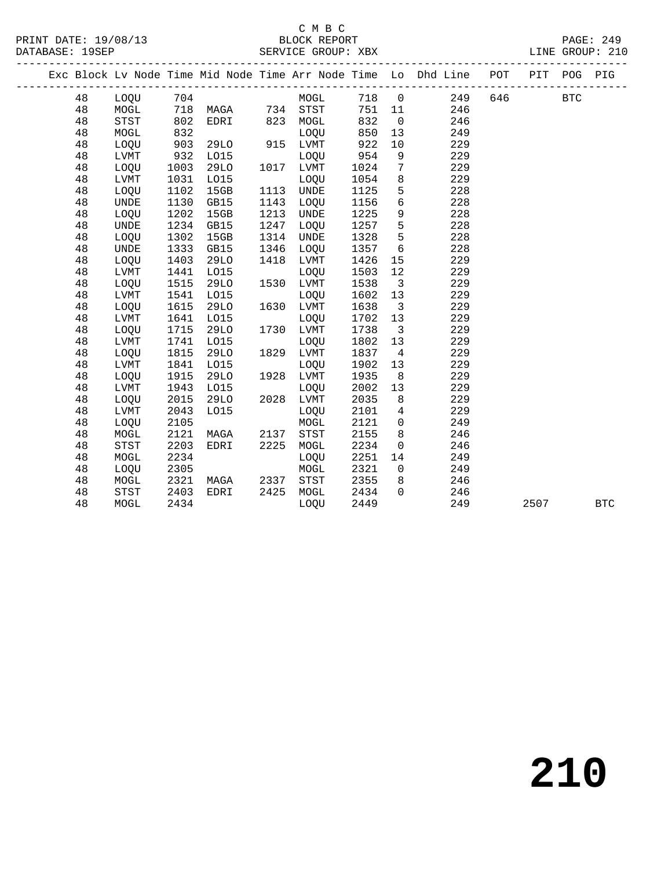|  |    |             |      |                   |      |             |      |                 | Exc Block Lv Node Time Mid Node Time Arr Node Time Lo Dhd Line POT PIT POG PIG |     |      |            |            |
|--|----|-------------|------|-------------------|------|-------------|------|-----------------|--------------------------------------------------------------------------------|-----|------|------------|------------|
|  | 48 | LOQU        | 704  |                   |      | MOGL        |      |                 | 718 0<br>249                                                                   | 646 |      | <b>BTC</b> |            |
|  | 48 | MOGL        |      | 718 MAGA 734 STST |      |             | 751  | 11              | 246                                                                            |     |      |            |            |
|  | 48 | STST        | 802  | EDRI              |      | 823 MOGL    | 832  | $\overline{0}$  | 246                                                                            |     |      |            |            |
|  | 48 | MOGL        | 832  |                   |      | LOQU        | 850  | 13              | 249                                                                            |     |      |            |            |
|  | 48 | LOOU        | 903  | 29LO              | 915  | LVMT        | 922  | 10              | 229                                                                            |     |      |            |            |
|  | 48 | LVMT        | 932  | L015              |      | LOQU        | 954  | 9               | 229                                                                            |     |      |            |            |
|  | 48 | LOQU        | 1003 | 29LO              |      | 1017 LVMT   | 1024 | $7\phantom{.0}$ | 229                                                                            |     |      |            |            |
|  | 48 | LVMT        | 1031 | L015              |      | LOQU        | 1054 | 8               | 229                                                                            |     |      |            |            |
|  | 48 | LOOU        | 1102 | 15GB              | 1113 | UNDE        | 1125 | 5               | 228                                                                            |     |      |            |            |
|  | 48 | UNDE        | 1130 | GB15              | 1143 | LOQU        | 1156 | 6               | 228                                                                            |     |      |            |            |
|  | 48 | LOQU        | 1202 | 15GB              | 1213 | UNDE        | 1225 | 9               | 228                                                                            |     |      |            |            |
|  | 48 | UNDE        | 1234 | GB15              | 1247 | LOQU        | 1257 | 5               | 228                                                                            |     |      |            |            |
|  | 48 | LOQU        | 1302 | 15GB              | 1314 | <b>UNDE</b> | 1328 | 5               | 228                                                                            |     |      |            |            |
|  | 48 | <b>UNDE</b> | 1333 | GB15              | 1346 | LOQU        | 1357 | 6               | 228                                                                            |     |      |            |            |
|  | 48 | LOQU        | 1403 | <b>29LO</b>       | 1418 | LVMT        | 1426 | 15              | 229                                                                            |     |      |            |            |
|  | 48 | LVMT        | 1441 | L015              |      | LOQU        | 1503 | 12              | 229                                                                            |     |      |            |            |
|  | 48 | LOQU        | 1515 | 29LO              | 1530 | LVMT        | 1538 | $\overline{3}$  | 229                                                                            |     |      |            |            |
|  | 48 | LVMT        | 1541 | L015              |      | LOQU        | 1602 | 13              | 229                                                                            |     |      |            |            |
|  | 48 | LOQU        | 1615 | 29LO              | 1630 | LVMT        | 1638 | $\overline{3}$  | 229                                                                            |     |      |            |            |
|  | 48 | LVMT        | 1641 | L015              |      | LOQU        | 1702 | 13              | 229                                                                            |     |      |            |            |
|  | 48 | LOQU        | 1715 | <b>29LO</b>       | 1730 | LVMT        | 1738 | $\overline{3}$  | 229                                                                            |     |      |            |            |
|  | 48 | LVMT        | 1741 | L015              |      | LOQU        | 1802 | 13              | 229                                                                            |     |      |            |            |
|  | 48 | LOQU        | 1815 | <b>29LO</b>       | 1829 | LVMT        | 1837 | $\overline{4}$  | 229                                                                            |     |      |            |            |
|  | 48 | LVMT        | 1841 | L015              |      | LOQU        | 1902 | 13              | 229                                                                            |     |      |            |            |
|  | 48 | LOQU        | 1915 | 29LO              | 1928 | LVMT        | 1935 | 8               | 229                                                                            |     |      |            |            |
|  | 48 | LVMT        | 1943 | L015              |      | LOQU        | 2002 | 13              | 229                                                                            |     |      |            |            |
|  | 48 | LOQU        | 2015 | <b>29LO</b>       | 2028 | LVMT        | 2035 | 8               | 229                                                                            |     |      |            |            |
|  | 48 | LVMT        | 2043 | L015              |      | LOQU        | 2101 | $\overline{4}$  | 229                                                                            |     |      |            |            |
|  | 48 | <b>LOOU</b> | 2105 |                   |      | MOGL        | 2121 | $\overline{0}$  | 249                                                                            |     |      |            |            |
|  | 48 | MOGL        | 2121 | MAGA              | 2137 | STST        | 2155 | 8               | 246                                                                            |     |      |            |            |
|  | 48 | STST        | 2203 | EDRI              | 2225 | MOGL        | 2234 | $\mathsf{O}$    | 246                                                                            |     |      |            |            |
|  | 48 | MOGL        | 2234 |                   |      | LOQU        | 2251 | 14              | 249                                                                            |     |      |            |            |
|  | 48 | LOQU        | 2305 |                   |      | MOGL        | 2321 | $\overline{0}$  | 249                                                                            |     |      |            |            |
|  | 48 | MOGL        | 2321 | MAGA              | 2337 | STST        | 2355 | 8               | 246                                                                            |     |      |            |            |
|  | 48 | STST        | 2403 | EDRI              | 2425 | MOGL        | 2434 | $\Omega$        | 246                                                                            |     |      |            |            |
|  | 48 | MOGL        | 2434 |                   |      | LOQU        | 2449 |                 | 249                                                                            |     | 2507 |            | <b>BTC</b> |
|  |    |             |      |                   |      |             |      |                 |                                                                                |     |      |            |            |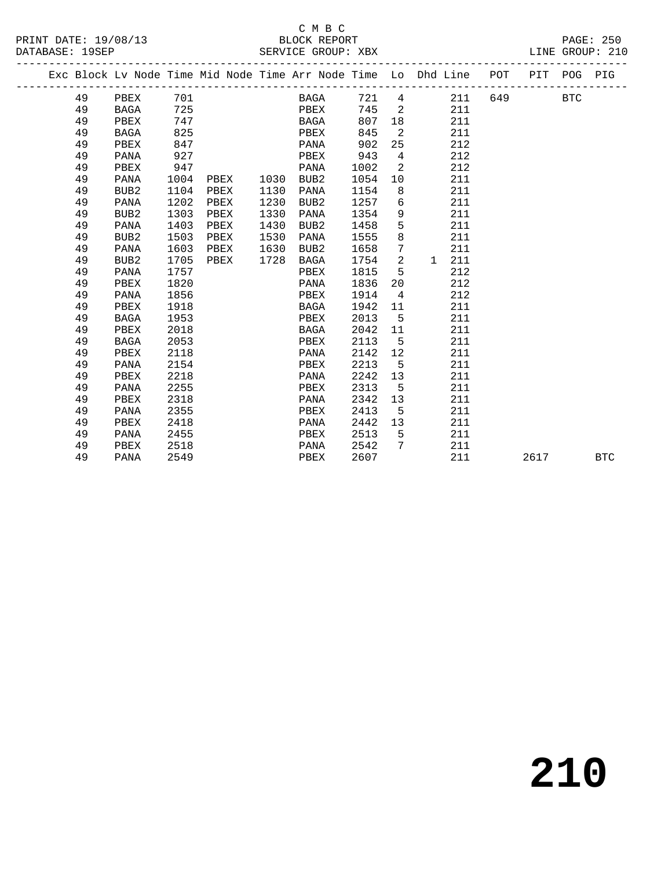|  |    |                  |      |      |      |                  |      |                            | Exc Block Lv Node Time Mid Node Time Arr Node Time Lo Dhd Line POT |     | PIT  | POG        | PIG        |
|--|----|------------------|------|------|------|------------------|------|----------------------------|--------------------------------------------------------------------|-----|------|------------|------------|
|  | 49 | PBEX             | 701  |      |      | BAGA             | 721  | 4                          | 211                                                                | 649 |      | <b>BTC</b> |            |
|  | 49 | BAGA             | 725  |      |      | PBEX             | 745  | $\overline{\phantom{0}}^2$ | 211                                                                |     |      |            |            |
|  | 49 | PBEX             | 747  |      |      | BAGA             | 807  | 18                         | 211                                                                |     |      |            |            |
|  | 49 | BAGA             | 825  |      |      | PBEX             | 845  | $\overline{\phantom{0}}^2$ | 211                                                                |     |      |            |            |
|  | 49 | PBEX             | 847  |      |      | PANA             | 902  | 25                         | 212                                                                |     |      |            |            |
|  | 49 | PANA             | 927  |      |      | PBEX             | 943  | $\overline{4}$             | 212                                                                |     |      |            |            |
|  | 49 | PBEX             | 947  |      |      | PANA             | 1002 | 2                          | 212                                                                |     |      |            |            |
|  | 49 | PANA             | 1004 | PBEX |      | 1030 BUB2        | 1054 | 10                         | 211                                                                |     |      |            |            |
|  | 49 | BUB <sub>2</sub> | 1104 | PBEX | 1130 | PANA             | 1154 | 8                          | 211                                                                |     |      |            |            |
|  | 49 | PANA             | 1202 | PBEX | 1230 | BUB <sub>2</sub> | 1257 | 6                          | 211                                                                |     |      |            |            |
|  | 49 | BUB2             | 1303 | PBEX | 1330 | PANA             | 1354 | 9                          | 211                                                                |     |      |            |            |
|  | 49 | PANA             | 1403 | PBEX | 1430 | BUB2             | 1458 | 5                          | 211                                                                |     |      |            |            |
|  | 49 | BUB <sub>2</sub> | 1503 | PBEX | 1530 | PANA             | 1555 | 8                          | 211                                                                |     |      |            |            |
|  | 49 | PANA             | 1603 | PBEX | 1630 | BUB2             | 1658 | 7                          | 211                                                                |     |      |            |            |
|  | 49 | BUB2             | 1705 | PBEX | 1728 | BAGA             | 1754 | 2                          | 211<br>1                                                           |     |      |            |            |
|  | 49 | PANA             | 1757 |      |      | PBEX             | 1815 | 5                          | 212                                                                |     |      |            |            |
|  | 49 | PBEX             | 1820 |      |      | PANA             | 1836 | 20                         | 212                                                                |     |      |            |            |
|  | 49 | PANA             | 1856 |      |      | PBEX             | 1914 | $\overline{4}$             | 212                                                                |     |      |            |            |
|  | 49 | PBEX             | 1918 |      |      | BAGA             | 1942 | 11                         | 211                                                                |     |      |            |            |
|  | 49 | BAGA             | 1953 |      |      | PBEX             | 2013 | $-5$                       | 211                                                                |     |      |            |            |
|  | 49 | PBEX             | 2018 |      |      | BAGA             | 2042 | 11                         | 211                                                                |     |      |            |            |
|  | 49 | BAGA             | 2053 |      |      | PBEX             | 2113 | 5                          | 211                                                                |     |      |            |            |
|  | 49 | PBEX             | 2118 |      |      | PANA             | 2142 | 12                         | 211                                                                |     |      |            |            |
|  | 49 | PANA             | 2154 |      |      | PBEX             | 2213 | 5                          | 211                                                                |     |      |            |            |
|  | 49 | PBEX             | 2218 |      |      | PANA             | 2242 | 13                         | 211                                                                |     |      |            |            |
|  | 49 | PANA             | 2255 |      |      | PBEX             | 2313 | 5                          | 211                                                                |     |      |            |            |
|  | 49 | PBEX             | 2318 |      |      | PANA             | 2342 | 13                         | 211                                                                |     |      |            |            |
|  | 49 | PANA             | 2355 |      |      | PBEX             | 2413 | 5                          | 211                                                                |     |      |            |            |
|  | 49 | PBEX             | 2418 |      |      | PANA             | 2442 | 13 <sup>°</sup>            | 211                                                                |     |      |            |            |
|  | 49 | PANA             | 2455 |      |      | PBEX             | 2513 | -5                         | 211                                                                |     |      |            |            |
|  | 49 | PBEX             | 2518 |      |      | PANA             | 2542 | 7                          | 211                                                                |     |      |            |            |
|  | 49 | PANA             | 2549 |      |      | PBEX             | 2607 |                            | 211                                                                |     | 2617 |            | <b>BTC</b> |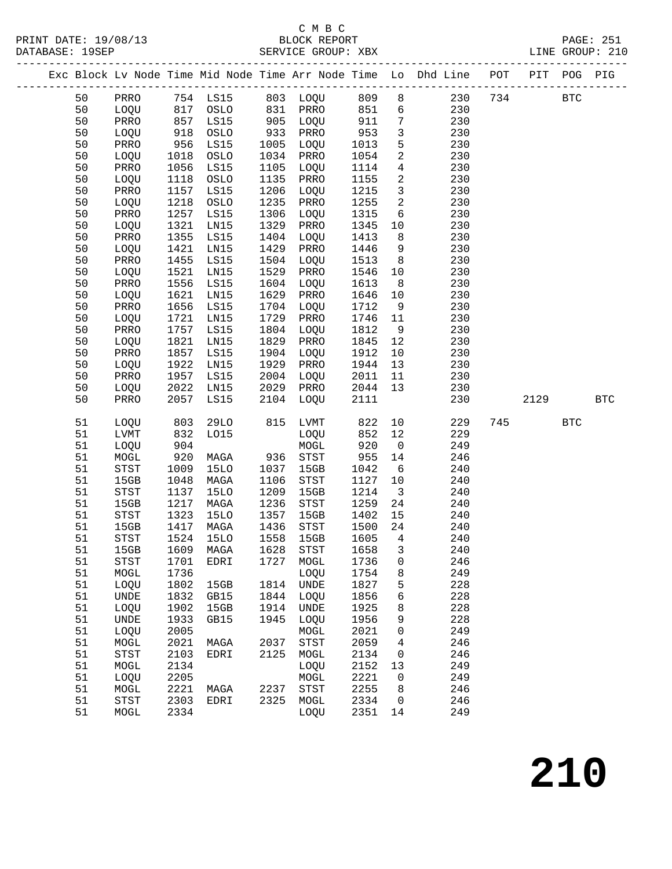PRINT DATE: 19/08/13 BLOCK REPORT PAGE: 251 DATABASE: 19SEP

|  | DATABASE: 19SEP |                              |                                                                                                                                                       |            |                                                                                                    | SERVICE GROUP: XBX |                   |        |                                                                |     |     |     | LINE GROUP: 210 |
|--|-----------------|------------------------------|-------------------------------------------------------------------------------------------------------------------------------------------------------|------------|----------------------------------------------------------------------------------------------------|--------------------|-------------------|--------|----------------------------------------------------------------|-----|-----|-----|-----------------|
|  |                 |                              |                                                                                                                                                       |            |                                                                                                    |                    |                   |        | Exc Block Ly Node Time Mid Node Time Arr Node Time Lo Dhd Line | POT | PIT | POG | PIG             |
|  | 50              | PRRO                         | 754                                                                                                                                                   | LS15       | 803                                                                                                | LOOU               | 809               | 8      | 230                                                            | 734 |     | BTC |                 |
|  | 50              | <b>LOOU</b>                  | 817                                                                                                                                                   | OSLO       | 831                                                                                                | PRRO               | 851               | 6      | 230                                                            |     |     |     |                 |
|  | 50              | PRRO                         | 857                                                                                                                                                   | LS15       | 905                                                                                                | LOOU               | 911               | 7      | 230                                                            |     |     |     |                 |
|  | 50              | <b>LOOU</b>                  | 918                                                                                                                                                   | OSLO       | 933                                                                                                | PRRO               | 953               | 3      | 230                                                            |     |     |     |                 |
|  | 50              | PRRO                         | 956                                                                                                                                                   | LS15       | 1005                                                                                               | LOOU               | 1013              | 5      | 230                                                            |     |     |     |                 |
|  | 50              | <b>LOOU</b>                  | 1018                                                                                                                                                  | OSLO       | 1034                                                                                               | PRRO               | 1054              | 2      | 230                                                            |     |     |     |                 |
|  | 50              | PRRO                         | 1056                                                                                                                                                  | LS15       | 1105                                                                                               | LOOU               | 1114              | 4      | 230                                                            |     |     |     |                 |
|  | 50              | <b>LOOU</b>                  | 1118                                                                                                                                                  | OSLO       | 1135                                                                                               | PRRO               | 1155              | 2      | 230                                                            |     |     |     |                 |
|  | 50              | PRRO                         | 1157                                                                                                                                                  | LS15       | 1206                                                                                               | LOOU               | 1215              | 3      | 230                                                            |     |     |     |                 |
|  | 50              | <b>LOOU</b>                  | 1218                                                                                                                                                  | OSLO       | 1235                                                                                               | PRRO               | 1255              | 2      | 230                                                            |     |     |     |                 |
|  | 50              | PRRO                         | 1257                                                                                                                                                  | LS15       | 1306                                                                                               | LOOU               | 1315              | 6      | 230                                                            |     |     |     |                 |
|  | 50              | <b>LOOU</b>                  | 1321                                                                                                                                                  | LN15       | 1329                                                                                               | PRRO               | 1345              | 10     | 230                                                            |     |     |     |                 |
|  | $\sim$ $\sim$   | <b><u><del>nnn</del></u></b> | $\blacksquare$ $\blacksquare$ $\blacksquare$ $\blacksquare$ $\blacksquare$ $\blacksquare$ $\blacksquare$ $\blacksquare$ $\blacksquare$ $\blacksquare$ | $T \cap T$ | $\begin{array}{c} \n\bullet \quad \bullet \quad \bullet \quad \bullet \quad \bullet \n\end{array}$ | $T \wedge T$       | 1112 <sup>-</sup> | $\sim$ | $\cap$ $\cap$                                                  |     |     |     |                 |

| 50       | PRRO                         | 1157         | LS15        | 1206 | LOQU                         | 1215         | $\mathfrak{Z}$      | 230        |     |      |                      |            |
|----------|------------------------------|--------------|-------------|------|------------------------------|--------------|---------------------|------------|-----|------|----------------------|------------|
| 50       | LOQU                         | 1218         | OSLO        | 1235 | PRRO                         | 1255         | $\sqrt{2}$          | 230        |     |      |                      |            |
| 50       | PRRO                         | 1257         | LS15        | 1306 | LOQU                         | 1315         | $\sqrt{6}$          | 230        |     |      |                      |            |
| 50       | LOQU                         | 1321         | LN15        | 1329 | PRRO                         | 1345         | 10                  | 230        |     |      |                      |            |
| 50       | PRRO                         | 1355         | LS15        | 1404 | LOQU                         | 1413         | $\,8\,$             | 230        |     |      |                      |            |
| 50       | LOQU                         | 1421         | LN15        | 1429 | PRRO                         | 1446         | $\mathsf 9$         | 230        |     |      |                      |            |
| 50       | PRRO                         | 1455         | LS15        | 1504 | LOQU                         | 1513         | $\,8\,$             | 230        |     |      |                      |            |
| 50       | LOQU                         | 1521         | LN15        | 1529 | PRRO                         | 1546         | $10$                | 230        |     |      |                      |            |
| 50       | PRRO                         | 1556         | LS15        | 1604 | LOQU                         | 1613         | 8                   | 230        |     |      |                      |            |
| 50       | LOQU                         | 1621         | LN15        | 1629 | PRRO                         | 1646         | $10$                | 230        |     |      |                      |            |
| 50       | PRRO                         | 1656         | LS15        | 1704 | LOQU                         | 1712         | $\mathsf 9$         | 230        |     |      |                      |            |
| 50       | LOQU                         | 1721         | LN15        | 1729 | PRRO                         | 1746         | 11                  | 230        |     |      |                      |            |
| 50       | PRRO                         | 1757         | LS15        | 1804 | LOQU                         | 1812         | $\mathsf 9$         | 230        |     |      |                      |            |
| 50       | LOQU                         | 1821         | LN15        | 1829 | PRRO                         | 1845         | $12$                | 230        |     |      |                      |            |
| 50       | PRRO                         | 1857         | LS15        | 1904 | LOQU                         | 1912         | $10$                | 230        |     |      |                      |            |
| 50       | LOQU                         | 1922         | LN15        | 1929 | PRRO                         | 1944         | 13                  | 230        |     |      |                      |            |
| 50       | PRRO                         | 1957         | LS15        | 2004 | LOQU                         | 2011         | 11                  | 230        |     |      |                      |            |
| 50       | LOQU                         | 2022         | LN15        | 2029 | PRRO                         | 2044         | 13                  | 230        |     |      |                      |            |
| 50       | PRRO                         | 2057         | LS15        | 2104 | LOQU                         | 2111         |                     | 230        |     | 2129 |                      | <b>BTC</b> |
|          |                              |              |             |      |                              |              |                     |            |     |      |                      |            |
| 51       | LOQU                         | 803          | <b>29LO</b> | 815  | ${\rm LVMT}$                 | 822          | $10$                | 229        | 745 |      | $\operatorname{BTC}$ |            |
| 51       | LVMT                         | 832          | L015        |      | LOQU                         | 852          | $1\,2$              | 229        |     |      |                      |            |
| 51       | LOQU                         | 904          |             |      | MOGL                         | 920          | $\overline{0}$      | 249        |     |      |                      |            |
| 51       | $\tt MOGL$                   | 920          | MAGA        | 936  | STST                         | 955          | 14                  | 246        |     |      |                      |            |
| 51       | $_{\footnotesize\rm STST}$   | 1009         | <b>15LO</b> | 1037 | 15GB                         | 1042         | $\sqrt{6}$          | 240        |     |      |                      |            |
| 51       | 15GB                         | 1048         | MAGA        | 1106 | STST                         | 1127         | 10                  | 240        |     |      |                      |            |
| 51       | <b>STST</b>                  | 1137         | <b>15LO</b> | 1209 | 15GB                         | 1214         | $\mathbf{3}$        | 240        |     |      |                      |            |
| 51       | 15GB                         | 1217         | MAGA        | 1236 | STST                         | 1259         | $2\sqrt{4}$         | 240        |     |      |                      |            |
| $51\,$   | <b>STST</b>                  | 1323         | <b>15LO</b> | 1357 | 15GB                         | 1402         | $15$                | 240        |     |      |                      |            |
| 51       | 15GB                         | 1417         | MAGA        | 1436 | STST                         | 1500         | $2\sqrt{4}$         | 240        |     |      |                      |            |
| 51       | ${\tt STST}$                 | 1524         | <b>15LO</b> | 1558 | 15GB                         | 1605         | $\overline{4}$      | 240        |     |      |                      |            |
| 51       | 15GB                         | 1609         | MAGA        | 1628 | STST                         | 1658         | $\mathbf{3}$        | 240        |     |      |                      |            |
| 51       | STST                         | 1701         | EDRI        | 1727 | MOGL                         | 1736         | $\mathsf{O}\xspace$ | 246        |     |      |                      |            |
| 51       | MOGL                         | 1736         |             |      | LOQU                         | 1754         | $\,8\,$             | 249        |     |      |                      |            |
| $51\,$   | LOQU                         | 1802         | 15GB        | 1814 | UNDE                         | 1827         | 5                   | 228        |     |      |                      |            |
| 51       | <b>UNDE</b>                  | 1832         | GB15        | 1844 | LOQU                         | 1856         | $\epsilon$          | 228        |     |      |                      |            |
| 51       | LOQU                         | 1902         | 15GB        | 1914 | $\ensuremath{\mathsf{UNDE}}$ | 1925         | $\,8\,$             | 228        |     |      |                      |            |
| 51       | $\ensuremath{\mathsf{UNDE}}$ | 1933         | GB15        | 1945 | LOQU                         | 1956         | $\mathsf 9$         | 228        |     |      |                      |            |
| 51       | LOQU                         | 2005         |             |      | $\tt MOGL$                   | 2021         | $\mathsf{O}\xspace$ | 249        |     |      |                      |            |
| 51       | $\tt MOGL$                   | 2021         | MAGA        | 2037 | STST                         | 2059         | $\overline{4}$      | 246        |     |      |                      |            |
| 51       | STST                         | 2103         | EDRI        | 2125 | $\tt MOGL$                   | 2134         | $\mathbf 0$         | 246        |     |      |                      |            |
| 51       |                              | 2134         |             |      |                              | 2152         | 13                  | 249        |     |      |                      |            |
|          | MOGL                         |              |             |      | LOQU                         |              |                     |            |     |      |                      |            |
| 51       | LOQU                         | 2205<br>2221 |             |      | ${\tt MOGL}$<br><b>STST</b>  | 2221<br>2255 | $\mathsf{O}\xspace$ | 249<br>246 |     |      |                      |            |
| 51       | MOGL                         |              | MAGA        | 2237 |                              |              | $\,8\,$             |            |     |      |                      |            |
| 51<br>51 | STST                         | 2303<br>2334 | EDRI        | 2325 | MOGL                         | 2334         | $\mathsf{O}$        | 246<br>249 |     |      |                      |            |
|          | $\tt MOGL$                   |              |             |      | LOQU                         | 2351         | 14                  |            |     |      |                      |            |
|          |                              |              |             |      |                              |              |                     |            |     |      |                      |            |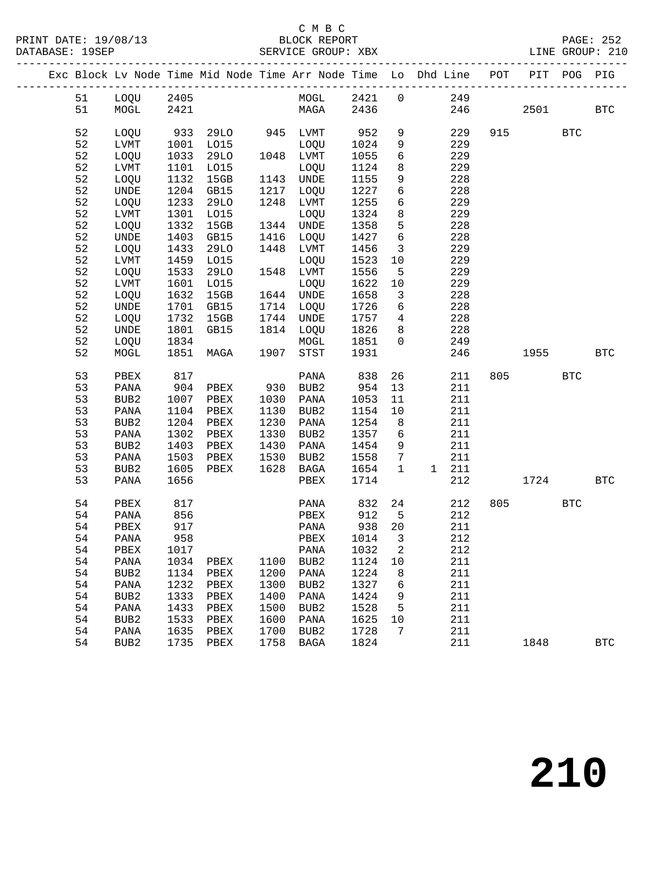| PRINT DATE: 19/08/13 | BLOCK REPORT        | 252<br>PAGE:        |
|----------------------|---------------------|---------------------|
| $P^*$                | $ADNIITAT$ $ADIITD$ | CDOTID : 010        |
| 1000                 | 77777               | $ \tau$ $\pi$ $\pi$ |

## C M B C<br>BLOCK REPOR<br>SEPULLE CROUD:

|  |    |                  | 0 C M B C<br>PRINT DATE: 19/08/13 BLOCK REPORT PAGE: 19SEP<br>DATABASE: 19SEP SERVICE GROUP: XBX LINE GROUP: 210 |                   |      |                  |      |                 |                                                                                |     |           |            |              |
|--|----|------------------|------------------------------------------------------------------------------------------------------------------|-------------------|------|------------------|------|-----------------|--------------------------------------------------------------------------------|-----|-----------|------------|--------------|
|  |    |                  |                                                                                                                  |                   |      |                  |      |                 | Exc Block Lv Node Time Mid Node Time Arr Node Time Lo Dhd Line POT PIT POG PIG |     |           |            |              |
|  | 51 | LOQU 2405        |                                                                                                                  |                   |      |                  |      |                 | MOGL 2421 0 249                                                                |     |           |            |              |
|  | 51 | $MOGL$ 2421      |                                                                                                                  |                   |      | MAGA             | 2436 |                 |                                                                                | 246 | 2501      |            | $_{\rm BTC}$ |
|  | 52 | LOQU             |                                                                                                                  | 933 29LO 945 LVMT |      |                  | 952  | 9               | 229                                                                            |     | 915       | BTC        |              |
|  | 52 | LVMT             |                                                                                                                  | 1001 LO15         |      | LOQU             | 1024 | 9               | 229                                                                            |     |           |            |              |
|  | 52 | LOQU             | 1033                                                                                                             | 29LO              |      | 1048 LVMT        | 1055 | 6               | 229                                                                            |     |           |            |              |
|  | 52 | LVMT             | 1101                                                                                                             | LO15              |      | LOQU             | 1124 | 8               | 229                                                                            |     |           |            |              |
|  | 52 | LOQU             | 1132                                                                                                             | 15GB              | 1143 | UNDE             | 1155 | 9               | 228                                                                            |     |           |            |              |
|  | 52 | <b>UNDE</b>      |                                                                                                                  | 1204 GB15         | 1217 | LOQU             | 1227 | 6               | 228                                                                            |     |           |            |              |
|  | 52 | LOQU             | 1233                                                                                                             | <b>29LO</b>       | 1248 | LVMT             | 1255 | 6               | 229                                                                            |     |           |            |              |
|  | 52 | LVMT             | 1301                                                                                                             | L015              |      | LOQU             | 1324 | 8               | 229                                                                            |     |           |            |              |
|  | 52 | LOQU             | 1332                                                                                                             | 15GB              | 1344 | UNDE             | 1358 | $5\phantom{.0}$ | 228                                                                            |     |           |            |              |
|  | 52 | UNDE             | 1403                                                                                                             | GB15              | 1416 | LOQU             | 1427 | 6               | 228                                                                            |     |           |            |              |
|  | 52 | LOQU             | 1433                                                                                                             | <b>29LO</b>       | 1448 | LVMT             | 1456 | $\overline{3}$  | 229                                                                            |     |           |            |              |
|  | 52 | LVMT             | 1459                                                                                                             | L015              |      | LOQU             | 1523 | 10              | 229                                                                            |     |           |            |              |
|  | 52 | LOQU             | 1533                                                                                                             | <b>29LO</b>       | 1548 | LVMT             | 1556 | 5               | 229                                                                            |     |           |            |              |
|  | 52 | LVMT             | 1601                                                                                                             | LO15              |      | LOQU             | 1622 | 10              | 229                                                                            |     |           |            |              |
|  | 52 | LOQU             | 1632                                                                                                             | 15GB              | 1644 | UNDE             | 1658 | $\overline{3}$  | 228                                                                            |     |           |            |              |
|  | 52 | <b>UNDE</b>      | 1701                                                                                                             | GB15              | 1714 | LOQU             | 1726 | 6               | 228                                                                            |     |           |            |              |
|  | 52 | LOQU             | 1732                                                                                                             | 15GB              | 1744 | UNDE             | 1757 | $4\overline{ }$ | 228                                                                            |     |           |            |              |
|  | 52 | <b>UNDE</b>      | 1801                                                                                                             | GB15              | 1814 | LOQU             | 1826 | 8               | 228                                                                            |     |           |            |              |
|  | 52 | LOQU             | 1834                                                                                                             |                   |      | MOGL             | 1851 | $\overline{0}$  | 249                                                                            |     |           |            |              |
|  | 52 | MOGL             | 1851                                                                                                             | MAGA              | 1907 | STST             | 1931 |                 | 246                                                                            |     | 1955 1990 |            | <b>BTC</b>   |
|  | 53 | PBEX             | 817                                                                                                              |                   |      | PANA             | 838  | 26              | 211                                                                            | 805 |           | <b>BTC</b> |              |
|  | 53 | PANA             | 904                                                                                                              | PBEX              | 930  | BUB2             | 954  | 13              | 211                                                                            |     |           |            |              |
|  | 53 | BUB2             | 1007                                                                                                             | PBEX              | 1030 | PANA             | 1053 | 11              | 211                                                                            |     |           |            |              |
|  | 53 | PANA             | 1104                                                                                                             | PBEX              | 1130 | BUB2             | 1154 | 10              | 211                                                                            |     |           |            |              |
|  | 53 | BUB2             | 1204                                                                                                             | PBEX              | 1230 | PANA             | 1254 | 8               | 211                                                                            |     |           |            |              |
|  | 53 | PANA             | 1302                                                                                                             | PBEX              | 1330 | BUB2             | 1357 | 6               | 211                                                                            |     |           |            |              |
|  | 53 | BUB2             | 1403                                                                                                             | PBEX              | 1430 | PANA             | 1454 | 9               | 211                                                                            |     |           |            |              |
|  | 53 | PANA             | 1503                                                                                                             | PBEX              | 1530 | BUB2             | 1558 | $7\phantom{.0}$ | 211                                                                            |     |           |            |              |
|  | 53 | BUB <sub>2</sub> | 1605                                                                                                             | PBEX              | 1628 | BAGA             | 1654 | $\mathbf{1}$    | 211<br>1                                                                       |     |           |            |              |
|  | 53 | PANA             | 1656                                                                                                             |                   |      | PBEX             | 1714 |                 | 212                                                                            |     | 1724      |            | <b>BTC</b>   |
|  | 54 | PBEX             | 817                                                                                                              |                   |      | PANA             | 832  | 24              | 212                                                                            | 805 |           | <b>BTC</b> |              |
|  | 54 | PANA             | 856                                                                                                              |                   |      | PBEX             | 912  | 5               | 212                                                                            |     |           |            |              |
|  | 54 | ${\tt PBEX}$     | 917                                                                                                              |                   |      | PANA             | 938  | 20              | 211                                                                            |     |           |            |              |
|  | 54 | PANA             | 958                                                                                                              |                   |      | PBEX             | 1014 | 3               | 212                                                                            |     |           |            |              |
|  | 54 | PBEX             | 1017                                                                                                             |                   |      | PANA             | 1032 | 2               | 212                                                                            |     |           |            |              |
|  | 54 | PANA             | 1034                                                                                                             | PBEX              | 1100 | BUB2             | 1124 | 10              | 211                                                                            |     |           |            |              |
|  | 54 | BUB <sub>2</sub> | 1134                                                                                                             | PBEX              | 1200 | PANA             | 1224 | 8               | 211                                                                            |     |           |            |              |
|  | 54 | PANA             | 1232                                                                                                             | PBEX              | 1300 | BUB2             | 1327 | 6               | 211                                                                            |     |           |            |              |
|  | 54 | BUB <sub>2</sub> | 1333                                                                                                             | PBEX              | 1400 | PANA             | 1424 | 9               | 211                                                                            |     |           |            |              |
|  | 54 | PANA             | 1433                                                                                                             | PBEX              | 1500 | BUB2             | 1528 | 5               | 211                                                                            |     |           |            |              |
|  | 54 | BUB <sub>2</sub> | 1533                                                                                                             | PBEX              | 1600 | PANA             | 1625 | 10              | 211                                                                            |     |           |            |              |
|  | 54 | PANA             | 1635                                                                                                             | PBEX              | 1700 | BUB <sub>2</sub> | 1728 | 7               | 211                                                                            |     |           |            |              |
|  | 54 | BUB <sub>2</sub> | 1735                                                                                                             | ${\tt PBEX}$      | 1758 | $_{\rm BAGA}$    | 1824 |                 | 211                                                                            |     | 1848      |            | <b>BTC</b>   |
|  |    |                  |                                                                                                                  |                   |      |                  |      |                 |                                                                                |     |           |            |              |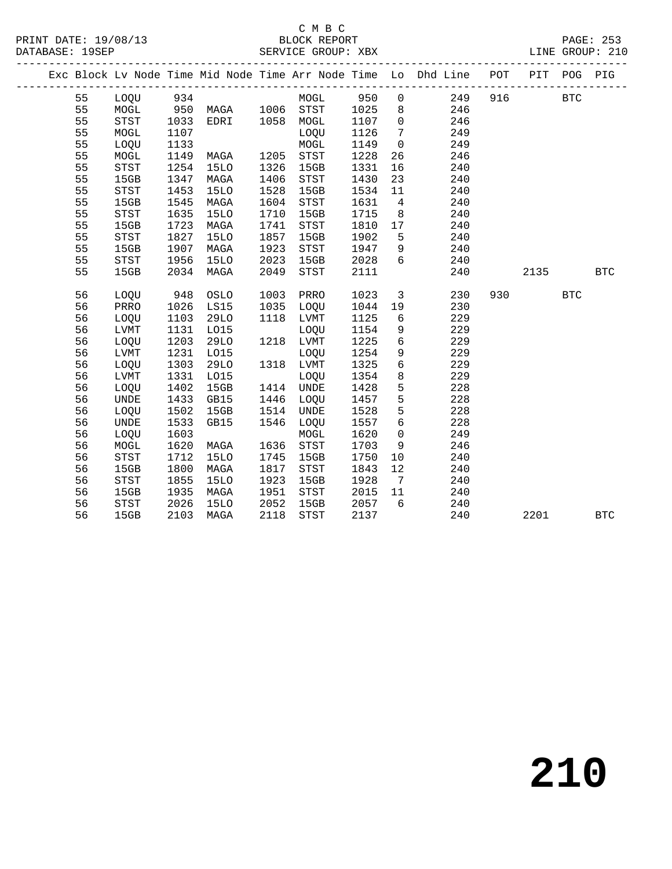# C M B C<br>BLOCK REPORT

|  |    |                                       |      |                |      |             |      |                              | Exc Block Lv Node Time Mid Node Time Arr Node Time Lo Dhd Line POT |     | PIT POG |            | PIG        |
|--|----|---------------------------------------|------|----------------|------|-------------|------|------------------------------|--------------------------------------------------------------------|-----|---------|------------|------------|
|  | 55 | LOQU 934                              |      |                |      | MOGL 950 0  |      |                              | 249                                                                | 916 |         | <b>BTC</b> |            |
|  | 55 | MOGL                                  | 950  | MAGA 1006 STST |      |             | 1025 | 8 <sup>8</sup>               | 246                                                                |     |         |            |            |
|  | 55 | <b>STST</b>                           | 1033 | EDRI           | 1058 | MOGL        | 1107 | $\overline{0}$               | 246                                                                |     |         |            |            |
|  | 55 | MOGL                                  | 1107 |                |      | LOQU        | 1126 | $7\phantom{.0}$              | 249                                                                |     |         |            |            |
|  | 55 | LOQU                                  | 1133 |                |      | MOGL        | 1149 | $\overline{0}$               | 249                                                                |     |         |            |            |
|  | 55 | MOGL                                  | 1149 | MAGA           | 1205 | STST        | 1228 | 26                           | 246                                                                |     |         |            |            |
|  | 55 | STST                                  | 1254 | 15LO           | 1326 | 15GB        | 1331 | 16                           | 240                                                                |     |         |            |            |
|  | 55 | 15GB                                  | 1347 | MAGA           | 1406 | STST        | 1430 | 23                           | 240                                                                |     |         |            |            |
|  | 55 | <b>STST</b>                           | 1453 | <b>15LO</b>    | 1528 | 15GB        | 1534 | 11                           | 240                                                                |     |         |            |            |
|  | 55 | 15GB                                  | 1545 | MAGA           | 1604 | STST        | 1631 | $\overline{4}$               | 240                                                                |     |         |            |            |
|  | 55 | <b>STST</b>                           | 1635 | <b>15LO</b>    | 1710 | 15GB        | 1715 | 8                            | 240                                                                |     |         |            |            |
|  | 55 | 15GB                                  | 1723 | MAGA           | 1741 | STST        | 1810 | 17                           | 240                                                                |     |         |            |            |
|  | 55 | $_{\footnotesize{\textnormal{STST}}}$ | 1827 | <b>15LO</b>    | 1857 | 15GB        | 1902 | 5                            | 240                                                                |     |         |            |            |
|  | 55 | 15GB                                  | 1907 | MAGA           | 1923 | STST        | 1947 | 9                            | 240                                                                |     |         |            |            |
|  | 55 | STST                                  | 1956 | <b>15LO</b>    | 2023 | 15GB        | 2028 | 6                            | 240                                                                |     |         |            |            |
|  | 55 | 15GB                                  | 2034 | MAGA           | 2049 | STST        | 2111 |                              | 240                                                                |     | 2135    |            | <b>BTC</b> |
|  |    |                                       |      |                |      |             |      |                              |                                                                    |     |         |            |            |
|  | 56 | LOQU                                  | 948  | OSLO           | 1003 | PRRO        | 1023 | $\mathbf{3}$                 | 230                                                                | 930 |         | <b>BTC</b> |            |
|  | 56 | PRRO                                  | 1026 | LS15           | 1035 | LOQU        | 1044 | 19                           | 230                                                                |     |         |            |            |
|  | 56 | LOQU                                  | 1103 | 29LO           | 1118 | LVMT        | 1125 | 6                            | 229                                                                |     |         |            |            |
|  | 56 | <b>LVMT</b>                           | 1131 | L015           |      | LOQU        | 1154 | 9                            | 229                                                                |     |         |            |            |
|  | 56 | LOQU                                  | 1203 | <b>29LO</b>    | 1218 | LVMT        | 1225 | 6                            | 229                                                                |     |         |            |            |
|  | 56 | LVMT                                  | 1231 | L015           |      | LOQU        | 1254 | 9                            | 229                                                                |     |         |            |            |
|  | 56 | LOQU                                  | 1303 | <b>29LO</b>    | 1318 | LVMT        | 1325 | $6\overline{6}$              | 229                                                                |     |         |            |            |
|  | 56 | LVMT                                  | 1331 | L015           |      | LOQU        | 1354 | 8                            | 229                                                                |     |         |            |            |
|  | 56 | LOQU                                  | 1402 | 15GB           | 1414 | <b>UNDE</b> | 1428 | 5                            | 228                                                                |     |         |            |            |
|  | 56 | UNDE                                  | 1433 | GB15           | 1446 | LOQU        | 1457 | 5                            | 228                                                                |     |         |            |            |
|  | 56 | LOQU                                  | 1502 | 15GB           | 1514 | <b>UNDE</b> | 1528 | 5                            | 228                                                                |     |         |            |            |
|  | 56 | <b>UNDE</b>                           | 1533 | GB15           | 1546 | LOQU        | 1557 | 6                            | 228                                                                |     |         |            |            |
|  | 56 | LOQU                                  | 1603 |                |      | MOGL        | 1620 | $\overline{0}$               | 249                                                                |     |         |            |            |
|  | 56 | MOGL                                  | 1620 | MAGA           | 1636 | STST        | 1703 | 9                            | 246                                                                |     |         |            |            |
|  | 56 | $_{\footnotesize{\textnormal{STST}}}$ | 1712 | <b>15LO</b>    | 1745 | 15GB        | 1750 | 10                           | 240                                                                |     |         |            |            |
|  | 56 | 15GB                                  | 1800 | MAGA           | 1817 | STST        | 1843 | 12                           | 240                                                                |     |         |            |            |
|  | 56 | <b>STST</b>                           | 1855 | <b>15LO</b>    | 1923 | 15GB        | 1928 | $7\phantom{.0}\phantom{.0}7$ | 240                                                                |     |         |            |            |
|  | 56 | 15GB                                  | 1935 | MAGA           | 1951 | STST        | 2015 | 11                           | 240                                                                |     |         |            |            |
|  | 56 | STST                                  | 2026 | 15LO           | 2052 | 15GB        | 2057 | - 6                          | 240                                                                |     |         |            |            |
|  | 56 | 15GB                                  | 2103 | MAGA           | 2118 | <b>STST</b> | 2137 |                              | 240                                                                |     | 2201    |            | <b>BTC</b> |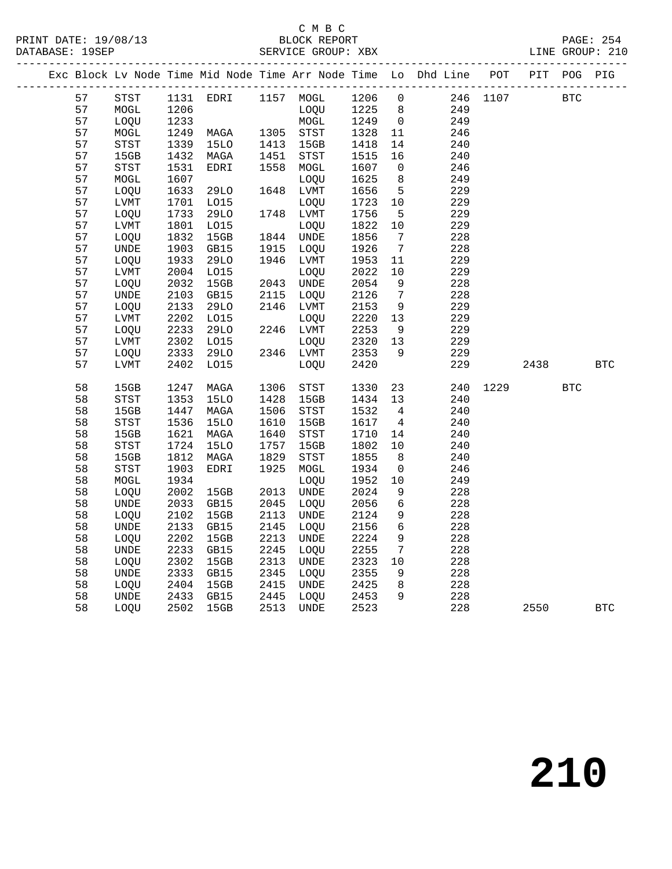## C M B C<br>BLOCK REPORT

DATABASE: 19SEP SERVICE GROUP: XBX LINE GROUP: 210

|  |    |                              |      |             |      |                              |        |                 | Exc Block Lv Node Time Mid Node Time Arr Node Time Lo Dhd Line POT |          | PIT  | POG        | PIG        |
|--|----|------------------------------|------|-------------|------|------------------------------|--------|-----------------|--------------------------------------------------------------------|----------|------|------------|------------|
|  | 57 | <b>STST</b>                  |      |             |      | 1131 EDRI 1157 MOGL 1206 0   |        |                 |                                                                    | 246 1107 |      | BTC        |            |
|  | 57 | MOGL                         | 1206 |             |      | LOQU                         | 1225 8 |                 | 249                                                                |          |      |            |            |
|  | 57 | LOQU                         | 1233 |             |      | MOGL                         | 1249   | $\overline{0}$  | 249                                                                |          |      |            |            |
|  | 57 | $\tt MOGL$                   | 1249 | MAGA        | 1305 | STST                         | 1328   | 11              | 246                                                                |          |      |            |            |
|  | 57 | ${\tt STST}$                 | 1339 | <b>15LO</b> | 1413 | 15GB                         | 1418   | 14              | 240                                                                |          |      |            |            |
|  | 57 | 15GB                         | 1432 | MAGA        | 1451 | STST                         | 1515   | 16              | 240                                                                |          |      |            |            |
|  | 57 | STST                         | 1531 | EDRI        | 1558 | $\tt MOGL$                   | 1607   | $\overline{0}$  | 246                                                                |          |      |            |            |
|  | 57 | $\tt MOGL$                   | 1607 |             |      | LOQU                         | 1625   | 8               | 249                                                                |          |      |            |            |
|  | 57 | LOQU                         | 1633 | 29LO        | 1648 | LVMT                         | 1656   | 5               | 229                                                                |          |      |            |            |
|  | 57 | LVMT                         | 1701 | L015        |      | LOQU                         | 1723   | 10              | 229                                                                |          |      |            |            |
|  | 57 | LOQU                         | 1733 | <b>29LO</b> |      | 1748 LVMT                    | 1756   | $5\overline{)}$ | 229                                                                |          |      |            |            |
|  | 57 | LVMT                         | 1801 | L015        |      | LOQU                         | 1822   | 10              | 229                                                                |          |      |            |            |
|  | 57 | LOQU                         | 1832 | 15GB        | 1844 | UNDE                         | 1856   | $7\overline{ }$ | 228                                                                |          |      |            |            |
|  | 57 | UNDE                         | 1903 | GB15        | 1915 | LOQU                         | 1926   | $\overline{7}$  | 228                                                                |          |      |            |            |
|  | 57 | LOOU                         | 1933 | 29LO        | 1946 | LVMT                         | 1953   | 11              | 229                                                                |          |      |            |            |
|  | 57 | LVMT                         | 2004 | L015        |      | LOQU                         | 2022   | 10              | 229                                                                |          |      |            |            |
|  | 57 | LOQU                         | 2032 | 15GB        | 2043 | UNDE                         | 2054   | 9               | 228                                                                |          |      |            |            |
|  | 57 | $\ensuremath{\mathsf{UNDE}}$ | 2103 | GB15        | 2115 | LOQU                         | 2126   | $7\overline{ }$ | 228                                                                |          |      |            |            |
|  | 57 | LOQU                         | 2133 | <b>29LO</b> | 2146 | LVMT                         | 2153   | 9               | 229                                                                |          |      |            |            |
|  | 57 | ${\rm LVMT}$                 | 2202 | L015        |      | LOQU                         | 2220   | 13              | 229                                                                |          |      |            |            |
|  | 57 | LOQU                         | 2233 | <b>29LO</b> | 2246 | LVMT                         | 2253   | 9               | 229                                                                |          |      |            |            |
|  | 57 | LVMT                         | 2302 | L015        |      | LOQU                         | 2320   | 13              | 229                                                                |          |      |            |            |
|  | 57 | LOQU                         | 2333 | <b>29LO</b> |      | 2346 LVMT                    | 2353   | 9               | 229                                                                |          |      |            |            |
|  | 57 | LVMT                         | 2402 | L015        |      | LOQU                         | 2420   |                 | 229                                                                |          | 2438 |            | <b>BTC</b> |
|  |    |                              |      |             |      |                              |        |                 |                                                                    |          |      |            |            |
|  | 58 | 15GB                         | 1247 | MAGA        | 1306 | STST                         | 1330   | 23              | 240                                                                | 1229     |      | <b>BTC</b> |            |
|  | 58 | STST                         | 1353 | <b>15LO</b> | 1428 | 15GB                         | 1434   | 13              | 240                                                                |          |      |            |            |
|  | 58 | 15GB                         | 1447 | MAGA        | 1506 | STST                         | 1532   | $\overline{4}$  | 240                                                                |          |      |            |            |
|  | 58 | ${\tt STST}$                 | 1536 | <b>15LO</b> | 1610 | 15GB                         | 1617   | $\overline{4}$  | 240                                                                |          |      |            |            |
|  | 58 | 15GB                         | 1621 | MAGA        | 1640 | STST                         | 1710   | 14              | 240                                                                |          |      |            |            |
|  | 58 | STST                         | 1724 | <b>15LO</b> | 1757 | 15GB                         | 1802   | 10              | 240                                                                |          |      |            |            |
|  | 58 | 15GB                         | 1812 | MAGA        | 1829 | STST                         | 1855   | 8 <sup>8</sup>  | 240                                                                |          |      |            |            |
|  | 58 | ${\tt STST}$                 | 1903 | EDRI        | 1925 | MOGL                         | 1934   | $\overline{0}$  | 246                                                                |          |      |            |            |
|  | 58 | MOGL                         | 1934 |             |      | LOQU                         | 1952   | 10              | 249                                                                |          |      |            |            |
|  | 58 | LOQU                         | 2002 | 15GB        | 2013 | UNDE                         | 2024   | 9               | 228                                                                |          |      |            |            |
|  | 58 | <b>UNDE</b>                  | 2033 | GB15        | 2045 | LOQU                         | 2056   | $6\overline{6}$ | 228                                                                |          |      |            |            |
|  | 58 | LOQU                         | 2102 | 15GB        | 2113 | <b>UNDE</b>                  | 2124   | 9               | 228                                                                |          |      |            |            |
|  | 58 | UNDE                         | 2133 | GB15        | 2145 | LOQU                         | 2156   | 6               | 228                                                                |          |      |            |            |
|  | 58 | LOQU                         | 2202 | 15GB        | 2213 | UNDE                         | 2224   | 9               | 228                                                                |          |      |            |            |
|  | 58 | <b>UNDE</b>                  | 2233 | GB15        | 2245 | LOQU                         | 2255   | $7\overline{ }$ | 228                                                                |          |      |            |            |
|  | 58 | LOQU                         | 2302 | 15GB        | 2313 | $\ensuremath{\mathsf{UNDE}}$ | 2323   | 10              | 228                                                                |          |      |            |            |
|  | 58 | UNDE                         | 2333 | GB15        | 2345 | LOQU                         | 2355   | 9               | 228                                                                |          |      |            |            |
|  | 58 | LOQU                         | 2404 | 15GB        | 2415 | <b>UNDE</b>                  | 2425   | 8               | 228                                                                |          |      |            |            |
|  | 58 | <b>UNDE</b>                  | 2433 | GB15        | 2445 | LOQU                         | 2453   | 9               | 228                                                                |          |      |            |            |

58 LOQU 2502 15GB 2513 UNDE 2523 228 2550 BTC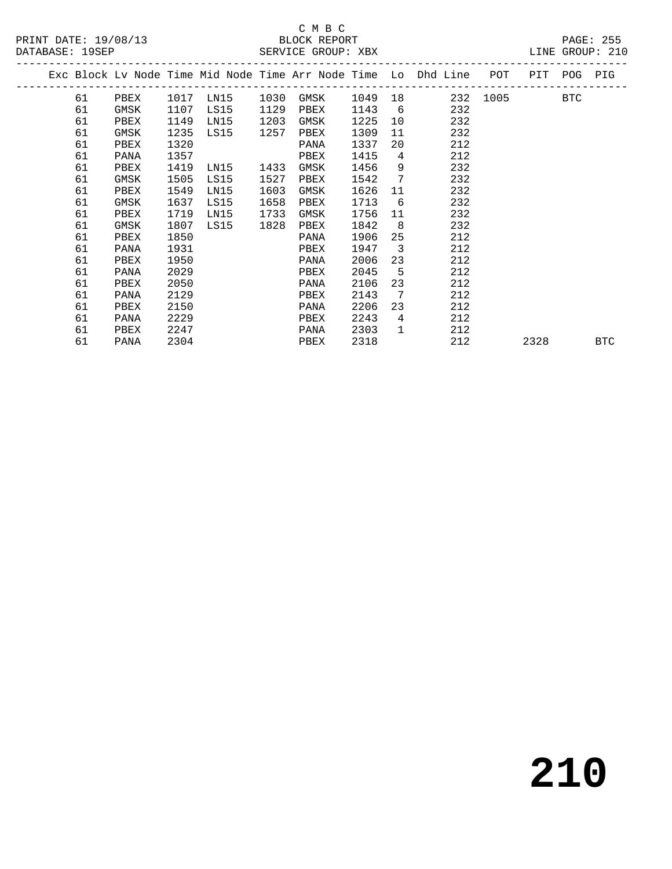### C M B C<br>BLOCK REPORT SERVICE GROUP: XBX

|  |    |           |      |      |      |      |         |                         | Exc Block Lv Node Time Mid Node Time Arr Node Time Lo Dhd Line POT PIT POG PIG |          |            |            |  |
|--|----|-----------|------|------|------|------|---------|-------------------------|--------------------------------------------------------------------------------|----------|------------|------------|--|
|  | 61 | PBEX 1017 |      | LN15 | 1030 | GMSK | 1049 18 |                         |                                                                                | 232 1005 | <b>BTC</b> |            |  |
|  | 61 | GMSK      | 1107 | LS15 | 1129 | PBEX | 1143    | 6                       | 232                                                                            |          |            |            |  |
|  | 61 | PBEX      | 1149 | LN15 | 1203 | GMSK | 1225    | 10                      | 232                                                                            |          |            |            |  |
|  | 61 | GMSK      | 1235 | LS15 | 1257 | PBEX | 1309    | 11                      | 232                                                                            |          |            |            |  |
|  | 61 | PBEX      | 1320 |      |      | PANA | 1337    | 20                      | 212                                                                            |          |            |            |  |
|  | 61 | PANA      | 1357 |      |      | PBEX | 1415    | 4                       | 212                                                                            |          |            |            |  |
|  | 61 | PBEX      | 1419 | LN15 | 1433 | GMSK | 1456    | 9                       | 232                                                                            |          |            |            |  |
|  | 61 | GMSK      | 1505 | LS15 | 1527 | PBEX | 1542    | 7                       | 232                                                                            |          |            |            |  |
|  | 61 | PBEX      | 1549 | LN15 | 1603 | GMSK | 1626    | 11                      | 232                                                                            |          |            |            |  |
|  | 61 | GMSK      | 1637 | LS15 | 1658 | PBEX | 1713    | 6                       | 232                                                                            |          |            |            |  |
|  | 61 | PBEX      | 1719 | LN15 | 1733 | GMSK | 1756    | 11                      | 232                                                                            |          |            |            |  |
|  | 61 | GMSK      | 1807 | LS15 | 1828 | PBEX | 1842    | 8 <sup>8</sup>          | 232                                                                            |          |            |            |  |
|  | 61 | PBEX      | 1850 |      |      | PANA | 1906    | 25                      | 212                                                                            |          |            |            |  |
|  | 61 | PANA      | 1931 |      |      | PBEX | 1947    | $\overline{\mathbf{3}}$ | 212                                                                            |          |            |            |  |
|  | 61 | PBEX      | 1950 |      |      | PANA | 2006    | 23                      | 212                                                                            |          |            |            |  |
|  | 61 | PANA      | 2029 |      |      | PBEX | 2045    | $5^{\circ}$             | 212                                                                            |          |            |            |  |
|  | 61 | PBEX      | 2050 |      |      | PANA | 2106    | 23                      | 212                                                                            |          |            |            |  |
|  | 61 | PANA      | 2129 |      |      | PBEX | 2143    | $\overline{7}$          | 212                                                                            |          |            |            |  |
|  | 61 | PBEX      | 2150 |      |      | PANA | 2206    | 23                      | 212                                                                            |          |            |            |  |
|  | 61 | PANA      | 2229 |      |      | PBEX | 2243    | $\overline{4}$          | 212                                                                            |          |            |            |  |
|  | 61 | PBEX      | 2247 |      |      | PANA | 2303    | 1                       | 212                                                                            |          |            |            |  |
|  | 61 | PANA      | 2304 |      |      | PBEX | 2318    |                         | 212                                                                            |          | 2328       | <b>BTC</b> |  |
|  |    |           |      |      |      |      |         |                         |                                                                                |          |            |            |  |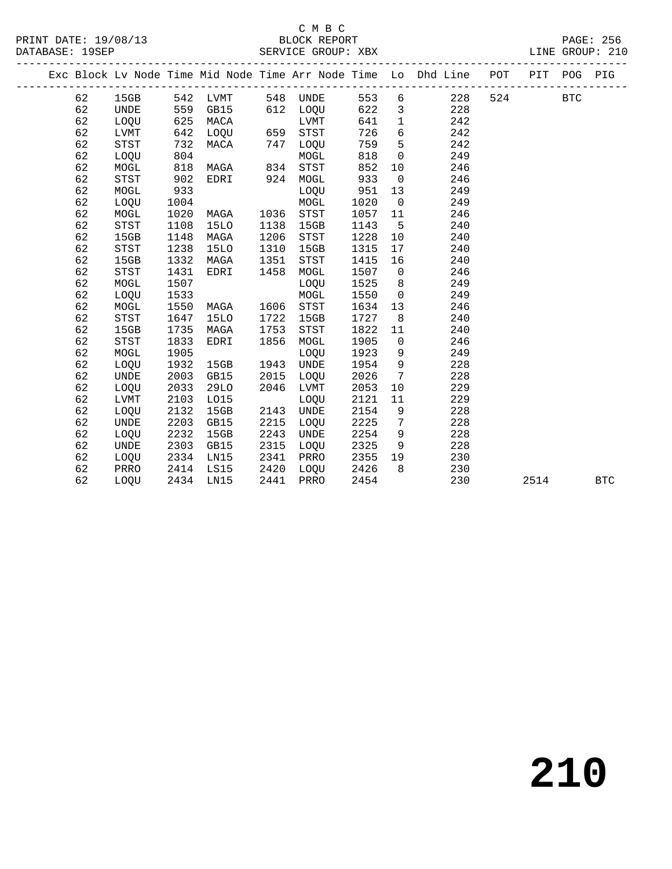## C M B C<br>BLOCK REPORT

|  |    |                                       |      |               |      |                        |      |                         | Exc Block Lv Node Time Mid Node Time Arr Node Time Lo Dhd Line POT PIT |     |            | POG PIG |            |
|--|----|---------------------------------------|------|---------------|------|------------------------|------|-------------------------|------------------------------------------------------------------------|-----|------------|---------|------------|
|  | 62 |                                       |      |               |      | 15GB 542 LVMT 548 UNDE |      |                         | 553 6 228                                                              | 524 | <b>BTC</b> |         |            |
|  | 62 | UNDE                                  | 559  | GB15          |      | 612 LOQU               | 622  | $\overline{\mathbf{3}}$ | 228                                                                    |     |            |         |            |
|  | 62 | LOQU                                  | 625  | MACA          |      | LVMT                   | 641  | $\mathbf{1}$            | 242                                                                    |     |            |         |            |
|  | 62 | LVMT                                  | 642  | LOQU          |      | 659 STST               | 726  | $6\overline{6}$         | 242                                                                    |     |            |         |            |
|  | 62 | $_{\footnotesize{\textnormal{STST}}}$ | 732  | MACA          |      | 747 LOQU               | 759  | $5^{\circ}$             | 242                                                                    |     |            |         |            |
|  | 62 | LOQU                                  | 804  |               |      | MOGL                   | 818  | $\overline{\mathbf{0}}$ | 249                                                                    |     |            |         |            |
|  | 62 | MOGL                                  | 818  | MAGA 834 STST |      |                        | 852  | 10                      | 246                                                                    |     |            |         |            |
|  | 62 | STST                                  | 902  | EDRI          |      | 924 MOGL               | 933  | $\overline{0}$          | 246                                                                    |     |            |         |            |
|  | 62 | MOGL                                  | 933  |               |      | LOQU                   | 951  | 13                      | 249                                                                    |     |            |         |            |
|  | 62 | LOQU                                  | 1004 |               |      | MOGL                   | 1020 | $\overline{0}$          | 249                                                                    |     |            |         |            |
|  | 62 | MOGL                                  | 1020 | MAGA          | 1036 | STST                   | 1057 | 11                      | 246                                                                    |     |            |         |            |
|  | 62 | STST                                  | 1108 | 15LO          | 1138 | 15GB                   | 1143 | 5                       | 240                                                                    |     |            |         |            |
|  | 62 | 15GB                                  | 1148 | MAGA          | 1206 | STST                   | 1228 | 10                      | 240                                                                    |     |            |         |            |
|  | 62 | <b>STST</b>                           | 1238 | 15LO          | 1310 | 15GB                   | 1315 | 17                      | 240                                                                    |     |            |         |            |
|  | 62 | 15GB                                  | 1332 | MAGA          | 1351 | STST                   | 1415 | 16                      | 240                                                                    |     |            |         |            |
|  | 62 | STST                                  | 1431 | EDRI          | 1458 | MOGL                   | 1507 | $\overline{0}$          | 246                                                                    |     |            |         |            |
|  | 62 | MOGL                                  | 1507 |               |      | LOQU                   | 1525 | 8 <sup>8</sup>          | 249                                                                    |     |            |         |            |
|  | 62 | LOQU                                  | 1533 |               |      | MOGL                   | 1550 | $\overline{0}$          | 249                                                                    |     |            |         |            |
|  | 62 | MOGL                                  | 1550 | MAGA          | 1606 | STST                   | 1634 | 13                      | 246                                                                    |     |            |         |            |
|  | 62 | STST                                  | 1647 | 15LO          | 1722 | 15GB                   | 1727 | 8 <sup>8</sup>          | 240                                                                    |     |            |         |            |
|  | 62 | 15GB                                  | 1735 | MAGA          | 1753 | STST                   | 1822 | 11                      | 240                                                                    |     |            |         |            |
|  | 62 | STST                                  | 1833 | EDRI          | 1856 | MOGL                   | 1905 | $\overline{0}$          | 246                                                                    |     |            |         |            |
|  | 62 | MOGL                                  | 1905 |               |      | LOQU                   | 1923 | 9                       | 249                                                                    |     |            |         |            |
|  | 62 | LOQU                                  | 1932 | 15GB          | 1943 | UNDE                   | 1954 | 9                       | 228                                                                    |     |            |         |            |
|  | 62 | UNDE                                  | 2003 | GB15          | 2015 | LOQU                   | 2026 | $\overline{7}$          | 228                                                                    |     |            |         |            |
|  | 62 | LOQU                                  | 2033 | 29LO          | 2046 | LVMT                   | 2053 | 10                      | 229                                                                    |     |            |         |            |
|  | 62 | LVMT                                  | 2103 | L015          |      | LOQU                   | 2121 | 11                      | 229                                                                    |     |            |         |            |
|  | 62 | LOQU                                  | 2132 | 15GB          | 2143 | UNDE                   | 2154 | 9                       | 228                                                                    |     |            |         |            |
|  | 62 | UNDE                                  | 2203 | GB15          | 2215 | LOQU                   | 2225 | $\overline{7}$          | 228                                                                    |     |            |         |            |
|  | 62 | LOQU                                  | 2232 | 15GB          | 2243 | UNDE                   | 2254 | 9                       | 228                                                                    |     |            |         |            |
|  | 62 | UNDE                                  | 2303 | GB15          | 2315 | LOQU                   | 2325 | 9                       | 228                                                                    |     |            |         |            |
|  | 62 | LOQU                                  | 2334 | LN15          | 2341 | PRRO                   | 2355 | 19                      | 230                                                                    |     |            |         |            |
|  | 62 | PRRO                                  | 2414 | LS15          | 2420 | LOQU                   | 2426 | 8 <sup>8</sup>          | 230                                                                    |     |            |         |            |
|  | 62 | LOOU                                  | 2434 | LN15          | 2441 | PRRO                   | 2454 |                         | 230                                                                    |     | 2514       |         | <b>BTC</b> |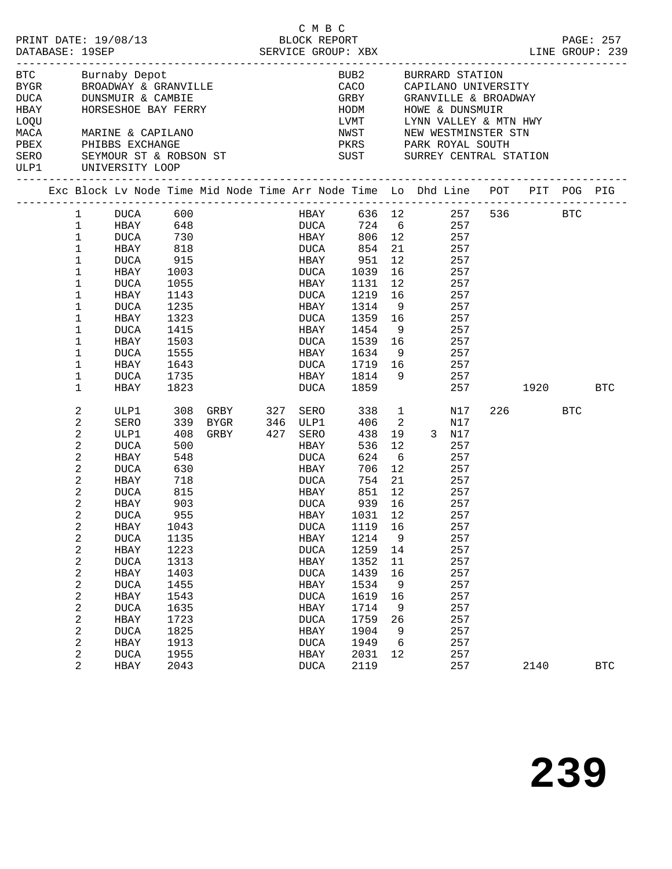|             |                  |                                          |      | PRINT DATE: 19/08/13<br>DATABASE: 19SEP<br>SERVICE GROUP: XBX                  |          |             | C M B C     |                           |                 |             |            |                                                                                                | LINE GROUP: 239 | PAGE: 257  |
|-------------|------------------|------------------------------------------|------|--------------------------------------------------------------------------------|----------|-------------|-------------|---------------------------|-----------------|-------------|------------|------------------------------------------------------------------------------------------------|-----------------|------------|
| <b>BTC</b>  |                  | Burnaby Depot                            |      |                                                                                |          |             |             | BUB2 BURRARD STATION      |                 |             |            |                                                                                                |                 |            |
|             |                  |                                          |      |                                                                                |          |             |             |                           |                 |             |            |                                                                                                |                 |            |
|             |                  |                                          |      | BYGR BROADWAY & GRANVILLE<br>DUCA DUNSMUIR & CAMBIE                            |          |             |             |                           |                 |             |            | CACO      CAPILANO UNIVERSITY<br>GRBY        GRANVILLE & BROADWAY                              |                 |            |
| <b>HBAY</b> |                  |                                          |      | HORSESHOE BAY FERRY                                                            |          |             |             | HODM HOWE & DUNSMUIR      |                 |             |            |                                                                                                |                 |            |
| LOQU        |                  |                                          |      |                                                                                |          |             |             |                           |                 |             |            |                                                                                                |                 |            |
| MACA        |                  | MARINE & CAPILANO                        |      |                                                                                |          |             |             |                           |                 |             |            |                                                                                                |                 |            |
| PBEX        |                  | PHIBBS EXCHANGE                          |      |                                                                                |          |             |             |                           |                 |             |            | LVMT      LYNN VALLEY & MTN HWY<br>NWST      NEW WESTMINSTER STN<br>PKRS      PARK ROYAL SOUTH |                 |            |
| SERO        |                  |                                          |      | SEYMOUR ST & ROBSON ST SUST SURREY CENTRAL STATION                             |          |             |             |                           |                 |             |            |                                                                                                |                 |            |
| ULP1        |                  | UNIVERSITY LOOP<br>_____________________ |      |                                                                                |          |             |             |                           |                 |             |            |                                                                                                |                 |            |
|             |                  |                                          |      | Exc Block Lv Node Time Mid Node Time Arr Node Time Lo Dhd Line POT PIT POG PIG |          |             |             |                           |                 |             |            |                                                                                                |                 |            |
|             | $\mathbf{1}$     | DUCA 600                                 |      |                                                                                |          |             | HBAY        |                           |                 |             | 636 12 257 |                                                                                                | 536 BTC         |            |
|             | $\mathbf{1}$     |                                          |      |                                                                                |          |             |             |                           |                 |             | 257        |                                                                                                |                 |            |
|             | $\mathbf{1}$     |                                          |      |                                                                                |          |             |             | DUCA 724 6<br>HBAY 806 12 |                 |             | 257        |                                                                                                |                 |            |
|             | $\mathbf{1}$     | HBAY 818                                 |      |                                                                                |          |             |             | DUCA 854                  |                 | 21 257      |            |                                                                                                |                 |            |
|             | $\mathbf 1$      | DUCA 915                                 |      |                                                                                |          |             |             | HBAY 951                  |                 | 12 257      |            |                                                                                                |                 |            |
|             | $\mathbf 1$      | HBAY 1003                                |      |                                                                                |          |             | DUCA        | 1039                      | 16              |             | 257        |                                                                                                |                 |            |
|             | $\mathbf 1$      | DUCA                                     | 1055 |                                                                                |          | HBAY        |             | 1131                      | 12              |             | 257        |                                                                                                |                 |            |
|             | $\mathbf 1$      | HBAY                                     | 1143 |                                                                                |          |             | <b>DUCA</b> | 1219                      |                 | 16 16       | 257        |                                                                                                |                 |            |
|             | $\mathbf 1$      | DUCA                                     | 1235 |                                                                                |          | HBAY        |             | 1314 9                    |                 | 257         |            |                                                                                                |                 |            |
|             | $\mathbf 1$      | HBAY                                     | 1323 |                                                                                |          | DUCA        |             | 1359 16                   |                 | 257         |            |                                                                                                |                 |            |
|             | $\mathbf 1$      | DUCA                                     | 1415 |                                                                                |          | HBAY        |             | 1454 9                    |                 |             | 257        |                                                                                                |                 |            |
|             | $\mathbf 1$      | HBAY                                     | 1503 |                                                                                |          | DUCA        |             | 1539 16                   |                 |             | 257        |                                                                                                |                 |            |
|             | 1                | DUCA                                     | 1555 |                                                                                |          |             | HBAY        | 1634 9 257                |                 |             |            |                                                                                                |                 |            |
|             | 1                | HBAY                                     | 1643 |                                                                                |          | DUCA        |             | 1719 16 257               |                 |             |            |                                                                                                |                 |            |
|             | $\mathbf 1$      | DUCA                                     | 1735 |                                                                                |          | HBAY        |             | 1814 9                    |                 |             | 257        |                                                                                                |                 |            |
|             | $\mathbf{1}$     | HBAY                                     | 1823 |                                                                                |          | DUCA        |             | 1859                      |                 |             | 257        |                                                                                                | 1920 BTC        |            |
|             | 2                | ULP1                                     | 308  | GRBY                                                                           | 327 SERO |             |             | 338                       |                 | $\mathbf 1$ | N17        |                                                                                                | 226 BTC         |            |
|             | $\sqrt{2}$       | SERO                                     | 339  |                                                                                |          |             |             | 406 2                     |                 |             | N17        |                                                                                                |                 |            |
|             | $\boldsymbol{2}$ | ULP1                                     | 408  |                                                                                |          |             |             | 438                       |                 | 19 3 N17    |            |                                                                                                |                 |            |
|             | $\sqrt{2}$       | DUCA                                     | 500  |                                                                                |          |             | <b>HBAY</b> | 536                       | 12              |             | 257        |                                                                                                |                 |            |
|             | 2                | HBAY                                     | 548  |                                                                                |          |             | DUCA        | 624                       | 6               |             | 257        |                                                                                                |                 |            |
|             | $\sqrt{2}$       | DUCA                                     | 630  |                                                                                |          | HBAY        |             | 706                       | 12              |             | 257        |                                                                                                |                 |            |
|             | $\boldsymbol{2}$ | HBAY                                     | 718  |                                                                                |          | DUCA        |             | 754                       | 21              |             | 257        |                                                                                                |                 |            |
|             | 2                | DUCA                                     | 815  |                                                                                |          |             | <b>HBAY</b> | 851                       | 12 <sup>°</sup> | 257         |            |                                                                                                |                 |            |
|             | 2                | HBAY                                     | 903  |                                                                                |          | DUCA        |             | 939                       | 16              |             | 257        |                                                                                                |                 |            |
|             | 2                | <b>DUCA</b>                              | 955  |                                                                                |          | <b>HBAY</b> |             | 1031 12                   |                 |             | 257        |                                                                                                |                 |            |
|             | 2                | HBAY                                     | 1043 |                                                                                |          | <b>DUCA</b> |             | 1119                      | 16              |             | 257        |                                                                                                |                 |            |
|             | $\boldsymbol{2}$ | <b>DUCA</b>                              | 1135 |                                                                                |          | HBAY        |             | 1214                      | 9               |             | 257        |                                                                                                |                 |            |
|             | 2                | HBAY                                     | 1223 |                                                                                |          | <b>DUCA</b> |             | 1259                      | 14              |             | 257        |                                                                                                |                 |            |
|             | $\boldsymbol{2}$ | <b>DUCA</b>                              | 1313 |                                                                                |          | HBAY        |             | 1352                      | 11              |             | 257        |                                                                                                |                 |            |
|             | $\sqrt{2}$       | HBAY                                     | 1403 |                                                                                |          | <b>DUCA</b> |             | 1439                      | 16              |             | 257        |                                                                                                |                 |            |
|             | $\boldsymbol{2}$ | <b>DUCA</b>                              | 1455 |                                                                                |          | HBAY        |             | 1534                      | 9               |             | 257        |                                                                                                |                 |            |
|             | $\boldsymbol{2}$ | HBAY                                     | 1543 |                                                                                |          | <b>DUCA</b> |             | 1619                      | 16              |             | 257        |                                                                                                |                 |            |
|             | $\boldsymbol{2}$ | <b>DUCA</b>                              | 1635 |                                                                                |          | HBAY        |             | 1714                      | 9               |             | 257        |                                                                                                |                 |            |
|             | $\sqrt{2}$       | HBAY                                     | 1723 |                                                                                |          | <b>DUCA</b> |             | 1759                      | 26              |             | 257        |                                                                                                |                 |            |
|             | 2                | <b>DUCA</b>                              | 1825 |                                                                                |          | HBAY        |             | 1904                      | 9               |             | 257        |                                                                                                |                 |            |
|             | $\sqrt{2}$       | HBAY                                     | 1913 |                                                                                |          | <b>DUCA</b> |             | 1949                      | 6               |             | 257        |                                                                                                |                 |            |
|             | 2                | <b>DUCA</b>                              | 1955 |                                                                                |          | HBAY        |             | 2031                      | 12              |             | 257        |                                                                                                |                 |            |
|             | 2                | HBAY                                     | 2043 |                                                                                |          | <b>DUCA</b> |             | 2119                      |                 |             | 257        |                                                                                                | 2140            | <b>BTC</b> |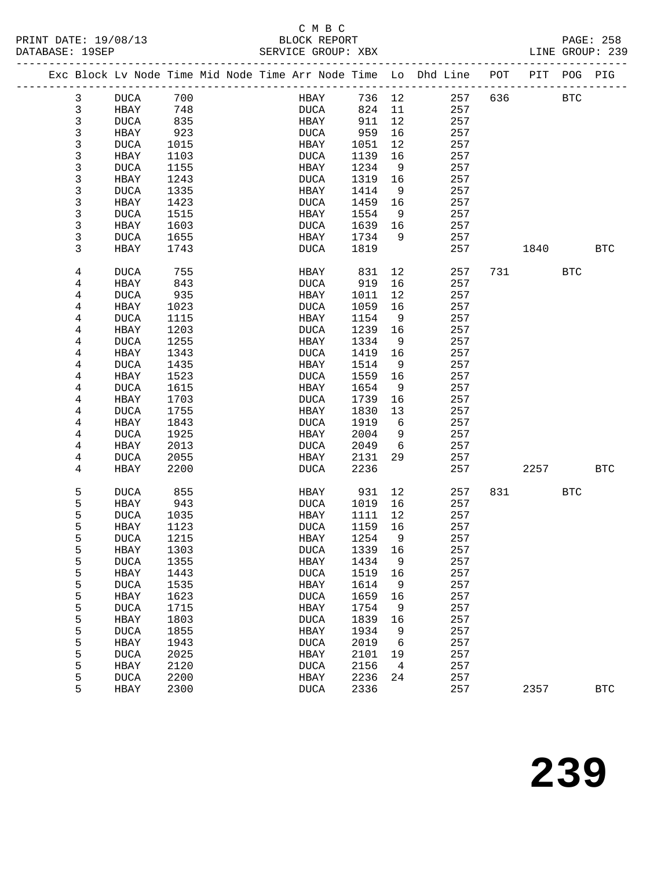# C M B C

|  | DATABASE: 19SEP         |             |      |  | SERVICE GROUP: XBX |         |                | LINE GROUP: 239                                                                |     |          |            |            |
|--|-------------------------|-------------|------|--|--------------------|---------|----------------|--------------------------------------------------------------------------------|-----|----------|------------|------------|
|  |                         |             |      |  |                    |         |                | Exc Block Lv Node Time Mid Node Time Arr Node Time Lo Dhd Line POT PIT POG PIG |     |          |            |            |
|  | 3                       | DUCA 700    |      |  | HBAY 736 12        |         |                | 257                                                                            |     | 636 BTC  |            |            |
|  | $\mathbf{3}$            | HBAY 748    |      |  | <b>DUCA</b>        | 824 11  |                | 257                                                                            |     |          |            |            |
|  | $\mathsf{3}$            | DUCA        | 835  |  | HBAY               | 911     | 12             | 257                                                                            |     |          |            |            |
|  | $\mathsf 3$             | HBAY        | 923  |  | DUCA               | 959     | 16             | 257                                                                            |     |          |            |            |
|  | $\mathsf 3$             | DUCA        | 1015 |  | HBAY               | 1051    | 12             | 257                                                                            |     |          |            |            |
|  | $\mathsf 3$             | HBAY        | 1103 |  | DUCA               | 1139    | 16             | 257                                                                            |     |          |            |            |
|  | $\mathsf{3}$            | DUCA        | 1155 |  | HBAY               | 1234    | 9              | 257                                                                            |     |          |            |            |
|  | $\mathsf 3$             | HBAY        | 1243 |  | DUCA               | 1319 16 |                | 257                                                                            |     |          |            |            |
|  | 3                       | <b>DUCA</b> | 1335 |  | HBAY               | 1414    | $\overline{9}$ | 257                                                                            |     |          |            |            |
|  | $\mathsf 3$             | HBAY        | 1423 |  | DUCA               | 1459 16 |                | 257                                                                            |     |          |            |            |
|  | 3                       | DUCA        | 1515 |  | HBAY               | 1554    | 9              | 257                                                                            |     |          |            |            |
|  | $\mathsf 3$             | HBAY        | 1603 |  | DUCA               | 1639 16 |                | 257                                                                            |     |          |            |            |
|  | 3                       | DUCA        | 1655 |  | HBAY               | 1734    | 9              | 257                                                                            |     |          |            |            |
|  | 3                       | HBAY        | 1743 |  | DUCA               | 1819    |                | 257                                                                            |     | 1840 BTC |            |            |
|  | 4                       | DUCA        | 755  |  | HBAY               | 831     | 12             | 257                                                                            |     | 731 BTC  |            |            |
|  | 4                       | HBAY        | 843  |  | DUCA               | 919     | 16             | 257                                                                            |     |          |            |            |
|  | 4                       | DUCA        | 935  |  | HBAY               | 1011    | 12             | 257                                                                            |     |          |            |            |
|  | 4                       | HBAY        | 1023 |  | DUCA               | 1059    | 16             | 257                                                                            |     |          |            |            |
|  | 4                       | DUCA        | 1115 |  | HBAY               | 1154    | 9              | 257                                                                            |     |          |            |            |
|  | $\bf 4$                 | HBAY        | 1203 |  | DUCA               | 1239    | 16             | 257                                                                            |     |          |            |            |
|  | 4                       | DUCA        | 1255 |  | HBAY               | 1334    | 9              | 257                                                                            |     |          |            |            |
|  | 4                       | HBAY        | 1343 |  | <b>DUCA</b>        | 1419    | 16             | 257                                                                            |     |          |            |            |
|  | 4                       | DUCA        | 1435 |  | HBAY               | 1514    | 9              | 257                                                                            |     |          |            |            |
|  | 4                       | HBAY        | 1523 |  | DUCA               | 1559    | 16             | 257                                                                            |     |          |            |            |
|  | 4                       | DUCA        | 1615 |  | HBAY               | 1654    | 9              | 257                                                                            |     |          |            |            |
|  | 4                       | HBAY        | 1703 |  | <b>DUCA</b>        | 1739    | 16             | 257                                                                            |     |          |            |            |
|  | 4                       | DUCA        | 1755 |  | HBAY               | 1830    | 13             | 257                                                                            |     |          |            |            |
|  | 4                       | HBAY        | 1843 |  | DUCA               | 1919    | 6              | 257                                                                            |     |          |            |            |
|  | $\overline{\mathbf{4}}$ | DUCA        | 1925 |  | HBAY               | 2004    | 9              | 257                                                                            |     |          |            |            |
|  | 4                       | HBAY        | 2013 |  | DUCA               | 2049    | 6              | 257                                                                            |     |          |            |            |
|  | 4                       | DUCA        | 2055 |  | HBAY               | 2131    | 29             | 257                                                                            |     |          |            |            |
|  | 4                       | HBAY        | 2200 |  | DUCA               | 2236    |                | 257                                                                            |     | 2257 BTC |            |            |
|  | 5                       | DUCA        | 855  |  | HBAY               | 931     | 12             | 257                                                                            | 831 |          | <b>BTC</b> |            |
|  | 5                       | HBAY        | 943  |  | DUCA               | 1019    | 16             | 257                                                                            |     |          |            |            |
|  | 5                       | <b>DUCA</b> | 1035 |  | HBAY               | 1111    | 12             | 257                                                                            |     |          |            |            |
|  | 5                       | HBAY        | 1123 |  | <b>DUCA</b>        | 1159    | 16             | 257                                                                            |     |          |            |            |
|  | 5                       | DUCA 1215   |      |  | HBAY 1254 9        |         |                | 257                                                                            |     |          |            |            |
|  | 5                       | HBAY        | 1303 |  | DUCA               | 1339    | 16             | 257                                                                            |     |          |            |            |
|  | 5                       | <b>DUCA</b> | 1355 |  | HBAY               | 1434    | 9              | 257                                                                            |     |          |            |            |
|  | 5                       | HBAY        | 1443 |  | <b>DUCA</b>        | 1519    | 16             | 257                                                                            |     |          |            |            |
|  | 5                       | <b>DUCA</b> | 1535 |  | HBAY               | 1614    | 9              | 257                                                                            |     |          |            |            |
|  | 5                       | HBAY        | 1623 |  | <b>DUCA</b>        | 1659    | 16             | 257                                                                            |     |          |            |            |
|  | 5                       | <b>DUCA</b> | 1715 |  | HBAY               | 1754    | 9              | 257                                                                            |     |          |            |            |
|  | 5                       | HBAY        | 1803 |  | <b>DUCA</b>        | 1839    | 16             | 257                                                                            |     |          |            |            |
|  | 5                       | <b>DUCA</b> | 1855 |  | HBAY               | 1934    | 9              | 257                                                                            |     |          |            |            |
|  | 5                       | HBAY        | 1943 |  | <b>DUCA</b>        | 2019    | - 6            | 257                                                                            |     |          |            |            |
|  | 5                       | <b>DUCA</b> | 2025 |  | HBAY               | 2101    | 19             | 257                                                                            |     |          |            |            |
|  | 5                       | HBAY        | 2120 |  | <b>DUCA</b>        | 2156    | $\overline{4}$ | 257                                                                            |     |          |            |            |
|  | 5                       | <b>DUCA</b> | 2200 |  | HBAY               | 2236    | 24             | 257                                                                            |     |          |            |            |
|  | 5                       | HBAY        | 2300 |  | <b>DUCA</b>        | 2336    |                | 257                                                                            |     | 2357     |            | <b>BTC</b> |
|  |                         |             |      |  |                    |         |                |                                                                                |     |          |            |            |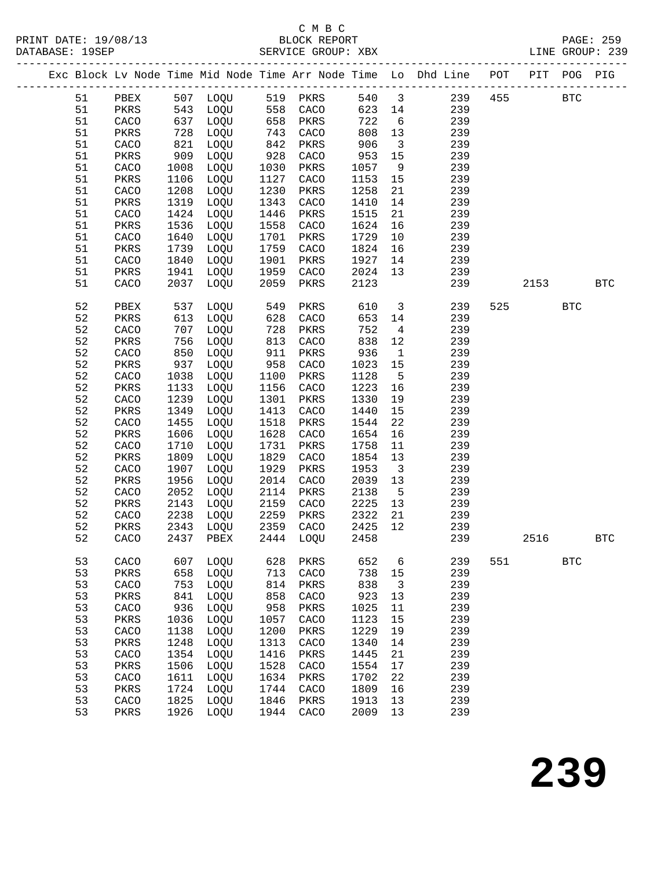# C M B C

|    |      |      |           |              |                               |         |                         | Exc Block Lv Node Time Mid Node Time Arr Node Time Lo Dhd Line POT PIT POG PIG |     |             |            |            |
|----|------|------|-----------|--------------|-------------------------------|---------|-------------------------|--------------------------------------------------------------------------------|-----|-------------|------------|------------|
| 51 |      |      |           |              | PBEX 507 LOQU 519 PKRS        |         |                         | 540 3                                                                          |     | 239 455 BTC |            |            |
| 51 |      |      |           |              | PKRS 543 LOQU 558 CACO        |         |                         | 623 14<br>239                                                                  |     |             |            |            |
| 51 | CACO |      | 637 LOQU  |              | 658 PKRS                      | 722     | $6\overline{6}$         | 239                                                                            |     |             |            |            |
| 51 | PKRS |      | 728 LOQU  | 743<br>842   | CACO                          | 808 13  |                         | 239                                                                            |     |             |            |            |
| 51 | CACO | 821  | LOQU      |              | PKRS                          | 906     | $\overline{\mathbf{3}}$ | 239                                                                            |     |             |            |            |
| 51 | PKRS | 909  | LOQU      | 928          | CACO                          | 953     | 15                      | 239                                                                            |     |             |            |            |
| 51 | CACO | 1008 | LOQU      | 1030         | PKRS                          | 1057    | 9                       | 239                                                                            |     |             |            |            |
| 51 | PKRS | 1106 | LOQU      | 1127         | CACO                          | 1153 15 |                         | 239                                                                            |     |             |            |            |
| 51 | CACO | 1208 | LOQU      | 1230         | PKRS                          | 1258    | 21                      | 239                                                                            |     |             |            |            |
| 51 | PKRS | 1319 | LOQU      | 1343         | CACO                          | 1410    | 14                      | 239                                                                            |     |             |            |            |
| 51 | CACO | 1424 | LOQU      | 1446         | PKRS                          | 1515    | 21                      | 239                                                                            |     |             |            |            |
| 51 | PKRS | 1536 | LOQU      | 1558         | CACO                          | 1624    | 16                      | 239                                                                            |     |             |            |            |
| 51 | CACO | 1640 | LOQU      | 1701         | PKRS                          | 1729    | 10                      | 239                                                                            |     |             |            |            |
| 51 | PKRS | 1739 | LOQU      | 1759         | CACO                          | 1824    | 16                      | 239                                                                            |     |             |            |            |
| 51 | CACO | 1840 | LOQU      | 1901         | PKRS                          | 1927    | 14                      | 239                                                                            |     |             |            |            |
| 51 | PKRS | 1941 | LOQU      | 1959         | CACO                          | 2024    | 13                      | 239                                                                            |     |             |            |            |
| 51 | CACO |      | 2037 LOQU | 2059         | PKRS                          | 2123    |                         | 239                                                                            |     | 2153        |            | <b>BTC</b> |
| 52 | PBEX | 537  | LOQU      | 549          | PKRS                          | 610     | $\overline{\mathbf{3}}$ | 239                                                                            | 525 |             | <b>BTC</b> |            |
| 52 | PKRS | 613  | LOQU      | 628          | CACO                          | 653     | 14                      | 239                                                                            |     |             |            |            |
| 52 | CACO | 707  | LOQU      | 728          | PKRS                          | 752     | $4\overline{4}$         | 239                                                                            |     |             |            |            |
| 52 | PKRS | 756  | LOQU      | 813          | CACO                          | 838     | 12                      | 239                                                                            |     |             |            |            |
| 52 | CACO | 850  | LOQU      | 911          | PKRS                          | 936     | $\overline{1}$          | 239                                                                            |     |             |            |            |
| 52 | PKRS | 937  | LOQU      | 958          | CACO                          | 1023    | 15                      | 239                                                                            |     |             |            |            |
| 52 | CACO | 1038 | LOQU      | 1100         | PKRS                          | 1128    | $-5$                    | 239                                                                            |     |             |            |            |
| 52 | PKRS | 1133 | LOQU      | 1156         | CACO                          | 1223    | 16                      | 239                                                                            |     |             |            |            |
| 52 | CACO | 1239 | LOQU      | 1301         | PKRS                          | 1330    | 19                      | 239                                                                            |     |             |            |            |
| 52 | PKRS | 1349 | LOQU      | 1413         | CACO                          | 1440    | 15                      | 239                                                                            |     |             |            |            |
| 52 | CACO | 1455 | LOQU      | 1518         | PKRS                          | 1544    | 22                      | 239                                                                            |     |             |            |            |
| 52 | PKRS | 1606 | LOQU      | 1628         | CACO                          | 1654    | 16                      | 239                                                                            |     |             |            |            |
| 52 | CACO | 1710 | LOQU      | 1731         | PKRS                          | 1758    | 11                      | 239                                                                            |     |             |            |            |
| 52 | PKRS | 1809 | LOQU      | 1829         | CACO                          | 1854    | 13                      | 239                                                                            |     |             |            |            |
| 52 | CACO | 1907 | LOQU      | 1929         | PKRS                          | 1953    | $\overline{\mathbf{3}}$ | 239                                                                            |     |             |            |            |
| 52 | PKRS | 1956 | LOQU      | 2014         | CACO                          | 2039    | 13                      | 239                                                                            |     |             |            |            |
| 52 | CACO | 2052 | LOQU      | 2114         | PKRS                          | 2138    | $5^{\circ}$             | 239                                                                            |     |             |            |            |
| 52 | PKRS | 2143 | LOQU      | 2159         | CACO                          | 2225    | 13                      | 239                                                                            |     |             |            |            |
| 52 | CACO | 2238 | LOQU      | 2259<br>2359 | PKRS                          | 2322    | 21                      | 239                                                                            |     |             |            |            |
| 52 | PKRS |      | 2343 LOQU |              | CACO                          | 2425    | 12                      | 239                                                                            |     |             |            |            |
| 52 |      |      |           |              | CACO 2437 PBEX 2444 LOQU 2458 |         |                         | 239                                                                            |     | 2516        |            | <b>BTC</b> |
| 53 | CACO | 607  | LOQU      | 628          | PKRS                          | 652     | 6                       | 239                                                                            | 551 |             | <b>BTC</b> |            |
| 53 | PKRS | 658  | LOQU      | 713          | CACO                          | 738     | 15                      | 239                                                                            |     |             |            |            |
| 53 | CACO | 753  | LOQU      | 814          | PKRS                          | 838     | $\mathbf{3}$            | 239                                                                            |     |             |            |            |
| 53 | PKRS | 841  | LOQU      | 858          | CACO                          | 923     | 13                      | 239                                                                            |     |             |            |            |
| 53 | CACO | 936  | LOQU      | 958          | PKRS                          | 1025    | 11                      | 239                                                                            |     |             |            |            |
| 53 | PKRS | 1036 | LOQU      | 1057         | CACO                          | 1123    | 15                      | 239                                                                            |     |             |            |            |
| 53 | CACO | 1138 | LOQU      | 1200         | PKRS                          | 1229    | 19                      | 239                                                                            |     |             |            |            |
| 53 | PKRS | 1248 | LOQU      | 1313         | CACO                          | 1340    | 14                      | 239                                                                            |     |             |            |            |
| 53 | CACO | 1354 | LOQU      | 1416         | PKRS                          | 1445    | 21                      | 239                                                                            |     |             |            |            |
| 53 | PKRS | 1506 | LOQU      | 1528         | CACO                          | 1554    | 17                      | 239                                                                            |     |             |            |            |
| 53 | CACO | 1611 | LOQU      | 1634         | PKRS                          | 1702    | 22                      | 239                                                                            |     |             |            |            |
| 53 | PKRS | 1724 | LOQU      | 1744         | CACO                          | 1809    | 16                      | 239                                                                            |     |             |            |            |
| 53 | CACO | 1825 | LOQU      | 1846         | PKRS                          | 1913    | 13                      | 239                                                                            |     |             |            |            |
| 53 | PKRS | 1926 | LOQU      | 1944         | CACO                          | 2009    | 13                      | 239                                                                            |     |             |            |            |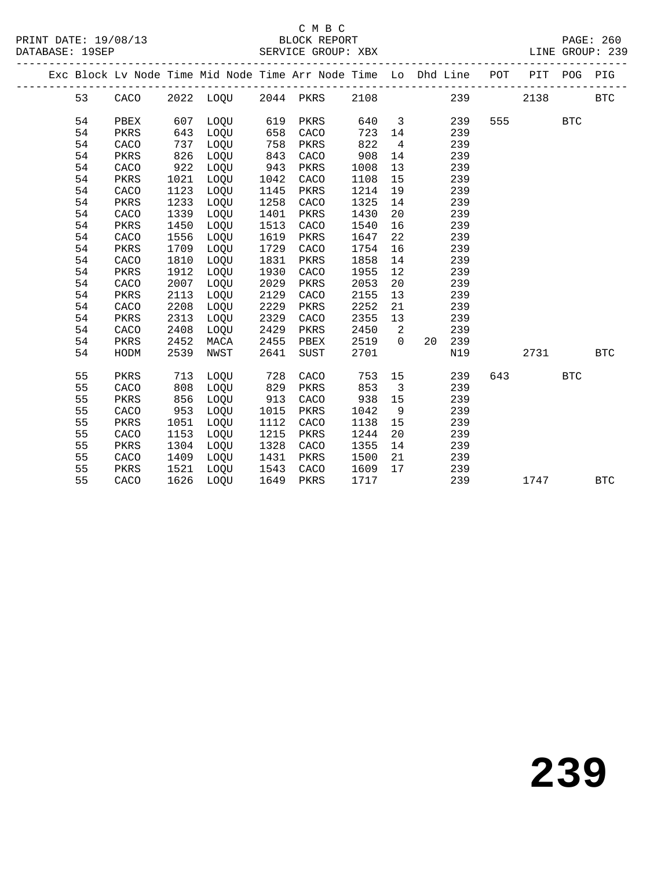# C M B C<br>BLOCK REPORT

|  |    |      |      |          |      |                               |        |                         | Exc Block Lv Node Time Mid Node Time Arr Node Time Lo Dhd Line POT PIT POG PIG |     |                 |            |            |
|--|----|------|------|----------|------|-------------------------------|--------|-------------------------|--------------------------------------------------------------------------------|-----|-----------------|------------|------------|
|  | 53 |      |      |          |      | CACO 2022 LOQU 2044 PKRS 2108 |        |                         |                                                                                | 239 | 2138            |            | <b>BTC</b> |
|  | 54 | PBEX | 607  | LOQU 619 |      | PKRS                          |        |                         | 640 3<br>239                                                                   |     | 555 BTC         |            |            |
|  | 54 | PKRS | 643  | LOQU     | 658  | CACO                          | 723 14 |                         | 239                                                                            |     |                 |            |            |
|  | 54 | CACO | 737  | LOQU     | 758  | PKRS                          | 822    | $\overline{4}$          | 239                                                                            |     |                 |            |            |
|  | 54 | PKRS | 826  | LOQU     | 843  | CACO                          | 908    | 14                      | 239                                                                            |     |                 |            |            |
|  | 54 | CACO | 922  | LOQU     | 943  | PKRS                          | 1008   | 13                      | 239                                                                            |     |                 |            |            |
|  | 54 | PKRS | 1021 | LOQU     | 1042 | CACO                          | 1108   | 15                      | 239                                                                            |     |                 |            |            |
|  | 54 | CACO | 1123 | LOQU     | 1145 | PKRS                          | 1214   | 19                      | 239                                                                            |     |                 |            |            |
|  | 54 | PKRS | 1233 | LOQU     | 1258 | CACO                          | 1325   | 14                      | 239                                                                            |     |                 |            |            |
|  | 54 | CACO | 1339 | LOQU     | 1401 | PKRS                          | 1430   | 20                      | 239                                                                            |     |                 |            |            |
|  | 54 | PKRS | 1450 | LOQU     | 1513 | CACO                          | 1540   | 16                      | 239                                                                            |     |                 |            |            |
|  | 54 | CACO | 1556 | LOQU     | 1619 | PKRS                          | 1647   | 22                      | 239                                                                            |     |                 |            |            |
|  | 54 | PKRS | 1709 | LOQU     | 1729 | CACO                          | 1754   | 16                      | 239                                                                            |     |                 |            |            |
|  | 54 | CACO | 1810 | LOQU     | 1831 | PKRS                          | 1858   | 14                      | 239                                                                            |     |                 |            |            |
|  | 54 | PKRS | 1912 | LOQU     | 1930 | CACO                          | 1955   | 12                      | 239                                                                            |     |                 |            |            |
|  | 54 | CACO | 2007 | LOQU     | 2029 | PKRS                          | 2053   | 20                      | 239                                                                            |     |                 |            |            |
|  | 54 | PKRS | 2113 | LOQU     | 2129 | CACO                          | 2155   | 13                      | 239                                                                            |     |                 |            |            |
|  | 54 | CACO | 2208 | LOQU     | 2229 | PKRS                          | 2252   | 21                      | 239                                                                            |     |                 |            |            |
|  | 54 | PKRS | 2313 | LOQU     | 2329 | CACO                          | 2355   | 13                      | 239                                                                            |     |                 |            |            |
|  | 54 | CACO | 2408 | LOQU     | 2429 | PKRS                          | 2450   | $\overline{2}$          | 239                                                                            |     |                 |            |            |
|  | 54 | PKRS | 2452 | MACA     | 2455 | PBEX                          | 2519   | $\bigcap$               | 20 239                                                                         |     |                 |            |            |
|  | 54 | HODM | 2539 | NWST     | 2641 | SUST                          | 2701   |                         | N19                                                                            |     | 2731            | <b>BTC</b> |            |
|  | 55 | PKRS | 713  | LOQU     | 728  | CACO                          | 753    | 15                      | 239                                                                            | 643 | <b>EXECUTE:</b> |            |            |
|  | 55 | CACO | 808  | LOQU     | 829  | PKRS                          | 853    | $\overline{\mathbf{3}}$ | 239                                                                            |     |                 |            |            |
|  | 55 | PKRS | 856  | LOQU     | 913  | CACO                          | 938    | 15                      | 239                                                                            |     |                 |            |            |
|  | 55 | CACO | 953  | LOQU     | 1015 | PKRS                          | 1042   | 9                       | 239                                                                            |     |                 |            |            |
|  | 55 | PKRS | 1051 | LOQU     | 1112 | CACO                          | 1138   | 15                      | 239                                                                            |     |                 |            |            |
|  | 55 | CACO | 1153 | LOQU     | 1215 | PKRS                          | 1244   | 20                      | 239                                                                            |     |                 |            |            |
|  | 55 | PKRS | 1304 | LOQU     | 1328 | CACO                          | 1355   | 14                      | 239                                                                            |     |                 |            |            |
|  | 55 | CACO | 1409 | LOQU     | 1431 | PKRS                          | 1500   | 21                      | 239                                                                            |     |                 |            |            |
|  | 55 | PKRS | 1521 | LOQU     | 1543 | CACO                          | 1609   | 17                      | 239                                                                            |     |                 |            |            |
|  | 55 | CACO | 1626 | LOQU     | 1649 | PKRS                          | 1717   |                         | 239                                                                            |     | 1747            |            | <b>BTC</b> |
|  |    |      |      |          |      |                               |        |                         |                                                                                |     |                 |            |            |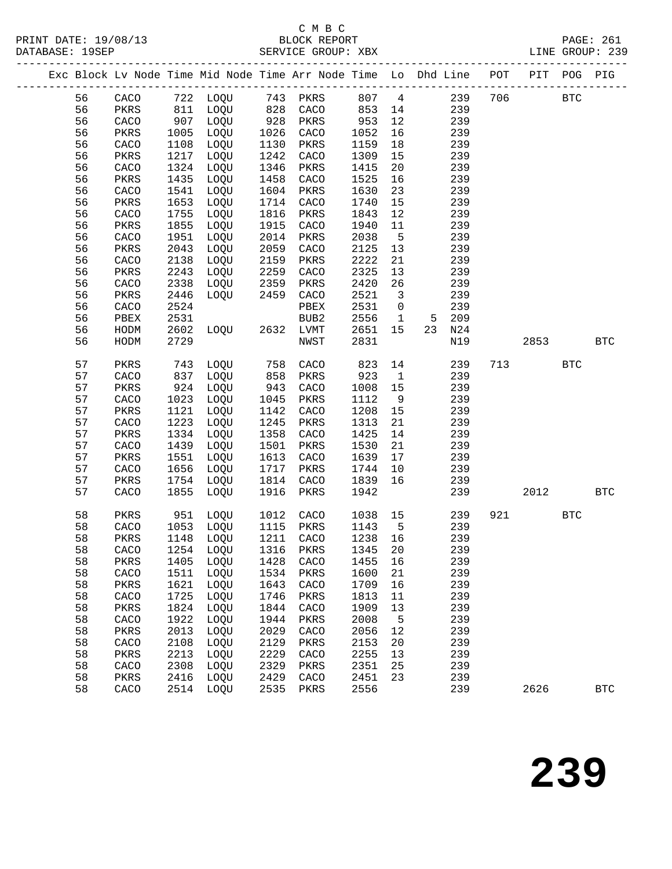### C M B C<br>BLOCK REPORT SERVICE GROUP: XBX

|  |          |              |              |          |              |              |              |                   | Exc Block Lv Node Time Mid Node Time Arr Node Time Lo Dhd Line POT |     | PIT POG |            | PIG        |
|--|----------|--------------|--------------|----------|--------------|--------------|--------------|-------------------|--------------------------------------------------------------------|-----|---------|------------|------------|
|  | 56       | CACO         |              | 722 LOQU |              | 743 PKRS     | 807          | $\overline{4}$    | 239                                                                | 706 |         | <b>BTC</b> |            |
|  | 56       | PKRS         | 811          | LOQU     | 828          | CACO         | 853          | 14                | 239                                                                |     |         |            |            |
|  | 56       | CACO         | 907          | LOQU     | $-28$<br>928 | PKRS         | 953          | 12                | 239                                                                |     |         |            |            |
|  | 56       | PKRS         | 1005         | LOQU     | 1026         | CACO         | 1052         | 16                | 239                                                                |     |         |            |            |
|  | 56       | CACO         | 1108         | LOQU     | 1130         | PKRS         | 1159         | 18                | 239                                                                |     |         |            |            |
|  | 56       | PKRS         | 1217         | LOQU     | 1242         | CACO         | 1309         | 15                | 239                                                                |     |         |            |            |
|  | 56       | CACO         | 1324         | LOQU     | 1346         | PKRS         | 1415         | 20                | 239                                                                |     |         |            |            |
|  | 56       | PKRS         | 1435         | LOQU     | 1458         | CACO         | 1525         | 16                | 239                                                                |     |         |            |            |
|  | 56       | CACO         | 1541         | LOQU     | 1604         | PKRS         | 1630         | 23                | 239                                                                |     |         |            |            |
|  | 56       | PKRS         | 1653         | LOQU     | 1714         | CACO         | 1740         | 15                | 239                                                                |     |         |            |            |
|  | 56       | CACO         | 1755         | LOQU     | 1816         | PKRS         | 1843         | 12                | 239                                                                |     |         |            |            |
|  | 56       | PKRS         | 1855         | LOQU     | 1915         | CACO         | 1940         | 11                | 239                                                                |     |         |            |            |
|  | 56       | CACO         | 1951         | LOQU     | 2014         | PKRS         | 2038         | 5                 | 239                                                                |     |         |            |            |
|  | 56       | PKRS         | 2043         | LOQU     | 2059         | CACO         | 2125         | 13                | 239                                                                |     |         |            |            |
|  | 56       | CACO         | 2138         | LOQU     | 2159         | PKRS         | 2222         | 21                | 239                                                                |     |         |            |            |
|  | 56       | PKRS         | 2243         | LOQU     | 2259         | CACO         | 2325         | 13                | 239                                                                |     |         |            |            |
|  | 56       | CACO         | 2338         | LOQU     | 2359         | PKRS         | 2420         | 26                | 239                                                                |     |         |            |            |
|  | 56<br>56 | PKRS         | 2446<br>2524 | LOQU     | 2459         | CACO         | 2521<br>2531 | $\overline{3}$    | 239<br>239                                                         |     |         |            |            |
|  | 56       | CACO<br>PBEX | 2531         |          |              | PBEX<br>BUB2 | 2556         | 0<br>$\mathbf{1}$ | 209<br>5                                                           |     |         |            |            |
|  | 56       | HODM         | 2602         | LOQU     | 2632         | LVMT         | 2651         | 15                | 23<br>N24                                                          |     |         |            |            |
|  | 56       | HODM         | 2729         |          |              | NWST         | 2831         |                   | N19                                                                |     | 2853    |            | <b>BTC</b> |
|  |          |              |              |          |              |              |              |                   |                                                                    |     |         |            |            |
|  | 57       | PKRS         | 743          | LOQU     | 758          | CACO         | 823          | 14                | 239                                                                | 713 |         | <b>BTC</b> |            |
|  | 57       | CACO         | 837          | LOQU     | 858          | PKRS         | 923          | $\mathbf{1}$      | 239                                                                |     |         |            |            |
|  | 57       | PKRS         | 924          | LOQU     | 943          | CACO         | 1008         | 15                | 239                                                                |     |         |            |            |
|  | 57       | CACO         | 1023         | LOQU     | 1045         | PKRS         | 1112         | 9                 | 239                                                                |     |         |            |            |
|  | 57       | PKRS         | 1121         | LOQU     | 1142         | CACO         | 1208         | 15                | 239                                                                |     |         |            |            |
|  | 57       | CACO         | 1223         | LOQU     | 1245         | PKRS         | 1313         | 21                | 239                                                                |     |         |            |            |
|  | 57       | PKRS         | 1334         | LOQU     | 1358         | CACO         | 1425         | 14                | 239                                                                |     |         |            |            |
|  | 57       | CACO         | 1439         | LOQU     | 1501         | PKRS         | 1530         | 21                | 239                                                                |     |         |            |            |
|  | 57       | PKRS         | 1551         | LOQU     | 1613         | CACO         | 1639         | 17                | 239                                                                |     |         |            |            |
|  | 57       | CACO         | 1656         | LOQU     | 1717         | PKRS         | 1744         | 10                | 239                                                                |     |         |            |            |
|  | 57       | PKRS         | 1754         | LOQU     | 1814         | CACO         | 1839         | 16                | 239                                                                |     |         |            |            |
|  | 57       | CACO         | 1855         | LOQU     | 1916         | PKRS         | 1942         |                   | 239                                                                |     | 2012    |            | <b>BTC</b> |
|  | 58       | PKRS         | 951          | LOQU     | 1012         | CACO         | 1038         | 15                | 239                                                                | 921 |         | <b>BTC</b> |            |
|  | 58       | CACO         | 1053         | LOQU     | 1115         | PKRS         | 1143         | 5                 | 239                                                                |     |         |            |            |
|  | 58       | PKRS         | 1148         | LOQU     | 1211         | CACO         | 1238         | 16                | 239                                                                |     |         |            |            |
|  | 58       | CACO         | 1254         | LOQU     | 1316         | PKRS         | 1345         | 20                | 239                                                                |     |         |            |            |
|  | 58       | PKRS         | 1405         | LOQU     | 1428         | CACO         | 1455         | 16                | 239                                                                |     |         |            |            |
|  | 58       | CACO         | 1511         | LOQU     | 1534         | PKRS         | 1600         | 21                | 239                                                                |     |         |            |            |
|  | 58       | PKRS         | 1621         | LOQU     | 1643         | CACO         | 1709         | 16                | 239                                                                |     |         |            |            |
|  | 58       | CACO         | 1725         | LOQU     | 1746         | PKRS         | 1813         | 11                | 239                                                                |     |         |            |            |
|  | 58       | PKRS         | 1824         | LOQU     | 1844         | CACO         | 1909         | 13                | 239                                                                |     |         |            |            |
|  | 58       | CACO         | 1922         | LOQU     | 1944         | PKRS         | 2008         | 5                 | 239                                                                |     |         |            |            |
|  | 58       | PKRS         | 2013         | LOQU     | 2029         | CACO         | 2056         | 12                | 239                                                                |     |         |            |            |
|  | 58       | CACO         | 2108         | LOQU     | 2129         | PKRS         | 2153         | 20                | 239                                                                |     |         |            |            |
|  | 58       | PKRS         | 2213         | LOQU     | 2229         | CACO         | 2255         | 13                | 239                                                                |     |         |            |            |
|  | 58       | CACO         | 2308         | LOQU     | 2329         | PKRS         | 2351         | 25                | 239                                                                |     |         |            |            |
|  | 58       | PKRS         | 2416         | LOQU     | 2429         | CACO         | 2451         | 23                | 239                                                                |     |         |            |            |
|  | 58       | CACO         | 2514         | LOQU     | 2535         | PKRS         | 2556         |                   | 239                                                                |     | 2626    |            | <b>BTC</b> |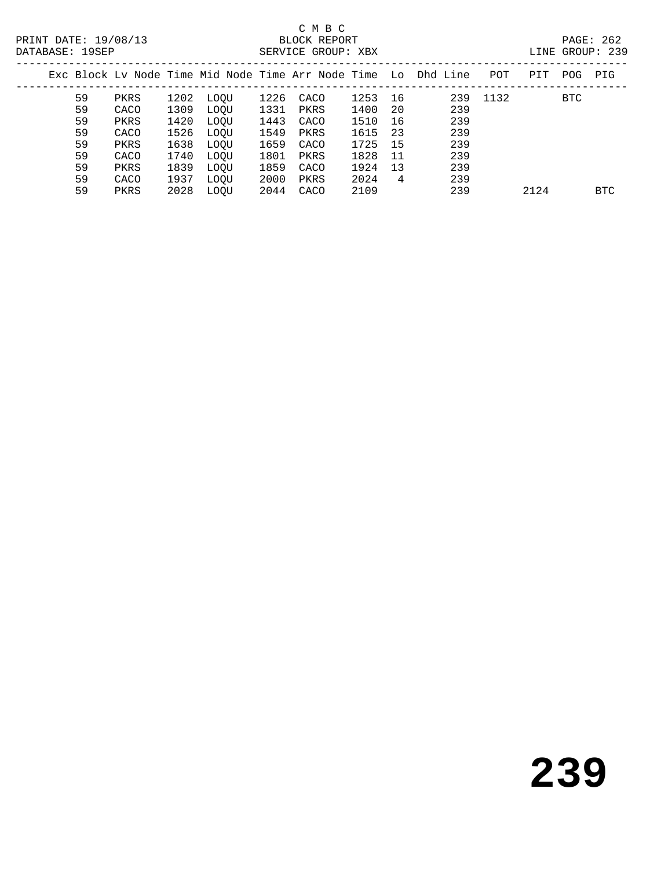### C M B C<br>BLOCK REPORT SERVICE GROUP: XBX

|    |      |      |             |      |      |      |     | Exc Block Ly Node Time Mid Node Time Arr Node Time Lo Dhd Line | POT  | PIT  | POG        | PIG        |
|----|------|------|-------------|------|------|------|-----|----------------------------------------------------------------|------|------|------------|------------|
| 59 | PKRS | 1202 | LOOU        | 1226 | CACO | 1253 | 16  | 239                                                            | 1132 |      | <b>BTC</b> |            |
| 59 | CACO | 1309 | LOOU        | 1331 | PKRS | 1400 | 20  | 239                                                            |      |      |            |            |
| 59 | PKRS | 1420 | LOOU        | 1443 | CACO | 1510 | 16  | 239                                                            |      |      |            |            |
| 59 | CACO | 1526 | LOOU        | 1549 | PKRS | 1615 | 23  | 239                                                            |      |      |            |            |
| 59 | PKRS | 1638 | LOOU        | 1659 | CACO | 1725 | -15 | 239                                                            |      |      |            |            |
| 59 | CACO | 1740 | LOOU        | 1801 | PKRS | 1828 | 11  | 239                                                            |      |      |            |            |
| 59 | PKRS | 1839 | LOOU        | 1859 | CACO | 1924 | 13  | 239                                                            |      |      |            |            |
| 59 | CACO | 1937 | <b>LOOU</b> | 2000 | PKRS | 2024 | 4   | 239                                                            |      |      |            |            |
| 59 | PKRS | 2028 | LOOU        | 2044 | CACO | 2109 |     | 239                                                            |      | 2124 |            | <b>BTC</b> |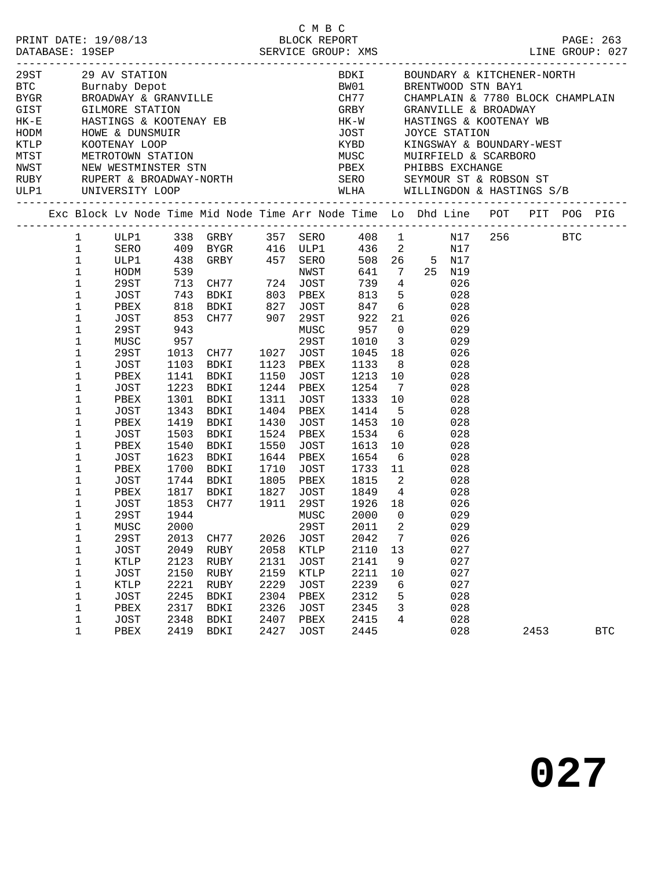|  |                                                                                                                                                                                                                                                                                                                                           |                                                                                                                                                                                                       |                                                                             |                                                                                                                                                                                                                                                                      |                                                                              |                                                                                                                                                                    |                                                                                                                                                 |                                          | Exc Block Lv Node Time Mid Node Time Arr Node Time Lo Dhd Line POT PIT POG PIG                                                                                                                                                                                                 |         |            |
|--|-------------------------------------------------------------------------------------------------------------------------------------------------------------------------------------------------------------------------------------------------------------------------------------------------------------------------------------------|-------------------------------------------------------------------------------------------------------------------------------------------------------------------------------------------------------|-----------------------------------------------------------------------------|----------------------------------------------------------------------------------------------------------------------------------------------------------------------------------------------------------------------------------------------------------------------|------------------------------------------------------------------------------|--------------------------------------------------------------------------------------------------------------------------------------------------------------------|-------------------------------------------------------------------------------------------------------------------------------------------------|------------------------------------------|--------------------------------------------------------------------------------------------------------------------------------------------------------------------------------------------------------------------------------------------------------------------------------|---------|------------|
|  | $1 \quad \blacksquare$<br>$\mathbf{1}$<br>$1\,$<br>$\mathbf 1$<br>$\mathbf{1}$<br>$\mathbf 1$<br>$1\,$<br>$\mathbf 1$<br>$1\,$<br>$\mathbf 1$<br>$\mathbf 1$<br>$1\,$<br>$\mathbf 1$<br>1<br>$1\,$<br>$\mathbf 1$<br>$\mathbf 1$<br>1<br>$\mathbf 1$<br>$\mathbf 1$<br>$\mathbf 1$<br>$\mathbf 1$<br>$\mathbf 1$<br>1<br>$\mathbf 1$<br>1 | ULP1<br>HODM<br>29ST<br>JOST 743 BDKI<br>PBEX<br>JOST<br>29ST<br>MUSC<br>29ST<br>JOST<br>PBEX<br>JOST<br>PBEX<br>JOST<br>PBEX<br>JOST<br>PBEX<br>JOST<br>PBEX<br>JOST<br>PBEX<br>JOST<br>29ST<br>MUSC | 957<br>1223<br>1301<br>1343<br>1503<br>1540<br>1623<br>1700<br>1944<br>2000 | SERO 409 BYGR 416 ULP1 436 2<br>818 BDKI<br>818 BDKI 827 JOST 847 6<br>853 CH77 907 29ST 922 21<br>943 MUSC 957 0<br>1013 CH77<br>1103 BDKI<br>1141 BDKI<br>BDKI<br>BDKI<br>BDKI<br>1419 BDKI<br>BDKI<br>BDKI<br>BDKI<br>BDKI<br>1744 BDKI<br>1817 BDKI<br>1853 CH77 | 1027<br>1150<br>1311<br>1404<br>1430<br>1550<br>1644<br>1805<br>1827<br>1911 | 803 PBEX 813 5<br>29ST<br>JOST<br>1123 PBEX<br>JOST<br>1244 PBEX<br>JOST<br>PBEX<br>JOST<br>1524 PBEX<br>JOST<br>PBEX<br>1710 JOST<br>PBEX<br>JOST<br>29ST<br>MUSC | 739 4<br>1133 8<br>1213 10<br>1254 7<br>1333<br>1414 5<br>1453 10<br>1534<br>1613<br>1654 6<br>1733 11<br>1815 2<br>1849 4<br>1926 18<br>2000 0 | 10<br>6<br>10                            | ULP1 338 GRBY 357 SERO 408 1 N17<br>N17<br>508  26  5  N17<br>641 7 25 N19<br>026<br>028<br>847 6<br>028<br>026<br>029<br>1010 3<br>029<br>1045 18<br>026<br>028<br>028<br>028<br>028<br>028<br>028<br>028<br>028<br>028<br>028<br>028<br>028<br>026<br>029<br>29ST 2011 2 029 | 256 BTC |            |
|  | 1<br>$\mathbf 1$<br>$\mathbf 1$<br>1<br>1<br>$\mathbf 1$<br>$\mathbf 1$<br>$\mathbf 1$                                                                                                                                                                                                                                                    | 29ST<br>JOST<br>KTLP<br>JOST<br>KTLP<br>JOST<br>PBEX<br>JOST                                                                                                                                          | 2013<br>2049<br>2123<br>2150<br>2221<br>2245<br>2317<br>2348                | CH77<br>RUBY<br>RUBY<br>RUBY<br>RUBY<br>BDKI<br>BDKI<br>BDKI                                                                                                                                                                                                         | 2026<br>2058<br>2131<br>2159<br>2229<br>2304<br>2326<br>2407                 | JOST<br>KTLP<br>JOST<br>KTLP<br>JOST<br>PBEX<br>JOST<br>PBEX                                                                                                       | 2042<br>2110<br>2141<br>2211<br>2239<br>2312<br>2345<br>2415                                                                                    | 7<br>13<br>- 9<br>10<br>6<br>5<br>3<br>4 | 026<br>027<br>027<br>027<br>027<br>028<br>028<br>028                                                                                                                                                                                                                           |         |            |
|  | $\mathbf 1$                                                                                                                                                                                                                                                                                                                               | PBEX                                                                                                                                                                                                  | 2419                                                                        | BDKI                                                                                                                                                                                                                                                                 | 2427                                                                         | JOST                                                                                                                                                               | 2445                                                                                                                                            |                                          | 028                                                                                                                                                                                                                                                                            | 2453    | <b>BTC</b> |

C M B C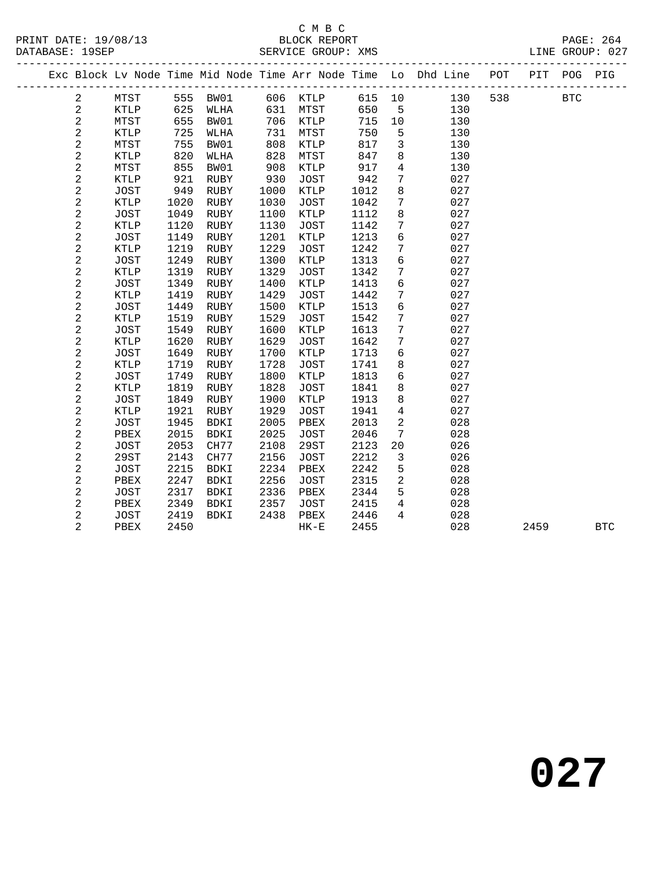## C M B C<br>BLOCK REPORT

| DATABASE: 19SEP |                         |             |      |      |      | SERVICE GROUP: XMS     |      |                 | -----------------------------                                                  |         | LINE GROUP: 027 |
|-----------------|-------------------------|-------------|------|------|------|------------------------|------|-----------------|--------------------------------------------------------------------------------|---------|-----------------|
|                 |                         |             |      |      |      |                        |      |                 | Exc Block Lv Node Time Mid Node Time Arr Node Time Lo Dhd Line POT PIT POG PIG |         |                 |
|                 | 2                       |             |      |      |      | MTST 555 BW01 606 KTLP |      |                 | 615 10<br>130                                                                  | 538 BTC |                 |
|                 | $\overline{a}$          | <b>KTLP</b> | 625  | WLHA |      | 631 MTST               | 650  | 5 <sup>5</sup>  | 130                                                                            |         |                 |
|                 | $\overline{\mathbf{c}}$ | MTST        | 655  | BW01 | 706  | <b>KTLP</b>            | 715  | 10              | 130                                                                            |         |                 |
|                 | $\overline{c}$          | KTLP        | 725  | WLHA | 731  | MTST                   | 750  | 5               | 130                                                                            |         |                 |
|                 | $\sqrt{2}$              | MTST        | 755  | BW01 | 808  | KTLP                   | 817  | $\overline{3}$  | 130                                                                            |         |                 |
|                 | $\boldsymbol{2}$        | KTLP        | 820  | WLHA | 828  | MTST                   | 847  | 8               | 130                                                                            |         |                 |
|                 | $\overline{\mathbf{c}}$ | MTST        | 855  | BW01 | 908  | KTLP                   | 917  | $\overline{4}$  | 130                                                                            |         |                 |
|                 | $\sqrt{2}$              | KTLP        | 921  | RUBY | 930  | JOST                   | 942  | 7 <sup>7</sup>  | 027                                                                            |         |                 |
|                 | $\sqrt{2}$              | JOST        | 949  | RUBY | 1000 | KTLP                   | 1012 | 8               | 027                                                                            |         |                 |
|                 | $\sqrt{2}$              | KTLP        | 1020 | RUBY | 1030 | JOST                   | 1042 | $7\overline{ }$ | 027                                                                            |         |                 |
|                 | $\overline{\mathbf{c}}$ | JOST        | 1049 | RUBY | 1100 | KTLP                   | 1112 | 8               | 027                                                                            |         |                 |
|                 | 2                       | KTLP        | 1120 | RUBY | 1130 | JOST                   | 1142 | $7\overline{ }$ | 027                                                                            |         |                 |
|                 | $\overline{\mathbf{c}}$ | JOST        | 1149 | RUBY | 1201 | KTLP                   | 1213 | $6\overline{6}$ | 027                                                                            |         |                 |
|                 | $\sqrt{2}$              | KTLP        | 1219 | RUBY | 1229 | JOST                   | 1242 | $7\phantom{.0}$ | 027                                                                            |         |                 |
|                 | $\overline{\mathbf{c}}$ | <b>JOST</b> | 1249 | RUBY | 1300 | KTLP                   | 1313 | $6\overline{6}$ | 027                                                                            |         |                 |
|                 | $\overline{c}$          | KTLP        | 1319 | RUBY | 1329 | <b>JOST</b>            | 1342 | $7\phantom{.0}$ | 027                                                                            |         |                 |
|                 | 2                       | JOST        | 1349 | RUBY | 1400 | KTLP                   | 1413 | 6               | 027                                                                            |         |                 |
|                 | $\overline{a}$          | KTLP        | 1419 | RUBY | 1429 | JOST                   | 1442 | $7\phantom{.0}$ | 027                                                                            |         |                 |
|                 | $\overline{\mathbf{c}}$ | JOST        | 1449 | RUBY | 1500 | KTLP                   | 1513 | $6\overline{6}$ | 027                                                                            |         |                 |
|                 | $\overline{c}$          | KTLP        | 1519 | RUBY | 1529 | JOST                   | 1542 | $7\phantom{.0}$ | 027                                                                            |         |                 |
|                 | $\boldsymbol{2}$        | JOST        | 1549 | RUBY | 1600 | KTLP                   | 1613 | $7\phantom{.}$  | 027                                                                            |         |                 |
|                 | $\mathbf 2$             | KTLP        | 1620 | RUBY | 1629 | JOST                   | 1642 | $7\overline{ }$ | 027                                                                            |         |                 |
|                 | $\sqrt{2}$              | JOST        | 1649 | RUBY | 1700 | KTLP                   | 1713 | $6\overline{6}$ | 027                                                                            |         |                 |
|                 | $\boldsymbol{2}$        | KTLP        | 1719 | RUBY | 1728 | JOST                   | 1741 | 8               | 027                                                                            |         |                 |
|                 | $\mathbf 2$             | JOST        | 1749 | RUBY | 1800 | KTLP                   | 1813 | 6               | 027                                                                            |         |                 |
|                 | $\mathbf 2$             | KTLP        | 1819 | RUBY | 1828 | JOST                   | 1841 | 8               | 027                                                                            |         |                 |
|                 | $\overline{\mathbf{c}}$ | JOST        | 1849 | RUBY | 1900 | KTLP                   | 1913 | 8               | 027                                                                            |         |                 |
|                 | 2                       | KTLP        | 1921 | RUBY | 1929 | JOST                   | 1941 | $\overline{4}$  | 027                                                                            |         |                 |
|                 | 2                       | JOST        | 1945 | BDKI | 2005 | PBEX                   | 2013 | $\overline{2}$  | 028                                                                            |         |                 |
|                 | 2                       | PBEX        | 2015 | BDKI | 2025 | <b>JOST</b>            | 2046 | $7\phantom{.0}$ | 028                                                                            |         |                 |
|                 | $\mathbf 2$             | JOST        | 2053 | CH77 | 2108 | 29ST                   | 2123 | $20\,$          | 026                                                                            |         |                 |
|                 | $\overline{\mathbf{c}}$ | 29ST        | 2143 | CH77 | 2156 | JOST                   | 2212 | $\mathbf{3}$    | 026                                                                            |         |                 |
|                 | 2                       | JOST        | 2215 | BDKI | 2234 | PBEX                   | 2242 | 5               | 028                                                                            |         |                 |
|                 | $\overline{\mathbf{c}}$ | PBEX        | 2247 | BDKI | 2256 | <b>JOST</b>            | 2315 | $\overline{a}$  | 028                                                                            |         |                 |
|                 | 2                       | JOST        | 2317 | BDKI | 2336 | PBEX                   | 2344 | 5               | 028                                                                            |         |                 |
|                 | $\overline{2}$          | PBEX        | 2349 | BDKI | 2357 | JOST                   | 2415 | $\overline{4}$  | 028                                                                            |         |                 |
|                 | 2                       | JOST        | 2419 | BDKI | 2438 | PBEX                   | 2446 | $4\overline{ }$ | 028                                                                            |         |                 |
|                 | $\overline{2}$          | PBEX        | 2450 |      |      | $HK-E$                 | 2455 |                 | 028                                                                            | 2459    | <b>BTC</b>      |
|                 |                         |             |      |      |      |                        |      |                 |                                                                                |         |                 |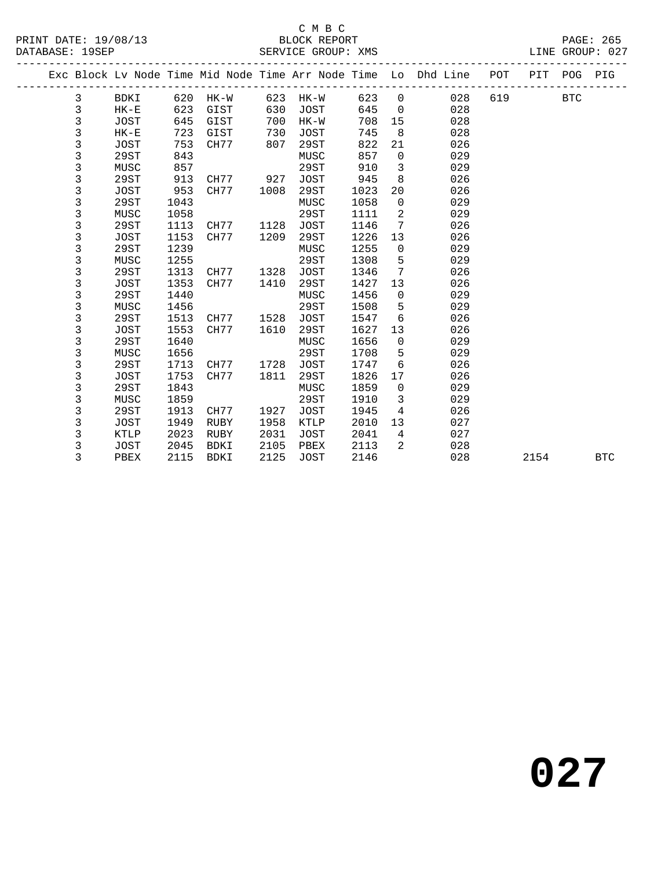#### C M B C<br>BLOCK REPORT SERVICE GROUP: XMS

|  |   |             |      |          |      |          |       |                            | Exc Block Lv Node Time Mid Node Time Arr Node Time Lo Dhd Line POT PIT POG PIG |     |            |  |
|--|---|-------------|------|----------|------|----------|-------|----------------------------|--------------------------------------------------------------------------------|-----|------------|--|
|  | 3 | BDKI        |      | 620 HK-W |      | 623 HK-W | 623 0 |                            | 028                                                                            | 619 | <b>BTC</b> |  |
|  | 3 | $HK-E$      | 623  | GIST     | 630  | JOST     | 645   |                            | 028<br>$\overline{0}$                                                          |     |            |  |
|  | 3 | JOST        | 645  | GIST     | 700  | HK-W     | 708   |                            | 15<br>028                                                                      |     |            |  |
|  | 3 | $HK-E$      | 723  | GIST     | 730  | JOST     | 745   | 8                          | 028                                                                            |     |            |  |
|  | 3 | JOST        | 753  | CH77     | 807  | 29ST     | 822   | 21                         | 026                                                                            |     |            |  |
|  | 3 | 29ST        | 843  |          |      | MUSC     | 857   | $\overline{0}$             | 029                                                                            |     |            |  |
|  | 3 | MUSC        | 857  |          |      | 29ST     | 910   | $\overline{3}$             | 029                                                                            |     |            |  |
|  | 3 | 29ST        | 913  | CH77 927 |      | JOST     | 945   | 8                          | 026                                                                            |     |            |  |
|  | 3 | JOST        | 953  | CH77     | 1008 | 29ST     | 1023  | 20                         | 026                                                                            |     |            |  |
|  | 3 | 29ST        | 1043 |          |      | MUSC     | 1058  | $\overline{0}$             | 029                                                                            |     |            |  |
|  | 3 | MUSC        | 1058 |          |      | 29ST     | 1111  | $\overline{\phantom{a}}^2$ | 029                                                                            |     |            |  |
|  | 3 | 29ST        | 1113 | CH77     | 1128 | JOST     | 1146  | $7\overline{ }$            | 026                                                                            |     |            |  |
|  | 3 | JOST        | 1153 | CH77     | 1209 | 29ST     | 1226  | 13                         | 026                                                                            |     |            |  |
|  | 3 | 29ST        | 1239 |          |      | MUSC     | 1255  | $\overline{0}$             | 029                                                                            |     |            |  |
|  | 3 | MUSC        | 1255 |          |      | 29ST     | 1308  | 5                          | 029                                                                            |     |            |  |
|  | 3 | 29ST        | 1313 | CH77     | 1328 | JOST     | 1346  | $7\overline{ }$            | 026                                                                            |     |            |  |
|  | 3 | JOST        | 1353 | CH77     | 1410 | 29ST     | 1427  | 13                         | 026                                                                            |     |            |  |
|  | 3 | 29ST        | 1440 |          |      | MUSC     | 1456  | $\overline{0}$             | 029                                                                            |     |            |  |
|  | 3 | MUSC        | 1456 |          |      | 29ST     | 1508  | $5^{\circ}$                | 029                                                                            |     |            |  |
|  | 3 | 29ST        | 1513 | CH77     | 1528 | JOST     | 1547  | 6                          | 026                                                                            |     |            |  |
|  | 3 | JOST        | 1553 | CH77     | 1610 | 29ST     | 1627  | 13                         | 026                                                                            |     |            |  |
|  | 3 | 29ST        | 1640 |          |      | MUSC     | 1656  | $\overline{0}$             | 029                                                                            |     |            |  |
|  | 3 | MUSC        | 1656 |          |      | 29ST     | 1708  | 5                          | 029                                                                            |     |            |  |
|  | 3 | 29ST        | 1713 | CH77     | 1728 | JOST     | 1747  | 6                          | 026                                                                            |     |            |  |
|  | 3 | JOST        | 1753 | CH77     | 1811 | 29ST     | 1826  | 17                         | 026                                                                            |     |            |  |
|  | 3 | 29ST        | 1843 |          |      | MUSC     | 1859  | $\overline{0}$             | 029                                                                            |     |            |  |
|  | 3 | MUSC        | 1859 |          |      | 29ST     | 1910  | $\mathbf{3}$               | 029                                                                            |     |            |  |
|  | 3 | 29ST        | 1913 | CH77     | 1927 | JOST     | 1945  | $4\overline{ }$            | 026                                                                            |     |            |  |
|  | 3 | JOST        | 1949 | RUBY     | 1958 | KTLP     | 2010  |                            | 13<br>027                                                                      |     |            |  |
|  | 3 | KTLP        | 2023 | RUBY     | 2031 | JOST     | 2041  | $\overline{4}$             | 027                                                                            |     |            |  |
|  | 3 | <b>JOST</b> | 2045 | BDKI     | 2105 | PBEX     | 2113  | 2                          | 028                                                                            |     |            |  |

3 PBEX 2115 BDKI 2125 JOST 2146 028 2154 BTC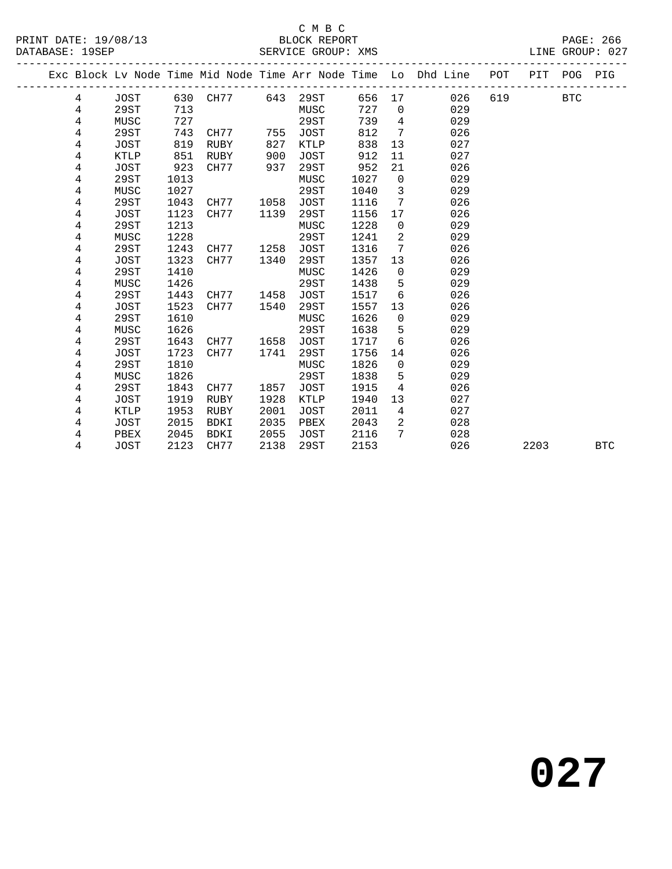## $\begin{tabular}{lllll} \multicolumn{2}{c}{\textbf{C} M B C} \\ \multicolumn{2}{c}{\textbf{P R INT} \end{tabular}}$  DATE: 19/08/13  $\end{tabular}$  BLOCK REPORT

DATABASE: 19SEP SERVICE GROUP: XMS LINE GROUP: 027

|   |             |      |      |      |             |      |                 | Exc Block Lv Node Time Mid Node Time Arr Node Time Lo Dhd Line | POT | PIT POG |            | PIG        |
|---|-------------|------|------|------|-------------|------|-----------------|----------------------------------------------------------------|-----|---------|------------|------------|
| 4 | JOST        | 630  | CH77 | 643  | 29ST        | 656  | 17              | 026                                                            | 619 |         | <b>BTC</b> |            |
| 4 | 29ST        | 713  |      |      | MUSC        | 727  | $\overline{0}$  | 029                                                            |     |         |            |            |
| 4 | MUSC        | 727  |      |      | 29ST        | 739  | $\overline{4}$  | 029                                                            |     |         |            |            |
| 4 | 29ST        | 743  | CH77 | 755  | <b>JOST</b> | 812  | $7\overline{ }$ | 026                                                            |     |         |            |            |
| 4 | JOST        | 819  | RUBY | 827  | KTLP        | 838  | 13              | 027                                                            |     |         |            |            |
| 4 | KTLP        | 851  | RUBY | 900  | <b>JOST</b> | 912  | 11              | 027                                                            |     |         |            |            |
| 4 | <b>JOST</b> | 923  | CH77 | 937  | 29ST        | 952  | 21              | 026                                                            |     |         |            |            |
| 4 | 29ST        | 1013 |      |      | MUSC        | 1027 | $\overline{0}$  | 029                                                            |     |         |            |            |
| 4 | MUSC        | 1027 |      |      | 29ST        | 1040 | 3               | 029                                                            |     |         |            |            |
| 4 | 29ST        | 1043 | CH77 | 1058 | <b>JOST</b> | 1116 | $7\phantom{.0}$ | 026                                                            |     |         |            |            |
| 4 | JOST        | 1123 | CH77 | 1139 | 29ST        | 1156 | 17              | 026                                                            |     |         |            |            |
| 4 | 29ST        | 1213 |      |      | MUSC        | 1228 | $\mathbf 0$     | 029                                                            |     |         |            |            |
| 4 | MUSC        | 1228 |      |      | <b>29ST</b> | 1241 | 2               | 029                                                            |     |         |            |            |
| 4 | 29ST        | 1243 | CH77 | 1258 | <b>JOST</b> | 1316 | 7               | 026                                                            |     |         |            |            |
| 4 | <b>JOST</b> | 1323 | CH77 | 1340 | 29ST        | 1357 | 13              | 026                                                            |     |         |            |            |
| 4 | 29ST        | 1410 |      |      | MUSC        | 1426 | $\mathsf{O}$    | 029                                                            |     |         |            |            |
| 4 | MUSC        | 1426 |      |      | 29ST        | 1438 | 5               | 029                                                            |     |         |            |            |
| 4 | 29ST        | 1443 | CH77 | 1458 | <b>JOST</b> | 1517 | 6               | 026                                                            |     |         |            |            |
| 4 | <b>JOST</b> | 1523 | CH77 | 1540 | 29ST        | 1557 | 13              | 026                                                            |     |         |            |            |
| 4 | 29ST        | 1610 |      |      | MUSC        | 1626 | $\mathsf{O}$    | 029                                                            |     |         |            |            |
| 4 | MUSC        | 1626 |      |      | 29ST        | 1638 | 5               | 029                                                            |     |         |            |            |
| 4 | 29ST        | 1643 | CH77 | 1658 | <b>JOST</b> | 1717 | 6               | 026                                                            |     |         |            |            |
| 4 | <b>JOST</b> | 1723 | CH77 | 1741 | 29ST        | 1756 | 14              | 026                                                            |     |         |            |            |
| 4 | 29ST        | 1810 |      |      | MUSC        | 1826 | $\mathbf 0$     | 029                                                            |     |         |            |            |
| 4 | MUSC        | 1826 |      |      | 29ST        | 1838 | 5               | 029                                                            |     |         |            |            |
| 4 | 29ST        | 1843 | CH77 | 1857 | <b>JOST</b> | 1915 | 4               | 026                                                            |     |         |            |            |
| 4 | <b>JOST</b> | 1919 | RUBY | 1928 | <b>KTLP</b> | 1940 | 13              | 027                                                            |     |         |            |            |
| 4 | KTLP        | 1953 | RUBY | 2001 | JOST        | 2011 | $\overline{4}$  | 027                                                            |     |         |            |            |
| 4 | <b>JOST</b> | 2015 | BDKI | 2035 | PBEX        | 2043 | $\overline{2}$  | 028                                                            |     |         |            |            |
| 4 | PBEX        | 2045 | BDKI | 2055 | JOST        | 2116 | 7               | 028                                                            |     |         |            |            |
| 4 | <b>JOST</b> | 2123 | CH77 | 2138 | 29ST        | 2153 |                 | 026                                                            |     | 2203    |            | <b>BTC</b> |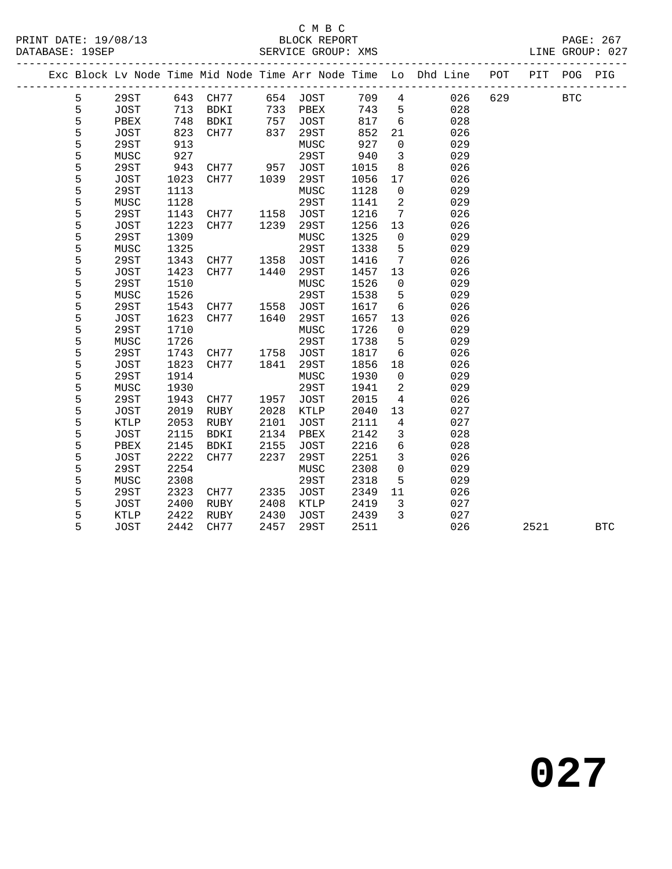## C M B C<br>BLOCK REPORT

|  |               |              |              |              |                                                                                |              |              |                                   | Exc Block Lv Node Time Mid Node Time Arr Node Time Lo Dhd Line | POT | PIT  | POG          | PIG        |
|--|---------------|--------------|--------------|--------------|--------------------------------------------------------------------------------|--------------|--------------|-----------------------------------|----------------------------------------------------------------|-----|------|--------------|------------|
|  | 5             | 29ST         |              | 643 CH77     |                                                                                | 654 JOST     | 709          | $\overline{4}$                    | 026                                                            | 629 |      | $_{\rm BTC}$ |            |
|  | 5             | JOST         | 713          | BDKI         | 733                                                                            | PBEX         | 743          | 5                                 | 028                                                            |     |      |              |            |
|  | 5             | PBEX         | 748          | BDKI         | $\begin{array}{c} \n \overline{757} \\  757 \\  \overline{27} \\  \end{array}$ | JOST         | 817          | $6\overline{6}$                   | 028                                                            |     |      |              |            |
|  | $\frac{5}{5}$ | JOST         | 823          | CH77         | 837                                                                            | 29ST         | 852          | 21                                | 026                                                            |     |      |              |            |
|  |               | 29ST         | 913          |              |                                                                                | MUSC         | 927          | $\overline{0}$                    | 029                                                            |     |      |              |            |
|  | 5             | MUSC         | 927          |              |                                                                                | 29ST         | 940          | $\overline{3}$                    | 029                                                            |     |      |              |            |
|  | 5             | 29ST         | 943          | CH77         | 957                                                                            | JOST         | 1015         | 8                                 | 026                                                            |     |      |              |            |
|  | 5             | JOST         | 1023         | CH77         | 1039                                                                           | 29ST         | 1056         | 17                                | 026                                                            |     |      |              |            |
|  | 5             | 29ST         | 1113         |              |                                                                                | MUSC         | 1128         | $\mathsf{O}$                      | 029                                                            |     |      |              |            |
|  | $\frac{5}{5}$ | MUSC         | 1128         |              |                                                                                | 29ST         | 1141         | $\overline{a}$                    | 029                                                            |     |      |              |            |
|  |               | 29ST         | 1143         | CH77         | 1158                                                                           | JOST         | 1216         | $\overline{7}$                    | 026                                                            |     |      |              |            |
|  | 5             | JOST         | 1223         | CH77         | 1239                                                                           | 29ST         | 1256         | 13                                | 026                                                            |     |      |              |            |
|  | 5             | 29ST         | 1309         |              |                                                                                | MUSC         | 1325         | $\mathsf{O}$                      | 029                                                            |     |      |              |            |
|  | 5             | MUSC         | 1325         |              |                                                                                | 29ST         | 1338         | 5                                 | 029                                                            |     |      |              |            |
|  | 5             | 29ST         | 1343         | CH77         | 1358                                                                           | JOST         | 1416         | $\overline{7}$                    | 026                                                            |     |      |              |            |
|  | $\frac{5}{5}$ | JOST         | 1423         | CH77         | 1440                                                                           | 29ST         | 1457         | 13                                | 026                                                            |     |      |              |            |
|  |               | 29ST         | 1510         |              |                                                                                | MUSC         | 1526         | $\overline{0}$                    | 029                                                            |     |      |              |            |
|  | 5             | MUSC         | 1526         |              |                                                                                | 29ST         | 1538         | 5                                 | 029                                                            |     |      |              |            |
|  | 5             | 29ST         | 1543         | CH77         | 1558                                                                           | JOST         | 1617         | 6                                 | 026                                                            |     |      |              |            |
|  | 5             | JOST         | 1623         | CH77         | 1640                                                                           | 29ST         | 1657         | 13                                | 026                                                            |     |      |              |            |
|  | 5             | 29ST         | 1710         |              |                                                                                | MUSC         | 1726         | $\overline{0}$                    | 029                                                            |     |      |              |            |
|  | $\frac{5}{5}$ | MUSC         | 1726         |              |                                                                                | 29ST         | 1738         | 5                                 | 029                                                            |     |      |              |            |
|  |               | 29ST         | 1743         | CH77         | 1758                                                                           | <b>JOST</b>  | 1817         | 6                                 | 026                                                            |     |      |              |            |
|  | 5             | JOST         | 1823         | CH77         | 1841                                                                           | 29ST         | 1856         | 18                                | 026                                                            |     |      |              |            |
|  | 5             | 29ST         | 1914         |              |                                                                                | ${\tt MUSC}$ | 1930         | $\mathsf{O}$                      | 029                                                            |     |      |              |            |
|  | 5             | MUSC         | 1930         |              |                                                                                | 29ST         | 1941         | 2                                 | 029                                                            |     |      |              |            |
|  | 5             | 29ST         | 1943         | CH77         | 1957                                                                           | <b>JOST</b>  | 2015         | $\overline{4}$                    | 026                                                            |     |      |              |            |
|  | $\frac{5}{5}$ | JOST         | 2019         | RUBY         | 2028                                                                           | KTLP         | 2040         | 13                                | 027                                                            |     |      |              |            |
|  |               | KTLP         | 2053         | RUBY         | 2101                                                                           | JOST         | 2111         | $\overline{4}$                    | 027                                                            |     |      |              |            |
|  | 5<br>5        | JOST         | 2115         | BDKI         | 2134                                                                           | PBEX         | 2142         | $\mathfrak{Z}$<br>$6\overline{6}$ | 028                                                            |     |      |              |            |
|  | 5             | PBEX<br>JOST | 2145<br>2222 | BDKI<br>CH77 | 2155<br>2237                                                                   | JOST<br>29ST | 2216<br>2251 | $\mathbf{3}$                      | 028<br>026                                                     |     |      |              |            |
|  | 5             | 29ST         | 2254         |              |                                                                                | MUSC         | 2308         | $\mathsf{O}$                      | 029                                                            |     |      |              |            |
|  |               |              |              |              |                                                                                |              |              |                                   |                                                                |     |      |              |            |
|  | $\frac{5}{5}$ | MUSC         | 2308         |              |                                                                                | 29ST         | 2318         | 5                                 | 029                                                            |     |      |              |            |
|  | 5             | 29ST         | 2323<br>2400 | CH77         | 2335                                                                           | <b>JOST</b>  | 2349<br>2419 | 11<br>$\overline{3}$              | 026<br>027                                                     |     |      |              |            |
|  | 5             | JOST<br>KTLP | 2422         | RUBY<br>RUBY | 2408<br>2430                                                                   | KTLP<br>JOST | 2439         | $\overline{3}$                    | 027                                                            |     |      |              |            |
|  | 5             |              | 2442         | CH77         | 2457                                                                           |              | 2511         |                                   | 026                                                            |     | 2521 |              | <b>BTC</b> |
|  |               | <b>JOST</b>  |              |              |                                                                                | 29ST         |              |                                   |                                                                |     |      |              |            |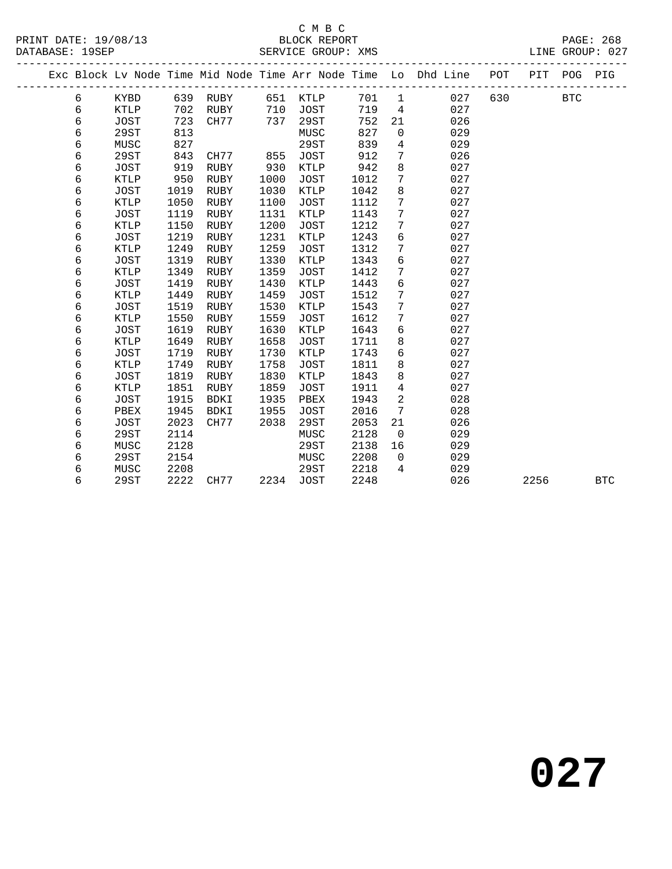# C M B C<br>BLOCK REPORT

|   |      |      |           |      | DERVICE CROOT · APP |       |                 |                                                                                |     |      |            |            |
|---|------|------|-----------|------|---------------------|-------|-----------------|--------------------------------------------------------------------------------|-----|------|------------|------------|
|   |      |      |           |      |                     |       |                 | Exc Block Lv Node Time Mid Node Time Arr Node Time Lo Dhd Line POT PIT POG PIG |     |      |            |            |
| 6 | KYBD |      |           |      |                     | 701 1 |                 | 027                                                                            | 630 |      | <b>BTC</b> |            |
| 6 | KTLP |      | 702 RUBY  | 710  | JOST                | 719   | $\overline{4}$  | 027                                                                            |     |      |            |            |
| 6 | JOST |      | 723 CH77  | 737  | 29ST                | 752   | 21              | 026                                                                            |     |      |            |            |
| 6 | 29ST | 813  |           |      | MUSC                | 827   | $\overline{0}$  | 029                                                                            |     |      |            |            |
| 6 | MUSC | 827  |           |      | 29ST                | 839   | $\overline{4}$  | 029                                                                            |     |      |            |            |
| 6 | 29ST | 843  | CH77      | 855  | JOST                | 912   | $7\phantom{.0}$ | 026                                                                            |     |      |            |            |
| 6 | JOST | 919  | RUBY      | 930  | KTLP                | 942   | 8               | 027                                                                            |     |      |            |            |
| 6 | KTLP | 950  | RUBY      | 1000 | JOST                | 1012  | $7\phantom{.0}$ | 027                                                                            |     |      |            |            |
| б | JOST | 1019 | RUBY      | 1030 | KTLP                | 1042  | 8               | 027                                                                            |     |      |            |            |
| б | KTLP | 1050 | RUBY      | 1100 | JOST                | 1112  | $7\phantom{.0}$ | 027                                                                            |     |      |            |            |
| 6 | JOST | 1119 | RUBY      | 1131 | KTLP                | 1143  | 7               | 027                                                                            |     |      |            |            |
| 6 | KTLP | 1150 | RUBY      | 1200 | JOST                | 1212  | $7\phantom{.0}$ | 027                                                                            |     |      |            |            |
| 6 | JOST | 1219 | RUBY      | 1231 | KTLP                | 1243  | 6               | 027                                                                            |     |      |            |            |
| 6 | KTLP | 1249 | RUBY      | 1259 | JOST                | 1312  | $7\phantom{.0}$ | 027                                                                            |     |      |            |            |
| б | JOST | 1319 | RUBY      | 1330 | KTLP                | 1343  | 6               | 027                                                                            |     |      |            |            |
| б | KTLP | 1349 | RUBY      | 1359 | JOST                | 1412  | $7\phantom{.0}$ | 027                                                                            |     |      |            |            |
| 6 | JOST | 1419 | RUBY      | 1430 | KTLP                | 1443  | 6               | 027                                                                            |     |      |            |            |
| 6 | KTLP | 1449 | RUBY      | 1459 | JOST                | 1512  | $7\phantom{.0}$ | 027                                                                            |     |      |            |            |
| 6 | JOST | 1519 | RUBY      | 1530 | KTLP                | 1543  | 7               | 027                                                                            |     |      |            |            |
| 6 | KTLP | 1550 | RUBY      | 1559 | JOST                | 1612  | 7               | 027                                                                            |     |      |            |            |
| б | JOST | 1619 | RUBY      | 1630 | KTLP                | 1643  | 6               | 027                                                                            |     |      |            |            |
| б | KTLP | 1649 | RUBY      | 1658 | JOST                | 1711  | 8               | 027                                                                            |     |      |            |            |
| б | JOST | 1719 | RUBY      | 1730 | KTLP                | 1743  | 6               | 027                                                                            |     |      |            |            |
| 6 | KTLP | 1749 | RUBY      | 1758 | JOST                | 1811  | 8               | 027                                                                            |     |      |            |            |
| 6 | JOST | 1819 | RUBY      | 1830 | KTLP                | 1843  | 8               | 027                                                                            |     |      |            |            |
| 6 | KTLP | 1851 | RUBY      | 1859 | JOST                | 1911  | $\overline{4}$  | 027                                                                            |     |      |            |            |
| 6 | JOST | 1915 | BDKI      | 1935 | PBEX                | 1943  | $\overline{2}$  | 028                                                                            |     |      |            |            |
| 6 | PBEX | 1945 | BDKI      | 1955 | JOST                | 2016  | $7\phantom{.0}$ | 028                                                                            |     |      |            |            |
| б | JOST | 2023 | CH77      | 2038 | 29ST                | 2053  | 21              | 026                                                                            |     |      |            |            |
| 6 | 29ST | 2114 |           |      | MUSC                | 2128  | $\overline{0}$  | 029                                                                            |     |      |            |            |
| 6 | MUSC | 2128 |           |      | 29ST                | 2138  | 16              | 029                                                                            |     |      |            |            |
| 6 | 29ST | 2154 |           |      | MUSC                | 2208  | $\overline{0}$  | 029                                                                            |     |      |            |            |
| 6 | MUSC | 2208 |           |      | 29ST                | 2218  | $4\overline{ }$ | 029                                                                            |     |      |            |            |
| 6 | 29ST |      | 2222 CH77 |      | 2234 JOST           | 2248  |                 | 026                                                                            |     | 2256 |            | <b>BTC</b> |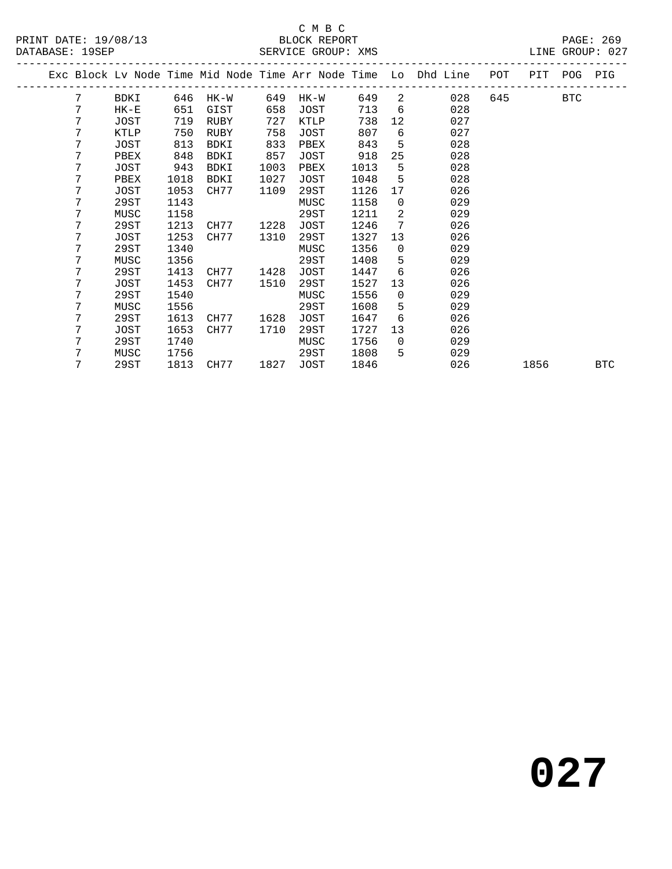#### C M B C<br>BLOCK REPORT SERVICE GROUP: XMS

|  |   |             |      |           |      |      |      |                 | Exc Block Lv Node Time Mid Node Time Arr Node Time Lo Dhd Line POT PIT POG PIG |     |      |            |            |
|--|---|-------------|------|-----------|------|------|------|-----------------|--------------------------------------------------------------------------------|-----|------|------------|------------|
|  | 7 | BDKI        | 646  | HK-W      | 649  | HK-W | 649  | $\overline{2}$  | 028                                                                            | 645 |      | <b>BTC</b> |            |
|  | 7 | $HK-E$      | 651  | GIST      | 658  | JOST | 713  | $6\overline{6}$ | 028                                                                            |     |      |            |            |
|  | 7 | JOST        | 719  | RUBY      | 727  | KTLP | 738  | 12              | 027                                                                            |     |      |            |            |
|  | 7 | KTLP        | 750  | RUBY      | 758  | JOST | 807  | 6               | 027                                                                            |     |      |            |            |
|  | 7 | JOST        | 813  | BDKI      | 833  | PBEX | 843  | 5               | 028                                                                            |     |      |            |            |
|  | 7 | PBEX        | 848  | BDKI      | 857  | JOST | 918  | 25              | 028                                                                            |     |      |            |            |
|  | 7 | JOST        | 943  | BDKI      | 1003 | PBEX | 1013 | 5               | 028                                                                            |     |      |            |            |
|  | 7 | PBEX        | 1018 | BDKI      | 1027 | JOST | 1048 | 5               | 028                                                                            |     |      |            |            |
|  | 7 | <b>JOST</b> | 1053 | CH77      | 1109 | 29ST | 1126 | 17              | 026                                                                            |     |      |            |            |
|  | 7 | 29ST        | 1143 |           |      | MUSC | 1158 | $\overline{0}$  | 029                                                                            |     |      |            |            |
|  | 7 | MUSC        | 1158 |           |      | 29ST | 1211 | 2               | 029                                                                            |     |      |            |            |
|  | 7 | 29ST        | 1213 | CH77      | 1228 | JOST | 1246 | 7               | 026                                                                            |     |      |            |            |
|  | 7 | JOST        | 1253 | CH77      | 1310 | 29ST | 1327 | 13              | 026                                                                            |     |      |            |            |
|  | 7 | 29ST        | 1340 |           |      | MUSC | 1356 | $\Omega$        | 029                                                                            |     |      |            |            |
|  | 7 | MUSC        | 1356 |           |      | 29ST | 1408 | 5               | 029                                                                            |     |      |            |            |
|  | 7 | 29ST        | 1413 | CH77      | 1428 | JOST | 1447 | 6               | 026                                                                            |     |      |            |            |
|  | 7 | JOST        | 1453 | CH77      | 1510 | 29ST | 1527 | 13              | 026                                                                            |     |      |            |            |
|  | 7 | 29ST        | 1540 |           |      | MUSC | 1556 | $\overline{0}$  | 029                                                                            |     |      |            |            |
|  | 7 | MUSC        | 1556 |           |      | 29ST | 1608 | 5               | 029                                                                            |     |      |            |            |
|  | 7 | 29ST        | 1613 | CH77      | 1628 | JOST | 1647 | 6               | 026                                                                            |     |      |            |            |
|  | 7 | JOST        | 1653 | CH77      | 1710 | 29ST | 1727 | 13              | 026                                                                            |     |      |            |            |
|  | 7 | 29ST        | 1740 |           |      | MUSC | 1756 | $\Omega$        | 029                                                                            |     |      |            |            |
|  | 7 | MUSC        | 1756 |           |      | 29ST | 1808 | 5               | 029                                                                            |     |      |            |            |
|  | 7 | 29ST        |      | 1813 CH77 | 1827 | JOST | 1846 |                 | 026                                                                            |     | 1856 |            | <b>BTC</b> |
|  |   |             |      |           |      |      |      |                 |                                                                                |     |      |            |            |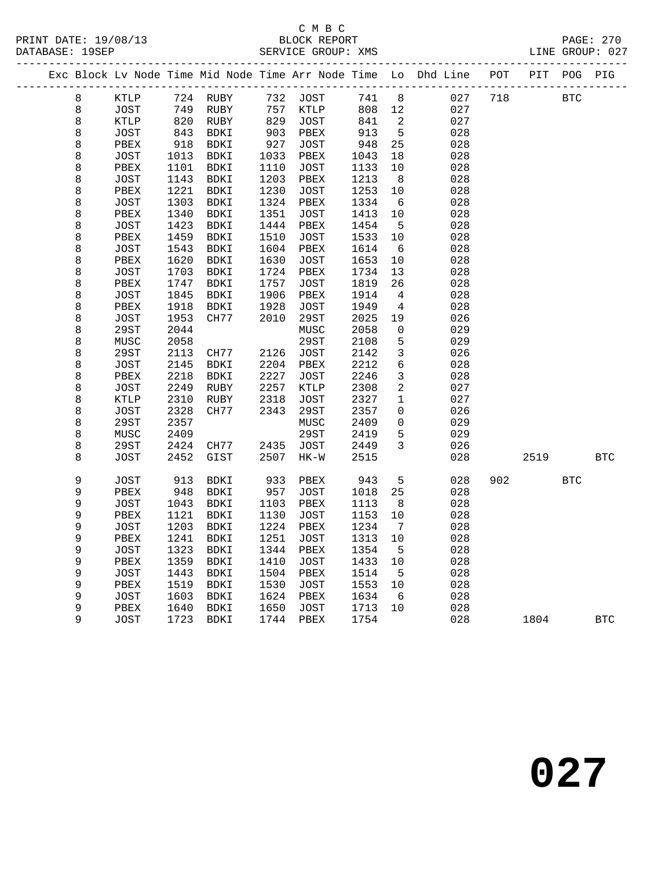PRINT DATE: 19/08/13 BLOCK REPORT<br>DATABASE: 19SEP SERVICE GROUP: XMS

## C M B C<br>BLOCK REPORT

PAGE: 270<br>LINE GROUP: 027

|  |                    |              |                                                         |              |              |                     |              |                                | Exc Block Lv Node Time Mid Node Time Arr Node Time Lo Dhd Line POT PIT POG PIG |     |            |            |            |
|--|--------------------|--------------|---------------------------------------------------------|--------------|--------------|---------------------|--------------|--------------------------------|--------------------------------------------------------------------------------|-----|------------|------------|------------|
|  | $\,8\,$            | <b>KTLP</b>  |                                                         | 724 RUBY     |              | 732 JOST            |              |                                | 741 8<br>027                                                                   | 718 | <b>BTC</b> |            |            |
|  | $\,8\,$            | JOST         |                                                         | RUBY         | 757<br>829   | KTLP                | 808 12       |                                | 027                                                                            |     |            |            |            |
|  | 8                  | KTLP         | $\begin{array}{c} \n 820 \\  \hline\n 13\n \end{array}$ | RUBY         |              | JOST                | 841          | $\overline{\phantom{a}}$       | 027                                                                            |     |            |            |            |
|  | $\,8\,$            | JOST         | 843<br>918                                              | BDKI         | 903          | PBEX                | 913          | $5^{\circ}$                    | 028                                                                            |     |            |            |            |
|  | 8                  | PBEX         |                                                         | BDKI         | 927          | JOST                | 948          | 25                             | 028                                                                            |     |            |            |            |
|  | 8                  | JOST         | 1013                                                    | BDKI         | 1033         | PBEX                | 1043         | 18                             | 028                                                                            |     |            |            |            |
|  | $\,8\,$            | PBEX         | 1101                                                    | BDKI         | 1110         | JOST                | 1133         | 10                             | 028                                                                            |     |            |            |            |
|  | $\,8\,$            | JOST         | 1143                                                    | BDKI         | 1203         | ${\tt PBEX}$        | 1213         | 8                              | 028                                                                            |     |            |            |            |
|  | $\,8\,$            | PBEX         | 1221                                                    | BDKI         | 1230         | JOST                | 1253         | 10                             | 028                                                                            |     |            |            |            |
|  | 8                  | JOST         | 1303                                                    | BDKI         | 1324         | PBEX                | 1334         | $6\overline{6}$                | 028                                                                            |     |            |            |            |
|  | $\,8\,$            | ${\tt PBEX}$ | 1340                                                    | BDKI         | 1351         | JOST                | 1413         | 10                             | 028                                                                            |     |            |            |            |
|  | $\,8\,$            | JOST         | 1423                                                    | BDKI         | 1444         | PBEX                | 1454         | $5^{\circ}$                    | 028                                                                            |     |            |            |            |
|  | $\,8\,$            | PBEX         | 1459                                                    | BDKI         | 1510         | <b>JOST</b>         | 1533         | 10                             | 028                                                                            |     |            |            |            |
|  | 8                  | JOST         | 1543                                                    | BDKI         | 1604         | PBEX                | 1614         | 6                              | 028                                                                            |     |            |            |            |
|  | $\,8\,$            | PBEX         | 1620                                                    | BDKI         | 1630         | <b>JOST</b>         | 1653         | 10                             | 028                                                                            |     |            |            |            |
|  | $\,8\,$            | <b>JOST</b>  | 1703                                                    | BDKI         | 1724         | PBEX                | 1734         | 13                             | 028                                                                            |     |            |            |            |
|  | $\,8\,$            | PBEX         | 1747                                                    | BDKI         | 1757         | JOST                | 1819         | 26                             | 028                                                                            |     |            |            |            |
|  | $\,8\,$            | JOST         | 1845                                                    | BDKI         | 1906         | PBEX                | 1914         | $\overline{4}$                 | 028                                                                            |     |            |            |            |
|  | $\,8\,$            | PBEX         | 1918                                                    | BDKI         | 1928         | <b>JOST</b>         | 1949         | $\overline{4}$                 | 028                                                                            |     |            |            |            |
|  | $\,8\,$            | JOST         | 1953                                                    | CH77         | 2010         | 29ST                | 2025         | 19                             | 026                                                                            |     |            |            |            |
|  | $\,8\,$            | 29ST         | 2044                                                    |              |              | MUSC                | 2058         | $\mathsf{O}\xspace$            | 029                                                                            |     |            |            |            |
|  | $\,8\,$            | MUSC         | 2058                                                    |              |              | 29ST                | 2108         | 5                              | 029                                                                            |     |            |            |            |
|  | 8                  | 29ST         | 2113                                                    | CH77         | 2126         | JOST                | 2142         | $\mathbf{3}$                   | 026                                                                            |     |            |            |            |
|  | 8                  | JOST         | 2145                                                    | BDKI         | 2204         | PBEX                | 2212         | $6\overline{6}$                | 028                                                                            |     |            |            |            |
|  | 8                  | PBEX         | 2218                                                    | BDKI         | 2227         | JOST                | 2246         | $\mathbf{3}$<br>$\overline{a}$ | 028                                                                            |     |            |            |            |
|  | $\,8\,$            | JOST         | 2249                                                    | RUBY         | 2257<br>2318 | KTLP<br><b>JOST</b> | 2308<br>2327 | $\mathbf 1$                    | 027                                                                            |     |            |            |            |
|  | $\,8\,$<br>$\,8\,$ | KTLP<br>JOST | 2310<br>2328                                            | RUBY<br>CH77 | 2343         |                     | 2357         | $\mathsf{O}$                   | 027<br>026                                                                     |     |            |            |            |
|  | $\,8\,$            | 29ST         | 2357                                                    |              |              | 29ST<br>MUSC        | 2409         | $\mathsf{O}$                   | 029                                                                            |     |            |            |            |
|  | $\,8\,$            | MUSC         | 2409                                                    |              |              | 29ST                | 2419         | 5                              | 029                                                                            |     |            |            |            |
|  | 8                  | 29ST         | 2424                                                    | CH77         | 2435         | JOST                | 2449         | $\overline{3}$                 | 026                                                                            |     |            |            |            |
|  | 8                  | <b>JOST</b>  | 2452                                                    | GIST         | 2507         | $HK-W$              | 2515         |                                | 028                                                                            |     | 2519       |            | <b>BTC</b> |
|  |                    |              |                                                         |              |              |                     |              |                                |                                                                                |     |            |            |            |
|  | 9                  | JOST         | 913                                                     | BDKI         | 933          | ${\tt PBEX}$        | 943          | $5\overline{)}$                | 028                                                                            | 902 |            | <b>BTC</b> |            |
|  | $\mathsf 9$        | PBEX         | 948                                                     | BDKI         | 957          | JOST                | 1018         | 25                             | 028                                                                            |     |            |            |            |
|  | 9                  | JOST         | 1043                                                    | BDKI         | 1103         | PBEX                | 1113         | 8                              | 028                                                                            |     |            |            |            |
|  | $\mathsf 9$        | ${\tt PBEX}$ | 1121                                                    | BDKI         | 1130         | <b>JOST</b>         | 1153         | 10                             | 028                                                                            |     |            |            |            |
|  | 9                  | <b>JOST</b>  | 1203                                                    | BDKI         | 1224         | PBEX                | 1234         | $7\phantom{.0}\phantom{.0}7$   | 028                                                                            |     |            |            |            |
|  | 9                  | PBEX         | 1241                                                    | BDKI         | 1251         | JOST                | 1313         | 10                             | 028                                                                            |     |            |            |            |
|  | 9                  | <b>JOST</b>  | 1323                                                    | BDKI         | 1344         | PBEX                | 1354         | $5\overline{5}$                | 028                                                                            |     |            |            |            |
|  | 9                  | PBEX         | 1359                                                    | BDKI         | 1410         | JOST                | 1433         | 10                             | 028                                                                            |     |            |            |            |
|  | 9                  | JOST         | 1443                                                    | BDKI         | 1504         | PBEX                | 1514         | $-5$                           | 028                                                                            |     |            |            |            |
|  | $\mathsf 9$        | PBEX         | 1519                                                    | BDKI         | 1530         | JOST                | 1553         | 10                             | 028                                                                            |     |            |            |            |
|  | 9                  | JOST         | 1603                                                    | BDKI         | 1624         | PBEX                | 1634         | 6                              | 028                                                                            |     |            |            |            |
|  | 9                  | PBEX         | 1640                                                    | BDKI         | 1650         | JOST                | 1713         | 10                             | 028                                                                            |     |            |            |            |
|  | 9                  | JOST         | 1723                                                    | <b>BDKI</b>  | 1744         | PBEX                | 1754         |                                | 028                                                                            |     | 1804       |            | <b>BTC</b> |
|  |                    |              |                                                         |              |              |                     |              |                                |                                                                                |     |            |            |            |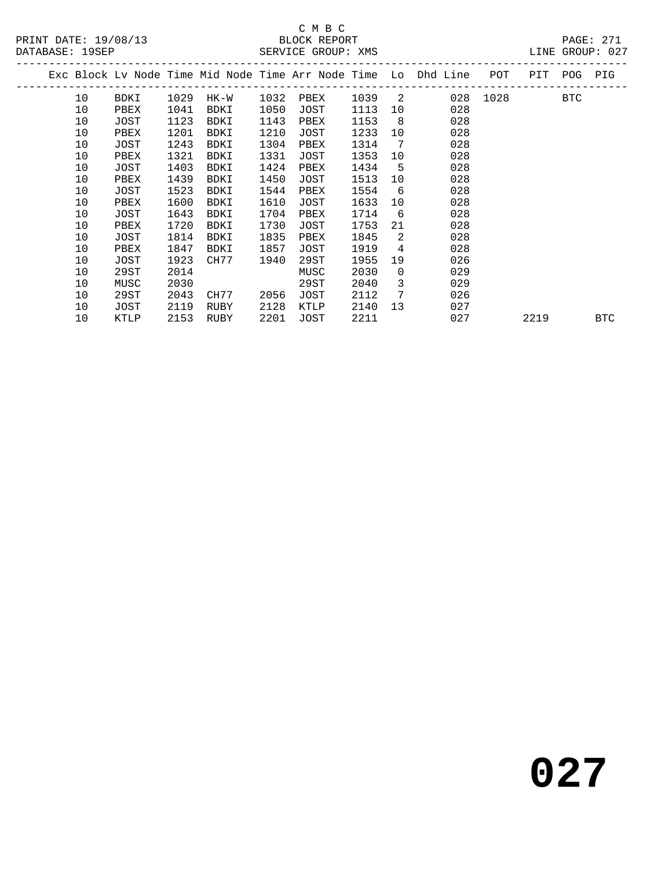### C M B C<br>BLOCK REPORT SERVICE GROUP: XMS

|  |    |      |      |      |      |      |      |          | Exc Block Lv Node Time Mid Node Time Arr Node Time Lo Dhd Line | POT  | PIT  | <b>POG</b> | PIG        |
|--|----|------|------|------|------|------|------|----------|----------------------------------------------------------------|------|------|------------|------------|
|  | 10 | BDKI | 1029 | HK-W | 1032 | PBEX | 1039 | 2        | 028                                                            | 1028 |      | <b>BTC</b> |            |
|  | 10 | PBEX | 1041 | BDKI | 1050 | JOST | 1113 | 10       | 028                                                            |      |      |            |            |
|  | 10 | JOST | 1123 | BDKI | 1143 | PBEX | 1153 | - 8      | 028                                                            |      |      |            |            |
|  | 10 | PBEX | 1201 | BDKI | 1210 | JOST | 1233 | 10       | 028                                                            |      |      |            |            |
|  | 10 | JOST | 1243 | BDKI | 1304 | PBEX | 1314 | -7       | 028                                                            |      |      |            |            |
|  | 10 | PBEX | 1321 | BDKI | 1331 | JOST | 1353 | 10       | 028                                                            |      |      |            |            |
|  | 10 | JOST | 1403 | BDKI | 1424 | PBEX | 1434 | -5       | 028                                                            |      |      |            |            |
|  | 10 | PBEX | 1439 | BDKI | 1450 | JOST | 1513 | 10       | 028                                                            |      |      |            |            |
|  | 10 | JOST | 1523 | BDKI | 1544 | PBEX | 1554 | 6        | 028                                                            |      |      |            |            |
|  | 10 | PBEX | 1600 | BDKI | 1610 | JOST | 1633 | 10       | 028                                                            |      |      |            |            |
|  | 10 | JOST | 1643 | BDKI | 1704 | PBEX | 1714 | 6        | 028                                                            |      |      |            |            |
|  | 10 | PBEX | 1720 | BDKI | 1730 | JOST | 1753 | 21       | 028                                                            |      |      |            |            |
|  | 10 | JOST | 1814 | BDKI | 1835 | PBEX | 1845 | 2        | 028                                                            |      |      |            |            |
|  | 10 | PBEX | 1847 | BDKI | 1857 | JOST | 1919 | 4        | 028                                                            |      |      |            |            |
|  | 10 | JOST | 1923 | CH77 | 1940 | 29ST | 1955 | 19       | 026                                                            |      |      |            |            |
|  | 10 | 29ST | 2014 |      |      | MUSC | 2030 | $\Omega$ | 029                                                            |      |      |            |            |
|  | 10 | MUSC | 2030 |      |      | 29ST | 2040 | 3        | 029                                                            |      |      |            |            |
|  | 10 | 29ST | 2043 | CH77 | 2056 | JOST | 2112 | 7        | 026                                                            |      |      |            |            |
|  | 10 | JOST | 2119 | RUBY | 2128 | KTLP | 2140 | 13       | 027                                                            |      |      |            |            |
|  | 10 | KTLP | 2153 | RUBY | 2201 | JOST | 2211 |          | 027                                                            |      | 2219 |            | <b>BTC</b> |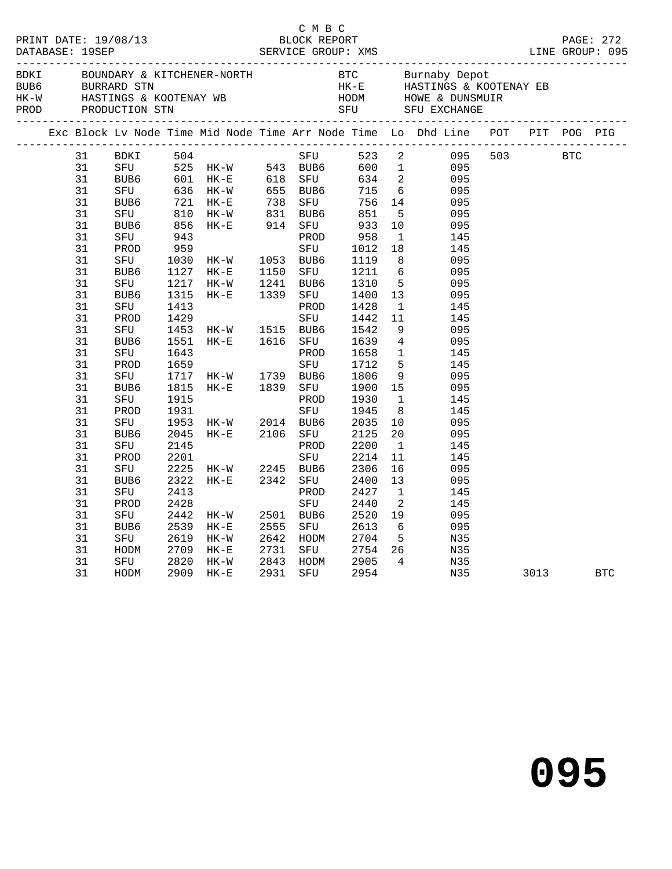|  |    |             |      |                                                  |              | C M B C   |                        |                 |                                                                                                                                                                                                                                             |  |          |  |
|--|----|-------------|------|--------------------------------------------------|--------------|-----------|------------------------|-----------------|---------------------------------------------------------------------------------------------------------------------------------------------------------------------------------------------------------------------------------------------|--|----------|--|
|  |    |             |      |                                                  |              |           |                        |                 |                                                                                                                                                                                                                                             |  |          |  |
|  |    |             |      |                                                  |              |           |                        |                 | Exc Block Lv Node Time Mid Node Time Arr Node Time Lo Dhd Line POT PIT POG PIG                                                                                                                                                              |  |          |  |
|  |    | 31 BDKI 504 |      |                                                  |              |           |                        |                 | BDKI 504<br>SFU 525 HK-W 543 BUB6 600 1 095<br>BUB6 601 HK-E 618 SFU 634 2 095<br>SFU 636 HK-W 655 BUB6 715 6 095<br>BUB6 721 HK-E 738 SFU 756 14 095<br>SFU 810 HK-W 831 BUB6 851 5 095<br>SFU 810 HK-W 831 BUB6 851 5 095<br>BUB6 856 HK- |  |          |  |
|  | 31 |             |      |                                                  |              |           |                        |                 |                                                                                                                                                                                                                                             |  |          |  |
|  | 31 |             |      |                                                  |              |           |                        |                 |                                                                                                                                                                                                                                             |  |          |  |
|  | 31 |             |      |                                                  |              |           |                        |                 |                                                                                                                                                                                                                                             |  |          |  |
|  | 31 |             |      |                                                  |              |           |                        |                 |                                                                                                                                                                                                                                             |  |          |  |
|  | 31 |             |      |                                                  |              |           |                        |                 |                                                                                                                                                                                                                                             |  |          |  |
|  | 31 |             |      |                                                  |              |           |                        |                 |                                                                                                                                                                                                                                             |  |          |  |
|  | 31 |             |      |                                                  |              |           |                        |                 |                                                                                                                                                                                                                                             |  |          |  |
|  | 31 | PROD        | 959  |                                                  |              | SFU       | 1012                   |                 | 18   145                                                                                                                                                                                                                                    |  |          |  |
|  | 31 | SFU         |      |                                                  |              |           | 1119 8                 |                 | 095                                                                                                                                                                                                                                         |  |          |  |
|  | 31 | BUB6        |      | 1127 HK-E                                        | 1150         | SFU       | 1211                   |                 | $6\overline{6}$<br>095                                                                                                                                                                                                                      |  |          |  |
|  | 31 | SFU         |      | 1217 HK-W                                        |              | BUB6      | 1310                   | 5 <sub>5</sub>  | 095                                                                                                                                                                                                                                         |  |          |  |
|  | 31 | BUB6        | 1315 | $HK-E$                                           | 1241<br>1339 | SFU       | 1400 13                |                 | 095                                                                                                                                                                                                                                         |  |          |  |
|  | 31 | SFU         | 1413 |                                                  |              | PROD      | 1428                   | $\overline{1}$  | 145                                                                                                                                                                                                                                         |  |          |  |
|  | 31 | PROD        | 1429 |                                                  |              | SFU       | 1442                   | 11              | 145                                                                                                                                                                                                                                         |  |          |  |
|  | 31 | SFU         | 1453 |                                                  |              | BUB6      |                        |                 | 1542 9 095<br>1639 4 095                                                                                                                                                                                                                    |  |          |  |
|  | 31 | BUB6        | 1551 | HK-W 1515<br>HK-E 1616                           |              | SFU       |                        |                 |                                                                                                                                                                                                                                             |  |          |  |
|  | 31 | SFU         | 1643 |                                                  |              | PROD      |                        |                 | $1658$ 1 $145$<br>$-72$ 5 $145$                                                                                                                                                                                                             |  |          |  |
|  | 31 | PROD        | 1659 |                                                  |              | SFU       |                        |                 |                                                                                                                                                                                                                                             |  |          |  |
|  | 31 | SFU         |      |                                                  |              | BUB6      | 1806 9                 |                 | 095                                                                                                                                                                                                                                         |  |          |  |
|  | 31 | BUB6        |      |                                                  |              | SFU       | 1900 15                |                 | 095                                                                                                                                                                                                                                         |  |          |  |
|  | 31 | SFU         |      |                                                  |              | PROD      | 1930                   | $\overline{1}$  | 145                                                                                                                                                                                                                                         |  |          |  |
|  | 31 | PROD        |      | 1717 HK-W 1739<br>1815 HK-E 1839<br>1915<br>1931 |              | SFU       | 1945                   | 8 <sup>8</sup>  | 145                                                                                                                                                                                                                                         |  |          |  |
|  | 31 | SFU         | 1953 | HK-W 2014                                        |              | BUB6      | 2035 10                |                 | 095                                                                                                                                                                                                                                         |  |          |  |
|  | 31 | BUB6        | 2045 | $HK-E$ 2106                                      |              | SFU       | 2125                   | 20 <sub>o</sub> | 095                                                                                                                                                                                                                                         |  |          |  |
|  | 31 | SFU         | 2145 |                                                  |              | PROD      | 2200                   | $\overline{1}$  | 145                                                                                                                                                                                                                                         |  |          |  |
|  | 31 | PROD        | 2201 |                                                  |              | SFU       | 2214<br>$2217$<br>2306 | 11              | 145                                                                                                                                                                                                                                         |  |          |  |
|  | 31 | SFU         |      | $2225$ HK-W 2245                                 |              | BUB6      |                        | 16              | 095                                                                                                                                                                                                                                         |  |          |  |
|  | 31 | BUB6        | 2322 | $HK-E$                                           | 2342         | SFU       | 2400                   | 13              | 095                                                                                                                                                                                                                                         |  |          |  |
|  | 31 | SFU         | 2413 |                                                  |              | PROD      | 2427                   | $\mathbf{1}$    | 145                                                                                                                                                                                                                                         |  |          |  |
|  | 31 | PROD        | 2428 |                                                  |              | SFU       | 2440                   | $\overline{2}$  | 145                                                                                                                                                                                                                                         |  |          |  |
|  | 31 | SFU         | 2442 | $HK-W$                                           |              | 2501 BUB6 | 2520 19                |                 | 095                                                                                                                                                                                                                                         |  |          |  |
|  | 31 | BUB6        | 2539 | $HK-E$                                           | 2555         | SFU       | 2613 6                 |                 | 095                                                                                                                                                                                                                                         |  |          |  |
|  | 31 | SFU         | 2619 | HK-W                                             | 2642         | HODM      | 2704 5                 |                 | N35                                                                                                                                                                                                                                         |  |          |  |
|  | 31 | HODM        | 2709 | $HK-E$                                           | 2731         |           |                        |                 | SFU 2754 26 N35                                                                                                                                                                                                                             |  |          |  |
|  | 31 | SFU         | 2820 | HK-W                                             | 2843<br>2931 | HODM      | 2905                   | $\overline{4}$  | N35                                                                                                                                                                                                                                         |  |          |  |
|  | 31 | HODM        | 2909 | $HK-E$                                           | 2931         | SFU       | 2954                   |                 | ECN<br>N35                                                                                                                                                                                                                                  |  | 3013 BTC |  |
|  |    |             |      |                                                  |              |           |                        |                 |                                                                                                                                                                                                                                             |  |          |  |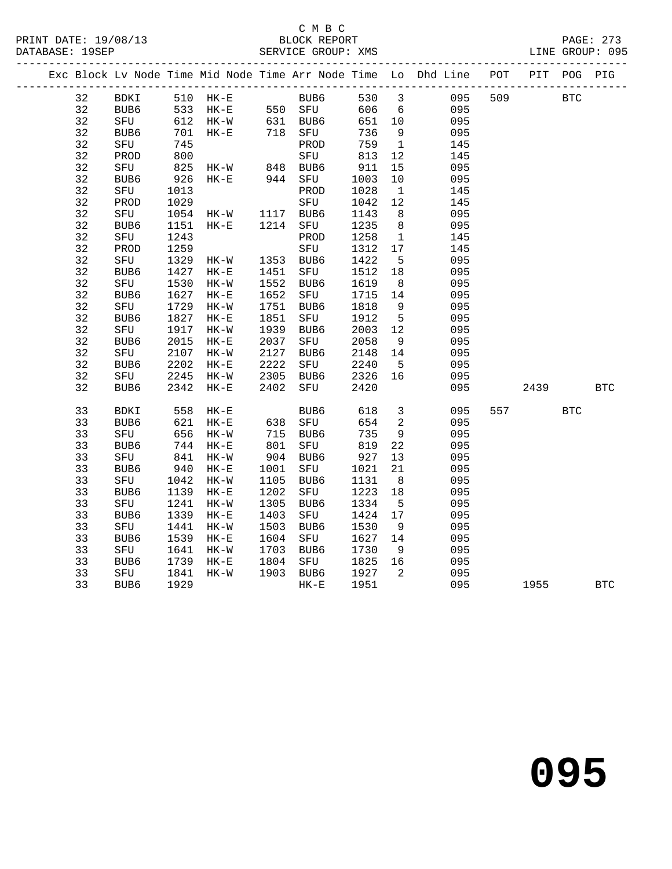## C M B C<br>BLOCK REPORT

|  |    | Exc Block Lv Node Time Mid Node Time Arr Node Time Lo Dhd Line POT PIT POG PIG |              |                      |                                 |        |                                           |                          |     |     |             |            |            |
|--|----|--------------------------------------------------------------------------------|--------------|----------------------|---------------------------------|--------|-------------------------------------------|--------------------------|-----|-----|-------------|------------|------------|
|  | 32 | BDKI 510 HK-E BUB6 530 3                                                       |              |                      |                                 |        |                                           |                          |     |     | 095 509 BTC |            |            |
|  | 32 | BUB6 533 HK-E<br>SFU 612 HK-W                                                  |              |                      |                                 |        | 550 SFU 606 6<br>631 BUB6 651 10<br>606 6 |                          | 095 |     |             |            |            |
|  | 32 |                                                                                |              |                      |                                 |        |                                           |                          | 095 |     |             |            |            |
|  | 32 | BUB6                                                                           | 701          | $HK-E$               | 718 SFU                         |        | 736                                       | $\overline{9}$           | 095 |     |             |            |            |
|  | 32 | SFU                                                                            | 745          |                      |                                 | PROD   | 759                                       | $\overline{1}$           | 145 |     |             |            |            |
|  | 32 | PROD                                                                           | 800          |                      |                                 | SFU    | 813 12                                    |                          | 145 |     |             |            |            |
|  | 32 | SFU                                                                            | 825          |                      | HK-W 848 BUB6<br>HK-E 944 SFU   |        | 911                                       | 15                       | 095 |     |             |            |            |
|  | 32 | BUB6                                                                           | 926          |                      |                                 |        | 1003                                      | 10                       | 095 |     |             |            |            |
|  | 32 | SFU                                                                            | 1013         |                      |                                 | PROD   | 1028                                      | $\overline{1}$           | 145 |     |             |            |            |
|  | 32 | PROD                                                                           |              |                      |                                 |        | 1042                                      | 12                       | 145 |     |             |            |            |
|  | 32 | SFU                                                                            |              |                      | 1029 SFU<br>1054 HK-W 1117 BUB6 |        | 1143                                      | 8 <sup>8</sup>           | 095 |     |             |            |            |
|  | 32 | BUB6                                                                           | 1151         | $HK-E$               | 1214                            | SFU    | 1235                                      | 8 <sup>8</sup>           | 095 |     |             |            |            |
|  | 32 | SFU                                                                            | 1243         |                      |                                 | PROD   | 1258                                      | $\mathbf{1}$             | 145 |     |             |            |            |
|  | 32 | PROD                                                                           | 1259         |                      |                                 | SFU    | 1312                                      | 17                       | 145 |     |             |            |            |
|  | 32 | SFU                                                                            | 1329         | HK-W                 | 1353                            | BUB6   | 1422                                      | $5^{\circ}$              | 095 |     |             |            |            |
|  | 32 | BUB6                                                                           | 1427         | HK-E                 | 1451                            | SFU    | 1512                                      | 18                       | 095 |     |             |            |            |
|  | 32 | SFU                                                                            | 1530         | $HK-W$               | 1552                            | BUB6   | 1619                                      | 8 <sup>8</sup>           | 095 |     |             |            |            |
|  | 32 | BUB6                                                                           | 1627         | $HK-E$               | 1652                            | SFU    | 1715                                      | 14                       | 095 |     |             |            |            |
|  | 32 | SFU                                                                            | 1729         | $HK-W$               | 1751                            | BUB6   | 1818                                      | 9                        | 095 |     |             |            |            |
|  | 32 | BUB6                                                                           | 1827         | $HK-E$               | 1851                            | SFU    | 1912                                      | $5^{\circ}$              | 095 |     |             |            |            |
|  | 32 | SFU                                                                            | 1917         | $HK-W$               | 1939                            | BUB6   | 2003 12                                   |                          | 095 |     |             |            |            |
|  | 32 | BUB6                                                                           | 1917<br>2015 | $\rm{HK}\!-\!\rm{E}$ | 2037                            | SFU    | 2058                                      | 9                        | 095 |     |             |            |            |
|  | 32 | SFU                                                                            | 2107         | $HK-W$               | 2127                            | BUB6   | 2148 14                                   |                          | 095 |     |             |            |            |
|  | 32 | BUB <sub>6</sub>                                                               |              | $HK-E$               |                                 | SFU    |                                           | $-5$                     | 095 |     |             |            |            |
|  | 32 | SFU                                                                            | 2202<br>2245 | HK-W                 | 2222<br>2305                    | BUB6   | 2240<br>2326                              | 16                       | 095 |     |             |            |            |
|  | 32 | BUB6                                                                           | 2342         | $HK-E$               | 2402                            | SFU    | 2420                                      |                          | 095 |     | 2439        |            | <b>BTC</b> |
|  | 33 | BDKI                                                                           | 558          | $HK-E$               |                                 | BUB6   | 618                                       | $\overline{\mathbf{3}}$  | 095 | 557 |             | <b>BTC</b> |            |
|  | 33 | BUB6                                                                           |              | $HK-E$               |                                 |        | 654                                       | $\overline{\phantom{a}}$ | 095 |     |             |            |            |
|  | 33 | SFU                                                                            | 621<br>656   | $HK-W$               |                                 |        | 735                                       | 9                        | 095 |     |             |            |            |
|  | 33 | BUB6                                                                           | 744 HK-E     |                      | 638 SFU<br>715 BUB6<br>801 SFU  |        | 819                                       | 22                       | 095 |     |             |            |            |
|  | 33 | SFU                                                                            | 841          | $HK-W$               | $904\n\n1001$                   | BUB6   | 927                                       | 13                       | 095 |     |             |            |            |
|  | 33 | BUB6                                                                           | 940          | $HK-E$               | 1001                            | SFU    | 1021                                      | 21                       | 095 |     |             |            |            |
|  | 33 | SFU                                                                            | 1042         | $HK-W$               | 1105                            | BUB6   | 1131                                      | 8 <sup>8</sup>           | 095 |     |             |            |            |
|  | 33 | BUB6                                                                           | 1139         | $HK-E$               | 1202                            | SFU    | 1223                                      | 18                       | 095 |     |             |            |            |
|  | 33 | SFU                                                                            | 1241         | $HK-W$               | 1305                            | BUB6   | 1334                                      | $5^{\circ}$              | 095 |     |             |            |            |
|  | 33 | BUB6                                                                           | 1339         | $HK-E$               | 1403                            | SFU    | 1424                                      | 17                       | 095 |     |             |            |            |
|  | 33 | SFU                                                                            | 1441         | $HK-W$               | 1503                            | BUB6   | 1530                                      | 9                        | 095 |     |             |            |            |
|  | 33 | BUB6                                                                           | 1539         | $HK-E$               | 1604                            | SFU    | 1627 14                                   |                          | 095 |     |             |            |            |
|  | 33 | SFU                                                                            | 1641         | $HK-W$               |                                 | BUB6   | 1730                                      | 9                        | 095 |     |             |            |            |
|  | 33 | BUB6                                                                           | 1739         | $HK-E$               | 1703<br>1804                    | SFU    | 1825                                      | 16                       | 095 |     |             |            |            |
|  | 33 | SFU                                                                            | 1841         | $HK-W$               | 1903 BUB6                       |        | 1927                                      | $\overline{2}$           | 095 |     |             |            |            |
|  | 33 | BUB6                                                                           | 1929         |                      |                                 | $HK-E$ | 1951                                      |                          | 095 |     | 1955        |            | <b>BTC</b> |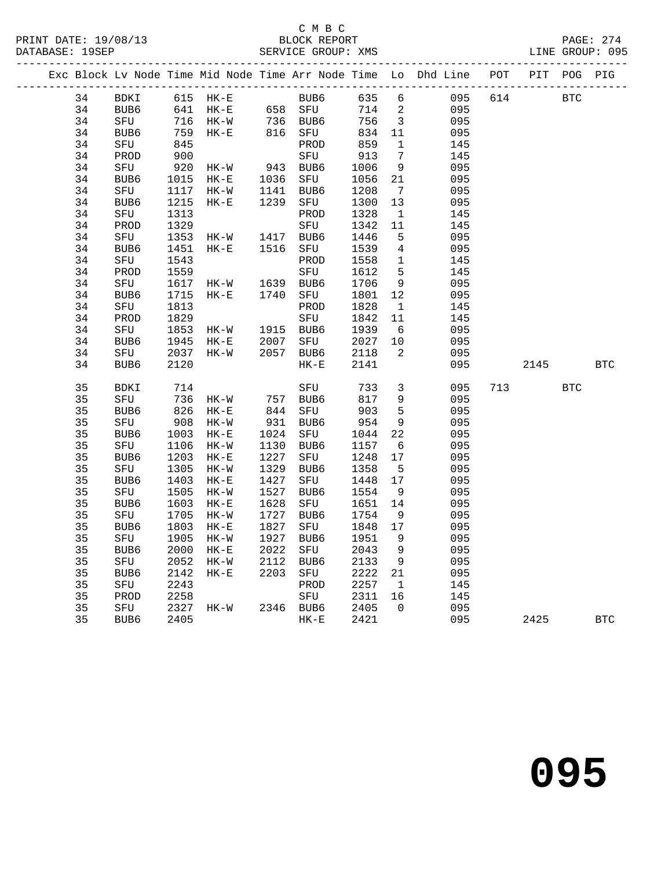## C M B C<br>BLOCK REPORT

| PRINT DATE: 19/08/13<br>DATABASE: 19SEP |    |      |      |                                           |      |                                    |      |                         | BLOCK REPORT<br>SERVICE GROUP: XMS                                             | LINE GROUP: 095 | PAGE: 274    |
|-----------------------------------------|----|------|------|-------------------------------------------|------|------------------------------------|------|-------------------------|--------------------------------------------------------------------------------|-----------------|--------------|
|                                         |    |      |      |                                           |      |                                    |      |                         | Exc Block Lv Node Time Mid Node Time Arr Node Time Lo Dhd Line POT PIT POG PIG |                 |              |
|                                         |    |      |      |                                           |      |                                    |      |                         | 34 BDKI 615 HK-E BUB6 635 6 095                                                | 614 BTC         |              |
|                                         | 34 |      |      |                                           |      | BUB6 641 HK-E 658 SFU              |      |                         | 714 2<br>095                                                                   |                 |              |
|                                         | 34 | SFU  |      |                                           |      | 716 HK-W 736 BUB6                  |      |                         | 756 3<br>095                                                                   |                 |              |
|                                         | 34 |      |      | BUB6 759 HK-E 816 SFU                     |      |                                    | 834  | 11                      | 095                                                                            |                 |              |
|                                         | 34 | SFU  | 845  |                                           |      | PROD                               | 859  | 1                       | 145                                                                            |                 |              |
|                                         | 34 | PROD | 900  |                                           |      | SFU 913                            |      | $\overline{7}$          | 145                                                                            |                 |              |
|                                         | 34 | SFU  | 920  | $HK-W$ 943                                |      | BUB6                               | 1006 | 9                       | 095                                                                            |                 |              |
|                                         | 34 | BUB6 |      | 1015 HK-E                                 | 1036 | SFU                                | 1056 | 21                      | 095                                                                            |                 |              |
|                                         | 34 | SFU  |      | 1117 НК-W<br>1215 НК-Е                    | 1141 | BUB6                               | 1208 | $\overline{7}$          | 095                                                                            |                 |              |
|                                         | 34 | BUB6 |      |                                           | 1239 | SFU                                | 1300 | 13                      | 095                                                                            |                 |              |
|                                         | 34 | SFU  | 1313 |                                           |      | PROD                               | 1328 | $\overline{\mathbf{1}}$ | 145                                                                            |                 |              |
|                                         | 34 | PROD | 1329 |                                           |      | SFU                                | 1342 | 11                      | 145                                                                            |                 |              |
|                                         | 34 | SFU  |      | 1353 HK-W 1417 BUB6<br>1451 HK-E 1516 SFU |      |                                    | 1446 | $5\overline{)}$         | 095                                                                            |                 |              |
|                                         | 34 | BUB6 |      |                                           |      | SFU                                | 1539 | $\overline{4}$          | 095                                                                            |                 |              |
|                                         | 34 | SFU  | 1543 |                                           |      | PROD                               | 1558 | $\overline{1}$          | 145                                                                            |                 |              |
|                                         | 34 | PROD | 1559 |                                           |      | SFU                                | 1612 | 5                       | 145                                                                            |                 |              |
|                                         | 34 | SFU  |      | 1617 HK-W 1639<br>1715 HK-E 1740          |      | BUB6                               | 1706 | 9                       | 095                                                                            |                 |              |
|                                         | 34 | BUB6 |      |                                           |      | SFU                                | 1801 | 12                      | 095                                                                            |                 |              |
|                                         | 34 | SFU  | 1813 |                                           |      | PROD                               | 1828 | $\overline{1}$          | 145                                                                            |                 |              |
|                                         | 34 | PROD | 1829 |                                           |      | SFU                                | 1842 | 11                      | 145                                                                            |                 |              |
|                                         | 34 | SFU  |      |                                           |      |                                    | 1939 | 6                       | 095                                                                            |                 |              |
|                                         | 34 | BUB6 |      | 1853 HK-W 1915 BUB6<br>1945 HK-E 2007 SFU |      | SFU                                | 2027 | 10                      | 095                                                                            |                 |              |
|                                         | 34 | SFU  |      | 2037 HK-W                                 | 2057 | BUB6                               | 2118 | $\overline{\mathbf{2}}$ | 095                                                                            |                 |              |
|                                         | 34 | BUB6 | 2120 |                                           |      | $HK-E$                             | 2141 |                         | 095                                                                            | 2145 BTC        |              |
|                                         | 35 | BDKI | 714  |                                           |      | SFU                                | 733  |                         | $3 \left( \frac{1}{2} \right)$<br>095                                          | 713 BTC         |              |
|                                         | 35 | SFU  | 736  | HK-W 757 BUB6                             |      |                                    | 817  |                         | 9<br>095                                                                       |                 |              |
|                                         | 35 | BUB6 | 826  | $HK-E$                                    |      | 844 SFU                            | 903  |                         | $5^{\circ}$<br>095                                                             |                 |              |
|                                         | 35 | SFU  | 908  | HK-W                                      | 931  | BUB6                               | 954  | 9                       | 095                                                                            |                 |              |
|                                         | 35 | BUB6 | 1003 | $HK-E$                                    | 1024 | SFU                                | 1044 | 22                      | 095                                                                            |                 |              |
|                                         | 35 | SFU  | 1106 | HK-W                                      | 1130 | BUB6                               | 1157 | $6\overline{6}$         | 095                                                                            |                 |              |
|                                         | 35 | BUB6 | 1203 | $HK-E$                                    | 1227 | SFU                                | 1248 | 17                      | 095                                                                            |                 |              |
|                                         | 35 | SFU  | 1305 | HK-W                                      | 1329 | BUB6                               | 1358 | $5^{\circ}$             | 095                                                                            |                 |              |
|                                         | 35 | BUB6 | 1403 | HK-E                                      | 1427 | SFU                                | 1448 | 17                      | 095                                                                            |                 |              |
|                                         | 35 | SFU  |      | 1505 HK-W                                 | 1527 | BUB6                               | 1554 | 9                       | 095                                                                            |                 |              |
|                                         | 35 | BUB6 |      | 1603 HK-E                                 | 1628 | SFU 1651 14                        |      |                         | 095                                                                            |                 |              |
|                                         | 35 | SFU  |      | 1705 HK-W                                 | 1727 | BUB6                               | 1754 | 9                       | 095                                                                            |                 |              |
|                                         |    |      |      |                                           |      | 35 BUB6 1803 HK-E 1827 SFU 1848 17 |      |                         | 095                                                                            |                 |              |
|                                         | 35 | SFU  | 1905 | HK-W                                      | 1927 | BUB6                               | 1951 | 9                       | 095                                                                            |                 |              |
|                                         | 35 | BUB6 | 2000 | $HK-E$                                    | 2022 | SFU                                | 2043 | 9                       | 095                                                                            |                 |              |
|                                         | 35 | SFU  | 2052 | $HK-W$                                    | 2112 | BUB6                               | 2133 | 9                       | 095                                                                            |                 |              |
|                                         | 35 | BUB6 | 2142 | $HK-E$                                    | 2203 | SFU                                | 2222 | 21                      | 095                                                                            |                 |              |
|                                         | 35 | SFU  | 2243 |                                           |      | PROD                               | 2257 | $\mathbf 1$             | 145                                                                            |                 |              |
|                                         | 35 | PROD | 2258 |                                           |      | SFU                                | 2311 | 16                      | 145                                                                            |                 |              |
|                                         | 35 | SFU  | 2327 | HK-W                                      | 2346 | BUB6                               | 2405 | 0                       | 095                                                                            |                 |              |
|                                         | 35 | BUB6 | 2405 |                                           |      | $HK-E$                             | 2421 |                         | 095                                                                            | 2425            | $_{\rm BTC}$ |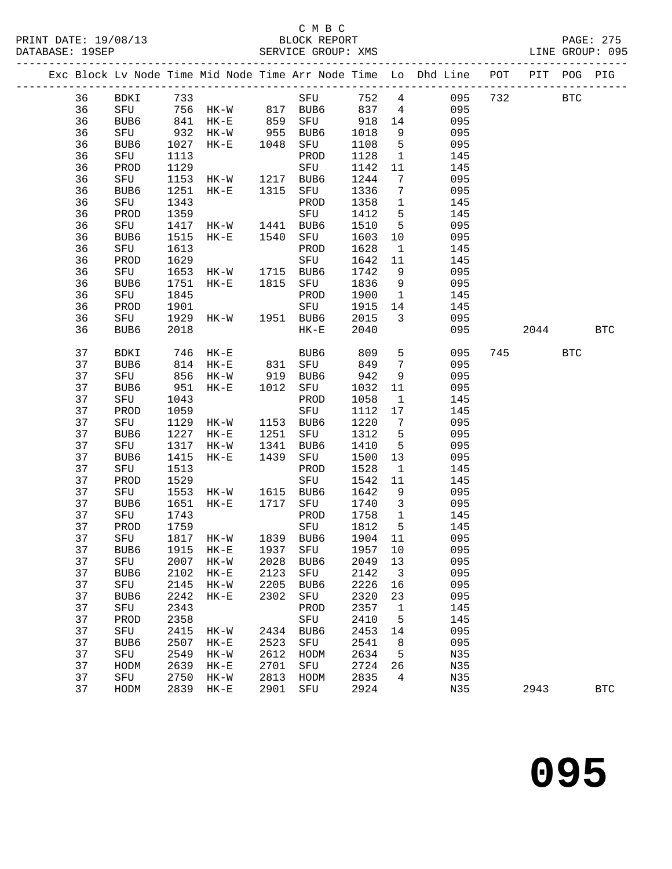#### C M B C<br>BLOCK REPORT SERVICE GROUP: XMS

|  |          |             |              |                                                            |      |                            |              |                                         | Exc Block Lv Node Time Mid Node Time Arr Node Time Lo Dhd Line POT |     | PIT        | POG        | PIG          |
|--|----------|-------------|--------------|------------------------------------------------------------|------|----------------------------|--------------|-----------------------------------------|--------------------------------------------------------------------|-----|------------|------------|--------------|
|  | 36       | BDKI        | 733          |                                                            |      | SFU                        | 752          | $4\overline{ }$                         | 095                                                                | 732 |            | <b>BTC</b> |              |
|  | 36       | SFU         |              |                                                            |      |                            | 837          | $4\overline{4}$                         | 095                                                                |     |            |            |              |
|  | 36       | BUB6        |              | 756 HK-W 817 BUB6<br>841 HK-E 859 SFU<br>932 HK-W 955 BUB6 |      |                            | 918          | 14                                      | 095                                                                |     |            |            |              |
|  | 36       | SFU         |              |                                                            |      |                            | 1018         | 9                                       | 095                                                                |     |            |            |              |
|  | 36       | BUB6        | 1027         | $HK-E$                                                     | 1048 | SFU                        | 1108         | 5                                       | 095                                                                |     |            |            |              |
|  | 36       | SFU         | 1113         |                                                            |      | PROD                       | 1128         | $\mathbf{1}$                            | 145                                                                |     |            |            |              |
|  | 36       | PROD        | 1129         |                                                            |      | SFU                        | 1142         | 11                                      | 145                                                                |     |            |            |              |
|  | 36       | SFU         | 1153         | HK-W                                                       | 1217 | BUB6                       | 1244         | $7\phantom{.0}$                         | 095                                                                |     |            |            |              |
|  | 36       | BUB6        | 1251         | $HK-E$                                                     | 1315 | SFU                        | 1336         | $7\phantom{.0}\phantom{.0}7$            | 095                                                                |     |            |            |              |
|  | 36       | SFU         | 1343         |                                                            |      | PROD                       | 1358         | $\mathbf{1}$                            | 145                                                                |     |            |            |              |
|  | 36       | PROD        | 1359         |                                                            |      | SFU                        | 1412         | $5\overline{5}$                         | 145                                                                |     |            |            |              |
|  | 36       | SFU         | 1417         | $HK-W$                                                     | 1441 | BUB6                       | 1510         | $5\overline{)}$                         | 095                                                                |     |            |            |              |
|  | 36       | BUB6        | 1515         | $HK-E$                                                     | 1540 | SFU                        | 1603         | 10                                      | 095                                                                |     |            |            |              |
|  | 36       | SFU         | 1613         |                                                            |      | PROD                       | 1628         | $\mathbf{1}$                            | 145                                                                |     |            |            |              |
|  | 36       | PROD        | 1629         |                                                            |      | SFU                        | 1642         | 11                                      | 145                                                                |     |            |            |              |
|  | 36       | SFU         | 1653         | HK-W                                                       | 1715 | BUB6                       | 1742         | 9                                       | 095                                                                |     |            |            |              |
|  | 36       | BUB6        | 1751         | $HK-E$                                                     | 1815 | SFU                        | 1836         | 9                                       | 095                                                                |     |            |            |              |
|  | 36       | SFU         | 1845         |                                                            |      | PROD                       | 1900         | $\overline{1}$                          | 145                                                                |     |            |            |              |
|  | 36       | PROD        | 1901         |                                                            |      | SFU                        | 1915         | 14                                      | 145                                                                |     |            |            |              |
|  | 36       | SFU         | 1929         | $HK-W$                                                     |      | 1951 BUB6                  | 2015         | $\overline{3}$                          | 095                                                                |     |            |            |              |
|  | 36       | BUB6        | 2018         |                                                            |      | $HK-E$                     | 2040         |                                         | 095                                                                |     | 2044       |            | <b>BTC</b>   |
|  | 37       | <b>BDKI</b> | 746          | $HK-E$                                                     | 831  | BUB6                       | 809          | 5 <sup>5</sup>                          | 095                                                                | 745 | <b>BTC</b> |            |              |
|  | 37       | BUB6        | 814          | $HK-E$                                                     |      | SFU                        | 849          | $7\phantom{.0}$                         | 095                                                                |     |            |            |              |
|  | 37       | SFU         | 856          | HK-W                                                       | 919  | BUB6                       | 942          | 9                                       | 095                                                                |     |            |            |              |
|  | 37       | BUB6        | 951          | $HK-E$                                                     | 1012 | SFU                        | 1032         | 11                                      | 095                                                                |     |            |            |              |
|  | 37       | SFU         | 1043         |                                                            |      | PROD                       | 1058         | $\mathbf{1}$                            | 145                                                                |     |            |            |              |
|  | 37       | PROD        | 1059         |                                                            |      | SFU                        | 1112         | 17                                      | 145                                                                |     |            |            |              |
|  | 37       | SFU         | 1129         | HK-W                                                       | 1153 | BUB6                       | 1220         | $\overline{7}$                          | 095                                                                |     |            |            |              |
|  | 37       | BUB6        | 1227         | $HK-E$                                                     | 1251 | SFU                        | 1312         | 5                                       | 095                                                                |     |            |            |              |
|  | 37       | SFU         | 1317         | HK-W                                                       | 1341 | BUB6                       | 1410         | 5                                       | 095                                                                |     |            |            |              |
|  | 37       | BUB6        | 1415         | $HK-E$                                                     | 1439 | SFU                        | 1500         | 13                                      | 095                                                                |     |            |            |              |
|  | 37       | SFU         | 1513         |                                                            |      | PROD                       | 1528         | $\mathbf{1}$                            | 145                                                                |     |            |            |              |
|  | 37       | PROD        | 1529         |                                                            |      | SFU                        | 1542         | 11                                      | 145                                                                |     |            |            |              |
|  | 37       | SFU         | 1553         | HK-W                                                       | 1615 | BUB6                       | 1642         | 9                                       | 095                                                                |     |            |            |              |
|  | 37       | BUB6        | 1651         | $HK-E$                                                     | 1717 | SFU                        | 1740         | $\overline{\mathbf{3}}$                 | 095                                                                |     |            |            |              |
|  | 37<br>37 | SFU<br>PROD | 1743<br>1759 |                                                            |      | PROD                       | 1758<br>1812 | $\overline{\phantom{a}}$<br>$5^{\circ}$ | 145<br>145                                                         |     |            |            |              |
|  | 37       | SFU         |              | 1817 HK-W                                                  |      | SFU<br>1839 BUB6           | 1904         | 11                                      | 095                                                                |     |            |            |              |
|  | 37       | BUB6        |              |                                                            |      | 1915 HK-E 1937 SFU 1957 10 |              |                                         | 095                                                                |     |            |            |              |
|  | 37       | SFU         | 2007         | $HK-W$                                                     | 2028 | BUB6                       | 2049         | 13                                      | 095                                                                |     |            |            |              |
|  | 37       | BUB6        | 2102         | $HK-E$                                                     | 2123 | SFU                        | 2142         | 3                                       | 095                                                                |     |            |            |              |
|  | 37       | SFU         | 2145         | $HK-W$                                                     | 2205 | BUB6                       | 2226         | 16                                      | 095                                                                |     |            |            |              |
|  | 37       | BUB6        | 2242         | $HK-E$                                                     | 2302 | SFU                        | 2320         | 23                                      | 095                                                                |     |            |            |              |
|  | 37       | SFU         | 2343         |                                                            |      | PROD                       | 2357         | $\mathbf 1$                             | 145                                                                |     |            |            |              |
|  | 37       | PROD        | 2358         |                                                            |      | ${\rm SFU}$                | 2410         | 5                                       | 145                                                                |     |            |            |              |
|  | 37       | SFU         | 2415         | $HK-W$                                                     | 2434 | BUB6                       | 2453         | 14                                      | 095                                                                |     |            |            |              |
|  | 37       | BUB6        | 2507         | $HK-E$                                                     | 2523 | SFU                        | 2541         | 8                                       | 095                                                                |     |            |            |              |
|  | 37       | SFU         | 2549         | $HK-W$                                                     | 2612 | HODM                       | 2634         | 5                                       | N35                                                                |     |            |            |              |
|  | 37       | HODM        | 2639         | $HK-E$                                                     | 2701 | SFU                        | 2724         | 26                                      | N35                                                                |     |            |            |              |
|  | 37       | SFU         | 2750         | $HK-W$                                                     | 2813 | HODM                       | 2835         | 4                                       | N35                                                                |     |            |            |              |
|  | 37       | HODM        | 2839         | $HK-E$                                                     | 2901 | SFU                        | 2924         |                                         | N35                                                                |     | 2943       |            | $_{\rm BTC}$ |
|  |          |             |              |                                                            |      |                            |              |                                         |                                                                    |     |            |            |              |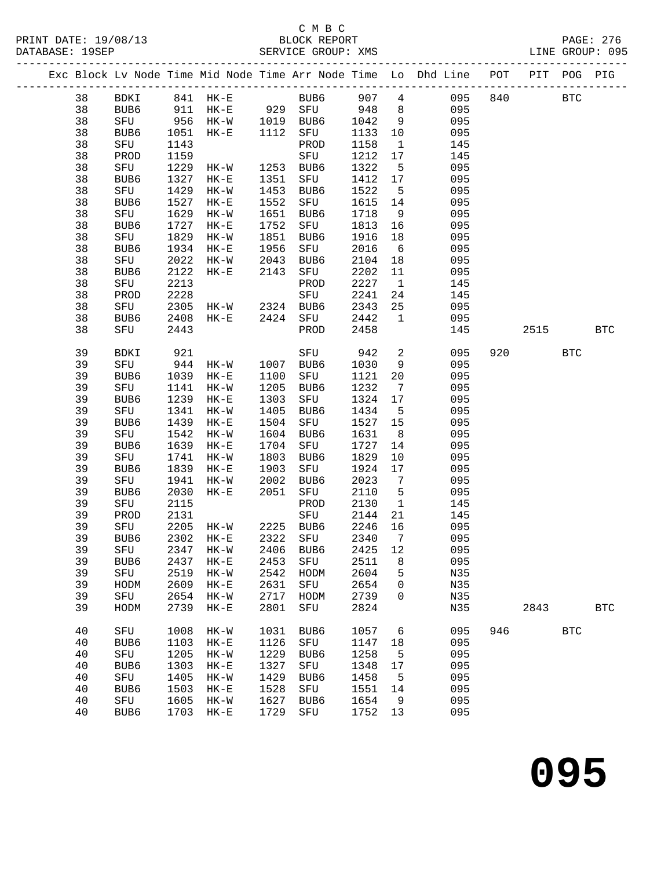# C M B C<br>BLOCK REPORT

| PRINT DATE: 19/08/13<br>DATARASE: 19SEP | RLOCK REPORT<br>SERVICE GROUP: XMS                                             |  | PAGE: 276<br>LINE GROUP: 095 |  |
|-----------------------------------------|--------------------------------------------------------------------------------|--|------------------------------|--|
|                                         | Exc Block Ly Node Time Mid Node Time Arr Node Time Lo Dhd Line POT PIT POG PIG |  |                              |  |

|  |    |      |      |           |      |            |      |                              | Exc Block Lv Node Time Mid Node Time Arr Node Time Lo Dhd Line | POT | PIT  | POG PIG      |            |
|--|----|------|------|-----------|------|------------|------|------------------------------|----------------------------------------------------------------|-----|------|--------------|------------|
|  | 38 | BDKI |      | 841 HK-E  |      | BUB6       | 907  | $\overline{4}$               | 095                                                            | 840 |      | $_{\rm BTC}$ |            |
|  | 38 | BUB6 | 911  | $HK-E$    | 929  | SFU        | 948  | 8                            | 095                                                            |     |      |              |            |
|  | 38 | SFU  | 956  | HK-W      | 1019 | BUB6       | 1042 | 9                            | 095                                                            |     |      |              |            |
|  | 38 | BUB6 | 1051 | $HK-E$    | 1112 | SFU        | 1133 | 10                           | 095                                                            |     |      |              |            |
|  | 38 | SFU  | 1143 |           |      | PROD       | 1158 | $\mathbf{1}$                 | 145                                                            |     |      |              |            |
|  | 38 | PROD | 1159 |           |      | SFU        | 1212 | 17                           | 145                                                            |     |      |              |            |
|  | 38 | SFU  | 1229 | HK-W      | 1253 | BUB6       | 1322 | 5                            | 095                                                            |     |      |              |            |
|  | 38 | BUB6 | 1327 | $HK-E$    | 1351 | SFU        | 1412 | 17                           | 095                                                            |     |      |              |            |
|  | 38 | SFU  | 1429 | $HK-W$    | 1453 | BUB6       | 1522 | 5                            | 095                                                            |     |      |              |            |
|  | 38 | BUB6 | 1527 | $HK-E$    | 1552 | SFU        | 1615 | 14                           | 095                                                            |     |      |              |            |
|  | 38 | SFU  | 1629 | $HK-W$    | 1651 | BUB6       | 1718 | 9                            | 095                                                            |     |      |              |            |
|  | 38 | BUB6 | 1727 | $HK-E$    | 1752 | SFU        | 1813 | 16                           | 095                                                            |     |      |              |            |
|  | 38 | SFU  | 1829 | $HK-W$    | 1851 | BUB6       | 1916 | 18                           | 095                                                            |     |      |              |            |
|  | 38 | BUB6 | 1934 | $HK-E$    | 1956 | SFU        | 2016 | 6                            | 095                                                            |     |      |              |            |
|  | 38 | SFU  | 2022 | $HK-W$    | 2043 | BUB6       | 2104 | 18                           | 095                                                            |     |      |              |            |
|  | 38 | BUB6 | 2122 | $HK-E$    | 2143 | SFU        | 2202 | 11                           | 095                                                            |     |      |              |            |
|  | 38 | SFU  | 2213 |           |      | PROD       | 2227 | $\mathbf{1}$                 | 145                                                            |     |      |              |            |
|  | 38 | PROD | 2228 |           |      | SFU        | 2241 | 24                           | 145                                                            |     |      |              |            |
|  | 38 | SFU  | 2305 | HK-W      | 2324 | BUB6       | 2343 | 25                           | 095                                                            |     |      |              |            |
|  | 38 | BUB6 | 2408 | $HK-E$    | 2424 | SFU        | 2442 | $\mathbf{1}$                 | 095                                                            |     |      |              |            |
|  | 38 | SFU  | 2443 |           |      | PROD       | 2458 |                              | 145                                                            |     | 2515 |              | <b>BTC</b> |
|  |    |      |      |           |      |            |      |                              |                                                                |     |      |              |            |
|  | 39 | BDKI | 921  |           |      | SFU        | 942  | 2                            | 095                                                            | 920 |      | <b>BTC</b>   |            |
|  | 39 | SFU  | 944  | $HK-W$    | 1007 | BUB6       | 1030 | 9                            | 095                                                            |     |      |              |            |
|  | 39 | BUB6 | 1039 | $HK-E$    | 1100 | SFU        | 1121 | 20                           | 095                                                            |     |      |              |            |
|  | 39 | SFU  | 1141 | $HK-W$    | 1205 | BUB6       | 1232 | 7                            | 095                                                            |     |      |              |            |
|  | 39 | BUB6 | 1239 | $HK-E$    | 1303 | SFU        | 1324 | 17                           | 095                                                            |     |      |              |            |
|  | 39 | SFU  | 1341 | $HK-W$    | 1405 | BUB6       | 1434 | 5                            | 095                                                            |     |      |              |            |
|  | 39 | BUB6 | 1439 | $HK-E$    | 1504 | SFU        | 1527 | 15                           | 095                                                            |     |      |              |            |
|  | 39 | SFU  | 1542 | $HK-W$    | 1604 | BUB6       | 1631 | 8                            | 095                                                            |     |      |              |            |
|  | 39 | BUB6 | 1639 | $HK-E$    | 1704 | SFU        | 1727 | 14                           | 095                                                            |     |      |              |            |
|  | 39 | SFU  | 1741 | $HK-W$    | 1803 | BUB6       | 1829 | 10                           | 095                                                            |     |      |              |            |
|  | 39 | BUB6 | 1839 | $HK-E$    | 1903 | SFU        | 1924 | 17                           | 095                                                            |     |      |              |            |
|  | 39 | SFU  | 1941 | HK-W      | 2002 | BUB6       | 2023 | $7\overline{ }$              | 095                                                            |     |      |              |            |
|  | 39 | BUB6 | 2030 | $HK-E$    | 2051 | SFU        | 2110 | 5                            | 095                                                            |     |      |              |            |
|  | 39 | SFU  | 2115 |           |      | PROD       | 2130 | $\mathbf{1}$                 | 145                                                            |     |      |              |            |
|  | 39 | PROD | 2131 |           |      | SFU        | 2144 | 21                           | 145                                                            |     |      |              |            |
|  | 39 | SFU  | 2205 | HK-W      | 2225 | BUB6       | 2246 | 16                           | 095                                                            |     |      |              |            |
|  | 39 | BUB6 | 2302 | $HK-E$    | 2322 | SFU        | 2340 | $7\phantom{.0}\phantom{.0}7$ | 095                                                            |     |      |              |            |
|  | 39 | SFU  | 2347 | $HK-W$    | 2406 | BUB6       | 2425 | 12                           | 095                                                            |     |      |              |            |
|  | 39 | BUB6 |      | 2437 HK-E | 2453 | SFU 2511 8 |      |                              | 095                                                            |     |      |              |            |
|  | 39 | SFU  | 2519 | $HK-W$    | 2542 | HODM       | 2604 | 5                            | N35                                                            |     |      |              |            |
|  | 39 | HODM | 2609 | $HK-E$    | 2631 | SFU        | 2654 | 0                            | N35                                                            |     |      |              |            |
|  | 39 | SFU  | 2654 | $HK-W$    | 2717 | HODM       | 2739 | 0                            | N35                                                            |     |      |              |            |
|  | 39 | HODM | 2739 | $HK-E$    | 2801 | SFU        | 2824 |                              | N35                                                            |     | 2843 |              | <b>BTC</b> |
|  | 40 | SFU  | 1008 | $HK-W$    | 1031 | BUB6       | 1057 | 6                            | 095                                                            | 946 |      | <b>BTC</b>   |            |
|  | 40 | BUB6 | 1103 | $HK-E$    | 1126 | SFU        | 1147 | 18                           | 095                                                            |     |      |              |            |
|  | 40 | SFU  | 1205 | $HK-W$    | 1229 | BUB6       | 1258 | $-5$                         | 095                                                            |     |      |              |            |
|  | 40 | BUB6 | 1303 | $HK-E$    | 1327 | SFU        | 1348 | 17                           | 095                                                            |     |      |              |            |
|  | 40 | SFU  | 1405 | $HK-W$    | 1429 | BUB6       | 1458 | 5                            | 095                                                            |     |      |              |            |
|  | 40 | BUB6 | 1503 | $HK-E$    | 1528 | SFU        | 1551 | 14                           | 095                                                            |     |      |              |            |
|  | 40 | SFU  | 1605 | $HK-W$    | 1627 | BUB6       | 1654 | 9                            | 095                                                            |     |      |              |            |
|  | 40 | BUB6 | 1703 | $HK-E$    | 1729 | SFU        | 1752 | 13                           | 095                                                            |     |      |              |            |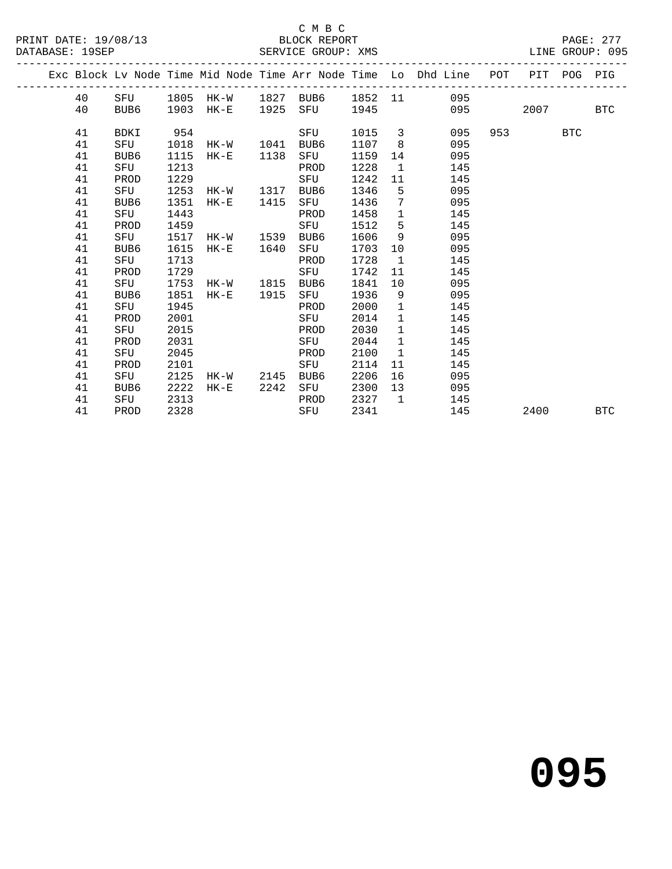### C M B C<br>BLOCK REPORT SERVICE GROUP: XMS

|  |    |      |      |                |      |      |        |              | Exc Block Lv Node Time Mid Node Time Arr Node Time Lo Dhd Line POT PIT POG PIG |         |            |  |
|--|----|------|------|----------------|------|------|--------|--------------|--------------------------------------------------------------------------------|---------|------------|--|
|  | 40 |      |      |                |      |      |        |              | SFU 1805 HK-W 1827 BUB6 1852 11 095                                            |         |            |  |
|  | 40 | BUB6 |      | 1903 HK-E 1925 |      |      |        |              | SFU 1945 095 2007 BTC                                                          |         |            |  |
|  |    |      |      |                |      |      |        |              |                                                                                |         |            |  |
|  | 41 | BDKI | 954  |                |      | SFU  | 1015 3 |              | 095                                                                            | 953 BTC |            |  |
|  | 41 | SFU  | 1018 | HK-W 1041      |      | BUB6 | 1107   | 8            | 095                                                                            |         |            |  |
|  | 41 | BUB6 | 1115 | $HK-E$         | 1138 | SFU  | 1159   | 14           | 095                                                                            |         |            |  |
|  | 41 | SFU  | 1213 |                |      | PROD | 1228   | $\mathbf{1}$ | 145                                                                            |         |            |  |
|  | 41 | PROD | 1229 |                |      | SFU  | 1242   |              | 145<br>11 \,                                                                   |         |            |  |
|  | 41 | SFU  | 1253 | HK-W 1317      |      | BUB6 | 1346   | $-5$         | 095                                                                            |         |            |  |
|  | 41 | BUB6 | 1351 | $HK-E$         | 1415 | SFU  | 1436   | $7^{\circ}$  | 095                                                                            |         |            |  |
|  | 41 | SFU  | 1443 |                |      | PROD | 1458   | $\mathbf{1}$ | 145                                                                            |         |            |  |
|  | 41 | PROD | 1459 |                |      | SFU  | 1512   | 5            | 145                                                                            |         |            |  |
|  | 41 | SFU  | 1517 | HK-W 1539      |      | BUB6 | 1606   | 9            | 095                                                                            |         |            |  |
|  | 41 | BUB6 | 1615 | $HK-E$         | 1640 | SFU  | 1703   | 10           | 095                                                                            |         |            |  |
|  | 41 | SFU  | 1713 |                |      | PROD | 1728   | $\mathbf{1}$ | 145                                                                            |         |            |  |
|  | 41 | PROD | 1729 |                |      | SFU  | 1742   | 11           | 145                                                                            |         |            |  |
|  | 41 | SFU  | 1753 | HK-W 1815      |      | BUB6 | 1841   | 10           | 095                                                                            |         |            |  |
|  | 41 | BUB6 | 1851 | HK-E 1915      |      | SFU  | 1936   | 9            | 095                                                                            |         |            |  |
|  | 41 | SFU  | 1945 |                |      | PROD | 2000   | $\mathbf{1}$ | 145                                                                            |         |            |  |
|  | 41 | PROD | 2001 |                |      | SFU  | 2014   | $\mathbf{1}$ | 145                                                                            |         |            |  |
|  | 41 | SFU  | 2015 |                |      | PROD | 2030   | $\mathbf{1}$ | 145                                                                            |         |            |  |
|  | 41 | PROD | 2031 |                |      | SFU  | 2044   | $\mathbf{1}$ | 145                                                                            |         |            |  |
|  | 41 | SFU  | 2045 |                |      | PROD | 2100   | $\mathbf{1}$ | 145                                                                            |         |            |  |
|  | 41 | PROD | 2101 |                |      | SFU  | 2114   | 11           | 145                                                                            |         |            |  |
|  | 41 | SFU  | 2125 | HK-W           | 2145 | BUB6 | 2206   | 16           | 095                                                                            |         |            |  |
|  | 41 | BUB6 | 2222 | HK-E 2242      |      | SFU  | 2300   | 13           | 095                                                                            |         |            |  |
|  | 41 | SFU  | 2313 |                |      | PROD | 2327   |              | $\mathbf{1}$<br>145                                                            |         |            |  |
|  | 41 | PROD | 2328 |                |      | SFU  | 2341   |              | 145                                                                            | 2400    | <b>BTC</b> |  |
|  |    |      |      |                |      |      |        |              |                                                                                |         |            |  |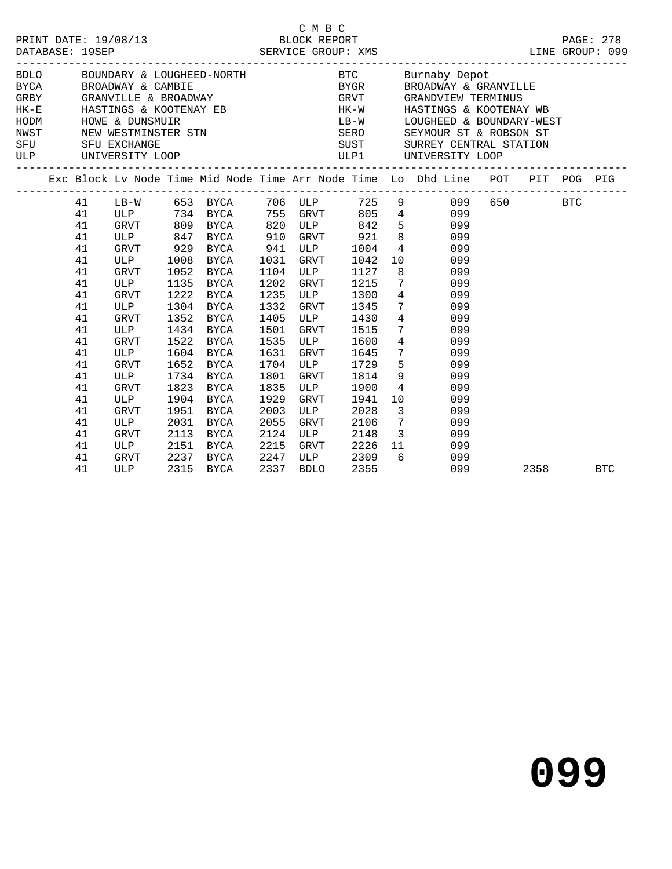|                                                                                              |                                                                                                                            |                                                                      |                                                                                                                                         |                                                                              |                                                                                                                     | C M B C<br>DRINT DATE: 19/08/13<br>DATABASE: 19SEP<br>DATABASE: 19SEP<br>SERVICE GROUP: XMS<br>SERVICE GROUP: XMS |                                                                                                                                                                                                                                                                                                                                                                                                                                                                                                                                                                                                                                                                                                                                                                                                                                                                          |          |  |
|----------------------------------------------------------------------------------------------|----------------------------------------------------------------------------------------------------------------------------|----------------------------------------------------------------------|-----------------------------------------------------------------------------------------------------------------------------------------|------------------------------------------------------------------------------|---------------------------------------------------------------------------------------------------------------------|-------------------------------------------------------------------------------------------------------------------|--------------------------------------------------------------------------------------------------------------------------------------------------------------------------------------------------------------------------------------------------------------------------------------------------------------------------------------------------------------------------------------------------------------------------------------------------------------------------------------------------------------------------------------------------------------------------------------------------------------------------------------------------------------------------------------------------------------------------------------------------------------------------------------------------------------------------------------------------------------------------|----------|--|
|                                                                                              |                                                                                                                            |                                                                      |                                                                                                                                         |                                                                              |                                                                                                                     |                                                                                                                   | BDLO BOUNDARY & LOUGHEED-NORTH BTC Burnaby Depot<br>${\small\hbox{\texttt{BYCA}}} \qquad \qquad {\small\hbox{\texttt{BROADWAY}}} \; \; \& \; \; {\small\hbox{\texttt{CAMBIE}}} \qquad \qquad \qquad {\small\hbox{\texttt{BVGR}}} \qquad \qquad {\small\hbox{\texttt{BROADWAY}}} \; \; \& \; \; {\small\hbox{\texttt{GRANVILLE}}} \qquad \qquad {\small\hbox{\texttt{GRANVILLE}}} \qquad \qquad {\small\hbox{\texttt{GRANVILLE}}} \qquad \qquad {\small\hbox{\texttt{GRANVILLE}}} \qquad \qquad {\small\hbox{\texttt{GRANVILLE}}} \qquad \qquad {\small\hbox{\$<br>HK-E HASTINGS & KOOTENAY EB HK-W HASTINGS & KOOTENAY WB<br>HODM HOWE & DUNSMUIR<br>HODM HOWE & DUNSMUIR<br>NEW WESTMINSTER STN SERO SEYMOUR ST & ROBSON ST<br>SFU SFU EXCHANGE SUST SURREY CENTRAL STATION<br>ULP UNIVERSITY LOOP<br>ULP UNIVERSITY LOOP<br>ULP UNIVERSITY LOOP<br>ULP UNIVERSITY LOOP |          |  |
|                                                                                              |                                                                                                                            |                                                                      |                                                                                                                                         |                                                                              |                                                                                                                     |                                                                                                                   | Exc Block Lv Node Time Mid Node Time Arr Node Time Lo Dhd Line POT PIT POG PIG                                                                                                                                                                                                                                                                                                                                                                                                                                                                                                                                                                                                                                                                                                                                                                                           |          |  |
| 41<br>41<br>41<br>41<br>41<br>41<br>41<br>41<br>41<br>41<br>41<br>41<br>41<br>41<br>41<br>41 | GRVT 929<br>ULP 1008<br>GRVT 1052<br>ULP<br>GRVT<br>ULP<br>GRVT<br>ULP<br>GRVT<br><b>ULP</b><br>GRVT<br>ULP<br>GRVT<br>ULP | 1135<br>1222<br>1304<br>1352<br>1522<br>1652<br>1734<br>1823<br>1904 | BYCA 941 ULP<br>BYCA<br>BYCA<br>BYCA<br>BYCA<br>BYCA<br>BYCA<br>1434 BYCA<br>BYCA<br>1604 BYCA<br>BYCA<br>BYCA<br>BYCA<br>BYCA          | 1031<br>1104<br>1202<br>1235<br>1332<br>1405<br>1535<br>1801<br>1835<br>1929 | <b>ULP</b><br>GRVT<br>ULP<br>GRVT<br>ULP<br>1501 GRVT<br><b>ULP</b><br>1631 GRVT<br>1704 ULP<br>GRVT<br>ULP<br>GRVT | GRVT 1042<br>1127<br>1215<br>1300<br>1345<br>1430<br>1515<br>1600<br>1814 9<br>1941                               | 41 LB-W 653 BYCA 706 ULP 725 9 099 650 BTC<br>41 ULP 734 BYCA 755 GRVT 805 4 099<br>GRVT 809 BYCA 820 ULP 842 5 099<br>ULP 847 BYCA 910 GRVT 921 8 099<br>1004 4 099<br>10<br>099<br>8<br>099<br>$7\overline{ }$<br>099<br>$\frac{4}{7}$<br>099<br>099<br>099<br>$7\overline{ }$<br>099<br>$4\overline{ }$<br>099<br>1645 7<br>099<br>1729 5<br>099<br>099<br>1900 4<br>099<br>10<br>099                                                                                                                                                                                                                                                                                                                                                                                                                                                                                 |          |  |
| 41<br>41<br>41<br>41<br>41<br>41                                                             | GRVT<br>ULP<br>GRVT<br>ULP                                                                                                 | 1951<br>2031<br>2113                                                 | <b>BYCA</b><br><b>BYCA</b><br>BYCA<br>ULP 2151 BYCA 2215 GRVT 2226 11<br>GRVT 2237 BYCA 2247 ULP 2309 6<br>ULP 2315 BYCA 2337 BDLO 2355 | 2003<br>2055<br>2124<br>2215                                                 | ULP<br>GRVT<br><b>ULP</b>                                                                                           | GRVT 2226 11                                                                                                      | 2028 3<br>099<br>2106 7<br>099<br>2148 3<br>099<br>099<br>099<br>099                                                                                                                                                                                                                                                                                                                                                                                                                                                                                                                                                                                                                                                                                                                                                                                                     | 2358 BTC |  |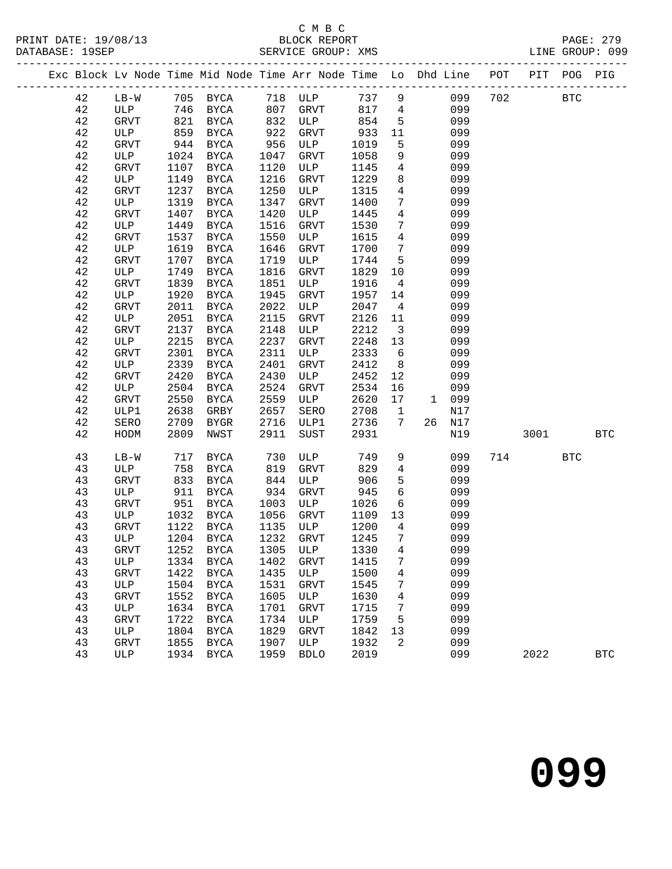## C M B C<br>BLOCK REPORT

SERVICE GROUP: XMS

|  |          |                    |              |                     |                   |                                                |                          |                              | Exc Block Lv Node Time Mid Node Time Arr Node Time Lo Dhd Line POT PIT POG PIG |     |            |            |                      |
|--|----------|--------------------|--------------|---------------------|-------------------|------------------------------------------------|--------------------------|------------------------------|--------------------------------------------------------------------------------|-----|------------|------------|----------------------|
|  | 42       |                    |              |                     |                   |                                                |                          |                              | 737 9<br>099                                                                   | 702 | <b>BTC</b> |            |                      |
|  | 42       |                    |              |                     |                   | LB-W 705 BYCA 718 ULP<br>ULP 746 BYCA 807 GRVT |                          |                              | 817 4<br>099                                                                   |     |            |            |                      |
|  | 42       | GRVT               |              | 821 BYCA            | 832               | ULP                                            | 854                      | $5^{\circ}$                  | 099                                                                            |     |            |            |                      |
|  | 42       | ULP                | 859          | BYCA                | 922               | GRVT                                           | 933                      | 11                           | 099                                                                            |     |            |            |                      |
|  | 42       | GRVT               | 944          | BYCA                |                   | ULP                                            | 1019                     | 5                            | 099                                                                            |     |            |            |                      |
|  | 42       | ULP                | 1024         | BYCA                | $22$<br>956<br>10 | GRVT                                           | 1058                     | 9 <sup>°</sup>               | 099                                                                            |     |            |            |                      |
|  | 42       | GRVT               | 1107         | BYCA                | 1120              | ULP                                            | 1145                     | $4\overline{4}$              | 099                                                                            |     |            |            |                      |
|  | $4\,2$   | ULP                | 1149         | BYCA                | 1216              | GRVT                                           | 1229                     | 8                            | 099                                                                            |     |            |            |                      |
|  | 42       | <b>GRVT</b>        | 1237         | BYCA                | 1250              | ULP                                            | 1315                     | $\overline{4}$               | 099                                                                            |     |            |            |                      |
|  | 42       | ULP                | 1319         | BYCA                | 1347              | GRVT                                           | 1400                     | $7\overline{ }$              | 099                                                                            |     |            |            |                      |
|  | 42       | GRVT               | 1407         | <b>BYCA</b>         | 1420              | ULP                                            | 1445                     | $\overline{4}$               | 099                                                                            |     |            |            |                      |
|  | 42       | ULP                | 1449         | BYCA                | 1516              | GRVT                                           | 1530                     | $7\phantom{.0}$              | 099                                                                            |     |            |            |                      |
|  | 42       | GRVT               | 1537         | BYCA                | 1550              | ULP                                            | 1615                     | $4\overline{4}$              | 099                                                                            |     |            |            |                      |
|  | 42       | ULP                | 1619         | BYCA                | 1646              | GRVT                                           | 1700                     | $7\overline{ }$              | 099                                                                            |     |            |            |                      |
|  | $4\,2$   | GRVT               | 1707         | BYCA                | 1719              | ULP                                            | 1744                     | 5 <sup>5</sup>               | 099                                                                            |     |            |            |                      |
|  | 42       | ULP                | 1749         | BYCA                | 1816              | GRVT                                           | 1829                     | 10                           | 099                                                                            |     |            |            |                      |
|  | $4\,2$   | GRVT               | 1839         | <b>BYCA</b>         | 1851              | ULP                                            | 1916                     | $\overline{4}$               | 099                                                                            |     |            |            |                      |
|  | 42       | ULP                | 1920         | <b>BYCA</b>         | 1945              | GRVT                                           | 1957                     | 14                           | 099                                                                            |     |            |            |                      |
|  | 42       | GRVT               | 2011         | BYCA                | 2022              | ULP                                            | 2047                     | $\overline{4}$               | 099                                                                            |     |            |            |                      |
|  | 42       | ULP                | 2051         | <b>BYCA</b>         | 2115              | GRVT                                           | 2126                     | 11                           | 099                                                                            |     |            |            |                      |
|  | 42       | GRVT               | 2137         | <b>BYCA</b>         | 2148              | ULP                                            | 2212                     | $\overline{\mathbf{3}}$      | 099                                                                            |     |            |            |                      |
|  | 42       | ULP                | 2215         | BYCA                | 2237              | GRVT                                           | 2248                     | 13                           | 099                                                                            |     |            |            |                      |
|  | 42       | GRVT               | 2301         | <b>BYCA</b>         | 2311              | ULP                                            | 2333                     | 6                            | 099                                                                            |     |            |            |                      |
|  | 42       | ULP                | 2339         | BYCA                | 2401              | GRVT                                           | 2412                     | 8 <sup>8</sup>               | 099                                                                            |     |            |            |                      |
|  | $4\,2$   | GRVT               | 2420         | <b>BYCA</b>         | 2430              | ULP                                            | 2452                     | 12                           | 099                                                                            |     |            |            |                      |
|  | 42       | ULP                | 2504         | BYCA                | 2524              | GRVT                                           | 2534                     | 16                           | 099<br>1 099                                                                   |     |            |            |                      |
|  | 42<br>42 | GRVT<br>ULP1       | 2550<br>2638 | BYCA                | 2559<br>2657      | ULP                                            | 2620<br>2708             | 17                           | N17                                                                            |     |            |            |                      |
|  | 42       | SERO               | 2709         | GRBY                | 2716              | SERO<br>ULP1                                   | 2736                     | $\overline{\mathbf{1}}$<br>7 | 26 N17                                                                         |     |            |            |                      |
|  | 42       | HODM               | 2809         | BYGR<br>NWST        | 2911              | SUST                                           | 2931                     |                              | N19                                                                            |     | 3001 300   |            | <b>BTC</b>           |
|  |          |                    |              |                     |                   |                                                |                          |                              |                                                                                |     |            |            |                      |
|  | 43       | $LB-W$             | 717          | BYCA                | 730               | ULP                                            | 749                      | 9                            | 099                                                                            | 714 |            | <b>BTC</b> |                      |
|  | 43       | ULP                | 758          | BYCA                | 819               | GRVT                                           | 829                      | $\overline{4}$               | 099                                                                            |     |            |            |                      |
|  | 43       | GRVT               | 833          | BYCA                |                   | ULP                                            | 906                      | 5                            | 099                                                                            |     |            |            |                      |
|  | 43       | ULP                | 911          | BYCA                | $8 - 934$         | GRVT                                           | 945                      | 6                            | 099                                                                            |     |            |            |                      |
|  | 43       | GRVT               | 951          | BYCA                | 1003              | ULP                                            | 1026                     | 6                            | 099                                                                            |     |            |            |                      |
|  | 43       | ULP                | 1032         | BYCA                | 1056              | GRVT                                           | 1109                     | 13                           | 099                                                                            |     |            |            |                      |
|  | 43       | GRVT               | 1122         | BYCA                | 1135              | ULP                                            | 1200<br>$\frac{1}{1245}$ | $4\overline{4}$              | 099                                                                            |     |            |            |                      |
|  | 43       | ULP                |              | 1204 BYCA           | 1232              | GRVT                                           |                          | $\overline{7}$               | 099                                                                            |     |            |            |                      |
|  | 43       | GRVT               |              |                     |                   |                                                |                          |                              | 1252 BYCA 1305 ULP 1330 4 099                                                  |     |            |            |                      |
|  | 43       | ULP                | 1334         | <b>BYCA</b>         | 1402              | GRVT                                           | 1415                     | 7                            | 099                                                                            |     |            |            |                      |
|  | 43       | <b>GRVT</b>        | 1422         | <b>BYCA</b>         | 1435              | ULP                                            | 1500                     | $\overline{4}$               | 099                                                                            |     |            |            |                      |
|  | 43<br>43 | ULP<br><b>GRVT</b> | 1504<br>1552 | BYCA<br><b>BYCA</b> | 1531<br>1605      | GRVT<br>ULP                                    | 1545<br>1630             | 7<br>4                       | 099<br>099                                                                     |     |            |            |                      |
|  | 43       | ULP                | 1634         | <b>BYCA</b>         | 1701              | <b>GRVT</b>                                    | 1715                     | 7                            | 099                                                                            |     |            |            |                      |
|  | 43       | <b>GRVT</b>        | 1722         | <b>BYCA</b>         | 1734              | ULP                                            | 1759                     | 5                            | 099                                                                            |     |            |            |                      |
|  | 43       | ULP                | 1804         | <b>BYCA</b>         | 1829              | <b>GRVT</b>                                    | 1842                     | 13                           | 099                                                                            |     |            |            |                      |
|  | 43       | <b>GRVT</b>        | 1855         | BYCA                | 1907              | ULP                                            | 1932                     | 2                            | 099                                                                            |     |            |            |                      |
|  | 43       | ULP                | 1934         | BYCA                | 1959              | <b>BDLO</b>                                    | 2019                     |                              | 099                                                                            |     | 2022       |            | $\operatorname{BTC}$ |
|  |          |                    |              |                     |                   |                                                |                          |                              |                                                                                |     |            |            |                      |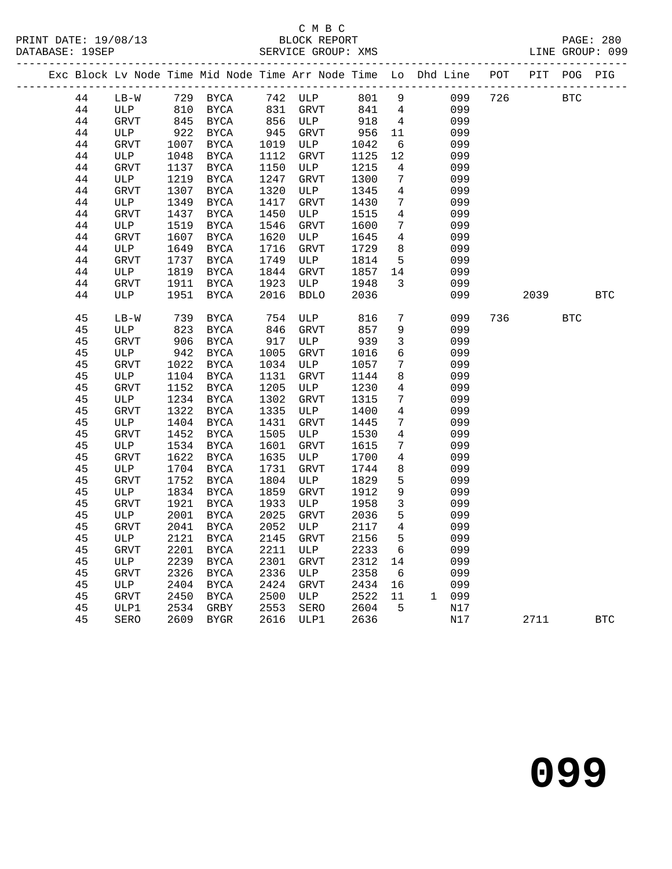PRINT DATE: 19/08/13 BLOCK REPORT<br>
DATABASE: 19SEP<br>
SERVICE GROUP: XMS

# C M B C<br>BLOCK REPORT

PAGE: 280<br>LINE GROUP: 099

| PAIADAOE: |    |             |      |                     |      |                                                                            |      |                 |                      |     |     |      |            |            |
|-----------|----|-------------|------|---------------------|------|----------------------------------------------------------------------------|------|-----------------|----------------------|-----|-----|------|------------|------------|
|           |    |             |      | ------------------- |      | Exc Block Lv Node Time Mid Node Time Arr Node Time Lo Dhd Line POT PIT POG |      |                 | -------------------- |     |     |      |            | PIG        |
|           | 44 | $LB-W$      |      | 729 BYCA            |      | 742 ULP                                                                    | 801  | 9               |                      | 099 | 726 |      | <b>BTC</b> |            |
|           | 44 | ULP         | 810  | BYCA                | 831  | GRVT                                                                       | 841  | $4\overline{4}$ |                      | 099 |     |      |            |            |
|           | 44 | GRVT        | 845  | BYCA                | 856  | ULP                                                                        | 918  | $\overline{4}$  |                      | 099 |     |      |            |            |
|           | 44 | ULP         | 922  | BYCA                | 945  | GRVT                                                                       | 956  | 11              |                      | 099 |     |      |            |            |
|           | 44 | GRVT        | 1007 | BYCA                | 1019 | ULP                                                                        | 1042 | 6               |                      | 099 |     |      |            |            |
|           | 44 | ULP         | 1048 | BYCA                | 1112 | GRVT                                                                       | 1125 | 12              |                      | 099 |     |      |            |            |
|           | 44 | GRVT        | 1137 | BYCA                | 1150 | ULP                                                                        | 1215 | $4\overline{ }$ |                      | 099 |     |      |            |            |
|           | 44 | ULP         | 1219 | <b>BYCA</b>         | 1247 | GRVT                                                                       | 1300 | 7               |                      | 099 |     |      |            |            |
|           | 44 | GRVT        | 1307 | BYCA                | 1320 | ULP                                                                        | 1345 | $\overline{4}$  |                      | 099 |     |      |            |            |
|           | 44 | ULP         | 1349 | <b>BYCA</b>         | 1417 | GRVT                                                                       | 1430 | $7\phantom{.0}$ |                      | 099 |     |      |            |            |
|           | 44 | GRVT        | 1437 | BYCA                | 1450 | ULP                                                                        | 1515 | $\overline{4}$  |                      | 099 |     |      |            |            |
|           | 44 | ULP         | 1519 | BYCA                | 1546 | GRVT                                                                       | 1600 | $7\phantom{.0}$ |                      | 099 |     |      |            |            |
|           | 44 | GRVT        | 1607 | BYCA                | 1620 | ULP                                                                        | 1645 | $\overline{4}$  |                      | 099 |     |      |            |            |
|           | 44 | ULP         | 1649 | <b>BYCA</b>         | 1716 | GRVT                                                                       | 1729 | 8 <sup>8</sup>  |                      | 099 |     |      |            |            |
|           | 44 | GRVT        | 1737 | BYCA                | 1749 | ULP                                                                        | 1814 | 5               |                      | 099 |     |      |            |            |
|           | 44 | ULP         | 1819 | <b>BYCA</b>         | 1844 | GRVT                                                                       | 1857 | 14              |                      | 099 |     |      |            |            |
|           | 44 | <b>GRVT</b> | 1911 | BYCA                | 1923 | ULP                                                                        | 1948 | 3               |                      | 099 |     |      |            |            |
|           | 44 | ULP         | 1951 | <b>BYCA</b>         | 2016 | <b>BDLO</b>                                                                | 2036 |                 |                      | 099 |     | 2039 |            | <b>BTC</b> |
|           |    |             |      |                     |      |                                                                            |      |                 |                      |     |     |      |            |            |
|           | 45 | $LB-W$      | 739  | <b>BYCA</b>         | 754  | ULP                                                                        | 816  | $7\phantom{.0}$ |                      | 099 | 736 |      | <b>BTC</b> |            |
|           | 45 | ULP         | 823  | BYCA                | 846  | GRVT                                                                       | 857  | 9               |                      | 099 |     |      |            |            |
|           | 45 | GRVT        | 906  | BYCA                | 917  | ULP                                                                        | 939  | $\mathbf{3}$    |                      | 099 |     |      |            |            |
|           | 45 | ULP         | 942  | BYCA                | 1005 | <b>GRVT</b>                                                                | 1016 | 6               |                      | 099 |     |      |            |            |
|           | 45 | GRVT        | 1022 | $_{\rm BYCA}$       | 1034 | ULP                                                                        | 1057 | $7\phantom{.}$  |                      | 099 |     |      |            |            |
|           | 45 | ULP         | 1104 | BYCA                | 1131 | GRVT                                                                       | 1144 | 8               |                      | 099 |     |      |            |            |
|           | 45 | GRVT        | 1152 | BYCA                | 1205 | ULP                                                                        | 1230 | $\overline{4}$  |                      | 099 |     |      |            |            |
|           | 45 | ULP         | 1234 | BYCA                | 1302 | GRVT                                                                       | 1315 | 7               |                      | 099 |     |      |            |            |
|           | 45 | GRVT        | 1322 | BYCA                | 1335 | ULP                                                                        | 1400 | $\overline{4}$  |                      | 099 |     |      |            |            |
|           | 45 | ULP         | 1404 | BYCA                | 1431 | GRVT                                                                       | 1445 | $7\phantom{.0}$ |                      | 099 |     |      |            |            |
|           | 45 | GRVT        | 1452 | BYCA                | 1505 | ULP                                                                        | 1530 | $\overline{4}$  |                      | 099 |     |      |            |            |
|           | 45 | ULP         | 1534 | BYCA                | 1601 | GRVT                                                                       | 1615 | 7               |                      | 099 |     |      |            |            |
|           | 45 | GRVT        | 1622 | BYCA                | 1635 | ULP                                                                        | 1700 | $\overline{4}$  |                      | 099 |     |      |            |            |
|           | 45 | ULP         | 1704 | <b>BYCA</b>         | 1731 | GRVT                                                                       | 1744 | 8               |                      | 099 |     |      |            |            |
|           | 45 | GRVT        | 1752 | BYCA                | 1804 | ULP                                                                        | 1829 | 5               |                      | 099 |     |      |            |            |
|           | 45 | ULP         | 1834 | BYCA                | 1859 | GRVT                                                                       | 1912 | 9               |                      | 099 |     |      |            |            |
|           | 45 | GRVT        | 1921 | BYCA                | 1933 | ULP                                                                        | 1958 | $\mathfrak{Z}$  |                      | 099 |     |      |            |            |
|           | 45 | ULP         | 2001 | <b>BYCA</b>         | 2025 | GRVT                                                                       | 2036 | 5               |                      | 099 |     |      |            |            |
|           | 45 | GRVT        | 2041 | BYCA                | 2052 | ULP                                                                        | 2117 | $\overline{4}$  |                      | 099 |     |      |            |            |
|           | 45 | ULP         | 2121 | BYCA                | 2145 | ${\tt GRVT}$                                                               | 2156 | 5               |                      | 099 |     |      |            |            |
|           | 45 | GRVT        | 2201 | <b>BYCA</b>         | 2211 | ULP                                                                        | 2233 | 6               |                      | 099 |     |      |            |            |
|           | 45 | ULP         | 2239 | <b>BYCA</b>         | 2301 | <b>GRVT</b>                                                                | 2312 | 14              |                      | 099 |     |      |            |            |
|           | 45 | <b>GRVT</b> | 2326 | <b>BYCA</b>         | 2336 | ULP                                                                        | 2358 | 6               |                      | 099 |     |      |            |            |
|           | 45 | ULP         | 2404 | <b>BYCA</b>         | 2424 | <b>GRVT</b>                                                                | 2434 | 16              |                      | 099 |     |      |            |            |
|           | 45 | <b>GRVT</b> | 2450 | <b>BYCA</b>         | 2500 | ULP                                                                        | 2522 | 11              | 1                    | 099 |     |      |            |            |
|           | 45 | ULP1        | 2534 | GRBY                | 2553 | SERO                                                                       | 2604 | 5               |                      | N17 |     |      |            |            |
|           | 45 | SERO        | 2609 | <b>BYGR</b>         | 2616 | ULP1                                                                       | 2636 |                 |                      | N17 |     | 2711 |            | <b>BTC</b> |
|           |    |             |      |                     |      |                                                                            |      |                 |                      |     |     |      |            |            |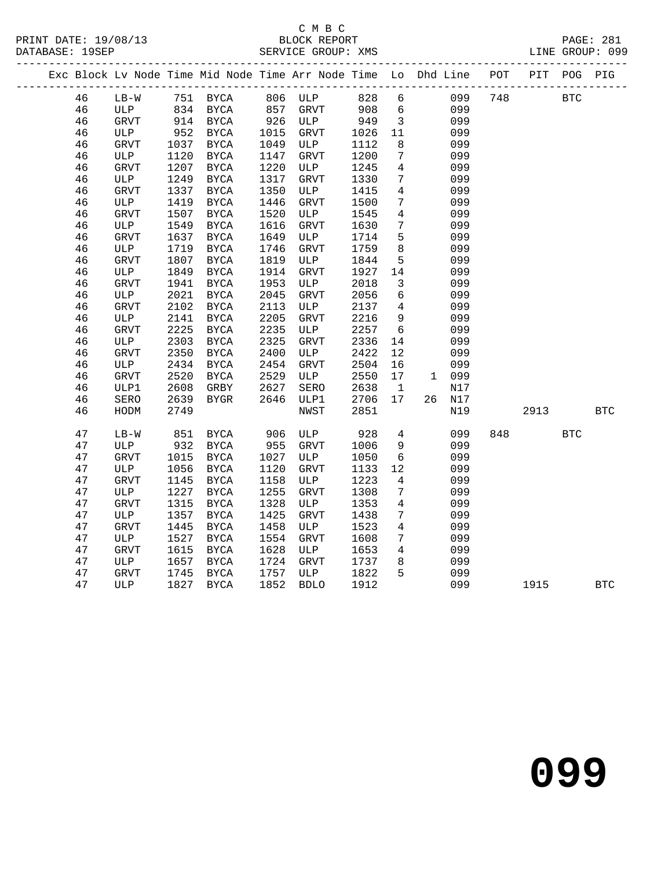# C M B C<br>BLOCK REPORT

SERVICE GROUP: XMS

|  |    |               |      |                                 |            | Exc Block Lv Node Time Mid Node Time Arr Node Time Lo Dhd Line POT PIT POG PIG |                |                 |       |        |     |            |            |            |
|--|----|---------------|------|---------------------------------|------------|--------------------------------------------------------------------------------|----------------|-----------------|-------|--------|-----|------------|------------|------------|
|  | 46 | LB-W 751 BYCA |      |                                 |            | 806 ULP 828 6                                                                  |                |                 |       | 099    | 748 | <b>BTC</b> |            |            |
|  | 46 | ULP           |      | 834 BYCA<br>$834 -$<br>914 BYCA | 857<br>926 | GRVT                                                                           | 908 6<br>949 3 |                 |       | 099    |     |            |            |            |
|  | 46 | GRVT          |      |                                 |            | ULP                                                                            |                |                 |       | 099    |     |            |            |            |
|  | 46 | ULP           | 952  | BYCA                            | 1015       | GRVT                                                                           | 1026           | 11              |       | 099    |     |            |            |            |
|  | 46 | GRVT          | 1037 | BYCA                            | 1049       | ULP                                                                            | 1112           | 8               |       | 099    |     |            |            |            |
|  | 46 | ULP           | 1120 | BYCA                            | 1147       | GRVT                                                                           | 1200           | $7\overline{ }$ |       | 099    |     |            |            |            |
|  | 46 | GRVT          | 1207 | <b>BYCA</b>                     | 1220       | ULP                                                                            | 1245           | $\overline{4}$  |       | 099    |     |            |            |            |
|  | 46 | ULP           | 1249 | <b>BYCA</b>                     | 1317       | GRVT                                                                           | 1330           | $7\overline{ }$ |       | 099    |     |            |            |            |
|  | 46 | GRVT          | 1337 | <b>BYCA</b>                     | 1350       | ULP                                                                            | 1415           | $\overline{4}$  |       | 099    |     |            |            |            |
|  | 46 | ULP           | 1419 | <b>BYCA</b>                     | 1446       | GRVT                                                                           | 1500           | $7\overline{ }$ |       | 099    |     |            |            |            |
|  | 46 | GRVT          | 1507 | BYCA                            | 1520       | ULP                                                                            | 1545           | $\overline{4}$  |       | 099    |     |            |            |            |
|  | 46 | ULP           | 1549 | BYCA                            | 1616       | GRVT                                                                           | 1630           | $7\overline{ }$ |       | 099    |     |            |            |            |
|  | 46 | GRVT          | 1637 | BYCA                            | 1649       | ULP                                                                            | 1714           | 5               |       | 099    |     |            |            |            |
|  | 46 | ULP           | 1719 | <b>BYCA</b>                     | 1746       | GRVT                                                                           | 1759           | 8               |       | 099    |     |            |            |            |
|  | 46 | GRVT          | 1807 | BYCA                            | 1819       | ULP                                                                            | 1844           | $5^{\circ}$     |       | 099    |     |            |            |            |
|  | 46 | ULP           | 1849 | <b>BYCA</b>                     | 1914       | GRVT                                                                           | 1927           | 14              |       | 099    |     |            |            |            |
|  | 46 | GRVT          | 1941 | BYCA                            | 1953       | ULP                                                                            | 2018           | $\overline{3}$  |       | 099    |     |            |            |            |
|  | 46 | ULP           | 2021 | BYCA                            | 2045       | GRVT                                                                           | 2056           | $6\overline{6}$ |       | 099    |     |            |            |            |
|  | 46 | GRVT          | 2102 | BYCA                            | 2113       | ULP                                                                            | 2137           | $\overline{4}$  |       | 099    |     |            |            |            |
|  | 46 | ULP           | 2141 | BYCA                            | 2205       | <b>GRVT</b>                                                                    | 2216           | 9               |       | 099    |     |            |            |            |
|  | 46 | GRVT          | 2225 | BYCA                            | 2235       | ULP                                                                            | 2257           | $6\overline{6}$ |       | 099    |     |            |            |            |
|  | 46 | ULP           | 2303 | <b>BYCA</b>                     | 2325       | GRVT                                                                           | 2336           | 14              |       | 099    |     |            |            |            |
|  | 46 | GRVT          | 2350 | BYCA                            | 2400       | ULP                                                                            | 2422           | 12              |       | 099    |     |            |            |            |
|  | 46 | ULP           | 2434 | <b>BYCA</b>                     | 2454       | GRVT                                                                           | 2504           | 16              |       | 099    |     |            |            |            |
|  | 46 | GRVT          | 2520 | BYCA                            | 2529       | ULP                                                                            | 2550           | 17              | 1 099 |        |     |            |            |            |
|  | 46 | ULP1          | 2608 | GRBY                            | 2627       | SERO                                                                           | 2638           | $\overline{1}$  |       | N17    |     |            |            |            |
|  | 46 | SERO          | 2639 | BYGR                            | 2646       | ULP1                                                                           | 2706           | 17              |       | 26 N17 |     |            |            |            |
|  | 46 | HODM          | 2749 |                                 |            | NWST                                                                           | 2851           |                 |       | N19    |     | 2913       |            | <b>BTC</b> |
|  |    |               |      |                                 |            |                                                                                |                |                 |       |        |     |            |            |            |
|  | 47 | $LB-W$        | 851  | <b>BYCA</b>                     | 906        | ULP                                                                            | 928            | $\overline{4}$  |       | 099    | 848 |            | <b>BTC</b> |            |
|  | 47 | ULP           | 932  | BYCA                            | 955        | GRVT                                                                           | 1006           | 9               |       | 099    |     |            |            |            |
|  | 47 | GRVT          | 1015 | BYCA                            | 1027       | ULP                                                                            | 1050           | $6\overline{6}$ |       | 099    |     |            |            |            |
|  | 47 | ULP           | 1056 | BYCA                            | 1120       | GRVT                                                                           | 1133           | 12              |       | 099    |     |            |            |            |
|  | 47 | GRVT          | 1145 | <b>BYCA</b>                     | 1158       | ULP                                                                            | 1223           | $\overline{4}$  |       | 099    |     |            |            |            |
|  | 47 | ULP           | 1227 | BYCA                            | 1255       | GRVT                                                                           | 1308           | $7\phantom{.0}$ |       | 099    |     |            |            |            |
|  | 47 | GRVT          | 1315 | $_{\rm BYCA}$                   | 1328       | ULP                                                                            | 1353           | $\overline{4}$  |       | 099    |     |            |            |            |
|  | 47 | ULP           | 1357 | BYCA                            | 1425       | <b>GRVT</b>                                                                    | 1438           | $7\overline{ }$ |       | 099    |     |            |            |            |
|  | 47 | GRVT          | 1445 | <b>BYCA</b>                     | 1458       | ULP                                                                            | 1523           | $\overline{4}$  |       | 099    |     |            |            |            |
|  | 47 | ULP           | 1527 | BYCA                            | 1554       | GRVT                                                                           | 1608           | $7\overline{ }$ |       | 099    |     |            |            |            |
|  | 47 | GRVT          | 1615 | <b>BYCA</b>                     | 1628       | ULP                                                                            | 1653           | $\overline{4}$  |       | 099    |     |            |            |            |
|  | 47 | ULP           | 1657 | BYCA                            | 1724       | GRVT                                                                           | 1737           | 8               |       | 099    |     |            |            |            |
|  | 47 | GRVT          | 1745 | <b>BYCA</b>                     | 1757       | ULP                                                                            | 1822           | 5               |       | 099    |     |            |            |            |
|  | 47 | ULP           | 1827 | BYCA                            | 1852       | <b>BDLO</b>                                                                    | 1912           |                 |       | 099    |     | 1915       |            | <b>BTC</b> |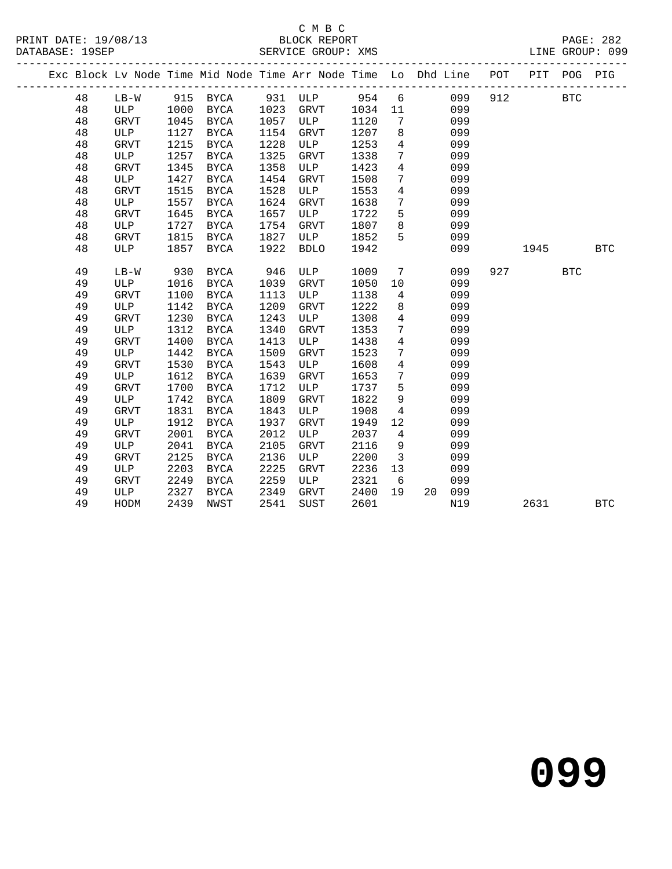# C M B C<br>BLOCK REPORT

|  |    |             |      | ----------------------- |      |                                                                                |       |                 |           | -------------------------- |            |              |            |
|--|----|-------------|------|-------------------------|------|--------------------------------------------------------------------------------|-------|-----------------|-----------|----------------------------|------------|--------------|------------|
|  |    |             |      |                         |      | Exc Block Lv Node Time Mid Node Time Arr Node Time Lo Dhd Line POT PIT POG PIG |       |                 |           |                            |            |              |            |
|  | 48 | $LB-W$      |      | 915 BYCA                | 931  | ULP                                                                            | 954 6 |                 | 099       | 912                        | <b>BTC</b> |              |            |
|  | 48 | <b>ULP</b>  | 1000 | BYCA                    | 1023 | <b>GRVT</b>                                                                    | 1034  | 11              | 099       |                            |            |              |            |
|  | 48 | GRVT        | 1045 | BYCA                    | 1057 | ULP                                                                            | 1120  | $7\phantom{.0}$ | 099       |                            |            |              |            |
|  | 48 | ULP         | 1127 | <b>BYCA</b>             | 1154 | GRVT                                                                           | 1207  | 8               | 099       |                            |            |              |            |
|  | 48 | <b>GRVT</b> | 1215 | <b>BYCA</b>             | 1228 | ULP                                                                            | 1253  | $\overline{4}$  | 099       |                            |            |              |            |
|  | 48 | ULP         | 1257 | BYCA                    | 1325 | <b>GRVT</b>                                                                    | 1338  | $7\phantom{.0}$ | 099       |                            |            |              |            |
|  | 48 | GRVT        | 1345 | BYCA                    | 1358 | ULP                                                                            | 1423  | $\overline{4}$  | 099       |                            |            |              |            |
|  | 48 | ULP         | 1427 | BYCA                    | 1454 | <b>GRVT</b>                                                                    | 1508  | $7\phantom{.0}$ | 099       |                            |            |              |            |
|  | 48 | GRVT        | 1515 | BYCA                    | 1528 | ULP                                                                            | 1553  | $\overline{4}$  | 099       |                            |            |              |            |
|  | 48 | ULP         | 1557 | BYCA                    | 1624 | GRVT                                                                           | 1638  | $7\phantom{.}$  | 099       |                            |            |              |            |
|  | 48 | GRVT        | 1645 | BYCA                    | 1657 | ULP                                                                            | 1722  | 5               | 099       |                            |            |              |            |
|  | 48 | ULP         | 1727 | BYCA                    | 1754 | <b>GRVT</b>                                                                    | 1807  | 8               | 099       |                            |            |              |            |
|  | 48 | GRVT        | 1815 | BYCA                    | 1827 | ULP                                                                            | 1852  | 5               | 099       |                            |            |              |            |
|  | 48 | ULP         | 1857 | <b>BYCA</b>             | 1922 | <b>BDLO</b>                                                                    | 1942  |                 | 099       |                            | 1945       |              | <b>BTC</b> |
|  | 49 | $LB-W$      | 930  | BYCA                    | 946  | ULP                                                                            | 1009  | $7\phantom{.0}$ | 099       | 927                        |            | $_{\rm BTC}$ |            |
|  | 49 | ULP         | 1016 | BYCA                    | 1039 | GRVT                                                                           | 1050  | 10              | 099       |                            |            |              |            |
|  | 49 | GRVT        | 1100 | <b>BYCA</b>             | 1113 | ULP                                                                            | 1138  | $4\overline{ }$ | 099       |                            |            |              |            |
|  | 49 | ULP         | 1142 | BYCA                    | 1209 | <b>GRVT</b>                                                                    | 1222  | 8               | 099       |                            |            |              |            |
|  | 49 | <b>GRVT</b> | 1230 | BYCA                    | 1243 | ULP                                                                            | 1308  | $\overline{4}$  | 099       |                            |            |              |            |
|  | 49 | ULP         | 1312 | BYCA                    | 1340 | <b>GRVT</b>                                                                    | 1353  | 7               | 099       |                            |            |              |            |
|  | 49 | GRVT        | 1400 | BYCA                    | 1413 | ULP                                                                            | 1438  | $\overline{4}$  | 099       |                            |            |              |            |
|  | 49 | <b>ULP</b>  | 1442 | <b>BYCA</b>             | 1509 | <b>GRVT</b>                                                                    | 1523  | $7\phantom{.}$  | 099       |                            |            |              |            |
|  | 49 | <b>GRVT</b> | 1530 | BYCA                    | 1543 | ULP                                                                            | 1608  | $\overline{4}$  | 099       |                            |            |              |            |
|  | 49 | ULP         | 1612 | BYCA                    | 1639 | GRVT                                                                           | 1653  | $7\phantom{.}$  | 099       |                            |            |              |            |
|  | 49 | <b>GRVT</b> | 1700 | <b>BYCA</b>             | 1712 | ULP                                                                            | 1737  | 5               | 099       |                            |            |              |            |
|  | 49 | ULP         | 1742 | BYCA                    | 1809 | <b>GRVT</b>                                                                    | 1822  | 9               | 099       |                            |            |              |            |
|  | 49 | GRVT        | 1831 | <b>BYCA</b>             | 1843 | ULP                                                                            | 1908  | $\overline{4}$  | 099       |                            |            |              |            |
|  | 49 | ULP         | 1912 | <b>BYCA</b>             | 1937 | <b>GRVT</b>                                                                    | 1949  | 12              | 099       |                            |            |              |            |
|  | 49 | <b>GRVT</b> | 2001 | BYCA                    | 2012 | ULP                                                                            | 2037  | $\overline{4}$  | 099       |                            |            |              |            |
|  | 49 | ULP         | 2041 | BYCA                    | 2105 | <b>GRVT</b>                                                                    | 2116  | 9               | 099       |                            |            |              |            |
|  | 49 | <b>GRVT</b> | 2125 | BYCA                    | 2136 | ULP                                                                            | 2200  | $\overline{3}$  | 099       |                            |            |              |            |
|  | 49 | ULP         | 2203 | <b>BYCA</b>             | 2225 | <b>GRVT</b>                                                                    | 2236  | 13              | 099       |                            |            |              |            |
|  | 49 | GRVT        | 2249 | <b>BYCA</b>             | 2259 | ULP                                                                            | 2321  | 6               | 099       |                            |            |              |            |
|  | 49 | ULP         | 2327 | <b>BYCA</b>             | 2349 | <b>GRVT</b>                                                                    | 2400  | 19              | 099<br>20 |                            |            |              |            |
|  | 49 | HODM        | 2439 | <b>NWST</b>             | 2541 | <b>SUST</b>                                                                    | 2601  |                 | N19       |                            | 2631       |              | <b>BTC</b> |
|  |    |             |      |                         |      |                                                                                |       |                 |           |                            |            |              |            |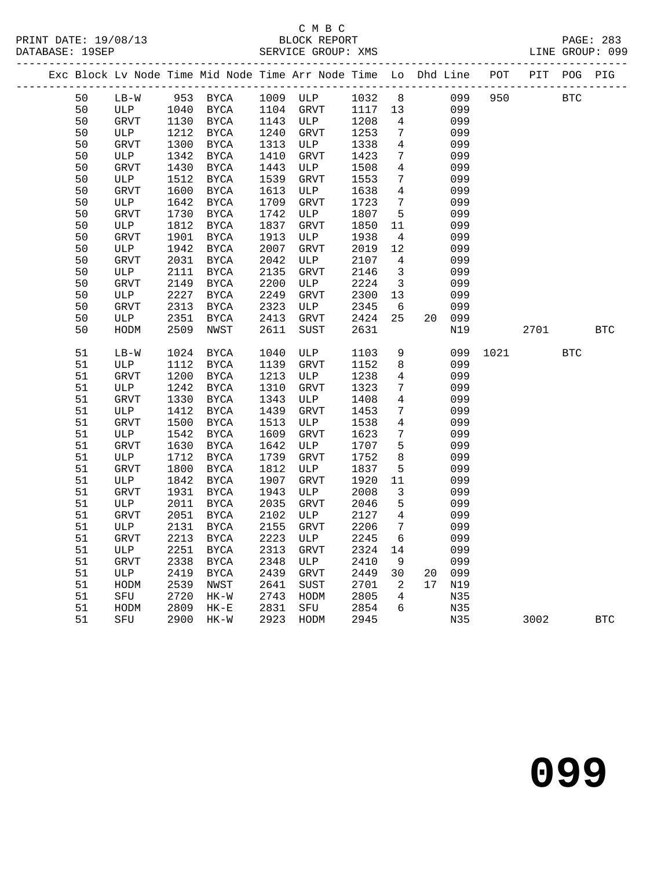# C M B C<br>BLOCK REPORT

PAGE: 283<br>LINE GROUP: 099

|  |    |                                 |      |               |      | Exc Block Lv Node Time Mid Node Time Arr Node Time Lo Dhd Line POT PIT POG PIG |              |                          |    |        |      |      |            |            |
|--|----|---------------------------------|------|---------------|------|--------------------------------------------------------------------------------|--------------|--------------------------|----|--------|------|------|------------|------------|
|  | 50 |                                 |      | LB-W 953 BYCA |      | 1009 ULP 1032 8 099 950 BTC                                                    |              |                          |    |        |      |      |            |            |
|  | 50 | ULP 1040 BYCA<br>GRVT 1130 BYCA |      |               | 1104 | GRVT                                                                           | 1117  13     |                          |    | 099    |      |      |            |            |
|  | 50 | GRVT                            |      | 1130 BYCA     | 1143 | ULP                                                                            | 1117<br>1208 | $4\overline{4}$          |    | 099    |      |      |            |            |
|  | 50 | ULP                             | 1212 | BYCA          | 1240 | GRVT                                                                           | 1253         | $7\overline{ }$          |    | 099    |      |      |            |            |
|  | 50 | GRVT                            | 1300 | BYCA          | 1313 | ULP                                                                            | 1338         | $\overline{4}$           |    | 099    |      |      |            |            |
|  | 50 | ULP                             | 1342 | BYCA          | 1410 | GRVT                                                                           | 1423         | $7\overline{ }$          |    | 099    |      |      |            |            |
|  | 50 | GRVT                            | 1430 | BYCA          | 1443 | ULP                                                                            | 1508         | $\overline{4}$           |    | 099    |      |      |            |            |
|  | 50 | ULP                             | 1512 | BYCA          | 1539 | ${\tt GRVT}$                                                                   | 1553         | $7\overline{ }$          |    | 099    |      |      |            |            |
|  | 50 | GRVT                            | 1600 | BYCA          | 1613 | ULP                                                                            | 1638         | $\overline{4}$           |    | 099    |      |      |            |            |
|  | 50 | ULP                             | 1642 | BYCA          | 1709 | ${\tt GRVT}$                                                                   | 1723         | $7\overline{ }$          |    | 099    |      |      |            |            |
|  | 50 | ${\tt GRVT}$                    | 1730 | BYCA          | 1742 | ULP                                                                            | 1807         | $5^{\circ}$              |    | 099    |      |      |            |            |
|  | 50 | ULP                             | 1812 | <b>BYCA</b>   | 1837 | GRVT                                                                           | 1850         | 11                       |    | 099    |      |      |            |            |
|  | 50 | GRVT                            | 1901 | BYCA          | 1913 | ULP                                                                            | 1938         | $\overline{4}$           |    | 099    |      |      |            |            |
|  | 50 | ULP                             | 1942 | BYCA          | 2007 | GRVT                                                                           | 2019         | 12                       |    | 099    |      |      |            |            |
|  | 50 | GRVT                            | 2031 | BYCA          | 2042 | ULP                                                                            | 2107         | $\overline{4}$           |    | 099    |      |      |            |            |
|  | 50 | ULP                             | 2111 | BYCA          | 2135 | GRVT                                                                           | 2146         | $\overline{\mathbf{3}}$  |    | 099    |      |      |            |            |
|  | 50 | GRVT                            | 2149 | BYCA          | 2200 | ULP                                                                            | 2224         | $\overline{\mathbf{3}}$  |    | 099    |      |      |            |            |
|  | 50 | ULP                             | 2227 | BYCA          | 2249 | GRVT                                                                           | 2300         | 13                       |    | 099    |      |      |            |            |
|  | 50 | GRVT                            | 2313 | BYCA          | 2323 | ULP                                                                            | 2345         | $6\overline{6}$          |    | 099    |      |      |            |            |
|  | 50 | ULP                             | 2351 | BYCA          | 2413 | GRVT                                                                           | 2424         | 25                       |    | 20 099 |      |      |            |            |
|  | 50 | HODM                            | 2509 | NWST          | 2611 | SUST                                                                           | 2631         |                          |    | N19    |      | 2701 |            | BTC        |
|  |    |                                 |      |               |      |                                                                                |              |                          |    |        |      |      |            |            |
|  | 51 | $LB-W$                          | 1024 | <b>BYCA</b>   | 1040 | ULP                                                                            | 1103         | 9                        |    | 099    | 1021 |      | <b>BTC</b> |            |
|  | 51 | ULP                             | 1112 | <b>BYCA</b>   | 1139 | GRVT                                                                           | 1152         | 8                        |    | 099    |      |      |            |            |
|  | 51 | GRVT                            | 1200 | BYCA          | 1213 | ULP                                                                            | 1238         | $4\overline{4}$          |    | 099    |      |      |            |            |
|  | 51 | ULP                             | 1242 | BYCA          | 1310 | GRVT                                                                           | 1323         | $7\overline{ }$          |    | 099    |      |      |            |            |
|  | 51 | GRVT                            | 1330 | BYCA          | 1343 | ULP                                                                            | 1408         | $\overline{4}$           |    | 099    |      |      |            |            |
|  | 51 | ULP                             | 1412 | BYCA          | 1439 | GRVT                                                                           | 1453         | $7\overline{ }$          |    | 099    |      |      |            |            |
|  | 51 | GRVT                            | 1500 | BYCA          | 1513 | ULP                                                                            | 1538         | $4\overline{ }$          |    | 099    |      |      |            |            |
|  | 51 | ULP                             | 1542 | BYCA          | 1609 | GRVT                                                                           | 1623         | $7\overline{ }$          |    | 099    |      |      |            |            |
|  | 51 | GRVT                            | 1630 | BYCA          | 1642 | ULP                                                                            | 1707         | 5 <sup>5</sup>           |    | 099    |      |      |            |            |
|  | 51 | ULP                             | 1712 | BYCA          | 1739 | GRVT                                                                           | 1752         | 8                        |    | 099    |      |      |            |            |
|  | 51 | GRVT                            | 1800 | BYCA          | 1812 | ULP                                                                            | 1837         | $5\overline{)}$          |    | 099    |      |      |            |            |
|  | 51 | ULP                             | 1842 | BYCA          | 1907 | GRVT                                                                           | 1920         | 11                       |    | 099    |      |      |            |            |
|  | 51 | GRVT                            | 1931 | <b>BYCA</b>   | 1943 | ULP                                                                            | 2008         | $\overline{3}$           |    | 099    |      |      |            |            |
|  | 51 | ULP                             | 2011 | BYCA          | 2035 | GRVT                                                                           | 2046         | $5\overline{)}$          |    | 099    |      |      |            |            |
|  | 51 | GRVT                            | 2051 | BYCA          | 2102 | ULP                                                                            | 2127         | $4\overline{4}$          |    | 099    |      |      |            |            |
|  | 51 | ULP                             | 2131 | BYCA          | 2155 | GRVT                                                                           | 2206         | $7\overline{ }$          |    | 099    |      |      |            |            |
|  | 51 | GRVT                            | 2213 | BYCA          | 2223 | ULP                                                                            | 2245         | 6                        |    | 099    |      |      |            |            |
|  | 51 | ULP                             | 2251 | BYCA          | 2313 | ${\tt GRVT}$                                                                   | 2324         | 14                       |    | 099    |      |      |            |            |
|  | 51 | GRVT                            | 2338 | BYCA          | 2348 | ULP                                                                            | 2410         | 9                        |    | 099    |      |      |            |            |
|  | 51 | ULP                             | 2419 | BYCA          | 2439 | GRVT                                                                           | 2449         | 30                       | 20 | 099    |      |      |            |            |
|  | 51 | HODM                            | 2539 | NWST          | 2641 | SUST                                                                           | 2701         | $\overline{\phantom{a}}$ | 17 | N19    |      |      |            |            |
|  | 51 | ${\tt SFU}$                     | 2720 | $HK-W$        | 2743 | HODM                                                                           | 2805         | $\overline{4}$           |    | N35    |      |      |            |            |
|  | 51 | HODM                            | 2809 | $HK-E$        | 2831 | SFU                                                                            | 2854         | 6                        |    | N35    |      |      |            |            |
|  | 51 | SFU                             | 2900 | HK-W          | 2923 | HODM                                                                           | 2945         |                          |    | N35    |      | 3002 |            | <b>BTC</b> |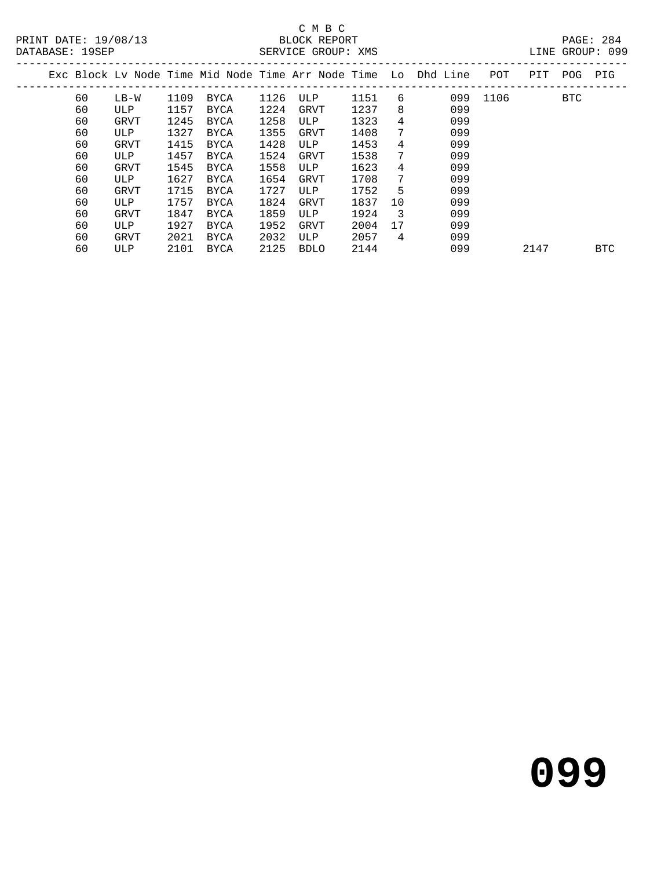### C M B C<br>BLOCK REPORT SERVICE GROUP: XMS

|    |             |      |             |      |             |      |                | Exc Block Ly Node Time Mid Node Time Arr Node Time Lo Dhd Line | POT  | PIT  | POG        | PIG        |
|----|-------------|------|-------------|------|-------------|------|----------------|----------------------------------------------------------------|------|------|------------|------------|
| 60 | LB-W        | 1109 | BYCA        | 1126 | ULP         | 1151 | 6              | 099                                                            | 1106 |      | <b>BTC</b> |            |
| 60 | ULP         | 1157 | <b>BYCA</b> | 1224 | GRVT        | 1237 | 8              | 099                                                            |      |      |            |            |
| 60 | GRVT        | 1245 | <b>BYCA</b> | 1258 | ULP         | 1323 | 4              | 099                                                            |      |      |            |            |
| 60 | ULP         | 1327 | BYCA        | 1355 | GRVT        | 1408 | 7              | 099                                                            |      |      |            |            |
| 60 | GRVT        | 1415 | BYCA        | 1428 | ULP         | 1453 | 4              | 099                                                            |      |      |            |            |
| 60 | ULP         | 1457 | BYCA        | 1524 | GRVT        | 1538 | 7              | 099                                                            |      |      |            |            |
| 60 | GRVT        | 1545 | <b>BYCA</b> | 1558 | ULP         | 1623 | 4              | 099                                                            |      |      |            |            |
| 60 | ULP         | 1627 | <b>BYCA</b> | 1654 | GRVT        | 1708 | 7              | 099                                                            |      |      |            |            |
| 60 | <b>GRVT</b> | 1715 | <b>BYCA</b> | 1727 | ULP         | 1752 | 5              | 099                                                            |      |      |            |            |
| 60 | ULP         | 1757 | <b>BYCA</b> | 1824 | GRVT        | 1837 | 10             | 099                                                            |      |      |            |            |
| 60 | GRVT        | 1847 | BYCA        | 1859 | ULP         | 1924 | - 3            | 099                                                            |      |      |            |            |
| 60 | <b>ULP</b>  | 1927 | BYCA        | 1952 | <b>GRVT</b> | 2004 | 17             | 099                                                            |      |      |            |            |
| 60 | GRVT        | 2021 | BYCA        | 2032 | ULP         | 2057 | $\overline{4}$ | 099                                                            |      |      |            |            |
| 60 | <b>ULP</b>  | 2101 | BYCA        | 2125 | <b>BDLO</b> | 2144 |                | 099                                                            |      | 2147 |            | <b>BTC</b> |
|    |             |      |             |      |             |      |                |                                                                |      |      |            |            |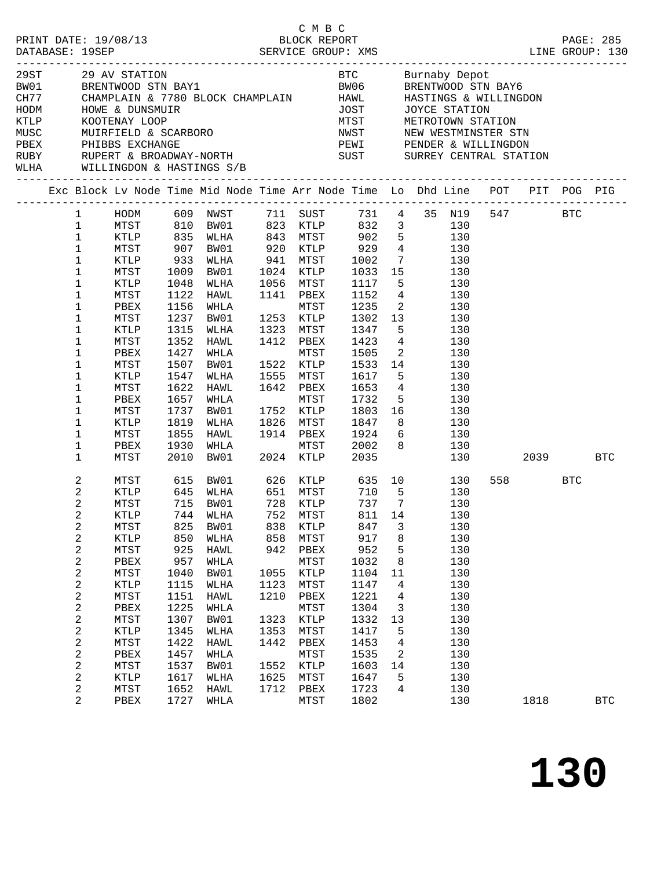| 29ST<br>BW01<br>CH77<br>HODM<br>KTLP |                            |                         |              | CHAMPLAIN & 7780 BLOCK CHAMPLAIN HAWL |              |                      | JOST<br>MTST    |                         | HASTINGS & WILLINGDON                                                                                                                                              |          |            |              |
|--------------------------------------|----------------------------|-------------------------|--------------|---------------------------------------|--------------|----------------------|-----------------|-------------------------|--------------------------------------------------------------------------------------------------------------------------------------------------------------------|----------|------------|--------------|
| MUSC                                 |                            |                         |              |                                       |              |                      |                 |                         |                                                                                                                                                                    |          |            |              |
|                                      |                            |                         |              |                                       |              |                      |                 |                         |                                                                                                                                                                    |          |            |              |
|                                      |                            |                         |              |                                       |              |                      |                 |                         | PBEX PHIBBS EXCHANGE CORTH AND THE REST MEST PENDER & WILLINGDON RUBY RUPERT & BROADWAY-NORTH SUST SUST SURREY CENTRAL STATION WILL AND MILLING AND A HASTINGS S/R |          |            |              |
|                                      |                            |                         |              |                                       |              |                      |                 |                         | Exc Block Lv Node Time Mid Node Time Arr Node Time Lo Dhd Line POT PIT POG PIG                                                                                     |          |            |              |
|                                      | $\mathbf{1}$               | HODM 609 NWST           |              |                                       |              | 711 SUST             |                 |                         | 731  4  35  N19                                                                                                                                                    | 547 BTC  |            |              |
|                                      | $\mathbf 1$                | MTST                    | 810          | BW01                                  |              | 823 KTLP             | 832             |                         | 3 <sup>7</sup><br>130                                                                                                                                              |          |            |              |
|                                      | $\mathbf{1}$               | KTLP                    | 835          | WLHA                                  | 843          | <b>MTST</b>          |                 |                         | 902 5<br>130                                                                                                                                                       |          |            |              |
|                                      | $\mathbf 1$                | MTST                    | 907          | BW01                                  | 920<br>941   | KTLP                 | 929             |                         | $\frac{4}{7}$ 130                                                                                                                                                  |          |            |              |
|                                      | $1\,$                      | KTLP                    | 933          | WLHA                                  |              | MTST                 | 1002<br>1033 15 | $7\overline{ }$         | 130                                                                                                                                                                |          |            |              |
|                                      | $\mathbf 1$<br>$\mathbf 1$ | MTST<br>KTLP            | 1009<br>1048 | BW01                                  | 1024<br>1056 | KTLP<br>MTST         | 1117            |                         | 130<br>5 <sub>1</sub>                                                                                                                                              |          |            |              |
|                                      | $\mathbf 1$                | MTST                    | 1122         | WLHA<br>HAWL                          | 1141         | PBEX                 | 1152            |                         | 130<br>$4\overline{ }$<br>130                                                                                                                                      |          |            |              |
|                                      | $\mathbf 1$                | PBEX                    | 1156         | WHLA                                  |              | MTST                 | 1235            | $\overline{a}$          | 130                                                                                                                                                                |          |            |              |
|                                      | $\mathbf{1}$               | MTST                    | 1237         | BW01                                  |              | 1253 KTLP            | 1302            |                         | 13<br>130                                                                                                                                                          |          |            |              |
|                                      | 1                          | KTLP                    | 1315         | WLHA                                  | 1323         | MTST                 | 1347            |                         | 5 <sub>5</sub><br>130                                                                                                                                              |          |            |              |
|                                      | $\mathbf 1$                | MTST                    | 1352         | HAWL                                  | 1412         | PBEX                 | 1423            |                         | $4\overline{ }$<br>130                                                                                                                                             |          |            |              |
|                                      | 1                          | PBEX                    | 1427         | WHLA                                  |              | MTST                 | 1505            | $\overline{\mathbf{2}}$ | 130                                                                                                                                                                |          |            |              |
|                                      | $\mathbf 1$                | MTST                    | 1507         | BW01                                  | 1522         | KTLP                 | 1533            | 14                      | 130                                                                                                                                                                |          |            |              |
|                                      | $\mathbf 1$                | KTLP                    | 1547         | WLHA                                  | 1555         | MTST                 | 1617            |                         | 5 <sub>1</sub><br>130                                                                                                                                              |          |            |              |
|                                      | 1                          | MTST                    | 1622         | HAWL                                  | 1642         | PBEX                 | 1653            |                         | $4\overline{ }$<br>130                                                                                                                                             |          |            |              |
|                                      | 1                          | PBEX                    | 1657         | WHLA                                  |              | MTST                 | 1732            | 5 <sub>1</sub>          | 130                                                                                                                                                                |          |            |              |
|                                      | 1                          | MTST                    | 1737         | BW01                                  | 1752         | KTLP                 | 1803            | 16                      | 130                                                                                                                                                                |          |            |              |
|                                      | 1                          | KTLP                    | 1819         | WLHA                                  | 1826         | MTST                 | 1847            |                         | 130                                                                                                                                                                |          |            |              |
|                                      | $\mathbf 1$                | MTST                    | 1855         | HAWL                                  |              | 1914 PBEX            | 1924            |                         | $6\overline{6}$<br>130                                                                                                                                             |          |            |              |
|                                      | $\mathbf 1$                | PBEX                    | 1930         | WHLA                                  | 2021         | MTST                 | 2002            |                         | 8<br>130                                                                                                                                                           |          |            |              |
|                                      | $\mathbf 1$                | MTST                    | 2010         | BW01                                  |              | 2024 KTLP            | 2035            |                         | 130                                                                                                                                                                | 2039 BTC |            |              |
|                                      | 2                          | MTST                    | 615          | BW01                                  | 626          | <b>KTLP</b>          | 635             |                         | 10 0<br>130                                                                                                                                                        | 558 30   | <b>BTC</b> |              |
|                                      | 2                          | KTLP                    | 645          | WLHA                                  |              | 651 MTST<br>728 KTLP | 710             | 5 <sub>5</sub>          | 130                                                                                                                                                                |          |            |              |
|                                      | 2<br>$\overline{c}$        | MTST                    | 715          | BW01                                  |              |                      | 737             | $\overline{7}$          | 130                                                                                                                                                                |          |            |              |
|                                      | 2                          | $\texttt{KTLP}$<br>MTST | 825          | 744 WLHA<br>BW01                      | 838          | 752 MTST<br>KTLP     | 847             | 3                       | 811 14 130<br>130                                                                                                                                                  |          |            |              |
|                                      | 2                          | KTLP                    | 850          | WLHA                                  | 858          | MTST                 | 917             | $\,8\,$                 | 130                                                                                                                                                                |          |            |              |
|                                      | 2                          | MTST                    | 925          | HAWL                                  | 942          | PBEX                 | 952             | $\mathsf S$             | 130                                                                                                                                                                |          |            |              |
|                                      | 2                          | PBEX                    | 957          | WHLA                                  |              | MTST                 | 1032            | 8                       | 130                                                                                                                                                                |          |            |              |
|                                      | 2                          | MTST                    | 1040         | BW01                                  | 1055         | <b>KTLP</b>          | 1104            | 11                      | 130                                                                                                                                                                |          |            |              |
|                                      | $\boldsymbol{2}$           | KTLP                    | 1115         | WLHA                                  | 1123         | MTST                 | 1147            | 4                       | 130                                                                                                                                                                |          |            |              |
|                                      | 2                          | MTST                    | 1151         | HAWL                                  | 1210         | PBEX                 | 1221            | $\overline{4}$          | 130                                                                                                                                                                |          |            |              |
|                                      | 2                          | PBEX                    | 1225         | WHLA                                  |              | MTST                 | 1304            | 3                       | 130                                                                                                                                                                |          |            |              |
|                                      | $\boldsymbol{2}$           | MTST                    | 1307         | BW01                                  | 1323         | KTLP                 | 1332            | 13                      | 130                                                                                                                                                                |          |            |              |
|                                      | 2                          | KTLP                    | 1345         | WLHA                                  | 1353         | MTST                 | 1417            | 5                       | 130                                                                                                                                                                |          |            |              |
|                                      | $\boldsymbol{2}$           | MTST                    | 1422         | HAWL                                  | 1442         | PBEX                 | 1453            | $\overline{4}$          | 130                                                                                                                                                                |          |            |              |
|                                      | 2                          | PBEX                    | 1457         | WHLA                                  |              | MTST                 | 1535            | 2                       | 130                                                                                                                                                                |          |            |              |
|                                      | 2                          | MTST                    | 1537         | BW01                                  | 1552         | KTLP                 | 1603            | 14                      | 130                                                                                                                                                                |          |            |              |
|                                      | 2                          | KTLP                    | 1617         | WLHA                                  | 1625         | MTST                 | 1647            | 5                       | 130                                                                                                                                                                |          |            |              |
|                                      | 2                          | MTST                    | 1652         | HAWL                                  | 1712         | PBEX                 | 1723            | $4\overline{ }$         | 130                                                                                                                                                                |          |            |              |
|                                      | 2                          | PBEX                    | 1727         | WHLA                                  |              | MTST                 | 1802            |                         | 130                                                                                                                                                                | 1818     |            | $_{\rm BTC}$ |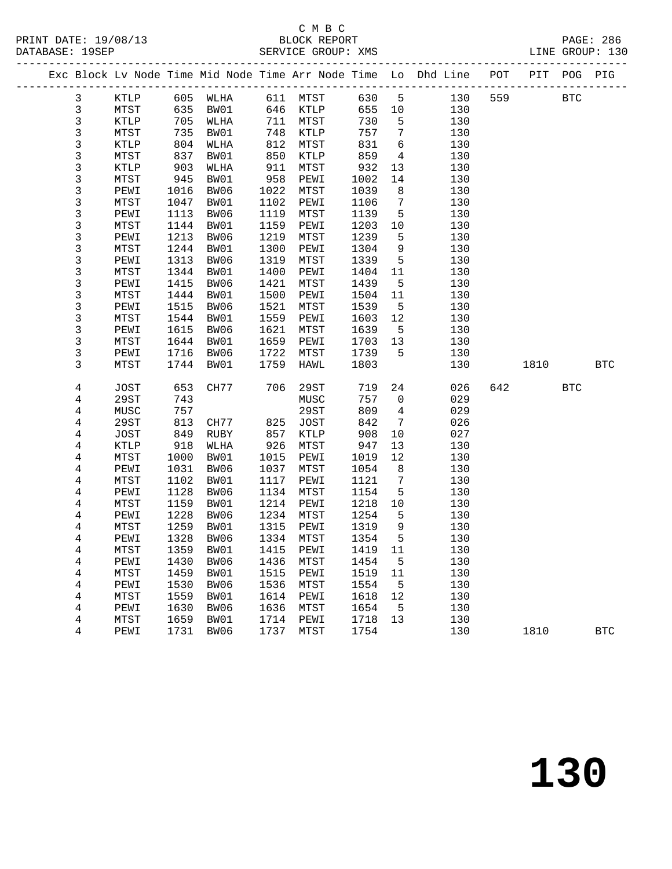# C M B C<br>BLOCK REPORT

|  |                |               |      |      |      |                             |        |                 | Exc Block Lv Node Time Mid Node Time Arr Node Time Lo Dhd Line POT PIT POG PIG |     |      |              |            |
|--|----------------|---------------|------|------|------|-----------------------------|--------|-----------------|--------------------------------------------------------------------------------|-----|------|--------------|------------|
|  | $\mathbf{3}$   | KTLP 605 WLHA |      |      |      | 611 MTST 630 5              |        |                 | 130                                                                            | 559 |      | $_{\rm BTC}$ |            |
|  | $\mathsf{3}$   | MTST          | 635  | BW01 | 646  | <b>KTLP</b>                 | 655 10 |                 | 130                                                                            |     |      |              |            |
|  | $\mathsf 3$    | KTLP          | 705  | WLHA | 711  | MTST                        | 730    | $5^{\circ}$     | 130                                                                            |     |      |              |            |
|  | $\mathsf 3$    | MTST          | 735  | BW01 | 748  | KTLP                        | 757    | $\overline{7}$  | 130                                                                            |     |      |              |            |
|  | 3              | KTLP          | 804  | WLHA | 812  | MTST                        | 831    | $6\overline{6}$ | 130                                                                            |     |      |              |            |
|  | $\frac{3}{3}$  | MTST          | 837  | BW01 | 850  | $\texttt{KTLP}$             | 859    | $\overline{4}$  | 130                                                                            |     |      |              |            |
|  |                | KTLP          | 903  | WLHA | 911  | MTST                        | 932    | 13              | 130                                                                            |     |      |              |            |
|  | 3              | MTST          | 945  | BW01 | 958  | PEWI                        | 1002   | 14              | 130                                                                            |     |      |              |            |
|  | $\mathsf 3$    | PEWI          | 1016 | BW06 | 1022 | MTST                        | 1039   | 8               | 130                                                                            |     |      |              |            |
|  | 3              | MTST          | 1047 | BW01 | 1102 | PEWI                        | 1106   | $7\overline{ }$ | 130                                                                            |     |      |              |            |
|  | 3              | PEWI          | 1113 | BW06 | 1119 | MTST                        | 1139   | 5               | 130                                                                            |     |      |              |            |
|  | 3              | MTST          | 1144 | BW01 | 1159 | PEWI                        | 1203   | 10              | 130                                                                            |     |      |              |            |
|  | $\mathfrak{Z}$ | PEWI          | 1213 | BW06 | 1219 | MTST                        | 1239   | 5               | 130                                                                            |     |      |              |            |
|  | 3              | MTST          | 1244 | BW01 | 1300 | PEWI                        | 1304   | 9               | 130                                                                            |     |      |              |            |
|  | 3              | PEWI          | 1313 | BW06 | 1319 | MTST                        | 1339   | $5^{\circ}$     | 130                                                                            |     |      |              |            |
|  | 3              | MTST          | 1344 | BW01 | 1400 | PEWI                        | 1404   | 11              | 130                                                                            |     |      |              |            |
|  | $\mathsf{3}$   | PEWI          | 1415 | BW06 | 1421 | MTST                        | 1439   | $5^{\circ}$     | 130                                                                            |     |      |              |            |
|  | 3              | MTST          | 1444 | BW01 | 1500 | PEWI                        | 1504   | 11              | 130                                                                            |     |      |              |            |
|  | 3              | PEWI          | 1515 | BW06 | 1521 | MTST                        | 1539   | $5^{\circ}$     | 130                                                                            |     |      |              |            |
|  | 3              | MTST          | 1544 | BW01 | 1559 | PEWI                        | 1603   | 12              | 130                                                                            |     |      |              |            |
|  | $\mathfrak{Z}$ | PEWI          | 1615 | BW06 | 1621 | MTST                        | 1639   | $5^{\circ}$     | 130                                                                            |     |      |              |            |
|  | 3              | MTST          | 1644 | BW01 | 1659 | PEWI                        | 1703   | 13              | 130                                                                            |     |      |              |            |
|  | 3              | PEWI          | 1716 | BW06 | 1722 | MTST                        | 1739   | 5               | 130                                                                            |     |      |              |            |
|  | 3              | MTST          | 1744 | BW01 | 1759 | HAWL                        | 1803   |                 | 130                                                                            |     | 1810 |              | <b>BTC</b> |
|  | 4              | JOST          | 653  | CH77 | 706  | 29ST                        | 719    | 24              | 026                                                                            | 642 |      | <b>BTC</b>   |            |
|  | 4              | 29ST          | 743  |      |      | MUSC                        | 757    | $\overline{0}$  | 029                                                                            |     |      |              |            |
|  | 4              | MUSC          | 757  |      |      | 29ST                        | 809    | $\overline{4}$  | 029                                                                            |     |      |              |            |
|  | 4              | 29ST          | 813  | CH77 | 825  | JOST                        | 842    | $7\phantom{.0}$ | 026                                                                            |     |      |              |            |
|  | 4              | JOST          | 849  | RUBY | 857  | KTLP                        | 908    | 10              | 027                                                                            |     |      |              |            |
|  | 4              | KTLP          | 918  | WLHA | 926  | MTST                        | 947    | 13              | 130                                                                            |     |      |              |            |
|  | 4              | MTST          | 1000 | BW01 | 1015 | PEWI                        | 1019   | 12              | 130                                                                            |     |      |              |            |
|  | 4              | PEWI          | 1031 | BW06 | 1037 | MTST                        | 1054   | 8 <sup>8</sup>  | 130                                                                            |     |      |              |            |
|  | $\overline{4}$ | MTST          | 1102 | BW01 | 1117 | PEWI                        | 1121   | $7\overline{ }$ | 130                                                                            |     |      |              |            |
|  | 4              | PEWI          | 1128 | BW06 | 1134 | MTST                        | 1154   | 5               | 130                                                                            |     |      |              |            |
|  | 4              | MTST          | 1159 | BW01 | 1214 | PEWI                        | 1218   | 10              | 130                                                                            |     |      |              |            |
|  | 4              | PEWI          | 1228 | BW06 | 1234 | MTST                        | 1254   | 5               | 130                                                                            |     |      |              |            |
|  | $\overline{4}$ | MTST          | 1259 | BW01 | 1315 | PEWI                        | 1319   | 9               | 130                                                                            |     |      |              |            |
|  | 4              | PEWI          | 1328 | BW06 | 1334 | MTST                        | 1354   | 5               | 130                                                                            |     |      |              |            |
|  | 4              | MTST          |      |      |      | 1359 BW01 1415 PEWI 1419 11 |        |                 | 130                                                                            |     |      |              |            |
|  | 4              | PEWI          | 1430 | BW06 | 1436 | MTST                        | 1454   | 5               | 130                                                                            |     |      |              |            |
|  | 4              | MTST          | 1459 | BW01 | 1515 | PEWI                        | 1519   | 11              | 130                                                                            |     |      |              |            |
|  | 4              | PEWI          | 1530 | BW06 | 1536 | MTST                        | 1554   | 5               | 130                                                                            |     |      |              |            |
|  | 4              | MTST          | 1559 | BW01 | 1614 | PEWI                        | 1618   | 12              | 130                                                                            |     |      |              |            |
|  | 4              | PEWI          | 1630 | BW06 | 1636 | MTST                        | 1654   | 5               | 130                                                                            |     |      |              |            |
|  | 4              | MTST          | 1659 | BW01 | 1714 | PEWI                        | 1718   | 13              | 130                                                                            |     |      |              |            |
|  | 4              | PEWI          | 1731 | BW06 | 1737 | MTST                        | 1754   |                 | 130                                                                            |     | 1810 |              | <b>BTC</b> |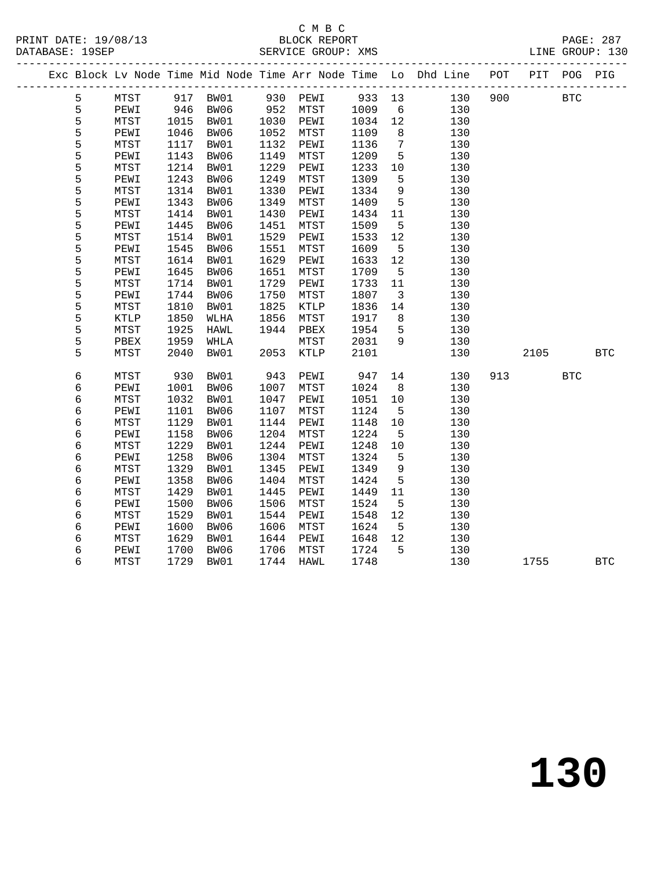# C M B C<br>BLOCK REPORT

|  |               |      |      |          |              |                 |         |                         | Exc Block Lv Node Time Mid Node Time Arr Node Time Lo Dhd Line POT PIT POG PIG |     |            |              |            |
|--|---------------|------|------|----------|--------------|-----------------|---------|-------------------------|--------------------------------------------------------------------------------|-----|------------|--------------|------------|
|  | 5             | MTST |      | 917 BW01 |              | 930 PEWI 933 13 |         |                         | 130                                                                            | 900 | <b>BTC</b> |              |            |
|  | $\mathsf S$   | PEWI |      | 946 BW06 |              | 952 MTST        | 1009    | $6\overline{6}$         | 130                                                                            |     |            |              |            |
|  | $\frac{5}{5}$ | MTST | 1015 | BW01     | 1030<br>1052 | PEWI            | 1034 12 |                         | 130                                                                            |     |            |              |            |
|  |               | PEWI | 1046 | BW06     | 1052         | MTST            | 1109    | 8 <sup>8</sup>          | 130                                                                            |     |            |              |            |
|  | 5             | MTST | 1117 | BW01     | 1132         | PEWI            | 1136    | $\overline{7}$          | 130                                                                            |     |            |              |            |
|  | 5             | PEWI | 1143 | BW06     | 1149         | MTST            | 1209    | $5^{\circ}$             | 130                                                                            |     |            |              |            |
|  | 5             | MTST | 1214 | BW01     | 1229         | PEWI            | 1233 10 |                         | 130                                                                            |     |            |              |            |
|  | $\frac{5}{5}$ | PEWI | 1243 | BW06     | 1249         | MTST            | 1309    | $-5$                    | 130                                                                            |     |            |              |            |
|  |               | MTST | 1314 | BW01     | 1330         | PEWI            | 1334    | 9                       | 130                                                                            |     |            |              |            |
|  | 5             | PEWI | 1343 | BW06     | 1349         | MTST            | 1409    | $5^{\circ}$             | 130                                                                            |     |            |              |            |
|  | $\frac{5}{5}$ | MTST | 1414 | BW01     | 1430         | PEWI            | 1434    | 11                      | 130                                                                            |     |            |              |            |
|  |               | PEWI | 1445 | BW06     | 1451         | MTST            | 1509    | $5^{\circ}$             | 130                                                                            |     |            |              |            |
|  | 5             | MTST | 1514 | BW01     | 1529         | PEWI            | 1533    | 12                      | 130                                                                            |     |            |              |            |
|  | 5             | PEWI | 1545 | BW06     | 1551         | MTST            | 1609    | $5^{\circ}$             | 130                                                                            |     |            |              |            |
|  | 5             | MTST | 1614 | BW01     | 1629         | PEWI            | 1633    | 12                      | 130                                                                            |     |            |              |            |
|  | 5             | PEWI | 1645 | BW06     | 1651         | MTST            | 1709    | $5\overline{)}$         | 130                                                                            |     |            |              |            |
|  | 5             | MTST | 1714 | BW01     | 1729         | PEWI            | 1733    | 11                      | 130                                                                            |     |            |              |            |
|  | $\frac{5}{5}$ | PEWI | 1744 | BW06     | 1750         | MTST            | 1807    | $\overline{\mathbf{3}}$ | 130                                                                            |     |            |              |            |
|  |               | MTST | 1810 | BW01     | 1825         | KTLP            | 1836    | 14                      | 130                                                                            |     |            |              |            |
|  | 5             | KTLP | 1850 | WLHA     | 1856         | MTST            | 1917    | 8 <sup>8</sup>          | 130                                                                            |     |            |              |            |
|  | 5             | MTST | 1925 | HAWL     | 1944         | PBEX            | 1954    | $5^{\circ}$             | 130                                                                            |     |            |              |            |
|  | 5             | PBEX | 1959 | WHLA     |              | MTST            | 2031    | 9                       | 130                                                                            |     |            |              |            |
|  | 5             | MTST | 2040 | BW01     | 2053         | KTLP            | 2101    |                         | 130                                                                            |     | 2105       |              | <b>BTC</b> |
|  | $\epsilon$    | MTST | 930  | BW01     | 943          | PEWI            | 947     | 14                      | 130                                                                            | 913 |            | $_{\rm BTC}$ |            |
|  | $\epsilon$    | PEWI | 1001 | BW06     | 1007         | MTST            | 1024    | 8 <sup>8</sup>          | 130                                                                            |     |            |              |            |
|  | $\epsilon$    | MTST | 1032 | BW01     | 1047         | PEWI            | 1051    | 10                      | 130                                                                            |     |            |              |            |
|  | $\epsilon$    | PEWI | 1101 | BW06     | 1107         | MTST            | 1124    | $5^{\circ}$             | 130                                                                            |     |            |              |            |
|  | 6             | MTST | 1129 | BW01     | 1144         | PEWI            | 1148    | 10                      | 130                                                                            |     |            |              |            |
|  | 6             | PEWI | 1158 | BW06     | 1204         | ${\tt MTST}$    | 1224    | $5\overline{)}$         | 130                                                                            |     |            |              |            |
|  | $\epsilon$    | MTST | 1229 | BW01     | 1244         | PEWI            | 1248    | 10                      | 130                                                                            |     |            |              |            |
|  | 6             | PEWI | 1258 | BW06     | 1304         | MTST            | 1324    | $5^{\circ}$             | 130                                                                            |     |            |              |            |
|  | 6             | MTST | 1329 | BW01     | 1345         | PEWI            | 1349    | 9                       | 130                                                                            |     |            |              |            |
|  | 6             | PEWI | 1358 | BW06     | 1404         | MTST            | 1424    | $5^{\circ}$             | 130                                                                            |     |            |              |            |
|  | $\epsilon$    | MTST | 1429 | BW01     | 1445         | PEWI            | 1449    | 11                      | 130                                                                            |     |            |              |            |
|  | 6             | PEWI | 1500 | BW06     | 1506         | MTST            | 1524    | $5^{\circ}$             | 130                                                                            |     |            |              |            |
|  | $\epsilon$    | MTST | 1529 | BW01     | 1544         | PEWI            | 1548    | 12                      | 130                                                                            |     |            |              |            |
|  | $\epsilon$    | PEWI | 1600 | BW06     | 1606         | MTST            | 1624    | $5^{\circ}$             | 130                                                                            |     |            |              |            |
|  | 6             | MTST | 1629 | BW01     | 1644         | PEWI            | 1648    | 12                      | 130                                                                            |     |            |              |            |
|  | 6             | PEWI | 1700 | BW06     | 1706         | MTST            | 1724    | $-5$                    | 130                                                                            |     |            |              |            |
|  | 6             | MTST | 1729 | BW01     | 1744         | HAWL            | 1748    |                         | 130                                                                            |     | 1755       |              | <b>BTC</b> |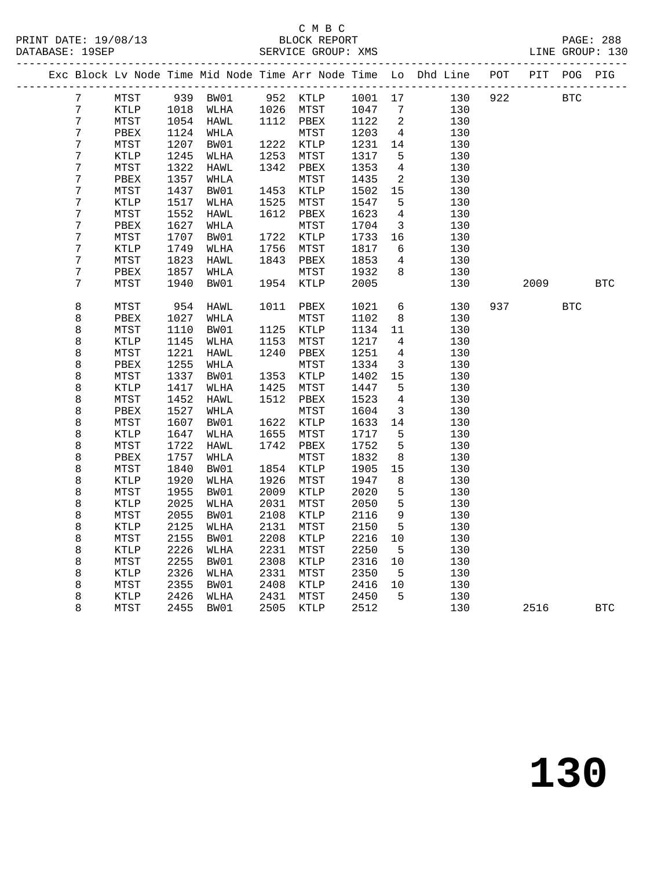# C M B C

| DATABASE: 19SEP |  |                  |              |      |      |      | SERVICE GROUP: XMS |         |                |                                                                    |                  |      | LINE GROUP: 130 |            |
|-----------------|--|------------------|--------------|------|------|------|--------------------|---------|----------------|--------------------------------------------------------------------|------------------|------|-----------------|------------|
|                 |  |                  |              |      |      |      |                    |         |                | Exc Block Lv Node Time Mid Node Time Arr Node Time Lo Dhd Line POT | ________________ | PIT  | POG PIG         |            |
|                 |  | $\sqrt{ }$       | MTST         | 939  | BW01 | 952  | KTLP               | 1001 17 |                | 130                                                                | 922              |      | <b>BTC</b>      |            |
|                 |  | $\boldsymbol{7}$ | KTLP         | 1018 | WLHA | 1026 | MTST               | 1047    | 7              | 130                                                                |                  |      |                 |            |
|                 |  | 7                | MTST         | 1054 | HAWL | 1112 | PBEX               | 1122    | 2              | 130                                                                |                  |      |                 |            |
|                 |  | $\sqrt{ }$       | PBEX         | 1124 | WHLA |      | MTST               | 1203    | $\overline{4}$ | 130                                                                |                  |      |                 |            |
|                 |  | $\boldsymbol{7}$ | MTST         | 1207 | BW01 | 1222 | KTLP               | 1231    | 14             | 130                                                                |                  |      |                 |            |
|                 |  | 7                | KTLP         | 1245 | WLHA | 1253 | MTST               | 1317    | 5              | 130                                                                |                  |      |                 |            |
|                 |  | $\boldsymbol{7}$ | ${\tt MTST}$ | 1322 | HAWL | 1342 | PBEX               | 1353    | 4              | 130                                                                |                  |      |                 |            |
|                 |  | 7                | PBEX         | 1357 | WHLA |      | MTST               | 1435    | $\mathbf{2}$   | 130                                                                |                  |      |                 |            |
|                 |  | $\boldsymbol{7}$ | ${\tt MTST}$ | 1437 | BW01 | 1453 | $\texttt{KTLP}$    | 1502    | 15             | 130                                                                |                  |      |                 |            |
|                 |  | $\boldsymbol{7}$ | <b>KTLP</b>  | 1517 | WLHA | 1525 | MTST               | 1547    | 5              | 130                                                                |                  |      |                 |            |
|                 |  | $\boldsymbol{7}$ | MTST         | 1552 | HAWL | 1612 | PBEX               | 1623    | $\overline{4}$ | 130                                                                |                  |      |                 |            |
|                 |  | $\boldsymbol{7}$ | PBEX         | 1627 | WHLA |      | MTST               | 1704    | $\mathbf{3}$   | 130                                                                |                  |      |                 |            |
|                 |  | $\boldsymbol{7}$ | MTST         | 1707 | BW01 | 1722 | KTLP               | 1733    | 16             | 130                                                                |                  |      |                 |            |
|                 |  | 7                | KTLP         | 1749 | WLHA | 1756 | MTST               | 1817    | 6              | 130                                                                |                  |      |                 |            |
|                 |  | $\sqrt{ }$       | MTST         | 1823 | HAWL | 1843 | PBEX               | 1853    | 4              | 130                                                                |                  |      |                 |            |
|                 |  | $\overline{7}$   | PBEX         | 1857 | WHLA |      | MTST               | 1932    | 8              | 130                                                                |                  |      |                 |            |
|                 |  | 7                | MTST         | 1940 | BW01 | 1954 | KTLP               | 2005    |                | 130                                                                |                  | 2009 |                 | <b>BTC</b> |
|                 |  | 8                | MTST         | 954  | HAWL | 1011 | PBEX               | 1021    | 6              | 130                                                                | 937              |      | <b>BTC</b>      |            |
|                 |  | 8                | PBEX         | 1027 | WHLA |      | MTST               | 1102    | 8              | 130                                                                |                  |      |                 |            |
|                 |  | $\,8\,$          | MTST         | 1110 | BW01 | 1125 | KTLP               | 1134    | 11             | 130                                                                |                  |      |                 |            |
|                 |  | $\,8\,$          | KTLP         | 1145 | WLHA | 1153 | MTST               | 1217    | $\overline{4}$ | 130                                                                |                  |      |                 |            |
|                 |  | 8                | MTST         | 1221 | HAWL | 1240 | PBEX               | 1251    | 4              | 130                                                                |                  |      |                 |            |
|                 |  | 8                | PBEX         | 1255 | WHLA |      | MTST               | 1334    | 3              | 130                                                                |                  |      |                 |            |
|                 |  | 8                | MTST         | 1337 | BW01 | 1353 | KTLP               | 1402    | 15             | 130                                                                |                  |      |                 |            |
|                 |  | $\,8\,$          | KTLP         | 1417 | WLHA | 1425 | MTST               | 1447    | 5              | 130                                                                |                  |      |                 |            |
|                 |  | 8                | MTST         | 1452 | HAWL | 1512 | PBEX               | 1523    | 4              | 130                                                                |                  |      |                 |            |
|                 |  | $\,8\,$          | PBEX         | 1527 | WHLA |      | MTST               | 1604    | 3              | 130                                                                |                  |      |                 |            |
|                 |  | $\,8\,$          | MTST         | 1607 | BW01 | 1622 | KTLP               | 1633    | 14             | 130                                                                |                  |      |                 |            |
|                 |  | $\,8\,$          | KTLP         | 1647 | WLHA | 1655 | ${\tt MTST}$       | 1717    | $\mathsf S$    | 130                                                                |                  |      |                 |            |
|                 |  | 8                | MTST         | 1722 | HAWL | 1742 | PBEX               | 1752    | 5              | 130                                                                |                  |      |                 |            |
|                 |  | $\,8\,$          | PBEX         | 1757 | WHLA |      | MTST               | 1832    | 8              | 130                                                                |                  |      |                 |            |
|                 |  | 8                | MTST         | 1840 | BW01 | 1854 | KTLP               | 1905    | 15             | 130                                                                |                  |      |                 |            |
|                 |  | $\,8\,$          | KTLP         | 1920 | WLHA | 1926 | MTST               | 1947    | $\,8\,$        | 130                                                                |                  |      |                 |            |
|                 |  | 8                | MTST         | 1955 | BW01 | 2009 | KTLP               | 2020    | 5              | 130                                                                |                  |      |                 |            |
|                 |  | $\,8\,$          | <b>KTLP</b>  | 2025 | WLHA | 2031 | MTST               | 2050    | 5              | 130                                                                |                  |      |                 |            |
|                 |  | 8                | MTST         | 2055 | BW01 | 2108 | KTLP               | 2116    | 9              | 130                                                                |                  |      |                 |            |
|                 |  | 8                | KTLP         | 2125 | WLHA | 2131 | MTST               | 2150    | $\overline{5}$ | 130                                                                |                  |      |                 |            |
|                 |  | 8                | MTST         | 2155 | BW01 | 2208 | KTLP               | 2216    | 10             | 130                                                                |                  |      |                 |            |
|                 |  | 8                | KTLP         | 2226 | WLHA | 2231 | MTST               | 2250    | 5              | 130                                                                |                  |      |                 |            |
|                 |  | 8                | MTST         | 2255 | BW01 | 2308 | KTLP               | 2316    | 10             | 130                                                                |                  |      |                 |            |
|                 |  | 8                | KTLP         | 2326 | WLHA | 2331 | MTST               | 2350    | 5              | 130                                                                |                  |      |                 |            |
|                 |  | 8                | MTST         | 2355 | BW01 | 2408 | KTLP               | 2416    | 10             | 130                                                                |                  |      |                 |            |
|                 |  | 8                | KTLP         | 2426 | WLHA | 2431 | MTST               | 2450    | 5              | 130                                                                |                  |      |                 |            |
|                 |  | 8                | MTST         | 2455 | BW01 | 2505 | KTLP               | 2512    |                | 130                                                                |                  | 2516 |                 | <b>BTC</b> |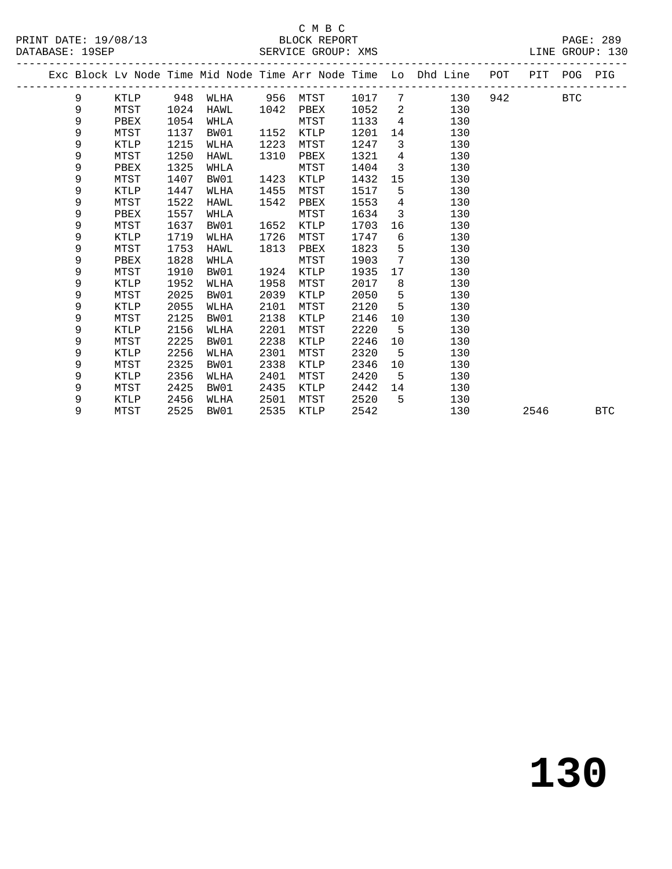### C M B C<br>BLOCK REPORT

|  |             |               |      |      |      |             |        |                                                                                                                                                                                                                                                                                                                                                                                     | Exc Block Lv Node Time Mid Node Time Arr Node Time Lo Dhd Line POT PIT POG PIG |         |      |            |
|--|-------------|---------------|------|------|------|-------------|--------|-------------------------------------------------------------------------------------------------------------------------------------------------------------------------------------------------------------------------------------------------------------------------------------------------------------------------------------------------------------------------------------|--------------------------------------------------------------------------------|---------|------|------------|
|  | 9           | KTLP 948 WLHA |      |      |      | 956 MTST    | 1017 7 |                                                                                                                                                                                                                                                                                                                                                                                     | 130                                                                            | 942 BTC |      |            |
|  | 9           | MTST          | 1024 | HAWL | 1042 | PBEX        | 1052   |                                                                                                                                                                                                                                                                                                                                                                                     | $\overline{\mathbf{c}}$<br>130                                                 |         |      |            |
|  | 9           | PBEX          | 1054 | WHLA |      | MTST        | 1133   | $4\phantom{.0000}\phantom{.0000}\phantom{.0000}\phantom{.0000}\phantom{.0000}\phantom{.0000}\phantom{.0000}\phantom{.0000}\phantom{.0000}\phantom{.0000}\phantom{.0000}\phantom{.0000}\phantom{.0000}\phantom{.0000}\phantom{.0000}\phantom{.0000}\phantom{.0000}\phantom{.0000}\phantom{.0000}\phantom{.0000}\phantom{.0000}\phantom{.0000}\phantom{.0000}\phantom{.0000}\phantom$ | 130                                                                            |         |      |            |
|  | 9           | MTST          | 1137 | BW01 | 1152 | KTLP        | 1201   | 14                                                                                                                                                                                                                                                                                                                                                                                  | 130                                                                            |         |      |            |
|  | 9           | KTLP          | 1215 | WLHA | 1223 | MTST        | 1247   | $\overline{\mathbf{3}}$                                                                                                                                                                                                                                                                                                                                                             | 130                                                                            |         |      |            |
|  | 9           | MTST          | 1250 | HAWL | 1310 | PBEX        | 1321   | $\overline{4}$                                                                                                                                                                                                                                                                                                                                                                      | 130                                                                            |         |      |            |
|  | 9           | PBEX          | 1325 | WHLA |      | MTST        | 1404   | $\overline{3}$                                                                                                                                                                                                                                                                                                                                                                      | 130                                                                            |         |      |            |
|  | 9           | MTST          | 1407 | BW01 | 1423 | KTLP        | 1432   | 15                                                                                                                                                                                                                                                                                                                                                                                  | 130                                                                            |         |      |            |
|  | 9           | KTLP          | 1447 | WLHA | 1455 | MTST        | 1517   | $5\overline{)}$                                                                                                                                                                                                                                                                                                                                                                     | 130                                                                            |         |      |            |
|  | 9           | MTST          | 1522 | HAWL | 1542 | PBEX        | 1553   | $\overline{4}$                                                                                                                                                                                                                                                                                                                                                                      | 130                                                                            |         |      |            |
|  | 9           | PBEX          | 1557 | WHLA |      | MTST        | 1634   | $\mathbf{3}$                                                                                                                                                                                                                                                                                                                                                                        | 130                                                                            |         |      |            |
|  | 9           | MTST          | 1637 | BW01 | 1652 | KTLP        | 1703   | 16                                                                                                                                                                                                                                                                                                                                                                                  | 130                                                                            |         |      |            |
|  | 9           | KTLP          | 1719 | WLHA | 1726 | MTST        | 1747   | 6                                                                                                                                                                                                                                                                                                                                                                                   | 130                                                                            |         |      |            |
|  | 9           | MTST          | 1753 | HAWL | 1813 | PBEX        | 1823   | 5 <sub>5</sub>                                                                                                                                                                                                                                                                                                                                                                      | 130                                                                            |         |      |            |
|  | 9           | PBEX          | 1828 | WHLA |      | MTST        | 1903   | $7\phantom{0}$                                                                                                                                                                                                                                                                                                                                                                      | 130                                                                            |         |      |            |
|  | 9           | MTST          | 1910 | BW01 | 1924 | <b>KTLP</b> | 1935   | 17                                                                                                                                                                                                                                                                                                                                                                                  | 130                                                                            |         |      |            |
|  | 9           | KTLP          | 1952 | WLHA | 1958 | MTST        | 2017   | 8 <sup>8</sup>                                                                                                                                                                                                                                                                                                                                                                      | 130                                                                            |         |      |            |
|  | 9           | MTST          | 2025 | BW01 | 2039 | KTLP        | 2050   | $5^{\circ}$                                                                                                                                                                                                                                                                                                                                                                         | 130                                                                            |         |      |            |
|  | 9           | KTLP          | 2055 | WLHA | 2101 | MTST        | 2120   | $5^{\circ}$                                                                                                                                                                                                                                                                                                                                                                         | 130                                                                            |         |      |            |
|  | 9           | MTST          | 2125 | BW01 | 2138 | KTLP        | 2146   | 10                                                                                                                                                                                                                                                                                                                                                                                  | 130                                                                            |         |      |            |
|  | 9           | KTLP          | 2156 | WLHA | 2201 | MTST        | 2220   | - 5                                                                                                                                                                                                                                                                                                                                                                                 | 130                                                                            |         |      |            |
|  | 9           | MTST          | 2225 | BW01 | 2238 | <b>KTLP</b> | 2246   | 10                                                                                                                                                                                                                                                                                                                                                                                  | 130                                                                            |         |      |            |
|  | 9           | KTLP          | 2256 | WLHA | 2301 | MTST        | 2320   | $-5$                                                                                                                                                                                                                                                                                                                                                                                | 130                                                                            |         |      |            |
|  | 9           | MTST          | 2325 | BW01 | 2338 | KTLP        | 2346   | 10                                                                                                                                                                                                                                                                                                                                                                                  | 130                                                                            |         |      |            |
|  | $\mathsf 9$ | KTLP          | 2356 | WLHA | 2401 | MTST        | 2420   | 5                                                                                                                                                                                                                                                                                                                                                                                   | 130                                                                            |         |      |            |
|  | 9           | MTST          | 2425 | BW01 | 2435 | KTLP        | 2442   | 14                                                                                                                                                                                                                                                                                                                                                                                  | 130                                                                            |         |      |            |
|  | 9           | KTLP          | 2456 | WLHA | 2501 | MTST        | 2520   | 5                                                                                                                                                                                                                                                                                                                                                                                   | 130                                                                            |         |      |            |
|  | 9           | MTST          | 2525 | BW01 | 2535 | KTLP        | 2542   |                                                                                                                                                                                                                                                                                                                                                                                     | 130                                                                            |         | 2546 | <b>BTC</b> |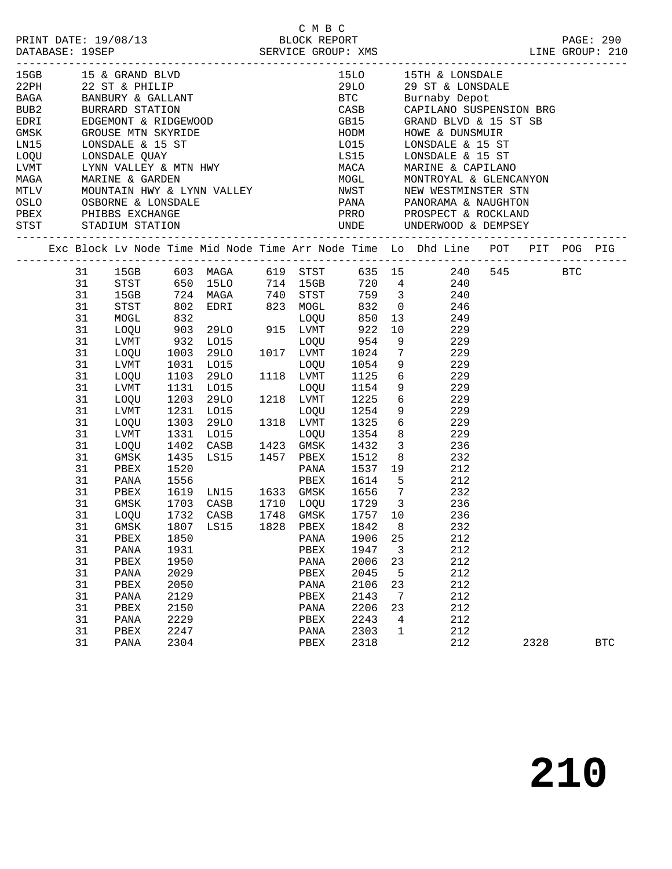|                      | 15GB 15 & GRAND BLVD<br>1968 – 15 & GRAND BLVD<br>22 PH – 22 ST & PHILIP<br>BAGA – BANBURY & GALLANT<br>BUB2 – BURRARD STATION<br>EDRI – EDGEMONT & RIDGEWOOD<br>GMSK – GROUSE MTN SKYRIDE<br>LN15 – LONSDALE & 15 ST<br>LOQU – LONSDALE QUAY<br>LVMT – LYNN VALLEY & |              |      |                                     |      | C M B C      |      |             | LINE GROUP: 210                                                                                                                                                   |      |            |
|----------------------|-----------------------------------------------------------------------------------------------------------------------------------------------------------------------------------------------------------------------------------------------------------------------|--------------|------|-------------------------------------|------|--------------|------|-------------|-------------------------------------------------------------------------------------------------------------------------------------------------------------------|------|------------|
|                      |                                                                                                                                                                                                                                                                       |              |      |                                     |      |              |      |             | 15LO 15TH & LONSDALE                                                                                                                                              |      |            |
|                      |                                                                                                                                                                                                                                                                       |              |      |                                     |      |              |      |             | 29LO 29 ST & LONSDALE<br>BTC Burnaby Depot                                                                                                                        |      |            |
|                      |                                                                                                                                                                                                                                                                       |              |      |                                     |      |              |      |             | CASB CAPILANO SUSPENSION BRG                                                                                                                                      |      |            |
|                      |                                                                                                                                                                                                                                                                       |              |      |                                     |      |              |      |             | GB15 GRAND BLVD & 15 ST SB                                                                                                                                        |      |            |
|                      |                                                                                                                                                                                                                                                                       |              |      |                                     |      |              |      |             |                                                                                                                                                                   |      |            |
|                      |                                                                                                                                                                                                                                                                       |              |      |                                     |      |              |      |             | HODM HOWE & DUNSMUIR<br>LO15 LONSDALE & 15 ST                                                                                                                     |      |            |
|                      |                                                                                                                                                                                                                                                                       |              |      |                                     |      |              |      |             | LS15 LONSDALE & 15 ST                                                                                                                                             |      |            |
|                      |                                                                                                                                                                                                                                                                       |              |      |                                     |      |              |      |             |                                                                                                                                                                   |      |            |
|                      |                                                                                                                                                                                                                                                                       |              |      |                                     |      |              |      |             |                                                                                                                                                                   |      |            |
|                      |                                                                                                                                                                                                                                                                       |              |      |                                     |      |              |      |             |                                                                                                                                                                   |      |            |
|                      |                                                                                                                                                                                                                                                                       |              |      |                                     |      |              |      |             |                                                                                                                                                                   |      |            |
| PBEX PHIBBS EXCHANGE |                                                                                                                                                                                                                                                                       |              |      |                                     |      |              |      |             |                                                                                                                                                                   |      |            |
| STST STADIUM STATION |                                                                                                                                                                                                                                                                       |              |      |                                     |      |              |      |             | UNDE UNDERWOOD & DEMPSEY                                                                                                                                          |      |            |
|                      |                                                                                                                                                                                                                                                                       |              |      |                                     |      |              |      |             | Exc Block Lv Node Time Mid Node Time Arr Node Time Lo Dhd Line POT PIT POG PIG                                                                                    |      |            |
|                      |                                                                                                                                                                                                                                                                       |              |      |                                     |      |              |      |             | 31 15GB 603 MAGA 619 STST 635 15 240 545 BTC<br>31 STST 650 15LO 714 15GB 720 4 240<br>31 15GB 724 MAGA 740 STST 759 3 240<br>31 STST 802 EDRI 823 MOGL 832 0 246 |      |            |
|                      |                                                                                                                                                                                                                                                                       |              |      |                                     |      |              |      |             |                                                                                                                                                                   |      |            |
|                      |                                                                                                                                                                                                                                                                       |              |      |                                     |      |              |      |             |                                                                                                                                                                   |      |            |
|                      |                                                                                                                                                                                                                                                                       |              |      |                                     |      |              |      |             |                                                                                                                                                                   |      |            |
|                      | 31                                                                                                                                                                                                                                                                    | MOGL         |      |                                     |      |              |      |             | 832 LOQU 850 13<br>903 29LO 915 LVMT 922 10 229<br>932 LO15 LOQU 954 9 229<br>1003 29LO 1017 LVMT 1024 7 229                                                      |      |            |
|                      | 31                                                                                                                                                                                                                                                                    | LOQU         |      |                                     |      |              |      |             |                                                                                                                                                                   |      |            |
|                      | 31                                                                                                                                                                                                                                                                    | LVMT         |      |                                     |      |              |      |             |                                                                                                                                                                   |      |            |
|                      | 31                                                                                                                                                                                                                                                                    | LOQU         |      |                                     |      |              |      |             |                                                                                                                                                                   |      |            |
|                      | 31                                                                                                                                                                                                                                                                    | LVMT         |      | 1031 LO15                           |      |              |      |             | 1118 LVMT 1125 6 229<br>1118 LVMT 1125 6 229<br>1218 LVMT 1125 6 229<br>1218 LVMT 1225 6 229                                                                      |      |            |
|                      | 31                                                                                                                                                                                                                                                                    | LOQU         |      | 1103 29LO                           |      |              |      |             |                                                                                                                                                                   |      |            |
|                      | 31                                                                                                                                                                                                                                                                    | LVMT         |      | 1131 LO15                           |      |              |      |             |                                                                                                                                                                   |      |            |
|                      | 31                                                                                                                                                                                                                                                                    | LOQU         |      | 1203 29LO                           |      |              |      |             |                                                                                                                                                                   |      |            |
|                      | 31<br>31                                                                                                                                                                                                                                                              | LVMT         |      | 1231 LO15                           |      | 1318 LVMT    |      |             | LOQU 1254 9 229                                                                                                                                                   |      |            |
|                      | 31                                                                                                                                                                                                                                                                    | LOQU<br>LVMT |      | 1303 29LO<br>1331 IO15<br>1331 LO15 | 1318 |              |      |             | LVMT 1325 6 229<br>LOQU 1354 8 229                                                                                                                                |      |            |
|                      | 31                                                                                                                                                                                                                                                                    | LOQU         |      | 1402 CASB 1423 GMSK                 |      |              |      |             | 1432 3 236                                                                                                                                                        |      |            |
|                      | 31                                                                                                                                                                                                                                                                    | GMSK         |      |                                     |      |              |      |             | 1435 LS15 1457 PBEX 1512 8 232                                                                                                                                    |      |            |
|                      | 31                                                                                                                                                                                                                                                                    | PBEX         |      |                                     |      |              |      |             |                                                                                                                                                                   |      |            |
|                      | 31                                                                                                                                                                                                                                                                    | PANA         |      |                                     |      |              |      |             |                                                                                                                                                                   |      |            |
|                      | 31                                                                                                                                                                                                                                                                    | PBEX         |      |                                     |      |              |      |             | 1619 LN15 1633 GMSK 1656 7 232                                                                                                                                    |      |            |
|                      | 31                                                                                                                                                                                                                                                                    | GMSK         |      | 1703 CASB                           |      |              |      |             | 1710 LOQU 1729 3 236                                                                                                                                              |      |            |
|                      |                                                                                                                                                                                                                                                                       | 31 LOQU      |      | 1732 CASB 1748 GMSK 1757 10         |      |              |      |             | 236                                                                                                                                                               |      |            |
|                      | 31                                                                                                                                                                                                                                                                    | $\rm{GMSK}$  | 1807 | LS15                                | 1828 | PBEX         | 1842 | 8           | 232                                                                                                                                                               |      |            |
|                      | 31                                                                                                                                                                                                                                                                    | PBEX         | 1850 |                                     |      | PANA         | 1906 | 25          | 212                                                                                                                                                               |      |            |
|                      | 31                                                                                                                                                                                                                                                                    | PANA         | 1931 |                                     |      | PBEX         | 1947 | 3           | 212                                                                                                                                                               |      |            |
|                      | 31                                                                                                                                                                                                                                                                    | ${\tt PBEX}$ | 1950 |                                     |      | PANA         | 2006 | 23          | 212                                                                                                                                                               |      |            |
|                      | 31                                                                                                                                                                                                                                                                    | PANA         | 2029 |                                     |      | PBEX         | 2045 | 5           | 212                                                                                                                                                               |      |            |
|                      | 31                                                                                                                                                                                                                                                                    | PBEX         | 2050 |                                     |      | PANA         | 2106 | 23          | 212                                                                                                                                                               |      |            |
|                      | 31                                                                                                                                                                                                                                                                    | PANA         | 2129 |                                     |      | PBEX         | 2143 | 7           | 212                                                                                                                                                               |      |            |
|                      | 31                                                                                                                                                                                                                                                                    | ${\tt PBEX}$ | 2150 |                                     |      | PANA         | 2206 | 23          | 212                                                                                                                                                               |      |            |
|                      | 31                                                                                                                                                                                                                                                                    | PANA         | 2229 |                                     |      | PBEX         | 2243 | 4           | 212                                                                                                                                                               |      |            |
|                      | 31                                                                                                                                                                                                                                                                    | PBEX         | 2247 |                                     |      | PANA         | 2303 | $\mathbf 1$ | 212                                                                                                                                                               |      |            |
|                      | 31                                                                                                                                                                                                                                                                    | PANA         | 2304 |                                     |      | ${\tt PBEX}$ | 2318 |             | 212                                                                                                                                                               | 2328 | <b>BTC</b> |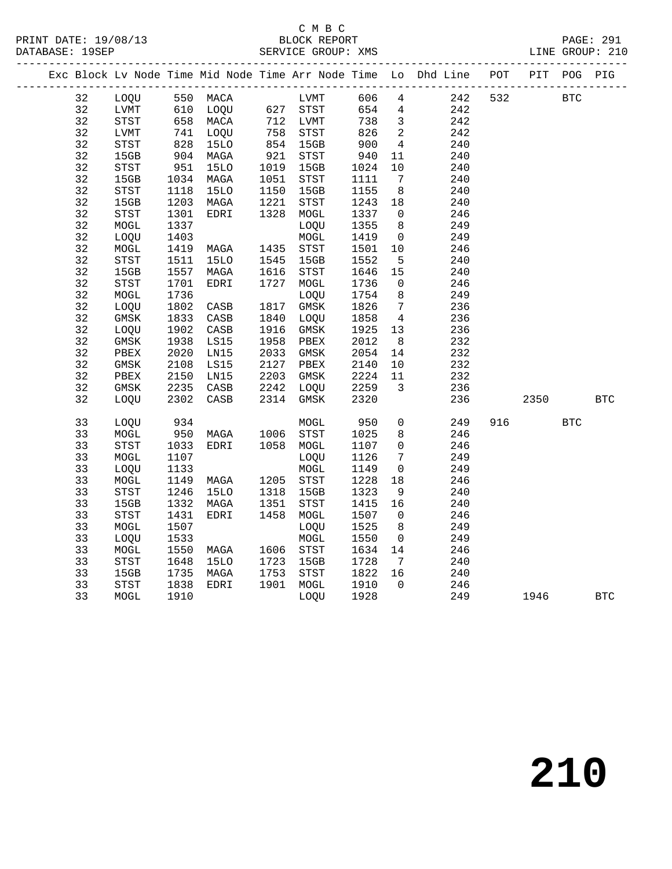#### C M B C<br>BLOCK REPORT SERVICE GROUP: XMS

|  |    |               |              |                                  |              |                              |            |                         | Exc Block Lv Node Time Mid Node Time Arr Node Time Lo Dhd Line POT PIT POG PIG |     |            |            |            |
|--|----|---------------|--------------|----------------------------------|--------------|------------------------------|------------|-------------------------|--------------------------------------------------------------------------------|-----|------------|------------|------------|
|  | 32 | LOQU 550 MACA |              |                                  |              | LVMT<br>627 STST<br>712 LVMT |            |                         | LVMT 606 4 242                                                                 | 532 | <b>BTC</b> |            |            |
|  | 32 | LVMT          |              | 610 LOQU                         |              |                              | 654 4      |                         | 242                                                                            |     |            |            |            |
|  | 32 | STST          |              | 658 MACA<br>741 LOQU<br>828 15LO |              |                              | 738 3      |                         | 242                                                                            |     |            |            |            |
|  | 32 | LVMT          |              |                                  |              | 758 STST<br>854 15GB         | 826<br>900 | $\overline{\mathbf{c}}$ | 242                                                                            |     |            |            |            |
|  | 32 | STST          |              |                                  |              |                              |            | $\overline{4}$          | 240                                                                            |     |            |            |            |
|  | 32 | 15GB          |              | MAGA                             | 921<br>1019  | STST                         | 940        | 11                      | 240                                                                            |     |            |            |            |
|  | 32 | STST          | 904<br>951   | <b>15LO</b>                      |              | 15GB                         | 1024       | 10                      | 240                                                                            |     |            |            |            |
|  | 32 | 15GB          |              | 1034 MAGA                        | 1051         | STST                         | 1111       | $7\overline{ }$         | 240                                                                            |     |            |            |            |
|  | 32 | STST          | 1118         | 15LO                             | 1150         | 15GB                         | 1155       | 8 <sup>8</sup>          | 240                                                                            |     |            |            |            |
|  | 32 | 15GB          | 1203         | MAGA                             | 1150<br>1221 | STST                         | 1243 18    |                         | 240                                                                            |     |            |            |            |
|  | 32 | STST          | 1301         | EDRI                             | 1328         | MOGL                         | 1337       | $\overline{0}$          | 246                                                                            |     |            |            |            |
|  | 32 | MOGL          | 1337         |                                  |              | LOQU                         | 1355       | 8 <sup>8</sup>          | 249                                                                            |     |            |            |            |
|  | 32 | LOQU          | 1403         |                                  |              | ${\tt MOGL}$                 | 1419       | $\overline{0}$          | 249                                                                            |     |            |            |            |
|  | 32 | MOGL          | 1419         | MAGA                             | 1435         | STST                         | 1501       | 10                      | 246                                                                            |     |            |            |            |
|  | 32 | STST          | 1511         | 15LO                             | 1545         | 15GB                         | 1552       | $5^{\circ}$             | 240                                                                            |     |            |            |            |
|  | 32 | 15GB          | 1557         | MAGA                             | 1616         | STST                         | 1646       | 15                      | 240                                                                            |     |            |            |            |
|  | 32 | STST          | 1701         | EDRI                             | 1727         | MOGL                         | 1736       | $\overline{0}$          | 246                                                                            |     |            |            |            |
|  | 32 | MOGL          | 1736         |                                  |              | LOQU                         | 1754       | 8 <sup>8</sup>          | 249                                                                            |     |            |            |            |
|  | 32 | LOQU          | 1802         | CASB                             | 1817         | GMSK                         | 1826       | $7\overline{)}$         | 236                                                                            |     |            |            |            |
|  | 32 | GMSK          | 1833         | CASB                             | 1840         | LOQU                         | 1858       | $\overline{4}$          | 236                                                                            |     |            |            |            |
|  | 32 | LOQU          | 1902         | CASB                             | 1916         | GMSK                         | 1925       | 13                      | 236                                                                            |     |            |            |            |
|  | 32 | GMSK          | 1938         | LS15                             | 1958         | PBEX                         | 2012       | 8 <sup>8</sup>          | 232                                                                            |     |            |            |            |
|  | 32 | PBEX          | 2020<br>2108 | LN15                             | 2033         | GMSK                         | 2054       | 14                      | 232                                                                            |     |            |            |            |
|  | 32 | GMSK          |              | LS15                             |              | 2127 PBEX                    | 2140       | 10                      | 232                                                                            |     |            |            |            |
|  | 32 | PBEX          | 2150         | LN15                             | 2203         | GMSK                         | 2224       | 11                      | 232                                                                            |     |            |            |            |
|  | 32 | GMSK          | 2235         | CASB                             | 2242         | LOQU                         | 2259       | $\overline{\mathbf{3}}$ | 236                                                                            |     |            |            |            |
|  | 32 | LOQU          | 2302         | CASB                             | 2314         | GMSK                         | 2320       |                         | 236                                                                            |     | 2350       |            | <b>BTC</b> |
|  | 33 | LOQU          | 934          |                                  |              | MOGL                         | 950        | $\mathsf{O}$            | 249                                                                            | 916 |            | <b>BTC</b> |            |
|  | 33 | MOGL          | 950          | MAGA                             | 1006         | <b>STST</b>                  | 1025       | 8                       | 246                                                                            |     |            |            |            |
|  | 33 | STST          | 1033         | EDRI                             |              | 1058 MOGL                    | 1107       | $\overline{0}$          | 246                                                                            |     |            |            |            |
|  | 33 | MOGL          | 1107         |                                  |              | LOQU                         | 1126       | $7\overline{ }$         | 249                                                                            |     |            |            |            |
|  | 33 | LOQU          | 1133         |                                  |              | MOGL                         | 1149       | $\overline{0}$          | 249                                                                            |     |            |            |            |
|  | 33 | MOGL          | 1149         | MAGA                             |              | 1205 STST                    | 1228       | 18                      | 246                                                                            |     |            |            |            |
|  | 33 | STST          | 1246         | <b>15LO</b>                      | 1318         | 15GB                         | 1323       | 9                       | 240                                                                            |     |            |            |            |
|  | 33 | 15GB          | 1332         | MAGA                             | 1351         | STST                         | 1415       | 16                      | 240                                                                            |     |            |            |            |
|  | 33 | <b>STST</b>   | 1431         | EDRI                             |              | 1458 MOGL                    | 1507       | $\overline{0}$          | 246                                                                            |     |            |            |            |
|  | 33 | MOGL          | 1507         |                                  |              | LOQU                         | 1525       | 8 <sup>8</sup>          | 249                                                                            |     |            |            |            |
|  | 33 | LOQU          | 1533         |                                  |              | MOGL                         | 1550       | $\overline{0}$          | 249                                                                            |     |            |            |            |
|  | 33 | MOGL          | 1550         | MAGA                             | 1606         | STST                         | 1634       | 14                      | 246                                                                            |     |            |            |            |
|  | 33 | STST          | 1648         | 15LO                             | 1723         | 15GB                         | 1728       | $7\overline{ }$         | 240                                                                            |     |            |            |            |
|  | 33 | 15GB          | 1735         | MAGA                             | 1753         | STST                         | 1822       | 16                      | 240                                                                            |     |            |            |            |
|  | 33 | STST          | 1838         | EDRI                             |              | 1901 MOGL                    | 1910       | $\overline{0}$          | 246                                                                            |     |            |            |            |
|  | 33 | MOGL          | 1910         |                                  |              | LOQU                         | 1928       |                         | 249                                                                            |     | 1946       |            | <b>BTC</b> |
|  |    |               |              |                                  |              |                              |            |                         |                                                                                |     |            |            |            |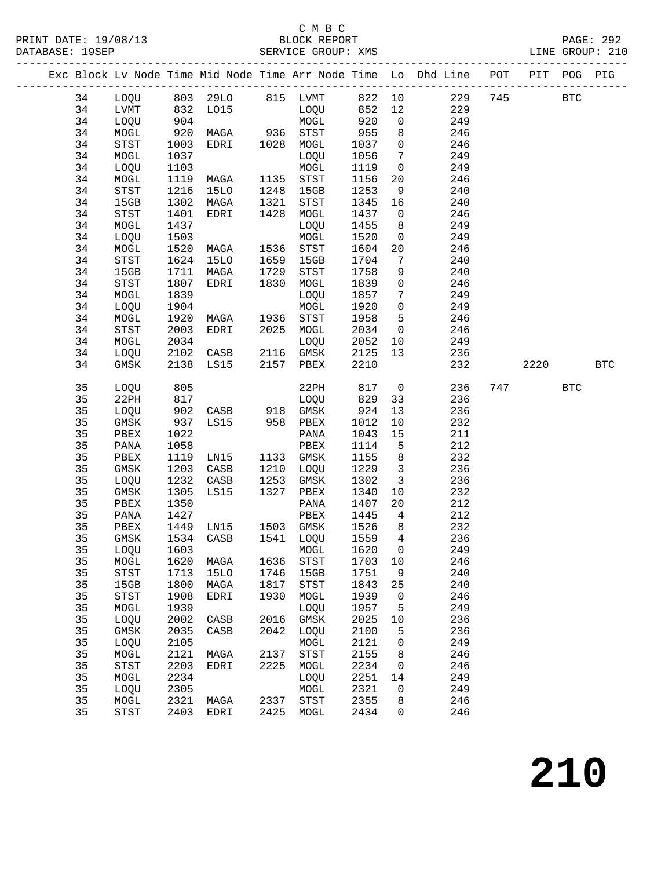#### C M B C<br>BLOCK REPORT SERVICE GROUP: XMS

|  |    |             |      |             |                     |                                       |      |                 | Exc Block Lv Node Time Mid Node Time Arr Node Time Lo Dhd Line POT PIT |     |      | POG        | PIG        |
|--|----|-------------|------|-------------|---------------------|---------------------------------------|------|-----------------|------------------------------------------------------------------------|-----|------|------------|------------|
|  | 34 | LOQU        |      | 803 29LO    |                     | 815 LVMT                              | 822  | 10              | 229                                                                    | 745 |      | <b>BTC</b> |            |
|  | 34 | LVMT        | 832  | L015        |                     | LOQU                                  | 852  | 12              | 229                                                                    |     |      |            |            |
|  | 34 | LOQU        | 904  |             |                     | MOGL                                  | 920  | $\mathsf{O}$    | 249                                                                    |     |      |            |            |
|  | 34 | MOGL        | 920  | MAGA        |                     | STST                                  | 955  | 8               | 246                                                                    |     |      |            |            |
|  | 34 | STST        | 1003 | EDRI        | 936<br>1028<br>1028 | MOGL                                  | 1037 | $\overline{0}$  | 246                                                                    |     |      |            |            |
|  | 34 | MOGL        | 1037 |             |                     | LOQU                                  | 1056 | $7\overline{ }$ | 249                                                                    |     |      |            |            |
|  | 34 | LOQU        | 1103 |             |                     | MOGL                                  | 1119 | $\overline{0}$  | 249                                                                    |     |      |            |            |
|  | 34 | MOGL        | 1119 | MAGA        | 1135                | STST                                  | 1156 | $20\,$          | 246                                                                    |     |      |            |            |
|  | 34 | STST        | 1216 | <b>15LO</b> | 1248                | 15GB                                  | 1253 | 9               | 240                                                                    |     |      |            |            |
|  | 34 | 15GB        | 1302 | MAGA        | 1321                | STST                                  | 1345 | 16              | 240                                                                    |     |      |            |            |
|  | 34 | STST        | 1401 | EDRI        | 1428                | $\tt MOGL$                            | 1437 | $\overline{0}$  | 246                                                                    |     |      |            |            |
|  | 34 | $\tt MOGL$  | 1437 |             |                     | LOQU                                  | 1455 | 8               | 249                                                                    |     |      |            |            |
|  | 34 | LOQU        | 1503 |             |                     | $\tt MOGL$                            | 1520 | $\overline{0}$  | 249                                                                    |     |      |            |            |
|  | 34 | MOGL        | 1520 | MAGA        | 1536                | STST                                  | 1604 | 20              | 246                                                                    |     |      |            |            |
|  | 34 | STST        | 1624 | 15LO        | 1659                | 15GB                                  | 1704 | 7               | 240                                                                    |     |      |            |            |
|  | 34 | 15GB        | 1711 | MAGA        | 1729                | STST                                  | 1758 | 9               | 240                                                                    |     |      |            |            |
|  | 34 | STST        | 1807 | EDRI        | 1830                | $\tt MOGL$                            | 1839 | $\mathsf{O}$    | 246                                                                    |     |      |            |            |
|  | 34 | $\tt MOGL$  | 1839 |             |                     | LOQU                                  | 1857 | $7\phantom{.0}$ | 249                                                                    |     |      |            |            |
|  | 34 | LOQU        | 1904 |             |                     | MOGL                                  | 1920 | $\mathsf{O}$    | 249                                                                    |     |      |            |            |
|  | 34 | MOGL        | 1920 | MAGA        | 1936                | STST                                  | 1958 | 5               | 246                                                                    |     |      |            |            |
|  | 34 | STST        | 2003 | EDRI        | 2025                | MOGL                                  | 2034 | $\overline{0}$  | 246                                                                    |     |      |            |            |
|  | 34 | MOGL        | 2034 |             |                     | LOQU                                  | 2052 | 10              | 249                                                                    |     |      |            |            |
|  | 34 | LOQU        | 2102 | CASB        | 2116                | GMSK                                  | 2125 | 13              | 236                                                                    |     |      |            |            |
|  | 34 | GMSK        | 2138 | LS15        | 2157                | PBEX                                  | 2210 |                 | 232                                                                    |     | 2220 |            | <b>BTC</b> |
|  |    |             |      |             |                     |                                       |      |                 |                                                                        |     |      |            |            |
|  | 35 | LOQU        | 805  |             |                     | 22PH                                  | 817  | $\overline{0}$  | 236                                                                    | 747 |      | <b>BTC</b> |            |
|  | 35 | 22PH        | 817  |             |                     | LOQU                                  | 829  | 33              | 236                                                                    |     |      |            |            |
|  | 35 | LOQU        | 902  | CASB        | 918                 | GMSK                                  | 924  | 13              | 236                                                                    |     |      |            |            |
|  | 35 | GMSK        | 937  | LS15        | 958                 | PBEX                                  | 1012 | 10              | 232                                                                    |     |      |            |            |
|  | 35 | PBEX        | 1022 |             |                     | PANA                                  | 1043 | 15              | 211                                                                    |     |      |            |            |
|  | 35 | PANA        | 1058 |             |                     | PBEX                                  | 1114 | 5               | 212                                                                    |     |      |            |            |
|  | 35 | PBEX        | 1119 | LN15        | 1133                | GMSK                                  | 1155 | 8               | 232                                                                    |     |      |            |            |
|  | 35 | GMSK        | 1203 | CASB        | 1210                | LOQU                                  | 1229 | $\mathbf{3}$    | 236                                                                    |     |      |            |            |
|  | 35 | LOQU        | 1232 | CASB        | 1253                | $\rm{GMSK}$                           | 1302 | $\mathbf{3}$    | 236                                                                    |     |      |            |            |
|  | 35 | GMSK        | 1305 | LS15        | 1327                | PBEX                                  | 1340 | 10              | 232                                                                    |     |      |            |            |
|  | 35 | PBEX        | 1350 |             |                     | PANA                                  | 1407 | $20\,$          | 212                                                                    |     |      |            |            |
|  | 35 | PANA        | 1427 |             |                     | PBEX                                  | 1445 | 4               | 212                                                                    |     |      |            |            |
|  | 35 | PBEX        | 1449 | LN15        |                     | 1503 GMSK                             | 1526 | 8               | 232                                                                    |     |      |            |            |
|  | 35 | GMSK        | 1534 | CASB        | 1541                | LOQU                                  | 1559 | 4               | 236                                                                    |     |      |            |            |
|  | 35 | LOQU        | 1603 |             |                     | MOGL                                  | 1620 | 0               | 249                                                                    |     |      |            |            |
|  | 35 | MOGL        | 1620 | MAGA        | 1636                | <b>STST</b>                           | 1703 | 10              | 246                                                                    |     |      |            |            |
|  | 35 | <b>STST</b> | 1713 | <b>15LO</b> | 1746                | 15GB                                  | 1751 | 9               | 240                                                                    |     |      |            |            |
|  | 35 | 15GB        | 1800 | MAGA        | 1817                | STST                                  | 1843 | 25              | 240                                                                    |     |      |            |            |
|  | 35 | <b>STST</b> | 1908 | EDRI        | 1930                | MOGL                                  | 1939 | 0               | 246                                                                    |     |      |            |            |
|  | 35 | MOGL        | 1939 |             |                     | LOQU                                  | 1957 | 5               | 249                                                                    |     |      |            |            |
|  | 35 | LOQU        | 2002 | CASB        | 2016                | $\rm{GMSK}$                           | 2025 | $10$            | 236                                                                    |     |      |            |            |
|  | 35 | GMSK        | 2035 | CASB        | 2042                | LOQU                                  | 2100 | 5               | 236                                                                    |     |      |            |            |
|  | 35 | LOQU        | 2105 |             |                     | MOGL                                  | 2121 | 0               | 249                                                                    |     |      |            |            |
|  | 35 | MOGL        | 2121 | MAGA        | 2137                | $_{\footnotesize{\textnormal{STST}}}$ | 2155 | 8               | 246                                                                    |     |      |            |            |
|  | 35 | <b>STST</b> | 2203 | EDRI        | 2225                | MOGL                                  | 2234 | 0               | 246                                                                    |     |      |            |            |
|  | 35 | MOGL        | 2234 |             |                     | LOQU                                  | 2251 | 14              | 249                                                                    |     |      |            |            |
|  | 35 | LOQU        | 2305 |             |                     | MOGL                                  | 2321 | 0               | 249                                                                    |     |      |            |            |

 35 MOGL 2321 MAGA 2337 STST 2355 8 246 35 STST 2403 EDRI 2425 MOGL 2434 0 246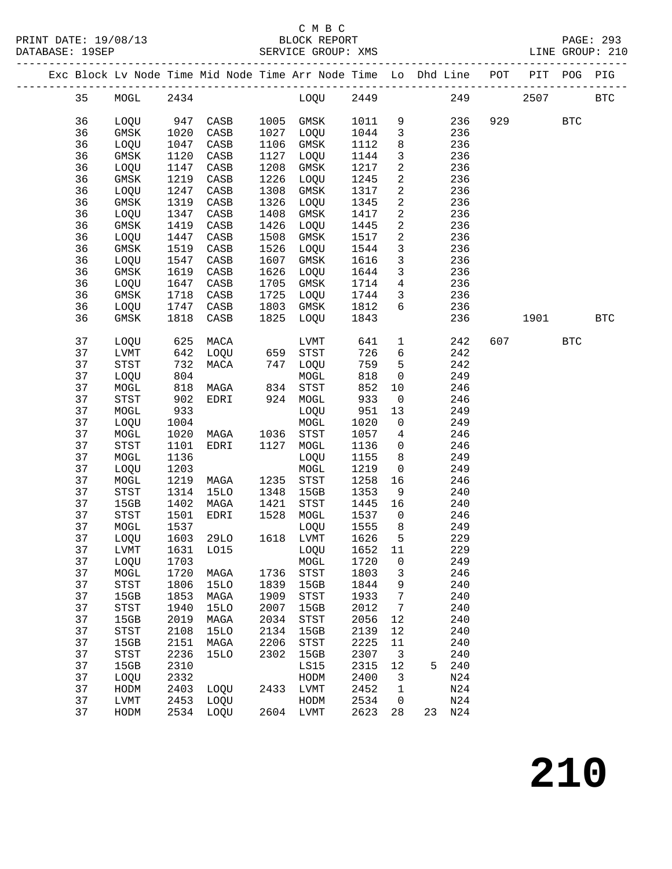#### C M B C<br>BLOCK REPORT SERVICE GROUP: XMS

|  |          |                            |              |              |              | Exc Block Lv Node Time Mid Node Time Arr Node Time Lo Dhd Line POT PIT POG PIG<br>------------------------------------- |              |                                  |            |     |            |            |              |
|--|----------|----------------------------|--------------|--------------|--------------|-------------------------------------------------------------------------------------------------------------------------|--------------|----------------------------------|------------|-----|------------|------------|--------------|
|  | 35       |                            |              |              |              | MOGL 2434 LOQU 2449                                                                                                     |              |                                  |            | 249 |            | 2507       | $_{\rm BTC}$ |
|  | 36       | LOQU                       |              | 947 CASB     |              | 1005 GMSK                                                                                                               | 1011 9       |                                  | 236        |     | 929 — 10   | <b>BTC</b> |              |
|  | 36       | GMSK                       | 1020         | CASB         | 1027         | LOQU                                                                                                                    | 1044         | $\overline{3}$                   | 236        |     |            |            |              |
|  | 36       | LOQU                       | 1047         | CASB         | 1106         | GMSK                                                                                                                    | 1112         | 8                                | 236        |     |            |            |              |
|  | 36       | GMSK                       | 1120         | CASB         | 1127         | LOQU                                                                                                                    | 1144         | $\mathbf{3}$                     | 236        |     |            |            |              |
|  | 36       | LOQU                       | 1147         | CASB         | 1208         | GMSK                                                                                                                    | 1217         | $\overline{a}$                   | 236        |     |            |            |              |
|  | 36       | GMSK                       | 1219         | CASB         | 1226         | LOQU                                                                                                                    | 1245         | $\overline{a}$                   | 236        |     |            |            |              |
|  | 36       | LOQU                       | 1247         | CASB         | 1308         | GMSK                                                                                                                    | 1317         | $\overline{a}$                   | 236        |     |            |            |              |
|  | 36       | GMSK                       | 1319         | CASB         | 1326         | LOQU                                                                                                                    | 1345         | $\overline{a}$                   | 236        |     |            |            |              |
|  | 36       | LOQU                       | 1347         | CASB         | 1408         | GMSK                                                                                                                    | 1417         | $\overline{a}$                   | 236        |     |            |            |              |
|  | 36       | GMSK                       | 1419         | CASB         | 1426         | LOQU                                                                                                                    | 1445         | $\overline{a}$                   | 236        |     |            |            |              |
|  | 36       | LOQU                       | 1447         | CASB         | 1508         | GMSK                                                                                                                    | 1517         | $\overline{a}$                   | 236        |     |            |            |              |
|  | 36       | GMSK                       | 1519         | CASB         | 1526         | LOQU                                                                                                                    | 1544         | $\mathbf{3}$                     | 236        |     |            |            |              |
|  | 36       | LOQU                       | 1547         | CASB         | 1607         | GMSK                                                                                                                    | 1616         | $\mathbf{3}$                     | 236        |     |            |            |              |
|  | 36       | GMSK                       | 1619         | CASB         | 1626         | LOQU                                                                                                                    | 1644         | $\mathbf{3}$                     | 236        |     |            |            |              |
|  | 36       | LOQU                       | 1647         | CASB         | 1705         | GMSK                                                                                                                    | 1714         | $4\overline{4}$                  | 236        |     |            |            |              |
|  | 36       | GMSK                       | 1718         | CASB         |              | 1725 LOQU                                                                                                               | 1744         | $\overline{\mathbf{3}}$          | 236        |     |            |            |              |
|  | 36       | LOQU                       | 1747         | CASB         |              | 1803 GMSK                                                                                                               | 1812         | $6\overline{6}$                  | 236        |     |            |            |              |
|  | 36       | GMSK                       | 1818         | CASB         | 1825         | LOQU                                                                                                                    | 1843         |                                  | 236        |     |            | 1901 BTC   |              |
|  | 37       | LOQU                       | 625          | MACA         |              | LVMT                                                                                                                    | 641          | $\mathbf{1}$                     | 242        | 607 | <b>BTC</b> |            |              |
|  | 37       | LVMT                       | 642          | LOQU         |              | 659 STST                                                                                                                | 726          | $6\overline{6}$                  | 242        |     |            |            |              |
|  | 37       | STST                       | 732          | MACA         |              | 747 LOQU                                                                                                                | 759          | $5^{\circ}$                      | 242        |     |            |            |              |
|  | 37       | LOQU                       | 804          |              |              | MOGL                                                                                                                    | 818          | $\overline{0}$                   | 249        |     |            |            |              |
|  | 37       | MOGL                       | 818          | MAGA         |              | 834 STST                                                                                                                | 852          | 10                               | 246        |     |            |            |              |
|  | 37       | $_{\footnotesize\rm STST}$ | 902          | EDRI         |              | 924 MOGL                                                                                                                | 933          | $\overline{0}$                   | 246        |     |            |            |              |
|  | 37       | MOGL                       | 933          |              |              | LOQU                                                                                                                    | 951          | 13                               | 249        |     |            |            |              |
|  | 37       | LOQU                       | 1004         |              |              | MOGL                                                                                                                    | 1020         | $\overline{0}$                   | 249        |     |            |            |              |
|  | 37<br>37 | MOGL<br>STST               | 1020<br>1101 | MAGA<br>EDRI | 1036<br>1127 | STST                                                                                                                    | 1057<br>1136 | $\overline{4}$                   | 246<br>246 |     |            |            |              |
|  | 37       | MOGL                       | 1136         |              |              | MOGL<br>LOQU                                                                                                            | 1155         | $\overline{0}$<br>8 <sup>8</sup> | 249        |     |            |            |              |
|  | 37       | LOQU                       | 1203         |              |              | MOGL                                                                                                                    | 1219         | $\overline{0}$                   | 249        |     |            |            |              |
|  | 37       | MOGL                       | 1219         | MAGA         | 1235         | STST                                                                                                                    | 1258         | 16                               | 246        |     |            |            |              |
|  | 37       | $_{\footnotesize\rm STST}$ | 1314         | 15LO         | 1348         | 15GB                                                                                                                    | 1353         | 9                                | 240        |     |            |            |              |
|  | 37       | 15GB                       | 1402         | MAGA         | 1421         | STST                                                                                                                    | 1445 16      |                                  | 240        |     |            |            |              |
|  | 37       | STST                       | 1501         | EDRI         | 1528         | MOGL                                                                                                                    | 1537         | $\overline{0}$                   | 246        |     |            |            |              |
|  | 37       | MOGL                       | 1537         |              |              | LOQU                                                                                                                    | 1555         | 8 <sup>8</sup>                   | 249        |     |            |            |              |
|  | 37       | LOQU                       | 1603         | 29LO         |              | 1618 LVMT                                                                                                               | 1626         | $5^{\circ}$                      | 229        |     |            |            |              |
|  | 37       |                            |              |              |              | LVMT 1631 LO15 LOQU 1652 11                                                                                             |              |                                  | 229        |     |            |            |              |
|  | 37       | LOQU                       | 1703         |              |              | MOGL                                                                                                                    | 1720         | $\mathbf 0$                      | 249        |     |            |            |              |
|  | 37       | MOGL                       | 1720         | MAGA         |              | 1736 STST                                                                                                               | 1803         | 3                                | 246        |     |            |            |              |
|  | 37       | STST                       | 1806         | 15LO         |              | 1839 15GB                                                                                                               | 1844         | 9                                | 240        |     |            |            |              |
|  | 37       | 15GB                       | 1853         | MAGA         | 1909         | STST                                                                                                                    | 1933         | 7                                | 240        |     |            |            |              |
|  | 37       | STST                       | 1940         | <b>15LO</b>  | 2007         | 15GB                                                                                                                    | 2012         | 7                                | 240        |     |            |            |              |
|  | 37       | 15GB                       | 2019         | MAGA         | 2034         | STST                                                                                                                    | 2056         | 12                               | 240        |     |            |            |              |
|  | 37       | STST                       | 2108         | 15LO         | 2134         | 15GB                                                                                                                    | 2139         | 12                               | 240        |     |            |            |              |
|  | 37       | 15GB                       | 2151         | MAGA         | 2206         | STST                                                                                                                    | 2225         | 11                               | 240        |     |            |            |              |
|  | 37       | <b>STST</b>                | 2236         | 15LO         | 2302         | 15GB                                                                                                                    | 2307         | $\overline{\mathbf{3}}$          | 240        |     |            |            |              |
|  | 37       | 15GB                       | 2310         |              |              | LS15                                                                                                                    | 2315         | 12                               | 5 240      |     |            |            |              |
|  | 37       | LOQU                       | 2332         |              |              | HODM                                                                                                                    | 2400         | 3                                | N24        |     |            |            |              |
|  | 37       | HODM                       | 2403         | LOQU         |              | 2433 LVMT                                                                                                               | 2452         | $\mathbf{1}$                     | N24        |     |            |            |              |
|  | 37       | LVMT                       | 2453         | LOQU         |              | HODM                                                                                                                    | 2534         | 0                                | N24        |     |            |            |              |
|  | 37       | HODM                       | 2534         | LOQU         |              | 2604 LVMT                                                                                                               | 2623         | 28                               | N24<br>23  |     |            |            |              |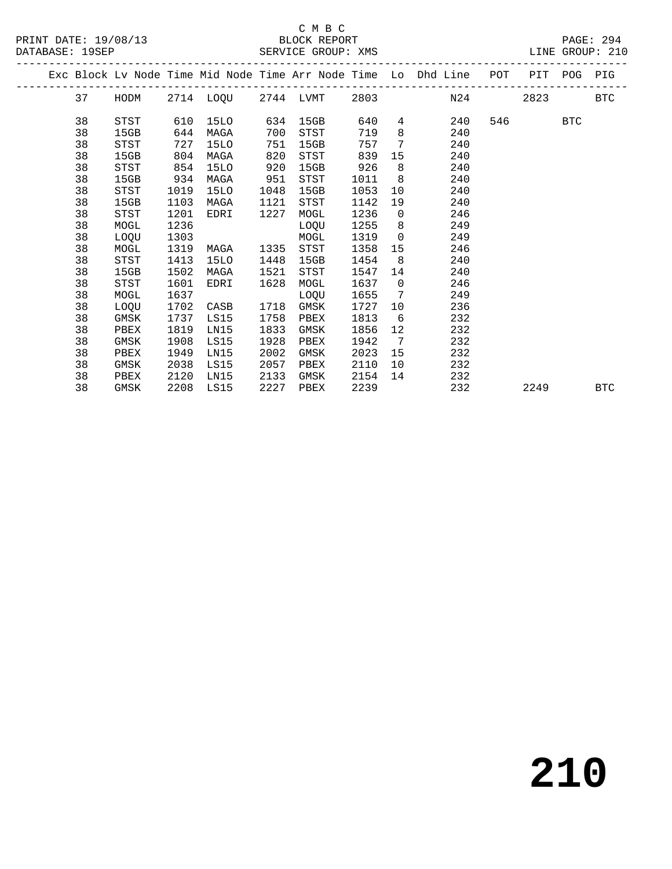#### C M B C<br>BLOCK REPORT SERVICE GROUP: XMS

|  |    | Exc Block Lv Node Time Mid Node Time Arr Node Time Lo Dhd Line POT PIT POG PIG |      |             |      |             |      |                              |     |     |      |            |            |  |
|--|----|--------------------------------------------------------------------------------|------|-------------|------|-------------|------|------------------------------|-----|-----|------|------------|------------|--|
|  | 37 | HODM 2714 LOQU 2744 LVMT 2803 N24                                              |      |             |      |             |      |                              |     |     | 2823 |            | <b>BTC</b> |  |
|  | 38 | STST                                                                           | 610  | 15LO        | 634  | 15GB        | 640  | 4                            | 240 | 546 |      | <b>BTC</b> |            |  |
|  | 38 | 15GB                                                                           | 644  | MAGA        | 700  | STST        | 719  | 8                            | 240 |     |      |            |            |  |
|  | 38 | STST                                                                           | 727  | 15LO        | 751  | 15GB        | 757  | $7\overline{ }$              | 240 |     |      |            |            |  |
|  | 38 | 15GB                                                                           | 804  | MAGA        | 820  | STST        | 839  | 15                           | 240 |     |      |            |            |  |
|  | 38 | STST                                                                           | 854  | <b>15LO</b> | 920  | 15GB        | 926  | 8                            | 240 |     |      |            |            |  |
|  | 38 | 15GB                                                                           | 934  | MAGA        | 951  | STST        | 1011 | 8                            | 240 |     |      |            |            |  |
|  | 38 | STST                                                                           | 1019 | 15LO        | 1048 | 15GB        | 1053 | 10 <sup>°</sup>              | 240 |     |      |            |            |  |
|  | 38 | 15GB                                                                           | 1103 | MAGA        | 1121 | <b>STST</b> | 1142 | 19                           | 240 |     |      |            |            |  |
|  | 38 | <b>STST</b>                                                                    | 1201 | EDRI        | 1227 | MOGL        | 1236 | $\overline{0}$               | 246 |     |      |            |            |  |
|  | 38 | MOGL                                                                           | 1236 |             |      | LOQU        | 1255 | 8                            | 249 |     |      |            |            |  |
|  | 38 | LOOU                                                                           | 1303 |             |      | MOGL        | 1319 | $\overline{0}$               | 249 |     |      |            |            |  |
|  | 38 | MOGL                                                                           | 1319 | MAGA        | 1335 | <b>STST</b> | 1358 | 15                           | 246 |     |      |            |            |  |
|  | 38 | STST                                                                           | 1413 | 15LO        | 1448 | 15GB        | 1454 | 8                            | 240 |     |      |            |            |  |
|  | 38 | 15GB                                                                           | 1502 | MAGA        | 1521 | STST        | 1547 | 14                           | 240 |     |      |            |            |  |
|  | 38 | STST                                                                           | 1601 | EDRI        | 1628 | MOGL        | 1637 | $\overline{0}$               | 246 |     |      |            |            |  |
|  | 38 | MOGL                                                                           | 1637 |             |      | LOQU        | 1655 | 7                            | 249 |     |      |            |            |  |
|  | 38 | LOQU                                                                           | 1702 | CASB        | 1718 | GMSK        | 1727 | 10                           | 236 |     |      |            |            |  |
|  | 38 | GMSK                                                                           | 1737 | LS15        | 1758 | PBEX        | 1813 | 6                            | 232 |     |      |            |            |  |
|  | 38 | PBEX                                                                           | 1819 | LN15        | 1833 | GMSK        | 1856 | 12                           | 232 |     |      |            |            |  |
|  | 38 | GMSK                                                                           | 1908 | LS15        | 1928 | PBEX        | 1942 | $7\phantom{.0}\phantom{.0}7$ | 232 |     |      |            |            |  |
|  | 38 | PBEX                                                                           | 1949 | LN15        | 2002 | GMSK        | 2023 | 15                           | 232 |     |      |            |            |  |
|  | 38 | GMSK                                                                           | 2038 | LS15        | 2057 | PBEX        | 2110 | 10                           | 232 |     |      |            |            |  |
|  | 38 | PBEX                                                                           | 2120 | LN15        | 2133 | GMSK        | 2154 | 14                           | 232 |     |      |            |            |  |
|  | 38 | GMSK                                                                           | 2208 | LS15        | 2227 | PBEX        | 2239 |                              | 232 |     | 2249 |            | <b>BTC</b> |  |
|  |    |                                                                                |      |             |      |             |      |                              |     |     |      |            |            |  |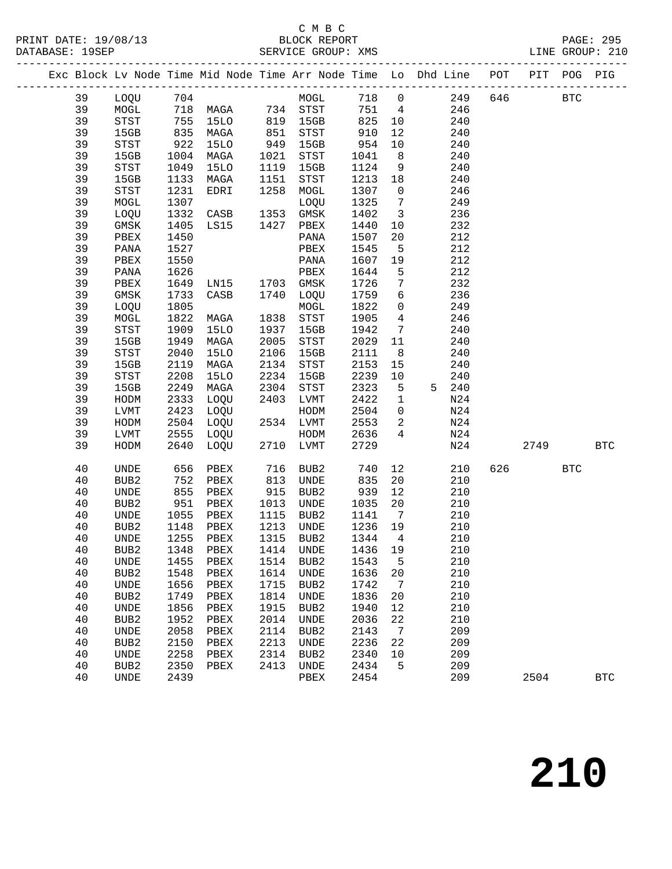### C M B C<br>BLOCK REPORT

|  |          |                            |              |                        |            |                                  |              |                              | Exc Block Lv Node Time Mid Node Time Arr Node Time Lo Dhd Line POT PIT POG PIG |         |            |            |              |
|--|----------|----------------------------|--------------|------------------------|------------|----------------------------------|--------------|------------------------------|--------------------------------------------------------------------------------|---------|------------|------------|--------------|
|  | 39       |                            |              |                        |            | LOQU 704 MOGL                    |              |                              | 718 0                                                                          | 249 646 | <b>BTC</b> |            |              |
|  | 39       | MOGL                       |              |                        |            | 718 MAGA 734 STST                |              |                              | 751 4<br>246                                                                   |         |            |            |              |
|  | 39       | STST                       |              | 755 15LO               |            | 819 15GB                         | 825 10       |                              | 240                                                                            |         |            |            |              |
|  | 39       | 15GB                       |              | MAGA                   |            | STST                             | 910          | 12                           | 240                                                                            |         |            |            |              |
|  | 39       | STST                       | 835<br>922   | 15LO                   | 851<br>949 | 15GB                             | 954          | 10                           | 240                                                                            |         |            |            |              |
|  | 39       | 15GB                       | 1004         | MAGA                   | 1021       | STST                             | 1041         | 8 <sup>8</sup>               | 240                                                                            |         |            |            |              |
|  | 39       | STST                       | 1049         | <b>15LO</b>            | 1119       | 15GB                             | 1124         | 9                            | 240                                                                            |         |            |            |              |
|  | 39       | 15GB                       | 1133         | MAGA                   | 1151       | STST                             | 1213         | 18                           | 240                                                                            |         |            |            |              |
|  | 39       | STST                       | 1231         | EDRI                   | 1258       | MOGL                             | 1307 0       |                              | 246                                                                            |         |            |            |              |
|  | 39       | MOGL                       | 1307         |                        |            | LOQU                             | 1325         | $\overline{7}$               | 249                                                                            |         |            |            |              |
|  | 39       | LOQU                       | 1332         | CASB                   |            | 1353 GMSK                        | 1402         | $\overline{\mathbf{3}}$      | 236                                                                            |         |            |            |              |
|  | 39       | GMSK                       | 1405         | LS15                   |            | 1427 PBEX                        | 1440         | 10                           | 232                                                                            |         |            |            |              |
|  | 39       | PBEX                       | 1450         |                        |            | PANA                             | 1507         | 20                           | 212                                                                            |         |            |            |              |
|  | 39       | PANA                       | 1527         |                        |            | PBEX                             | 1545         | $5\overline{)}$              | 212                                                                            |         |            |            |              |
|  | 39       | PBEX                       | 1550         |                        |            | PANA                             | 1607         | 19                           | 212                                                                            |         |            |            |              |
|  | 39       | PANA                       | 1626         | LN15 1703<br>CASB 1740 |            | PBEX                             | 1644         | 5                            | 212                                                                            |         |            |            |              |
|  | 39       | PBEX                       | 1649         |                        |            | 1703 GMSK                        | 1726         | $7\overline{ }$              | 232                                                                            |         |            |            |              |
|  | 39       | GMSK                       | 1733         |                        |            | 1740 LOQU                        | 1759         | $6\overline{6}$              | 236                                                                            |         |            |            |              |
|  | 39       | LOQU                       | 1805         |                        |            | MOGL                             | 1822         | $\overline{0}$               | 249                                                                            |         |            |            |              |
|  | 39       | MOGL                       | 1822         | MAGA                   | 1838       | STST                             | 1905         | $\overline{4}$               | 246                                                                            |         |            |            |              |
|  | 39       | STST                       | 1909         | 15LO                   | 1937       | 15GB                             | 1942         | $7\overline{ }$              | 240                                                                            |         |            |            |              |
|  | 39       | 15GB                       | 1949         | MAGA                   | 2005       | STST                             | 2029         | 11                           | 240                                                                            |         |            |            |              |
|  | 39       | STST                       | 2040         | <b>15LO</b>            | 2106       | 15GB                             | 2111         | 8 <sup>8</sup>               | 240                                                                            |         |            |            |              |
|  | 39       | 15GB                       | 2119         | MAGA                   | 2134       | STST                             | 2153         | 15                           | 240                                                                            |         |            |            |              |
|  | 39       | $_{\footnotesize\rm STST}$ | 2208         | <b>15LO</b>            | 2234       | 15GB                             | 2239         | 10                           | 240                                                                            |         |            |            |              |
|  | 39       | 15GB                       | 2249         | MAGA                   | 2304       | STST                             | 2323         | $-5$                         | 5 240                                                                          |         |            |            |              |
|  | 39       | HODM                       | 2333         | LOQU                   |            | 2403 LVMT                        | 2422         | $\overline{1}$               | N24                                                                            |         |            |            |              |
|  | 39       | LVMT                       | 2423         | LOQU                   |            | HODM                             | 2504         | $\overline{0}$               | N24                                                                            |         |            |            |              |
|  | 39       | HODM                       | 2504         | LOQU                   |            | 2534 LVMT                        | 2553         | $\overline{a}$               | N24                                                                            |         |            |            |              |
|  | 39       | LVMT                       | 2555         | LOQU                   |            | HODM                             | 2636         | $4\overline{ }$              | N24                                                                            |         |            |            |              |
|  | 39       | HODM                       | 2640         | LOQU                   |            | 2710 LVMT                        | 2729         |                              | N24                                                                            |         | 2749       |            | <b>BTC</b>   |
|  | 40       | UNDE                       | 656          | ${\tt PBEX}$           | 716        | BUB2                             | 740          | 12                           | 210                                                                            | 626     |            | <b>BTC</b> |              |
|  | 40       | BUB2                       | 752          | PBEX                   | 813<br>915 | UNDE                             | 835          | 20                           | 210                                                                            |         |            |            |              |
|  | 40       | UNDE                       | 855          | PBEX                   |            | BUB2                             | 939          | 12                           | 210                                                                            |         |            |            |              |
|  | 40       | BUB2                       | 951          | PBEX                   | 1013       | UNDE                             | 1035         | 20                           | 210                                                                            |         |            |            |              |
|  | 40       | UNDE                       | 1055         | PBEX                   | 1115       | BUB2                             | 1141         | $\overline{7}$               | 210                                                                            |         |            |            |              |
|  | 40       | BUB2                       | 1148         | PBEX                   | 1213       | UNDE                             | 1236         | 19                           | 210                                                                            |         |            |            |              |
|  | 40       | UNDE                       | 1255         | PBEX                   | 1315       | BUB2                             | 1344         | $\overline{4}$               | 210                                                                            |         |            |            |              |
|  | 40       |                            |              |                        |            | BUB2 1348 PBEX 1414 UNDE 1436 19 |              |                              | 210                                                                            |         |            |            |              |
|  | 40       | UNDE                       | 1455         | PBEX                   | 1514       | BUB2                             | 1543         | 5                            | 210                                                                            |         |            |            |              |
|  | 40       | BUB <sub>2</sub>           | 1548         | PBEX                   | 1614       | UNDE                             | 1636         | 20                           | 210                                                                            |         |            |            |              |
|  | 40       | UNDE                       | 1656         | PBEX                   | 1715       | BUB2                             | 1742         | $7\phantom{.0}\phantom{.0}7$ | 210                                                                            |         |            |            |              |
|  | 40       | BUB2                       | 1749         | PBEX                   | 1814       | UNDE                             | 1836         | 20                           | 210                                                                            |         |            |            |              |
|  | 40       | UNDE                       | 1856         | PBEX                   | 1915       | BUB2                             | 1940         | 12                           | 210                                                                            |         |            |            |              |
|  | 40       | BUB2                       | 1952         | PBEX                   | 2014       | UNDE                             | 2036         | 22                           | 210                                                                            |         |            |            |              |
|  | 40       | UNDE                       | 2058         | PBEX                   | 2114       | BUB2                             | 2143         | $\overline{7}$               | 209                                                                            |         |            |            |              |
|  | 40       | BUB <sub>2</sub>           | 2150         | PBEX                   | 2213       | UNDE                             | 2236         | 22                           | 209                                                                            |         |            |            |              |
|  | 40       | UNDE                       | 2258<br>2350 | PBEX                   | 2314       | BUB2                             | 2340<br>2434 | 10                           | 209<br>209                                                                     |         |            |            |              |
|  | 40<br>40 | BUB <sub>2</sub>           | 2439         | PBEX                   | 2413       | UNDE                             | 2454         | 5                            | 209                                                                            |         |            |            |              |
|  |          | UNDE                       |              |                        |            | PBEX                             |              |                              |                                                                                |         | 2504       |            | $_{\rm BTC}$ |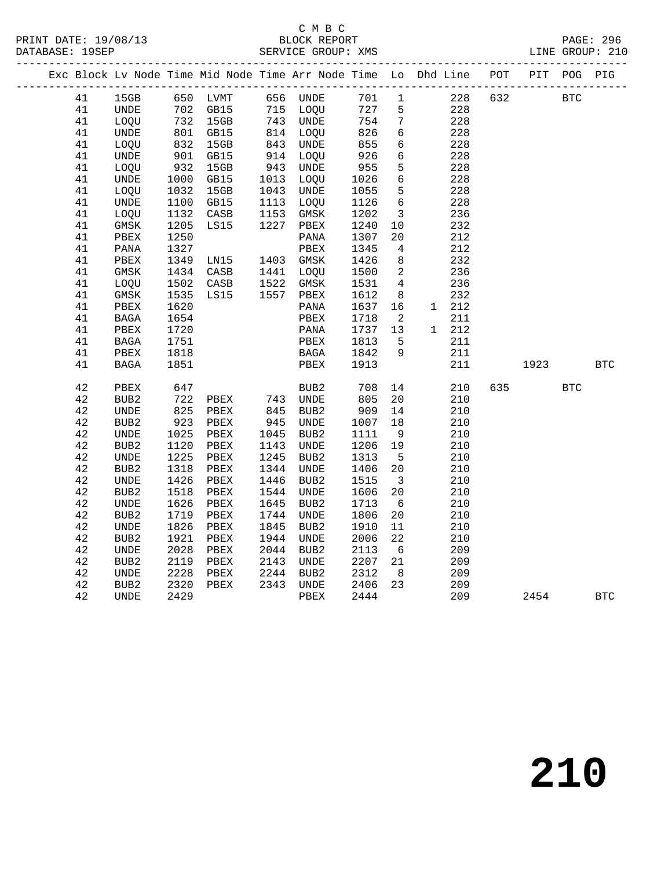#### C M B C<br>BLOCK REPORT SERVICE GROUP: XMS

|  |        |                  |                |                                                          |                      |                                                          |            |                          | Exc Block Lv Node Time Mid Node Time Arr Node Time Lo Dhd Line | POT | PIT  | POG        | PIG        |
|--|--------|------------------|----------------|----------------------------------------------------------|----------------------|----------------------------------------------------------|------------|--------------------------|----------------------------------------------------------------|-----|------|------------|------------|
|  | 41     | 15GB             |                | 650 LVMT                                                 |                      | 656 UNDE                                                 | 701 1      |                          | 228                                                            | 632 |      | <b>BTC</b> |            |
|  | 41     | UNDE             |                |                                                          |                      |                                                          | 727 5      |                          | 228                                                            |     |      |            |            |
|  | 41     | LOQU             |                | 702 GB15<br>732 15GB<br>801 GB15<br>832 15GB<br>901 GB15 |                      | 715 LOQU<br>743 UNDE<br>814 LOQU<br>843 UNDE<br>914 LOQU | 754        | $7\overline{ }$          | 228                                                            |     |      |            |            |
|  | 41     | UNDE             |                |                                                          |                      |                                                          | 826        | 6                        | 228                                                            |     |      |            |            |
|  | 41     | LOQU             |                |                                                          |                      |                                                          | 855        | $6\overline{6}$          | 228                                                            |     |      |            |            |
|  | 41     | UNDE             |                |                                                          |                      |                                                          | 926        | 6                        | 228                                                            |     |      |            |            |
|  | 41     | LOQU             | $-932$<br>1000 | 15GB                                                     | 943<br>1013          | UNDE                                                     | 955        | $5\overline{)}$          | 228                                                            |     |      |            |            |
|  | 41     | UNDE             | 1000           | GB15                                                     | 1013                 | LOQU                                                     | 1026       | $6\overline{6}$          | 228                                                            |     |      |            |            |
|  | 41     | LOQU             | 1032           | 15GB                                                     | 1043<br>1113<br>1153 | <b>UNDE</b>                                              | 1055       | $5^{\circ}$              | 228                                                            |     |      |            |            |
|  | 41     | UNDE             | 1100           | GB15                                                     | 1113                 | LOQU                                                     | 1126       | $6\overline{6}$          | 228                                                            |     |      |            |            |
|  | 41     | LOQU             | 1132           | CASB                                                     |                      | GMSK                                                     | 1202       | $\overline{\mathbf{3}}$  | 236                                                            |     |      |            |            |
|  | 41     | GMSK             | 1205           | LS15                                                     | 1227                 | PBEX                                                     | 1240       | 10                       | 232                                                            |     |      |            |            |
|  | 41     | PBEX             | 1250           |                                                          |                      | PANA                                                     | 1307       | 20                       | 212                                                            |     |      |            |            |
|  | 41     | $\mathtt{PANA}$  | 1327           |                                                          |                      | PBEX                                                     | 1345       | $\overline{4}$           | 212                                                            |     |      |            |            |
|  | 41     | ${\tt PBEX}$     | 1349           | LN15                                                     |                      | 1403 GMSK                                                | 1426       | 8 <sup>8</sup>           | 232                                                            |     |      |            |            |
|  | 41     | GMSK             | 1434           | CASB                                                     |                      | 1133<br>1441 LOQU<br>1522 GMSK<br>1557 PBEX              | 1500       | $\overline{\phantom{a}}$ | 236                                                            |     |      |            |            |
|  | 41     | LOQU             | 1502           | CASB                                                     |                      |                                                          | 1531       | $\overline{4}$           | 236                                                            |     |      |            |            |
|  | 41     | GMSK             | 1535           | LS15                                                     |                      |                                                          | 1612       | 8 <sup>8</sup>           | 232                                                            |     |      |            |            |
|  | 41     | PBEX             | 1620           |                                                          |                      | PANA                                                     | 1637       | 16                       | 1 212                                                          |     |      |            |            |
|  | 41     | $_{\rm BAGA}$    | 1654           |                                                          |                      | PBEX                                                     | 1718       | $\overline{\phantom{a}}$ | 211                                                            |     |      |            |            |
|  | 41     | PBEX             | 1720           |                                                          |                      | PANA                                                     | 1737       | 13                       | 1 212                                                          |     |      |            |            |
|  | 41     | BAGA             | 1751           |                                                          |                      | PBEX                                                     | 1813       | $5^{\circ}$              | 211                                                            |     |      |            |            |
|  | 41     | PBEX             | 1818           |                                                          |                      | BAGA                                                     | 1842       | - 9                      | 211                                                            |     |      |            |            |
|  | 41     | BAGA             | 1851           |                                                          |                      | PBEX                                                     | 1913       |                          | 211                                                            |     | 1923 |            | <b>BTC</b> |
|  | 42     | PBEX             | 647<br>722     |                                                          |                      | BUB2<br>743 UNDE                                         | 708<br>805 | 14                       | 210                                                            | 635 |      | <b>BTC</b> |            |
|  | 42     | BUB2             |                | PBEX                                                     |                      |                                                          |            | 20                       | 210                                                            |     |      |            |            |
|  | 42     | UNDE             | 825            | PBEX                                                     | 845                  | BUB2                                                     | 909        | 14                       | 210                                                            |     |      |            |            |
|  | 42     | BUB2             | 923            | PBEX                                                     | 945<br>1045          | UNDE                                                     | 1007       | 18                       | 210                                                            |     |      |            |            |
|  | 42     | UNDE             | 1025           | PBEX                                                     |                      | BUB <sub>2</sub>                                         | 1111       | 9                        | 210                                                            |     |      |            |            |
|  | 42     | BUB2             | 1120           | PBEX                                                     | 1143                 | UNDE                                                     | 1206       | 19                       | 210                                                            |     |      |            |            |
|  | 42     | UNDE             | 1225           | PBEX                                                     | 1245                 | BUB2                                                     | 1313       | $5^{\circ}$              | 210                                                            |     |      |            |            |
|  | 42     | BUB <sub>2</sub> | 1318           | PBEX                                                     | 1344                 | UNDE                                                     | 1406       | 20                       | 210                                                            |     |      |            |            |
|  | 42     | UNDE             | 1426           | PBEX                                                     | 1446                 | BUB2                                                     | 1515       | $\overline{\mathbf{3}}$  | 210                                                            |     |      |            |            |
|  | 42     | BUB <sub>2</sub> | 1518           | PBEX                                                     | 1544                 | UNDE                                                     | 1606       | 20                       | 210                                                            |     |      |            |            |
|  | 42     | UNDE             | 1626           | PBEX                                                     | 1645                 | BUB2                                                     | 1713       | 6                        | 210                                                            |     |      |            |            |
|  | 42     | BUB2             | 1719           | PBEX                                                     | 1744                 | UNDE                                                     | 1806       | 20                       | 210                                                            |     |      |            |            |
|  | $4\,2$ | UNDE             | 1826           | ${\tt PBEX}$                                             | 1845                 | BUB2                                                     | 1910       | 11                       | 210                                                            |     |      |            |            |
|  | 42     | BUB2             | 1921           | PBEX                                                     | 1944                 | UNDE                                                     | 2006       | 22                       | 210                                                            |     |      |            |            |
|  | 42     | <b>UNDE</b>      | 2028           | PBEX                                                     | 2044                 | BUB2                                                     | 2113       | 6                        | 209                                                            |     |      |            |            |
|  | 42     | BUB2             | 2119           | PBEX                                                     | 2143<br>2143<br>2244 | UNDE                                                     | 2207       | 21                       | 209                                                            |     |      |            |            |
|  | 42     | UNDE             | 2228           | PBEX                                                     |                      | BUB <sub>2</sub>                                         | 2312       | 8 <sup>8</sup>           | 209                                                            |     |      |            |            |
|  | $4\,2$ | BUB2             | 2320           | PBEX                                                     |                      | 2343 UNDE                                                | 2406       | 23                       | 209                                                            |     |      |            |            |
|  | 42     | UNDE             | 2429           |                                                          |                      | PBEX                                                     | 2444       |                          | 209                                                            |     | 2454 |            | <b>BTC</b> |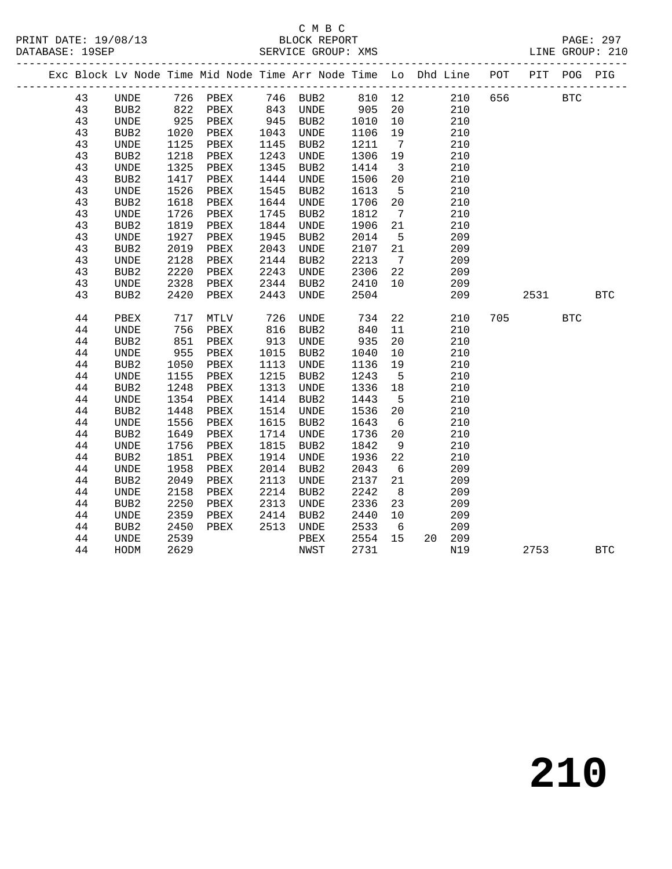PRINT DATE: 19/08/13 BLOCK REPORT<br>DATABASE: 19SEP SERVICE GROUP: XMS

# C M B C<br>BLOCK REPORT

PAGE: 297<br>LINE GROUP: 210

|  |    |                              |      |          |            | Exc Block Lv Node Time Mid Node Time Arr Node Time Lo Dhd Line POT PIT POG PIG |        |                         |           |     |             |            |            |
|--|----|------------------------------|------|----------|------------|--------------------------------------------------------------------------------|--------|-------------------------|-----------|-----|-------------|------------|------------|
|  | 43 | UNDE                         |      | 726 PBEX |            | 746 BUB2                                                                       | 810 12 |                         |           |     | 210 656 BTC |            |            |
|  | 43 | BUB2                         |      | 822 PBEX |            | 843 UNDE                                                                       | 905    | 20                      | 210       |     |             |            |            |
|  | 43 | UNDE                         | 925  | PBEX     |            | UNDE د.<br>945 BUB2<br>1042 -                                                  | 1010   | 10                      | 210       |     |             |            |            |
|  | 43 | BUB2                         | 1020 | PBEX     |            |                                                                                | 1106   | 19                      | 210       |     |             |            |            |
|  | 43 | UNDE                         | 1125 | PBEX     | 1145       | BUB2                                                                           | 1211   | $7\overline{ }$         | 210       |     |             |            |            |
|  | 43 | BUB <sub>2</sub>             | 1218 | PBEX     | 1243       | UNDE                                                                           | 1306   | 19                      | 210       |     |             |            |            |
|  | 43 | <b>UNDE</b>                  | 1325 | PBEX     | 1345       | BUB2                                                                           | 1414   | $\overline{\mathbf{3}}$ | 210       |     |             |            |            |
|  | 43 | BUB2                         | 1417 | PBEX     | 1444       | UNDE                                                                           | 1506   | 20                      | 210       |     |             |            |            |
|  | 43 | $\ensuremath{\mathsf{UNDE}}$ | 1526 | PBEX     | 1545       | BUB2                                                                           | 1613   | $5^{\circ}$             | 210       |     |             |            |            |
|  | 43 | BUB2                         | 1618 | PBEX     | 1644       | UNDE                                                                           | 1706   | 20                      | 210       |     |             |            |            |
|  | 43 | $\ensuremath{\mathsf{UNDE}}$ | 1726 | PBEX     | 1745       | BUB2                                                                           | 1812   | $\overline{7}$          | 210       |     |             |            |            |
|  | 43 | BUB2                         | 1819 | PBEX     | 1844       | UNDE                                                                           | 1906   | 21                      | 210       |     |             |            |            |
|  | 43 | <b>UNDE</b>                  | 1927 | PBEX     | 1945       | BUB2                                                                           | 2014   | $5\overline{)}$         | 209       |     |             |            |            |
|  | 43 | BUB <sub>2</sub>             | 2019 | PBEX     | 2043       | UNDE                                                                           | 2107   | 21                      | 209       |     |             |            |            |
|  | 43 | UNDE                         | 2128 | PBEX     | 2144       | BUB2                                                                           | 2213   | $\overline{7}$          | 209       |     |             |            |            |
|  | 43 | BUB <sub>2</sub>             | 2220 | PBEX     | 2243       | <b>UNDE</b>                                                                    | 2306   | 22                      | 209       |     |             |            |            |
|  | 43 | UNDE                         | 2328 | PBEX     | 2344       | BUB2                                                                           | 2410   | 10                      | 209       |     |             |            |            |
|  | 43 | BUB2                         | 2420 | PBEX     | 2443       | UNDE                                                                           | 2504   |                         | 209       |     | 2531        |            | <b>BTC</b> |
|  | 44 | PBEX                         | 717  | MTLV     | 726        | UNDE                                                                           | 734    | 22                      | 210       | 705 |             | <b>BTC</b> |            |
|  | 44 | <b>UNDE</b>                  | 756  | PBEX     |            | BUB2                                                                           | 840    | 11                      | 210       |     |             |            |            |
|  | 44 | BUB <sub>2</sub>             | 851  | PBEX     | 816<br>913 | UNDE                                                                           | 935    | 20                      | 210       |     |             |            |            |
|  | 44 | UNDE                         | 955  | PBEX     | 1015       | BUB2                                                                           | 1040   | 10                      | 210       |     |             |            |            |
|  | 44 | BUB <sub>2</sub>             | 1050 | PBEX     | 1113       | UNDE                                                                           | 1136   | 19                      | 210       |     |             |            |            |
|  | 44 | UNDE                         | 1155 | PBEX     | 1215       | BUB2                                                                           | 1243   | $5^{\circ}$             | 210       |     |             |            |            |
|  | 44 | BUB <sub>2</sub>             | 1248 | PBEX     | 1313       | UNDE                                                                           | 1336   | 18                      | 210       |     |             |            |            |
|  | 44 | <b>UNDE</b>                  | 1354 | PBEX     | 1414       | BUB2                                                                           | 1443   | $5^{\circ}$             | 210       |     |             |            |            |
|  | 44 | BUB <sub>2</sub>             | 1448 | PBEX     | 1514       | UNDE                                                                           | 1536   | 20                      | 210       |     |             |            |            |
|  | 44 | <b>UNDE</b>                  | 1556 | PBEX     | 1615       | BUB2                                                                           | 1643   | 6                       | 210       |     |             |            |            |
|  | 44 | BUB2                         | 1649 | PBEX     | 1714       | UNDE                                                                           | 1736   | 20                      | 210       |     |             |            |            |
|  | 44 | <b>UNDE</b>                  | 1756 | PBEX     | 1815       | BUB2                                                                           | 1842   | 9                       | 210       |     |             |            |            |
|  | 44 | BUB2                         | 1851 | PBEX     | 1914       | UNDE                                                                           | 1936   | 22                      | 210       |     |             |            |            |
|  | 44 | <b>UNDE</b>                  | 1958 | PBEX     | 2014       | BUB2                                                                           | 2043   | $6\overline{6}$         | 209       |     |             |            |            |
|  | 44 | BUB <sub>2</sub>             | 2049 | PBEX     | 2113       | UNDE                                                                           | 2137   | 21                      | 209       |     |             |            |            |
|  | 44 | UNDE                         | 2158 | PBEX     | 2214       | BUB2                                                                           | 2242   | 8                       | 209       |     |             |            |            |
|  | 44 | BUB <sub>2</sub>             | 2250 | PBEX     | 2313       | UNDE                                                                           | 2336   | 23                      | 209       |     |             |            |            |
|  | 44 | UNDE                         | 2359 | PBEX     | 2414       | BUB2                                                                           | 2440   | 10                      | 209       |     |             |            |            |
|  | 44 | BUB <sub>2</sub>             | 2450 | PBEX     | 2513       | UNDE                                                                           | 2533   | 6                       | 209       |     |             |            |            |
|  | 44 | UNDE                         | 2539 |          |            | PBEX                                                                           | 2554   | 15                      | 209<br>20 |     |             |            |            |
|  | 44 | HODM                         | 2629 |          |            | NWST                                                                           | 2731   |                         | N19       |     | 2753        |            | <b>BTC</b> |
|  |    |                              |      |          |            |                                                                                |        |                         |           |     |             |            |            |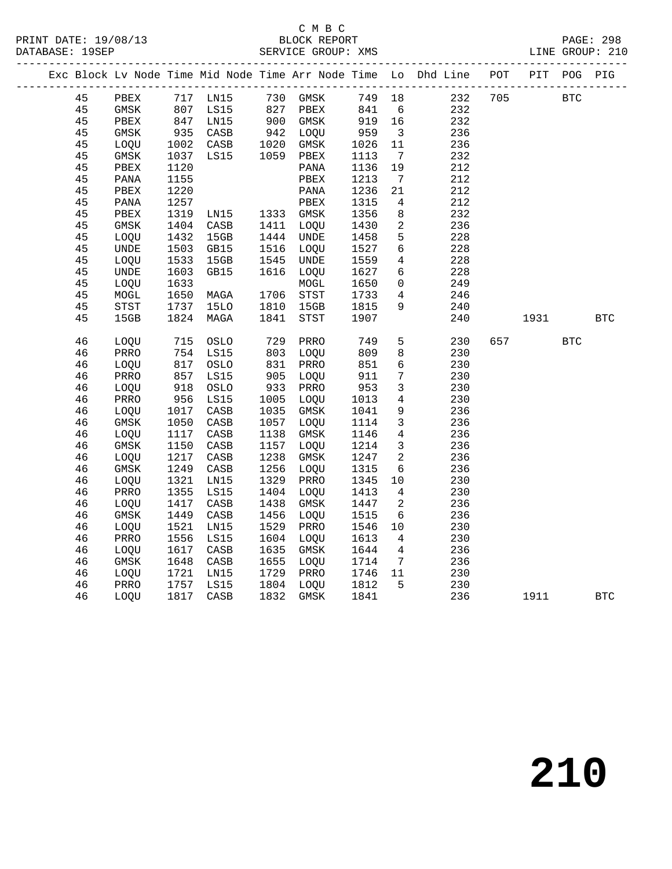## C M B C<br>BLOCK REPORT

|  |    |               |                             |                                  |                 |                                     |              |                         | Exc Block Lv Node Time Mid Node Time Arr Node Time Lo Dhd Line POT PIT POG PIG |     |            |     |            |
|--|----|---------------|-----------------------------|----------------------------------|-----------------|-------------------------------------|--------------|-------------------------|--------------------------------------------------------------------------------|-----|------------|-----|------------|
|  | 45 | PBEX 717 LN15 |                             |                                  |                 | 730 GMSK<br>827 PBEX<br>900 GMSK    |              |                         | 232 705<br>749 18                                                              |     | <b>BTC</b> |     |            |
|  | 45 | GMSK          |                             | 807 LS15                         |                 |                                     | 841 6        |                         | 232                                                                            |     |            |     |            |
|  | 45 | PBEX          |                             | 847 LN15                         |                 |                                     | 919 16       |                         | 232                                                                            |     |            |     |            |
|  | 45 | GMSK          |                             | 935 CASB<br>1002 CASB            |                 | 942 LOQU<br>1020 GMSK               | 959          | $\overline{\mathbf{3}}$ | 236                                                                            |     |            |     |            |
|  | 45 | LOQU          |                             |                                  |                 |                                     | 1026         | 11                      | 236                                                                            |     |            |     |            |
|  | 45 | GMSK          | 1037                        | LS15                             |                 | 1059 PBEX                           | 1113         | $\overline{7}$          | 232                                                                            |     |            |     |            |
|  | 45 | PBEX          | 1120                        |                                  |                 | PANA                                | 1136         | 19                      | 212                                                                            |     |            |     |            |
|  | 45 | PANA          | 1155                        |                                  |                 | PBEX                                | 1213         | $\overline{7}$          | 212                                                                            |     |            |     |            |
|  | 45 | PBEX          | 1220                        |                                  |                 | PANA                                | 1236         | 21                      | 212                                                                            |     |            |     |            |
|  | 45 | PANA          | 1257                        |                                  |                 | PBEX                                | 1315         | $\overline{4}$          | 212                                                                            |     |            |     |            |
|  | 45 | PBEX          | 1319                        | LN15 1333 GMSK<br>CASB 1411 LOOU |                 |                                     | 1356         | 8 <sup>8</sup>          | 232                                                                            |     |            |     |            |
|  | 45 | GMSK          | 1404                        | CASB                             |                 | 1411 LOQU                           | 1430         | $\overline{a}$          | 236                                                                            |     |            |     |            |
|  | 45 | LOQU          | 1432                        | 15GB                             | 1444            | <b>UNDE</b>                         | 1458         | $5^{\circ}$             | 228                                                                            |     |            |     |            |
|  | 45 | <b>UNDE</b>   | 1503                        | GB15                             | 1516            | LOQU                                | 1527         | $6\overline{6}$         | 228                                                                            |     |            |     |            |
|  | 45 | LOQU          | 1533                        | 15GB                             | 1545            | UNDE                                | 1559         | $\overline{4}$          | 228                                                                            |     |            |     |            |
|  | 45 | UNDE          | 1603                        | GB15                             | 1616            | LOOU                                | 1627         | 6                       | 228                                                                            |     |            |     |            |
|  | 45 | LOQU          | 1633                        |                                  |                 | MOGL                                | 1650         | $\overline{0}$          | 249                                                                            |     |            |     |            |
|  | 45 | MOGL          | 1650                        | MAGA                             |                 |                                     | 1733         | $4\overline{ }$         | 246                                                                            |     |            |     |            |
|  | 45 | STST          | 1737                        | 15LO                             |                 | 1706 STST<br>1810 15GB<br>1841 STST | 1815         | 9                       | 240                                                                            |     |            |     |            |
|  | 45 | 15GB          |                             | 1824 MAGA                        |                 |                                     | 1907         |                         | 240                                                                            |     | 1931       |     | <b>BTC</b> |
|  | 46 | LOQU          |                             | 715 OSLO                         | 729             | PRRO                                | 749          | 5 <sup>5</sup>          | 230                                                                            | 657 |            | BTC |            |
|  | 46 | PRRO          |                             | 754 LS15                         | 803<br>831      | LOQU                                | 809          | 8                       | 230                                                                            |     |            |     |            |
|  | 46 | LOQU          | 817                         | OSLO                             |                 | 831 PRRO                            | 851          | $6\overline{6}$         | 230                                                                            |     |            |     |            |
|  | 46 | PRRO          | 857                         | LS15                             |                 | 905 LOQU                            | 911          | $7\overline{7}$         | 230                                                                            |     |            |     |            |
|  | 46 | LOQU          | ⊥ <sup>9</sup><br>956<br>17 | OSLO                             | $933$<br>$1005$ | PRRO                                | 953          | $\mathbf{3}$            | 230                                                                            |     |            |     |            |
|  | 46 | PRRO          |                             | LS15                             | 1005            | LOOU                                | 1013         | $4\overline{ }$         | 230                                                                            |     |            |     |            |
|  | 46 | LOQU          | 1017                        | CASB                             | 1035            | GMSK                                | 1041         | 9                       | 236                                                                            |     |            |     |            |
|  | 46 | GMSK          | 1050                        | CASB                             |                 | 1057 LOQU                           | 1114         | $\overline{\mathbf{3}}$ | 236                                                                            |     |            |     |            |
|  | 46 | LOOU          | 1117                        | CASB                             | 1138            | GMSK                                | 1146         | $\overline{4}$          | 236                                                                            |     |            |     |            |
|  | 46 | GMSK          | 1150                        | CASB                             | 1157            | LOQU                                | 1214         | $\overline{3}$          | 236                                                                            |     |            |     |            |
|  | 46 | LOQU          | 1217                        | CASB                             | 1238            | GMSK                                | 1247         | $\overline{2}$          | 236                                                                            |     |            |     |            |
|  | 46 | GMSK          | 1249                        | CASB                             | 1256            | LOQU                                | 1315         | $6\overline{6}$         | 236                                                                            |     |            |     |            |
|  | 46 | LOQU          | 1321                        | LN15                             | 1329            | PRRO                                | 1345 10      |                         | 230                                                                            |     |            |     |            |
|  | 46 | PRRO          | 1355                        | LS15                             | 1404            | LOQU                                | 1413         | $\overline{4}$          | 230                                                                            |     |            |     |            |
|  | 46 | LOQU          | 1417                        | CASB                             | 1438            | GMSK                                | 1447         | $\overline{2}$          | 236                                                                            |     |            |     |            |
|  | 46 | GMSK          | 1449                        | CASB                             | 1456            | LOQU                                | 1515         | $6\overline{6}$         | 236                                                                            |     |            |     |            |
|  | 46 | LOQU          | 1521                        | LN15                             | 1529            | PRRO                                | 1546         | 10                      | 230                                                                            |     |            |     |            |
|  | 46 | PRRO          | 1556                        | LS15                             |                 | 1604 LOQU                           | 1613 4       |                         | 230                                                                            |     |            |     |            |
|  | 46 | LOQU          | 1617                        | CASB                             | 1635            | GMSK                                | 1644         | $\overline{4}$          | 236                                                                            |     |            |     |            |
|  | 46 | GMSK          | 1648                        | CASB                             | 1655            | LOQU                                | 1714         | $\overline{7}$          | 236                                                                            |     |            |     |            |
|  | 46 | LOQU          | 1721                        | LN15                             |                 | 1729 PRRO                           | 1746 11      |                         | 230                                                                            |     |            |     |            |
|  | 46 | PRRO          | 1757                        | LS15                             |                 | 1804 LOQU                           | 1812<br>1841 | $5^{\circ}$             | 230                                                                            |     |            |     |            |
|  | 46 | LOQU          |                             | 1817 CASB                        |                 | 1832 GMSK                           |              |                         | 236                                                                            |     | 1911       |     | <b>BTC</b> |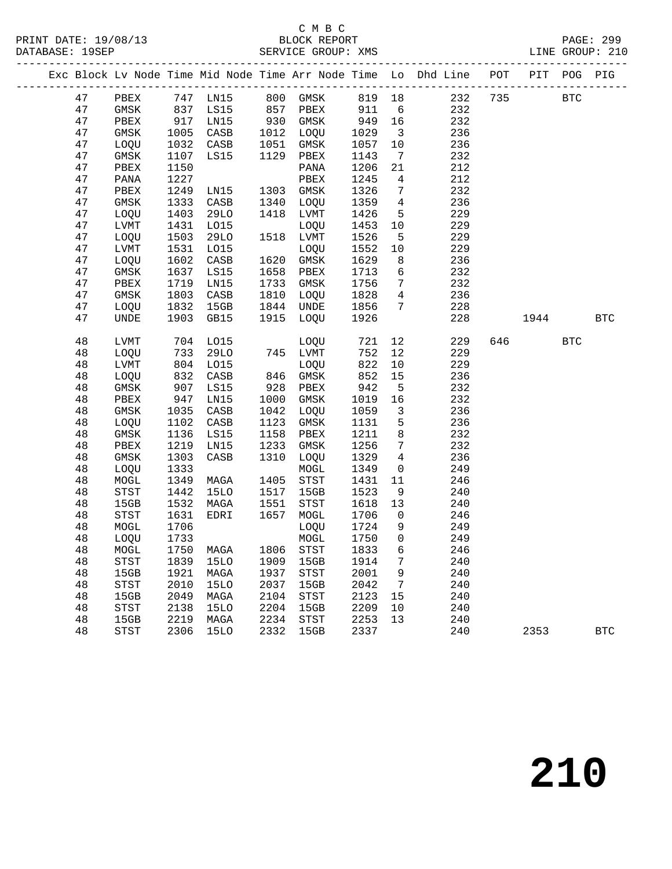#### C M B C<br>BLOCK REPORT SERVICE GROUP: XMS

|  |    |                            |      |                                 |      |                        |         |                         | Exc Block Lv Node Time Mid Node Time Arr Node Time Lo Dhd Line POT PIT POG PIG |     |            |            |
|--|----|----------------------------|------|---------------------------------|------|------------------------|---------|-------------------------|--------------------------------------------------------------------------------|-----|------------|------------|
|  | 47 |                            |      |                                 |      |                        |         |                         | PBEX 747 LN15 800 GMSK 819 18 232                                              |     | 735 BTC    |            |
|  | 47 | GMSK 837 LS15              |      |                                 |      | 857 PBEX 911 6         |         |                         | 232                                                                            |     |            |            |
|  | 47 | PBEX                       | 917  | LN15                            |      | 930 GMSK               | 949 16  |                         | 232                                                                            |     |            |            |
|  | 47 | GMSK                       | 1005 | CASB                            | 1012 | LOQU                   | 1029    | $\overline{\mathbf{3}}$ | 236                                                                            |     |            |            |
|  | 47 | LOQU                       | 1032 | CASB                            |      | 1051 GMSK              | 1057    | 10                      | 236                                                                            |     |            |            |
|  | 47 | GMSK                       | 1107 | LS15                            |      | 1051 GMSK<br>1129 PBEX | 1143    | $7\overline{ }$         | 232                                                                            |     |            |            |
|  | 47 | PBEX                       | 1150 |                                 |      | PANA                   | 1206    | 21                      | 212                                                                            |     |            |            |
|  | 47 | PANA                       | 1227 |                                 |      | ${\tt PBEX}$           | 1245    | $\overline{4}$          | 212                                                                            |     |            |            |
|  | 47 | PBEX                       | 1249 | LN15                            |      | 1303 GMSK              | 1326    | $7\overline{ }$         | 232                                                                            |     |            |            |
|  | 47 | GMSK                       | 1333 | CASB                            |      | 1340 LOQU              | 1359 4  |                         | 236                                                                            |     |            |            |
|  | 47 | LOQU                       | 1403 | 29LO                            |      | 1418 LVMT              | 1426    | $5^{\circ}$             | 229                                                                            |     |            |            |
|  | 47 | LVMT                       | 1431 | L015                            |      | LOQU                   | 1453    | 10                      | 229                                                                            |     |            |            |
|  | 47 | LOQU                       | 1503 | 29LO                            |      | 1518 LVMT              | 1526    | $5^{\circ}$             | 229                                                                            |     |            |            |
|  | 47 | LVMT                       | 1531 | L015                            |      | LOQU                   | 1552    | 10                      | 229                                                                            |     |            |            |
|  | 47 | LOQU                       | 1602 | CASB                            | 1620 | GMSK                   | 1629    | 8 <sup>8</sup>          | 236                                                                            |     |            |            |
|  | 47 | GMSK                       | 1637 | LS15                            | 1658 | PBEX                   | 1713    | $6\overline{6}$         | 232                                                                            |     |            |            |
|  | 47 | PBEX                       | 1719 | LN15                            | 1733 | GMSK                   | 1756    | $7\overline{ }$         | 232                                                                            |     |            |            |
|  | 47 | GMSK                       | 1803 | CASB                            |      | 1810 LOQU              | 1828    | $\overline{4}$          | 236                                                                            |     |            |            |
|  | 47 | LOQU                       | 1832 | 15GB                            |      | 1844 UNDE              | 1856 7  |                         | 228                                                                            |     |            |            |
|  | 47 | <b>UNDE</b>                | 1903 | GB15                            |      | 1915 LOQU              | 1926    |                         | 228                                                                            |     | 1944       | <b>BTC</b> |
|  | 48 | LVMT                       |      | 704 LO15                        |      | LOQU                   | 721     | 12                      | 229                                                                            | 646 | <b>BTC</b> |            |
|  | 48 | LOQU                       | 733  | 29LO                            |      | 745 LVMT               | 752     | 12                      | 229                                                                            |     |            |            |
|  | 48 | LVMT                       | 804  | L015                            |      | LOQU                   | 822     | 10                      | 229                                                                            |     |            |            |
|  | 48 | LOQU                       | 832  | CASB                            |      |                        | 852     | 15                      | 236                                                                            |     |            |            |
|  | 48 | GMSK                       | 907  | LS15                            |      | 846 GMSK<br>928 PBEX   | 942     | $5^{\circ}$             | 232                                                                            |     |            |            |
|  | 48 | PBEX                       | 947  | LN15                            | 1000 | GMSK                   | 1019    | 16                      | 232                                                                            |     |            |            |
|  | 48 | GMSK                       | 1035 | CASB                            | 1042 | LOQU                   | 1059    | $\overline{\mathbf{3}}$ | 236                                                                            |     |            |            |
|  | 48 | LOQU                       | 1102 | CASB                            | 1123 | GMSK                   | 1131    | $5\overline{)}$         | 236                                                                            |     |            |            |
|  | 48 | GMSK                       | 1136 | LS15                            | 1158 | PBEX                   | 1211    | 8 <sup>8</sup>          | 232                                                                            |     |            |            |
|  | 48 | PBEX                       | 1219 | LN15                            | 1233 | GMSK                   | 1256    | $7\overline{ }$         | 232                                                                            |     |            |            |
|  | 48 | GMSK                       | 1303 | CASB                            | 1310 | LOQU                   | 1329    | $\overline{4}$          | 236                                                                            |     |            |            |
|  | 48 | LOQU                       | 1333 |                                 |      | MOGL                   | 1349    | $\overline{0}$          | 249                                                                            |     |            |            |
|  | 48 | MOGL                       | 1349 | MAGA                            | 1405 | STST                   | 1431    | 11                      | 246                                                                            |     |            |            |
|  | 48 | $_{\footnotesize\rm STST}$ | 1442 | 15LO                            | 1517 | 15GB                   | 1523    | 9                       | 240                                                                            |     |            |            |
|  | 48 | 15GB                       | 1532 | MAGA                            | 1551 | STST                   | 1618 13 |                         | 240                                                                            |     |            |            |
|  | 48 | STST                       | 1631 | EDRI                            | 1657 | MOGL                   | 1706    | $\overline{0}$          | 246                                                                            |     |            |            |
|  | 48 | MOGL                       | 1706 |                                 |      | LOQU                   | 1724    | 9                       | 249                                                                            |     |            |            |
|  | 48 | LOQU                       | 1733 |                                 |      | MOGL                   | 1750    | $\overline{0}$          | 249                                                                            |     |            |            |
|  | 48 |                            |      | MOGL 1750 MAGA 1806 STST 1833 6 |      |                        |         |                         | 246                                                                            |     |            |            |
|  | 48 | STST                       | 1839 | 15LO                            | 1909 | 15GB                   | 1914    | 7                       | 240                                                                            |     |            |            |
|  | 48 | 15GB                       | 1921 | MAGA                            | 1937 | STST                   | 2001    | 9                       | 240                                                                            |     |            |            |
|  | 48 | <b>STST</b>                | 2010 | 15LO                            | 2037 | 15GB                   | 2042    | $\overline{7}$          | 240                                                                            |     |            |            |
|  | 48 | 15GB                       | 2049 | MAGA                            | 2104 | STST                   | 2123    | 15                      | 240                                                                            |     |            |            |
|  | 48 | <b>STST</b>                | 2138 | <b>15LO</b>                     | 2204 | 15GB                   | 2209    | 10                      | 240                                                                            |     |            |            |
|  | 48 | 15GB                       | 2219 | MAGA                            | 2234 | STST                   | 2253    | 13                      | 240                                                                            |     |            |            |
|  | 48 | <b>STST</b>                | 2306 | 15LO                            | 2332 | 15GB                   | 2337    |                         | 240                                                                            |     | 2353       | <b>BTC</b> |
|  |    |                            |      |                                 |      |                        |         |                         |                                                                                |     |            |            |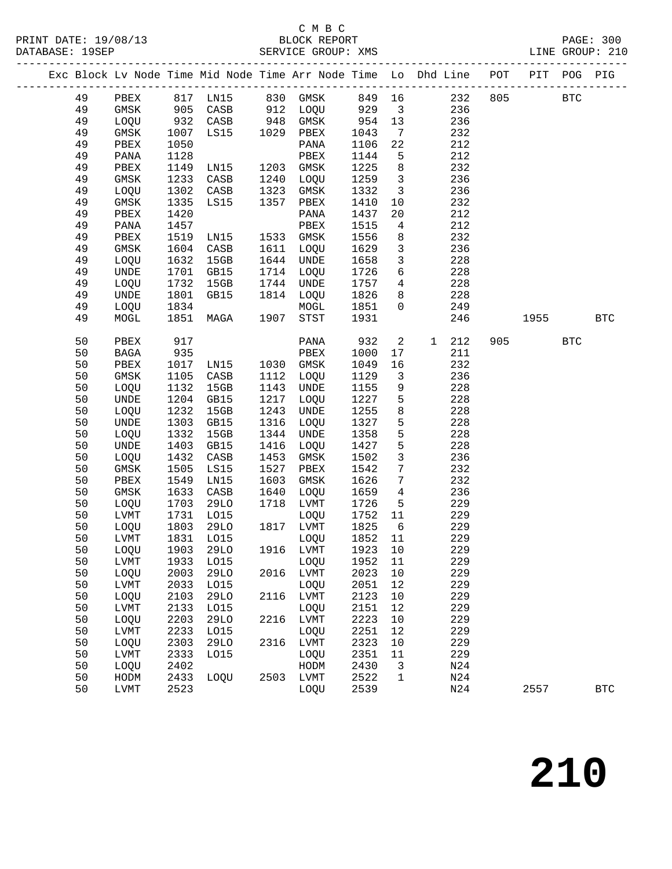## C M B C

| Exc Block Lv Node Time Mid Node Time Arr Node Time Lo Dhd Line POT PIT POG PIG<br>PBEX 817 LN15 830 GMSK 849 16 232 805 BTC<br>49<br>GMSK 905 CASB 912 LOQU 929 3<br>236<br>49<br>932 CASB 948 GMSK 954 13<br>1007 LS15 1029 PBEX 1043 7<br>1050 PANA 1106 22<br>49<br>LOQU 932 CASB<br>236<br>49<br>232<br>GMSK<br>49<br>1050<br>1106<br>22<br>212<br>PBEX<br>PANA<br>212<br>49<br>PANA<br>1128<br>PBEX<br>1144<br>$5^{\circ}$<br>1149<br>1225<br>8 <sup>8</sup><br>232<br>49<br>PBEX<br>1203<br>GMSK<br>LN15<br>1259 3<br>49<br>1233<br>1240<br>236<br>GMSK<br>CASB<br>LOQU<br>49<br>1302<br>1323<br>1332 3<br>236<br>LOQU<br>CASB<br>GMSK<br>1357<br>232<br>49<br>GMSK<br>1335<br>LS15<br>PBEX<br>1410<br>10<br>49<br>PBEX<br>1420<br>PANA<br>1437<br>20<br>212<br>49<br>1457<br>212<br>PANA<br>PBEX<br>1515<br>$\overline{4}$<br>1519<br>1556<br>232<br>49<br>PBEX<br>LN15<br>1533 GMSK<br>8 <sup>8</sup><br>49<br>1604<br>$\overline{\mathbf{3}}$<br>236<br>GMSK<br>CASB<br>1611 LOQU<br>1629<br>$\overline{\mathbf{3}}$<br>49<br>1632<br>15GB<br>1644<br>UNDE<br>1658<br>228<br>LOQU<br>$6\overline{6}$<br>49<br><b>UNDE</b><br>1701<br>1714<br>1726<br>228<br>GB15<br>LOQU<br>1714 LOQU<br>1744 UNDE<br>1814 LOQU<br>49<br>1732<br>1757 4<br>228<br>LOQU<br>15GB<br>49<br>1801<br>1826<br>228<br>UNDE<br>GB15<br>8 <sup>8</sup><br>1834<br>1851 0<br>249<br>49<br>LOQU<br>MOGL<br>MAGA 1907 STST<br>1851<br>1931<br>246<br>1955 BTC<br>49<br>MOGL<br>50<br>917<br>932<br>$\overline{2}$<br>$\mathbf{1}$<br>212<br>905<br><b>BTC</b><br>PBEX<br>PANA<br>50<br>935<br>PBEX<br>1000<br>211<br>BAGA<br>17<br>1017 LN15<br>1105 CASB<br>1132 15GB<br>50<br>1030 GMSK<br>16<br>PBEX<br>1049<br>232<br>50<br>1112 LOQU<br>1129<br>$\overline{\mathbf{3}}$<br>236<br>GMSK<br>50<br>1132<br>1143<br>1155<br>9<br>228<br>LOQU<br>15GB<br>UNDE<br>50<br>1204<br>1217<br>1227 5<br>228<br>UNDE<br>GB15<br>LOQU<br>50<br>1232<br>1243<br>1255<br>8<br>228<br>LOQU<br>15GB<br>UNDE<br>1327<br>$5\overline{)}$<br>1303<br>1316<br>228<br>50<br>UNDE<br>GB15<br>LOQU<br>5 <sub>5</sub><br>50<br>1332<br>1344<br>1358<br>228<br>LOQU<br>15GB<br>UNDE<br>$5\phantom{.0}$<br>50<br>1403<br>1427<br>228<br>UNDE<br>GB15<br>1416<br>LOQU<br>$\mathbf{3}$<br>1432<br>236<br>50<br>LOQU<br>CASB<br>1453<br>GMSK<br>1502<br>$7\overline{ }$<br>1505<br>232<br>50<br>GMSK<br>LS15<br>1527<br>PBEX<br>1542<br>$7\phantom{.0}$<br>50<br>1549<br>1603<br>1626<br>232<br>PBEX<br>LN15<br>GMSK<br>50<br>1659 4<br>GMSK<br>1633<br>CASB<br>1640<br>LOQU<br>236<br>1726<br>5 <sup>5</sup><br>50<br>LOQU<br>1703<br>29LO<br>1718<br>LVMT<br>229<br>50<br>1752 11<br>1825 6<br>229<br>LVMT<br>1731<br>LO15<br>1817<br>LOQU<br>$1803$ 29LO<br>50<br>1817 LVMT<br>229<br>LOQU<br>50<br>LVMT 1831 LO15 LOQU 1852 11<br>229<br>50<br>1903<br>29LO<br>1916 LVMT<br>1923<br>10<br>229<br>LOQU<br>50<br>${\rm LVMT}$<br>1933<br>L015<br>LOQU<br>1952<br>11<br>229<br>229<br>50<br>2003<br><b>29LO</b><br>2016<br>LVMT<br>2023<br>$10$<br>LOQU<br>50<br>2033<br>L015<br>2051<br>12<br>229<br>LVMT<br>LOQU<br>50<br>2103<br>2116<br>LVMT<br>2123<br>$10$<br>229<br>LOQU<br>29LO<br>50<br>2133<br>2151<br>12<br>229<br>LVMT<br>L015<br>LOQU<br>2203<br>2223<br>229<br>50<br><b>29LO</b><br>2216<br>LVMT<br>10<br>LOQU<br>50<br>2233<br>LOQU<br>2251<br>12<br>229<br>LVMT<br>L015<br>50<br>2303<br>2316<br>2323<br>$10$<br>229<br>LOQU<br>29LO<br>LVMT<br>50<br>2333<br>2351<br>229<br>LVMT<br>L015<br>LOQU<br>11<br>50<br>2402<br>2430<br>N24<br>LOQU<br>HODM<br>3<br>50<br>2433<br>2503 LVMT<br>2522<br>N24<br>HODM<br>LOQU<br>$\mathbf{1}$<br>2523<br>50<br>N24<br>LVMT<br>LOQU<br>2557<br><b>BTC</b> |  |  |  |  |      |  |  |  |
|--------------------------------------------------------------------------------------------------------------------------------------------------------------------------------------------------------------------------------------------------------------------------------------------------------------------------------------------------------------------------------------------------------------------------------------------------------------------------------------------------------------------------------------------------------------------------------------------------------------------------------------------------------------------------------------------------------------------------------------------------------------------------------------------------------------------------------------------------------------------------------------------------------------------------------------------------------------------------------------------------------------------------------------------------------------------------------------------------------------------------------------------------------------------------------------------------------------------------------------------------------------------------------------------------------------------------------------------------------------------------------------------------------------------------------------------------------------------------------------------------------------------------------------------------------------------------------------------------------------------------------------------------------------------------------------------------------------------------------------------------------------------------------------------------------------------------------------------------------------------------------------------------------------------------------------------------------------------------------------------------------------------------------------------------------------------------------------------------------------------------------------------------------------------------------------------------------------------------------------------------------------------------------------------------------------------------------------------------------------------------------------------------------------------------------------------------------------------------------------------------------------------------------------------------------------------------------------------------------------------------------------------------------------------------------------------------------------------------------------------------------------------------------------------------------------------------------------------------------------------------------------------------------------------------------------------------------------------------------------------------------------------------------------------------------------------------------------------------------------------------------------------------------------------------------------------------------------------------------------------------------------------------------------------------------------------------------------------------------------------------------------------------------------------------------------------------------------------------------------------------------------------------------------------------------------------------------------------------------------------------------------------------------------------|--|--|--|--|------|--|--|--|
|                                                                                                                                                                                                                                                                                                                                                                                                                                                                                                                                                                                                                                                                                                                                                                                                                                                                                                                                                                                                                                                                                                                                                                                                                                                                                                                                                                                                                                                                                                                                                                                                                                                                                                                                                                                                                                                                                                                                                                                                                                                                                                                                                                                                                                                                                                                                                                                                                                                                                                                                                                                                                                                                                                                                                                                                                                                                                                                                                                                                                                                                                                                                                                                                                                                                                                                                                                                                                                                                                                                                                                                                                                                                    |  |  |  |  |      |  |  |  |
|                                                                                                                                                                                                                                                                                                                                                                                                                                                                                                                                                                                                                                                                                                                                                                                                                                                                                                                                                                                                                                                                                                                                                                                                                                                                                                                                                                                                                                                                                                                                                                                                                                                                                                                                                                                                                                                                                                                                                                                                                                                                                                                                                                                                                                                                                                                                                                                                                                                                                                                                                                                                                                                                                                                                                                                                                                                                                                                                                                                                                                                                                                                                                                                                                                                                                                                                                                                                                                                                                                                                                                                                                                                                    |  |  |  |  |      |  |  |  |
|                                                                                                                                                                                                                                                                                                                                                                                                                                                                                                                                                                                                                                                                                                                                                                                                                                                                                                                                                                                                                                                                                                                                                                                                                                                                                                                                                                                                                                                                                                                                                                                                                                                                                                                                                                                                                                                                                                                                                                                                                                                                                                                                                                                                                                                                                                                                                                                                                                                                                                                                                                                                                                                                                                                                                                                                                                                                                                                                                                                                                                                                                                                                                                                                                                                                                                                                                                                                                                                                                                                                                                                                                                                                    |  |  |  |  |      |  |  |  |
|                                                                                                                                                                                                                                                                                                                                                                                                                                                                                                                                                                                                                                                                                                                                                                                                                                                                                                                                                                                                                                                                                                                                                                                                                                                                                                                                                                                                                                                                                                                                                                                                                                                                                                                                                                                                                                                                                                                                                                                                                                                                                                                                                                                                                                                                                                                                                                                                                                                                                                                                                                                                                                                                                                                                                                                                                                                                                                                                                                                                                                                                                                                                                                                                                                                                                                                                                                                                                                                                                                                                                                                                                                                                    |  |  |  |  |      |  |  |  |
|                                                                                                                                                                                                                                                                                                                                                                                                                                                                                                                                                                                                                                                                                                                                                                                                                                                                                                                                                                                                                                                                                                                                                                                                                                                                                                                                                                                                                                                                                                                                                                                                                                                                                                                                                                                                                                                                                                                                                                                                                                                                                                                                                                                                                                                                                                                                                                                                                                                                                                                                                                                                                                                                                                                                                                                                                                                                                                                                                                                                                                                                                                                                                                                                                                                                                                                                                                                                                                                                                                                                                                                                                                                                    |  |  |  |  |      |  |  |  |
|                                                                                                                                                                                                                                                                                                                                                                                                                                                                                                                                                                                                                                                                                                                                                                                                                                                                                                                                                                                                                                                                                                                                                                                                                                                                                                                                                                                                                                                                                                                                                                                                                                                                                                                                                                                                                                                                                                                                                                                                                                                                                                                                                                                                                                                                                                                                                                                                                                                                                                                                                                                                                                                                                                                                                                                                                                                                                                                                                                                                                                                                                                                                                                                                                                                                                                                                                                                                                                                                                                                                                                                                                                                                    |  |  |  |  |      |  |  |  |
|                                                                                                                                                                                                                                                                                                                                                                                                                                                                                                                                                                                                                                                                                                                                                                                                                                                                                                                                                                                                                                                                                                                                                                                                                                                                                                                                                                                                                                                                                                                                                                                                                                                                                                                                                                                                                                                                                                                                                                                                                                                                                                                                                                                                                                                                                                                                                                                                                                                                                                                                                                                                                                                                                                                                                                                                                                                                                                                                                                                                                                                                                                                                                                                                                                                                                                                                                                                                                                                                                                                                                                                                                                                                    |  |  |  |  |      |  |  |  |
|                                                                                                                                                                                                                                                                                                                                                                                                                                                                                                                                                                                                                                                                                                                                                                                                                                                                                                                                                                                                                                                                                                                                                                                                                                                                                                                                                                                                                                                                                                                                                                                                                                                                                                                                                                                                                                                                                                                                                                                                                                                                                                                                                                                                                                                                                                                                                                                                                                                                                                                                                                                                                                                                                                                                                                                                                                                                                                                                                                                                                                                                                                                                                                                                                                                                                                                                                                                                                                                                                                                                                                                                                                                                    |  |  |  |  |      |  |  |  |
|                                                                                                                                                                                                                                                                                                                                                                                                                                                                                                                                                                                                                                                                                                                                                                                                                                                                                                                                                                                                                                                                                                                                                                                                                                                                                                                                                                                                                                                                                                                                                                                                                                                                                                                                                                                                                                                                                                                                                                                                                                                                                                                                                                                                                                                                                                                                                                                                                                                                                                                                                                                                                                                                                                                                                                                                                                                                                                                                                                                                                                                                                                                                                                                                                                                                                                                                                                                                                                                                                                                                                                                                                                                                    |  |  |  |  |      |  |  |  |
|                                                                                                                                                                                                                                                                                                                                                                                                                                                                                                                                                                                                                                                                                                                                                                                                                                                                                                                                                                                                                                                                                                                                                                                                                                                                                                                                                                                                                                                                                                                                                                                                                                                                                                                                                                                                                                                                                                                                                                                                                                                                                                                                                                                                                                                                                                                                                                                                                                                                                                                                                                                                                                                                                                                                                                                                                                                                                                                                                                                                                                                                                                                                                                                                                                                                                                                                                                                                                                                                                                                                                                                                                                                                    |  |  |  |  |      |  |  |  |
|                                                                                                                                                                                                                                                                                                                                                                                                                                                                                                                                                                                                                                                                                                                                                                                                                                                                                                                                                                                                                                                                                                                                                                                                                                                                                                                                                                                                                                                                                                                                                                                                                                                                                                                                                                                                                                                                                                                                                                                                                                                                                                                                                                                                                                                                                                                                                                                                                                                                                                                                                                                                                                                                                                                                                                                                                                                                                                                                                                                                                                                                                                                                                                                                                                                                                                                                                                                                                                                                                                                                                                                                                                                                    |  |  |  |  |      |  |  |  |
|                                                                                                                                                                                                                                                                                                                                                                                                                                                                                                                                                                                                                                                                                                                                                                                                                                                                                                                                                                                                                                                                                                                                                                                                                                                                                                                                                                                                                                                                                                                                                                                                                                                                                                                                                                                                                                                                                                                                                                                                                                                                                                                                                                                                                                                                                                                                                                                                                                                                                                                                                                                                                                                                                                                                                                                                                                                                                                                                                                                                                                                                                                                                                                                                                                                                                                                                                                                                                                                                                                                                                                                                                                                                    |  |  |  |  |      |  |  |  |
|                                                                                                                                                                                                                                                                                                                                                                                                                                                                                                                                                                                                                                                                                                                                                                                                                                                                                                                                                                                                                                                                                                                                                                                                                                                                                                                                                                                                                                                                                                                                                                                                                                                                                                                                                                                                                                                                                                                                                                                                                                                                                                                                                                                                                                                                                                                                                                                                                                                                                                                                                                                                                                                                                                                                                                                                                                                                                                                                                                                                                                                                                                                                                                                                                                                                                                                                                                                                                                                                                                                                                                                                                                                                    |  |  |  |  |      |  |  |  |
|                                                                                                                                                                                                                                                                                                                                                                                                                                                                                                                                                                                                                                                                                                                                                                                                                                                                                                                                                                                                                                                                                                                                                                                                                                                                                                                                                                                                                                                                                                                                                                                                                                                                                                                                                                                                                                                                                                                                                                                                                                                                                                                                                                                                                                                                                                                                                                                                                                                                                                                                                                                                                                                                                                                                                                                                                                                                                                                                                                                                                                                                                                                                                                                                                                                                                                                                                                                                                                                                                                                                                                                                                                                                    |  |  |  |  |      |  |  |  |
|                                                                                                                                                                                                                                                                                                                                                                                                                                                                                                                                                                                                                                                                                                                                                                                                                                                                                                                                                                                                                                                                                                                                                                                                                                                                                                                                                                                                                                                                                                                                                                                                                                                                                                                                                                                                                                                                                                                                                                                                                                                                                                                                                                                                                                                                                                                                                                                                                                                                                                                                                                                                                                                                                                                                                                                                                                                                                                                                                                                                                                                                                                                                                                                                                                                                                                                                                                                                                                                                                                                                                                                                                                                                    |  |  |  |  |      |  |  |  |
|                                                                                                                                                                                                                                                                                                                                                                                                                                                                                                                                                                                                                                                                                                                                                                                                                                                                                                                                                                                                                                                                                                                                                                                                                                                                                                                                                                                                                                                                                                                                                                                                                                                                                                                                                                                                                                                                                                                                                                                                                                                                                                                                                                                                                                                                                                                                                                                                                                                                                                                                                                                                                                                                                                                                                                                                                                                                                                                                                                                                                                                                                                                                                                                                                                                                                                                                                                                                                                                                                                                                                                                                                                                                    |  |  |  |  |      |  |  |  |
|                                                                                                                                                                                                                                                                                                                                                                                                                                                                                                                                                                                                                                                                                                                                                                                                                                                                                                                                                                                                                                                                                                                                                                                                                                                                                                                                                                                                                                                                                                                                                                                                                                                                                                                                                                                                                                                                                                                                                                                                                                                                                                                                                                                                                                                                                                                                                                                                                                                                                                                                                                                                                                                                                                                                                                                                                                                                                                                                                                                                                                                                                                                                                                                                                                                                                                                                                                                                                                                                                                                                                                                                                                                                    |  |  |  |  |      |  |  |  |
|                                                                                                                                                                                                                                                                                                                                                                                                                                                                                                                                                                                                                                                                                                                                                                                                                                                                                                                                                                                                                                                                                                                                                                                                                                                                                                                                                                                                                                                                                                                                                                                                                                                                                                                                                                                                                                                                                                                                                                                                                                                                                                                                                                                                                                                                                                                                                                                                                                                                                                                                                                                                                                                                                                                                                                                                                                                                                                                                                                                                                                                                                                                                                                                                                                                                                                                                                                                                                                                                                                                                                                                                                                                                    |  |  |  |  |      |  |  |  |
|                                                                                                                                                                                                                                                                                                                                                                                                                                                                                                                                                                                                                                                                                                                                                                                                                                                                                                                                                                                                                                                                                                                                                                                                                                                                                                                                                                                                                                                                                                                                                                                                                                                                                                                                                                                                                                                                                                                                                                                                                                                                                                                                                                                                                                                                                                                                                                                                                                                                                                                                                                                                                                                                                                                                                                                                                                                                                                                                                                                                                                                                                                                                                                                                                                                                                                                                                                                                                                                                                                                                                                                                                                                                    |  |  |  |  |      |  |  |  |
|                                                                                                                                                                                                                                                                                                                                                                                                                                                                                                                                                                                                                                                                                                                                                                                                                                                                                                                                                                                                                                                                                                                                                                                                                                                                                                                                                                                                                                                                                                                                                                                                                                                                                                                                                                                                                                                                                                                                                                                                                                                                                                                                                                                                                                                                                                                                                                                                                                                                                                                                                                                                                                                                                                                                                                                                                                                                                                                                                                                                                                                                                                                                                                                                                                                                                                                                                                                                                                                                                                                                                                                                                                                                    |  |  |  |  |      |  |  |  |
|                                                                                                                                                                                                                                                                                                                                                                                                                                                                                                                                                                                                                                                                                                                                                                                                                                                                                                                                                                                                                                                                                                                                                                                                                                                                                                                                                                                                                                                                                                                                                                                                                                                                                                                                                                                                                                                                                                                                                                                                                                                                                                                                                                                                                                                                                                                                                                                                                                                                                                                                                                                                                                                                                                                                                                                                                                                                                                                                                                                                                                                                                                                                                                                                                                                                                                                                                                                                                                                                                                                                                                                                                                                                    |  |  |  |  |      |  |  |  |
|                                                                                                                                                                                                                                                                                                                                                                                                                                                                                                                                                                                                                                                                                                                                                                                                                                                                                                                                                                                                                                                                                                                                                                                                                                                                                                                                                                                                                                                                                                                                                                                                                                                                                                                                                                                                                                                                                                                                                                                                                                                                                                                                                                                                                                                                                                                                                                                                                                                                                                                                                                                                                                                                                                                                                                                                                                                                                                                                                                                                                                                                                                                                                                                                                                                                                                                                                                                                                                                                                                                                                                                                                                                                    |  |  |  |  |      |  |  |  |
|                                                                                                                                                                                                                                                                                                                                                                                                                                                                                                                                                                                                                                                                                                                                                                                                                                                                                                                                                                                                                                                                                                                                                                                                                                                                                                                                                                                                                                                                                                                                                                                                                                                                                                                                                                                                                                                                                                                                                                                                                                                                                                                                                                                                                                                                                                                                                                                                                                                                                                                                                                                                                                                                                                                                                                                                                                                                                                                                                                                                                                                                                                                                                                                                                                                                                                                                                                                                                                                                                                                                                                                                                                                                    |  |  |  |  |      |  |  |  |
|                                                                                                                                                                                                                                                                                                                                                                                                                                                                                                                                                                                                                                                                                                                                                                                                                                                                                                                                                                                                                                                                                                                                                                                                                                                                                                                                                                                                                                                                                                                                                                                                                                                                                                                                                                                                                                                                                                                                                                                                                                                                                                                                                                                                                                                                                                                                                                                                                                                                                                                                                                                                                                                                                                                                                                                                                                                                                                                                                                                                                                                                                                                                                                                                                                                                                                                                                                                                                                                                                                                                                                                                                                                                    |  |  |  |  |      |  |  |  |
|                                                                                                                                                                                                                                                                                                                                                                                                                                                                                                                                                                                                                                                                                                                                                                                                                                                                                                                                                                                                                                                                                                                                                                                                                                                                                                                                                                                                                                                                                                                                                                                                                                                                                                                                                                                                                                                                                                                                                                                                                                                                                                                                                                                                                                                                                                                                                                                                                                                                                                                                                                                                                                                                                                                                                                                                                                                                                                                                                                                                                                                                                                                                                                                                                                                                                                                                                                                                                                                                                                                                                                                                                                                                    |  |  |  |  |      |  |  |  |
|                                                                                                                                                                                                                                                                                                                                                                                                                                                                                                                                                                                                                                                                                                                                                                                                                                                                                                                                                                                                                                                                                                                                                                                                                                                                                                                                                                                                                                                                                                                                                                                                                                                                                                                                                                                                                                                                                                                                                                                                                                                                                                                                                                                                                                                                                                                                                                                                                                                                                                                                                                                                                                                                                                                                                                                                                                                                                                                                                                                                                                                                                                                                                                                                                                                                                                                                                                                                                                                                                                                                                                                                                                                                    |  |  |  |  |      |  |  |  |
|                                                                                                                                                                                                                                                                                                                                                                                                                                                                                                                                                                                                                                                                                                                                                                                                                                                                                                                                                                                                                                                                                                                                                                                                                                                                                                                                                                                                                                                                                                                                                                                                                                                                                                                                                                                                                                                                                                                                                                                                                                                                                                                                                                                                                                                                                                                                                                                                                                                                                                                                                                                                                                                                                                                                                                                                                                                                                                                                                                                                                                                                                                                                                                                                                                                                                                                                                                                                                                                                                                                                                                                                                                                                    |  |  |  |  |      |  |  |  |
|                                                                                                                                                                                                                                                                                                                                                                                                                                                                                                                                                                                                                                                                                                                                                                                                                                                                                                                                                                                                                                                                                                                                                                                                                                                                                                                                                                                                                                                                                                                                                                                                                                                                                                                                                                                                                                                                                                                                                                                                                                                                                                                                                                                                                                                                                                                                                                                                                                                                                                                                                                                                                                                                                                                                                                                                                                                                                                                                                                                                                                                                                                                                                                                                                                                                                                                                                                                                                                                                                                                                                                                                                                                                    |  |  |  |  |      |  |  |  |
|                                                                                                                                                                                                                                                                                                                                                                                                                                                                                                                                                                                                                                                                                                                                                                                                                                                                                                                                                                                                                                                                                                                                                                                                                                                                                                                                                                                                                                                                                                                                                                                                                                                                                                                                                                                                                                                                                                                                                                                                                                                                                                                                                                                                                                                                                                                                                                                                                                                                                                                                                                                                                                                                                                                                                                                                                                                                                                                                                                                                                                                                                                                                                                                                                                                                                                                                                                                                                                                                                                                                                                                                                                                                    |  |  |  |  |      |  |  |  |
|                                                                                                                                                                                                                                                                                                                                                                                                                                                                                                                                                                                                                                                                                                                                                                                                                                                                                                                                                                                                                                                                                                                                                                                                                                                                                                                                                                                                                                                                                                                                                                                                                                                                                                                                                                                                                                                                                                                                                                                                                                                                                                                                                                                                                                                                                                                                                                                                                                                                                                                                                                                                                                                                                                                                                                                                                                                                                                                                                                                                                                                                                                                                                                                                                                                                                                                                                                                                                                                                                                                                                                                                                                                                    |  |  |  |  |      |  |  |  |
|                                                                                                                                                                                                                                                                                                                                                                                                                                                                                                                                                                                                                                                                                                                                                                                                                                                                                                                                                                                                                                                                                                                                                                                                                                                                                                                                                                                                                                                                                                                                                                                                                                                                                                                                                                                                                                                                                                                                                                                                                                                                                                                                                                                                                                                                                                                                                                                                                                                                                                                                                                                                                                                                                                                                                                                                                                                                                                                                                                                                                                                                                                                                                                                                                                                                                                                                                                                                                                                                                                                                                                                                                                                                    |  |  |  |  |      |  |  |  |
|                                                                                                                                                                                                                                                                                                                                                                                                                                                                                                                                                                                                                                                                                                                                                                                                                                                                                                                                                                                                                                                                                                                                                                                                                                                                                                                                                                                                                                                                                                                                                                                                                                                                                                                                                                                                                                                                                                                                                                                                                                                                                                                                                                                                                                                                                                                                                                                                                                                                                                                                                                                                                                                                                                                                                                                                                                                                                                                                                                                                                                                                                                                                                                                                                                                                                                                                                                                                                                                                                                                                                                                                                                                                    |  |  |  |  |      |  |  |  |
|                                                                                                                                                                                                                                                                                                                                                                                                                                                                                                                                                                                                                                                                                                                                                                                                                                                                                                                                                                                                                                                                                                                                                                                                                                                                                                                                                                                                                                                                                                                                                                                                                                                                                                                                                                                                                                                                                                                                                                                                                                                                                                                                                                                                                                                                                                                                                                                                                                                                                                                                                                                                                                                                                                                                                                                                                                                                                                                                                                                                                                                                                                                                                                                                                                                                                                                                                                                                                                                                                                                                                                                                                                                                    |  |  |  |  |      |  |  |  |
|                                                                                                                                                                                                                                                                                                                                                                                                                                                                                                                                                                                                                                                                                                                                                                                                                                                                                                                                                                                                                                                                                                                                                                                                                                                                                                                                                                                                                                                                                                                                                                                                                                                                                                                                                                                                                                                                                                                                                                                                                                                                                                                                                                                                                                                                                                                                                                                                                                                                                                                                                                                                                                                                                                                                                                                                                                                                                                                                                                                                                                                                                                                                                                                                                                                                                                                                                                                                                                                                                                                                                                                                                                                                    |  |  |  |  |      |  |  |  |
|                                                                                                                                                                                                                                                                                                                                                                                                                                                                                                                                                                                                                                                                                                                                                                                                                                                                                                                                                                                                                                                                                                                                                                                                                                                                                                                                                                                                                                                                                                                                                                                                                                                                                                                                                                                                                                                                                                                                                                                                                                                                                                                                                                                                                                                                                                                                                                                                                                                                                                                                                                                                                                                                                                                                                                                                                                                                                                                                                                                                                                                                                                                                                                                                                                                                                                                                                                                                                                                                                                                                                                                                                                                                    |  |  |  |  |      |  |  |  |
|                                                                                                                                                                                                                                                                                                                                                                                                                                                                                                                                                                                                                                                                                                                                                                                                                                                                                                                                                                                                                                                                                                                                                                                                                                                                                                                                                                                                                                                                                                                                                                                                                                                                                                                                                                                                                                                                                                                                                                                                                                                                                                                                                                                                                                                                                                                                                                                                                                                                                                                                                                                                                                                                                                                                                                                                                                                                                                                                                                                                                                                                                                                                                                                                                                                                                                                                                                                                                                                                                                                                                                                                                                                                    |  |  |  |  |      |  |  |  |
|                                                                                                                                                                                                                                                                                                                                                                                                                                                                                                                                                                                                                                                                                                                                                                                                                                                                                                                                                                                                                                                                                                                                                                                                                                                                                                                                                                                                                                                                                                                                                                                                                                                                                                                                                                                                                                                                                                                                                                                                                                                                                                                                                                                                                                                                                                                                                                                                                                                                                                                                                                                                                                                                                                                                                                                                                                                                                                                                                                                                                                                                                                                                                                                                                                                                                                                                                                                                                                                                                                                                                                                                                                                                    |  |  |  |  |      |  |  |  |
|                                                                                                                                                                                                                                                                                                                                                                                                                                                                                                                                                                                                                                                                                                                                                                                                                                                                                                                                                                                                                                                                                                                                                                                                                                                                                                                                                                                                                                                                                                                                                                                                                                                                                                                                                                                                                                                                                                                                                                                                                                                                                                                                                                                                                                                                                                                                                                                                                                                                                                                                                                                                                                                                                                                                                                                                                                                                                                                                                                                                                                                                                                                                                                                                                                                                                                                                                                                                                                                                                                                                                                                                                                                                    |  |  |  |  |      |  |  |  |
|                                                                                                                                                                                                                                                                                                                                                                                                                                                                                                                                                                                                                                                                                                                                                                                                                                                                                                                                                                                                                                                                                                                                                                                                                                                                                                                                                                                                                                                                                                                                                                                                                                                                                                                                                                                                                                                                                                                                                                                                                                                                                                                                                                                                                                                                                                                                                                                                                                                                                                                                                                                                                                                                                                                                                                                                                                                                                                                                                                                                                                                                                                                                                                                                                                                                                                                                                                                                                                                                                                                                                                                                                                                                    |  |  |  |  |      |  |  |  |
|                                                                                                                                                                                                                                                                                                                                                                                                                                                                                                                                                                                                                                                                                                                                                                                                                                                                                                                                                                                                                                                                                                                                                                                                                                                                                                                                                                                                                                                                                                                                                                                                                                                                                                                                                                                                                                                                                                                                                                                                                                                                                                                                                                                                                                                                                                                                                                                                                                                                                                                                                                                                                                                                                                                                                                                                                                                                                                                                                                                                                                                                                                                                                                                                                                                                                                                                                                                                                                                                                                                                                                                                                                                                    |  |  |  |  |      |  |  |  |
|                                                                                                                                                                                                                                                                                                                                                                                                                                                                                                                                                                                                                                                                                                                                                                                                                                                                                                                                                                                                                                                                                                                                                                                                                                                                                                                                                                                                                                                                                                                                                                                                                                                                                                                                                                                                                                                                                                                                                                                                                                                                                                                                                                                                                                                                                                                                                                                                                                                                                                                                                                                                                                                                                                                                                                                                                                                                                                                                                                                                                                                                                                                                                                                                                                                                                                                                                                                                                                                                                                                                                                                                                                                                    |  |  |  |  |      |  |  |  |
|                                                                                                                                                                                                                                                                                                                                                                                                                                                                                                                                                                                                                                                                                                                                                                                                                                                                                                                                                                                                                                                                                                                                                                                                                                                                                                                                                                                                                                                                                                                                                                                                                                                                                                                                                                                                                                                                                                                                                                                                                                                                                                                                                                                                                                                                                                                                                                                                                                                                                                                                                                                                                                                                                                                                                                                                                                                                                                                                                                                                                                                                                                                                                                                                                                                                                                                                                                                                                                                                                                                                                                                                                                                                    |  |  |  |  |      |  |  |  |
|                                                                                                                                                                                                                                                                                                                                                                                                                                                                                                                                                                                                                                                                                                                                                                                                                                                                                                                                                                                                                                                                                                                                                                                                                                                                                                                                                                                                                                                                                                                                                                                                                                                                                                                                                                                                                                                                                                                                                                                                                                                                                                                                                                                                                                                                                                                                                                                                                                                                                                                                                                                                                                                                                                                                                                                                                                                                                                                                                                                                                                                                                                                                                                                                                                                                                                                                                                                                                                                                                                                                                                                                                                                                    |  |  |  |  |      |  |  |  |
|                                                                                                                                                                                                                                                                                                                                                                                                                                                                                                                                                                                                                                                                                                                                                                                                                                                                                                                                                                                                                                                                                                                                                                                                                                                                                                                                                                                                                                                                                                                                                                                                                                                                                                                                                                                                                                                                                                                                                                                                                                                                                                                                                                                                                                                                                                                                                                                                                                                                                                                                                                                                                                                                                                                                                                                                                                                                                                                                                                                                                                                                                                                                                                                                                                                                                                                                                                                                                                                                                                                                                                                                                                                                    |  |  |  |  |      |  |  |  |
|                                                                                                                                                                                                                                                                                                                                                                                                                                                                                                                                                                                                                                                                                                                                                                                                                                                                                                                                                                                                                                                                                                                                                                                                                                                                                                                                                                                                                                                                                                                                                                                                                                                                                                                                                                                                                                                                                                                                                                                                                                                                                                                                                                                                                                                                                                                                                                                                                                                                                                                                                                                                                                                                                                                                                                                                                                                                                                                                                                                                                                                                                                                                                                                                                                                                                                                                                                                                                                                                                                                                                                                                                                                                    |  |  |  |  |      |  |  |  |
|                                                                                                                                                                                                                                                                                                                                                                                                                                                                                                                                                                                                                                                                                                                                                                                                                                                                                                                                                                                                                                                                                                                                                                                                                                                                                                                                                                                                                                                                                                                                                                                                                                                                                                                                                                                                                                                                                                                                                                                                                                                                                                                                                                                                                                                                                                                                                                                                                                                                                                                                                                                                                                                                                                                                                                                                                                                                                                                                                                                                                                                                                                                                                                                                                                                                                                                                                                                                                                                                                                                                                                                                                                                                    |  |  |  |  |      |  |  |  |
|                                                                                                                                                                                                                                                                                                                                                                                                                                                                                                                                                                                                                                                                                                                                                                                                                                                                                                                                                                                                                                                                                                                                                                                                                                                                                                                                                                                                                                                                                                                                                                                                                                                                                                                                                                                                                                                                                                                                                                                                                                                                                                                                                                                                                                                                                                                                                                                                                                                                                                                                                                                                                                                                                                                                                                                                                                                                                                                                                                                                                                                                                                                                                                                                                                                                                                                                                                                                                                                                                                                                                                                                                                                                    |  |  |  |  |      |  |  |  |
|                                                                                                                                                                                                                                                                                                                                                                                                                                                                                                                                                                                                                                                                                                                                                                                                                                                                                                                                                                                                                                                                                                                                                                                                                                                                                                                                                                                                                                                                                                                                                                                                                                                                                                                                                                                                                                                                                                                                                                                                                                                                                                                                                                                                                                                                                                                                                                                                                                                                                                                                                                                                                                                                                                                                                                                                                                                                                                                                                                                                                                                                                                                                                                                                                                                                                                                                                                                                                                                                                                                                                                                                                                                                    |  |  |  |  |      |  |  |  |
|                                                                                                                                                                                                                                                                                                                                                                                                                                                                                                                                                                                                                                                                                                                                                                                                                                                                                                                                                                                                                                                                                                                                                                                                                                                                                                                                                                                                                                                                                                                                                                                                                                                                                                                                                                                                                                                                                                                                                                                                                                                                                                                                                                                                                                                                                                                                                                                                                                                                                                                                                                                                                                                                                                                                                                                                                                                                                                                                                                                                                                                                                                                                                                                                                                                                                                                                                                                                                                                                                                                                                                                                                                                                    |  |  |  |  |      |  |  |  |
|                                                                                                                                                                                                                                                                                                                                                                                                                                                                                                                                                                                                                                                                                                                                                                                                                                                                                                                                                                                                                                                                                                                                                                                                                                                                                                                                                                                                                                                                                                                                                                                                                                                                                                                                                                                                                                                                                                                                                                                                                                                                                                                                                                                                                                                                                                                                                                                                                                                                                                                                                                                                                                                                                                                                                                                                                                                                                                                                                                                                                                                                                                                                                                                                                                                                                                                                                                                                                                                                                                                                                                                                                                                                    |  |  |  |  |      |  |  |  |
|                                                                                                                                                                                                                                                                                                                                                                                                                                                                                                                                                                                                                                                                                                                                                                                                                                                                                                                                                                                                                                                                                                                                                                                                                                                                                                                                                                                                                                                                                                                                                                                                                                                                                                                                                                                                                                                                                                                                                                                                                                                                                                                                                                                                                                                                                                                                                                                                                                                                                                                                                                                                                                                                                                                                                                                                                                                                                                                                                                                                                                                                                                                                                                                                                                                                                                                                                                                                                                                                                                                                                                                                                                                                    |  |  |  |  |      |  |  |  |
|                                                                                                                                                                                                                                                                                                                                                                                                                                                                                                                                                                                                                                                                                                                                                                                                                                                                                                                                                                                                                                                                                                                                                                                                                                                                                                                                                                                                                                                                                                                                                                                                                                                                                                                                                                                                                                                                                                                                                                                                                                                                                                                                                                                                                                                                                                                                                                                                                                                                                                                                                                                                                                                                                                                                                                                                                                                                                                                                                                                                                                                                                                                                                                                                                                                                                                                                                                                                                                                                                                                                                                                                                                                                    |  |  |  |  | 2539 |  |  |  |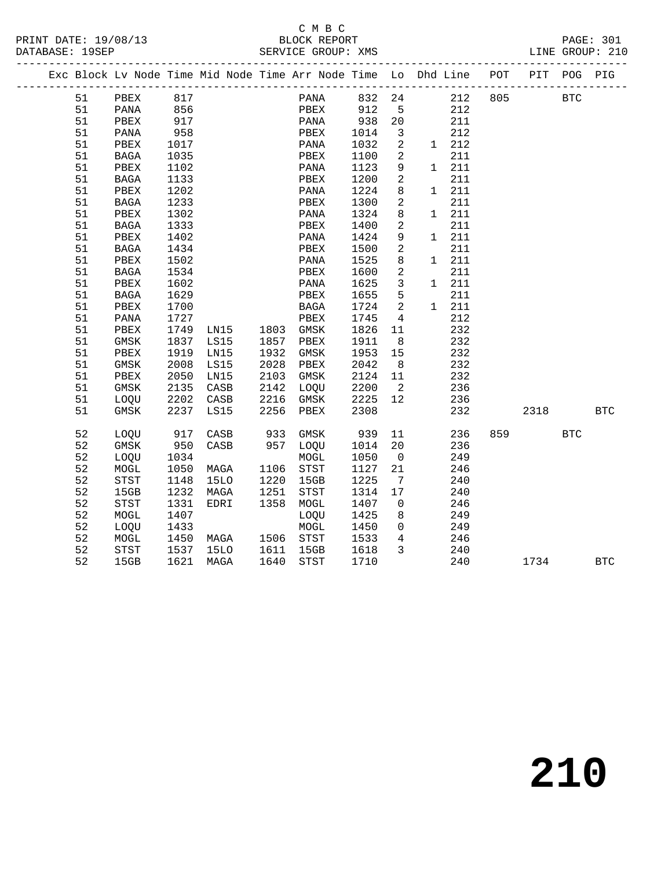### C M B C<br>BLOCK REPORT

| PRINT DATE: 19/08/13 | BLOCK REPORT       | PAGE: 30 <sub>+</sub> |  |
|----------------------|--------------------|-----------------------|--|
| DATABASE: 19SEP      | SERVICE GROUP: XMS | LINE GROUP: 210       |  |
|                      |                    |                       |  |

|  |    |          |      |      |      | Exc Block Lv Node Time Mid Node Time Arr Node Time Lo Dhd Line |      |                              |              |               | POT     |      | PIT POG PIG  |            |
|--|----|----------|------|------|------|----------------------------------------------------------------|------|------------------------------|--------------|---------------|---------|------|--------------|------------|
|  | 51 | PBEX 817 |      |      |      | PANA 832 24                                                    |      |                              |              |               | 212 805 |      | $_{\rm BTC}$ |            |
|  | 51 | PANA     | 856  |      |      | PBEX                                                           | 912  | $5^{\circ}$                  |              | 212           |         |      |              |            |
|  | 51 | PBEX     | 917  |      |      | PANA                                                           | 938  | 20                           |              | 211           |         |      |              |            |
|  | 51 | PANA     | 958  |      |      | PBEX                                                           | 1014 | 3                            |              | 212           |         |      |              |            |
|  | 51 | PBEX     | 1017 |      |      | PANA                                                           | 1032 | $\mathbf{2}$                 |              | $1 \quad 212$ |         |      |              |            |
|  | 51 | BAGA     | 1035 |      |      | PBEX                                                           | 1100 | 2                            |              | 211           |         |      |              |            |
|  | 51 | PBEX     | 1102 |      |      | PANA                                                           | 1123 | 9                            | $\mathbf{1}$ | 211           |         |      |              |            |
|  | 51 | BAGA     | 1133 |      |      | PBEX                                                           | 1200 | 2                            |              | 211           |         |      |              |            |
|  | 51 | PBEX     | 1202 |      |      | PANA                                                           | 1224 | 8                            | $\mathbf{1}$ | 211           |         |      |              |            |
|  | 51 | BAGA     | 1233 |      |      | PBEX                                                           | 1300 | 2                            |              | 211           |         |      |              |            |
|  | 51 | PBEX     | 1302 |      |      | PANA                                                           | 1324 | 8                            | $\mathbf{1}$ | 211           |         |      |              |            |
|  | 51 | BAGA     | 1333 |      |      | PBEX                                                           | 1400 | 2                            |              | 211           |         |      |              |            |
|  | 51 | PBEX     | 1402 |      |      | PANA                                                           | 1424 | 9                            |              | 1 211         |         |      |              |            |
|  | 51 | BAGA     | 1434 |      |      | PBEX                                                           | 1500 | 2                            |              | 211           |         |      |              |            |
|  | 51 | PBEX     | 1502 |      |      | PANA                                                           | 1525 | 8                            | $\mathbf{1}$ | 211           |         |      |              |            |
|  | 51 | BAGA     | 1534 |      |      | PBEX                                                           | 1600 | 2                            |              | 211           |         |      |              |            |
|  | 51 | PBEX     | 1602 |      |      | PANA                                                           | 1625 | 3                            | 1            | 211           |         |      |              |            |
|  | 51 | BAGA     | 1629 |      |      | PBEX                                                           | 1655 | 5                            |              | 211           |         |      |              |            |
|  | 51 | PBEX     | 1700 |      |      | BAGA                                                           | 1724 | 2                            | $\mathbf{1}$ | 211           |         |      |              |            |
|  | 51 | PANA     | 1727 |      |      | PBEX                                                           | 1745 | 4                            |              | 212           |         |      |              |            |
|  | 51 | PBEX     | 1749 | LN15 |      | 1803 GMSK                                                      | 1826 | 11                           |              | 232           |         |      |              |            |
|  | 51 | GMSK     | 1837 | LS15 | 1857 | PBEX                                                           | 1911 | 8                            |              | 232           |         |      |              |            |
|  | 51 | PBEX     | 1919 | LN15 | 1932 | GMSK                                                           | 1953 | 15                           |              | 232           |         |      |              |            |
|  | 51 | GMSK     | 2008 | LS15 | 2028 | PBEX                                                           | 2042 | 8                            |              | 232           |         |      |              |            |
|  | 51 | PBEX     | 2050 | LN15 | 2103 | GMSK                                                           | 2124 | 11                           |              | 232           |         |      |              |            |
|  | 51 | GMSK     | 2135 | CASB | 2142 | LOQU                                                           | 2200 | $\overline{2}$               |              | 236           |         |      |              |            |
|  | 51 | LOQU     | 2202 | CASB | 2216 | GMSK                                                           | 2225 | 12                           |              | 236           |         |      |              |            |
|  | 51 | GMSK     | 2237 | LS15 | 2256 | PBEX                                                           | 2308 |                              |              | 232           |         | 2318 |              | <b>BTC</b> |
|  | 52 | LOQU     | 917  | CASB | 933  | GMSK                                                           | 939  | 11                           |              | 236           | 859     |      | $_{\rm BTC}$ |            |
|  | 52 | GMSK     | 950  | CASB | 957  | LOQU                                                           | 1014 | 20                           |              | 236           |         |      |              |            |
|  | 52 | LOQU     | 1034 |      |      | $\tt MOGL$                                                     | 1050 | $\overline{\mathbf{0}}$      |              | 249           |         |      |              |            |
|  | 52 | MOGL     | 1050 | MAGA | 1106 | STST                                                           | 1127 | 21                           |              | 246           |         |      |              |            |
|  | 52 | STST     | 1148 | 15LO | 1220 | 15GB                                                           | 1225 | $7\phantom{.0}\phantom{.0}7$ |              | 240           |         |      |              |            |
|  | 52 | 15GB     | 1232 | MAGA | 1251 | STST                                                           | 1314 | 17                           |              | 240           |         |      |              |            |
|  | 52 | STST     | 1331 | EDRI | 1358 | MOGL                                                           | 1407 | $\mathbf{0}$                 |              | 246           |         |      |              |            |
|  | 52 | MOGL     | 1407 |      |      | LOQU                                                           | 1425 | 8                            |              | 249           |         |      |              |            |
|  | 52 | LOQU     | 1433 |      |      | $\tt MOGL$                                                     | 1450 | $\overline{0}$               |              | 249           |         |      |              |            |
|  | 52 | MOGL     | 1450 | MAGA | 1506 | STST                                                           | 1533 | $4\overline{ }$              |              | 246           |         |      |              |            |
|  | 52 | STST     | 1537 | 15LO | 1611 | 15GB                                                           | 1618 | $\mathbf{3}$                 |              | 240           |         |      |              |            |
|  | 52 | 15GB     | 1621 | MAGA | 1640 | <b>STST</b>                                                    | 1710 |                              |              | 240           |         | 1734 |              | <b>BTC</b> |
|  |    |          |      |      |      |                                                                |      |                              |              |               |         |      |              |            |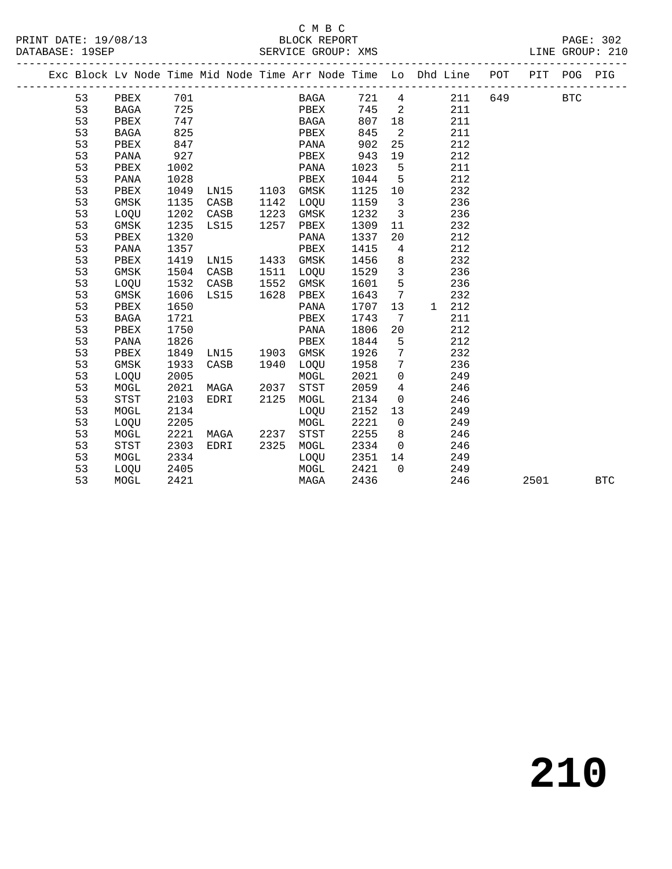#### C M B C<br>BLOCK REPORT SERVICE GROUP: XMS

|  |    |             |      |      |             |      |           |        |                         | Exc Block Lv Node Time Mid Node Time Arr Node Time Lo Dhd Line POT PIT |            | POG PIG |            |
|--|----|-------------|------|------|-------------|------|-----------|--------|-------------------------|------------------------------------------------------------------------|------------|---------|------------|
|  |    | 53 PBEX 701 |      |      |             |      |           |        |                         | BAGA 721 4 211 649                                                     | <b>BTC</b> |         |            |
|  | 53 | <b>BAGA</b> | 725  |      |             |      | PBEX      | 745 2  |                         | 211                                                                    |            |         |            |
|  | 53 | PBEX        | 747  |      |             |      | BAGA      | 807    | 18                      | 211                                                                    |            |         |            |
|  | 53 | BAGA        | 825  |      |             |      | PBEX      | 845    | $\overline{2}$          | 211                                                                    |            |         |            |
|  | 53 | PBEX        | 847  |      |             |      | PANA      | 902    | 25                      | 212                                                                    |            |         |            |
|  | 53 | PANA        | 927  |      |             |      | PBEX      | 943    | 19                      | 212                                                                    |            |         |            |
|  | 53 | PBEX        | 1002 |      |             |      | PANA      | 1023   | $5^{\circ}$             | 211                                                                    |            |         |            |
|  | 53 | PANA        | 1028 |      |             |      | PBEX      | 1044   | $5^{\circ}$             | 212                                                                    |            |         |            |
|  | 53 | PBEX        | 1049 | LN15 |             | 1103 | GMSK      | 1125   | 10                      | 232                                                                    |            |         |            |
|  | 53 | GMSK        | 1135 | CASB |             | 1142 | LOQU      | 1159   | $\overline{\mathbf{3}}$ | 236                                                                    |            |         |            |
|  | 53 | LOQU        | 1202 | CASB |             | 1223 | GMSK      | 1232   | $\overline{3}$          | 236                                                                    |            |         |            |
|  | 53 | GMSK        | 1235 | LS15 |             | 1257 | PBEX      | 1309   | 11                      | 232                                                                    |            |         |            |
|  | 53 | PBEX        | 1320 |      |             |      | PANA      | 1337   | 20                      | 212                                                                    |            |         |            |
|  | 53 | PANA        | 1357 |      |             |      | PBEX      | 1415   | $\overline{4}$          | 212                                                                    |            |         |            |
|  | 53 | PBEX        | 1419 | LN15 |             | 1433 | GMSK      | 1456   | 8 <sup>8</sup>          | 232                                                                    |            |         |            |
|  | 53 | GMSK        | 1504 | CASB |             | 1511 | LOQU      | 1529   | $\overline{\mathbf{3}}$ | 236                                                                    |            |         |            |
|  | 53 | LOOU        | 1532 | CASB |             | 1552 | GMSK      | 1601   | $5^{\circ}$             | 236                                                                    |            |         |            |
|  | 53 | GMSK        | 1606 | LS15 |             | 1628 | PBEX      | 1643   | $\overline{7}$          | 232                                                                    |            |         |            |
|  | 53 | PBEX        | 1650 |      |             |      | PANA      | 1707   | 13                      | 1 212                                                                  |            |         |            |
|  | 53 | BAGA        | 1721 |      |             |      | PBEX      | 1743   | $\overline{7}$          | 211                                                                    |            |         |            |
|  | 53 | PBEX        | 1750 |      |             |      | PANA      | 1806   | 20                      | 212                                                                    |            |         |            |
|  | 53 | PANA        | 1826 |      |             |      | PBEX      | 1844   | $5^{\circ}$             | 212                                                                    |            |         |            |
|  | 53 | PBEX        | 1849 |      | LNI5        | 1903 | GMSK      | 1926   | $\overline{7}$          | 232                                                                    |            |         |            |
|  | 53 | GMSK        | 1933 | CASB |             | 1940 | LOQU      | 1958 7 |                         | 236                                                                    |            |         |            |
|  | 53 | LOQU        | 2005 |      |             |      | MOGL      | 2021 0 |                         | 249                                                                    |            |         |            |
|  | 53 | MOGL        | 2021 | MAGA |             | 2037 | STST      | 2059   | $\overline{4}$          | 246                                                                    |            |         |            |
|  | 53 | <b>STST</b> | 2103 | EDRI |             | 2125 | MOGL      | 2134   | $\overline{0}$          | 246                                                                    |            |         |            |
|  | 53 | MOGL        | 2134 |      |             |      | LOQU      | 2152   | 13                      | 249                                                                    |            |         |            |
|  | 53 | LOQU        | 2205 |      |             |      | MOGL      | 2221   | $\overline{0}$          | 249                                                                    |            |         |            |
|  | 53 | MOGL        | 2221 |      | <b>MAGA</b> |      | 2237 STST | 2255   | 8 <sup>8</sup>          | 246                                                                    |            |         |            |
|  | 53 | <b>STST</b> | 2303 | EDRI |             | 2325 | MOGL      | 2334   | $\overline{0}$          | 246                                                                    |            |         |            |
|  | 53 | MOGL        | 2334 |      |             |      | LOQU      | 2351   | 14                      | 249                                                                    |            |         |            |
|  | 53 | LOQU        | 2405 |      |             |      | MOGL      | 2421   | $\overline{0}$          | 249                                                                    |            |         |            |
|  | 53 | MOGL        | 2421 |      |             |      | MAGA      | 2436   |                         | 246                                                                    | 2501       |         | <b>BTC</b> |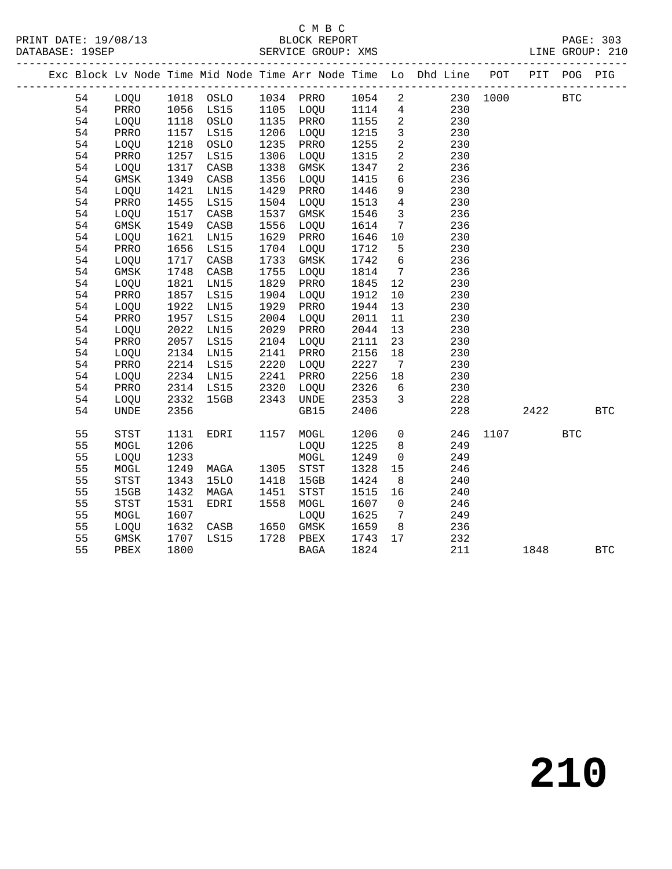#### C M B C<br>BLOCK REPORT SERVICE GROUP: XMS

|  |    |             |      |             |      |             |      |                 | Exc Block Lv Node Time Mid Node Time Arr Node Time Lo Dhd Line POT PIT POG PIG |      |      |            |              |
|--|----|-------------|------|-------------|------|-------------|------|-----------------|--------------------------------------------------------------------------------|------|------|------------|--------------|
|  | 54 | LOQU        |      | 1018 OSLO   |      | 1034 PRRO   | 1054 | $\overline{2}$  | 230                                                                            | 1000 |      | <b>BTC</b> |              |
|  | 54 | PRRO        | 1056 | LS15        | 1105 | LOQU        | 1114 | $\overline{4}$  | 230                                                                            |      |      |            |              |
|  | 54 | LOQU        | 1118 | OSLO        | 1135 | PRRO        | 1155 | $\overline{a}$  | 230                                                                            |      |      |            |              |
|  | 54 | PRRO        | 1157 | LS15        | 1206 | LOQU        | 1215 | $\mathbf{3}$    | 230                                                                            |      |      |            |              |
|  | 54 | LOQU        | 1218 | OSLO        | 1235 | PRRO        | 1255 | $\overline{a}$  | 230                                                                            |      |      |            |              |
|  | 54 | PRRO        | 1257 | LS15        | 1306 | LOQU        | 1315 | $\overline{a}$  | 230                                                                            |      |      |            |              |
|  | 54 | LOQU        | 1317 | CASB        | 1338 | $\rm{GMSK}$ | 1347 | $\overline{a}$  | 236                                                                            |      |      |            |              |
|  | 54 | <b>GMSK</b> | 1349 | CASB        | 1356 | LOQU        | 1415 | 6               | 236                                                                            |      |      |            |              |
|  | 54 | LOQU        | 1421 | LN15        | 1429 | PRRO        | 1446 | 9               | 230                                                                            |      |      |            |              |
|  | 54 | PRRO        | 1455 | LS15        | 1504 | LOQU        | 1513 | $\overline{4}$  | 230                                                                            |      |      |            |              |
|  | 54 | LOQU        | 1517 | CASB        | 1537 | $\rm{GMSK}$ | 1546 | $\mathbf{3}$    | 236                                                                            |      |      |            |              |
|  | 54 | GMSK        | 1549 | CASB        | 1556 | LOQU        | 1614 | $7\phantom{.0}$ | 236                                                                            |      |      |            |              |
|  | 54 | LOQU        | 1621 | LN15        | 1629 | PRRO        | 1646 | 10              | 230                                                                            |      |      |            |              |
|  | 54 | PRRO        | 1656 | LS15        | 1704 | LOQU        | 1712 | 5               | 230                                                                            |      |      |            |              |
|  | 54 | LOOU        | 1717 | CASB        | 1733 | GMSK        | 1742 | 6               | 236                                                                            |      |      |            |              |
|  | 54 | <b>GMSK</b> | 1748 | CASB        | 1755 | LOQU        | 1814 | $7\phantom{.0}$ | 236                                                                            |      |      |            |              |
|  | 54 | LOQU        | 1821 | LN15        | 1829 | PRRO        | 1845 | 12              | 230                                                                            |      |      |            |              |
|  | 54 | PRRO        | 1857 | LS15        | 1904 | LOQU        | 1912 | 10              | 230                                                                            |      |      |            |              |
|  | 54 | LOQU        | 1922 | LN15        | 1929 | PRRO        | 1944 | 13              | 230                                                                            |      |      |            |              |
|  | 54 | PRRO        | 1957 | LS15        | 2004 | LOQU        | 2011 | 11              | 230                                                                            |      |      |            |              |
|  | 54 | LOQU        | 2022 | LN15        | 2029 | PRRO        | 2044 | 13              | 230                                                                            |      |      |            |              |
|  | 54 | PRRO        | 2057 | LS15        | 2104 | LOQU        | 2111 | 23              | 230                                                                            |      |      |            |              |
|  | 54 | LOQU        | 2134 | LN15        | 2141 | PRRO        | 2156 | 18              | 230                                                                            |      |      |            |              |
|  | 54 | PRRO        | 2214 | LS15        | 2220 | LOQU        | 2227 | 7               | 230                                                                            |      |      |            |              |
|  | 54 | LOQU        | 2234 | LN15        | 2241 | PRRO        | 2256 | 18              | 230                                                                            |      |      |            |              |
|  | 54 | PRRO        | 2314 | LS15        | 2320 | LOQU        | 2326 | $6\overline{6}$ | 230                                                                            |      |      |            |              |
|  | 54 | LOQU        | 2332 | 15GB        | 2343 | <b>UNDE</b> | 2353 | 3               | 228                                                                            |      |      |            |              |
|  | 54 | <b>UNDE</b> | 2356 |             |      | GB15        | 2406 |                 | 228                                                                            |      | 2422 |            | $_{\rm BTC}$ |
|  | 55 | <b>STST</b> | 1131 | EDRI        | 1157 | MOGL        | 1206 | $\overline{0}$  | 246                                                                            | 1107 |      | <b>BTC</b> |              |
|  | 55 | MOGL        | 1206 |             |      | LOQU        | 1225 | 8               | 249                                                                            |      |      |            |              |
|  | 55 | LOQU        | 1233 |             |      | MOGL        | 1249 | $\mathbf 0$     | 249                                                                            |      |      |            |              |
|  | 55 | MOGL        | 1249 | MAGA        | 1305 | <b>STST</b> | 1328 | 15              | 246                                                                            |      |      |            |              |
|  | 55 | STST        | 1343 | <b>15LO</b> | 1418 | 15GB        | 1424 | 8               | 240                                                                            |      |      |            |              |
|  | 55 | 15GB        | 1432 | MAGA        | 1451 | STST        | 1515 | 16              | 240                                                                            |      |      |            |              |
|  | 55 | <b>STST</b> | 1531 | <b>EDRI</b> | 1558 | MOGL        | 1607 | $\overline{0}$  | 246                                                                            |      |      |            |              |
|  | 55 | MOGL        | 1607 |             |      | LOQU        | 1625 | 7               | 249                                                                            |      |      |            |              |
|  | 55 | LOQU        | 1632 | CASB        | 1650 | GMSK        | 1659 | 8               | 236                                                                            |      |      |            |              |
|  | 55 | <b>GMSK</b> | 1707 | <b>LS15</b> | 1728 | PBEX        | 1743 | 17              | 232                                                                            |      |      |            |              |

55 PBEX 1800 BAGA 1824 211 1848 BTC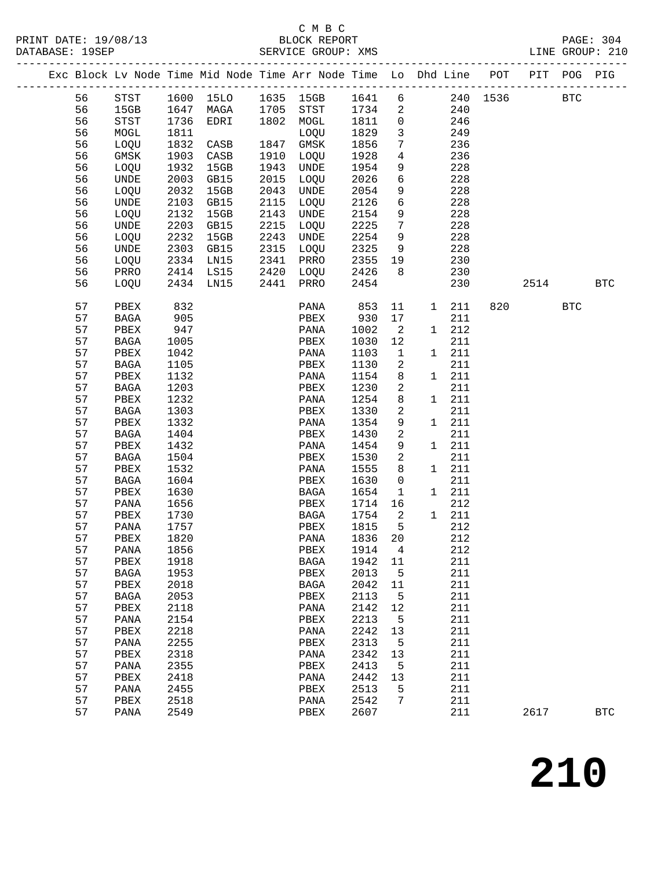## C M B C<br>BLOCK REPORT

| PRINT DATE: 19/08/13<br>DATABASE: 19SEP |          |              |              |                                    |      | BLOCK REPORT<br>SERVICE GROUP: XMS                                             |              |                            |     |              |                                   | LINE GROUP: 210 |            | PAGE: 304  |
|-----------------------------------------|----------|--------------|--------------|------------------------------------|------|--------------------------------------------------------------------------------|--------------|----------------------------|-----|--------------|-----------------------------------|-----------------|------------|------------|
|                                         |          |              |              | ---------------------------------- |      | Exc Block Lv Node Time Mid Node Time Arr Node Time Lo Dhd Line POT PIT POG PIG |              |                            |     |              | --------------------------------- |                 |            |            |
|                                         | 56       | STST         |              | 1600 15LO                          |      | 1635 15GB 1641 6 240 1536 BTC                                                  |              |                            |     |              |                                   |                 |            |            |
|                                         | 56       | 15GB         |              | 1647 MAGA                          |      | 1705 STST 1734                                                                 |              | $\overline{\phantom{a}}^2$ |     | 240          |                                   |                 |            |            |
|                                         | 56       | STST         | 1736         | EDRI                               |      | 1802 MOGL                                                                      | 1811         | $\overline{0}$             |     | 246          |                                   |                 |            |            |
|                                         | 56       | MOGL         | 1811         |                                    |      | LOQU                                                                           | 1829         | $\overline{3}$             |     | 249          |                                   |                 |            |            |
|                                         | 56       | LOQU         | 1832         | CASB                               |      | 1847 GMSK                                                                      | 1856         | $7\phantom{.0}$            |     | 236          |                                   |                 |            |            |
|                                         | 56       | GMSK         | 1903<br>1932 | CASB<br>15GB                       |      | 1910 LOQU                                                                      | 1928         | $\overline{4}$<br>9        |     | 236          |                                   |                 |            |            |
|                                         | 56<br>56 | LOQU<br>UNDE | 2003         | GB15                               | 2015 | 1943 UNDE<br>LOQU                                                              | 1954<br>2026 | 6                          |     | 228<br>228   |                                   |                 |            |            |
|                                         | 56       | LOQU         | 2032         | 15GB                               |      | 2043 UNDE                                                                      | 2054         | 9                          |     | 228          |                                   |                 |            |            |
|                                         | 56       | UNDE         | 2103         | GB15                               | 2115 | LOQU                                                                           | 2126         | 6                          |     | 228          |                                   |                 |            |            |
|                                         | 56       | LOQU         | 2132         | 15GB                               | 2143 | UNDE                                                                           | 2154         | 9                          |     | 228          |                                   |                 |            |            |
|                                         | 56       | UNDE         | 2203         | GB15                               | 2215 | LOQU                                                                           | 2225         | $7\phantom{.0}$            |     | 228          |                                   |                 |            |            |
|                                         | 56       | LOQU         | 2232         | 15GB                               | 2243 | UNDE                                                                           | 2254         | 9                          |     | 228          |                                   |                 |            |            |
|                                         | 56       | UNDE         | 2303         | GB15                               |      | 2315 LOQU                                                                      | 2325         | 9                          |     | 228          |                                   |                 |            |            |
|                                         | 56       | LOQU         | 2334         | LN15                               |      | 2341 PRRO                                                                      | 2355         | 19                         |     | 230          |                                   |                 |            |            |
|                                         | 56       | PRRO         |              | 2414 LS15                          |      | 2420 LOQU                                                                      | 2426         | 8 <sup>8</sup>             |     | 230          |                                   |                 |            |            |
|                                         | 56       | LOQU         |              | 2434 LN15                          | 2441 | PRRO                                                                           | 2454         |                            |     | 230          |                                   | 2514 BTC        |            |            |
|                                         | 57       | PBEX         | 832          |                                    |      | PANA                                                                           | 853          | 11                         |     | 1 211        | 820                               |                 | <b>BTC</b> |            |
|                                         | 57       | BAGA         | 905          |                                    |      | PBEX                                                                           | 930          | 17                         |     | 211          |                                   |                 |            |            |
|                                         | 57       | PBEX         | 947          |                                    |      | PANA                                                                           | 1002         | $\overline{2}$             |     | 1 212        |                                   |                 |            |            |
|                                         | 57       | BAGA         | 1005         |                                    |      | PBEX                                                                           | 1030         | 12                         |     | 211          |                                   |                 |            |            |
|                                         | 57       | PBEX         | 1042         |                                    |      | PANA                                                                           | 1103         | $\overline{\mathbf{1}}$    |     | 1 211        |                                   |                 |            |            |
|                                         | 57       | BAGA         | 1105         |                                    |      | PBEX                                                                           | 1130         | 2                          |     | 211          |                                   |                 |            |            |
|                                         | 57       | PBEX         | 1132         |                                    |      | PANA                                                                           | 1154         | 8<br>2                     |     | 1 211        |                                   |                 |            |            |
|                                         | 57<br>57 | BAGA<br>PBEX | 1203<br>1232 |                                    |      | PBEX<br>PANA                                                                   | 1230<br>1254 | 8                          |     | 211<br>1 211 |                                   |                 |            |            |
|                                         | 57       | BAGA         | 1303         |                                    |      | PBEX                                                                           | 1330         | 2                          |     | 211          |                                   |                 |            |            |
|                                         | 57       | PBEX         | 1332         |                                    |      | PANA                                                                           | 1354         | 9                          |     | 1 211        |                                   |                 |            |            |
|                                         | 57       | BAGA         | 1404         |                                    |      | PBEX                                                                           | 1430         | $\sqrt{2}$                 |     | 211          |                                   |                 |            |            |
|                                         | 57       | PBEX         | 1432         |                                    |      | PANA                                                                           | 1454         | 9                          |     | 1 211        |                                   |                 |            |            |
|                                         | 57       | BAGA         | 1504         |                                    |      | PBEX                                                                           | 1530         | 2                          |     | 211          |                                   |                 |            |            |
|                                         | 57       | PBEX         | 1532         |                                    |      | PANA                                                                           | 1555         | 8                          |     | 1 211        |                                   |                 |            |            |
|                                         | 57       | BAGA         | 1604         |                                    |      | PBEX                                                                           | 1630         | $\overline{0}$             |     | 211          |                                   |                 |            |            |
|                                         | 57       | PBEX         | 1630         |                                    |      | BAGA                                                                           | 1654         | $\overline{1}$             |     | 1 211        |                                   |                 |            |            |
|                                         | 57       | PANA         | 1656         |                                    |      | PBEX                                                                           | 1714         | 16                         |     | 212          |                                   |                 |            |            |
|                                         | 57       | PBEX         | 1730         |                                    |      | BAGA                                                                           | 1754         | $\overline{a}$             |     | 1 211        |                                   |                 |            |            |
|                                         |          | 57 PANA 1757 |              |                                    |      | PBEX 1815 5                                                                    |              |                            | 212 |              |                                   |                 |            |            |
|                                         | 57       | PBEX         | 1820         |                                    |      | PANA                                                                           | 1836         | 20                         |     | 212          |                                   |                 |            |            |
|                                         | 57       | PANA         | 1856         |                                    |      | PBEX                                                                           | 1914         | 4                          |     | 212          |                                   |                 |            |            |
|                                         | 57       | PBEX         | 1918         |                                    |      | <b>BAGA</b>                                                                    | 1942         | 11                         |     | 211          |                                   |                 |            |            |
|                                         | 57       | <b>BAGA</b>  | 1953         |                                    |      | PBEX                                                                           | 2013         | 5                          |     | 211          |                                   |                 |            |            |
|                                         | 57       | PBEX         | 2018         |                                    |      | BAGA                                                                           | 2042         | 11                         |     | 211          |                                   |                 |            |            |
|                                         | 57       | BAGA         | 2053         |                                    |      | PBEX                                                                           | 2113         | 5                          |     | 211          |                                   |                 |            |            |
|                                         | 57<br>57 | PBEX         | 2118<br>2154 |                                    |      | PANA                                                                           | 2142<br>2213 | 12                         |     | 211<br>211   |                                   |                 |            |            |
|                                         | 57       | PANA<br>PBEX | 2218         |                                    |      | PBEX<br>PANA                                                                   | 2242         | 5<br>13                    |     | 211          |                                   |                 |            |            |
|                                         | 57       | PANA         | 2255         |                                    |      | PBEX                                                                           | 2313         | 5                          |     | 211          |                                   |                 |            |            |
|                                         | 57       | PBEX         | 2318         |                                    |      | PANA                                                                           | 2342         | 13                         |     | 211          |                                   |                 |            |            |
|                                         | 57       | PANA         | 2355         |                                    |      | PBEX                                                                           | 2413         | 5                          |     | 211          |                                   |                 |            |            |
|                                         | 57       | PBEX         | 2418         |                                    |      | PANA                                                                           | 2442         | 13                         |     | 211          |                                   |                 |            |            |
|                                         | 57       | PANA         | 2455         |                                    |      | PBEX                                                                           | 2513         | 5                          |     | 211          |                                   |                 |            |            |
|                                         | 57       | PBEX         | 2518         |                                    |      | PANA                                                                           | 2542         | 7                          |     | 211          |                                   |                 |            |            |
|                                         | 57       | PANA         | 2549         |                                    |      | PBEX                                                                           | 2607         |                            |     | 211          |                                   | 2617            |            | <b>BTC</b> |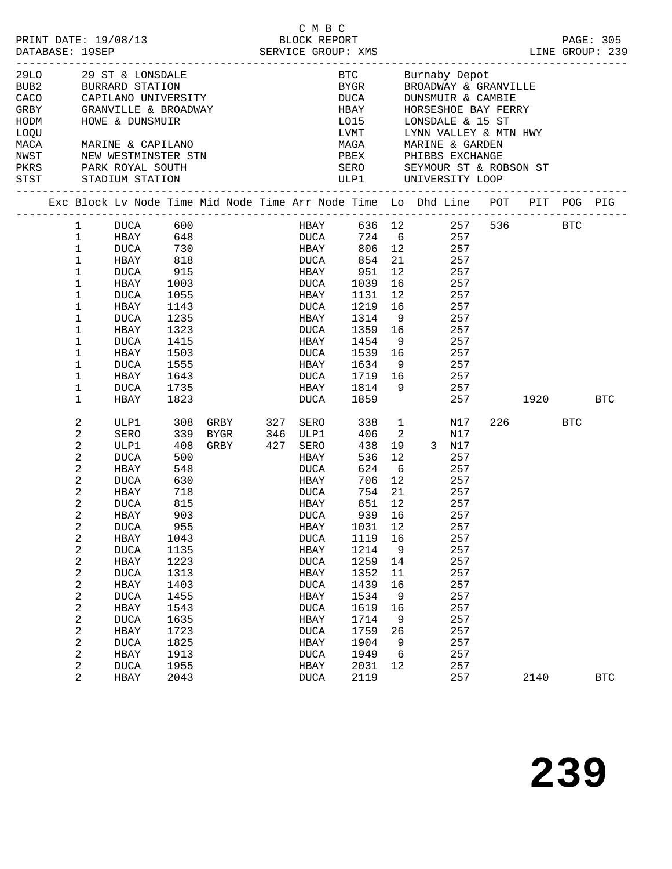|                                                                                                                                                                                    |  |                                                                                                                                                                                                                                                                                                                                  |                                                                                                                                                                                                                                       |                                                                                                                                                                            | PRINT DATE: 19/08/13<br>DATABASE: 19SEP<br>DATABASE: 19SEP                     |            | C M B C                                                                                                                                                                                                                                                        |                                                                                                                                                                            |                                                                                                                                           |                                                                                                                                                                                                                         |                                                                                                                                                 | LINE GROUP: 239         |     | PAGE: 305  |
|------------------------------------------------------------------------------------------------------------------------------------------------------------------------------------|--|----------------------------------------------------------------------------------------------------------------------------------------------------------------------------------------------------------------------------------------------------------------------------------------------------------------------------------|---------------------------------------------------------------------------------------------------------------------------------------------------------------------------------------------------------------------------------------|----------------------------------------------------------------------------------------------------------------------------------------------------------------------------|--------------------------------------------------------------------------------|------------|----------------------------------------------------------------------------------------------------------------------------------------------------------------------------------------------------------------------------------------------------------------|----------------------------------------------------------------------------------------------------------------------------------------------------------------------------|-------------------------------------------------------------------------------------------------------------------------------------------|-------------------------------------------------------------------------------------------------------------------------------------------------------------------------------------------------------------------------|-------------------------------------------------------------------------------------------------------------------------------------------------|-------------------------|-----|------------|
| 29LO 29 ST & LONSDALE<br>CACO CAPILANO UNIVERSITY<br>CACO CAPILANO UNIVERSITY<br>CACO CAPILANO UNIVERSITY<br>GRBY<br>HODM<br>LOQU<br>MACA<br>NWST<br>PKRS PARK ROYAL SOUTH<br>STST |  |                                                                                                                                                                                                                                                                                                                                  | HOWE & DUNSMUIR<br>MARINE & CAPILANO<br>NEW WESTMINSTER STN<br>STADIUM STATION                                                                                                                                                        |                                                                                                                                                                            | GRANVILLE & BROADWAY                                                           |            | SERO SEYMOUR ST & ROBSON ST                                                                                                                                                                                                                                    | <b>DUCA</b><br>HBAY<br>LO15<br>t.vmt<br>LVMT<br>MAGA                                                                                                                       |                                                                                                                                           | BTC        Burnaby Depot<br>BYGR       BROADWAY & GRANVILLE<br>DUNSMUIR & CAMBIE<br>HORSESHOE BAY FERRY<br>LONSDALE & 15 ST<br>LYNN VALLEY & MTN HWY<br>MARINE & GARDEN<br>PBEX PHIBBS EXCHANGE<br>ULP1 UNIVERSITY LOOP |                                                                                                                                                 |                         |     |            |
|                                                                                                                                                                                    |  |                                                                                                                                                                                                                                                                                                                                  |                                                                                                                                                                                                                                       |                                                                                                                                                                            | Exc Block Lv Node Time Mid Node Time Arr Node Time Lo Dhd Line POT PIT POG PIG |            |                                                                                                                                                                                                                                                                |                                                                                                                                                                            |                                                                                                                                           |                                                                                                                                                                                                                         |                                                                                                                                                 |                         |     |            |
|                                                                                                                                                                                    |  | $\mathbf{1}$<br>$\mathbf{1}$<br>$\mathbf{1}$<br>$\mathbf 1$<br>$\mathbf 1$<br>$\mathbf 1$<br>1<br>1<br>1<br>$\mathbf 1$<br>1<br>1<br>1<br>$\mathbf 1$<br>1<br>$\mathbf 1$                                                                                                                                                        | DUCA<br>HBAY 648<br>DUCA<br>HBAY<br>DUCA<br>HBAY<br>DUCA<br>HBAY<br>DUCA<br>HBAY<br>DUCA<br>HBAY<br>DUCA<br>HBAY<br>DUCA<br>HBAY                                                                                                      | 600<br>818<br>915<br>1003<br>1055<br>1143<br>1235<br>1323<br>1415<br>1503<br>1555<br>1643<br>1735<br>1823                                                                  | 730                                                                            |            | HBAY 636 12<br><b>DUCA</b><br><b>HBAY</b><br>DUCA<br>HBAY<br>DUCA<br>HBAY<br>DUCA<br>HBAY<br>DUCA<br>HBAY<br>DUCA<br>HBAY<br>DUCA<br><b>HBAY</b><br>DUCA                                                                                                       | 724 6<br>854<br>951<br>1039<br>1131<br>1219<br>1314<br>1359 16<br>1454<br>1539<br>1634 9<br>1719 16<br>1814 9<br>1859                                                      | 21<br>12<br>16<br>12<br>16<br>9<br>9<br>16                                                                                                | 806 12                                                                                                                                                                                                                  | 257<br>257<br>257<br>257<br>257<br>257<br>257<br>257<br>257<br>257<br>257<br>257<br>257<br>257<br>257                                           | 257 536 BTC<br>1920 BTC |     |            |
|                                                                                                                                                                                    |  | 2<br>2<br>$\mathbf{2}$<br>$\overline{c}$<br>$\boldsymbol{2}$<br>2<br>$\sqrt{2}$<br>2<br>$\boldsymbol{2}$<br>2<br>2<br>$\boldsymbol{2}$<br>$\mathbf 2$<br>$\mathbf{2}$<br>$\boldsymbol{2}$<br>$\mathbf{2}$<br>$\boldsymbol{2}$<br>$\boldsymbol{2}$<br>$\boldsymbol{2}$<br>$\boldsymbol{2}$<br>$\sqrt{2}$<br>$\boldsymbol{2}$<br>2 | ULP1<br>SERO<br>ULP1<br>DUCA<br>HBAY<br>DUCA<br>HBAY<br>DUCA<br>HBAY<br><b>DUCA</b><br>HBAY<br><b>DUCA</b><br>HBAY<br><b>DUCA</b><br>HBAY<br><b>DUCA</b><br>HBAY<br><b>DUCA</b><br>HBAY<br><b>DUCA</b><br>HBAY<br><b>DUCA</b><br>HBAY | 308<br>339<br>408<br>500<br>548<br>630<br>718<br>815<br>903<br>955<br>1043<br>1135<br>1223<br>1313<br>1403<br>1455<br>1543<br>1635<br>1723<br>1825<br>1913<br>1955<br>2043 | GRBY<br>BYGR<br>GRBY                                                           | 327<br>346 | SERO<br>ULP1<br>427 SERO<br>HBAY<br>DUCA<br><b>HBAY</b><br><b>DUCA</b><br>HBAY<br><b>DUCA</b><br>HBAY<br><b>DUCA</b><br>HBAY<br><b>DUCA</b><br>HBAY<br><b>DUCA</b><br>HBAY<br><b>DUCA</b><br>HBAY<br><b>DUCA</b><br>HBAY<br><b>DUCA</b><br>HBAY<br><b>DUCA</b> | 406<br>438<br>536<br>624<br>706<br>754 21<br>851<br>939 16<br>1031<br>1119<br>1214<br>1259<br>1352<br>1439<br>1534<br>1619<br>1714<br>1759<br>1904<br>1949<br>2031<br>2119 | 338 1<br>$\overline{\phantom{a}}^2$<br>19<br>12<br>6<br>12<br>12<br>12<br>16<br>9<br>14<br>11<br>16<br>9<br>16<br>9<br>26<br>9<br>6<br>12 | 3 N17<br>257                                                                                                                                                                                                            | N17<br>N17<br>257<br>257<br>257<br>257<br>257<br>257<br>257<br>257<br>257<br>257<br>257<br>257<br>257<br>257<br>257<br>257<br>257<br>257<br>257 | 226 220<br>2140         | BTC | <b>BTC</b> |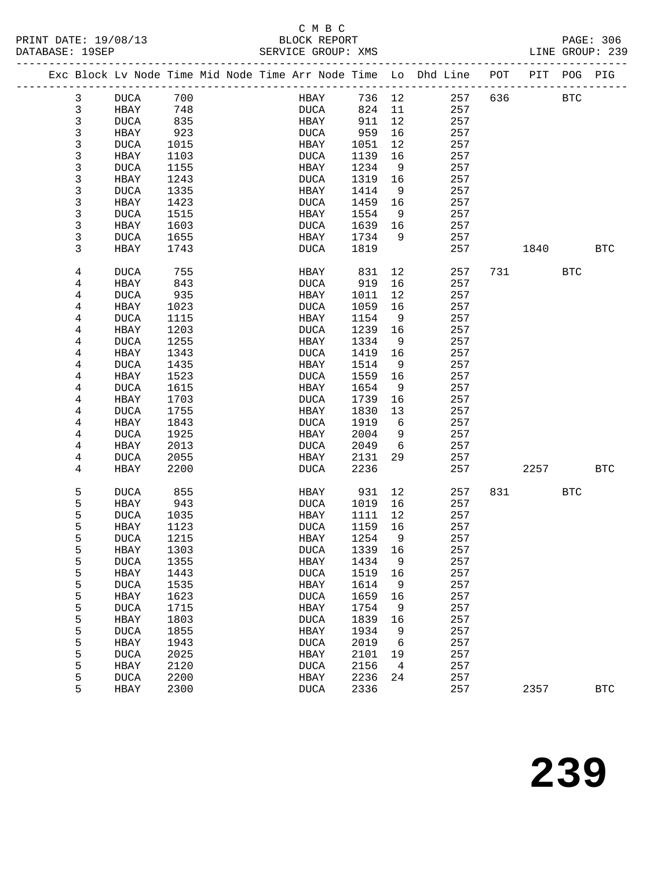## C M B C<br>BLOCK REPORT

| PRINT DATE: 19/08/13<br>DATABASE: 19SEP |                     |                                                                                | BLOCK REPORT<br>SERVICE GROUP: XMS |              |         |            |     |          |            | PAGE: 306<br>LINE GROUP: 239 |
|-----------------------------------------|---------------------|--------------------------------------------------------------------------------|------------------------------------|--------------|---------|------------|-----|----------|------------|------------------------------|
|                                         |                     | Exc Block Lv Node Time Mid Node Time Arr Node Time Lo Dhd Line POT PIT POG PIG |                                    |              |         |            |     |          |            |                              |
| $\mathbf{3}$                            | <b>DUCA</b>         | 700                                                                            | <b>HBAY</b>                        | 736 12       |         | 257        |     | 636 BTC  |            |                              |
| $\mathfrak{Z}$                          | <b>HBAY</b>         | 748                                                                            | <b>DUCA</b>                        | 824          | 11      | 257        |     |          |            |                              |
| 3                                       | DUCA                | 835                                                                            | HBAY                               | 911          | 12      | 257        |     |          |            |                              |
| 3                                       | HBAY                | 923                                                                            | DUCA                               | 959          | 16      | 257        |     |          |            |                              |
| 3                                       | DUCA                | 1015                                                                           | HBAY                               | 1051         | 12      | 257        |     |          |            |                              |
| 3                                       | HBAY                | 1103                                                                           | DUCA                               | 1139         | 16      | 257        |     |          |            |                              |
| 3                                       | <b>DUCA</b>         | 1155                                                                           | HBAY                               | 1234         | 9       | 257        |     |          |            |                              |
| 3                                       | HBAY                | 1243                                                                           | DUCA                               | 1319         | 16      | 257        |     |          |            |                              |
| 3                                       | DUCA                | 1335                                                                           | HBAY                               | 1414         | 9       | 257        |     |          |            |                              |
| 3                                       | HBAY                | 1423                                                                           | DUCA                               | 1459         | 16      | 257        |     |          |            |                              |
| 3                                       | DUCA                | 1515                                                                           | HBAY                               | 1554         | 9       | 257        |     |          |            |                              |
| 3                                       | HBAY                | 1603                                                                           | DUCA                               | 1639         | 16      | 257        |     |          |            |                              |
| $\mathsf{3}$                            | DUCA                | 1655                                                                           | HBAY                               | 1734         | - 9     | 257        |     |          |            |                              |
| 3                                       | HBAY                | 1743                                                                           | DUCA                               | 1819         |         | 257        |     | 1840     |            | <b>BTC</b>                   |
| 4                                       | DUCA                | 755                                                                            | HBAY                               | 831          | 12      | 257        |     | 731 BTC  |            |                              |
| 4                                       | HBAY                | 843                                                                            | DUCA                               | 919          | 16      | 257        |     |          |            |                              |
| 4                                       | DUCA                | 935                                                                            | HBAY                               | 1011         | 12      | 257        |     |          |            |                              |
| 4                                       | HBAY                | 1023                                                                           | DUCA                               | 1059         | 16      | 257        |     |          |            |                              |
| 4                                       | DUCA                | 1115                                                                           | HBAY                               | 1154         | 9       | 257        |     |          |            |                              |
| $\overline{4}$                          | HBAY                | 1203                                                                           | DUCA                               | 1239         | 16      | 257        |     |          |            |                              |
| 4                                       | <b>DUCA</b>         | 1255                                                                           | HBAY                               | 1334         | 9       | 257        |     |          |            |                              |
| 4                                       | HBAY                | 1343                                                                           | DUCA                               | 1419         | 16      | 257        |     |          |            |                              |
| 4                                       | DUCA                | 1435                                                                           | HBAY                               | 1514         | 9       | 257        |     |          |            |                              |
| $\overline{4}$                          | HBAY                | 1523                                                                           | DUCA                               | 1559         | 16      | 257        |     |          |            |                              |
| 4                                       | DUCA                | 1615<br>1703                                                                   | HBAY<br>DUCA                       | 1654<br>1739 | 9<br>16 | 257<br>257 |     |          |            |                              |
| 4<br>$\overline{4}$                     | HBAY<br><b>DUCA</b> | 1755                                                                           | HBAY                               | 1830         | 13      | 257        |     |          |            |                              |
| $\overline{4}$                          | HBAY                | 1843                                                                           | DUCA                               | 1919         | 6       | 257        |     |          |            |                              |
| 4                                       | DUCA                | 1925                                                                           | HBAY                               | 2004         | 9       | 257        |     |          |            |                              |
| 4                                       | HBAY                | 2013                                                                           | DUCA                               | 2049         | 6       | 257        |     |          |            |                              |
| $\overline{4}$                          | DUCA                | 2055                                                                           | HBAY                               | 2131         | 29      | 257        |     |          |            |                              |
| $\overline{4}$                          | HBAY                | 2200                                                                           | DUCA                               | 2236         |         | 257        |     | 2257 BTC |            |                              |
|                                         |                     |                                                                                |                                    |              |         |            |     |          |            |                              |
| 5                                       | DUCA                | 855                                                                            |                                    | HBAY 931     | 12      | 257        | 831 |          | <b>BTC</b> |                              |
| 5                                       | HBAY                | 943                                                                            | DUCA                               | 1019 16      |         | 257        |     |          |            |                              |
| 5                                       | <b>DUCA</b>         | 1035                                                                           | HBAY                               | 1111         | 12      | 257        |     |          |            |                              |
| 5                                       | HBAY 1123           |                                                                                |                                    | DUCA 1159 16 |         | 257        |     |          |            |                              |
| 5                                       | <b>DUCA</b>         | 1215                                                                           | HBAY                               | 1254         | 9       | 257        |     |          |            |                              |
| 5<br>5                                  | HBAY                | 1303<br>1355                                                                   | $\tt DUCA$                         | 1339<br>1434 | 16      | 257<br>257 |     |          |            |                              |
| 5                                       | <b>DUCA</b><br>HBAY | 1443                                                                           | HBAY<br><b>DUCA</b>                | 1519         | 9<br>16 | 257        |     |          |            |                              |
|                                         | $\tt DUCA$          | 1535                                                                           | HBAY                               | 1614         | 9       | 257        |     |          |            |                              |
| $\frac{5}{5}$                           | HBAY                | 1623                                                                           | <b>DUCA</b>                        | 1659         | 16      | 257        |     |          |            |                              |
| 5                                       | <b>DUCA</b>         | 1715                                                                           | HBAY                               | 1754         | 9       | 257        |     |          |            |                              |
| 5                                       | HBAY                | 1803                                                                           | <b>DUCA</b>                        | 1839         | 16      | 257        |     |          |            |                              |
|                                         | <b>DUCA</b>         | 1855                                                                           | HBAY                               | 1934         | 9       | 257        |     |          |            |                              |
| $\frac{5}{5}$                           | HBAY                | 1943                                                                           | <b>DUCA</b>                        | 2019         | 6       | 257        |     |          |            |                              |
| 5                                       | <b>DUCA</b>         | 2025                                                                           | HBAY                               | 2101         | 19      | 257        |     |          |            |                              |
| 5                                       | HBAY                | 2120                                                                           | <b>DUCA</b>                        | 2156         | 4       | 257        |     |          |            |                              |
| 5                                       | <b>DUCA</b>         | 2200                                                                           | HBAY                               | 2236         | 24      | 257        |     |          |            |                              |
| 5                                       | HBAY                | 2300                                                                           | <b>DUCA</b>                        | 2336         |         | 257        |     | 2357     |            | <b>BTC</b>                   |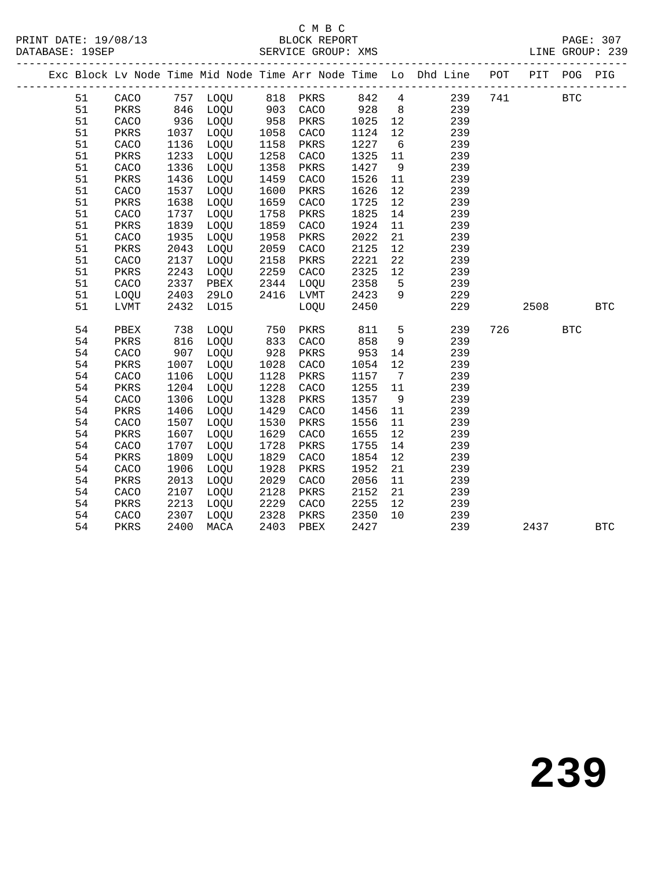#### C M B C<br>BLOCK REPORT SERVICE GROUP: XMS

|  |    |      |      |             |      |          |      |                 | Exc Block Lv Node Time Mid Node Time Arr Node Time Lo Dhd Line POT PIT POG |     |      |            | PIG        |
|--|----|------|------|-------------|------|----------|------|-----------------|----------------------------------------------------------------------------|-----|------|------------|------------|
|  | 51 | CACO |      | 757 LOQU    |      | 818 PKRS | 842  | $4\overline{4}$ | 239                                                                        | 741 |      | <b>BTC</b> |            |
|  | 51 | PKRS | 846  | LOQU        | 903  | CACO     | 928  | 8 <sup>8</sup>  | 239                                                                        |     |      |            |            |
|  | 51 | CACO | 936  | LOQU        | 958  | PKRS     | 1025 | 12              | 239                                                                        |     |      |            |            |
|  | 51 | PKRS | 1037 | LOQU        | 1058 | CACO     | 1124 | 12              | 239                                                                        |     |      |            |            |
|  | 51 | CACO | 1136 | LOQU        | 1158 | PKRS     | 1227 | 6               | 239                                                                        |     |      |            |            |
|  | 51 | PKRS | 1233 | LOQU        | 1258 | CACO     | 1325 | 11              | 239                                                                        |     |      |            |            |
|  | 51 | CACO | 1336 | LOQU        | 1358 | PKRS     | 1427 | 9               | 239                                                                        |     |      |            |            |
|  | 51 | PKRS | 1436 | LOQU        | 1459 | CACO     | 1526 | 11              | 239                                                                        |     |      |            |            |
|  | 51 | CACO | 1537 | LOQU        | 1600 | PKRS     | 1626 | 12              | 239                                                                        |     |      |            |            |
|  | 51 | PKRS | 1638 | LOQU        | 1659 | CACO     | 1725 | 12              | 239                                                                        |     |      |            |            |
|  | 51 | CACO | 1737 | LOQU        | 1758 | PKRS     | 1825 | 14              | 239                                                                        |     |      |            |            |
|  | 51 | PKRS | 1839 | LOQU        | 1859 | CACO     | 1924 | 11              | 239                                                                        |     |      |            |            |
|  | 51 | CACO | 1935 | LOQU        | 1958 | PKRS     | 2022 | 21              | 239                                                                        |     |      |            |            |
|  | 51 | PKRS | 2043 | LOQU        | 2059 | CACO     | 2125 | 12              | 239                                                                        |     |      |            |            |
|  | 51 | CACO | 2137 | LOQU        | 2158 | PKRS     | 2221 | 22              | 239                                                                        |     |      |            |            |
|  | 51 | PKRS | 2243 | LOQU        | 2259 | CACO     | 2325 | 12              | 239                                                                        |     |      |            |            |
|  | 51 | CACO | 2337 | PBEX        | 2344 | LOQU     | 2358 | $5^{\circ}$     | 239                                                                        |     |      |            |            |
|  | 51 | LOQU | 2403 | <b>29LO</b> | 2416 | LVMT     | 2423 | 9               | 229                                                                        |     |      |            |            |
|  | 51 | LVMT | 2432 | L015        |      | LOQU     | 2450 |                 | 229                                                                        |     | 2508 |            | <b>BTC</b> |
|  | 54 | PBEX | 738  | LOQU        | 750  | PKRS     | 811  | 5               | 239                                                                        | 726 |      | <b>BTC</b> |            |
|  | 54 | PKRS | 816  | LOQU        | 833  | CACO     | 858  | 9               | 239                                                                        |     |      |            |            |
|  | 54 | CACO | 907  | LOQU        | 928  | PKRS     | 953  | 14              | 239                                                                        |     |      |            |            |
|  | 54 | PKRS | 1007 | LOQU        | 1028 | CACO     | 1054 | 12              | 239                                                                        |     |      |            |            |
|  | 54 | CACO | 1106 | LOQU        | 1128 | PKRS     | 1157 | 7               | 239                                                                        |     |      |            |            |
|  | 54 | PKRS | 1204 | LOQU        | 1228 | CACO     | 1255 | 11              | 239                                                                        |     |      |            |            |
|  | 54 | CACO | 1306 | LOQU        | 1328 | PKRS     | 1357 | 9               | 239                                                                        |     |      |            |            |
|  | 54 | PKRS | 1406 | LOQU        | 1429 | CACO     | 1456 | 11              | 239                                                                        |     |      |            |            |
|  | 54 | CACO | 1507 | LOQU        | 1530 | PKRS     | 1556 | 11              | 239                                                                        |     |      |            |            |
|  | 54 | PKRS | 1607 | LOQU        | 1629 | CACO     | 1655 | 12              | 239                                                                        |     |      |            |            |
|  | 54 | CACO | 1707 | LOQU        | 1728 | PKRS     | 1755 | 14              | 239                                                                        |     |      |            |            |
|  | 54 | PKRS | 1809 | LOQU        | 1829 | CACO     | 1854 | 12              | 239                                                                        |     |      |            |            |
|  | 54 | CACO | 1906 | LOQU        | 1928 | PKRS     | 1952 | 21              | 239                                                                        |     |      |            |            |
|  | 54 | PKRS | 2013 | LOQU        | 2029 | CACO     | 2056 | 11              | 239                                                                        |     |      |            |            |
|  | 54 | CACO | 2107 | LOQU        | 2128 | PKRS     | 2152 | 21              | 239                                                                        |     |      |            |            |
|  | 54 | PKRS | 2213 | LOQU        | 2229 | CACO     | 2255 | 12              | 239                                                                        |     |      |            |            |
|  | 54 | CACO | 2307 | LOQU        | 2328 | PKRS     | 2350 | 10              | 239                                                                        |     |      |            |            |
|  | 54 | PKRS | 2400 | MACA        | 2403 | PBEX     | 2427 |                 | 239                                                                        |     | 2437 |            | <b>BTC</b> |